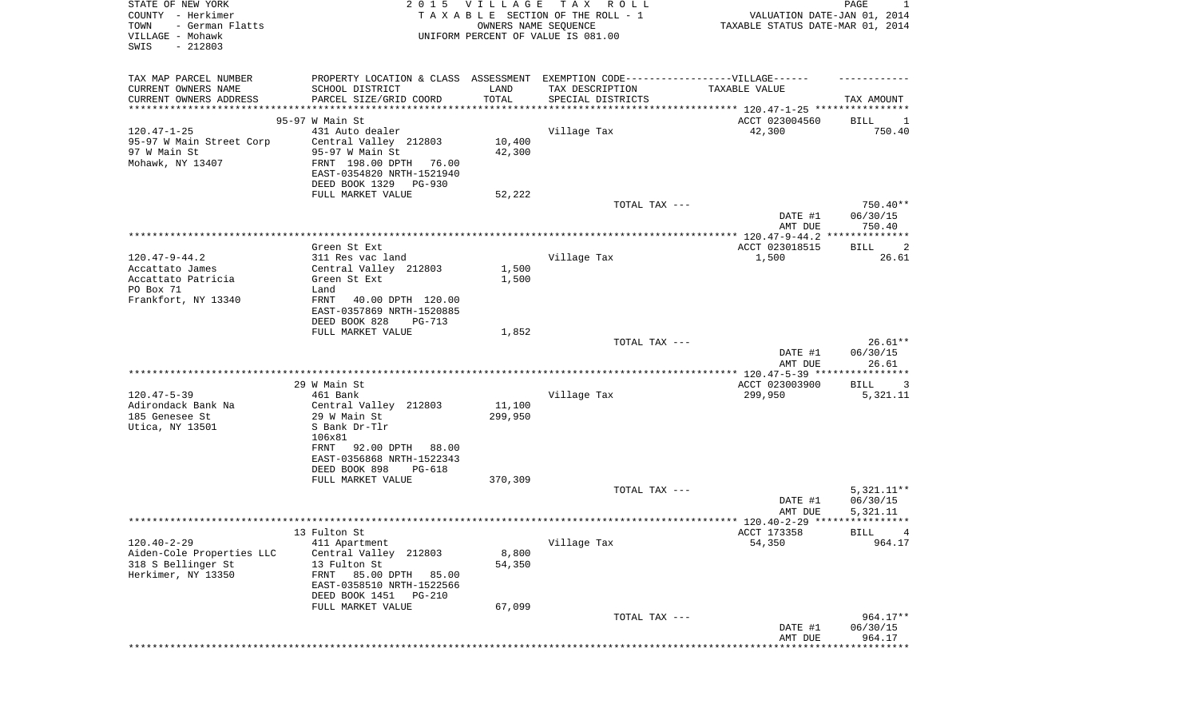| STATE OF NEW YORK<br>COUNTY - Herkimer<br>TOWN<br>- German Flatts<br>VILLAGE - Mohawk<br>SWIS<br>$-212803$ | 2 0 1 5                                                                           | <b>VILLAGE</b><br>OWNERS NAME SEQUENCE | TAX ROLL<br>TAXABLE SECTION OF THE ROLL - 1<br>UNIFORM PERCENT OF VALUE IS 081.00 | VALUATION DATE-JAN 01, 2014<br>TAXABLE STATUS DATE-MAR 01, 2014 | PAGE<br>1                      |
|------------------------------------------------------------------------------------------------------------|-----------------------------------------------------------------------------------|----------------------------------------|-----------------------------------------------------------------------------------|-----------------------------------------------------------------|--------------------------------|
|                                                                                                            |                                                                                   |                                        |                                                                                   |                                                                 |                                |
| TAX MAP PARCEL NUMBER                                                                                      | PROPERTY LOCATION & CLASS ASSESSMENT EXEMPTION CODE-----------------VILLAGE------ |                                        |                                                                                   |                                                                 |                                |
| CURRENT OWNERS NAME                                                                                        | SCHOOL DISTRICT                                                                   | LAND                                   | TAX DESCRIPTION                                                                   | TAXABLE VALUE                                                   |                                |
| CURRENT OWNERS ADDRESS<br>***********************                                                          | PARCEL SIZE/GRID COORD<br>**************************                              | TOTAL                                  | SPECIAL DISTRICTS                                                                 |                                                                 | TAX AMOUNT                     |
|                                                                                                            | 95-97 W Main St                                                                   |                                        |                                                                                   | ACCT 023004560                                                  | BILL<br>1                      |
| $120.47 - 1 - 25$                                                                                          | 431 Auto dealer                                                                   |                                        | Village Tax                                                                       | 42,300                                                          | 750.40                         |
| 95-97 W Main Street Corp                                                                                   | Central Valley 212803                                                             | 10,400                                 |                                                                                   |                                                                 |                                |
| 97 W Main St                                                                                               | 95-97 W Main St                                                                   | 42,300                                 |                                                                                   |                                                                 |                                |
| Mohawk, NY 13407                                                                                           | FRNT 198.00 DPTH<br>76.00                                                         |                                        |                                                                                   |                                                                 |                                |
|                                                                                                            | EAST-0354820 NRTH-1521940                                                         |                                        |                                                                                   |                                                                 |                                |
|                                                                                                            | DEED BOOK 1329<br>PG-930                                                          |                                        |                                                                                   |                                                                 |                                |
|                                                                                                            | FULL MARKET VALUE                                                                 | 52,222                                 |                                                                                   |                                                                 |                                |
|                                                                                                            |                                                                                   |                                        | TOTAL TAX ---                                                                     | DATE #1                                                         | $750.40**$<br>06/30/15         |
|                                                                                                            |                                                                                   |                                        |                                                                                   | AMT DUE                                                         | 750.40                         |
|                                                                                                            |                                                                                   |                                        |                                                                                   |                                                                 |                                |
|                                                                                                            | Green St Ext                                                                      |                                        |                                                                                   | ACCT 023018515                                                  | <b>BILL</b><br>2               |
| $120.47 - 9 - 44.2$                                                                                        | 311 Res vac land                                                                  |                                        | Village Tax                                                                       | 1,500                                                           | 26.61                          |
| Accattato James                                                                                            | Central Valley 212803                                                             | 1,500                                  |                                                                                   |                                                                 |                                |
| Accattato Patricia                                                                                         | Green St Ext                                                                      | 1,500                                  |                                                                                   |                                                                 |                                |
| PO Box 71<br>Frankfort, NY 13340                                                                           | Land<br>FRNT<br>40.00 DPTH 120.00                                                 |                                        |                                                                                   |                                                                 |                                |
|                                                                                                            | EAST-0357869 NRTH-1520885                                                         |                                        |                                                                                   |                                                                 |                                |
|                                                                                                            | DEED BOOK 828<br>$PG-713$                                                         |                                        |                                                                                   |                                                                 |                                |
|                                                                                                            | FULL MARKET VALUE                                                                 | 1,852                                  |                                                                                   |                                                                 |                                |
|                                                                                                            |                                                                                   |                                        | TOTAL TAX ---                                                                     |                                                                 | $26.61**$                      |
|                                                                                                            |                                                                                   |                                        |                                                                                   | DATE #1                                                         | 06/30/15                       |
|                                                                                                            |                                                                                   |                                        |                                                                                   | AMT DUE<br>**************** 120.47-5-39 *****                   | 26.61<br>* * * * * * * * * * * |
|                                                                                                            | 29 W Main St                                                                      |                                        |                                                                                   | ACCT 023003900                                                  | <b>BILL</b><br>3               |
| $120.47 - 5 - 39$                                                                                          | 461 Bank                                                                          |                                        | Village Tax                                                                       | 299,950                                                         | 5,321.11                       |
| Adirondack Bank Na                                                                                         | Central Valley 212803                                                             | 11,100                                 |                                                                                   |                                                                 |                                |
| 185 Genesee St                                                                                             | 29 W Main St                                                                      | 299,950                                |                                                                                   |                                                                 |                                |
| Utica, NY 13501                                                                                            | S Bank Dr-Tlr                                                                     |                                        |                                                                                   |                                                                 |                                |
|                                                                                                            | 106x81                                                                            |                                        |                                                                                   |                                                                 |                                |
|                                                                                                            | 92.00 DPTH 88.00<br>FRNT                                                          |                                        |                                                                                   |                                                                 |                                |
|                                                                                                            | EAST-0356868 NRTH-1522343<br>DEED BOOK 898<br>$PG-618$                            |                                        |                                                                                   |                                                                 |                                |
|                                                                                                            | FULL MARKET VALUE                                                                 | 370,309                                |                                                                                   |                                                                 |                                |
|                                                                                                            |                                                                                   |                                        | TOTAL TAX ---                                                                     |                                                                 | $5,321.11**$                   |
|                                                                                                            |                                                                                   |                                        |                                                                                   | DATE #1                                                         | 06/30/15                       |
|                                                                                                            |                                                                                   |                                        |                                                                                   | AMT DUE                                                         | 5,321.11                       |
|                                                                                                            |                                                                                   |                                        |                                                                                   |                                                                 |                                |
|                                                                                                            | 13 Fulton St                                                                      |                                        |                                                                                   | ACCT 173358                                                     | BILL 4                         |
| $120.40 - 2 - 29$<br>Aiden-Cole Properties LLC                                                             | 411 Apartment<br>Central Valley 212803                                            | 8,800                                  | Village Tax                                                                       | 54,350                                                          | 964.17                         |
| 318 S Bellinger St                                                                                         | 13 Fulton St                                                                      | 54,350                                 |                                                                                   |                                                                 |                                |
| Herkimer, NY 13350                                                                                         | 85.00 DPTH<br>85.00<br>FRNT                                                       |                                        |                                                                                   |                                                                 |                                |
|                                                                                                            | EAST-0358510 NRTH-1522566                                                         |                                        |                                                                                   |                                                                 |                                |
|                                                                                                            | DEED BOOK 1451<br>$PG-210$                                                        |                                        |                                                                                   |                                                                 |                                |
|                                                                                                            | FULL MARKET VALUE                                                                 | 67,099                                 |                                                                                   |                                                                 |                                |
|                                                                                                            |                                                                                   |                                        | TOTAL TAX ---                                                                     |                                                                 | 964.17**                       |
|                                                                                                            |                                                                                   |                                        |                                                                                   | DATE #1                                                         | 06/30/15                       |
|                                                                                                            |                                                                                   |                                        |                                                                                   | AMT DUE                                                         | 964.17<br>* * * * * * * * *    |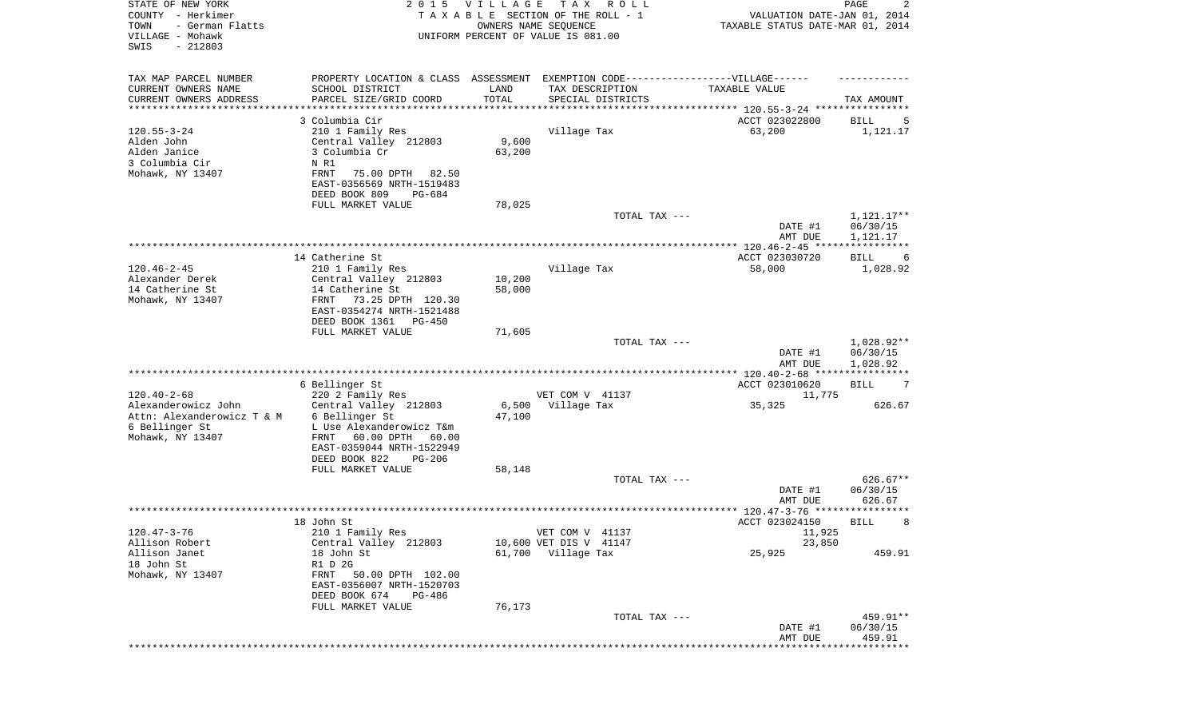| STATE OF NEW YORK<br>COUNTY - Herkimer<br>TOWN<br>- German Flatts<br>VILLAGE - Mohawk<br>SWIS<br>$-212803$   | 2 0 1 5                                                                                                                                                                                                   | <b>VILLAGE</b>            | T A X<br>R O L L<br>TAXABLE SECTION OF THE ROLL - 1<br>OWNERS NAME SEQUENCE<br>UNIFORM PERCENT OF VALUE IS 081.00 | VALUATION DATE-JAN 01, 2014<br>TAXABLE STATUS DATE-MAR 01, 2014 | PAGE<br>2                          |
|--------------------------------------------------------------------------------------------------------------|-----------------------------------------------------------------------------------------------------------------------------------------------------------------------------------------------------------|---------------------------|-------------------------------------------------------------------------------------------------------------------|-----------------------------------------------------------------|------------------------------------|
| TAX MAP PARCEL NUMBER<br>CURRENT OWNERS NAME<br>CURRENT OWNERS ADDRESS<br>*********************              | PROPERTY LOCATION & CLASS ASSESSMENT EXEMPTION CODE----------------VILLAGE------<br>SCHOOL DISTRICT<br>PARCEL SIZE/GRID COORD                                                                             | LAND<br>TOTAL             | TAX DESCRIPTION<br>SPECIAL DISTRICTS<br>********************************* 120.55-3-24 ****************            | TAXABLE VALUE                                                   | TAX AMOUNT                         |
| $120.55 - 3 - 24$<br>Alden John<br>Alden Janice<br>3 Columbia Cir<br>Mohawk, NY 13407                        | 3 Columbia Cir<br>210 1 Family Res<br>Central Valley 212803<br>3 Columbia Cr<br>N R1<br>FRNT<br>75.00 DPTH<br>82.50<br>EAST-0356569 NRTH-1519483<br>DEED BOOK 809<br>PG-684<br>FULL MARKET VALUE          | 9,600<br>63,200<br>78,025 | Village Tax                                                                                                       | ACCT 023022800<br>63,200                                        | BILL<br>5<br>1,121.17              |
|                                                                                                              |                                                                                                                                                                                                           |                           | TOTAL TAX ---                                                                                                     | DATE #1<br>AMT DUE                                              | 1,121.17**<br>06/30/15<br>1,121.17 |
|                                                                                                              |                                                                                                                                                                                                           |                           |                                                                                                                   |                                                                 |                                    |
| $120.46 - 2 - 45$<br>Alexander Derek<br>14 Catherine St<br>Mohawk, NY 13407                                  | 14 Catherine St<br>210 1 Family Res<br>Central Valley 212803<br>14 Catherine St<br><b>FRNT</b><br>73.25 DPTH 120.30<br>EAST-0354274 NRTH-1521488<br>DEED BOOK 1361<br><b>PG-450</b>                       | 10,200<br>58,000          | Village Tax                                                                                                       | ACCT 023030720<br>58,000                                        | BILL<br>6<br>1,028.92              |
|                                                                                                              | FULL MARKET VALUE                                                                                                                                                                                         | 71,605                    | TOTAL TAX ---                                                                                                     | DATE #1<br>AMT DUE                                              | 1,028.92**<br>06/30/15<br>1,028.92 |
|                                                                                                              |                                                                                                                                                                                                           |                           |                                                                                                                   | *********** 120.40-2-68 *****************                       |                                    |
| $120.40 - 2 - 68$<br>Alexanderowicz John<br>Attn: Alexanderowicz T & M<br>6 Bellinger St<br>Mohawk, NY 13407 | 6 Bellinger St<br>220 2 Family Res<br>Central Valley 212803<br>6 Bellinger St<br>L Use Alexanderowicz T&m<br><b>FRNT</b><br>60.00 DPTH<br>60.00<br>EAST-0359044 NRTH-1522949<br>DEED BOOK 822<br>$PG-206$ | 6,500<br>47,100           | VET COM V 41137<br>Village Tax                                                                                    | ACCT 023010620<br>11,775<br>35,325                              | 7<br>BILL<br>626.67                |
|                                                                                                              | FULL MARKET VALUE                                                                                                                                                                                         | 58,148                    |                                                                                                                   |                                                                 |                                    |
|                                                                                                              |                                                                                                                                                                                                           |                           | TOTAL TAX ---                                                                                                     | DATE #1<br>AMT DUE                                              | $626.67**$<br>06/30/15<br>626.67   |
|                                                                                                              |                                                                                                                                                                                                           |                           |                                                                                                                   |                                                                 | ****                               |
| $120.47 - 3 - 76$<br>Allison Robert<br>Allison Janet<br>18 John St<br>Mohawk, NY 13407                       | 18 John St<br>210 1 Family Res<br>Central Valley 212803<br>18 John St<br>R1 D 2G<br>FRNT 50.00 DPTH 102.00<br>EAST-0356007 NRTH-1520703<br>DEED BOOK 674<br>PG-486                                        |                           | VET COM V 41137<br>10,600 VET DIS V 41147<br>61,700 Village Tax                                                   | ACCT 023024150<br>11,925<br>23,850<br>25,925                    | 8<br>BILL<br>459.91                |
|                                                                                                              | FULL MARKET VALUE                                                                                                                                                                                         | 76,173                    |                                                                                                                   |                                                                 |                                    |
|                                                                                                              |                                                                                                                                                                                                           |                           | TOTAL TAX ---                                                                                                     | DATE #1<br>AMT DUE                                              | 459.91**<br>06/30/15<br>459.91     |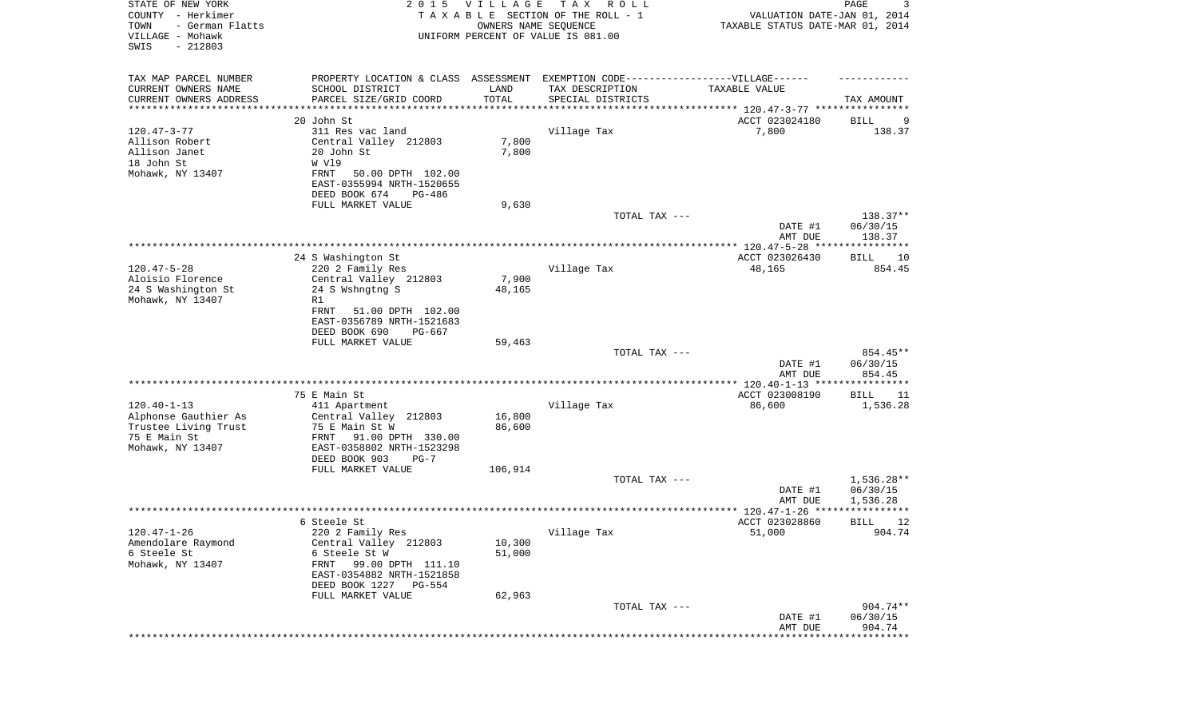| STATE OF NEW YORK<br>COUNTY - Herkimer<br>- German Flatts<br>TOWN<br>VILLAGE - Mohawk<br>SWIS<br>$-212803$ | 2 0 1 5                                                                           | V I L L A G E<br>OWNERS NAME SEQUENCE | T A X<br>R O L L<br>TAXABLE SECTION OF THE ROLL - 1<br>UNIFORM PERCENT OF VALUE IS 081.00 | VALUATION DATE-JAN 01, 2014<br>TAXABLE STATUS DATE-MAR 01, 2014 | $\mathop{\mathtt{PAGE}}$<br>3 |
|------------------------------------------------------------------------------------------------------------|-----------------------------------------------------------------------------------|---------------------------------------|-------------------------------------------------------------------------------------------|-----------------------------------------------------------------|-------------------------------|
| TAX MAP PARCEL NUMBER                                                                                      | PROPERTY LOCATION & CLASS ASSESSMENT EXEMPTION CODE-----------------VILLAGE------ |                                       |                                                                                           |                                                                 |                               |
| CURRENT OWNERS NAME                                                                                        | SCHOOL DISTRICT                                                                   | LAND                                  | TAX DESCRIPTION                                                                           | TAXABLE VALUE                                                   |                               |
| CURRENT OWNERS ADDRESS<br>********************                                                             | PARCEL SIZE/GRID COORD<br>***************                                         | TOTAL<br>**********                   | SPECIAL DISTRICTS                                                                         |                                                                 | TAX AMOUNT                    |
|                                                                                                            | 20 John St                                                                        |                                       |                                                                                           | ACCT 023024180                                                  | 9<br>BILL                     |
| $120.47 - 3 - 77$                                                                                          | 311 Res vac land                                                                  |                                       | Village Tax                                                                               | 7,800                                                           | 138.37                        |
| Allison Robert                                                                                             | Central Valley 212803                                                             | 7,800                                 |                                                                                           |                                                                 |                               |
| Allison Janet                                                                                              | 20 John St                                                                        | 7,800                                 |                                                                                           |                                                                 |                               |
| 18 John St                                                                                                 | W V19                                                                             |                                       |                                                                                           |                                                                 |                               |
| Mohawk, NY 13407                                                                                           | 50.00 DPTH 102.00<br>FRNT                                                         |                                       |                                                                                           |                                                                 |                               |
|                                                                                                            | EAST-0355994 NRTH-1520655                                                         |                                       |                                                                                           |                                                                 |                               |
|                                                                                                            | DEED BOOK 674<br>PG-486                                                           |                                       |                                                                                           |                                                                 |                               |
|                                                                                                            | FULL MARKET VALUE                                                                 | 9,630                                 |                                                                                           |                                                                 |                               |
|                                                                                                            |                                                                                   |                                       | TOTAL TAX ---                                                                             | DATE #1                                                         | 138.37**<br>06/30/15          |
|                                                                                                            |                                                                                   |                                       |                                                                                           | AMT DUE                                                         | 138.37                        |
|                                                                                                            | 24 S Washington St                                                                |                                       |                                                                                           | ACCT 023026430                                                  | BILL<br>10                    |
| $120.47 - 5 - 28$                                                                                          | 220 2 Family Res                                                                  |                                       | Village Tax                                                                               | 48,165                                                          | 854.45                        |
| Aloisio Florence                                                                                           | Central Valley 212803                                                             | 7,900                                 |                                                                                           |                                                                 |                               |
| 24 S Washington St                                                                                         | 24 S Wshngtng S                                                                   | 48,165                                |                                                                                           |                                                                 |                               |
| Mohawk, NY 13407                                                                                           | R1                                                                                |                                       |                                                                                           |                                                                 |                               |
|                                                                                                            | FRNT<br>51.00 DPTH 102.00<br>EAST-0356789 NRTH-1521683                            |                                       |                                                                                           |                                                                 |                               |
|                                                                                                            | DEED BOOK 690<br>PG-667                                                           |                                       |                                                                                           |                                                                 |                               |
|                                                                                                            | FULL MARKET VALUE                                                                 | 59,463                                |                                                                                           |                                                                 |                               |
|                                                                                                            |                                                                                   |                                       | TOTAL TAX ---                                                                             |                                                                 | 854.45**                      |
|                                                                                                            |                                                                                   |                                       |                                                                                           | DATE #1                                                         | 06/30/15                      |
|                                                                                                            |                                                                                   |                                       |                                                                                           | AMT DUE                                                         | 854.45                        |
|                                                                                                            |                                                                                   |                                       |                                                                                           |                                                                 |                               |
| $120.40 - 1 - 13$                                                                                          | 75 E Main St<br>411 Apartment                                                     |                                       | Village Tax                                                                               | ACCT 023008190<br>86,600                                        | BILL<br>11<br>1,536.28        |
| Alphonse Gauthier As                                                                                       | Central Valley 212803                                                             | 16,800                                |                                                                                           |                                                                 |                               |
| Trustee Living Trust                                                                                       | 75 E Main St W                                                                    | 86,600                                |                                                                                           |                                                                 |                               |
| 75 E Main St                                                                                               | FRNT<br>91.00 DPTH 330.00                                                         |                                       |                                                                                           |                                                                 |                               |
| Mohawk, NY 13407                                                                                           | EAST-0358802 NRTH-1523298                                                         |                                       |                                                                                           |                                                                 |                               |
|                                                                                                            | DEED BOOK 903<br>$PG-7$                                                           |                                       |                                                                                           |                                                                 |                               |
|                                                                                                            | FULL MARKET VALUE                                                                 | 106,914                               |                                                                                           |                                                                 |                               |
|                                                                                                            |                                                                                   |                                       | TOTAL TAX ---                                                                             |                                                                 | $1,536.28**$                  |
|                                                                                                            |                                                                                   |                                       |                                                                                           | DATE #1<br>AMT DUE                                              | 06/30/15<br>1,536.28          |
|                                                                                                            |                                                                                   |                                       |                                                                                           |                                                                 | ****                          |
|                                                                                                            | 6 Steele St                                                                       |                                       |                                                                                           | ACCT 023028860                                                  | 12<br>BILL                    |
| $120.47 - 1 - 26$                                                                                          | 220 2 Family Res                                                                  |                                       | Village Tax                                                                               | 51,000                                                          | 904.74                        |
| Amendolare Raymond                                                                                         | Central Valley 212803                                                             | 10,300                                |                                                                                           |                                                                 |                               |
| 6 Steele St                                                                                                | 6 Steele St W                                                                     | 51,000                                |                                                                                           |                                                                 |                               |
| Mohawk, NY 13407                                                                                           | 99.00 DPTH 111.10<br>FRNT                                                         |                                       |                                                                                           |                                                                 |                               |
|                                                                                                            | EAST-0354882 NRTH-1521858                                                         |                                       |                                                                                           |                                                                 |                               |
|                                                                                                            | DEED BOOK 1227 PG-554                                                             |                                       |                                                                                           |                                                                 |                               |
|                                                                                                            | FULL MARKET VALUE                                                                 | 62,963                                | TOTAL TAX ---                                                                             |                                                                 | 904.74**                      |
|                                                                                                            |                                                                                   |                                       |                                                                                           | DATE #1                                                         | 06/30/15                      |
|                                                                                                            |                                                                                   |                                       |                                                                                           | AMT DUE                                                         | 904.74                        |
|                                                                                                            |                                                                                   |                                       |                                                                                           |                                                                 |                               |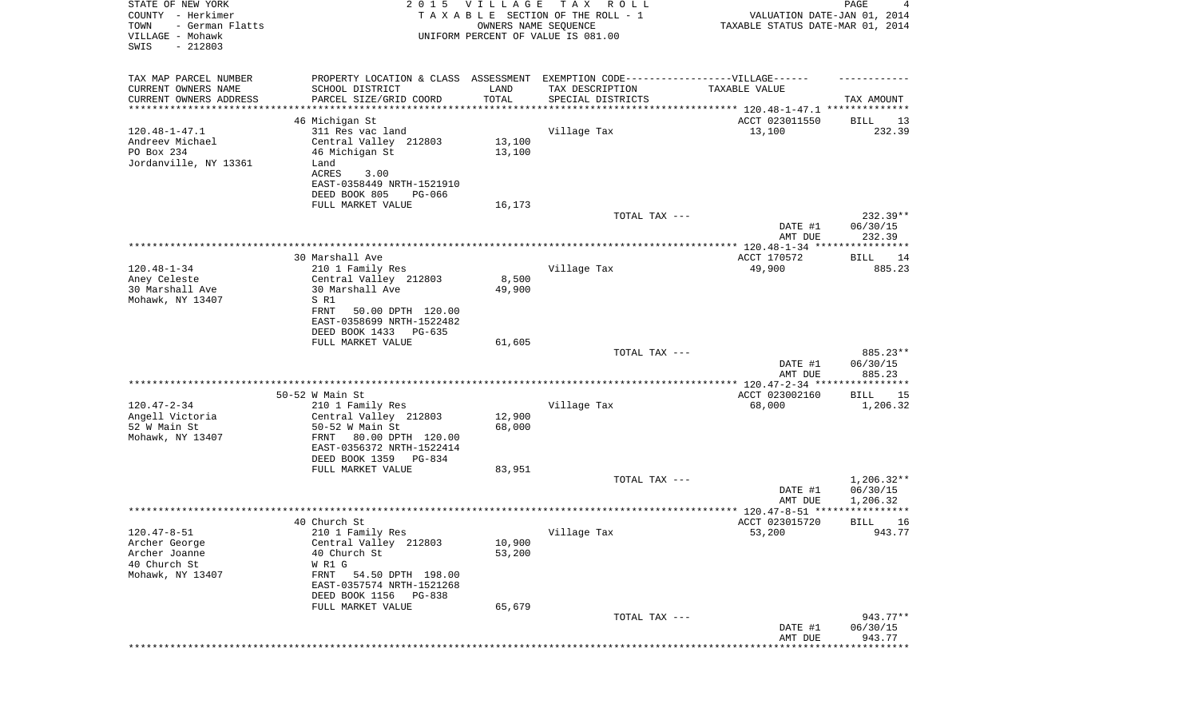| STATE OF NEW YORK<br>COUNTY - Herkimer<br>- German Flatts<br>TOWN<br>VILLAGE - Mohawk<br>SWIS<br>$-212803$ | 2 0 1 5                                                                           | VILLAGE<br>OWNERS NAME SEQUENCE | T A X<br>R O L L<br>TAXABLE SECTION OF THE ROLL - 1<br>UNIFORM PERCENT OF VALUE IS 081.00 | VALUATION DATE-JAN 01, 2014<br>TAXABLE STATUS DATE-MAR 01, 2014 | PAGE<br>4            |
|------------------------------------------------------------------------------------------------------------|-----------------------------------------------------------------------------------|---------------------------------|-------------------------------------------------------------------------------------------|-----------------------------------------------------------------|----------------------|
| TAX MAP PARCEL NUMBER                                                                                      | PROPERTY LOCATION & CLASS ASSESSMENT EXEMPTION CODE-----------------VILLAGE------ |                                 |                                                                                           |                                                                 |                      |
| CURRENT OWNERS NAME                                                                                        | SCHOOL DISTRICT                                                                   | LAND<br>TOTAL                   | TAX DESCRIPTION                                                                           | TAXABLE VALUE                                                   |                      |
| CURRENT OWNERS ADDRESS<br>*********************                                                            | PARCEL SIZE/GRID COORD                                                            |                                 | SPECIAL DISTRICTS                                                                         |                                                                 | TAX AMOUNT           |
|                                                                                                            | 46 Michigan St                                                                    |                                 |                                                                                           | ACCT 023011550                                                  | BILL<br>13           |
| $120.48 - 1 - 47.1$                                                                                        | 311 Res vac land                                                                  |                                 | Village Tax                                                                               | 13,100                                                          | 232.39               |
| Andreev Michael<br>PO Box 234                                                                              | Central Valley 212803<br>46 Michigan St                                           | 13,100<br>13,100                |                                                                                           |                                                                 |                      |
| Jordanville, NY 13361                                                                                      | Land                                                                              |                                 |                                                                                           |                                                                 |                      |
|                                                                                                            | ACRES<br>3.00                                                                     |                                 |                                                                                           |                                                                 |                      |
|                                                                                                            | EAST-0358449 NRTH-1521910                                                         |                                 |                                                                                           |                                                                 |                      |
|                                                                                                            | DEED BOOK 805<br>PG-066                                                           |                                 |                                                                                           |                                                                 |                      |
|                                                                                                            | FULL MARKET VALUE                                                                 | 16,173                          | TOTAL TAX ---                                                                             |                                                                 | $232.39**$           |
|                                                                                                            |                                                                                   |                                 |                                                                                           | DATE #1                                                         | 06/30/15             |
|                                                                                                            |                                                                                   |                                 |                                                                                           | AMT DUE                                                         | 232.39               |
|                                                                                                            |                                                                                   |                                 |                                                                                           |                                                                 |                      |
| $120.48 - 1 - 34$                                                                                          | 30 Marshall Ave<br>210 1 Family Res                                               |                                 | Village Tax                                                                               | ACCT 170572<br>49,900                                           | BILL<br>14<br>885.23 |
| Aney Celeste                                                                                               | Central Valley 212803                                                             | 8,500                           |                                                                                           |                                                                 |                      |
| 30 Marshall Ave                                                                                            | 30 Marshall Ave                                                                   | 49,900                          |                                                                                           |                                                                 |                      |
| Mohawk, NY 13407                                                                                           | S R1<br>50.00 DPTH 120.00                                                         |                                 |                                                                                           |                                                                 |                      |
|                                                                                                            | FRNT<br>EAST-0358699 NRTH-1522482                                                 |                                 |                                                                                           |                                                                 |                      |
|                                                                                                            | DEED BOOK 1433<br>$PG-635$                                                        |                                 |                                                                                           |                                                                 |                      |
|                                                                                                            | FULL MARKET VALUE                                                                 | 61,605                          |                                                                                           |                                                                 |                      |
|                                                                                                            |                                                                                   |                                 | TOTAL TAX ---                                                                             | DATE #1                                                         | 885.23**<br>06/30/15 |
|                                                                                                            |                                                                                   |                                 |                                                                                           | AMT DUE                                                         | 885.23               |
|                                                                                                            |                                                                                   |                                 |                                                                                           |                                                                 |                      |
|                                                                                                            | 50-52 W Main St                                                                   |                                 |                                                                                           | ACCT 023002160                                                  | BILL<br>15           |
| $120.47 - 2 - 34$<br>Angell Victoria                                                                       | 210 1 Family Res<br>Central Valley 212803                                         | 12,900                          | Village Tax                                                                               | 68,000                                                          | 1,206.32             |
| 52 W Main St                                                                                               | 50-52 W Main St                                                                   | 68,000                          |                                                                                           |                                                                 |                      |
| Mohawk, NY 13407                                                                                           | FRNT<br>80.00 DPTH 120.00                                                         |                                 |                                                                                           |                                                                 |                      |
|                                                                                                            | EAST-0356372 NRTH-1522414                                                         |                                 |                                                                                           |                                                                 |                      |
|                                                                                                            | DEED BOOK 1359<br>PG-834                                                          | 83,951                          |                                                                                           |                                                                 |                      |
|                                                                                                            | FULL MARKET VALUE                                                                 |                                 | TOTAL TAX ---                                                                             |                                                                 | $1,206.32**$         |
|                                                                                                            |                                                                                   |                                 |                                                                                           | DATE #1                                                         | 06/30/15             |
|                                                                                                            |                                                                                   |                                 |                                                                                           | AMT DUE                                                         | 1,206.32             |
|                                                                                                            | 40 Church St                                                                      |                                 |                                                                                           | ACCT 023015720                                                  | *****<br>16          |
| 120.47-8-51                                                                                                | 210 1 Family Res                                                                  |                                 | Village Tax                                                                               | 53,200                                                          | BILL<br>943.77       |
| Archer George                                                                                              | Central Valley 212803                                                             | 10,900                          |                                                                                           |                                                                 |                      |
| Archer Joanne                                                                                              | 40 Church St                                                                      | 53,200                          |                                                                                           |                                                                 |                      |
| 40 Church St                                                                                               | W R1 G<br>54.50 DPTH 198.00                                                       |                                 |                                                                                           |                                                                 |                      |
| Mohawk, NY 13407                                                                                           | FRNT<br>EAST-0357574 NRTH-1521268                                                 |                                 |                                                                                           |                                                                 |                      |
|                                                                                                            | DEED BOOK 1156<br><b>PG-838</b>                                                   |                                 |                                                                                           |                                                                 |                      |
|                                                                                                            | FULL MARKET VALUE                                                                 | 65,679                          |                                                                                           |                                                                 |                      |
|                                                                                                            |                                                                                   |                                 | TOTAL TAX ---                                                                             |                                                                 | 943.77**             |
|                                                                                                            |                                                                                   |                                 |                                                                                           | DATE #1<br>AMT DUE                                              | 06/30/15<br>943.77   |
|                                                                                                            |                                                                                   |                                 |                                                                                           | ****************************                                    |                      |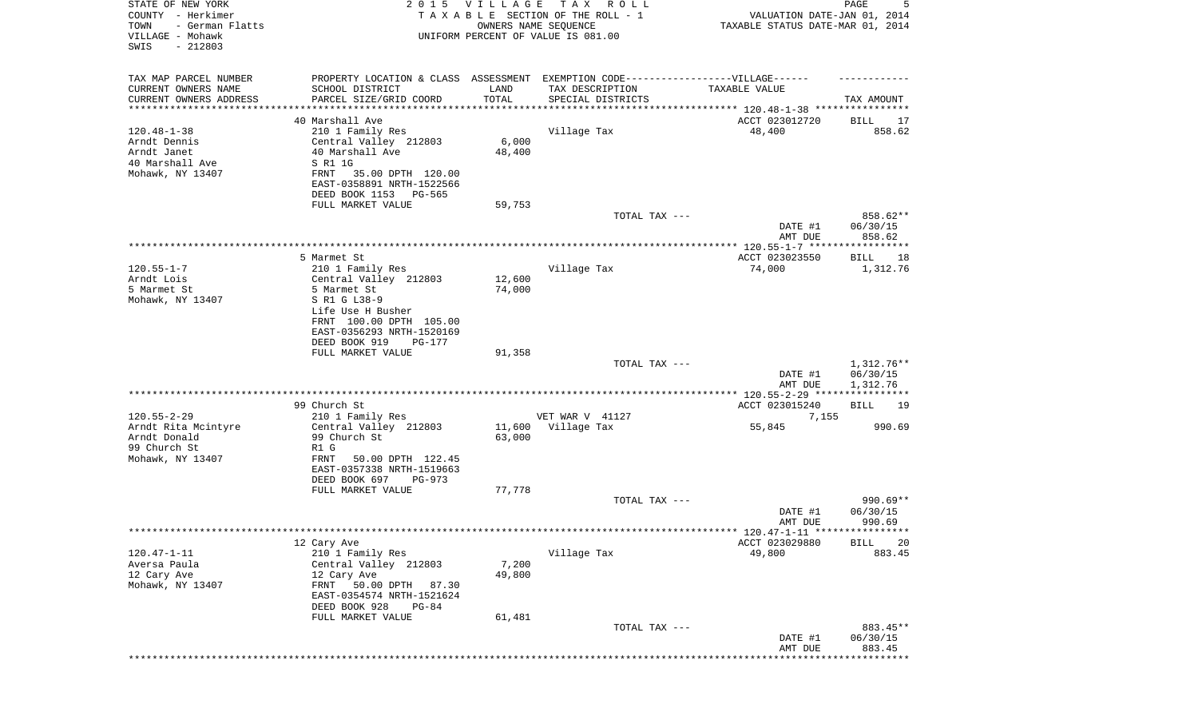| STATE OF NEW YORK<br>COUNTY - Herkimer<br>- German Flatts<br>TOWN<br>VILLAGE - Mohawk<br>$-212803$<br>SWIS | 2 0 1 5                                                  | <b>VILLAGE</b><br>OWNERS NAME SEQUENCE | T A X<br>R O L L<br>TAXABLE SECTION OF THE ROLL - 1<br>UNIFORM PERCENT OF VALUE IS 081.00 | VALUATION DATE-JAN 01, 2014<br>TAXABLE STATUS DATE-MAR 01, 2014 | 5<br>PAGE             |
|------------------------------------------------------------------------------------------------------------|----------------------------------------------------------|----------------------------------------|-------------------------------------------------------------------------------------------|-----------------------------------------------------------------|-----------------------|
| TAX MAP PARCEL NUMBER                                                                                      |                                                          |                                        | PROPERTY LOCATION & CLASS ASSESSMENT EXEMPTION CODE-----------------VILLAGE------         |                                                                 |                       |
| CURRENT OWNERS NAME                                                                                        | SCHOOL DISTRICT                                          | LAND                                   | TAX DESCRIPTION                                                                           | TAXABLE VALUE                                                   |                       |
| CURRENT OWNERS ADDRESS<br>********************                                                             | PARCEL SIZE/GRID COORD                                   | TOTAL                                  | SPECIAL DISTRICTS                                                                         | **************************** 120.48-1-38 ****************       | TAX AMOUNT            |
|                                                                                                            | 40 Marshall Ave                                          |                                        |                                                                                           | ACCT 023012720                                                  | BILL<br>17            |
| $120.48 - 1 - 38$                                                                                          | 210 1 Family Res                                         |                                        | Village Tax                                                                               | 48,400                                                          | 858.62                |
| Arndt Dennis                                                                                               | Central Valley 212803                                    | 6,000                                  |                                                                                           |                                                                 |                       |
| Arndt Janet                                                                                                | 40 Marshall Ave                                          | 48,400                                 |                                                                                           |                                                                 |                       |
| 40 Marshall Ave                                                                                            | S R1 1G                                                  |                                        |                                                                                           |                                                                 |                       |
| Mohawk, NY 13407                                                                                           | 35.00 DPTH 120.00<br>FRNT<br>EAST-0358891 NRTH-1522566   |                                        |                                                                                           |                                                                 |                       |
|                                                                                                            | DEED BOOK 1153<br>PG-565                                 |                                        |                                                                                           |                                                                 |                       |
|                                                                                                            | FULL MARKET VALUE                                        | 59,753                                 |                                                                                           |                                                                 |                       |
|                                                                                                            |                                                          |                                        | TOTAL TAX ---                                                                             |                                                                 | 858.62**              |
|                                                                                                            |                                                          |                                        |                                                                                           | DATE #1                                                         | 06/30/15              |
|                                                                                                            |                                                          |                                        |                                                                                           | AMT DUE                                                         | 858.62                |
|                                                                                                            | 5 Marmet St                                              |                                        |                                                                                           | ACCT 023023550                                                  | <b>BILL</b><br>18     |
| $120.55 - 1 - 7$                                                                                           | 210 1 Family Res                                         |                                        | Village Tax                                                                               | 74,000                                                          | 1,312.76              |
| Arndt Lois                                                                                                 | Central Valley 212803                                    | 12,600                                 |                                                                                           |                                                                 |                       |
| 5 Marmet St                                                                                                | 5 Marmet St                                              | 74,000                                 |                                                                                           |                                                                 |                       |
| Mohawk, NY 13407                                                                                           | S R1 G L38-9                                             |                                        |                                                                                           |                                                                 |                       |
|                                                                                                            | Life Use H Busher<br>FRNT 100.00 DPTH 105.00             |                                        |                                                                                           |                                                                 |                       |
|                                                                                                            | EAST-0356293 NRTH-1520169                                |                                        |                                                                                           |                                                                 |                       |
|                                                                                                            | DEED BOOK 919<br>PG-177                                  |                                        |                                                                                           |                                                                 |                       |
|                                                                                                            | FULL MARKET VALUE                                        | 91,358                                 |                                                                                           |                                                                 |                       |
|                                                                                                            |                                                          |                                        | TOTAL TAX ---                                                                             |                                                                 | $1,312.76**$          |
|                                                                                                            |                                                          |                                        |                                                                                           | DATE #1<br>AMT DUE                                              | 06/30/15<br>1,312.76  |
|                                                                                                            |                                                          |                                        |                                                                                           |                                                                 | ******                |
|                                                                                                            | 99 Church St                                             |                                        |                                                                                           | ACCT 023015240                                                  | <b>BILL</b><br>19     |
| $120.55 - 2 - 29$                                                                                          | 210 1 Family Res                                         |                                        | VET WAR V 41127                                                                           | 7,155                                                           |                       |
| Arndt Rita Mcintyre                                                                                        | Central Valley 212803                                    | 11,600                                 | Village Tax                                                                               | 55,845                                                          | 990.69                |
| Arndt Donald                                                                                               | 99 Church St                                             | 63,000                                 |                                                                                           |                                                                 |                       |
| 99 Church St<br>Mohawk, NY 13407                                                                           | R1 G<br>FRNT<br>50.00 DPTH 122.45                        |                                        |                                                                                           |                                                                 |                       |
|                                                                                                            | EAST-0357338 NRTH-1519663                                |                                        |                                                                                           |                                                                 |                       |
|                                                                                                            | DEED BOOK 697<br>PG-973                                  |                                        |                                                                                           |                                                                 |                       |
|                                                                                                            | FULL MARKET VALUE                                        | 77,778                                 |                                                                                           |                                                                 |                       |
|                                                                                                            |                                                          |                                        | TOTAL TAX ---                                                                             |                                                                 | $990.69**$            |
|                                                                                                            |                                                          |                                        |                                                                                           | DATE #1<br>AMT DUE                                              | 06/30/15<br>990.69    |
|                                                                                                            |                                                          |                                        |                                                                                           |                                                                 |                       |
|                                                                                                            | 12 Cary Ave                                              |                                        |                                                                                           | ACCT 023029880                                                  | <b>BILL</b><br>20     |
| $120.47 - 1 - 11$                                                                                          | 210 1 Family Res                                         |                                        | Village Tax                                                                               | 49,800                                                          | 883.45                |
| Aversa Paula                                                                                               | Central Valley 212803                                    | 7,200                                  |                                                                                           |                                                                 |                       |
| 12 Cary Ave<br>Mohawk, NY 13407                                                                            | 12 Cary Ave                                              | 49,800                                 |                                                                                           |                                                                 |                       |
|                                                                                                            | 50.00 DPTH<br>FRNT<br>87.30<br>EAST-0354574 NRTH-1521624 |                                        |                                                                                           |                                                                 |                       |
|                                                                                                            | DEED BOOK 928<br>$PG-84$                                 |                                        |                                                                                           |                                                                 |                       |
|                                                                                                            | FULL MARKET VALUE                                        | 61,481                                 |                                                                                           |                                                                 |                       |
|                                                                                                            |                                                          |                                        | TOTAL TAX ---                                                                             |                                                                 | 883.45**              |
|                                                                                                            |                                                          |                                        |                                                                                           | DATE #1                                                         | 06/30/15              |
|                                                                                                            |                                                          |                                        |                                                                                           | AMT DUE                                                         | 883.45<br>*********** |
|                                                                                                            |                                                          |                                        |                                                                                           |                                                                 |                       |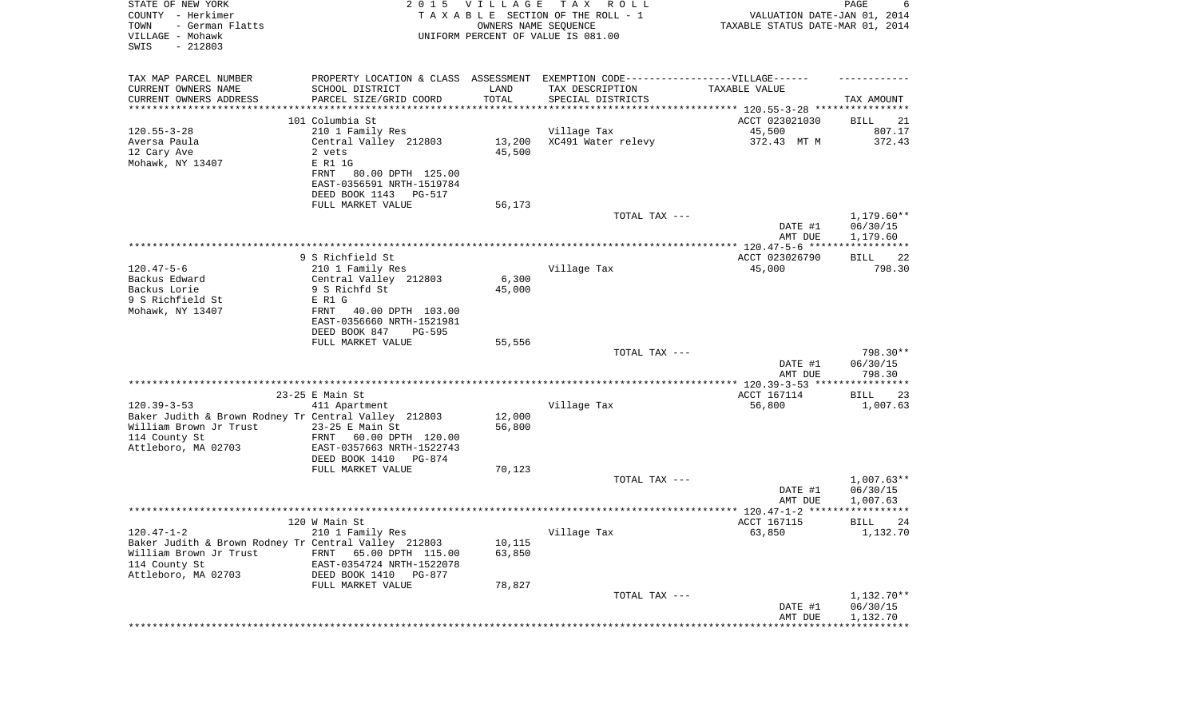| STATE OF NEW YORK<br>COUNTY - Herkimer<br>- German Flatts<br>TOWN<br>VILLAGE - Mohawk<br>SWIS<br>$-212803$ |                                                        | 2015 VILLAGE<br>OWNERS NAME SEQUENCE | T A X<br>R O L L<br>TAXABLE SECTION OF THE ROLL - 1<br>UNIFORM PERCENT OF VALUE IS 081.00 | VALUATION DATE-JAN 01, 2014<br>TAXABLE STATUS DATE-MAR 01, 2014 | PAGE<br>6                |
|------------------------------------------------------------------------------------------------------------|--------------------------------------------------------|--------------------------------------|-------------------------------------------------------------------------------------------|-----------------------------------------------------------------|--------------------------|
| TAX MAP PARCEL NUMBER                                                                                      |                                                        |                                      | PROPERTY LOCATION & CLASS ASSESSMENT EXEMPTION CODE-----------------VILLAGE------         |                                                                 |                          |
| CURRENT OWNERS NAME                                                                                        | SCHOOL DISTRICT                                        | LAND                                 | TAX DESCRIPTION                                                                           | TAXABLE VALUE                                                   |                          |
| CURRENT OWNERS ADDRESS<br>*******************                                                              | PARCEL SIZE/GRID COORD                                 | TOTAL                                | SPECIAL DISTRICTS<br>********************************* 120.55-3-28 ****************       |                                                                 | TAX AMOUNT               |
|                                                                                                            | 101 Columbia St                                        |                                      |                                                                                           | ACCT 023021030                                                  | BILL<br>21               |
| $120.55 - 3 - 28$                                                                                          | 210 1 Family Res                                       |                                      | Village Tax                                                                               | 45,500                                                          | 807.17                   |
| Aversa Paula                                                                                               | Central Valley 212803                                  | 13,200                               | XC491 Water relevy                                                                        | 372.43 MT M                                                     | 372.43                   |
| 12 Cary Ave                                                                                                | 2 vets                                                 | 45,500                               |                                                                                           |                                                                 |                          |
| Mohawk, NY 13407                                                                                           | E R1 1G                                                |                                      |                                                                                           |                                                                 |                          |
|                                                                                                            | 80.00 DPTH 125.00<br>FRNT                              |                                      |                                                                                           |                                                                 |                          |
|                                                                                                            | EAST-0356591 NRTH-1519784                              |                                      |                                                                                           |                                                                 |                          |
|                                                                                                            | DEED BOOK 1143<br>PG-517                               |                                      |                                                                                           |                                                                 |                          |
|                                                                                                            | FULL MARKET VALUE                                      | 56,173                               |                                                                                           |                                                                 |                          |
|                                                                                                            |                                                        |                                      | TOTAL TAX ---                                                                             | DATE #1                                                         | $1,179.60**$<br>06/30/15 |
|                                                                                                            |                                                        |                                      |                                                                                           | AMT DUE                                                         | 1,179.60                 |
|                                                                                                            |                                                        |                                      |                                                                                           |                                                                 |                          |
|                                                                                                            | 9 S Richfield St                                       |                                      |                                                                                           | ACCT 023026790                                                  | BILL<br>22               |
| $120.47 - 5 - 6$                                                                                           | 210 1 Family Res                                       |                                      | Village Tax                                                                               | 45,000                                                          | 798.30                   |
| Backus Edward                                                                                              | Central Valley 212803                                  | 6,300                                |                                                                                           |                                                                 |                          |
| Backus Lorie                                                                                               | 9 S Richfd St                                          | 45,000                               |                                                                                           |                                                                 |                          |
| 9 S Richfield St                                                                                           | E R1 G                                                 |                                      |                                                                                           |                                                                 |                          |
| Mohawk, NY 13407                                                                                           | FRNT<br>40.00 DPTH 103.00<br>EAST-0356660 NRTH-1521981 |                                      |                                                                                           |                                                                 |                          |
|                                                                                                            | DEED BOOK 847<br><b>PG-595</b>                         |                                      |                                                                                           |                                                                 |                          |
|                                                                                                            | FULL MARKET VALUE                                      | 55,556                               |                                                                                           |                                                                 |                          |
|                                                                                                            |                                                        |                                      | TOTAL TAX ---                                                                             |                                                                 | 798.30**                 |
|                                                                                                            |                                                        |                                      |                                                                                           | DATE #1                                                         | 06/30/15                 |
|                                                                                                            |                                                        |                                      |                                                                                           | AMT DUE                                                         | 798.30                   |
|                                                                                                            |                                                        |                                      |                                                                                           |                                                                 |                          |
| $120.39 - 3 - 53$                                                                                          | 23-25 E Main St<br>411 Apartment                       |                                      | Village Tax                                                                               | ACCT 167114<br>56,800                                           | BILL<br>23<br>1,007.63   |
| Baker Judith & Brown Rodney Tr Central Valley 212803                                                       |                                                        | 12,000                               |                                                                                           |                                                                 |                          |
| William Brown Jr Trust                                                                                     | $23-25$ E Main St                                      | 56,800                               |                                                                                           |                                                                 |                          |
| 114 County St                                                                                              | FRNT<br>60.00 DPTH 120.00                              |                                      |                                                                                           |                                                                 |                          |
| Attleboro, MA 02703                                                                                        | EAST-0357663 NRTH-1522743                              |                                      |                                                                                           |                                                                 |                          |
|                                                                                                            | DEED BOOK 1410<br>PG-874                               |                                      |                                                                                           |                                                                 |                          |
|                                                                                                            | FULL MARKET VALUE                                      | 70,123                               |                                                                                           |                                                                 |                          |
|                                                                                                            |                                                        |                                      | TOTAL TAX ---                                                                             |                                                                 | $1,007.63**$             |
|                                                                                                            |                                                        |                                      |                                                                                           | DATE #1                                                         | 06/30/15                 |
|                                                                                                            |                                                        |                                      |                                                                                           | AMT DUE                                                         | 1,007.63<br>* * * * * *  |
|                                                                                                            | 120 W Main St                                          |                                      |                                                                                           | ACCT 167115                                                     | 24<br>BILL               |
| $120.47 - 1 - 2$                                                                                           | 210 1 Family Res                                       |                                      | Village Tax                                                                               | 63,850                                                          | 1,132.70                 |
| Baker Judith & Brown Rodney Tr Central Valley 212803                                                       |                                                        | 10,115                               |                                                                                           |                                                                 |                          |
| William Brown Jr Trust                                                                                     | FRNT<br>65.00 DPTH 115.00                              | 63,850                               |                                                                                           |                                                                 |                          |
| 114 County St                                                                                              | EAST-0354724 NRTH-1522078                              |                                      |                                                                                           |                                                                 |                          |
| Attleboro, MA 02703                                                                                        | DEED BOOK 1410 PG-877                                  |                                      |                                                                                           |                                                                 |                          |
|                                                                                                            | FULL MARKET VALUE                                      | 78,827                               |                                                                                           |                                                                 |                          |
|                                                                                                            |                                                        |                                      | TOTAL TAX ---                                                                             |                                                                 | 1,132.70**               |
|                                                                                                            |                                                        |                                      |                                                                                           | DATE #1<br>AMT DUE                                              | 06/30/15<br>1,132.70     |
|                                                                                                            |                                                        |                                      |                                                                                           |                                                                 |                          |
|                                                                                                            |                                                        |                                      |                                                                                           |                                                                 |                          |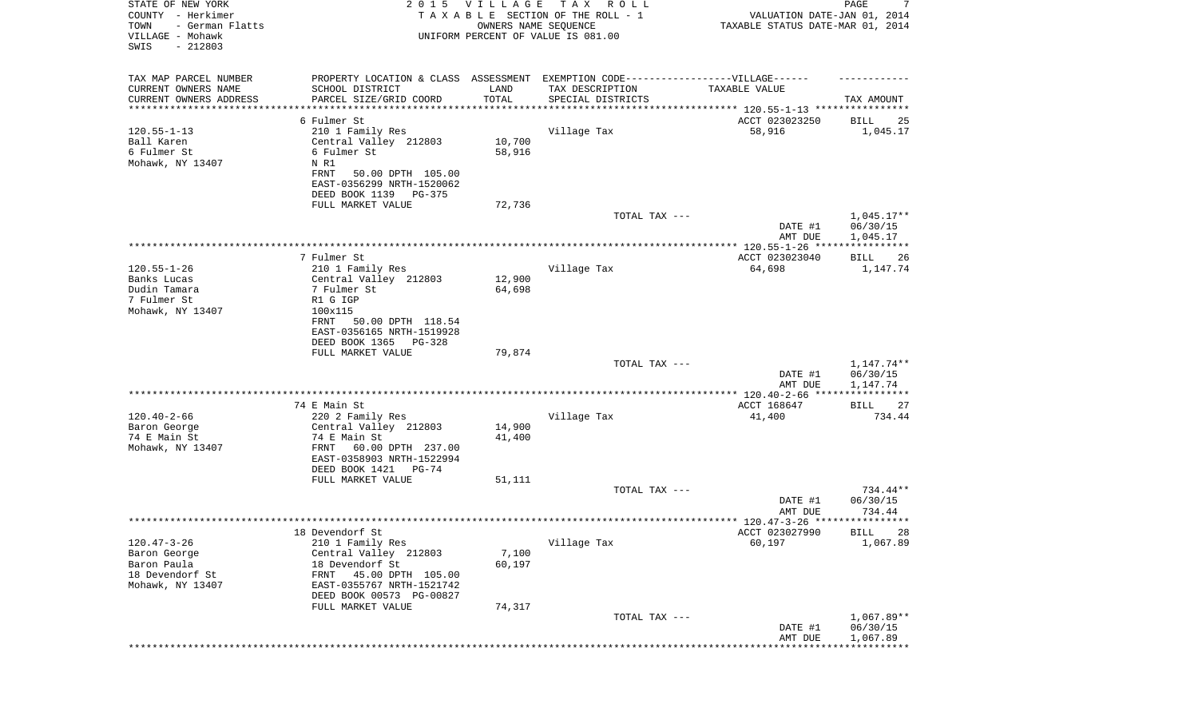| STATE OF NEW YORK<br>COUNTY - Herkimer<br>TOWN<br>- German Flatts<br>VILLAGE - Mohawk | 2 0 1 5                                                                           | <b>VILLAGE</b>   | T A X<br>R O L L<br>TAXABLE SECTION OF THE ROLL - 1<br>OWNERS NAME SEQUENCE<br>UNIFORM PERCENT OF VALUE IS 081.00 | VALUATION DATE-JAN 01, 2014<br>TAXABLE STATUS DATE-MAR 01, 2014 | 7<br>PAGE                |
|---------------------------------------------------------------------------------------|-----------------------------------------------------------------------------------|------------------|-------------------------------------------------------------------------------------------------------------------|-----------------------------------------------------------------|--------------------------|
| SWIS<br>$-212803$                                                                     |                                                                                   |                  |                                                                                                                   |                                                                 |                          |
| TAX MAP PARCEL NUMBER                                                                 | PROPERTY LOCATION & CLASS ASSESSMENT EXEMPTION CODE-----------------VILLAGE------ |                  |                                                                                                                   |                                                                 |                          |
| CURRENT OWNERS NAME                                                                   | SCHOOL DISTRICT                                                                   | LAND             | TAX DESCRIPTION                                                                                                   | TAXABLE VALUE                                                   |                          |
| CURRENT OWNERS ADDRESS<br>********************                                        | PARCEL SIZE/GRID COORD                                                            | TOTAL            | SPECIAL DISTRICTS                                                                                                 | ***************************** 120.55-1-13 ****************      | TAX AMOUNT               |
|                                                                                       | 6 Fulmer St                                                                       |                  |                                                                                                                   | ACCT 023023250                                                  | BILL<br>25               |
| $120.55 - 1 - 13$                                                                     | 210 1 Family Res                                                                  |                  | Village Tax                                                                                                       | 58,916                                                          | 1,045.17                 |
| Ball Karen                                                                            | Central Valley 212803                                                             | 10,700           |                                                                                                                   |                                                                 |                          |
| 6 Fulmer St                                                                           | 6 Fulmer St                                                                       | 58,916           |                                                                                                                   |                                                                 |                          |
| Mohawk, NY 13407                                                                      | N R1                                                                              |                  |                                                                                                                   |                                                                 |                          |
|                                                                                       | <b>FRNT</b><br>50.00 DPTH 105.00                                                  |                  |                                                                                                                   |                                                                 |                          |
|                                                                                       | EAST-0356299 NRTH-1520062                                                         |                  |                                                                                                                   |                                                                 |                          |
|                                                                                       | DEED BOOK 1139<br>PG-375<br>FULL MARKET VALUE                                     | 72,736           |                                                                                                                   |                                                                 |                          |
|                                                                                       |                                                                                   |                  | TOTAL TAX ---                                                                                                     |                                                                 | $1,045.17**$             |
|                                                                                       |                                                                                   |                  |                                                                                                                   | DATE #1                                                         | 06/30/15                 |
|                                                                                       |                                                                                   |                  |                                                                                                                   | AMT DUE                                                         | 1,045.17                 |
|                                                                                       |                                                                                   |                  |                                                                                                                   |                                                                 | * * * * * * * * * * *    |
|                                                                                       | 7 Fulmer St                                                                       |                  |                                                                                                                   | ACCT 023023040                                                  | BILL<br>26               |
| $120.55 - 1 - 26$                                                                     | 210 1 Family Res                                                                  |                  | Village Tax                                                                                                       | 64,698                                                          | 1,147.74                 |
| Banks Lucas<br>Dudin Tamara                                                           | Central Valley 212803<br>7 Fulmer St                                              | 12,900<br>64,698 |                                                                                                                   |                                                                 |                          |
| 7 Fulmer St                                                                           | R1 G IGP                                                                          |                  |                                                                                                                   |                                                                 |                          |
| Mohawk, NY 13407                                                                      | 100x115                                                                           |                  |                                                                                                                   |                                                                 |                          |
|                                                                                       | 50.00 DPTH 118.54<br>FRNT                                                         |                  |                                                                                                                   |                                                                 |                          |
|                                                                                       | EAST-0356165 NRTH-1519928                                                         |                  |                                                                                                                   |                                                                 |                          |
|                                                                                       | DEED BOOK 1365<br>PG-328                                                          |                  |                                                                                                                   |                                                                 |                          |
|                                                                                       | FULL MARKET VALUE                                                                 | 79,874           | TOTAL TAX ---                                                                                                     |                                                                 |                          |
|                                                                                       |                                                                                   |                  |                                                                                                                   | DATE #1                                                         | 1,147.74**<br>06/30/15   |
|                                                                                       |                                                                                   |                  |                                                                                                                   | AMT DUE                                                         | 1,147.74                 |
|                                                                                       |                                                                                   |                  |                                                                                                                   | ************** 120.40-2-66 *****                                | * * * * * *              |
|                                                                                       | 74 E Main St                                                                      |                  |                                                                                                                   | ACCT 168647                                                     | 27<br>BILL               |
| $120.40 - 2 - 66$                                                                     | 220 2 Family Res                                                                  |                  | Village Tax                                                                                                       | 41,400                                                          | 734.44                   |
| Baron George                                                                          | Central Valley 212803                                                             | 14,900           |                                                                                                                   |                                                                 |                          |
| 74 E Main St                                                                          | 74 E Main St                                                                      | 41,400           |                                                                                                                   |                                                                 |                          |
| Mohawk, NY 13407                                                                      | 60.00 DPTH 237.00<br>FRNT<br>EAST-0358903 NRTH-1522994                            |                  |                                                                                                                   |                                                                 |                          |
|                                                                                       | DEED BOOK 1421<br>PG-74                                                           |                  |                                                                                                                   |                                                                 |                          |
|                                                                                       | FULL MARKET VALUE                                                                 | 51,111           |                                                                                                                   |                                                                 |                          |
|                                                                                       |                                                                                   |                  | TOTAL TAX ---                                                                                                     |                                                                 | 734.44**                 |
|                                                                                       |                                                                                   |                  |                                                                                                                   | DATE #1                                                         | 06/30/15                 |
|                                                                                       |                                                                                   |                  |                                                                                                                   | AMT DUE                                                         | 734.44                   |
|                                                                                       |                                                                                   |                  |                                                                                                                   | ACCT 023027990                                                  | <b>BILL</b><br>-28       |
| $120.47 - 3 - 26$                                                                     | 18 Devendorf St<br>210 1 Family Res                                               |                  | Village Tax                                                                                                       | 60,197                                                          | 1,067.89                 |
| Baron George                                                                          | Central Valley 212803                                                             | 7,100            |                                                                                                                   |                                                                 |                          |
| Baron Paula                                                                           | 18 Devendorf St                                                                   | 60,197           |                                                                                                                   |                                                                 |                          |
| 18 Devendorf St                                                                       | 45.00 DPTH 105.00<br>FRNT                                                         |                  |                                                                                                                   |                                                                 |                          |
| Mohawk, NY 13407                                                                      | EAST-0355767 NRTH-1521742                                                         |                  |                                                                                                                   |                                                                 |                          |
|                                                                                       | DEED BOOK 00573 PG-00827                                                          |                  |                                                                                                                   |                                                                 |                          |
|                                                                                       | FULL MARKET VALUE                                                                 | 74,317           |                                                                                                                   |                                                                 |                          |
|                                                                                       |                                                                                   |                  | TOTAL TAX ---                                                                                                     | DATE #1                                                         | $1,067.89**$<br>06/30/15 |
|                                                                                       |                                                                                   |                  |                                                                                                                   | AMT DUE                                                         | 1,067.89                 |
|                                                                                       |                                                                                   |                  |                                                                                                                   |                                                                 | * * * * * * * * * * *    |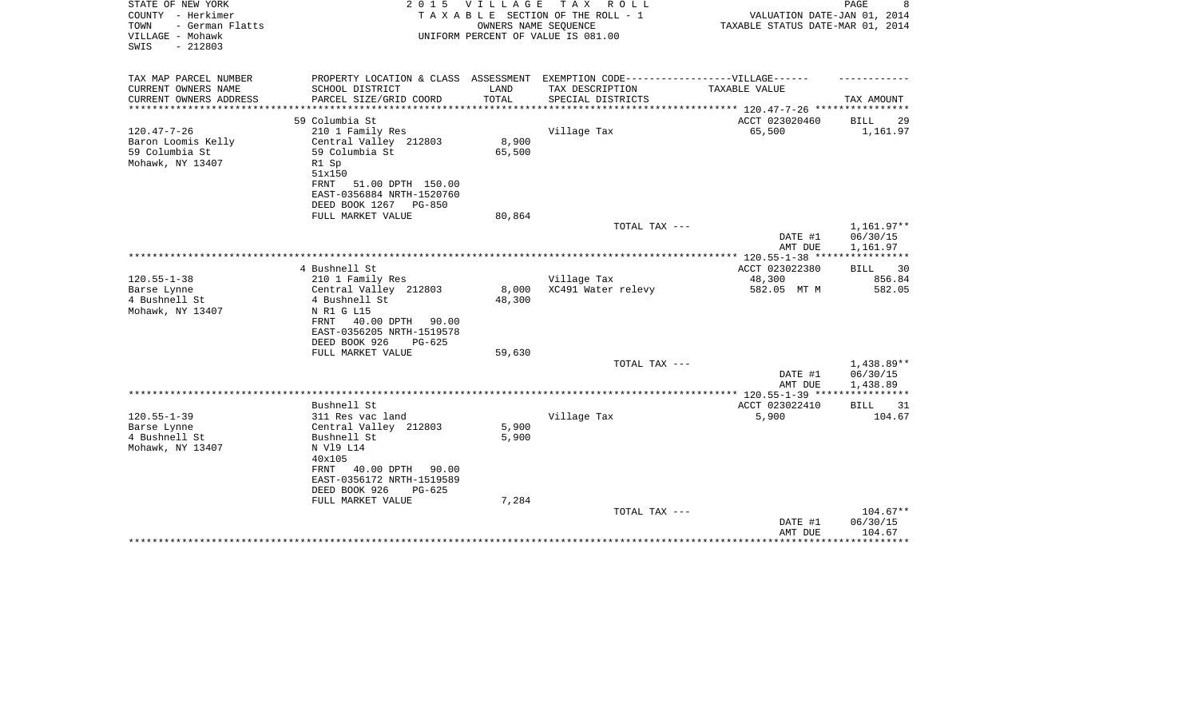| STATE OF NEW YORK<br>COUNTY - Herkimer<br>- German Flatts<br>TOWN<br>VILLAGE - Mohawk<br>$-212803$<br>SWIS | 2 0 1 5                                                 | VILLAGE<br>OWNERS NAME SEQUENCE | TAX ROLL<br>T A X A B L E SECTION OF THE ROLL - 1<br>UNIFORM PERCENT OF VALUE IS 081.00              | VALUATION DATE-JAN 01, 2014<br>TAXABLE STATUS DATE-MAR 01, 2014 | PAGE<br>8                |
|------------------------------------------------------------------------------------------------------------|---------------------------------------------------------|---------------------------------|------------------------------------------------------------------------------------------------------|-----------------------------------------------------------------|--------------------------|
| TAX MAP PARCEL NUMBER<br>CURRENT OWNERS NAME                                                               | SCHOOL DISTRICT                                         | LAND                            | PROPERTY LOCATION & CLASS ASSESSMENT EXEMPTION CODE-----------------VILLAGE------<br>TAX DESCRIPTION | TAXABLE VALUE                                                   |                          |
| CURRENT OWNERS ADDRESS                                                                                     | PARCEL SIZE/GRID COORD                                  | TOTAL                           | SPECIAL DISTRICTS                                                                                    |                                                                 | TAX AMOUNT               |
| ************                                                                                               | *******************                                     | *************                   |                                                                                                      | *********** 120.47-7-26 ****************                        |                          |
|                                                                                                            | 59 Columbia St                                          |                                 |                                                                                                      | ACCT 023020460                                                  | <b>BILL</b><br>29        |
| $120.47 - 7 - 26$                                                                                          | 210 1 Family Res                                        |                                 | Village Tax                                                                                          | 65,500                                                          | 1,161.97                 |
| Baron Loomis Kelly                                                                                         | Central Valley 212803                                   | 8,900                           |                                                                                                      |                                                                 |                          |
| 59 Columbia St<br>Mohawk, NY 13407                                                                         | 59 Columbia St<br>R1 Sp<br>51x150                       | 65,500                          |                                                                                                      |                                                                 |                          |
|                                                                                                            | FRNT<br>51.00 DPTH 150.00                               |                                 |                                                                                                      |                                                                 |                          |
|                                                                                                            | EAST-0356884 NRTH-1520760<br>DEED BOOK 1267<br>$PG-850$ |                                 |                                                                                                      |                                                                 |                          |
|                                                                                                            | FULL MARKET VALUE                                       | 80,864                          |                                                                                                      |                                                                 |                          |
|                                                                                                            |                                                         |                                 | TOTAL TAX ---                                                                                        | DATE #1                                                         | $1,161.97**$<br>06/30/15 |
|                                                                                                            |                                                         |                                 |                                                                                                      | AMT DUE                                                         | 1,161.97<br>***********  |
|                                                                                                            | 4 Bushnell St                                           |                                 |                                                                                                      | $***$ 120.55-1-38 ***<br>ACCT 023022380                         | 30<br>BILL               |
| $120.55 - 1 - 38$                                                                                          | 210 1 Family Res                                        |                                 | Village Tax                                                                                          | 48,300                                                          | 856.84                   |
| Barse Lynne                                                                                                | Central Valley 212803                                   | 8,000                           | XC491 Water relevy                                                                                   | 582.05 MT M                                                     | 582.05                   |
| 4 Bushnell St                                                                                              | 4 Bushnell St                                           | 48,300                          |                                                                                                      |                                                                 |                          |
| Mohawk, NY 13407                                                                                           | N R1 G L15                                              |                                 |                                                                                                      |                                                                 |                          |
|                                                                                                            | 40.00 DPTH 90.00<br>FRNT                                |                                 |                                                                                                      |                                                                 |                          |
|                                                                                                            | EAST-0356205 NRTH-1519578                               |                                 |                                                                                                      |                                                                 |                          |
|                                                                                                            | DEED BOOK 926<br>$PG-625$<br>FULL MARKET VALUE          | 59,630                          |                                                                                                      |                                                                 |                          |
|                                                                                                            |                                                         |                                 | TOTAL TAX ---                                                                                        |                                                                 | 1,438.89**               |
|                                                                                                            |                                                         |                                 |                                                                                                      | DATE #1<br>AMT DUE                                              | 06/30/15<br>1,438.89     |
|                                                                                                            |                                                         |                                 |                                                                                                      |                                                                 |                          |
|                                                                                                            | Bushnell St                                             |                                 |                                                                                                      | ACCT 023022410                                                  | <b>BILL</b><br>31        |
| $120.55 - 1 - 39$                                                                                          | 311 Res vac land                                        |                                 | Village Tax                                                                                          | 5,900                                                           | 104.67                   |
| Barse Lynne                                                                                                | Central Valley 212803                                   | 5,900                           |                                                                                                      |                                                                 |                          |
| 4 Bushnell St                                                                                              | Bushnell St                                             | 5,900                           |                                                                                                      |                                                                 |                          |
| Mohawk, NY 13407                                                                                           | N V19 L14<br>40x105                                     |                                 |                                                                                                      |                                                                 |                          |
|                                                                                                            | FRNT<br>40.00 DPTH<br>90.00                             |                                 |                                                                                                      |                                                                 |                          |
|                                                                                                            | EAST-0356172 NRTH-1519589                               |                                 |                                                                                                      |                                                                 |                          |
|                                                                                                            | DEED BOOK 926<br>$PG-625$                               |                                 |                                                                                                      |                                                                 |                          |
|                                                                                                            | FULL MARKET VALUE                                       | 7,284                           |                                                                                                      |                                                                 |                          |
|                                                                                                            |                                                         |                                 | TOTAL TAX ---                                                                                        |                                                                 | $104.67**$               |
|                                                                                                            |                                                         |                                 |                                                                                                      | DATE #1                                                         | 06/30/15                 |
|                                                                                                            |                                                         |                                 |                                                                                                      | AMT DUE                                                         | 104.67                   |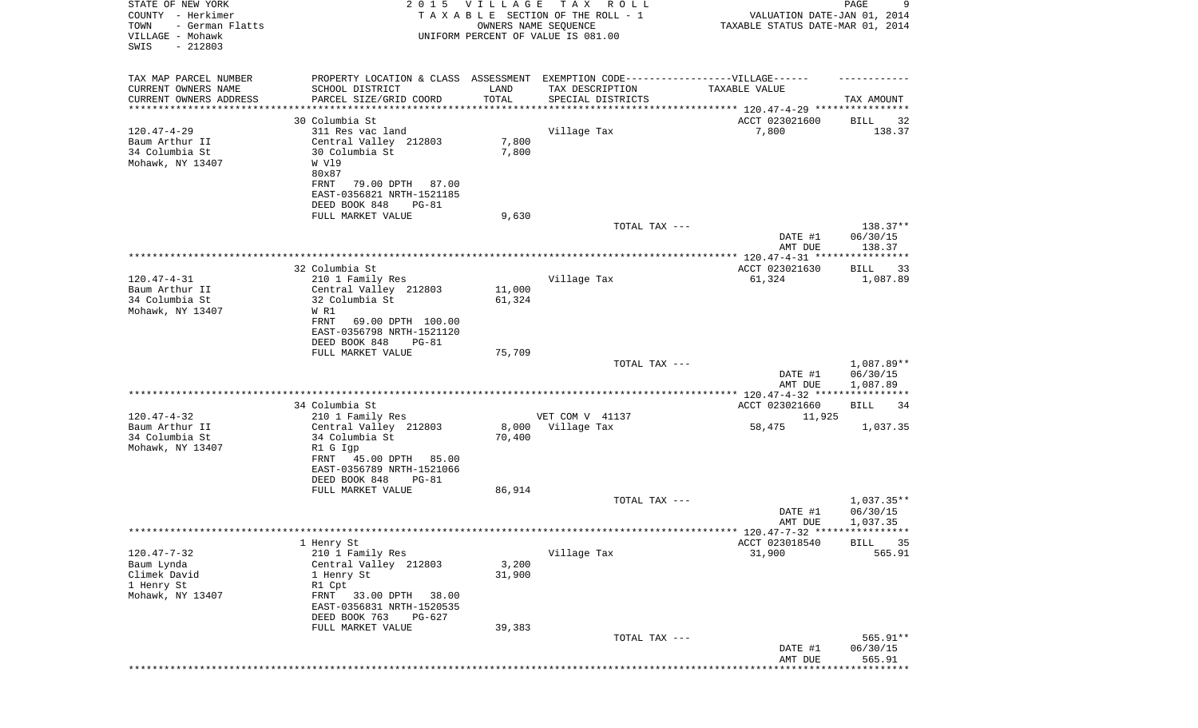| STATE OF NEW YORK<br>COUNTY - Herkimer<br>TOWN<br>- German Flatts<br>VILLAGE - Mohawk<br>SWIS<br>$-212803$ |                                                                                                                                                                  | 2015 VILLAGE<br>OWNERS NAME SEQUENCE | TAX ROLL<br>TAXABLE SECTION OF THE ROLL - 1<br>UNIFORM PERCENT OF VALUE IS 081.00 | VALUATION DATE-JAN 01, 2014<br>TAXABLE STATUS DATE-MAR 01, 2014 | 9<br>PAGE                            |
|------------------------------------------------------------------------------------------------------------|------------------------------------------------------------------------------------------------------------------------------------------------------------------|--------------------------------------|-----------------------------------------------------------------------------------|-----------------------------------------------------------------|--------------------------------------|
| TAX MAP PARCEL NUMBER<br>CURRENT OWNERS NAME<br>CURRENT OWNERS ADDRESS                                     | PROPERTY LOCATION & CLASS ASSESSMENT EXEMPTION CODE-----------------VILLAGE------<br>SCHOOL DISTRICT<br>PARCEL SIZE/GRID COORD                                   | LAND<br>TOTAL                        | TAX DESCRIPTION<br>SPECIAL DISTRICTS                                              | TAXABLE VALUE                                                   | TAX AMOUNT                           |
| ********************                                                                                       |                                                                                                                                                                  |                                      |                                                                                   | ***************************** 120.47-4-29 ****************      |                                      |
|                                                                                                            | 30 Columbia St                                                                                                                                                   |                                      |                                                                                   | ACCT 023021600                                                  | 32<br>BILL                           |
| $120.47 - 4 - 29$<br>Baum Arthur II<br>34 Columbia St<br>Mohawk, NY 13407                                  | 311 Res vac land<br>Central Valley 212803<br>30 Columbia St<br>W V19<br>80x87<br>79.00 DPTH 87.00<br>FRNT<br>EAST-0356821 NRTH-1521185<br>DEED BOOK 848<br>PG-81 | 7,800<br>7,800                       | Village Tax                                                                       | 7,800                                                           | 138.37                               |
|                                                                                                            | FULL MARKET VALUE                                                                                                                                                | 9,630                                |                                                                                   |                                                                 |                                      |
|                                                                                                            |                                                                                                                                                                  |                                      | TOTAL TAX ---                                                                     | DATE #1<br>AMT DUE                                              | 138.37**<br>06/30/15<br>138.37       |
|                                                                                                            |                                                                                                                                                                  |                                      |                                                                                   |                                                                 |                                      |
|                                                                                                            | 32 Columbia St                                                                                                                                                   |                                      |                                                                                   | ACCT 023021630                                                  | BILL<br>33                           |
| $120.47 - 4 - 31$<br>Baum Arthur II                                                                        | 210 1 Family Res<br>Central Valley 212803                                                                                                                        | 11,000                               | Village Tax                                                                       | 61,324                                                          | 1,087.89                             |
| 34 Columbia St<br>Mohawk, NY 13407                                                                         | 32 Columbia St<br>W R1<br>69.00 DPTH 100.00                                                                                                                      | 61,324                               |                                                                                   |                                                                 |                                      |
|                                                                                                            | FRNT<br>EAST-0356798 NRTH-1521120<br>DEED BOOK 848<br>PG-81                                                                                                      |                                      |                                                                                   |                                                                 |                                      |
|                                                                                                            | FULL MARKET VALUE                                                                                                                                                | 75,709                               |                                                                                   |                                                                 | 1,087.89**                           |
|                                                                                                            |                                                                                                                                                                  |                                      | TOTAL TAX ---                                                                     | DATE #1<br>AMT DUE                                              | 06/30/15<br>1,087.89                 |
|                                                                                                            |                                                                                                                                                                  |                                      |                                                                                   |                                                                 |                                      |
| $120.47 - 4 - 32$                                                                                          | 34 Columbia St<br>210 1 Family Res                                                                                                                               |                                      | VET COM V 41137                                                                   | ACCT 023021660<br>11,925                                        | BILL<br>34                           |
| Baum Arthur II<br>34 Columbia St<br>Mohawk, NY 13407                                                       | Central Valley 212803<br>34 Columbia St<br>R1 G Igp                                                                                                              | 8,000<br>70,400                      | Village Tax                                                                       | 58,475                                                          | 1,037.35                             |
|                                                                                                            | FRNT<br>45.00 DPTH 85.00<br>EAST-0356789 NRTH-1521066<br>DEED BOOK 848<br>PG-81                                                                                  |                                      |                                                                                   |                                                                 |                                      |
|                                                                                                            | FULL MARKET VALUE                                                                                                                                                | 86,914                               |                                                                                   |                                                                 |                                      |
|                                                                                                            |                                                                                                                                                                  |                                      | TOTAL TAX ---                                                                     | DATE #1<br>AMT DUE                                              | $1,037.35**$<br>06/30/15<br>1,037.35 |
|                                                                                                            |                                                                                                                                                                  |                                      |                                                                                   |                                                                 |                                      |
| $120.47 - 7 - 32$                                                                                          | 1 Henry St<br>210 1 Family Res                                                                                                                                   |                                      | Village Tax                                                                       | ACCT 023018540<br>31,900                                        | <b>BILL</b><br>35<br>565.91          |
| Baum Lynda<br>Climek David<br>1 Henry St<br>Mohawk, NY 13407                                               | Central Valley 212803<br>1 Henry St<br>R1 Cpt<br>33.00 DPTH<br>38.00<br>FRNT<br>EAST-0356831 NRTH-1520535<br>DEED BOOK 763<br>PG-627                             | 3,200<br>31,900                      |                                                                                   |                                                                 |                                      |
|                                                                                                            | FULL MARKET VALUE                                                                                                                                                | 39,383                               | TOTAL TAX ---                                                                     |                                                                 | 565.91**                             |
|                                                                                                            |                                                                                                                                                                  |                                      |                                                                                   | DATE #1<br>AMT DUE                                              | 06/30/15<br>565.91<br>*****          |
|                                                                                                            |                                                                                                                                                                  |                                      |                                                                                   |                                                                 |                                      |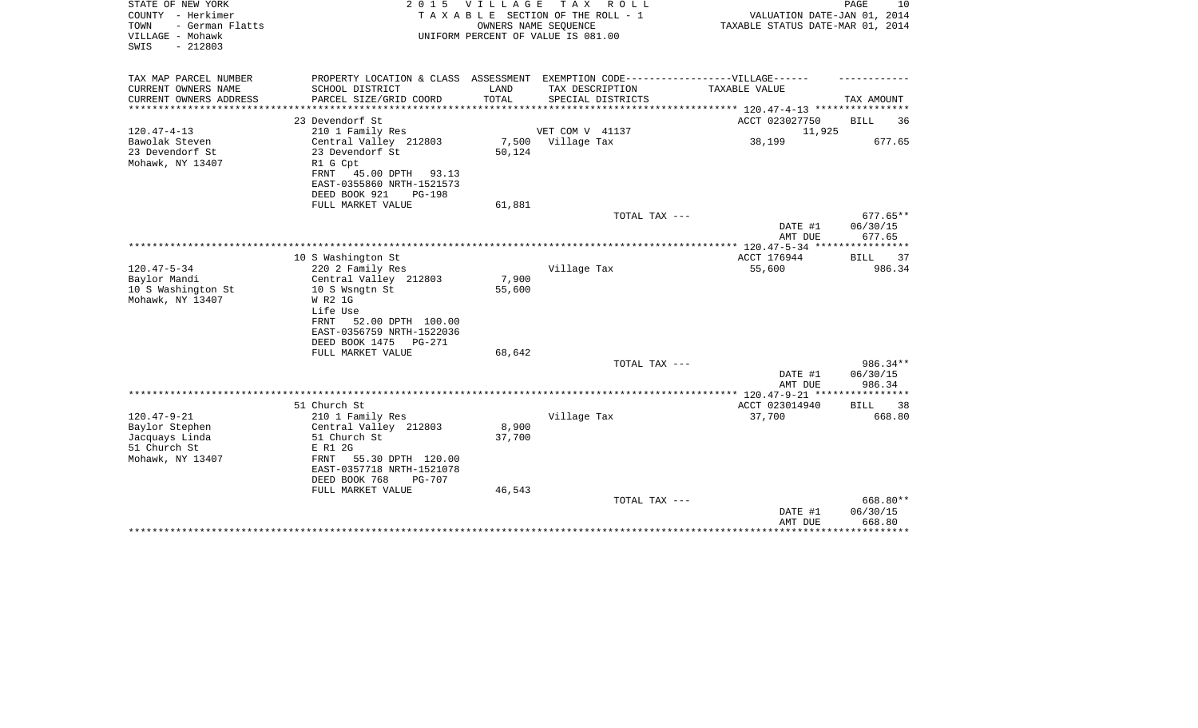| STATE OF NEW YORK<br>COUNTY - Herkimer<br>- German Flatts<br>TOWN<br>VILLAGE - Mohawk<br>$-212803$<br>SWIS |                                                             | 2015 VILLAGE    | T A X<br>R O L L<br>TAXABLE SECTION OF THE ROLL - 1<br>OWNERS NAME SEQUENCE<br>UNIFORM PERCENT OF VALUE IS 081.00 | VALUATION DATE-JAN 01, 2014<br>TAXABLE STATUS DATE-MAR 01, 2014 | PAGE<br>10                  |
|------------------------------------------------------------------------------------------------------------|-------------------------------------------------------------|-----------------|-------------------------------------------------------------------------------------------------------------------|-----------------------------------------------------------------|-----------------------------|
| TAX MAP PARCEL NUMBER                                                                                      |                                                             |                 | PROPERTY LOCATION & CLASS ASSESSMENT EXEMPTION CODE-----------------VILLAGE------                                 |                                                                 |                             |
| CURRENT OWNERS NAME<br>CURRENT OWNERS ADDRESS                                                              | SCHOOL DISTRICT<br>PARCEL SIZE/GRID COORD                   | LAND<br>TOTAL   | TAX DESCRIPTION<br>SPECIAL DISTRICTS                                                                              | TAXABLE VALUE                                                   | TAX AMOUNT                  |
|                                                                                                            | 23 Devendorf St                                             |                 |                                                                                                                   | ******* 120.47-4-13 *******<br>ACCT 023027750                   | <b>BILL</b><br>36           |
| $120.47 - 4 - 13$                                                                                          | 210 1 Family Res                                            |                 | VET COM V 41137                                                                                                   | 11,925                                                          |                             |
| Bawolak Steven                                                                                             | Central Valley 212803                                       |                 | 7,500 Village Tax                                                                                                 | 38,199                                                          | 677.65                      |
| 23 Devendorf St                                                                                            | 23 Devendorf St                                             | 50,124          |                                                                                                                   |                                                                 |                             |
| Mohawk, NY 13407                                                                                           | R1 G Cpt                                                    |                 |                                                                                                                   |                                                                 |                             |
|                                                                                                            | FRNT<br>45.00 DPTH 93.13                                    |                 |                                                                                                                   |                                                                 |                             |
|                                                                                                            | EAST-0355860 NRTH-1521573<br>DEED BOOK 921<br><b>PG-198</b> |                 |                                                                                                                   |                                                                 |                             |
|                                                                                                            | FULL MARKET VALUE                                           | 61,881          |                                                                                                                   |                                                                 |                             |
|                                                                                                            |                                                             |                 | TOTAL TAX ---                                                                                                     |                                                                 | $677.65**$                  |
|                                                                                                            |                                                             |                 |                                                                                                                   | DATE #1                                                         | 06/30/15                    |
|                                                                                                            |                                                             |                 |                                                                                                                   | AMT DUE                                                         | 677.65                      |
|                                                                                                            |                                                             |                 |                                                                                                                   | ****** 120.47-5-34 ***                                          | ************                |
| $120.47 - 5 - 34$                                                                                          | 10 S Washington St<br>220 2 Family Res                      |                 | Village Tax                                                                                                       | ACCT 176944<br>55,600                                           | <b>BILL</b><br>37<br>986.34 |
| Baylor Mandi                                                                                               | Central Valley 212803                                       | 7,900           |                                                                                                                   |                                                                 |                             |
| 10 S Washington St                                                                                         | 10 S Wsngtn St                                              | 55,600          |                                                                                                                   |                                                                 |                             |
| Mohawk, NY 13407                                                                                           | W R2 1G                                                     |                 |                                                                                                                   |                                                                 |                             |
|                                                                                                            | Life Use                                                    |                 |                                                                                                                   |                                                                 |                             |
|                                                                                                            | FRNT<br>52.00 DPTH 100.00                                   |                 |                                                                                                                   |                                                                 |                             |
|                                                                                                            | EAST-0356759 NRTH-1522036                                   |                 |                                                                                                                   |                                                                 |                             |
|                                                                                                            | DEED BOOK 1475<br>PG-271<br>FULL MARKET VALUE               | 68,642          |                                                                                                                   |                                                                 |                             |
|                                                                                                            |                                                             |                 | TOTAL TAX ---                                                                                                     |                                                                 | 986.34**                    |
|                                                                                                            |                                                             |                 |                                                                                                                   | DATE #1                                                         | 06/30/15                    |
|                                                                                                            |                                                             |                 |                                                                                                                   | AMT DUE                                                         | 986.34                      |
|                                                                                                            |                                                             |                 |                                                                                                                   | ** $120.47 - 9 - 21$ **                                         | ********                    |
|                                                                                                            | 51 Church St                                                |                 |                                                                                                                   | ACCT 023014940                                                  | <b>BILL</b><br>38           |
| $120.47 - 9 - 21$                                                                                          | 210 1 Family Res                                            |                 | Village Tax                                                                                                       | 37,700                                                          | 668.80                      |
| Baylor Stephen<br>Jacquays Linda                                                                           | Central Valley 212803<br>51 Church St                       | 8,900<br>37,700 |                                                                                                                   |                                                                 |                             |
| 51 Church St                                                                                               | E R1 2G                                                     |                 |                                                                                                                   |                                                                 |                             |
| Mohawk, NY 13407                                                                                           | 55.30 DPTH 120.00<br>FRNT                                   |                 |                                                                                                                   |                                                                 |                             |
|                                                                                                            | EAST-0357718 NRTH-1521078                                   |                 |                                                                                                                   |                                                                 |                             |
|                                                                                                            | DEED BOOK 768<br><b>PG-707</b>                              |                 |                                                                                                                   |                                                                 |                             |
|                                                                                                            | FULL MARKET VALUE                                           | 46,543          |                                                                                                                   |                                                                 |                             |
|                                                                                                            |                                                             |                 | TOTAL TAX ---                                                                                                     |                                                                 | 668.80**<br>06/30/15        |
|                                                                                                            |                                                             |                 |                                                                                                                   | DATE #1<br>AMT DUE                                              | 668.80                      |
|                                                                                                            |                                                             |                 |                                                                                                                   |                                                                 |                             |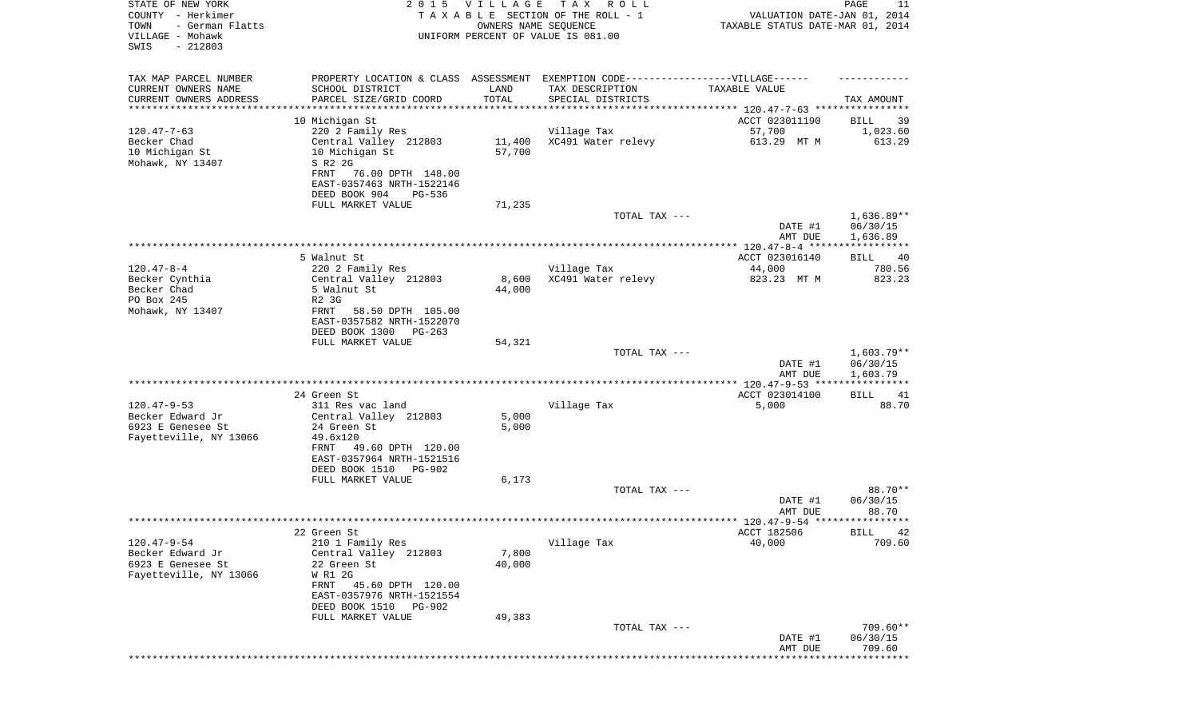| STATE OF NEW YORK<br>COUNTY - Herkimer<br>- German Flatts<br>TOWN<br>VILLAGE - Mohawk<br>SWIS<br>$-212803$ | 2 0 1 5                                                                                                                                                                                       | <b>VILLAGE</b>   | T A X<br>R O L L<br>TAXABLE SECTION OF THE ROLL - 1<br>OWNERS NAME SEQUENCE<br>UNIFORM PERCENT OF VALUE IS 081.00         | VALUATION DATE-JAN 01, 2014<br>TAXABLE STATUS DATE-MAR 01, 2014 | PAGE<br>11                           |
|------------------------------------------------------------------------------------------------------------|-----------------------------------------------------------------------------------------------------------------------------------------------------------------------------------------------|------------------|---------------------------------------------------------------------------------------------------------------------------|-----------------------------------------------------------------|--------------------------------------|
| TAX MAP PARCEL NUMBER<br>CURRENT OWNERS NAME<br>CURRENT OWNERS ADDRESS<br>**********************           | SCHOOL DISTRICT<br>PARCEL SIZE/GRID COORD                                                                                                                                                     | LAND<br>TOTAL    | PROPERTY LOCATION & CLASS ASSESSMENT EXEMPTION CODE-----------------VILLAGE------<br>TAX DESCRIPTION<br>SPECIAL DISTRICTS | TAXABLE VALUE                                                   | TAX AMOUNT                           |
|                                                                                                            | 10 Michigan St                                                                                                                                                                                |                  |                                                                                                                           | ACCT 023011190                                                  | 39<br>BILL                           |
| $120.47 - 7 - 63$<br>Becker Chad<br>10 Michigan St<br>Mohawk, NY 13407                                     | 220 2 Family Res<br>Central Valley 212803<br>10 Michigan St<br>S R2 2G<br>FRNT<br>76.00 DPTH 148.00<br>EAST-0357463 NRTH-1522146<br>DEED BOOK 904<br>PG-536                                   | 11,400<br>57,700 | Village Tax<br>XC491 Water relevy                                                                                         | 57,700<br>613.29 MT M                                           | 1,023.60<br>613.29                   |
|                                                                                                            | FULL MARKET VALUE                                                                                                                                                                             | 71,235           |                                                                                                                           |                                                                 |                                      |
|                                                                                                            |                                                                                                                                                                                               |                  | TOTAL TAX ---                                                                                                             | DATE #1<br>AMT DUE                                              | 1,636.89**<br>06/30/15<br>1,636.89   |
|                                                                                                            |                                                                                                                                                                                               |                  |                                                                                                                           |                                                                 |                                      |
| $120.47 - 8 - 4$<br>Becker Cynthia<br>Becker Chad<br>PO Box 245<br>Mohawk, NY 13407                        | 5 Walnut St<br>220 2 Family Res<br>Central Valley 212803<br>5 Walnut St<br>R2 3G<br>FRNT<br>58.50 DPTH 105.00                                                                                 | 8,600<br>44,000  | Village Tax<br>XC491 Water relevy                                                                                         | ACCT 023016140<br>44,000<br>823.23 MT M                         | 40<br>BILL<br>780.56<br>823.23       |
|                                                                                                            | EAST-0357582 NRTH-1522070<br>DEED BOOK 1300<br>$PG-263$<br>FULL MARKET VALUE                                                                                                                  | 54,321           | TOTAL TAX ---                                                                                                             | DATE #1<br>AMT DUE                                              | $1,603.79**$<br>06/30/15<br>1,603.79 |
|                                                                                                            |                                                                                                                                                                                               |                  |                                                                                                                           |                                                                 |                                      |
| $120.47 - 9 - 53$<br>Becker Edward Jr<br>6923 E Genesee St<br>Fayetteville, NY 13066                       | 24 Green St<br>311 Res vac land<br>Central Valley 212803<br>24 Green St<br>49.6x120<br>49.60 DPTH 120.00<br>FRNT<br>EAST-0357964 NRTH-1521516<br>DEED BOOK 1510<br>PG-902                     | 5,000<br>5,000   | Village Tax                                                                                                               | ACCT 023014100<br>5,000                                         | BILL<br>41<br>88.70                  |
|                                                                                                            | FULL MARKET VALUE                                                                                                                                                                             | 6,173            |                                                                                                                           |                                                                 |                                      |
|                                                                                                            |                                                                                                                                                                                               |                  | TOTAL TAX ---                                                                                                             | DATE #1<br>AMT DUE                                              | 88.70**<br>06/30/15<br>88.70         |
|                                                                                                            |                                                                                                                                                                                               |                  |                                                                                                                           |                                                                 |                                      |
| $120.47 - 9 - 54$<br>Becker Edward Jr<br>6923 E Genesee St<br>Fayetteville, NY 13066                       | 22 Green St<br>210 1 Family Res<br>Central Valley 212803<br>22 Green St<br>W R1 2G<br>FRNT<br>45.60 DPTH 120.00<br>EAST-0357976 NRTH-1521554<br>DEED BOOK 1510<br>PG-902<br>FULL MARKET VALUE | 7,800<br>40,000  | Village Tax                                                                                                               | ACCT 182506<br>40,000                                           | BILL 42<br>709.60                    |
|                                                                                                            |                                                                                                                                                                                               | 49,383           | TOTAL TAX ---                                                                                                             | DATE #1<br>AMT DUE                                              | $709.60**$<br>06/30/15<br>709.60     |
|                                                                                                            |                                                                                                                                                                                               |                  |                                                                                                                           |                                                                 | * * * * * * * * * *                  |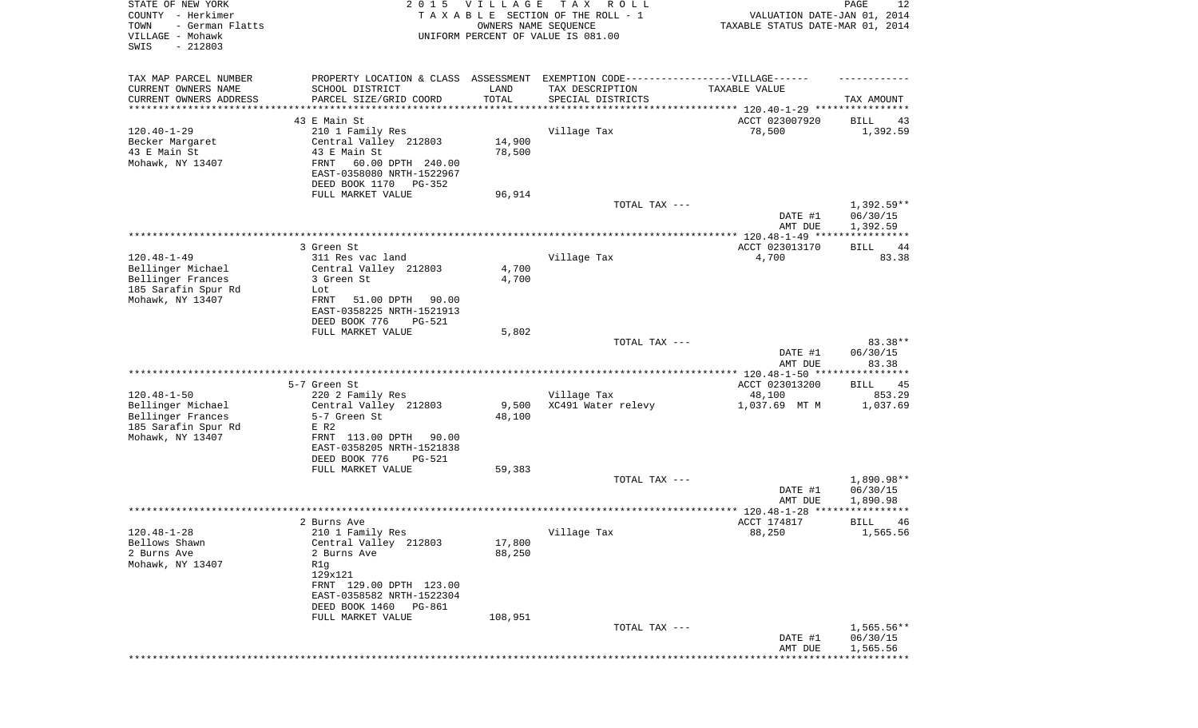| STATE OF NEW YORK<br>COUNTY - Herkimer<br>- German Flatts<br>TOWN<br>VILLAGE - Mohawk<br>SWIS<br>$-212803$ | 2 0 1 5                                                                                                                                                     | <b>VILLAGE</b>   | T A X<br>R O L L<br>TAXABLE SECTION OF THE ROLL - 1<br>OWNERS NAME SEQUENCE<br>UNIFORM PERCENT OF VALUE IS 081.00 | VALUATION DATE-JAN 01, 2014<br>TAXABLE STATUS DATE-MAR 01, 2014 | PAGE<br>12                           |
|------------------------------------------------------------------------------------------------------------|-------------------------------------------------------------------------------------------------------------------------------------------------------------|------------------|-------------------------------------------------------------------------------------------------------------------|-----------------------------------------------------------------|--------------------------------------|
| TAX MAP PARCEL NUMBER<br>CURRENT OWNERS NAME                                                               | SCHOOL DISTRICT                                                                                                                                             | LAND             | PROPERTY LOCATION & CLASS ASSESSMENT EXEMPTION CODE-----------------VILLAGE------<br>TAX DESCRIPTION              | TAXABLE VALUE                                                   |                                      |
| CURRENT OWNERS ADDRESS<br>********************                                                             | PARCEL SIZE/GRID COORD                                                                                                                                      | TOTAL            | SPECIAL DISTRICTS                                                                                                 |                                                                 | TAX AMOUNT                           |
|                                                                                                            | 43 E Main St                                                                                                                                                |                  |                                                                                                                   | ACCT 023007920                                                  | BILL<br>43                           |
| $120.40 - 1 - 29$<br>Becker Margaret<br>43 E Main St<br>Mohawk, NY 13407                                   | 210 1 Family Res<br>Central Valley 212803<br>43 E Main St<br>FRNT<br>60.00 DPTH 240.00<br>EAST-0358080 NRTH-1522967                                         | 14,900<br>78,500 | Village Tax                                                                                                       | 78,500                                                          | 1,392.59                             |
|                                                                                                            | DEED BOOK 1170<br>PG-352<br>FULL MARKET VALUE                                                                                                               | 96,914           |                                                                                                                   |                                                                 |                                      |
|                                                                                                            |                                                                                                                                                             |                  | TOTAL TAX ---                                                                                                     | DATE #1<br>AMT DUE                                              | $1,392.59**$<br>06/30/15<br>1,392.59 |
|                                                                                                            |                                                                                                                                                             |                  |                                                                                                                   |                                                                 |                                      |
| $120.48 - 1 - 49$                                                                                          | 3 Green St<br>311 Res vac land                                                                                                                              |                  | Village Tax                                                                                                       | ACCT 023013170<br>4,700                                         | <b>BILL</b><br>44<br>83.38           |
| Bellinger Michael<br>Bellinger Frances<br>185 Sarafin Spur Rd                                              | Central Valley 212803<br>3 Green St<br>Lot                                                                                                                  | 4,700<br>4,700   |                                                                                                                   |                                                                 |                                      |
| Mohawk, NY 13407                                                                                           | FRNT<br>51.00 DPTH<br>90.00<br>EAST-0358225 NRTH-1521913<br>DEED BOOK 776<br>$PG-521$                                                                       |                  |                                                                                                                   |                                                                 |                                      |
|                                                                                                            | FULL MARKET VALUE                                                                                                                                           | 5,802            |                                                                                                                   |                                                                 |                                      |
|                                                                                                            |                                                                                                                                                             |                  | TOTAL TAX ---                                                                                                     | DATE #1<br>AMT DUE                                              | 83.38**<br>06/30/15<br>83.38         |
|                                                                                                            |                                                                                                                                                             |                  |                                                                                                                   | ************ 120.48-1-50 ********                               | * * * * * * * *                      |
| $120.48 - 1 - 50$                                                                                          | 5-7 Green St<br>220 2 Family Res                                                                                                                            |                  | Village Tax                                                                                                       | ACCT 023013200<br>48,100                                        | BILL<br>45<br>853.29                 |
| Bellinger Michael<br>Bellinger Frances<br>185 Sarafin Spur Rd<br>Mohawk, NY 13407                          | Central Valley 212803<br>5-7 Green St<br>E R2<br>FRNT 113.00 DPTH<br>90.00                                                                                  | 9,500<br>48,100  | XC491 Water relevy                                                                                                | 1,037.69 MT M                                                   | 1,037.69                             |
|                                                                                                            | EAST-0358205 NRTH-1521838<br>DEED BOOK 776<br>PG-521                                                                                                        |                  |                                                                                                                   |                                                                 |                                      |
|                                                                                                            | FULL MARKET VALUE                                                                                                                                           | 59,383           |                                                                                                                   |                                                                 |                                      |
|                                                                                                            |                                                                                                                                                             |                  | TOTAL TAX ---                                                                                                     | DATE #1<br>AMT DUE                                              | 1,890.98**<br>06/30/15<br>1,890.98   |
|                                                                                                            |                                                                                                                                                             |                  |                                                                                                                   |                                                                 | * * * * *                            |
|                                                                                                            | 2 Burns Ave                                                                                                                                                 |                  |                                                                                                                   | ACCT 174817                                                     | 46<br>BILL                           |
| $120.48 - 1 - 28$<br>Bellows Shawn<br>2 Burns Ave<br>Mohawk, NY 13407                                      | 210 1 Family Res<br>Central Valley 212803<br>2 Burns Ave<br>R1g<br>129x121<br>FRNT 129.00 DPTH 123.00<br>EAST-0358582 NRTH-1522304<br>DEED BOOK 1460 PG-861 | 17,800<br>88,250 | Village Tax                                                                                                       | 88,250                                                          | 1,565.56                             |
|                                                                                                            | FULL MARKET VALUE                                                                                                                                           | 108,951          | TOTAL TAX ---                                                                                                     | DATE #1                                                         | $1,565.56**$<br>06/30/15             |
|                                                                                                            |                                                                                                                                                             |                  |                                                                                                                   | AMT DUE                                                         | 1,565.56                             |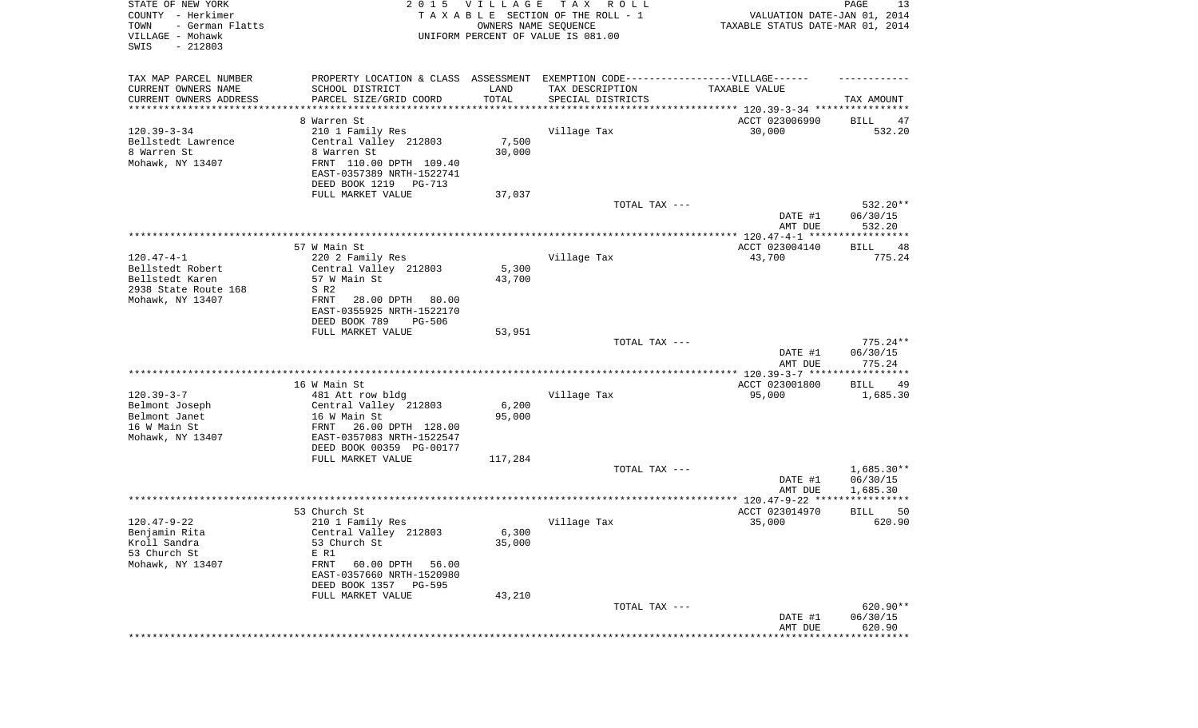| STATE OF NEW YORK<br>COUNTY - Herkimer<br>- German Flatts<br>TOWN<br>VILLAGE - Mohawk<br>SWIS<br>$-212803$ |                                                                                  | 2015 VILLAGE<br>OWNERS NAME SEQUENCE | TAX ROLL<br>TAXABLE SECTION OF THE ROLL - 1<br>UNIFORM PERCENT OF VALUE IS 081.00 | VALUATION DATE-JAN 01, 2014<br>TAXABLE STATUS DATE-MAR 01, 2014 | PAGE<br>13                     |
|------------------------------------------------------------------------------------------------------------|----------------------------------------------------------------------------------|--------------------------------------|-----------------------------------------------------------------------------------|-----------------------------------------------------------------|--------------------------------|
| TAX MAP PARCEL NUMBER                                                                                      | PROPERTY LOCATION & CLASS ASSESSMENT EXEMPTION CODE----------------VILLAGE------ |                                      |                                                                                   |                                                                 |                                |
| CURRENT OWNERS NAME                                                                                        | SCHOOL DISTRICT                                                                  | LAND                                 | TAX DESCRIPTION                                                                   | TAXABLE VALUE                                                   |                                |
| CURRENT OWNERS ADDRESS<br>*********************                                                            | PARCEL SIZE/GRID COORD                                                           | TOTAL<br>* * * * * * * * * * *       | SPECIAL DISTRICTS                                                                 |                                                                 | TAX AMOUNT                     |
|                                                                                                            | 8 Warren St                                                                      |                                      |                                                                                   | ACCT 023006990                                                  | BILL<br>47                     |
| $120.39 - 3 - 34$                                                                                          | 210 1 Family Res                                                                 |                                      | Village Tax                                                                       | 30,000                                                          | 532.20                         |
| Bellstedt Lawrence                                                                                         | Central Valley 212803                                                            | 7,500                                |                                                                                   |                                                                 |                                |
| 8 Warren St                                                                                                | 8 Warren St                                                                      | 30,000                               |                                                                                   |                                                                 |                                |
| Mohawk, NY 13407                                                                                           | FRNT 110.00 DPTH 109.40                                                          |                                      |                                                                                   |                                                                 |                                |
|                                                                                                            | EAST-0357389 NRTH-1522741                                                        |                                      |                                                                                   |                                                                 |                                |
|                                                                                                            | DEED BOOK 1219 PG-713                                                            |                                      |                                                                                   |                                                                 |                                |
|                                                                                                            | FULL MARKET VALUE                                                                | 37,037                               |                                                                                   |                                                                 |                                |
|                                                                                                            |                                                                                  |                                      | TOTAL TAX ---                                                                     | DATE #1<br>AMT DUE                                              | 532.20**<br>06/30/15<br>532.20 |
|                                                                                                            |                                                                                  |                                      |                                                                                   |                                                                 |                                |
|                                                                                                            | 57 W Main St                                                                     |                                      |                                                                                   | ACCT 023004140                                                  | BILL<br>48                     |
| $120.47 - 4 - 1$                                                                                           | 220 2 Family Res                                                                 |                                      | Village Tax                                                                       | 43,700                                                          | 775.24                         |
| Bellstedt Robert                                                                                           | Central Valley 212803                                                            | 5,300                                |                                                                                   |                                                                 |                                |
| Bellstedt Karen                                                                                            | 57 W Main St                                                                     | 43,700                               |                                                                                   |                                                                 |                                |
| 2938 State Route 168<br>Mohawk, NY 13407                                                                   | S R2                                                                             |                                      |                                                                                   |                                                                 |                                |
|                                                                                                            | FRNT<br>28.00 DPTH<br>80.00<br>EAST-0355925 NRTH-1522170                         |                                      |                                                                                   |                                                                 |                                |
|                                                                                                            | DEED BOOK 789<br>PG-506                                                          |                                      |                                                                                   |                                                                 |                                |
|                                                                                                            | FULL MARKET VALUE                                                                | 53,951                               |                                                                                   |                                                                 |                                |
|                                                                                                            |                                                                                  |                                      | TOTAL TAX ---                                                                     |                                                                 | $775.24**$                     |
|                                                                                                            |                                                                                  |                                      |                                                                                   | DATE #1<br>AMT DUE                                              | 06/30/15<br>775.24             |
|                                                                                                            |                                                                                  |                                      |                                                                                   | **************** 120.39-3-7 ******                              | * * * * * * * * * * *          |
| $120.39 - 3 - 7$                                                                                           | 16 W Main St<br>481 Att row bldg                                                 |                                      | Village Tax                                                                       | ACCT 023001800<br>95,000                                        | BILL<br>49<br>1,685.30         |
| Belmont Joseph                                                                                             | Central Valley 212803                                                            | 6,200                                |                                                                                   |                                                                 |                                |
| Belmont Janet                                                                                              | 16 W Main St                                                                     | 95,000                               |                                                                                   |                                                                 |                                |
| 16 W Main St                                                                                               | 26.00 DPTH 128.00<br>FRNT                                                        |                                      |                                                                                   |                                                                 |                                |
| Mohawk, NY 13407                                                                                           | EAST-0357083 NRTH-1522547                                                        |                                      |                                                                                   |                                                                 |                                |
|                                                                                                            | DEED BOOK 00359 PG-00177                                                         |                                      |                                                                                   |                                                                 |                                |
|                                                                                                            | FULL MARKET VALUE                                                                | 117,284                              |                                                                                   |                                                                 |                                |
|                                                                                                            |                                                                                  |                                      | TOTAL TAX ---                                                                     |                                                                 | $1,685.30**$                   |
|                                                                                                            |                                                                                  |                                      |                                                                                   | DATE #1                                                         | 06/30/15<br>1,685.30           |
|                                                                                                            |                                                                                  |                                      |                                                                                   | AMT DUE                                                         |                                |
|                                                                                                            | 53 Church St                                                                     |                                      |                                                                                   | ACCT 023014970                                                  | BILL<br>50                     |
| $120.47 - 9 - 22$                                                                                          | 210 1 Family Res                                                                 |                                      | Village Tax                                                                       | 35,000                                                          | 620.90                         |
| Benjamin Rita                                                                                              | Central Valley 212803                                                            | 6,300                                |                                                                                   |                                                                 |                                |
| Kroll Sandra                                                                                               | 53 Church St                                                                     | 35,000                               |                                                                                   |                                                                 |                                |
| 53 Church St                                                                                               | E R1                                                                             |                                      |                                                                                   |                                                                 |                                |
| Mohawk, NY 13407                                                                                           | FRNT<br>60.00 DPTH<br>56.00                                                      |                                      |                                                                                   |                                                                 |                                |
|                                                                                                            | EAST-0357660 NRTH-1520980<br>DEED BOOK 1357 PG-595                               |                                      |                                                                                   |                                                                 |                                |
|                                                                                                            | FULL MARKET VALUE                                                                | 43,210                               |                                                                                   |                                                                 |                                |
|                                                                                                            |                                                                                  |                                      | TOTAL TAX ---                                                                     |                                                                 | 620.90**                       |
|                                                                                                            |                                                                                  |                                      |                                                                                   | DATE #1                                                         | 06/30/15                       |
|                                                                                                            |                                                                                  |                                      |                                                                                   | AMT DUE                                                         | 620.90                         |
|                                                                                                            |                                                                                  |                                      |                                                                                   |                                                                 |                                |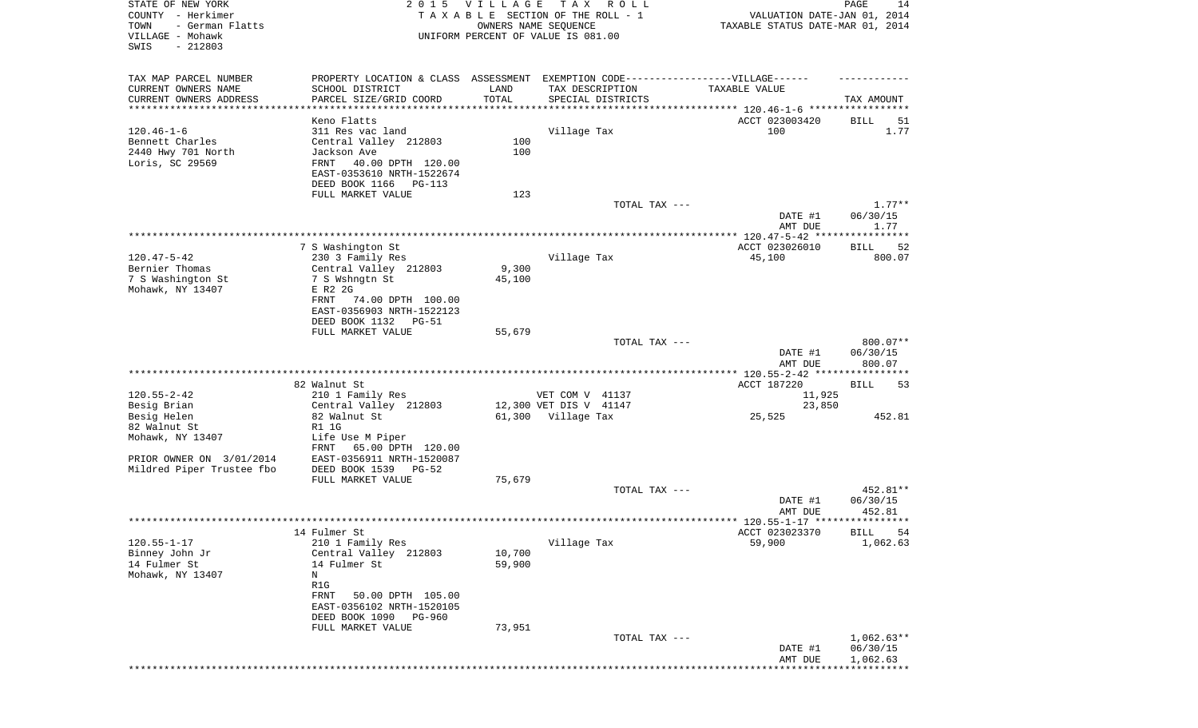| STATE OF NEW YORK<br>COUNTY - Herkimer<br>TOWN<br>- German Flatts<br>VILLAGE - Mohawk<br>SWIS<br>$-212803$ | 2 0 1 5                                                                                                                                     | <b>VILLAGE</b>  | T A X<br>R O L L<br>TAXABLE SECTION OF THE ROLL - 1<br>OWNERS NAME SEQUENCE<br>UNIFORM PERCENT OF VALUE IS 081.00 | VALUATION DATE-JAN 01, 2014<br>TAXABLE STATUS DATE-MAR 01, 2014 | PAGE<br>14                   |
|------------------------------------------------------------------------------------------------------------|---------------------------------------------------------------------------------------------------------------------------------------------|-----------------|-------------------------------------------------------------------------------------------------------------------|-----------------------------------------------------------------|------------------------------|
| TAX MAP PARCEL NUMBER<br>CURRENT OWNERS NAME                                                               | PROPERTY LOCATION & CLASS ASSESSMENT EXEMPTION CODE-----------------VILLAGE------<br>SCHOOL DISTRICT                                        | LAND            | TAX DESCRIPTION                                                                                                   | TAXABLE VALUE                                                   |                              |
| CURRENT OWNERS ADDRESS<br>***********************                                                          | PARCEL SIZE/GRID COORD<br>************************                                                                                          | TOTAL           | SPECIAL DISTRICTS                                                                                                 |                                                                 | TAX AMOUNT                   |
|                                                                                                            | Keno Flatts                                                                                                                                 |                 |                                                                                                                   | ACCT 023003420                                                  | BILL<br>51                   |
| $120.46 - 1 - 6$<br>Bennett Charles<br>2440 Hwy 701 North<br>Loris, SC 29569                               | 311 Res vac land<br>Central Valley 212803<br>Jackson Ave<br>40.00 DPTH 120.00<br>FRNT<br>EAST-0353610 NRTH-1522674<br>DEED BOOK 1166 PG-113 | 100<br>100      | Village Tax                                                                                                       | 100                                                             | 1.77                         |
|                                                                                                            | FULL MARKET VALUE                                                                                                                           | 123             |                                                                                                                   |                                                                 |                              |
|                                                                                                            |                                                                                                                                             |                 | TOTAL TAX ---                                                                                                     | DATE #1<br>AMT DUE                                              | $1.77**$<br>06/30/15<br>1.77 |
|                                                                                                            |                                                                                                                                             |                 |                                                                                                                   |                                                                 |                              |
|                                                                                                            | 7 S Washington St                                                                                                                           |                 |                                                                                                                   | ACCT 023026010                                                  | <b>BILL</b><br>52            |
| $120.47 - 5 - 42$                                                                                          | 230 3 Family Res                                                                                                                            |                 | Village Tax                                                                                                       | 45,100                                                          | 800.07                       |
| Bernier Thomas<br>7 S Washington St                                                                        | Central Valley 212803<br>7 S Wshngtn St                                                                                                     | 9,300<br>45,100 |                                                                                                                   |                                                                 |                              |
| Mohawk, NY 13407                                                                                           | E R2 2G                                                                                                                                     |                 |                                                                                                                   |                                                                 |                              |
|                                                                                                            | FRNT<br>74.00 DPTH 100.00<br>EAST-0356903 NRTH-1522123                                                                                      |                 |                                                                                                                   |                                                                 |                              |
|                                                                                                            | DEED BOOK 1132<br>PG-51<br>FULL MARKET VALUE                                                                                                | 55,679          |                                                                                                                   |                                                                 |                              |
|                                                                                                            |                                                                                                                                             |                 | TOTAL TAX ---                                                                                                     |                                                                 | 800.07**                     |
|                                                                                                            |                                                                                                                                             |                 |                                                                                                                   | DATE #1<br>AMT DUE                                              | 06/30/15<br>800.07           |
|                                                                                                            |                                                                                                                                             |                 |                                                                                                                   | **************** 120.55-2-42 *****************                  |                              |
| $120.55 - 2 - 42$                                                                                          | 82 Walnut St<br>210 1 Family Res                                                                                                            |                 | VET COM V 41137                                                                                                   | ACCT 187220<br>11,925                                           | BILL<br>53                   |
| Besig Brian                                                                                                | Central Valley 212803                                                                                                                       |                 | 12,300 VET DIS V 41147                                                                                            | 23,850                                                          |                              |
| Besig Helen                                                                                                | 82 Walnut St                                                                                                                                |                 | 61,300 Village Tax                                                                                                | 25,525                                                          | 452.81                       |
| 82 Walnut St                                                                                               | R1 1G                                                                                                                                       |                 |                                                                                                                   |                                                                 |                              |
| Mohawk, NY 13407                                                                                           | Life Use M Piper<br>65.00 DPTH 120.00<br>FRNT                                                                                               |                 |                                                                                                                   |                                                                 |                              |
| PRIOR OWNER ON 3/01/2014                                                                                   | EAST-0356911 NRTH-1520087                                                                                                                   |                 |                                                                                                                   |                                                                 |                              |
| Mildred Piper Trustee fbo                                                                                  | DEED BOOK 1539<br>$PG-52$                                                                                                                   |                 |                                                                                                                   |                                                                 |                              |
|                                                                                                            | FULL MARKET VALUE                                                                                                                           | 75,679          |                                                                                                                   |                                                                 |                              |
|                                                                                                            |                                                                                                                                             |                 | TOTAL TAX ---                                                                                                     | DATE #1                                                         | 452.81**                     |
|                                                                                                            |                                                                                                                                             |                 |                                                                                                                   | AMT DUE                                                         | 06/30/15<br>452.81           |
|                                                                                                            | 14 Fulmer St                                                                                                                                |                 |                                                                                                                   | ACCT 023023370                                                  | BILL 54                      |
| $120.55 - 1 - 17$                                                                                          | 210 1 Family Res                                                                                                                            |                 | Village Tax                                                                                                       | 59,900                                                          | 1,062.63                     |
| Binney John Jr                                                                                             | Central Valley 212803                                                                                                                       | 10,700          |                                                                                                                   |                                                                 |                              |
| 14 Fulmer St                                                                                               | 14 Fulmer St                                                                                                                                | 59,900          |                                                                                                                   |                                                                 |                              |
| Mohawk, NY 13407                                                                                           | N<br>R1G                                                                                                                                    |                 |                                                                                                                   |                                                                 |                              |
|                                                                                                            | 50.00 DPTH 105.00<br>FRNT                                                                                                                   |                 |                                                                                                                   |                                                                 |                              |
|                                                                                                            | EAST-0356102 NRTH-1520105                                                                                                                   |                 |                                                                                                                   |                                                                 |                              |
|                                                                                                            | DEED BOOK 1090<br>PG-960                                                                                                                    |                 |                                                                                                                   |                                                                 |                              |
|                                                                                                            | FULL MARKET VALUE                                                                                                                           | 73,951          |                                                                                                                   |                                                                 | $1,062.63**$                 |
|                                                                                                            |                                                                                                                                             |                 | TOTAL TAX ---                                                                                                     | DATE #1                                                         | 06/30/15                     |
|                                                                                                            |                                                                                                                                             |                 |                                                                                                                   | AMT DUE                                                         | 1,062.63                     |
|                                                                                                            |                                                                                                                                             |                 |                                                                                                                   |                                                                 |                              |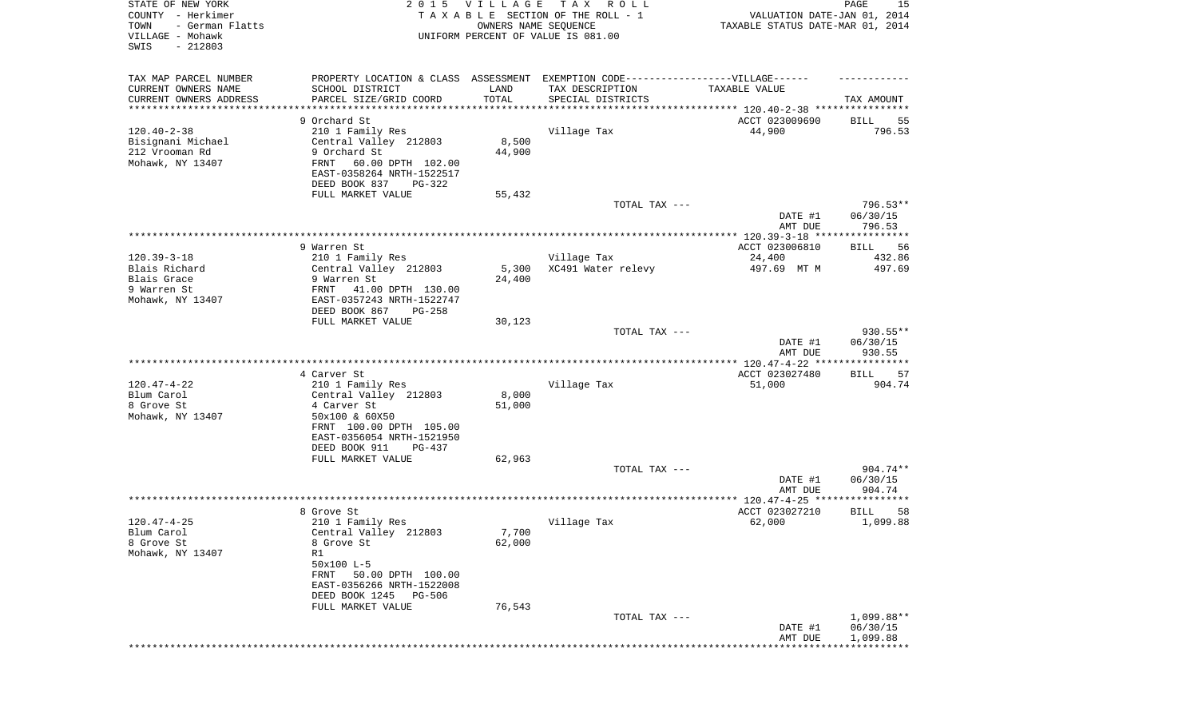| STATE OF NEW YORK<br>COUNTY - Herkimer<br>TOWN<br>- German Flatts<br>VILLAGE - Mohawk<br>SWIS<br>$-212803$ | 2 0 1 5                                   | VILLAGE<br>OWNERS NAME SEQUENCE | T A X<br>R O L L<br>TAXABLE SECTION OF THE ROLL - 1<br>UNIFORM PERCENT OF VALUE IS 081.00 | VALUATION DATE-JAN 01, 2014<br>TAXABLE STATUS DATE-MAR 01, 2014 | PAGE<br>15                    |
|------------------------------------------------------------------------------------------------------------|-------------------------------------------|---------------------------------|-------------------------------------------------------------------------------------------|-----------------------------------------------------------------|-------------------------------|
|                                                                                                            |                                           |                                 |                                                                                           |                                                                 |                               |
| TAX MAP PARCEL NUMBER                                                                                      |                                           |                                 | PROPERTY LOCATION & CLASS ASSESSMENT EXEMPTION CODE-----------------VILLAGE------         |                                                                 |                               |
| CURRENT OWNERS NAME                                                                                        | SCHOOL DISTRICT                           | LAND                            | TAX DESCRIPTION                                                                           | TAXABLE VALUE                                                   |                               |
| CURRENT OWNERS ADDRESS                                                                                     | PARCEL SIZE/GRID COORD                    | TOTAL                           | SPECIAL DISTRICTS                                                                         |                                                                 | TAX AMOUNT                    |
| ********************                                                                                       |                                           |                                 |                                                                                           |                                                                 |                               |
| $120.40 - 2 - 38$                                                                                          | 9 Orchard St                              |                                 |                                                                                           | ACCT 023009690<br>44,900                                        | BILL<br>55<br>796.53          |
| Bisignani Michael                                                                                          | 210 1 Family Res<br>Central Valley 212803 | 8,500                           | Village Tax                                                                               |                                                                 |                               |
| 212 Vrooman Rd                                                                                             | 9 Orchard St                              | 44,900                          |                                                                                           |                                                                 |                               |
| Mohawk, NY 13407                                                                                           | FRNT<br>60.00 DPTH 102.00                 |                                 |                                                                                           |                                                                 |                               |
|                                                                                                            | EAST-0358264 NRTH-1522517                 |                                 |                                                                                           |                                                                 |                               |
|                                                                                                            | DEED BOOK 837<br>PG-322                   |                                 |                                                                                           |                                                                 |                               |
|                                                                                                            | FULL MARKET VALUE                         | 55,432                          |                                                                                           |                                                                 |                               |
|                                                                                                            |                                           |                                 | TOTAL TAX ---                                                                             |                                                                 | 796.53**                      |
|                                                                                                            |                                           |                                 |                                                                                           | DATE #1                                                         | 06/30/15                      |
|                                                                                                            |                                           |                                 |                                                                                           | AMT DUE                                                         | 796.53                        |
|                                                                                                            |                                           |                                 |                                                                                           |                                                                 |                               |
|                                                                                                            | 9 Warren St                               |                                 |                                                                                           | ACCT 023006810                                                  | 56<br>BILL                    |
| $120.39 - 3 - 18$                                                                                          | 210 1 Family Res                          |                                 | Village Tax                                                                               | 24,400                                                          | 432.86                        |
| Blais Richard<br>Blais Grace                                                                               | Central Valley 212803<br>9 Warren St      | 5,300<br>24,400                 | XC491 Water relevy                                                                        | 497.69 MT M                                                     | 497.69                        |
| 9 Warren St                                                                                                | 41.00 DPTH 130.00<br>FRNT                 |                                 |                                                                                           |                                                                 |                               |
| Mohawk, NY 13407                                                                                           | EAST-0357243 NRTH-1522747                 |                                 |                                                                                           |                                                                 |                               |
|                                                                                                            | DEED BOOK 867<br>PG-258                   |                                 |                                                                                           |                                                                 |                               |
|                                                                                                            | FULL MARKET VALUE                         | 30,123                          |                                                                                           |                                                                 |                               |
|                                                                                                            |                                           |                                 | TOTAL TAX ---                                                                             |                                                                 | 930.55**                      |
|                                                                                                            |                                           |                                 |                                                                                           | DATE #1                                                         | 06/30/15                      |
|                                                                                                            |                                           |                                 |                                                                                           | AMT DUE                                                         | 930.55                        |
|                                                                                                            |                                           |                                 |                                                                                           |                                                                 |                               |
| $120.47 - 4 - 22$                                                                                          | 4 Carver St                               |                                 | Village Tax                                                                               | ACCT 023027480                                                  | BILL<br>57<br>904.74          |
| Blum Carol                                                                                                 | 210 1 Family Res<br>Central Valley 212803 | 8,000                           |                                                                                           | 51,000                                                          |                               |
| 8 Grove St                                                                                                 | 4 Carver St                               | 51,000                          |                                                                                           |                                                                 |                               |
| Mohawk, NY 13407                                                                                           | 50x100 & 60X50                            |                                 |                                                                                           |                                                                 |                               |
|                                                                                                            | FRNT 100.00 DPTH 105.00                   |                                 |                                                                                           |                                                                 |                               |
|                                                                                                            | EAST-0356054 NRTH-1521950                 |                                 |                                                                                           |                                                                 |                               |
|                                                                                                            | DEED BOOK 911<br>PG-437                   |                                 |                                                                                           |                                                                 |                               |
|                                                                                                            | FULL MARKET VALUE                         | 62,963                          |                                                                                           |                                                                 |                               |
|                                                                                                            |                                           |                                 | TOTAL TAX ---                                                                             |                                                                 | 904.74**                      |
|                                                                                                            |                                           |                                 |                                                                                           | DATE #1                                                         | 06/30/15                      |
|                                                                                                            |                                           |                                 |                                                                                           | AMT DUE                                                         | 904.74                        |
|                                                                                                            |                                           |                                 |                                                                                           |                                                                 |                               |
| $120.47 - 4 - 25$                                                                                          | 8 Grove St<br>210 1 Family Res            |                                 | Village Tax                                                                               | ACCT 023027210<br>62,000                                        | <b>BILL</b><br>58<br>1,099.88 |
| Blum Carol                                                                                                 | Central Valley 212803                     | 7,700                           |                                                                                           |                                                                 |                               |
| 8 Grove St                                                                                                 | 8 Grove St                                | 62,000                          |                                                                                           |                                                                 |                               |
| Mohawk, NY 13407                                                                                           | R1                                        |                                 |                                                                                           |                                                                 |                               |
|                                                                                                            | 50x100 L-5                                |                                 |                                                                                           |                                                                 |                               |
|                                                                                                            | FRNT 50.00 DPTH 100.00                    |                                 |                                                                                           |                                                                 |                               |
|                                                                                                            | EAST-0356266 NRTH-1522008                 |                                 |                                                                                           |                                                                 |                               |
|                                                                                                            | DEED BOOK 1245 PG-506                     |                                 |                                                                                           |                                                                 |                               |
|                                                                                                            | FULL MARKET VALUE                         | 76,543                          |                                                                                           |                                                                 |                               |
|                                                                                                            |                                           |                                 | TOTAL TAX ---                                                                             |                                                                 | 1,099.88**                    |
|                                                                                                            |                                           |                                 |                                                                                           | DATE #1                                                         | 06/30/15                      |
|                                                                                                            |                                           |                                 |                                                                                           | AMT DUE                                                         | 1,099.88                      |
|                                                                                                            |                                           |                                 |                                                                                           |                                                                 |                               |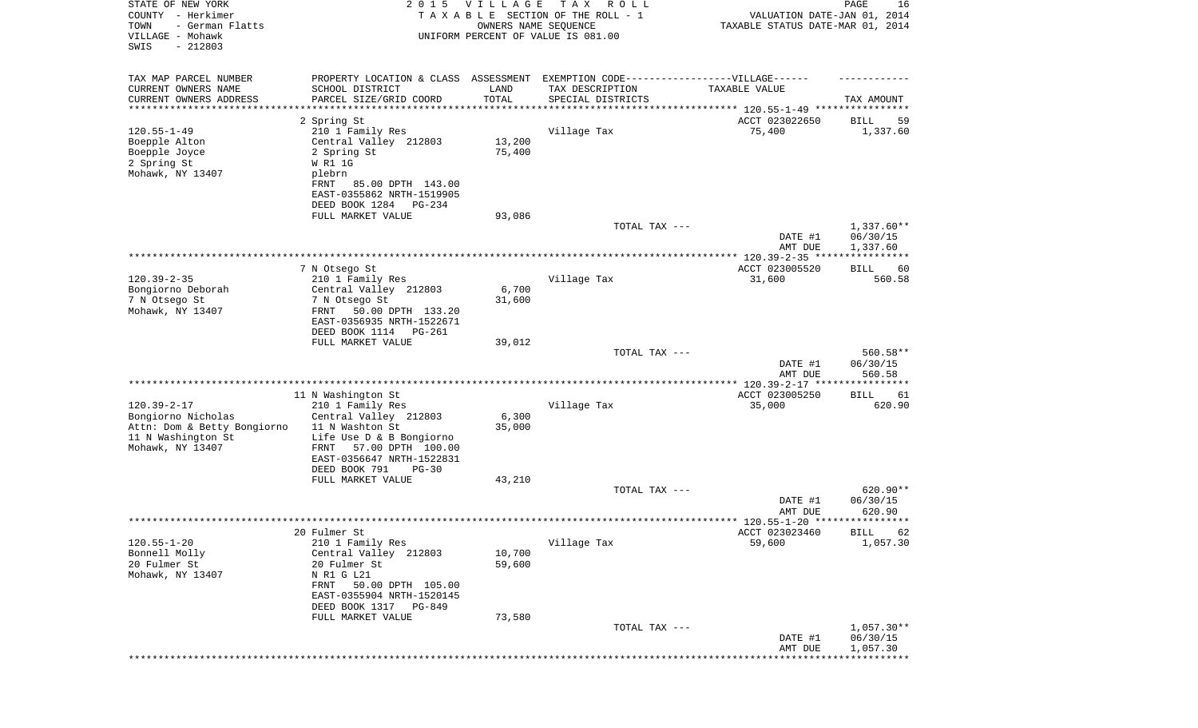| STATE OF NEW YORK<br>COUNTY - Herkimer<br>- German Flatts<br>TOWN<br>VILLAGE - Mohawk<br>SWIS<br>$-212803$ | 2 0 1 5                                                | <b>VILLAGE</b><br>OWNERS NAME SEQUENCE | T A X<br>R O L L<br>TAXABLE SECTION OF THE ROLL - 1<br>UNIFORM PERCENT OF VALUE IS 081.00 | VALUATION DATE-JAN 01, 2014<br>TAXABLE STATUS DATE-MAR 01, 2014 | PAGE<br>16                  |
|------------------------------------------------------------------------------------------------------------|--------------------------------------------------------|----------------------------------------|-------------------------------------------------------------------------------------------|-----------------------------------------------------------------|-----------------------------|
| TAX MAP PARCEL NUMBER                                                                                      | PROPERTY LOCATION & CLASS ASSESSMENT                   |                                        | EXEMPTION CODE-----------------VILLAGE------                                              |                                                                 |                             |
| CURRENT OWNERS NAME                                                                                        | SCHOOL DISTRICT                                        | LAND                                   | TAX DESCRIPTION                                                                           | TAXABLE VALUE                                                   |                             |
| CURRENT OWNERS ADDRESS<br>*********************                                                            | PARCEL SIZE/GRID COORD<br>*******************          | TOTAL                                  | SPECIAL DISTRICTS                                                                         |                                                                 | TAX AMOUNT                  |
|                                                                                                            | 2 Spring St                                            |                                        |                                                                                           | ACCT 023022650                                                  | 59<br>BILL                  |
| $120.55 - 1 - 49$                                                                                          | 210 1 Family Res                                       |                                        | Village Tax                                                                               | 75,400                                                          | 1,337.60                    |
| Boepple Alton                                                                                              | Central Valley 212803                                  | 13,200                                 |                                                                                           |                                                                 |                             |
| Boepple Joyce                                                                                              | 2 Spring St                                            | 75,400                                 |                                                                                           |                                                                 |                             |
| 2 Spring St<br>Mohawk, NY 13407                                                                            | W R1 1G<br>plebrn                                      |                                        |                                                                                           |                                                                 |                             |
|                                                                                                            | FRNT<br>85.00 DPTH 143.00                              |                                        |                                                                                           |                                                                 |                             |
|                                                                                                            | EAST-0355862 NRTH-1519905                              |                                        |                                                                                           |                                                                 |                             |
|                                                                                                            | DEED BOOK 1284<br>PG-234                               |                                        |                                                                                           |                                                                 |                             |
|                                                                                                            | FULL MARKET VALUE                                      | 93,086                                 | TOTAL TAX ---                                                                             |                                                                 | $1,337.60**$                |
|                                                                                                            |                                                        |                                        |                                                                                           | DATE #1<br>AMT DUE                                              | 06/30/15<br>1,337.60        |
|                                                                                                            |                                                        |                                        |                                                                                           |                                                                 |                             |
| $120.39 - 2 - 35$                                                                                          | 7 N Otsego St<br>210 1 Family Res                      |                                        | Village Tax                                                                               | ACCT 023005520<br>31,600                                        | <b>BILL</b><br>60<br>560.58 |
| Bongiorno Deborah                                                                                          | Central Valley 212803                                  | 6,700                                  |                                                                                           |                                                                 |                             |
| 7 N Otsego St                                                                                              | 7 N Otsego St                                          | 31,600                                 |                                                                                           |                                                                 |                             |
| Mohawk, NY 13407                                                                                           | 50.00 DPTH 133.20<br>FRNT                              |                                        |                                                                                           |                                                                 |                             |
|                                                                                                            | EAST-0356935 NRTH-1522671<br>DEED BOOK 1114 PG-261     |                                        |                                                                                           |                                                                 |                             |
|                                                                                                            | FULL MARKET VALUE                                      | 39,012                                 |                                                                                           |                                                                 |                             |
|                                                                                                            |                                                        |                                        | TOTAL TAX ---                                                                             |                                                                 | 560.58**                    |
|                                                                                                            |                                                        |                                        |                                                                                           | DATE #1<br>AMT DUE                                              | 06/30/15<br>560.58          |
|                                                                                                            |                                                        |                                        |                                                                                           |                                                                 |                             |
| $120.39 - 2 - 17$                                                                                          | 11 N Washington St<br>210 1 Family Res                 |                                        | Village Tax                                                                               | ACCT 023005250<br>35,000                                        | BILL<br>61<br>620.90        |
| Bongiorno Nicholas                                                                                         | Central Valley 212803                                  | 6,300                                  |                                                                                           |                                                                 |                             |
| Attn: Dom & Betty Bongiorno                                                                                | 11 N Washton St                                        | 35,000                                 |                                                                                           |                                                                 |                             |
| 11 N Washington St                                                                                         | Life Use D & B Bongiorno                               |                                        |                                                                                           |                                                                 |                             |
| Mohawk, NY 13407                                                                                           | 57.00 DPTH 100.00<br>FRNT<br>EAST-0356647 NRTH-1522831 |                                        |                                                                                           |                                                                 |                             |
|                                                                                                            | DEED BOOK 791<br>$PG-30$                               |                                        |                                                                                           |                                                                 |                             |
|                                                                                                            | FULL MARKET VALUE                                      | 43,210                                 |                                                                                           |                                                                 |                             |
|                                                                                                            |                                                        |                                        | TOTAL TAX ---                                                                             |                                                                 | 620.90**                    |
|                                                                                                            |                                                        |                                        |                                                                                           | DATE #1<br>AMT DUE                                              | 06/30/15<br>620.90          |
|                                                                                                            |                                                        |                                        |                                                                                           |                                                                 |                             |
|                                                                                                            | 20 Fulmer St                                           |                                        |                                                                                           | ACCT 023023460                                                  | BILL 62                     |
| $120.55 - 1 - 20$                                                                                          | 210 1 Family Res                                       |                                        | Village Tax                                                                               | 59,600                                                          | 1,057.30                    |
| Bonnell Molly<br>20 Fulmer St                                                                              | Central Valley 212803                                  | 10,700                                 |                                                                                           |                                                                 |                             |
| Mohawk, NY 13407                                                                                           | 20 Fulmer St<br>N R1 G L21                             | 59,600                                 |                                                                                           |                                                                 |                             |
|                                                                                                            | 50.00 DPTH 105.00<br>FRNT                              |                                        |                                                                                           |                                                                 |                             |
|                                                                                                            | EAST-0355904 NRTH-1520145                              |                                        |                                                                                           |                                                                 |                             |
|                                                                                                            | DEED BOOK 1317<br>PG-849                               |                                        |                                                                                           |                                                                 |                             |
|                                                                                                            | FULL MARKET VALUE                                      | 73,580                                 | TOTAL TAX ---                                                                             |                                                                 | $1,057.30**$                |
|                                                                                                            |                                                        |                                        |                                                                                           | DATE #1                                                         | 06/30/15                    |
|                                                                                                            |                                                        |                                        |                                                                                           | AMT DUE                                                         | 1,057.30                    |
|                                                                                                            |                                                        |                                        |                                                                                           |                                                                 | * * * * * * * * * * *       |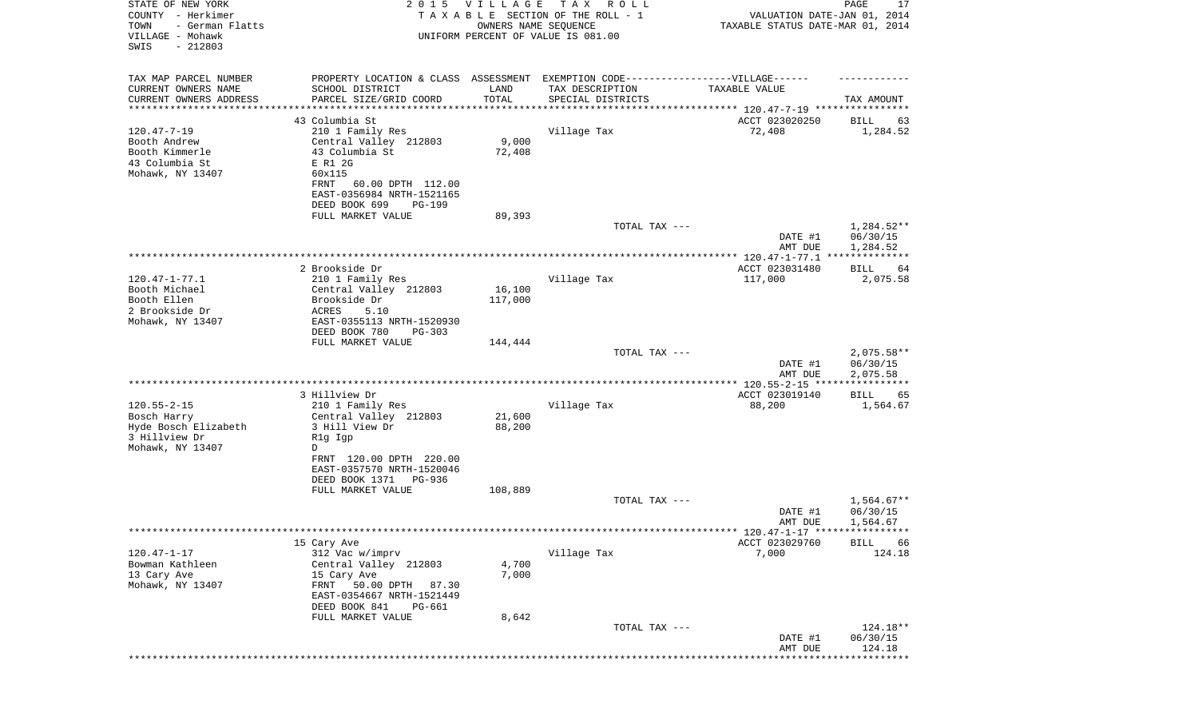| TAX MAP PARCEL NUMBER<br>EXEMPTION CODE------------------VILLAGE------<br>PROPERTY LOCATION & CLASS ASSESSMENT<br>CURRENT OWNERS NAME<br>SCHOOL DISTRICT<br>LAND<br>TAX DESCRIPTION<br>TAXABLE VALUE<br>CURRENT OWNERS ADDRESS<br>PARCEL SIZE/GRID COORD<br>TOTAL<br>SPECIAL DISTRICTS<br>TAX AMOUNT<br>******************<br>**************************** 120.47-7-19 ****************<br>43 Columbia St<br>ACCT 023020250<br>BILL<br>63<br>$120.47 - 7 - 19$<br>210 1 Family Res<br>Village Tax<br>72,408<br>1,284.52<br>Booth Andrew<br>Central Valley 212803<br>9,000<br>Booth Kimmerle<br>43 Columbia St<br>72,408<br>43 Columbia St<br>E R1 2G<br>Mohawk, NY 13407<br>60x115<br>FRNT<br>60.00 DPTH 112.00<br>EAST-0356984 NRTH-1521165<br>DEED BOOK 699<br><b>PG-199</b><br>89,393<br>FULL MARKET VALUE<br>1,284.52**<br>TOTAL TAX ---<br>06/30/15<br>DATE #1<br>1,284.52<br>AMT DUE<br>2 Brookside Dr<br>ACCT 023031480<br>BILL<br>64<br>Village Tax<br>$120.47 - 1 - 77.1$<br>210 1 Family Res<br>117,000<br>2,075.58<br>Booth Michael<br>16,100<br>Central Valley 212803<br>Booth Ellen<br>Brookside Dr<br>117,000<br>2 Brookside Dr<br>ACRES<br>5.10<br>Mohawk, NY 13407<br>EAST-0355113 NRTH-1520930<br>DEED BOOK 780<br>PG-303<br>FULL MARKET VALUE<br>144,444<br>TOTAL TAX ---<br>$2,075.58**$<br>DATE #1<br>06/30/15<br>2,075.58<br>AMT DUE<br>***********<br>3 Hillview Dr<br>ACCT 023019140<br>BILL<br>65<br>$120.55 - 2 - 15$<br>Village Tax<br>210 1 Family Res<br>88,200<br>1,564.67<br>21,600<br>Bosch Harry<br>Central Valley 212803<br>88,200<br>Hyde Bosch Elizabeth<br>3 Hill View Dr<br>3 Hillview Dr<br>R1g Igp<br>Mohawk, NY 13407<br>D<br>FRNT 120.00 DPTH 220.00<br>EAST-0357570 NRTH-1520046<br>DEED BOOK 1371<br>PG-936<br>FULL MARKET VALUE<br>108,889<br>$1,564.67**$<br>TOTAL TAX ---<br>06/30/15<br>DATE #1<br>1,564.67<br>AMT DUE<br>***** 120.47-1-17 *****************<br>15 Cary Ave<br>ACCT 023029760<br><b>BILL</b><br>66<br>$120.47 - 1 - 17$<br>124.18<br>312 Vac w/imprv<br>Village Tax<br>7,000<br>Bowman Kathleen<br>Central Valley 212803<br>4,700<br>13 Cary Ave<br>7,000<br>15 Cary Ave<br>Mohawk, NY 13407<br>50.00 DPTH<br>FRNT<br>87.30<br>EAST-0354667 NRTH-1521449<br>DEED BOOK 841<br>PG-661<br>FULL MARKET VALUE<br>8,642<br>124.18**<br>TOTAL TAX ---<br>DATE #1<br>06/30/15<br>AMT DUE<br>124.18<br>*********** | STATE OF NEW YORK<br>COUNTY - Herkimer<br>- German Flatts<br>TOWN<br>VILLAGE - Mohawk<br>SWIS<br>$-212803$ | 2 0 1 5 | <b>VILLAGE</b><br>OWNERS NAME SEQUENCE | TAX ROLL<br>TAXABLE SECTION OF THE ROLL - 1<br>UNIFORM PERCENT OF VALUE IS 081.00 | VALUATION DATE-JAN 01, 2014<br>TAXABLE STATUS DATE-MAR 01, 2014 | PAGE<br>17 |
|---------------------------------------------------------------------------------------------------------------------------------------------------------------------------------------------------------------------------------------------------------------------------------------------------------------------------------------------------------------------------------------------------------------------------------------------------------------------------------------------------------------------------------------------------------------------------------------------------------------------------------------------------------------------------------------------------------------------------------------------------------------------------------------------------------------------------------------------------------------------------------------------------------------------------------------------------------------------------------------------------------------------------------------------------------------------------------------------------------------------------------------------------------------------------------------------------------------------------------------------------------------------------------------------------------------------------------------------------------------------------------------------------------------------------------------------------------------------------------------------------------------------------------------------------------------------------------------------------------------------------------------------------------------------------------------------------------------------------------------------------------------------------------------------------------------------------------------------------------------------------------------------------------------------------------------------------------------------------------------------------------------------------------------------------------------------------------------------------------------------------------------------------------------------------------------------------------------------------------------------------------------------------------------------------------------------------------------------------------------------------|------------------------------------------------------------------------------------------------------------|---------|----------------------------------------|-----------------------------------------------------------------------------------|-----------------------------------------------------------------|------------|
|                                                                                                                                                                                                                                                                                                                                                                                                                                                                                                                                                                                                                                                                                                                                                                                                                                                                                                                                                                                                                                                                                                                                                                                                                                                                                                                                                                                                                                                                                                                                                                                                                                                                                                                                                                                                                                                                                                                                                                                                                                                                                                                                                                                                                                                                                                                                                                           |                                                                                                            |         |                                        |                                                                                   |                                                                 |            |
|                                                                                                                                                                                                                                                                                                                                                                                                                                                                                                                                                                                                                                                                                                                                                                                                                                                                                                                                                                                                                                                                                                                                                                                                                                                                                                                                                                                                                                                                                                                                                                                                                                                                                                                                                                                                                                                                                                                                                                                                                                                                                                                                                                                                                                                                                                                                                                           |                                                                                                            |         |                                        |                                                                                   |                                                                 |            |
|                                                                                                                                                                                                                                                                                                                                                                                                                                                                                                                                                                                                                                                                                                                                                                                                                                                                                                                                                                                                                                                                                                                                                                                                                                                                                                                                                                                                                                                                                                                                                                                                                                                                                                                                                                                                                                                                                                                                                                                                                                                                                                                                                                                                                                                                                                                                                                           |                                                                                                            |         |                                        |                                                                                   |                                                                 |            |
|                                                                                                                                                                                                                                                                                                                                                                                                                                                                                                                                                                                                                                                                                                                                                                                                                                                                                                                                                                                                                                                                                                                                                                                                                                                                                                                                                                                                                                                                                                                                                                                                                                                                                                                                                                                                                                                                                                                                                                                                                                                                                                                                                                                                                                                                                                                                                                           |                                                                                                            |         |                                        |                                                                                   |                                                                 |            |
|                                                                                                                                                                                                                                                                                                                                                                                                                                                                                                                                                                                                                                                                                                                                                                                                                                                                                                                                                                                                                                                                                                                                                                                                                                                                                                                                                                                                                                                                                                                                                                                                                                                                                                                                                                                                                                                                                                                                                                                                                                                                                                                                                                                                                                                                                                                                                                           |                                                                                                            |         |                                        |                                                                                   |                                                                 |            |
|                                                                                                                                                                                                                                                                                                                                                                                                                                                                                                                                                                                                                                                                                                                                                                                                                                                                                                                                                                                                                                                                                                                                                                                                                                                                                                                                                                                                                                                                                                                                                                                                                                                                                                                                                                                                                                                                                                                                                                                                                                                                                                                                                                                                                                                                                                                                                                           |                                                                                                            |         |                                        |                                                                                   |                                                                 |            |
|                                                                                                                                                                                                                                                                                                                                                                                                                                                                                                                                                                                                                                                                                                                                                                                                                                                                                                                                                                                                                                                                                                                                                                                                                                                                                                                                                                                                                                                                                                                                                                                                                                                                                                                                                                                                                                                                                                                                                                                                                                                                                                                                                                                                                                                                                                                                                                           |                                                                                                            |         |                                        |                                                                                   |                                                                 |            |
|                                                                                                                                                                                                                                                                                                                                                                                                                                                                                                                                                                                                                                                                                                                                                                                                                                                                                                                                                                                                                                                                                                                                                                                                                                                                                                                                                                                                                                                                                                                                                                                                                                                                                                                                                                                                                                                                                                                                                                                                                                                                                                                                                                                                                                                                                                                                                                           |                                                                                                            |         |                                        |                                                                                   |                                                                 |            |
|                                                                                                                                                                                                                                                                                                                                                                                                                                                                                                                                                                                                                                                                                                                                                                                                                                                                                                                                                                                                                                                                                                                                                                                                                                                                                                                                                                                                                                                                                                                                                                                                                                                                                                                                                                                                                                                                                                                                                                                                                                                                                                                                                                                                                                                                                                                                                                           |                                                                                                            |         |                                        |                                                                                   |                                                                 |            |
|                                                                                                                                                                                                                                                                                                                                                                                                                                                                                                                                                                                                                                                                                                                                                                                                                                                                                                                                                                                                                                                                                                                                                                                                                                                                                                                                                                                                                                                                                                                                                                                                                                                                                                                                                                                                                                                                                                                                                                                                                                                                                                                                                                                                                                                                                                                                                                           |                                                                                                            |         |                                        |                                                                                   |                                                                 |            |
|                                                                                                                                                                                                                                                                                                                                                                                                                                                                                                                                                                                                                                                                                                                                                                                                                                                                                                                                                                                                                                                                                                                                                                                                                                                                                                                                                                                                                                                                                                                                                                                                                                                                                                                                                                                                                                                                                                                                                                                                                                                                                                                                                                                                                                                                                                                                                                           |                                                                                                            |         |                                        |                                                                                   |                                                                 |            |
|                                                                                                                                                                                                                                                                                                                                                                                                                                                                                                                                                                                                                                                                                                                                                                                                                                                                                                                                                                                                                                                                                                                                                                                                                                                                                                                                                                                                                                                                                                                                                                                                                                                                                                                                                                                                                                                                                                                                                                                                                                                                                                                                                                                                                                                                                                                                                                           |                                                                                                            |         |                                        |                                                                                   |                                                                 |            |
|                                                                                                                                                                                                                                                                                                                                                                                                                                                                                                                                                                                                                                                                                                                                                                                                                                                                                                                                                                                                                                                                                                                                                                                                                                                                                                                                                                                                                                                                                                                                                                                                                                                                                                                                                                                                                                                                                                                                                                                                                                                                                                                                                                                                                                                                                                                                                                           |                                                                                                            |         |                                        |                                                                                   |                                                                 |            |
|                                                                                                                                                                                                                                                                                                                                                                                                                                                                                                                                                                                                                                                                                                                                                                                                                                                                                                                                                                                                                                                                                                                                                                                                                                                                                                                                                                                                                                                                                                                                                                                                                                                                                                                                                                                                                                                                                                                                                                                                                                                                                                                                                                                                                                                                                                                                                                           |                                                                                                            |         |                                        |                                                                                   |                                                                 |            |
|                                                                                                                                                                                                                                                                                                                                                                                                                                                                                                                                                                                                                                                                                                                                                                                                                                                                                                                                                                                                                                                                                                                                                                                                                                                                                                                                                                                                                                                                                                                                                                                                                                                                                                                                                                                                                                                                                                                                                                                                                                                                                                                                                                                                                                                                                                                                                                           |                                                                                                            |         |                                        |                                                                                   |                                                                 |            |
|                                                                                                                                                                                                                                                                                                                                                                                                                                                                                                                                                                                                                                                                                                                                                                                                                                                                                                                                                                                                                                                                                                                                                                                                                                                                                                                                                                                                                                                                                                                                                                                                                                                                                                                                                                                                                                                                                                                                                                                                                                                                                                                                                                                                                                                                                                                                                                           |                                                                                                            |         |                                        |                                                                                   |                                                                 |            |
|                                                                                                                                                                                                                                                                                                                                                                                                                                                                                                                                                                                                                                                                                                                                                                                                                                                                                                                                                                                                                                                                                                                                                                                                                                                                                                                                                                                                                                                                                                                                                                                                                                                                                                                                                                                                                                                                                                                                                                                                                                                                                                                                                                                                                                                                                                                                                                           |                                                                                                            |         |                                        |                                                                                   |                                                                 |            |
|                                                                                                                                                                                                                                                                                                                                                                                                                                                                                                                                                                                                                                                                                                                                                                                                                                                                                                                                                                                                                                                                                                                                                                                                                                                                                                                                                                                                                                                                                                                                                                                                                                                                                                                                                                                                                                                                                                                                                                                                                                                                                                                                                                                                                                                                                                                                                                           |                                                                                                            |         |                                        |                                                                                   |                                                                 |            |
|                                                                                                                                                                                                                                                                                                                                                                                                                                                                                                                                                                                                                                                                                                                                                                                                                                                                                                                                                                                                                                                                                                                                                                                                                                                                                                                                                                                                                                                                                                                                                                                                                                                                                                                                                                                                                                                                                                                                                                                                                                                                                                                                                                                                                                                                                                                                                                           |                                                                                                            |         |                                        |                                                                                   |                                                                 |            |
|                                                                                                                                                                                                                                                                                                                                                                                                                                                                                                                                                                                                                                                                                                                                                                                                                                                                                                                                                                                                                                                                                                                                                                                                                                                                                                                                                                                                                                                                                                                                                                                                                                                                                                                                                                                                                                                                                                                                                                                                                                                                                                                                                                                                                                                                                                                                                                           |                                                                                                            |         |                                        |                                                                                   |                                                                 |            |
|                                                                                                                                                                                                                                                                                                                                                                                                                                                                                                                                                                                                                                                                                                                                                                                                                                                                                                                                                                                                                                                                                                                                                                                                                                                                                                                                                                                                                                                                                                                                                                                                                                                                                                                                                                                                                                                                                                                                                                                                                                                                                                                                                                                                                                                                                                                                                                           |                                                                                                            |         |                                        |                                                                                   |                                                                 |            |
|                                                                                                                                                                                                                                                                                                                                                                                                                                                                                                                                                                                                                                                                                                                                                                                                                                                                                                                                                                                                                                                                                                                                                                                                                                                                                                                                                                                                                                                                                                                                                                                                                                                                                                                                                                                                                                                                                                                                                                                                                                                                                                                                                                                                                                                                                                                                                                           |                                                                                                            |         |                                        |                                                                                   |                                                                 |            |
|                                                                                                                                                                                                                                                                                                                                                                                                                                                                                                                                                                                                                                                                                                                                                                                                                                                                                                                                                                                                                                                                                                                                                                                                                                                                                                                                                                                                                                                                                                                                                                                                                                                                                                                                                                                                                                                                                                                                                                                                                                                                                                                                                                                                                                                                                                                                                                           |                                                                                                            |         |                                        |                                                                                   |                                                                 |            |
|                                                                                                                                                                                                                                                                                                                                                                                                                                                                                                                                                                                                                                                                                                                                                                                                                                                                                                                                                                                                                                                                                                                                                                                                                                                                                                                                                                                                                                                                                                                                                                                                                                                                                                                                                                                                                                                                                                                                                                                                                                                                                                                                                                                                                                                                                                                                                                           |                                                                                                            |         |                                        |                                                                                   |                                                                 |            |
|                                                                                                                                                                                                                                                                                                                                                                                                                                                                                                                                                                                                                                                                                                                                                                                                                                                                                                                                                                                                                                                                                                                                                                                                                                                                                                                                                                                                                                                                                                                                                                                                                                                                                                                                                                                                                                                                                                                                                                                                                                                                                                                                                                                                                                                                                                                                                                           |                                                                                                            |         |                                        |                                                                                   |                                                                 |            |
|                                                                                                                                                                                                                                                                                                                                                                                                                                                                                                                                                                                                                                                                                                                                                                                                                                                                                                                                                                                                                                                                                                                                                                                                                                                                                                                                                                                                                                                                                                                                                                                                                                                                                                                                                                                                                                                                                                                                                                                                                                                                                                                                                                                                                                                                                                                                                                           |                                                                                                            |         |                                        |                                                                                   |                                                                 |            |
|                                                                                                                                                                                                                                                                                                                                                                                                                                                                                                                                                                                                                                                                                                                                                                                                                                                                                                                                                                                                                                                                                                                                                                                                                                                                                                                                                                                                                                                                                                                                                                                                                                                                                                                                                                                                                                                                                                                                                                                                                                                                                                                                                                                                                                                                                                                                                                           |                                                                                                            |         |                                        |                                                                                   |                                                                 |            |
|                                                                                                                                                                                                                                                                                                                                                                                                                                                                                                                                                                                                                                                                                                                                                                                                                                                                                                                                                                                                                                                                                                                                                                                                                                                                                                                                                                                                                                                                                                                                                                                                                                                                                                                                                                                                                                                                                                                                                                                                                                                                                                                                                                                                                                                                                                                                                                           |                                                                                                            |         |                                        |                                                                                   |                                                                 |            |
|                                                                                                                                                                                                                                                                                                                                                                                                                                                                                                                                                                                                                                                                                                                                                                                                                                                                                                                                                                                                                                                                                                                                                                                                                                                                                                                                                                                                                                                                                                                                                                                                                                                                                                                                                                                                                                                                                                                                                                                                                                                                                                                                                                                                                                                                                                                                                                           |                                                                                                            |         |                                        |                                                                                   |                                                                 |            |
|                                                                                                                                                                                                                                                                                                                                                                                                                                                                                                                                                                                                                                                                                                                                                                                                                                                                                                                                                                                                                                                                                                                                                                                                                                                                                                                                                                                                                                                                                                                                                                                                                                                                                                                                                                                                                                                                                                                                                                                                                                                                                                                                                                                                                                                                                                                                                                           |                                                                                                            |         |                                        |                                                                                   |                                                                 |            |
|                                                                                                                                                                                                                                                                                                                                                                                                                                                                                                                                                                                                                                                                                                                                                                                                                                                                                                                                                                                                                                                                                                                                                                                                                                                                                                                                                                                                                                                                                                                                                                                                                                                                                                                                                                                                                                                                                                                                                                                                                                                                                                                                                                                                                                                                                                                                                                           |                                                                                                            |         |                                        |                                                                                   |                                                                 |            |
|                                                                                                                                                                                                                                                                                                                                                                                                                                                                                                                                                                                                                                                                                                                                                                                                                                                                                                                                                                                                                                                                                                                                                                                                                                                                                                                                                                                                                                                                                                                                                                                                                                                                                                                                                                                                                                                                                                                                                                                                                                                                                                                                                                                                                                                                                                                                                                           |                                                                                                            |         |                                        |                                                                                   |                                                                 |            |
|                                                                                                                                                                                                                                                                                                                                                                                                                                                                                                                                                                                                                                                                                                                                                                                                                                                                                                                                                                                                                                                                                                                                                                                                                                                                                                                                                                                                                                                                                                                                                                                                                                                                                                                                                                                                                                                                                                                                                                                                                                                                                                                                                                                                                                                                                                                                                                           |                                                                                                            |         |                                        |                                                                                   |                                                                 |            |
|                                                                                                                                                                                                                                                                                                                                                                                                                                                                                                                                                                                                                                                                                                                                                                                                                                                                                                                                                                                                                                                                                                                                                                                                                                                                                                                                                                                                                                                                                                                                                                                                                                                                                                                                                                                                                                                                                                                                                                                                                                                                                                                                                                                                                                                                                                                                                                           |                                                                                                            |         |                                        |                                                                                   |                                                                 |            |
|                                                                                                                                                                                                                                                                                                                                                                                                                                                                                                                                                                                                                                                                                                                                                                                                                                                                                                                                                                                                                                                                                                                                                                                                                                                                                                                                                                                                                                                                                                                                                                                                                                                                                                                                                                                                                                                                                                                                                                                                                                                                                                                                                                                                                                                                                                                                                                           |                                                                                                            |         |                                        |                                                                                   |                                                                 |            |
|                                                                                                                                                                                                                                                                                                                                                                                                                                                                                                                                                                                                                                                                                                                                                                                                                                                                                                                                                                                                                                                                                                                                                                                                                                                                                                                                                                                                                                                                                                                                                                                                                                                                                                                                                                                                                                                                                                                                                                                                                                                                                                                                                                                                                                                                                                                                                                           |                                                                                                            |         |                                        |                                                                                   |                                                                 |            |
|                                                                                                                                                                                                                                                                                                                                                                                                                                                                                                                                                                                                                                                                                                                                                                                                                                                                                                                                                                                                                                                                                                                                                                                                                                                                                                                                                                                                                                                                                                                                                                                                                                                                                                                                                                                                                                                                                                                                                                                                                                                                                                                                                                                                                                                                                                                                                                           |                                                                                                            |         |                                        |                                                                                   |                                                                 |            |
|                                                                                                                                                                                                                                                                                                                                                                                                                                                                                                                                                                                                                                                                                                                                                                                                                                                                                                                                                                                                                                                                                                                                                                                                                                                                                                                                                                                                                                                                                                                                                                                                                                                                                                                                                                                                                                                                                                                                                                                                                                                                                                                                                                                                                                                                                                                                                                           |                                                                                                            |         |                                        |                                                                                   |                                                                 |            |
|                                                                                                                                                                                                                                                                                                                                                                                                                                                                                                                                                                                                                                                                                                                                                                                                                                                                                                                                                                                                                                                                                                                                                                                                                                                                                                                                                                                                                                                                                                                                                                                                                                                                                                                                                                                                                                                                                                                                                                                                                                                                                                                                                                                                                                                                                                                                                                           |                                                                                                            |         |                                        |                                                                                   |                                                                 |            |
|                                                                                                                                                                                                                                                                                                                                                                                                                                                                                                                                                                                                                                                                                                                                                                                                                                                                                                                                                                                                                                                                                                                                                                                                                                                                                                                                                                                                                                                                                                                                                                                                                                                                                                                                                                                                                                                                                                                                                                                                                                                                                                                                                                                                                                                                                                                                                                           |                                                                                                            |         |                                        |                                                                                   |                                                                 |            |
|                                                                                                                                                                                                                                                                                                                                                                                                                                                                                                                                                                                                                                                                                                                                                                                                                                                                                                                                                                                                                                                                                                                                                                                                                                                                                                                                                                                                                                                                                                                                                                                                                                                                                                                                                                                                                                                                                                                                                                                                                                                                                                                                                                                                                                                                                                                                                                           |                                                                                                            |         |                                        |                                                                                   |                                                                 |            |
|                                                                                                                                                                                                                                                                                                                                                                                                                                                                                                                                                                                                                                                                                                                                                                                                                                                                                                                                                                                                                                                                                                                                                                                                                                                                                                                                                                                                                                                                                                                                                                                                                                                                                                                                                                                                                                                                                                                                                                                                                                                                                                                                                                                                                                                                                                                                                                           |                                                                                                            |         |                                        |                                                                                   |                                                                 |            |
|                                                                                                                                                                                                                                                                                                                                                                                                                                                                                                                                                                                                                                                                                                                                                                                                                                                                                                                                                                                                                                                                                                                                                                                                                                                                                                                                                                                                                                                                                                                                                                                                                                                                                                                                                                                                                                                                                                                                                                                                                                                                                                                                                                                                                                                                                                                                                                           |                                                                                                            |         |                                        |                                                                                   |                                                                 |            |
|                                                                                                                                                                                                                                                                                                                                                                                                                                                                                                                                                                                                                                                                                                                                                                                                                                                                                                                                                                                                                                                                                                                                                                                                                                                                                                                                                                                                                                                                                                                                                                                                                                                                                                                                                                                                                                                                                                                                                                                                                                                                                                                                                                                                                                                                                                                                                                           |                                                                                                            |         |                                        |                                                                                   |                                                                 |            |
|                                                                                                                                                                                                                                                                                                                                                                                                                                                                                                                                                                                                                                                                                                                                                                                                                                                                                                                                                                                                                                                                                                                                                                                                                                                                                                                                                                                                                                                                                                                                                                                                                                                                                                                                                                                                                                                                                                                                                                                                                                                                                                                                                                                                                                                                                                                                                                           |                                                                                                            |         |                                        |                                                                                   |                                                                 |            |
|                                                                                                                                                                                                                                                                                                                                                                                                                                                                                                                                                                                                                                                                                                                                                                                                                                                                                                                                                                                                                                                                                                                                                                                                                                                                                                                                                                                                                                                                                                                                                                                                                                                                                                                                                                                                                                                                                                                                                                                                                                                                                                                                                                                                                                                                                                                                                                           |                                                                                                            |         |                                        |                                                                                   |                                                                 |            |
|                                                                                                                                                                                                                                                                                                                                                                                                                                                                                                                                                                                                                                                                                                                                                                                                                                                                                                                                                                                                                                                                                                                                                                                                                                                                                                                                                                                                                                                                                                                                                                                                                                                                                                                                                                                                                                                                                                                                                                                                                                                                                                                                                                                                                                                                                                                                                                           |                                                                                                            |         |                                        |                                                                                   |                                                                 |            |
|                                                                                                                                                                                                                                                                                                                                                                                                                                                                                                                                                                                                                                                                                                                                                                                                                                                                                                                                                                                                                                                                                                                                                                                                                                                                                                                                                                                                                                                                                                                                                                                                                                                                                                                                                                                                                                                                                                                                                                                                                                                                                                                                                                                                                                                                                                                                                                           |                                                                                                            |         |                                        |                                                                                   |                                                                 |            |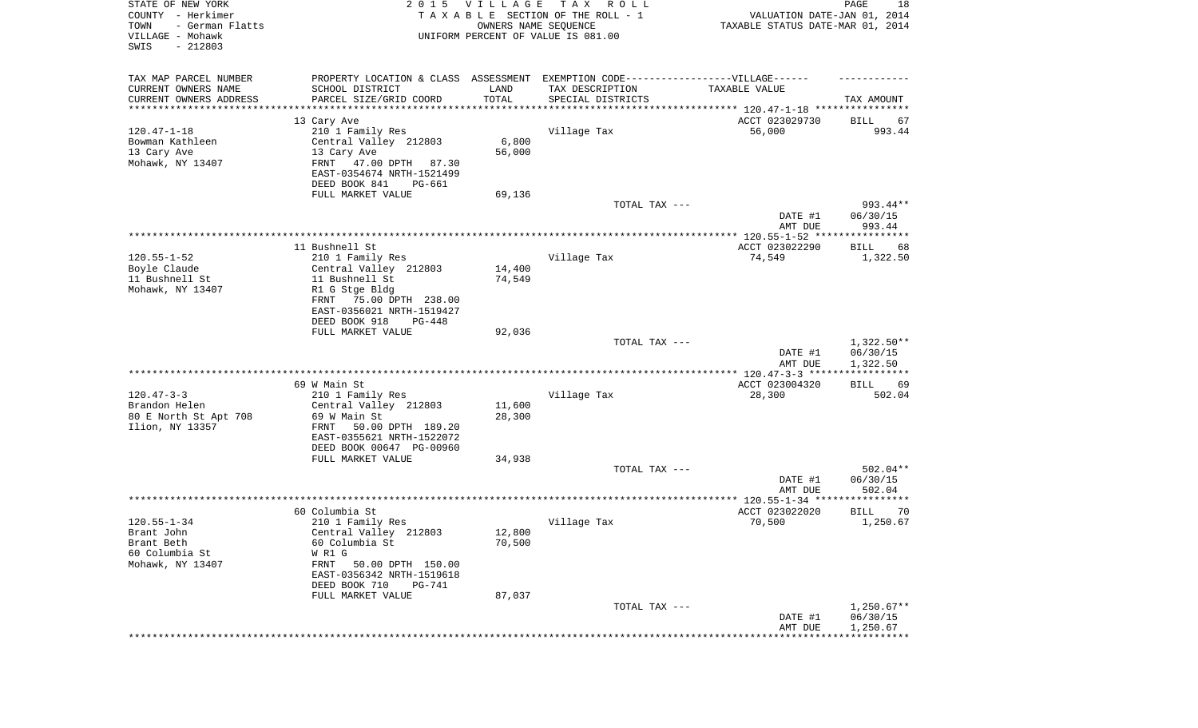| STATE OF NEW YORK<br>COUNTY - Herkimer<br>TOWN<br>- German Flatts<br>VILLAGE - Mohawk<br>SWIS<br>$-212803$ |                                                                                   | 2015 VILLAGE<br>OWNERS NAME SEQUENCE | T A X<br>R O L L<br>TAXABLE SECTION OF THE ROLL - 1<br>UNIFORM PERCENT OF VALUE IS 081.00 | VALUATION DATE-JAN 01, 2014<br>TAXABLE STATUS DATE-MAR 01, 2014 | PAGE<br>18           |
|------------------------------------------------------------------------------------------------------------|-----------------------------------------------------------------------------------|--------------------------------------|-------------------------------------------------------------------------------------------|-----------------------------------------------------------------|----------------------|
| TAX MAP PARCEL NUMBER                                                                                      | PROPERTY LOCATION & CLASS ASSESSMENT EXEMPTION CODE-----------------VILLAGE------ |                                      |                                                                                           |                                                                 |                      |
| CURRENT OWNERS NAME<br>CURRENT OWNERS ADDRESS                                                              | SCHOOL DISTRICT<br>PARCEL SIZE/GRID COORD                                         | LAND<br>TOTAL                        | TAX DESCRIPTION<br>SPECIAL DISTRICTS                                                      | TAXABLE VALUE                                                   | TAX AMOUNT           |
| ********************                                                                                       | * * * * * * * * * * * * * * *                                                     | * * * * * * * * * * *                |                                                                                           | ********************************* 120.47-1-18 ****************  |                      |
|                                                                                                            | 13 Cary Ave                                                                       |                                      |                                                                                           | ACCT 023029730                                                  | BILL<br>67           |
| $120.47 - 1 - 18$                                                                                          | 210 1 Family Res                                                                  |                                      | Village Tax                                                                               | 56,000                                                          | 993.44               |
| Bowman Kathleen                                                                                            | Central Valley 212803                                                             | 6,800                                |                                                                                           |                                                                 |                      |
| 13 Cary Ave                                                                                                | 13 Cary Ave                                                                       | 56,000                               |                                                                                           |                                                                 |                      |
| Mohawk, NY 13407                                                                                           | FRNT<br>47.00 DPTH 87.30<br>EAST-0354674 NRTH-1521499                             |                                      |                                                                                           |                                                                 |                      |
|                                                                                                            | DEED BOOK 841<br>PG-661                                                           |                                      |                                                                                           |                                                                 |                      |
|                                                                                                            | FULL MARKET VALUE                                                                 | 69,136                               |                                                                                           |                                                                 |                      |
|                                                                                                            |                                                                                   |                                      | TOTAL TAX ---                                                                             |                                                                 | 993.44**             |
|                                                                                                            |                                                                                   |                                      |                                                                                           | DATE #1                                                         | 06/30/15             |
|                                                                                                            |                                                                                   |                                      |                                                                                           | AMT DUE                                                         | 993.44               |
|                                                                                                            | 11 Bushnell St                                                                    |                                      |                                                                                           | ACCT 023022290                                                  | BILL<br>68           |
| $120.55 - 1 - 52$                                                                                          | 210 1 Family Res                                                                  |                                      | Village Tax                                                                               | 74,549                                                          | 1,322.50             |
| Boyle Claude                                                                                               | Central Valley 212803                                                             | 14,400                               |                                                                                           |                                                                 |                      |
| 11 Bushnell St                                                                                             | 11 Bushnell St                                                                    | 74,549                               |                                                                                           |                                                                 |                      |
| Mohawk, NY 13407                                                                                           | R1 G Stge Bldg                                                                    |                                      |                                                                                           |                                                                 |                      |
|                                                                                                            | FRNT 75.00 DPTH 238.00<br>EAST-0356021 NRTH-1519427                               |                                      |                                                                                           |                                                                 |                      |
|                                                                                                            | DEED BOOK 918<br>PG-448                                                           |                                      |                                                                                           |                                                                 |                      |
|                                                                                                            | FULL MARKET VALUE                                                                 | 92,036                               |                                                                                           |                                                                 |                      |
|                                                                                                            |                                                                                   |                                      | TOTAL TAX ---                                                                             |                                                                 | $1,322.50**$         |
|                                                                                                            |                                                                                   |                                      |                                                                                           | DATE #1<br>AMT DUE                                              | 06/30/15<br>1,322.50 |
|                                                                                                            |                                                                                   |                                      |                                                                                           | ************** 120.47-3-3 *****                                 | ************         |
| $120.47 - 3 - 3$                                                                                           | 69 W Main St                                                                      |                                      | Village Tax                                                                               | ACCT 023004320                                                  | BILL<br>69<br>502.04 |
| Brandon Helen                                                                                              | 210 1 Family Res<br>Central Valley 212803                                         | 11,600                               |                                                                                           | 28,300                                                          |                      |
| 80 E North St Apt 708                                                                                      | 69 W Main St                                                                      | 28,300                               |                                                                                           |                                                                 |                      |
| Ilion, NY 13357                                                                                            | FRNT<br>50.00 DPTH 189.20                                                         |                                      |                                                                                           |                                                                 |                      |
|                                                                                                            | EAST-0355621 NRTH-1522072                                                         |                                      |                                                                                           |                                                                 |                      |
|                                                                                                            | DEED BOOK 00647 PG-00960                                                          |                                      |                                                                                           |                                                                 |                      |
|                                                                                                            | FULL MARKET VALUE                                                                 | 34,938                               | TOTAL TAX ---                                                                             |                                                                 | 502.04**             |
|                                                                                                            |                                                                                   |                                      |                                                                                           | DATE #1                                                         | 06/30/15             |
|                                                                                                            |                                                                                   |                                      |                                                                                           | AMT DUE                                                         | 502.04               |
|                                                                                                            |                                                                                   |                                      |                                                                                           |                                                                 |                      |
|                                                                                                            | 60 Columbia St                                                                    |                                      |                                                                                           | ACCT 023022020                                                  | <b>BILL</b><br>70    |
| $120.55 - 1 - 34$                                                                                          | 210 1 Family Res<br>Central Valley 212803                                         | 12,800                               | Village Tax                                                                               | 70,500                                                          | 1,250.67             |
| Brant John<br>Brant Beth                                                                                   | 60 Columbia St                                                                    | 70,500                               |                                                                                           |                                                                 |                      |
| 60 Columbia St                                                                                             | W R1 G                                                                            |                                      |                                                                                           |                                                                 |                      |
| Mohawk, NY 13407                                                                                           | FRNT<br>50.00 DPTH 150.00                                                         |                                      |                                                                                           |                                                                 |                      |
|                                                                                                            | EAST-0356342 NRTH-1519618<br>DEED BOOK 710<br>PG-741                              |                                      |                                                                                           |                                                                 |                      |
|                                                                                                            | FULL MARKET VALUE                                                                 | 87,037                               |                                                                                           |                                                                 |                      |
|                                                                                                            |                                                                                   |                                      | TOTAL TAX ---                                                                             |                                                                 | $1,250.67**$         |
|                                                                                                            |                                                                                   |                                      |                                                                                           | DATE #1                                                         | 06/30/15             |
|                                                                                                            |                                                                                   |                                      |                                                                                           | AMT DUE                                                         | 1,250.67             |
|                                                                                                            |                                                                                   |                                      |                                                                                           |                                                                 |                      |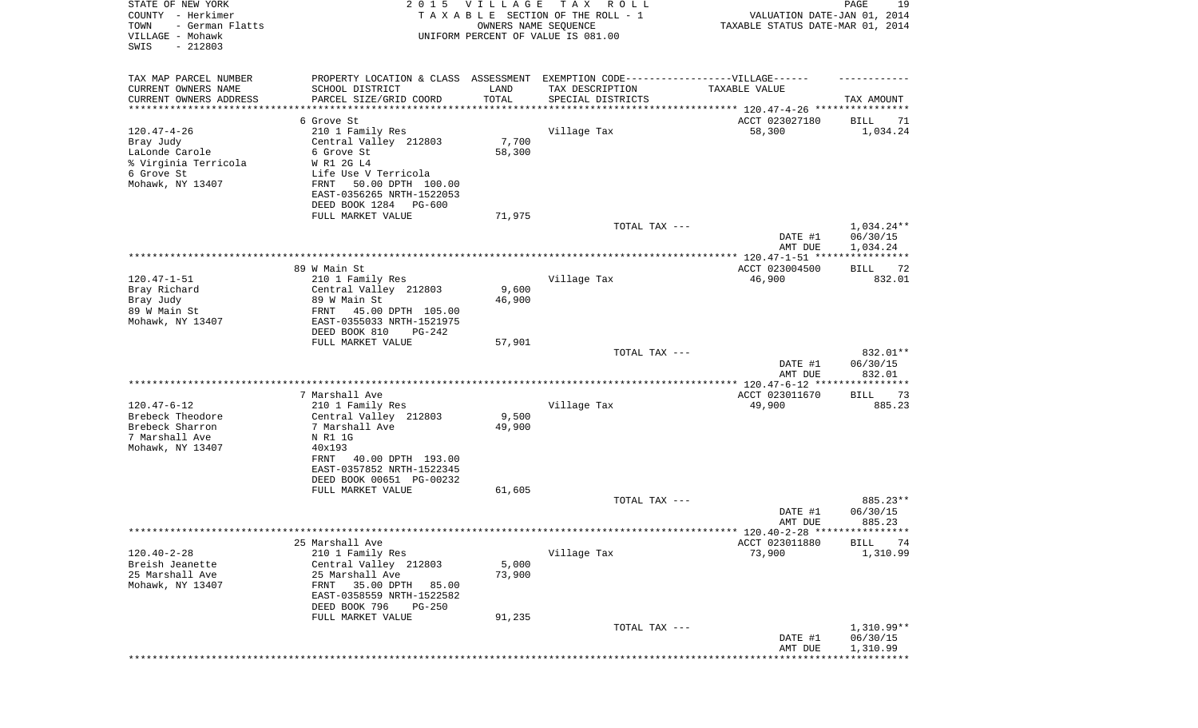| STATE OF NEW YORK<br>COUNTY - Herkimer<br>- German Flatts<br>TOWN<br>VILLAGE - Mohawk<br>SWIS<br>$-212803$ | 2 0 1 5                                                      | VILLAGE<br>OWNERS NAME SEQUENCE | TAX ROLL<br>TAXABLE SECTION OF THE ROLL - 1<br>UNIFORM PERCENT OF VALUE IS 081.00 | VALUATION DATE-JAN 01, 2014<br>TAXABLE STATUS DATE-MAR 01, 2014 | PAGE<br>19                |
|------------------------------------------------------------------------------------------------------------|--------------------------------------------------------------|---------------------------------|-----------------------------------------------------------------------------------|-----------------------------------------------------------------|---------------------------|
| TAX MAP PARCEL NUMBER                                                                                      |                                                              |                                 | PROPERTY LOCATION & CLASS ASSESSMENT EXEMPTION CODE-----------------VILLAGE------ |                                                                 |                           |
| CURRENT OWNERS NAME                                                                                        | SCHOOL DISTRICT                                              | LAND                            | TAX DESCRIPTION                                                                   | TAXABLE VALUE                                                   |                           |
| CURRENT OWNERS ADDRESS                                                                                     | PARCEL SIZE/GRID COORD                                       | TOTAL                           | SPECIAL DISTRICTS                                                                 |                                                                 | TAX AMOUNT                |
| *********************                                                                                      | 6 Grove St                                                   | ***********                     |                                                                                   |                                                                 |                           |
| $120.47 - 4 - 26$                                                                                          | 210 1 Family Res                                             |                                 | Village Tax                                                                       | ACCT 023027180<br>58,300                                        | BILL<br>71<br>1,034.24    |
| Bray Judy                                                                                                  | Central Valley 212803                                        | 7,700                           |                                                                                   |                                                                 |                           |
| LaLonde Carole                                                                                             | 6 Grove St                                                   | 58,300                          |                                                                                   |                                                                 |                           |
| % Virginia Terricola                                                                                       | W R1 2G L4                                                   |                                 |                                                                                   |                                                                 |                           |
| 6 Grove St                                                                                                 | Life Use V Terricola                                         |                                 |                                                                                   |                                                                 |                           |
| Mohawk, NY 13407                                                                                           | 50.00 DPTH 100.00<br>FRNT                                    |                                 |                                                                                   |                                                                 |                           |
|                                                                                                            | EAST-0356265 NRTH-1522053<br>DEED BOOK 1284<br><b>PG-600</b> |                                 |                                                                                   |                                                                 |                           |
|                                                                                                            | FULL MARKET VALUE                                            | 71,975                          |                                                                                   |                                                                 |                           |
|                                                                                                            |                                                              |                                 | TOTAL TAX ---                                                                     |                                                                 | $1,034.24**$              |
|                                                                                                            |                                                              |                                 |                                                                                   | DATE #1                                                         | 06/30/15                  |
|                                                                                                            |                                                              |                                 |                                                                                   | AMT DUE                                                         | 1,034.24                  |
|                                                                                                            | 89 W Main St                                                 |                                 |                                                                                   | ACCT 023004500                                                  | ***********<br>72<br>BILL |
| $120.47 - 1 - 51$                                                                                          | 210 1 Family Res                                             |                                 | Village Tax                                                                       | 46,900                                                          | 832.01                    |
| Bray Richard                                                                                               | Central Valley 212803                                        | 9,600                           |                                                                                   |                                                                 |                           |
| Bray Judy                                                                                                  | 89 W Main St                                                 | 46,900                          |                                                                                   |                                                                 |                           |
| 89 W Main St                                                                                               | FRNT 45.00 DPTH 105.00                                       |                                 |                                                                                   |                                                                 |                           |
| Mohawk, NY 13407                                                                                           | EAST-0355033 NRTH-1521975                                    |                                 |                                                                                   |                                                                 |                           |
|                                                                                                            | DEED BOOK 810<br>$PG-242$<br>FULL MARKET VALUE               | 57,901                          |                                                                                   |                                                                 |                           |
|                                                                                                            |                                                              |                                 | TOTAL TAX ---                                                                     |                                                                 | 832.01**                  |
|                                                                                                            |                                                              |                                 |                                                                                   | DATE #1                                                         | 06/30/15                  |
|                                                                                                            |                                                              |                                 |                                                                                   | AMT DUE                                                         | 832.01                    |
|                                                                                                            |                                                              |                                 |                                                                                   |                                                                 | * * * * * * * * * * *     |
| $120.47 - 6 - 12$                                                                                          | 7 Marshall Ave<br>210 1 Family Res                           |                                 | Village Tax                                                                       | ACCT 023011670<br>49,900                                        | BILL<br>-73<br>885.23     |
| Brebeck Theodore                                                                                           | Central Valley 212803                                        | 9,500                           |                                                                                   |                                                                 |                           |
| Brebeck Sharron                                                                                            | 7 Marshall Ave                                               | 49,900                          |                                                                                   |                                                                 |                           |
| 7 Marshall Ave                                                                                             | N R1 1G                                                      |                                 |                                                                                   |                                                                 |                           |
| Mohawk, NY 13407                                                                                           | 40x193                                                       |                                 |                                                                                   |                                                                 |                           |
|                                                                                                            | 40.00 DPTH 193.00<br>FRNT                                    |                                 |                                                                                   |                                                                 |                           |
|                                                                                                            | EAST-0357852 NRTH-1522345                                    |                                 |                                                                                   |                                                                 |                           |
|                                                                                                            | DEED BOOK 00651 PG-00232<br>FULL MARKET VALUE                | 61,605                          |                                                                                   |                                                                 |                           |
|                                                                                                            |                                                              |                                 | TOTAL TAX ---                                                                     |                                                                 | 885.23**                  |
|                                                                                                            |                                                              |                                 |                                                                                   | DATE #1                                                         | 06/30/15                  |
|                                                                                                            |                                                              |                                 |                                                                                   | AMT DUE                                                         | 885.23                    |
|                                                                                                            | 25 Marshall Ave                                              |                                 |                                                                                   | ****** 120.40-2-28 *****************                            |                           |
| $120.40 - 2 - 28$                                                                                          | 210 1 Family Res                                             |                                 | Village Tax                                                                       | ACCT 023011880<br>73,900                                        | BILL<br>74<br>1,310.99    |
| Breish Jeanette                                                                                            | Central Valley 212803                                        | 5,000                           |                                                                                   |                                                                 |                           |
| 25 Marshall Ave                                                                                            | 25 Marshall Ave                                              | 73,900                          |                                                                                   |                                                                 |                           |
| Mohawk, NY 13407                                                                                           | 35.00 DPTH<br>FRNT<br>85.00                                  |                                 |                                                                                   |                                                                 |                           |
|                                                                                                            | EAST-0358559 NRTH-1522582                                    |                                 |                                                                                   |                                                                 |                           |
|                                                                                                            | DEED BOOK 796<br>PG-250<br>FULL MARKET VALUE                 |                                 |                                                                                   |                                                                 |                           |
|                                                                                                            |                                                              | 91,235                          | TOTAL TAX ---                                                                     |                                                                 | $1,310.99**$              |
|                                                                                                            |                                                              |                                 |                                                                                   | DATE #1                                                         | 06/30/15                  |
|                                                                                                            |                                                              |                                 |                                                                                   | AMT DUE                                                         | 1,310.99                  |
|                                                                                                            |                                                              |                                 |                                                                                   |                                                                 | * * * * * * * * * * *     |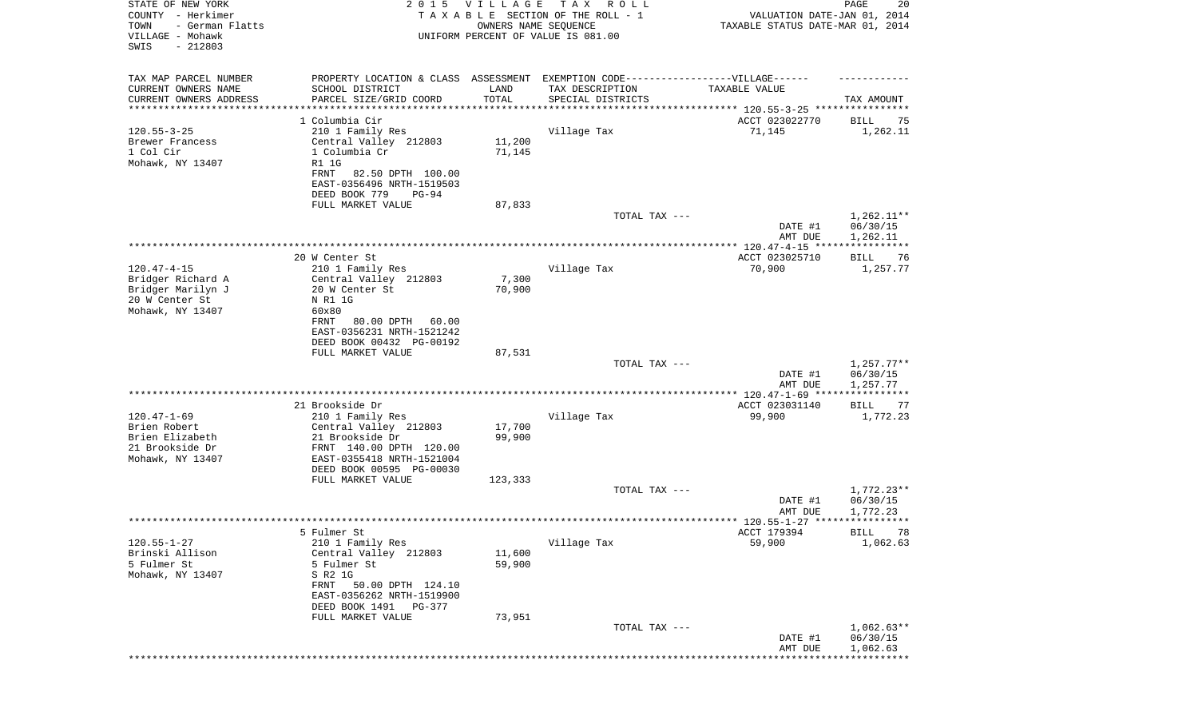| STATE OF NEW YORK<br>COUNTY - Herkimer<br>TOWN<br>- German Flatts<br>VILLAGE - Mohawk<br>SWIS<br>$-212803$ | 2 0 1 5                                                | <b>VILLAGE</b><br>OWNERS NAME SEQUENCE | T A X<br>R O L L<br>TAXABLE SECTION OF THE ROLL - 1<br>UNIFORM PERCENT OF VALUE IS 081.00 | VALUATION DATE-JAN 01, 2014<br>TAXABLE STATUS DATE-MAR 01, 2014 | 20<br>PAGE              |
|------------------------------------------------------------------------------------------------------------|--------------------------------------------------------|----------------------------------------|-------------------------------------------------------------------------------------------|-----------------------------------------------------------------|-------------------------|
| TAX MAP PARCEL NUMBER                                                                                      |                                                        |                                        | PROPERTY LOCATION & CLASS ASSESSMENT EXEMPTION CODE-----------------VILLAGE------         | TAXABLE VALUE                                                   |                         |
| CURRENT OWNERS NAME<br>CURRENT OWNERS ADDRESS                                                              | SCHOOL DISTRICT<br>PARCEL SIZE/GRID COORD              | LAND<br>TOTAL                          | TAX DESCRIPTION<br>SPECIAL DISTRICTS                                                      |                                                                 | TAX AMOUNT              |
| *******************                                                                                        |                                                        |                                        |                                                                                           | ***************************** 120.55-3-25 ****************      |                         |
|                                                                                                            | 1 Columbia Cir                                         |                                        |                                                                                           | ACCT 023022770                                                  | BILL<br>75              |
| $120.55 - 3 - 25$<br>Brewer Francess                                                                       | 210 1 Family Res<br>Central Valley 212803              | 11,200                                 | Village Tax                                                                               | 71,145                                                          | 1,262.11                |
| 1 Col Cir                                                                                                  | 1 Columbia Cr                                          | 71,145                                 |                                                                                           |                                                                 |                         |
| Mohawk, NY 13407                                                                                           | <b>R1 1G</b>                                           |                                        |                                                                                           |                                                                 |                         |
|                                                                                                            | FRNT<br>82.50 DPTH 100.00                              |                                        |                                                                                           |                                                                 |                         |
|                                                                                                            | EAST-0356496 NRTH-1519503<br>DEED BOOK 779<br>PG-94    |                                        |                                                                                           |                                                                 |                         |
|                                                                                                            | FULL MARKET VALUE                                      | 87,833                                 |                                                                                           |                                                                 |                         |
|                                                                                                            |                                                        |                                        | TOTAL TAX ---                                                                             |                                                                 | $1,262.11**$            |
|                                                                                                            |                                                        |                                        |                                                                                           | DATE #1                                                         | 06/30/15                |
|                                                                                                            |                                                        |                                        |                                                                                           | AMT DUE                                                         | 1,262.11                |
|                                                                                                            | 20 W Center St                                         |                                        |                                                                                           | ACCT 023025710                                                  | BILL<br>76              |
| $120.47 - 4 - 15$                                                                                          | 210 1 Family Res                                       |                                        | Village Tax                                                                               | 70,900                                                          | 1,257.77                |
| Bridger Richard A                                                                                          | Central Valley 212803                                  | 7,300                                  |                                                                                           |                                                                 |                         |
| Bridger Marilyn J<br>20 W Center St                                                                        | 20 W Center St<br>N R1 1G                              | 70,900                                 |                                                                                           |                                                                 |                         |
| Mohawk, NY 13407                                                                                           | 60x80                                                  |                                        |                                                                                           |                                                                 |                         |
|                                                                                                            | 80.00 DPTH<br>FRNT<br>60.00                            |                                        |                                                                                           |                                                                 |                         |
|                                                                                                            | EAST-0356231 NRTH-1521242                              |                                        |                                                                                           |                                                                 |                         |
|                                                                                                            | DEED BOOK 00432 PG-00192<br>FULL MARKET VALUE          | 87,531                                 |                                                                                           |                                                                 |                         |
|                                                                                                            |                                                        |                                        | TOTAL TAX ---                                                                             |                                                                 | $1,257.77**$            |
|                                                                                                            |                                                        |                                        |                                                                                           | DATE #1                                                         | 06/30/15                |
|                                                                                                            |                                                        |                                        |                                                                                           | AMT DUE<br>************** 120.47-1-69 *****                     | 1,257.77<br>*********** |
|                                                                                                            | 21 Brookside Dr                                        |                                        |                                                                                           | ACCT 023031140                                                  | <b>BILL</b><br>77       |
| $120.47 - 1 - 69$                                                                                          | 210 1 Family Res                                       |                                        | Village Tax                                                                               | 99,900                                                          | 1,772.23                |
| Brien Robert                                                                                               | Central Valley 212803                                  | 17,700                                 |                                                                                           |                                                                 |                         |
| Brien Elizabeth<br>21 Brookside Dr                                                                         | 21 Brookside Dr<br>FRNT 140.00 DPTH 120.00             | 99,900                                 |                                                                                           |                                                                 |                         |
| Mohawk, NY 13407                                                                                           | EAST-0355418 NRTH-1521004                              |                                        |                                                                                           |                                                                 |                         |
|                                                                                                            | DEED BOOK 00595 PG-00030                               |                                        |                                                                                           |                                                                 |                         |
|                                                                                                            | FULL MARKET VALUE                                      | 123,333                                |                                                                                           |                                                                 | $1,772.23**$            |
|                                                                                                            |                                                        |                                        | TOTAL TAX ---                                                                             | DATE #1                                                         | 06/30/15                |
|                                                                                                            |                                                        |                                        |                                                                                           | AMT DUE                                                         | 1,772.23                |
|                                                                                                            |                                                        |                                        |                                                                                           |                                                                 |                         |
| $120.55 - 1 - 27$                                                                                          | 5 Fulmer St<br>210 1 Family Res                        |                                        | Village Tax                                                                               | ACCT 179394<br>59,900                                           | BILL<br>78<br>1,062.63  |
| Brinski Allison                                                                                            | Central Valley 212803                                  | 11,600                                 |                                                                                           |                                                                 |                         |
| 5 Fulmer St                                                                                                | 5 Fulmer St                                            | 59,900                                 |                                                                                           |                                                                 |                         |
| Mohawk, NY 13407                                                                                           | S R2 1G                                                |                                        |                                                                                           |                                                                 |                         |
|                                                                                                            | FRNT<br>50.00 DPTH 124.10<br>EAST-0356262 NRTH-1519900 |                                        |                                                                                           |                                                                 |                         |
|                                                                                                            | DEED BOOK 1491<br>PG-377                               |                                        |                                                                                           |                                                                 |                         |
|                                                                                                            | FULL MARKET VALUE                                      | 73,951                                 |                                                                                           |                                                                 |                         |
|                                                                                                            |                                                        |                                        | TOTAL TAX ---                                                                             |                                                                 | $1,062.63**$            |
|                                                                                                            |                                                        |                                        |                                                                                           | DATE #1<br>AMT DUE                                              | 06/30/15<br>1,062.63    |
|                                                                                                            |                                                        |                                        |                                                                                           |                                                                 | ***********             |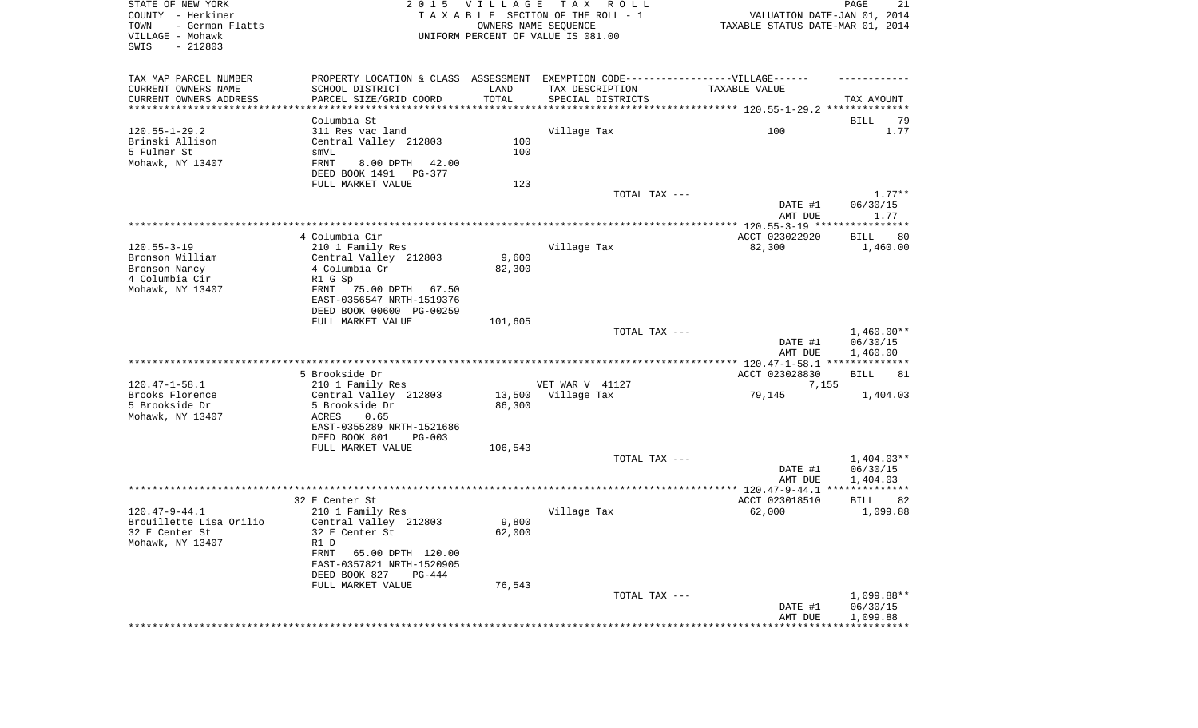| STATE OF NEW YORK<br>COUNTY - Herkimer<br>- German Flatts<br>TOWN<br>VILLAGE - Mohawk<br>SWIS<br>$-212803$ |                                                                                   | 2015 VILLAGE | T A X<br>R O L L<br>TAXABLE SECTION OF THE ROLL - 1<br>OWNERS NAME SEQUENCE<br>UNIFORM PERCENT OF VALUE IS 081.00 | VALUATION DATE-JAN 01, 2014<br>TAXABLE STATUS DATE-MAR 01, 2014 | PAGE<br>21             |
|------------------------------------------------------------------------------------------------------------|-----------------------------------------------------------------------------------|--------------|-------------------------------------------------------------------------------------------------------------------|-----------------------------------------------------------------|------------------------|
| TAX MAP PARCEL NUMBER                                                                                      | PROPERTY LOCATION & CLASS ASSESSMENT EXEMPTION CODE-----------------VILLAGE------ |              |                                                                                                                   |                                                                 |                        |
| CURRENT OWNERS NAME                                                                                        | SCHOOL DISTRICT                                                                   | LAND         | TAX DESCRIPTION                                                                                                   | TAXABLE VALUE                                                   |                        |
| CURRENT OWNERS ADDRESS<br>**********************                                                           | PARCEL SIZE/GRID COORD                                                            | TOTAL        | SPECIAL DISTRICTS                                                                                                 |                                                                 | TAX AMOUNT             |
|                                                                                                            | Columbia St                                                                       |              |                                                                                                                   |                                                                 | BILL<br>79             |
| $120.55 - 1 - 29.2$                                                                                        | 311 Res vac land                                                                  |              | Village Tax                                                                                                       | 100                                                             | 1.77                   |
| Brinski Allison                                                                                            | Central Valley 212803                                                             | 100          |                                                                                                                   |                                                                 |                        |
| 5 Fulmer St                                                                                                | smVL                                                                              | 100          |                                                                                                                   |                                                                 |                        |
| Mohawk, NY 13407                                                                                           | FRNT<br>8.00 DPTH<br>42.00                                                        |              |                                                                                                                   |                                                                 |                        |
|                                                                                                            | DEED BOOK 1491<br>PG-377                                                          |              |                                                                                                                   |                                                                 |                        |
|                                                                                                            | FULL MARKET VALUE                                                                 | 123          |                                                                                                                   |                                                                 |                        |
|                                                                                                            |                                                                                   |              | TOTAL TAX ---                                                                                                     |                                                                 | $1.77**$               |
|                                                                                                            |                                                                                   |              |                                                                                                                   | DATE #1                                                         | 06/30/15               |
|                                                                                                            |                                                                                   |              |                                                                                                                   | AMT DUE                                                         | 1.77                   |
|                                                                                                            | 4 Columbia Cir                                                                    |              |                                                                                                                   | ACCT 023022920                                                  | BILL<br>80             |
| $120.55 - 3 - 19$                                                                                          | 210 1 Family Res                                                                  |              | Village Tax                                                                                                       | 82,300                                                          | 1,460.00               |
| Bronson William                                                                                            | Central Valley 212803                                                             | 9,600        |                                                                                                                   |                                                                 |                        |
| Bronson Nancy                                                                                              | 4 Columbia Cr                                                                     | 82,300       |                                                                                                                   |                                                                 |                        |
| 4 Columbia Cir                                                                                             | R1 G Sp                                                                           |              |                                                                                                                   |                                                                 |                        |
| Mohawk, NY 13407                                                                                           | 75.00 DPTH<br>FRNT<br>67.50                                                       |              |                                                                                                                   |                                                                 |                        |
|                                                                                                            | EAST-0356547 NRTH-1519376                                                         |              |                                                                                                                   |                                                                 |                        |
|                                                                                                            | DEED BOOK 00600 PG-00259                                                          |              |                                                                                                                   |                                                                 |                        |
|                                                                                                            | FULL MARKET VALUE                                                                 | 101,605      | TOTAL TAX ---                                                                                                     |                                                                 | $1,460.00**$           |
|                                                                                                            |                                                                                   |              |                                                                                                                   | DATE #1                                                         | 06/30/15               |
|                                                                                                            |                                                                                   |              |                                                                                                                   | AMT DUE                                                         | 1,460.00               |
|                                                                                                            |                                                                                   |              |                                                                                                                   |                                                                 |                        |
|                                                                                                            | 5 Brookside Dr                                                                    |              |                                                                                                                   | ACCT 023028830                                                  | <b>BILL</b><br>81      |
| $120.47 - 1 - 58.1$                                                                                        | 210 1 Family Res                                                                  |              | VET WAR V 41127                                                                                                   | 7,155                                                           |                        |
| Brooks Florence                                                                                            | Central Valley 212803                                                             | 13,500       | Village Tax                                                                                                       | 79,145                                                          | 1,404.03               |
| 5 Brookside Dr<br>Mohawk, NY 13407                                                                         | 5 Brookside Dr<br>ACRES<br>0.65                                                   | 86,300       |                                                                                                                   |                                                                 |                        |
|                                                                                                            | EAST-0355289 NRTH-1521686                                                         |              |                                                                                                                   |                                                                 |                        |
|                                                                                                            | DEED BOOK 801<br>$PG-003$                                                         |              |                                                                                                                   |                                                                 |                        |
|                                                                                                            | FULL MARKET VALUE                                                                 | 106,543      |                                                                                                                   |                                                                 |                        |
|                                                                                                            |                                                                                   |              | TOTAL TAX ---                                                                                                     |                                                                 | $1,404.03**$           |
|                                                                                                            |                                                                                   |              |                                                                                                                   | DATE #1                                                         | 06/30/15               |
|                                                                                                            |                                                                                   |              |                                                                                                                   | AMT DUE                                                         | 1,404.03               |
|                                                                                                            | 32 E Center St                                                                    |              |                                                                                                                   | ACCT 023018510                                                  |                        |
| $120.47 - 9 - 44.1$                                                                                        | 210 1 Family Res                                                                  |              | Village Tax                                                                                                       | 62,000                                                          | BILL<br>82<br>1,099.88 |
| Brouillette Lisa Orilio                                                                                    | Central Valley 212803                                                             | 9,800        |                                                                                                                   |                                                                 |                        |
| 32 E Center St                                                                                             | 32 E Center St                                                                    | 62,000       |                                                                                                                   |                                                                 |                        |
| Mohawk, NY 13407                                                                                           | R1 D                                                                              |              |                                                                                                                   |                                                                 |                        |
|                                                                                                            | FRNT<br>65.00 DPTH 120.00                                                         |              |                                                                                                                   |                                                                 |                        |
|                                                                                                            | EAST-0357821 NRTH-1520905                                                         |              |                                                                                                                   |                                                                 |                        |
|                                                                                                            | DEED BOOK 827<br>PG-444                                                           |              |                                                                                                                   |                                                                 |                        |
|                                                                                                            | FULL MARKET VALUE                                                                 | 76,543       |                                                                                                                   |                                                                 |                        |
|                                                                                                            |                                                                                   |              | TOTAL TAX ---                                                                                                     |                                                                 | 1,099.88**             |
|                                                                                                            |                                                                                   |              |                                                                                                                   | DATE #1<br>AMT DUE                                              | 06/30/15<br>1,099.88   |
|                                                                                                            |                                                                                   |              |                                                                                                                   | *************************                                       |                        |
|                                                                                                            |                                                                                   |              |                                                                                                                   |                                                                 |                        |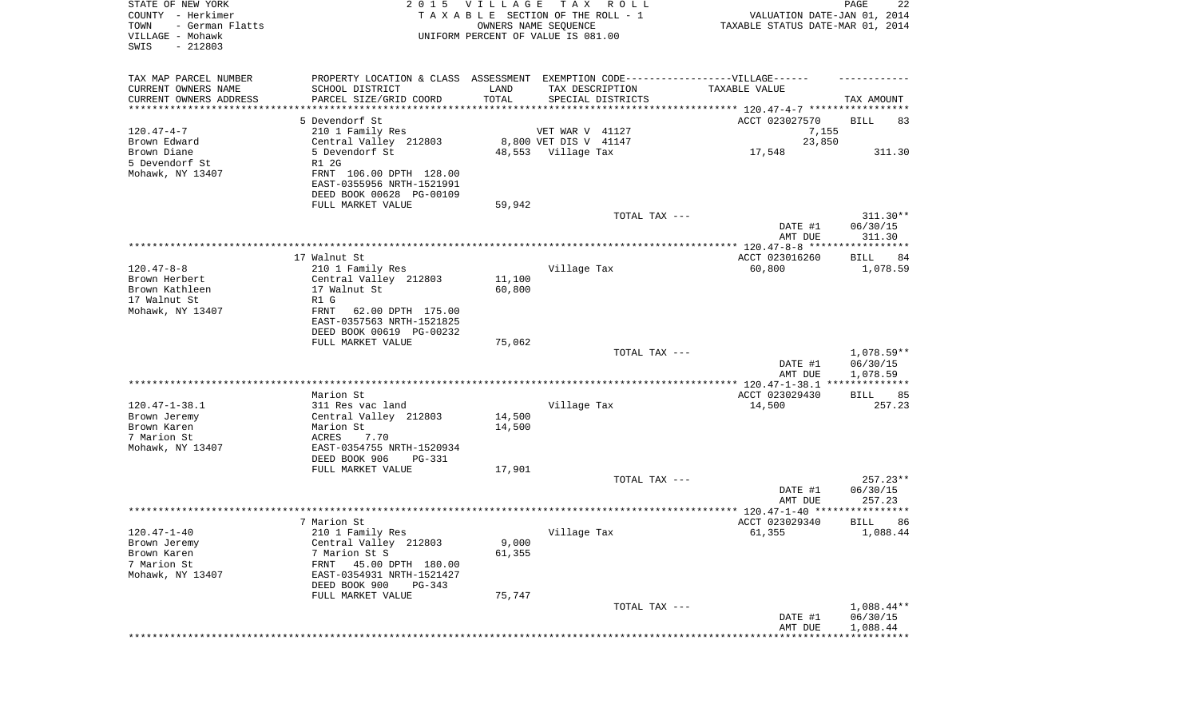| STATE OF NEW YORK<br>COUNTY - Herkimer<br>- German Flatts<br>TOWN<br>VILLAGE - Mohawk<br>SWIS<br>$-212803$ |                                                        | 2015 VILLAGE | T A X<br>R O L L<br>TAXABLE SECTION OF THE ROLL - 1<br>OWNERS NAME SEQUENCE<br>UNIFORM PERCENT OF VALUE IS 081.00 | VALUATION DATE-JAN 01, 2014<br>TAXABLE STATUS DATE-MAR 01, 2014 | $\mathop{\mathtt{PAGE}}$<br>22 |
|------------------------------------------------------------------------------------------------------------|--------------------------------------------------------|--------------|-------------------------------------------------------------------------------------------------------------------|-----------------------------------------------------------------|--------------------------------|
| TAX MAP PARCEL NUMBER                                                                                      |                                                        |              | PROPERTY LOCATION & CLASS ASSESSMENT EXEMPTION CODE-----------------VILLAGE------                                 |                                                                 |                                |
| CURRENT OWNERS NAME                                                                                        | SCHOOL DISTRICT                                        | LAND         | TAX DESCRIPTION                                                                                                   | TAXABLE VALUE                                                   |                                |
| CURRENT OWNERS ADDRESS<br>*******************                                                              | PARCEL SIZE/GRID COORD                                 | TOTAL        | SPECIAL DISTRICTS                                                                                                 |                                                                 | TAX AMOUNT                     |
|                                                                                                            | 5 Devendorf St                                         |              |                                                                                                                   | ACCT 023027570                                                  | BILL<br>83                     |
| $120.47 - 4 - 7$                                                                                           | 210 1 Family Res                                       |              | VET WAR V 41127                                                                                                   | 7,155                                                           |                                |
| Brown Edward                                                                                               | Central Valley 212803                                  |              | 8,800 VET DIS V 41147                                                                                             | 23,850                                                          |                                |
| Brown Diane                                                                                                | 5 Devendorf St                                         |              | 48,553 Village Tax                                                                                                | 17,548                                                          | 311.30                         |
| 5 Devendorf St                                                                                             | R1 2G                                                  |              |                                                                                                                   |                                                                 |                                |
| Mohawk, NY 13407                                                                                           | FRNT 106.00 DPTH 128.00                                |              |                                                                                                                   |                                                                 |                                |
|                                                                                                            | EAST-0355956 NRTH-1521991                              |              |                                                                                                                   |                                                                 |                                |
|                                                                                                            | DEED BOOK 00628 PG-00109                               |              |                                                                                                                   |                                                                 |                                |
|                                                                                                            | FULL MARKET VALUE                                      | 59,942       |                                                                                                                   |                                                                 |                                |
|                                                                                                            |                                                        |              | TOTAL TAX ---                                                                                                     |                                                                 | 311.30**<br>06/30/15           |
|                                                                                                            |                                                        |              |                                                                                                                   | DATE #1<br>AMT DUE                                              | 311.30                         |
|                                                                                                            |                                                        |              |                                                                                                                   |                                                                 |                                |
|                                                                                                            | 17 Walnut St                                           |              |                                                                                                                   | ACCT 023016260                                                  | BILL<br>84                     |
| $120.47 - 8 - 8$                                                                                           | 210 1 Family Res                                       |              | Village Tax                                                                                                       | 60,800                                                          | 1,078.59                       |
| Brown Herbert                                                                                              | Central Valley 212803                                  | 11,100       |                                                                                                                   |                                                                 |                                |
| Brown Kathleen                                                                                             | 17 Walnut St                                           | 60,800       |                                                                                                                   |                                                                 |                                |
| 17 Walnut St                                                                                               | R1 G                                                   |              |                                                                                                                   |                                                                 |                                |
| Mohawk, NY 13407                                                                                           | FRNT<br>62.00 DPTH 175.00                              |              |                                                                                                                   |                                                                 |                                |
|                                                                                                            | EAST-0357563 NRTH-1521825                              |              |                                                                                                                   |                                                                 |                                |
|                                                                                                            | DEED BOOK 00619 PG-00232<br>FULL MARKET VALUE          | 75,062       |                                                                                                                   |                                                                 |                                |
|                                                                                                            |                                                        |              | TOTAL TAX ---                                                                                                     |                                                                 | $1,078.59**$                   |
|                                                                                                            |                                                        |              |                                                                                                                   | DATE #1                                                         | 06/30/15                       |
|                                                                                                            |                                                        |              |                                                                                                                   | AMT DUE                                                         | 1,078.59                       |
|                                                                                                            |                                                        |              |                                                                                                                   |                                                                 |                                |
|                                                                                                            | Marion St                                              |              |                                                                                                                   | ACCT 023029430                                                  | 85<br>BILL                     |
| $120.47 - 1 - 38.1$                                                                                        | 311 Res vac land                                       |              | Village Tax                                                                                                       | 14,500                                                          | 257.23                         |
| Brown Jeremy                                                                                               | Central Valley 212803                                  | 14,500       |                                                                                                                   |                                                                 |                                |
| Brown Karen                                                                                                | Marion St                                              | 14,500       |                                                                                                                   |                                                                 |                                |
| 7 Marion St                                                                                                | ACRES<br>7.70                                          |              |                                                                                                                   |                                                                 |                                |
| Mohawk, NY 13407                                                                                           | EAST-0354755 NRTH-1520934<br>DEED BOOK 906<br>PG-331   |              |                                                                                                                   |                                                                 |                                |
|                                                                                                            | FULL MARKET VALUE                                      | 17,901       |                                                                                                                   |                                                                 |                                |
|                                                                                                            |                                                        |              | TOTAL TAX ---                                                                                                     |                                                                 | $257.23**$                     |
|                                                                                                            |                                                        |              |                                                                                                                   | DATE #1                                                         | 06/30/15                       |
|                                                                                                            |                                                        |              |                                                                                                                   | AMT DUE                                                         | 257.23                         |
|                                                                                                            |                                                        |              |                                                                                                                   | ******************* 120.47-1-40 *****************               |                                |
|                                                                                                            | 7 Marion St                                            |              |                                                                                                                   | ACCT 023029340                                                  | 86<br>BILL                     |
| $120.47 - 1 - 40$                                                                                          | 210 1 Family Res                                       |              | Village Tax                                                                                                       | 61,355                                                          | 1,088.44                       |
| Brown Jeremy                                                                                               | Central Valley 212803                                  | 9,000        |                                                                                                                   |                                                                 |                                |
| Brown Karen                                                                                                | 7 Marion St S                                          | 61,355       |                                                                                                                   |                                                                 |                                |
| 7 Marion St<br>Mohawk, NY 13407                                                                            | 45.00 DPTH 180.00<br>FRNT<br>EAST-0354931 NRTH-1521427 |              |                                                                                                                   |                                                                 |                                |
|                                                                                                            | DEED BOOK 900<br>$PG-343$                              |              |                                                                                                                   |                                                                 |                                |
|                                                                                                            | FULL MARKET VALUE                                      | 75,747       |                                                                                                                   |                                                                 |                                |
|                                                                                                            |                                                        |              | TOTAL TAX ---                                                                                                     |                                                                 | $1,088.44**$                   |
|                                                                                                            |                                                        |              |                                                                                                                   | DATE #1                                                         | 06/30/15                       |
|                                                                                                            |                                                        |              |                                                                                                                   | AMT DUE                                                         | 1,088.44                       |
|                                                                                                            |                                                        |              |                                                                                                                   |                                                                 |                                |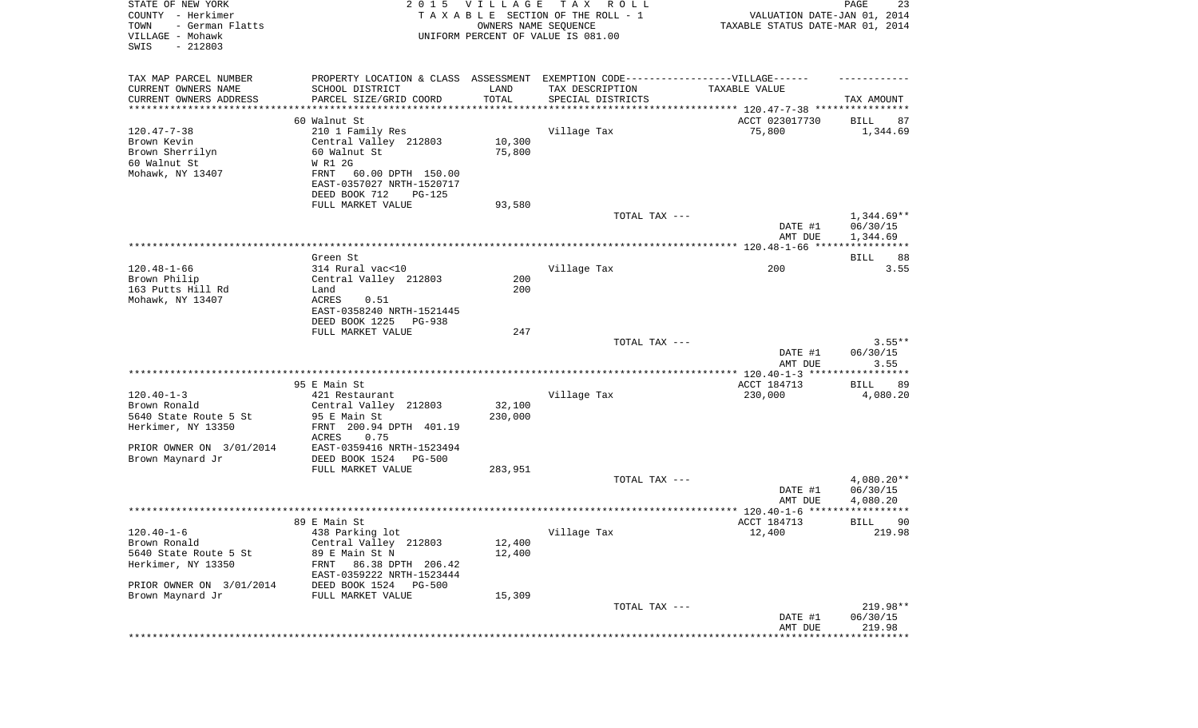| STATE OF NEW YORK<br>COUNTY - Herkimer<br>- German Flatts<br>TOWN<br>VILLAGE - Mohawk<br>$-212803$<br>SWIS |                                                                                                     | 2015 VILLAGE<br>OWNERS NAME SEQUENCE | T A X<br>R O L L<br>TAXABLE SECTION OF THE ROLL - 1<br>UNIFORM PERCENT OF VALUE IS 081.00 | VALUATION DATE-JAN 01, 2014<br>TAXABLE STATUS DATE-MAR 01, 2014 | PAGE<br>23               |
|------------------------------------------------------------------------------------------------------------|-----------------------------------------------------------------------------------------------------|--------------------------------------|-------------------------------------------------------------------------------------------|-----------------------------------------------------------------|--------------------------|
| TAX MAP PARCEL NUMBER<br>CURRENT OWNERS NAME                                                               | PROPERTY LOCATION & CLASS ASSESSMENT EXEMPTION CODE----------------VILLAGE------<br>SCHOOL DISTRICT | LAND                                 | TAX DESCRIPTION                                                                           | TAXABLE VALUE                                                   |                          |
| CURRENT OWNERS ADDRESS<br>********************                                                             | PARCEL SIZE/GRID COORD<br>****************                                                          | TOTAL                                | SPECIAL DISTRICTS<br>************************************** 120.47-7-38 ***********       |                                                                 | TAX AMOUNT               |
|                                                                                                            | 60 Walnut St                                                                                        |                                      |                                                                                           | ACCT 023017730                                                  | 87<br>BILL               |
| $120.47 - 7 - 38$                                                                                          | 210 1 Family Res                                                                                    |                                      | Village Tax                                                                               | 75,800                                                          | 1,344.69                 |
| Brown Kevin                                                                                                | Central Valley 212803                                                                               | 10,300                               |                                                                                           |                                                                 |                          |
| Brown Sherrilyn                                                                                            | 60 Walnut St                                                                                        | 75,800                               |                                                                                           |                                                                 |                          |
| 60 Walnut St                                                                                               | W R1 2G                                                                                             |                                      |                                                                                           |                                                                 |                          |
| Mohawk, NY 13407                                                                                           | 60.00 DPTH 150.00<br>FRNT                                                                           |                                      |                                                                                           |                                                                 |                          |
|                                                                                                            | EAST-0357027 NRTH-1520717                                                                           |                                      |                                                                                           |                                                                 |                          |
|                                                                                                            | DEED BOOK 712<br>PG-125<br>FULL MARKET VALUE                                                        | 93,580                               |                                                                                           |                                                                 |                          |
|                                                                                                            |                                                                                                     |                                      | TOTAL TAX ---                                                                             |                                                                 | $1,344.69**$             |
|                                                                                                            |                                                                                                     |                                      |                                                                                           | DATE #1                                                         | 06/30/15                 |
|                                                                                                            |                                                                                                     |                                      |                                                                                           | AMT DUE                                                         | 1,344.69                 |
|                                                                                                            |                                                                                                     |                                      |                                                                                           |                                                                 |                          |
|                                                                                                            | Green St<br>314 Rural vac<10                                                                        |                                      |                                                                                           |                                                                 | BILL<br>88               |
| $120.48 - 1 - 66$<br>Brown Philip                                                                          | Central Valley 212803                                                                               | 200                                  | Village Tax                                                                               | 200                                                             | 3.55                     |
| 163 Putts Hill Rd                                                                                          | Land                                                                                                | 200                                  |                                                                                           |                                                                 |                          |
| Mohawk, NY 13407                                                                                           | ACRES<br>0.51                                                                                       |                                      |                                                                                           |                                                                 |                          |
|                                                                                                            | EAST-0358240 NRTH-1521445                                                                           |                                      |                                                                                           |                                                                 |                          |
|                                                                                                            | DEED BOOK 1225<br>PG-938                                                                            |                                      |                                                                                           |                                                                 |                          |
|                                                                                                            | FULL MARKET VALUE                                                                                   | 247                                  | TOTAL TAX ---                                                                             |                                                                 | $3.55**$                 |
|                                                                                                            |                                                                                                     |                                      |                                                                                           | DATE #1                                                         | 06/30/15                 |
|                                                                                                            |                                                                                                     |                                      |                                                                                           | AMT DUE                                                         | 3.55                     |
|                                                                                                            |                                                                                                     |                                      |                                                                                           | ************** 120.40-1-3 ******************                    |                          |
|                                                                                                            | 95 E Main St                                                                                        |                                      |                                                                                           | ACCT 184713                                                     | BILL<br>89               |
| $120.40 - 1 - 3$                                                                                           | 421 Restaurant                                                                                      |                                      | Village Tax                                                                               | 230,000                                                         | 4,080.20                 |
| Brown Ronald<br>5640 State Route 5 St                                                                      | Central Valley 212803<br>95 E Main St                                                               | 32,100<br>230,000                    |                                                                                           |                                                                 |                          |
| Herkimer, NY 13350                                                                                         | FRNT 200.94 DPTH 401.19                                                                             |                                      |                                                                                           |                                                                 |                          |
|                                                                                                            | ACRES<br>0.75                                                                                       |                                      |                                                                                           |                                                                 |                          |
| PRIOR OWNER ON 3/01/2014                                                                                   | EAST-0359416 NRTH-1523494                                                                           |                                      |                                                                                           |                                                                 |                          |
| Brown Maynard Jr                                                                                           | DEED BOOK 1524<br>PG-500                                                                            |                                      |                                                                                           |                                                                 |                          |
|                                                                                                            | FULL MARKET VALUE                                                                                   | 283,951                              |                                                                                           |                                                                 |                          |
|                                                                                                            |                                                                                                     |                                      | TOTAL TAX ---                                                                             | DATE #1                                                         | $4,080.20**$<br>06/30/15 |
|                                                                                                            |                                                                                                     |                                      |                                                                                           | AMT DUE                                                         | 4,080.20                 |
|                                                                                                            |                                                                                                     |                                      |                                                                                           | ******                                                          |                          |
|                                                                                                            | 89 E Main St                                                                                        |                                      |                                                                                           | ACCT 184713                                                     | 90<br>BILL               |
| $120.40 - 1 - 6$                                                                                           | 438 Parking lot                                                                                     |                                      | Village Tax                                                                               | 12,400                                                          | 219.98                   |
| Brown Ronald                                                                                               | Central Valley 212803                                                                               | 12,400                               |                                                                                           |                                                                 |                          |
| 5640 State Route 5 St<br>Herkimer, NY 13350                                                                | 89 E Main St N<br>86.38 DPTH 206.42<br>FRNT                                                         | 12,400                               |                                                                                           |                                                                 |                          |
|                                                                                                            | EAST-0359222 NRTH-1523444                                                                           |                                      |                                                                                           |                                                                 |                          |
| PRIOR OWNER ON 3/01/2014                                                                                   | DEED BOOK 1524 PG-500                                                                               |                                      |                                                                                           |                                                                 |                          |
| Brown Maynard Jr                                                                                           | FULL MARKET VALUE                                                                                   | 15,309                               |                                                                                           |                                                                 |                          |
|                                                                                                            |                                                                                                     |                                      | TOTAL TAX ---                                                                             |                                                                 | 219.98**                 |
|                                                                                                            |                                                                                                     |                                      |                                                                                           | DATE #1                                                         | 06/30/15                 |
|                                                                                                            |                                                                                                     |                                      |                                                                                           | AMT DUE<br>**************************                           | 219.98                   |
|                                                                                                            |                                                                                                     |                                      |                                                                                           |                                                                 |                          |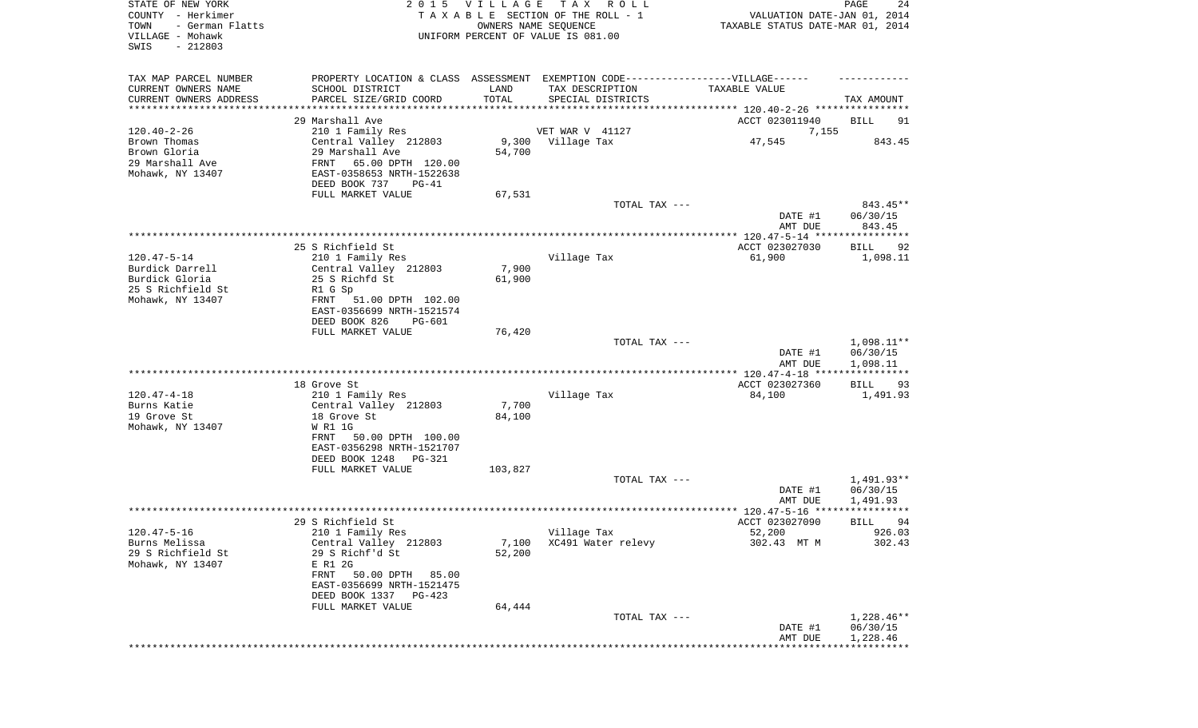| STATE OF NEW YORK<br>COUNTY - Herkimer<br>TOWN<br>- German Flatts<br>VILLAGE - Mohawk<br>SWIS<br>$-212803$ |                                                                                                                                                                                                       | 2015 VILLAGE<br>OWNERS NAME SEQUENCE | T A X<br>ROLL ROLL<br>TAXABLE SECTION OF THE ROLL - 1<br>UNIFORM PERCENT OF VALUE IS 081.00                               | VALUATION DATE-JAN 01, 2014<br>TAXABLE STATUS DATE-MAR 01, 2014 | PAGE<br>24                                      |
|------------------------------------------------------------------------------------------------------------|-------------------------------------------------------------------------------------------------------------------------------------------------------------------------------------------------------|--------------------------------------|---------------------------------------------------------------------------------------------------------------------------|-----------------------------------------------------------------|-------------------------------------------------|
| TAX MAP PARCEL NUMBER<br>CURRENT OWNERS NAME<br>CURRENT OWNERS ADDRESS<br>*********************            | SCHOOL DISTRICT<br>PARCEL SIZE/GRID COORD<br>29 Marshall Ave                                                                                                                                          | LAND<br>TOTAL                        | PROPERTY LOCATION & CLASS ASSESSMENT EXEMPTION CODE-----------------VILLAGE------<br>TAX DESCRIPTION<br>SPECIAL DISTRICTS | TAXABLE VALUE<br>ACCT 023011940                                 | TAX AMOUNT<br>BILL<br>91                        |
| $120.40 - 2 - 26$<br>Brown Thomas<br>Brown Gloria<br>29 Marshall Ave<br>Mohawk, NY 13407                   | 210 1 Family Res<br>Central Valley 212803<br>29 Marshall Ave<br>FRNT<br>65.00 DPTH 120.00<br>EAST-0358653 NRTH-1522638<br>DEED BOOK 737<br>PG-41<br>FULL MARKET VALUE                                 | 54,700<br>67,531                     | VET WAR V 41127<br>9,300 Village Tax                                                                                      | 7,155<br>47,545                                                 | 843.45                                          |
|                                                                                                            |                                                                                                                                                                                                       |                                      | TOTAL TAX ---                                                                                                             | DATE #1<br>AMT DUE                                              | 843.45**<br>06/30/15<br>843.45                  |
| $120.47 - 5 - 14$<br>Burdick Darrell<br>Burdick Gloria<br>25 S Richfield St<br>Mohawk, NY 13407            | 25 S Richfield St<br>210 1 Family Res<br>Central Valley 212803<br>25 S Richfd St<br>R1 G Sp<br>51.00 DPTH 102.00<br>FRNT<br>EAST-0356699 NRTH-1521574<br>DEED BOOK 826<br>PG-601<br>FULL MARKET VALUE | 7,900<br>61,900<br>76,420            | Village Tax                                                                                                               | ACCT 023027030<br>61,900                                        | 92<br>BILL<br>1,098.11                          |
|                                                                                                            |                                                                                                                                                                                                       |                                      | TOTAL TAX ---                                                                                                             | DATE #1<br>AMT DUE                                              | $1,098.11**$<br>06/30/15<br>1,098.11            |
| $120.47 - 4 - 18$<br>Burns Katie<br>19 Grove St<br>Mohawk, NY 13407                                        | 18 Grove St<br>210 1 Family Res<br>Central Valley 212803<br>18 Grove St<br>W R1 1G<br><b>FRNT</b><br>50.00 DPTH 100.00<br>EAST-0356298 NRTH-1521707<br>DEED BOOK 1248 PG-321                          | 7,700<br>84,100                      | Village Tax                                                                                                               | ************* 120.47-4-18 ****<br>ACCT 023027360<br>84,100      | * * * * * * * * * * *<br>BILL<br>93<br>1,491.93 |
|                                                                                                            | FULL MARKET VALUE                                                                                                                                                                                     | 103,827                              | TOTAL TAX ---                                                                                                             | DATE #1<br>AMT DUE                                              | 1,491.93**<br>06/30/15<br>1,491.93              |
|                                                                                                            |                                                                                                                                                                                                       |                                      |                                                                                                                           |                                                                 | * * * * *                                       |
| $120.47 - 5 - 16$<br>Burns Melissa<br>29 S Richfield St<br>Mohawk, NY 13407                                | 29 S Richfield St<br>210 1 Family Res<br>Central Valley 212803<br>29 S Richf'd St<br>E R1 2G<br>FRNT 50.00 DPTH 85.00<br>EAST-0356699 NRTH-1521475<br>DEED BOOK 1337 PG-423<br>FULL MARKET VALUE      | 7,100<br>52,200<br>64,444            | Village Tax<br>XC491 Water relevy                                                                                         | ACCT 023027090<br>52,200<br>302.43 MT M                         | 94<br>BILL<br>926.03<br>302.43                  |
|                                                                                                            |                                                                                                                                                                                                       |                                      | TOTAL TAX ---                                                                                                             | DATE #1<br>AMT DUE                                              | 1,228.46**<br>06/30/15<br>1,228.46              |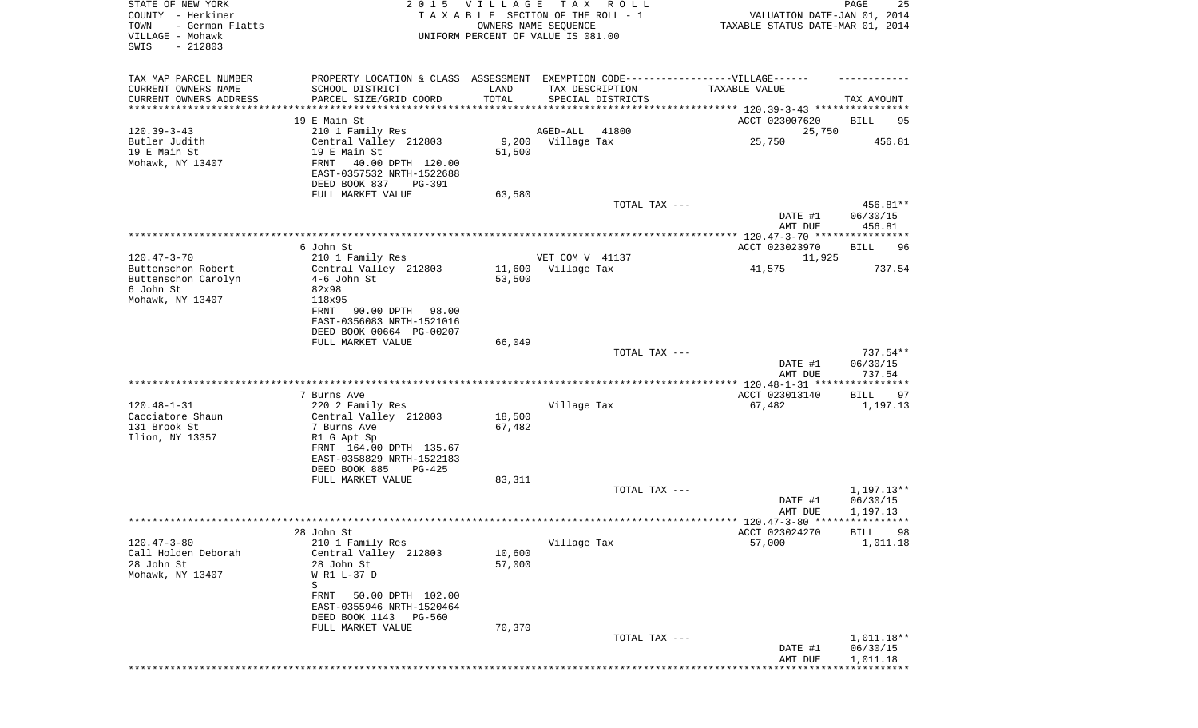| STATE OF NEW YORK<br>COUNTY - Herkimer<br>TOWN<br>- German Flatts<br>VILLAGE - Mohawk<br>SWIS<br>$-212803$ | 2 0 1 5                                                                                              | VILLAGE<br>TAXABLE SECTION OF THE ROLL - 1<br>UNIFORM PERCENT OF VALUE IS 081.00 | OWNERS NAME SEQUENCE | TAX ROLL          | VALUATION DATE-JAN 01, 2014<br>TAXABLE STATUS DATE-MAR 01, 2014 | PAGE<br>25               |
|------------------------------------------------------------------------------------------------------------|------------------------------------------------------------------------------------------------------|----------------------------------------------------------------------------------|----------------------|-------------------|-----------------------------------------------------------------|--------------------------|
| TAX MAP PARCEL NUMBER<br>CURRENT OWNERS NAME                                                               | PROPERTY LOCATION & CLASS ASSESSMENT EXEMPTION CODE-----------------VILLAGE------<br>SCHOOL DISTRICT | LAND                                                                             | TAX DESCRIPTION      |                   | TAXABLE VALUE                                                   |                          |
| CURRENT OWNERS ADDRESS<br>*********************                                                            | PARCEL SIZE/GRID COORD                                                                               | TOTAL                                                                            |                      | SPECIAL DISTRICTS |                                                                 | TAX AMOUNT               |
|                                                                                                            | 19 E Main St                                                                                         |                                                                                  |                      |                   | ACCT 023007620                                                  | BILL<br>95               |
| $120.39 - 3 - 43$                                                                                          | 210 1 Family Res                                                                                     |                                                                                  | AGED-ALL             | 41800             | 25,750                                                          |                          |
| Butler Judith                                                                                              | Central Valley 212803                                                                                |                                                                                  | 9,200 Village Tax    |                   | 25,750                                                          | 456.81                   |
| 19 E Main St<br>Mohawk, NY 13407                                                                           | 19 E Main St<br>FRNT<br>40.00 DPTH 120.00<br>EAST-0357532 NRTH-1522688                               | 51,500                                                                           |                      |                   |                                                                 |                          |
|                                                                                                            | DEED BOOK 837<br>PG-391                                                                              |                                                                                  |                      |                   |                                                                 |                          |
|                                                                                                            | FULL MARKET VALUE                                                                                    | 63,580                                                                           |                      | TOTAL TAX ---     |                                                                 | 456.81**                 |
|                                                                                                            |                                                                                                      |                                                                                  |                      |                   | DATE #1<br>AMT DUE                                              | 06/30/15<br>456.81       |
|                                                                                                            | 6 John St                                                                                            |                                                                                  |                      |                   | ACCT 023023970                                                  | <b>BILL</b><br>96        |
| $120.47 - 3 - 70$                                                                                          | 210 1 Family Res                                                                                     |                                                                                  | VET COM V 41137      |                   | 11,925                                                          |                          |
| Buttenschon Robert                                                                                         | Central Valley 212803                                                                                | 11,600                                                                           | Village Tax          |                   | 41,575                                                          | 737.54                   |
| Buttenschon Carolyn                                                                                        | $4-6$ John St                                                                                        | 53,500                                                                           |                      |                   |                                                                 |                          |
| 6 John St                                                                                                  | 82x98                                                                                                |                                                                                  |                      |                   |                                                                 |                          |
| Mohawk, NY 13407                                                                                           | 118x95<br>90.00 DPTH<br>98.00<br>FRNT                                                                |                                                                                  |                      |                   |                                                                 |                          |
|                                                                                                            | EAST-0356083 NRTH-1521016                                                                            |                                                                                  |                      |                   |                                                                 |                          |
|                                                                                                            | DEED BOOK 00664 PG-00207                                                                             |                                                                                  |                      |                   |                                                                 |                          |
|                                                                                                            | FULL MARKET VALUE                                                                                    | 66,049                                                                           |                      |                   |                                                                 |                          |
|                                                                                                            |                                                                                                      |                                                                                  |                      | TOTAL TAX ---     | DATE #1                                                         | $737.54**$<br>06/30/15   |
|                                                                                                            |                                                                                                      |                                                                                  |                      |                   | AMT DUE                                                         | 737.54                   |
|                                                                                                            |                                                                                                      |                                                                                  |                      |                   |                                                                 |                          |
|                                                                                                            | 7 Burns Ave                                                                                          |                                                                                  |                      |                   | ACCT 023013140                                                  | 97<br>BILL               |
| $120.48 - 1 - 31$<br>Cacciatore Shaun                                                                      | 220 2 Family Res                                                                                     | 18,500                                                                           | Village Tax          |                   | 67,482                                                          | 1,197.13                 |
| 131 Brook St                                                                                               | Central Valley 212803<br>7 Burns Ave                                                                 | 67,482                                                                           |                      |                   |                                                                 |                          |
| Ilion, NY 13357                                                                                            | R1 G Apt Sp                                                                                          |                                                                                  |                      |                   |                                                                 |                          |
|                                                                                                            | FRNT 164.00 DPTH 135.67                                                                              |                                                                                  |                      |                   |                                                                 |                          |
|                                                                                                            | EAST-0358829 NRTH-1522183                                                                            |                                                                                  |                      |                   |                                                                 |                          |
|                                                                                                            | DEED BOOK 885<br>PG-425<br>FULL MARKET VALUE                                                         | 83,311                                                                           |                      |                   |                                                                 |                          |
|                                                                                                            |                                                                                                      |                                                                                  |                      | TOTAL TAX ---     |                                                                 | 1,197.13**               |
|                                                                                                            |                                                                                                      |                                                                                  |                      |                   | DATE #1                                                         | 06/30/15                 |
|                                                                                                            |                                                                                                      |                                                                                  |                      |                   | AMT DUE                                                         | 1,197.13                 |
|                                                                                                            | 28 John St                                                                                           |                                                                                  |                      |                   | ACCT 023024270                                                  | 98<br><b>BILL</b>        |
| $120.47 - 3 - 80$                                                                                          | 210 1 Family Res                                                                                     |                                                                                  | Village Tax          |                   | 57,000                                                          | 1,011.18                 |
| Call Holden Deborah                                                                                        | Central Valley 212803                                                                                | 10,600                                                                           |                      |                   |                                                                 |                          |
| 28 John St                                                                                                 | 28 John St                                                                                           | 57,000                                                                           |                      |                   |                                                                 |                          |
| Mohawk, NY 13407                                                                                           | W R1 L-37 D<br>S                                                                                     |                                                                                  |                      |                   |                                                                 |                          |
|                                                                                                            | FRNT<br>50.00 DPTH 102.00<br>EAST-0355946 NRTH-1520464                                               |                                                                                  |                      |                   |                                                                 |                          |
|                                                                                                            | DEED BOOK 1143<br>PG-560                                                                             |                                                                                  |                      |                   |                                                                 |                          |
|                                                                                                            | FULL MARKET VALUE                                                                                    | 70,370                                                                           |                      | TOTAL TAX ---     |                                                                 |                          |
|                                                                                                            |                                                                                                      |                                                                                  |                      |                   | DATE #1                                                         | $1,011.18**$<br>06/30/15 |
|                                                                                                            |                                                                                                      |                                                                                  |                      |                   | AMT DUE                                                         | 1,011.18                 |
|                                                                                                            |                                                                                                      |                                                                                  |                      |                   |                                                                 |                          |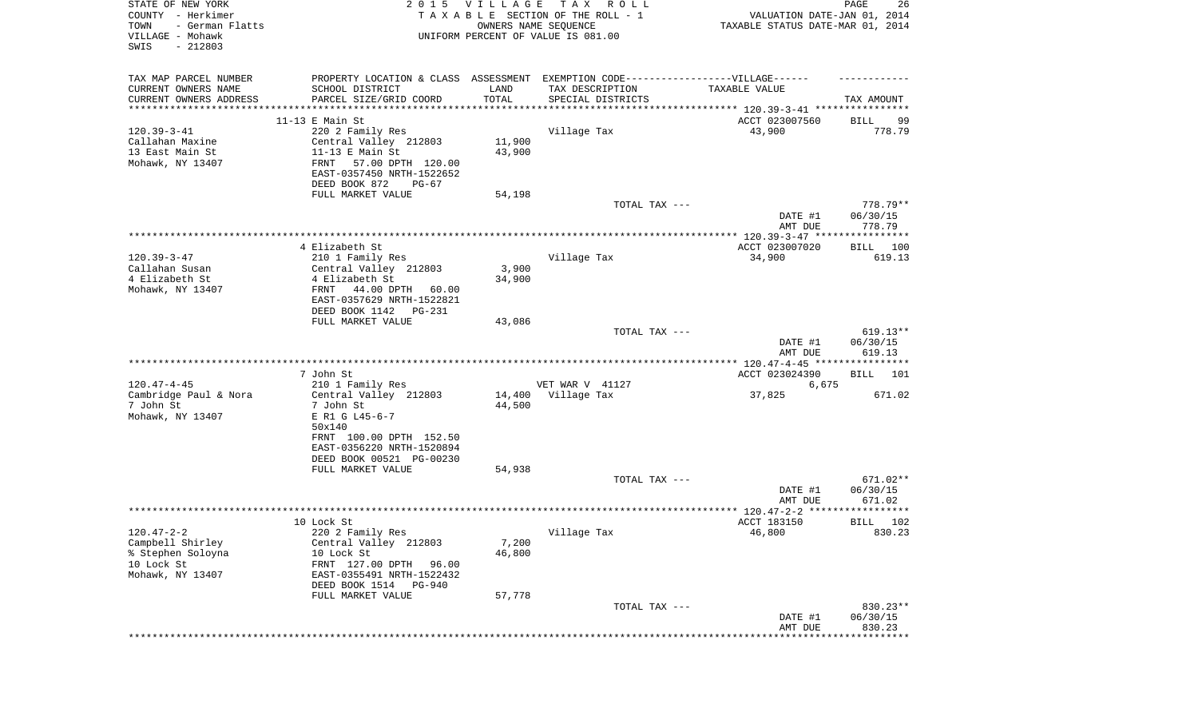| STATE OF NEW YORK<br>COUNTY - Herkimer<br>TOWN<br>- German Flatts<br>VILLAGE - Mohawk<br>SWIS<br>$-212803$ | 2015 VILLAGE<br>TAXABLE SECTION OF THE ROLL - 1<br>UNIFORM PERCENT OF VALUE IS 081.00 | PAGE<br>26<br>VALUATION DATE-JAN 01, 2014<br>TAXABLE STATUS DATE-MAR 01, 2014 |                   |                                                                 |                       |
|------------------------------------------------------------------------------------------------------------|---------------------------------------------------------------------------------------|-------------------------------------------------------------------------------|-------------------|-----------------------------------------------------------------|-----------------------|
| TAX MAP PARCEL NUMBER                                                                                      | PROPERTY LOCATION & CLASS ASSESSMENT EXEMPTION CODE-----------------VILLAGE------     |                                                                               |                   |                                                                 |                       |
| CURRENT OWNERS NAME<br>CURRENT OWNERS ADDRESS                                                              | SCHOOL DISTRICT<br>PARCEL SIZE/GRID COORD                                             | LAND<br>TOTAL                                                                 | TAX DESCRIPTION   | TAXABLE VALUE                                                   | TAX AMOUNT            |
| *********************                                                                                      |                                                                                       | ***********                                                                   | SPECIAL DISTRICTS | ********************************** 120.39-3-41 **************** |                       |
|                                                                                                            | $11-13$ E Main St                                                                     |                                                                               |                   | ACCT 023007560                                                  | BILL<br>99            |
| $120.39 - 3 - 41$                                                                                          | 220 2 Family Res                                                                      |                                                                               | Village Tax       | 43,900                                                          | 778.79                |
| Callahan Maxine                                                                                            | Central Valley 212803                                                                 | 11,900                                                                        |                   |                                                                 |                       |
| 13 East Main St                                                                                            | $11-13$ E Main St                                                                     | 43,900                                                                        |                   |                                                                 |                       |
| Mohawk, NY 13407                                                                                           | FRNT<br>57.00 DPTH 120.00                                                             |                                                                               |                   |                                                                 |                       |
|                                                                                                            | EAST-0357450 NRTH-1522652<br>DEED BOOK 872<br>PG-67                                   |                                                                               |                   |                                                                 |                       |
|                                                                                                            | FULL MARKET VALUE                                                                     | 54,198                                                                        |                   |                                                                 |                       |
|                                                                                                            |                                                                                       |                                                                               | TOTAL TAX ---     |                                                                 | $778.79**$            |
|                                                                                                            |                                                                                       |                                                                               |                   | DATE #1                                                         | 06/30/15              |
|                                                                                                            |                                                                                       |                                                                               |                   | AMT DUE                                                         | 778.79                |
|                                                                                                            |                                                                                       |                                                                               |                   |                                                                 |                       |
| $120.39 - 3 - 47$                                                                                          | 4 Elizabeth St<br>210 1 Family Res                                                    |                                                                               | Village Tax       | ACCT 023007020<br>34,900                                        | BILL<br>100<br>619.13 |
| Callahan Susan                                                                                             | Central Valley 212803                                                                 | 3,900                                                                         |                   |                                                                 |                       |
| 4 Elizabeth St                                                                                             | 4 Elizabeth St                                                                        | 34,900                                                                        |                   |                                                                 |                       |
| Mohawk, NY 13407                                                                                           | FRNT<br>44.00 DPTH<br>60.00                                                           |                                                                               |                   |                                                                 |                       |
|                                                                                                            | EAST-0357629 NRTH-1522821                                                             |                                                                               |                   |                                                                 |                       |
|                                                                                                            | DEED BOOK 1142 PG-231                                                                 |                                                                               |                   |                                                                 |                       |
|                                                                                                            | FULL MARKET VALUE                                                                     | 43,086                                                                        | TOTAL TAX ---     |                                                                 | $619.13**$            |
|                                                                                                            |                                                                                       |                                                                               |                   | DATE #1<br>AMT DUE                                              | 06/30/15<br>619.13    |
|                                                                                                            |                                                                                       |                                                                               |                   |                                                                 |                       |
|                                                                                                            | 7 John St                                                                             |                                                                               |                   | ACCT 023024390                                                  | <b>BILL</b><br>101    |
| $120.47 - 4 - 45$                                                                                          | 210 1 Family Res                                                                      |                                                                               | VET WAR V 41127   | 6,675                                                           |                       |
| Cambridge Paul & Nora<br>7 John St<br>Mohawk, NY 13407                                                     | Central Valley 212803<br>7 John St<br>E R1 G L45-6-7                                  | 14,400<br>44,500                                                              | Village Tax       | 37,825                                                          | 671.02                |
|                                                                                                            | 50x140<br>FRNT 100.00 DPTH 152.50                                                     |                                                                               |                   |                                                                 |                       |
|                                                                                                            | EAST-0356220 NRTH-1520894<br>DEED BOOK 00521 PG-00230                                 |                                                                               |                   |                                                                 |                       |
|                                                                                                            | FULL MARKET VALUE                                                                     | 54,938                                                                        |                   |                                                                 |                       |
|                                                                                                            |                                                                                       |                                                                               | TOTAL TAX ---     |                                                                 | 671.02**              |
|                                                                                                            |                                                                                       |                                                                               |                   | DATE #1<br>AMT DUE                                              | 06/30/15<br>671.02    |
|                                                                                                            |                                                                                       |                                                                               |                   |                                                                 |                       |
|                                                                                                            | 10 Lock St                                                                            |                                                                               |                   | ACCT 183150                                                     | 102<br>BILL           |
| 120.47-2-2<br>Campbell Shirley                                                                             | 220 2 Family Res<br>Central Valley 212803                                             | 7,200                                                                         | Village Tax       | 46,800                                                          | 830.23                |
| % Stephen Soloyna                                                                                          | 10 Lock St                                                                            | 46,800                                                                        |                   |                                                                 |                       |
| 10 Lock St                                                                                                 | FRNT 127.00 DPTH<br>96.00                                                             |                                                                               |                   |                                                                 |                       |
| Mohawk, NY 13407                                                                                           | EAST-0355491 NRTH-1522432                                                             |                                                                               |                   |                                                                 |                       |
|                                                                                                            | DEED BOOK 1514<br>PG-940                                                              |                                                                               |                   |                                                                 |                       |
|                                                                                                            | FULL MARKET VALUE                                                                     | 57,778                                                                        |                   |                                                                 |                       |
|                                                                                                            |                                                                                       |                                                                               | TOTAL TAX ---     | DATE #1                                                         | 830.23**<br>06/30/15  |
|                                                                                                            |                                                                                       |                                                                               |                   | AMT DUE                                                         | 830.23                |
|                                                                                                            |                                                                                       |                                                                               |                   | **************************                                      |                       |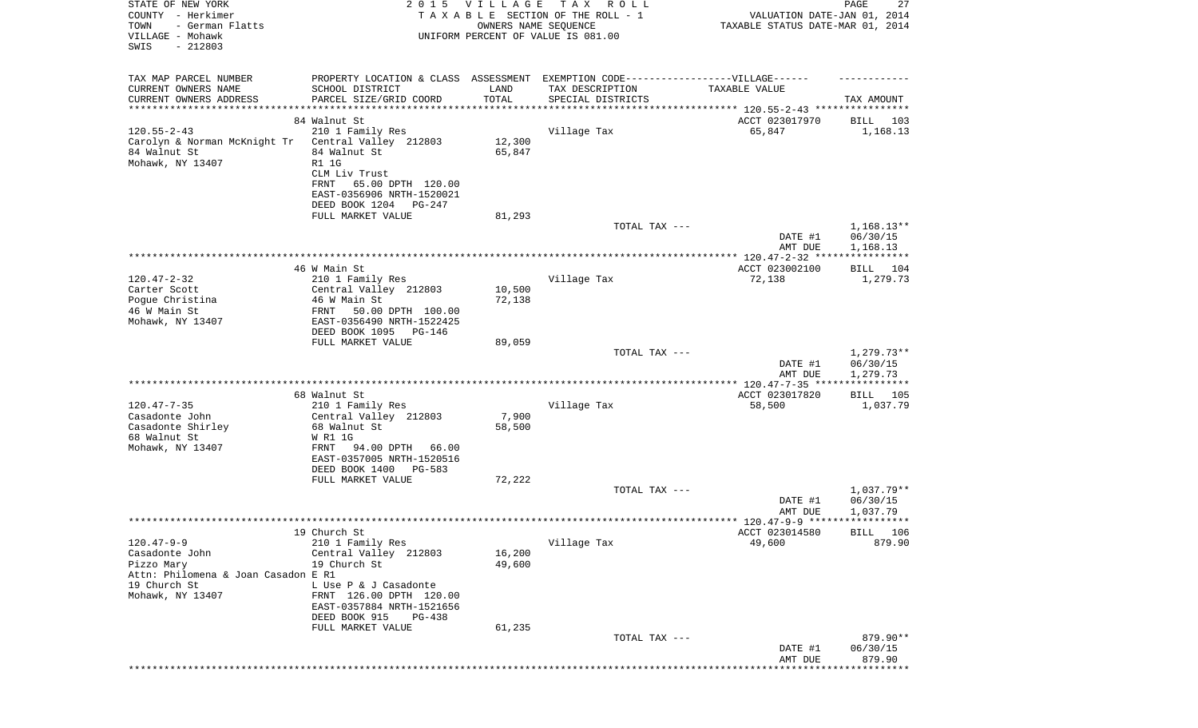| TAX MAP PARCEL NUMBER<br>PROPERTY LOCATION & CLASS ASSESSMENT EXEMPTION CODE-----------------VILLAGE------<br>CURRENT OWNERS NAME<br>SCHOOL DISTRICT<br>LAND<br>TAX DESCRIPTION<br>TAXABLE VALUE<br>TOTAL<br>CURRENT OWNERS ADDRESS<br>PARCEL SIZE/GRID COORD<br>SPECIAL DISTRICTS<br>TAX AMOUNT<br>*********************<br>* * * * * * * * * * * * * * * * * * *<br>* * * * * * * * * * *<br>************************************ 120.55-2-43 ****************<br>84 Walnut St<br>ACCT 023017970<br>103<br>BILL<br>$120.55 - 2 - 43$<br>210 1 Family Res<br>Village Tax<br>65,847<br>1,168.13<br>Carolyn & Norman McKnight Tr<br>Central Valley 212803<br>12,300<br>84 Walnut St<br>84 Walnut St<br>65,847<br>Mohawk, NY 13407<br><b>R1 1G</b><br>CLM Liv Trust<br>FRNT<br>65.00 DPTH 120.00<br>EAST-0356906 NRTH-1520021<br>DEED BOOK 1204<br>PG-247<br>FULL MARKET VALUE<br>81,293<br>$1,168.13**$<br>TOTAL TAX ---<br>06/30/15<br>DATE #1<br>AMT DUE<br>1,168.13<br>46 W Main St<br>ACCT 023002100<br>BILL 104<br>72,138<br>$120.47 - 2 - 32$<br>210 1 Family Res<br>Village Tax<br>1,279.73<br>10,500<br>Carter Scott<br>Central Valley 212803<br>Poque Christina<br>46 W Main St<br>72,138<br>46 W Main St<br>50.00 DPTH 100.00<br>FRNT<br>Mohawk, NY 13407<br>EAST-0356490 NRTH-1522425<br>DEED BOOK 1095 PG-146<br>FULL MARKET VALUE<br>89,059<br>$1,279.73**$<br>TOTAL TAX ---<br>06/30/15<br>DATE #1<br>1,279.73<br>AMT DUE<br>* * * * * * * * * * *<br>ACCT 023017820<br>68 Walnut St<br>BILL<br>105<br>Village Tax<br>$120.47 - 7 - 35$<br>210 1 Family Res<br>58,500<br>1,037.79<br>7,900<br>Casadonte John<br>Central Valley 212803<br>Casadonte Shirley<br>68 Walnut St<br>58,500<br>68 Walnut St<br>W R1 1G<br>Mohawk, NY 13407<br>94.00 DPTH<br>66.00<br>FRNT<br>EAST-0357005 NRTH-1520516<br>DEED BOOK 1400<br>PG-583<br>72,222<br>FULL MARKET VALUE<br>1,037.79**<br>TOTAL TAX ---<br>06/30/15<br>DATE #1<br>1,037.79<br>AMT DUE<br>19 Church St<br>ACCT 023014580<br>BILL 106<br>$120.47 - 9 - 9$<br>Village Tax<br>210 1 Family Res<br>49,600<br>879.90<br>Casadonte John<br>Central Valley 212803<br>16,200<br>Pizzo Mary<br>19 Church St<br>49,600<br>Attn: Philomena & Joan Casadon E R1<br>19 Church St<br>L Use P & J Casadonte<br>Mohawk, NY 13407<br>FRNT 126.00 DPTH 120.00<br>EAST-0357884 NRTH-1521656<br>DEED BOOK 915<br>PG-438<br>61,235<br>FULL MARKET VALUE<br>TOTAL TAX ---<br>879.90**<br>DATE #1<br>06/30/15<br>879.90<br>AMT DUE | STATE OF NEW YORK<br>COUNTY - Herkimer<br>TOWN<br>- German Flatts<br>VILLAGE - Mohawk<br>SWIS<br>$-212803$ | 2 0 1 5 | <b>VILLAGE</b><br>OWNERS NAME SEQUENCE | TAX ROLL<br>TAXABLE SECTION OF THE ROLL - 1<br>UNIFORM PERCENT OF VALUE IS 081.00 | VALUATION DATE-JAN 01, 2014<br>TAXABLE STATUS DATE-MAR 01, 2014 | 27<br>PAGE |
|---------------------------------------------------------------------------------------------------------------------------------------------------------------------------------------------------------------------------------------------------------------------------------------------------------------------------------------------------------------------------------------------------------------------------------------------------------------------------------------------------------------------------------------------------------------------------------------------------------------------------------------------------------------------------------------------------------------------------------------------------------------------------------------------------------------------------------------------------------------------------------------------------------------------------------------------------------------------------------------------------------------------------------------------------------------------------------------------------------------------------------------------------------------------------------------------------------------------------------------------------------------------------------------------------------------------------------------------------------------------------------------------------------------------------------------------------------------------------------------------------------------------------------------------------------------------------------------------------------------------------------------------------------------------------------------------------------------------------------------------------------------------------------------------------------------------------------------------------------------------------------------------------------------------------------------------------------------------------------------------------------------------------------------------------------------------------------------------------------------------------------------------------------------------------------------------------------------------------------------------------------------------------------------------------------------------------------------------------------------------------------------------------------------------------------------------------------------------------|------------------------------------------------------------------------------------------------------------|---------|----------------------------------------|-----------------------------------------------------------------------------------|-----------------------------------------------------------------|------------|
|                                                                                                                                                                                                                                                                                                                                                                                                                                                                                                                                                                                                                                                                                                                                                                                                                                                                                                                                                                                                                                                                                                                                                                                                                                                                                                                                                                                                                                                                                                                                                                                                                                                                                                                                                                                                                                                                                                                                                                                                                                                                                                                                                                                                                                                                                                                                                                                                                                                                           |                                                                                                            |         |                                        |                                                                                   |                                                                 |            |
|                                                                                                                                                                                                                                                                                                                                                                                                                                                                                                                                                                                                                                                                                                                                                                                                                                                                                                                                                                                                                                                                                                                                                                                                                                                                                                                                                                                                                                                                                                                                                                                                                                                                                                                                                                                                                                                                                                                                                                                                                                                                                                                                                                                                                                                                                                                                                                                                                                                                           |                                                                                                            |         |                                        |                                                                                   |                                                                 |            |
|                                                                                                                                                                                                                                                                                                                                                                                                                                                                                                                                                                                                                                                                                                                                                                                                                                                                                                                                                                                                                                                                                                                                                                                                                                                                                                                                                                                                                                                                                                                                                                                                                                                                                                                                                                                                                                                                                                                                                                                                                                                                                                                                                                                                                                                                                                                                                                                                                                                                           |                                                                                                            |         |                                        |                                                                                   |                                                                 |            |
|                                                                                                                                                                                                                                                                                                                                                                                                                                                                                                                                                                                                                                                                                                                                                                                                                                                                                                                                                                                                                                                                                                                                                                                                                                                                                                                                                                                                                                                                                                                                                                                                                                                                                                                                                                                                                                                                                                                                                                                                                                                                                                                                                                                                                                                                                                                                                                                                                                                                           |                                                                                                            |         |                                        |                                                                                   |                                                                 |            |
|                                                                                                                                                                                                                                                                                                                                                                                                                                                                                                                                                                                                                                                                                                                                                                                                                                                                                                                                                                                                                                                                                                                                                                                                                                                                                                                                                                                                                                                                                                                                                                                                                                                                                                                                                                                                                                                                                                                                                                                                                                                                                                                                                                                                                                                                                                                                                                                                                                                                           |                                                                                                            |         |                                        |                                                                                   |                                                                 |            |
|                                                                                                                                                                                                                                                                                                                                                                                                                                                                                                                                                                                                                                                                                                                                                                                                                                                                                                                                                                                                                                                                                                                                                                                                                                                                                                                                                                                                                                                                                                                                                                                                                                                                                                                                                                                                                                                                                                                                                                                                                                                                                                                                                                                                                                                                                                                                                                                                                                                                           |                                                                                                            |         |                                        |                                                                                   |                                                                 |            |
|                                                                                                                                                                                                                                                                                                                                                                                                                                                                                                                                                                                                                                                                                                                                                                                                                                                                                                                                                                                                                                                                                                                                                                                                                                                                                                                                                                                                                                                                                                                                                                                                                                                                                                                                                                                                                                                                                                                                                                                                                                                                                                                                                                                                                                                                                                                                                                                                                                                                           |                                                                                                            |         |                                        |                                                                                   |                                                                 |            |
|                                                                                                                                                                                                                                                                                                                                                                                                                                                                                                                                                                                                                                                                                                                                                                                                                                                                                                                                                                                                                                                                                                                                                                                                                                                                                                                                                                                                                                                                                                                                                                                                                                                                                                                                                                                                                                                                                                                                                                                                                                                                                                                                                                                                                                                                                                                                                                                                                                                                           |                                                                                                            |         |                                        |                                                                                   |                                                                 |            |
|                                                                                                                                                                                                                                                                                                                                                                                                                                                                                                                                                                                                                                                                                                                                                                                                                                                                                                                                                                                                                                                                                                                                                                                                                                                                                                                                                                                                                                                                                                                                                                                                                                                                                                                                                                                                                                                                                                                                                                                                                                                                                                                                                                                                                                                                                                                                                                                                                                                                           |                                                                                                            |         |                                        |                                                                                   |                                                                 |            |
|                                                                                                                                                                                                                                                                                                                                                                                                                                                                                                                                                                                                                                                                                                                                                                                                                                                                                                                                                                                                                                                                                                                                                                                                                                                                                                                                                                                                                                                                                                                                                                                                                                                                                                                                                                                                                                                                                                                                                                                                                                                                                                                                                                                                                                                                                                                                                                                                                                                                           |                                                                                                            |         |                                        |                                                                                   |                                                                 |            |
|                                                                                                                                                                                                                                                                                                                                                                                                                                                                                                                                                                                                                                                                                                                                                                                                                                                                                                                                                                                                                                                                                                                                                                                                                                                                                                                                                                                                                                                                                                                                                                                                                                                                                                                                                                                                                                                                                                                                                                                                                                                                                                                                                                                                                                                                                                                                                                                                                                                                           |                                                                                                            |         |                                        |                                                                                   |                                                                 |            |
|                                                                                                                                                                                                                                                                                                                                                                                                                                                                                                                                                                                                                                                                                                                                                                                                                                                                                                                                                                                                                                                                                                                                                                                                                                                                                                                                                                                                                                                                                                                                                                                                                                                                                                                                                                                                                                                                                                                                                                                                                                                                                                                                                                                                                                                                                                                                                                                                                                                                           |                                                                                                            |         |                                        |                                                                                   |                                                                 |            |
|                                                                                                                                                                                                                                                                                                                                                                                                                                                                                                                                                                                                                                                                                                                                                                                                                                                                                                                                                                                                                                                                                                                                                                                                                                                                                                                                                                                                                                                                                                                                                                                                                                                                                                                                                                                                                                                                                                                                                                                                                                                                                                                                                                                                                                                                                                                                                                                                                                                                           |                                                                                                            |         |                                        |                                                                                   |                                                                 |            |
|                                                                                                                                                                                                                                                                                                                                                                                                                                                                                                                                                                                                                                                                                                                                                                                                                                                                                                                                                                                                                                                                                                                                                                                                                                                                                                                                                                                                                                                                                                                                                                                                                                                                                                                                                                                                                                                                                                                                                                                                                                                                                                                                                                                                                                                                                                                                                                                                                                                                           |                                                                                                            |         |                                        |                                                                                   |                                                                 |            |
|                                                                                                                                                                                                                                                                                                                                                                                                                                                                                                                                                                                                                                                                                                                                                                                                                                                                                                                                                                                                                                                                                                                                                                                                                                                                                                                                                                                                                                                                                                                                                                                                                                                                                                                                                                                                                                                                                                                                                                                                                                                                                                                                                                                                                                                                                                                                                                                                                                                                           |                                                                                                            |         |                                        |                                                                                   |                                                                 |            |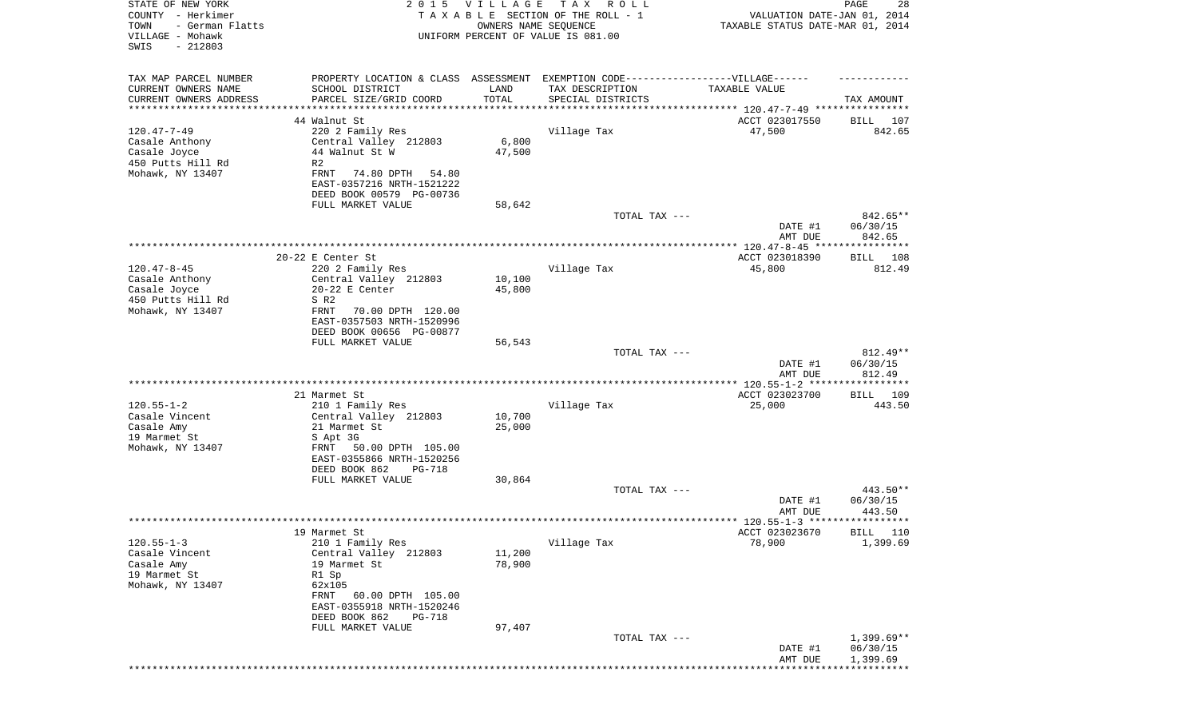| STATE OF NEW YORK<br>COUNTY - Herkimer<br>- German Flatts<br>TOWN<br>VILLAGE - Mohawk<br>SWIS<br>$-212803$ | 2 0 1 5                                                                                                                                       | <b>VILLAGE</b><br>OWNERS NAME SEQUENCE | TAX ROLL<br>TAXABLE SECTION OF THE ROLL - 1<br>UNIFORM PERCENT OF VALUE IS 081.00 | VALUATION DATE-JAN 01, 2014<br>TAXABLE STATUS DATE-MAR 01, 2014 | 28<br>PAGE                           |
|------------------------------------------------------------------------------------------------------------|-----------------------------------------------------------------------------------------------------------------------------------------------|----------------------------------------|-----------------------------------------------------------------------------------|-----------------------------------------------------------------|--------------------------------------|
| TAX MAP PARCEL NUMBER                                                                                      |                                                                                                                                               |                                        | PROPERTY LOCATION & CLASS ASSESSMENT EXEMPTION CODE----------------VILLAGE------  |                                                                 |                                      |
| CURRENT OWNERS NAME<br>CURRENT OWNERS ADDRESS                                                              | SCHOOL DISTRICT<br>PARCEL SIZE/GRID COORD                                                                                                     | LAND<br>TOTAL                          | TAX DESCRIPTION<br>SPECIAL DISTRICTS                                              | TAXABLE VALUE                                                   | TAX AMOUNT                           |
| *********************                                                                                      | ********************                                                                                                                          |                                        |                                                                                   |                                                                 |                                      |
|                                                                                                            | 44 Walnut St                                                                                                                                  |                                        |                                                                                   | ACCT 023017550                                                  | BILL<br>107                          |
| $120.47 - 7 - 49$<br>Casale Anthony<br>Casale Joyce<br>450 Putts Hill Rd<br>Mohawk, NY 13407               | 220 2 Family Res<br>Central Valley 212803<br>44 Walnut St W<br>R2<br>FRNT<br>74.80 DPTH<br>54.80                                              | 6,800<br>47,500                        | Village Tax                                                                       | 47,500                                                          | 842.65                               |
|                                                                                                            | EAST-0357216 NRTH-1521222<br>DEED BOOK 00579 PG-00736                                                                                         |                                        |                                                                                   |                                                                 |                                      |
|                                                                                                            | FULL MARKET VALUE                                                                                                                             | 58,642                                 | TOTAL TAX ---                                                                     | DATE #1                                                         | 842.65**<br>06/30/15                 |
|                                                                                                            |                                                                                                                                               |                                        |                                                                                   | AMT DUE                                                         | 842.65                               |
|                                                                                                            |                                                                                                                                               |                                        |                                                                                   |                                                                 |                                      |
| $120.47 - 8 - 45$<br>Casale Anthony                                                                        | 20-22 E Center St<br>220 2 Family Res<br>Central Valley 212803                                                                                | 10,100                                 | Village Tax                                                                       | ACCT 023018390<br>45,800                                        | BILL 108<br>812.49                   |
| Casale Joyce                                                                                               | $20-22$ E Center                                                                                                                              | 45,800                                 |                                                                                   |                                                                 |                                      |
| 450 Putts Hill Rd<br>Mohawk, NY 13407                                                                      | S R2<br>FRNT<br>70.00 DPTH 120.00<br>EAST-0357503 NRTH-1520996<br>DEED BOOK 00656 PG-00877<br>FULL MARKET VALUE                               |                                        |                                                                                   |                                                                 |                                      |
|                                                                                                            |                                                                                                                                               | 56,543                                 | TOTAL TAX ---                                                                     |                                                                 | 812.49**                             |
|                                                                                                            |                                                                                                                                               |                                        |                                                                                   | DATE #1<br>AMT DUE                                              | 06/30/15<br>812.49                   |
|                                                                                                            |                                                                                                                                               |                                        |                                                                                   |                                                                 | ***********                          |
| $120.55 - 1 - 2$                                                                                           | 21 Marmet St<br>210 1 Family Res                                                                                                              |                                        | Village Tax                                                                       | ACCT 023023700<br>25,000                                        | BILL 109<br>443.50                   |
| Casale Vincent                                                                                             | Central Valley 212803                                                                                                                         | 10,700                                 |                                                                                   |                                                                 |                                      |
| Casale Amy                                                                                                 | 21 Marmet St                                                                                                                                  | 25,000                                 |                                                                                   |                                                                 |                                      |
| 19 Marmet St<br>Mohawk, NY 13407                                                                           | S Apt 3G<br>50.00 DPTH 105.00<br>FRNT<br>EAST-0355866 NRTH-1520256<br>DEED BOOK 862<br><b>PG-718</b>                                          |                                        |                                                                                   |                                                                 |                                      |
|                                                                                                            | FULL MARKET VALUE                                                                                                                             | 30,864                                 |                                                                                   |                                                                 |                                      |
|                                                                                                            |                                                                                                                                               |                                        | TOTAL TAX ---                                                                     | DATE #1<br>AMT DUE                                              | 443.50**<br>06/30/15<br>443.50       |
|                                                                                                            | 19 Marmet St                                                                                                                                  |                                        |                                                                                   | ACCT 023023670                                                  | BILL 110                             |
| $120.55 - 1 - 3$                                                                                           | 210 1 Family Res                                                                                                                              |                                        | Village Tax                                                                       | 78,900                                                          | 1,399.69                             |
| Casale Vincent<br>Casale Amy<br>19 Marmet St<br>Mohawk, NY 13407                                           | Central Valley 212803<br>19 Marmet St<br>R1 Sp<br>62x105<br>60.00 DPTH 105.00<br>FRNT<br>EAST-0355918 NRTH-1520246<br>DEED BOOK 862<br>PG-718 | 11,200<br>78,900                       |                                                                                   |                                                                 |                                      |
|                                                                                                            | FULL MARKET VALUE                                                                                                                             | 97,407                                 |                                                                                   |                                                                 |                                      |
|                                                                                                            |                                                                                                                                               |                                        | TOTAL TAX ---                                                                     | DATE #1<br>AMT DUE                                              | $1,399.69**$<br>06/30/15<br>1,399.69 |
|                                                                                                            |                                                                                                                                               |                                        |                                                                                   |                                                                 |                                      |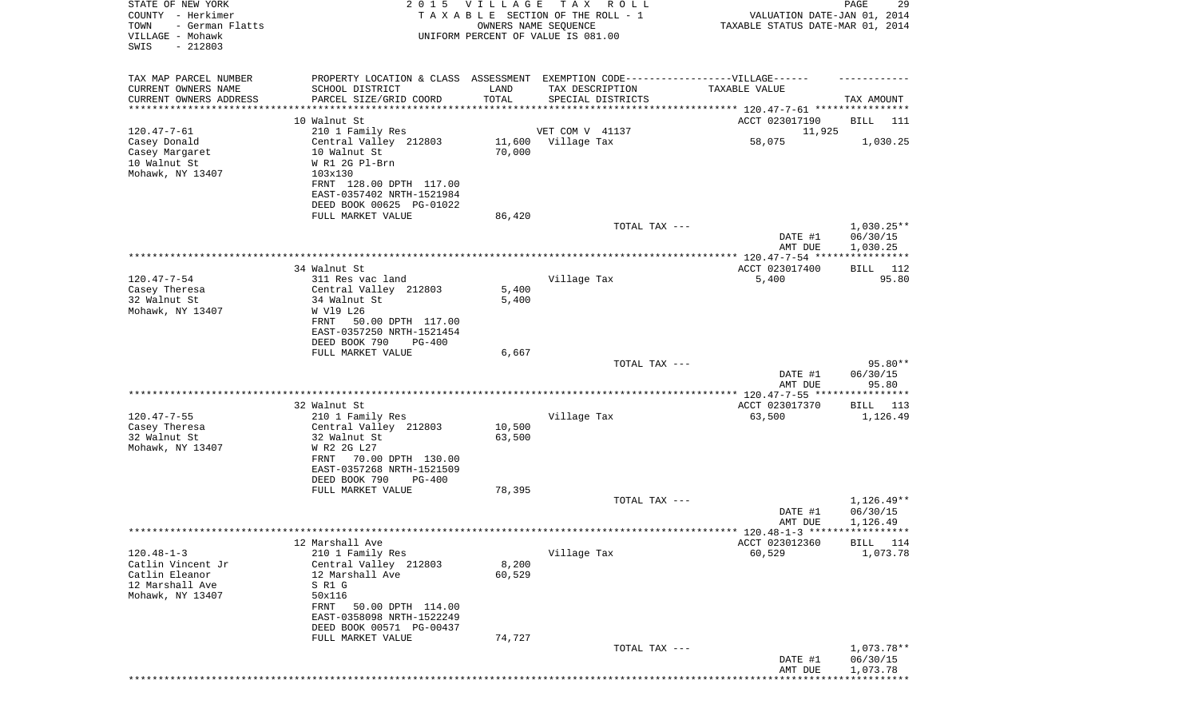| STATE OF NEW YORK<br>COUNTY - Herkimer<br>TOWN<br>- German Flatts<br>VILLAGE - Mohawk<br>SWIS<br>$-212803$ |                                                                                                                                                                                                 | 2015 VILLAGE     | T A X<br>R O L L<br>TAXABLE SECTION OF THE ROLL - 1<br>OWNERS NAME SEQUENCE<br>UNIFORM PERCENT OF VALUE IS 081.00         | VALUATION DATE-JAN 01, 2014<br>TAXABLE STATUS DATE-MAR 01, 2014 | PAGE<br>29                           |
|------------------------------------------------------------------------------------------------------------|-------------------------------------------------------------------------------------------------------------------------------------------------------------------------------------------------|------------------|---------------------------------------------------------------------------------------------------------------------------|-----------------------------------------------------------------|--------------------------------------|
| TAX MAP PARCEL NUMBER<br>CURRENT OWNERS NAME<br>CURRENT OWNERS ADDRESS<br>*******************              | SCHOOL DISTRICT<br>PARCEL SIZE/GRID COORD<br>10 Walnut St                                                                                                                                       | LAND<br>TOTAL    | PROPERTY LOCATION & CLASS ASSESSMENT EXEMPTION CODE-----------------VILLAGE------<br>TAX DESCRIPTION<br>SPECIAL DISTRICTS | TAXABLE VALUE<br>ACCT 023017190                                 | TAX AMOUNT<br>BILL<br>111            |
| $120.47 - 7 - 61$<br>Casey Donald<br>Casey Margaret<br>10 Walnut St<br>Mohawk, NY 13407                    | 210 1 Family Res<br>Central Valley 212803<br>10 Walnut St<br>W R1 2G Pl-Brn<br>103x130<br>FRNT 128.00 DPTH 117.00<br>EAST-0357402 NRTH-1521984<br>DEED BOOK 00625 PG-01022<br>FULL MARKET VALUE | 70,000<br>86,420 | VET COM V 41137<br>11,600 Village Tax                                                                                     | 11,925<br>58,075                                                | 1,030.25                             |
|                                                                                                            |                                                                                                                                                                                                 |                  | TOTAL TAX ---                                                                                                             | DATE #1                                                         | $1,030.25**$<br>06/30/15             |
|                                                                                                            |                                                                                                                                                                                                 |                  |                                                                                                                           | AMT DUE                                                         | 1,030.25                             |
| $120.47 - 7 - 54$<br>Casey Theresa<br>32 Walnut St<br>Mohawk, NY 13407                                     | 34 Walnut St<br>311 Res vac land<br>Central Valley 212803<br>34 Walnut St<br>W V19 L26<br>FRNT<br>50.00 DPTH 117.00<br>EAST-0357250 NRTH-1521454<br>DEED BOOK 790<br>PG-400                     | 5,400<br>5,400   | Village Tax                                                                                                               | ACCT 023017400<br>5,400                                         | 112<br>BILL<br>95.80                 |
|                                                                                                            | FULL MARKET VALUE                                                                                                                                                                               | 6,667            | TOTAL TAX ---                                                                                                             | DATE #1<br>AMT DUE                                              | 95.80**<br>06/30/15<br>95.80         |
|                                                                                                            |                                                                                                                                                                                                 |                  |                                                                                                                           | *************** 120.47-7-55 *****************                   |                                      |
| $120.47 - 7 - 55$<br>Casey Theresa<br>32 Walnut St<br>Mohawk, NY 13407                                     | 32 Walnut St<br>210 1 Family Res<br>Central Valley 212803<br>32 Walnut St<br>W R2 2G L27<br>FRNT<br>70.00 DPTH 130.00<br>EAST-0357268 NRTH-1521509<br>DEED BOOK 790<br>PG-400                   | 10,500<br>63,500 | Village Tax                                                                                                               | ACCT 023017370<br>63,500                                        | 113<br>BILL<br>1,126.49              |
|                                                                                                            | FULL MARKET VALUE                                                                                                                                                                               | 78,395           |                                                                                                                           |                                                                 |                                      |
|                                                                                                            |                                                                                                                                                                                                 |                  | TOTAL TAX ---                                                                                                             | DATE #1<br>AMT DUE                                              | $1,126.49**$<br>06/30/15<br>1,126.49 |
|                                                                                                            | 12 Marshall Ave                                                                                                                                                                                 |                  |                                                                                                                           | ****** 120.48-1-3 ******************                            |                                      |
| $120.48 - 1 - 3$<br>Catlin Vincent Jr<br>Catlin Eleanor<br>12 Marshall Ave<br>Mohawk, NY 13407             | 210 1 Family Res<br>Central Valley 212803<br>12 Marshall Ave<br>S R1 G<br>50x116<br>FRNT<br>50.00 DPTH 114.00<br>EAST-0358098 NRTH-1522249<br>DEED BOOK 00571 PG-00437                          | 8,200<br>60,529  | Village Tax                                                                                                               | ACCT 023012360<br>60,529                                        | <b>BILL</b><br>114<br>1,073.78       |
|                                                                                                            | FULL MARKET VALUE                                                                                                                                                                               | 74,727           | TOTAL TAX ---                                                                                                             | DATE #1<br>AMT DUE                                              | $1,073.78**$<br>06/30/15<br>1,073.78 |
|                                                                                                            |                                                                                                                                                                                                 |                  |                                                                                                                           |                                                                 |                                      |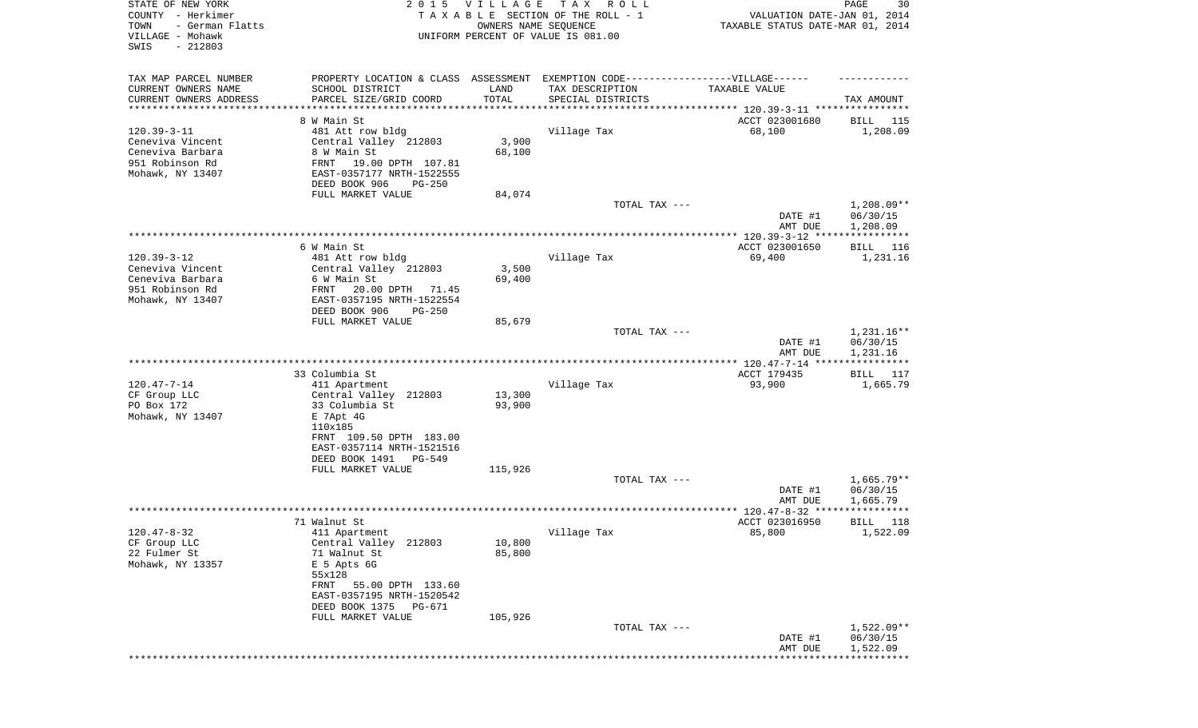| STATE OF NEW YORK<br>COUNTY - Herkimer<br>- German Flatts<br>TOWN<br>VILLAGE - Mohawk<br>SWIS<br>$-212803$ | 2 0 1 5                                        | <b>VILLAGE</b> | T A X<br>R O L L<br>TAXABLE SECTION OF THE ROLL - 1<br>OWNERS NAME SEQUENCE<br>UNIFORM PERCENT OF VALUE IS 081.00 | VALUATION DATE-JAN 01, 2014<br>TAXABLE STATUS DATE-MAR 01, 2014 | PAGE<br>30                         |
|------------------------------------------------------------------------------------------------------------|------------------------------------------------|----------------|-------------------------------------------------------------------------------------------------------------------|-----------------------------------------------------------------|------------------------------------|
| TAX MAP PARCEL NUMBER                                                                                      |                                                |                | PROPERTY LOCATION & CLASS ASSESSMENT EXEMPTION CODE----------------VILLAGE------                                  |                                                                 |                                    |
| CURRENT OWNERS NAME                                                                                        | SCHOOL DISTRICT                                | LAND           | TAX DESCRIPTION                                                                                                   | TAXABLE VALUE                                                   |                                    |
| CURRENT OWNERS ADDRESS<br>*********************                                                            | PARCEL SIZE/GRID COORD                         | TOTAL          | SPECIAL DISTRICTS                                                                                                 |                                                                 | TAX AMOUNT                         |
|                                                                                                            | 8 W Main St                                    |                |                                                                                                                   | ACCT 023001680                                                  | 115<br>BILL                        |
| $120.39 - 3 - 11$                                                                                          | 481 Att row bldg                               |                | Village Tax                                                                                                       | 68,100                                                          | 1,208.09                           |
| Ceneviva Vincent                                                                                           | Central Valley 212803                          | 3,900          |                                                                                                                   |                                                                 |                                    |
| Ceneviva Barbara                                                                                           | 8 W Main St                                    | 68,100         |                                                                                                                   |                                                                 |                                    |
| 951 Robinson Rd                                                                                            | FRNT<br>19.00 DPTH 107.81                      |                |                                                                                                                   |                                                                 |                                    |
| Mohawk, NY 13407                                                                                           | EAST-0357177 NRTH-1522555                      |                |                                                                                                                   |                                                                 |                                    |
|                                                                                                            | DEED BOOK 906<br>$PG-250$<br>FULL MARKET VALUE | 84,074         |                                                                                                                   |                                                                 |                                    |
|                                                                                                            |                                                |                | TOTAL TAX ---                                                                                                     |                                                                 | $1,208.09**$                       |
|                                                                                                            |                                                |                |                                                                                                                   | DATE #1<br>AMT DUE                                              | 06/30/15<br>1,208.09               |
|                                                                                                            | 6 W Main St                                    |                |                                                                                                                   | ACCT 023001650                                                  | BILL<br>116                        |
| $120.39 - 3 - 12$                                                                                          | 481 Att row bldg                               |                | Village Tax                                                                                                       | 69,400                                                          | 1,231.16                           |
| Ceneviva Vincent                                                                                           | Central Valley 212803                          | 3,500          |                                                                                                                   |                                                                 |                                    |
| Ceneviva Barbara                                                                                           | 6 W Main St                                    | 69,400         |                                                                                                                   |                                                                 |                                    |
| 951 Robinson Rd                                                                                            | 20.00 DPTH<br>FRNT<br>71.45                    |                |                                                                                                                   |                                                                 |                                    |
| Mohawk, NY 13407                                                                                           | EAST-0357195 NRTH-1522554                      |                |                                                                                                                   |                                                                 |                                    |
|                                                                                                            | DEED BOOK 906<br>$PG-250$                      |                |                                                                                                                   |                                                                 |                                    |
|                                                                                                            | FULL MARKET VALUE                              | 85,679         | TOTAL TAX ---                                                                                                     |                                                                 |                                    |
|                                                                                                            |                                                |                |                                                                                                                   | DATE #1<br>AMT DUE                                              | 1,231.16**<br>06/30/15<br>1,231.16 |
|                                                                                                            |                                                |                |                                                                                                                   |                                                                 |                                    |
|                                                                                                            | 33 Columbia St                                 |                |                                                                                                                   | ACCT 179435                                                     | BILL 117                           |
| $120.47 - 7 - 14$                                                                                          | 411 Apartment                                  |                | Village Tax                                                                                                       | 93,900                                                          | 1,665.79                           |
| CF Group LLC                                                                                               | Central Valley 212803                          | 13,300         |                                                                                                                   |                                                                 |                                    |
| PO Box 172                                                                                                 | 33 Columbia St                                 | 93,900         |                                                                                                                   |                                                                 |                                    |
| Mohawk, NY 13407                                                                                           | E 7Apt 4G<br>110x185                           |                |                                                                                                                   |                                                                 |                                    |
|                                                                                                            | FRNT 109.50 DPTH 183.00                        |                |                                                                                                                   |                                                                 |                                    |
|                                                                                                            | EAST-0357114 NRTH-1521516                      |                |                                                                                                                   |                                                                 |                                    |
|                                                                                                            | DEED BOOK 1491<br>PG-549                       |                |                                                                                                                   |                                                                 |                                    |
|                                                                                                            | FULL MARKET VALUE                              | 115,926        |                                                                                                                   |                                                                 |                                    |
|                                                                                                            |                                                |                | TOTAL TAX ---                                                                                                     |                                                                 | $1,665.79**$                       |
|                                                                                                            |                                                |                |                                                                                                                   | DATE #1                                                         | 06/30/15                           |
|                                                                                                            |                                                |                |                                                                                                                   | AMT DUE<br>***************** 120.47-8-32 *****************      | 1,665.79                           |
|                                                                                                            | 71 Walnut St                                   |                |                                                                                                                   | ACCT 023016950                                                  | 118<br>BILL                        |
| 120.47-8-32                                                                                                | 411 Apartment                                  |                | Village Tax                                                                                                       | 85,800                                                          | 1,522.09                           |
| CF Group LLC                                                                                               | Central Valley 212803                          | 10,800         |                                                                                                                   |                                                                 |                                    |
| 22 Fulmer St                                                                                               | 71 Walnut St                                   | 85,800         |                                                                                                                   |                                                                 |                                    |
| Mohawk, NY 13357                                                                                           | E 5 Apts 6G                                    |                |                                                                                                                   |                                                                 |                                    |
|                                                                                                            | 55x128                                         |                |                                                                                                                   |                                                                 |                                    |
|                                                                                                            | FRNT<br>55.00 DPTH 133.60                      |                |                                                                                                                   |                                                                 |                                    |
|                                                                                                            | EAST-0357195 NRTH-1520542                      |                |                                                                                                                   |                                                                 |                                    |
|                                                                                                            | DEED BOOK 1375 PG-671<br>FULL MARKET VALUE     | 105,926        |                                                                                                                   |                                                                 |                                    |
|                                                                                                            |                                                |                | TOTAL TAX ---                                                                                                     |                                                                 | $1,522.09**$                       |
|                                                                                                            |                                                |                |                                                                                                                   | DATE #1                                                         | 06/30/15                           |
|                                                                                                            |                                                |                |                                                                                                                   | AMT DUE                                                         | 1,522.09                           |
|                                                                                                            |                                                |                |                                                                                                                   | **************************************                          |                                    |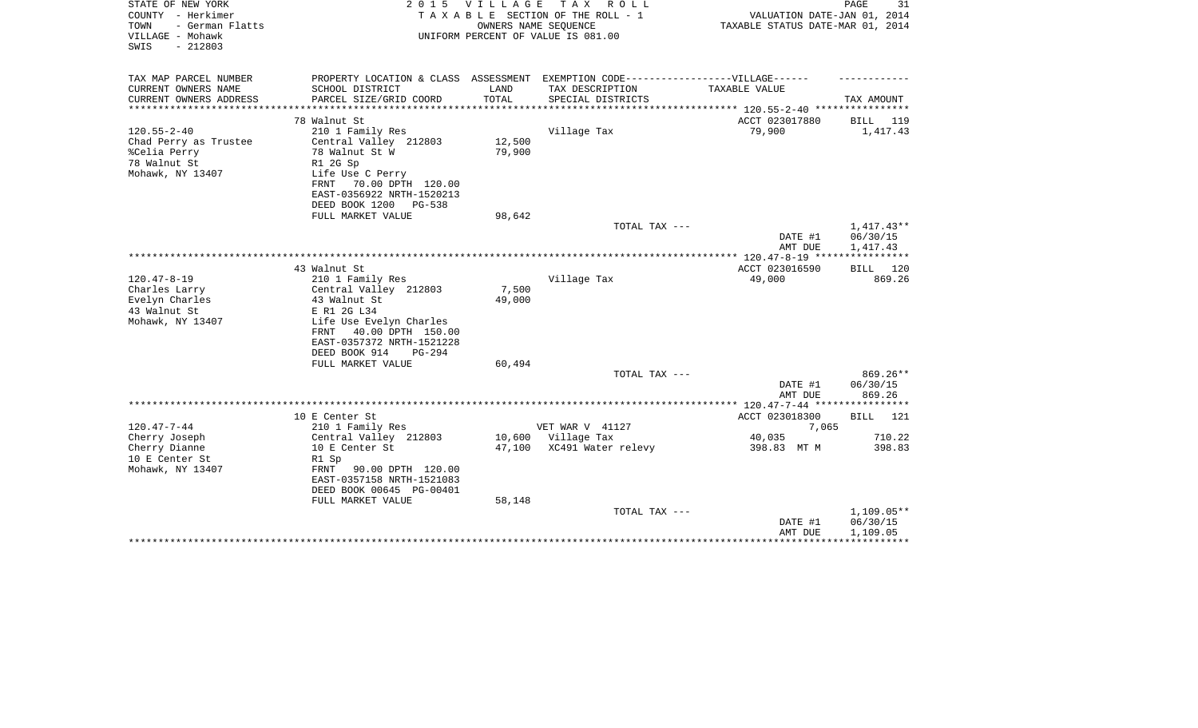| STATE OF NEW YORK<br>COUNTY - Herkimer<br>- German Flatts<br>TOWN<br>VILLAGE - Mohawk<br>$-212803$<br>SWIS | 2 0 1 5                                                                                                                                                                                  | VILLAGE<br>OWNERS NAME SEQUENCE | TAX ROLL<br>TAXABLE SECTION OF THE ROLL - 1<br>UNIFORM PERCENT OF VALUE IS 081.00 | VALUATION DATE-JAN 01, 2014<br>TAXABLE STATUS DATE-MAR 01, 2014 | PAGE<br>31                           |
|------------------------------------------------------------------------------------------------------------|------------------------------------------------------------------------------------------------------------------------------------------------------------------------------------------|---------------------------------|-----------------------------------------------------------------------------------|-----------------------------------------------------------------|--------------------------------------|
| TAX MAP PARCEL NUMBER<br>CURRENT OWNERS NAME                                                               | PROPERTY LOCATION & CLASS ASSESSMENT EXEMPTION CODE-----------------VILLAGE------<br>SCHOOL DISTRICT                                                                                     | LAND                            | TAX DESCRIPTION                                                                   | TAXABLE VALUE                                                   |                                      |
| CURRENT OWNERS ADDRESS                                                                                     | PARCEL SIZE/GRID COORD                                                                                                                                                                   | TOTAL                           | SPECIAL DISTRICTS                                                                 |                                                                 | TAX AMOUNT                           |
| *********************                                                                                      | ***************************                                                                                                                                                              |                                 |                                                                                   |                                                                 |                                      |
|                                                                                                            | 78 Walnut St                                                                                                                                                                             |                                 |                                                                                   | ACCT 023017880                                                  | BILL 119                             |
| $120.55 - 2 - 40$<br>Chad Perry as Trustee<br>%Celia Perry<br>78 Walnut St<br>Mohawk, NY 13407             | 210 1 Family Res<br>Central Valley 212803<br>78 Walnut St W<br>R1 2G Sp<br>Life Use C Perry<br>FRNT 70.00 DPTH 120.00<br>EAST-0356922 NRTH-1520213                                       | 12,500<br>79,900                | Village Tax                                                                       | 79,900                                                          | 1,417.43                             |
|                                                                                                            | DEED BOOK 1200<br>PG-538                                                                                                                                                                 |                                 |                                                                                   |                                                                 |                                      |
|                                                                                                            | FULL MARKET VALUE                                                                                                                                                                        | 98,642                          |                                                                                   |                                                                 |                                      |
|                                                                                                            |                                                                                                                                                                                          |                                 | TOTAL TAX ---                                                                     | DATE #1<br>AMT DUE                                              | $1,417.43**$<br>06/30/15<br>1,417.43 |
|                                                                                                            |                                                                                                                                                                                          |                                 |                                                                                   |                                                                 |                                      |
|                                                                                                            | 43 Walnut St                                                                                                                                                                             |                                 |                                                                                   | ACCT 023016590                                                  | 120<br><b>BILL</b>                   |
| $120.47 - 8 - 19$<br>Charles Larry<br>Evelyn Charles<br>43 Walnut St<br>Mohawk, NY 13407                   | 210 1 Family Res<br>Central Valley 212803<br>43 Walnut St<br>E R1 2G L34<br>Life Use Evelyn Charles<br>40.00 DPTH 150.00<br>FRNT<br>EAST-0357372 NRTH-1521228<br>DEED BOOK 914<br>PG-294 | 7,500<br>49,000                 | Village Tax                                                                       | 49,000                                                          | 869.26                               |
|                                                                                                            | FULL MARKET VALUE                                                                                                                                                                        | 60,494                          |                                                                                   |                                                                 |                                      |
|                                                                                                            |                                                                                                                                                                                          |                                 | TOTAL TAX ---                                                                     | DATE #1<br>AMT DUE                                              | 869.26**<br>06/30/15<br>869.26       |
|                                                                                                            |                                                                                                                                                                                          |                                 |                                                                                   |                                                                 |                                      |
| $120.47 - 7 - 44$                                                                                          | 10 E Center St<br>210 1 Family Res                                                                                                                                                       |                                 | VET WAR V 41127                                                                   | ACCT 023018300<br>7,065                                         | BILL 121                             |
| Cherry Joseph                                                                                              | Central Valley 212803                                                                                                                                                                    | 10,600                          | Village Tax                                                                       | 40,035                                                          | 710.22                               |
| Cherry Dianne<br>10 E Center St<br>Mohawk, NY 13407                                                        | 10 E Center St<br>R1 Sp<br>FRNT<br>90.00 DPTH 120.00<br>EAST-0357158 NRTH-1521083<br>DEED BOOK 00645 PG-00401<br>FULL MARKET VALUE                                                       | 47,100<br>58,148                | XC491 Water relevy                                                                | 398.83 MT M                                                     | 398.83                               |
|                                                                                                            |                                                                                                                                                                                          |                                 | TOTAL TAX ---                                                                     | DATE #1<br>AMT DUE                                              | 1,109.05**<br>06/30/15<br>1,109.05   |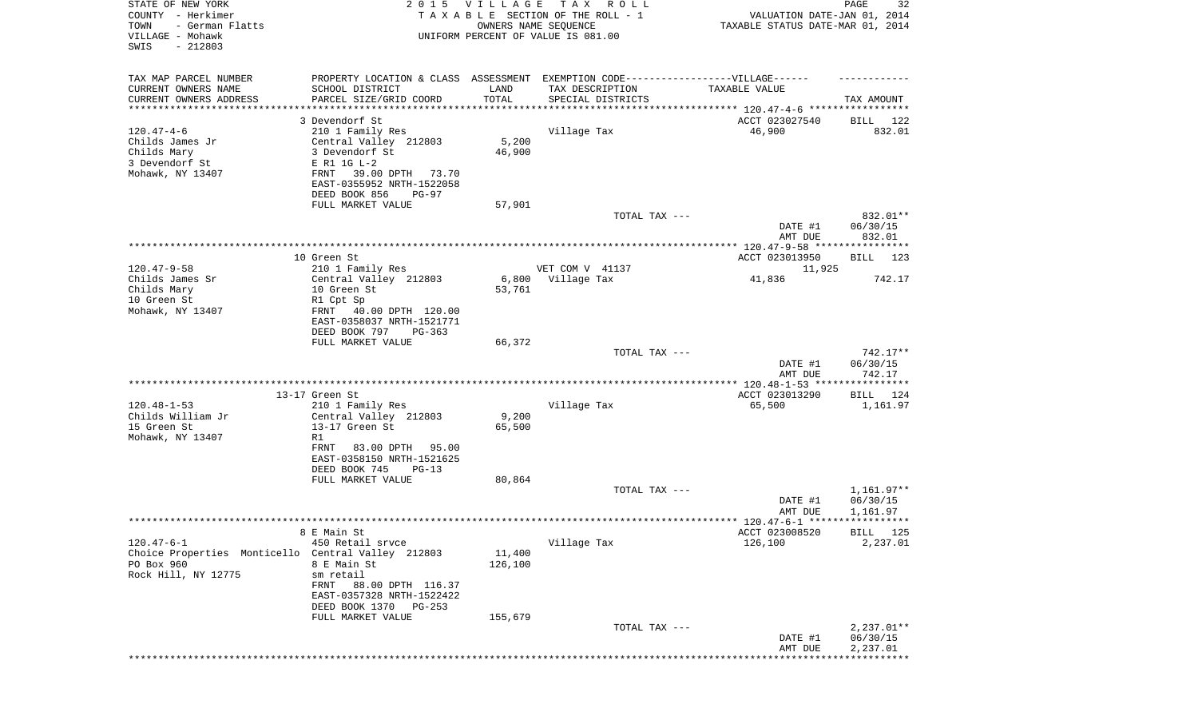| STATE OF NEW YORK<br>COUNTY - Herkimer<br>- German Flatts<br>TOWN<br>VILLAGE - Mohawk<br>SWIS<br>$-212803$ | 2 0 1 5                                              | <b>VILLAGE</b> | T A X<br>R O L L<br>TAXABLE SECTION OF THE ROLL - 1<br>OWNERS NAME SEQUENCE<br>UNIFORM PERCENT OF VALUE IS 081.00 | VALUATION DATE-JAN 01, 2014<br>TAXABLE STATUS DATE-MAR 01, 2014 | 32<br>PAGE               |
|------------------------------------------------------------------------------------------------------------|------------------------------------------------------|----------------|-------------------------------------------------------------------------------------------------------------------|-----------------------------------------------------------------|--------------------------|
| TAX MAP PARCEL NUMBER                                                                                      | PROPERTY LOCATION & CLASS ASSESSMENT                 |                | EXEMPTION CODE------------------VILLAGE------                                                                     |                                                                 |                          |
| CURRENT OWNERS NAME                                                                                        | SCHOOL DISTRICT                                      | LAND           | TAX DESCRIPTION                                                                                                   | TAXABLE VALUE                                                   |                          |
| CURRENT OWNERS ADDRESS<br>********************                                                             | PARCEL SIZE/GRID COORD<br>*****************          | TOTAL          | SPECIAL DISTRICTS<br>************************************ 120.47-4-6 *****************                            |                                                                 | TAX AMOUNT               |
|                                                                                                            | 3 Devendorf St                                       |                |                                                                                                                   | ACCT 023027540                                                  | BILL<br>122              |
| $120.47 - 4 - 6$                                                                                           | 210 1 Family Res                                     |                | Village Tax                                                                                                       | 46,900                                                          | 832.01                   |
| Childs James Jr                                                                                            | Central Valley 212803                                | 5,200          |                                                                                                                   |                                                                 |                          |
| Childs Mary                                                                                                | 3 Devendorf St                                       | 46,900         |                                                                                                                   |                                                                 |                          |
| 3 Devendorf St                                                                                             | E R1 1G L-2                                          |                |                                                                                                                   |                                                                 |                          |
| Mohawk, NY 13407                                                                                           | 39.00 DPTH<br>FRNT<br>73.70                          |                |                                                                                                                   |                                                                 |                          |
|                                                                                                            | EAST-0355952 NRTH-1522058<br>DEED BOOK 856<br>PG-97  |                |                                                                                                                   |                                                                 |                          |
|                                                                                                            | FULL MARKET VALUE                                    | 57,901         |                                                                                                                   |                                                                 |                          |
|                                                                                                            |                                                      |                | TOTAL TAX ---                                                                                                     |                                                                 | 832.01**                 |
|                                                                                                            |                                                      |                |                                                                                                                   | DATE #1                                                         | 06/30/15                 |
|                                                                                                            |                                                      |                |                                                                                                                   | AMT DUE                                                         | 832.01                   |
|                                                                                                            | 10 Green St                                          |                |                                                                                                                   | ACCT 023013950                                                  | 123<br>BILL              |
| $120.47 - 9 - 58$                                                                                          | 210 1 Family Res                                     |                | VET COM V 41137                                                                                                   | 11,925                                                          |                          |
| Childs James Sr                                                                                            | Central Valley 212803                                | 6,800          | Village Tax                                                                                                       | 41,836                                                          | 742.17                   |
| Childs Mary                                                                                                | 10 Green St                                          | 53,761         |                                                                                                                   |                                                                 |                          |
| 10 Green St                                                                                                | R1 Cpt Sp                                            |                |                                                                                                                   |                                                                 |                          |
| Mohawk, NY 13407                                                                                           | FRNT 40.00 DPTH 120.00                               |                |                                                                                                                   |                                                                 |                          |
|                                                                                                            | EAST-0358037 NRTH-1521771<br>DEED BOOK 797<br>PG-363 |                |                                                                                                                   |                                                                 |                          |
|                                                                                                            | FULL MARKET VALUE                                    | 66,372         |                                                                                                                   |                                                                 |                          |
|                                                                                                            |                                                      |                | TOTAL TAX ---                                                                                                     |                                                                 | 742.17**                 |
|                                                                                                            |                                                      |                |                                                                                                                   | DATE #1                                                         | 06/30/15                 |
|                                                                                                            |                                                      |                |                                                                                                                   | AMT DUE                                                         | 742.17                   |
|                                                                                                            | 13-17 Green St                                       |                |                                                                                                                   | ACCT 023013290                                                  | BILL<br>124              |
| $120.48 - 1 - 53$                                                                                          | 210 1 Family Res                                     |                | Village Tax                                                                                                       | 65,500                                                          | 1,161.97                 |
| Childs William Jr                                                                                          | Central Valley 212803                                | 9,200          |                                                                                                                   |                                                                 |                          |
| 15 Green St                                                                                                | 13-17 Green St                                       | 65,500         |                                                                                                                   |                                                                 |                          |
| Mohawk, NY 13407                                                                                           | R1<br>83.00 DPTH 95.00<br>FRNT                       |                |                                                                                                                   |                                                                 |                          |
|                                                                                                            | EAST-0358150 NRTH-1521625                            |                |                                                                                                                   |                                                                 |                          |
|                                                                                                            | DEED BOOK 745<br>$PG-13$                             |                |                                                                                                                   |                                                                 |                          |
|                                                                                                            | FULL MARKET VALUE                                    | 80,864         |                                                                                                                   |                                                                 |                          |
|                                                                                                            |                                                      |                | TOTAL TAX ---                                                                                                     |                                                                 | 1,161.97**               |
|                                                                                                            |                                                      |                |                                                                                                                   | DATE #1<br>AMT DUE                                              | 06/30/15<br>1,161.97     |
|                                                                                                            |                                                      |                |                                                                                                                   |                                                                 |                          |
|                                                                                                            | 8 E Main St                                          |                |                                                                                                                   | ACCT 023008520                                                  | <b>BILL</b> 125          |
| $120.47 - 6 - 1$                                                                                           | 450 Retail srvce                                     |                | Village Tax                                                                                                       | 126,100                                                         | 2,237.01                 |
| Choice Properties Monticello Central Valley 212803                                                         |                                                      | 11,400         |                                                                                                                   |                                                                 |                          |
| PO Box 960<br>Rock Hill, NY 12775                                                                          | 8 E Main St<br>sm retail                             | 126,100        |                                                                                                                   |                                                                 |                          |
|                                                                                                            | FRNT<br>88.00 DPTH 116.37                            |                |                                                                                                                   |                                                                 |                          |
|                                                                                                            | EAST-0357328 NRTH-1522422                            |                |                                                                                                                   |                                                                 |                          |
|                                                                                                            | DEED BOOK 1370<br>PG-253                             |                |                                                                                                                   |                                                                 |                          |
|                                                                                                            | FULL MARKET VALUE                                    | 155,679        |                                                                                                                   |                                                                 |                          |
|                                                                                                            |                                                      |                | TOTAL TAX ---                                                                                                     | DATE #1                                                         | $2,237.01**$<br>06/30/15 |
|                                                                                                            |                                                      |                |                                                                                                                   | AMT DUE                                                         | 2,237.01                 |
|                                                                                                            |                                                      |                |                                                                                                                   |                                                                 | ***********              |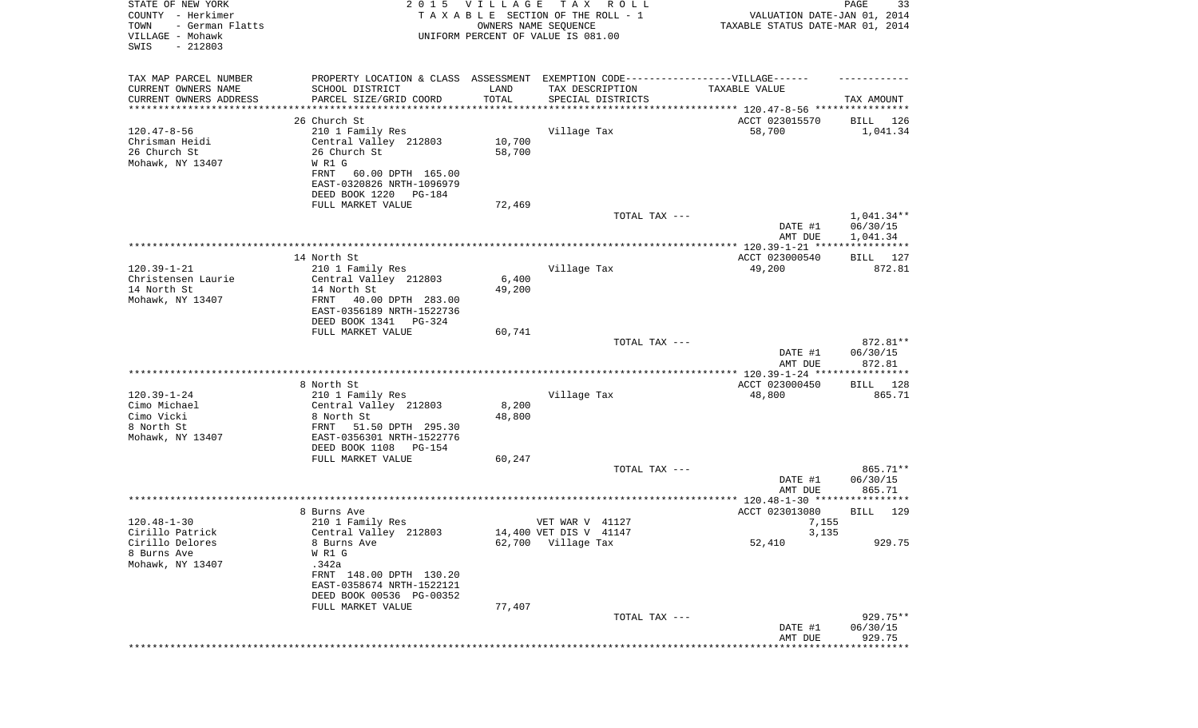| STATE OF NEW YORK<br>COUNTY - Herkimer<br>TOWN<br>- German Flatts<br>VILLAGE - Mohawk<br>SWIS<br>$-212803$ | 2 0 1 5                                                                          | <b>VILLAGE</b>      | T A X<br>R O L L<br>TAXABLE SECTION OF THE ROLL - 1<br>OWNERS NAME SEQUENCE<br>UNIFORM PERCENT OF VALUE IS 081.00 | VALUATION DATE-JAN 01, 2014<br>TAXABLE STATUS DATE-MAR 01, 2014                  | PAGE<br>33                            |
|------------------------------------------------------------------------------------------------------------|----------------------------------------------------------------------------------|---------------------|-------------------------------------------------------------------------------------------------------------------|----------------------------------------------------------------------------------|---------------------------------------|
|                                                                                                            |                                                                                  |                     |                                                                                                                   |                                                                                  |                                       |
| TAX MAP PARCEL NUMBER                                                                                      | PROPERTY LOCATION & CLASS ASSESSMENT EXEMPTION CODE----------------VILLAGE------ |                     |                                                                                                                   |                                                                                  |                                       |
| CURRENT OWNERS NAME                                                                                        | SCHOOL DISTRICT                                                                  | LAND                | TAX DESCRIPTION                                                                                                   | TAXABLE VALUE                                                                    |                                       |
| CURRENT OWNERS ADDRESS<br>*********************                                                            | PARCEL SIZE/GRID COORD<br>*****************                                      | TOTAL<br>********** | SPECIAL DISTRICTS                                                                                                 |                                                                                  | TAX AMOUNT                            |
|                                                                                                            | 26 Church St                                                                     |                     |                                                                                                                   | ********************************* 120.47-8-56 ****************<br>ACCT 023015570 | BILL 126                              |
| $120.47 - 8 - 56$                                                                                          | 210 1 Family Res                                                                 |                     | Village Tax                                                                                                       | 58,700                                                                           | 1,041.34                              |
| Chrisman Heidi                                                                                             | Central Valley 212803                                                            | 10,700              |                                                                                                                   |                                                                                  |                                       |
| 26 Church St                                                                                               | 26 Church St                                                                     | 58,700              |                                                                                                                   |                                                                                  |                                       |
| Mohawk, NY 13407                                                                                           | W R1 G                                                                           |                     |                                                                                                                   |                                                                                  |                                       |
|                                                                                                            | <b>FRNT</b><br>60.00 DPTH 165.00                                                 |                     |                                                                                                                   |                                                                                  |                                       |
|                                                                                                            | EAST-0320826 NRTH-1096979                                                        |                     |                                                                                                                   |                                                                                  |                                       |
|                                                                                                            | DEED BOOK 1220<br>PG-184                                                         |                     |                                                                                                                   |                                                                                  |                                       |
|                                                                                                            | FULL MARKET VALUE                                                                | 72,469              | TOTAL TAX ---                                                                                                     |                                                                                  | $1,041.34**$                          |
|                                                                                                            |                                                                                  |                     |                                                                                                                   | DATE #1                                                                          | 06/30/15                              |
|                                                                                                            |                                                                                  |                     |                                                                                                                   | AMT DUE                                                                          | 1,041.34                              |
|                                                                                                            |                                                                                  |                     |                                                                                                                   |                                                                                  |                                       |
|                                                                                                            | 14 North St                                                                      |                     |                                                                                                                   | ACCT 023000540                                                                   | BILL 127                              |
| $120.39 - 1 - 21$                                                                                          | 210 1 Family Res                                                                 |                     | Village Tax                                                                                                       | 49,200                                                                           | 872.81                                |
| Christensen Laurie<br>14 North St                                                                          | Central Valley 212803                                                            | 6,400               |                                                                                                                   |                                                                                  |                                       |
| Mohawk, NY 13407                                                                                           | 14 North St<br>40.00 DPTH 283.00<br>FRNT                                         | 49,200              |                                                                                                                   |                                                                                  |                                       |
|                                                                                                            | EAST-0356189 NRTH-1522736                                                        |                     |                                                                                                                   |                                                                                  |                                       |
|                                                                                                            | DEED BOOK 1341 PG-324                                                            |                     |                                                                                                                   |                                                                                  |                                       |
|                                                                                                            | FULL MARKET VALUE                                                                | 60,741              |                                                                                                                   |                                                                                  |                                       |
|                                                                                                            |                                                                                  |                     | TOTAL TAX ---                                                                                                     |                                                                                  | 872.81**                              |
|                                                                                                            |                                                                                  |                     |                                                                                                                   | DATE #1                                                                          | 06/30/15                              |
|                                                                                                            |                                                                                  |                     |                                                                                                                   | AMT DUE<br>*************** 120.39-1-24 *****************                         | 872.81                                |
|                                                                                                            | 8 North St                                                                       |                     |                                                                                                                   | ACCT 023000450                                                                   | BILL 128                              |
| $120.39 - 1 - 24$                                                                                          | 210 1 Family Res                                                                 |                     | Village Tax                                                                                                       | 48,800                                                                           | 865.71                                |
| Cimo Michael                                                                                               | Central Valley 212803                                                            | 8,200               |                                                                                                                   |                                                                                  |                                       |
| Cimo Vicki                                                                                                 | 8 North St                                                                       | 48,800              |                                                                                                                   |                                                                                  |                                       |
| 8 North St                                                                                                 | FRNT<br>51.50 DPTH 295.30                                                        |                     |                                                                                                                   |                                                                                  |                                       |
| Mohawk, NY 13407                                                                                           | EAST-0356301 NRTH-1522776                                                        |                     |                                                                                                                   |                                                                                  |                                       |
|                                                                                                            | DEED BOOK 1108<br>PG-154                                                         |                     |                                                                                                                   |                                                                                  |                                       |
|                                                                                                            | FULL MARKET VALUE                                                                | 60,247              | TOTAL TAX ---                                                                                                     |                                                                                  | 865.71**                              |
|                                                                                                            |                                                                                  |                     |                                                                                                                   | DATE #1                                                                          | 06/30/15                              |
|                                                                                                            |                                                                                  |                     |                                                                                                                   | AMT DUE                                                                          | 865.71                                |
|                                                                                                            |                                                                                  |                     |                                                                                                                   |                                                                                  |                                       |
|                                                                                                            | 8 Burns Ave                                                                      |                     |                                                                                                                   | ACCT 023013080                                                                   | 129<br>BILL                           |
| $120.48 - 1 - 30$                                                                                          | 210 1 Family Res                                                                 |                     | VET WAR V 41127                                                                                                   | 7,155                                                                            |                                       |
| Cirillo Patrick                                                                                            | Central Valley 212803                                                            |                     | 14,400 VET DIS V 41147                                                                                            | 3,135                                                                            |                                       |
| Cirillo Delores<br>8 Burns Ave                                                                             | 8 Burns Ave<br>W R1 G                                                            |                     | 62,700 Village Tax                                                                                                | 52,410                                                                           | 929.75                                |
| Mohawk, NY 13407                                                                                           | .342a                                                                            |                     |                                                                                                                   |                                                                                  |                                       |
|                                                                                                            | FRNT 148.00 DPTH 130.20                                                          |                     |                                                                                                                   |                                                                                  |                                       |
|                                                                                                            | EAST-0358674 NRTH-1522121                                                        |                     |                                                                                                                   |                                                                                  |                                       |
|                                                                                                            | DEED BOOK 00536 PG-00352                                                         |                     |                                                                                                                   |                                                                                  |                                       |
|                                                                                                            | FULL MARKET VALUE                                                                | 77,407              |                                                                                                                   |                                                                                  |                                       |
|                                                                                                            |                                                                                  |                     | TOTAL TAX ---                                                                                                     |                                                                                  | 929.75**                              |
|                                                                                                            |                                                                                  |                     |                                                                                                                   | DATE #1                                                                          | 06/30/15                              |
|                                                                                                            |                                                                                  |                     |                                                                                                                   | AMT DUE<br>**************                                                        | 929.75<br>* * * * * * * * * * * * * * |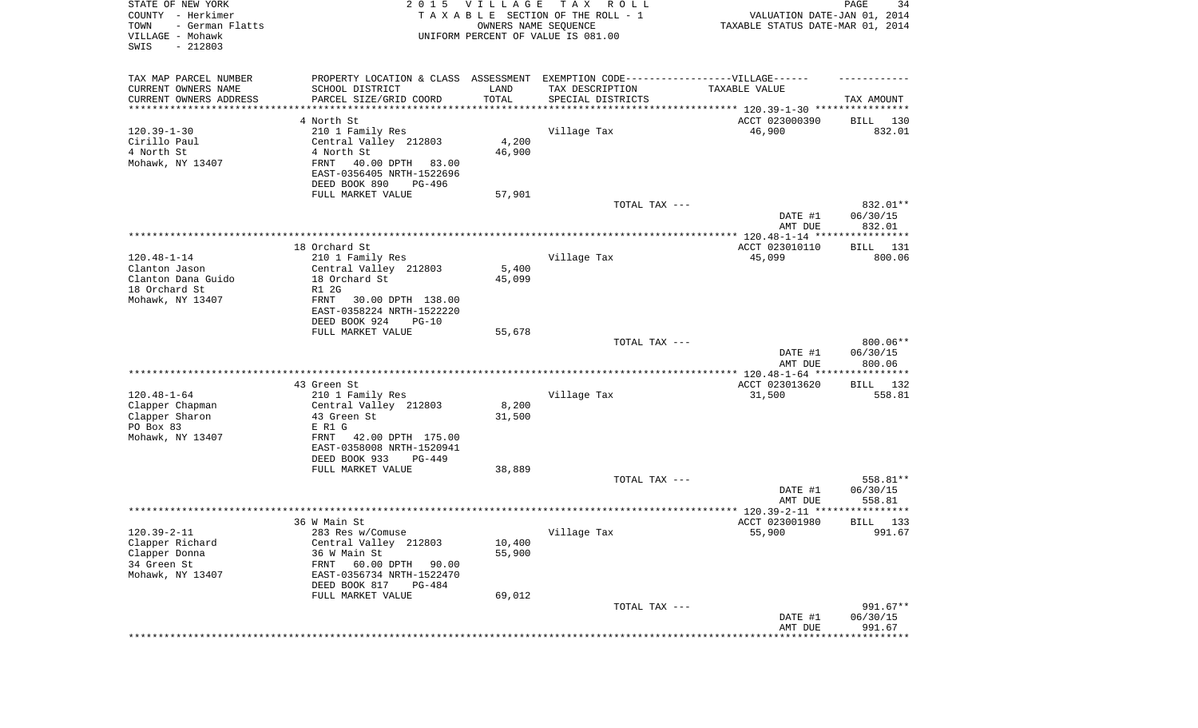| STATE OF NEW YORK<br>COUNTY - Herkimer<br>- German Flatts<br>TOWN<br>VILLAGE - Mohawk<br>$-212803$<br>SWIS |                                                                                                     | 2015 VILLAGE<br>OWNERS NAME SEQUENCE | T A X<br>R O L L<br>TAXABLE SECTION OF THE ROLL - 1<br>UNIFORM PERCENT OF VALUE IS 081.00 | VALUATION DATE-JAN 01, 2014<br>TAXABLE STATUS DATE-MAR 01, 2014 | PAGE<br>34           |
|------------------------------------------------------------------------------------------------------------|-----------------------------------------------------------------------------------------------------|--------------------------------------|-------------------------------------------------------------------------------------------|-----------------------------------------------------------------|----------------------|
| TAX MAP PARCEL NUMBER<br>CURRENT OWNERS NAME                                                               | PROPERTY LOCATION & CLASS ASSESSMENT EXEMPTION CODE----------------VILLAGE------<br>SCHOOL DISTRICT | LAND                                 | TAX DESCRIPTION                                                                           | TAXABLE VALUE                                                   |                      |
| CURRENT OWNERS ADDRESS                                                                                     | PARCEL SIZE/GRID COORD                                                                              | TOTAL                                | SPECIAL DISTRICTS                                                                         |                                                                 | TAX AMOUNT           |
| *********************                                                                                      | *****************                                                                                   |                                      |                                                                                           | ********************************* 120.39-1-30 ****************  |                      |
|                                                                                                            | 4 North St                                                                                          |                                      |                                                                                           | ACCT 023000390                                                  | BILL<br>130          |
| $120.39 - 1 - 30$<br>Cirillo Paul                                                                          | 210 1 Family Res<br>Central Valley 212803                                                           | 4,200                                | Village Tax                                                                               | 46,900                                                          | 832.01               |
| 4 North St                                                                                                 | 4 North St                                                                                          | 46,900                               |                                                                                           |                                                                 |                      |
| Mohawk, NY 13407                                                                                           | FRNT<br>40.00 DPTH<br>83.00                                                                         |                                      |                                                                                           |                                                                 |                      |
|                                                                                                            | EAST-0356405 NRTH-1522696                                                                           |                                      |                                                                                           |                                                                 |                      |
|                                                                                                            | DEED BOOK 890<br>PG-496                                                                             |                                      |                                                                                           |                                                                 |                      |
|                                                                                                            | FULL MARKET VALUE                                                                                   | 57,901                               |                                                                                           |                                                                 |                      |
|                                                                                                            |                                                                                                     |                                      | TOTAL TAX ---                                                                             | DATE #1                                                         | 832.01**<br>06/30/15 |
|                                                                                                            |                                                                                                     |                                      |                                                                                           | AMT DUE                                                         | 832.01               |
|                                                                                                            |                                                                                                     |                                      |                                                                                           |                                                                 |                      |
|                                                                                                            | 18 Orchard St                                                                                       |                                      |                                                                                           | ACCT 023010110                                                  | <b>BILL</b><br>131   |
| $120.48 - 1 - 14$                                                                                          | 210 1 Family Res                                                                                    |                                      | Village Tax                                                                               | 45,099                                                          | 800.06               |
| Clanton Jason                                                                                              | Central Valley 212803                                                                               | 5,400                                |                                                                                           |                                                                 |                      |
| Clanton Dana Guido<br>18 Orchard St                                                                        | 18 Orchard St<br>R1 2G                                                                              | 45,099                               |                                                                                           |                                                                 |                      |
| Mohawk, NY 13407                                                                                           | FRNT<br>30.00 DPTH 138.00                                                                           |                                      |                                                                                           |                                                                 |                      |
|                                                                                                            | EAST-0358224 NRTH-1522220                                                                           |                                      |                                                                                           |                                                                 |                      |
|                                                                                                            | DEED BOOK 924<br>$PG-10$                                                                            |                                      |                                                                                           |                                                                 |                      |
|                                                                                                            | FULL MARKET VALUE                                                                                   | 55,678                               |                                                                                           |                                                                 |                      |
|                                                                                                            |                                                                                                     |                                      | TOTAL TAX ---                                                                             |                                                                 | 800.06**             |
|                                                                                                            |                                                                                                     |                                      |                                                                                           | DATE #1<br>AMT DUE                                              | 06/30/15<br>800.06   |
|                                                                                                            |                                                                                                     |                                      |                                                                                           | ************* 120.48-1-64 *****************                     |                      |
|                                                                                                            | 43 Green St                                                                                         |                                      |                                                                                           | ACCT 023013620                                                  | 132<br>BILL          |
| $120.48 - 1 - 64$                                                                                          | 210 1 Family Res                                                                                    |                                      | Village Tax                                                                               | 31,500                                                          | 558.81               |
| Clapper Chapman                                                                                            | Central Valley 212803                                                                               | 8,200                                |                                                                                           |                                                                 |                      |
| Clapper Sharon<br>PO Box 83                                                                                | 43 Green St<br>E R1 G                                                                               | 31,500                               |                                                                                           |                                                                 |                      |
| Mohawk, NY 13407                                                                                           | <b>FRNT</b><br>42.00 DPTH 175.00                                                                    |                                      |                                                                                           |                                                                 |                      |
|                                                                                                            | EAST-0358008 NRTH-1520941                                                                           |                                      |                                                                                           |                                                                 |                      |
|                                                                                                            | DEED BOOK 933<br>PG-449                                                                             |                                      |                                                                                           |                                                                 |                      |
|                                                                                                            | FULL MARKET VALUE                                                                                   | 38,889                               |                                                                                           |                                                                 |                      |
|                                                                                                            |                                                                                                     |                                      | TOTAL TAX ---                                                                             |                                                                 | 558.81**             |
|                                                                                                            |                                                                                                     |                                      |                                                                                           | DATE #1<br>AMT DUE                                              | 06/30/15<br>558.81   |
|                                                                                                            |                                                                                                     |                                      |                                                                                           |                                                                 | * * * * * * *        |
|                                                                                                            | 36 W Main St                                                                                        |                                      |                                                                                           | ACCT 023001980                                                  | 133<br>BILL          |
| $120.39 - 2 - 11$                                                                                          | 283 Res w/Comuse                                                                                    |                                      | Village Tax                                                                               | 55,900                                                          | 991.67               |
| Clapper Richard                                                                                            | Central Valley 212803                                                                               | 10,400                               |                                                                                           |                                                                 |                      |
| Clapper Donna                                                                                              | 36 W Main St                                                                                        | 55,900                               |                                                                                           |                                                                 |                      |
| 34 Green St                                                                                                | 60.00 DPTH<br>90.00<br>FRNT                                                                         |                                      |                                                                                           |                                                                 |                      |
| Mohawk, NY 13407                                                                                           | EAST-0356734 NRTH-1522470<br>DEED BOOK 817<br>PG-484                                                |                                      |                                                                                           |                                                                 |                      |
|                                                                                                            | FULL MARKET VALUE                                                                                   | 69,012                               |                                                                                           |                                                                 |                      |
|                                                                                                            |                                                                                                     |                                      | TOTAL TAX ---                                                                             |                                                                 | 991.67**             |
|                                                                                                            |                                                                                                     |                                      |                                                                                           | DATE #1                                                         | 06/30/15             |
|                                                                                                            |                                                                                                     |                                      |                                                                                           | AMT DUE                                                         | 991.67               |
|                                                                                                            |                                                                                                     |                                      |                                                                                           | **************************                                      |                      |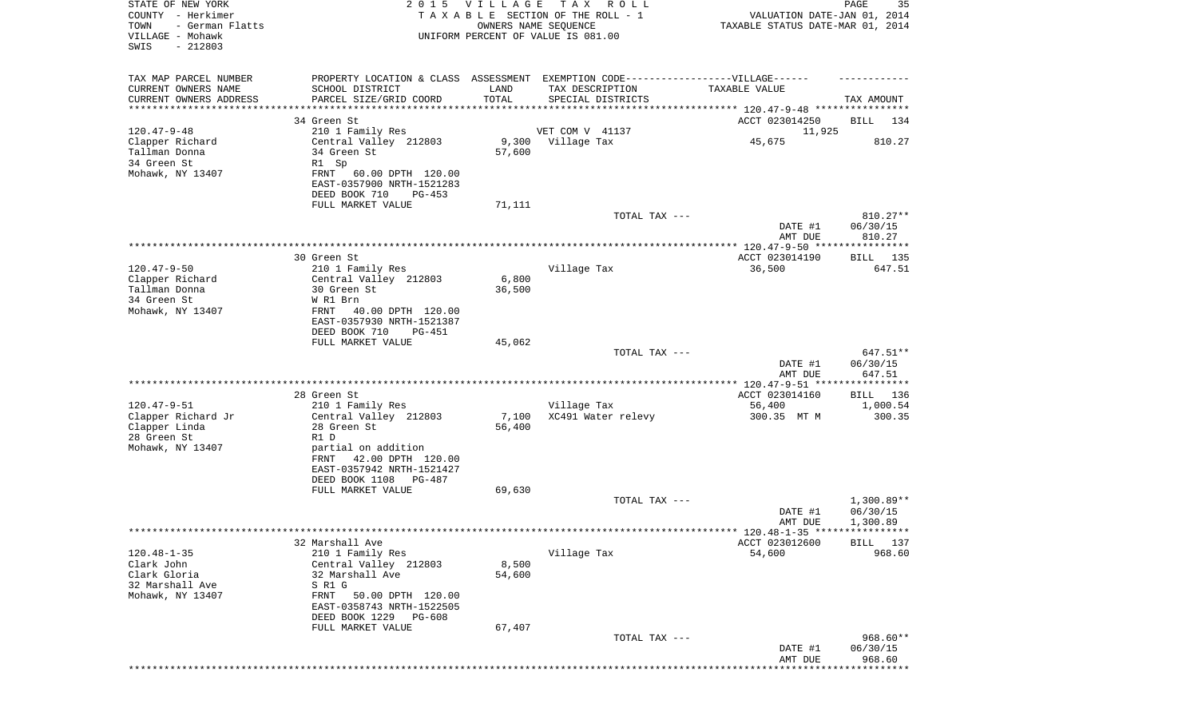| STATE OF NEW YORK<br>COUNTY - Herkimer<br>TOWN<br>- German Flatts<br>VILLAGE - Mohawk<br>SWIS<br>$-212803$ |                                                                                                                                                                                                      | 2015 VILLAGE<br>OWNERS NAME SEQUENCE | T A X<br>R O L L<br>TAXABLE SECTION OF THE ROLL - 1<br>UNIFORM PERCENT OF VALUE IS 081.00                                | VALUATION DATE-JAN 01, 2014<br>TAXABLE STATUS DATE-MAR 01, 2014 | PAGE<br>35                           |
|------------------------------------------------------------------------------------------------------------|------------------------------------------------------------------------------------------------------------------------------------------------------------------------------------------------------|--------------------------------------|--------------------------------------------------------------------------------------------------------------------------|-----------------------------------------------------------------|--------------------------------------|
| TAX MAP PARCEL NUMBER<br>CURRENT OWNERS NAME<br>CURRENT OWNERS ADDRESS<br>********************             | SCHOOL DISTRICT<br>PARCEL SIZE/GRID COORD                                                                                                                                                            | LAND<br>TOTAL                        | PROPERTY LOCATION & CLASS ASSESSMENT EXEMPTION CODE----------------VILLAGE------<br>TAX DESCRIPTION<br>SPECIAL DISTRICTS | TAXABLE VALUE                                                   | TAX AMOUNT                           |
| $120.47 - 9 - 48$                                                                                          | 34 Green St<br>210 1 Family Res                                                                                                                                                                      |                                      | VET COM V 41137                                                                                                          | ACCT 023014250<br>11,925                                        | BILL<br>134                          |
| Clapper Richard<br>Tallman Donna<br>34 Green St<br>Mohawk, NY 13407                                        | Central Valley 212803<br>34 Green St<br>R1 Sp<br>FRNT<br>60.00 DPTH 120.00<br>EAST-0357900 NRTH-1521283<br>DEED BOOK 710<br>PG-453                                                                   | 57,600                               | 9,300 Village Tax                                                                                                        | 45,675                                                          | 810.27                               |
|                                                                                                            | FULL MARKET VALUE                                                                                                                                                                                    | 71,111                               | TOTAL TAX ---                                                                                                            | DATE #1<br>AMT DUE                                              | 810.27**<br>06/30/15<br>810.27       |
|                                                                                                            |                                                                                                                                                                                                      |                                      |                                                                                                                          |                                                                 |                                      |
| $120.47 - 9 - 50$<br>Clapper Richard<br>Tallman Donna<br>34 Green St<br>Mohawk, NY 13407                   | 30 Green St<br>210 1 Family Res<br>Central Valley 212803<br>30 Green St<br>W R1 Brn<br>FRNT<br>40.00 DPTH 120.00<br>EAST-0357930 NRTH-1521387                                                        | 6,800<br>36,500                      | Village Tax                                                                                                              | ACCT 023014190<br>36,500                                        | BILL 135<br>647.51                   |
|                                                                                                            | DEED BOOK 710<br><b>PG-451</b><br>FULL MARKET VALUE                                                                                                                                                  | 45,062                               |                                                                                                                          |                                                                 |                                      |
|                                                                                                            |                                                                                                                                                                                                      |                                      | TOTAL TAX ---                                                                                                            | DATE #1<br>AMT DUE                                              | 647.51**<br>06/30/15<br>647.51       |
|                                                                                                            | 28 Green St                                                                                                                                                                                          |                                      |                                                                                                                          | ACCT 023014160                                                  | BILL 136                             |
| $120.47 - 9 - 51$                                                                                          | 210 1 Family Res                                                                                                                                                                                     |                                      | Village Tax                                                                                                              | 56,400                                                          | 1,000.54                             |
| Clapper Richard Jr<br>Clapper Linda<br>28 Green St<br>Mohawk, NY 13407                                     | Central Valley 212803<br>28 Green St<br>R1 D<br>partial on addition<br>42.00 DPTH 120.00<br>FRNT<br>EAST-0357942 NRTH-1521427                                                                        | 7,100<br>56,400                      | XC491 Water relevy                                                                                                       | 300.35 MT M                                                     | 300.35                               |
|                                                                                                            | DEED BOOK 1108 PG-487<br>FULL MARKET VALUE                                                                                                                                                           | 69,630                               |                                                                                                                          |                                                                 |                                      |
|                                                                                                            |                                                                                                                                                                                                      |                                      | TOTAL TAX ---                                                                                                            | DATE #1<br>AMT DUE                                              | $1,300.89**$<br>06/30/15<br>1,300.89 |
|                                                                                                            |                                                                                                                                                                                                      |                                      |                                                                                                                          | ****** 120.48-1-35 *****************                            |                                      |
| $120.48 - 1 - 35$<br>Clark John<br>Clark Gloria<br>32 Marshall Ave<br>Mohawk, NY 13407                     | 32 Marshall Ave<br>210 1 Family Res<br>Central Valley 212803<br>32 Marshall Ave<br>S R1 G<br>50.00 DPTH 120.00<br>FRNT<br>EAST-0358743 NRTH-1522505<br>DEED BOOK 1229<br>PG-608<br>FULL MARKET VALUE | 8,500<br>54,600<br>67,407            | Village Tax                                                                                                              | ACCT 023012600<br>54,600                                        | <b>BILL</b> 137<br>968.60            |
|                                                                                                            |                                                                                                                                                                                                      |                                      | TOTAL TAX ---                                                                                                            | DATE #1<br>AMT DUE                                              | 968.60**<br>06/30/15<br>968.60       |
|                                                                                                            |                                                                                                                                                                                                      |                                      |                                                                                                                          |                                                                 |                                      |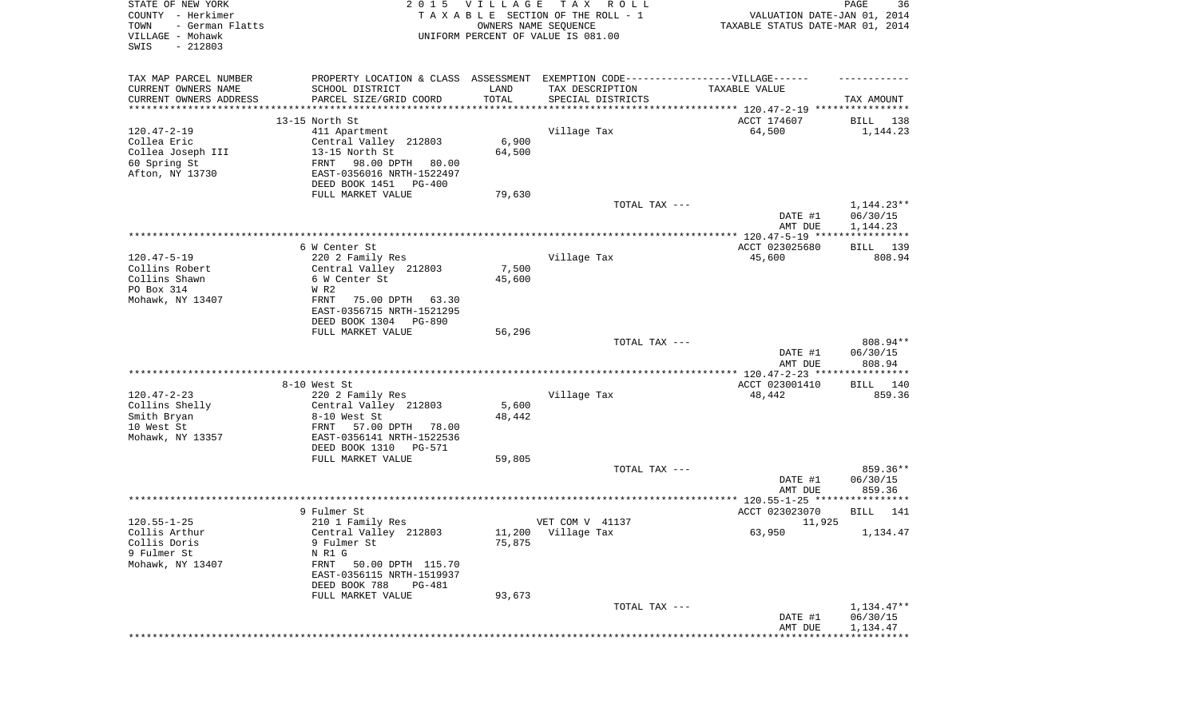| STATE OF NEW YORK<br>COUNTY - Herkimer<br>- German Flatts<br>TOWN<br>VILLAGE - Mohawk<br>SWIS<br>$-212803$ |                                                                                   | 2015 VILLAGE<br>OWNERS NAME SEQUENCE | TAX ROLL<br>TAXABLE SECTION OF THE ROLL - 1<br>UNIFORM PERCENT OF VALUE IS 081.00 | VALUATION DATE-JAN 01, 2014<br>TAXABLE STATUS DATE-MAR 01, 2014 | PAGE<br>36  |
|------------------------------------------------------------------------------------------------------------|-----------------------------------------------------------------------------------|--------------------------------------|-----------------------------------------------------------------------------------|-----------------------------------------------------------------|-------------|
| TAX MAP PARCEL NUMBER                                                                                      | PROPERTY LOCATION & CLASS ASSESSMENT EXEMPTION CODE-----------------VILLAGE------ |                                      |                                                                                   |                                                                 |             |
| CURRENT OWNERS NAME<br>CURRENT OWNERS ADDRESS                                                              | SCHOOL DISTRICT<br>PARCEL SIZE/GRID COORD                                         | LAND<br>TOTAL                        | TAX DESCRIPTION<br>SPECIAL DISTRICTS                                              | TAXABLE VALUE                                                   | TAX AMOUNT  |
| ***********************                                                                                    | **********************************                                                |                                      |                                                                                   |                                                                 |             |
|                                                                                                            | 13-15 North St                                                                    |                                      |                                                                                   | ACCT 174607                                                     | BILL<br>138 |
| $120.47 - 2 - 19$                                                                                          | 411 Apartment                                                                     |                                      | Village Tax                                                                       | 64,500                                                          | 1,144.23    |
| Collea Eric                                                                                                | Central Valley 212803                                                             | 6,900                                |                                                                                   |                                                                 |             |
| Collea Joseph III                                                                                          | 13-15 North St                                                                    | 64,500                               |                                                                                   |                                                                 |             |
| 60 Spring St                                                                                               | FRNT<br>98.00 DPTH<br>80.00                                                       |                                      |                                                                                   |                                                                 |             |
| Afton, NY 13730                                                                                            | EAST-0356016 NRTH-1522497                                                         |                                      |                                                                                   |                                                                 |             |
|                                                                                                            | DEED BOOK 1451<br>PG-400                                                          |                                      |                                                                                   |                                                                 |             |
|                                                                                                            | FULL MARKET VALUE                                                                 | 79,630                               |                                                                                   |                                                                 |             |
|                                                                                                            |                                                                                   |                                      | TOTAL TAX ---                                                                     |                                                                 | 1,144.23**  |
|                                                                                                            |                                                                                   |                                      |                                                                                   | DATE #1                                                         | 06/30/15    |
|                                                                                                            |                                                                                   |                                      |                                                                                   | AMT DUE                                                         | 1,144.23    |
|                                                                                                            |                                                                                   |                                      |                                                                                   |                                                                 |             |
|                                                                                                            | 6 W Center St                                                                     |                                      |                                                                                   | ACCT 023025680                                                  | 139<br>BILL |
| $120.47 - 5 - 19$                                                                                          | 220 2 Family Res                                                                  |                                      | Village Tax                                                                       | 45,600                                                          | 808.94      |
| Collins Robert<br>Collins Shawn                                                                            | Central Valley 212803                                                             | 7,500                                |                                                                                   |                                                                 |             |
| PO Box 314                                                                                                 | 6 W Center St<br>W R2                                                             | 45,600                               |                                                                                   |                                                                 |             |
| Mohawk, NY 13407                                                                                           | FRNT<br>75.00 DPTH<br>63.30                                                       |                                      |                                                                                   |                                                                 |             |
|                                                                                                            | EAST-0356715 NRTH-1521295                                                         |                                      |                                                                                   |                                                                 |             |
|                                                                                                            | DEED BOOK 1304 PG-890                                                             |                                      |                                                                                   |                                                                 |             |
|                                                                                                            | FULL MARKET VALUE                                                                 | 56,296                               |                                                                                   |                                                                 |             |
|                                                                                                            |                                                                                   |                                      | TOTAL TAX ---                                                                     |                                                                 | 808.94**    |
|                                                                                                            |                                                                                   |                                      |                                                                                   | DATE #1                                                         | 06/30/15    |
|                                                                                                            |                                                                                   |                                      |                                                                                   | AMT DUE                                                         | 808.94      |
|                                                                                                            |                                                                                   |                                      |                                                                                   |                                                                 |             |
|                                                                                                            | 8-10 West St                                                                      |                                      |                                                                                   | ACCT 023001410                                                  | 140<br>BILL |
| $120.47 - 2 - 23$                                                                                          | 220 2 Family Res                                                                  |                                      | Village Tax                                                                       | 48,442                                                          | 859.36      |
| Collins Shelly                                                                                             | Central Valley 212803                                                             | 5,600                                |                                                                                   |                                                                 |             |
| Smith Bryan                                                                                                | 8-10 West St                                                                      | 48,442                               |                                                                                   |                                                                 |             |
| 10 West St                                                                                                 | FRNT<br>57.00 DPTH 78.00                                                          |                                      |                                                                                   |                                                                 |             |
| Mohawk, NY 13357                                                                                           | EAST-0356141 NRTH-1522536                                                         |                                      |                                                                                   |                                                                 |             |
|                                                                                                            | DEED BOOK 1310<br>PG-571                                                          |                                      |                                                                                   |                                                                 |             |
|                                                                                                            | FULL MARKET VALUE                                                                 | 59,805                               |                                                                                   |                                                                 |             |
|                                                                                                            |                                                                                   |                                      | TOTAL TAX ---                                                                     |                                                                 | 859.36**    |
|                                                                                                            |                                                                                   |                                      |                                                                                   | DATE #1                                                         | 06/30/15    |
|                                                                                                            |                                                                                   |                                      |                                                                                   | AMT DUE                                                         | 859.36      |
|                                                                                                            |                                                                                   |                                      |                                                                                   |                                                                 |             |
|                                                                                                            | 9 Fulmer St                                                                       |                                      |                                                                                   | ACCT 023023070                                                  | 141<br>BILL |
| $120.55 - 1 - 25$                                                                                          | 210 1 Family Res                                                                  |                                      | VET COM V 41137                                                                   | 11,925                                                          |             |
| Collis Arthur                                                                                              | Central Valley 212803                                                             |                                      | 11,200 Village Tax                                                                | 63,950                                                          | 1,134.47    |
| Collis Doris                                                                                               | 9 Fulmer St                                                                       | 75,875                               |                                                                                   |                                                                 |             |
| 9 Fulmer St                                                                                                | N R1 G                                                                            |                                      |                                                                                   |                                                                 |             |
| Mohawk, NY 13407                                                                                           | FRNT<br>50.00 DPTH 115.70<br>EAST-0356115 NRTH-1519937                            |                                      |                                                                                   |                                                                 |             |
|                                                                                                            | DEED BOOK 788<br><b>PG-481</b>                                                    |                                      |                                                                                   |                                                                 |             |
|                                                                                                            | FULL MARKET VALUE                                                                 | 93,673                               |                                                                                   |                                                                 |             |
|                                                                                                            |                                                                                   |                                      | TOTAL TAX ---                                                                     |                                                                 | 1,134.47**  |
|                                                                                                            |                                                                                   |                                      |                                                                                   | DATE #1                                                         | 06/30/15    |
|                                                                                                            |                                                                                   |                                      |                                                                                   | AMT DUE                                                         | 1,134.47    |
|                                                                                                            |                                                                                   |                                      |                                                                                   |                                                                 |             |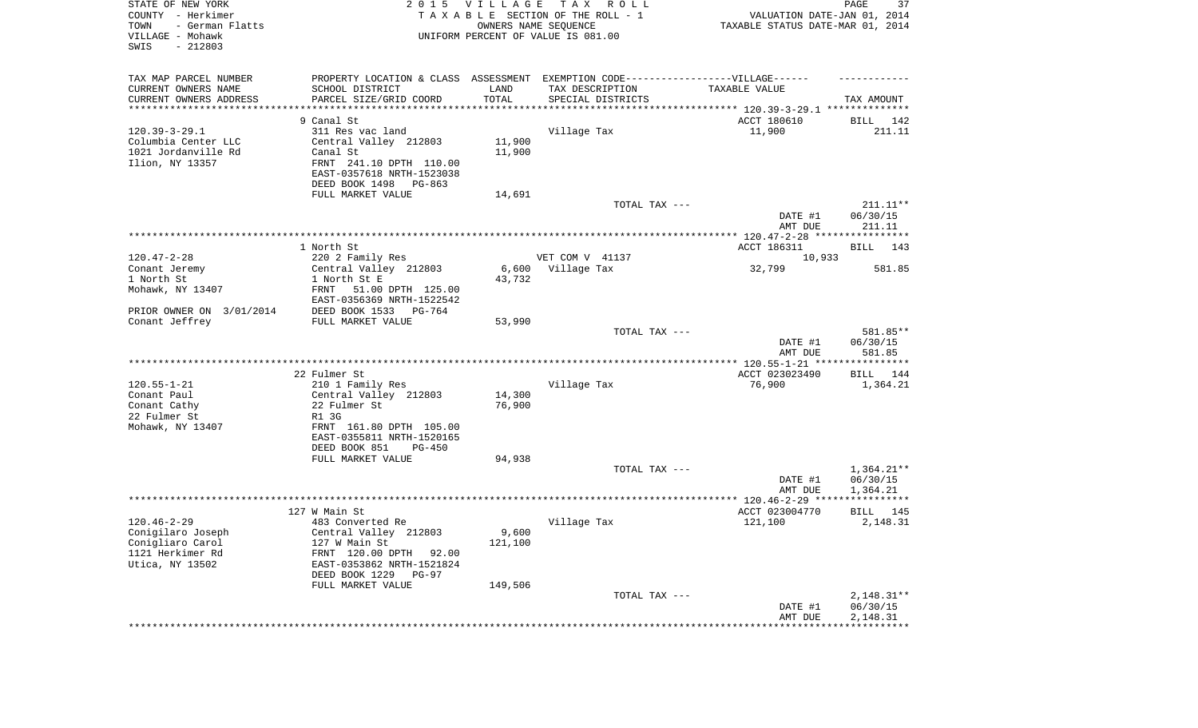| STATE OF NEW YORK<br>COUNTY - Herkimer<br>- German Flatts<br>TOWN<br>VILLAGE - Mohawk<br>SWIS<br>$-212803$ |                                                        | 2015 VILLAGE | TAX ROLL<br>TAXABLE SECTION OF THE ROLL - 1<br>OWNERS NAME SEQUENCE<br>UNIFORM PERCENT OF VALUE IS 081.00 | VALUATION DATE-JAN 01, 2014<br>TAXABLE STATUS DATE-MAR 01, 2014 | PAGE<br>37           |
|------------------------------------------------------------------------------------------------------------|--------------------------------------------------------|--------------|-----------------------------------------------------------------------------------------------------------|-----------------------------------------------------------------|----------------------|
| TAX MAP PARCEL NUMBER                                                                                      |                                                        |              | PROPERTY LOCATION & CLASS ASSESSMENT EXEMPTION CODE-----------------VILLAGE------                         |                                                                 |                      |
| CURRENT OWNERS NAME                                                                                        | SCHOOL DISTRICT                                        | LAND         | TAX DESCRIPTION                                                                                           | TAXABLE VALUE                                                   |                      |
| CURRENT OWNERS ADDRESS<br>*********************                                                            | PARCEL SIZE/GRID COORD                                 | TOTAL        | SPECIAL DISTRICTS                                                                                         |                                                                 | TAX AMOUNT           |
|                                                                                                            | 9 Canal St                                             |              |                                                                                                           | ACCT 180610                                                     | BILL 142             |
| $120.39 - 3 - 29.1$                                                                                        | 311 Res vac land                                       |              | Village Tax                                                                                               | 11,900                                                          | 211.11               |
| Columbia Center LLC                                                                                        | Central Valley 212803                                  | 11,900       |                                                                                                           |                                                                 |                      |
| 1021 Jordanville Rd                                                                                        | Canal St                                               | 11,900       |                                                                                                           |                                                                 |                      |
| Ilion, NY 13357                                                                                            | FRNT 241.10 DPTH 110.00                                |              |                                                                                                           |                                                                 |                      |
|                                                                                                            | EAST-0357618 NRTH-1523038                              |              |                                                                                                           |                                                                 |                      |
|                                                                                                            | DEED BOOK 1498<br>PG-863                               |              |                                                                                                           |                                                                 |                      |
|                                                                                                            | FULL MARKET VALUE                                      | 14,691       |                                                                                                           |                                                                 |                      |
|                                                                                                            |                                                        |              | TOTAL TAX ---                                                                                             |                                                                 | $211.11**$           |
|                                                                                                            |                                                        |              |                                                                                                           | DATE #1<br>AMT DUE                                              | 06/30/15<br>211.11   |
|                                                                                                            |                                                        |              |                                                                                                           |                                                                 |                      |
|                                                                                                            | 1 North St                                             |              |                                                                                                           | ACCT 186311                                                     | BILL 143             |
| $120.47 - 2 - 28$                                                                                          | 220 2 Family Res                                       |              | VET COM V 41137                                                                                           | 10,933                                                          |                      |
| Conant Jeremy                                                                                              | Central Valley 212803                                  | 6,600        | Village Tax                                                                                               | 32,799                                                          | 581.85               |
| 1 North St                                                                                                 | 1 North St E                                           | 43,732       |                                                                                                           |                                                                 |                      |
| Mohawk, NY 13407                                                                                           | FRNT<br>51.00 DPTH 125.00<br>EAST-0356369 NRTH-1522542 |              |                                                                                                           |                                                                 |                      |
| PRIOR OWNER ON 3/01/2014                                                                                   | DEED BOOK 1533 PG-764                                  |              |                                                                                                           |                                                                 |                      |
| Conant Jeffrey                                                                                             | FULL MARKET VALUE                                      | 53,990       |                                                                                                           |                                                                 |                      |
|                                                                                                            |                                                        |              | TOTAL TAX ---                                                                                             |                                                                 | 581.85**             |
|                                                                                                            |                                                        |              |                                                                                                           | DATE #1                                                         | 06/30/15             |
|                                                                                                            |                                                        |              |                                                                                                           | AMT DUE                                                         | 581.85               |
|                                                                                                            |                                                        |              |                                                                                                           |                                                                 |                      |
| $120.55 - 1 - 21$                                                                                          | 22 Fulmer St<br>210 1 Family Res                       |              | Village Tax                                                                                               | ACCT 023023490<br>76,900                                        | BILL 144<br>1,364.21 |
| Conant Paul                                                                                                | Central Valley 212803                                  | 14,300       |                                                                                                           |                                                                 |                      |
| Conant Cathy                                                                                               | 22 Fulmer St                                           | 76,900       |                                                                                                           |                                                                 |                      |
| 22 Fulmer St                                                                                               | R1 3G                                                  |              |                                                                                                           |                                                                 |                      |
| Mohawk, NY 13407                                                                                           | FRNT 161.80 DPTH 105.00                                |              |                                                                                                           |                                                                 |                      |
|                                                                                                            | EAST-0355811 NRTH-1520165                              |              |                                                                                                           |                                                                 |                      |
|                                                                                                            | DEED BOOK 851<br>PG-450<br>FULL MARKET VALUE           | 94,938       |                                                                                                           |                                                                 |                      |
|                                                                                                            |                                                        |              | TOTAL TAX ---                                                                                             |                                                                 | $1,364.21**$         |
|                                                                                                            |                                                        |              |                                                                                                           | DATE #1                                                         | 06/30/15             |
|                                                                                                            |                                                        |              |                                                                                                           | AMT DUE                                                         | 1,364.21             |
|                                                                                                            |                                                        |              |                                                                                                           |                                                                 |                      |
|                                                                                                            | 127 W Main St                                          |              |                                                                                                           | ACCT 023004770                                                  | BILL<br>145          |
| $120.46 - 2 - 29$                                                                                          | 483 Converted Re                                       | 9,600        | Village Tax                                                                                               | 121,100                                                         | 2,148.31             |
| Conigilaro Joseph<br>Conigliaro Carol                                                                      | Central Valley 212803<br>127 W Main St                 | 121,100      |                                                                                                           |                                                                 |                      |
| 1121 Herkimer Rd                                                                                           | FRNT 120.00 DPTH 92.00                                 |              |                                                                                                           |                                                                 |                      |
| Utica, NY 13502                                                                                            | EAST-0353862 NRTH-1521824                              |              |                                                                                                           |                                                                 |                      |
|                                                                                                            | DEED BOOK 1229 PG-97                                   |              |                                                                                                           |                                                                 |                      |
|                                                                                                            | FULL MARKET VALUE                                      | 149,506      |                                                                                                           |                                                                 |                      |
|                                                                                                            |                                                        |              | TOTAL TAX ---                                                                                             |                                                                 | $2,148.31**$         |
|                                                                                                            |                                                        |              |                                                                                                           | DATE #1<br>AMT DUE                                              | 06/30/15<br>2,148.31 |
|                                                                                                            |                                                        |              |                                                                                                           |                                                                 |                      |
|                                                                                                            |                                                        |              |                                                                                                           |                                                                 |                      |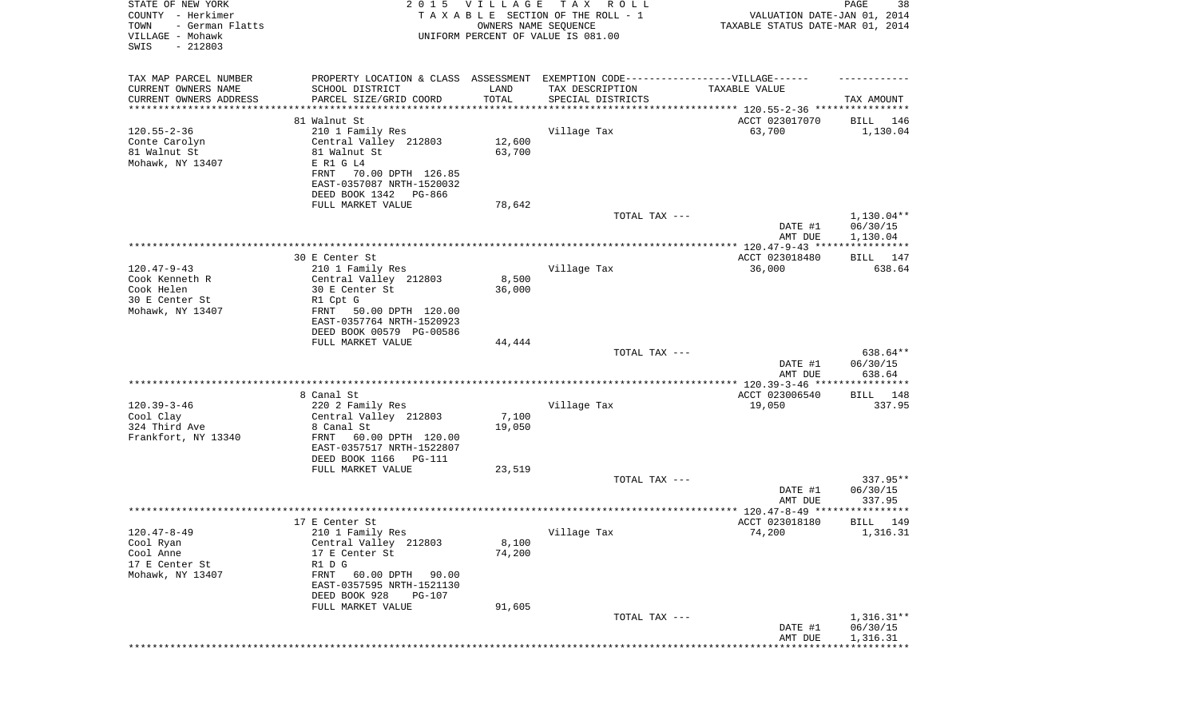| STATE OF NEW YORK<br>COUNTY - Herkimer<br>TOWN<br>- German Flatts<br>VILLAGE - Mohawk<br>SWIS<br>$-212803$ | 2 0 1 5                                                                          | <b>VILLAGE</b><br>OWNERS NAME SEQUENCE | TAX ROLL<br>TAXABLE SECTION OF THE ROLL - 1<br>UNIFORM PERCENT OF VALUE IS 081.00 | VALUATION DATE-JAN 01, 2014<br>TAXABLE STATUS DATE-MAR 01, 2014 | PAGE<br>38               |
|------------------------------------------------------------------------------------------------------------|----------------------------------------------------------------------------------|----------------------------------------|-----------------------------------------------------------------------------------|-----------------------------------------------------------------|--------------------------|
|                                                                                                            |                                                                                  |                                        |                                                                                   |                                                                 |                          |
| TAX MAP PARCEL NUMBER                                                                                      | PROPERTY LOCATION & CLASS ASSESSMENT EXEMPTION CODE----------------VILLAGE------ |                                        |                                                                                   |                                                                 |                          |
| CURRENT OWNERS NAME                                                                                        | SCHOOL DISTRICT                                                                  | LAND                                   | TAX DESCRIPTION                                                                   | TAXABLE VALUE                                                   |                          |
| CURRENT OWNERS ADDRESS<br>*********************                                                            | PARCEL SIZE/GRID COORD<br>************************                               | TOTAL                                  | SPECIAL DISTRICTS                                                                 |                                                                 | TAX AMOUNT               |
|                                                                                                            | 81 Walnut St                                                                     |                                        |                                                                                   | ACCT 023017070                                                  | BILL 146                 |
| $120.55 - 2 - 36$                                                                                          | 210 1 Family Res                                                                 |                                        | Village Tax                                                                       | 63,700                                                          | 1,130.04                 |
| Conte Carolyn                                                                                              | Central Valley 212803                                                            | 12,600                                 |                                                                                   |                                                                 |                          |
| 81 Walnut St                                                                                               | 81 Walnut St                                                                     | 63,700                                 |                                                                                   |                                                                 |                          |
| Mohawk, NY 13407                                                                                           | E R1 G L4                                                                        |                                        |                                                                                   |                                                                 |                          |
|                                                                                                            | FRNT<br>70.00 DPTH 126.85                                                        |                                        |                                                                                   |                                                                 |                          |
|                                                                                                            | EAST-0357087 NRTH-1520032                                                        |                                        |                                                                                   |                                                                 |                          |
|                                                                                                            | DEED BOOK 1342 PG-866                                                            |                                        |                                                                                   |                                                                 |                          |
|                                                                                                            | FULL MARKET VALUE                                                                | 78,642                                 | TOTAL TAX ---                                                                     |                                                                 | $1,130.04**$             |
|                                                                                                            |                                                                                  |                                        |                                                                                   | DATE #1                                                         | 06/30/15                 |
|                                                                                                            |                                                                                  |                                        |                                                                                   | AMT DUE                                                         | 1,130.04                 |
|                                                                                                            |                                                                                  |                                        |                                                                                   |                                                                 |                          |
|                                                                                                            | 30 E Center St                                                                   |                                        |                                                                                   | ACCT 023018480                                                  | BILL 147                 |
| $120.47 - 9 - 43$                                                                                          | 210 1 Family Res                                                                 |                                        | Village Tax                                                                       | 36,000                                                          | 638.64                   |
| Cook Kenneth R<br>Cook Helen                                                                               | Central Valley 212803                                                            | 8,500                                  |                                                                                   |                                                                 |                          |
| 30 E Center St                                                                                             | 30 E Center St<br>R1 Cpt G                                                       | 36,000                                 |                                                                                   |                                                                 |                          |
| Mohawk, NY 13407                                                                                           | FRNT 50.00 DPTH 120.00                                                           |                                        |                                                                                   |                                                                 |                          |
|                                                                                                            | EAST-0357764 NRTH-1520923                                                        |                                        |                                                                                   |                                                                 |                          |
|                                                                                                            | DEED BOOK 00579 PG-00586                                                         |                                        |                                                                                   |                                                                 |                          |
|                                                                                                            | FULL MARKET VALUE                                                                | 44,444                                 |                                                                                   |                                                                 |                          |
|                                                                                                            |                                                                                  |                                        | TOTAL TAX ---                                                                     |                                                                 | 638.64**                 |
|                                                                                                            |                                                                                  |                                        |                                                                                   | DATE #1<br>AMT DUE                                              | 06/30/15<br>638.64       |
|                                                                                                            |                                                                                  |                                        |                                                                                   |                                                                 |                          |
|                                                                                                            | 8 Canal St                                                                       |                                        |                                                                                   | ACCT 023006540                                                  | BILL 148                 |
| $120.39 - 3 - 46$                                                                                          | 220 2 Family Res                                                                 |                                        | Village Tax                                                                       | 19,050                                                          | 337.95                   |
| Cool Clay                                                                                                  | Central Valley 212803                                                            | 7,100                                  |                                                                                   |                                                                 |                          |
| 324 Third Ave                                                                                              | 8 Canal St                                                                       | 19,050                                 |                                                                                   |                                                                 |                          |
| Frankfort, NY 13340                                                                                        | FRNT<br>60.00 DPTH 120.00                                                        |                                        |                                                                                   |                                                                 |                          |
|                                                                                                            | EAST-0357517 NRTH-1522807<br>DEED BOOK 1166 PG-111                               |                                        |                                                                                   |                                                                 |                          |
|                                                                                                            | FULL MARKET VALUE                                                                | 23,519                                 |                                                                                   |                                                                 |                          |
|                                                                                                            |                                                                                  |                                        | TOTAL TAX ---                                                                     |                                                                 | 337.95**                 |
|                                                                                                            |                                                                                  |                                        |                                                                                   | DATE #1                                                         | 06/30/15                 |
|                                                                                                            |                                                                                  |                                        |                                                                                   | AMT DUE                                                         | 337.95                   |
|                                                                                                            |                                                                                  |                                        |                                                                                   |                                                                 |                          |
| $120.47 - 8 - 49$                                                                                          | 17 E Center St                                                                   |                                        |                                                                                   | ACCT 023018180<br>74,200                                        | BILL 149<br>1,316.31     |
| Cool Ryan                                                                                                  | 210 1 Family Res<br>Central Valley 212803                                        | 8,100                                  | Village Tax                                                                       |                                                                 |                          |
| Cool Anne                                                                                                  | 17 E Center St                                                                   | 74,200                                 |                                                                                   |                                                                 |                          |
| 17 E Center St                                                                                             | R1 D G                                                                           |                                        |                                                                                   |                                                                 |                          |
| Mohawk, NY 13407                                                                                           | FRNT 60.00 DPTH 90.00                                                            |                                        |                                                                                   |                                                                 |                          |
|                                                                                                            | EAST-0357595 NRTH-1521130                                                        |                                        |                                                                                   |                                                                 |                          |
|                                                                                                            | DEED BOOK 928<br>PG-107                                                          |                                        |                                                                                   |                                                                 |                          |
|                                                                                                            | FULL MARKET VALUE                                                                | 91,605                                 |                                                                                   |                                                                 |                          |
|                                                                                                            |                                                                                  |                                        | TOTAL TAX ---                                                                     | DATE #1                                                         | $1,316.31**$<br>06/30/15 |
|                                                                                                            |                                                                                  |                                        |                                                                                   | AMT DUE                                                         | 1,316.31                 |
|                                                                                                            |                                                                                  |                                        |                                                                                   | **************                                                  |                          |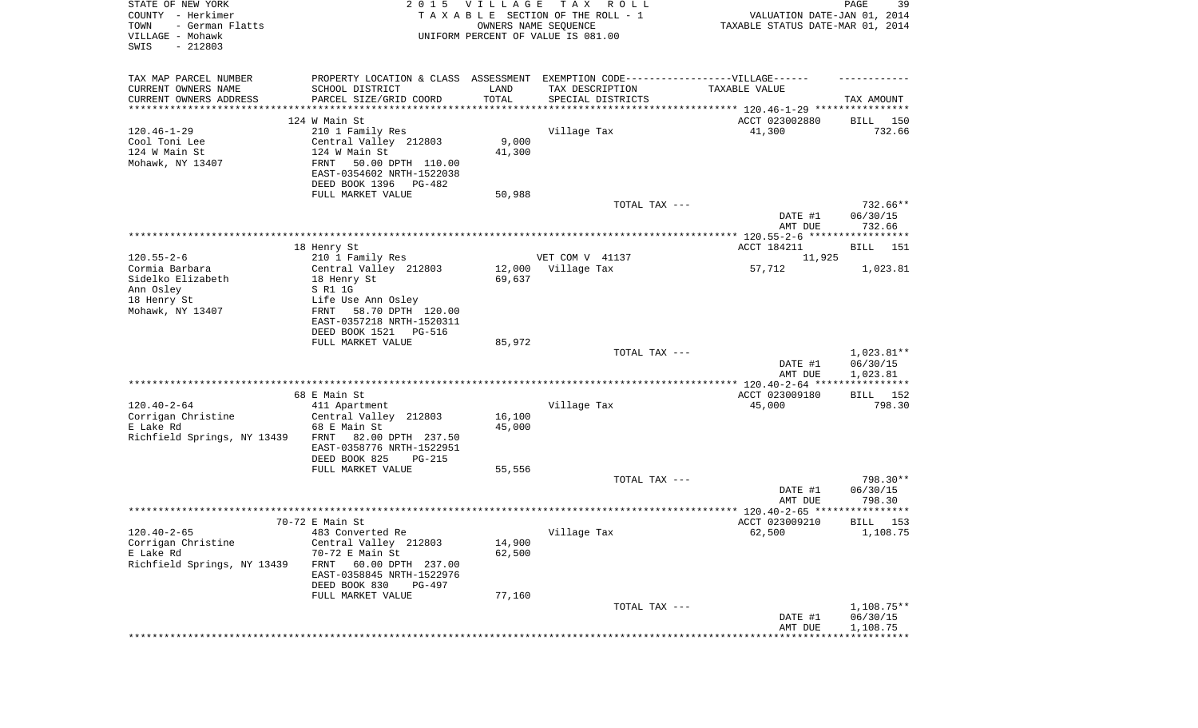| STATE OF NEW YORK<br>COUNTY - Herkimer<br>TOWN<br>- German Flatts<br>VILLAGE - Mohawk<br>SWIS<br>$-212803$ |                                                                                  | 2015 VILLAGE     | T A X<br>R O L L<br>TAXABLE SECTION OF THE ROLL - 1<br>OWNERS NAME SEQUENCE<br>UNIFORM PERCENT OF VALUE IS 081.00 | VALUATION DATE-JAN 01, 2014<br>TAXABLE STATUS DATE-MAR 01, 2014 | PAGE<br>39               |
|------------------------------------------------------------------------------------------------------------|----------------------------------------------------------------------------------|------------------|-------------------------------------------------------------------------------------------------------------------|-----------------------------------------------------------------|--------------------------|
| TAX MAP PARCEL NUMBER                                                                                      | PROPERTY LOCATION & CLASS ASSESSMENT EXEMPTION CODE----------------VILLAGE------ |                  |                                                                                                                   |                                                                 |                          |
| CURRENT OWNERS NAME                                                                                        | SCHOOL DISTRICT                                                                  | LAND             | TAX DESCRIPTION                                                                                                   | TAXABLE VALUE                                                   |                          |
| CURRENT OWNERS ADDRESS<br>***********************                                                          | PARCEL SIZE/GRID COORD                                                           | TOTAL            | SPECIAL DISTRICTS                                                                                                 |                                                                 | TAX AMOUNT               |
|                                                                                                            | 124 W Main St                                                                    |                  |                                                                                                                   | ACCT 023002880                                                  | 150<br>BILL              |
| $120.46 - 1 - 29$                                                                                          | 210 1 Family Res                                                                 |                  | Village Tax                                                                                                       | 41,300                                                          | 732.66                   |
| Cool Toni Lee                                                                                              | Central Valley 212803                                                            | 9,000            |                                                                                                                   |                                                                 |                          |
| 124 W Main St                                                                                              | 124 W Main St                                                                    | 41,300           |                                                                                                                   |                                                                 |                          |
| Mohawk, NY 13407                                                                                           | FRNT<br>50.00 DPTH 110.00<br>EAST-0354602 NRTH-1522038                           |                  |                                                                                                                   |                                                                 |                          |
|                                                                                                            | DEED BOOK 1396 PG-482                                                            |                  |                                                                                                                   |                                                                 |                          |
|                                                                                                            | FULL MARKET VALUE                                                                | 50,988           |                                                                                                                   |                                                                 |                          |
|                                                                                                            |                                                                                  |                  | TOTAL TAX ---                                                                                                     |                                                                 | 732.66**                 |
|                                                                                                            |                                                                                  |                  |                                                                                                                   | DATE #1<br>AMT DUE                                              | 06/30/15<br>732.66       |
|                                                                                                            |                                                                                  |                  |                                                                                                                   |                                                                 |                          |
|                                                                                                            | 18 Henry St                                                                      |                  |                                                                                                                   | ACCT 184211                                                     | BILL<br>151              |
| $120.55 - 2 - 6$                                                                                           | 210 1 Family Res                                                                 |                  | VET COM V 41137                                                                                                   | 11,925                                                          |                          |
| Cormia Barbara<br>Sidelko Elizabeth                                                                        | Central Valley 212803<br>18 Henry St                                             | 12,000<br>69,637 | Village Tax                                                                                                       | 57,712                                                          | 1,023.81                 |
| Ann Osley                                                                                                  | S R1 1G                                                                          |                  |                                                                                                                   |                                                                 |                          |
| 18 Henry St                                                                                                | Life Use Ann Osley                                                               |                  |                                                                                                                   |                                                                 |                          |
| Mohawk, NY 13407                                                                                           | 58.70 DPTH 120.00<br>FRNT                                                        |                  |                                                                                                                   |                                                                 |                          |
|                                                                                                            | EAST-0357218 NRTH-1520311<br>DEED BOOK 1521 PG-516                               |                  |                                                                                                                   |                                                                 |                          |
|                                                                                                            | FULL MARKET VALUE                                                                | 85,972           |                                                                                                                   |                                                                 |                          |
|                                                                                                            |                                                                                  |                  | TOTAL TAX ---                                                                                                     |                                                                 | $1,023.81**$             |
|                                                                                                            |                                                                                  |                  |                                                                                                                   | DATE #1                                                         | 06/30/15                 |
|                                                                                                            |                                                                                  |                  |                                                                                                                   | AMT DUE                                                         | 1,023.81<br>************ |
|                                                                                                            | 68 E Main St                                                                     |                  |                                                                                                                   | ACCT 023009180                                                  | BILL 152                 |
| $120.40 - 2 - 64$                                                                                          | 411 Apartment                                                                    |                  | Village Tax                                                                                                       | 45,000                                                          | 798.30                   |
| Corrigan Christine                                                                                         | Central Valley 212803                                                            | 16,100           |                                                                                                                   |                                                                 |                          |
| E Lake Rd                                                                                                  | 68 E Main St<br>FRNT<br>82.00 DPTH 237.50                                        | 45,000           |                                                                                                                   |                                                                 |                          |
| Richfield Springs, NY 13439                                                                                | EAST-0358776 NRTH-1522951                                                        |                  |                                                                                                                   |                                                                 |                          |
|                                                                                                            | DEED BOOK 825<br>PG-215                                                          |                  |                                                                                                                   |                                                                 |                          |
|                                                                                                            | FULL MARKET VALUE                                                                | 55,556           |                                                                                                                   |                                                                 |                          |
|                                                                                                            |                                                                                  |                  | TOTAL TAX ---                                                                                                     |                                                                 | 798.30**                 |
|                                                                                                            |                                                                                  |                  |                                                                                                                   | DATE #1<br>AMT DUE                                              | 06/30/15<br>798.30       |
|                                                                                                            |                                                                                  |                  |                                                                                                                   |                                                                 |                          |
|                                                                                                            | 70-72 E Main St                                                                  |                  |                                                                                                                   | ACCT 023009210                                                  | 153<br>BILL              |
| $120.40 - 2 - 65$<br>Corrigan Christine                                                                    | 483 Converted Re                                                                 |                  | Village Tax                                                                                                       | 62,500                                                          | 1,108.75                 |
| E Lake Rd                                                                                                  | Central Valley 212803<br>70-72 E Main St                                         | 14,900<br>62,500 |                                                                                                                   |                                                                 |                          |
| Richfield Springs, NY 13439                                                                                | 60.00 DPTH 237.00<br>FRNT                                                        |                  |                                                                                                                   |                                                                 |                          |
|                                                                                                            | EAST-0358845 NRTH-1522976                                                        |                  |                                                                                                                   |                                                                 |                          |
|                                                                                                            | DEED BOOK 830<br>PG-497                                                          |                  |                                                                                                                   |                                                                 |                          |
|                                                                                                            | FULL MARKET VALUE                                                                | 77,160           | TOTAL TAX ---                                                                                                     |                                                                 | 1,108.75**               |
|                                                                                                            |                                                                                  |                  |                                                                                                                   | DATE #1                                                         | 06/30/15                 |
|                                                                                                            |                                                                                  |                  |                                                                                                                   | AMT DUE                                                         | 1,108.75                 |
|                                                                                                            |                                                                                  |                  |                                                                                                                   |                                                                 |                          |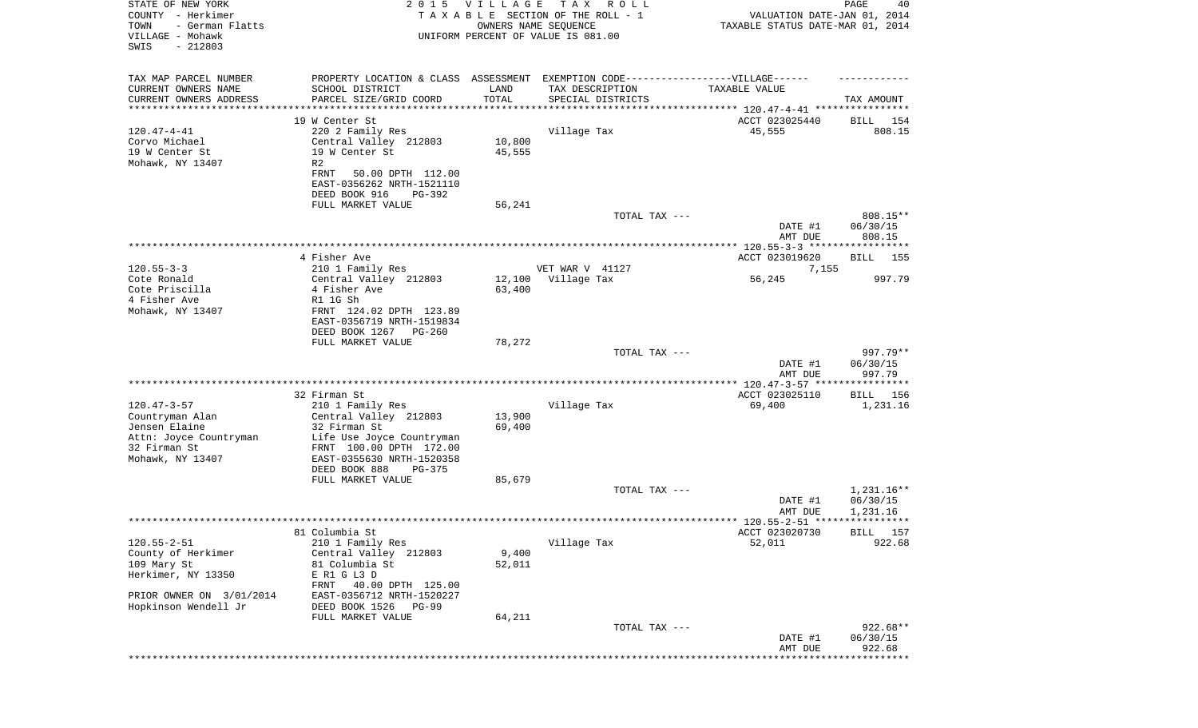| STATE OF NEW YORK<br>COUNTY - Herkimer<br>TOWN<br>- German Flatts<br>VILLAGE - Mohawk<br>SWIS<br>$-212803$ | 2 0 1 5                                                | <b>VILLAGE</b>        | T A X<br>R O L L<br>TAXABLE SECTION OF THE ROLL - 1<br>OWNERS NAME SEQUENCE<br>UNIFORM PERCENT OF VALUE IS 081.00 | VALUATION DATE-JAN 01, 2014<br>TAXABLE STATUS DATE-MAR 01, 2014 | PAGE<br>40               |
|------------------------------------------------------------------------------------------------------------|--------------------------------------------------------|-----------------------|-------------------------------------------------------------------------------------------------------------------|-----------------------------------------------------------------|--------------------------|
| TAX MAP PARCEL NUMBER                                                                                      |                                                        |                       | PROPERTY LOCATION & CLASS ASSESSMENT EXEMPTION CODE-----------------VILLAGE------                                 |                                                                 |                          |
| CURRENT OWNERS NAME                                                                                        | SCHOOL DISTRICT                                        | LAND<br>TOTAL         | TAX DESCRIPTION                                                                                                   | TAXABLE VALUE                                                   |                          |
| CURRENT OWNERS ADDRESS<br>********************                                                             | PARCEL SIZE/GRID COORD                                 | * * * * * * * * * * * | SPECIAL DISTRICTS                                                                                                 |                                                                 | TAX AMOUNT               |
|                                                                                                            | 19 W Center St                                         |                       |                                                                                                                   | ACCT 023025440                                                  | 154<br>BILL              |
| $120.47 - 4 - 41$                                                                                          | 220 2 Family Res                                       |                       | Village Tax                                                                                                       | 45,555                                                          | 808.15                   |
| Corvo Michael<br>19 W Center St                                                                            | Central Valley 212803<br>19 W Center St                | 10,800<br>45,555      |                                                                                                                   |                                                                 |                          |
| Mohawk, NY 13407                                                                                           | R2                                                     |                       |                                                                                                                   |                                                                 |                          |
|                                                                                                            | FRNT<br>50.00 DPTH 112.00                              |                       |                                                                                                                   |                                                                 |                          |
|                                                                                                            | EAST-0356262 NRTH-1521110                              |                       |                                                                                                                   |                                                                 |                          |
|                                                                                                            | DEED BOOK 916<br>PG-392<br>FULL MARKET VALUE           | 56,241                |                                                                                                                   |                                                                 |                          |
|                                                                                                            |                                                        |                       | TOTAL TAX ---                                                                                                     |                                                                 | 808.15**                 |
|                                                                                                            |                                                        |                       |                                                                                                                   | DATE #1                                                         | 06/30/15                 |
|                                                                                                            |                                                        |                       |                                                                                                                   | AMT DUE                                                         | 808.15                   |
|                                                                                                            | 4 Fisher Ave                                           |                       |                                                                                                                   | ACCT 023019620                                                  | BILL<br>155              |
| $120.55 - 3 - 3$                                                                                           | 210 1 Family Res                                       |                       | VET WAR V 41127                                                                                                   | 7,155                                                           |                          |
| Cote Ronald                                                                                                | Central Valley 212803                                  | 12,100                | Village Tax                                                                                                       | 56,245                                                          | 997.79                   |
| Cote Priscilla<br>4 Fisher Ave                                                                             | 4 Fisher Ave<br>R1 1G Sh                               | 63,400                |                                                                                                                   |                                                                 |                          |
| Mohawk, NY 13407                                                                                           | FRNT 124.02 DPTH 123.89                                |                       |                                                                                                                   |                                                                 |                          |
|                                                                                                            | EAST-0356719 NRTH-1519834                              |                       |                                                                                                                   |                                                                 |                          |
|                                                                                                            | DEED BOOK 1267 PG-260                                  |                       |                                                                                                                   |                                                                 |                          |
|                                                                                                            | FULL MARKET VALUE                                      | 78,272                | TOTAL TAX ---                                                                                                     |                                                                 | 997.79**                 |
|                                                                                                            |                                                        |                       |                                                                                                                   | DATE #1                                                         | 06/30/15                 |
|                                                                                                            |                                                        |                       |                                                                                                                   | AMT DUE                                                         | 997.79                   |
|                                                                                                            |                                                        |                       |                                                                                                                   |                                                                 | * * * * * * * * * * *    |
| $120.47 - 3 - 57$                                                                                          | 32 Firman St<br>210 1 Family Res                       |                       | Village Tax                                                                                                       | ACCT 023025110<br>69,400                                        | BILL<br>156<br>1,231.16  |
| Countryman Alan                                                                                            | Central Valley 212803                                  | 13,900                |                                                                                                                   |                                                                 |                          |
| Jensen Elaine                                                                                              | 32 Firman St                                           | 69,400                |                                                                                                                   |                                                                 |                          |
| Attn: Joyce Countryman<br>32 Firman St                                                                     | Life Use Joyce Countryman<br>FRNT 100.00 DPTH 172.00   |                       |                                                                                                                   |                                                                 |                          |
| Mohawk, NY 13407                                                                                           | EAST-0355630 NRTH-1520358                              |                       |                                                                                                                   |                                                                 |                          |
|                                                                                                            | DEED BOOK 888<br>PG-375                                |                       |                                                                                                                   |                                                                 |                          |
|                                                                                                            | FULL MARKET VALUE                                      | 85,679                |                                                                                                                   |                                                                 |                          |
|                                                                                                            |                                                        |                       | TOTAL TAX ---                                                                                                     | DATE #1                                                         | $1,231.16**$<br>06/30/15 |
|                                                                                                            |                                                        |                       |                                                                                                                   | AMT DUE                                                         | 1,231.16                 |
|                                                                                                            |                                                        |                       |                                                                                                                   |                                                                 |                          |
|                                                                                                            | 81 Columbia St                                         |                       |                                                                                                                   | ACCT 023020730                                                  | BILL 157                 |
| $120.55 - 2 - 51$<br>County of Herkimer                                                                    | 210 1 Family Res<br>Central Valley 212803              | 9,400                 | Village Tax                                                                                                       | 52,011                                                          | 922.68                   |
| 109 Mary St                                                                                                | 81 Columbia St                                         | 52,011                |                                                                                                                   |                                                                 |                          |
| Herkimer, NY 13350                                                                                         | E R1 G L3 D                                            |                       |                                                                                                                   |                                                                 |                          |
| PRIOR OWNER ON 3/01/2014                                                                                   | FRNT<br>40.00 DPTH 125.00<br>EAST-0356712 NRTH-1520227 |                       |                                                                                                                   |                                                                 |                          |
| Hopkinson Wendell Jr                                                                                       | DEED BOOK 1526<br>PG-99                                |                       |                                                                                                                   |                                                                 |                          |
|                                                                                                            | FULL MARKET VALUE                                      | 64,211                |                                                                                                                   |                                                                 |                          |
|                                                                                                            |                                                        |                       | TOTAL TAX ---                                                                                                     |                                                                 | 922.68**                 |
|                                                                                                            |                                                        |                       |                                                                                                                   | DATE #1<br>AMT DUE                                              | 06/30/15<br>922.68       |
|                                                                                                            |                                                        |                       |                                                                                                                   |                                                                 | **********               |
|                                                                                                            |                                                        |                       |                                                                                                                   |                                                                 |                          |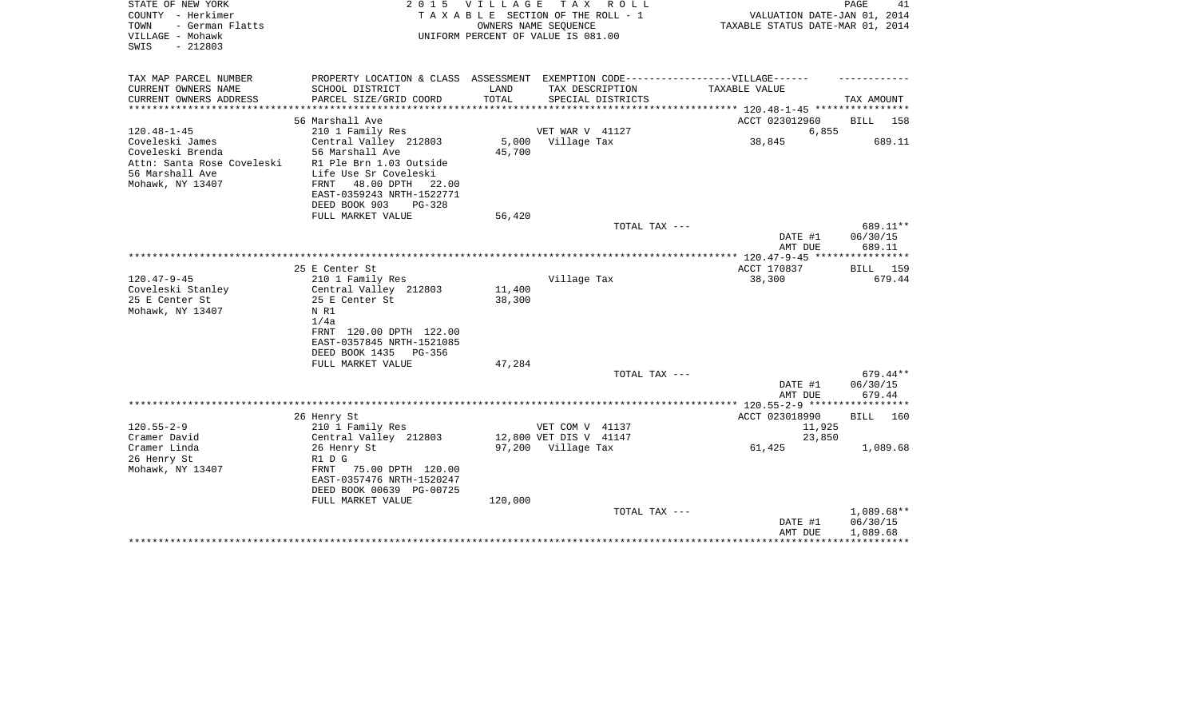| STATE OF NEW YORK<br>COUNTY - Herkimer<br>- German Flatts<br>TOWN<br>VILLAGE - Mohawk<br>$-212803$<br>SWIS |                                                                                                                                                                                            | 2015 VILLAGE         | TAX ROLL<br>TAXABLE SECTION OF THE ROLL - 1<br>OWNERS NAME SEQUENCE<br>UNIFORM PERCENT OF VALUE IS 081.00 | VALUATION DATE-JAN 01, 2014<br>TAXABLE STATUS DATE-MAR 01, 2014 | PAGE<br>41                       |
|------------------------------------------------------------------------------------------------------------|--------------------------------------------------------------------------------------------------------------------------------------------------------------------------------------------|----------------------|-----------------------------------------------------------------------------------------------------------|-----------------------------------------------------------------|----------------------------------|
| TAX MAP PARCEL NUMBER                                                                                      |                                                                                                                                                                                            |                      | PROPERTY LOCATION & CLASS ASSESSMENT EXEMPTION CODE-----------------VILLAGE------                         |                                                                 |                                  |
| CURRENT OWNERS NAME<br>CURRENT OWNERS ADDRESS<br>*********************                                     | SCHOOL DISTRICT<br>PARCEL SIZE/GRID COORD<br>************************                                                                                                                      | LAND<br><b>TOTAL</b> | TAX DESCRIPTION<br>SPECIAL DISTRICTS                                                                      | TAXABLE VALUE                                                   | TAX AMOUNT                       |
|                                                                                                            | 56 Marshall Ave                                                                                                                                                                            |                      |                                                                                                           | ACCT 023012960                                                  | <b>BILL</b><br>158               |
| $120.48 - 1 - 45$                                                                                          | 210 1 Family Res                                                                                                                                                                           |                      | VET WAR V 41127                                                                                           | 6,855                                                           |                                  |
| Coveleski James<br>Coveleski Brenda<br>Attn: Santa Rose Coveleski<br>56 Marshall Ave<br>Mohawk, NY 13407   | Central Valley 212803<br>56 Marshall Ave<br>R1 Ple Brn 1.03 Outside<br>Life Use Sr Coveleski<br>48.00 DPTH<br>FRNT<br>22.00<br>EAST-0359243 NRTH-1522771<br>DEED BOOK 903<br><b>PG-328</b> | 5,000<br>45,700      | Village Tax                                                                                               | 38,845                                                          | 689.11                           |
|                                                                                                            | FULL MARKET VALUE                                                                                                                                                                          | 56,420               |                                                                                                           |                                                                 |                                  |
|                                                                                                            |                                                                                                                                                                                            |                      | TOTAL TAX ---                                                                                             | DATE #1<br>AMT DUE                                              | 689.11**<br>06/30/15<br>689.11   |
|                                                                                                            |                                                                                                                                                                                            |                      |                                                                                                           | *********** 120.47-9-45 *****************                       |                                  |
|                                                                                                            | 25 E Center St                                                                                                                                                                             |                      |                                                                                                           | ACCT 170837                                                     | <b>BILL</b><br>159               |
| $120.47 - 9 - 45$<br>Coveleski Stanley<br>25 E Center St<br>Mohawk, NY 13407                               | 210 1 Family Res<br>Central Valley 212803<br>25 E Center St<br>N R1<br>1/4a<br>FRNT 120.00 DPTH 122.00<br>EAST-0357845 NRTH-1521085<br>DEED BOOK 1435<br>PG-356                            | 11,400<br>38,300     | Village Tax                                                                                               | 38,300                                                          | 679.44                           |
|                                                                                                            | FULL MARKET VALUE                                                                                                                                                                          | 47,284               |                                                                                                           |                                                                 |                                  |
|                                                                                                            |                                                                                                                                                                                            |                      | TOTAL TAX ---                                                                                             | DATE #1<br>AMT DUE                                              | $679.44**$<br>06/30/15<br>679.44 |
|                                                                                                            |                                                                                                                                                                                            |                      |                                                                                                           |                                                                 |                                  |
| $120.55 - 2 - 9$                                                                                           | 26 Henry St<br>210 1 Family Res                                                                                                                                                            |                      | VET COM V 41137                                                                                           | ACCT 023018990<br>11,925                                        | <b>BILL</b><br>160               |
| Cramer David                                                                                               | Central Valley 212803                                                                                                                                                                      |                      | 12,800 VET DIS V 41147                                                                                    | 23,850                                                          |                                  |
| Cramer Linda<br>26 Henry St<br>Mohawk, NY 13407                                                            | 26 Henry St<br>R1 D G<br>75.00 DPTH 120.00<br>FRNT<br>EAST-0357476 NRTH-1520247<br>DEED BOOK 00639 PG-00725<br>FULL MARKET VALUE                                                           | 120,000              | 97,200 Village Tax                                                                                        | 61,425                                                          | 1,089.68                         |
|                                                                                                            |                                                                                                                                                                                            |                      | TOTAL TAX ---                                                                                             |                                                                 | 1,089.68**                       |
|                                                                                                            |                                                                                                                                                                                            |                      |                                                                                                           | DATE #1                                                         | 06/30/15                         |
|                                                                                                            |                                                                                                                                                                                            |                      |                                                                                                           | AMT DUE                                                         | 1,089.68                         |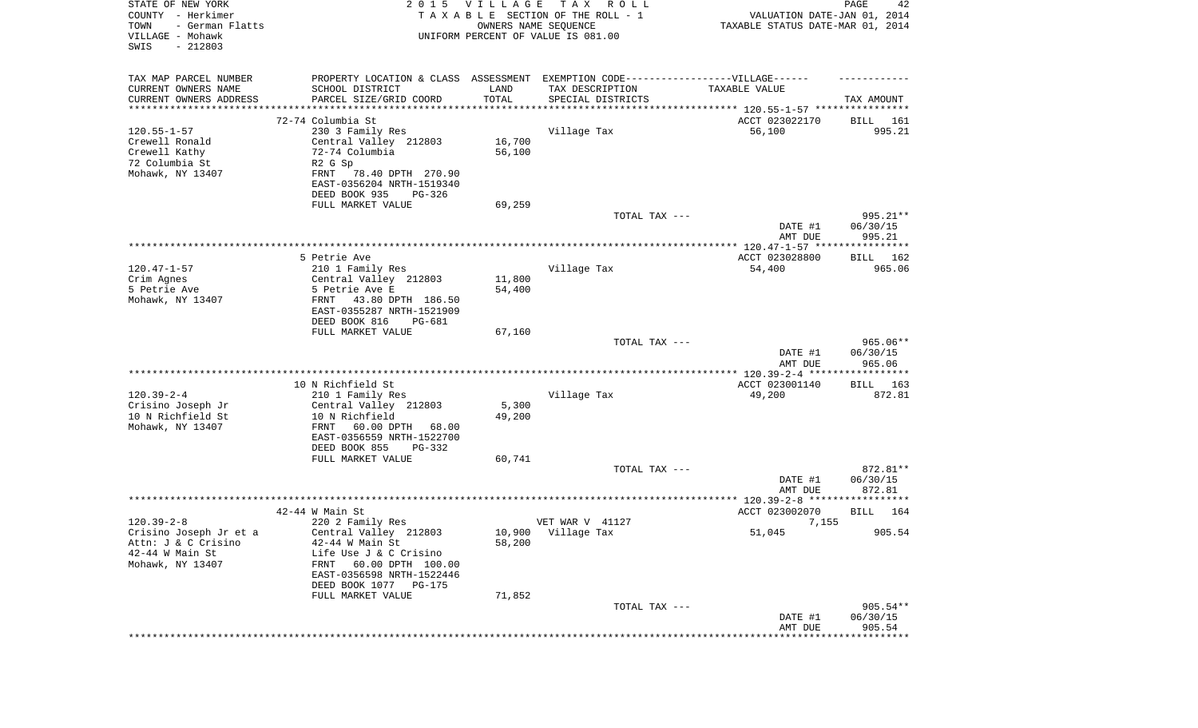| STATE OF NEW YORK<br>COUNTY - Herkimer<br>- German Flatts<br>TOWN<br>VILLAGE - Mohawk<br>SWIS<br>$-212803$ |                                                                                                                               | 2015 VILLAGE<br>OWNERS NAME SEQUENCE | T A X<br>R O L L<br>TAXABLE SECTION OF THE ROLL - 1<br>UNIFORM PERCENT OF VALUE IS 081.00 | VALUATION DATE-JAN 01, 2014<br>TAXABLE STATUS DATE-MAR 01, 2014 | PAGE<br>42                     |
|------------------------------------------------------------------------------------------------------------|-------------------------------------------------------------------------------------------------------------------------------|--------------------------------------|-------------------------------------------------------------------------------------------|-----------------------------------------------------------------|--------------------------------|
| TAX MAP PARCEL NUMBER<br>CURRENT OWNERS NAME<br>CURRENT OWNERS ADDRESS                                     | PROPERTY LOCATION & CLASS ASSESSMENT EXEMPTION CODE----------------VILLAGE------<br>SCHOOL DISTRICT<br>PARCEL SIZE/GRID COORD | LAND<br>TOTAL                        | TAX DESCRIPTION<br>SPECIAL DISTRICTS                                                      | TAXABLE VALUE                                                   | TAX AMOUNT                     |
| *******************                                                                                        |                                                                                                                               |                                      |                                                                                           | ********************************* 120.55-1-57 ****************  |                                |
|                                                                                                            | 72-74 Columbia St                                                                                                             |                                      |                                                                                           | ACCT 023022170                                                  | BILL<br>161                    |
| $120.55 - 1 - 57$                                                                                          | 230 3 Family Res                                                                                                              |                                      | Village Tax                                                                               | 56,100                                                          | 995.21                         |
| Crewell Ronald                                                                                             | Central Valley 212803                                                                                                         | 16,700                               |                                                                                           |                                                                 |                                |
| Crewell Kathy                                                                                              | 72-74 Columbia                                                                                                                | 56,100                               |                                                                                           |                                                                 |                                |
| 72 Columbia St                                                                                             | R2 G Sp                                                                                                                       |                                      |                                                                                           |                                                                 |                                |
| Mohawk, NY 13407                                                                                           | 78.40 DPTH 270.90<br>FRNT                                                                                                     |                                      |                                                                                           |                                                                 |                                |
|                                                                                                            | EAST-0356204 NRTH-1519340                                                                                                     |                                      |                                                                                           |                                                                 |                                |
|                                                                                                            | DEED BOOK 935<br>PG-326                                                                                                       |                                      |                                                                                           |                                                                 |                                |
|                                                                                                            | FULL MARKET VALUE                                                                                                             | 69,259                               |                                                                                           |                                                                 |                                |
|                                                                                                            |                                                                                                                               |                                      | TOTAL TAX ---                                                                             | DATE #1<br>AMT DUE                                              | 995.21**<br>06/30/15<br>995.21 |
|                                                                                                            |                                                                                                                               |                                      |                                                                                           |                                                                 |                                |
|                                                                                                            | 5 Petrie Ave                                                                                                                  |                                      |                                                                                           | ACCT 023028800                                                  | BILL 162                       |
| $120.47 - 1 - 57$                                                                                          | 210 1 Family Res                                                                                                              |                                      | Village Tax                                                                               | 54,400                                                          | 965.06                         |
| Crim Agnes                                                                                                 | Central Valley 212803                                                                                                         | 11,800                               |                                                                                           |                                                                 |                                |
| 5 Petrie Ave                                                                                               | 5 Petrie Ave E                                                                                                                | 54,400                               |                                                                                           |                                                                 |                                |
| Mohawk, NY 13407                                                                                           | 43.80 DPTH 186.50<br>FRNT<br>EAST-0355287 NRTH-1521909                                                                        |                                      |                                                                                           |                                                                 |                                |
|                                                                                                            | DEED BOOK 816<br>PG-681                                                                                                       |                                      |                                                                                           |                                                                 |                                |
|                                                                                                            | FULL MARKET VALUE                                                                                                             | 67,160                               |                                                                                           |                                                                 | 965.06**                       |
|                                                                                                            |                                                                                                                               |                                      | TOTAL TAX ---                                                                             | DATE #1<br>AMT DUE                                              | 06/30/15<br>965.06             |
|                                                                                                            |                                                                                                                               |                                      |                                                                                           | ************** 120.39-2-4 ******************                    |                                |
|                                                                                                            | 10 N Richfield St                                                                                                             |                                      |                                                                                           | ACCT 023001140                                                  | 163<br>BILL                    |
| $120.39 - 2 - 4$                                                                                           | 210 1 Family Res                                                                                                              |                                      | Village Tax                                                                               | 49,200                                                          | 872.81                         |
| Crisino Joseph Jr                                                                                          | Central Valley 212803                                                                                                         | 5,300                                |                                                                                           |                                                                 |                                |
| 10 N Richfield St                                                                                          | 10 N Richfield                                                                                                                | 49,200                               |                                                                                           |                                                                 |                                |
| Mohawk, NY 13407                                                                                           | FRNT<br>60.00 DPTH<br>68.00<br>EAST-0356559 NRTH-1522700                                                                      |                                      |                                                                                           |                                                                 |                                |
|                                                                                                            | DEED BOOK 855<br>PG-332                                                                                                       |                                      |                                                                                           |                                                                 |                                |
|                                                                                                            | FULL MARKET VALUE                                                                                                             | 60,741                               |                                                                                           |                                                                 | 872.81**                       |
|                                                                                                            |                                                                                                                               |                                      | TOTAL TAX ---                                                                             | DATE #1<br>AMT DUE                                              | 06/30/15<br>872.81             |
|                                                                                                            |                                                                                                                               |                                      |                                                                                           |                                                                 |                                |
|                                                                                                            | $42-44$ W Main St                                                                                                             |                                      |                                                                                           | ACCT 023002070                                                  | 164<br>BILL                    |
| $120.39 - 2 - 8$                                                                                           | 220 2 Family Res                                                                                                              |                                      | VET WAR V 41127                                                                           | 7,155                                                           |                                |
| Crisino Joseph Jr et a                                                                                     | Central Valley 212803                                                                                                         |                                      | 10,900 Village Tax                                                                        | 51,045                                                          | 905.54                         |
| Attn: J & C Crisino                                                                                        | $42-44$ W Main St                                                                                                             | 58,200                               |                                                                                           |                                                                 |                                |
| $42-44$ W Main St                                                                                          | Life Use J & C Crisino                                                                                                        |                                      |                                                                                           |                                                                 |                                |
| Mohawk, NY 13407                                                                                           | 60.00 DPTH 100.00<br>FRNT                                                                                                     |                                      |                                                                                           |                                                                 |                                |
|                                                                                                            | EAST-0356598 NRTH-1522446                                                                                                     |                                      |                                                                                           |                                                                 |                                |
|                                                                                                            | DEED BOOK 1077 PG-175                                                                                                         |                                      |                                                                                           |                                                                 |                                |
|                                                                                                            | FULL MARKET VALUE                                                                                                             | 71,852                               |                                                                                           |                                                                 |                                |
|                                                                                                            |                                                                                                                               |                                      | TOTAL TAX ---                                                                             |                                                                 | 905.54**                       |
|                                                                                                            |                                                                                                                               |                                      |                                                                                           | DATE #1<br>AMT DUE                                              | 06/30/15<br>905.54             |
|                                                                                                            |                                                                                                                               |                                      |                                                                                           |                                                                 | ************                   |
|                                                                                                            |                                                                                                                               |                                      |                                                                                           |                                                                 |                                |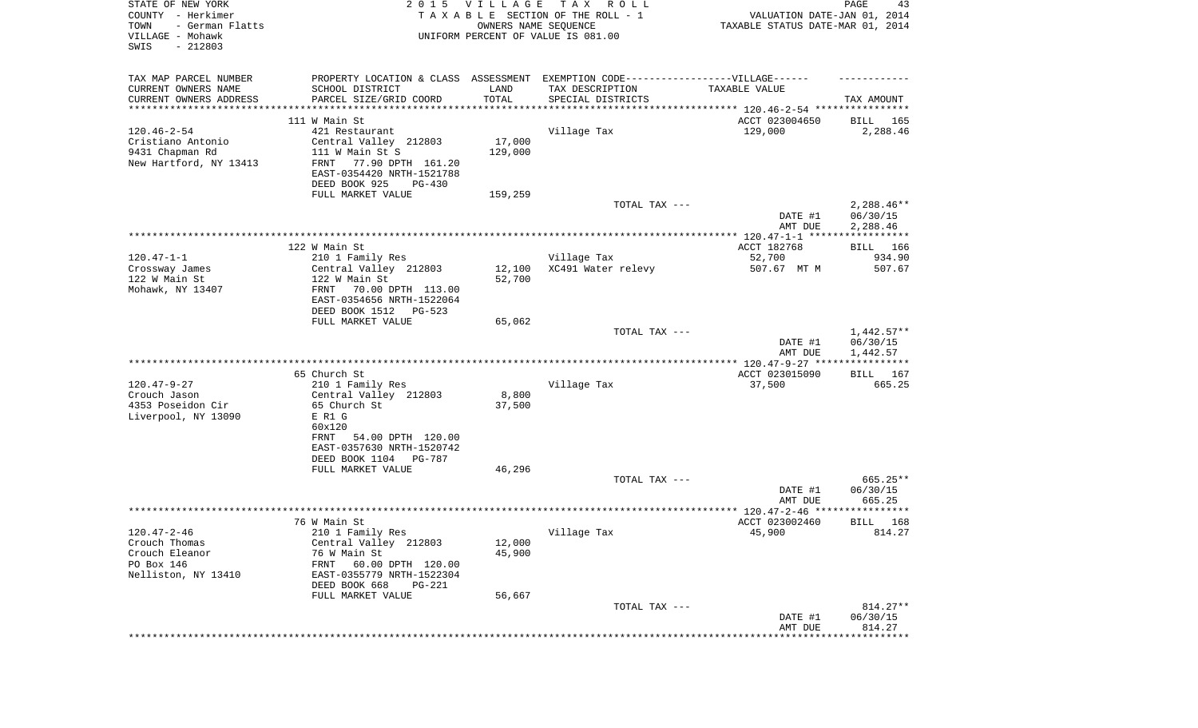| STATE OF NEW YORK<br>COUNTY - Herkimer<br>TOWN<br>- German Flatts<br>VILLAGE - Mohawk<br>SWIS<br>$-212803$ |                                                                                                      | 2015 VILLAGE<br>OWNERS NAME SEQUENCE | T A X<br>R O L L<br>TAXABLE SECTION OF THE ROLL - 1<br>UNIFORM PERCENT OF VALUE IS 081.00 | VALUATION DATE-JAN 01, 2014<br>TAXABLE STATUS DATE-MAR 01, 2014 | PAGE<br>43           |
|------------------------------------------------------------------------------------------------------------|------------------------------------------------------------------------------------------------------|--------------------------------------|-------------------------------------------------------------------------------------------|-----------------------------------------------------------------|----------------------|
| TAX MAP PARCEL NUMBER<br>CURRENT OWNERS NAME                                                               | PROPERTY LOCATION & CLASS ASSESSMENT EXEMPTION CODE-----------------VILLAGE------<br>SCHOOL DISTRICT | LAND                                 | TAX DESCRIPTION                                                                           | TAXABLE VALUE                                                   |                      |
| CURRENT OWNERS ADDRESS<br>*********************                                                            | PARCEL SIZE/GRID COORD<br>***********************                                                    | TOTAL<br>* * * * * * * * * * *       | SPECIAL DISTRICTS<br>********************************* 120.46-2-54 ****************       |                                                                 | TAX AMOUNT           |
|                                                                                                            | 111 W Main St                                                                                        |                                      |                                                                                           | ACCT 023004650                                                  | BILL<br>165          |
| $120.46 - 2 - 54$                                                                                          | 421 Restaurant                                                                                       |                                      | Village Tax                                                                               | 129,000                                                         | 2,288.46             |
| Cristiano Antonio                                                                                          | Central Valley 212803                                                                                | 17,000                               |                                                                                           |                                                                 |                      |
| 9431 Chapman Rd                                                                                            | 111 W Main St S                                                                                      | 129,000                              |                                                                                           |                                                                 |                      |
| New Hartford, NY 13413                                                                                     | FRNT<br>77.90 DPTH 161.20                                                                            |                                      |                                                                                           |                                                                 |                      |
|                                                                                                            | EAST-0354420 NRTH-1521788                                                                            |                                      |                                                                                           |                                                                 |                      |
|                                                                                                            | DEED BOOK 925<br>PG-430                                                                              |                                      |                                                                                           |                                                                 |                      |
|                                                                                                            | FULL MARKET VALUE                                                                                    | 159,259                              | TOTAL TAX ---                                                                             |                                                                 | $2,288.46**$         |
|                                                                                                            |                                                                                                      |                                      |                                                                                           | DATE #1<br>AMT DUE                                              | 06/30/15<br>2,288.46 |
|                                                                                                            |                                                                                                      |                                      |                                                                                           |                                                                 |                      |
|                                                                                                            | 122 W Main St                                                                                        |                                      |                                                                                           | ACCT 182768                                                     | BILL 166             |
| $120.47 - 1 - 1$                                                                                           | 210 1 Family Res                                                                                     |                                      | Village Tax                                                                               | 52,700                                                          | 934.90               |
| Crossway James                                                                                             | Central Valley 212803                                                                                | 12,100                               | XC491 Water relevy                                                                        | 507.67 MT M                                                     | 507.67               |
| 122 W Main St<br>Mohawk, NY 13407                                                                          | 122 W Main St<br>70.00 DPTH 113.00<br>FRNT                                                           | 52,700                               |                                                                                           |                                                                 |                      |
|                                                                                                            | EAST-0354656 NRTH-1522064                                                                            |                                      |                                                                                           |                                                                 |                      |
|                                                                                                            | DEED BOOK 1512<br>PG-523                                                                             |                                      |                                                                                           |                                                                 |                      |
|                                                                                                            | FULL MARKET VALUE                                                                                    | 65,062                               |                                                                                           |                                                                 |                      |
|                                                                                                            |                                                                                                      |                                      | TOTAL TAX ---                                                                             |                                                                 | $1,442.57**$         |
|                                                                                                            |                                                                                                      |                                      |                                                                                           | DATE #1<br>AMT DUE                                              | 06/30/15<br>1,442.57 |
|                                                                                                            |                                                                                                      |                                      |                                                                                           |                                                                 |                      |
|                                                                                                            | 65 Church St                                                                                         |                                      |                                                                                           | ACCT 023015090                                                  | BILL 167             |
| $120.47 - 9 - 27$                                                                                          | 210 1 Family Res                                                                                     |                                      | Village Tax                                                                               | 37,500                                                          | 665.25               |
| Crouch Jason                                                                                               | Central Valley 212803                                                                                | 8,800                                |                                                                                           |                                                                 |                      |
| 4353 Poseidon Cir                                                                                          | 65 Church St                                                                                         | 37,500                               |                                                                                           |                                                                 |                      |
| Liverpool, NY 13090                                                                                        | E R1 G<br>60x120                                                                                     |                                      |                                                                                           |                                                                 |                      |
|                                                                                                            | FRNT<br>54.00 DPTH 120.00                                                                            |                                      |                                                                                           |                                                                 |                      |
|                                                                                                            | EAST-0357630 NRTH-1520742                                                                            |                                      |                                                                                           |                                                                 |                      |
|                                                                                                            | DEED BOOK 1104 PG-787                                                                                |                                      |                                                                                           |                                                                 |                      |
|                                                                                                            | FULL MARKET VALUE                                                                                    | 46,296                               |                                                                                           |                                                                 |                      |
|                                                                                                            |                                                                                                      |                                      | TOTAL TAX ---                                                                             |                                                                 | 665.25**             |
|                                                                                                            |                                                                                                      |                                      |                                                                                           | DATE #1<br>AMT DUE                                              | 06/30/15<br>665.25   |
|                                                                                                            |                                                                                                      |                                      |                                                                                           |                                                                 |                      |
|                                                                                                            | 76 W Main St                                                                                         |                                      |                                                                                           | ACCT 023002460                                                  | 168<br>BILL          |
| 120.47-2-46                                                                                                | 210 1 Family Res                                                                                     |                                      | Village Tax                                                                               | 45,900                                                          | 814.27               |
| Crouch Thomas                                                                                              | Central Valley 212803                                                                                | 12,000                               |                                                                                           |                                                                 |                      |
| Crouch Eleanor<br>PO Box 146                                                                               | 76 W Main St                                                                                         | 45,900                               |                                                                                           |                                                                 |                      |
| Nelliston, NY 13410                                                                                        | FRNT<br>60.00 DPTH 120.00<br>EAST-0355779 NRTH-1522304                                               |                                      |                                                                                           |                                                                 |                      |
|                                                                                                            | DEED BOOK 668<br><b>PG-221</b>                                                                       |                                      |                                                                                           |                                                                 |                      |
|                                                                                                            | FULL MARKET VALUE                                                                                    | 56,667                               |                                                                                           |                                                                 |                      |
|                                                                                                            |                                                                                                      |                                      | TOTAL TAX ---                                                                             |                                                                 | 814.27**             |
|                                                                                                            |                                                                                                      |                                      |                                                                                           | DATE #1                                                         | 06/30/15             |
|                                                                                                            |                                                                                                      |                                      |                                                                                           | AMT DUE                                                         | 814.27               |
|                                                                                                            |                                                                                                      |                                      |                                                                                           |                                                                 |                      |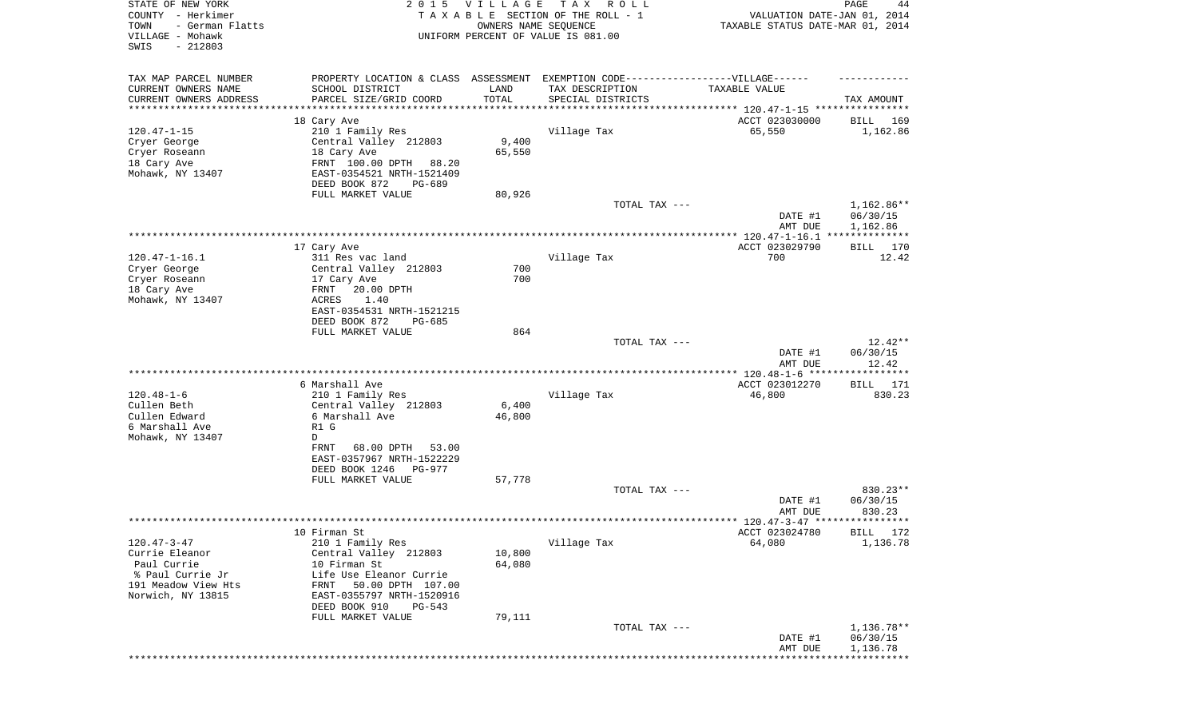| STATE OF NEW YORK<br>COUNTY - Herkimer<br>- German Flatts<br>TOWN<br>VILLAGE - Mohawk<br>SWIS<br>$-212803$ | 2 0 1 5                                                                           | <b>VILLAGE</b><br>OWNERS NAME SEQUENCE | T A X<br>R O L L<br>TAXABLE SECTION OF THE ROLL - 1<br>UNIFORM PERCENT OF VALUE IS 081.00 | VALUATION DATE-JAN 01, 2014<br>TAXABLE STATUS DATE-MAR 01, 2014 | PAGE<br>44               |
|------------------------------------------------------------------------------------------------------------|-----------------------------------------------------------------------------------|----------------------------------------|-------------------------------------------------------------------------------------------|-----------------------------------------------------------------|--------------------------|
| TAX MAP PARCEL NUMBER                                                                                      | PROPERTY LOCATION & CLASS ASSESSMENT EXEMPTION CODE-----------------VILLAGE------ |                                        |                                                                                           |                                                                 |                          |
| CURRENT OWNERS NAME                                                                                        | SCHOOL DISTRICT                                                                   | LAND                                   | TAX DESCRIPTION                                                                           | TAXABLE VALUE                                                   |                          |
| CURRENT OWNERS ADDRESS<br>*********************                                                            | PARCEL SIZE/GRID COORD                                                            | TOTAL                                  | SPECIAL DISTRICTS                                                                         |                                                                 | TAX AMOUNT               |
|                                                                                                            | 18 Cary Ave                                                                       |                                        |                                                                                           | ACCT 023030000                                                  | 169<br>BILL              |
| $120.47 - 1 - 15$                                                                                          | 210 1 Family Res                                                                  |                                        | Village Tax                                                                               | 65,550                                                          | 1,162.86                 |
| Cryer George                                                                                               | Central Valley 212803                                                             | 9,400                                  |                                                                                           |                                                                 |                          |
| Cryer Roseann                                                                                              | 18 Cary Ave                                                                       | 65,550                                 |                                                                                           |                                                                 |                          |
| 18 Cary Ave                                                                                                | FRNT 100.00 DPTH 88.20                                                            |                                        |                                                                                           |                                                                 |                          |
| Mohawk, NY 13407                                                                                           | EAST-0354521 NRTH-1521409                                                         |                                        |                                                                                           |                                                                 |                          |
|                                                                                                            | DEED BOOK 872<br>PG-689<br>FULL MARKET VALUE                                      | 80,926                                 |                                                                                           |                                                                 |                          |
|                                                                                                            |                                                                                   |                                        | TOTAL TAX ---                                                                             |                                                                 | $1,162.86**$             |
|                                                                                                            |                                                                                   |                                        |                                                                                           | DATE #1<br>AMT DUE                                              | 06/30/15<br>1,162.86     |
|                                                                                                            |                                                                                   |                                        |                                                                                           |                                                                 |                          |
| $120.47 - 1 - 16.1$                                                                                        | 17 Cary Ave<br>311 Res vac land                                                   |                                        | Village Tax                                                                               | ACCT 023029790<br>700                                           | 170<br>BILL<br>12.42     |
| Cryer George                                                                                               | Central Valley 212803                                                             | 700                                    |                                                                                           |                                                                 |                          |
| Cryer Roseann                                                                                              | 17 Cary Ave                                                                       | 700                                    |                                                                                           |                                                                 |                          |
| 18 Cary Ave                                                                                                | 20.00 DPTH<br>FRNT                                                                |                                        |                                                                                           |                                                                 |                          |
| Mohawk, NY 13407                                                                                           | ACRES<br>1.40                                                                     |                                        |                                                                                           |                                                                 |                          |
|                                                                                                            | EAST-0354531 NRTH-1521215                                                         |                                        |                                                                                           |                                                                 |                          |
|                                                                                                            | DEED BOOK 872<br>PG-685<br>FULL MARKET VALUE                                      | 864                                    |                                                                                           |                                                                 |                          |
|                                                                                                            |                                                                                   |                                        | TOTAL TAX ---                                                                             |                                                                 | $12.42**$                |
|                                                                                                            |                                                                                   |                                        |                                                                                           | DATE #1<br>AMT DUE                                              | 06/30/15<br>12.42        |
|                                                                                                            |                                                                                   |                                        |                                                                                           | ************* 120.48-1-6 ******************                     |                          |
|                                                                                                            | 6 Marshall Ave                                                                    |                                        |                                                                                           | ACCT 023012270                                                  | 171<br>BILL              |
| $120.48 - 1 - 6$<br>Cullen Beth                                                                            | 210 1 Family Res<br>Central Valley 212803                                         | 6,400                                  | Village Tax                                                                               | 46,800                                                          | 830.23                   |
| Cullen Edward                                                                                              | 6 Marshall Ave                                                                    | 46,800                                 |                                                                                           |                                                                 |                          |
| 6 Marshall Ave                                                                                             | R1 G                                                                              |                                        |                                                                                           |                                                                 |                          |
| Mohawk, NY 13407                                                                                           | D                                                                                 |                                        |                                                                                           |                                                                 |                          |
|                                                                                                            | 68.00 DPTH<br>53.00<br>FRNT                                                       |                                        |                                                                                           |                                                                 |                          |
|                                                                                                            | EAST-0357967 NRTH-1522229                                                         |                                        |                                                                                           |                                                                 |                          |
|                                                                                                            | DEED BOOK 1246<br>PG-977                                                          |                                        |                                                                                           |                                                                 |                          |
|                                                                                                            | FULL MARKET VALUE                                                                 | 57,778                                 | TOTAL TAX ---                                                                             |                                                                 | 830.23**                 |
|                                                                                                            |                                                                                   |                                        |                                                                                           | DATE #1                                                         | 06/30/15                 |
|                                                                                                            |                                                                                   |                                        |                                                                                           | AMT DUE                                                         | 830.23                   |
|                                                                                                            |                                                                                   |                                        |                                                                                           |                                                                 |                          |
|                                                                                                            | 10 Firman St                                                                      |                                        |                                                                                           | ACCT 023024780                                                  | BILL 172                 |
| $120.47 - 3 - 47$                                                                                          | 210 1 Family Res                                                                  |                                        | Village Tax                                                                               | 64,080                                                          | 1,136.78                 |
| Currie Eleanor<br>Paul Currie                                                                              | Central Valley 212803<br>10 Firman St                                             | 10,800<br>64,080                       |                                                                                           |                                                                 |                          |
| % Paul Currie Jr                                                                                           | Life Use Eleanor Currie                                                           |                                        |                                                                                           |                                                                 |                          |
| 191 Meadow View Hts                                                                                        | 50.00 DPTH 107.00<br>FRNT                                                         |                                        |                                                                                           |                                                                 |                          |
| Norwich, NY 13815                                                                                          | EAST-0355797 NRTH-1520916                                                         |                                        |                                                                                           |                                                                 |                          |
|                                                                                                            | DEED BOOK 910<br>PG-543                                                           |                                        |                                                                                           |                                                                 |                          |
|                                                                                                            | FULL MARKET VALUE                                                                 | 79,111                                 |                                                                                           |                                                                 |                          |
|                                                                                                            |                                                                                   |                                        | TOTAL TAX ---                                                                             |                                                                 | $1,136.78**$<br>06/30/15 |
|                                                                                                            |                                                                                   |                                        |                                                                                           | DATE #1<br>AMT DUE                                              | 1,136.78                 |
|                                                                                                            |                                                                                   |                                        |                                                                                           |                                                                 | * * * * * * * * * * *    |
|                                                                                                            |                                                                                   |                                        |                                                                                           |                                                                 |                          |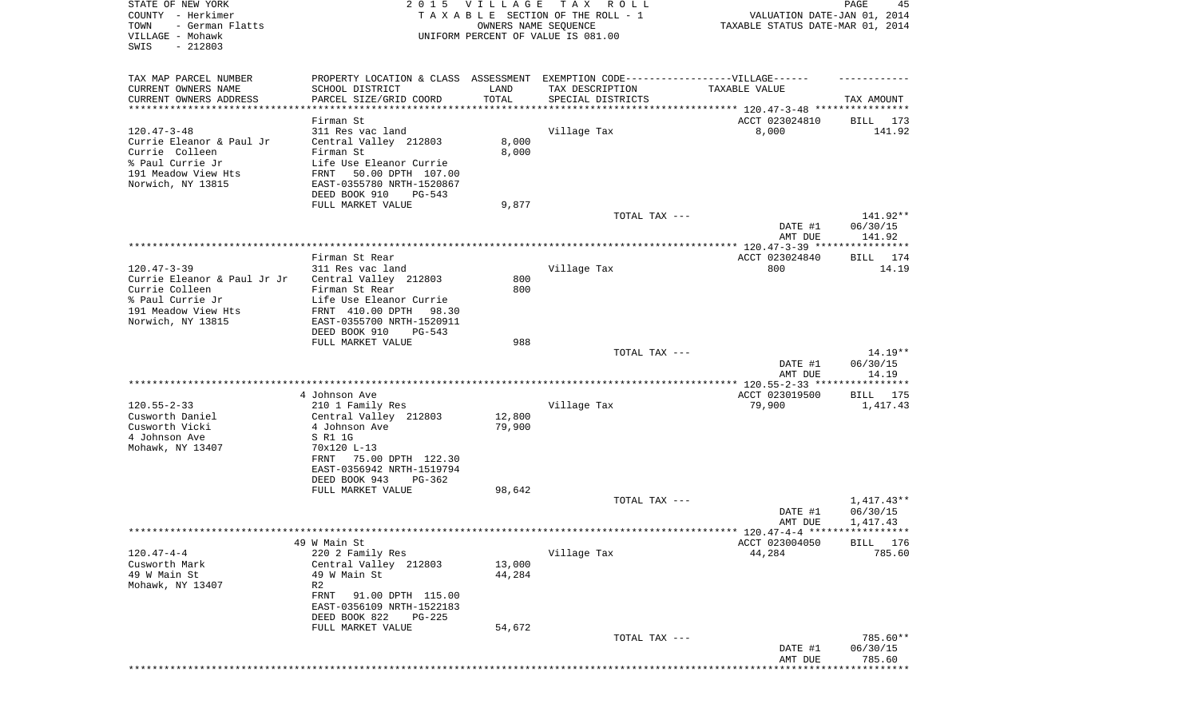| STATE OF NEW YORK<br>COUNTY - Herkimer<br>TOWN<br>- German Flatts<br>VILLAGE - Mohawk<br>SWIS<br>$-212803$                      | 2 0 1 5                                                                                                                                                                | VILLAGE<br>OWNERS NAME SEQUENCE | TAX ROLL<br>TAXABLE SECTION OF THE ROLL - 1<br>UNIFORM PERCENT OF VALUE IS 081.00 | VALUATION DATE-JAN 01, 2014<br>TAXABLE STATUS DATE-MAR 01, 2014 | PAGE<br>45                     |
|---------------------------------------------------------------------------------------------------------------------------------|------------------------------------------------------------------------------------------------------------------------------------------------------------------------|---------------------------------|-----------------------------------------------------------------------------------|-----------------------------------------------------------------|--------------------------------|
| TAX MAP PARCEL NUMBER                                                                                                           |                                                                                                                                                                        |                                 | PROPERTY LOCATION & CLASS ASSESSMENT EXEMPTION CODE-----------------VILLAGE------ |                                                                 |                                |
| CURRENT OWNERS NAME<br>CURRENT OWNERS ADDRESS<br>********************                                                           | SCHOOL DISTRICT<br>PARCEL SIZE/GRID COORD                                                                                                                              | LAND<br>TOTAL                   | TAX DESCRIPTION<br>SPECIAL DISTRICTS                                              | TAXABLE VALUE                                                   | TAX AMOUNT                     |
|                                                                                                                                 | Firman St                                                                                                                                                              |                                 |                                                                                   | ACCT 023024810                                                  | 173<br>BILL                    |
| $120.47 - 3 - 48$<br>Currie Eleanor & Paul Jr<br>Currie Colleen<br>% Paul Currie Jr<br>191 Meadow View Hts<br>Norwich, NY 13815 | 311 Res vac land<br>Central Valley 212803<br>Firman St<br>Life Use Eleanor Currie<br>50.00 DPTH 107.00<br>FRNT<br>EAST-0355780 NRTH-1520867<br>DEED BOOK 910<br>PG-543 | 8,000<br>8,000                  | Village Tax                                                                       | 8,000                                                           | 141.92                         |
|                                                                                                                                 | FULL MARKET VALUE                                                                                                                                                      | 9,877                           |                                                                                   |                                                                 |                                |
|                                                                                                                                 |                                                                                                                                                                        |                                 | TOTAL TAX ---                                                                     | DATE #1<br>AMT DUE                                              | 141.92**<br>06/30/15<br>141.92 |
|                                                                                                                                 |                                                                                                                                                                        |                                 |                                                                                   |                                                                 |                                |
| $120.47 - 3 - 39$                                                                                                               | Firman St Rear<br>311 Res vac land                                                                                                                                     |                                 | Village Tax                                                                       | ACCT 023024840<br>800                                           | BILL 174<br>14.19              |
| Currie Eleanor & Paul Jr Jr<br>Currie Colleen<br>% Paul Currie Jr<br>191 Meadow View Hts<br>Norwich, NY 13815                   | Central Valley 212803<br>Firman St Rear<br>Life Use Eleanor Currie<br>FRNT 410.00 DPTH<br>98.30<br>EAST-0355700 NRTH-1520911<br>DEED BOOK 910<br>$PG-543$              | 800<br>800                      |                                                                                   |                                                                 |                                |
|                                                                                                                                 | FULL MARKET VALUE                                                                                                                                                      | 988                             |                                                                                   |                                                                 |                                |
|                                                                                                                                 |                                                                                                                                                                        |                                 | TOTAL TAX ---                                                                     | DATE #1<br>AMT DUE                                              | 14.19**<br>06/30/15<br>14.19   |
|                                                                                                                                 |                                                                                                                                                                        |                                 |                                                                                   |                                                                 | * * * * * * * * * * *          |
|                                                                                                                                 | 4 Johnson Ave                                                                                                                                                          |                                 |                                                                                   | ACCT 023019500                                                  | BILL 175                       |
| $120.55 - 2 - 33$                                                                                                               | 210 1 Family Res                                                                                                                                                       |                                 | Village Tax                                                                       | 79,900                                                          | 1,417.43                       |
| Cusworth Daniel<br>Cusworth Vicki                                                                                               | Central Valley 212803<br>4 Johnson Ave                                                                                                                                 | 12,800<br>79,900                |                                                                                   |                                                                 |                                |
| 4 Johnson Ave                                                                                                                   | S R1 1G                                                                                                                                                                |                                 |                                                                                   |                                                                 |                                |
| Mohawk, NY 13407                                                                                                                | 70x120 L-13                                                                                                                                                            |                                 |                                                                                   |                                                                 |                                |
|                                                                                                                                 | 75.00 DPTH 122.30<br>FRNT<br>EAST-0356942 NRTH-1519794                                                                                                                 |                                 |                                                                                   |                                                                 |                                |
|                                                                                                                                 | DEED BOOK 943<br>PG-362<br>FULL MARKET VALUE                                                                                                                           | 98,642                          |                                                                                   |                                                                 |                                |
|                                                                                                                                 |                                                                                                                                                                        |                                 | TOTAL TAX ---                                                                     |                                                                 | $1,417.43**$                   |
|                                                                                                                                 |                                                                                                                                                                        |                                 |                                                                                   | DATE #1                                                         | 06/30/15                       |
|                                                                                                                                 |                                                                                                                                                                        |                                 |                                                                                   | AMT DUE                                                         | 1,417.43                       |
|                                                                                                                                 | 49 W Main St                                                                                                                                                           |                                 |                                                                                   | ***** 120.47-4-4 ******************<br>ACCT 023004050           | 176<br><b>BILL</b>             |
| $120.47 - 4 - 4$                                                                                                                | 220 2 Family Res                                                                                                                                                       |                                 | Village Tax                                                                       | 44,284                                                          | 785.60                         |
| Cusworth Mark                                                                                                                   | Central Valley 212803                                                                                                                                                  | 13,000                          |                                                                                   |                                                                 |                                |
| 49 W Main St                                                                                                                    | 49 W Main St                                                                                                                                                           | 44,284                          |                                                                                   |                                                                 |                                |
| Mohawk, NY 13407                                                                                                                | R2<br>FRNT<br>91.00 DPTH 115.00<br>EAST-0356109 NRTH-1522183<br>DEED BOOK 822<br>PG-225                                                                                |                                 |                                                                                   |                                                                 |                                |
|                                                                                                                                 | FULL MARKET VALUE                                                                                                                                                      | 54,672                          |                                                                                   |                                                                 |                                |
|                                                                                                                                 |                                                                                                                                                                        |                                 | TOTAL TAX ---                                                                     | DATE #1<br>AMT DUE                                              | 785.60**<br>06/30/15<br>785.60 |
|                                                                                                                                 |                                                                                                                                                                        |                                 |                                                                                   |                                                                 |                                |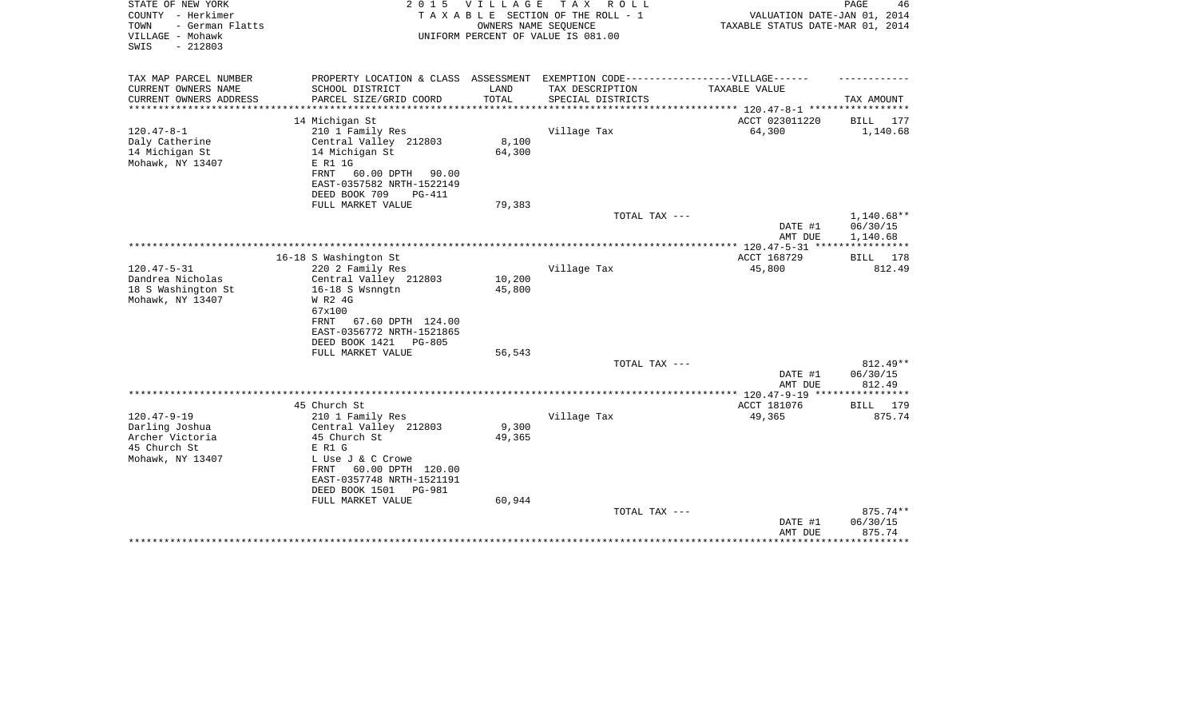| STATE OF NEW YORK<br>COUNTY - Herkimer<br>- German Flatts<br>TOWN<br>VILLAGE - Mohawk<br>$-212803$<br>SWIS | 2 0 1 5                                                                                                                                                                                             | <b>VILLAGE</b><br>OWNERS NAME SEQUENCE | T A X<br>R O L L<br>TAXABLE SECTION OF THE ROLL - 1<br>UNIFORM PERCENT OF VALUE IS 081.00            | VALUATION DATE-JAN 01, 2014<br>TAXABLE STATUS DATE-MAR 01, 2014 | PAGE<br>46                                  |
|------------------------------------------------------------------------------------------------------------|-----------------------------------------------------------------------------------------------------------------------------------------------------------------------------------------------------|----------------------------------------|------------------------------------------------------------------------------------------------------|-----------------------------------------------------------------|---------------------------------------------|
| TAX MAP PARCEL NUMBER<br>CURRENT OWNERS NAME                                                               | SCHOOL DISTRICT                                                                                                                                                                                     | LAND                                   | PROPERTY LOCATION & CLASS ASSESSMENT EXEMPTION CODE-----------------VILLAGE------<br>TAX DESCRIPTION | TAXABLE VALUE                                                   |                                             |
| CURRENT OWNERS ADDRESS<br>********************                                                             | PARCEL SIZE/GRID COORD<br>********************                                                                                                                                                      | TOTAL<br>*************                 | SPECIAL DISTRICTS<br>********************************* 120.47-8-1 *****************                  |                                                                 | TAX AMOUNT                                  |
|                                                                                                            | 14 Michigan St                                                                                                                                                                                      |                                        |                                                                                                      | ACCT 023011220                                                  | <b>BILL</b><br>177                          |
| $120.47 - 8 - 1$                                                                                           | 210 1 Family Res                                                                                                                                                                                    |                                        | Village Tax                                                                                          | 64,300                                                          | 1,140.68                                    |
| Daly Catherine<br>14 Michigan St<br>Mohawk, NY 13407                                                       | Central Valley 212803<br>14 Michigan St<br>E R1 1G<br>60.00 DPTH<br>FRNT<br>90.00<br>EAST-0357582 NRTH-1522149                                                                                      | 8,100<br>64,300                        |                                                                                                      |                                                                 |                                             |
|                                                                                                            | DEED BOOK 709<br><b>PG-411</b>                                                                                                                                                                      |                                        |                                                                                                      |                                                                 |                                             |
|                                                                                                            | FULL MARKET VALUE                                                                                                                                                                                   | 79,383                                 |                                                                                                      |                                                                 |                                             |
|                                                                                                            |                                                                                                                                                                                                     |                                        | TOTAL TAX ---                                                                                        | DATE #1<br>AMT DUE                                              | $1,140.68**$<br>06/30/15<br>1,140.68        |
|                                                                                                            |                                                                                                                                                                                                     |                                        |                                                                                                      |                                                                 | * * * * * * * * * * *                       |
|                                                                                                            | 16-18 S Washington St                                                                                                                                                                               |                                        |                                                                                                      | ACCT 168729                                                     | BILL<br>178                                 |
| $120.47 - 5 - 31$<br>Dandrea Nicholas<br>18 S Washington St<br>Mohawk, NY 13407                            | 220 2 Family Res<br>Central Valley 212803<br>16-18 S Wsnngtn<br>W R2 4G<br>67x100<br>FRNT<br>67.60 DPTH 124.00<br>EAST-0356772 NRTH-1521865<br>DEED BOOK 1421<br><b>PG-805</b><br>FULL MARKET VALUE | 10,200<br>45,800<br>56,543             | Village Tax                                                                                          | 45,800                                                          | 812.49                                      |
|                                                                                                            |                                                                                                                                                                                                     |                                        | TOTAL TAX ---                                                                                        |                                                                 | $812.49**$                                  |
|                                                                                                            |                                                                                                                                                                                                     |                                        |                                                                                                      | DATE #1<br>AMT DUE                                              | 06/30/15<br>812.49                          |
|                                                                                                            |                                                                                                                                                                                                     |                                        |                                                                                                      |                                                                 | **********                                  |
|                                                                                                            | 45 Church St                                                                                                                                                                                        |                                        |                                                                                                      | ACCT 181076                                                     | 179<br>BILL                                 |
| $120.47 - 9 - 19$<br>Darling Joshua<br>Archer Victoria<br>45 Church St<br>Mohawk, NY 13407                 | 210 1 Family Res<br>Central Valley 212803<br>45 Church St<br>E R1 G<br>L Use J & C Crowe<br><b>FRNT</b><br>60.00 DPTH 120.00<br>EAST-0357748 NRTH-1521191<br>DEED BOOK 1501<br>PG-981               | 9,300<br>49,365                        | Village Tax                                                                                          | 49,365                                                          | 875.74                                      |
|                                                                                                            | FULL MARKET VALUE                                                                                                                                                                                   | 60,944                                 | TOTAL TAX ---                                                                                        | DATE #1<br>AMT DUE                                              | 875.74**<br>06/30/15<br>875.74<br>********* |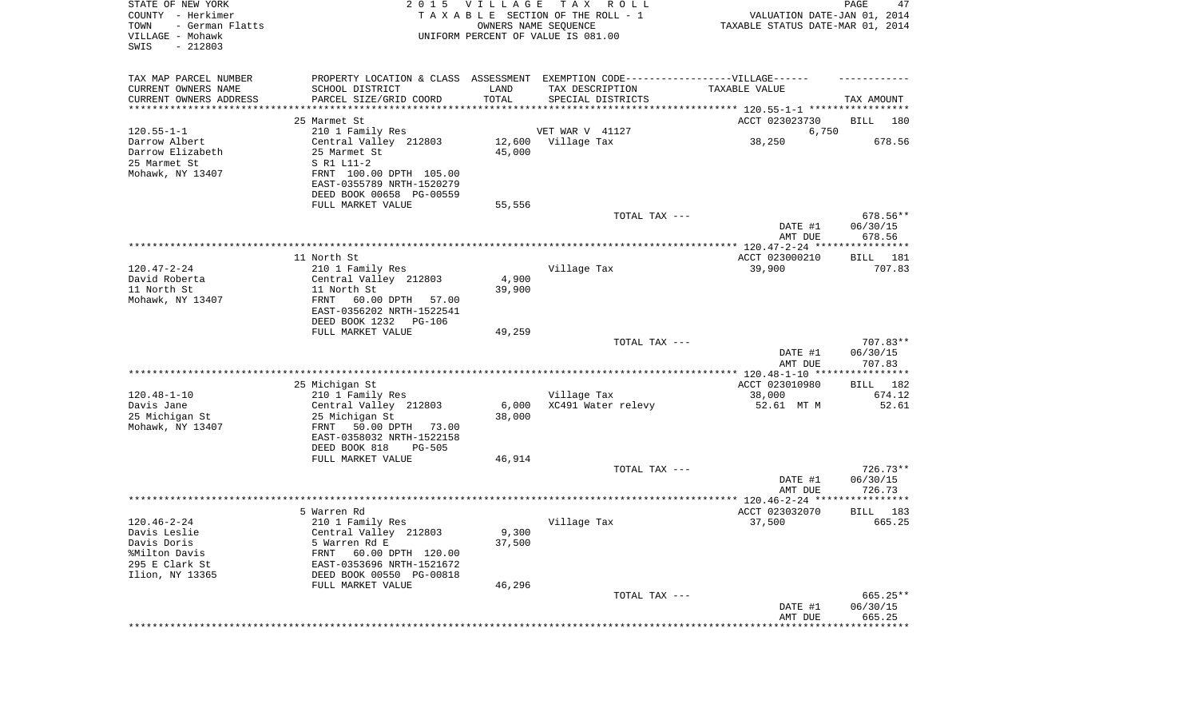| STATE OF NEW YORK<br>COUNTY - Herkimer<br>TOWN<br>- German Flatts<br>VILLAGE - Mohawk<br>SWIS<br>$-212803$ | 2 0 1 5                                                                          | VILLAGE       | T A X<br>R O L L<br>TAXABLE SECTION OF THE ROLL - 1<br>OWNERS NAME SEQUENCE<br>UNIFORM PERCENT OF VALUE IS 081.00 | VALUATION DATE-JAN 01, 2014<br>TAXABLE STATUS DATE-MAR 01, 2014 | PAGE<br>47                     |
|------------------------------------------------------------------------------------------------------------|----------------------------------------------------------------------------------|---------------|-------------------------------------------------------------------------------------------------------------------|-----------------------------------------------------------------|--------------------------------|
| TAX MAP PARCEL NUMBER                                                                                      | PROPERTY LOCATION & CLASS ASSESSMENT EXEMPTION CODE----------------VILLAGE------ |               |                                                                                                                   |                                                                 |                                |
| CURRENT OWNERS NAME                                                                                        | SCHOOL DISTRICT                                                                  | LAND<br>TOTAL | TAX DESCRIPTION                                                                                                   | TAXABLE VALUE                                                   |                                |
| CURRENT OWNERS ADDRESS<br>*********************                                                            | PARCEL SIZE/GRID COORD                                                           |               | SPECIAL DISTRICTS                                                                                                 |                                                                 | TAX AMOUNT                     |
|                                                                                                            | 25 Marmet St                                                                     |               |                                                                                                                   | ACCT 023023730                                                  | BILL<br>180                    |
| $120.55 - 1 - 1$                                                                                           | 210 1 Family Res                                                                 |               | VET WAR V 41127                                                                                                   | 6,750                                                           |                                |
| Darrow Albert                                                                                              | Central Valley 212803                                                            | 12,600        | Village Tax                                                                                                       | 38,250                                                          | 678.56                         |
| Darrow Elizabeth                                                                                           | 25 Marmet St                                                                     | 45,000        |                                                                                                                   |                                                                 |                                |
| 25 Marmet St                                                                                               | S R1 L11-2                                                                       |               |                                                                                                                   |                                                                 |                                |
| Mohawk, NY 13407                                                                                           | FRNT 100.00 DPTH 105.00<br>EAST-0355789 NRTH-1520279                             |               |                                                                                                                   |                                                                 |                                |
|                                                                                                            | DEED BOOK 00658 PG-00559                                                         |               |                                                                                                                   |                                                                 |                                |
|                                                                                                            | FULL MARKET VALUE                                                                | 55,556        |                                                                                                                   |                                                                 |                                |
|                                                                                                            |                                                                                  |               | TOTAL TAX ---                                                                                                     |                                                                 | 678.56**                       |
|                                                                                                            |                                                                                  |               |                                                                                                                   | DATE #1<br>AMT DUE                                              | 06/30/15<br>678.56             |
|                                                                                                            |                                                                                  |               |                                                                                                                   |                                                                 |                                |
| $120.47 - 2 - 24$                                                                                          | 11 North St                                                                      |               | Village Tax                                                                                                       | ACCT 023000210<br>39,900                                        | BILL 181<br>707.83             |
| David Roberta                                                                                              | 210 1 Family Res<br>Central Valley 212803                                        | 4,900         |                                                                                                                   |                                                                 |                                |
| 11 North St                                                                                                | 11 North St                                                                      | 39,900        |                                                                                                                   |                                                                 |                                |
| Mohawk, NY 13407                                                                                           | FRNT<br>60.00 DPTH<br>57.00<br>EAST-0356202 NRTH-1522541                         |               |                                                                                                                   |                                                                 |                                |
|                                                                                                            | DEED BOOK 1232<br>PG-106                                                         |               |                                                                                                                   |                                                                 |                                |
|                                                                                                            | FULL MARKET VALUE                                                                | 49,259        |                                                                                                                   |                                                                 |                                |
|                                                                                                            |                                                                                  |               | TOTAL TAX ---                                                                                                     | DATE #1<br>AMT DUE                                              | 707.83**<br>06/30/15<br>707.83 |
|                                                                                                            |                                                                                  |               |                                                                                                                   | ************* 120.48-1-10 *****************                     |                                |
|                                                                                                            | 25 Michigan St                                                                   |               |                                                                                                                   | ACCT 023010980                                                  | <b>BILL</b><br>182             |
| $120.48 - 1 - 10$                                                                                          | 210 1 Family Res                                                                 |               | Village Tax                                                                                                       | 38,000                                                          | 674.12                         |
| Davis Jane                                                                                                 | Central Valley 212803                                                            | 6,000         | XC491 Water relevy                                                                                                | 52.61 MT M                                                      | 52.61                          |
| 25 Michigan St<br>Mohawk, NY 13407                                                                         | 25 Michigan St<br>FRNT<br>50.00 DPTH<br>73.00                                    | 38,000        |                                                                                                                   |                                                                 |                                |
|                                                                                                            | EAST-0358032 NRTH-1522158                                                        |               |                                                                                                                   |                                                                 |                                |
|                                                                                                            | DEED BOOK 818<br><b>PG-505</b>                                                   |               |                                                                                                                   |                                                                 |                                |
|                                                                                                            | FULL MARKET VALUE                                                                | 46,914        |                                                                                                                   |                                                                 |                                |
|                                                                                                            |                                                                                  |               | TOTAL TAX ---                                                                                                     |                                                                 | $726.73**$                     |
|                                                                                                            |                                                                                  |               |                                                                                                                   | DATE #1                                                         | 06/30/15                       |
|                                                                                                            |                                                                                  |               |                                                                                                                   | AMT DUE                                                         | 726.73                         |
|                                                                                                            | 5 Warren Rd                                                                      |               |                                                                                                                   | ACCT 023032070                                                  | 183<br>BILL                    |
| $120.46 - 2 - 24$                                                                                          | 210 1 Family Res                                                                 |               | Village Tax                                                                                                       | 37,500                                                          | 665.25                         |
| Davis Leslie                                                                                               | Central Valley 212803                                                            | 9,300         |                                                                                                                   |                                                                 |                                |
| Davis Doris                                                                                                | 5 Warren Rd E                                                                    | 37,500        |                                                                                                                   |                                                                 |                                |
| %Milton Davis                                                                                              | FRNT<br>60.00 DPTH 120.00                                                        |               |                                                                                                                   |                                                                 |                                |
| 295 E Clark St<br>Ilion, NY 13365                                                                          | EAST-0353696 NRTH-1521672<br>DEED BOOK 00550 PG-00818                            |               |                                                                                                                   |                                                                 |                                |
|                                                                                                            | FULL MARKET VALUE                                                                | 46,296        |                                                                                                                   |                                                                 |                                |
|                                                                                                            |                                                                                  |               | TOTAL TAX ---                                                                                                     |                                                                 | 665.25**                       |
|                                                                                                            |                                                                                  |               |                                                                                                                   | DATE #1                                                         | 06/30/15                       |
|                                                                                                            |                                                                                  |               |                                                                                                                   | AMT DUE                                                         | 665.25                         |
|                                                                                                            |                                                                                  |               |                                                                                                                   | *********************************                               |                                |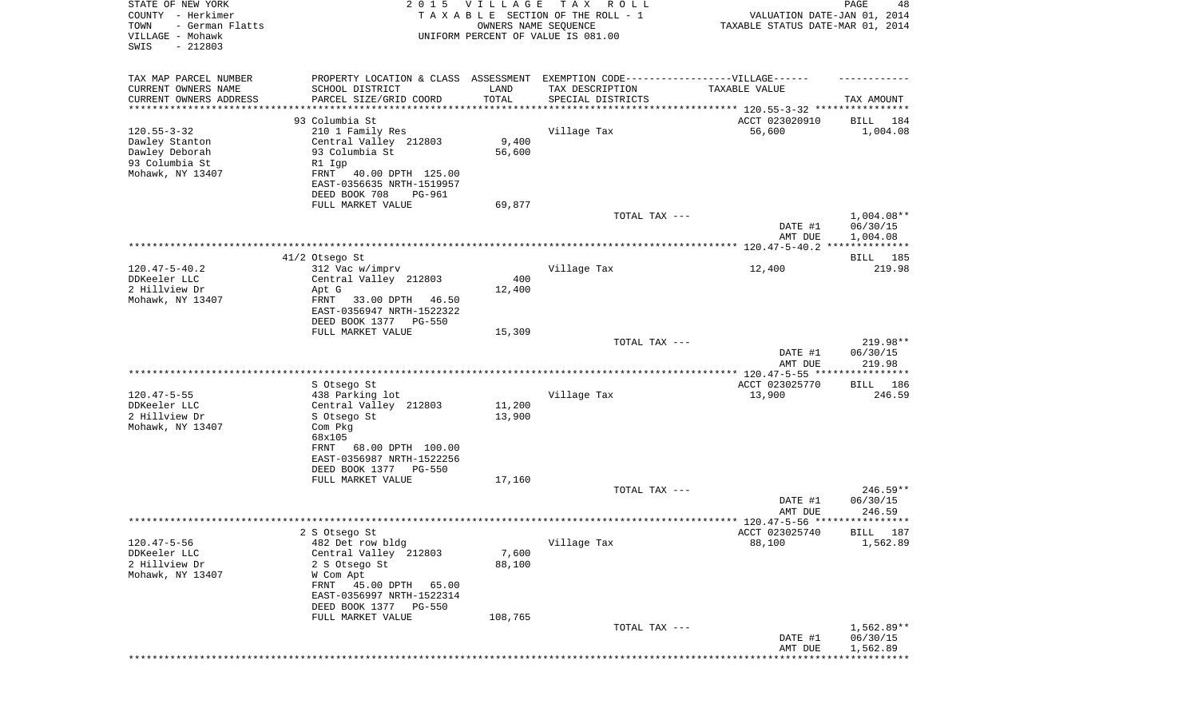| STATE OF NEW YORK<br>COUNTY - Herkimer<br>- German Flatts<br>TOWN<br>VILLAGE - Mohawk<br>SWIS<br>$-212803$ | 2 0 1 5                                                | <b>VILLAGE</b>       | T A X<br>R O L L<br>TAXABLE SECTION OF THE ROLL - 1<br>OWNERS NAME SEQUENCE<br>UNIFORM PERCENT OF VALUE IS 081.00 | VALUATION DATE-JAN 01, 2014<br>TAXABLE STATUS DATE-MAR 01, 2014 | PAGE<br>48               |
|------------------------------------------------------------------------------------------------------------|--------------------------------------------------------|----------------------|-------------------------------------------------------------------------------------------------------------------|-----------------------------------------------------------------|--------------------------|
| TAX MAP PARCEL NUMBER                                                                                      | PROPERTY LOCATION & CLASS ASSESSMENT                   |                      | EXEMPTION CODE-----------------VILLAGE------                                                                      |                                                                 |                          |
| CURRENT OWNERS NAME                                                                                        | SCHOOL DISTRICT                                        | LAND                 | TAX DESCRIPTION                                                                                                   | TAXABLE VALUE                                                   |                          |
| CURRENT OWNERS ADDRESS<br>*********************                                                            | PARCEL SIZE/GRID COORD                                 | TOTAL<br>*********** | SPECIAL DISTRICTS                                                                                                 |                                                                 | TAX AMOUNT               |
|                                                                                                            | 93 Columbia St                                         |                      |                                                                                                                   | ACCT 023020910                                                  | BILL<br>184              |
| $120.55 - 3 - 32$                                                                                          | 210 1 Family Res                                       |                      | Village Tax                                                                                                       | 56,600                                                          | 1,004.08                 |
| Dawley Stanton                                                                                             | Central Valley 212803                                  | 9,400                |                                                                                                                   |                                                                 |                          |
| Dawley Deborah                                                                                             | 93 Columbia St                                         | 56,600               |                                                                                                                   |                                                                 |                          |
| 93 Columbia St                                                                                             | R1 Igp                                                 |                      |                                                                                                                   |                                                                 |                          |
| Mohawk, NY 13407                                                                                           | 40.00 DPTH 125.00<br>FRNT<br>EAST-0356635 NRTH-1519957 |                      |                                                                                                                   |                                                                 |                          |
|                                                                                                            | DEED BOOK 708<br>PG-961                                |                      |                                                                                                                   |                                                                 |                          |
|                                                                                                            | FULL MARKET VALUE                                      | 69,877               |                                                                                                                   |                                                                 |                          |
|                                                                                                            |                                                        |                      | TOTAL TAX ---                                                                                                     |                                                                 | $1,004.08**$             |
|                                                                                                            |                                                        |                      |                                                                                                                   | DATE #1                                                         | 06/30/15                 |
|                                                                                                            |                                                        |                      |                                                                                                                   | AMT DUE                                                         | 1,004.08                 |
|                                                                                                            | 41/2 Otsego St                                         |                      |                                                                                                                   |                                                                 | BILL 185                 |
| $120.47 - 5 - 40.2$                                                                                        | 312 Vac w/imprv                                        |                      | Village Tax                                                                                                       | 12,400                                                          | 219.98                   |
| DDKeeler LLC                                                                                               | Central Valley 212803                                  | 400                  |                                                                                                                   |                                                                 |                          |
| 2 Hillview Dr<br>Mohawk, NY 13407                                                                          | Apt G<br>33.00 DPTH<br>FRNT<br>46.50                   | 12,400               |                                                                                                                   |                                                                 |                          |
|                                                                                                            | EAST-0356947 NRTH-1522322                              |                      |                                                                                                                   |                                                                 |                          |
|                                                                                                            | DEED BOOK 1377<br>PG-550                               |                      |                                                                                                                   |                                                                 |                          |
|                                                                                                            | FULL MARKET VALUE                                      | 15,309               |                                                                                                                   |                                                                 |                          |
|                                                                                                            |                                                        |                      | TOTAL TAX ---                                                                                                     |                                                                 | 219.98**                 |
|                                                                                                            |                                                        |                      |                                                                                                                   | DATE #1<br>AMT DUE                                              | 06/30/15<br>219.98       |
|                                                                                                            |                                                        |                      |                                                                                                                   | ************** 120.47-5-55 *****************                    |                          |
|                                                                                                            | S Otsego St                                            |                      |                                                                                                                   | ACCT 023025770                                                  | BILL 186                 |
| $120.47 - 5 - 55$<br>DDKeeler LLC                                                                          | 438 Parking lot                                        | 11,200               | Village Tax                                                                                                       | 13,900                                                          | 246.59                   |
| 2 Hillview Dr                                                                                              | Central Valley 212803<br>S Otsego St                   | 13,900               |                                                                                                                   |                                                                 |                          |
| Mohawk, NY 13407                                                                                           | Com Pkg                                                |                      |                                                                                                                   |                                                                 |                          |
|                                                                                                            | 68x105                                                 |                      |                                                                                                                   |                                                                 |                          |
|                                                                                                            | 68.00 DPTH 100.00<br>FRNT                              |                      |                                                                                                                   |                                                                 |                          |
|                                                                                                            | EAST-0356987 NRTH-1522256<br>DEED BOOK 1377<br>PG-550  |                      |                                                                                                                   |                                                                 |                          |
|                                                                                                            | FULL MARKET VALUE                                      | 17,160               |                                                                                                                   |                                                                 |                          |
|                                                                                                            |                                                        |                      | TOTAL TAX ---                                                                                                     |                                                                 | $246.59**$               |
|                                                                                                            |                                                        |                      |                                                                                                                   | DATE #1                                                         | 06/30/15                 |
|                                                                                                            |                                                        |                      |                                                                                                                   | AMT DUE                                                         | 246.59                   |
|                                                                                                            | 2 S Otsego St                                          |                      |                                                                                                                   | ACCT 023025740                                                  | BILL 187                 |
| $120.47 - 5 - 56$                                                                                          | 482 Det row bldg                                       |                      | Village Tax                                                                                                       | 88,100                                                          | 1,562.89                 |
| DDKeeler LLC                                                                                               | Central Valley 212803                                  | 7,600                |                                                                                                                   |                                                                 |                          |
| 2 Hillview Dr                                                                                              | 2 S Otsego St                                          | 88,100               |                                                                                                                   |                                                                 |                          |
| Mohawk, NY 13407                                                                                           | W Com Apt<br>FRNT 45.00 DPTH<br>65.00                  |                      |                                                                                                                   |                                                                 |                          |
|                                                                                                            | EAST-0356997 NRTH-1522314                              |                      |                                                                                                                   |                                                                 |                          |
|                                                                                                            | DEED BOOK 1377<br><b>PG-550</b>                        |                      |                                                                                                                   |                                                                 |                          |
|                                                                                                            | FULL MARKET VALUE                                      | 108,765              |                                                                                                                   |                                                                 |                          |
|                                                                                                            |                                                        |                      | TOTAL TAX ---                                                                                                     | DATE #1                                                         | $1,562.89**$<br>06/30/15 |
|                                                                                                            |                                                        |                      |                                                                                                                   | AMT DUE                                                         | 1,562.89                 |
|                                                                                                            |                                                        |                      |                                                                                                                   |                                                                 | * * * * * * * * * * *    |
|                                                                                                            |                                                        |                      |                                                                                                                   |                                                                 |                          |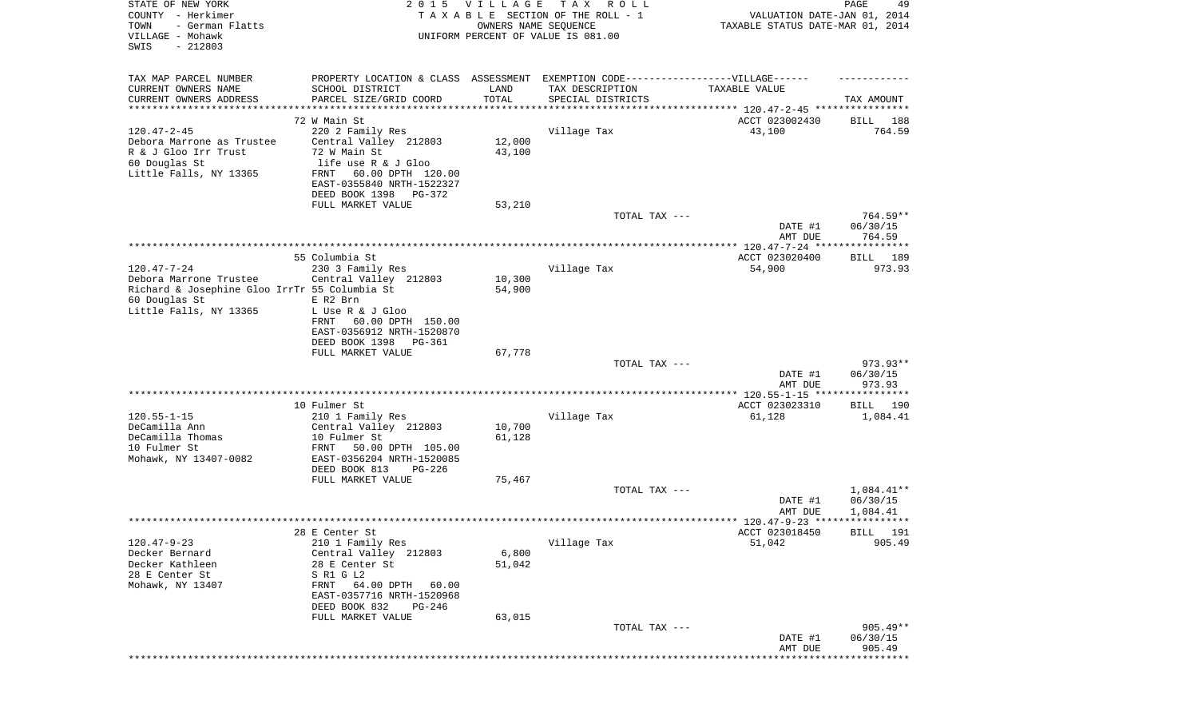| STATE OF NEW YORK<br>COUNTY - Herkimer<br>TOWN<br>- German Flatts<br>VILLAGE - Mohawk<br>SWIS<br>$-212803$ | 2 0 1 5                                                                           | <b>VILLAGE</b><br>OWNERS NAME SEQUENCE | T A X<br>R O L L<br>TAXABLE SECTION OF THE ROLL - 1<br>UNIFORM PERCENT OF VALUE IS 081.00 | VALUATION DATE-JAN 01, 2014<br>TAXABLE STATUS DATE-MAR 01, 2014     | PAGE<br>49             |
|------------------------------------------------------------------------------------------------------------|-----------------------------------------------------------------------------------|----------------------------------------|-------------------------------------------------------------------------------------------|---------------------------------------------------------------------|------------------------|
| TAX MAP PARCEL NUMBER                                                                                      | PROPERTY LOCATION & CLASS ASSESSMENT EXEMPTION CODE-----------------VILLAGE------ |                                        |                                                                                           |                                                                     |                        |
| CURRENT OWNERS NAME<br>CURRENT OWNERS ADDRESS                                                              | SCHOOL DISTRICT<br>PARCEL SIZE/GRID COORD                                         | LAND<br>TOTAL                          | TAX DESCRIPTION<br>SPECIAL DISTRICTS                                                      | TAXABLE VALUE                                                       | TAX AMOUNT             |
| *********************                                                                                      |                                                                                   | **********                             |                                                                                           | ************************************* 120.47-2-45 ***************** |                        |
|                                                                                                            | 72 W Main St                                                                      |                                        |                                                                                           | ACCT 023002430                                                      | BILL<br>188            |
| $120.47 - 2 - 45$                                                                                          | 220 2 Family Res                                                                  |                                        | Village Tax                                                                               | 43,100                                                              | 764.59                 |
| Debora Marrone as Trustee                                                                                  | Central Valley 212803                                                             | 12,000                                 |                                                                                           |                                                                     |                        |
| R & J Gloo Irr Trust<br>60 Douglas St                                                                      | 72 W Main St<br>life use R & J Gloo                                               | 43,100                                 |                                                                                           |                                                                     |                        |
| Little Falls, NY 13365                                                                                     | 60.00 DPTH 120.00<br>FRNT                                                         |                                        |                                                                                           |                                                                     |                        |
|                                                                                                            | EAST-0355840 NRTH-1522327                                                         |                                        |                                                                                           |                                                                     |                        |
|                                                                                                            | DEED BOOK 1398<br>PG-372                                                          |                                        |                                                                                           |                                                                     |                        |
|                                                                                                            | FULL MARKET VALUE                                                                 | 53,210                                 |                                                                                           |                                                                     |                        |
|                                                                                                            |                                                                                   |                                        | TOTAL TAX ---                                                                             | DATE #1                                                             | $764.59**$<br>06/30/15 |
|                                                                                                            |                                                                                   |                                        |                                                                                           | AMT DUE                                                             | 764.59                 |
|                                                                                                            |                                                                                   |                                        |                                                                                           |                                                                     |                        |
|                                                                                                            | 55 Columbia St                                                                    |                                        |                                                                                           | ACCT 023020400                                                      | 189<br>BILL            |
| $120.47 - 7 - 24$                                                                                          | 230 3 Family Res                                                                  |                                        | Village Tax                                                                               | 54,900                                                              | 973.93                 |
| Debora Marrone Trustee<br>Richard & Josephine Gloo IrrTr 55 Columbia St                                    | Central Valley 212803                                                             | 10,300<br>54,900                       |                                                                                           |                                                                     |                        |
| 60 Douglas St                                                                                              | E R2 Brn                                                                          |                                        |                                                                                           |                                                                     |                        |
| Little Falls, NY 13365                                                                                     | L Use R & J Gloo                                                                  |                                        |                                                                                           |                                                                     |                        |
|                                                                                                            | 60.00 DPTH 150.00<br>FRNT                                                         |                                        |                                                                                           |                                                                     |                        |
|                                                                                                            | EAST-0356912 NRTH-1520870<br>DEED BOOK 1398<br>PG-361                             |                                        |                                                                                           |                                                                     |                        |
|                                                                                                            | FULL MARKET VALUE                                                                 | 67,778                                 |                                                                                           |                                                                     |                        |
|                                                                                                            |                                                                                   |                                        | TOTAL TAX ---                                                                             |                                                                     | 973.93**               |
|                                                                                                            |                                                                                   |                                        |                                                                                           | DATE #1                                                             | 06/30/15               |
|                                                                                                            |                                                                                   |                                        |                                                                                           | AMT DUE                                                             | 973.93                 |
|                                                                                                            | 10 Fulmer St                                                                      |                                        |                                                                                           | ************** 120.55-1-15 *****************<br>ACCT 023023310      | 190<br>BILL            |
| $120.55 - 1 - 15$                                                                                          | 210 1 Family Res                                                                  |                                        | Village Tax                                                                               | 61,128                                                              | 1,084.41               |
| DeCamilla Ann                                                                                              | Central Valley 212803                                                             | 10,700                                 |                                                                                           |                                                                     |                        |
| DeCamilla Thomas                                                                                           | 10 Fulmer St                                                                      | 61,128                                 |                                                                                           |                                                                     |                        |
| 10 Fulmer St<br>Mohawk, NY 13407-0082                                                                      | 50.00 DPTH 105.00<br>FRNT<br>EAST-0356204 NRTH-1520085                            |                                        |                                                                                           |                                                                     |                        |
|                                                                                                            | DEED BOOK 813<br>$PG-226$                                                         |                                        |                                                                                           |                                                                     |                        |
|                                                                                                            | FULL MARKET VALUE                                                                 | 75,467                                 |                                                                                           |                                                                     |                        |
|                                                                                                            |                                                                                   |                                        | TOTAL TAX ---                                                                             |                                                                     | 1,084.41**             |
|                                                                                                            |                                                                                   |                                        |                                                                                           | DATE #1                                                             | 06/30/15               |
|                                                                                                            |                                                                                   |                                        |                                                                                           | AMT DUE                                                             | 1,084.41               |
|                                                                                                            | 28 E Center St                                                                    |                                        |                                                                                           | ACCT 023018450                                                      | BILL 191               |
| $120.47 - 9 - 23$                                                                                          | 210 1 Family Res                                                                  |                                        | Village Tax                                                                               | 51,042                                                              | 905.49                 |
| Decker Bernard                                                                                             | Central Valley 212803                                                             | 6,800                                  |                                                                                           |                                                                     |                        |
| Decker Kathleen                                                                                            | 28 E Center St                                                                    | 51,042                                 |                                                                                           |                                                                     |                        |
| 28 E Center St<br>Mohawk, NY 13407                                                                         | S R1 G L2<br>64.00 DPTH<br>FRNT<br>60.00                                          |                                        |                                                                                           |                                                                     |                        |
|                                                                                                            | EAST-0357716 NRTH-1520968                                                         |                                        |                                                                                           |                                                                     |                        |
|                                                                                                            | DEED BOOK 832<br>PG-246                                                           |                                        |                                                                                           |                                                                     |                        |
|                                                                                                            | FULL MARKET VALUE                                                                 | 63,015                                 |                                                                                           |                                                                     |                        |
|                                                                                                            |                                                                                   |                                        | TOTAL TAX ---                                                                             | DATE #1                                                             | $905.49**$<br>06/30/15 |
|                                                                                                            |                                                                                   |                                        |                                                                                           | AMT DUE                                                             | 905.49                 |
|                                                                                                            |                                                                                   |                                        |                                                                                           |                                                                     | ************           |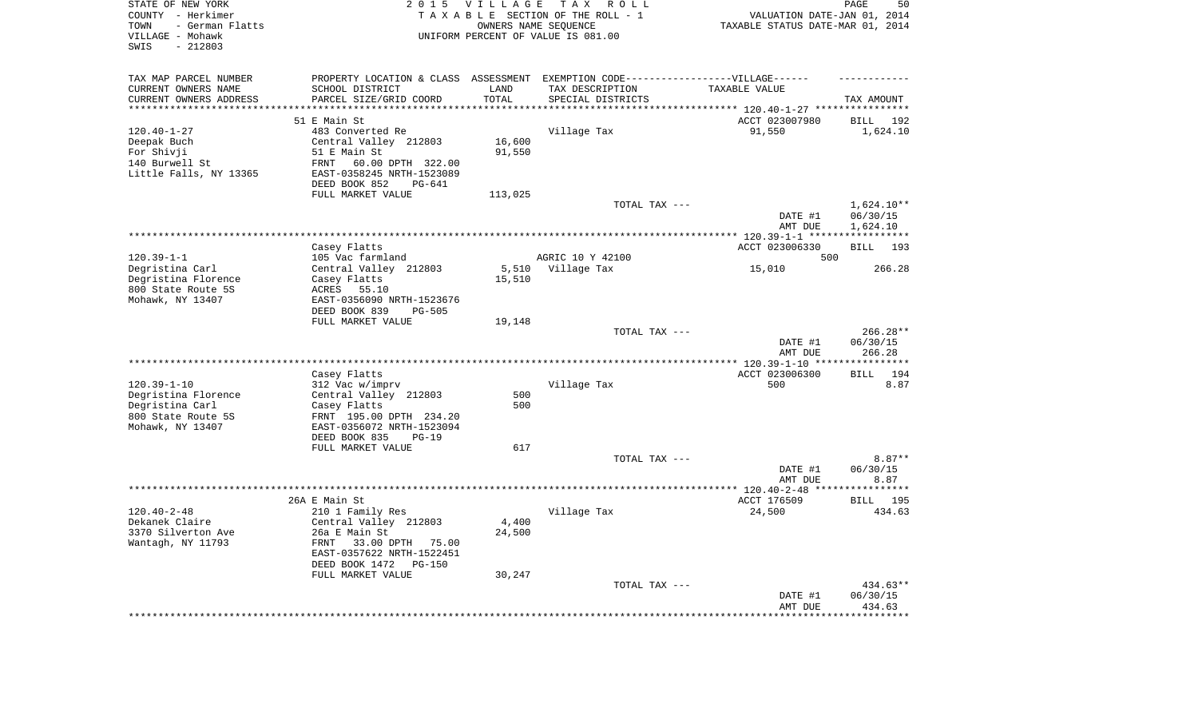| STATE OF NEW YORK<br>COUNTY - Herkimer<br>- German Flatts<br>TOWN<br>VILLAGE - Mohawk<br>$-212803$<br>SWIS | 2 0 1 5                                               | <b>VILLAGE</b>   | T A X<br>R O L L<br>TAXABLE SECTION OF THE ROLL - 1<br>OWNERS NAME SEQUENCE<br>UNIFORM PERCENT OF VALUE IS 081.00 | VALUATION DATE-JAN 01, 2014<br>TAXABLE STATUS DATE-MAR 01, 2014 | PAGE<br>50                       |
|------------------------------------------------------------------------------------------------------------|-------------------------------------------------------|------------------|-------------------------------------------------------------------------------------------------------------------|-----------------------------------------------------------------|----------------------------------|
| TAX MAP PARCEL NUMBER                                                                                      |                                                       |                  | PROPERTY LOCATION & CLASS ASSESSMENT EXEMPTION CODE-----------------VILLAGE------                                 |                                                                 |                                  |
| CURRENT OWNERS NAME                                                                                        | SCHOOL DISTRICT                                       | LAND             | TAX DESCRIPTION                                                                                                   | TAXABLE VALUE                                                   |                                  |
| CURRENT OWNERS ADDRESS<br>********************                                                             | PARCEL SIZE/GRID COORD                                | TOTAL<br>******* | SPECIAL DISTRICTS                                                                                                 |                                                                 | TAX AMOUNT                       |
|                                                                                                            | 51 E Main St                                          |                  |                                                                                                                   | *************************** 120.40-1-27 ****************        |                                  |
| $120.40 - 1 - 27$                                                                                          | 483 Converted Re                                      |                  | Village Tax                                                                                                       | ACCT 023007980<br>91,550                                        | <b>BILL</b><br>192<br>1,624.10   |
| Deepak Buch                                                                                                | Central Valley 212803                                 | 16,600           |                                                                                                                   |                                                                 |                                  |
| For Shivji                                                                                                 | 51 E Main St                                          | 91,550           |                                                                                                                   |                                                                 |                                  |
| 140 Burwell St                                                                                             | 60.00 DPTH 322.00<br>FRNT                             |                  |                                                                                                                   |                                                                 |                                  |
| Little Falls, NY 13365                                                                                     | EAST-0358245 NRTH-1523089                             |                  |                                                                                                                   |                                                                 |                                  |
|                                                                                                            | DEED BOOK 852<br>PG-641                               |                  |                                                                                                                   |                                                                 |                                  |
|                                                                                                            | FULL MARKET VALUE                                     | 113,025          |                                                                                                                   |                                                                 |                                  |
|                                                                                                            |                                                       |                  | TOTAL TAX ---                                                                                                     |                                                                 | $1,624.10**$                     |
|                                                                                                            |                                                       |                  |                                                                                                                   | DATE #1                                                         | 06/30/15                         |
|                                                                                                            |                                                       |                  |                                                                                                                   | AMT DUE<br>******** 120.39-1-1 ******************               | 1,624.10                         |
|                                                                                                            | Casey Flatts                                          |                  |                                                                                                                   | ACCT 023006330                                                  | 193<br><b>BILL</b>               |
| $120.39 - 1 - 1$                                                                                           | 105 Vac farmland                                      |                  | AGRIC 10 Y 42100                                                                                                  | 500                                                             |                                  |
| Degristina Carl                                                                                            | Central Valley 212803                                 | 5,510            | Village Tax                                                                                                       | 15,010                                                          | 266.28                           |
| Degristina Florence                                                                                        | Casey Flatts                                          | 15,510           |                                                                                                                   |                                                                 |                                  |
| 800 State Route 5S                                                                                         | ACRES 55.10                                           |                  |                                                                                                                   |                                                                 |                                  |
| Mohawk, NY 13407                                                                                           | EAST-0356090 NRTH-1523676                             |                  |                                                                                                                   |                                                                 |                                  |
|                                                                                                            | DEED BOOK 839<br><b>PG-505</b>                        |                  |                                                                                                                   |                                                                 |                                  |
|                                                                                                            | FULL MARKET VALUE                                     | 19,148           |                                                                                                                   |                                                                 |                                  |
|                                                                                                            |                                                       |                  | TOTAL TAX ---                                                                                                     | DATE #1<br>AMT DUE                                              | $266.28**$<br>06/30/15<br>266.28 |
|                                                                                                            |                                                       |                  |                                                                                                                   | ** $120.39 - 1 - 10$ **                                         |                                  |
|                                                                                                            | Casey Flatts                                          |                  |                                                                                                                   | ACCT 023006300                                                  | 194<br><b>BILL</b>               |
| $120.39 - 1 - 10$                                                                                          | 312 Vac w/imprv                                       |                  | Village Tax                                                                                                       | 500                                                             | 8.87                             |
| Degristina Florence                                                                                        | Central Valley 212803                                 | 500              |                                                                                                                   |                                                                 |                                  |
| Degristina Carl                                                                                            | Casey Flatts                                          | 500              |                                                                                                                   |                                                                 |                                  |
| 800 State Route 5S                                                                                         | FRNT 195.00 DPTH 234.20                               |                  |                                                                                                                   |                                                                 |                                  |
| Mohawk, NY 13407                                                                                           | EAST-0356072 NRTH-1523094                             |                  |                                                                                                                   |                                                                 |                                  |
|                                                                                                            | DEED BOOK 835<br>$PG-19$<br>FULL MARKET VALUE         | 617              |                                                                                                                   |                                                                 |                                  |
|                                                                                                            |                                                       |                  | TOTAL TAX ---                                                                                                     |                                                                 | $8.87**$                         |
|                                                                                                            |                                                       |                  |                                                                                                                   | DATE #1                                                         | 06/30/15                         |
|                                                                                                            |                                                       |                  |                                                                                                                   | AMT DUE                                                         | 8.87                             |
| ********************                                                                                       |                                                       |                  |                                                                                                                   | ********* 120.40-2-48 ***                                       | ********                         |
|                                                                                                            | 26A E Main St                                         |                  |                                                                                                                   | ACCT 176509                                                     | BILL 195                         |
| $120.40 - 2 - 48$                                                                                          | 210 1 Family Res                                      |                  | Village Tax                                                                                                       | 24,500                                                          | 434.63                           |
| Dekanek Claire                                                                                             | Central Valley 212803                                 | 4,400            |                                                                                                                   |                                                                 |                                  |
| 3370 Silverton Ave                                                                                         | 26a E Main St                                         | 24,500           |                                                                                                                   |                                                                 |                                  |
| Wantagh, NY 11793                                                                                          | FRNT<br>33.00 DPTH 75.00<br>EAST-0357622 NRTH-1522451 |                  |                                                                                                                   |                                                                 |                                  |
|                                                                                                            | DEED BOOK 1472<br>$PG-150$                            |                  |                                                                                                                   |                                                                 |                                  |
|                                                                                                            | FULL MARKET VALUE                                     | 30,247           |                                                                                                                   |                                                                 |                                  |
|                                                                                                            |                                                       |                  | TOTAL TAX ---                                                                                                     |                                                                 | 434.63**                         |
|                                                                                                            |                                                       |                  |                                                                                                                   | DATE #1                                                         | 06/30/15                         |
|                                                                                                            |                                                       |                  |                                                                                                                   | AMT DUE                                                         | 434.63                           |
|                                                                                                            |                                                       |                  |                                                                                                                   |                                                                 |                                  |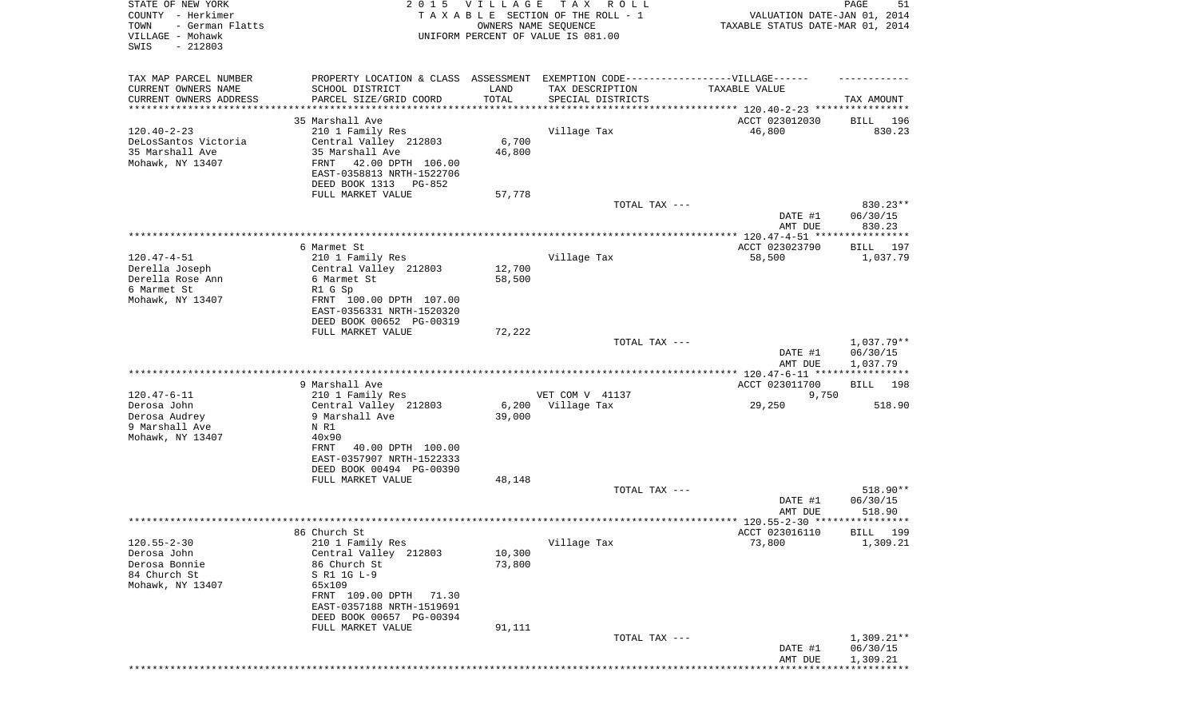| STATE OF NEW YORK<br>COUNTY - Herkimer<br>TOWN<br>- German Flatts<br>VILLAGE - Mohawk<br>SWIS<br>$-212803$ |                                                                                                                                                                           | 2015 VILLAGE<br>OWNERS NAME SEQUENCE | T A X<br>R O L L<br>TAXABLE SECTION OF THE ROLL - 1<br>UNIFORM PERCENT OF VALUE IS 081.00            | VALUATION DATE-JAN 01, 2014<br>TAXABLE STATUS DATE-MAR 01, 2014 | PAGE<br>51                         |
|------------------------------------------------------------------------------------------------------------|---------------------------------------------------------------------------------------------------------------------------------------------------------------------------|--------------------------------------|------------------------------------------------------------------------------------------------------|-----------------------------------------------------------------|------------------------------------|
| TAX MAP PARCEL NUMBER<br>CURRENT OWNERS NAME                                                               | SCHOOL DISTRICT                                                                                                                                                           | LAND                                 | PROPERTY LOCATION & CLASS ASSESSMENT EXEMPTION CODE-----------------VILLAGE------<br>TAX DESCRIPTION | TAXABLE VALUE                                                   |                                    |
| CURRENT OWNERS ADDRESS                                                                                     | PARCEL SIZE/GRID COORD                                                                                                                                                    | TOTAL                                | SPECIAL DISTRICTS                                                                                    |                                                                 | TAX AMOUNT                         |
| *********************                                                                                      |                                                                                                                                                                           |                                      |                                                                                                      |                                                                 |                                    |
|                                                                                                            | 35 Marshall Ave                                                                                                                                                           |                                      |                                                                                                      | ACCT 023012030                                                  | BILL<br>196                        |
| $120.40 - 2 - 23$<br>DeLosSantos Victoria<br>35 Marshall Ave<br>Mohawk, NY 13407                           | 210 1 Family Res<br>Central Valley 212803<br>35 Marshall Ave<br>42.00 DPTH 106.00<br>FRNT<br>EAST-0358813 NRTH-1522706<br>DEED BOOK 1313<br>PG-852                        | 6,700<br>46,800                      | Village Tax                                                                                          | 46,800                                                          | 830.23                             |
|                                                                                                            | FULL MARKET VALUE                                                                                                                                                         | 57,778                               |                                                                                                      |                                                                 |                                    |
|                                                                                                            |                                                                                                                                                                           |                                      | TOTAL TAX ---                                                                                        | DATE #1<br>AMT DUE                                              | 830.23**<br>06/30/15<br>830.23     |
|                                                                                                            | 6 Marmet St                                                                                                                                                               |                                      |                                                                                                      | ACCT 023023790                                                  | 197<br>BILL                        |
| $120.47 - 4 - 51$                                                                                          | 210 1 Family Res                                                                                                                                                          |                                      | Village Tax                                                                                          | 58,500                                                          | 1,037.79                           |
| Derella Joseph                                                                                             | Central Valley 212803                                                                                                                                                     | 12,700                               |                                                                                                      |                                                                 |                                    |
| Derella Rose Ann<br>6 Marmet St                                                                            | 6 Marmet St<br>R1 G Sp                                                                                                                                                    | 58,500                               |                                                                                                      |                                                                 |                                    |
| Mohawk, NY 13407                                                                                           | FRNT 100.00 DPTH 107.00<br>EAST-0356331 NRTH-1520320<br>DEED BOOK 00652 PG-00319                                                                                          |                                      |                                                                                                      |                                                                 |                                    |
|                                                                                                            | FULL MARKET VALUE                                                                                                                                                         | 72,222                               |                                                                                                      |                                                                 |                                    |
|                                                                                                            |                                                                                                                                                                           |                                      | TOTAL TAX ---                                                                                        | DATE #1<br>AMT DUE                                              | 1,037.79**<br>06/30/15<br>1,037.79 |
|                                                                                                            |                                                                                                                                                                           |                                      |                                                                                                      | ************* 120.47-6-11 *****************                     |                                    |
| $120.47 - 6 - 11$                                                                                          | 9 Marshall Ave                                                                                                                                                            |                                      |                                                                                                      | ACCT 023011700                                                  | BILL<br>198                        |
| Derosa John                                                                                                | 210 1 Family Res<br>Central Valley 212803                                                                                                                                 | 6,200                                | VET COM V 41137<br>Village Tax                                                                       | 9,750<br>29,250                                                 | 518.90                             |
| Derosa Audrey<br>9 Marshall Ave<br>Mohawk, NY 13407                                                        | 9 Marshall Ave<br>N R1<br>40x90<br>40.00 DPTH 100.00<br>FRNT<br>EAST-0357907 NRTH-1522333                                                                                 | 39,000                               |                                                                                                      |                                                                 |                                    |
|                                                                                                            | DEED BOOK 00494 PG-00390                                                                                                                                                  |                                      |                                                                                                      |                                                                 |                                    |
|                                                                                                            | FULL MARKET VALUE                                                                                                                                                         | 48,148                               | TOTAL TAX ---                                                                                        |                                                                 | 518.90**                           |
|                                                                                                            |                                                                                                                                                                           |                                      |                                                                                                      | DATE #1<br>AMT DUE                                              | 06/30/15<br>518.90                 |
|                                                                                                            | 86 Church St                                                                                                                                                              |                                      |                                                                                                      | ACCT 023016110                                                  | BILL 199                           |
| $120.55 - 2 - 30$                                                                                          | 210 1 Family Res                                                                                                                                                          |                                      | Village Tax                                                                                          | 73,800                                                          | 1,309.21                           |
| Derosa John<br>Derosa Bonnie<br>84 Church St<br>Mohawk, NY 13407                                           | Central Valley 212803<br>86 Church St<br>S R1 1G L-9<br>65x109<br>FRNT 109.00 DPTH<br>71.30<br>EAST-0357188 NRTH-1519691<br>DEED BOOK 00657 PG-00394<br>FULL MARKET VALUE | 10,300<br>73,800<br>91,111           |                                                                                                      |                                                                 |                                    |
|                                                                                                            |                                                                                                                                                                           |                                      | TOTAL TAX ---                                                                                        |                                                                 | 1,309.21**                         |
|                                                                                                            |                                                                                                                                                                           |                                      |                                                                                                      | DATE #1<br>AMT DUE                                              | 06/30/15<br>1,309.21               |
|                                                                                                            |                                                                                                                                                                           |                                      |                                                                                                      |                                                                 |                                    |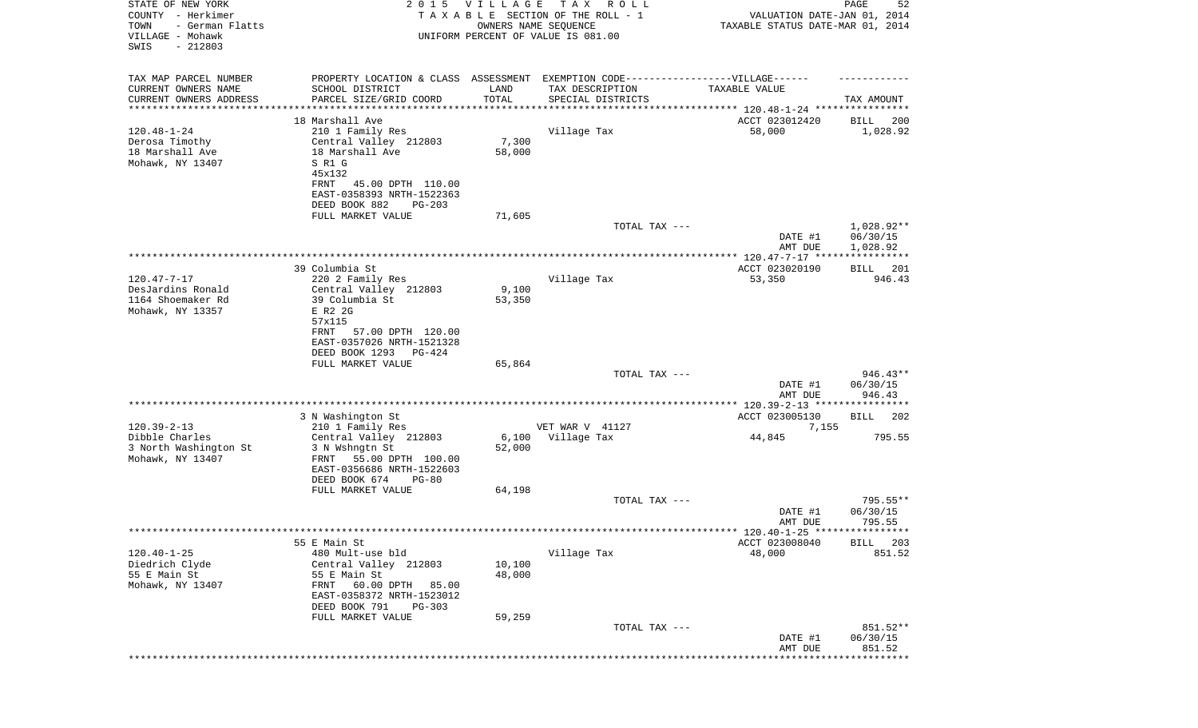| STATE OF NEW YORK<br>COUNTY - Herkimer<br>TOWN<br>- German Flatts<br>VILLAGE - Mohawk<br>SWIS<br>$-212803$ | 2 0 1 5                                                  | <b>VILLAGE</b><br>OWNERS NAME SEQUENCE | T A X<br>R O L L<br>TAXABLE SECTION OF THE ROLL - 1<br>UNIFORM PERCENT OF VALUE IS 081.00 | VALUATION DATE-JAN 01, 2014<br>TAXABLE STATUS DATE-MAR 01, 2014 | PAGE<br>52           |
|------------------------------------------------------------------------------------------------------------|----------------------------------------------------------|----------------------------------------|-------------------------------------------------------------------------------------------|-----------------------------------------------------------------|----------------------|
| TAX MAP PARCEL NUMBER                                                                                      |                                                          |                                        | PROPERTY LOCATION & CLASS ASSESSMENT EXEMPTION CODE----------------VILLAGE------          |                                                                 |                      |
| CURRENT OWNERS NAME                                                                                        | SCHOOL DISTRICT                                          | LAND                                   | TAX DESCRIPTION                                                                           | TAXABLE VALUE                                                   |                      |
| CURRENT OWNERS ADDRESS<br>********************                                                             | PARCEL SIZE/GRID COORD                                   | TOTAL                                  | SPECIAL DISTRICTS                                                                         |                                                                 | TAX AMOUNT           |
|                                                                                                            | 18 Marshall Ave                                          |                                        |                                                                                           | ACCT 023012420                                                  | 200<br>BILL          |
| $120.48 - 1 - 24$                                                                                          | 210 1 Family Res                                         |                                        | Village Tax                                                                               | 58,000                                                          | 1,028.92             |
| Derosa Timothy                                                                                             | Central Valley 212803                                    | 7,300                                  |                                                                                           |                                                                 |                      |
| 18 Marshall Ave                                                                                            | 18 Marshall Ave                                          | 58,000                                 |                                                                                           |                                                                 |                      |
| Mohawk, NY 13407                                                                                           | S R1 G                                                   |                                        |                                                                                           |                                                                 |                      |
|                                                                                                            | 45x132<br>FRNT<br>45.00 DPTH 110.00                      |                                        |                                                                                           |                                                                 |                      |
|                                                                                                            | EAST-0358393 NRTH-1522363                                |                                        |                                                                                           |                                                                 |                      |
|                                                                                                            | DEED BOOK 882<br>$PG-203$                                |                                        |                                                                                           |                                                                 |                      |
|                                                                                                            | FULL MARKET VALUE                                        | 71,605                                 |                                                                                           |                                                                 |                      |
|                                                                                                            |                                                          |                                        | TOTAL TAX ---                                                                             |                                                                 | 1,028.92**           |
|                                                                                                            |                                                          |                                        |                                                                                           | DATE #1<br>AMT DUE                                              | 06/30/15<br>1,028.92 |
|                                                                                                            |                                                          |                                        |                                                                                           |                                                                 | ***********          |
|                                                                                                            | 39 Columbia St                                           |                                        |                                                                                           | ACCT 023020190                                                  | 201<br>BILL          |
| $120.47 - 7 - 17$                                                                                          | 220 2 Family Res                                         |                                        | Village Tax                                                                               | 53,350                                                          | 946.43               |
| DesJardins Ronald<br>1164 Shoemaker Rd                                                                     | Central Valley 212803<br>39 Columbia St                  | 9,100<br>53,350                        |                                                                                           |                                                                 |                      |
| Mohawk, NY 13357                                                                                           | E R2 2G                                                  |                                        |                                                                                           |                                                                 |                      |
|                                                                                                            | 57x115                                                   |                                        |                                                                                           |                                                                 |                      |
|                                                                                                            | FRNT<br>57.00 DPTH 120.00                                |                                        |                                                                                           |                                                                 |                      |
|                                                                                                            | EAST-0357026 NRTH-1521328                                |                                        |                                                                                           |                                                                 |                      |
|                                                                                                            | DEED BOOK 1293<br>PG-424<br>FULL MARKET VALUE            | 65,864                                 |                                                                                           |                                                                 |                      |
|                                                                                                            |                                                          |                                        | TOTAL TAX ---                                                                             |                                                                 | $946.43**$           |
|                                                                                                            |                                                          |                                        |                                                                                           | DATE #1                                                         | 06/30/15             |
|                                                                                                            |                                                          |                                        |                                                                                           | AMT DUE                                                         | 946.43               |
|                                                                                                            | 3 N Washington St                                        |                                        |                                                                                           | *********** 120.39-2-13 *****************<br>ACCT 023005130     | BILL<br>202          |
| $120.39 - 2 - 13$                                                                                          | 210 1 Family Res                                         |                                        | VET WAR V 41127                                                                           | 7,155                                                           |                      |
| Dibble Charles                                                                                             | Central Valley 212803                                    | 6,100                                  | Village Tax                                                                               | 44,845                                                          | 795.55               |
| 3 North Washington St                                                                                      | 3 N Wshngtn St                                           | 52,000                                 |                                                                                           |                                                                 |                      |
| Mohawk, NY 13407                                                                                           | FRNT<br>55.00 DPTH 100.00                                |                                        |                                                                                           |                                                                 |                      |
|                                                                                                            | EAST-0356686 NRTH-1522603<br>DEED BOOK 674<br>$PG-80$    |                                        |                                                                                           |                                                                 |                      |
|                                                                                                            | FULL MARKET VALUE                                        | 64,198                                 |                                                                                           |                                                                 |                      |
|                                                                                                            |                                                          |                                        | TOTAL TAX ---                                                                             |                                                                 | $795.55**$           |
|                                                                                                            |                                                          |                                        |                                                                                           | DATE #1                                                         | 06/30/15             |
|                                                                                                            |                                                          |                                        |                                                                                           | AMT DUE                                                         | 795.55               |
|                                                                                                            | 55 E Main St                                             |                                        |                                                                                           | ACCT 023008040                                                  | 203<br>BILL          |
| $120.40 - 1 - 25$                                                                                          | 480 Mult-use bld                                         |                                        | Village Tax                                                                               | 48,000                                                          | 851.52               |
| Diedrich Clyde                                                                                             | Central Valley 212803                                    | 10,100                                 |                                                                                           |                                                                 |                      |
| 55 E Main St                                                                                               | 55 E Main St                                             | 48,000                                 |                                                                                           |                                                                 |                      |
| Mohawk, NY 13407                                                                                           | 60.00 DPTH<br>FRNT<br>85.00<br>EAST-0358372 NRTH-1523012 |                                        |                                                                                           |                                                                 |                      |
|                                                                                                            | DEED BOOK 791<br>$PG-303$                                |                                        |                                                                                           |                                                                 |                      |
|                                                                                                            | FULL MARKET VALUE                                        | 59,259                                 |                                                                                           |                                                                 |                      |
|                                                                                                            |                                                          |                                        | TOTAL TAX ---                                                                             |                                                                 | 851.52**             |
|                                                                                                            |                                                          |                                        |                                                                                           | DATE #1                                                         | 06/30/15             |
|                                                                                                            |                                                          |                                        |                                                                                           | AMT DUE                                                         | 851.52<br>*********  |
|                                                                                                            |                                                          |                                        |                                                                                           |                                                                 |                      |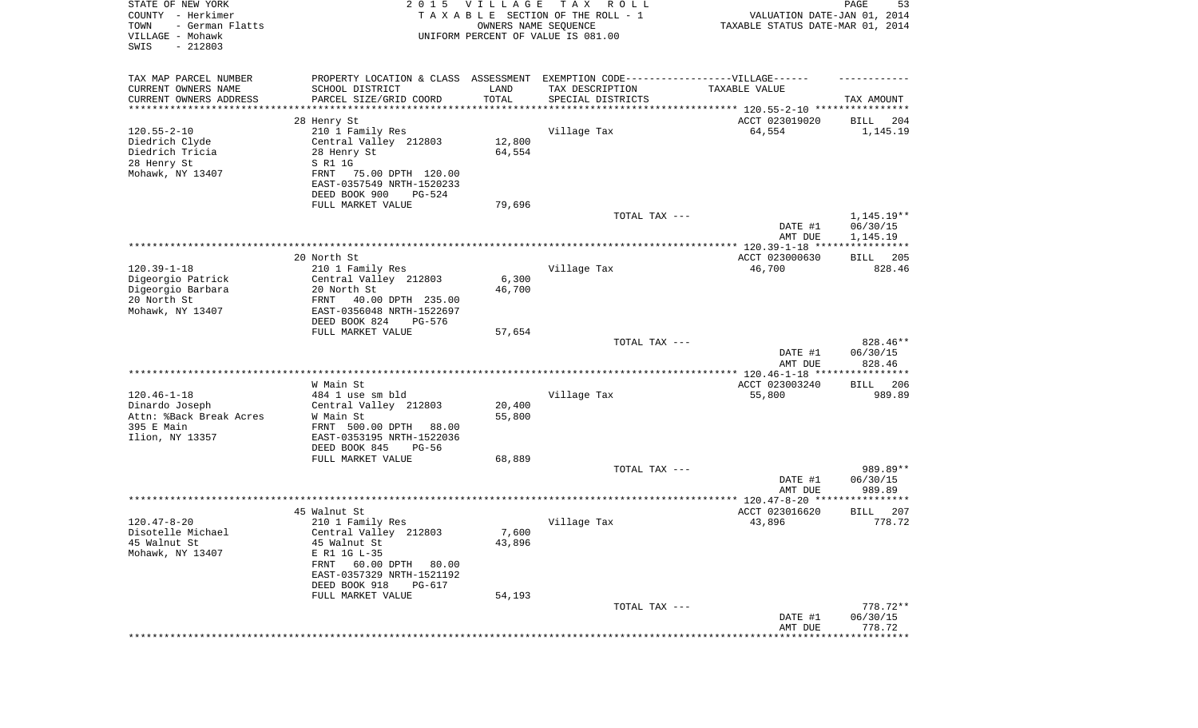| STATE OF NEW YORK<br>COUNTY - Herkimer<br>- German Flatts<br>TOWN<br>VILLAGE - Mohawk<br>SWIS<br>$-212803$ | 2 0 1 5                                                                           | <b>VILLAGE</b><br>OWNERS NAME SEQUENCE | T A X<br>R O L L<br>TAXABLE SECTION OF THE ROLL - 1<br>UNIFORM PERCENT OF VALUE IS 081.00 | VALUATION DATE-JAN 01, 2014<br>TAXABLE STATUS DATE-MAR 01, 2014 | PAGE<br>53              |
|------------------------------------------------------------------------------------------------------------|-----------------------------------------------------------------------------------|----------------------------------------|-------------------------------------------------------------------------------------------|-----------------------------------------------------------------|-------------------------|
| TAX MAP PARCEL NUMBER                                                                                      | PROPERTY LOCATION & CLASS ASSESSMENT EXEMPTION CODE-----------------VILLAGE------ |                                        |                                                                                           |                                                                 |                         |
| CURRENT OWNERS NAME                                                                                        | SCHOOL DISTRICT                                                                   | LAND                                   | TAX DESCRIPTION                                                                           | TAXABLE VALUE                                                   |                         |
| CURRENT OWNERS ADDRESS<br>*********************                                                            | PARCEL SIZE/GRID COORD<br>*******************                                     | TOTAL<br>* * * * * * * * * * *         | SPECIAL DISTRICTS                                                                         |                                                                 | TAX AMOUNT              |
|                                                                                                            | 28 Henry St                                                                       |                                        |                                                                                           | ACCT 023019020                                                  | 204<br>BILL             |
| $120.55 - 2 - 10$                                                                                          | 210 1 Family Res                                                                  |                                        | Village Tax                                                                               | 64,554                                                          | 1,145.19                |
| Diedrich Clyde                                                                                             | Central Valley 212803                                                             | 12,800                                 |                                                                                           |                                                                 |                         |
| Diedrich Tricia                                                                                            | 28 Henry St                                                                       | 64,554                                 |                                                                                           |                                                                 |                         |
| 28 Henry St                                                                                                | S R1 1G                                                                           |                                        |                                                                                           |                                                                 |                         |
| Mohawk, NY 13407                                                                                           | FRNT<br>75.00 DPTH 120.00                                                         |                                        |                                                                                           |                                                                 |                         |
|                                                                                                            | EAST-0357549 NRTH-1520233                                                         |                                        |                                                                                           |                                                                 |                         |
|                                                                                                            | DEED BOOK 900<br>PG-524<br>FULL MARKET VALUE                                      | 79,696                                 |                                                                                           |                                                                 |                         |
|                                                                                                            |                                                                                   |                                        | TOTAL TAX ---                                                                             |                                                                 | 1,145.19**              |
|                                                                                                            |                                                                                   |                                        |                                                                                           | DATE #1                                                         | 06/30/15                |
|                                                                                                            |                                                                                   |                                        |                                                                                           | AMT DUE                                                         | 1,145.19                |
|                                                                                                            |                                                                                   |                                        |                                                                                           |                                                                 |                         |
|                                                                                                            | 20 North St                                                                       |                                        |                                                                                           | ACCT 023000630                                                  | BILL 205                |
| $120.39 - 1 - 18$<br>Digeorgio Patrick                                                                     | 210 1 Family Res<br>Central Valley 212803                                         | 6,300                                  | Village Tax                                                                               | 46,700                                                          | 828.46                  |
| Digeorgio Barbara                                                                                          | 20 North St                                                                       | 46,700                                 |                                                                                           |                                                                 |                         |
| 20 North St                                                                                                | 40.00 DPTH 235.00<br>FRNT                                                         |                                        |                                                                                           |                                                                 |                         |
| Mohawk, NY 13407                                                                                           | EAST-0356048 NRTH-1522697                                                         |                                        |                                                                                           |                                                                 |                         |
|                                                                                                            | DEED BOOK 824<br>PG-576                                                           |                                        |                                                                                           |                                                                 |                         |
|                                                                                                            | FULL MARKET VALUE                                                                 | 57,654                                 |                                                                                           |                                                                 |                         |
|                                                                                                            |                                                                                   |                                        | TOTAL TAX ---                                                                             |                                                                 | 828.46**                |
|                                                                                                            |                                                                                   |                                        |                                                                                           | DATE #1<br>AMT DUE                                              | 06/30/15<br>828.46      |
|                                                                                                            |                                                                                   |                                        |                                                                                           | **************** 120.46-1-18 *****************                  |                         |
|                                                                                                            | W Main St                                                                         |                                        |                                                                                           | ACCT 023003240                                                  | 206<br>BILL             |
| $120.46 - 1 - 18$                                                                                          | 484 1 use sm bld                                                                  |                                        | Village Tax                                                                               | 55,800                                                          | 989.89                  |
| Dinardo Joseph                                                                                             | Central Valley 212803                                                             | 20,400                                 |                                                                                           |                                                                 |                         |
| Attn: %Back Break Acres                                                                                    | W Main St                                                                         | 55,800                                 |                                                                                           |                                                                 |                         |
| 395 E Main<br>Ilion, NY 13357                                                                              | FRNT 500.00 DPTH<br>88.00<br>EAST-0353195 NRTH-1522036                            |                                        |                                                                                           |                                                                 |                         |
|                                                                                                            | DEED BOOK 845<br>PG-56                                                            |                                        |                                                                                           |                                                                 |                         |
|                                                                                                            | FULL MARKET VALUE                                                                 | 68,889                                 |                                                                                           |                                                                 |                         |
|                                                                                                            |                                                                                   |                                        | TOTAL TAX ---                                                                             |                                                                 | 989.89**                |
|                                                                                                            |                                                                                   |                                        |                                                                                           | DATE #1                                                         | 06/30/15                |
|                                                                                                            |                                                                                   |                                        |                                                                                           | AMT DUE                                                         | 989.89                  |
|                                                                                                            | 45 Walnut St                                                                      |                                        |                                                                                           | ACCT 023016620                                                  | 207<br><b>BILL</b>      |
| $120.47 - 8 - 20$                                                                                          | 210 1 Family Res                                                                  |                                        | Village Tax                                                                               | 43,896                                                          | 778.72                  |
| Disotelle Michael                                                                                          | Central Valley 212803                                                             | 7,600                                  |                                                                                           |                                                                 |                         |
| 45 Walnut St                                                                                               | 45 Walnut St                                                                      | 43,896                                 |                                                                                           |                                                                 |                         |
| Mohawk, NY 13407                                                                                           | E R1 1G L-35                                                                      |                                        |                                                                                           |                                                                 |                         |
|                                                                                                            | 60.00 DPTH<br>FRNT<br>80.00                                                       |                                        |                                                                                           |                                                                 |                         |
|                                                                                                            | EAST-0357329 NRTH-1521192                                                         |                                        |                                                                                           |                                                                 |                         |
|                                                                                                            | DEED BOOK 918<br>PG-617                                                           |                                        |                                                                                           |                                                                 |                         |
|                                                                                                            | FULL MARKET VALUE                                                                 | 54,193                                 | TOTAL TAX ---                                                                             |                                                                 | 778.72**                |
|                                                                                                            |                                                                                   |                                        |                                                                                           | DATE #1                                                         | 06/30/15                |
|                                                                                                            |                                                                                   |                                        |                                                                                           | AMT DUE                                                         | 778.72                  |
|                                                                                                            |                                                                                   |                                        |                                                                                           |                                                                 | * * * * * * * * * * * * |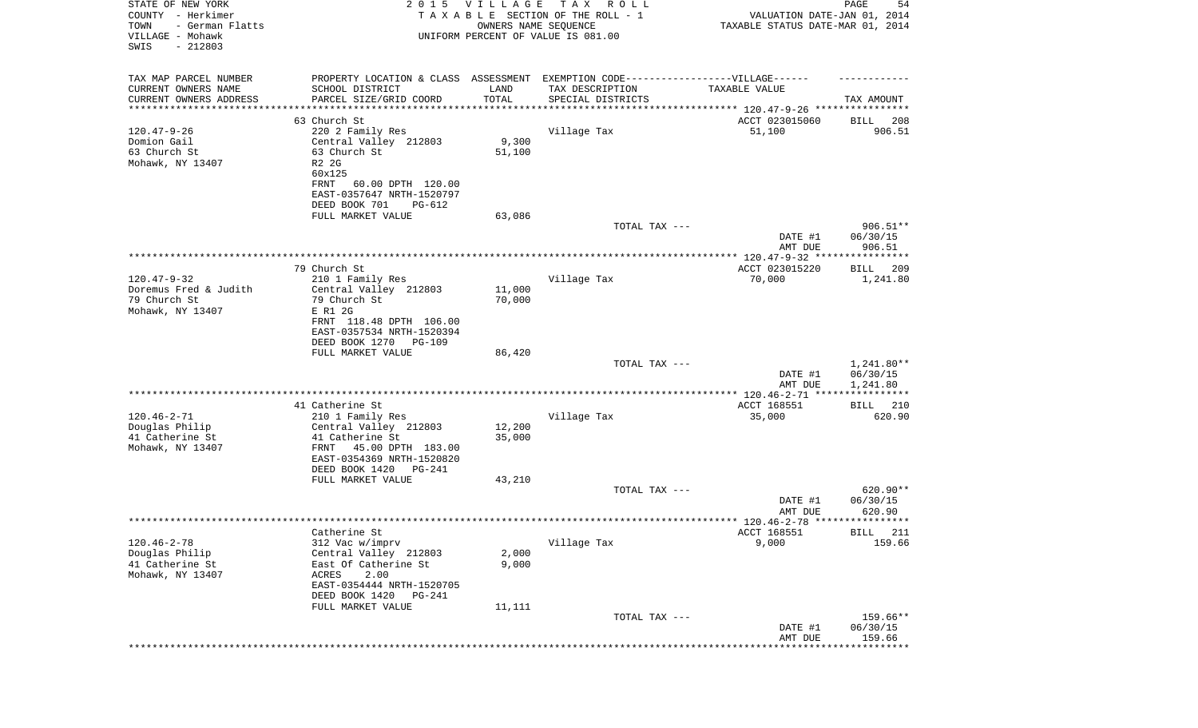| STATE OF NEW YORK<br>COUNTY - Herkimer<br>- German Flatts<br>TOWN<br>VILLAGE - Mohawk<br>SWIS<br>$-212803$ |                                                                                   | 2015 VILLAGE<br>OWNERS NAME SEQUENCE | T A X<br>R O L L<br>TAXABLE SECTION OF THE ROLL - 1<br>UNIFORM PERCENT OF VALUE IS 081.00 | VALUATION DATE-JAN 01, 2014<br>TAXABLE STATUS DATE-MAR 01, 2014 | PAGE<br>54                       |
|------------------------------------------------------------------------------------------------------------|-----------------------------------------------------------------------------------|--------------------------------------|-------------------------------------------------------------------------------------------|-----------------------------------------------------------------|----------------------------------|
| TAX MAP PARCEL NUMBER                                                                                      | PROPERTY LOCATION & CLASS ASSESSMENT EXEMPTION CODE-----------------VILLAGE------ |                                      |                                                                                           |                                                                 |                                  |
| CURRENT OWNERS NAME<br>CURRENT OWNERS ADDRESS                                                              | SCHOOL DISTRICT<br>PARCEL SIZE/GRID COORD                                         | LAND<br>TOTAL                        | TAX DESCRIPTION<br>SPECIAL DISTRICTS                                                      | TAXABLE VALUE                                                   | TAX AMOUNT                       |
| *********************                                                                                      | ********************                                                              |                                      |                                                                                           |                                                                 |                                  |
|                                                                                                            | 63 Church St                                                                      |                                      |                                                                                           | ACCT 023015060                                                  | 208<br>BILL                      |
| $120.47 - 9 - 26$<br>Domion Gail                                                                           | 220 2 Family Res<br>Central Valley 212803                                         | 9,300                                | Village Tax                                                                               | 51,100                                                          | 906.51                           |
| 63 Church St                                                                                               | 63 Church St                                                                      | 51,100                               |                                                                                           |                                                                 |                                  |
| Mohawk, NY 13407                                                                                           | R2 2G                                                                             |                                      |                                                                                           |                                                                 |                                  |
|                                                                                                            | 60x125                                                                            |                                      |                                                                                           |                                                                 |                                  |
|                                                                                                            | FRNT<br>60.00 DPTH 120.00                                                         |                                      |                                                                                           |                                                                 |                                  |
|                                                                                                            | EAST-0357647 NRTH-1520797                                                         |                                      |                                                                                           |                                                                 |                                  |
|                                                                                                            | DEED BOOK 701<br>PG-612                                                           |                                      |                                                                                           |                                                                 |                                  |
|                                                                                                            | FULL MARKET VALUE                                                                 | 63,086                               |                                                                                           |                                                                 |                                  |
|                                                                                                            |                                                                                   |                                      | TOTAL TAX ---                                                                             | DATE #1<br>AMT DUE                                              | $906.51**$<br>06/30/15<br>906.51 |
|                                                                                                            |                                                                                   |                                      |                                                                                           |                                                                 |                                  |
|                                                                                                            | 79 Church St                                                                      |                                      |                                                                                           | ACCT 023015220                                                  | 209<br>BILL                      |
| $120.47 - 9 - 32$                                                                                          | 210 1 Family Res                                                                  |                                      | Village Tax                                                                               | 70,000                                                          | 1,241.80                         |
| Doremus Fred & Judith                                                                                      | Central Valley 212803                                                             | 11,000                               |                                                                                           |                                                                 |                                  |
| 79 Church St                                                                                               | 79 Church St                                                                      | 70,000                               |                                                                                           |                                                                 |                                  |
| Mohawk, NY 13407                                                                                           | E R1 2G<br>FRNT 118.48 DPTH 106.00                                                |                                      |                                                                                           |                                                                 |                                  |
|                                                                                                            | EAST-0357534 NRTH-1520394                                                         |                                      |                                                                                           |                                                                 |                                  |
|                                                                                                            | DEED BOOK 1270<br>PG-109                                                          |                                      |                                                                                           |                                                                 |                                  |
|                                                                                                            | FULL MARKET VALUE                                                                 | 86,420                               |                                                                                           |                                                                 |                                  |
|                                                                                                            |                                                                                   |                                      | TOTAL TAX ---                                                                             |                                                                 | 1,241.80**                       |
|                                                                                                            |                                                                                   |                                      |                                                                                           | DATE #1                                                         | 06/30/15                         |
|                                                                                                            |                                                                                   |                                      |                                                                                           | AMT DUE                                                         | 1,241.80                         |
|                                                                                                            | 41 Catherine St                                                                   |                                      |                                                                                           | ACCT 168551                                                     | 210<br>BILL                      |
| $120.46 - 2 - 71$                                                                                          | 210 1 Family Res                                                                  |                                      | Village Tax                                                                               | 35,000                                                          | 620.90                           |
| Douglas Philip                                                                                             | Central Valley 212803                                                             | 12,200                               |                                                                                           |                                                                 |                                  |
| 41 Catherine St                                                                                            | 41 Catherine St                                                                   | 35,000                               |                                                                                           |                                                                 |                                  |
| Mohawk, NY 13407                                                                                           | FRNT<br>45.00 DPTH 183.00                                                         |                                      |                                                                                           |                                                                 |                                  |
|                                                                                                            | EAST-0354369 NRTH-1520820                                                         |                                      |                                                                                           |                                                                 |                                  |
|                                                                                                            | DEED BOOK 1420<br>PG-241                                                          |                                      |                                                                                           |                                                                 |                                  |
|                                                                                                            | FULL MARKET VALUE                                                                 | 43,210                               |                                                                                           |                                                                 |                                  |
|                                                                                                            |                                                                                   |                                      | TOTAL TAX ---                                                                             | DATE #1                                                         | 620.90**<br>06/30/15             |
|                                                                                                            |                                                                                   |                                      |                                                                                           | AMT DUE                                                         | 620.90                           |
|                                                                                                            |                                                                                   |                                      |                                                                                           |                                                                 |                                  |
|                                                                                                            | Catherine St                                                                      |                                      |                                                                                           | ACCT 168551                                                     | BILL 211                         |
| $120.46 - 2 - 78$                                                                                          | 312 Vac w/imprv                                                                   |                                      | Village Tax                                                                               | 9,000                                                           | 159.66                           |
| Douglas Philip                                                                                             | Central Valley 212803                                                             | 2,000                                |                                                                                           |                                                                 |                                  |
| 41 Catherine St                                                                                            | East Of Catherine St                                                              | 9,000                                |                                                                                           |                                                                 |                                  |
| Mohawk, NY 13407                                                                                           | ACRES<br>2.00                                                                     |                                      |                                                                                           |                                                                 |                                  |
|                                                                                                            | EAST-0354444 NRTH-1520705<br>DEED BOOK 1420<br><b>PG-241</b>                      |                                      |                                                                                           |                                                                 |                                  |
|                                                                                                            | FULL MARKET VALUE                                                                 | 11,111                               |                                                                                           |                                                                 |                                  |
|                                                                                                            |                                                                                   |                                      | TOTAL TAX ---                                                                             |                                                                 | 159.66**                         |
|                                                                                                            |                                                                                   |                                      |                                                                                           | DATE #1                                                         | 06/30/15                         |
|                                                                                                            |                                                                                   |                                      |                                                                                           | AMT DUE                                                         | 159.66                           |
|                                                                                                            |                                                                                   |                                      |                                                                                           |                                                                 | * * * * * * * * *                |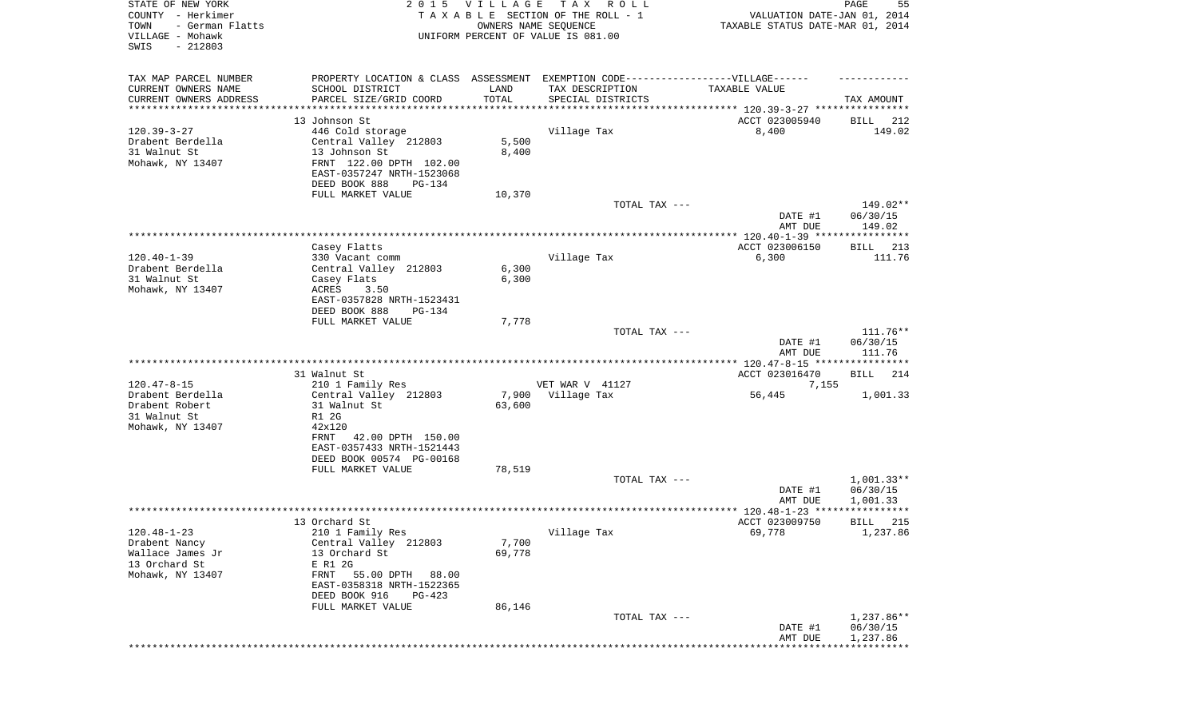| STATE OF NEW YORK<br>COUNTY - Herkimer<br>TOWN<br>- German Flatts<br>VILLAGE - Mohawk<br>SWIS<br>$-212803$ |                                                                                  | 2015 VILLAGE<br>OWNERS NAME SEQUENCE | T A X<br>R O L L<br>TAXABLE SECTION OF THE ROLL - 1<br>UNIFORM PERCENT OF VALUE IS 081.00 | VALUATION DATE-JAN 01, 2014<br>TAXABLE STATUS DATE-MAR 01, 2014 | PAGE<br>55           |
|------------------------------------------------------------------------------------------------------------|----------------------------------------------------------------------------------|--------------------------------------|-------------------------------------------------------------------------------------------|-----------------------------------------------------------------|----------------------|
| TAX MAP PARCEL NUMBER                                                                                      | PROPERTY LOCATION & CLASS ASSESSMENT EXEMPTION CODE----------------VILLAGE------ |                                      |                                                                                           |                                                                 |                      |
| CURRENT OWNERS NAME<br>CURRENT OWNERS ADDRESS                                                              | SCHOOL DISTRICT<br>PARCEL SIZE/GRID COORD                                        | LAND<br>TOTAL                        | TAX DESCRIPTION<br>SPECIAL DISTRICTS                                                      | TAXABLE VALUE                                                   | TAX AMOUNT           |
| *********************                                                                                      | ************************                                                         | * * * * * * * * * * *                | ********************************* 120.39-3-27 ****************                            |                                                                 |                      |
|                                                                                                            | 13 Johnson St                                                                    |                                      |                                                                                           | ACCT 023005940                                                  | BILL<br>212          |
| $120.39 - 3 - 27$                                                                                          | 446 Cold storage                                                                 |                                      | Village Tax                                                                               | 8,400                                                           | 149.02               |
| Drabent Berdella<br>31 Walnut St                                                                           | Central Valley 212803<br>13 Johnson St                                           | 5,500<br>8,400                       |                                                                                           |                                                                 |                      |
| Mohawk, NY 13407                                                                                           | FRNT 122.00 DPTH 102.00                                                          |                                      |                                                                                           |                                                                 |                      |
|                                                                                                            | EAST-0357247 NRTH-1523068                                                        |                                      |                                                                                           |                                                                 |                      |
|                                                                                                            | DEED BOOK 888<br>PG-134                                                          |                                      |                                                                                           |                                                                 |                      |
|                                                                                                            | FULL MARKET VALUE                                                                | 10,370                               |                                                                                           |                                                                 |                      |
|                                                                                                            |                                                                                  |                                      | TOTAL TAX ---                                                                             |                                                                 | 149.02**             |
|                                                                                                            |                                                                                  |                                      |                                                                                           | DATE #1                                                         | 06/30/15             |
|                                                                                                            |                                                                                  |                                      |                                                                                           | AMT DUE                                                         | 149.02               |
|                                                                                                            | Casey Flatts                                                                     |                                      |                                                                                           | ACCT 023006150                                                  | 213<br>BILL          |
| $120.40 - 1 - 39$                                                                                          | 330 Vacant comm                                                                  |                                      | Village Tax                                                                               | 6,300                                                           | 111.76               |
| Drabent Berdella                                                                                           | Central Valley 212803                                                            | 6,300                                |                                                                                           |                                                                 |                      |
| 31 Walnut St                                                                                               | Casey Flats                                                                      | 6,300                                |                                                                                           |                                                                 |                      |
| Mohawk, NY 13407                                                                                           | ACRES<br>3.50                                                                    |                                      |                                                                                           |                                                                 |                      |
|                                                                                                            | EAST-0357828 NRTH-1523431                                                        |                                      |                                                                                           |                                                                 |                      |
|                                                                                                            | DEED BOOK 888<br>PG-134                                                          |                                      |                                                                                           |                                                                 |                      |
|                                                                                                            | FULL MARKET VALUE                                                                | 7,778                                |                                                                                           |                                                                 |                      |
|                                                                                                            |                                                                                  |                                      | TOTAL TAX ---                                                                             |                                                                 | $111.76**$           |
|                                                                                                            |                                                                                  |                                      |                                                                                           | DATE #1<br>AMT DUE                                              | 06/30/15<br>111.76   |
|                                                                                                            |                                                                                  |                                      |                                                                                           |                                                                 |                      |
|                                                                                                            | 31 Walnut St                                                                     |                                      |                                                                                           | ACCT 023016470                                                  | <b>BILL</b><br>214   |
| $120.47 - 8 - 15$                                                                                          | 210 1 Family Res                                                                 |                                      | VET WAR V 41127                                                                           | 7,155                                                           |                      |
| Drabent Berdella                                                                                           | Central Valley 212803                                                            | 7,900                                | Village Tax                                                                               | 56,445                                                          | 1,001.33             |
| Drabent Robert                                                                                             | 31 Walnut St                                                                     | 63,600                               |                                                                                           |                                                                 |                      |
| 31 Walnut St                                                                                               | R1 2G                                                                            |                                      |                                                                                           |                                                                 |                      |
| Mohawk, NY 13407                                                                                           | 42x120<br>FRNT                                                                   |                                      |                                                                                           |                                                                 |                      |
|                                                                                                            | 42.00 DPTH 150.00<br>EAST-0357433 NRTH-1521443                                   |                                      |                                                                                           |                                                                 |                      |
|                                                                                                            | DEED BOOK 00574 PG-00168                                                         |                                      |                                                                                           |                                                                 |                      |
|                                                                                                            | FULL MARKET VALUE                                                                | 78,519                               |                                                                                           |                                                                 |                      |
|                                                                                                            |                                                                                  |                                      | TOTAL TAX ---                                                                             |                                                                 | $1,001.33**$         |
|                                                                                                            |                                                                                  |                                      |                                                                                           | DATE #1                                                         | 06/30/15             |
|                                                                                                            |                                                                                  |                                      |                                                                                           | AMT DUE                                                         | 1,001.33             |
|                                                                                                            |                                                                                  |                                      |                                                                                           |                                                                 |                      |
|                                                                                                            | 13 Orchard St                                                                    |                                      |                                                                                           | ACCT 023009750                                                  | BILL 215             |
| $120.48 - 1 - 23$<br>Drabent Nancy                                                                         | 210 1 Family Res<br>Central Valley 212803                                        | 7,700                                | Village Tax                                                                               | 69,778                                                          | 1,237.86             |
| Wallace James Jr                                                                                           | 13 Orchard St                                                                    | 69,778                               |                                                                                           |                                                                 |                      |
| 13 Orchard St                                                                                              | E R1 2G                                                                          |                                      |                                                                                           |                                                                 |                      |
| Mohawk, NY 13407                                                                                           | FRNT 55.00 DPTH<br>88.00                                                         |                                      |                                                                                           |                                                                 |                      |
|                                                                                                            | EAST-0358318 NRTH-1522365                                                        |                                      |                                                                                           |                                                                 |                      |
|                                                                                                            | DEED BOOK 916<br>$PG-423$                                                        |                                      |                                                                                           |                                                                 |                      |
|                                                                                                            | FULL MARKET VALUE                                                                | 86,146                               |                                                                                           |                                                                 |                      |
|                                                                                                            |                                                                                  |                                      | TOTAL TAX ---                                                                             |                                                                 | 1,237.86**           |
|                                                                                                            |                                                                                  |                                      |                                                                                           | DATE #1<br>AMT DUE                                              | 06/30/15<br>1,237.86 |
|                                                                                                            |                                                                                  |                                      |                                                                                           |                                                                 |                      |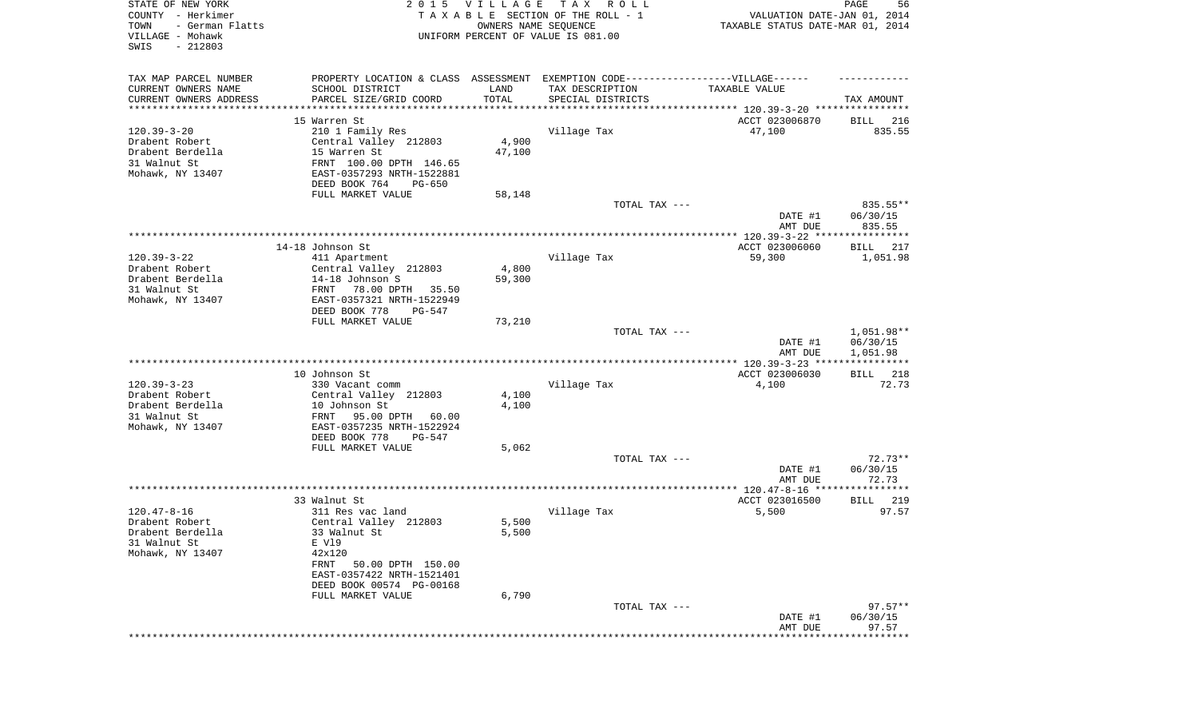| STATE OF NEW YORK<br>COUNTY - Herkimer<br>TOWN<br>- German Flatts<br>VILLAGE - Mohawk<br>SWIS<br>$-212803$ | 2 0 1 5                                                                           | <b>VILLAGE</b><br>OWNERS NAME SEQUENCE | TAX ROLL<br>TAXABLE SECTION OF THE ROLL - 1<br>UNIFORM PERCENT OF VALUE IS 081.00 | VALUATION DATE-JAN 01, 2014<br>TAXABLE STATUS DATE-MAR 01, 2014 | 56<br>PAGE                     |
|------------------------------------------------------------------------------------------------------------|-----------------------------------------------------------------------------------|----------------------------------------|-----------------------------------------------------------------------------------|-----------------------------------------------------------------|--------------------------------|
| TAX MAP PARCEL NUMBER                                                                                      | PROPERTY LOCATION & CLASS ASSESSMENT EXEMPTION CODE-----------------VILLAGE------ |                                        |                                                                                   |                                                                 |                                |
| CURRENT OWNERS NAME                                                                                        | SCHOOL DISTRICT                                                                   | LAND                                   | TAX DESCRIPTION                                                                   | TAXABLE VALUE                                                   |                                |
| CURRENT OWNERS ADDRESS                                                                                     | PARCEL SIZE/GRID COORD                                                            | TOTAL<br>***********                   | SPECIAL DISTRICTS                                                                 |                                                                 | TAX AMOUNT                     |
| *********************                                                                                      | 15 Warren St                                                                      |                                        |                                                                                   |                                                                 |                                |
| $120.39 - 3 - 20$                                                                                          | 210 1 Family Res                                                                  |                                        | Village Tax                                                                       | ACCT 023006870<br>47,100                                        | BILL<br>216<br>835.55          |
| Drabent Robert                                                                                             | Central Valley 212803                                                             | 4,900                                  |                                                                                   |                                                                 |                                |
| Drabent Berdella                                                                                           | 15 Warren St                                                                      | 47,100                                 |                                                                                   |                                                                 |                                |
| 31 Walnut St                                                                                               | FRNT 100.00 DPTH 146.65                                                           |                                        |                                                                                   |                                                                 |                                |
| Mohawk, NY 13407                                                                                           | EAST-0357293 NRTH-1522881                                                         |                                        |                                                                                   |                                                                 |                                |
|                                                                                                            | DEED BOOK 764<br>PG-650                                                           |                                        |                                                                                   |                                                                 |                                |
|                                                                                                            | FULL MARKET VALUE                                                                 | 58,148                                 |                                                                                   |                                                                 |                                |
|                                                                                                            |                                                                                   |                                        | TOTAL TAX ---                                                                     | DATE #1<br>AMT DUE                                              | 835.55**<br>06/30/15<br>835.55 |
|                                                                                                            |                                                                                   |                                        |                                                                                   |                                                                 |                                |
|                                                                                                            | 14-18 Johnson St                                                                  |                                        |                                                                                   | ACCT 023006060                                                  | 217<br>BILL                    |
| $120.39 - 3 - 22$                                                                                          | 411 Apartment                                                                     |                                        | Village Tax                                                                       | 59,300                                                          | 1,051.98                       |
| Drabent Robert                                                                                             | Central Valley 212803                                                             | 4,800                                  |                                                                                   |                                                                 |                                |
| Drabent Berdella                                                                                           | 14-18 Johnson S                                                                   | 59,300                                 |                                                                                   |                                                                 |                                |
| 31 Walnut St                                                                                               | 78.00 DPTH<br>FRNT<br>35.50                                                       |                                        |                                                                                   |                                                                 |                                |
| Mohawk, NY 13407                                                                                           | EAST-0357321 NRTH-1522949<br>DEED BOOK 778<br>PG-547                              |                                        |                                                                                   |                                                                 |                                |
|                                                                                                            | FULL MARKET VALUE                                                                 | 73,210                                 |                                                                                   |                                                                 |                                |
|                                                                                                            |                                                                                   |                                        | TOTAL TAX ---                                                                     |                                                                 | $1,051.98**$                   |
|                                                                                                            |                                                                                   |                                        |                                                                                   | DATE #1                                                         | 06/30/15                       |
|                                                                                                            |                                                                                   |                                        |                                                                                   | AMT DUE                                                         | 1,051.98                       |
|                                                                                                            |                                                                                   |                                        |                                                                                   |                                                                 | ***********                    |
| $120.39 - 3 - 23$                                                                                          | 10 Johnson St<br>330 Vacant comm                                                  |                                        | Village Tax                                                                       | ACCT 023006030<br>4,100                                         | 218<br>BILL<br>72.73           |
| Drabent Robert                                                                                             | Central Valley 212803                                                             | 4,100                                  |                                                                                   |                                                                 |                                |
| Drabent Berdella                                                                                           | 10 Johnson St                                                                     | 4,100                                  |                                                                                   |                                                                 |                                |
| 31 Walnut St                                                                                               | FRNT<br>95.00 DPTH<br>60.00                                                       |                                        |                                                                                   |                                                                 |                                |
| Mohawk, NY 13407                                                                                           | EAST-0357235 NRTH-1522924                                                         |                                        |                                                                                   |                                                                 |                                |
|                                                                                                            | DEED BOOK 778<br>PG-547                                                           |                                        |                                                                                   |                                                                 |                                |
|                                                                                                            | FULL MARKET VALUE                                                                 | 5,062                                  |                                                                                   |                                                                 |                                |
|                                                                                                            |                                                                                   |                                        | TOTAL TAX ---                                                                     |                                                                 | $72.73**$                      |
|                                                                                                            |                                                                                   |                                        |                                                                                   | DATE #1<br>AMT DUE                                              | 06/30/15<br>72.73              |
|                                                                                                            |                                                                                   |                                        |                                                                                   |                                                                 |                                |
|                                                                                                            | 33 Walnut St                                                                      |                                        |                                                                                   | ACCT 023016500                                                  | 219<br>BILL                    |
| $120.47 - 8 - 16$                                                                                          | 311 Res vac land                                                                  |                                        | Village Tax                                                                       | 5,500                                                           | 97.57                          |
| Drabent Robert                                                                                             | Central Valley 212803                                                             | 5,500                                  |                                                                                   |                                                                 |                                |
| Drabent Berdella                                                                                           | 33 Walnut St                                                                      | 5,500                                  |                                                                                   |                                                                 |                                |
| 31 Walnut St                                                                                               | E V19                                                                             |                                        |                                                                                   |                                                                 |                                |
| Mohawk, NY 13407                                                                                           | 42x120                                                                            |                                        |                                                                                   |                                                                 |                                |
|                                                                                                            | FRNT<br>50.00 DPTH 150.00<br>EAST-0357422 NRTH-1521401                            |                                        |                                                                                   |                                                                 |                                |
|                                                                                                            | DEED BOOK 00574 PG-00168                                                          |                                        |                                                                                   |                                                                 |                                |
|                                                                                                            | FULL MARKET VALUE                                                                 | 6,790                                  |                                                                                   |                                                                 |                                |
|                                                                                                            |                                                                                   |                                        | TOTAL TAX ---                                                                     |                                                                 | $97.57**$                      |
|                                                                                                            |                                                                                   |                                        |                                                                                   | DATE #1                                                         | 06/30/15                       |
|                                                                                                            |                                                                                   |                                        |                                                                                   | AMT DUE                                                         | 97.57                          |
|                                                                                                            |                                                                                   |                                        |                                                                                   | **************************                                      |                                |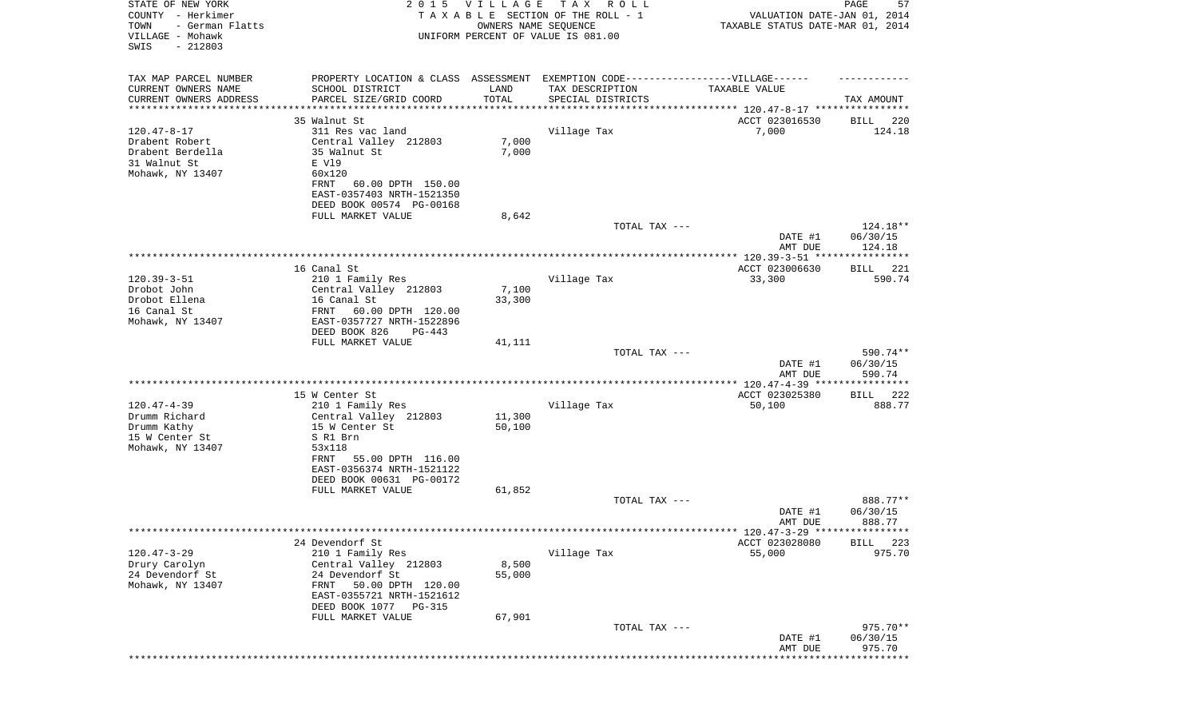| STATE OF NEW YORK<br>COUNTY - Herkimer<br>- German Flatts<br>TOWN<br>VILLAGE - Mohawk<br>SWIS<br>$-212803$ |                                                                                   | 2015 VILLAGE<br>OWNERS NAME SEQUENCE | TAX ROLL<br>TAXABLE SECTION OF THE ROLL - 1<br>UNIFORM PERCENT OF VALUE IS 081.00 | VALUATION DATE-JAN 01, 2014<br>TAXABLE STATUS DATE-MAR 01, 2014 | PAGE<br>57           |
|------------------------------------------------------------------------------------------------------------|-----------------------------------------------------------------------------------|--------------------------------------|-----------------------------------------------------------------------------------|-----------------------------------------------------------------|----------------------|
| TAX MAP PARCEL NUMBER                                                                                      | PROPERTY LOCATION & CLASS ASSESSMENT EXEMPTION CODE-----------------VILLAGE------ |                                      |                                                                                   |                                                                 |                      |
| CURRENT OWNERS NAME                                                                                        | SCHOOL DISTRICT                                                                   | LAND                                 | TAX DESCRIPTION                                                                   | TAXABLE VALUE                                                   |                      |
| CURRENT OWNERS ADDRESS<br>********************                                                             | PARCEL SIZE/GRID COORD                                                            | TOTAL                                | SPECIAL DISTRICTS                                                                 |                                                                 | TAX AMOUNT           |
|                                                                                                            | 35 Walnut St                                                                      |                                      |                                                                                   | ACCT 023016530                                                  | BILL 220             |
| $120.47 - 8 - 17$                                                                                          | 311 Res vac land                                                                  |                                      | Village Tax                                                                       | 7,000                                                           | 124.18               |
| Drabent Robert                                                                                             | Central Valley 212803                                                             | 7,000                                |                                                                                   |                                                                 |                      |
| Drabent Berdella                                                                                           | 35 Walnut St                                                                      | 7,000                                |                                                                                   |                                                                 |                      |
| 31 Walnut St                                                                                               | E V19                                                                             |                                      |                                                                                   |                                                                 |                      |
| Mohawk, NY 13407                                                                                           | 60x120                                                                            |                                      |                                                                                   |                                                                 |                      |
|                                                                                                            | 60.00 DPTH 150.00<br>FRNT<br>EAST-0357403 NRTH-1521350                            |                                      |                                                                                   |                                                                 |                      |
|                                                                                                            | DEED BOOK 00574 PG-00168                                                          |                                      |                                                                                   |                                                                 |                      |
|                                                                                                            | FULL MARKET VALUE                                                                 | 8,642                                |                                                                                   |                                                                 |                      |
|                                                                                                            |                                                                                   |                                      | TOTAL TAX ---                                                                     |                                                                 | 124.18**             |
|                                                                                                            |                                                                                   |                                      |                                                                                   | DATE #1<br>AMT DUE                                              | 06/30/15<br>124.18   |
|                                                                                                            | 16 Canal St                                                                       |                                      |                                                                                   | ACCT 023006630                                                  | BILL 221             |
| $120.39 - 3 - 51$                                                                                          | 210 1 Family Res                                                                  |                                      | Village Tax                                                                       | 33,300                                                          | 590.74               |
| Drobot John                                                                                                | Central Valley 212803                                                             | 7,100                                |                                                                                   |                                                                 |                      |
| Drobot Ellena                                                                                              | 16 Canal St                                                                       | 33,300                               |                                                                                   |                                                                 |                      |
| 16 Canal St                                                                                                | FRNT 60.00 DPTH 120.00                                                            |                                      |                                                                                   |                                                                 |                      |
| Mohawk, NY 13407                                                                                           | EAST-0357727 NRTH-1522896                                                         |                                      |                                                                                   |                                                                 |                      |
|                                                                                                            | DEED BOOK 826<br>PG-443                                                           |                                      |                                                                                   |                                                                 |                      |
|                                                                                                            | FULL MARKET VALUE                                                                 | 41,111                               | TOTAL TAX ---                                                                     |                                                                 | 590.74**             |
|                                                                                                            |                                                                                   |                                      |                                                                                   | DATE #1                                                         | 06/30/15             |
|                                                                                                            |                                                                                   |                                      |                                                                                   | AMT DUE                                                         | 590.74               |
|                                                                                                            |                                                                                   |                                      |                                                                                   |                                                                 |                      |
|                                                                                                            | 15 W Center St                                                                    |                                      |                                                                                   | ACCT 023025380                                                  | BILL 222             |
| $120.47 - 4 - 39$<br>Drumm Richard                                                                         | 210 1 Family Res<br>Central Valley 212803                                         | 11,300                               | Village Tax                                                                       | 50,100                                                          | 888.77               |
| Drumm Kathy                                                                                                | 15 W Center St                                                                    | 50,100                               |                                                                                   |                                                                 |                      |
| 15 W Center St                                                                                             | S R1 Brn                                                                          |                                      |                                                                                   |                                                                 |                      |
| Mohawk, NY 13407                                                                                           | 53x118                                                                            |                                      |                                                                                   |                                                                 |                      |
|                                                                                                            | 55.00 DPTH 116.00<br>FRNT                                                         |                                      |                                                                                   |                                                                 |                      |
|                                                                                                            | EAST-0356374 NRTH-1521122                                                         |                                      |                                                                                   |                                                                 |                      |
|                                                                                                            | DEED BOOK 00631 PG-00172<br>FULL MARKET VALUE                                     | 61,852                               |                                                                                   |                                                                 |                      |
|                                                                                                            |                                                                                   |                                      | TOTAL TAX ---                                                                     |                                                                 | 888.77**             |
|                                                                                                            |                                                                                   |                                      |                                                                                   | DATE #1                                                         | 06/30/15             |
|                                                                                                            |                                                                                   |                                      |                                                                                   | AMT DUE                                                         | 888.77               |
|                                                                                                            |                                                                                   |                                      |                                                                                   |                                                                 |                      |
|                                                                                                            | 24 Devendorf St                                                                   |                                      |                                                                                   | ACCT 023028080                                                  | <b>BILL</b><br>223   |
| $120.47 - 3 - 29$<br>Drury Carolyn                                                                         | 210 1 Family Res<br>Central Valley 212803                                         | 8,500                                | Village Tax                                                                       | 55,000                                                          | 975.70               |
| 24 Devendorf St                                                                                            | 24 Devendorf St                                                                   | 55,000                               |                                                                                   |                                                                 |                      |
| Mohawk, NY 13407                                                                                           | 50.00 DPTH 120.00<br>FRNT                                                         |                                      |                                                                                   |                                                                 |                      |
|                                                                                                            | EAST-0355721 NRTH-1521612                                                         |                                      |                                                                                   |                                                                 |                      |
|                                                                                                            | DEED BOOK 1077<br>PG-315                                                          |                                      |                                                                                   |                                                                 |                      |
|                                                                                                            | FULL MARKET VALUE                                                                 | 67,901                               |                                                                                   |                                                                 |                      |
|                                                                                                            |                                                                                   |                                      | TOTAL TAX ---                                                                     | DATE #1                                                         | 975.70**<br>06/30/15 |
|                                                                                                            |                                                                                   |                                      |                                                                                   | AMT DUE                                                         | 975.70               |
|                                                                                                            |                                                                                   |                                      |                                                                                   |                                                                 | ********             |
|                                                                                                            |                                                                                   |                                      |                                                                                   |                                                                 |                      |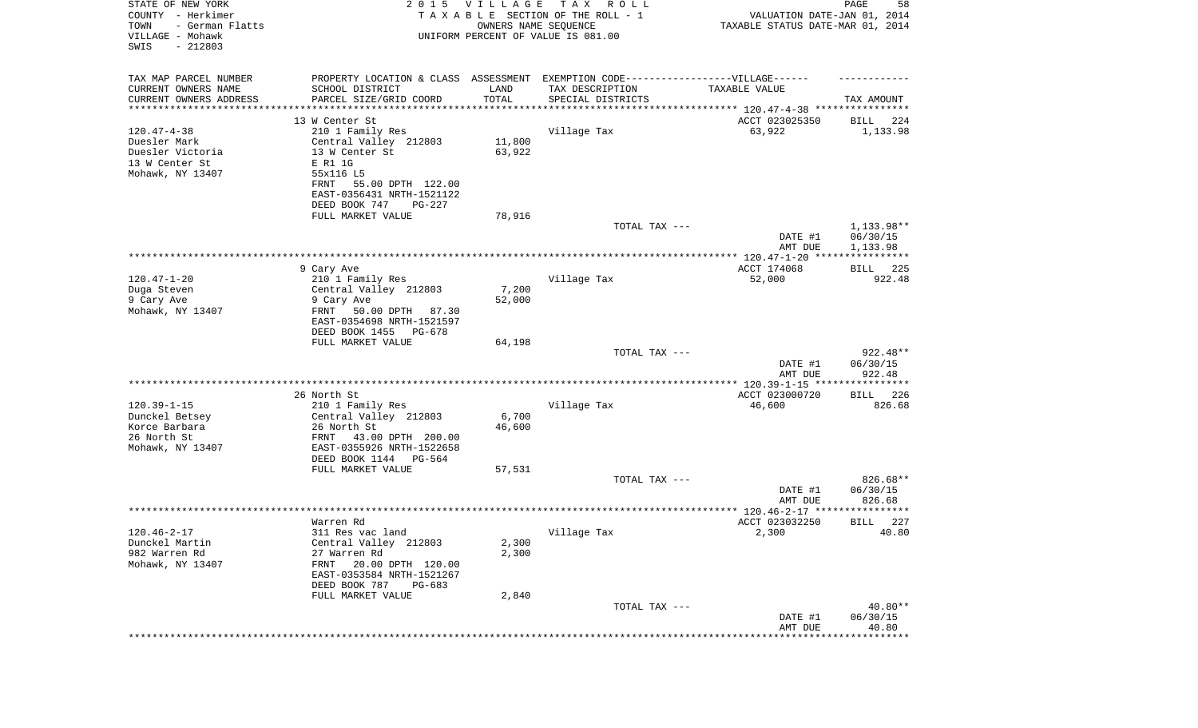| STATE OF NEW YORK<br>COUNTY - Herkimer<br>- German Flatts<br>TOWN<br>VILLAGE - Mohawk<br>SWIS<br>$-212803$ | 2 0 1 5                                                                           | V I L L A G E<br>OWNERS NAME SEQUENCE | TAX ROLL<br>TAXABLE SECTION OF THE ROLL - 1<br>UNIFORM PERCENT OF VALUE IS 081.00 | VALUATION DATE-JAN 01, 2014<br>TAXABLE STATUS DATE-MAR 01, 2014 | PAGE<br>58            |
|------------------------------------------------------------------------------------------------------------|-----------------------------------------------------------------------------------|---------------------------------------|-----------------------------------------------------------------------------------|-----------------------------------------------------------------|-----------------------|
| TAX MAP PARCEL NUMBER                                                                                      | PROPERTY LOCATION & CLASS ASSESSMENT EXEMPTION CODE-----------------VILLAGE------ |                                       |                                                                                   |                                                                 |                       |
| CURRENT OWNERS NAME                                                                                        | SCHOOL DISTRICT                                                                   | LAND                                  | TAX DESCRIPTION                                                                   | TAXABLE VALUE                                                   |                       |
| CURRENT OWNERS ADDRESS<br>********************                                                             | PARCEL SIZE/GRID COORD                                                            | TOTAL<br>**********                   | SPECIAL DISTRICTS                                                                 |                                                                 | TAX AMOUNT            |
|                                                                                                            | 13 W Center St                                                                    |                                       |                                                                                   | ACCT 023025350                                                  | 224<br>BILL           |
| $120.47 - 4 - 38$                                                                                          | 210 1 Family Res                                                                  |                                       | Village Tax                                                                       | 63,922                                                          | 1,133.98              |
| Duesler Mark                                                                                               | Central Valley 212803                                                             | 11,800                                |                                                                                   |                                                                 |                       |
| Duesler Victoria                                                                                           | 13 W Center St                                                                    | 63,922                                |                                                                                   |                                                                 |                       |
| 13 W Center St<br>Mohawk, NY 13407                                                                         | E R1 1G<br>55x116 L5                                                              |                                       |                                                                                   |                                                                 |                       |
|                                                                                                            | FRNT<br>55.00 DPTH 122.00                                                         |                                       |                                                                                   |                                                                 |                       |
|                                                                                                            | EAST-0356431 NRTH-1521122                                                         |                                       |                                                                                   |                                                                 |                       |
|                                                                                                            | DEED BOOK 747<br>PG-227                                                           |                                       |                                                                                   |                                                                 |                       |
|                                                                                                            | FULL MARKET VALUE                                                                 | 78,916                                | TOTAL TAX ---                                                                     |                                                                 | 1,133.98**            |
|                                                                                                            |                                                                                   |                                       |                                                                                   | DATE #1                                                         | 06/30/15              |
|                                                                                                            |                                                                                   |                                       |                                                                                   | AMT DUE                                                         | 1,133.98              |
|                                                                                                            |                                                                                   |                                       |                                                                                   |                                                                 |                       |
| $120.47 - 1 - 20$                                                                                          | 9 Cary Ave<br>210 1 Family Res                                                    |                                       | Village Tax                                                                       | ACCT 174068<br>52,000                                           | 225<br>BILL<br>922.48 |
| Duga Steven                                                                                                | Central Valley 212803                                                             | 7,200                                 |                                                                                   |                                                                 |                       |
| 9 Cary Ave                                                                                                 | 9 Cary Ave                                                                        | 52,000                                |                                                                                   |                                                                 |                       |
| Mohawk, NY 13407                                                                                           | 50.00 DPTH<br>FRNT<br>87.30                                                       |                                       |                                                                                   |                                                                 |                       |
|                                                                                                            | EAST-0354698 NRTH-1521597<br>DEED BOOK 1455<br>PG-678                             |                                       |                                                                                   |                                                                 |                       |
|                                                                                                            | FULL MARKET VALUE                                                                 | 64,198                                |                                                                                   |                                                                 |                       |
|                                                                                                            |                                                                                   |                                       | TOTAL TAX ---                                                                     |                                                                 | $922.48**$            |
|                                                                                                            |                                                                                   |                                       |                                                                                   | DATE #1                                                         | 06/30/15              |
|                                                                                                            |                                                                                   |                                       |                                                                                   | AMT DUE                                                         | 922.48<br>*********** |
|                                                                                                            | 26 North St                                                                       |                                       |                                                                                   | ACCT 023000720                                                  | 226<br>BILL           |
| $120.39 - 1 - 15$                                                                                          | 210 1 Family Res                                                                  |                                       | Village Tax                                                                       | 46,600                                                          | 826.68                |
| Dunckel Betsey                                                                                             | Central Valley 212803                                                             | 6,700                                 |                                                                                   |                                                                 |                       |
| Korce Barbara<br>26 North St                                                                               | 26 North St<br>FRNT<br>43.00 DPTH 200.00                                          | 46,600                                |                                                                                   |                                                                 |                       |
| Mohawk, NY 13407                                                                                           | EAST-0355926 NRTH-1522658                                                         |                                       |                                                                                   |                                                                 |                       |
|                                                                                                            | DEED BOOK 1144 PG-564                                                             |                                       |                                                                                   |                                                                 |                       |
|                                                                                                            | FULL MARKET VALUE                                                                 | 57,531                                |                                                                                   |                                                                 |                       |
|                                                                                                            |                                                                                   |                                       | TOTAL TAX ---                                                                     |                                                                 | 826.68**              |
|                                                                                                            |                                                                                   |                                       |                                                                                   | DATE #1<br>AMT DUE                                              | 06/30/15<br>826.68    |
|                                                                                                            |                                                                                   |                                       |                                                                                   |                                                                 | * * * * * *           |
|                                                                                                            | Warren Rd                                                                         |                                       |                                                                                   | ACCT 023032250                                                  | 227<br>BILL           |
| 120.46-2-17                                                                                                | 311 Res vac land                                                                  |                                       | Village Tax                                                                       | 2,300                                                           | 40.80                 |
| Dunckel Martin<br>982 Warren Rd                                                                            | Central Valley 212803<br>27 Warren Rd                                             | 2,300<br>2,300                        |                                                                                   |                                                                 |                       |
| Mohawk, NY 13407                                                                                           | 20.00 DPTH 120.00<br>FRNT                                                         |                                       |                                                                                   |                                                                 |                       |
|                                                                                                            | EAST-0353584 NRTH-1521267                                                         |                                       |                                                                                   |                                                                 |                       |
|                                                                                                            | DEED BOOK 787<br>PG-683                                                           |                                       |                                                                                   |                                                                 |                       |
|                                                                                                            | FULL MARKET VALUE                                                                 | 2,840                                 | TOTAL TAX ---                                                                     |                                                                 | 40.80**               |
|                                                                                                            |                                                                                   |                                       |                                                                                   | DATE #1                                                         | 06/30/15              |
|                                                                                                            |                                                                                   |                                       |                                                                                   | AMT DUE                                                         | 40.80                 |
|                                                                                                            |                                                                                   |                                       |                                                                                   |                                                                 | **********            |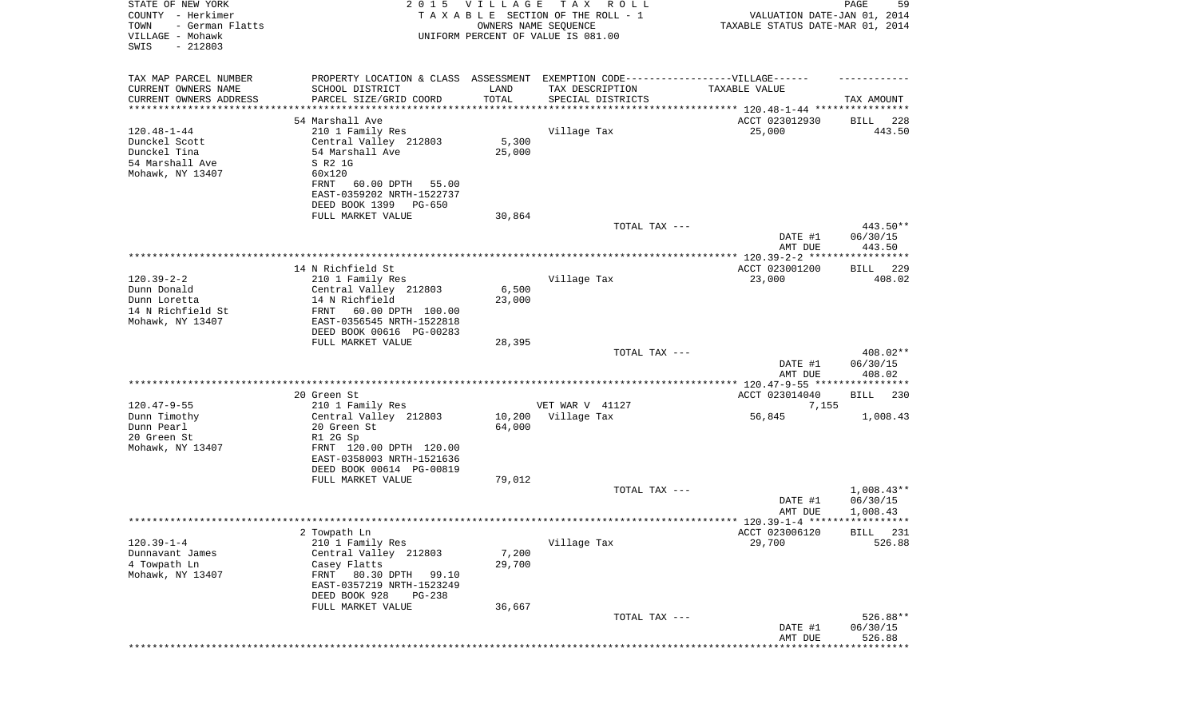| STATE OF NEW YORK<br>COUNTY - Herkimer<br>- German Flatts<br>TOWN<br>VILLAGE - Mohawk<br>SWIS<br>$-212803$ |                                             | 2015 VILLAGE    | T A X<br>R O L L<br>TAXABLE SECTION OF THE ROLL - 1<br>OWNERS NAME SEQUENCE<br>UNIFORM PERCENT OF VALUE IS 081.00 | VALUATION DATE-JAN 01, 2014<br>TAXABLE STATUS DATE-MAR 01, 2014 | PAGE<br>59                     |
|------------------------------------------------------------------------------------------------------------|---------------------------------------------|-----------------|-------------------------------------------------------------------------------------------------------------------|-----------------------------------------------------------------|--------------------------------|
| TAX MAP PARCEL NUMBER                                                                                      |                                             |                 | PROPERTY LOCATION & CLASS ASSESSMENT EXEMPTION CODE----------------VILLAGE------                                  |                                                                 |                                |
| CURRENT OWNERS NAME                                                                                        | SCHOOL DISTRICT                             | LAND            | TAX DESCRIPTION                                                                                                   | TAXABLE VALUE                                                   |                                |
| CURRENT OWNERS ADDRESS<br>*********************                                                            | PARCEL SIZE/GRID COORD                      | TOTAL           | SPECIAL DISTRICTS                                                                                                 |                                                                 | TAX AMOUNT                     |
|                                                                                                            | 54 Marshall Ave                             |                 |                                                                                                                   | ACCT 023012930                                                  | 228<br>BILL                    |
| $120.48 - 1 - 44$                                                                                          | 210 1 Family Res                            |                 | Village Tax                                                                                                       | 25,000                                                          | 443.50                         |
| Dunckel Scott                                                                                              | Central Valley 212803                       | 5,300           |                                                                                                                   |                                                                 |                                |
| Dunckel Tina                                                                                               | 54 Marshall Ave                             | 25,000          |                                                                                                                   |                                                                 |                                |
| 54 Marshall Ave                                                                                            | S R2 1G                                     |                 |                                                                                                                   |                                                                 |                                |
| Mohawk, NY 13407                                                                                           | 60x120<br>60.00 DPTH<br>FRNT<br>55.00       |                 |                                                                                                                   |                                                                 |                                |
|                                                                                                            | EAST-0359202 NRTH-1522737                   |                 |                                                                                                                   |                                                                 |                                |
|                                                                                                            | DEED BOOK 1399 PG-650                       |                 |                                                                                                                   |                                                                 |                                |
|                                                                                                            | FULL MARKET VALUE                           | 30,864          |                                                                                                                   |                                                                 |                                |
|                                                                                                            |                                             |                 | TOTAL TAX ---                                                                                                     |                                                                 | 443.50**                       |
|                                                                                                            |                                             |                 |                                                                                                                   | DATE #1<br>AMT DUE                                              | 06/30/15<br>443.50             |
|                                                                                                            |                                             |                 |                                                                                                                   |                                                                 |                                |
|                                                                                                            | 14 N Richfield St                           |                 |                                                                                                                   | ACCT 023001200                                                  | 229<br>BILL                    |
| $120.39 - 2 - 2$                                                                                           | 210 1 Family Res                            |                 | Village Tax                                                                                                       | 23,000                                                          | 408.02                         |
| Dunn Donald                                                                                                | Central Valley 212803                       | 6,500           |                                                                                                                   |                                                                 |                                |
| Dunn Loretta<br>14 N Richfield St                                                                          | 14 N Richfield<br>60.00 DPTH 100.00<br>FRNT | 23,000          |                                                                                                                   |                                                                 |                                |
| Mohawk, NY 13407                                                                                           | EAST-0356545 NRTH-1522818                   |                 |                                                                                                                   |                                                                 |                                |
|                                                                                                            | DEED BOOK 00616 PG-00283                    |                 |                                                                                                                   |                                                                 |                                |
|                                                                                                            | FULL MARKET VALUE                           | 28,395          |                                                                                                                   |                                                                 |                                |
|                                                                                                            |                                             |                 | TOTAL TAX ---                                                                                                     | DATE #1<br>AMT DUE                                              | 408.02**<br>06/30/15<br>408.02 |
|                                                                                                            |                                             |                 |                                                                                                                   |                                                                 |                                |
|                                                                                                            | 20 Green St                                 |                 |                                                                                                                   | ACCT 023014040                                                  | BILL<br>230                    |
| $120.47 - 9 - 55$                                                                                          | 210 1 Family Res                            |                 | VET WAR V 41127                                                                                                   | 7,155                                                           |                                |
| Dunn Timothy                                                                                               | Central Valley 212803                       | 10,200          | Village Tax                                                                                                       | 56,845                                                          | 1,008.43                       |
| Dunn Pearl<br>20 Green St                                                                                  | 20 Green St<br>R1 2G Sp                     | 64,000          |                                                                                                                   |                                                                 |                                |
| Mohawk, NY 13407                                                                                           | FRNT 120.00 DPTH 120.00                     |                 |                                                                                                                   |                                                                 |                                |
|                                                                                                            | EAST-0358003 NRTH-1521636                   |                 |                                                                                                                   |                                                                 |                                |
|                                                                                                            | DEED BOOK 00614 PG-00819                    |                 |                                                                                                                   |                                                                 |                                |
|                                                                                                            | FULL MARKET VALUE                           | 79,012          |                                                                                                                   |                                                                 |                                |
|                                                                                                            |                                             |                 | TOTAL TAX ---                                                                                                     | DATE #1                                                         | $1,008.43**$<br>06/30/15       |
|                                                                                                            |                                             |                 |                                                                                                                   | AMT DUE                                                         | 1,008.43                       |
|                                                                                                            |                                             |                 |                                                                                                                   |                                                                 |                                |
|                                                                                                            | 2 Towpath Ln                                |                 |                                                                                                                   | ACCT 023006120                                                  | BILL 231                       |
| $120.39 - 1 - 4$                                                                                           | 210 1 Family Res                            |                 | Village Tax                                                                                                       | 29,700                                                          | 526.88                         |
| Dunnavant James<br>4 Towpath Ln                                                                            | Central Valley 212803<br>Casey Flatts       | 7,200<br>29,700 |                                                                                                                   |                                                                 |                                |
| Mohawk, NY 13407                                                                                           | FRNT 80.30 DPTH<br>99.10                    |                 |                                                                                                                   |                                                                 |                                |
|                                                                                                            | EAST-0357219 NRTH-1523249                   |                 |                                                                                                                   |                                                                 |                                |
|                                                                                                            | DEED BOOK 928<br>PG-238                     |                 |                                                                                                                   |                                                                 |                                |
|                                                                                                            | FULL MARKET VALUE                           | 36,667          |                                                                                                                   |                                                                 |                                |
|                                                                                                            |                                             |                 | TOTAL TAX ---                                                                                                     | DATE #1                                                         | 526.88**<br>06/30/15           |
|                                                                                                            |                                             |                 |                                                                                                                   | AMT DUE                                                         | 526.88                         |
|                                                                                                            |                                             |                 |                                                                                                                   |                                                                 | ********                       |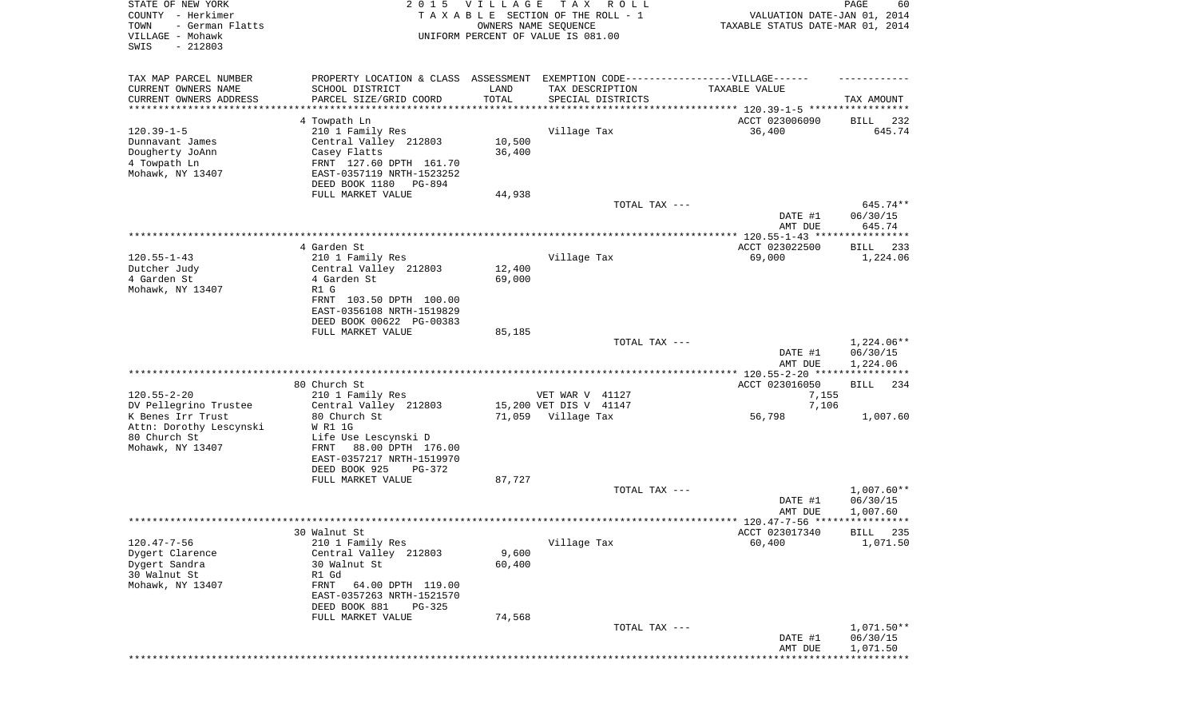| STATE OF NEW YORK<br>COUNTY - Herkimer<br>TOWN<br>- German Flatts<br>VILLAGE - Mohawk<br>SWIS<br>$-212803$ | 2 0 1 5                                                                                                                                                                 | <b>VILLAGE</b>   | T A X<br>R O L L<br>TAXABLE SECTION OF THE ROLL - 1<br>OWNERS NAME SEQUENCE<br>UNIFORM PERCENT OF VALUE IS 081.00 | VALUATION DATE-JAN 01, 2014<br>TAXABLE STATUS DATE-MAR 01, 2014          | PAGE<br>60                           |
|------------------------------------------------------------------------------------------------------------|-------------------------------------------------------------------------------------------------------------------------------------------------------------------------|------------------|-------------------------------------------------------------------------------------------------------------------|--------------------------------------------------------------------------|--------------------------------------|
| TAX MAP PARCEL NUMBER<br>CURRENT OWNERS NAME<br>CURRENT OWNERS ADDRESS<br>*********************            | PROPERTY LOCATION & CLASS ASSESSMENT EXEMPTION CODE-----------------VILLAGE------<br>SCHOOL DISTRICT<br>PARCEL SIZE/GRID COORD<br>******************                    | LAND<br>TOTAL    | TAX DESCRIPTION<br>SPECIAL DISTRICTS                                                                              | TAXABLE VALUE                                                            | TAX AMOUNT                           |
| $120.39 - 1 - 5$<br>Dunnavant James<br>Dougherty JoAnn<br>4 Towpath Ln<br>Mohawk, NY 13407                 | 4 Towpath Ln<br>210 1 Family Res<br>Central Valley 212803<br>Casey Flatts<br>FRNT 127.60 DPTH 161.70<br>EAST-0357119 NRTH-1523252<br>DEED BOOK 1180<br>PG-894           | 10,500<br>36,400 | Village Tax                                                                                                       | ACCT 023006090<br>36,400                                                 | BILL<br>232<br>645.74                |
|                                                                                                            | FULL MARKET VALUE                                                                                                                                                       | 44,938           | TOTAL TAX ---                                                                                                     | DATE #1                                                                  | 645.74**<br>06/30/15                 |
|                                                                                                            |                                                                                                                                                                         |                  |                                                                                                                   | AMT DUE                                                                  | 645.74                               |
| $120.55 - 1 - 43$<br>Dutcher Judy<br>4 Garden St<br>Mohawk, NY 13407                                       | 4 Garden St<br>210 1 Family Res<br>Central Valley 212803<br>4 Garden St<br>R1 G<br>FRNT 103.50 DPTH 100.00<br>EAST-0356108 NRTH-1519829<br>DEED BOOK 00622 PG-00383     | 12,400<br>69,000 | Village Tax                                                                                                       | ACCT 023022500<br>69,000                                                 | BILL<br>233<br>1,224.06              |
|                                                                                                            | FULL MARKET VALUE                                                                                                                                                       | 85,185           | TOTAL TAX ---                                                                                                     | DATE #1<br>AMT DUE                                                       | $1,224.06**$<br>06/30/15<br>1,224.06 |
| $120.55 - 2 - 20$                                                                                          | 80 Church St<br>210 1 Family Res                                                                                                                                        |                  | VET WAR V 41127                                                                                                   | *************** 120.55-2-20 *****************<br>ACCT 023016050<br>7,155 | <b>BILL</b><br>234                   |
| DV Pellegrino Trustee<br>K Benes Irr Trust<br>Attn: Dorothy Lescynski<br>80 Church St<br>Mohawk, NY 13407  | Central Valley 212803<br>80 Church St<br>W R1 1G<br>Life Use Lescynski D<br>88.00 DPTH 176.00<br>FRNT<br>EAST-0357217 NRTH-1519970                                      |                  | 15,200 VET DIS V 41147<br>71,059 Village Tax                                                                      | 7,106<br>56,798                                                          | 1,007.60                             |
|                                                                                                            | DEED BOOK 925<br>PG-372<br>FULL MARKET VALUE                                                                                                                            | 87,727           | TOTAL TAX ---                                                                                                     | DATE #1<br>AMT DUE                                                       | $1,007.60**$<br>06/30/15<br>1,007.60 |
| $120.47 - 7 - 56$<br>Dygert Clarence<br>Dygert Sandra<br>30 Walnut St<br>Mohawk, NY 13407                  | 30 Walnut St<br>210 1 Family Res<br>Central Valley 212803<br>30 Walnut St<br>R1 Gd<br>FRNT<br>64.00 DPTH 119.00<br>EAST-0357263 NRTH-1521570<br>DEED BOOK 881<br>PG-325 | 9,600<br>60,400  | Village Tax                                                                                                       | ACCT 023017340<br>60,400                                                 | BILL 235<br>1,071.50                 |
|                                                                                                            | FULL MARKET VALUE                                                                                                                                                       | 74,568           | TOTAL TAX ---                                                                                                     | DATE #1<br>AMT DUE                                                       | 1,071.50**<br>06/30/15<br>1,071.50   |
|                                                                                                            |                                                                                                                                                                         |                  |                                                                                                                   |                                                                          | * * * * * * * * * * *                |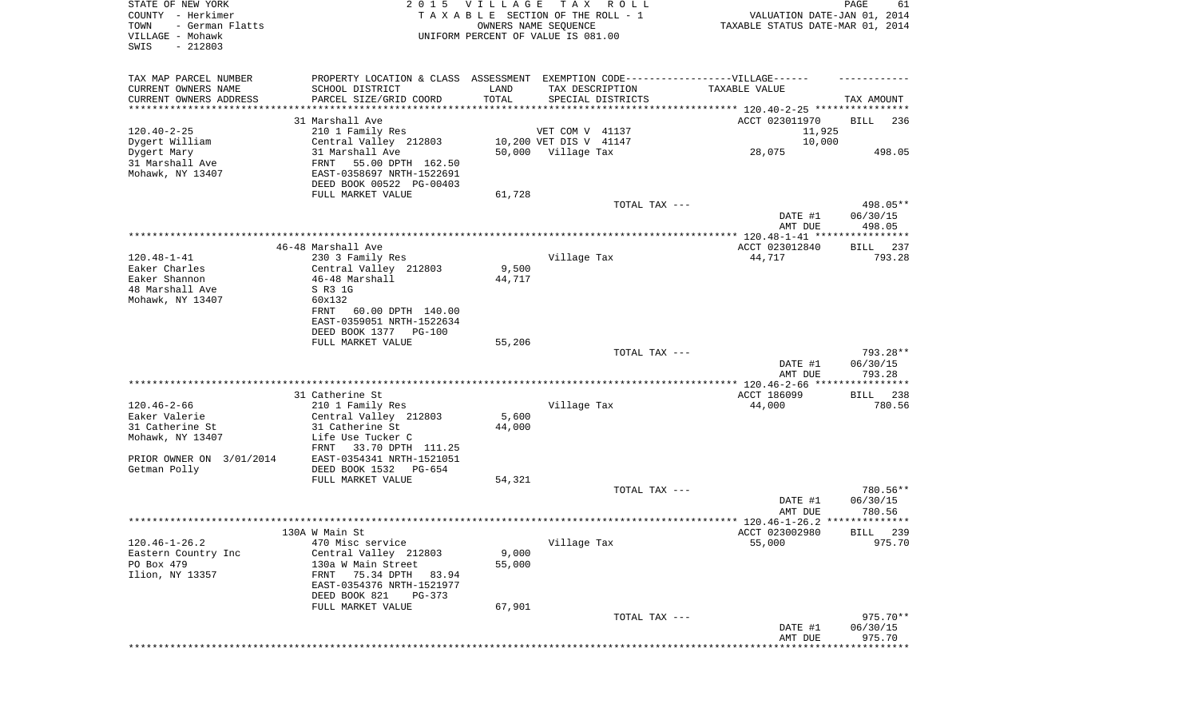| STATE OF NEW YORK<br>COUNTY - Herkimer<br>TOWN<br>- German Flatts<br>VILLAGE - Mohawk<br>SWIS<br>$-212803$ |                                                                                  | 2015 VILLAGE  | T A X<br>R O L L<br>TAXABLE SECTION OF THE ROLL - 1<br>OWNERS NAME SEQUENCE<br>UNIFORM PERCENT OF VALUE IS 081.00 | VALUATION DATE-JAN 01, 2014<br>TAXABLE STATUS DATE-MAR 01, 2014 | PAGE<br>61  |
|------------------------------------------------------------------------------------------------------------|----------------------------------------------------------------------------------|---------------|-------------------------------------------------------------------------------------------------------------------|-----------------------------------------------------------------|-------------|
| TAX MAP PARCEL NUMBER                                                                                      | PROPERTY LOCATION & CLASS ASSESSMENT EXEMPTION CODE----------------VILLAGE------ |               |                                                                                                                   |                                                                 |             |
| CURRENT OWNERS NAME<br>CURRENT OWNERS ADDRESS                                                              | SCHOOL DISTRICT                                                                  | LAND<br>TOTAL | TAX DESCRIPTION                                                                                                   | TAXABLE VALUE                                                   |             |
| *********************                                                                                      | PARCEL SIZE/GRID COORD                                                           |               | SPECIAL DISTRICTS                                                                                                 |                                                                 | TAX AMOUNT  |
|                                                                                                            | 31 Marshall Ave                                                                  |               |                                                                                                                   | ACCT 023011970                                                  | BILL<br>236 |
| $120.40 - 2 - 25$                                                                                          | 210 1 Family Res                                                                 |               | VET COM V 41137                                                                                                   | 11,925                                                          |             |
| Dygert William                                                                                             | Central Valley 212803                                                            |               | 10,200 VET DIS V 41147                                                                                            | 10,000                                                          |             |
| Dygert Mary                                                                                                | 31 Marshall Ave                                                                  |               | 50,000 Village Tax                                                                                                | 28,075                                                          | 498.05      |
| 31 Marshall Ave                                                                                            | FRNT<br>55.00 DPTH 162.50                                                        |               |                                                                                                                   |                                                                 |             |
| Mohawk, NY 13407                                                                                           | EAST-0358697 NRTH-1522691                                                        |               |                                                                                                                   |                                                                 |             |
|                                                                                                            | DEED BOOK 00522 PG-00403                                                         |               |                                                                                                                   |                                                                 |             |
|                                                                                                            | FULL MARKET VALUE                                                                | 61,728        | TOTAL TAX ---                                                                                                     |                                                                 | 498.05**    |
|                                                                                                            |                                                                                  |               |                                                                                                                   | DATE #1                                                         | 06/30/15    |
|                                                                                                            |                                                                                  |               |                                                                                                                   | AMT DUE                                                         | 498.05      |
|                                                                                                            |                                                                                  |               |                                                                                                                   |                                                                 |             |
|                                                                                                            | 46-48 Marshall Ave                                                               |               |                                                                                                                   | ACCT 023012840                                                  | 237<br>BILL |
| $120.48 - 1 - 41$                                                                                          | 230 3 Family Res                                                                 |               | Village Tax                                                                                                       | 44,717                                                          | 793.28      |
| Eaker Charles                                                                                              | Central Valley 212803                                                            | 9,500         |                                                                                                                   |                                                                 |             |
| Eaker Shannon<br>48 Marshall Ave                                                                           | 46-48 Marshall<br>S R3 1G                                                        | 44,717        |                                                                                                                   |                                                                 |             |
| Mohawk, NY 13407                                                                                           | 60x132                                                                           |               |                                                                                                                   |                                                                 |             |
|                                                                                                            | FRNT<br>60.00 DPTH 140.00                                                        |               |                                                                                                                   |                                                                 |             |
|                                                                                                            | EAST-0359051 NRTH-1522634                                                        |               |                                                                                                                   |                                                                 |             |
|                                                                                                            | DEED BOOK 1377 PG-100                                                            |               |                                                                                                                   |                                                                 |             |
|                                                                                                            | FULL MARKET VALUE                                                                | 55,206        |                                                                                                                   |                                                                 |             |
|                                                                                                            |                                                                                  |               | TOTAL TAX ---                                                                                                     |                                                                 | 793.28**    |
|                                                                                                            |                                                                                  |               |                                                                                                                   | DATE #1                                                         | 06/30/15    |
|                                                                                                            |                                                                                  |               |                                                                                                                   | AMT DUE                                                         | 793.28      |
|                                                                                                            | 31 Catherine St                                                                  |               |                                                                                                                   | ACCT 186099                                                     | 238<br>BILL |
| $120.46 - 2 - 66$                                                                                          | 210 1 Family Res                                                                 |               | Village Tax                                                                                                       | 44,000                                                          | 780.56      |
| Eaker Valerie                                                                                              | Central Valley 212803                                                            | 5,600         |                                                                                                                   |                                                                 |             |
| 31 Catherine St                                                                                            | 31 Catherine St                                                                  | 44,000        |                                                                                                                   |                                                                 |             |
| Mohawk, NY 13407                                                                                           | Life Use Tucker C                                                                |               |                                                                                                                   |                                                                 |             |
|                                                                                                            | FRNT<br>33.70 DPTH 111.25                                                        |               |                                                                                                                   |                                                                 |             |
| PRIOR OWNER ON 3/01/2014                                                                                   | EAST-0354341 NRTH-1521051                                                        |               |                                                                                                                   |                                                                 |             |
| Getman Polly                                                                                               | DEED BOOK 1532<br>PG-654<br>FULL MARKET VALUE                                    | 54,321        |                                                                                                                   |                                                                 |             |
|                                                                                                            |                                                                                  |               | TOTAL TAX ---                                                                                                     |                                                                 | 780.56**    |
|                                                                                                            |                                                                                  |               |                                                                                                                   | DATE #1                                                         | 06/30/15    |
|                                                                                                            |                                                                                  |               |                                                                                                                   | AMT DUE                                                         | 780.56      |
|                                                                                                            |                                                                                  |               |                                                                                                                   |                                                                 |             |
|                                                                                                            | 130A W Main St                                                                   |               |                                                                                                                   | ACCT 023002980                                                  | BILL 239    |
| $120.46 - 1 - 26.2$                                                                                        | 470 Misc service                                                                 |               | Village Tax                                                                                                       | 55,000                                                          | 975.70      |
| Eastern Country Inc                                                                                        | Central Valley 212803                                                            | 9,000         |                                                                                                                   |                                                                 |             |
| PO Box 479<br>Ilion, NY 13357                                                                              | 130a W Main Street<br>75.34 DPTH<br>83.94<br>FRNT                                | 55,000        |                                                                                                                   |                                                                 |             |
|                                                                                                            | EAST-0354376 NRTH-1521977                                                        |               |                                                                                                                   |                                                                 |             |
|                                                                                                            | DEED BOOK 821<br>$PG-373$                                                        |               |                                                                                                                   |                                                                 |             |
|                                                                                                            | FULL MARKET VALUE                                                                | 67,901        |                                                                                                                   |                                                                 |             |
|                                                                                                            |                                                                                  |               | TOTAL TAX ---                                                                                                     |                                                                 | 975.70**    |
|                                                                                                            |                                                                                  |               |                                                                                                                   | DATE #1                                                         | 06/30/15    |
|                                                                                                            |                                                                                  |               |                                                                                                                   | AMT DUE                                                         | 975.70      |
|                                                                                                            |                                                                                  |               |                                                                                                                   |                                                                 |             |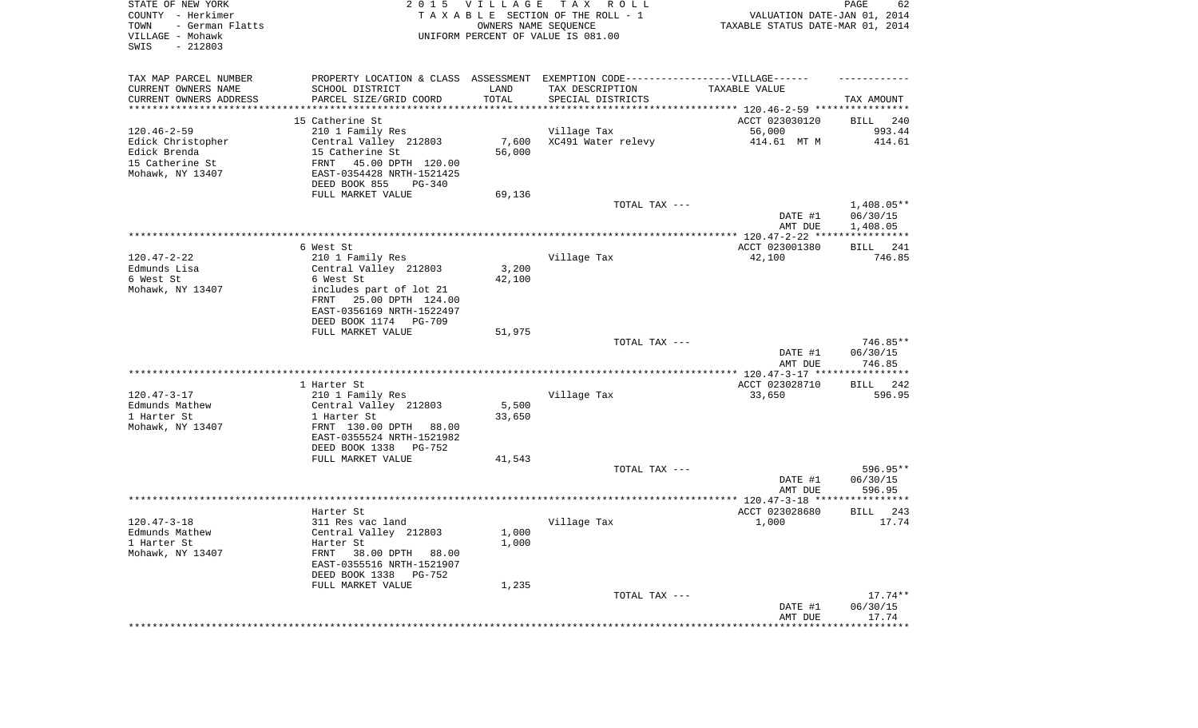| STATE OF NEW YORK<br>COUNTY - Herkimer<br>TOWN<br>- German Flatts<br>VILLAGE - Mohawk<br>SWIS<br>$-212803$ |                                                                                   | 2015 VILLAGE<br>OWNERS NAME SEQUENCE | T A X<br>R O L L<br>TAXABLE SECTION OF THE ROLL - 1<br>UNIFORM PERCENT OF VALUE IS 081.00 | VALUATION DATE-JAN 01, 2014<br>TAXABLE STATUS DATE-MAR 01, 2014 | PAGE<br>62             |
|------------------------------------------------------------------------------------------------------------|-----------------------------------------------------------------------------------|--------------------------------------|-------------------------------------------------------------------------------------------|-----------------------------------------------------------------|------------------------|
| TAX MAP PARCEL NUMBER                                                                                      | PROPERTY LOCATION & CLASS ASSESSMENT EXEMPTION CODE-----------------VILLAGE------ |                                      |                                                                                           |                                                                 |                        |
| CURRENT OWNERS NAME                                                                                        | SCHOOL DISTRICT                                                                   | LAND                                 | TAX DESCRIPTION                                                                           | TAXABLE VALUE                                                   |                        |
| CURRENT OWNERS ADDRESS<br>*********************                                                            | PARCEL SIZE/GRID COORD<br>*******************                                     | TOTAL<br>* * * * * * * * * * *       | SPECIAL DISTRICTS                                                                         |                                                                 | TAX AMOUNT             |
|                                                                                                            | 15 Catherine St                                                                   |                                      |                                                                                           | ACCT 023030120                                                  | BILL<br>240            |
| $120.46 - 2 - 59$                                                                                          | 210 1 Family Res                                                                  |                                      | Village Tax                                                                               | 56,000                                                          | 993.44                 |
| Edick Christopher                                                                                          | Central Valley 212803                                                             | 7,600                                | XC491 Water relevy                                                                        | 414.61 MT M                                                     | 414.61                 |
| Edick Brenda                                                                                               | 15 Catherine St                                                                   | 56,000                               |                                                                                           |                                                                 |                        |
| 15 Catherine St                                                                                            | FRNT<br>45.00 DPTH 120.00                                                         |                                      |                                                                                           |                                                                 |                        |
| Mohawk, NY 13407                                                                                           | EAST-0354428 NRTH-1521425                                                         |                                      |                                                                                           |                                                                 |                        |
|                                                                                                            | DEED BOOK 855<br>PG-340                                                           |                                      |                                                                                           |                                                                 |                        |
|                                                                                                            | FULL MARKET VALUE                                                                 | 69,136                               |                                                                                           |                                                                 |                        |
|                                                                                                            |                                                                                   |                                      | TOTAL TAX ---                                                                             | DATE #1                                                         | 1,408.05**<br>06/30/15 |
|                                                                                                            |                                                                                   |                                      |                                                                                           | AMT DUE                                                         | 1,408.05               |
|                                                                                                            | 6 West St                                                                         |                                      |                                                                                           | ACCT 023001380                                                  | 241<br>BILL            |
| $120.47 - 2 - 22$                                                                                          | 210 1 Family Res                                                                  |                                      | Village Tax                                                                               | 42,100                                                          | 746.85                 |
| Edmunds Lisa                                                                                               | Central Valley 212803                                                             | 3,200                                |                                                                                           |                                                                 |                        |
| 6 West St                                                                                                  | 6 West St                                                                         | 42,100                               |                                                                                           |                                                                 |                        |
| Mohawk, NY 13407                                                                                           | includes part of lot 21                                                           |                                      |                                                                                           |                                                                 |                        |
|                                                                                                            | FRNT<br>25.00 DPTH 124.00                                                         |                                      |                                                                                           |                                                                 |                        |
|                                                                                                            | EAST-0356169 NRTH-1522497                                                         |                                      |                                                                                           |                                                                 |                        |
|                                                                                                            | DEED BOOK 1174<br>PG-709<br>FULL MARKET VALUE                                     | 51,975                               |                                                                                           |                                                                 |                        |
|                                                                                                            |                                                                                   |                                      | TOTAL TAX ---                                                                             |                                                                 | 746.85**               |
|                                                                                                            |                                                                                   |                                      |                                                                                           | DATE #1<br>AMT DUE                                              | 06/30/15<br>746.85     |
|                                                                                                            |                                                                                   |                                      |                                                                                           | *************** 120.47-3-17 *****************                   |                        |
|                                                                                                            | 1 Harter St                                                                       |                                      |                                                                                           | ACCT 023028710                                                  | 242<br>BILL            |
| $120.47 - 3 - 17$                                                                                          | 210 1 Family Res                                                                  |                                      | Village Tax                                                                               | 33,650                                                          | 596.95                 |
| Edmunds Mathew<br>1 Harter St                                                                              | Central Valley 212803                                                             | 5,500                                |                                                                                           |                                                                 |                        |
| Mohawk, NY 13407                                                                                           | 1 Harter St<br>FRNT 130.00 DPTH<br>88.00                                          | 33,650                               |                                                                                           |                                                                 |                        |
|                                                                                                            | EAST-0355524 NRTH-1521982                                                         |                                      |                                                                                           |                                                                 |                        |
|                                                                                                            | DEED BOOK 1338<br>PG-752                                                          |                                      |                                                                                           |                                                                 |                        |
|                                                                                                            | FULL MARKET VALUE                                                                 | 41,543                               |                                                                                           |                                                                 |                        |
|                                                                                                            |                                                                                   |                                      | TOTAL TAX ---                                                                             |                                                                 | 596.95**               |
|                                                                                                            |                                                                                   |                                      |                                                                                           | DATE #1                                                         | 06/30/15               |
|                                                                                                            |                                                                                   |                                      |                                                                                           | AMT DUE                                                         | 596.95                 |
|                                                                                                            |                                                                                   |                                      |                                                                                           |                                                                 | 243                    |
| $120.47 - 3 - 18$                                                                                          | Harter St<br>311 Res vac land                                                     |                                      | Village Tax                                                                               | ACCT 023028680<br>1,000                                         | BILL<br>17.74          |
| Edmunds Mathew                                                                                             | Central Valley 212803                                                             | 1,000                                |                                                                                           |                                                                 |                        |
| 1 Harter St                                                                                                | Harter St                                                                         | 1,000                                |                                                                                           |                                                                 |                        |
| Mohawk, NY 13407                                                                                           | 38.00 DPTH 88.00<br>FRNT                                                          |                                      |                                                                                           |                                                                 |                        |
|                                                                                                            | EAST-0355516 NRTH-1521907                                                         |                                      |                                                                                           |                                                                 |                        |
|                                                                                                            | DEED BOOK 1338<br>PG-752                                                          |                                      |                                                                                           |                                                                 |                        |
|                                                                                                            | FULL MARKET VALUE                                                                 | 1,235                                |                                                                                           |                                                                 |                        |
|                                                                                                            |                                                                                   |                                      | TOTAL TAX ---                                                                             |                                                                 | $17.74**$              |
|                                                                                                            |                                                                                   |                                      |                                                                                           | DATE #1                                                         | 06/30/15               |
|                                                                                                            |                                                                                   |                                      |                                                                                           | AMT DUE<br>***********************************                  | 17.74                  |
|                                                                                                            |                                                                                   |                                      |                                                                                           |                                                                 |                        |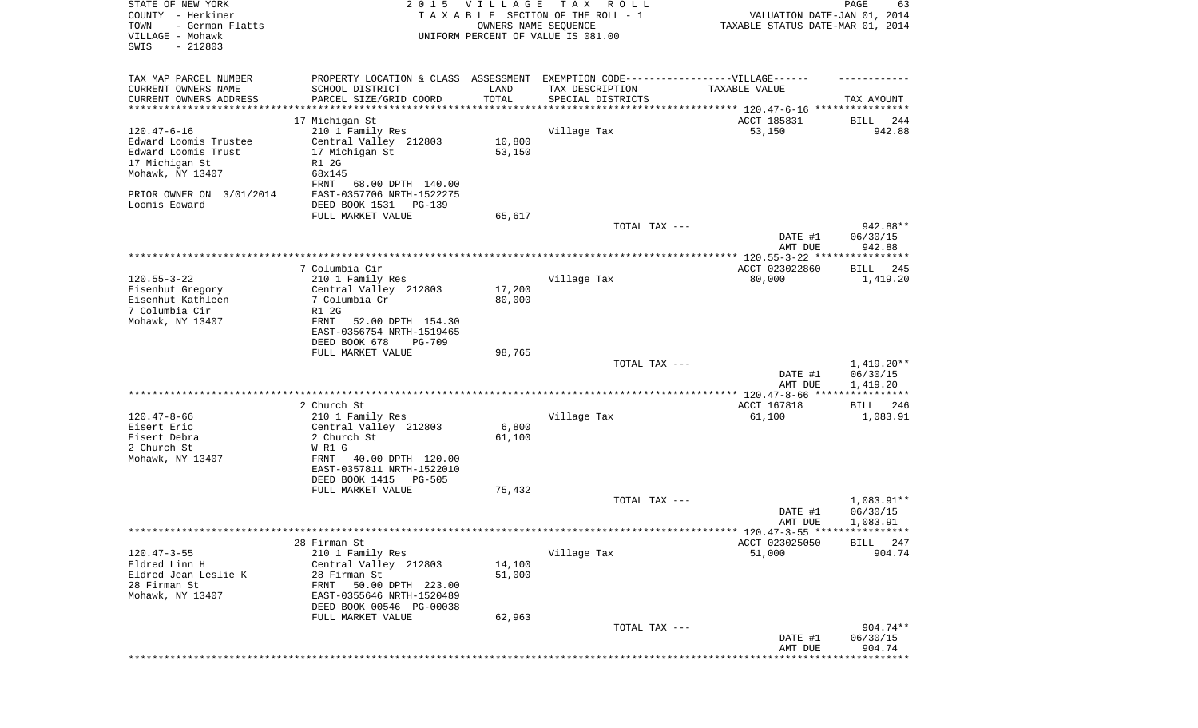| STATE OF NEW YORK<br>COUNTY - Herkimer<br>TOWN<br>- German Flatts<br>VILLAGE - Mohawk<br>SWIS<br>$-212803$ | 2 0 1 5                                                                           | VILLAGE<br>OWNERS NAME SEQUENCE | TAX ROLL<br>TAXABLE SECTION OF THE ROLL - 1<br>UNIFORM PERCENT OF VALUE IS 081.00 | VALUATION DATE-JAN 01, 2014<br>TAXABLE STATUS DATE-MAR 01, 2014 | PAGE<br>63              |
|------------------------------------------------------------------------------------------------------------|-----------------------------------------------------------------------------------|---------------------------------|-----------------------------------------------------------------------------------|-----------------------------------------------------------------|-------------------------|
| TAX MAP PARCEL NUMBER                                                                                      | PROPERTY LOCATION & CLASS ASSESSMENT EXEMPTION CODE-----------------VILLAGE------ |                                 |                                                                                   |                                                                 |                         |
| CURRENT OWNERS NAME                                                                                        | SCHOOL DISTRICT                                                                   | LAND                            | TAX DESCRIPTION                                                                   | TAXABLE VALUE                                                   |                         |
| CURRENT OWNERS ADDRESS<br>*********************                                                            | PARCEL SIZE/GRID COORD<br>****************************                            | TOTAL<br>*************          | SPECIAL DISTRICTS                                                                 |                                                                 | TAX AMOUNT              |
|                                                                                                            | 17 Michigan St                                                                    |                                 |                                                                                   | ACCT 185831                                                     | BILL<br>244             |
| $120.47 - 6 - 16$                                                                                          | 210 1 Family Res                                                                  |                                 | Village Tax                                                                       | 53,150                                                          | 942.88                  |
| Edward Loomis Trustee                                                                                      | Central Valley 212803                                                             | 10,800                          |                                                                                   |                                                                 |                         |
| Edward Loomis Trust                                                                                        | 17 Michigan St                                                                    | 53,150                          |                                                                                   |                                                                 |                         |
| 17 Michigan St                                                                                             | R1 2G                                                                             |                                 |                                                                                   |                                                                 |                         |
| Mohawk, NY 13407                                                                                           | 68x145                                                                            |                                 |                                                                                   |                                                                 |                         |
|                                                                                                            | FRNT<br>68.00 DPTH 140.00                                                         |                                 |                                                                                   |                                                                 |                         |
| PRIOR OWNER ON 3/01/2014<br>Loomis Edward                                                                  | EAST-0357706 NRTH-1522275<br>DEED BOOK 1531<br>PG-139                             |                                 |                                                                                   |                                                                 |                         |
|                                                                                                            | FULL MARKET VALUE                                                                 | 65,617                          |                                                                                   |                                                                 |                         |
|                                                                                                            |                                                                                   |                                 | TOTAL TAX ---                                                                     |                                                                 | 942.88**                |
|                                                                                                            |                                                                                   |                                 |                                                                                   | DATE #1                                                         | 06/30/15                |
|                                                                                                            |                                                                                   |                                 |                                                                                   | AMT DUE                                                         | 942.88                  |
|                                                                                                            | 7 Columbia Cir                                                                    |                                 |                                                                                   |                                                                 |                         |
| $120.55 - 3 - 22$                                                                                          | 210 1 Family Res                                                                  |                                 | Village Tax                                                                       | ACCT 023022860<br>80,000                                        | BILL 245<br>1,419.20    |
| Eisenhut Gregory                                                                                           | Central Valley 212803                                                             | 17,200                          |                                                                                   |                                                                 |                         |
| Eisenhut Kathleen                                                                                          | 7 Columbia Cr                                                                     | 80,000                          |                                                                                   |                                                                 |                         |
| 7 Columbia Cir                                                                                             | R1 2G                                                                             |                                 |                                                                                   |                                                                 |                         |
| Mohawk, NY 13407                                                                                           | FRNT<br>52.00 DPTH 154.30                                                         |                                 |                                                                                   |                                                                 |                         |
|                                                                                                            | EAST-0356754 NRTH-1519465                                                         |                                 |                                                                                   |                                                                 |                         |
|                                                                                                            | DEED BOOK 678<br><b>PG-709</b><br>FULL MARKET VALUE                               | 98,765                          |                                                                                   |                                                                 |                         |
|                                                                                                            |                                                                                   |                                 | TOTAL TAX ---                                                                     |                                                                 | $1,419.20**$            |
|                                                                                                            |                                                                                   |                                 |                                                                                   | DATE #1                                                         | 06/30/15                |
|                                                                                                            |                                                                                   |                                 |                                                                                   | AMT DUE                                                         | 1,419.20                |
|                                                                                                            |                                                                                   |                                 |                                                                                   |                                                                 | ***********             |
| $120.47 - 8 - 66$                                                                                          | 2 Church St<br>210 1 Family Res                                                   |                                 | Village Tax                                                                       | ACCT 167818<br>61,100                                           | 246<br>BILL<br>1,083.91 |
| Eisert Eric                                                                                                | Central Valley 212803                                                             | 6,800                           |                                                                                   |                                                                 |                         |
| Eisert Debra                                                                                               | 2 Church St                                                                       | 61,100                          |                                                                                   |                                                                 |                         |
| 2 Church St                                                                                                | W R1 G                                                                            |                                 |                                                                                   |                                                                 |                         |
| Mohawk, NY 13407                                                                                           | 40.00 DPTH 120.00<br>FRNT                                                         |                                 |                                                                                   |                                                                 |                         |
|                                                                                                            | EAST-0357811 NRTH-1522010                                                         |                                 |                                                                                   |                                                                 |                         |
|                                                                                                            | DEED BOOK 1415<br>PG-505                                                          |                                 |                                                                                   |                                                                 |                         |
|                                                                                                            | FULL MARKET VALUE                                                                 | 75,432                          | TOTAL TAX ---                                                                     |                                                                 | $1,083.91**$            |
|                                                                                                            |                                                                                   |                                 |                                                                                   | DATE #1                                                         | 06/30/15                |
|                                                                                                            |                                                                                   |                                 |                                                                                   | AMT DUE                                                         | 1,083.91                |
|                                                                                                            |                                                                                   |                                 |                                                                                   | ****** 120.47-3-55 *****************                            |                         |
|                                                                                                            | 28 Firman St                                                                      |                                 |                                                                                   | ACCT 023025050                                                  | BILL<br>247             |
| $120.47 - 3 - 55$                                                                                          | 210 1 Family Res                                                                  |                                 | Village Tax                                                                       | 51,000                                                          | 904.74                  |
| Eldred Linn H<br>Eldred Jean Leslie K                                                                      | Central Valley 212803<br>28 Firman St                                             | 14,100<br>51,000                |                                                                                   |                                                                 |                         |
| 28 Firman St                                                                                               | 50.00 DPTH 223.00<br>FRNT                                                         |                                 |                                                                                   |                                                                 |                         |
| Mohawk, NY 13407                                                                                           | EAST-0355646 NRTH-1520489                                                         |                                 |                                                                                   |                                                                 |                         |
|                                                                                                            | DEED BOOK 00546 PG-00038                                                          |                                 |                                                                                   |                                                                 |                         |
|                                                                                                            | FULL MARKET VALUE                                                                 | 62,963                          |                                                                                   |                                                                 |                         |
|                                                                                                            |                                                                                   |                                 | TOTAL TAX ---                                                                     |                                                                 | 904.74**                |
|                                                                                                            |                                                                                   |                                 |                                                                                   | DATE #1                                                         | 06/30/15<br>904.74      |
|                                                                                                            |                                                                                   |                                 |                                                                                   | AMT DUE                                                         | * * * * * * * * * *     |
|                                                                                                            |                                                                                   |                                 |                                                                                   |                                                                 |                         |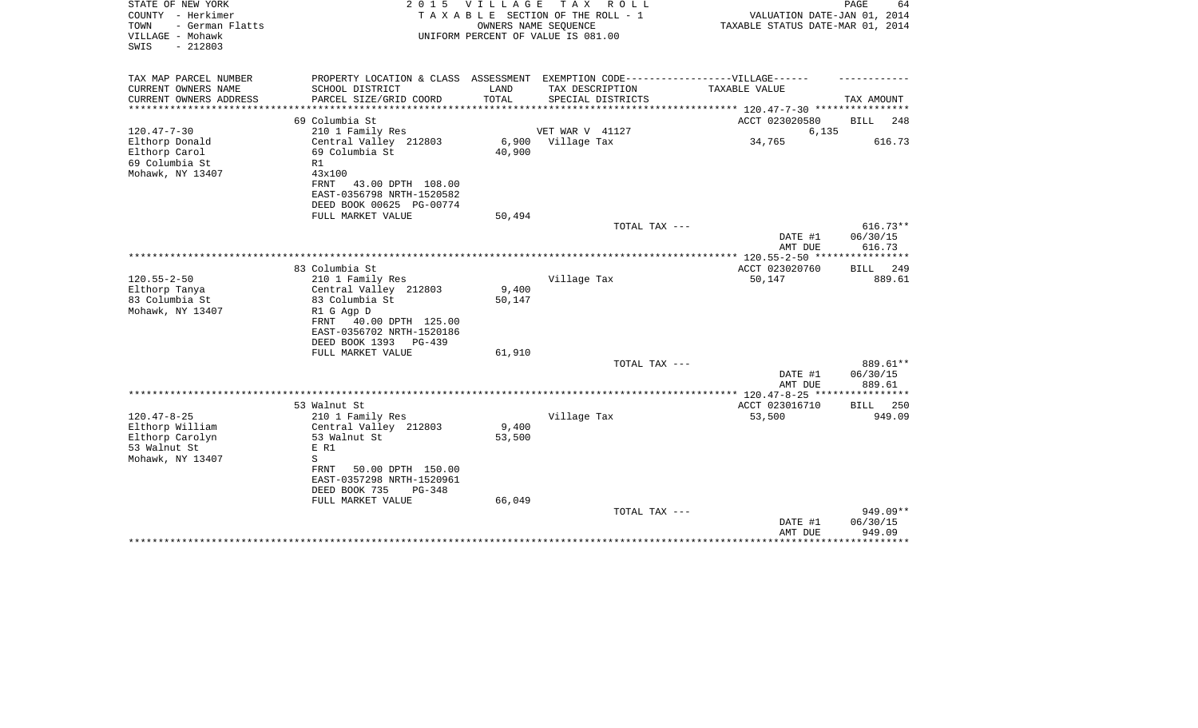| STATE OF NEW YORK<br>COUNTY - Herkimer<br>- German Flatts<br>TOWN<br>VILLAGE - Mohawk<br>$-212803$<br>SWIS |                                                                                                                   | 2015 VILLAGE    | TAX ROLL<br>TAXABLE SECTION OF THE ROLL - 1<br>OWNERS NAME SEQUENCE<br>UNIFORM PERCENT OF VALUE IS 081.00 | VALUATION DATE-JAN 01, 2014<br>TAXABLE STATUS DATE-MAR 01, 2014 | PAGE<br>64                       |
|------------------------------------------------------------------------------------------------------------|-------------------------------------------------------------------------------------------------------------------|-----------------|-----------------------------------------------------------------------------------------------------------|-----------------------------------------------------------------|----------------------------------|
| TAX MAP PARCEL NUMBER<br>CURRENT OWNERS NAME                                                               | SCHOOL DISTRICT                                                                                                   | LAND            | PROPERTY LOCATION & CLASS ASSESSMENT EXEMPTION CODE------------------VILLAGE------<br>TAX DESCRIPTION     | TAXABLE VALUE                                                   |                                  |
| CURRENT OWNERS ADDRESS<br>*******************                                                              | PARCEL SIZE/GRID COORD<br>*********************                                                                   | TOTAL           | SPECIAL DISTRICTS                                                                                         |                                                                 | TAX AMOUNT                       |
|                                                                                                            | 69 Columbia St                                                                                                    |                 |                                                                                                           | ACCT 023020580                                                  | <b>BILL</b><br>248               |
| $120.47 - 7 - 30$                                                                                          | 210 1 Family Res                                                                                                  |                 | VET WAR V 41127                                                                                           | 6,135                                                           |                                  |
| Elthorp Donald<br>Elthorp Carol<br>69 Columbia St<br>Mohawk, NY 13407                                      | Central Valley 212803<br>69 Columbia St<br>R1<br>43x100<br>FRNT<br>43.00 DPTH 108.00<br>EAST-0356798 NRTH-1520582 | 6,900<br>40,900 | Village Tax                                                                                               | 34,765                                                          | 616.73                           |
|                                                                                                            | DEED BOOK 00625 PG-00774                                                                                          |                 |                                                                                                           |                                                                 |                                  |
|                                                                                                            | FULL MARKET VALUE                                                                                                 | 50,494          |                                                                                                           |                                                                 |                                  |
|                                                                                                            |                                                                                                                   |                 | TOTAL TAX ---                                                                                             | DATE #1<br>AMT DUE                                              | $616.73**$<br>06/30/15<br>616.73 |
|                                                                                                            |                                                                                                                   |                 |                                                                                                           | $* 120.55 - 2 - 50$ **                                          | * * * * * * * * * *              |
|                                                                                                            | 83 Columbia St                                                                                                    |                 |                                                                                                           | ACCT 023020760                                                  | 249<br><b>BILL</b>               |
| $120.55 - 2 - 50$                                                                                          | 210 1 Family Res                                                                                                  |                 | Village Tax                                                                                               | 50,147                                                          | 889.61                           |
| Elthorp Tanya                                                                                              | Central Valley 212803                                                                                             | 9,400           |                                                                                                           |                                                                 |                                  |
| 83 Columbia St<br>Mohawk, NY 13407                                                                         | 83 Columbia St<br>R1 G Agp D<br>FRNT 40.00 DPTH 125.00<br>EAST-0356702 NRTH-1520186<br>DEED BOOK 1393<br>$PG-439$ | 50,147          |                                                                                                           |                                                                 |                                  |
|                                                                                                            | FULL MARKET VALUE                                                                                                 | 61,910          |                                                                                                           |                                                                 |                                  |
|                                                                                                            |                                                                                                                   |                 | TOTAL TAX ---                                                                                             | DATE #1<br>AMT DUE                                              | 889.61**<br>06/30/15<br>889.61   |
|                                                                                                            |                                                                                                                   |                 |                                                                                                           |                                                                 |                                  |
|                                                                                                            | 53 Walnut St                                                                                                      |                 |                                                                                                           | ACCT 023016710                                                  | 250<br>BILL                      |
| $120.47 - 8 - 25$                                                                                          | 210 1 Family Res                                                                                                  |                 | Village Tax                                                                                               | 53,500                                                          | 949.09                           |
| Elthorp William                                                                                            | Central Valley 212803<br>53 Walnut St                                                                             | 9,400<br>53,500 |                                                                                                           |                                                                 |                                  |
| Elthorp Carolyn<br>53 Walnut St                                                                            | E R1                                                                                                              |                 |                                                                                                           |                                                                 |                                  |
| Mohawk, NY 13407                                                                                           | S                                                                                                                 |                 |                                                                                                           |                                                                 |                                  |
|                                                                                                            | <b>FRNT</b><br>50.00 DPTH 150.00<br>EAST-0357298 NRTH-1520961<br>DEED BOOK 735<br>PG-348                          |                 |                                                                                                           |                                                                 |                                  |
|                                                                                                            | FULL MARKET VALUE                                                                                                 | 66,049          |                                                                                                           |                                                                 |                                  |
|                                                                                                            |                                                                                                                   |                 | TOTAL TAX ---                                                                                             | DATE #1<br>AMT DUE                                              | 949.09**<br>06/30/15<br>949.09   |
|                                                                                                            |                                                                                                                   |                 |                                                                                                           |                                                                 |                                  |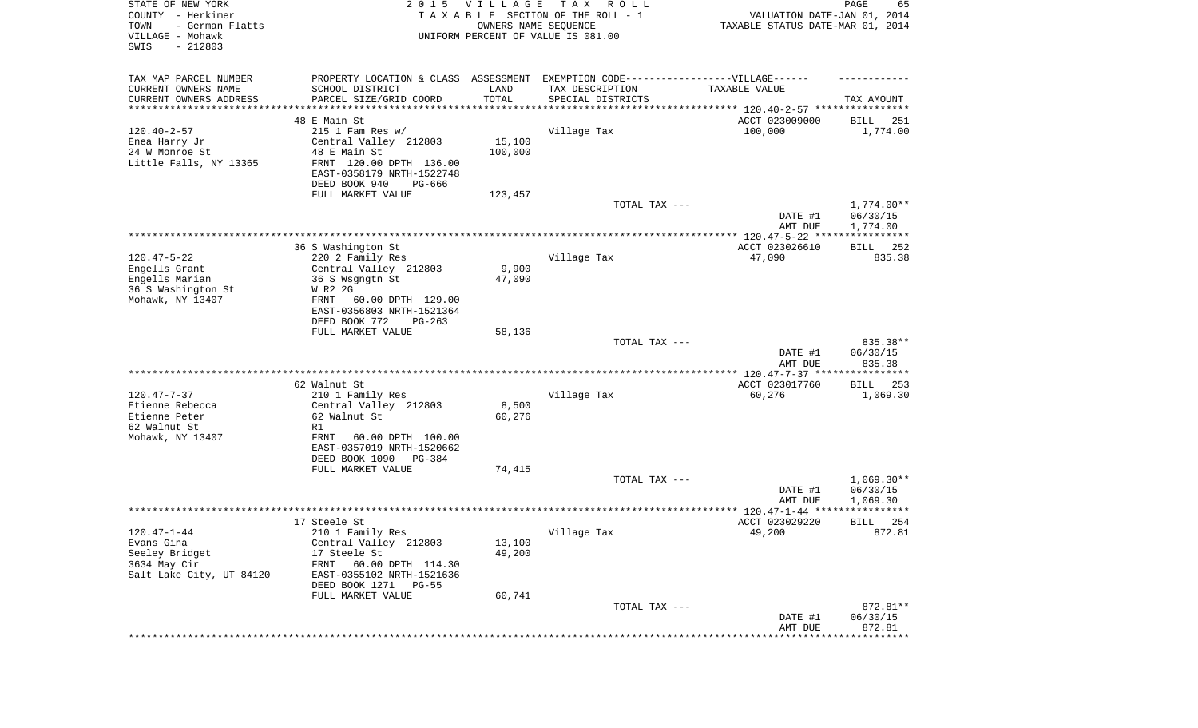| STATE OF NEW YORK<br>COUNTY - Herkimer<br>- German Flatts<br>TOWN<br>VILLAGE - Mohawk<br>$-212803$<br>SWIS |                                                                                                     | 2015 VILLAGE<br>OWNERS NAME SEQUENCE | T A X<br>R O L L<br>TAXABLE SECTION OF THE ROLL - 1<br>UNIFORM PERCENT OF VALUE IS 081.00 | VALUATION DATE-JAN 01, 2014<br>TAXABLE STATUS DATE-MAR 01, 2014 | PAGE<br>65               |
|------------------------------------------------------------------------------------------------------------|-----------------------------------------------------------------------------------------------------|--------------------------------------|-------------------------------------------------------------------------------------------|-----------------------------------------------------------------|--------------------------|
| TAX MAP PARCEL NUMBER<br>CURRENT OWNERS NAME                                                               | PROPERTY LOCATION & CLASS ASSESSMENT EXEMPTION CODE----------------VILLAGE------<br>SCHOOL DISTRICT | LAND                                 | TAX DESCRIPTION                                                                           | TAXABLE VALUE                                                   |                          |
| CURRENT OWNERS ADDRESS<br>*********************                                                            | PARCEL SIZE/GRID COORD                                                                              | TOTAL<br>**********                  | SPECIAL DISTRICTS                                                                         |                                                                 | TAX AMOUNT               |
|                                                                                                            | 48 E Main St                                                                                        |                                      |                                                                                           | ACCT 023009000                                                  | 251<br>BILL              |
| $120.40 - 2 - 57$                                                                                          | $215$ 1 Fam Res w/                                                                                  |                                      | Village Tax                                                                               | 100,000                                                         | 1,774.00                 |
| Enea Harry Jr                                                                                              | Central Valley 212803                                                                               | 15,100                               |                                                                                           |                                                                 |                          |
| 24 W Monroe St                                                                                             | 48 E Main St                                                                                        | 100,000                              |                                                                                           |                                                                 |                          |
| Little Falls, NY 13365                                                                                     | FRNT 120.00 DPTH 136.00                                                                             |                                      |                                                                                           |                                                                 |                          |
|                                                                                                            | EAST-0358179 NRTH-1522748                                                                           |                                      |                                                                                           |                                                                 |                          |
|                                                                                                            | DEED BOOK 940<br>PG-666                                                                             |                                      |                                                                                           |                                                                 |                          |
|                                                                                                            | FULL MARKET VALUE                                                                                   | 123,457                              | TOTAL TAX ---                                                                             |                                                                 | $1,774.00**$             |
|                                                                                                            |                                                                                                     |                                      |                                                                                           | DATE #1                                                         | 06/30/15                 |
|                                                                                                            |                                                                                                     |                                      |                                                                                           | AMT DUE                                                         | 1,774.00                 |
|                                                                                                            | 36 S Washington St                                                                                  |                                      |                                                                                           | ACCT 023026610                                                  | 252<br>BILL              |
| $120.47 - 5 - 22$                                                                                          | 220 2 Family Res                                                                                    |                                      | Village Tax                                                                               | 47,090                                                          | 835.38                   |
| Engells Grant                                                                                              | Central Valley 212803                                                                               | 9,900                                |                                                                                           |                                                                 |                          |
| Engells Marian                                                                                             | 36 S Wsgngtn St                                                                                     | 47,090                               |                                                                                           |                                                                 |                          |
| 36 S Washington St                                                                                         | W R2 2G                                                                                             |                                      |                                                                                           |                                                                 |                          |
| Mohawk, NY 13407                                                                                           | 60.00 DPTH 129.00<br>FRNT<br>EAST-0356803 NRTH-1521364                                              |                                      |                                                                                           |                                                                 |                          |
|                                                                                                            | DEED BOOK 772<br>$PG-263$                                                                           |                                      |                                                                                           |                                                                 |                          |
|                                                                                                            | FULL MARKET VALUE                                                                                   | 58,136                               |                                                                                           |                                                                 |                          |
|                                                                                                            |                                                                                                     |                                      | TOTAL TAX ---                                                                             |                                                                 | 835.38**                 |
|                                                                                                            |                                                                                                     |                                      |                                                                                           | DATE #1<br>AMT DUE                                              | 06/30/15<br>835.38       |
|                                                                                                            |                                                                                                     |                                      |                                                                                           | ************** 120.47-7-37 *****************                    |                          |
|                                                                                                            | 62 Walnut St                                                                                        |                                      |                                                                                           | ACCT 023017760                                                  | 253<br>BILL              |
| $120.47 - 7 - 37$                                                                                          | 210 1 Family Res                                                                                    |                                      | Village Tax                                                                               | 60,276                                                          | 1,069.30                 |
| Etienne Rebecca                                                                                            | Central Valley 212803                                                                               | 8,500                                |                                                                                           |                                                                 |                          |
| Etienne Peter<br>62 Walnut St                                                                              | 62 Walnut St<br>R1                                                                                  | 60,276                               |                                                                                           |                                                                 |                          |
| Mohawk, NY 13407                                                                                           | <b>FRNT</b><br>60.00 DPTH 100.00                                                                    |                                      |                                                                                           |                                                                 |                          |
|                                                                                                            | EAST-0357019 NRTH-1520662                                                                           |                                      |                                                                                           |                                                                 |                          |
|                                                                                                            | DEED BOOK 1090 PG-384                                                                               |                                      |                                                                                           |                                                                 |                          |
|                                                                                                            | FULL MARKET VALUE                                                                                   | 74,415                               |                                                                                           |                                                                 |                          |
|                                                                                                            |                                                                                                     |                                      | TOTAL TAX ---                                                                             | DATE #1                                                         | $1,069.30**$<br>06/30/15 |
|                                                                                                            |                                                                                                     |                                      |                                                                                           | AMT DUE                                                         | 1,069.30                 |
|                                                                                                            |                                                                                                     |                                      |                                                                                           |                                                                 | *****                    |
|                                                                                                            | 17 Steele St                                                                                        |                                      |                                                                                           | ACCT 023029220                                                  | 254<br>BILL              |
| $120.47 - 1 - 44$                                                                                          | 210 1 Family Res                                                                                    |                                      | Village Tax                                                                               | 49,200                                                          | 872.81                   |
| Evans Gina                                                                                                 | Central Valley 212803<br>17 Steele St                                                               | 13,100                               |                                                                                           |                                                                 |                          |
| Seeley Bridget<br>3634 May Cir                                                                             | FRNT<br>60.00 DPTH 114.30                                                                           | 49,200                               |                                                                                           |                                                                 |                          |
| Salt Lake City, UT 84120                                                                                   | EAST-0355102 NRTH-1521636                                                                           |                                      |                                                                                           |                                                                 |                          |
|                                                                                                            | DEED BOOK 1271<br>PG-55                                                                             |                                      |                                                                                           |                                                                 |                          |
|                                                                                                            | FULL MARKET VALUE                                                                                   | 60,741                               |                                                                                           |                                                                 |                          |
|                                                                                                            |                                                                                                     |                                      | TOTAL TAX ---                                                                             |                                                                 | 872.81**                 |
|                                                                                                            |                                                                                                     |                                      |                                                                                           | DATE #1<br>AMT DUE                                              | 06/30/15<br>872.81       |
|                                                                                                            |                                                                                                     |                                      |                                                                                           |                                                                 | ************             |
|                                                                                                            |                                                                                                     |                                      |                                                                                           |                                                                 |                          |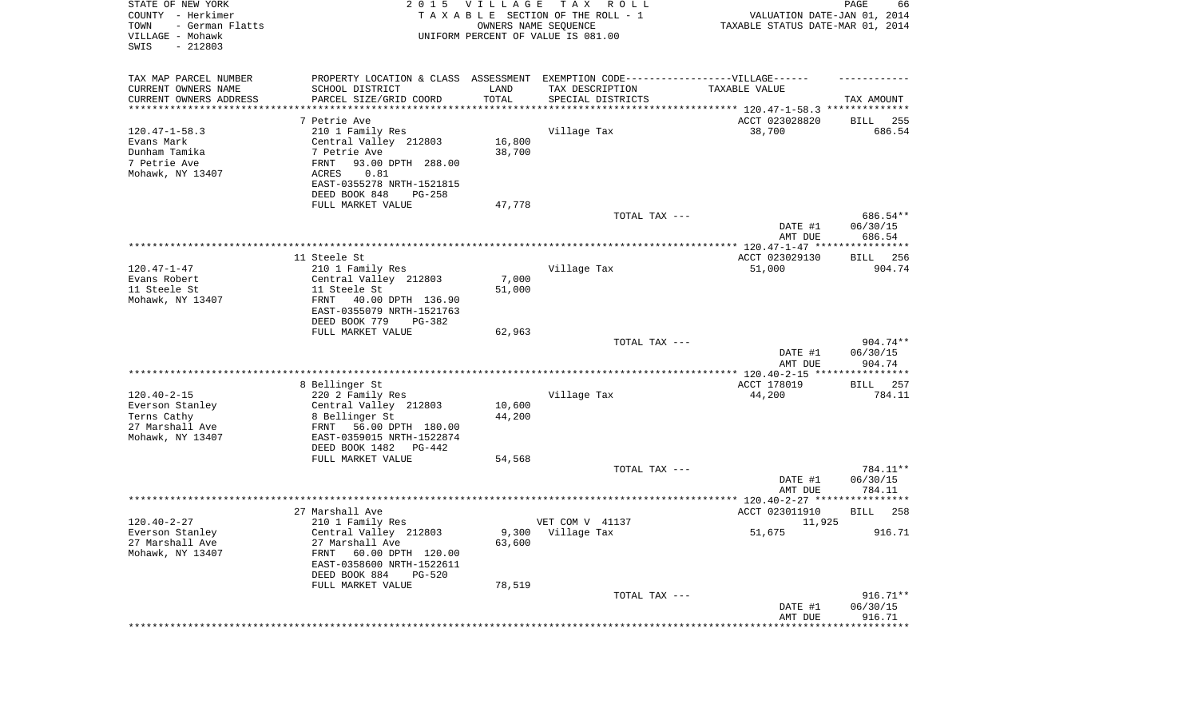| STATE OF NEW YORK<br>COUNTY - Herkimer<br>TOWN<br>- German Flatts<br>VILLAGE - Mohawk<br>SWIS<br>$-212803$ | 2 0 1 5                                                                          | <b>VILLAGE</b><br>OWNERS NAME SEQUENCE | T A X<br>R O L L<br>TAXABLE SECTION OF THE ROLL - 1<br>UNIFORM PERCENT OF VALUE IS 081.00 | VALUATION DATE-JAN 01, 2014<br>TAXABLE STATUS DATE-MAR 01, 2014 | PAGE<br>66            |
|------------------------------------------------------------------------------------------------------------|----------------------------------------------------------------------------------|----------------------------------------|-------------------------------------------------------------------------------------------|-----------------------------------------------------------------|-----------------------|
| TAX MAP PARCEL NUMBER                                                                                      | PROPERTY LOCATION & CLASS ASSESSMENT EXEMPTION CODE----------------VILLAGE------ |                                        |                                                                                           |                                                                 |                       |
| CURRENT OWNERS NAME                                                                                        | SCHOOL DISTRICT                                                                  | LAND                                   | TAX DESCRIPTION                                                                           | TAXABLE VALUE                                                   |                       |
| CURRENT OWNERS ADDRESS<br>*********************                                                            | PARCEL SIZE/GRID COORD                                                           | TOTAL<br>**********                    | SPECIAL DISTRICTS                                                                         |                                                                 | TAX AMOUNT            |
|                                                                                                            | 7 Petrie Ave                                                                     |                                        |                                                                                           | ACCT 023028820                                                  | BILL<br>255           |
| $120.47 - 1 - 58.3$                                                                                        | 210 1 Family Res                                                                 |                                        | Village Tax                                                                               | 38,700                                                          | 686.54                |
| Evans Mark                                                                                                 | Central Valley 212803                                                            | 16,800                                 |                                                                                           |                                                                 |                       |
| Dunham Tamika                                                                                              | 7 Petrie Ave                                                                     | 38,700                                 |                                                                                           |                                                                 |                       |
| 7 Petrie Ave                                                                                               | FRNT<br>93.00 DPTH 288.00                                                        |                                        |                                                                                           |                                                                 |                       |
| Mohawk, NY 13407                                                                                           | 0.81<br>ACRES                                                                    |                                        |                                                                                           |                                                                 |                       |
|                                                                                                            | EAST-0355278 NRTH-1521815                                                        |                                        |                                                                                           |                                                                 |                       |
|                                                                                                            | DEED BOOK 848<br>$PG-258$                                                        |                                        |                                                                                           |                                                                 |                       |
|                                                                                                            | FULL MARKET VALUE                                                                | 47,778                                 |                                                                                           |                                                                 |                       |
|                                                                                                            |                                                                                  |                                        | TOTAL TAX ---                                                                             | DATE #1                                                         | 686.54**<br>06/30/15  |
|                                                                                                            |                                                                                  |                                        |                                                                                           | AMT DUE                                                         | 686.54                |
|                                                                                                            |                                                                                  |                                        |                                                                                           |                                                                 |                       |
|                                                                                                            | 11 Steele St                                                                     |                                        |                                                                                           | ACCT 023029130                                                  | BILL 256              |
| $120.47 - 1 - 47$                                                                                          | 210 1 Family Res                                                                 |                                        | Village Tax                                                                               | 51,000                                                          | 904.74                |
| Evans Robert                                                                                               | Central Valley 212803                                                            | 7,000                                  |                                                                                           |                                                                 |                       |
| 11 Steele St                                                                                               | 11 Steele St<br>40.00 DPTH 136.90                                                | 51,000                                 |                                                                                           |                                                                 |                       |
| Mohawk, NY 13407                                                                                           | FRNT<br>EAST-0355079 NRTH-1521763                                                |                                        |                                                                                           |                                                                 |                       |
|                                                                                                            | DEED BOOK 779<br>PG-382                                                          |                                        |                                                                                           |                                                                 |                       |
|                                                                                                            | FULL MARKET VALUE                                                                | 62,963                                 |                                                                                           |                                                                 |                       |
|                                                                                                            |                                                                                  |                                        | TOTAL TAX ---                                                                             |                                                                 | 904.74**              |
|                                                                                                            |                                                                                  |                                        |                                                                                           | DATE #1<br>AMT DUE                                              | 06/30/15<br>904.74    |
|                                                                                                            |                                                                                  |                                        |                                                                                           | **************** 120.40-2-15 *****************                  |                       |
| $120.40 - 2 - 15$                                                                                          | 8 Bellinger St                                                                   |                                        |                                                                                           | ACCT 178019                                                     | 257<br>BILL<br>784.11 |
| Everson Stanley                                                                                            | 220 2 Family Res<br>Central Valley 212803                                        | 10,600                                 | Village Tax                                                                               | 44,200                                                          |                       |
| Terns Cathy                                                                                                | 8 Bellinger St                                                                   | 44,200                                 |                                                                                           |                                                                 |                       |
| 27 Marshall Ave                                                                                            | FRNT<br>56.00 DPTH 180.00                                                        |                                        |                                                                                           |                                                                 |                       |
| Mohawk, NY 13407                                                                                           | EAST-0359015 NRTH-1522874                                                        |                                        |                                                                                           |                                                                 |                       |
|                                                                                                            | DEED BOOK 1482<br>PG-442                                                         |                                        |                                                                                           |                                                                 |                       |
|                                                                                                            | FULL MARKET VALUE                                                                | 54,568                                 |                                                                                           |                                                                 |                       |
|                                                                                                            |                                                                                  |                                        | TOTAL TAX ---                                                                             |                                                                 | 784.11**              |
|                                                                                                            |                                                                                  |                                        |                                                                                           | DATE #1                                                         | 06/30/15              |
|                                                                                                            |                                                                                  |                                        |                                                                                           | AMT DUE                                                         | 784.11                |
|                                                                                                            | 27 Marshall Ave                                                                  |                                        |                                                                                           | ACCT 023011910                                                  | 258<br>BILL           |
| $120.40 - 2 - 27$                                                                                          | 210 1 Family Res                                                                 |                                        | VET COM V 41137                                                                           | 11,925                                                          |                       |
| Everson Stanley                                                                                            | Central Valley 212803                                                            |                                        | 9,300 Village Tax                                                                         | 51,675                                                          | 916.71                |
| 27 Marshall Ave                                                                                            | 27 Marshall Ave                                                                  | 63,600                                 |                                                                                           |                                                                 |                       |
| Mohawk, NY 13407                                                                                           | FRNT<br>60.00 DPTH 120.00                                                        |                                        |                                                                                           |                                                                 |                       |
|                                                                                                            | EAST-0358600 NRTH-1522611                                                        |                                        |                                                                                           |                                                                 |                       |
|                                                                                                            | DEED BOOK 884<br>$PG-520$<br>FULL MARKET VALUE                                   | 78,519                                 |                                                                                           |                                                                 |                       |
|                                                                                                            |                                                                                  |                                        | TOTAL TAX ---                                                                             |                                                                 | $916.71**$            |
|                                                                                                            |                                                                                  |                                        |                                                                                           | DATE #1                                                         | 06/30/15              |
|                                                                                                            |                                                                                  |                                        |                                                                                           | AMT DUE                                                         | 916.71                |
|                                                                                                            |                                                                                  |                                        |                                                                                           | ***********************************                             |                       |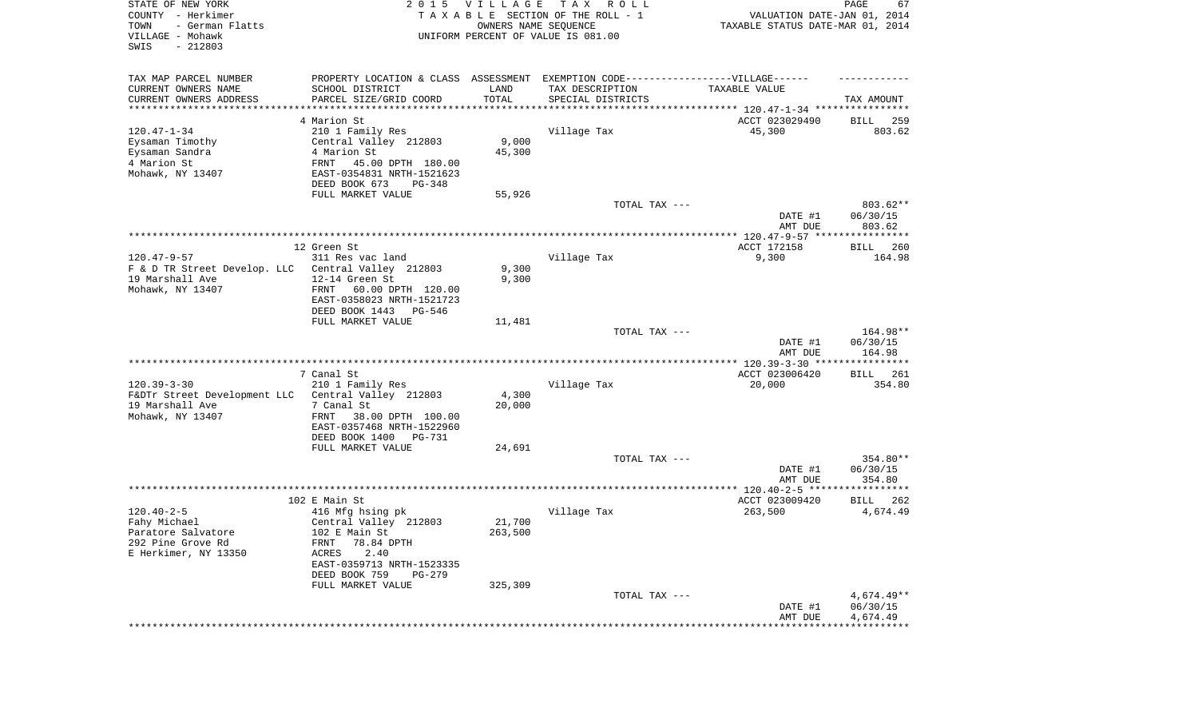| TAX MAP PARCEL NUMBER<br>PROPERTY LOCATION & CLASS ASSESSMENT EXEMPTION CODE-----------------VILLAGE------<br>CURRENT OWNERS NAME<br>SCHOOL DISTRICT<br>TAX DESCRIPTION<br>LAND<br>TAXABLE VALUE<br>TOTAL<br>CURRENT OWNERS ADDRESS<br>PARCEL SIZE/GRID COORD<br>SPECIAL DISTRICTS<br>TAX AMOUNT<br>*********************<br>4 Marion St<br>ACCT 023029490<br>259<br>BILL<br>$120.47 - 1 - 34$<br>210 1 Family Res<br>Village Tax<br>45,300<br>803.62<br>9,000<br>Eysaman Timothy<br>Central Valley 212803<br>Eysaman Sandra<br>4 Marion St<br>45,300<br>4 Marion St<br>FRNT<br>45.00 DPTH 180.00<br>Mohawk, NY 13407<br>EAST-0354831 NRTH-1521623<br>DEED BOOK 673<br>PG-348<br>FULL MARKET VALUE<br>55,926<br>TOTAL TAX ---<br>803.62**<br>DATE #1<br>06/30/15<br>AMT DUE<br>803.62<br>12 Green St<br>ACCT 172158<br>260<br>BILL<br>$120.47 - 9 - 57$<br>Village Tax<br>9,300<br>311 Res vac land<br>164.98<br>9,300<br>F & D TR Street Develop. LLC<br>Central Valley 212803<br>9,300<br>19 Marshall Ave<br>12-14 Green St<br>Mohawk, NY 13407<br>FRNT<br>60.00 DPTH 120.00<br>EAST-0358023 NRTH-1521723<br>DEED BOOK 1443<br>PG-546<br>FULL MARKET VALUE<br>11,481<br>TOTAL TAX ---<br>164.98**<br>DATE #1<br>06/30/15<br>164.98<br>AMT DUE<br>7 Canal St<br>ACCT 023006420<br>BILL 261<br>$120.39 - 3 - 30$<br>Village Tax<br>210 1 Family Res<br>20,000<br>354.80<br>4,300<br>F&DTr Street Development LLC<br>Central Valley 212803<br>19 Marshall Ave<br>7 Canal St<br>20,000<br>Mohawk, NY 13407<br>FRNT<br>38.00 DPTH 100.00<br>EAST-0357468 NRTH-1522960<br>DEED BOOK 1400<br>PG-731<br>FULL MARKET VALUE<br>24,691<br>TOTAL TAX ---<br>354.80**<br>DATE #1<br>06/30/15<br>AMT DUE<br>354.80<br>102 E Main St<br>ACCT 023009420<br>262<br>BILL<br>$120.40 - 2 - 5$<br>Village Tax<br>263,500<br>4,674.49<br>416 Mfg hsing pk<br>21,700<br>Fahy Michael<br>Central Valley 212803<br>263,500<br>Paratore Salvatore<br>102 E Main St<br>292 Pine Grove Rd<br>FRNT 78.84 DPTH<br>E Herkimer, NY 13350<br><b>ACRES</b><br>2.40<br>EAST-0359713 NRTH-1523335<br>DEED BOOK 759<br>$PG-279$<br>FULL MARKET VALUE<br>325,309<br>$4,674.49**$<br>TOTAL TAX ---<br>06/30/15<br>DATE #1<br>4,674.49<br>AMT DUE | STATE OF NEW YORK<br>COUNTY - Herkimer<br>- German Flatts<br>TOWN<br>VILLAGE - Mohawk<br>SWIS<br>$-212803$ | 2 0 1 5 | <b>VILLAGE</b><br>OWNERS NAME SEQUENCE | T A X<br>R O L L<br>TAXABLE SECTION OF THE ROLL - 1<br>UNIFORM PERCENT OF VALUE IS 081.00 | VALUATION DATE-JAN 01, 2014<br>TAXABLE STATUS DATE-MAR 01, 2014 | PAGE<br>67 |
|--------------------------------------------------------------------------------------------------------------------------------------------------------------------------------------------------------------------------------------------------------------------------------------------------------------------------------------------------------------------------------------------------------------------------------------------------------------------------------------------------------------------------------------------------------------------------------------------------------------------------------------------------------------------------------------------------------------------------------------------------------------------------------------------------------------------------------------------------------------------------------------------------------------------------------------------------------------------------------------------------------------------------------------------------------------------------------------------------------------------------------------------------------------------------------------------------------------------------------------------------------------------------------------------------------------------------------------------------------------------------------------------------------------------------------------------------------------------------------------------------------------------------------------------------------------------------------------------------------------------------------------------------------------------------------------------------------------------------------------------------------------------------------------------------------------------------------------------------------------------------------------------------------------------------------------------------------------------------------------------------------------------------------------------------------------------------------------------------------------------------------------------------------------------------------------------------------------|------------------------------------------------------------------------------------------------------------|---------|----------------------------------------|-------------------------------------------------------------------------------------------|-----------------------------------------------------------------|------------|
|                                                                                                                                                                                                                                                                                                                                                                                                                                                                                                                                                                                                                                                                                                                                                                                                                                                                                                                                                                                                                                                                                                                                                                                                                                                                                                                                                                                                                                                                                                                                                                                                                                                                                                                                                                                                                                                                                                                                                                                                                                                                                                                                                                                                              |                                                                                                            |         |                                        |                                                                                           |                                                                 |            |
|                                                                                                                                                                                                                                                                                                                                                                                                                                                                                                                                                                                                                                                                                                                                                                                                                                                                                                                                                                                                                                                                                                                                                                                                                                                                                                                                                                                                                                                                                                                                                                                                                                                                                                                                                                                                                                                                                                                                                                                                                                                                                                                                                                                                              |                                                                                                            |         |                                        |                                                                                           |                                                                 |            |
|                                                                                                                                                                                                                                                                                                                                                                                                                                                                                                                                                                                                                                                                                                                                                                                                                                                                                                                                                                                                                                                                                                                                                                                                                                                                                                                                                                                                                                                                                                                                                                                                                                                                                                                                                                                                                                                                                                                                                                                                                                                                                                                                                                                                              |                                                                                                            |         |                                        |                                                                                           |                                                                 |            |
|                                                                                                                                                                                                                                                                                                                                                                                                                                                                                                                                                                                                                                                                                                                                                                                                                                                                                                                                                                                                                                                                                                                                                                                                                                                                                                                                                                                                                                                                                                                                                                                                                                                                                                                                                                                                                                                                                                                                                                                                                                                                                                                                                                                                              |                                                                                                            |         |                                        |                                                                                           |                                                                 |            |
|                                                                                                                                                                                                                                                                                                                                                                                                                                                                                                                                                                                                                                                                                                                                                                                                                                                                                                                                                                                                                                                                                                                                                                                                                                                                                                                                                                                                                                                                                                                                                                                                                                                                                                                                                                                                                                                                                                                                                                                                                                                                                                                                                                                                              |                                                                                                            |         |                                        |                                                                                           |                                                                 |            |
|                                                                                                                                                                                                                                                                                                                                                                                                                                                                                                                                                                                                                                                                                                                                                                                                                                                                                                                                                                                                                                                                                                                                                                                                                                                                                                                                                                                                                                                                                                                                                                                                                                                                                                                                                                                                                                                                                                                                                                                                                                                                                                                                                                                                              |                                                                                                            |         |                                        |                                                                                           |                                                                 |            |
|                                                                                                                                                                                                                                                                                                                                                                                                                                                                                                                                                                                                                                                                                                                                                                                                                                                                                                                                                                                                                                                                                                                                                                                                                                                                                                                                                                                                                                                                                                                                                                                                                                                                                                                                                                                                                                                                                                                                                                                                                                                                                                                                                                                                              |                                                                                                            |         |                                        |                                                                                           |                                                                 |            |
|                                                                                                                                                                                                                                                                                                                                                                                                                                                                                                                                                                                                                                                                                                                                                                                                                                                                                                                                                                                                                                                                                                                                                                                                                                                                                                                                                                                                                                                                                                                                                                                                                                                                                                                                                                                                                                                                                                                                                                                                                                                                                                                                                                                                              |                                                                                                            |         |                                        |                                                                                           |                                                                 |            |
|                                                                                                                                                                                                                                                                                                                                                                                                                                                                                                                                                                                                                                                                                                                                                                                                                                                                                                                                                                                                                                                                                                                                                                                                                                                                                                                                                                                                                                                                                                                                                                                                                                                                                                                                                                                                                                                                                                                                                                                                                                                                                                                                                                                                              |                                                                                                            |         |                                        |                                                                                           |                                                                 |            |
|                                                                                                                                                                                                                                                                                                                                                                                                                                                                                                                                                                                                                                                                                                                                                                                                                                                                                                                                                                                                                                                                                                                                                                                                                                                                                                                                                                                                                                                                                                                                                                                                                                                                                                                                                                                                                                                                                                                                                                                                                                                                                                                                                                                                              |                                                                                                            |         |                                        |                                                                                           |                                                                 |            |
|                                                                                                                                                                                                                                                                                                                                                                                                                                                                                                                                                                                                                                                                                                                                                                                                                                                                                                                                                                                                                                                                                                                                                                                                                                                                                                                                                                                                                                                                                                                                                                                                                                                                                                                                                                                                                                                                                                                                                                                                                                                                                                                                                                                                              |                                                                                                            |         |                                        |                                                                                           |                                                                 |            |
|                                                                                                                                                                                                                                                                                                                                                                                                                                                                                                                                                                                                                                                                                                                                                                                                                                                                                                                                                                                                                                                                                                                                                                                                                                                                                                                                                                                                                                                                                                                                                                                                                                                                                                                                                                                                                                                                                                                                                                                                                                                                                                                                                                                                              |                                                                                                            |         |                                        |                                                                                           |                                                                 |            |
|                                                                                                                                                                                                                                                                                                                                                                                                                                                                                                                                                                                                                                                                                                                                                                                                                                                                                                                                                                                                                                                                                                                                                                                                                                                                                                                                                                                                                                                                                                                                                                                                                                                                                                                                                                                                                                                                                                                                                                                                                                                                                                                                                                                                              |                                                                                                            |         |                                        |                                                                                           |                                                                 |            |
|                                                                                                                                                                                                                                                                                                                                                                                                                                                                                                                                                                                                                                                                                                                                                                                                                                                                                                                                                                                                                                                                                                                                                                                                                                                                                                                                                                                                                                                                                                                                                                                                                                                                                                                                                                                                                                                                                                                                                                                                                                                                                                                                                                                                              |                                                                                                            |         |                                        |                                                                                           |                                                                 |            |
|                                                                                                                                                                                                                                                                                                                                                                                                                                                                                                                                                                                                                                                                                                                                                                                                                                                                                                                                                                                                                                                                                                                                                                                                                                                                                                                                                                                                                                                                                                                                                                                                                                                                                                                                                                                                                                                                                                                                                                                                                                                                                                                                                                                                              |                                                                                                            |         |                                        |                                                                                           |                                                                 |            |
|                                                                                                                                                                                                                                                                                                                                                                                                                                                                                                                                                                                                                                                                                                                                                                                                                                                                                                                                                                                                                                                                                                                                                                                                                                                                                                                                                                                                                                                                                                                                                                                                                                                                                                                                                                                                                                                                                                                                                                                                                                                                                                                                                                                                              |                                                                                                            |         |                                        |                                                                                           |                                                                 |            |
|                                                                                                                                                                                                                                                                                                                                                                                                                                                                                                                                                                                                                                                                                                                                                                                                                                                                                                                                                                                                                                                                                                                                                                                                                                                                                                                                                                                                                                                                                                                                                                                                                                                                                                                                                                                                                                                                                                                                                                                                                                                                                                                                                                                                              |                                                                                                            |         |                                        |                                                                                           |                                                                 |            |
|                                                                                                                                                                                                                                                                                                                                                                                                                                                                                                                                                                                                                                                                                                                                                                                                                                                                                                                                                                                                                                                                                                                                                                                                                                                                                                                                                                                                                                                                                                                                                                                                                                                                                                                                                                                                                                                                                                                                                                                                                                                                                                                                                                                                              |                                                                                                            |         |                                        |                                                                                           |                                                                 |            |
|                                                                                                                                                                                                                                                                                                                                                                                                                                                                                                                                                                                                                                                                                                                                                                                                                                                                                                                                                                                                                                                                                                                                                                                                                                                                                                                                                                                                                                                                                                                                                                                                                                                                                                                                                                                                                                                                                                                                                                                                                                                                                                                                                                                                              |                                                                                                            |         |                                        |                                                                                           |                                                                 |            |
|                                                                                                                                                                                                                                                                                                                                                                                                                                                                                                                                                                                                                                                                                                                                                                                                                                                                                                                                                                                                                                                                                                                                                                                                                                                                                                                                                                                                                                                                                                                                                                                                                                                                                                                                                                                                                                                                                                                                                                                                                                                                                                                                                                                                              |                                                                                                            |         |                                        |                                                                                           |                                                                 |            |
|                                                                                                                                                                                                                                                                                                                                                                                                                                                                                                                                                                                                                                                                                                                                                                                                                                                                                                                                                                                                                                                                                                                                                                                                                                                                                                                                                                                                                                                                                                                                                                                                                                                                                                                                                                                                                                                                                                                                                                                                                                                                                                                                                                                                              |                                                                                                            |         |                                        |                                                                                           |                                                                 |            |
|                                                                                                                                                                                                                                                                                                                                                                                                                                                                                                                                                                                                                                                                                                                                                                                                                                                                                                                                                                                                                                                                                                                                                                                                                                                                                                                                                                                                                                                                                                                                                                                                                                                                                                                                                                                                                                                                                                                                                                                                                                                                                                                                                                                                              |                                                                                                            |         |                                        |                                                                                           |                                                                 |            |
|                                                                                                                                                                                                                                                                                                                                                                                                                                                                                                                                                                                                                                                                                                                                                                                                                                                                                                                                                                                                                                                                                                                                                                                                                                                                                                                                                                                                                                                                                                                                                                                                                                                                                                                                                                                                                                                                                                                                                                                                                                                                                                                                                                                                              |                                                                                                            |         |                                        |                                                                                           |                                                                 |            |
|                                                                                                                                                                                                                                                                                                                                                                                                                                                                                                                                                                                                                                                                                                                                                                                                                                                                                                                                                                                                                                                                                                                                                                                                                                                                                                                                                                                                                                                                                                                                                                                                                                                                                                                                                                                                                                                                                                                                                                                                                                                                                                                                                                                                              |                                                                                                            |         |                                        |                                                                                           |                                                                 |            |
|                                                                                                                                                                                                                                                                                                                                                                                                                                                                                                                                                                                                                                                                                                                                                                                                                                                                                                                                                                                                                                                                                                                                                                                                                                                                                                                                                                                                                                                                                                                                                                                                                                                                                                                                                                                                                                                                                                                                                                                                                                                                                                                                                                                                              |                                                                                                            |         |                                        |                                                                                           |                                                                 |            |
|                                                                                                                                                                                                                                                                                                                                                                                                                                                                                                                                                                                                                                                                                                                                                                                                                                                                                                                                                                                                                                                                                                                                                                                                                                                                                                                                                                                                                                                                                                                                                                                                                                                                                                                                                                                                                                                                                                                                                                                                                                                                                                                                                                                                              |                                                                                                            |         |                                        |                                                                                           |                                                                 |            |
|                                                                                                                                                                                                                                                                                                                                                                                                                                                                                                                                                                                                                                                                                                                                                                                                                                                                                                                                                                                                                                                                                                                                                                                                                                                                                                                                                                                                                                                                                                                                                                                                                                                                                                                                                                                                                                                                                                                                                                                                                                                                                                                                                                                                              |                                                                                                            |         |                                        |                                                                                           |                                                                 |            |
|                                                                                                                                                                                                                                                                                                                                                                                                                                                                                                                                                                                                                                                                                                                                                                                                                                                                                                                                                                                                                                                                                                                                                                                                                                                                                                                                                                                                                                                                                                                                                                                                                                                                                                                                                                                                                                                                                                                                                                                                                                                                                                                                                                                                              |                                                                                                            |         |                                        |                                                                                           |                                                                 |            |
|                                                                                                                                                                                                                                                                                                                                                                                                                                                                                                                                                                                                                                                                                                                                                                                                                                                                                                                                                                                                                                                                                                                                                                                                                                                                                                                                                                                                                                                                                                                                                                                                                                                                                                                                                                                                                                                                                                                                                                                                                                                                                                                                                                                                              |                                                                                                            |         |                                        |                                                                                           |                                                                 |            |
|                                                                                                                                                                                                                                                                                                                                                                                                                                                                                                                                                                                                                                                                                                                                                                                                                                                                                                                                                                                                                                                                                                                                                                                                                                                                                                                                                                                                                                                                                                                                                                                                                                                                                                                                                                                                                                                                                                                                                                                                                                                                                                                                                                                                              |                                                                                                            |         |                                        |                                                                                           |                                                                 |            |
|                                                                                                                                                                                                                                                                                                                                                                                                                                                                                                                                                                                                                                                                                                                                                                                                                                                                                                                                                                                                                                                                                                                                                                                                                                                                                                                                                                                                                                                                                                                                                                                                                                                                                                                                                                                                                                                                                                                                                                                                                                                                                                                                                                                                              |                                                                                                            |         |                                        |                                                                                           |                                                                 |            |
|                                                                                                                                                                                                                                                                                                                                                                                                                                                                                                                                                                                                                                                                                                                                                                                                                                                                                                                                                                                                                                                                                                                                                                                                                                                                                                                                                                                                                                                                                                                                                                                                                                                                                                                                                                                                                                                                                                                                                                                                                                                                                                                                                                                                              |                                                                                                            |         |                                        |                                                                                           |                                                                 |            |
|                                                                                                                                                                                                                                                                                                                                                                                                                                                                                                                                                                                                                                                                                                                                                                                                                                                                                                                                                                                                                                                                                                                                                                                                                                                                                                                                                                                                                                                                                                                                                                                                                                                                                                                                                                                                                                                                                                                                                                                                                                                                                                                                                                                                              |                                                                                                            |         |                                        |                                                                                           |                                                                 |            |
|                                                                                                                                                                                                                                                                                                                                                                                                                                                                                                                                                                                                                                                                                                                                                                                                                                                                                                                                                                                                                                                                                                                                                                                                                                                                                                                                                                                                                                                                                                                                                                                                                                                                                                                                                                                                                                                                                                                                                                                                                                                                                                                                                                                                              |                                                                                                            |         |                                        |                                                                                           |                                                                 |            |
|                                                                                                                                                                                                                                                                                                                                                                                                                                                                                                                                                                                                                                                                                                                                                                                                                                                                                                                                                                                                                                                                                                                                                                                                                                                                                                                                                                                                                                                                                                                                                                                                                                                                                                                                                                                                                                                                                                                                                                                                                                                                                                                                                                                                              |                                                                                                            |         |                                        |                                                                                           |                                                                 |            |
|                                                                                                                                                                                                                                                                                                                                                                                                                                                                                                                                                                                                                                                                                                                                                                                                                                                                                                                                                                                                                                                                                                                                                                                                                                                                                                                                                                                                                                                                                                                                                                                                                                                                                                                                                                                                                                                                                                                                                                                                                                                                                                                                                                                                              |                                                                                                            |         |                                        |                                                                                           |                                                                 |            |
|                                                                                                                                                                                                                                                                                                                                                                                                                                                                                                                                                                                                                                                                                                                                                                                                                                                                                                                                                                                                                                                                                                                                                                                                                                                                                                                                                                                                                                                                                                                                                                                                                                                                                                                                                                                                                                                                                                                                                                                                                                                                                                                                                                                                              |                                                                                                            |         |                                        |                                                                                           |                                                                 |            |
|                                                                                                                                                                                                                                                                                                                                                                                                                                                                                                                                                                                                                                                                                                                                                                                                                                                                                                                                                                                                                                                                                                                                                                                                                                                                                                                                                                                                                                                                                                                                                                                                                                                                                                                                                                                                                                                                                                                                                                                                                                                                                                                                                                                                              |                                                                                                            |         |                                        |                                                                                           |                                                                 |            |
|                                                                                                                                                                                                                                                                                                                                                                                                                                                                                                                                                                                                                                                                                                                                                                                                                                                                                                                                                                                                                                                                                                                                                                                                                                                                                                                                                                                                                                                                                                                                                                                                                                                                                                                                                                                                                                                                                                                                                                                                                                                                                                                                                                                                              |                                                                                                            |         |                                        |                                                                                           |                                                                 |            |
|                                                                                                                                                                                                                                                                                                                                                                                                                                                                                                                                                                                                                                                                                                                                                                                                                                                                                                                                                                                                                                                                                                                                                                                                                                                                                                                                                                                                                                                                                                                                                                                                                                                                                                                                                                                                                                                                                                                                                                                                                                                                                                                                                                                                              |                                                                                                            |         |                                        |                                                                                           |                                                                 |            |
|                                                                                                                                                                                                                                                                                                                                                                                                                                                                                                                                                                                                                                                                                                                                                                                                                                                                                                                                                                                                                                                                                                                                                                                                                                                                                                                                                                                                                                                                                                                                                                                                                                                                                                                                                                                                                                                                                                                                                                                                                                                                                                                                                                                                              |                                                                                                            |         |                                        |                                                                                           |                                                                 |            |
|                                                                                                                                                                                                                                                                                                                                                                                                                                                                                                                                                                                                                                                                                                                                                                                                                                                                                                                                                                                                                                                                                                                                                                                                                                                                                                                                                                                                                                                                                                                                                                                                                                                                                                                                                                                                                                                                                                                                                                                                                                                                                                                                                                                                              |                                                                                                            |         |                                        |                                                                                           |                                                                 |            |
|                                                                                                                                                                                                                                                                                                                                                                                                                                                                                                                                                                                                                                                                                                                                                                                                                                                                                                                                                                                                                                                                                                                                                                                                                                                                                                                                                                                                                                                                                                                                                                                                                                                                                                                                                                                                                                                                                                                                                                                                                                                                                                                                                                                                              |                                                                                                            |         |                                        |                                                                                           |                                                                 |            |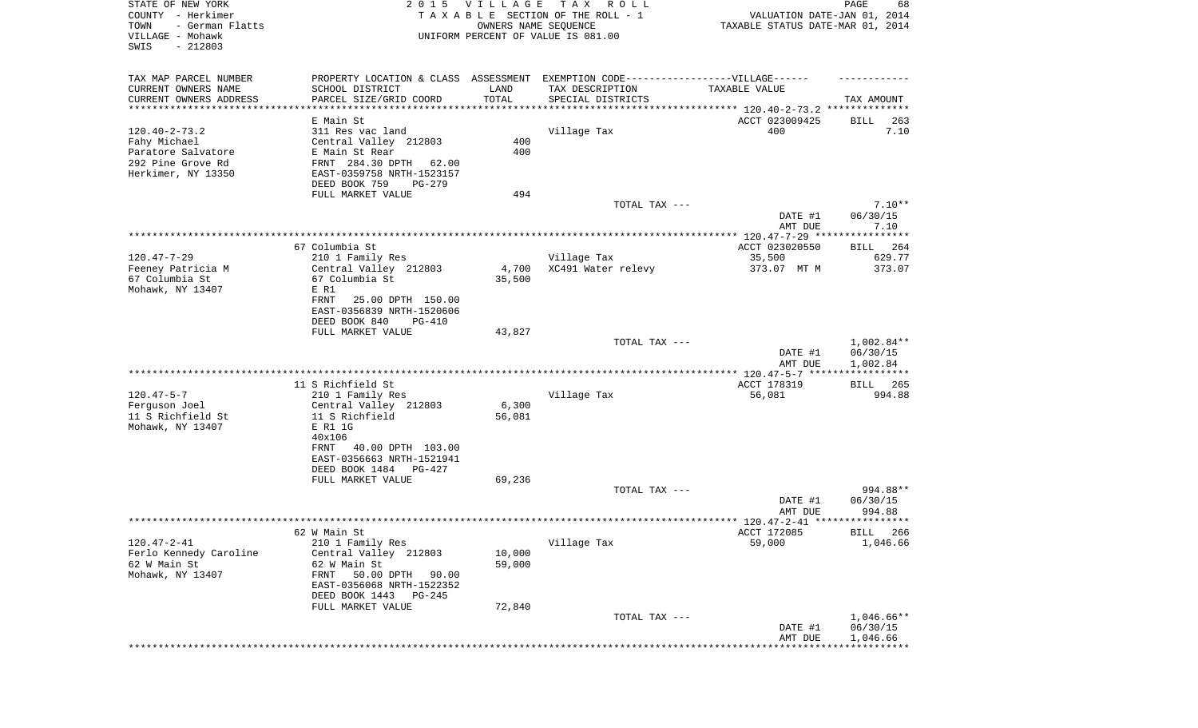| STATE OF NEW YORK<br>COUNTY - Herkimer<br>- German Flatts<br>TOWN<br>VILLAGE - Mohawk<br>SWIS<br>$-212803$ |                                                                                   | 2015 VILLAGE<br>OWNERS NAME SEQUENCE | T A X<br>R O L L<br>TAXABLE SECTION OF THE ROLL - 1<br>UNIFORM PERCENT OF VALUE IS 081.00 | VALUATION DATE-JAN 01, 2014<br>TAXABLE STATUS DATE-MAR 01, 2014 | PAGE<br>68                          |
|------------------------------------------------------------------------------------------------------------|-----------------------------------------------------------------------------------|--------------------------------------|-------------------------------------------------------------------------------------------|-----------------------------------------------------------------|-------------------------------------|
| TAX MAP PARCEL NUMBER                                                                                      | PROPERTY LOCATION & CLASS ASSESSMENT EXEMPTION CODE-----------------VILLAGE------ |                                      |                                                                                           |                                                                 |                                     |
| CURRENT OWNERS NAME<br>CURRENT OWNERS ADDRESS                                                              | SCHOOL DISTRICT<br>PARCEL SIZE/GRID COORD                                         | LAND<br>TOTAL                        | TAX DESCRIPTION<br>SPECIAL DISTRICTS                                                      | TAXABLE VALUE                                                   | TAX AMOUNT                          |
| **********************                                                                                     |                                                                                   |                                      |                                                                                           |                                                                 |                                     |
|                                                                                                            | E Main St                                                                         |                                      |                                                                                           | ACCT 023009425                                                  | 263<br>BILL                         |
| $120.40 - 2 - 73.2$                                                                                        | 311 Res vac land                                                                  |                                      | Village Tax                                                                               | 400                                                             | 7.10                                |
| Fahy Michael                                                                                               | Central Valley 212803                                                             | 400                                  |                                                                                           |                                                                 |                                     |
| Paratore Salvatore                                                                                         | E Main St Rear                                                                    | 400                                  |                                                                                           |                                                                 |                                     |
| 292 Pine Grove Rd                                                                                          | FRNT 284.30 DPTH 62.00                                                            |                                      |                                                                                           |                                                                 |                                     |
| Herkimer, NY 13350                                                                                         | EAST-0359758 NRTH-1523157<br>DEED BOOK 759<br>PG-279                              |                                      |                                                                                           |                                                                 |                                     |
|                                                                                                            | FULL MARKET VALUE                                                                 | 494                                  |                                                                                           |                                                                 |                                     |
|                                                                                                            |                                                                                   |                                      | TOTAL TAX ---                                                                             |                                                                 | $7.10**$                            |
|                                                                                                            |                                                                                   |                                      |                                                                                           | DATE #1                                                         | 06/30/15                            |
|                                                                                                            |                                                                                   |                                      |                                                                                           | AMT DUE                                                         | 7.10                                |
|                                                                                                            |                                                                                   |                                      |                                                                                           |                                                                 |                                     |
|                                                                                                            | 67 Columbia St                                                                    |                                      |                                                                                           | ACCT 023020550                                                  | 264<br>BILL                         |
| $120.47 - 7 - 29$                                                                                          | 210 1 Family Res                                                                  |                                      | Village Tax                                                                               | 35,500                                                          | 629.77                              |
| Feeney Patricia M                                                                                          | Central Valley 212803                                                             | 4,700                                | XC491 Water relevy                                                                        | 373.07 MT M                                                     | 373.07                              |
| 67 Columbia St<br>Mohawk, NY 13407                                                                         | 67 Columbia St<br>E R1                                                            | 35,500                               |                                                                                           |                                                                 |                                     |
|                                                                                                            | FRNT<br>25.00 DPTH 150.00                                                         |                                      |                                                                                           |                                                                 |                                     |
|                                                                                                            | EAST-0356839 NRTH-1520606                                                         |                                      |                                                                                           |                                                                 |                                     |
|                                                                                                            | DEED BOOK 840<br><b>PG-410</b>                                                    |                                      |                                                                                           |                                                                 |                                     |
|                                                                                                            | FULL MARKET VALUE                                                                 | 43,827                               |                                                                                           |                                                                 |                                     |
|                                                                                                            |                                                                                   |                                      | TOTAL TAX ---                                                                             |                                                                 | $1,002.84**$                        |
|                                                                                                            |                                                                                   |                                      |                                                                                           | DATE #1                                                         | 06/30/15                            |
|                                                                                                            |                                                                                   |                                      |                                                                                           | AMT DUE                                                         | 1,002.84<br>* * * * * * * * * * * * |
|                                                                                                            | 11 S Richfield St                                                                 |                                      |                                                                                           | *************** 120.47-5-7 *****<br>ACCT 178319                 | <b>BILL</b><br>265                  |
| $120.47 - 5 - 7$                                                                                           | 210 1 Family Res                                                                  |                                      | Village Tax                                                                               | 56,081                                                          | 994.88                              |
| Ferguson Joel                                                                                              | Central Valley 212803                                                             | 6,300                                |                                                                                           |                                                                 |                                     |
| 11 S Richfield St                                                                                          | 11 S Richfield                                                                    | 56,081                               |                                                                                           |                                                                 |                                     |
| Mohawk, NY 13407                                                                                           | E R1 1G                                                                           |                                      |                                                                                           |                                                                 |                                     |
|                                                                                                            | 40x106                                                                            |                                      |                                                                                           |                                                                 |                                     |
|                                                                                                            | 40.00 DPTH 103.00<br>FRNT                                                         |                                      |                                                                                           |                                                                 |                                     |
|                                                                                                            | EAST-0356663 NRTH-1521941                                                         |                                      |                                                                                           |                                                                 |                                     |
|                                                                                                            | DEED BOOK 1484<br>PG-427                                                          |                                      |                                                                                           |                                                                 |                                     |
|                                                                                                            | FULL MARKET VALUE                                                                 | 69,236                               |                                                                                           |                                                                 |                                     |
|                                                                                                            |                                                                                   |                                      | TOTAL TAX ---                                                                             | DATE #1                                                         | 994.88**<br>06/30/15                |
|                                                                                                            |                                                                                   |                                      |                                                                                           | AMT DUE                                                         | 994.88                              |
|                                                                                                            |                                                                                   |                                      |                                                                                           |                                                                 |                                     |
|                                                                                                            | 62 W Main St                                                                      |                                      |                                                                                           | ACCT 172085                                                     | BILL 266                            |
| $120.47 - 2 - 41$                                                                                          | 210 1 Family Res                                                                  |                                      | Village Tax                                                                               | 59,000                                                          | 1,046.66                            |
| Ferlo Kennedy Caroline                                                                                     | Central Valley 212803                                                             | 10,000                               |                                                                                           |                                                                 |                                     |
| 62 W Main St                                                                                               | 62 W Main St                                                                      | 59,000                               |                                                                                           |                                                                 |                                     |
| Mohawk, NY 13407                                                                                           | 50.00 DPTH<br>FRNT<br>90.00                                                       |                                      |                                                                                           |                                                                 |                                     |
|                                                                                                            | EAST-0356068 NRTH-1522352                                                         |                                      |                                                                                           |                                                                 |                                     |
|                                                                                                            | DEED BOOK 1443<br>PG-245                                                          |                                      |                                                                                           |                                                                 |                                     |
|                                                                                                            | FULL MARKET VALUE                                                                 | 72,840                               | TOTAL TAX ---                                                                             |                                                                 | 1,046.66**                          |
|                                                                                                            |                                                                                   |                                      |                                                                                           | DATE #1                                                         | 06/30/15                            |
|                                                                                                            |                                                                                   |                                      |                                                                                           | AMT DUE                                                         | 1,046.66                            |
|                                                                                                            |                                                                                   |                                      |                                                                                           |                                                                 |                                     |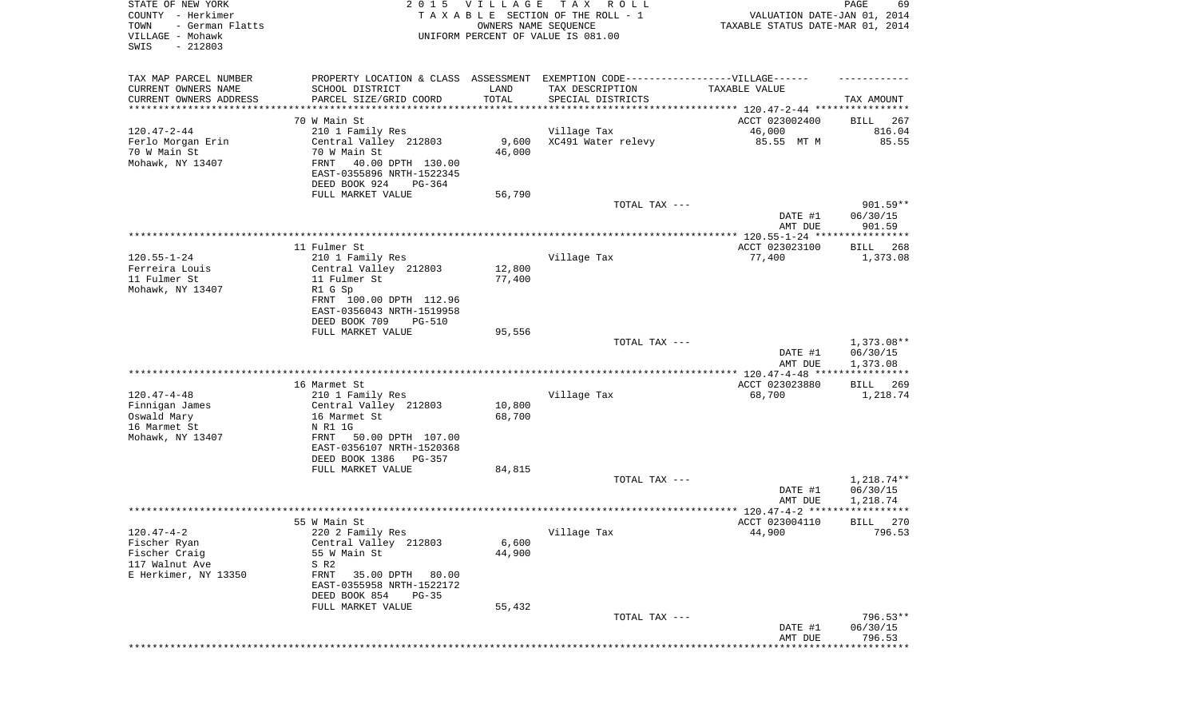| STATE OF NEW YORK<br>COUNTY - Herkimer<br>TOWN<br>- German Flatts<br>VILLAGE - Mohawk<br>SWIS<br>$-212803$ | 2 0 1 5                                                                                                                                                                                        | VILLAGE<br>OWNERS NAME SEQUENCE | TAX ROLL<br>TAXABLE SECTION OF THE ROLL - 1<br>UNIFORM PERCENT OF VALUE IS 081.00                                         | VALUATION DATE-JAN 01, 2014<br>TAXABLE STATUS DATE-MAR 01, 2014 | $\mathop{\mathtt{PAGE}}$<br>69       |
|------------------------------------------------------------------------------------------------------------|------------------------------------------------------------------------------------------------------------------------------------------------------------------------------------------------|---------------------------------|---------------------------------------------------------------------------------------------------------------------------|-----------------------------------------------------------------|--------------------------------------|
| TAX MAP PARCEL NUMBER<br>CURRENT OWNERS NAME<br>CURRENT OWNERS ADDRESS<br>*********************            | SCHOOL DISTRICT<br>PARCEL SIZE/GRID COORD<br>*******************                                                                                                                               | LAND<br>TOTAL                   | PROPERTY LOCATION & CLASS ASSESSMENT EXEMPTION CODE-----------------VILLAGE------<br>TAX DESCRIPTION<br>SPECIAL DISTRICTS | TAXABLE VALUE                                                   | TAX AMOUNT                           |
|                                                                                                            | 70 W Main St                                                                                                                                                                                   |                                 |                                                                                                                           | ACCT 023002400                                                  | 267<br>BILL                          |
| $120.47 - 2 - 44$<br>Ferlo Morgan Erin<br>70 W Main St<br>Mohawk, NY 13407                                 | 210 1 Family Res<br>Central Valley 212803<br>70 W Main St<br>FRNT<br>40.00 DPTH 130.00<br>EAST-0355896 NRTH-1522345<br>DEED BOOK 924<br>PG-364                                                 | 9,600<br>46,000                 | Village Tax<br>XC491 Water relevy                                                                                         | 46,000<br>85.55 MT M                                            | 816.04<br>85.55                      |
|                                                                                                            | FULL MARKET VALUE                                                                                                                                                                              | 56,790                          | TOTAL TAX ---                                                                                                             |                                                                 | $901.59**$                           |
|                                                                                                            |                                                                                                                                                                                                |                                 |                                                                                                                           | DATE #1<br>AMT DUE                                              | 06/30/15<br>901.59                   |
|                                                                                                            |                                                                                                                                                                                                |                                 |                                                                                                                           |                                                                 |                                      |
| $120.55 - 1 - 24$<br>Ferreira Louis<br>11 Fulmer St                                                        | 11 Fulmer St<br>210 1 Family Res<br>Central Valley 212803<br>11 Fulmer St                                                                                                                      | 12,800<br>77,400                | Village Tax                                                                                                               | ACCT 023023100<br>77,400                                        | BILL<br>268<br>1,373.08              |
| Mohawk, NY 13407                                                                                           | R1 G Sp<br>FRNT 100.00 DPTH 112.96<br>EAST-0356043 NRTH-1519958<br>DEED BOOK 709<br>PG-510                                                                                                     |                                 |                                                                                                                           |                                                                 |                                      |
|                                                                                                            | FULL MARKET VALUE                                                                                                                                                                              | 95,556                          | TOTAL TAX ---                                                                                                             | DATE #1<br>AMT DUE                                              | $1,373.08**$<br>06/30/15<br>1,373.08 |
|                                                                                                            |                                                                                                                                                                                                |                                 |                                                                                                                           | ************** 120.47-4-48 *****************                    |                                      |
| $120.47 - 4 - 48$<br>Finnigan James<br>Oswald Mary<br>16 Marmet St<br>Mohawk, NY 13407                     | 16 Marmet St<br>210 1 Family Res<br>Central Valley 212803<br>16 Marmet St<br>N R1 1G<br>FRNT<br>50.00 DPTH 107.00<br>EAST-0356107 NRTH-1520368<br>DEED BOOK 1386 PG-357                        | 10,800<br>68,700                | Village Tax                                                                                                               | ACCT 023023880<br>68,700                                        | <b>BILL</b><br>269<br>1,218.74       |
|                                                                                                            | FULL MARKET VALUE                                                                                                                                                                              | 84,815                          |                                                                                                                           |                                                                 |                                      |
|                                                                                                            |                                                                                                                                                                                                |                                 | TOTAL TAX ---                                                                                                             | DATE #1<br>AMT DUE                                              | $1,218.74**$<br>06/30/15<br>1,218.74 |
|                                                                                                            |                                                                                                                                                                                                |                                 |                                                                                                                           |                                                                 | * * * * * *                          |
| $120.47 - 4 - 2$<br>Fischer Ryan<br>Fischer Craig<br>117 Walnut Ave<br>E Herkimer, NY 13350                | 55 W Main St<br>220 2 Family Res<br>Central Valley 212803<br>55 W Main St<br>S R2<br>FRNT<br>35.00 DPTH<br>80.00<br>EAST-0355958 NRTH-1522172<br>DEED BOOK 854<br>$PG-35$<br>FULL MARKET VALUE | 6,600<br>44,900<br>55,432       | Village Tax                                                                                                               | ACCT 023004110<br>44,900                                        | 270<br>BILL<br>796.53                |
|                                                                                                            |                                                                                                                                                                                                |                                 | TOTAL TAX ---                                                                                                             | DATE #1                                                         | 796.53**<br>06/30/15                 |
|                                                                                                            |                                                                                                                                                                                                |                                 |                                                                                                                           | AMT DUE                                                         | 796.53<br>*********                  |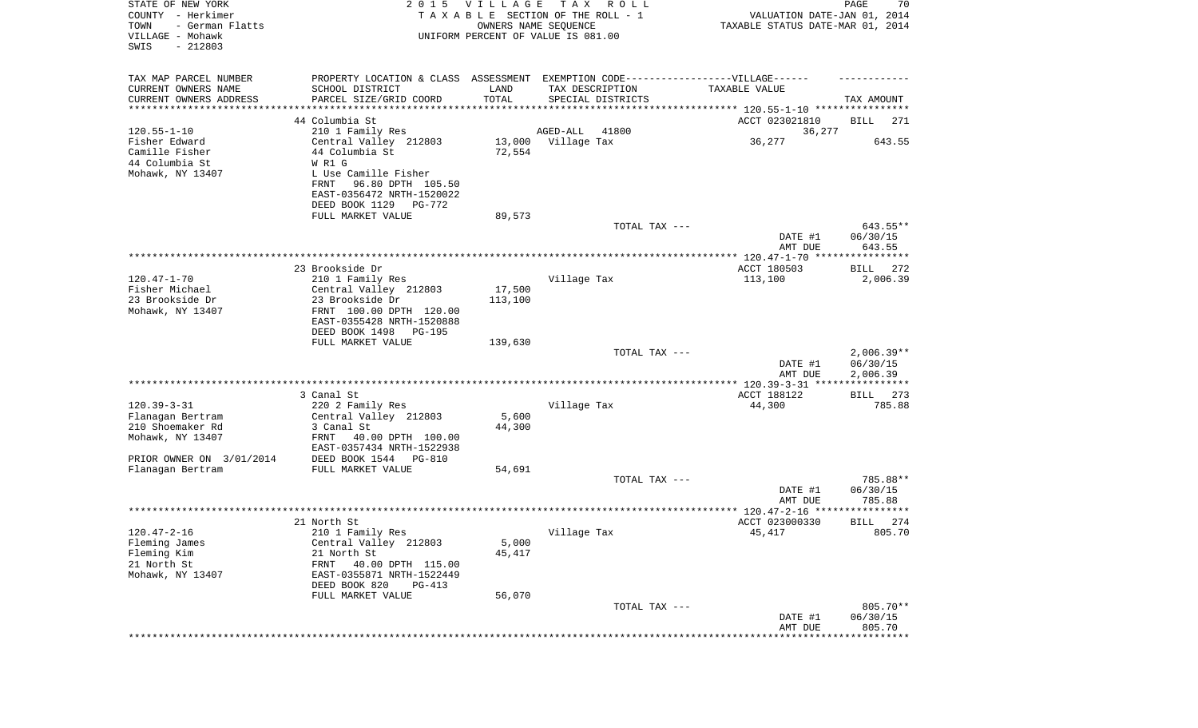| PROPERTY LOCATION & CLASS ASSESSMENT EXEMPTION CODE----------------VILLAGE------<br>SCHOOL DISTRICT<br>LAND<br>TAX DESCRIPTION<br>TAXABLE VALUE<br>TOTAL<br>CURRENT OWNERS ADDRESS<br>PARCEL SIZE/GRID COORD<br>SPECIAL DISTRICTS<br>TAX AMOUNT<br>*******************<br>44 Columbia St<br>ACCT 023021810<br>BILL<br>271<br>210 1 Family Res<br>AGED-ALL<br>41800<br>36,277<br>36,277<br>643.55<br>Central Valley 212803<br>13,000 Village Tax<br>Camille Fisher<br>44 Columbia St<br>72,554<br>44 Columbia St<br>W R1 G<br>Mohawk, NY 13407<br>L Use Camille Fisher<br>FRNT<br>96.80 DPTH 105.50<br>EAST-0356472 NRTH-1520022<br>DEED BOOK 1129<br>PG-772<br>FULL MARKET VALUE<br>89,573<br>643.55**<br>TOTAL TAX ---<br>DATE #1<br>06/30/15<br>643.55<br>AMT DUE<br>23 Brookside Dr<br>ACCT 180503<br>272<br>BILL<br>210 1 Family Res<br>Village Tax<br>113,100<br>2,006.39<br>Fisher Michael<br>Central Valley 212803<br>17,500<br>23 Brookside Dr<br>23 Brookside Dr<br>113,100<br>Mohawk, NY 13407<br>FRNT 100.00 DPTH 120.00<br>EAST-0355428 NRTH-1520888<br>DEED BOOK 1498<br>PG-195<br>FULL MARKET VALUE<br>139,630<br>$2,006.39**$<br>TOTAL TAX ---<br>06/30/15<br>DATE #1<br>AMT DUE<br>2,006.39<br>ACCT 188122<br>3 Canal St<br>273<br>BILL<br>785.88<br>220 2 Family Res<br>Village Tax<br>44,300<br>5,600<br>Flanagan Bertram<br>Central Valley 212803<br>44,300<br>210 Shoemaker Rd<br>3 Canal St<br>Mohawk, NY 13407<br>FRNT<br>40.00 DPTH 100.00<br>EAST-0357434 NRTH-1522938<br>DEED BOOK 1544 PG-810<br>FULL MARKET VALUE<br>54,691<br>785.88**<br>TOTAL TAX ---<br>06/30/15<br>DATE #1<br>785.88<br>AMT DUE<br>******<br>ACCT 023000330<br>274<br>21 North St<br>BILL<br>45,417<br>805.70<br>210 1 Family Res<br>Village Tax<br>Central Valley 212803<br>5,000<br>Fleming James<br>Fleming Kim<br>21 North St<br>45,417<br>21 North St<br>FRNT<br>40.00 DPTH 115.00<br>Mohawk, NY 13407<br>EAST-0355871 NRTH-1522449<br>DEED BOOK 820<br>PG-413<br>56,070<br>FULL MARKET VALUE<br>805.70**<br>TOTAL TAX ---<br>DATE #1<br>06/30/15<br>AMT DUE<br>805.70<br>************************** | STATE OF NEW YORK<br>COUNTY - Herkimer<br>TOWN<br>- German Flatts<br>VILLAGE - Mohawk<br>SWIS<br>$-212803$ | 2015 VILLAGE<br>OWNERS NAME SEQUENCE | T A X<br>R O L L<br>TAXABLE SECTION OF THE ROLL - 1<br>UNIFORM PERCENT OF VALUE IS 081.00 | VALUATION DATE-JAN 01, 2014<br>TAXABLE STATUS DATE-MAR 01, 2014 | PAGE<br>70 |
|-----------------------------------------------------------------------------------------------------------------------------------------------------------------------------------------------------------------------------------------------------------------------------------------------------------------------------------------------------------------------------------------------------------------------------------------------------------------------------------------------------------------------------------------------------------------------------------------------------------------------------------------------------------------------------------------------------------------------------------------------------------------------------------------------------------------------------------------------------------------------------------------------------------------------------------------------------------------------------------------------------------------------------------------------------------------------------------------------------------------------------------------------------------------------------------------------------------------------------------------------------------------------------------------------------------------------------------------------------------------------------------------------------------------------------------------------------------------------------------------------------------------------------------------------------------------------------------------------------------------------------------------------------------------------------------------------------------------------------------------------------------------------------------------------------------------------------------------------------------------------------------------------------------------------------------------------------------------------------------------------------------------------------------------------------------------------------------------------------------|------------------------------------------------------------------------------------------------------------|--------------------------------------|-------------------------------------------------------------------------------------------|-----------------------------------------------------------------|------------|
|                                                                                                                                                                                                                                                                                                                                                                                                                                                                                                                                                                                                                                                                                                                                                                                                                                                                                                                                                                                                                                                                                                                                                                                                                                                                                                                                                                                                                                                                                                                                                                                                                                                                                                                                                                                                                                                                                                                                                                                                                                                                                                           | TAX MAP PARCEL NUMBER<br>CURRENT OWNERS NAME                                                               |                                      |                                                                                           |                                                                 |            |
|                                                                                                                                                                                                                                                                                                                                                                                                                                                                                                                                                                                                                                                                                                                                                                                                                                                                                                                                                                                                                                                                                                                                                                                                                                                                                                                                                                                                                                                                                                                                                                                                                                                                                                                                                                                                                                                                                                                                                                                                                                                                                                           | *********************                                                                                      |                                      |                                                                                           |                                                                 |            |
|                                                                                                                                                                                                                                                                                                                                                                                                                                                                                                                                                                                                                                                                                                                                                                                                                                                                                                                                                                                                                                                                                                                                                                                                                                                                                                                                                                                                                                                                                                                                                                                                                                                                                                                                                                                                                                                                                                                                                                                                                                                                                                           |                                                                                                            |                                      |                                                                                           |                                                                 |            |
|                                                                                                                                                                                                                                                                                                                                                                                                                                                                                                                                                                                                                                                                                                                                                                                                                                                                                                                                                                                                                                                                                                                                                                                                                                                                                                                                                                                                                                                                                                                                                                                                                                                                                                                                                                                                                                                                                                                                                                                                                                                                                                           | $120.55 - 1 - 10$                                                                                          |                                      |                                                                                           |                                                                 |            |
|                                                                                                                                                                                                                                                                                                                                                                                                                                                                                                                                                                                                                                                                                                                                                                                                                                                                                                                                                                                                                                                                                                                                                                                                                                                                                                                                                                                                                                                                                                                                                                                                                                                                                                                                                                                                                                                                                                                                                                                                                                                                                                           | Fisher Edward                                                                                              |                                      |                                                                                           |                                                                 |            |
|                                                                                                                                                                                                                                                                                                                                                                                                                                                                                                                                                                                                                                                                                                                                                                                                                                                                                                                                                                                                                                                                                                                                                                                                                                                                                                                                                                                                                                                                                                                                                                                                                                                                                                                                                                                                                                                                                                                                                                                                                                                                                                           |                                                                                                            |                                      |                                                                                           |                                                                 |            |
|                                                                                                                                                                                                                                                                                                                                                                                                                                                                                                                                                                                                                                                                                                                                                                                                                                                                                                                                                                                                                                                                                                                                                                                                                                                                                                                                                                                                                                                                                                                                                                                                                                                                                                                                                                                                                                                                                                                                                                                                                                                                                                           |                                                                                                            |                                      |                                                                                           |                                                                 |            |
|                                                                                                                                                                                                                                                                                                                                                                                                                                                                                                                                                                                                                                                                                                                                                                                                                                                                                                                                                                                                                                                                                                                                                                                                                                                                                                                                                                                                                                                                                                                                                                                                                                                                                                                                                                                                                                                                                                                                                                                                                                                                                                           |                                                                                                            |                                      |                                                                                           |                                                                 |            |
|                                                                                                                                                                                                                                                                                                                                                                                                                                                                                                                                                                                                                                                                                                                                                                                                                                                                                                                                                                                                                                                                                                                                                                                                                                                                                                                                                                                                                                                                                                                                                                                                                                                                                                                                                                                                                                                                                                                                                                                                                                                                                                           |                                                                                                            |                                      |                                                                                           |                                                                 |            |
|                                                                                                                                                                                                                                                                                                                                                                                                                                                                                                                                                                                                                                                                                                                                                                                                                                                                                                                                                                                                                                                                                                                                                                                                                                                                                                                                                                                                                                                                                                                                                                                                                                                                                                                                                                                                                                                                                                                                                                                                                                                                                                           |                                                                                                            |                                      |                                                                                           |                                                                 |            |
|                                                                                                                                                                                                                                                                                                                                                                                                                                                                                                                                                                                                                                                                                                                                                                                                                                                                                                                                                                                                                                                                                                                                                                                                                                                                                                                                                                                                                                                                                                                                                                                                                                                                                                                                                                                                                                                                                                                                                                                                                                                                                                           |                                                                                                            |                                      |                                                                                           |                                                                 |            |
|                                                                                                                                                                                                                                                                                                                                                                                                                                                                                                                                                                                                                                                                                                                                                                                                                                                                                                                                                                                                                                                                                                                                                                                                                                                                                                                                                                                                                                                                                                                                                                                                                                                                                                                                                                                                                                                                                                                                                                                                                                                                                                           |                                                                                                            |                                      |                                                                                           |                                                                 |            |
|                                                                                                                                                                                                                                                                                                                                                                                                                                                                                                                                                                                                                                                                                                                                                                                                                                                                                                                                                                                                                                                                                                                                                                                                                                                                                                                                                                                                                                                                                                                                                                                                                                                                                                                                                                                                                                                                                                                                                                                                                                                                                                           |                                                                                                            |                                      |                                                                                           |                                                                 |            |
|                                                                                                                                                                                                                                                                                                                                                                                                                                                                                                                                                                                                                                                                                                                                                                                                                                                                                                                                                                                                                                                                                                                                                                                                                                                                                                                                                                                                                                                                                                                                                                                                                                                                                                                                                                                                                                                                                                                                                                                                                                                                                                           |                                                                                                            |                                      |                                                                                           |                                                                 |            |
|                                                                                                                                                                                                                                                                                                                                                                                                                                                                                                                                                                                                                                                                                                                                                                                                                                                                                                                                                                                                                                                                                                                                                                                                                                                                                                                                                                                                                                                                                                                                                                                                                                                                                                                                                                                                                                                                                                                                                                                                                                                                                                           |                                                                                                            |                                      |                                                                                           |                                                                 |            |
|                                                                                                                                                                                                                                                                                                                                                                                                                                                                                                                                                                                                                                                                                                                                                                                                                                                                                                                                                                                                                                                                                                                                                                                                                                                                                                                                                                                                                                                                                                                                                                                                                                                                                                                                                                                                                                                                                                                                                                                                                                                                                                           | $120.47 - 1 - 70$                                                                                          |                                      |                                                                                           |                                                                 |            |
|                                                                                                                                                                                                                                                                                                                                                                                                                                                                                                                                                                                                                                                                                                                                                                                                                                                                                                                                                                                                                                                                                                                                                                                                                                                                                                                                                                                                                                                                                                                                                                                                                                                                                                                                                                                                                                                                                                                                                                                                                                                                                                           |                                                                                                            |                                      |                                                                                           |                                                                 |            |
|                                                                                                                                                                                                                                                                                                                                                                                                                                                                                                                                                                                                                                                                                                                                                                                                                                                                                                                                                                                                                                                                                                                                                                                                                                                                                                                                                                                                                                                                                                                                                                                                                                                                                                                                                                                                                                                                                                                                                                                                                                                                                                           |                                                                                                            |                                      |                                                                                           |                                                                 |            |
|                                                                                                                                                                                                                                                                                                                                                                                                                                                                                                                                                                                                                                                                                                                                                                                                                                                                                                                                                                                                                                                                                                                                                                                                                                                                                                                                                                                                                                                                                                                                                                                                                                                                                                                                                                                                                                                                                                                                                                                                                                                                                                           |                                                                                                            |                                      |                                                                                           |                                                                 |            |
|                                                                                                                                                                                                                                                                                                                                                                                                                                                                                                                                                                                                                                                                                                                                                                                                                                                                                                                                                                                                                                                                                                                                                                                                                                                                                                                                                                                                                                                                                                                                                                                                                                                                                                                                                                                                                                                                                                                                                                                                                                                                                                           |                                                                                                            |                                      |                                                                                           |                                                                 |            |
|                                                                                                                                                                                                                                                                                                                                                                                                                                                                                                                                                                                                                                                                                                                                                                                                                                                                                                                                                                                                                                                                                                                                                                                                                                                                                                                                                                                                                                                                                                                                                                                                                                                                                                                                                                                                                                                                                                                                                                                                                                                                                                           |                                                                                                            |                                      |                                                                                           |                                                                 |            |
|                                                                                                                                                                                                                                                                                                                                                                                                                                                                                                                                                                                                                                                                                                                                                                                                                                                                                                                                                                                                                                                                                                                                                                                                                                                                                                                                                                                                                                                                                                                                                                                                                                                                                                                                                                                                                                                                                                                                                                                                                                                                                                           |                                                                                                            |                                      |                                                                                           |                                                                 |            |
|                                                                                                                                                                                                                                                                                                                                                                                                                                                                                                                                                                                                                                                                                                                                                                                                                                                                                                                                                                                                                                                                                                                                                                                                                                                                                                                                                                                                                                                                                                                                                                                                                                                                                                                                                                                                                                                                                                                                                                                                                                                                                                           |                                                                                                            |                                      |                                                                                           |                                                                 |            |
|                                                                                                                                                                                                                                                                                                                                                                                                                                                                                                                                                                                                                                                                                                                                                                                                                                                                                                                                                                                                                                                                                                                                                                                                                                                                                                                                                                                                                                                                                                                                                                                                                                                                                                                                                                                                                                                                                                                                                                                                                                                                                                           |                                                                                                            |                                      |                                                                                           |                                                                 |            |
|                                                                                                                                                                                                                                                                                                                                                                                                                                                                                                                                                                                                                                                                                                                                                                                                                                                                                                                                                                                                                                                                                                                                                                                                                                                                                                                                                                                                                                                                                                                                                                                                                                                                                                                                                                                                                                                                                                                                                                                                                                                                                                           |                                                                                                            |                                      |                                                                                           |                                                                 |            |
|                                                                                                                                                                                                                                                                                                                                                                                                                                                                                                                                                                                                                                                                                                                                                                                                                                                                                                                                                                                                                                                                                                                                                                                                                                                                                                                                                                                                                                                                                                                                                                                                                                                                                                                                                                                                                                                                                                                                                                                                                                                                                                           | $120.39 - 3 - 31$                                                                                          |                                      |                                                                                           |                                                                 |            |
|                                                                                                                                                                                                                                                                                                                                                                                                                                                                                                                                                                                                                                                                                                                                                                                                                                                                                                                                                                                                                                                                                                                                                                                                                                                                                                                                                                                                                                                                                                                                                                                                                                                                                                                                                                                                                                                                                                                                                                                                                                                                                                           |                                                                                                            |                                      |                                                                                           |                                                                 |            |
|                                                                                                                                                                                                                                                                                                                                                                                                                                                                                                                                                                                                                                                                                                                                                                                                                                                                                                                                                                                                                                                                                                                                                                                                                                                                                                                                                                                                                                                                                                                                                                                                                                                                                                                                                                                                                                                                                                                                                                                                                                                                                                           |                                                                                                            |                                      |                                                                                           |                                                                 |            |
|                                                                                                                                                                                                                                                                                                                                                                                                                                                                                                                                                                                                                                                                                                                                                                                                                                                                                                                                                                                                                                                                                                                                                                                                                                                                                                                                                                                                                                                                                                                                                                                                                                                                                                                                                                                                                                                                                                                                                                                                                                                                                                           |                                                                                                            |                                      |                                                                                           |                                                                 |            |
|                                                                                                                                                                                                                                                                                                                                                                                                                                                                                                                                                                                                                                                                                                                                                                                                                                                                                                                                                                                                                                                                                                                                                                                                                                                                                                                                                                                                                                                                                                                                                                                                                                                                                                                                                                                                                                                                                                                                                                                                                                                                                                           | PRIOR OWNER ON 3/01/2014                                                                                   |                                      |                                                                                           |                                                                 |            |
|                                                                                                                                                                                                                                                                                                                                                                                                                                                                                                                                                                                                                                                                                                                                                                                                                                                                                                                                                                                                                                                                                                                                                                                                                                                                                                                                                                                                                                                                                                                                                                                                                                                                                                                                                                                                                                                                                                                                                                                                                                                                                                           | Flanagan Bertram                                                                                           |                                      |                                                                                           |                                                                 |            |
|                                                                                                                                                                                                                                                                                                                                                                                                                                                                                                                                                                                                                                                                                                                                                                                                                                                                                                                                                                                                                                                                                                                                                                                                                                                                                                                                                                                                                                                                                                                                                                                                                                                                                                                                                                                                                                                                                                                                                                                                                                                                                                           |                                                                                                            |                                      |                                                                                           |                                                                 |            |
|                                                                                                                                                                                                                                                                                                                                                                                                                                                                                                                                                                                                                                                                                                                                                                                                                                                                                                                                                                                                                                                                                                                                                                                                                                                                                                                                                                                                                                                                                                                                                                                                                                                                                                                                                                                                                                                                                                                                                                                                                                                                                                           |                                                                                                            |                                      |                                                                                           |                                                                 |            |
|                                                                                                                                                                                                                                                                                                                                                                                                                                                                                                                                                                                                                                                                                                                                                                                                                                                                                                                                                                                                                                                                                                                                                                                                                                                                                                                                                                                                                                                                                                                                                                                                                                                                                                                                                                                                                                                                                                                                                                                                                                                                                                           |                                                                                                            |                                      |                                                                                           |                                                                 |            |
|                                                                                                                                                                                                                                                                                                                                                                                                                                                                                                                                                                                                                                                                                                                                                                                                                                                                                                                                                                                                                                                                                                                                                                                                                                                                                                                                                                                                                                                                                                                                                                                                                                                                                                                                                                                                                                                                                                                                                                                                                                                                                                           |                                                                                                            |                                      |                                                                                           |                                                                 |            |
|                                                                                                                                                                                                                                                                                                                                                                                                                                                                                                                                                                                                                                                                                                                                                                                                                                                                                                                                                                                                                                                                                                                                                                                                                                                                                                                                                                                                                                                                                                                                                                                                                                                                                                                                                                                                                                                                                                                                                                                                                                                                                                           | $120.47 - 2 - 16$                                                                                          |                                      |                                                                                           |                                                                 |            |
|                                                                                                                                                                                                                                                                                                                                                                                                                                                                                                                                                                                                                                                                                                                                                                                                                                                                                                                                                                                                                                                                                                                                                                                                                                                                                                                                                                                                                                                                                                                                                                                                                                                                                                                                                                                                                                                                                                                                                                                                                                                                                                           |                                                                                                            |                                      |                                                                                           |                                                                 |            |
|                                                                                                                                                                                                                                                                                                                                                                                                                                                                                                                                                                                                                                                                                                                                                                                                                                                                                                                                                                                                                                                                                                                                                                                                                                                                                                                                                                                                                                                                                                                                                                                                                                                                                                                                                                                                                                                                                                                                                                                                                                                                                                           |                                                                                                            |                                      |                                                                                           |                                                                 |            |
|                                                                                                                                                                                                                                                                                                                                                                                                                                                                                                                                                                                                                                                                                                                                                                                                                                                                                                                                                                                                                                                                                                                                                                                                                                                                                                                                                                                                                                                                                                                                                                                                                                                                                                                                                                                                                                                                                                                                                                                                                                                                                                           |                                                                                                            |                                      |                                                                                           |                                                                 |            |
|                                                                                                                                                                                                                                                                                                                                                                                                                                                                                                                                                                                                                                                                                                                                                                                                                                                                                                                                                                                                                                                                                                                                                                                                                                                                                                                                                                                                                                                                                                                                                                                                                                                                                                                                                                                                                                                                                                                                                                                                                                                                                                           |                                                                                                            |                                      |                                                                                           |                                                                 |            |
|                                                                                                                                                                                                                                                                                                                                                                                                                                                                                                                                                                                                                                                                                                                                                                                                                                                                                                                                                                                                                                                                                                                                                                                                                                                                                                                                                                                                                                                                                                                                                                                                                                                                                                                                                                                                                                                                                                                                                                                                                                                                                                           |                                                                                                            |                                      |                                                                                           |                                                                 |            |
|                                                                                                                                                                                                                                                                                                                                                                                                                                                                                                                                                                                                                                                                                                                                                                                                                                                                                                                                                                                                                                                                                                                                                                                                                                                                                                                                                                                                                                                                                                                                                                                                                                                                                                                                                                                                                                                                                                                                                                                                                                                                                                           |                                                                                                            |                                      |                                                                                           |                                                                 |            |
|                                                                                                                                                                                                                                                                                                                                                                                                                                                                                                                                                                                                                                                                                                                                                                                                                                                                                                                                                                                                                                                                                                                                                                                                                                                                                                                                                                                                                                                                                                                                                                                                                                                                                                                                                                                                                                                                                                                                                                                                                                                                                                           |                                                                                                            |                                      |                                                                                           |                                                                 |            |
|                                                                                                                                                                                                                                                                                                                                                                                                                                                                                                                                                                                                                                                                                                                                                                                                                                                                                                                                                                                                                                                                                                                                                                                                                                                                                                                                                                                                                                                                                                                                                                                                                                                                                                                                                                                                                                                                                                                                                                                                                                                                                                           |                                                                                                            |                                      |                                                                                           |                                                                 |            |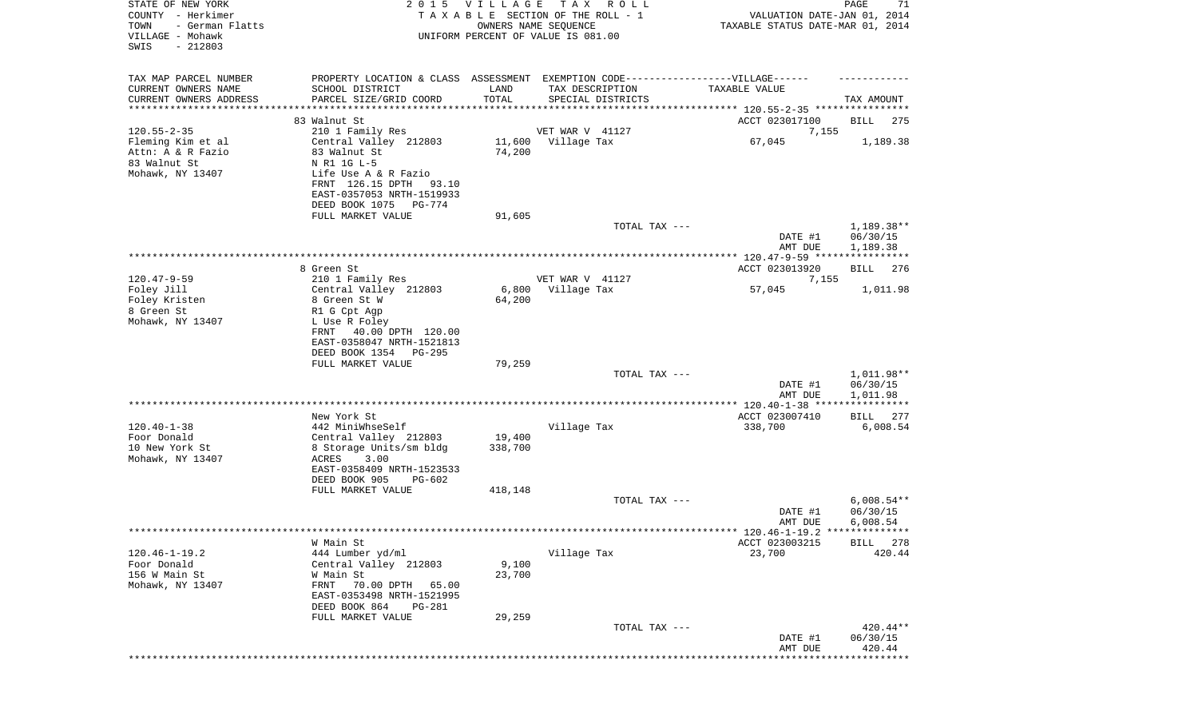| STATE OF NEW YORK<br>COUNTY - Herkimer<br>TOWN<br>- German Flatts<br>VILLAGE - Mohawk<br>SWIS<br>$-212803$ |                                                        | 2015 VILLAGE  | TAX ROLL<br>TAXABLE SECTION OF THE ROLL - 1<br>OWNERS NAME SEQUENCE<br>UNIFORM PERCENT OF VALUE IS 081.00 | VALUATION DATE-JAN 01, 2014<br>TAXABLE STATUS DATE-MAR 01, 2014 | PAGE<br>71             |
|------------------------------------------------------------------------------------------------------------|--------------------------------------------------------|---------------|-----------------------------------------------------------------------------------------------------------|-----------------------------------------------------------------|------------------------|
| TAX MAP PARCEL NUMBER                                                                                      |                                                        |               | PROPERTY LOCATION & CLASS ASSESSMENT EXEMPTION CODE-----------------VILLAGE------                         |                                                                 |                        |
| CURRENT OWNERS NAME<br>CURRENT OWNERS ADDRESS                                                              | SCHOOL DISTRICT<br>PARCEL SIZE/GRID COORD              | LAND<br>TOTAL | TAX DESCRIPTION<br>SPECIAL DISTRICTS                                                                      | TAXABLE VALUE                                                   | TAX AMOUNT             |
| *********************                                                                                      | *****************                                      |               |                                                                                                           |                                                                 |                        |
|                                                                                                            | 83 Walnut St                                           |               |                                                                                                           | ACCT 023017100                                                  | BILL<br>275            |
| $120.55 - 2 - 35$                                                                                          | 210 1 Family Res                                       |               | VET WAR V 41127                                                                                           | 7,155                                                           |                        |
| Fleming Kim et al<br>Attn: A & R Fazio                                                                     | Central Valley 212803<br>83 Walnut St                  | 74,200        | 11,600 Village Tax                                                                                        | 67,045                                                          | 1,189.38               |
| 83 Walnut St                                                                                               | N R1 1G L-5                                            |               |                                                                                                           |                                                                 |                        |
| Mohawk, NY 13407                                                                                           | Life Use A & R Fazio                                   |               |                                                                                                           |                                                                 |                        |
|                                                                                                            | FRNT 126.15 DPTH 93.10                                 |               |                                                                                                           |                                                                 |                        |
|                                                                                                            | EAST-0357053 NRTH-1519933                              |               |                                                                                                           |                                                                 |                        |
|                                                                                                            | DEED BOOK 1075 PG-774<br>FULL MARKET VALUE             | 91,605        |                                                                                                           |                                                                 |                        |
|                                                                                                            |                                                        |               | TOTAL TAX ---                                                                                             |                                                                 | 1,189.38**             |
|                                                                                                            |                                                        |               |                                                                                                           | DATE #1                                                         | 06/30/15               |
|                                                                                                            |                                                        |               |                                                                                                           | AMT DUE                                                         | 1,189.38               |
|                                                                                                            | 8 Green St                                             |               |                                                                                                           | ACCT 023013920                                                  | 276<br>BILL            |
| $120.47 - 9 - 59$                                                                                          | 210 1 Family Res                                       |               | VET WAR V 41127                                                                                           | 7,155                                                           |                        |
| Foley Jill                                                                                                 | Central Valley 212803                                  | 6,800         | Village Tax                                                                                               | 57,045                                                          | 1,011.98               |
| Foley Kristen                                                                                              | 8 Green St W                                           | 64,200        |                                                                                                           |                                                                 |                        |
| 8 Green St                                                                                                 | R1 G Cpt Agp                                           |               |                                                                                                           |                                                                 |                        |
| Mohawk, NY 13407                                                                                           | L Use R Foley<br>FRNT<br>40.00 DPTH 120.00             |               |                                                                                                           |                                                                 |                        |
|                                                                                                            | EAST-0358047 NRTH-1521813                              |               |                                                                                                           |                                                                 |                        |
|                                                                                                            | DEED BOOK 1354<br>PG-295                               |               |                                                                                                           |                                                                 |                        |
|                                                                                                            | FULL MARKET VALUE                                      | 79,259        |                                                                                                           |                                                                 |                        |
|                                                                                                            |                                                        |               | TOTAL TAX ---                                                                                             | DATE #1                                                         | 1,011.98**<br>06/30/15 |
|                                                                                                            |                                                        |               |                                                                                                           | AMT DUE                                                         | 1,011.98               |
|                                                                                                            | New York St                                            |               |                                                                                                           | *************** 120.40-1-38 ****<br>ACCT 023007410              | <b>BILL</b><br>277     |
| $120.40 - 1 - 38$                                                                                          | 442 MiniWhseSelf                                       |               | Village Tax                                                                                               | 338,700                                                         | 6,008.54               |
| Foor Donald                                                                                                | Central Valley 212803                                  | 19,400        |                                                                                                           |                                                                 |                        |
| 10 New York St                                                                                             | 8 Storage Units/sm bldg                                | 338,700       |                                                                                                           |                                                                 |                        |
| Mohawk, NY 13407                                                                                           | ACRES<br>3.00                                          |               |                                                                                                           |                                                                 |                        |
|                                                                                                            | EAST-0358409 NRTH-1523533<br>DEED BOOK 905<br>$PG-602$ |               |                                                                                                           |                                                                 |                        |
|                                                                                                            | FULL MARKET VALUE                                      | 418,148       |                                                                                                           |                                                                 |                        |
|                                                                                                            |                                                        |               | TOTAL TAX ---                                                                                             |                                                                 | $6,008.54**$           |
|                                                                                                            |                                                        |               |                                                                                                           | DATE #1                                                         | 06/30/15               |
|                                                                                                            |                                                        |               |                                                                                                           | AMT DUE                                                         | 6,008.54               |
|                                                                                                            | W Main St                                              |               |                                                                                                           | ACCT 023003215                                                  | 278<br>BILL            |
| $120.46 - 1 - 19.2$                                                                                        | 444 Lumber yd/ml                                       |               | Village Tax                                                                                               | 23,700                                                          | 420.44                 |
| Foor Donald                                                                                                | Central Valley 212803                                  | 9,100         |                                                                                                           |                                                                 |                        |
| 156 W Main St<br>Mohawk, NY 13407                                                                          | W Main St<br>70.00 DPTH<br>FRNT<br>65.00               | 23,700        |                                                                                                           |                                                                 |                        |
|                                                                                                            | EAST-0353498 NRTH-1521995                              |               |                                                                                                           |                                                                 |                        |
|                                                                                                            | DEED BOOK 864<br>PG-281                                |               |                                                                                                           |                                                                 |                        |
|                                                                                                            | FULL MARKET VALUE                                      | 29,259        |                                                                                                           |                                                                 |                        |
|                                                                                                            |                                                        |               | TOTAL TAX ---                                                                                             |                                                                 | 420.44**               |
|                                                                                                            |                                                        |               |                                                                                                           | DATE #1<br>AMT DUE                                              | 06/30/15<br>420.44     |
|                                                                                                            |                                                        |               |                                                                                                           |                                                                 | **********             |
|                                                                                                            |                                                        |               |                                                                                                           |                                                                 |                        |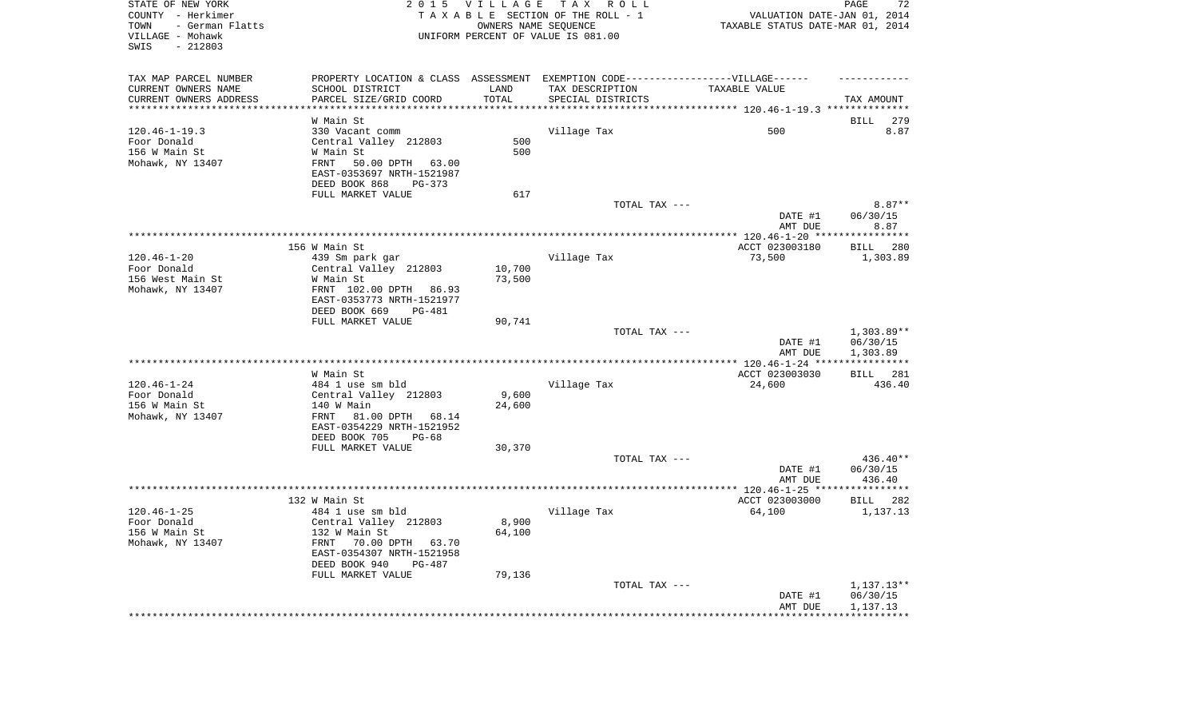| STATE OF NEW YORK<br>COUNTY - Herkimer<br>- German Flatts<br>TOWN<br>VILLAGE - Mohawk<br>$-212803$<br>SWIS | 2 0 1 5                                                                           | VILLAGE         | TAX ROLL<br>TAXABLE SECTION OF THE ROLL - 1<br>OWNERS NAME SEQUENCE<br>UNIFORM PERCENT OF VALUE IS 081.00 | VALUATION DATE-JAN 01, 2014<br>TAXABLE STATUS DATE-MAR 01, 2014 | 72<br>PAGE            |
|------------------------------------------------------------------------------------------------------------|-----------------------------------------------------------------------------------|-----------------|-----------------------------------------------------------------------------------------------------------|-----------------------------------------------------------------|-----------------------|
| TAX MAP PARCEL NUMBER                                                                                      | PROPERTY LOCATION & CLASS ASSESSMENT EXEMPTION CODE-----------------VILLAGE------ |                 |                                                                                                           |                                                                 |                       |
| CURRENT OWNERS NAME                                                                                        | SCHOOL DISTRICT                                                                   | LAND            | TAX DESCRIPTION                                                                                           | TAXABLE VALUE                                                   |                       |
| CURRENT OWNERS ADDRESS                                                                                     | PARCEL SIZE/GRID COORD                                                            | TOTAL           | SPECIAL DISTRICTS                                                                                         |                                                                 | TAX AMOUNT            |
| **********************                                                                                     |                                                                                   |                 |                                                                                                           |                                                                 |                       |
|                                                                                                            | W Main St                                                                         |                 |                                                                                                           |                                                                 | <b>BILL</b><br>279    |
| $120.46 - 1 - 19.3$<br>Foor Donald                                                                         | 330 Vacant comm                                                                   | 500             | Village Tax                                                                                               | 500                                                             | 8.87                  |
| 156 W Main St                                                                                              | Central Valley 212803<br>W Main St                                                | 500             |                                                                                                           |                                                                 |                       |
| Mohawk, NY 13407                                                                                           | FRNT<br>50.00 DPTH<br>63.00                                                       |                 |                                                                                                           |                                                                 |                       |
|                                                                                                            | EAST-0353697 NRTH-1521987<br>DEED BOOK 868<br>$PG-373$                            |                 |                                                                                                           |                                                                 |                       |
|                                                                                                            | FULL MARKET VALUE                                                                 | 617             |                                                                                                           |                                                                 |                       |
|                                                                                                            |                                                                                   |                 | TOTAL TAX ---                                                                                             |                                                                 | $8.87**$              |
|                                                                                                            |                                                                                   |                 |                                                                                                           | DATE #1                                                         | 06/30/15              |
|                                                                                                            |                                                                                   |                 |                                                                                                           | AMT DUE                                                         | 8.87                  |
|                                                                                                            |                                                                                   |                 |                                                                                                           | *********** 120.46-1-20 ****                                    | **********            |
|                                                                                                            | 156 W Main St                                                                     |                 |                                                                                                           | ACCT 023003180                                                  | 280<br>BILL           |
| $120.46 - 1 - 20$                                                                                          | 439 Sm park gar                                                                   |                 | Village Tax                                                                                               | 73,500                                                          | 1,303.89              |
| Foor Donald                                                                                                | Central Valley 212803                                                             | 10,700          |                                                                                                           |                                                                 |                       |
| 156 West Main St                                                                                           | W Main St                                                                         | 73,500          |                                                                                                           |                                                                 |                       |
| Mohawk, NY 13407                                                                                           | FRNT 102.00 DPTH 86.93                                                            |                 |                                                                                                           |                                                                 |                       |
|                                                                                                            | EAST-0353773 NRTH-1521977<br>DEED BOOK 669<br>PG-481                              |                 |                                                                                                           |                                                                 |                       |
|                                                                                                            | FULL MARKET VALUE                                                                 | 90,741          |                                                                                                           |                                                                 |                       |
|                                                                                                            |                                                                                   |                 | TOTAL TAX ---                                                                                             |                                                                 | 1,303.89**            |
|                                                                                                            |                                                                                   |                 |                                                                                                           | DATE #1<br>AMT DUE                                              | 06/30/15<br>1,303.89  |
|                                                                                                            |                                                                                   |                 |                                                                                                           | $***$ 120.46-1-24 ***                                           | * * * * * * * * * * * |
|                                                                                                            | W Main St                                                                         |                 |                                                                                                           | ACCT 023003030                                                  | BILL 281              |
| $120.46 - 1 - 24$                                                                                          | 484 1 use sm bld                                                                  |                 | Village Tax                                                                                               | 24,600                                                          | 436.40                |
| Foor Donald                                                                                                | Central Valley 212803                                                             | 9,600           |                                                                                                           |                                                                 |                       |
| 156 W Main St                                                                                              | 140 W Main                                                                        | 24,600          |                                                                                                           |                                                                 |                       |
| Mohawk, NY 13407                                                                                           | FRNT<br>81.00 DPTH 68.14<br>EAST-0354229 NRTH-1521952                             |                 |                                                                                                           |                                                                 |                       |
|                                                                                                            | DEED BOOK 705<br>$PG-68$                                                          |                 |                                                                                                           |                                                                 |                       |
|                                                                                                            | FULL MARKET VALUE                                                                 | 30,370          |                                                                                                           |                                                                 |                       |
|                                                                                                            |                                                                                   |                 | TOTAL TAX ---                                                                                             |                                                                 | $436.40**$            |
|                                                                                                            |                                                                                   |                 |                                                                                                           | DATE #1                                                         | 06/30/15              |
|                                                                                                            |                                                                                   |                 |                                                                                                           | AMT DUE                                                         | 436.40                |
|                                                                                                            |                                                                                   |                 |                                                                                                           |                                                                 | * * * * * * * * * * * |
|                                                                                                            | 132 W Main St                                                                     |                 |                                                                                                           | ACCT 023003000                                                  | <b>BILL</b> 282       |
| $120.46 - 1 - 25$                                                                                          | 484 1 use sm bld                                                                  |                 | Village Tax                                                                                               | 64,100                                                          | 1,137.13              |
| Foor Donald<br>156 W Main St                                                                               | Central Valley 212803<br>132 W Main St                                            | 8,900<br>64,100 |                                                                                                           |                                                                 |                       |
| Mohawk, NY 13407                                                                                           | FRNT 70.00 DPTH 63.70                                                             |                 |                                                                                                           |                                                                 |                       |
|                                                                                                            | EAST-0354307 NRTH-1521958                                                         |                 |                                                                                                           |                                                                 |                       |
|                                                                                                            | DEED BOOK 940<br>$PG-487$                                                         |                 |                                                                                                           |                                                                 |                       |
|                                                                                                            | FULL MARKET VALUE                                                                 | 79,136          |                                                                                                           |                                                                 |                       |
|                                                                                                            |                                                                                   |                 | TOTAL TAX ---                                                                                             |                                                                 | $1,137.13**$          |
|                                                                                                            |                                                                                   |                 |                                                                                                           | DATE #1                                                         | 06/30/15              |
|                                                                                                            |                                                                                   |                 |                                                                                                           | AMT DUE                                                         | 1,137.13              |
|                                                                                                            |                                                                                   |                 |                                                                                                           |                                                                 |                       |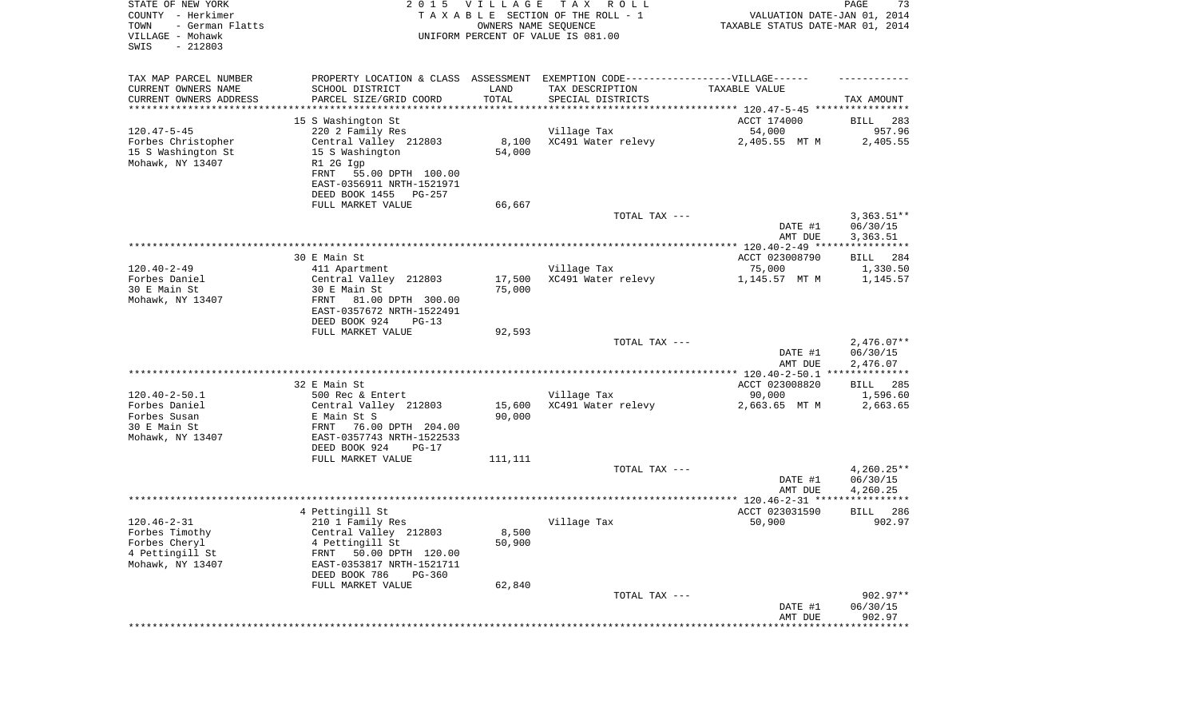| STATE OF NEW YORK<br>COUNTY - Herkimer<br>TOWN<br>- German Flatts<br>VILLAGE - Mohawk<br>SWIS<br>$-212803$ | 2 0 1 5                                                                                                                                                                               | VILLAGE<br>OWNERS NAME SEQUENCE        | TAX ROLL<br>TAXABLE SECTION OF THE ROLL - 1<br>UNIFORM PERCENT OF VALUE IS 081.00                                        | VALUATION DATE-JAN 01, 2014<br>TAXABLE STATUS DATE-MAR 01, 2014 | PAGE<br>73                           |
|------------------------------------------------------------------------------------------------------------|---------------------------------------------------------------------------------------------------------------------------------------------------------------------------------------|----------------------------------------|--------------------------------------------------------------------------------------------------------------------------|-----------------------------------------------------------------|--------------------------------------|
| TAX MAP PARCEL NUMBER<br>CURRENT OWNERS NAME<br>CURRENT OWNERS ADDRESS<br>********************             | SCHOOL DISTRICT<br>PARCEL SIZE/GRID COORD<br>*******************************                                                                                                          | LAND<br>TOTAL<br>* * * * * * * * * * * | PROPERTY LOCATION & CLASS ASSESSMENT EXEMPTION CODE----------------VILLAGE------<br>TAX DESCRIPTION<br>SPECIAL DISTRICTS | TAXABLE VALUE                                                   | TAX AMOUNT                           |
| $120.47 - 5 - 45$<br>Forbes Christopher<br>15 S Washington St<br>Mohawk, NY 13407                          | 15 S Washington St<br>220 2 Family Res<br>Central Valley 212803<br>15 S Washington<br>R1 2G Igp<br>FRNT<br>55.00 DPTH 100.00<br>EAST-0356911 NRTH-1521971<br>DEED BOOK 1455<br>PG-257 | 8,100<br>54,000                        | Village Tax<br>XC491 Water relevy                                                                                        | ACCT 174000<br>54,000<br>2,405.55 MT M                          | 283<br>BILL<br>957.96<br>2,405.55    |
|                                                                                                            | FULL MARKET VALUE                                                                                                                                                                     | 66,667                                 | TOTAL TAX ---                                                                                                            | DATE #1<br>AMT DUE                                              | $3,363.51**$<br>06/30/15<br>3,363.51 |
|                                                                                                            |                                                                                                                                                                                       |                                        |                                                                                                                          |                                                                 |                                      |
| $120.40 - 2 - 49$<br>Forbes Daniel                                                                         | 30 E Main St<br>411 Apartment<br>Central Valley 212803                                                                                                                                | 17,500                                 | Village Tax<br>XC491 Water relevy                                                                                        | ACCT 023008790<br>75,000<br>1,145.57 MT M                       | BILL<br>284<br>1,330.50<br>1,145.57  |
| 30 E Main St<br>Mohawk, NY 13407                                                                           | 30 E Main St<br>FRNT<br>81.00 DPTH 300.00<br>EAST-0357672 NRTH-1522491<br>DEED BOOK 924<br>$PG-13$                                                                                    | 75,000                                 |                                                                                                                          |                                                                 |                                      |
|                                                                                                            | FULL MARKET VALUE                                                                                                                                                                     | 92,593                                 | TOTAL TAX ---                                                                                                            | DATE #1<br>AMT DUE                                              | $2,476.07**$<br>06/30/15<br>2,476.07 |
|                                                                                                            |                                                                                                                                                                                       |                                        |                                                                                                                          | ************* 120.40-2-50.1 ***************                     |                                      |
|                                                                                                            | 32 E Main St                                                                                                                                                                          |                                        |                                                                                                                          | ACCT 023008820                                                  | <b>BILL</b><br>285                   |
| $120.40 - 2 - 50.1$<br>Forbes Daniel                                                                       | 500 Rec & Entert<br>Central Valley 212803                                                                                                                                             | 15,600                                 | Village Tax<br>XC491 Water relevy                                                                                        | 90,000<br>2,663.65 MT M                                         | 1,596.60<br>2,663.65                 |
| Forbes Susan<br>30 E Main St<br>Mohawk, NY 13407                                                           | E Main St S<br>76.00 DPTH 204.00<br>FRNT<br>EAST-0357743 NRTH-1522533<br>DEED BOOK 924<br>$PG-17$<br>FULL MARKET VALUE                                                                | 90,000<br>111,111                      |                                                                                                                          |                                                                 |                                      |
|                                                                                                            |                                                                                                                                                                                       |                                        | TOTAL TAX ---                                                                                                            | DATE #1<br>AMT DUE                                              | $4,260.25**$<br>06/30/15<br>4,260.25 |
|                                                                                                            |                                                                                                                                                                                       |                                        |                                                                                                                          |                                                                 |                                      |
|                                                                                                            | 4 Pettingill St                                                                                                                                                                       |                                        |                                                                                                                          | ACCT 023031590                                                  | 286<br>BILL                          |
| $120.46 - 2 - 31$<br>Forbes Timothy<br>Forbes Cheryl<br>4 Pettingill St<br>Mohawk, NY 13407                | 210 1 Family Res<br>Central Valley 212803<br>4 Pettingill St<br>50.00 DPTH 120.00<br>FRNT<br>EAST-0353817 NRTH-1521711<br>DEED BOOK 786<br>$PG-360$                                   | 8,500<br>50,900                        | Village Tax                                                                                                              | 50,900                                                          | 902.97                               |
|                                                                                                            | FULL MARKET VALUE                                                                                                                                                                     | 62,840                                 | TOTAL TAX ---                                                                                                            | DATE #1<br>AMT DUE                                              | $902.97**$<br>06/30/15<br>902.97     |
|                                                                                                            |                                                                                                                                                                                       |                                        |                                                                                                                          | *************************************                           |                                      |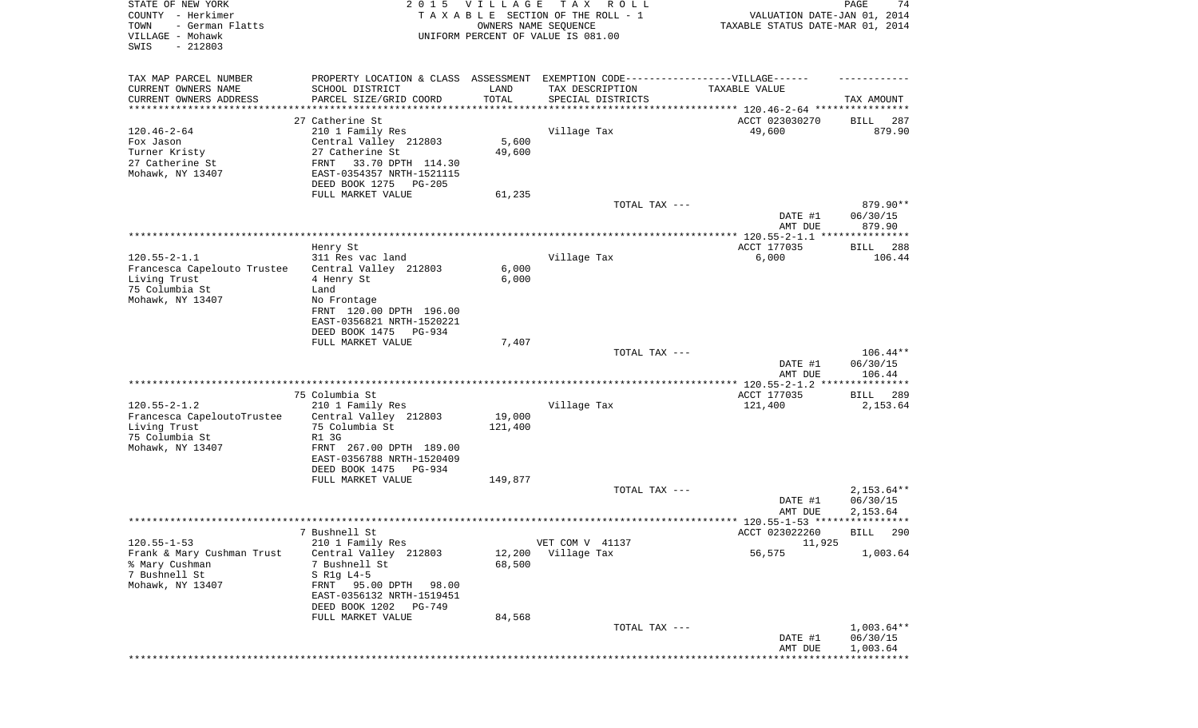| STATE OF NEW YORK<br>COUNTY - Herkimer<br>- German Flatts<br>TOWN | 2 0 1 5                                       | <b>VILLAGE</b><br>OWNERS NAME SEQUENCE | TAX ROLL<br>TAXABLE SECTION OF THE ROLL - 1                                      | VALUATION DATE-JAN 01, 2014<br>TAXABLE STATUS DATE-MAR 01, 2014 | PAGE<br>74            |
|-------------------------------------------------------------------|-----------------------------------------------|----------------------------------------|----------------------------------------------------------------------------------|-----------------------------------------------------------------|-----------------------|
| VILLAGE - Mohawk<br>SWIS<br>$-212803$                             |                                               |                                        | UNIFORM PERCENT OF VALUE IS 081.00                                               |                                                                 |                       |
| TAX MAP PARCEL NUMBER                                             |                                               |                                        | PROPERTY LOCATION & CLASS ASSESSMENT EXEMPTION CODE----------------VILLAGE------ |                                                                 |                       |
| CURRENT OWNERS NAME                                               | SCHOOL DISTRICT                               | LAND                                   | TAX DESCRIPTION                                                                  | TAXABLE VALUE                                                   |                       |
| CURRENT OWNERS ADDRESS                                            | PARCEL SIZE/GRID COORD                        | TOTAL                                  | SPECIAL DISTRICTS                                                                |                                                                 | TAX AMOUNT            |
| **********************                                            | ****************************                  |                                        |                                                                                  |                                                                 |                       |
|                                                                   | 27 Catherine St                               |                                        |                                                                                  | ACCT 023030270                                                  | 287<br>BILL           |
| $120.46 - 2 - 64$                                                 | 210 1 Family Res                              |                                        | Village Tax                                                                      | 49,600                                                          | 879.90                |
| Fox Jason                                                         | Central Valley 212803                         | 5,600                                  |                                                                                  |                                                                 |                       |
| Turner Kristy                                                     | 27 Catherine St                               | 49,600                                 |                                                                                  |                                                                 |                       |
| 27 Catherine St                                                   | FRNT<br>33.70 DPTH 114.30                     |                                        |                                                                                  |                                                                 |                       |
| Mohawk, NY 13407                                                  | EAST-0354357 NRTH-1521115                     |                                        |                                                                                  |                                                                 |                       |
|                                                                   | DEED BOOK 1275<br>PG-205                      |                                        |                                                                                  |                                                                 |                       |
|                                                                   | FULL MARKET VALUE                             | 61,235                                 |                                                                                  |                                                                 |                       |
|                                                                   |                                               |                                        | TOTAL TAX ---                                                                    |                                                                 | 879.90**              |
|                                                                   |                                               |                                        |                                                                                  | DATE #1<br>AMT DUE                                              | 06/30/15<br>879.90    |
|                                                                   |                                               |                                        |                                                                                  |                                                                 |                       |
|                                                                   | Henry St                                      |                                        |                                                                                  | ACCT 177035                                                     | BILL<br>288           |
| $120.55 - 2 - 1.1$                                                | 311 Res vac land                              |                                        | Village Tax                                                                      | 6,000                                                           | 106.44                |
| Francesca Capelouto Trustee                                       | Central Valley 212803                         | 6,000                                  |                                                                                  |                                                                 |                       |
| Living Trust                                                      | 4 Henry St                                    | 6,000                                  |                                                                                  |                                                                 |                       |
| 75 Columbia St                                                    | Land                                          |                                        |                                                                                  |                                                                 |                       |
| Mohawk, NY 13407                                                  | No Frontage                                   |                                        |                                                                                  |                                                                 |                       |
|                                                                   | FRNT 120.00 DPTH 196.00                       |                                        |                                                                                  |                                                                 |                       |
|                                                                   | EAST-0356821 NRTH-1520221                     |                                        |                                                                                  |                                                                 |                       |
|                                                                   | DEED BOOK 1475<br>PG-934<br>FULL MARKET VALUE | 7,407                                  |                                                                                  |                                                                 |                       |
|                                                                   |                                               |                                        | TOTAL TAX ---                                                                    |                                                                 | $106.44**$            |
|                                                                   |                                               |                                        |                                                                                  | DATE #1                                                         | 06/30/15              |
|                                                                   |                                               |                                        |                                                                                  | AMT DUE                                                         | 106.44                |
|                                                                   |                                               |                                        |                                                                                  |                                                                 |                       |
|                                                                   | 75 Columbia St                                |                                        |                                                                                  | ACCT 177035                                                     | BILL<br>289           |
| $120.55 - 2 - 1.2$                                                | 210 1 Family Res                              |                                        | Village Tax                                                                      | 121,400                                                         | 2,153.64              |
| Francesca CapeloutoTrustee                                        | Central Valley 212803                         | 19,000                                 |                                                                                  |                                                                 |                       |
| Living Trust                                                      | 75 Columbia St                                | 121,400                                |                                                                                  |                                                                 |                       |
| 75 Columbia St                                                    | R1 3G                                         |                                        |                                                                                  |                                                                 |                       |
| Mohawk, NY 13407                                                  | FRNT 267.00 DPTH 189.00                       |                                        |                                                                                  |                                                                 |                       |
|                                                                   | EAST-0356788 NRTH-1520409                     |                                        |                                                                                  |                                                                 |                       |
|                                                                   | DEED BOOK 1475<br>PG-934                      |                                        |                                                                                  |                                                                 |                       |
|                                                                   | FULL MARKET VALUE                             | 149,877                                | TOTAL TAX ---                                                                    |                                                                 | $2,153.64**$          |
|                                                                   |                                               |                                        |                                                                                  | DATE #1                                                         | 06/30/15              |
|                                                                   |                                               |                                        |                                                                                  | AMT DUE                                                         | 2,153.64              |
|                                                                   |                                               |                                        |                                                                                  |                                                                 |                       |
|                                                                   | 7 Bushnell St                                 |                                        |                                                                                  | ACCT 023022260                                                  | BILL 290              |
| $120.55 - 1 - 53$                                                 | 210 1 Family Res                              |                                        | VET COM V 41137                                                                  | 11,925                                                          |                       |
| Frank & Mary Cushman Trust                                        | Central Valley 212803                         | 12,200                                 | Village Tax                                                                      | 56,575                                                          | 1,003.64              |
| % Mary Cushman                                                    | 7 Bushnell St                                 | 68,500                                 |                                                                                  |                                                                 |                       |
| 7 Bushnell St                                                     | S R1g L4-5                                    |                                        |                                                                                  |                                                                 |                       |
| Mohawk, NY 13407                                                  | FRNT 95.00 DPTH<br>98.00                      |                                        |                                                                                  |                                                                 |                       |
|                                                                   | EAST-0356132 NRTH-1519451                     |                                        |                                                                                  |                                                                 |                       |
|                                                                   | DEED BOOK 1202<br>PG-749                      |                                        |                                                                                  |                                                                 |                       |
|                                                                   | FULL MARKET VALUE                             | 84,568                                 | TOTAL TAX ---                                                                    |                                                                 | $1,003.64**$          |
|                                                                   |                                               |                                        |                                                                                  | DATE #1                                                         | 06/30/15              |
|                                                                   |                                               |                                        |                                                                                  | AMT DUE                                                         | 1,003.64              |
|                                                                   |                                               |                                        |                                                                                  |                                                                 | * * * * * * * * * * * |
|                                                                   |                                               |                                        |                                                                                  |                                                                 |                       |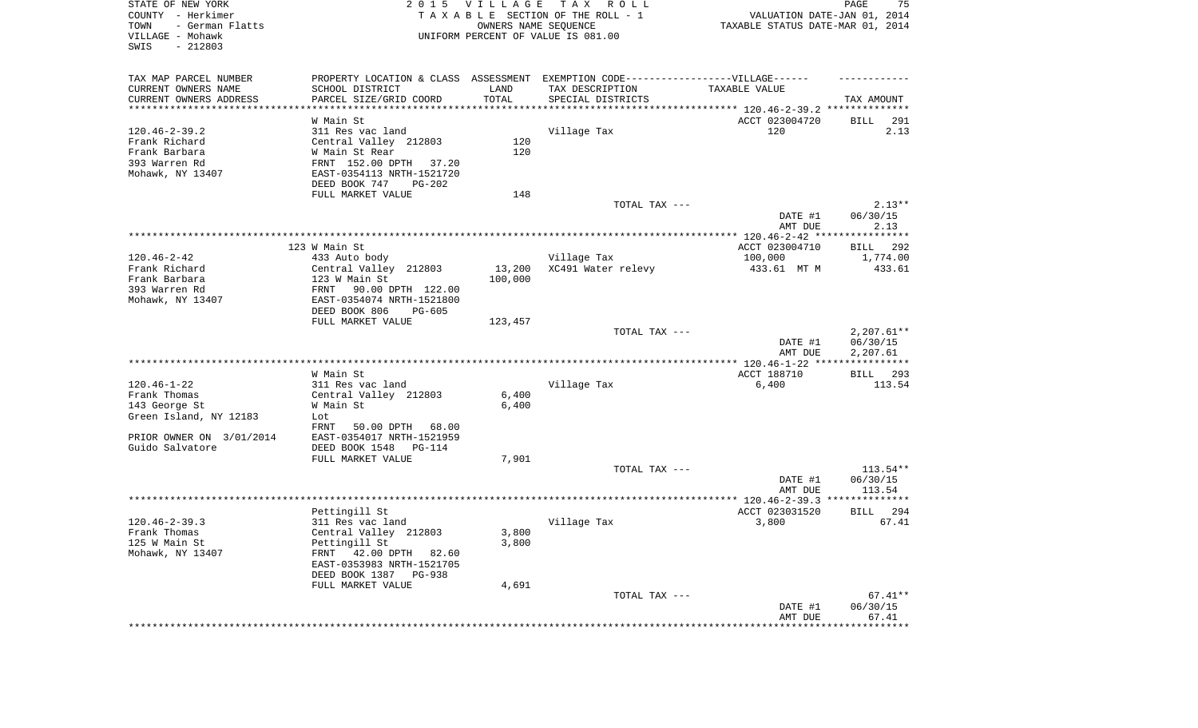| STATE OF NEW YORK<br>COUNTY - Herkimer                           |                                                                                   | 2015 VILLAGE   | T A X<br>R O L L<br>TAXABLE SECTION OF THE ROLL - 1        | VALUATION DATE-JAN 01, 2014                                | PAGE<br>75             |
|------------------------------------------------------------------|-----------------------------------------------------------------------------------|----------------|------------------------------------------------------------|------------------------------------------------------------|------------------------|
| TOWN<br>- German Flatts<br>VILLAGE - Mohawk<br>$-212803$<br>SWIS |                                                                                   |                | OWNERS NAME SEQUENCE<br>UNIFORM PERCENT OF VALUE IS 081.00 | TAXABLE STATUS DATE-MAR 01, 2014                           |                        |
| TAX MAP PARCEL NUMBER                                            | PROPERTY LOCATION & CLASS ASSESSMENT EXEMPTION CODE-----------------VILLAGE------ |                |                                                            |                                                            |                        |
| CURRENT OWNERS NAME                                              | SCHOOL DISTRICT                                                                   | LAND           | TAX DESCRIPTION                                            | TAXABLE VALUE                                              |                        |
| CURRENT OWNERS ADDRESS<br>********************                   | PARCEL SIZE/GRID COORD                                                            | TOTAL          | SPECIAL DISTRICTS                                          | ***************************** 120.46-2-39.2 ************** | TAX AMOUNT             |
|                                                                  | W Main St                                                                         |                |                                                            | ACCT 023004720                                             | BILL<br>291            |
| $120.46 - 2 - 39.2$                                              | 311 Res vac land                                                                  |                | Village Tax                                                | 120                                                        | 2.13                   |
| Frank Richard                                                    | Central Valley 212803                                                             | 120            |                                                            |                                                            |                        |
| Frank Barbara                                                    | W Main St Rear                                                                    | 120            |                                                            |                                                            |                        |
| 393 Warren Rd<br>Mohawk, NY 13407                                | FRNT 152.00 DPTH<br>37.20<br>EAST-0354113 NRTH-1521720                            |                |                                                            |                                                            |                        |
|                                                                  | DEED BOOK 747<br>PG-202<br>FULL MARKET VALUE                                      | 148            |                                                            |                                                            |                        |
|                                                                  |                                                                                   |                | TOTAL TAX ---                                              |                                                            | $2.13**$               |
|                                                                  |                                                                                   |                |                                                            | DATE #1<br>AMT DUE                                         | 06/30/15<br>2.13       |
|                                                                  |                                                                                   |                |                                                            |                                                            |                        |
|                                                                  | 123 W Main St                                                                     |                |                                                            | ACCT 023004710                                             | BILL 292               |
| $120.46 - 2 - 42$                                                | 433 Auto body                                                                     |                | Village Tax                                                | 100,000                                                    | 1,774.00               |
| Frank Richard                                                    | Central Valley 212803                                                             | 13,200         | XC491 Water relevy                                         | 433.61 MT M                                                | 433.61                 |
| Frank Barbara<br>393 Warren Rd                                   | 123 W Main St<br>90.00 DPTH 122.00<br>FRNT                                        | 100,000        |                                                            |                                                            |                        |
| Mohawk, NY 13407                                                 | EAST-0354074 NRTH-1521800                                                         |                |                                                            |                                                            |                        |
|                                                                  | DEED BOOK 806<br>PG-605<br>FULL MARKET VALUE                                      | 123,457        |                                                            |                                                            |                        |
|                                                                  |                                                                                   |                | TOTAL TAX ---                                              |                                                            | $2,207.61**$           |
|                                                                  |                                                                                   |                |                                                            | DATE #1<br>AMT DUE                                         | 06/30/15<br>2,207.61   |
|                                                                  |                                                                                   |                |                                                            |                                                            |                        |
|                                                                  | W Main St                                                                         |                |                                                            | ACCT 188710                                                | BILL 293               |
| $120.46 - 1 - 22$                                                | 311 Res vac land                                                                  |                | Village Tax                                                | 6,400                                                      | 113.54                 |
| Frank Thomas<br>143 George St                                    | Central Valley 212803<br>W Main St                                                | 6,400<br>6,400 |                                                            |                                                            |                        |
| Green Island, NY 12183                                           | Lot                                                                               |                |                                                            |                                                            |                        |
|                                                                  | FRNT<br>50.00 DPTH<br>68.00                                                       |                |                                                            |                                                            |                        |
| PRIOR OWNER ON 3/01/2014                                         | EAST-0354017 NRTH-1521959                                                         |                |                                                            |                                                            |                        |
| Guido Salvatore                                                  | DEED BOOK 1548<br>PG-114                                                          |                |                                                            |                                                            |                        |
|                                                                  | FULL MARKET VALUE                                                                 | 7,901          |                                                            |                                                            |                        |
|                                                                  |                                                                                   |                | TOTAL TAX ---                                              | DATE #1                                                    | $113.54**$<br>06/30/15 |
|                                                                  |                                                                                   |                |                                                            | AMT DUE                                                    | 113.54                 |
|                                                                  |                                                                                   |                |                                                            |                                                            |                        |
|                                                                  | Pettingill St                                                                     |                |                                                            | ACCT 023031520                                             | 294<br>BILL            |
| $120.46 - 2 - 39.3$                                              | 311 Res vac land                                                                  |                | Village Tax                                                | 3,800                                                      | 67.41                  |
| Frank Thomas                                                     | Central Valley 212803                                                             | 3,800          |                                                            |                                                            |                        |
| 125 W Main St<br>Mohawk, NY 13407                                | Pettingill St<br>42.00 DPTH 82.60<br>FRNT                                         | 3,800          |                                                            |                                                            |                        |
|                                                                  | EAST-0353983 NRTH-1521705                                                         |                |                                                            |                                                            |                        |
|                                                                  | DEED BOOK 1387<br>PG-938                                                          |                |                                                            |                                                            |                        |
|                                                                  | FULL MARKET VALUE                                                                 | 4,691          |                                                            |                                                            |                        |
|                                                                  |                                                                                   |                | TOTAL TAX ---                                              |                                                            | $67.41**$              |
|                                                                  |                                                                                   |                |                                                            | DATE #1                                                    | 06/30/15               |
|                                                                  |                                                                                   |                |                                                            | AMT DUE<br>*******************                             | 67.41<br>************  |
|                                                                  |                                                                                   |                |                                                            |                                                            |                        |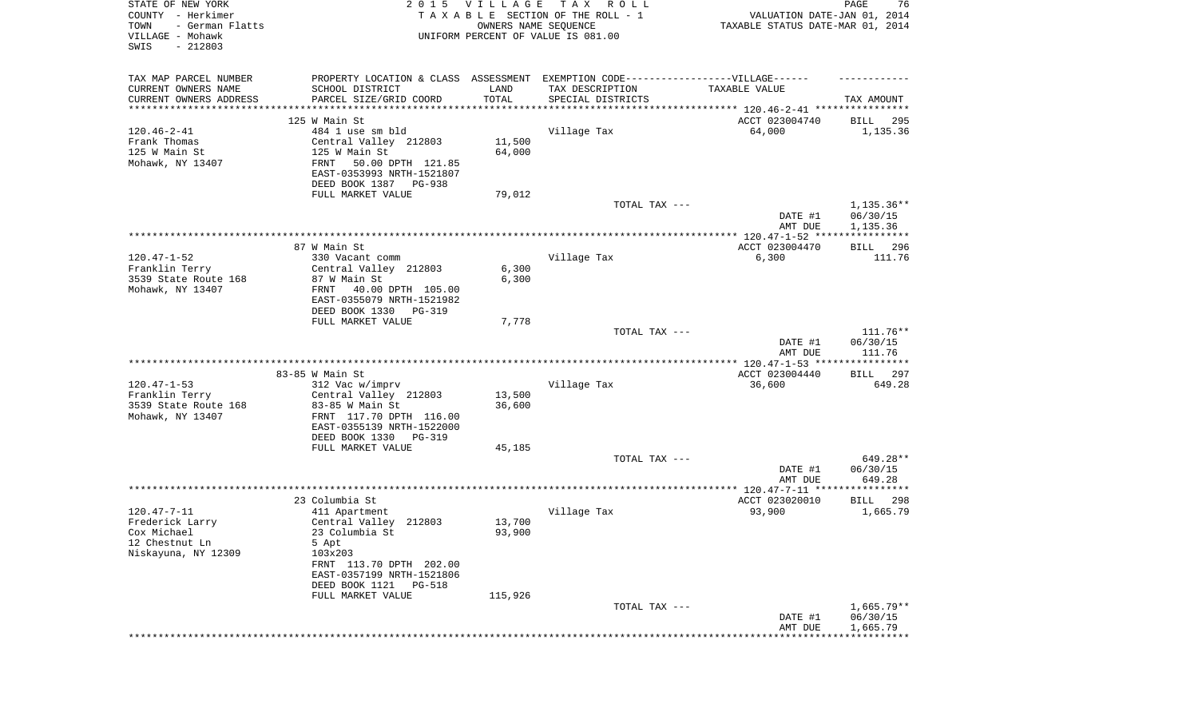| STATE OF NEW YORK<br>COUNTY - Herkimer<br>TOWN<br>- German Flatts<br>VILLAGE - Mohawk<br>SWIS<br>$-212803$ | 2 0 1 5                                                | VILLAGE<br>OWNERS NAME SEQUENCE | T A X<br>R O L L<br>TAXABLE SECTION OF THE ROLL - 1<br>UNIFORM PERCENT OF VALUE IS 081.00 | VALUATION DATE-JAN 01, 2014<br>TAXABLE STATUS DATE-MAR 01, 2014 | PAGE<br>76                         |
|------------------------------------------------------------------------------------------------------------|--------------------------------------------------------|---------------------------------|-------------------------------------------------------------------------------------------|-----------------------------------------------------------------|------------------------------------|
| TAX MAP PARCEL NUMBER                                                                                      | PROPERTY LOCATION & CLASS ASSESSMENT                   |                                 | EXEMPTION CODE------------------VILLAGE------                                             |                                                                 |                                    |
| CURRENT OWNERS NAME                                                                                        | SCHOOL DISTRICT                                        | LAND                            | TAX DESCRIPTION                                                                           | TAXABLE VALUE                                                   |                                    |
| CURRENT OWNERS ADDRESS<br>*********************                                                            | PARCEL SIZE/GRID COORD                                 | TOTAL<br>* * * * * * * * * * *  | SPECIAL DISTRICTS                                                                         |                                                                 | TAX AMOUNT                         |
|                                                                                                            | 125 W Main St                                          |                                 |                                                                                           | ACCT 023004740                                                  | BILL<br>295                        |
| $120.46 - 2 - 41$                                                                                          | 484 1 use sm bld                                       |                                 | Village Tax                                                                               | 64,000                                                          | 1,135.36                           |
| Frank Thomas                                                                                               | Central Valley 212803                                  | 11,500                          |                                                                                           |                                                                 |                                    |
| 125 W Main St                                                                                              | 125 W Main St                                          | 64,000                          |                                                                                           |                                                                 |                                    |
| Mohawk, NY 13407                                                                                           | FRNT<br>50.00 DPTH 121.85                              |                                 |                                                                                           |                                                                 |                                    |
|                                                                                                            | EAST-0353993 NRTH-1521807                              |                                 |                                                                                           |                                                                 |                                    |
|                                                                                                            | DEED BOOK 1387<br>PG-938                               |                                 |                                                                                           |                                                                 |                                    |
|                                                                                                            | FULL MARKET VALUE                                      | 79,012                          |                                                                                           |                                                                 |                                    |
|                                                                                                            |                                                        |                                 | TOTAL TAX ---                                                                             | DATE #1<br>AMT DUE                                              | 1,135.36**<br>06/30/15<br>1,135.36 |
|                                                                                                            |                                                        |                                 |                                                                                           |                                                                 |                                    |
|                                                                                                            | 87 W Main St                                           |                                 |                                                                                           | ACCT 023004470                                                  | 296<br>BILL                        |
| $120.47 - 1 - 52$                                                                                          | 330 Vacant comm                                        |                                 | Village Tax                                                                               | 6,300                                                           | 111.76                             |
| Franklin Terry                                                                                             | Central Valley 212803                                  | 6,300                           |                                                                                           |                                                                 |                                    |
| 3539 State Route 168                                                                                       | 87 W Main St                                           | 6,300                           |                                                                                           |                                                                 |                                    |
| Mohawk, NY 13407                                                                                           | FRNT<br>40.00 DPTH 105.00<br>EAST-0355079 NRTH-1521982 |                                 |                                                                                           |                                                                 |                                    |
|                                                                                                            | DEED BOOK 1330<br>PG-319                               |                                 |                                                                                           |                                                                 |                                    |
|                                                                                                            | FULL MARKET VALUE                                      | 7,778                           |                                                                                           |                                                                 |                                    |
|                                                                                                            |                                                        |                                 | TOTAL TAX ---                                                                             |                                                                 | 111.76**                           |
|                                                                                                            |                                                        |                                 |                                                                                           | DATE #1                                                         | 06/30/15                           |
|                                                                                                            |                                                        |                                 |                                                                                           | AMT DUE                                                         | 111.76                             |
|                                                                                                            |                                                        |                                 |                                                                                           |                                                                 |                                    |
| $120.47 - 1 - 53$                                                                                          | 83-85 W Main St<br>312 Vac w/imprv                     |                                 | Village Tax                                                                               | ACCT 023004440<br>36,600                                        | 297<br>BILL<br>649.28              |
| Franklin Terry                                                                                             | Central Valley 212803                                  | 13,500                          |                                                                                           |                                                                 |                                    |
| 3539 State Route 168                                                                                       | 83-85 W Main St                                        | 36,600                          |                                                                                           |                                                                 |                                    |
| Mohawk, NY 13407                                                                                           | FRNT 117.70 DPTH 116.00                                |                                 |                                                                                           |                                                                 |                                    |
|                                                                                                            | EAST-0355139 NRTH-1522000                              |                                 |                                                                                           |                                                                 |                                    |
|                                                                                                            | DEED BOOK 1330<br>PG-319                               |                                 |                                                                                           |                                                                 |                                    |
|                                                                                                            | FULL MARKET VALUE                                      | 45,185                          |                                                                                           |                                                                 |                                    |
|                                                                                                            |                                                        |                                 | TOTAL TAX ---                                                                             |                                                                 | 649.28**                           |
|                                                                                                            |                                                        |                                 |                                                                                           | DATE #1<br>AMT DUE                                              | 06/30/15<br>649.28                 |
|                                                                                                            |                                                        |                                 |                                                                                           |                                                                 |                                    |
|                                                                                                            | 23 Columbia St                                         |                                 |                                                                                           | ACCT 023020010                                                  | BILL<br>298                        |
| $120.47 - 7 - 11$                                                                                          | 411 Apartment                                          |                                 | Village Tax                                                                               | 93,900                                                          | 1,665.79                           |
| Frederick Larry                                                                                            | Central Valley 212803                                  | 13,700                          |                                                                                           |                                                                 |                                    |
| Cox Michael                                                                                                | 23 Columbia St                                         | 93,900                          |                                                                                           |                                                                 |                                    |
| 12 Chestnut Ln                                                                                             | 5 Apt                                                  |                                 |                                                                                           |                                                                 |                                    |
| Niskayuna, NY 12309                                                                                        | 103x203<br>FRNT 113.70 DPTH 202.00                     |                                 |                                                                                           |                                                                 |                                    |
|                                                                                                            | EAST-0357199 NRTH-1521806                              |                                 |                                                                                           |                                                                 |                                    |
|                                                                                                            | DEED BOOK 1121<br>PG-518                               |                                 |                                                                                           |                                                                 |                                    |
|                                                                                                            | FULL MARKET VALUE                                      | 115,926                         |                                                                                           |                                                                 |                                    |
|                                                                                                            |                                                        |                                 | TOTAL TAX ---                                                                             |                                                                 | $1,665.79**$                       |
|                                                                                                            |                                                        |                                 |                                                                                           | DATE #1                                                         | 06/30/15                           |
|                                                                                                            |                                                        |                                 |                                                                                           | AMT DUE                                                         | 1,665.79                           |
|                                                                                                            |                                                        |                                 |                                                                                           |                                                                 |                                    |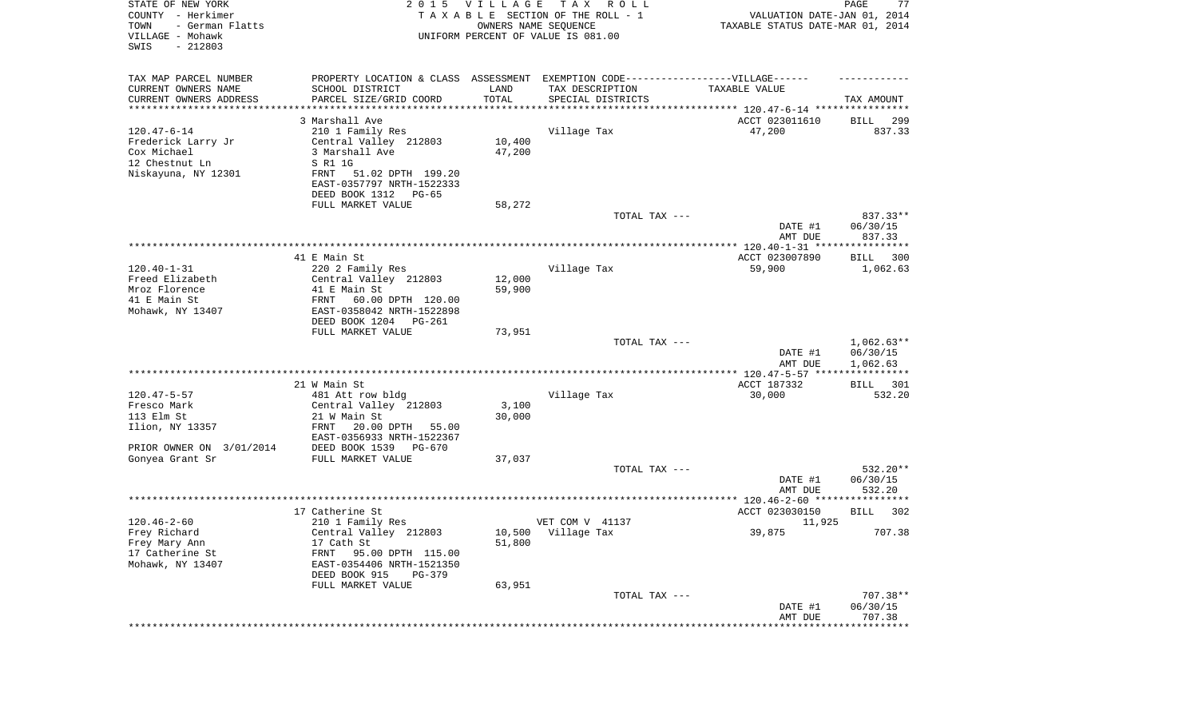| STATE OF NEW YORK<br>COUNTY - Herkimer<br>- German Flatts<br>TOWN<br>VILLAGE - Mohawk<br>SWIS<br>$-212803$ | 2 0 1 5                                                                          | <b>VILLAGE</b><br>OWNERS NAME SEQUENCE | T A X<br>R O L L<br>TAXABLE SECTION OF THE ROLL - 1<br>UNIFORM PERCENT OF VALUE IS 081.00 | VALUATION DATE-JAN 01, 2014<br>TAXABLE STATUS DATE-MAR 01, 2014 | PAGE<br>77               |
|------------------------------------------------------------------------------------------------------------|----------------------------------------------------------------------------------|----------------------------------------|-------------------------------------------------------------------------------------------|-----------------------------------------------------------------|--------------------------|
| TAX MAP PARCEL NUMBER                                                                                      | PROPERTY LOCATION & CLASS ASSESSMENT EXEMPTION CODE----------------VILLAGE------ |                                        |                                                                                           |                                                                 |                          |
| CURRENT OWNERS NAME<br>CURRENT OWNERS ADDRESS<br>*********************                                     | SCHOOL DISTRICT<br>PARCEL SIZE/GRID COORD                                        | LAND<br>TOTAL<br>**********            | TAX DESCRIPTION<br>SPECIAL DISTRICTS                                                      | TAXABLE VALUE                                                   | TAX AMOUNT               |
|                                                                                                            |                                                                                  |                                        |                                                                                           |                                                                 |                          |
| $120.47 - 6 - 14$                                                                                          | 3 Marshall Ave<br>210 1 Family Res                                               |                                        | Village Tax                                                                               | ACCT 023011610<br>47,200                                        | 299<br>BILL<br>837.33    |
| Frederick Larry Jr                                                                                         | Central Valley 212803                                                            | 10,400                                 |                                                                                           |                                                                 |                          |
| Cox Michael                                                                                                | 3 Marshall Ave                                                                   | 47,200                                 |                                                                                           |                                                                 |                          |
| 12 Chestnut Ln                                                                                             | S R1 1G                                                                          |                                        |                                                                                           |                                                                 |                          |
| Niskayuna, NY 12301                                                                                        | 51.02 DPTH 199.20<br>FRNT                                                        |                                        |                                                                                           |                                                                 |                          |
|                                                                                                            | EAST-0357797 NRTH-1522333                                                        |                                        |                                                                                           |                                                                 |                          |
|                                                                                                            | DEED BOOK 1312<br>PG-65                                                          |                                        |                                                                                           |                                                                 |                          |
|                                                                                                            | FULL MARKET VALUE                                                                | 58,272                                 | TOTAL TAX ---                                                                             |                                                                 | $837.33**$               |
|                                                                                                            |                                                                                  |                                        |                                                                                           | DATE #1                                                         | 06/30/15                 |
|                                                                                                            |                                                                                  |                                        |                                                                                           | AMT DUE                                                         | 837.33                   |
|                                                                                                            |                                                                                  |                                        |                                                                                           |                                                                 |                          |
|                                                                                                            | 41 E Main St                                                                     |                                        |                                                                                           | ACCT 023007890                                                  | BILL 300                 |
| $120.40 - 1 - 31$                                                                                          | 220 2 Family Res                                                                 |                                        | Village Tax                                                                               | 59,900                                                          | 1,062.63                 |
| Freed Elizabeth                                                                                            | Central Valley 212803                                                            | 12,000                                 |                                                                                           |                                                                 |                          |
| Mroz Florence<br>41 E Main St                                                                              | 41 E Main St<br>60.00 DPTH 120.00<br>FRNT                                        | 59,900                                 |                                                                                           |                                                                 |                          |
| Mohawk, NY 13407                                                                                           | EAST-0358042 NRTH-1522898                                                        |                                        |                                                                                           |                                                                 |                          |
|                                                                                                            | DEED BOOK 1204<br>PG-261                                                         |                                        |                                                                                           |                                                                 |                          |
|                                                                                                            | FULL MARKET VALUE                                                                | 73,951                                 |                                                                                           |                                                                 |                          |
|                                                                                                            |                                                                                  |                                        | TOTAL TAX ---                                                                             |                                                                 | $1,062.63**$             |
|                                                                                                            |                                                                                  |                                        |                                                                                           | DATE #1                                                         | 06/30/15                 |
|                                                                                                            |                                                                                  |                                        |                                                                                           | AMT DUE<br>*************** 120.47-5-57 ****                     | 1,062.63<br>***********  |
|                                                                                                            | 21 W Main St                                                                     |                                        |                                                                                           | ACCT 187332                                                     | BILL 301                 |
| $120.47 - 5 - 57$                                                                                          | 481 Att row bldg                                                                 |                                        | Village Tax                                                                               | 30,000                                                          | 532.20                   |
| Fresco Mark                                                                                                | Central Valley 212803                                                            | 3,100                                  |                                                                                           |                                                                 |                          |
| 113 Elm St                                                                                                 | 21 W Main St                                                                     | 30,000                                 |                                                                                           |                                                                 |                          |
| Ilion, NY 13357                                                                                            | 20.00 DPTH<br>FRNT<br>55.00                                                      |                                        |                                                                                           |                                                                 |                          |
|                                                                                                            | EAST-0356933 NRTH-1522367                                                        |                                        |                                                                                           |                                                                 |                          |
| PRIOR OWNER ON 3/01/2014<br>Gonyea Grant Sr                                                                | DEED BOOK 1539<br>PG-670<br>FULL MARKET VALUE                                    | 37,037                                 |                                                                                           |                                                                 |                          |
|                                                                                                            |                                                                                  |                                        | TOTAL TAX ---                                                                             |                                                                 | 532.20**                 |
|                                                                                                            |                                                                                  |                                        |                                                                                           | DATE #1                                                         | 06/30/15                 |
|                                                                                                            |                                                                                  |                                        |                                                                                           | AMT DUE                                                         | 532.20                   |
|                                                                                                            |                                                                                  |                                        |                                                                                           |                                                                 |                          |
|                                                                                                            | 17 Catherine St                                                                  |                                        |                                                                                           | ACCT 023030150                                                  | 302<br>BILL              |
| $120.46 - 2 - 60$                                                                                          | 210 1 Family Res                                                                 |                                        | VET COM V 41137                                                                           | 11,925                                                          |                          |
| Frey Richard<br>Frey Mary Ann                                                                              | Central Valley 212803<br>17 Cath St                                              | 51,800                                 | 10,500 Village Tax                                                                        | 39,875                                                          | 707.38                   |
| 17 Catherine St                                                                                            | FRNT<br>95.00 DPTH 115.00                                                        |                                        |                                                                                           |                                                                 |                          |
| Mohawk, NY 13407                                                                                           | EAST-0354406 NRTH-1521350                                                        |                                        |                                                                                           |                                                                 |                          |
|                                                                                                            | DEED BOOK 915<br>PG-379                                                          |                                        |                                                                                           |                                                                 |                          |
|                                                                                                            | FULL MARKET VALUE                                                                | 63,951                                 |                                                                                           |                                                                 |                          |
|                                                                                                            |                                                                                  |                                        | TOTAL TAX ---                                                                             |                                                                 | 707.38**                 |
|                                                                                                            |                                                                                  |                                        |                                                                                           | DATE #1                                                         | 06/30/15                 |
|                                                                                                            |                                                                                  |                                        |                                                                                           | AMT DUE                                                         | 707.38<br>************** |
|                                                                                                            |                                                                                  |                                        |                                                                                           |                                                                 |                          |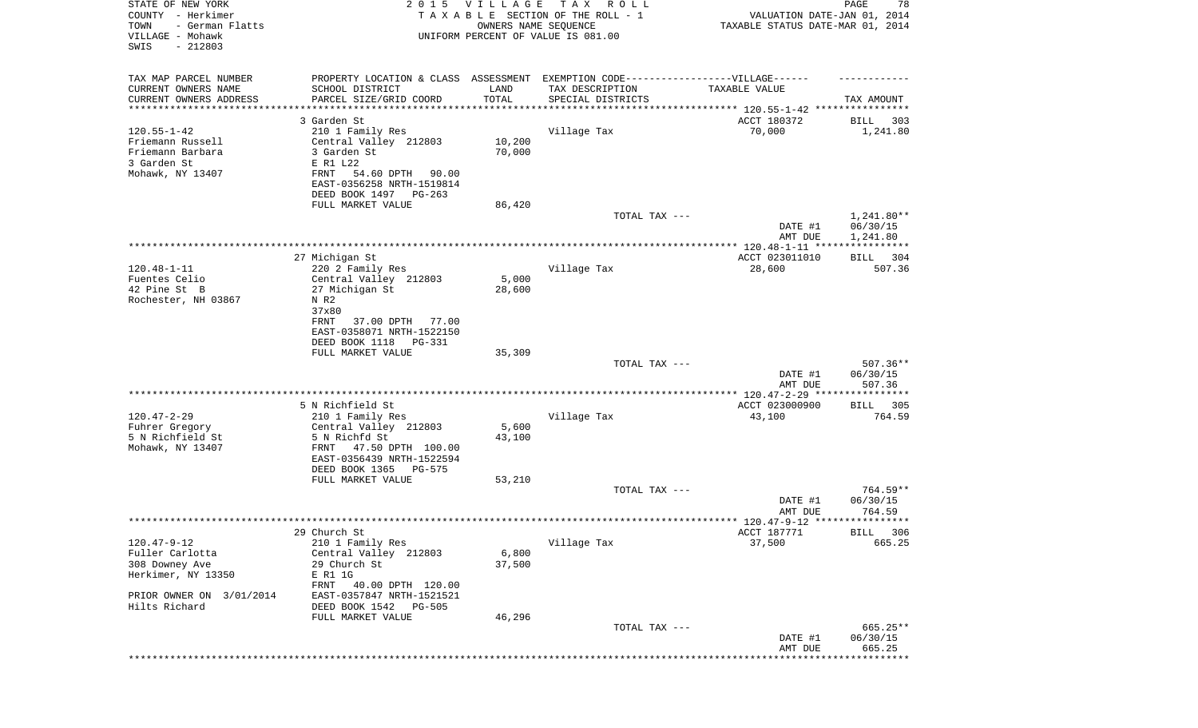| STATE OF NEW YORK<br>COUNTY - Herkimer<br>- German Flatts<br>TOWN<br>VILLAGE - Mohawk<br>SWIS<br>$-212803$ | 2 0 1 5                                                                                                                                                                     | <b>VILLAGE</b><br>OWNERS NAME SEQUENCE | T A X<br>R O L L<br>TAXABLE SECTION OF THE ROLL - 1<br>UNIFORM PERCENT OF VALUE IS 081.00                                 | VALUATION DATE-JAN 01, 2014<br>TAXABLE STATUS DATE-MAR 01, 2014 | 78<br>PAGE                           |
|------------------------------------------------------------------------------------------------------------|-----------------------------------------------------------------------------------------------------------------------------------------------------------------------------|----------------------------------------|---------------------------------------------------------------------------------------------------------------------------|-----------------------------------------------------------------|--------------------------------------|
| TAX MAP PARCEL NUMBER<br>CURRENT OWNERS NAME<br>CURRENT OWNERS ADDRESS                                     | SCHOOL DISTRICT<br>PARCEL SIZE/GRID COORD                                                                                                                                   | LAND<br>TOTAL                          | PROPERTY LOCATION & CLASS ASSESSMENT EXEMPTION CODE-----------------VILLAGE------<br>TAX DESCRIPTION<br>SPECIAL DISTRICTS | TAXABLE VALUE                                                   | TAX AMOUNT                           |
| ********************                                                                                       |                                                                                                                                                                             |                                        |                                                                                                                           | .**************************** 120.55-1-42 ******                |                                      |
| $120.55 - 1 - 42$<br>Friemann Russell<br>Friemann Barbara<br>3 Garden St<br>Mohawk, NY 13407               | 3 Garden St<br>210 1 Family Res<br>Central Valley 212803<br>3 Garden St<br>E R1 L22<br>54.60 DPTH<br>FRNT<br>90.00<br>EAST-0356258 NRTH-1519814<br>DEED BOOK 1497<br>PG-263 | 10,200<br>70,000                       | Village Tax                                                                                                               | ACCT 180372<br>70,000                                           | 303<br>BILL<br>1,241.80              |
|                                                                                                            | FULL MARKET VALUE                                                                                                                                                           | 86,420                                 |                                                                                                                           |                                                                 |                                      |
|                                                                                                            |                                                                                                                                                                             |                                        | TOTAL TAX ---                                                                                                             | DATE #1<br>AMT DUE                                              | $1,241.80**$<br>06/30/15<br>1,241.80 |
|                                                                                                            |                                                                                                                                                                             |                                        |                                                                                                                           |                                                                 | * * * * * * * * * * *                |
| $120.48 - 1 - 11$<br>Fuentes Celio                                                                         | 27 Michigan St<br>220 2 Family Res<br>Central Valley 212803                                                                                                                 | 5,000                                  | Village Tax                                                                                                               | ACCT 023011010<br>28,600                                        | 304<br>BILL<br>507.36                |
| 42 Pine St B<br>Rochester, NH 03867                                                                        | 27 Michigan St<br>N R2<br>37x80<br>FRNT<br>37.00 DPTH<br>77.00<br>EAST-0358071 NRTH-1522150<br>DEED BOOK 1118<br><b>PG-331</b>                                              | 28,600                                 |                                                                                                                           |                                                                 |                                      |
|                                                                                                            | FULL MARKET VALUE                                                                                                                                                           | 35,309                                 |                                                                                                                           |                                                                 |                                      |
|                                                                                                            |                                                                                                                                                                             |                                        | TOTAL TAX ---                                                                                                             | DATE #1<br>AMT DUE                                              | 507.36**<br>06/30/15<br>507.36       |
|                                                                                                            | 5 N Richfield St                                                                                                                                                            |                                        |                                                                                                                           | ************ 120.47-2-29 ****<br>ACCT 023000900                 | *********<br>305<br>BILL             |
| $120.47 - 2 - 29$                                                                                          | 210 1 Family Res                                                                                                                                                            |                                        | Village Tax                                                                                                               | 43,100                                                          | 764.59                               |
| Fuhrer Gregory<br>5 N Richfield St                                                                         | Central Valley 212803<br>5 N Richfd St                                                                                                                                      | 5,600<br>43,100                        |                                                                                                                           |                                                                 |                                      |
| Mohawk, NY 13407                                                                                           | 47.50 DPTH 100.00<br>FRNT<br>EAST-0356439 NRTH-1522594<br>DEED BOOK 1365<br>PG-575                                                                                          |                                        |                                                                                                                           |                                                                 |                                      |
|                                                                                                            | FULL MARKET VALUE                                                                                                                                                           | 53,210                                 |                                                                                                                           |                                                                 |                                      |
|                                                                                                            |                                                                                                                                                                             |                                        | TOTAL TAX ---                                                                                                             | DATE #1<br>AMT DUE                                              | 764.59**<br>06/30/15<br>764.59       |
|                                                                                                            |                                                                                                                                                                             |                                        |                                                                                                                           |                                                                 | BILL 306                             |
| $120.47 - 9 - 12$<br>Fuller Carlotta                                                                       | 29 Church St<br>210 1 Family Res<br>Central Valley 212803                                                                                                                   | 6,800                                  | Village Tax                                                                                                               | ACCT 187771<br>37,500                                           | 665.25                               |
| 308 Downey Ave<br>Herkimer, NY 13350                                                                       | 29 Church St<br>E R1 1G                                                                                                                                                     | 37,500                                 |                                                                                                                           |                                                                 |                                      |
| PRIOR OWNER ON 3/01/2014<br>Hilts Richard                                                                  | FRNT<br>40.00 DPTH 120.00<br>EAST-0357847 NRTH-1521521<br>DEED BOOK 1542<br><b>PG-505</b>                                                                                   |                                        |                                                                                                                           |                                                                 |                                      |
|                                                                                                            | FULL MARKET VALUE                                                                                                                                                           | 46,296                                 |                                                                                                                           |                                                                 |                                      |
|                                                                                                            |                                                                                                                                                                             |                                        | TOTAL TAX ---                                                                                                             | DATE #1<br>AMT DUE                                              | 665.25**<br>06/30/15<br>665.25       |
|                                                                                                            |                                                                                                                                                                             |                                        |                                                                                                                           | * * * * * * * * * * * * * * * * * *                             | ***********                          |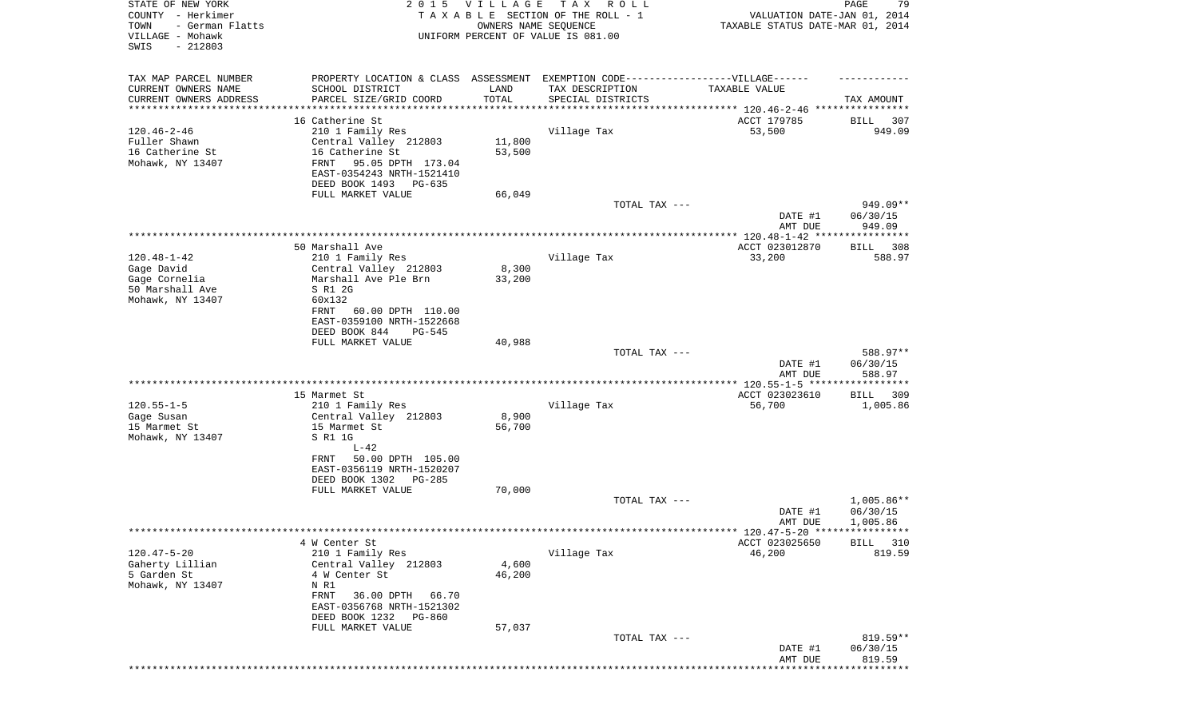| TAX MAP PARCEL NUMBER<br>PROPERTY LOCATION & CLASS ASSESSMENT EXEMPTION CODE-----------------VILLAGE------<br>CURRENT OWNERS NAME<br>SCHOOL DISTRICT<br>TAX DESCRIPTION<br>LAND<br>TAXABLE VALUE<br>TOTAL<br>CURRENT OWNERS ADDRESS<br>PARCEL SIZE/GRID COORD<br>SPECIAL DISTRICTS<br>TAX AMOUNT<br>********************<br>***************************** 120.46-2-46 ****************<br>16 Catherine St<br>ACCT 179785<br>307<br>BILL<br>$120.46 - 2 - 46$<br>210 1 Family Res<br>Village Tax<br>53,500<br>949.09<br>Fuller Shawn<br>Central Valley 212803<br>11,800<br>16 Catherine St<br>16 Catherine St<br>53,500<br>Mohawk, NY 13407<br>FRNT<br>95.05 DPTH 173.04<br>EAST-0354243 NRTH-1521410<br>DEED BOOK 1493<br>PG-635<br>FULL MARKET VALUE<br>66,049<br>TOTAL TAX ---<br>949.09**<br>DATE #1<br>06/30/15<br>AMT DUE<br>949.09<br>50 Marshall Ave<br>ACCT 023012870<br>308<br>BILL<br>$120.48 - 1 - 42$<br>Village Tax<br>210 1 Family Res<br>33,200<br>588.97<br>Gage David<br>Central Valley 212803<br>8,300<br>Gage Cornelia<br>Marshall Ave Ple Brn<br>33,200<br>50 Marshall Ave<br>S R1 2G<br>Mohawk, NY 13407<br>60x132<br>60.00 DPTH 110.00<br>FRNT<br>EAST-0359100 NRTH-1522668<br>DEED BOOK 844<br><b>PG-545</b><br>FULL MARKET VALUE<br>40,988<br>588.97**<br>TOTAL TAX ---<br>DATE #1<br>06/30/15<br>AMT DUE<br>588.97<br>ACCT 023023610<br>15 Marmet St<br>309<br>BILL<br>$120.55 - 1 - 5$<br>Village Tax<br>210 1 Family Res<br>56,700<br>1,005.86<br>8,900<br>Gage Susan<br>Central Valley 212803<br>56,700<br>15 Marmet St<br>15 Marmet St<br>Mohawk, NY 13407<br>S R1 1G<br>$L-42$<br>50.00 DPTH 105.00<br>FRNT<br>EAST-0356119 NRTH-1520207<br>DEED BOOK 1302<br>PG-285<br>70,000<br>FULL MARKET VALUE<br>$1,005.86**$<br>TOTAL TAX ---<br>06/30/15<br>DATE #1<br>1,005.86<br>AMT DUE<br>******* 120.47-5-20 *****************<br>4 W Center St<br>ACCT 023025650<br>BILL<br>310<br>$120.47 - 5 - 20$<br>210 1 Family Res<br>Village Tax<br>46,200<br>819.59<br>Central Valley 212803<br>4,600<br>Gaherty Lillian<br>5 Garden St<br>4 W Center St<br>46,200<br>Mohawk, NY 13407<br>N R1<br>FRNT<br>36.00 DPTH<br>66.70<br>EAST-0356768 NRTH-1521302<br>DEED BOOK 1232<br>PG-860<br>FULL MARKET VALUE<br>57,037<br>819.59**<br>TOTAL TAX ---<br>DATE #1<br>06/30/15<br>819.59<br>AMT DUE | STATE OF NEW YORK<br>COUNTY - Herkimer<br>TOWN<br>- German Flatts<br>VILLAGE - Mohawk<br>SWIS<br>$-212803$ | 2015 VILLAGE<br>OWNERS NAME SEQUENCE | T A X<br>R O L L<br>TAXABLE SECTION OF THE ROLL - 1<br>UNIFORM PERCENT OF VALUE IS 081.00 | VALUATION DATE-JAN 01, 2014<br>TAXABLE STATUS DATE-MAR 01, 2014 | PAGE<br>79 |
|--------------------------------------------------------------------------------------------------------------------------------------------------------------------------------------------------------------------------------------------------------------------------------------------------------------------------------------------------------------------------------------------------------------------------------------------------------------------------------------------------------------------------------------------------------------------------------------------------------------------------------------------------------------------------------------------------------------------------------------------------------------------------------------------------------------------------------------------------------------------------------------------------------------------------------------------------------------------------------------------------------------------------------------------------------------------------------------------------------------------------------------------------------------------------------------------------------------------------------------------------------------------------------------------------------------------------------------------------------------------------------------------------------------------------------------------------------------------------------------------------------------------------------------------------------------------------------------------------------------------------------------------------------------------------------------------------------------------------------------------------------------------------------------------------------------------------------------------------------------------------------------------------------------------------------------------------------------------------------------------------------------------------------------------------------------------------------------------------------------------------------------------------------------------------------------------------------------------------------------------------------------------------------------------------------------------|------------------------------------------------------------------------------------------------------------|--------------------------------------|-------------------------------------------------------------------------------------------|-----------------------------------------------------------------|------------|
|                                                                                                                                                                                                                                                                                                                                                                                                                                                                                                                                                                                                                                                                                                                                                                                                                                                                                                                                                                                                                                                                                                                                                                                                                                                                                                                                                                                                                                                                                                                                                                                                                                                                                                                                                                                                                                                                                                                                                                                                                                                                                                                                                                                                                                                                                                                    |                                                                                                            |                                      |                                                                                           |                                                                 |            |
|                                                                                                                                                                                                                                                                                                                                                                                                                                                                                                                                                                                                                                                                                                                                                                                                                                                                                                                                                                                                                                                                                                                                                                                                                                                                                                                                                                                                                                                                                                                                                                                                                                                                                                                                                                                                                                                                                                                                                                                                                                                                                                                                                                                                                                                                                                                    |                                                                                                            |                                      |                                                                                           |                                                                 |            |
|                                                                                                                                                                                                                                                                                                                                                                                                                                                                                                                                                                                                                                                                                                                                                                                                                                                                                                                                                                                                                                                                                                                                                                                                                                                                                                                                                                                                                                                                                                                                                                                                                                                                                                                                                                                                                                                                                                                                                                                                                                                                                                                                                                                                                                                                                                                    |                                                                                                            |                                      |                                                                                           |                                                                 |            |
|                                                                                                                                                                                                                                                                                                                                                                                                                                                                                                                                                                                                                                                                                                                                                                                                                                                                                                                                                                                                                                                                                                                                                                                                                                                                                                                                                                                                                                                                                                                                                                                                                                                                                                                                                                                                                                                                                                                                                                                                                                                                                                                                                                                                                                                                                                                    |                                                                                                            |                                      |                                                                                           |                                                                 |            |
|                                                                                                                                                                                                                                                                                                                                                                                                                                                                                                                                                                                                                                                                                                                                                                                                                                                                                                                                                                                                                                                                                                                                                                                                                                                                                                                                                                                                                                                                                                                                                                                                                                                                                                                                                                                                                                                                                                                                                                                                                                                                                                                                                                                                                                                                                                                    |                                                                                                            |                                      |                                                                                           |                                                                 |            |
|                                                                                                                                                                                                                                                                                                                                                                                                                                                                                                                                                                                                                                                                                                                                                                                                                                                                                                                                                                                                                                                                                                                                                                                                                                                                                                                                                                                                                                                                                                                                                                                                                                                                                                                                                                                                                                                                                                                                                                                                                                                                                                                                                                                                                                                                                                                    |                                                                                                            |                                      |                                                                                           |                                                                 |            |
|                                                                                                                                                                                                                                                                                                                                                                                                                                                                                                                                                                                                                                                                                                                                                                                                                                                                                                                                                                                                                                                                                                                                                                                                                                                                                                                                                                                                                                                                                                                                                                                                                                                                                                                                                                                                                                                                                                                                                                                                                                                                                                                                                                                                                                                                                                                    |                                                                                                            |                                      |                                                                                           |                                                                 |            |
|                                                                                                                                                                                                                                                                                                                                                                                                                                                                                                                                                                                                                                                                                                                                                                                                                                                                                                                                                                                                                                                                                                                                                                                                                                                                                                                                                                                                                                                                                                                                                                                                                                                                                                                                                                                                                                                                                                                                                                                                                                                                                                                                                                                                                                                                                                                    |                                                                                                            |                                      |                                                                                           |                                                                 |            |
|                                                                                                                                                                                                                                                                                                                                                                                                                                                                                                                                                                                                                                                                                                                                                                                                                                                                                                                                                                                                                                                                                                                                                                                                                                                                                                                                                                                                                                                                                                                                                                                                                                                                                                                                                                                                                                                                                                                                                                                                                                                                                                                                                                                                                                                                                                                    |                                                                                                            |                                      |                                                                                           |                                                                 |            |
|                                                                                                                                                                                                                                                                                                                                                                                                                                                                                                                                                                                                                                                                                                                                                                                                                                                                                                                                                                                                                                                                                                                                                                                                                                                                                                                                                                                                                                                                                                                                                                                                                                                                                                                                                                                                                                                                                                                                                                                                                                                                                                                                                                                                                                                                                                                    |                                                                                                            |                                      |                                                                                           |                                                                 |            |
|                                                                                                                                                                                                                                                                                                                                                                                                                                                                                                                                                                                                                                                                                                                                                                                                                                                                                                                                                                                                                                                                                                                                                                                                                                                                                                                                                                                                                                                                                                                                                                                                                                                                                                                                                                                                                                                                                                                                                                                                                                                                                                                                                                                                                                                                                                                    |                                                                                                            |                                      |                                                                                           |                                                                 |            |
|                                                                                                                                                                                                                                                                                                                                                                                                                                                                                                                                                                                                                                                                                                                                                                                                                                                                                                                                                                                                                                                                                                                                                                                                                                                                                                                                                                                                                                                                                                                                                                                                                                                                                                                                                                                                                                                                                                                                                                                                                                                                                                                                                                                                                                                                                                                    |                                                                                                            |                                      |                                                                                           |                                                                 |            |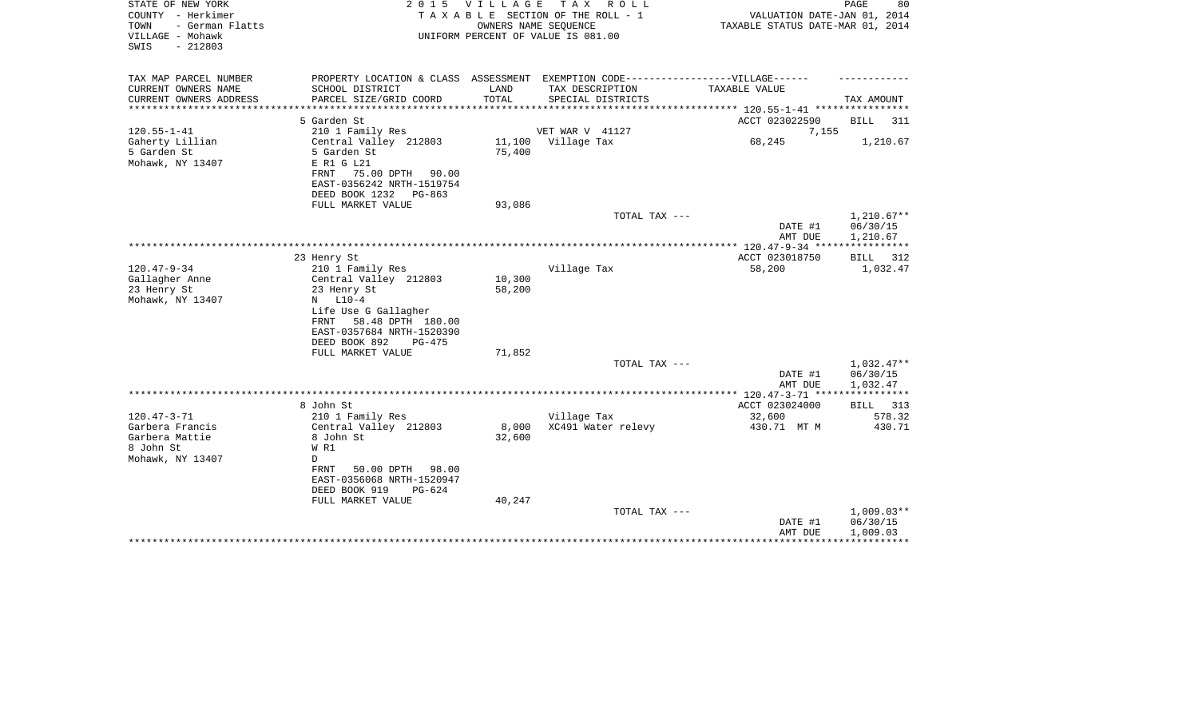| STATE OF NEW YORK<br>COUNTY - Herkimer<br>- German Flatts<br>TOWN<br>VILLAGE - Mohawk<br>$-212803$<br>SWIS |                                                                                                                                                                                                           | 2015 VILLAGE<br>OWNERS NAME SEQUENCE | TAX ROLL<br>TAXABLE SECTION OF THE ROLL - 1<br>UNIFORM PERCENT OF VALUE IS 081.00 | VALUATION DATE-JAN 01, 2014<br>TAXABLE STATUS DATE-MAR 01, 2014 | PAGE<br>80                           |
|------------------------------------------------------------------------------------------------------------|-----------------------------------------------------------------------------------------------------------------------------------------------------------------------------------------------------------|--------------------------------------|-----------------------------------------------------------------------------------|-----------------------------------------------------------------|--------------------------------------|
| TAX MAP PARCEL NUMBER                                                                                      |                                                                                                                                                                                                           |                                      | PROPERTY LOCATION & CLASS ASSESSMENT EXEMPTION CODE-----------------VILLAGE------ |                                                                 |                                      |
| CURRENT OWNERS NAME<br>CURRENT OWNERS ADDRESS<br>*******************                                       | SCHOOL DISTRICT<br>PARCEL SIZE/GRID COORD<br>*******************                                                                                                                                          | LAND<br>TOTAL<br>***********         | TAX DESCRIPTION<br>SPECIAL DISTRICTS                                              | TAXABLE VALUE<br>************ 120.55-1-41 ************          | TAX AMOUNT                           |
|                                                                                                            | 5 Garden St                                                                                                                                                                                               |                                      |                                                                                   | ACCT 023022590                                                  | <b>BILL</b><br>311                   |
| $120.55 - 1 - 41$                                                                                          | 210 1 Family Res                                                                                                                                                                                          |                                      | VET WAR V 41127                                                                   | 7,155                                                           |                                      |
| Gaherty Lillian<br>5 Garden St<br>Mohawk, NY 13407                                                         | Central Valley 212803<br>5 Garden St<br>E R1 G L21<br>FRNT<br>75.00 DPTH<br>90.00<br>EAST-0356242 NRTH-1519754<br>DEED BOOK 1232<br>$PG-863$                                                              | 11,100<br>75,400                     | Village Tax                                                                       | 68,245                                                          | 1,210.67                             |
|                                                                                                            | FULL MARKET VALUE                                                                                                                                                                                         | 93,086                               |                                                                                   |                                                                 |                                      |
|                                                                                                            |                                                                                                                                                                                                           |                                      | TOTAL TAX ---                                                                     | DATE #1<br>AMT DUE                                              | $1,210.67**$<br>06/30/15<br>1,210.67 |
|                                                                                                            |                                                                                                                                                                                                           |                                      |                                                                                   |                                                                 | ************                         |
|                                                                                                            | 23 Henry St                                                                                                                                                                                               |                                      |                                                                                   | ACCT 023018750                                                  | BILL<br>312                          |
| $120.47 - 9 - 34$<br>Gallagher Anne<br>23 Henry St<br>Mohawk, NY 13407                                     | 210 1 Family Res<br>Central Valley 212803<br>23 Henry St<br>$N$ $L10-4$<br>Life Use G Gallagher<br>FRNT<br>58.48 DPTH 180.00<br>EAST-0357684 NRTH-1520390<br>DEED BOOK 892<br>PG-475<br>FULL MARKET VALUE | 10,300<br>58,200<br>71,852           | Village Tax                                                                       | 58,200                                                          | 1,032.47                             |
|                                                                                                            |                                                                                                                                                                                                           |                                      | TOTAL TAX ---                                                                     |                                                                 | 1,032.47**                           |
|                                                                                                            |                                                                                                                                                                                                           |                                      |                                                                                   | DATE #1<br>AMT DUE                                              | 06/30/15<br>1,032.47                 |
|                                                                                                            |                                                                                                                                                                                                           |                                      |                                                                                   |                                                                 |                                      |
|                                                                                                            | 8 John St                                                                                                                                                                                                 |                                      |                                                                                   | ACCT 023024000                                                  | 313<br>BILL                          |
| $120.47 - 3 - 71$                                                                                          | 210 1 Family Res                                                                                                                                                                                          |                                      | Village Tax                                                                       | 32,600                                                          | 578.32                               |
| Garbera Francis<br>Garbera Mattie<br>8 John St<br>Mohawk, NY 13407                                         | Central Valley 212803<br>8 John St<br>W R1<br>D<br><b>FRNT</b><br>50.00 DPTH<br>98.00<br>EAST-0356068 NRTH-1520947<br>DEED BOOK 919<br>$PG-624$                                                           | 8,000<br>32,600                      | XC491 Water relevy                                                                | 430.71 MT M                                                     | 430.71                               |
|                                                                                                            | FULL MARKET VALUE                                                                                                                                                                                         | 40,247                               | TOTAL TAX ---                                                                     |                                                                 | $1,009.03**$                         |
|                                                                                                            |                                                                                                                                                                                                           |                                      |                                                                                   | DATE #1<br>AMT DUE                                              | 06/30/15<br>1,009.03                 |
|                                                                                                            |                                                                                                                                                                                                           |                                      |                                                                                   |                                                                 |                                      |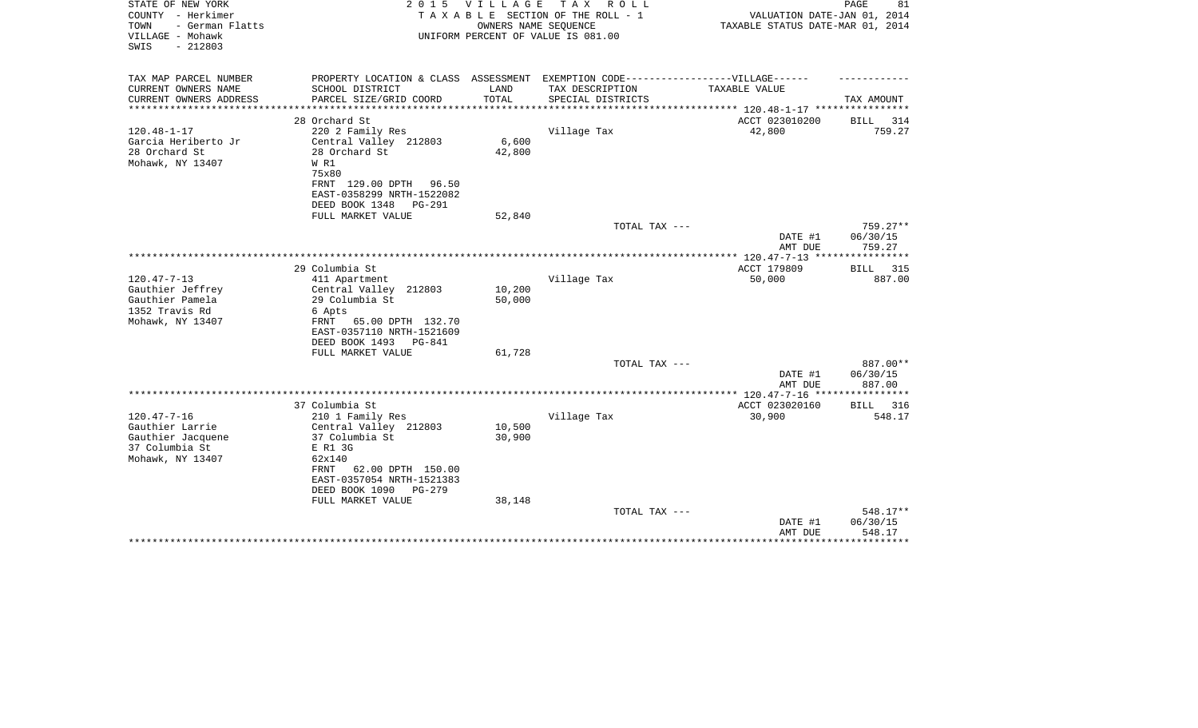| STATE OF NEW YORK<br>COUNTY - Herkimer<br>- German Flatts<br>TOWN<br>VILLAGE - Mohawk<br>$-212803$<br>SWIS | 2 0 1 5                                                                                             | V I L L A G E | TAX ROLL<br>TAXABLE SECTION OF THE ROLL - 1<br>OWNERS NAME SEQUENCE<br>UNIFORM PERCENT OF VALUE IS 081.00 | VALUATION DATE-JAN 01, 2014<br>TAXABLE STATUS DATE-MAR 01, 2014 | PAGE<br>81            |
|------------------------------------------------------------------------------------------------------------|-----------------------------------------------------------------------------------------------------|---------------|-----------------------------------------------------------------------------------------------------------|-----------------------------------------------------------------|-----------------------|
| TAX MAP PARCEL NUMBER<br>CURRENT OWNERS NAME                                                               | PROPERTY LOCATION & CLASS ASSESSMENT EXEMPTION CODE----------------VILLAGE------<br>SCHOOL DISTRICT | LAND          | TAX DESCRIPTION                                                                                           | <b>TAXABLE VALUE</b>                                            |                       |
| CURRENT OWNERS ADDRESS                                                                                     | PARCEL SIZE/GRID COORD                                                                              | TOTAL         | SPECIAL DISTRICTS                                                                                         |                                                                 | TAX AMOUNT            |
| ***************                                                                                            | **********************                                                                              |               |                                                                                                           |                                                                 |                       |
|                                                                                                            | 28 Orchard St                                                                                       |               |                                                                                                           | ACCT 023010200                                                  | BILL 314              |
| $120.48 - 1 - 17$                                                                                          | 220 2 Family Res                                                                                    |               | Village Tax                                                                                               | 42,800                                                          | 759.27                |
| Garcia Heriberto Jr                                                                                        | Central Valley 212803                                                                               | 6,600         |                                                                                                           |                                                                 |                       |
| 28 Orchard St                                                                                              | 28 Orchard St                                                                                       | 42,800        |                                                                                                           |                                                                 |                       |
| Mohawk, NY 13407                                                                                           | W R1                                                                                                |               |                                                                                                           |                                                                 |                       |
|                                                                                                            | 75x80<br>FRNT 129.00 DPTH 96.50                                                                     |               |                                                                                                           |                                                                 |                       |
|                                                                                                            | EAST-0358299 NRTH-1522082                                                                           |               |                                                                                                           |                                                                 |                       |
|                                                                                                            | DEED BOOK 1348<br><b>PG-291</b>                                                                     |               |                                                                                                           |                                                                 |                       |
|                                                                                                            | FULL MARKET VALUE                                                                                   | 52,840        |                                                                                                           |                                                                 |                       |
|                                                                                                            |                                                                                                     |               | TOTAL TAX ---                                                                                             |                                                                 | $759.27**$            |
|                                                                                                            |                                                                                                     |               |                                                                                                           | DATE #1                                                         | 06/30/15              |
|                                                                                                            |                                                                                                     |               |                                                                                                           | AMT DUE                                                         | 759.27                |
|                                                                                                            | 29 Columbia St                                                                                      |               |                                                                                                           |                                                                 |                       |
| $120.47 - 7 - 13$                                                                                          | 411 Apartment                                                                                       |               | Village Tax                                                                                               | ACCT 179809<br>50,000                                           | 315<br>BILL<br>887.00 |
| Gauthier Jeffrey                                                                                           | Central Valley 212803                                                                               | 10,200        |                                                                                                           |                                                                 |                       |
| Gauthier Pamela                                                                                            | 29 Columbia St                                                                                      | 50,000        |                                                                                                           |                                                                 |                       |
| 1352 Travis Rd                                                                                             | 6 Apts                                                                                              |               |                                                                                                           |                                                                 |                       |
| Mohawk, NY 13407                                                                                           | FRNT 65.00 DPTH 132.70                                                                              |               |                                                                                                           |                                                                 |                       |
|                                                                                                            | EAST-0357110 NRTH-1521609                                                                           |               |                                                                                                           |                                                                 |                       |
|                                                                                                            | DEED BOOK 1493<br><b>PG-841</b>                                                                     |               |                                                                                                           |                                                                 |                       |
|                                                                                                            | FULL MARKET VALUE                                                                                   | 61,728        |                                                                                                           |                                                                 |                       |
|                                                                                                            |                                                                                                     |               | TOTAL TAX ---                                                                                             | DATE #1                                                         | 887.00**<br>06/30/15  |
|                                                                                                            |                                                                                                     |               |                                                                                                           | AMT DUE                                                         | 887.00                |
|                                                                                                            |                                                                                                     |               |                                                                                                           |                                                                 | ************          |
|                                                                                                            | 37 Columbia St                                                                                      |               |                                                                                                           | ACCT 023020160                                                  | 316<br>BILL           |
| $120.47 - 7 - 16$                                                                                          | 210 1 Family Res                                                                                    |               | Village Tax                                                                                               | 30,900                                                          | 548.17                |
| Gauthier Larrie                                                                                            | Central Valley 212803                                                                               | 10,500        |                                                                                                           |                                                                 |                       |
| Gauthier Jacquene                                                                                          | 37 Columbia St                                                                                      | 30,900        |                                                                                                           |                                                                 |                       |
| 37 Columbia St<br>Mohawk, NY 13407                                                                         | E R1 3G<br>62x140                                                                                   |               |                                                                                                           |                                                                 |                       |
|                                                                                                            | 62.00 DPTH 150.00<br>FRNT                                                                           |               |                                                                                                           |                                                                 |                       |
|                                                                                                            | EAST-0357054 NRTH-1521383                                                                           |               |                                                                                                           |                                                                 |                       |
|                                                                                                            | DEED BOOK 1090<br>$PG-279$                                                                          |               |                                                                                                           |                                                                 |                       |
|                                                                                                            | FULL MARKET VALUE                                                                                   | 38,148        |                                                                                                           |                                                                 |                       |
|                                                                                                            |                                                                                                     |               | TOTAL TAX ---                                                                                             |                                                                 | 548.17**              |
|                                                                                                            |                                                                                                     |               |                                                                                                           | DATE #1                                                         | 06/30/15              |
|                                                                                                            |                                                                                                     |               |                                                                                                           | AMT DUE                                                         | 548.17                |
|                                                                                                            |                                                                                                     |               |                                                                                                           |                                                                 |                       |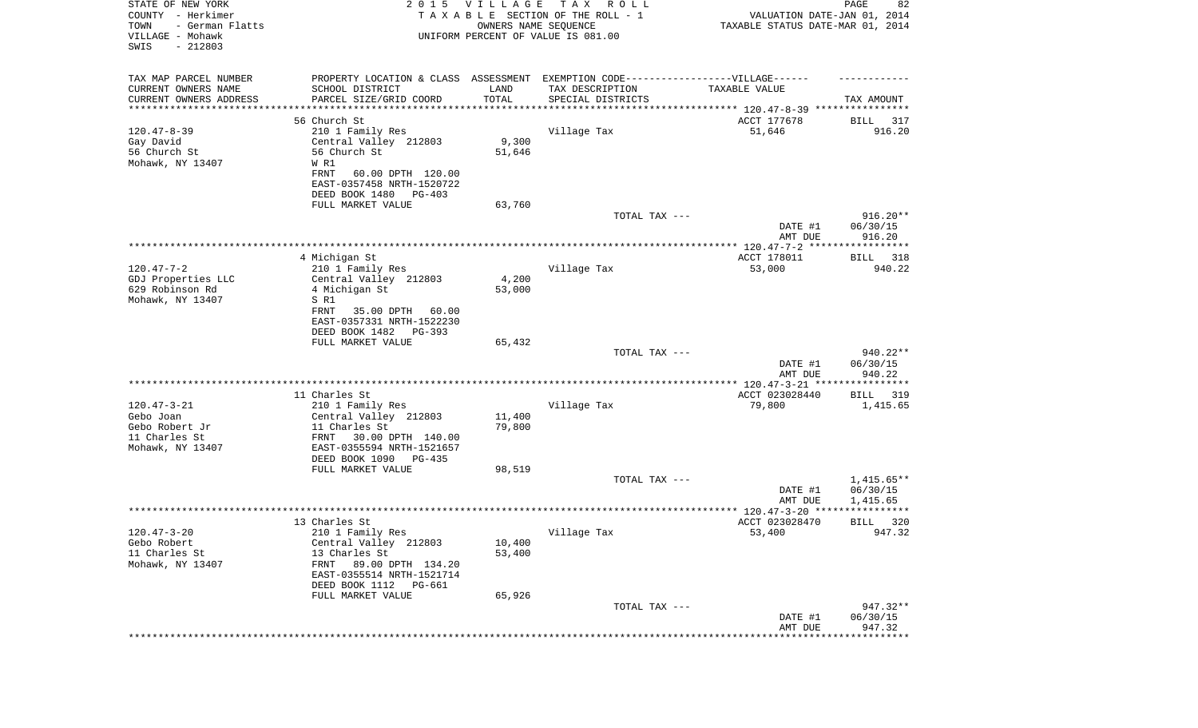| STATE OF NEW YORK<br>COUNTY - Herkimer<br>- German Flatts<br>TOWN<br>VILLAGE - Mohawk<br>SWIS<br>$-212803$ | 2 0 1 5                                                                          | <b>VILLAGE</b><br>OWNERS NAME SEQUENCE | T A X<br>R O L L<br>TAXABLE SECTION OF THE ROLL - 1<br>UNIFORM PERCENT OF VALUE IS 081.00 | VALUATION DATE-JAN 01, 2014<br>TAXABLE STATUS DATE-MAR 01, 2014 | PAGE<br>82               |
|------------------------------------------------------------------------------------------------------------|----------------------------------------------------------------------------------|----------------------------------------|-------------------------------------------------------------------------------------------|-----------------------------------------------------------------|--------------------------|
| TAX MAP PARCEL NUMBER                                                                                      | PROPERTY LOCATION & CLASS ASSESSMENT EXEMPTION CODE----------------VILLAGE------ |                                        |                                                                                           |                                                                 |                          |
| CURRENT OWNERS NAME                                                                                        | SCHOOL DISTRICT                                                                  | LAND                                   | TAX DESCRIPTION                                                                           | TAXABLE VALUE                                                   |                          |
| CURRENT OWNERS ADDRESS<br>********************                                                             | PARCEL SIZE/GRID COORD                                                           | TOTAL<br>* * * * * * * * * * *         | SPECIAL DISTRICTS                                                                         |                                                                 | TAX AMOUNT               |
|                                                                                                            | 56 Church St                                                                     |                                        |                                                                                           | ACCT 177678                                                     | 317<br>BILL              |
| $120.47 - 8 - 39$                                                                                          | 210 1 Family Res                                                                 |                                        | Village Tax                                                                               | 51,646                                                          | 916.20                   |
| Gay David                                                                                                  | Central Valley 212803                                                            | 9,300                                  |                                                                                           |                                                                 |                          |
| 56 Church St                                                                                               | 56 Church St                                                                     | 51,646                                 |                                                                                           |                                                                 |                          |
| Mohawk, NY 13407                                                                                           | W R1<br><b>FRNT</b><br>60.00 DPTH 120.00                                         |                                        |                                                                                           |                                                                 |                          |
|                                                                                                            | EAST-0357458 NRTH-1520722                                                        |                                        |                                                                                           |                                                                 |                          |
|                                                                                                            | DEED BOOK 1480<br>PG-403                                                         |                                        |                                                                                           |                                                                 |                          |
|                                                                                                            | FULL MARKET VALUE                                                                | 63,760                                 |                                                                                           |                                                                 |                          |
|                                                                                                            |                                                                                  |                                        | TOTAL TAX ---                                                                             | DATE #1                                                         | $916.20**$<br>06/30/15   |
|                                                                                                            |                                                                                  |                                        |                                                                                           | AMT DUE                                                         | 916.20                   |
|                                                                                                            |                                                                                  |                                        |                                                                                           |                                                                 |                          |
|                                                                                                            | 4 Michigan St                                                                    |                                        |                                                                                           | ACCT 178011                                                     | BILL<br>318              |
| $120.47 - 7 - 2$<br>GDJ Properties LLC                                                                     | 210 1 Family Res<br>Central Valley 212803                                        | 4,200                                  | Village Tax                                                                               | 53,000                                                          | 940.22                   |
| 629 Robinson Rd                                                                                            | 4 Michigan St                                                                    | 53,000                                 |                                                                                           |                                                                 |                          |
| Mohawk, NY 13407                                                                                           | S R1                                                                             |                                        |                                                                                           |                                                                 |                          |
|                                                                                                            | 35.00 DPTH<br>FRNT<br>60.00                                                      |                                        |                                                                                           |                                                                 |                          |
|                                                                                                            | EAST-0357331 NRTH-1522230<br>DEED BOOK 1482<br>PG-393                            |                                        |                                                                                           |                                                                 |                          |
|                                                                                                            | FULL MARKET VALUE                                                                | 65,432                                 |                                                                                           |                                                                 |                          |
|                                                                                                            |                                                                                  |                                        | TOTAL TAX ---                                                                             |                                                                 | 940.22**                 |
|                                                                                                            |                                                                                  |                                        |                                                                                           | DATE #1                                                         | 06/30/15                 |
|                                                                                                            |                                                                                  |                                        |                                                                                           | AMT DUE                                                         | 940.22                   |
|                                                                                                            | 11 Charles St                                                                    |                                        |                                                                                           | ACCT 023028440                                                  | BILL<br>319              |
| $120.47 - 3 - 21$                                                                                          | 210 1 Family Res                                                                 |                                        | Village Tax                                                                               | 79,800                                                          | 1,415.65                 |
| Gebo Joan                                                                                                  | Central Valley 212803                                                            | 11,400                                 |                                                                                           |                                                                 |                          |
| Gebo Robert Jr<br>11 Charles St                                                                            | 11 Charles St<br>FRNT<br>30.00 DPTH 140.00                                       | 79,800                                 |                                                                                           |                                                                 |                          |
| Mohawk, NY 13407                                                                                           | EAST-0355594 NRTH-1521657                                                        |                                        |                                                                                           |                                                                 |                          |
|                                                                                                            | DEED BOOK 1090<br>PG-435                                                         |                                        |                                                                                           |                                                                 |                          |
|                                                                                                            | FULL MARKET VALUE                                                                | 98,519                                 |                                                                                           |                                                                 |                          |
|                                                                                                            |                                                                                  |                                        | TOTAL TAX ---                                                                             | DATE #1                                                         | $1,415.65**$<br>06/30/15 |
|                                                                                                            |                                                                                  |                                        |                                                                                           | AMT DUE                                                         | 1,415.65                 |
|                                                                                                            |                                                                                  |                                        |                                                                                           |                                                                 | *****                    |
|                                                                                                            | 13 Charles St                                                                    |                                        |                                                                                           | ACCT 023028470                                                  | 320<br>BILL              |
| $120.47 - 3 - 20$<br>Gebo Robert                                                                           | 210 1 Family Res<br>Central Valley 212803                                        | 10,400                                 | Village Tax                                                                               | 53,400                                                          | 947.32                   |
| 11 Charles St                                                                                              | 13 Charles St                                                                    | 53,400                                 |                                                                                           |                                                                 |                          |
| Mohawk, NY 13407                                                                                           | FRNT<br>89.00 DPTH 134.20                                                        |                                        |                                                                                           |                                                                 |                          |
|                                                                                                            | EAST-0355514 NRTH-1521714                                                        |                                        |                                                                                           |                                                                 |                          |
|                                                                                                            | DEED BOOK 1112<br>PG-661                                                         |                                        |                                                                                           |                                                                 |                          |
|                                                                                                            | FULL MARKET VALUE                                                                | 65,926                                 | TOTAL TAX ---                                                                             |                                                                 | 947.32**                 |
|                                                                                                            |                                                                                  |                                        |                                                                                           | DATE #1                                                         | 06/30/15                 |
|                                                                                                            |                                                                                  |                                        |                                                                                           | AMT DUE                                                         | 947.32                   |
|                                                                                                            |                                                                                  |                                        |                                                                                           | **************************                                      |                          |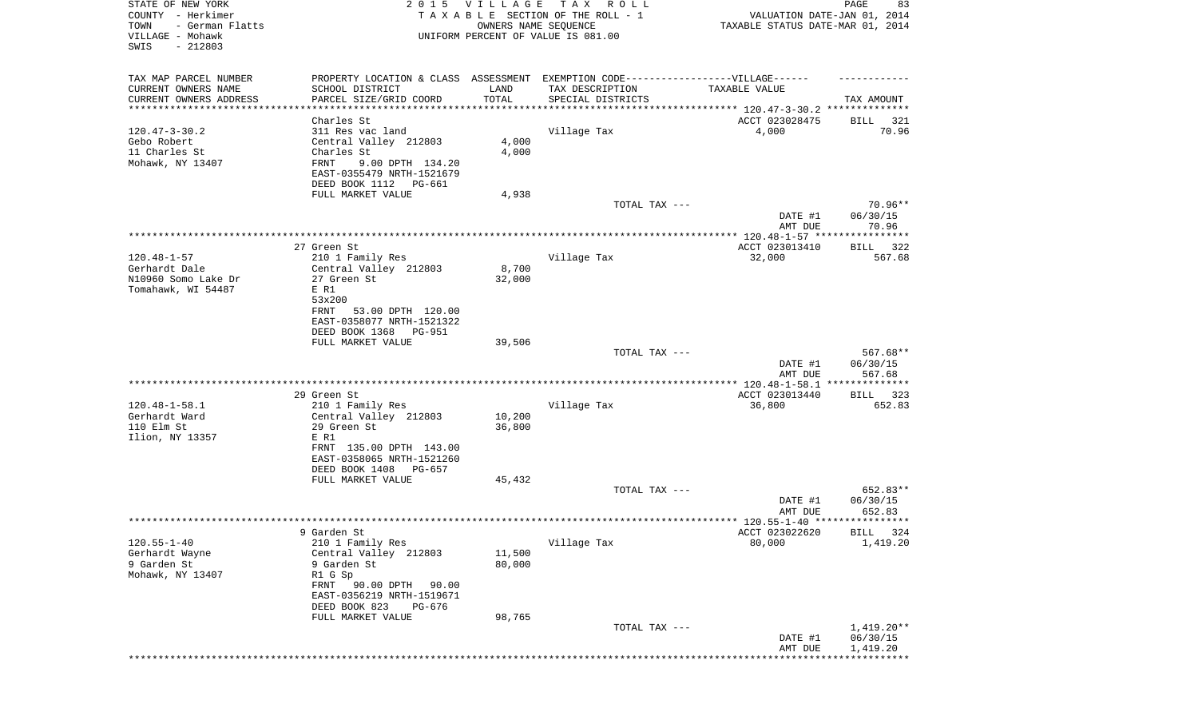| STATE OF NEW YORK<br>COUNTY - Herkimer<br>TOWN<br>- German Flatts<br>VILLAGE - Mohawk<br>SWIS<br>$-212803$ | 2 0 1 5                                                                          | V I L L A G E<br>OWNERS NAME SEQUENCE | T A X<br>R O L L<br>TAXABLE SECTION OF THE ROLL - 1<br>UNIFORM PERCENT OF VALUE IS 081.00 | VALUATION DATE-JAN 01, 2014<br>TAXABLE STATUS DATE-MAR 01, 2014    | 83<br>PAGE              |
|------------------------------------------------------------------------------------------------------------|----------------------------------------------------------------------------------|---------------------------------------|-------------------------------------------------------------------------------------------|--------------------------------------------------------------------|-------------------------|
| TAX MAP PARCEL NUMBER                                                                                      | PROPERTY LOCATION & CLASS ASSESSMENT EXEMPTION CODE----------------VILLAGE------ |                                       |                                                                                           |                                                                    |                         |
| CURRENT OWNERS NAME                                                                                        | SCHOOL DISTRICT                                                                  | LAND                                  | TAX DESCRIPTION                                                                           | TAXABLE VALUE                                                      |                         |
| CURRENT OWNERS ADDRESS<br>*********************                                                            | PARCEL SIZE/GRID COORD<br>**********************                                 | TOTAL                                 | SPECIAL DISTRICTS                                                                         | ************************************* 120.47-3-30.2 ************** | TAX AMOUNT              |
|                                                                                                            | Charles St                                                                       |                                       |                                                                                           | ACCT 023028475                                                     | BILL 321                |
| $120.47 - 3 - 30.2$                                                                                        | 311 Res vac land                                                                 |                                       | Village Tax                                                                               | 4,000                                                              | 70.96                   |
| Gebo Robert                                                                                                | Central Valley 212803                                                            | 4,000                                 |                                                                                           |                                                                    |                         |
| 11 Charles St                                                                                              | Charles St                                                                       | 4,000                                 |                                                                                           |                                                                    |                         |
| Mohawk, NY 13407                                                                                           | FRNT<br>9.00 DPTH 134.20<br>EAST-0355479 NRTH-1521679                            |                                       |                                                                                           |                                                                    |                         |
|                                                                                                            | DEED BOOK 1112<br>PG-661                                                         |                                       |                                                                                           |                                                                    |                         |
|                                                                                                            | FULL MARKET VALUE                                                                | 4,938                                 |                                                                                           |                                                                    |                         |
|                                                                                                            |                                                                                  |                                       | TOTAL TAX ---                                                                             |                                                                    | 70.96**                 |
|                                                                                                            |                                                                                  |                                       |                                                                                           | DATE #1<br>AMT DUE                                                 | 06/30/15<br>70.96       |
|                                                                                                            |                                                                                  |                                       |                                                                                           |                                                                    |                         |
|                                                                                                            | 27 Green St.                                                                     |                                       |                                                                                           | ACCT 023013410                                                     | 322<br>BILL             |
| $120.48 - 1 - 57$<br>Gerhardt Dale                                                                         | 210 1 Family Res<br>Central Valley 212803                                        | 8,700                                 | Village Tax                                                                               | 32,000                                                             | 567.68                  |
| N10960 Somo Lake Dr                                                                                        | 27 Green St                                                                      | 32,000                                |                                                                                           |                                                                    |                         |
| Tomahawk, WI 54487                                                                                         | E R1                                                                             |                                       |                                                                                           |                                                                    |                         |
|                                                                                                            | 53x200                                                                           |                                       |                                                                                           |                                                                    |                         |
|                                                                                                            | 53.00 DPTH 120.00<br>FRNT<br>EAST-0358077 NRTH-1521322                           |                                       |                                                                                           |                                                                    |                         |
|                                                                                                            | DEED BOOK 1368<br>PG-951                                                         |                                       |                                                                                           |                                                                    |                         |
|                                                                                                            | FULL MARKET VALUE                                                                | 39,506                                |                                                                                           |                                                                    |                         |
|                                                                                                            |                                                                                  |                                       | TOTAL TAX ---                                                                             |                                                                    | $567.68**$              |
|                                                                                                            |                                                                                  |                                       |                                                                                           | DATE #1<br>AMT DUE                                                 | 06/30/15<br>567.68      |
|                                                                                                            |                                                                                  |                                       |                                                                                           |                                                                    |                         |
|                                                                                                            | 29 Green St                                                                      |                                       |                                                                                           | ACCT 023013440                                                     | BILL 323                |
| $120.48 - 1 - 58.1$                                                                                        | 210 1 Family Res                                                                 |                                       | Village Tax                                                                               | 36,800                                                             | 652.83                  |
| Gerhardt Ward                                                                                              | Central Valley 212803                                                            | 10,200                                |                                                                                           |                                                                    |                         |
| 110 Elm St<br>Ilion, NY 13357                                                                              | 29 Green St<br>E R1                                                              | 36,800                                |                                                                                           |                                                                    |                         |
|                                                                                                            | FRNT 135.00 DPTH 143.00                                                          |                                       |                                                                                           |                                                                    |                         |
|                                                                                                            | EAST-0358065 NRTH-1521260                                                        |                                       |                                                                                           |                                                                    |                         |
|                                                                                                            | DEED BOOK 1408<br>PG-657                                                         |                                       |                                                                                           |                                                                    |                         |
|                                                                                                            | FULL MARKET VALUE                                                                | 45,432                                | TOTAL TAX ---                                                                             |                                                                    | 652.83**                |
|                                                                                                            |                                                                                  |                                       |                                                                                           | DATE #1                                                            | 06/30/15                |
|                                                                                                            |                                                                                  |                                       |                                                                                           | AMT DUE                                                            | 652.83                  |
|                                                                                                            |                                                                                  |                                       |                                                                                           |                                                                    |                         |
| $120.55 - 1 - 40$                                                                                          | 9 Garden St<br>210 1 Family Res                                                  |                                       | Village Tax                                                                               | ACCT 023022620<br>80,000                                           | BILL 324<br>1,419.20    |
| Gerhardt Wayne                                                                                             | Central Valley 212803                                                            | 11,500                                |                                                                                           |                                                                    |                         |
| 9 Garden St                                                                                                | 9 Garden St                                                                      | 80,000                                |                                                                                           |                                                                    |                         |
| Mohawk, NY 13407                                                                                           | R1 G Sp                                                                          |                                       |                                                                                           |                                                                    |                         |
|                                                                                                            | 90.00 DPTH<br>FRNT<br>90.00                                                      |                                       |                                                                                           |                                                                    |                         |
|                                                                                                            | EAST-0356219 NRTH-1519671<br>DEED BOOK 823<br>PG-676                             |                                       |                                                                                           |                                                                    |                         |
|                                                                                                            | FULL MARKET VALUE                                                                | 98,765                                |                                                                                           |                                                                    |                         |
|                                                                                                            |                                                                                  |                                       | TOTAL TAX ---                                                                             |                                                                    | $1,419.20**$            |
|                                                                                                            |                                                                                  |                                       |                                                                                           | DATE #1                                                            | 06/30/15                |
|                                                                                                            |                                                                                  |                                       |                                                                                           | AMT DUE                                                            | 1,419.20<br>*********** |
|                                                                                                            |                                                                                  |                                       |                                                                                           |                                                                    |                         |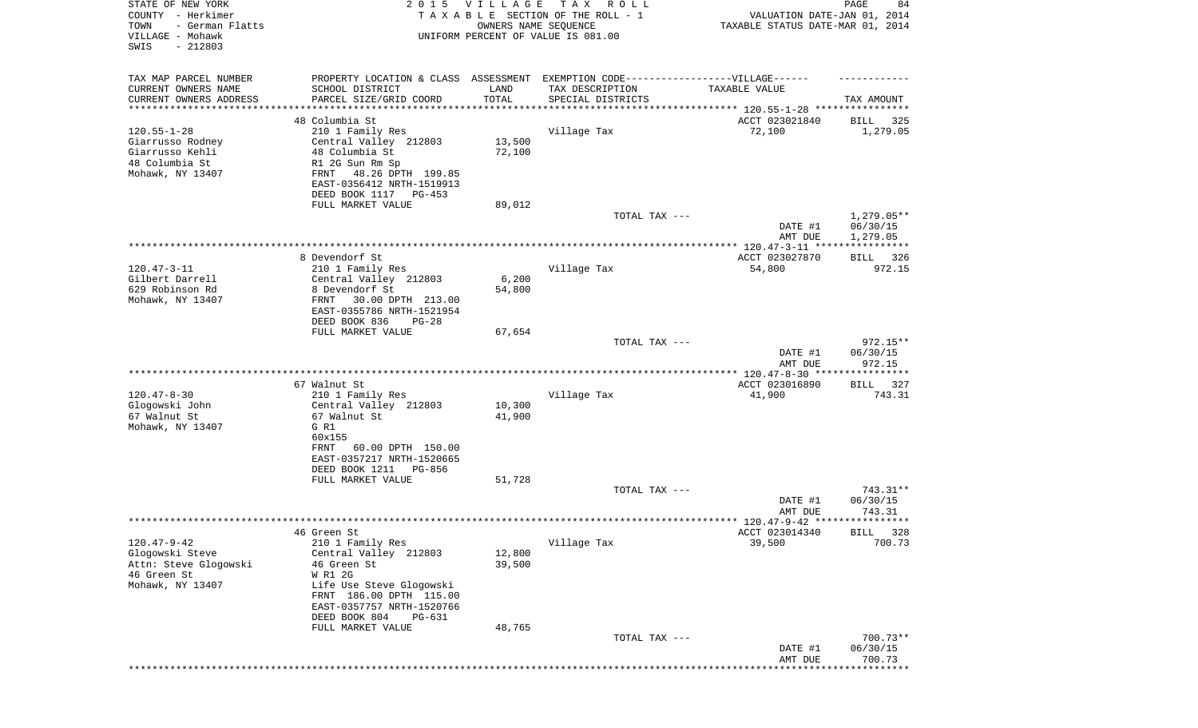| STATE OF NEW YORK<br>COUNTY - Herkimer<br>- German Flatts<br>TOWN<br>VILLAGE - Mohawk<br>SWIS<br>$-212803$ | 2 0 1 5                                                                                                                                                                                                 | <b>VILLAGE</b><br>OWNERS NAME SEQUENCE | T A X<br>R O L L<br>TAXABLE SECTION OF THE ROLL - 1<br>UNIFORM PERCENT OF VALUE IS 081.00                                | VALUATION DATE-JAN 01, 2014<br>TAXABLE STATUS DATE-MAR 01, 2014 | PAGE<br>84                             |
|------------------------------------------------------------------------------------------------------------|---------------------------------------------------------------------------------------------------------------------------------------------------------------------------------------------------------|----------------------------------------|--------------------------------------------------------------------------------------------------------------------------|-----------------------------------------------------------------|----------------------------------------|
| TAX MAP PARCEL NUMBER<br>CURRENT OWNERS NAME<br>CURRENT OWNERS ADDRESS                                     | SCHOOL DISTRICT<br>PARCEL SIZE/GRID COORD                                                                                                                                                               | LAND<br>TOTAL                          | PROPERTY LOCATION & CLASS ASSESSMENT EXEMPTION CODE----------------VILLAGE------<br>TAX DESCRIPTION<br>SPECIAL DISTRICTS | TAXABLE VALUE                                                   | TAX AMOUNT                             |
| ********************                                                                                       |                                                                                                                                                                                                         | **********                             |                                                                                                                          |                                                                 |                                        |
| $120.55 - 1 - 28$<br>Giarrusso Rodney<br>Giarrusso Kehli<br>48 Columbia St<br>Mohawk, NY 13407             | 48 Columbia St<br>210 1 Family Res<br>Central Valley 212803<br>48 Columbia St<br>R1 2G Sun Rm Sp<br>48.26 DPTH 199.85<br>FRNT<br>EAST-0356412 NRTH-1519913<br>DEED BOOK 1117<br>PG-453                  | 13,500<br>72,100                       | Village Tax                                                                                                              | ACCT 023021840<br>72,100                                        | 325<br>BILL<br>1,279.05                |
|                                                                                                            | FULL MARKET VALUE                                                                                                                                                                                       | 89,012                                 | TOTAL TAX ---                                                                                                            | DATE #1                                                         | $1,279.05**$<br>06/30/15               |
|                                                                                                            |                                                                                                                                                                                                         |                                        |                                                                                                                          | AMT DUE                                                         | 1,279.05                               |
| $120.47 - 3 - 11$<br>Gilbert Darrell<br>629 Robinson Rd<br>Mohawk, NY 13407                                | 8 Devendorf St<br>210 1 Family Res<br>Central Valley 212803<br>8 Devendorf St<br>30.00 DPTH 213.00<br>FRNT<br>EAST-0355786 NRTH-1521954<br>DEED BOOK 836<br>$PG-28$                                     | 6,200<br>54,800                        | Village Tax                                                                                                              | ACCT 023027870<br>54,800                                        | BILL 326<br>972.15                     |
|                                                                                                            | FULL MARKET VALUE                                                                                                                                                                                       | 67,654                                 | TOTAL TAX ---                                                                                                            |                                                                 | $972.15**$                             |
|                                                                                                            |                                                                                                                                                                                                         |                                        |                                                                                                                          | DATE #1<br>AMT DUE                                              | 06/30/15<br>972.15                     |
|                                                                                                            | 67 Walnut St                                                                                                                                                                                            |                                        |                                                                                                                          | ************ 120.47-8-30 ****<br>ACCT 023016890                 | * * * * * * * * * * * *<br>BILL<br>327 |
| $120.47 - 8 - 30$<br>Glogowski John<br>67 Walnut St<br>Mohawk, NY 13407                                    | 210 1 Family Res<br>Central Valley 212803<br>67 Walnut St<br>G R1<br>60x155<br>60.00 DPTH 150.00<br>FRNT<br>EAST-0357217 NRTH-1520665<br>DEED BOOK 1211<br>PG-856                                       | 10,300<br>41,900                       | Village Tax                                                                                                              | 41,900                                                          | 743.31                                 |
|                                                                                                            | FULL MARKET VALUE                                                                                                                                                                                       | 51,728                                 |                                                                                                                          |                                                                 |                                        |
|                                                                                                            |                                                                                                                                                                                                         |                                        | TOTAL TAX ---                                                                                                            | DATE #1<br>AMT DUE                                              | 743.31**<br>06/30/15<br>743.31         |
|                                                                                                            | 46 Green St                                                                                                                                                                                             |                                        |                                                                                                                          | ACCT 023014340                                                  | BILL 328                               |
| $120.47 - 9 - 42$<br>Glogowski Steve<br>Attn: Steve Glogowski<br>46 Green St<br>Mohawk, NY 13407           | 210 1 Family Res<br>Central Valley 212803<br>46 Green St<br>W R1 2G<br>Life Use Steve Glogowski<br>FRNT 186.00 DPTH 115.00<br>EAST-0357757 NRTH-1520766<br>DEED BOOK 804<br>PG-631<br>FULL MARKET VALUE | 12,800<br>39,500<br>48,765             | Village Tax                                                                                                              | 39,500                                                          | 700.73                                 |
|                                                                                                            |                                                                                                                                                                                                         |                                        | TOTAL TAX ---                                                                                                            | DATE #1<br>AMT DUE                                              | 700.73**<br>06/30/15<br>700.73         |
|                                                                                                            |                                                                                                                                                                                                         |                                        |                                                                                                                          |                                                                 |                                        |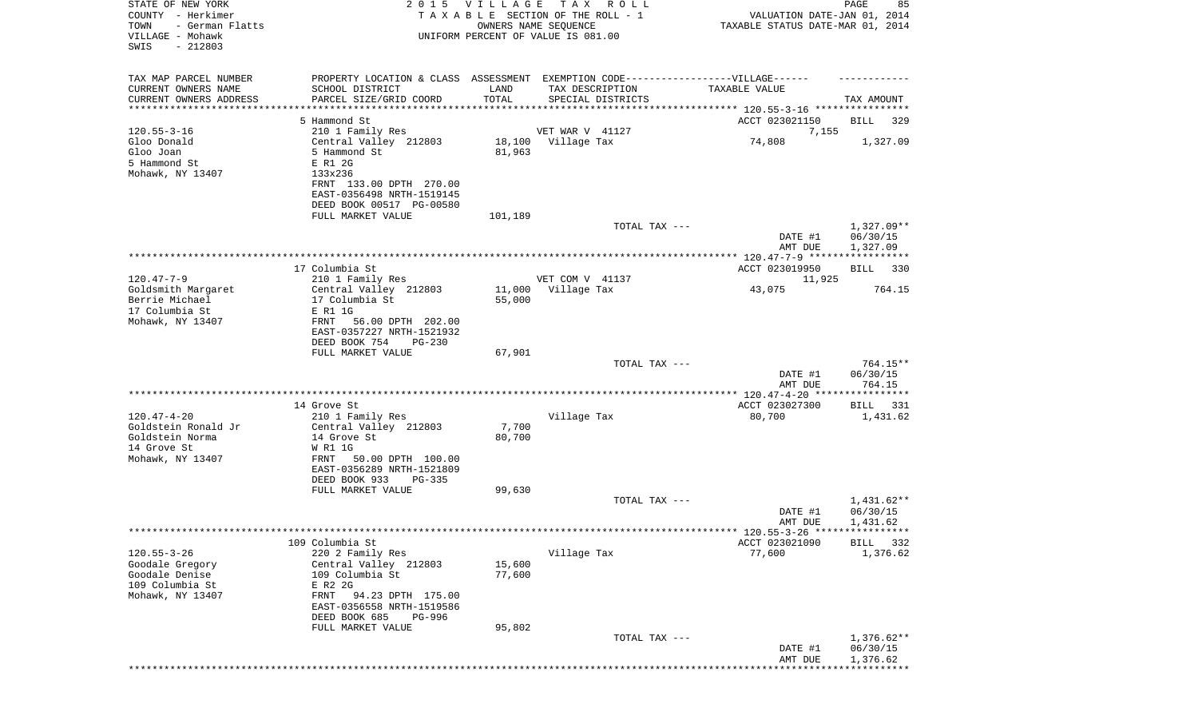| STATE OF NEW YORK<br>COUNTY - Herkimer<br>TOWN<br>- German Flatts<br>VILLAGE - Mohawk<br>SWIS<br>$-212803$ |                                                                                                                                                                                 | 2015 VILLAGE     | TAX ROLL<br>TAXABLE SECTION OF THE ROLL - 1<br>OWNERS NAME SEQUENCE<br>UNIFORM PERCENT OF VALUE IS 081.00 | VALUATION DATE-JAN 01, 2014<br>TAXABLE STATUS DATE-MAR 01, 2014 | PAGE<br>85                           |
|------------------------------------------------------------------------------------------------------------|---------------------------------------------------------------------------------------------------------------------------------------------------------------------------------|------------------|-----------------------------------------------------------------------------------------------------------|-----------------------------------------------------------------|--------------------------------------|
| TAX MAP PARCEL NUMBER<br>CURRENT OWNERS NAME<br>CURRENT OWNERS ADDRESS                                     | PROPERTY LOCATION & CLASS ASSESSMENT EXEMPTION CODE----------------VILLAGE------<br>SCHOOL DISTRICT<br>PARCEL SIZE/GRID COORD                                                   | LAND<br>TOTAL    | TAX DESCRIPTION<br>SPECIAL DISTRICTS                                                                      | TAXABLE VALUE                                                   | TAX AMOUNT                           |
| *********************                                                                                      |                                                                                                                                                                                 |                  |                                                                                                           |                                                                 |                                      |
|                                                                                                            | 5 Hammond St                                                                                                                                                                    |                  |                                                                                                           | ACCT 023021150                                                  | BILL<br>329                          |
| $120.55 - 3 - 16$<br>Gloo Donald<br>Gloo Joan<br>5 Hammond St<br>Mohawk, NY 13407                          | 210 1 Family Res<br>Central Valley 212803<br>5 Hammond St<br>E R1 2G<br>133x236<br>FRNT 133.00 DPTH 270.00<br>EAST-0356498 NRTH-1519145<br>DEED BOOK 00517 PG-00580             | 81,963           | VET WAR V 41127<br>18,100 Village Tax                                                                     | 7,155<br>74,808                                                 | 1,327.09                             |
|                                                                                                            | FULL MARKET VALUE                                                                                                                                                               | 101,189          |                                                                                                           |                                                                 |                                      |
|                                                                                                            |                                                                                                                                                                                 |                  | TOTAL TAX ---                                                                                             | DATE #1<br>AMT DUE                                              | 1,327.09**<br>06/30/15<br>1,327.09   |
|                                                                                                            |                                                                                                                                                                                 |                  |                                                                                                           |                                                                 |                                      |
|                                                                                                            | 17 Columbia St                                                                                                                                                                  |                  |                                                                                                           | ACCT 023019950                                                  | BILL<br>330                          |
| $120.47 - 7 - 9$<br>Goldsmith Margaret<br>Berrie Michael                                                   | 210 1 Family Res<br>Central Valley 212803<br>17 Columbia St                                                                                                                     | 11,000<br>55,000 | VET COM V 41137<br>Village Tax                                                                            | 11,925<br>43,075                                                | 764.15                               |
| 17 Columbia St<br>Mohawk, NY 13407                                                                         | E R1 1G<br>FRNT<br>56.00 DPTH 202.00<br>EAST-0357227 NRTH-1521932<br>DEED BOOK 754<br>PG-230                                                                                    |                  |                                                                                                           |                                                                 |                                      |
|                                                                                                            | FULL MARKET VALUE                                                                                                                                                               | 67,901           |                                                                                                           |                                                                 |                                      |
|                                                                                                            |                                                                                                                                                                                 |                  | TOTAL TAX ---                                                                                             | DATE #1<br>AMT DUE                                              | 764.15**<br>06/30/15<br>764.15       |
|                                                                                                            |                                                                                                                                                                                 |                  |                                                                                                           |                                                                 |                                      |
|                                                                                                            | 14 Grove St                                                                                                                                                                     |                  |                                                                                                           | ACCT 023027300                                                  | 331<br>BILL                          |
| $120.47 - 4 - 20$<br>Goldstein Ronald Jr<br>Goldstein Norma<br>14 Grove St<br>Mohawk, NY 13407             | 210 1 Family Res<br>Central Valley 212803<br>14 Grove St<br>W R1 1G<br>50.00 DPTH 100.00<br>FRNT                                                                                | 7,700<br>80,700  | Village Tax                                                                                               | 80,700                                                          | 1,431.62                             |
|                                                                                                            | EAST-0356289 NRTH-1521809<br>DEED BOOK 933<br>PG-335                                                                                                                            |                  |                                                                                                           |                                                                 |                                      |
|                                                                                                            | FULL MARKET VALUE                                                                                                                                                               | 99,630           | TOTAL TAX ---                                                                                             |                                                                 | $1,431.62**$                         |
|                                                                                                            |                                                                                                                                                                                 |                  |                                                                                                           | DATE #1<br>AMT DUE                                              | 06/30/15<br>1,431.62                 |
|                                                                                                            |                                                                                                                                                                                 |                  |                                                                                                           |                                                                 |                                      |
| $120.55 - 3 - 26$<br>Goodale Gregory<br>Goodale Denise<br>109 Columbia St<br>Mohawk, NY 13407              | 109 Columbia St<br>220 2 Family Res<br>Central Valley 212803<br>109 Columbia St<br>E R2 2G<br>94.23 DPTH 175.00<br>FRNT<br>EAST-0356558 NRTH-1519586<br>DEED BOOK 685<br>PG-996 | 15,600<br>77,600 | Village Tax                                                                                               | ACCT 023021090<br>77,600                                        | <b>BILL</b><br>332<br>1,376.62       |
|                                                                                                            | FULL MARKET VALUE                                                                                                                                                               | 95,802           | TOTAL TAX ---                                                                                             | DATE #1<br>AMT DUE                                              | $1,376.62**$<br>06/30/15<br>1,376.62 |
|                                                                                                            |                                                                                                                                                                                 |                  |                                                                                                           |                                                                 |                                      |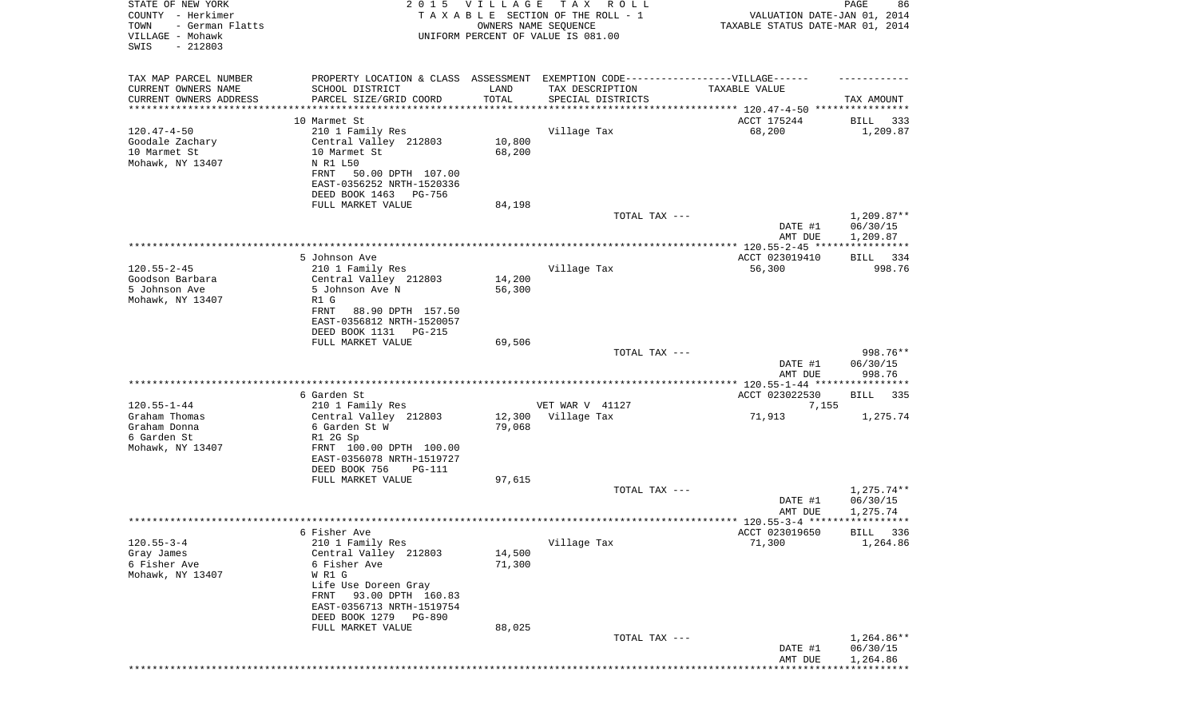| STATE OF NEW YORK<br>COUNTY - Herkimer<br>TOWN<br>- German Flatts<br>VILLAGE - Mohawk<br>SWIS<br>$-212803$ | 2 0 1 5                                                                                                                                                                                                             | <b>VILLAGE</b><br>OWNERS NAME SEQUENCE | T A X<br>R O L L<br>TAXABLE SECTION OF THE ROLL - 1<br>UNIFORM PERCENT OF VALUE IS 081.00                                 | VALUATION DATE-JAN 01, 2014<br>TAXABLE STATUS DATE-MAR 01, 2014 | 86<br>PAGE                           |
|------------------------------------------------------------------------------------------------------------|---------------------------------------------------------------------------------------------------------------------------------------------------------------------------------------------------------------------|----------------------------------------|---------------------------------------------------------------------------------------------------------------------------|-----------------------------------------------------------------|--------------------------------------|
| TAX MAP PARCEL NUMBER<br>CURRENT OWNERS NAME<br>CURRENT OWNERS ADDRESS                                     | SCHOOL DISTRICT<br>PARCEL SIZE/GRID COORD                                                                                                                                                                           | LAND<br>TOTAL                          | PROPERTY LOCATION & CLASS ASSESSMENT EXEMPTION CODE-----------------VILLAGE------<br>TAX DESCRIPTION<br>SPECIAL DISTRICTS | TAXABLE VALUE                                                   | TAX AMOUNT                           |
| *******************                                                                                        |                                                                                                                                                                                                                     |                                        |                                                                                                                           |                                                                 |                                      |
| $120.47 - 4 - 50$<br>Goodale Zachary<br>10 Marmet St<br>Mohawk, NY 13407                                   | 10 Marmet St<br>210 1 Family Res<br>Central Valley 212803<br>10 Marmet St<br>N R1 L50<br>50.00 DPTH 107.00<br>FRNT<br>EAST-0356252 NRTH-1520336<br>DEED BOOK 1463<br>PG-756                                         | 10,800<br>68,200                       | Village Tax                                                                                                               | ACCT 175244<br>68,200                                           | BILL<br>333<br>1,209.87              |
|                                                                                                            | FULL MARKET VALUE                                                                                                                                                                                                   | 84,198                                 | TOTAL TAX ---                                                                                                             | DATE #1<br>AMT DUE                                              | $1,209.87**$<br>06/30/15<br>1,209.87 |
|                                                                                                            |                                                                                                                                                                                                                     |                                        |                                                                                                                           |                                                                 |                                      |
| $120.55 - 2 - 45$<br>Goodson Barbara<br>5 Johnson Ave<br>Mohawk, NY 13407                                  | 5 Johnson Ave<br>210 1 Family Res<br>Central Valley 212803<br>5 Johnson Ave N<br>R1 G<br>FRNT<br>88.90 DPTH 157.50                                                                                                  | 14,200<br>56,300                       | Village Tax                                                                                                               | ACCT 023019410<br>56,300                                        | BILL 334<br>998.76                   |
|                                                                                                            | EAST-0356812 NRTH-1520057<br>DEED BOOK 1131<br>PG-215<br>FULL MARKET VALUE                                                                                                                                          | 69,506                                 | TOTAL TAX ---                                                                                                             |                                                                 | 998.76**                             |
|                                                                                                            |                                                                                                                                                                                                                     |                                        |                                                                                                                           | DATE #1<br>AMT DUE                                              | 06/30/15<br>998.76                   |
|                                                                                                            |                                                                                                                                                                                                                     |                                        |                                                                                                                           | *************** 120.55-1-44 *****************                   |                                      |
|                                                                                                            | 6 Garden St                                                                                                                                                                                                         |                                        |                                                                                                                           | ACCT 023022530                                                  | BILL<br>335                          |
| $120.55 - 1 - 44$                                                                                          | 210 1 Family Res                                                                                                                                                                                                    |                                        | VET WAR V 41127                                                                                                           | 7,155                                                           |                                      |
| Graham Thomas<br>Graham Donna<br>6 Garden St<br>Mohawk, NY 13407                                           | Central Valley 212803<br>6 Garden St W<br>R1 2G Sp<br>FRNT 100.00 DPTH 100.00<br>EAST-0356078 NRTH-1519727<br>DEED BOOK 756<br>PG-111                                                                               | 12,300<br>79,068                       | Village Tax                                                                                                               | 71,913                                                          | 1,275.74                             |
|                                                                                                            | FULL MARKET VALUE                                                                                                                                                                                                   | 97,615                                 |                                                                                                                           |                                                                 |                                      |
|                                                                                                            |                                                                                                                                                                                                                     |                                        | TOTAL TAX ---                                                                                                             | DATE #1<br>AMT DUE                                              | 1,275.74**<br>06/30/15<br>1,275.74   |
|                                                                                                            |                                                                                                                                                                                                                     |                                        |                                                                                                                           |                                                                 | BILL 336                             |
| $120.55 - 3 - 4$<br>Gray James<br>6 Fisher Ave<br>Mohawk, NY 13407                                         | 6 Fisher Ave<br>210 1 Family Res<br>Central Valley 212803<br>6 Fisher Ave<br>W R1 G<br>Life Use Doreen Gray<br>93.00 DPTH 160.83<br>FRNT<br>EAST-0356713 NRTH-1519754<br>DEED BOOK 1279 PG-890<br>FULL MARKET VALUE | 14,500<br>71,300<br>88,025             | Village Tax                                                                                                               | ACCT 023019650<br>71,300                                        | 1,264.86                             |
|                                                                                                            |                                                                                                                                                                                                                     |                                        | TOTAL TAX ---                                                                                                             | DATE #1<br>AMT DUE                                              | $1,264.86**$<br>06/30/15<br>1,264.86 |
|                                                                                                            |                                                                                                                                                                                                                     |                                        |                                                                                                                           |                                                                 |                                      |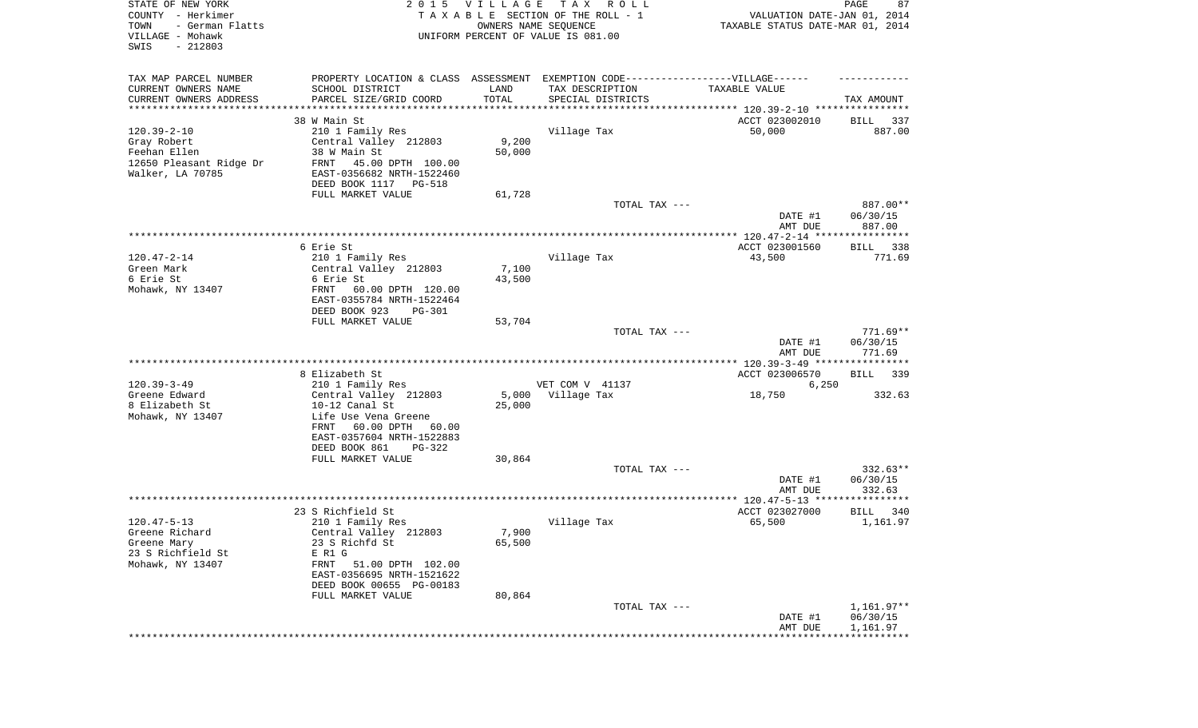| STATE OF NEW YORK<br>COUNTY - Herkimer<br>- German Flatts<br>TOWN<br>VILLAGE - Mohawk<br>SWIS<br>$-212803$ | 2 0 1 5                                                                          | <b>VILLAGE</b><br>OWNERS NAME SEQUENCE | T A X<br>R O L L<br>TAXABLE SECTION OF THE ROLL - 1<br>UNIFORM PERCENT OF VALUE IS 081.00 | VALUATION DATE-JAN 01, 2014<br>TAXABLE STATUS DATE-MAR 01, 2014 | PAGE<br>87                     |
|------------------------------------------------------------------------------------------------------------|----------------------------------------------------------------------------------|----------------------------------------|-------------------------------------------------------------------------------------------|-----------------------------------------------------------------|--------------------------------|
| TAX MAP PARCEL NUMBER                                                                                      | PROPERTY LOCATION & CLASS ASSESSMENT EXEMPTION CODE----------------VILLAGE------ |                                        |                                                                                           |                                                                 |                                |
| CURRENT OWNERS NAME                                                                                        | SCHOOL DISTRICT                                                                  | LAND                                   | TAX DESCRIPTION                                                                           | TAXABLE VALUE                                                   |                                |
| CURRENT OWNERS ADDRESS<br>**********************                                                           | PARCEL SIZE/GRID COORD                                                           | TOTAL                                  | SPECIAL DISTRICTS                                                                         |                                                                 | TAX AMOUNT                     |
|                                                                                                            | 38 W Main St                                                                     |                                        |                                                                                           | ACCT 023002010                                                  | 337<br>BILL                    |
| $120.39 - 2 - 10$                                                                                          | 210 1 Family Res                                                                 |                                        | Village Tax                                                                               | 50,000                                                          | 887.00                         |
| Gray Robert                                                                                                | Central Valley 212803                                                            | 9,200                                  |                                                                                           |                                                                 |                                |
| Feehan Ellen                                                                                               | 38 W Main St                                                                     | 50,000                                 |                                                                                           |                                                                 |                                |
| 12650 Pleasant Ridge Dr                                                                                    | FRNT<br>45.00 DPTH 100.00                                                        |                                        |                                                                                           |                                                                 |                                |
| Walker, LA 70785                                                                                           | EAST-0356682 NRTH-1522460                                                        |                                        |                                                                                           |                                                                 |                                |
|                                                                                                            | DEED BOOK 1117<br>PG-518                                                         |                                        |                                                                                           |                                                                 |                                |
|                                                                                                            | FULL MARKET VALUE                                                                | 61,728                                 |                                                                                           |                                                                 |                                |
|                                                                                                            |                                                                                  |                                        | TOTAL TAX ---                                                                             | DATE #1<br>AMT DUE                                              | 887.00**<br>06/30/15<br>887.00 |
|                                                                                                            |                                                                                  |                                        |                                                                                           |                                                                 |                                |
|                                                                                                            | 6 Erie St                                                                        |                                        |                                                                                           | ACCT 023001560                                                  | 338<br>BILL                    |
| $120.47 - 2 - 14$                                                                                          | 210 1 Family Res                                                                 |                                        | Village Tax                                                                               | 43,500                                                          | 771.69                         |
| Green Mark                                                                                                 | Central Valley 212803                                                            | 7,100                                  |                                                                                           |                                                                 |                                |
| 6 Erie St                                                                                                  | 6 Erie St                                                                        | 43,500                                 |                                                                                           |                                                                 |                                |
| Mohawk, NY 13407                                                                                           | FRNT<br>60.00 DPTH 120.00<br>EAST-0355784 NRTH-1522464                           |                                        |                                                                                           |                                                                 |                                |
|                                                                                                            | DEED BOOK 923<br><b>PG-301</b><br>FULL MARKET VALUE                              | 53,704                                 |                                                                                           |                                                                 |                                |
|                                                                                                            |                                                                                  |                                        | TOTAL TAX ---                                                                             |                                                                 | $771.69**$                     |
|                                                                                                            |                                                                                  |                                        |                                                                                           | DATE #1<br>AMT DUE                                              | 06/30/15<br>771.69             |
|                                                                                                            |                                                                                  |                                        |                                                                                           |                                                                 |                                |
|                                                                                                            | 8 Elizabeth St                                                                   |                                        |                                                                                           | ACCT 023006570                                                  | <b>BILL</b><br>339             |
| $120.39 - 3 - 49$                                                                                          | 210 1 Family Res                                                                 |                                        | VET COM V 41137                                                                           | 6,250                                                           |                                |
| Greene Edward<br>8 Elizabeth St                                                                            | Central Valley 212803<br>10-12 Canal St                                          | 5,000<br>25,000                        | Village Tax                                                                               | 18,750                                                          | 332.63                         |
| Mohawk, NY 13407                                                                                           | Life Use Vena Greene                                                             |                                        |                                                                                           |                                                                 |                                |
|                                                                                                            | 60.00 DPTH 60.00<br>FRNT                                                         |                                        |                                                                                           |                                                                 |                                |
|                                                                                                            | EAST-0357604 NRTH-1522883                                                        |                                        |                                                                                           |                                                                 |                                |
|                                                                                                            | DEED BOOK 861<br>PG-322                                                          |                                        |                                                                                           |                                                                 |                                |
|                                                                                                            | FULL MARKET VALUE                                                                | 30,864                                 |                                                                                           |                                                                 |                                |
|                                                                                                            |                                                                                  |                                        | TOTAL TAX ---                                                                             |                                                                 | $332.63**$                     |
|                                                                                                            |                                                                                  |                                        |                                                                                           | DATE #1                                                         | 06/30/15                       |
|                                                                                                            |                                                                                  |                                        |                                                                                           | AMT DUE                                                         | 332.63                         |
|                                                                                                            | 23 S Richfield St                                                                |                                        |                                                                                           | ACCT 023027000                                                  | BILL<br>340                    |
| $120.47 - 5 - 13$                                                                                          | 210 1 Family Res                                                                 |                                        | Village Tax                                                                               | 65,500                                                          | 1,161.97                       |
| Greene Richard                                                                                             | Central Valley 212803                                                            | 7,900                                  |                                                                                           |                                                                 |                                |
| Greene Mary                                                                                                | 23 S Richfd St                                                                   | 65,500                                 |                                                                                           |                                                                 |                                |
| 23 S Richfield St                                                                                          | E R1 G                                                                           |                                        |                                                                                           |                                                                 |                                |
| Mohawk, NY 13407                                                                                           | FRNT<br>51.00 DPTH 102.00                                                        |                                        |                                                                                           |                                                                 |                                |
|                                                                                                            | EAST-0356695 NRTH-1521622                                                        |                                        |                                                                                           |                                                                 |                                |
|                                                                                                            | DEED BOOK 00655 PG-00183                                                         |                                        |                                                                                           |                                                                 |                                |
|                                                                                                            | FULL MARKET VALUE                                                                | 80,864                                 |                                                                                           |                                                                 |                                |
|                                                                                                            |                                                                                  |                                        | TOTAL TAX ---                                                                             | DATE #1                                                         | $1,161.97**$<br>06/30/15       |
|                                                                                                            |                                                                                  |                                        |                                                                                           | AMT DUE                                                         | 1,161.97                       |
|                                                                                                            |                                                                                  |                                        |                                                                                           |                                                                 |                                |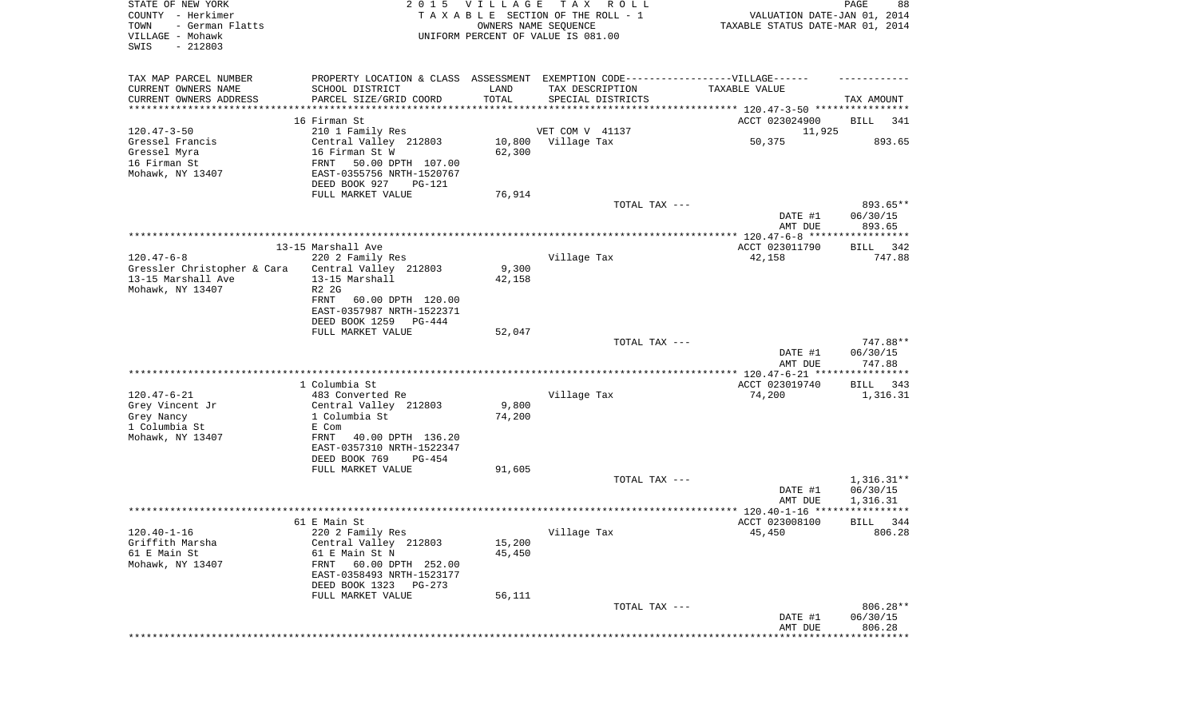| STATE OF NEW YORK<br>COUNTY - Herkimer<br>- German Flatts<br>TOWN<br>VILLAGE - Mohawk<br>SWIS<br>$-212803$ |                                                                                   | 2015 VILLAGE<br>OWNERS NAME SEQUENCE | T A X<br>R O L L<br>TAXABLE SECTION OF THE ROLL - 1<br>UNIFORM PERCENT OF VALUE IS 081.00 | VALUATION DATE-JAN 01, 2014<br>TAXABLE STATUS DATE-MAR 01, 2014 | PAGE<br>88                     |
|------------------------------------------------------------------------------------------------------------|-----------------------------------------------------------------------------------|--------------------------------------|-------------------------------------------------------------------------------------------|-----------------------------------------------------------------|--------------------------------|
| TAX MAP PARCEL NUMBER                                                                                      | PROPERTY LOCATION & CLASS ASSESSMENT EXEMPTION CODE-----------------VILLAGE------ |                                      |                                                                                           |                                                                 |                                |
| CURRENT OWNERS NAME                                                                                        | SCHOOL DISTRICT                                                                   | LAND                                 | TAX DESCRIPTION                                                                           | TAXABLE VALUE                                                   |                                |
| CURRENT OWNERS ADDRESS<br>*********************                                                            | PARCEL SIZE/GRID COORD<br>*********************                                   | TOTAL                                | SPECIAL DISTRICTS                                                                         |                                                                 | TAX AMOUNT                     |
|                                                                                                            | 16 Firman St                                                                      |                                      |                                                                                           | ACCT 023024900                                                  | BILL<br>341                    |
| $120.47 - 3 - 50$                                                                                          | 210 1 Family Res                                                                  |                                      | VET COM V 41137                                                                           | 11,925                                                          |                                |
| Gressel Francis                                                                                            | Central Valley 212803                                                             | 10,800                               | Village Tax                                                                               | 50,375                                                          | 893.65                         |
| Gressel Myra                                                                                               | 16 Firman St W                                                                    | 62,300                               |                                                                                           |                                                                 |                                |
| 16 Firman St                                                                                               | FRNT<br>50.00 DPTH 107.00                                                         |                                      |                                                                                           |                                                                 |                                |
| Mohawk, NY 13407                                                                                           | EAST-0355756 NRTH-1520767                                                         |                                      |                                                                                           |                                                                 |                                |
|                                                                                                            | DEED BOOK 927<br>PG-121                                                           |                                      |                                                                                           |                                                                 |                                |
|                                                                                                            | FULL MARKET VALUE                                                                 | 76,914                               |                                                                                           |                                                                 |                                |
|                                                                                                            |                                                                                   |                                      | TOTAL TAX ---                                                                             | DATE #1<br>AMT DUE                                              | 893.65**<br>06/30/15<br>893.65 |
|                                                                                                            |                                                                                   |                                      |                                                                                           |                                                                 |                                |
|                                                                                                            | 13-15 Marshall Ave                                                                |                                      |                                                                                           | ACCT 023011790                                                  | 342<br>BILL                    |
| $120.47 - 6 - 8$                                                                                           | 220 2 Family Res                                                                  |                                      | Village Tax                                                                               | 42,158                                                          | 747.88                         |
| Gressler Christopher & Cara                                                                                | Central Valley 212803                                                             | 9,300                                |                                                                                           |                                                                 |                                |
| 13-15 Marshall Ave                                                                                         | 13-15 Marshall                                                                    | 42,158                               |                                                                                           |                                                                 |                                |
| Mohawk, NY 13407                                                                                           | R2 2G<br>FRNT<br>60.00 DPTH 120.00                                                |                                      |                                                                                           |                                                                 |                                |
|                                                                                                            | EAST-0357987 NRTH-1522371                                                         |                                      |                                                                                           |                                                                 |                                |
|                                                                                                            | DEED BOOK 1259<br>PG-444                                                          |                                      |                                                                                           |                                                                 |                                |
|                                                                                                            | FULL MARKET VALUE                                                                 | 52,047                               |                                                                                           |                                                                 |                                |
|                                                                                                            |                                                                                   |                                      | TOTAL TAX ---                                                                             |                                                                 | 747.88**                       |
|                                                                                                            |                                                                                   |                                      |                                                                                           | DATE #1<br>AMT DUE                                              | 06/30/15<br>747.88             |
|                                                                                                            | 1 Columbia St                                                                     |                                      |                                                                                           | ************* 120.47-6-21 *****************<br>ACCT 023019740   | 343<br>BILL                    |
| $120.47 - 6 - 21$                                                                                          | 483 Converted Re                                                                  |                                      | Village Tax                                                                               | 74,200                                                          | 1,316.31                       |
| Grey Vincent Jr                                                                                            | Central Valley 212803                                                             | 9,800                                |                                                                                           |                                                                 |                                |
| Grey Nancy                                                                                                 | 1 Columbia St                                                                     | 74,200                               |                                                                                           |                                                                 |                                |
| 1 Columbia St                                                                                              | E Com                                                                             |                                      |                                                                                           |                                                                 |                                |
| Mohawk, NY 13407                                                                                           | <b>FRNT</b><br>40.00 DPTH 136.20                                                  |                                      |                                                                                           |                                                                 |                                |
|                                                                                                            | EAST-0357310 NRTH-1522347                                                         |                                      |                                                                                           |                                                                 |                                |
|                                                                                                            | DEED BOOK 769<br>PG-454                                                           |                                      |                                                                                           |                                                                 |                                |
|                                                                                                            | FULL MARKET VALUE                                                                 | 91,605                               | TOTAL TAX ---                                                                             |                                                                 | $1,316.31**$                   |
|                                                                                                            |                                                                                   |                                      |                                                                                           | DATE #1                                                         | 06/30/15                       |
|                                                                                                            |                                                                                   |                                      |                                                                                           | AMT DUE                                                         | 1,316.31                       |
|                                                                                                            |                                                                                   |                                      |                                                                                           |                                                                 | ************                   |
|                                                                                                            | 61 E Main St                                                                      |                                      |                                                                                           | ACCT 023008100                                                  | 344<br>BILL                    |
| $120.40 - 1 - 16$                                                                                          | 220 2 Family Res                                                                  |                                      | Village Tax                                                                               | 45,450                                                          | 806.28                         |
| Griffith Marsha                                                                                            | Central Valley 212803                                                             | 15,200                               |                                                                                           |                                                                 |                                |
| 61 E Main St<br>Mohawk, NY 13407                                                                           | 61 E Main St N<br>60.00 DPTH 252.00<br>FRNT                                       | 45,450                               |                                                                                           |                                                                 |                                |
|                                                                                                            | EAST-0358493 NRTH-1523177                                                         |                                      |                                                                                           |                                                                 |                                |
|                                                                                                            | DEED BOOK 1323<br>PG-273                                                          |                                      |                                                                                           |                                                                 |                                |
|                                                                                                            | FULL MARKET VALUE                                                                 | 56,111                               |                                                                                           |                                                                 |                                |
|                                                                                                            |                                                                                   |                                      | TOTAL TAX ---                                                                             |                                                                 | 806.28**                       |
|                                                                                                            |                                                                                   |                                      |                                                                                           | DATE #1                                                         | 06/30/15                       |
|                                                                                                            |                                                                                   |                                      |                                                                                           | AMT DUE                                                         | 806.28<br>*****************    |
|                                                                                                            |                                                                                   |                                      |                                                                                           |                                                                 |                                |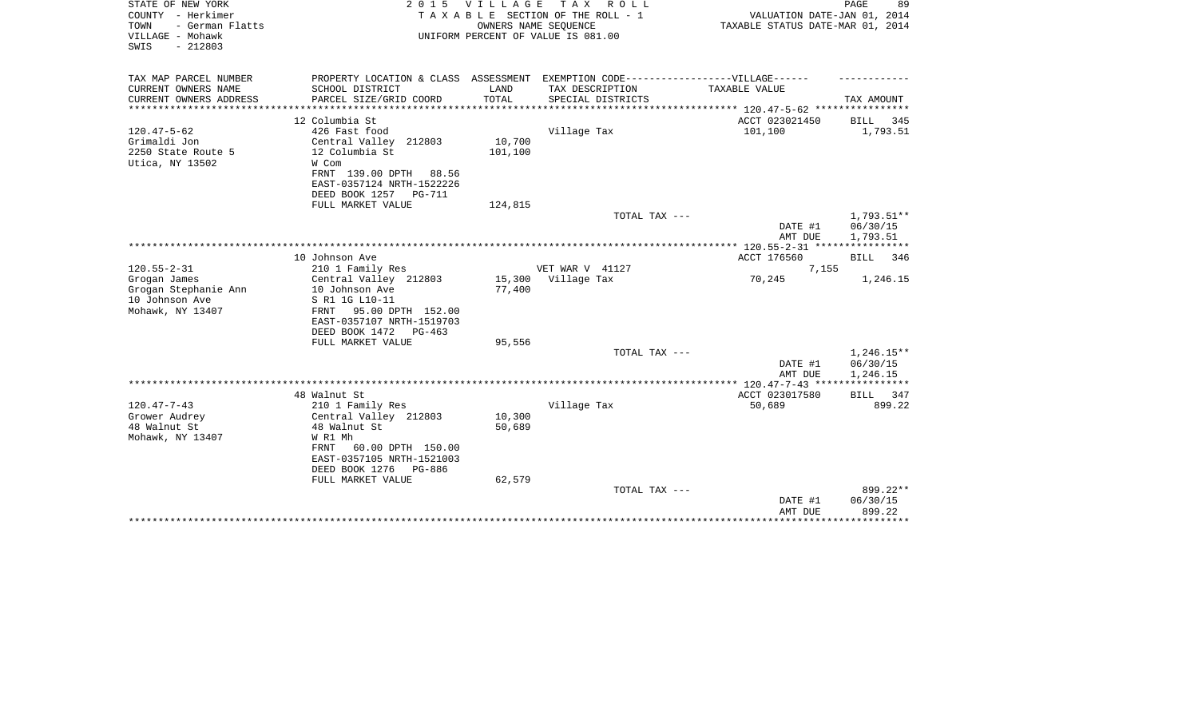| STATE OF NEW YORK<br>COUNTY - Herkimer<br>- German Flatts<br>TOWN<br>VILLAGE - Mohawk<br>SWIS<br>$-212803$ |                                                                                   | 2015 VILLAGE<br>OWNERS NAME SEQUENCE | TAX ROLL<br>TAXABLE SECTION OF THE ROLL - 1<br>UNIFORM PERCENT OF VALUE IS 081.00 | VALUATION DATE-JAN 01, 2014<br>TAXABLE STATUS DATE-MAR 01, 2014 | PAGE<br>89                        |
|------------------------------------------------------------------------------------------------------------|-----------------------------------------------------------------------------------|--------------------------------------|-----------------------------------------------------------------------------------|-----------------------------------------------------------------|-----------------------------------|
| TAX MAP PARCEL NUMBER                                                                                      | PROPERTY LOCATION & CLASS ASSESSMENT EXEMPTION CODE-----------------VILLAGE------ |                                      |                                                                                   |                                                                 |                                   |
| CURRENT OWNERS NAME<br>CURRENT OWNERS ADDRESS                                                              | SCHOOL DISTRICT<br>PARCEL SIZE/GRID COORD                                         | LAND<br>TOTAL                        | TAX DESCRIPTION<br>SPECIAL DISTRICTS                                              | TAXABLE VALUE                                                   | TAX AMOUNT                        |
| ********************                                                                                       |                                                                                   |                                      |                                                                                   |                                                                 |                                   |
| $120.47 - 5 - 62$                                                                                          | 12 Columbia St<br>426 Fast food                                                   |                                      | Village Tax                                                                       | ACCT 023021450<br>101,100                                       | 345<br>BILL<br>1,793.51           |
| Grimaldi Jon                                                                                               | Central Valley 212803                                                             | 10,700                               |                                                                                   |                                                                 |                                   |
| 2250 State Route 5                                                                                         | 12 Columbia St                                                                    | 101,100                              |                                                                                   |                                                                 |                                   |
| Utica, NY 13502                                                                                            | W Com                                                                             |                                      |                                                                                   |                                                                 |                                   |
|                                                                                                            | FRNT 139.00 DPTH<br>88.56                                                         |                                      |                                                                                   |                                                                 |                                   |
|                                                                                                            | EAST-0357124 NRTH-1522226                                                         |                                      |                                                                                   |                                                                 |                                   |
|                                                                                                            | DEED BOOK 1257<br><b>PG-711</b>                                                   |                                      |                                                                                   |                                                                 |                                   |
|                                                                                                            | FULL MARKET VALUE                                                                 | 124,815                              |                                                                                   |                                                                 |                                   |
|                                                                                                            |                                                                                   |                                      | TOTAL TAX ---                                                                     |                                                                 | 1,793.51**                        |
|                                                                                                            |                                                                                   |                                      |                                                                                   | DATE #1                                                         | 06/30/15                          |
|                                                                                                            |                                                                                   |                                      |                                                                                   | AMT DUE                                                         | 1,793.51<br>* * * * * * * * * * * |
|                                                                                                            | 10 Johnson Ave                                                                    |                                      |                                                                                   | ACCT 176560                                                     | <b>BILL</b><br>346                |
| $120.55 - 2 - 31$                                                                                          | 210 1 Family Res                                                                  |                                      | VET WAR V 41127                                                                   | 7,155                                                           |                                   |
| Grogan James                                                                                               | Central Valley 212803                                                             | 15,300                               | Village Tax                                                                       | 70,245                                                          | 1,246.15                          |
| Grogan Stephanie Ann                                                                                       | 10 Johnson Ave                                                                    | 77,400                               |                                                                                   |                                                                 |                                   |
| 10 Johnson Ave                                                                                             | S R1 1G L10-11                                                                    |                                      |                                                                                   |                                                                 |                                   |
| Mohawk, NY 13407                                                                                           | 95.00 DPTH 152.00<br>FRNT                                                         |                                      |                                                                                   |                                                                 |                                   |
|                                                                                                            | EAST-0357107 NRTH-1519703                                                         |                                      |                                                                                   |                                                                 |                                   |
|                                                                                                            | DEED BOOK 1472<br>$PG-463$                                                        |                                      |                                                                                   |                                                                 |                                   |
|                                                                                                            | FULL MARKET VALUE                                                                 | 95,556                               | TOTAL TAX ---                                                                     |                                                                 |                                   |
|                                                                                                            |                                                                                   |                                      |                                                                                   | DATE #1                                                         | $1,246.15**$<br>06/30/15          |
|                                                                                                            |                                                                                   |                                      |                                                                                   | AMT DUE                                                         | 1,246.15                          |
|                                                                                                            |                                                                                   |                                      |                                                                                   |                                                                 |                                   |
|                                                                                                            | 48 Walnut St                                                                      |                                      |                                                                                   | ACCT 023017580                                                  | BILL<br>347                       |
| $120.47 - 7 - 43$                                                                                          | 210 1 Family Res                                                                  |                                      | Village Tax                                                                       | 50,689                                                          | 899.22                            |
| Grower Audrey                                                                                              | Central Valley 212803                                                             | 10,300                               |                                                                                   |                                                                 |                                   |
| 48 Walnut St                                                                                               | 48 Walnut St                                                                      | 50,689                               |                                                                                   |                                                                 |                                   |
| Mohawk, NY 13407                                                                                           | W R1 Mh                                                                           |                                      |                                                                                   |                                                                 |                                   |
|                                                                                                            | 60.00 DPTH 150.00<br>FRNT<br>EAST-0357105 NRTH-1521003                            |                                      |                                                                                   |                                                                 |                                   |
|                                                                                                            | DEED BOOK 1276<br>PG-886                                                          |                                      |                                                                                   |                                                                 |                                   |
|                                                                                                            | FULL MARKET VALUE                                                                 | 62,579                               |                                                                                   |                                                                 |                                   |
|                                                                                                            |                                                                                   |                                      | TOTAL TAX ---                                                                     |                                                                 | 899.22**                          |
|                                                                                                            |                                                                                   |                                      |                                                                                   | DATE #1                                                         | 06/30/15                          |
|                                                                                                            |                                                                                   |                                      |                                                                                   | AMT DUE                                                         | 899.22                            |
|                                                                                                            |                                                                                   |                                      |                                                                                   |                                                                 |                                   |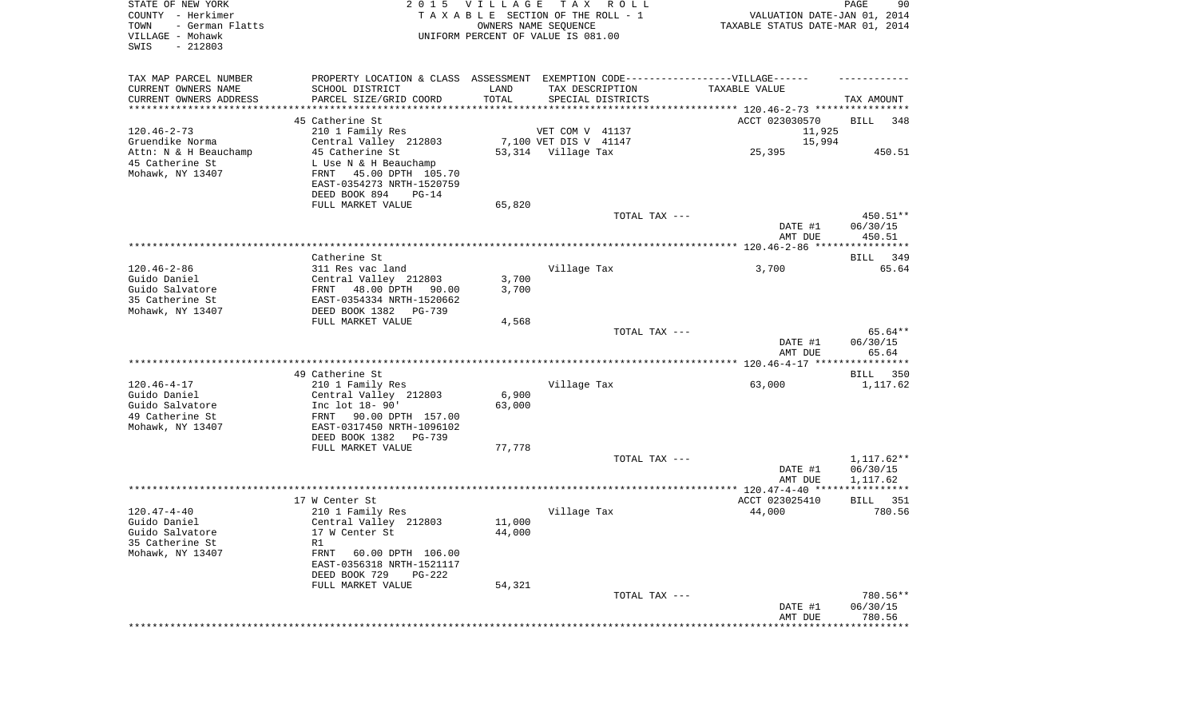| STATE OF NEW YORK<br>COUNTY - Herkimer<br>TOWN<br>- German Flatts |                                                                                   | 2015 VILLAGE | T A X<br>R O L L<br>TAXABLE SECTION OF THE ROLL - 1<br>OWNERS NAME SEQUENCE      | VALUATION DATE-JAN 01, 2014<br>TAXABLE STATUS DATE-MAR 01, 2014 | PAGE<br>90                     |
|-------------------------------------------------------------------|-----------------------------------------------------------------------------------|--------------|----------------------------------------------------------------------------------|-----------------------------------------------------------------|--------------------------------|
| VILLAGE - Mohawk<br>SWIS<br>$-212803$                             |                                                                                   |              | UNIFORM PERCENT OF VALUE IS 081.00                                               |                                                                 |                                |
| TAX MAP PARCEL NUMBER                                             |                                                                                   |              | PROPERTY LOCATION & CLASS ASSESSMENT EXEMPTION CODE----------------VILLAGE------ |                                                                 |                                |
| CURRENT OWNERS NAME                                               | SCHOOL DISTRICT                                                                   | LAND         | TAX DESCRIPTION                                                                  | TAXABLE VALUE                                                   |                                |
| CURRENT OWNERS ADDRESS<br>**********************                  | PARCEL SIZE/GRID COORD                                                            | TOTAL        | SPECIAL DISTRICTS                                                                |                                                                 | TAX AMOUNT                     |
|                                                                   | 45 Catherine St                                                                   |              |                                                                                  | ACCT 023030570                                                  | BILL<br>348                    |
| $120.46 - 2 - 73$                                                 | 210 1 Family Res                                                                  |              | VET COM V 41137                                                                  | 11,925                                                          |                                |
| Gruendike Norma                                                   | Central Valley 212803                                                             |              | 7,100 VET DIS V 41147                                                            | 15,994                                                          |                                |
| Attn: N & H Beauchamp                                             | 45 Catherine St                                                                   |              | 53,314 Village Tax                                                               | 25,395                                                          | 450.51                         |
| 45 Catherine St<br>Mohawk, NY 13407                               | L Use N & H Beauchamp<br>FRNT 45.00 DPTH 105.70<br>EAST-0354273 NRTH-1520759      |              |                                                                                  |                                                                 |                                |
|                                                                   | DEED BOOK 894<br>$PG-14$                                                          |              |                                                                                  |                                                                 |                                |
|                                                                   | FULL MARKET VALUE                                                                 | 65,820       | TOTAL TAX ---                                                                    |                                                                 | 450.51**                       |
|                                                                   |                                                                                   |              |                                                                                  | DATE #1<br>AMT DUE                                              | 06/30/15<br>450.51             |
|                                                                   |                                                                                   |              |                                                                                  |                                                                 |                                |
|                                                                   | Catherine St                                                                      |              |                                                                                  |                                                                 | BILL 349                       |
| $120.46 - 2 - 86$<br>Guido Daniel                                 | 311 Res vac land<br>Central Valley 212803                                         | 3,700        | Village Tax                                                                      | 3,700                                                           | 65.64                          |
| Guido Salvatore                                                   | FRNT 48.00 DPTH<br>90.00                                                          | 3,700        |                                                                                  |                                                                 |                                |
| 35 Catherine St                                                   | EAST-0354334 NRTH-1520662                                                         |              |                                                                                  |                                                                 |                                |
| Mohawk, NY 13407                                                  | DEED BOOK 1382<br>PG-739                                                          |              |                                                                                  |                                                                 |                                |
|                                                                   | FULL MARKET VALUE                                                                 | 4,568        | TOTAL TAX ---                                                                    |                                                                 | 65.64**                        |
|                                                                   |                                                                                   |              |                                                                                  | DATE #1<br>AMT DUE                                              | 06/30/15<br>65.64              |
|                                                                   |                                                                                   |              |                                                                                  |                                                                 |                                |
|                                                                   | 49 Catherine St                                                                   |              |                                                                                  |                                                                 | BILL 350                       |
| $120.46 - 4 - 17$<br>Guido Daniel                                 | 210 1 Family Res<br>Central Valley 212803                                         | 6,900        | Village Tax                                                                      | 63,000                                                          | 1,117.62                       |
| Guido Salvatore                                                   | Inc lot 18- 90'                                                                   | 63,000       |                                                                                  |                                                                 |                                |
| 49 Catherine St                                                   | FRNT<br>90.00 DPTH 157.00                                                         |              |                                                                                  |                                                                 |                                |
| Mohawk, NY 13407                                                  | EAST-0317450 NRTH-1096102                                                         |              |                                                                                  |                                                                 |                                |
|                                                                   | DEED BOOK 1382<br>PG-739<br>FULL MARKET VALUE                                     | 77,778       |                                                                                  |                                                                 |                                |
|                                                                   |                                                                                   |              | TOTAL TAX ---                                                                    |                                                                 | 1,117.62**                     |
|                                                                   |                                                                                   |              |                                                                                  | DATE #1<br>AMT DUE                                              | 06/30/15<br>1,117.62           |
|                                                                   |                                                                                   |              |                                                                                  |                                                                 |                                |
|                                                                   | 17 W Center St                                                                    |              |                                                                                  | ACCT 023025410                                                  | BILL<br>351                    |
| $120.47 - 4 - 40$<br>Guido Daniel                                 | 210 1 Family Res<br>Central Valley 212803                                         | 11,000       | Village Tax                                                                      | 44,000                                                          | 780.56                         |
| Guido Salvatore                                                   | 17 W Center St                                                                    | 44,000       |                                                                                  |                                                                 |                                |
| 35 Catherine St                                                   | R1                                                                                |              |                                                                                  |                                                                 |                                |
| Mohawk, NY 13407                                                  | FRNT<br>60.00 DPTH 106.00<br>EAST-0356318 NRTH-1521117<br>DEED BOOK 729<br>PG-222 |              |                                                                                  |                                                                 |                                |
|                                                                   | FULL MARKET VALUE                                                                 | 54,321       |                                                                                  |                                                                 |                                |
|                                                                   |                                                                                   |              | TOTAL TAX ---                                                                    | DATE #1<br>AMT DUE                                              | 780.56**<br>06/30/15<br>780.56 |
|                                                                   |                                                                                   |              |                                                                                  |                                                                 | *************                  |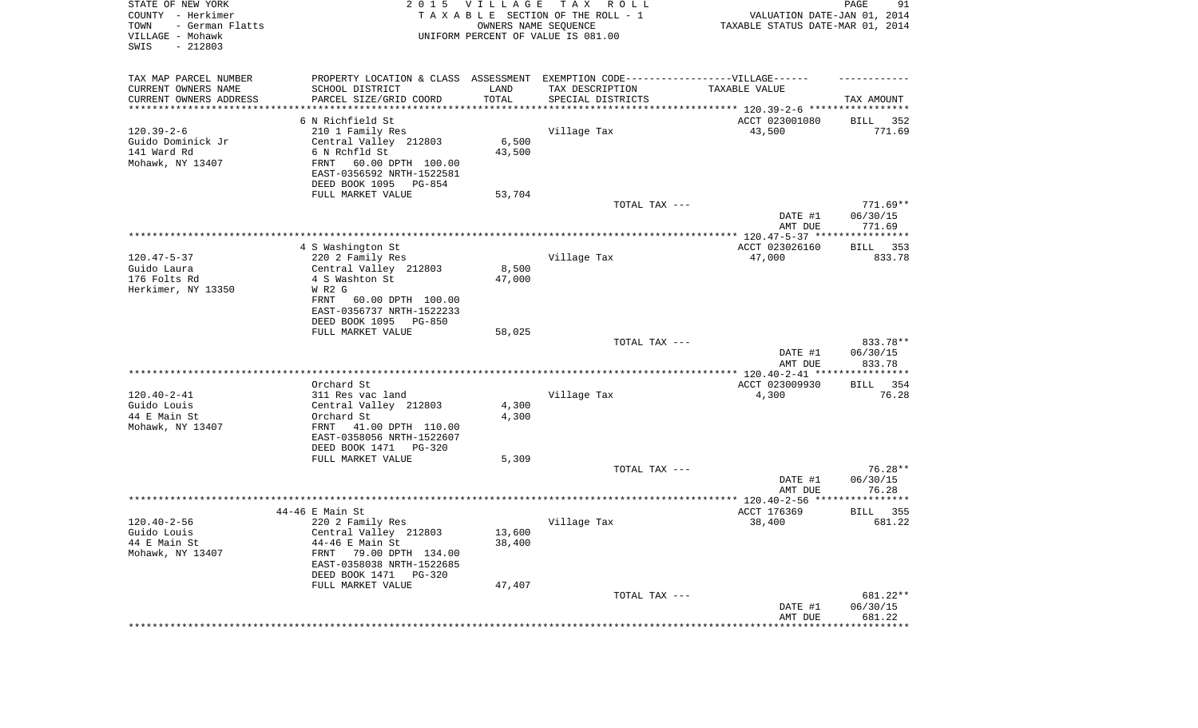| STATE OF NEW YORK<br>COUNTY - Herkimer<br>- German Flatts<br>TOWN<br>VILLAGE - Mohawk<br>SWIS<br>$-212803$ |                                                                                  | 2015 VILLAGE    | T A X<br>R O L L<br>TAXABLE SECTION OF THE ROLL - 1<br>OWNERS NAME SEQUENCE<br>UNIFORM PERCENT OF VALUE IS 081.00 | VALUATION DATE-JAN 01, 2014<br>TAXABLE STATUS DATE-MAR 01, 2014 | 91<br>PAGE                     |
|------------------------------------------------------------------------------------------------------------|----------------------------------------------------------------------------------|-----------------|-------------------------------------------------------------------------------------------------------------------|-----------------------------------------------------------------|--------------------------------|
| TAX MAP PARCEL NUMBER                                                                                      | PROPERTY LOCATION & CLASS ASSESSMENT EXEMPTION CODE----------------VILLAGE------ |                 |                                                                                                                   |                                                                 |                                |
| CURRENT OWNERS NAME<br>CURRENT OWNERS ADDRESS                                                              | SCHOOL DISTRICT<br>PARCEL SIZE/GRID COORD                                        | LAND<br>TOTAL   | TAX DESCRIPTION<br>SPECIAL DISTRICTS                                                                              | TAXABLE VALUE                                                   | TAX AMOUNT                     |
| ********************                                                                                       |                                                                                  |                 |                                                                                                                   |                                                                 |                                |
|                                                                                                            | 6 N Richfield St                                                                 |                 |                                                                                                                   | ACCT 023001080                                                  | 352<br>BILL                    |
| $120.39 - 2 - 6$                                                                                           | 210 1 Family Res                                                                 |                 | Village Tax                                                                                                       | 43,500                                                          | 771.69                         |
| Guido Dominick Jr<br>141 Ward Rd                                                                           | Central Valley 212803<br>6 N Rchfld St                                           | 6,500           |                                                                                                                   |                                                                 |                                |
| Mohawk, NY 13407                                                                                           | FRNT<br>60.00 DPTH 100.00                                                        | 43,500          |                                                                                                                   |                                                                 |                                |
|                                                                                                            | EAST-0356592 NRTH-1522581                                                        |                 |                                                                                                                   |                                                                 |                                |
|                                                                                                            | DEED BOOK 1095<br>PG-854                                                         |                 |                                                                                                                   |                                                                 |                                |
|                                                                                                            | FULL MARKET VALUE                                                                | 53,704          |                                                                                                                   |                                                                 |                                |
|                                                                                                            |                                                                                  |                 | TOTAL TAX ---                                                                                                     | DATE #1                                                         | $771.69**$<br>06/30/15         |
|                                                                                                            |                                                                                  |                 |                                                                                                                   | AMT DUE                                                         | 771.69                         |
|                                                                                                            |                                                                                  |                 |                                                                                                                   |                                                                 |                                |
|                                                                                                            | 4 S Washington St                                                                |                 |                                                                                                                   | ACCT 023026160                                                  | 353<br>BILL                    |
| $120.47 - 5 - 37$<br>Guido Laura                                                                           | 220 2 Family Res                                                                 |                 | Village Tax                                                                                                       | 47,000                                                          | 833.78                         |
| 176 Folts Rd                                                                                               | Central Valley 212803<br>4 S Washton St                                          | 8,500<br>47,000 |                                                                                                                   |                                                                 |                                |
| Herkimer, NY 13350                                                                                         | W R2 G                                                                           |                 |                                                                                                                   |                                                                 |                                |
|                                                                                                            | 60.00 DPTH 100.00<br>FRNT<br>EAST-0356737 NRTH-1522233                           |                 |                                                                                                                   |                                                                 |                                |
|                                                                                                            | DEED BOOK 1095<br><b>PG-850</b>                                                  |                 |                                                                                                                   |                                                                 |                                |
|                                                                                                            | FULL MARKET VALUE                                                                | 58,025          |                                                                                                                   |                                                                 |                                |
|                                                                                                            |                                                                                  |                 | TOTAL TAX ---                                                                                                     | DATE #1<br>AMT DUE                                              | 833.78**<br>06/30/15<br>833.78 |
|                                                                                                            |                                                                                  |                 |                                                                                                                   | **************** 120.40-2-41 *****************                  |                                |
|                                                                                                            | Orchard St                                                                       |                 |                                                                                                                   | ACCT 023009930                                                  | 354<br>BILL                    |
| $120.40 - 2 - 41$                                                                                          | 311 Res vac land                                                                 |                 | Village Tax                                                                                                       | 4,300                                                           | 76.28                          |
| Guido Louis                                                                                                | Central Valley 212803                                                            | 4,300           |                                                                                                                   |                                                                 |                                |
| 44 E Main St<br>Mohawk, NY 13407                                                                           | Orchard St<br>FRNT<br>41.00 DPTH 110.00                                          | 4,300           |                                                                                                                   |                                                                 |                                |
|                                                                                                            | EAST-0358056 NRTH-1522607                                                        |                 |                                                                                                                   |                                                                 |                                |
|                                                                                                            | DEED BOOK 1471<br>PG-320                                                         |                 |                                                                                                                   |                                                                 |                                |
|                                                                                                            | FULL MARKET VALUE                                                                | 5,309           |                                                                                                                   |                                                                 |                                |
|                                                                                                            |                                                                                  |                 | TOTAL TAX ---                                                                                                     | DATE #1                                                         | $76.28**$<br>06/30/15          |
|                                                                                                            |                                                                                  |                 |                                                                                                                   | AMT DUE                                                         | 76.28                          |
|                                                                                                            |                                                                                  |                 |                                                                                                                   |                                                                 | **********                     |
|                                                                                                            | 44-46 E Main St                                                                  |                 |                                                                                                                   | ACCT 176369                                                     | 355<br>BILL                    |
| $120.40 - 2 - 56$                                                                                          | 220 2 Family Res                                                                 | 13,600          | Village Tax                                                                                                       | 38,400                                                          | 681.22                         |
| Guido Louis<br>44 E Main St                                                                                | Central Valley 212803<br>44-46 E Main St                                         | 38,400          |                                                                                                                   |                                                                 |                                |
| Mohawk, NY 13407                                                                                           | 79.00 DPTH 134.00<br>FRNT                                                        |                 |                                                                                                                   |                                                                 |                                |
|                                                                                                            | EAST-0358038 NRTH-1522685                                                        |                 |                                                                                                                   |                                                                 |                                |
|                                                                                                            | DEED BOOK 1471 PG-320                                                            |                 |                                                                                                                   |                                                                 |                                |
|                                                                                                            | FULL MARKET VALUE                                                                | 47,407          | TOTAL TAX ---                                                                                                     |                                                                 | 681.22**                       |
|                                                                                                            |                                                                                  |                 |                                                                                                                   | DATE #1                                                         | 06/30/15                       |
|                                                                                                            |                                                                                  |                 |                                                                                                                   | AMT DUE                                                         | 681.22                         |
|                                                                                                            |                                                                                  |                 |                                                                                                                   | ***********************************                             |                                |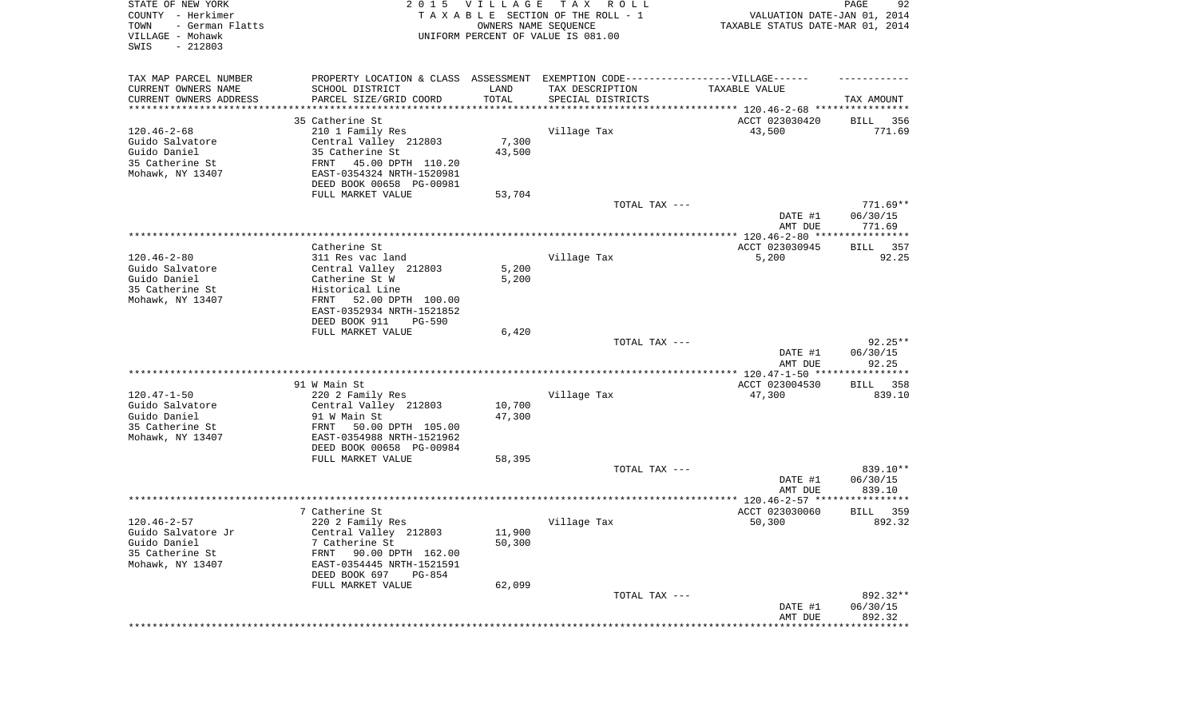| STATE OF NEW YORK<br>COUNTY - Herkimer<br>- German Flatts<br>TOWN<br>VILLAGE - Mohawk<br>SWIS<br>$-212803$ |                                                                                   | 2015 VILLAGE | T A X<br>R O L L<br>TAXABLE SECTION OF THE ROLL - 1<br>OWNERS NAME SEQUENCE<br>UNIFORM PERCENT OF VALUE IS 081.00 | VALUATION DATE-JAN 01, 2014<br>TAXABLE STATUS DATE-MAR 01, 2014 | 92<br>PAGE               |
|------------------------------------------------------------------------------------------------------------|-----------------------------------------------------------------------------------|--------------|-------------------------------------------------------------------------------------------------------------------|-----------------------------------------------------------------|--------------------------|
| TAX MAP PARCEL NUMBER                                                                                      | PROPERTY LOCATION & CLASS ASSESSMENT EXEMPTION CODE-----------------VILLAGE------ |              |                                                                                                                   |                                                                 |                          |
| CURRENT OWNERS NAME                                                                                        | SCHOOL DISTRICT                                                                   | LAND         | TAX DESCRIPTION                                                                                                   | TAXABLE VALUE                                                   |                          |
| CURRENT OWNERS ADDRESS<br>********************                                                             | PARCEL SIZE/GRID COORD                                                            | TOTAL        | SPECIAL DISTRICTS                                                                                                 | ********************************* 120.46-2-68 ****************  | TAX AMOUNT               |
|                                                                                                            | 35 Catherine St                                                                   |              |                                                                                                                   | ACCT 023030420                                                  | 356<br>BILL              |
| $120.46 - 2 - 68$                                                                                          | 210 1 Family Res                                                                  |              | Village Tax                                                                                                       | 43,500                                                          | 771.69                   |
| Guido Salvatore                                                                                            | Central Valley 212803                                                             | 7,300        |                                                                                                                   |                                                                 |                          |
| Guido Daniel                                                                                               | 35 Catherine St                                                                   | 43,500       |                                                                                                                   |                                                                 |                          |
| 35 Catherine St<br>Mohawk, NY 13407                                                                        | FRNT<br>45.00 DPTH 110.20<br>EAST-0354324 NRTH-1520981                            |              |                                                                                                                   |                                                                 |                          |
|                                                                                                            | DEED BOOK 00658 PG-00981                                                          |              |                                                                                                                   |                                                                 |                          |
|                                                                                                            | FULL MARKET VALUE                                                                 | 53,704       |                                                                                                                   |                                                                 |                          |
|                                                                                                            |                                                                                   |              | TOTAL TAX ---                                                                                                     |                                                                 | $771.69**$               |
|                                                                                                            |                                                                                   |              |                                                                                                                   | DATE #1                                                         | 06/30/15                 |
|                                                                                                            |                                                                                   |              |                                                                                                                   | AMT DUE                                                         | 771.69                   |
|                                                                                                            | Catherine St.                                                                     |              |                                                                                                                   | ACCT 023030945                                                  | 357<br>BILL              |
| $120.46 - 2 - 80$                                                                                          | 311 Res vac land                                                                  |              | Village Tax                                                                                                       | 5,200                                                           | 92.25                    |
| Guido Salvatore                                                                                            | Central Valley 212803                                                             | 5,200        |                                                                                                                   |                                                                 |                          |
| Guido Daniel                                                                                               | Catherine St W                                                                    | 5,200        |                                                                                                                   |                                                                 |                          |
| 35 Catherine St                                                                                            | Historical Line                                                                   |              |                                                                                                                   |                                                                 |                          |
| Mohawk, NY 13407                                                                                           | 52.00 DPTH 100.00<br>FRNT<br>EAST-0352934 NRTH-1521852                            |              |                                                                                                                   |                                                                 |                          |
|                                                                                                            | DEED BOOK 911<br>$PG-590$                                                         |              |                                                                                                                   |                                                                 |                          |
|                                                                                                            | FULL MARKET VALUE                                                                 | 6,420        |                                                                                                                   |                                                                 |                          |
|                                                                                                            |                                                                                   |              | TOTAL TAX ---                                                                                                     |                                                                 | $92.25**$                |
|                                                                                                            |                                                                                   |              |                                                                                                                   | DATE #1                                                         | 06/30/15                 |
|                                                                                                            |                                                                                   |              |                                                                                                                   | AMT DUE<br>************* 120.47-1-50 ********                   | 92.25<br>* * * * * * * * |
|                                                                                                            | 91 W Main St                                                                      |              |                                                                                                                   | ACCT 023004530                                                  | 358<br>BILL              |
| $120.47 - 1 - 50$                                                                                          | 220 2 Family Res                                                                  |              | Village Tax                                                                                                       | 47,300                                                          | 839.10                   |
| Guido Salvatore                                                                                            | Central Valley 212803                                                             | 10,700       |                                                                                                                   |                                                                 |                          |
| Guido Daniel                                                                                               | 91 W Main St                                                                      | 47,300       |                                                                                                                   |                                                                 |                          |
| 35 Catherine St<br>Mohawk, NY 13407                                                                        | 50.00 DPTH 105.00<br>FRNT<br>EAST-0354988 NRTH-1521962                            |              |                                                                                                                   |                                                                 |                          |
|                                                                                                            | DEED BOOK 00658 PG-00984                                                          |              |                                                                                                                   |                                                                 |                          |
|                                                                                                            | FULL MARKET VALUE                                                                 | 58,395       |                                                                                                                   |                                                                 |                          |
|                                                                                                            |                                                                                   |              | TOTAL TAX ---                                                                                                     |                                                                 | 839.10**                 |
|                                                                                                            |                                                                                   |              |                                                                                                                   | DATE #1                                                         | 06/30/15                 |
|                                                                                                            |                                                                                   |              |                                                                                                                   | AMT DUE                                                         | 839.10                   |
|                                                                                                            | 7 Catherine St                                                                    |              |                                                                                                                   | ACCT 023030060                                                  | 359<br>BILL              |
| $120.46 - 2 - 57$                                                                                          | 220 2 Family Res                                                                  |              | Village Tax                                                                                                       | 50,300                                                          | 892.32                   |
| Guido Salvatore Jr                                                                                         | Central Valley 212803                                                             | 11,900       |                                                                                                                   |                                                                 |                          |
| Guido Daniel                                                                                               | 7 Catherine St                                                                    | 50,300       |                                                                                                                   |                                                                 |                          |
| 35 Catherine St                                                                                            | FRNT<br>90.00 DPTH 162.00                                                         |              |                                                                                                                   |                                                                 |                          |
| Mohawk, NY 13407                                                                                           | EAST-0354445 NRTH-1521591<br>DEED BOOK 697<br>PG-854                              |              |                                                                                                                   |                                                                 |                          |
|                                                                                                            | FULL MARKET VALUE                                                                 | 62,099       |                                                                                                                   |                                                                 |                          |
|                                                                                                            |                                                                                   |              | TOTAL TAX ---                                                                                                     |                                                                 | 892.32**                 |
|                                                                                                            |                                                                                   |              |                                                                                                                   | DATE #1                                                         | 06/30/15                 |
|                                                                                                            |                                                                                   |              |                                                                                                                   | AMT DUE                                                         | 892.32                   |
|                                                                                                            |                                                                                   |              |                                                                                                                   | *********************                                           | **************           |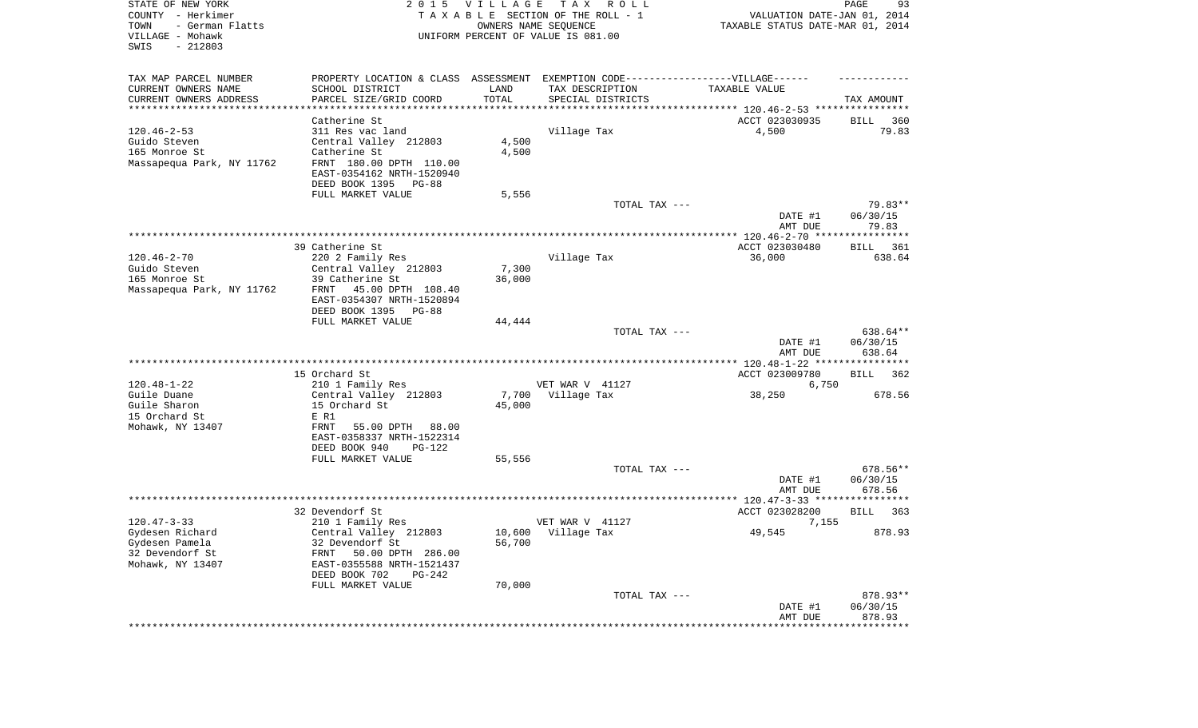| STATE OF NEW YORK<br>COUNTY - Herkimer<br>- German Flatts<br>TOWN<br>VILLAGE - Mohawk<br>SWIS<br>$-212803$ |                                                                                   | 2015 VILLAGE    | T A X<br>R O L L<br>TAXABLE SECTION OF THE ROLL - 1<br>OWNERS NAME SEQUENCE<br>UNIFORM PERCENT OF VALUE IS 081.00 | VALUATION DATE-JAN 01, 2014<br>TAXABLE STATUS DATE-MAR 01, 2014 | 93<br>PAGE           |
|------------------------------------------------------------------------------------------------------------|-----------------------------------------------------------------------------------|-----------------|-------------------------------------------------------------------------------------------------------------------|-----------------------------------------------------------------|----------------------|
| TAX MAP PARCEL NUMBER                                                                                      | PROPERTY LOCATION & CLASS ASSESSMENT EXEMPTION CODE-----------------VILLAGE------ |                 |                                                                                                                   |                                                                 |                      |
| CURRENT OWNERS NAME                                                                                        | SCHOOL DISTRICT                                                                   | LAND            | TAX DESCRIPTION                                                                                                   | TAXABLE VALUE                                                   |                      |
| CURRENT OWNERS ADDRESS<br>************************                                                         | PARCEL SIZE/GRID COORD                                                            | TOTAL           | SPECIAL DISTRICTS                                                                                                 |                                                                 | TAX AMOUNT           |
|                                                                                                            | Catherine St                                                                      |                 |                                                                                                                   | ACCT 023030935                                                  | BILL<br>360          |
| $120.46 - 2 - 53$                                                                                          | 311 Res vac land                                                                  |                 | Village Tax                                                                                                       | 4,500                                                           | 79.83                |
| Guido Steven                                                                                               | Central Valley 212803                                                             | 4,500           |                                                                                                                   |                                                                 |                      |
| 165 Monroe St                                                                                              | Catherine St                                                                      | 4,500           |                                                                                                                   |                                                                 |                      |
| Massapequa Park, NY 11762                                                                                  | FRNT 180.00 DPTH 110.00<br>EAST-0354162 NRTH-1520940                              |                 |                                                                                                                   |                                                                 |                      |
|                                                                                                            | DEED BOOK 1395<br>PG-88                                                           |                 |                                                                                                                   |                                                                 |                      |
|                                                                                                            | FULL MARKET VALUE                                                                 | 5,556           | TOTAL TAX ---                                                                                                     |                                                                 | 79.83**              |
|                                                                                                            |                                                                                   |                 |                                                                                                                   | DATE #1<br>AMT DUE                                              | 06/30/15<br>79.83    |
|                                                                                                            |                                                                                   |                 |                                                                                                                   |                                                                 |                      |
|                                                                                                            | 39 Catherine St                                                                   |                 |                                                                                                                   | ACCT 023030480                                                  | BILL<br>361          |
| $120.46 - 2 - 70$                                                                                          | 220 2 Family Res                                                                  |                 | Village Tax                                                                                                       | 36,000                                                          | 638.64               |
| Guido Steven<br>165 Monroe St                                                                              | Central Valley 212803<br>39 Catherine St                                          | 7,300<br>36,000 |                                                                                                                   |                                                                 |                      |
| Massapequa Park, NY 11762                                                                                  | FRNT<br>45.00 DPTH 108.40                                                         |                 |                                                                                                                   |                                                                 |                      |
|                                                                                                            | EAST-0354307 NRTH-1520894<br>DEED BOOK 1395<br>PG-88                              |                 |                                                                                                                   |                                                                 |                      |
|                                                                                                            | FULL MARKET VALUE                                                                 | 44,444          |                                                                                                                   |                                                                 |                      |
|                                                                                                            |                                                                                   |                 | TOTAL TAX ---                                                                                                     | DATE #1                                                         | 638.64**<br>06/30/15 |
|                                                                                                            |                                                                                   |                 |                                                                                                                   | AMT DUE                                                         | 638.64               |
|                                                                                                            | 15 Orchard St                                                                     |                 |                                                                                                                   | ACCT 023009780                                                  | <b>BILL</b><br>362   |
| $120.48 - 1 - 22$                                                                                          | 210 1 Family Res                                                                  |                 | VET WAR V 41127                                                                                                   | 6,750                                                           |                      |
| Guile Duane                                                                                                | Central Valley 212803                                                             | 7,700           | Village Tax                                                                                                       | 38,250                                                          | 678.56               |
| Guile Sharon                                                                                               | 15 Orchard St                                                                     | 45,000          |                                                                                                                   |                                                                 |                      |
| 15 Orchard St                                                                                              | E R1<br>FRNT<br>88.00                                                             |                 |                                                                                                                   |                                                                 |                      |
| Mohawk, NY 13407                                                                                           | 55.00 DPTH<br>EAST-0358337 NRTH-1522314                                           |                 |                                                                                                                   |                                                                 |                      |
|                                                                                                            | DEED BOOK 940<br>PG-122                                                           |                 |                                                                                                                   |                                                                 |                      |
|                                                                                                            | FULL MARKET VALUE                                                                 | 55,556          |                                                                                                                   |                                                                 |                      |
|                                                                                                            |                                                                                   |                 | TOTAL TAX ---                                                                                                     |                                                                 | 678.56**             |
|                                                                                                            |                                                                                   |                 |                                                                                                                   | DATE #1<br>AMT DUE                                              | 06/30/15<br>678.56   |
|                                                                                                            |                                                                                   |                 |                                                                                                                   |                                                                 |                      |
|                                                                                                            | 32 Devendorf St                                                                   |                 |                                                                                                                   | ACCT 023028200                                                  | BILL<br>363          |
| $120.47 - 3 - 33$                                                                                          | 210 1 Family Res                                                                  |                 | VET WAR V 41127                                                                                                   | 7,155                                                           |                      |
| Gydesen Richard                                                                                            | Central Valley 212803<br>32 Devendorf St                                          |                 | 10,600 Village Tax                                                                                                | 49,545                                                          | 878.93               |
| Gydesen Pamela<br>32 Devendorf St                                                                          | FRNT<br>50.00 DPTH 286.00                                                         | 56,700          |                                                                                                                   |                                                                 |                      |
| Mohawk, NY 13407                                                                                           | EAST-0355588 NRTH-1521437                                                         |                 |                                                                                                                   |                                                                 |                      |
|                                                                                                            | DEED BOOK 702<br>PG-242                                                           |                 |                                                                                                                   |                                                                 |                      |
|                                                                                                            | FULL MARKET VALUE                                                                 | 70,000          |                                                                                                                   |                                                                 |                      |
|                                                                                                            |                                                                                   |                 | TOTAL TAX ---                                                                                                     | DATE #1                                                         | 878.93**<br>06/30/15 |
|                                                                                                            |                                                                                   |                 |                                                                                                                   | AMT DUE                                                         | 878.93               |
|                                                                                                            |                                                                                   |                 |                                                                                                                   | **********************                                          | **************       |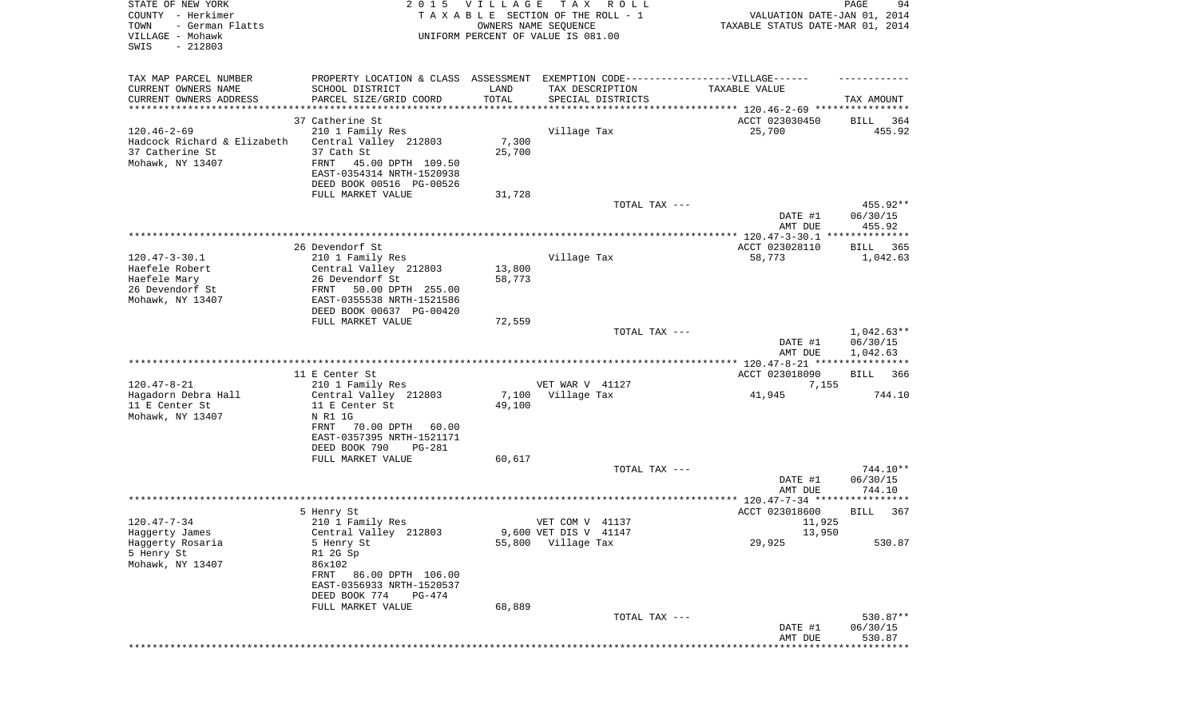| STATE OF NEW YORK<br>COUNTY - Herkimer<br>TOWN<br>- German Flatts<br>VILLAGE - Mohawk<br>SWIS<br>$-212803$ |                                                                                                                                                                       | 2015 VILLAGE     | TAX ROLL<br>TAXABLE SECTION OF THE ROLL - 1<br>OWNERS NAME SEQUENCE<br>UNIFORM PERCENT OF VALUE IS 081.00 | VALUATION DATE-JAN 01, 2014<br>TAXABLE STATUS DATE-MAR 01, 2014 | 94<br>PAGE                           |
|------------------------------------------------------------------------------------------------------------|-----------------------------------------------------------------------------------------------------------------------------------------------------------------------|------------------|-----------------------------------------------------------------------------------------------------------|-----------------------------------------------------------------|--------------------------------------|
| TAX MAP PARCEL NUMBER<br>CURRENT OWNERS NAME<br>CURRENT OWNERS ADDRESS<br>***********************          | PROPERTY LOCATION & CLASS ASSESSMENT EXEMPTION CODE-----------------VILLAGE------<br>SCHOOL DISTRICT<br>PARCEL SIZE/GRID COORD                                        | LAND<br>TOTAL    | TAX DESCRIPTION<br>SPECIAL DISTRICTS                                                                      | TAXABLE VALUE                                                   | TAX AMOUNT                           |
|                                                                                                            | 37 Catherine St                                                                                                                                                       |                  |                                                                                                           | ACCT 023030450                                                  | 364<br>BILL                          |
| $120.46 - 2 - 69$<br>Hadcock Richard & Elizabeth<br>37 Catherine St<br>Mohawk, NY 13407                    | 210 1 Family Res<br>Central Valley 212803<br>37 Cath St<br>FRNT<br>45.00 DPTH 109.50<br>EAST-0354314 NRTH-1520938<br>DEED BOOK 00516 PG-00526                         | 7,300<br>25,700  | Village Tax                                                                                               | 25,700                                                          | 455.92                               |
|                                                                                                            | FULL MARKET VALUE                                                                                                                                                     | 31,728           |                                                                                                           |                                                                 |                                      |
|                                                                                                            |                                                                                                                                                                       |                  | TOTAL TAX ---                                                                                             | DATE #1<br>AMT DUE                                              | 455.92**<br>06/30/15<br>455.92       |
|                                                                                                            |                                                                                                                                                                       |                  |                                                                                                           |                                                                 |                                      |
| $120.47 - 3 - 30.1$<br>Haefele Robert<br>Haefele Mary<br>26 Devendorf St<br>Mohawk, NY 13407               | 26 Devendorf St<br>210 1 Family Res<br>Central Valley 212803<br>26 Devendorf St<br>50.00 DPTH 255.00<br>FRNT<br>EAST-0355538 NRTH-1521586<br>DEED BOOK 00637 PG-00420 | 13,800<br>58,773 | Village Tax                                                                                               | ACCT 023028110<br>58,773                                        | BILL<br>365<br>1,042.63              |
|                                                                                                            | FULL MARKET VALUE                                                                                                                                                     | 72,559           |                                                                                                           |                                                                 |                                      |
|                                                                                                            |                                                                                                                                                                       |                  | TOTAL TAX ---                                                                                             | DATE #1<br>AMT DUE                                              | $1,042.63**$<br>06/30/15<br>1,042.63 |
|                                                                                                            |                                                                                                                                                                       |                  |                                                                                                           |                                                                 |                                      |
|                                                                                                            | 11 E Center St                                                                                                                                                        |                  |                                                                                                           | ACCT 023018090                                                  | <b>BILL</b><br>366                   |
| $120.47 - 8 - 21$<br>Hagadorn Debra Hall<br>11 E Center St<br>Mohawk, NY 13407                             | 210 1 Family Res<br>Central Valley 212803<br>11 E Center St<br>N R1 1G<br>FRNT<br>70.00 DPTH<br>60.00<br>EAST-0357395 NRTH-1521171<br>DEED BOOK 790<br>PG-281         | 7,100<br>49,100  | VET WAR V 41127<br>Village Tax                                                                            | 7,155<br>41,945                                                 | 744.10                               |
|                                                                                                            | FULL MARKET VALUE                                                                                                                                                     | 60,617           |                                                                                                           |                                                                 |                                      |
|                                                                                                            |                                                                                                                                                                       |                  | TOTAL TAX ---                                                                                             | DATE #1<br>AMT DUE                                              | 744.10**<br>06/30/15<br>744.10       |
|                                                                                                            |                                                                                                                                                                       |                  |                                                                                                           |                                                                 |                                      |
|                                                                                                            | 5 Henry St                                                                                                                                                            |                  |                                                                                                           | ACCT 023018600                                                  | 367<br>BILL                          |
| $120.47 - 7 - 34$<br>Haggerty James<br>Haggerty Rosaria<br>5 Henry St<br>Mohawk, NY 13407                  | 210 1 Family Res<br>Central Valley 212803<br>5 Henry St<br>R1 2G Sp<br>86x102<br>86.00 DPTH 106.00<br>FRNT<br>EAST-0356933 NRTH-1520537<br>DEED BOOK 774<br>PG-474    |                  | VET COM V 41137<br>9,600 VET DIS V 41147<br>55,800 Village Tax                                            | 11,925<br>13,950<br>29,925                                      | 530.87                               |
|                                                                                                            | FULL MARKET VALUE                                                                                                                                                     | 68,889           |                                                                                                           |                                                                 |                                      |
|                                                                                                            |                                                                                                                                                                       |                  | TOTAL TAX ---                                                                                             | DATE #1<br>AMT DUE                                              | 530.87**<br>06/30/15<br>530.87       |
|                                                                                                            |                                                                                                                                                                       |                  |                                                                                                           | *********************************                               |                                      |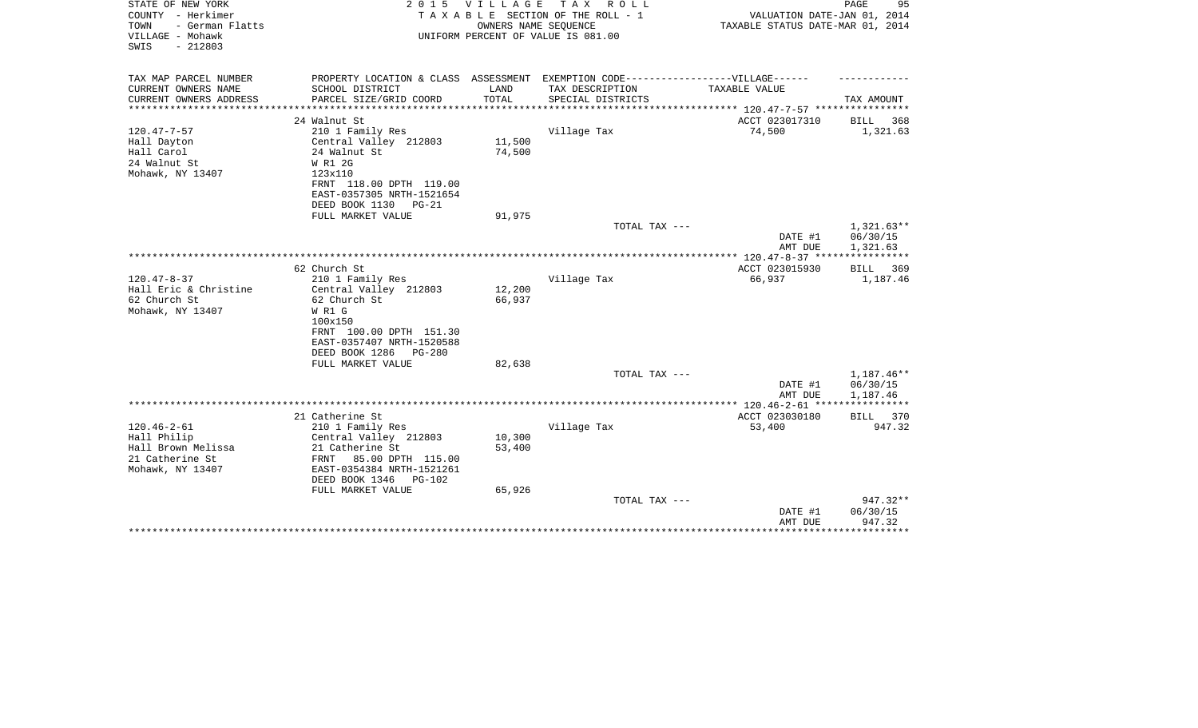| STATE OF NEW YORK<br>COUNTY - Herkimer                           | 2 0 1 5                         | VILLAGE | T A X<br>R O L L<br>TAXABLE SECTION OF THE ROLL - 1                               | VALUATION DATE-JAN 01, 2014      | PAGE<br>95            |
|------------------------------------------------------------------|---------------------------------|---------|-----------------------------------------------------------------------------------|----------------------------------|-----------------------|
| - German Flatts<br>TOWN<br>VILLAGE - Mohawk<br>$-212803$<br>SWIS |                                 |         | OWNERS NAME SEOUENCE<br>UNIFORM PERCENT OF VALUE IS 081.00                        | TAXABLE STATUS DATE-MAR 01, 2014 |                       |
| TAX MAP PARCEL NUMBER                                            |                                 |         | PROPERTY LOCATION & CLASS ASSESSMENT EXEMPTION CODE-----------------VILLAGE------ |                                  |                       |
| CURRENT OWNERS NAME                                              | SCHOOL DISTRICT                 | LAND    | TAX DESCRIPTION                                                                   | TAXABLE VALUE                    |                       |
| CURRENT OWNERS ADDRESS<br>**********************                 | PARCEL SIZE/GRID COORD          | TOTAL   | SPECIAL DISTRICTS                                                                 |                                  | TAX AMOUNT            |
|                                                                  | 24 Walnut St                    |         |                                                                                   | ACCT 023017310                   | BILL<br>368           |
| $120.47 - 7 - 57$                                                | 210 1 Family Res                |         | Village Tax                                                                       | 74,500                           | 1,321.63              |
| Hall Dayton                                                      | Central Valley 212803           | 11,500  |                                                                                   |                                  |                       |
| Hall Carol                                                       | 24 Walnut St                    | 74,500  |                                                                                   |                                  |                       |
| 24 Walnut St                                                     | W R1 2G                         |         |                                                                                   |                                  |                       |
| Mohawk, NY 13407                                                 | 123x110                         |         |                                                                                   |                                  |                       |
|                                                                  | FRNT 118.00 DPTH 119.00         |         |                                                                                   |                                  |                       |
|                                                                  | EAST-0357305 NRTH-1521654       |         |                                                                                   |                                  |                       |
|                                                                  | DEED BOOK 1130<br>$PG-21$       |         |                                                                                   |                                  |                       |
|                                                                  | FULL MARKET VALUE               | 91,975  | TOTAL TAX ---                                                                     |                                  | $1,321.63**$          |
|                                                                  |                                 |         |                                                                                   | DATE #1                          | 06/30/15              |
|                                                                  |                                 |         |                                                                                   | AMT DUE                          | 1,321.63              |
|                                                                  |                                 |         |                                                                                   |                                  | * * * * * * * * * * * |
|                                                                  | 62 Church St                    |         |                                                                                   | ACCT 023015930                   | BILL<br>369           |
| $120.47 - 8 - 37$                                                | 210 1 Family Res                |         | Village Tax                                                                       | 66,937                           | 1,187.46              |
| Hall Eric & Christine                                            | Central Valley 212803           | 12,200  |                                                                                   |                                  |                       |
| 62 Church St                                                     | 62 Church St<br>W R1 G          | 66,937  |                                                                                   |                                  |                       |
| Mohawk, NY 13407                                                 | 100x150                         |         |                                                                                   |                                  |                       |
|                                                                  | FRNT 100.00 DPTH 151.30         |         |                                                                                   |                                  |                       |
|                                                                  | EAST-0357407 NRTH-1520588       |         |                                                                                   |                                  |                       |
|                                                                  | DEED BOOK 1286<br>$PG-280$      |         |                                                                                   |                                  |                       |
|                                                                  | FULL MARKET VALUE               | 82,638  |                                                                                   |                                  |                       |
|                                                                  |                                 |         | TOTAL TAX ---                                                                     |                                  | 1,187.46**            |
|                                                                  |                                 |         |                                                                                   | DATE #1                          | 06/30/15              |
|                                                                  |                                 |         |                                                                                   | AMT DUE                          | 1,187.46              |
|                                                                  | 21 Catherine St                 |         |                                                                                   | ACCT 023030180                   | BILL 370              |
| $120.46 - 2 - 61$                                                | 210 1 Family Res                |         | Village Tax                                                                       | 53,400                           | 947.32                |
| Hall Philip                                                      | Central Valley 212803           | 10,300  |                                                                                   |                                  |                       |
| Hall Brown Melissa                                               | 21 Catherine St                 | 53,400  |                                                                                   |                                  |                       |
| 21 Catherine St                                                  | FRNT<br>85.00 DPTH 115.00       |         |                                                                                   |                                  |                       |
| Mohawk, NY 13407                                                 | EAST-0354384 NRTH-1521261       |         |                                                                                   |                                  |                       |
|                                                                  | DEED BOOK 1346<br><b>PG-102</b> |         |                                                                                   |                                  |                       |
|                                                                  | FULL MARKET VALUE               | 65,926  |                                                                                   |                                  |                       |
|                                                                  |                                 |         | TOTAL TAX ---                                                                     | DATE #1                          | 947.32**<br>06/30/15  |
|                                                                  |                                 |         |                                                                                   | AMT DUE                          | 947.32                |
|                                                                  |                                 |         |                                                                                   |                                  | ********              |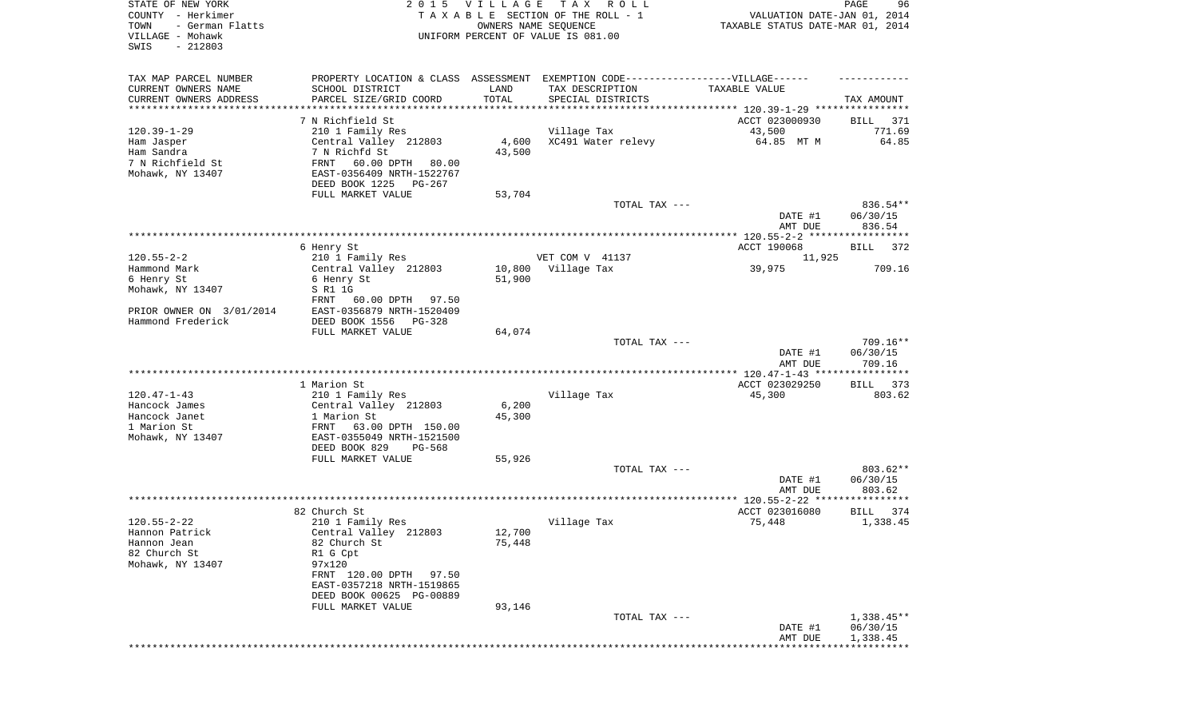| STATE OF NEW YORK<br>COUNTY - Herkimer<br>TOWN<br>- German Flatts<br>VILLAGE - Mohawk<br>SWIS<br>$-212803$ |                                                                                                                                                                                            | 2015 VILLAGE               | TAX ROLL<br>TAXABLE SECTION OF THE ROLL - 1<br>OWNERS NAME SEQUENCE<br>UNIFORM PERCENT OF VALUE IS 081.00                 | VALUATION DATE-JAN 01, 2014<br>TAXABLE STATUS DATE-MAR 01, 2014 | PAGE<br>96                     |
|------------------------------------------------------------------------------------------------------------|--------------------------------------------------------------------------------------------------------------------------------------------------------------------------------------------|----------------------------|---------------------------------------------------------------------------------------------------------------------------|-----------------------------------------------------------------|--------------------------------|
| TAX MAP PARCEL NUMBER<br>CURRENT OWNERS NAME<br>CURRENT OWNERS ADDRESS<br>*********************            | SCHOOL DISTRICT<br>PARCEL SIZE/GRID COORD<br>***********************                                                                                                                       | LAND<br>TOTAL              | PROPERTY LOCATION & CLASS ASSESSMENT EXEMPTION CODE-----------------VILLAGE------<br>TAX DESCRIPTION<br>SPECIAL DISTRICTS | TAXABLE VALUE                                                   | TAX AMOUNT                     |
| $120.39 - 1 - 29$                                                                                          | 7 N Richfield St<br>210 1 Family Res                                                                                                                                                       |                            | Village Tax                                                                                                               | ACCT 023000930<br>43,500                                        | BILL<br>371<br>771.69          |
| Ham Jasper<br>Ham Sandra<br>7 N Richfield St<br>Mohawk, NY 13407                                           | Central Valley 212803<br>7 N Richfd St<br>FRNT<br>60.00 DPTH 80.00<br>EAST-0356409 NRTH-1522767<br>DEED BOOK 1225<br>PG-267                                                                | 4,600<br>43,500            | XC491 Water relevy                                                                                                        | 64.85 MT M                                                      | 64.85                          |
|                                                                                                            | FULL MARKET VALUE                                                                                                                                                                          | 53,704                     |                                                                                                                           |                                                                 |                                |
|                                                                                                            |                                                                                                                                                                                            |                            | TOTAL TAX ---                                                                                                             | DATE #1<br>AMT DUE                                              | 836.54**<br>06/30/15<br>836.54 |
|                                                                                                            |                                                                                                                                                                                            |                            |                                                                                                                           |                                                                 |                                |
| $120.55 - 2 - 2$                                                                                           | 6 Henry St<br>210 1 Family Res                                                                                                                                                             |                            | VET COM V 41137                                                                                                           | ACCT 190068<br>11,925                                           | BILL<br>372                    |
| Hammond Mark<br>6 Henry St<br>Mohawk, NY 13407                                                             | Central Valley 212803<br>6 Henry St<br>S R1 1G                                                                                                                                             | 10,800<br>51,900           | Village Tax                                                                                                               | 39,975                                                          | 709.16                         |
| PRIOR OWNER ON 3/01/2014<br>Hammond Frederick                                                              | FRNT<br>60.00 DPTH<br>97.50<br>EAST-0356879 NRTH-1520409<br>DEED BOOK 1556<br>$PG-328$                                                                                                     |                            |                                                                                                                           |                                                                 |                                |
|                                                                                                            | FULL MARKET VALUE                                                                                                                                                                          | 64,074                     | TOTAL TAX ---                                                                                                             | DATE #1<br>AMT DUE                                              | 709.16**<br>06/30/15<br>709.16 |
|                                                                                                            |                                                                                                                                                                                            |                            |                                                                                                                           | ***************** 120.47-1-43 *****************                 |                                |
| $120.47 - 1 - 43$<br>Hancock James<br>Hancock Janet<br>1 Marion St<br>Mohawk, NY 13407                     | 1 Marion St<br>210 1 Family Res<br>Central Valley 212803<br>1 Marion St<br>FRNT<br>63.00 DPTH 150.00<br>EAST-0355049 NRTH-1521500<br>DEED BOOK 829<br>PG-568                               | 6,200<br>45,300            | Village Tax                                                                                                               | ACCT 023029250<br>45,300                                        | <b>BILL</b><br>373<br>803.62   |
|                                                                                                            | FULL MARKET VALUE                                                                                                                                                                          | 55,926                     |                                                                                                                           |                                                                 |                                |
|                                                                                                            |                                                                                                                                                                                            |                            | TOTAL TAX ---                                                                                                             | DATE #1<br>AMT DUE                                              | 803.62**<br>06/30/15<br>803.62 |
|                                                                                                            |                                                                                                                                                                                            |                            |                                                                                                                           |                                                                 |                                |
|                                                                                                            | 82 Church St                                                                                                                                                                               |                            |                                                                                                                           | ACCT 023016080                                                  | BILL<br>374                    |
| $120.55 - 2 - 22$<br>Hannon Patrick<br>Hannon Jean<br>82 Church St<br>Mohawk, NY 13407                     | 210 1 Family Res<br>Central Valley 212803<br>82 Church St<br>R1 G Cpt<br>97x120<br>FRNT 120.00 DPTH<br>97.50<br>EAST-0357218 NRTH-1519865<br>DEED BOOK 00625 PG-00889<br>FULL MARKET VALUE | 12,700<br>75,448<br>93,146 | Village Tax                                                                                                               | 75,448                                                          | 1,338.45                       |
|                                                                                                            |                                                                                                                                                                                            |                            | TOTAL TAX ---                                                                                                             |                                                                 | $1,338.45**$                   |
|                                                                                                            |                                                                                                                                                                                            |                            |                                                                                                                           | DATE #1<br>AMT DUE<br>**************                            | 06/30/15<br>1,338.45           |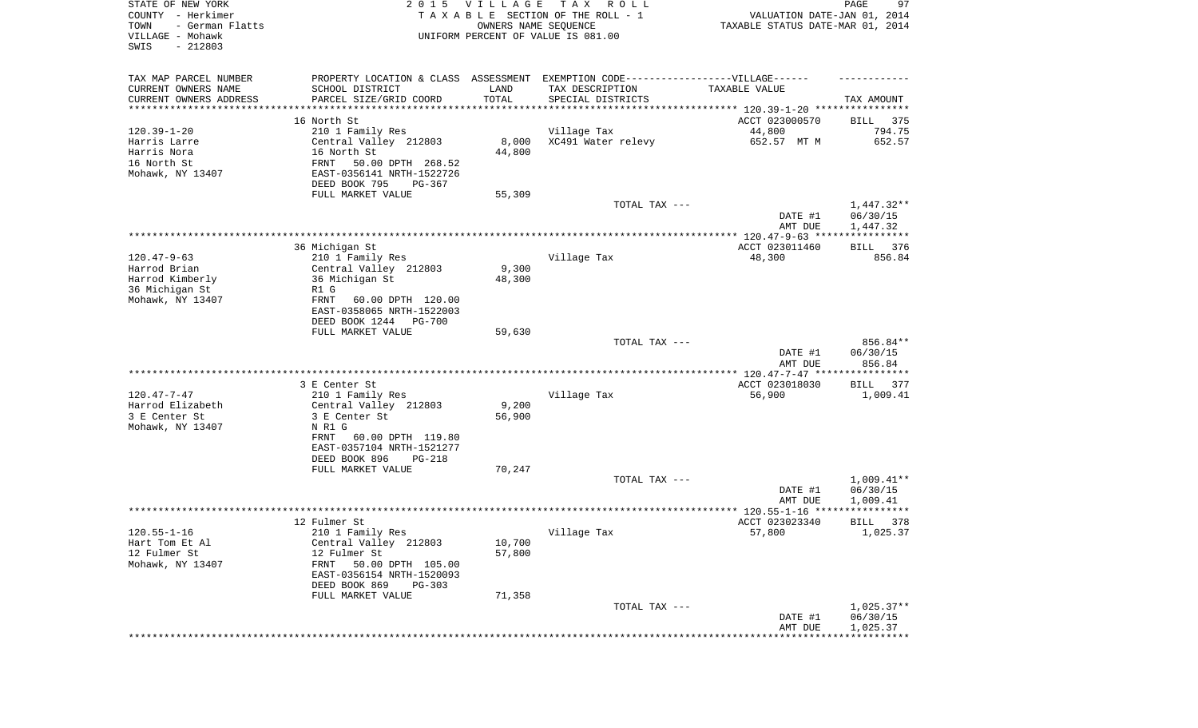| STATE OF NEW YORK<br>COUNTY - Herkimer<br>TOWN<br>- German Flatts<br>VILLAGE - Mohawk<br>SWIS<br>$-212803$ |                                                                                   | 2015 VILLAGE<br>OWNERS NAME SEQUENCE | T A X<br>R O L L<br>TAXABLE SECTION OF THE ROLL - 1<br>UNIFORM PERCENT OF VALUE IS 081.00 | VALUATION DATE-JAN 01, 2014<br>TAXABLE STATUS DATE-MAR 01, 2014 | PAGE<br>97               |
|------------------------------------------------------------------------------------------------------------|-----------------------------------------------------------------------------------|--------------------------------------|-------------------------------------------------------------------------------------------|-----------------------------------------------------------------|--------------------------|
| TAX MAP PARCEL NUMBER                                                                                      | PROPERTY LOCATION & CLASS ASSESSMENT EXEMPTION CODE-----------------VILLAGE------ |                                      |                                                                                           |                                                                 |                          |
| CURRENT OWNERS NAME                                                                                        | SCHOOL DISTRICT                                                                   | LAND                                 | TAX DESCRIPTION                                                                           | TAXABLE VALUE                                                   |                          |
| CURRENT OWNERS ADDRESS<br>*********************                                                            | PARCEL SIZE/GRID COORD<br>******************                                      | TOTAL                                | SPECIAL DISTRICTS                                                                         |                                                                 | TAX AMOUNT               |
|                                                                                                            | 16 North St                                                                       |                                      |                                                                                           | ACCT 023000570                                                  | 375<br>BILL              |
| $120.39 - 1 - 20$                                                                                          | 210 1 Family Res                                                                  |                                      | Village Tax                                                                               | 44,800                                                          | 794.75                   |
| Harris Larre                                                                                               | Central Valley 212803                                                             | 8,000                                | XC491 Water relevy                                                                        | 652.57 MT M                                                     | 652.57                   |
| Harris Nora                                                                                                | 16 North St                                                                       | 44,800                               |                                                                                           |                                                                 |                          |
| 16 North St<br>Mohawk, NY 13407                                                                            | FRNT<br>50.00 DPTH 268.52                                                         |                                      |                                                                                           |                                                                 |                          |
|                                                                                                            | EAST-0356141 NRTH-1522726<br>DEED BOOK 795<br>PG-367                              |                                      |                                                                                           |                                                                 |                          |
|                                                                                                            | FULL MARKET VALUE                                                                 | 55,309                               |                                                                                           |                                                                 |                          |
|                                                                                                            |                                                                                   |                                      | TOTAL TAX ---                                                                             |                                                                 | $1,447.32**$             |
|                                                                                                            |                                                                                   |                                      |                                                                                           | DATE #1                                                         | 06/30/15                 |
|                                                                                                            |                                                                                   |                                      |                                                                                           | AMT DUE                                                         | 1,447.32                 |
|                                                                                                            | 36 Michigan St                                                                    |                                      |                                                                                           | ACCT 023011460                                                  | 376<br>BILL              |
| $120.47 - 9 - 63$                                                                                          | 210 1 Family Res                                                                  |                                      | Village Tax                                                                               | 48,300                                                          | 856.84                   |
| Harrod Brian                                                                                               | Central Valley 212803                                                             | 9,300                                |                                                                                           |                                                                 |                          |
| Harrod Kimberly                                                                                            | 36 Michigan St                                                                    | 48,300                               |                                                                                           |                                                                 |                          |
| 36 Michigan St                                                                                             | R1 G                                                                              |                                      |                                                                                           |                                                                 |                          |
| Mohawk, NY 13407                                                                                           | FRNT<br>60.00 DPTH 120.00<br>EAST-0358065 NRTH-1522003                            |                                      |                                                                                           |                                                                 |                          |
|                                                                                                            | DEED BOOK 1244<br><b>PG-700</b>                                                   |                                      |                                                                                           |                                                                 |                          |
|                                                                                                            | FULL MARKET VALUE                                                                 | 59,630                               |                                                                                           |                                                                 |                          |
|                                                                                                            |                                                                                   |                                      | TOTAL TAX ---                                                                             |                                                                 | 856.84**                 |
|                                                                                                            |                                                                                   |                                      |                                                                                           | DATE #1<br>AMT DUE                                              | 06/30/15<br>856.84       |
|                                                                                                            |                                                                                   |                                      |                                                                                           | ************* 120.47-7-47 ****                                  | * * * * * * * * * * * *  |
|                                                                                                            | 3 E Center St                                                                     |                                      |                                                                                           | ACCT 023018030                                                  | <b>BILL</b><br>377       |
| $120.47 - 7 - 47$                                                                                          | 210 1 Family Res                                                                  |                                      | Village Tax                                                                               | 56,900                                                          | 1,009.41                 |
| Harrod Elizabeth                                                                                           | Central Valley 212803                                                             | 9,200                                |                                                                                           |                                                                 |                          |
| 3 E Center St<br>Mohawk, NY 13407                                                                          | 3 E Center St<br>N R1 G                                                           | 56,900                               |                                                                                           |                                                                 |                          |
|                                                                                                            | <b>FRNT</b><br>60.00 DPTH 119.80                                                  |                                      |                                                                                           |                                                                 |                          |
|                                                                                                            | EAST-0357104 NRTH-1521277                                                         |                                      |                                                                                           |                                                                 |                          |
|                                                                                                            | DEED BOOK 896<br>PG-218                                                           |                                      |                                                                                           |                                                                 |                          |
|                                                                                                            | FULL MARKET VALUE                                                                 | 70,247                               |                                                                                           |                                                                 |                          |
|                                                                                                            |                                                                                   |                                      | TOTAL TAX ---                                                                             | DATE #1                                                         | $1,009.41**$<br>06/30/15 |
|                                                                                                            |                                                                                   |                                      |                                                                                           | AMT DUE                                                         | 1,009.41                 |
|                                                                                                            |                                                                                   |                                      |                                                                                           |                                                                 | ***********              |
|                                                                                                            | 12 Fulmer St                                                                      |                                      |                                                                                           | ACCT 023023340                                                  | 378<br>BILL              |
| $120.55 - 1 - 16$                                                                                          | 210 1 Family Res                                                                  |                                      | Village Tax                                                                               | 57,800                                                          | 1,025.37                 |
| Hart Tom Et Al<br>12 Fulmer St                                                                             | Central Valley 212803<br>12 Fulmer St                                             | 10,700<br>57,800                     |                                                                                           |                                                                 |                          |
| Mohawk, NY 13407                                                                                           | FRNT<br>50.00 DPTH 105.00                                                         |                                      |                                                                                           |                                                                 |                          |
|                                                                                                            | EAST-0356154 NRTH-1520093                                                         |                                      |                                                                                           |                                                                 |                          |
|                                                                                                            | DEED BOOK 869<br>$PG-303$                                                         |                                      |                                                                                           |                                                                 |                          |
|                                                                                                            | FULL MARKET VALUE                                                                 | 71,358                               |                                                                                           |                                                                 |                          |
|                                                                                                            |                                                                                   |                                      | TOTAL TAX ---                                                                             | DATE #1                                                         | $1,025.37**$<br>06/30/15 |
|                                                                                                            |                                                                                   |                                      |                                                                                           | AMT DUE                                                         | 1,025.37                 |
|                                                                                                            |                                                                                   |                                      |                                                                                           |                                                                 |                          |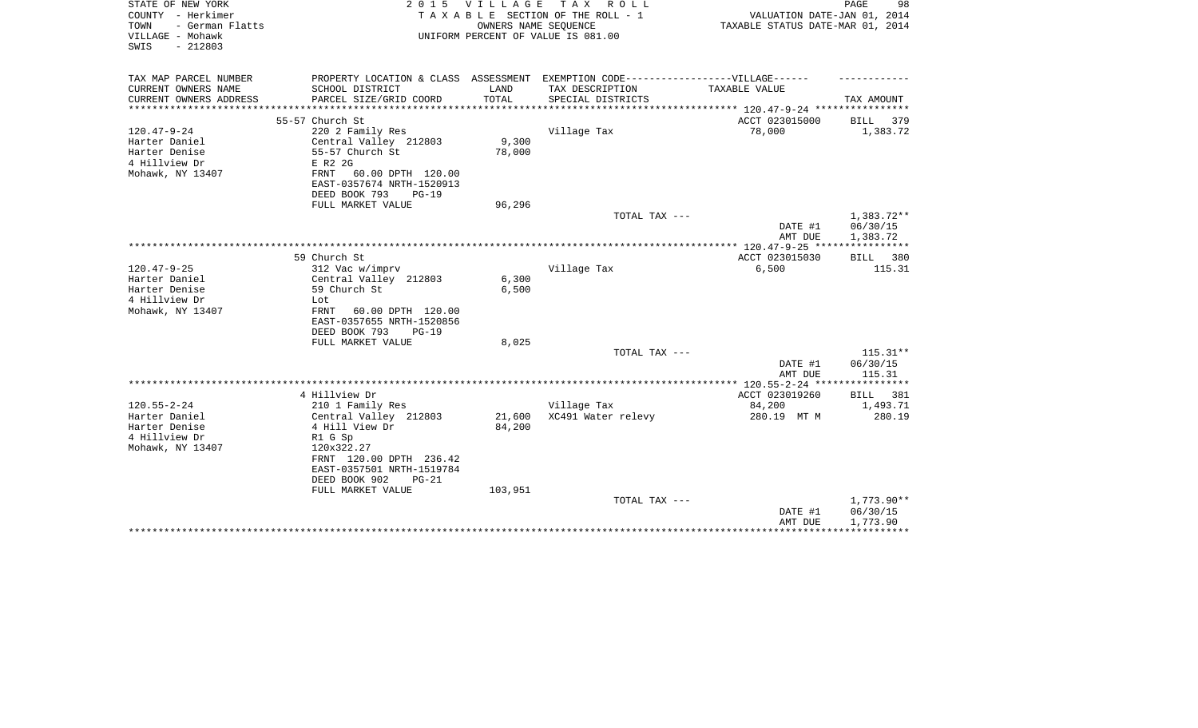| STATE OF NEW YORK<br>COUNTY - Herkimer<br>- German Flatts<br>TOWN<br>VILLAGE - Mohawk<br>$-212803$<br>SWIS |                                                                                  | 2015 VILLAGE                | TAX ROLL<br>TAXABLE SECTION OF THE ROLL - 1<br>OWNERS NAME SEQUENCE<br>UNIFORM PERCENT OF VALUE IS 081.00 | VALUATION DATE-JAN 01, 2014<br>TAXABLE STATUS DATE-MAR 01, 2014 | PAGE<br>98           |
|------------------------------------------------------------------------------------------------------------|----------------------------------------------------------------------------------|-----------------------------|-----------------------------------------------------------------------------------------------------------|-----------------------------------------------------------------|----------------------|
| TAX MAP PARCEL NUMBER                                                                                      | PROPERTY LOCATION & CLASS ASSESSMENT EXEMPTION CODE----------------VILLAGE------ |                             |                                                                                                           |                                                                 |                      |
| CURRENT OWNERS NAME<br>CURRENT OWNERS ADDRESS<br>******************                                        | SCHOOL DISTRICT<br>PARCEL SIZE/GRID COORD                                        | LAND<br>TOTAL<br>********** | TAX DESCRIPTION<br>SPECIAL DISTRICTS                                                                      | <b>TAXABLE VALUE</b>                                            | TAX AMOUNT           |
|                                                                                                            | 55-57 Church St                                                                  |                             |                                                                                                           | ACCT 023015000                                                  | BILL<br>379          |
| $120.47 - 9 - 24$                                                                                          | 220 2 Family Res                                                                 |                             | Village Tax                                                                                               | 78,000                                                          | 1,383.72             |
| Harter Daniel                                                                                              | Central Valley 212803                                                            | 9,300                       |                                                                                                           |                                                                 |                      |
| Harter Denise                                                                                              | 55-57 Church St                                                                  | 78,000                      |                                                                                                           |                                                                 |                      |
| 4 Hillview Dr                                                                                              | E R2 2G                                                                          |                             |                                                                                                           |                                                                 |                      |
| Mohawk, NY 13407                                                                                           | 60.00 DPTH 120.00<br>FRNT                                                        |                             |                                                                                                           |                                                                 |                      |
|                                                                                                            | EAST-0357674 NRTH-1520913                                                        |                             |                                                                                                           |                                                                 |                      |
|                                                                                                            | DEED BOOK 793<br>$PG-19$                                                         |                             |                                                                                                           |                                                                 |                      |
|                                                                                                            | FULL MARKET VALUE                                                                | 96,296                      |                                                                                                           |                                                                 |                      |
|                                                                                                            |                                                                                  |                             | TOTAL TAX ---                                                                                             |                                                                 | $1,383.72**$         |
|                                                                                                            |                                                                                  |                             |                                                                                                           | DATE #1                                                         | 06/30/15             |
|                                                                                                            |                                                                                  |                             |                                                                                                           | AMT DUE<br>*************** 120.47-9-25 *****************        | 1,383.72             |
|                                                                                                            | 59 Church St                                                                     |                             |                                                                                                           | ACCT 023015030                                                  | <b>BILL</b><br>380   |
| $120.47 - 9 - 25$                                                                                          | 312 Vac w/imprv                                                                  |                             | Village Tax                                                                                               | 6,500                                                           | 115.31               |
| Harter Daniel                                                                                              | Central Valley 212803                                                            | 6,300                       |                                                                                                           |                                                                 |                      |
| Harter Denise                                                                                              | 59 Church St                                                                     | 6,500                       |                                                                                                           |                                                                 |                      |
| 4 Hillview Dr                                                                                              | Lot                                                                              |                             |                                                                                                           |                                                                 |                      |
| Mohawk, NY 13407                                                                                           | FRNT<br>60.00 DPTH 120.00                                                        |                             |                                                                                                           |                                                                 |                      |
|                                                                                                            | EAST-0357655 NRTH-1520856                                                        |                             |                                                                                                           |                                                                 |                      |
|                                                                                                            | DEED BOOK 793<br>$PG-19$                                                         |                             |                                                                                                           |                                                                 |                      |
|                                                                                                            | FULL MARKET VALUE                                                                | 8,025                       |                                                                                                           |                                                                 |                      |
|                                                                                                            |                                                                                  |                             | TOTAL TAX ---                                                                                             |                                                                 | $115.31**$           |
|                                                                                                            |                                                                                  |                             |                                                                                                           | DATE #1                                                         | 06/30/15             |
|                                                                                                            |                                                                                  |                             |                                                                                                           | AMT DUE                                                         | 115.31               |
|                                                                                                            | 4 Hillview Dr                                                                    |                             |                                                                                                           | ACCT 023019260                                                  | BILL 381             |
| $120.55 - 2 - 24$                                                                                          | 210 1 Family Res                                                                 |                             | Village Tax                                                                                               | 84,200                                                          | 1,493.71             |
| Harter Daniel                                                                                              | Central Valley 212803                                                            | 21,600                      | XC491 Water relevy                                                                                        | 280.19 MT M                                                     | 280.19               |
| Harter Denise                                                                                              | 4 Hill View Dr                                                                   | 84,200                      |                                                                                                           |                                                                 |                      |
| 4 Hillview Dr                                                                                              | R1 G Sp                                                                          |                             |                                                                                                           |                                                                 |                      |
| Mohawk, NY 13407                                                                                           | 120x322.27                                                                       |                             |                                                                                                           |                                                                 |                      |
|                                                                                                            | FRNT 120.00 DPTH 236.42                                                          |                             |                                                                                                           |                                                                 |                      |
|                                                                                                            | EAST-0357501 NRTH-1519784                                                        |                             |                                                                                                           |                                                                 |                      |
|                                                                                                            | DEED BOOK 902<br>$PG-21$                                                         |                             |                                                                                                           |                                                                 |                      |
|                                                                                                            | FULL MARKET VALUE                                                                | 103,951                     |                                                                                                           |                                                                 |                      |
|                                                                                                            |                                                                                  |                             | TOTAL TAX ---                                                                                             |                                                                 | 1,773.90**           |
|                                                                                                            |                                                                                  |                             |                                                                                                           | DATE #1<br>AMT DUE                                              | 06/30/15<br>1,773.90 |
|                                                                                                            |                                                                                  |                             |                                                                                                           |                                                                 |                      |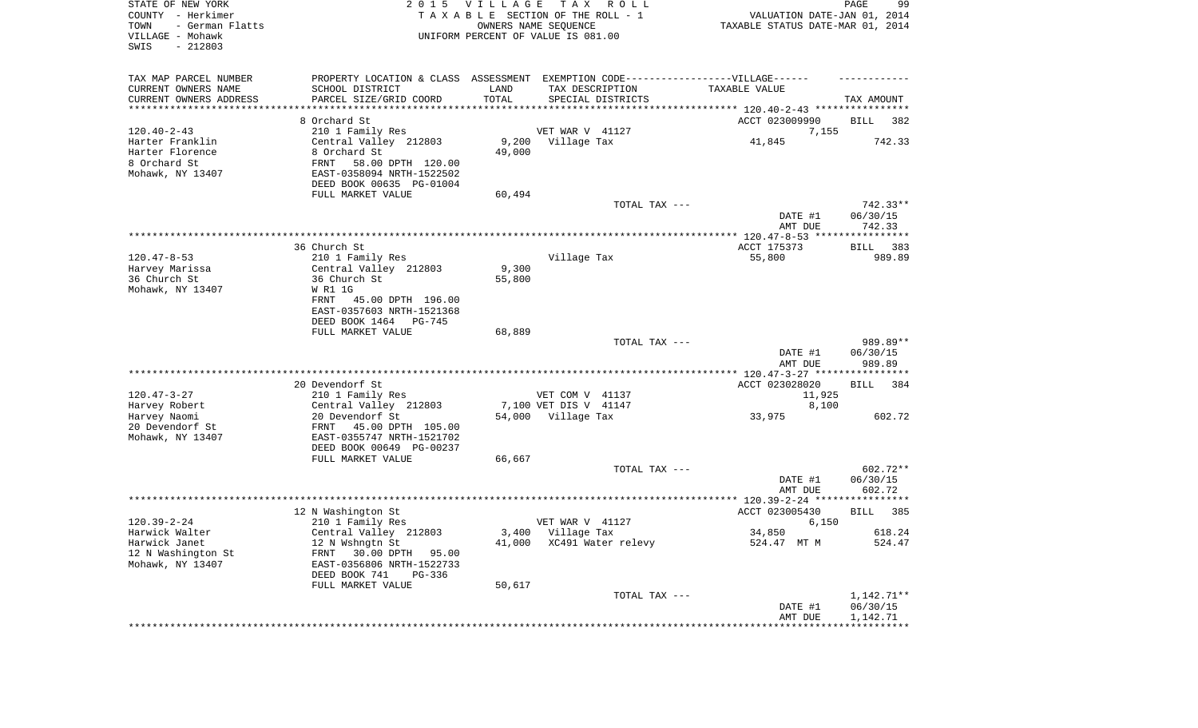| STATE OF NEW YORK<br>COUNTY - Herkimer<br>TOWN<br>- German Flatts<br>VILLAGE - Mohawk<br>SWIS<br>$-212803$ | 2 0 1 5                                                                           | VILLAGE | T A X<br>R O L L<br>TAXABLE SECTION OF THE ROLL - 1<br>OWNERS NAME SEQUENCE<br>UNIFORM PERCENT OF VALUE IS 081.00 | VALUATION DATE-JAN 01, 2014<br>TAXABLE STATUS DATE-MAR 01, 2014 | PAGE<br>99             |
|------------------------------------------------------------------------------------------------------------|-----------------------------------------------------------------------------------|---------|-------------------------------------------------------------------------------------------------------------------|-----------------------------------------------------------------|------------------------|
| TAX MAP PARCEL NUMBER                                                                                      | PROPERTY LOCATION & CLASS ASSESSMENT EXEMPTION CODE-----------------VILLAGE------ |         |                                                                                                                   |                                                                 |                        |
| CURRENT OWNERS NAME                                                                                        | SCHOOL DISTRICT                                                                   | LAND    | TAX DESCRIPTION                                                                                                   | TAXABLE VALUE                                                   |                        |
| CURRENT OWNERS ADDRESS<br>********************                                                             | PARCEL SIZE/GRID COORD                                                            | TOTAL   | SPECIAL DISTRICTS                                                                                                 |                                                                 | TAX AMOUNT             |
|                                                                                                            |                                                                                   |         |                                                                                                                   |                                                                 |                        |
| $120.40 - 2 - 43$                                                                                          | 8 Orchard St<br>210 1 Family Res                                                  |         | VET WAR V 41127                                                                                                   | ACCT 023009990<br>7,155                                         | 382<br>BILL            |
| Harter Franklin                                                                                            | Central Valley 212803                                                             | 9,200   | Village Tax                                                                                                       | 41,845                                                          | 742.33                 |
| Harter Florence                                                                                            | 8 Orchard St                                                                      | 49,000  |                                                                                                                   |                                                                 |                        |
| 8 Orchard St                                                                                               | FRNT<br>58.00 DPTH 120.00                                                         |         |                                                                                                                   |                                                                 |                        |
| Mohawk, NY 13407                                                                                           | EAST-0358094 NRTH-1522502                                                         |         |                                                                                                                   |                                                                 |                        |
|                                                                                                            | DEED BOOK 00635 PG-01004                                                          |         |                                                                                                                   |                                                                 |                        |
|                                                                                                            | FULL MARKET VALUE                                                                 | 60,494  |                                                                                                                   |                                                                 |                        |
|                                                                                                            |                                                                                   |         | TOTAL TAX ---                                                                                                     |                                                                 | $742.33**$             |
|                                                                                                            |                                                                                   |         |                                                                                                                   | DATE #1                                                         | 06/30/15               |
|                                                                                                            |                                                                                   |         |                                                                                                                   | AMT DUE                                                         | 742.33                 |
|                                                                                                            | 36 Church St                                                                      |         |                                                                                                                   | ACCT 175373                                                     | 383<br>BILL            |
| $120.47 - 8 - 53$                                                                                          | 210 1 Family Res                                                                  |         | Village Tax                                                                                                       | 55,800                                                          | 989.89                 |
| Harvey Marissa                                                                                             | Central Valley 212803                                                             | 9,300   |                                                                                                                   |                                                                 |                        |
| 36 Church St                                                                                               | 36 Church St                                                                      | 55,800  |                                                                                                                   |                                                                 |                        |
| Mohawk, NY 13407                                                                                           | W R1 1G                                                                           |         |                                                                                                                   |                                                                 |                        |
|                                                                                                            | FRNT<br>45.00 DPTH 196.00                                                         |         |                                                                                                                   |                                                                 |                        |
|                                                                                                            | EAST-0357603 NRTH-1521368                                                         |         |                                                                                                                   |                                                                 |                        |
|                                                                                                            | DEED BOOK 1464<br>PG-745<br>FULL MARKET VALUE                                     | 68,889  |                                                                                                                   |                                                                 |                        |
|                                                                                                            |                                                                                   |         | TOTAL TAX ---                                                                                                     |                                                                 | 989.89**               |
|                                                                                                            |                                                                                   |         |                                                                                                                   | DATE #1<br>AMT DUE                                              | 06/30/15<br>989.89     |
|                                                                                                            |                                                                                   |         |                                                                                                                   | ************** 120.47-3-27 *****************                    |                        |
|                                                                                                            | 20 Devendorf St                                                                   |         |                                                                                                                   | ACCT 023028020                                                  | <b>BILL</b><br>384     |
| $120.47 - 3 - 27$                                                                                          | 210 1 Family Res                                                                  |         | VET COM V 41137                                                                                                   | 11,925                                                          |                        |
| Harvey Robert                                                                                              | Central Valley 212803                                                             |         | 7,100 VET DIS V 41147                                                                                             | 8,100                                                           |                        |
| Harvey Naomi<br>20 Devendorf St                                                                            | 20 Devendorf St<br>FRNT<br>45.00 DPTH 105.00                                      |         | 54,000 Village Tax                                                                                                | 33,975                                                          | 602.72                 |
| Mohawk, NY 13407                                                                                           | EAST-0355747 NRTH-1521702                                                         |         |                                                                                                                   |                                                                 |                        |
|                                                                                                            | DEED BOOK 00649 PG-00237                                                          |         |                                                                                                                   |                                                                 |                        |
|                                                                                                            | FULL MARKET VALUE                                                                 | 66,667  |                                                                                                                   |                                                                 |                        |
|                                                                                                            |                                                                                   |         | TOTAL TAX ---                                                                                                     |                                                                 | 602.72**               |
|                                                                                                            |                                                                                   |         |                                                                                                                   | DATE #1                                                         | 06/30/15               |
|                                                                                                            |                                                                                   |         |                                                                                                                   | AMT DUE                                                         | 602.72                 |
|                                                                                                            |                                                                                   |         |                                                                                                                   |                                                                 |                        |
| $120.39 - 2 - 24$                                                                                          | 12 N Washington St<br>210 1 Family Res                                            |         | VET WAR V 41127                                                                                                   | ACCT 023005430<br>6,150                                         | 385<br>BILL            |
| Harwick Walter                                                                                             | Central Valley 212803                                                             |         | 3,400 Village Tax                                                                                                 | 34,850                                                          | 618.24                 |
| Harwick Janet                                                                                              | 12 N Wshngtn St                                                                   |         | 41,000 XC491 Water relevy                                                                                         | 524.47 MT M                                                     | 524.47                 |
| 12 N Washington St                                                                                         | 30.00 DPTH 95.00<br>FRNT                                                          |         |                                                                                                                   |                                                                 |                        |
| Mohawk, NY 13407                                                                                           | EAST-0356806 NRTH-1522733                                                         |         |                                                                                                                   |                                                                 |                        |
|                                                                                                            | DEED BOOK 741<br>PG-336                                                           |         |                                                                                                                   |                                                                 |                        |
|                                                                                                            | FULL MARKET VALUE                                                                 | 50,617  |                                                                                                                   |                                                                 |                        |
|                                                                                                            |                                                                                   |         | TOTAL TAX ---                                                                                                     | DATE #1                                                         | 1,142.71**<br>06/30/15 |
|                                                                                                            |                                                                                   |         |                                                                                                                   | AMT DUE                                                         | 1,142.71               |
|                                                                                                            |                                                                                   |         |                                                                                                                   |                                                                 |                        |
|                                                                                                            |                                                                                   |         |                                                                                                                   |                                                                 |                        |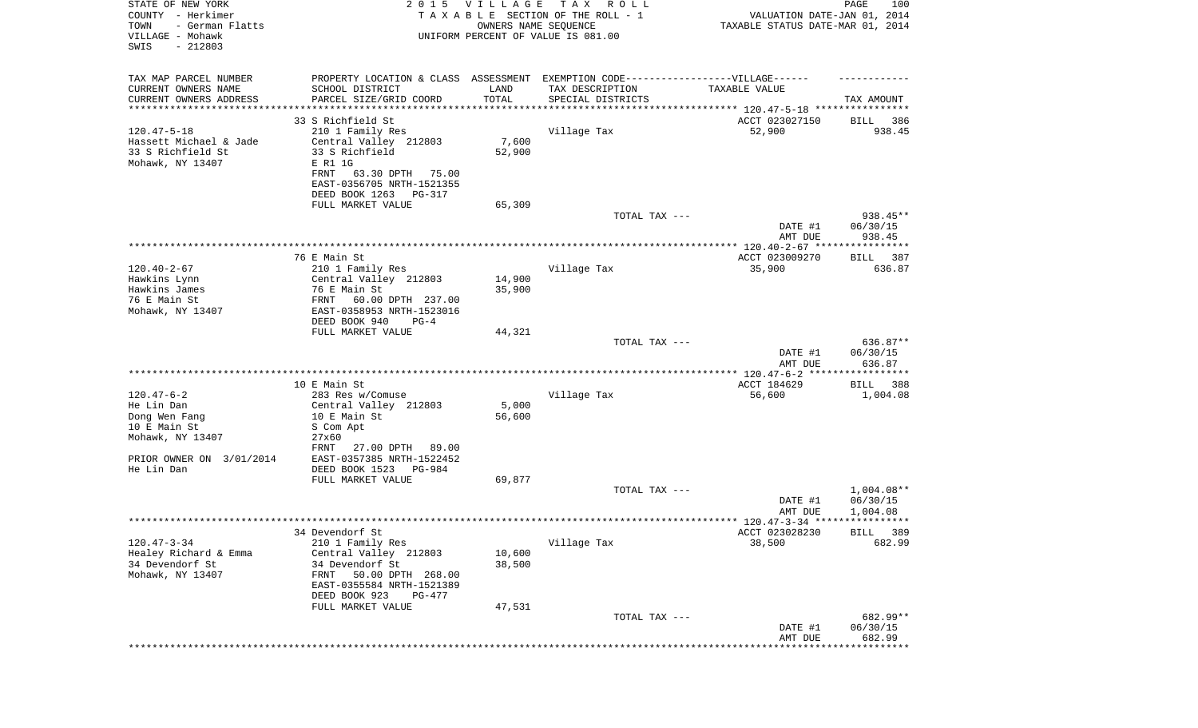| STATE OF NEW YORK<br>COUNTY - Herkimer<br>- German Flatts<br>TOWN<br>VILLAGE - Mohawk<br>SWIS<br>$-212803$ | 2 0 1 5                                                  | <b>VILLAGE</b><br>OWNERS NAME SEQUENCE | T A X<br>R O L L<br>TAXABLE SECTION OF THE ROLL - 1<br>UNIFORM PERCENT OF VALUE IS 081.00 | VALUATION DATE-JAN 01, 2014<br>TAXABLE STATUS DATE-MAR 01, 2014 | PAGE<br>100                    |
|------------------------------------------------------------------------------------------------------------|----------------------------------------------------------|----------------------------------------|-------------------------------------------------------------------------------------------|-----------------------------------------------------------------|--------------------------------|
| TAX MAP PARCEL NUMBER                                                                                      | PROPERTY LOCATION & CLASS ASSESSMENT                     |                                        | EXEMPTION CODE-----------------VILLAGE------                                              |                                                                 |                                |
| CURRENT OWNERS NAME<br>CURRENT OWNERS ADDRESS                                                              | SCHOOL DISTRICT<br>PARCEL SIZE/GRID COORD                | LAND<br>TOTAL                          | TAX DESCRIPTION                                                                           | TAXABLE VALUE                                                   |                                |
| *********************                                                                                      |                                                          | ***********                            | SPECIAL DISTRICTS                                                                         | ********************************** 120.47-5-18 **************** | TAX AMOUNT                     |
|                                                                                                            | 33 S Richfield St                                        |                                        |                                                                                           | ACCT 023027150                                                  | 386<br>BILL                    |
| $120.47 - 5 - 18$                                                                                          | 210 1 Family Res                                         |                                        | Village Tax                                                                               | 52,900                                                          | 938.45                         |
| Hassett Michael & Jade                                                                                     | Central Valley 212803                                    | 7,600                                  |                                                                                           |                                                                 |                                |
| 33 S Richfield St<br>Mohawk, NY 13407                                                                      | 33 S Richfield<br>E R1 1G                                | 52,900                                 |                                                                                           |                                                                 |                                |
|                                                                                                            | 63.30 DPTH<br>FRNT<br>75.00                              |                                        |                                                                                           |                                                                 |                                |
|                                                                                                            | EAST-0356705 NRTH-1521355                                |                                        |                                                                                           |                                                                 |                                |
|                                                                                                            | DEED BOOK 1263<br>PG-317                                 |                                        |                                                                                           |                                                                 |                                |
|                                                                                                            | FULL MARKET VALUE                                        | 65,309                                 | TOTAL TAX ---                                                                             |                                                                 |                                |
|                                                                                                            |                                                          |                                        |                                                                                           | DATE #1                                                         | 938.45**<br>06/30/15           |
|                                                                                                            |                                                          |                                        |                                                                                           | AMT DUE                                                         | 938.45                         |
|                                                                                                            |                                                          |                                        |                                                                                           |                                                                 |                                |
|                                                                                                            | 76 E Main St                                             |                                        |                                                                                           | ACCT 023009270                                                  | BILL 387                       |
| $120.40 - 2 - 67$<br>Hawkins Lynn                                                                          | 210 1 Family Res<br>Central Valley 212803                | 14,900                                 | Village Tax                                                                               | 35,900                                                          | 636.87                         |
| Hawkins James                                                                                              | 76 E Main St                                             | 35,900                                 |                                                                                           |                                                                 |                                |
| 76 E Main St                                                                                               | 60.00 DPTH 237.00<br>FRNT                                |                                        |                                                                                           |                                                                 |                                |
| Mohawk, NY 13407                                                                                           | EAST-0358953 NRTH-1523016                                |                                        |                                                                                           |                                                                 |                                |
|                                                                                                            | DEED BOOK 940<br>$PG-4$                                  |                                        |                                                                                           |                                                                 |                                |
|                                                                                                            | FULL MARKET VALUE                                        | 44,321                                 | TOTAL TAX ---                                                                             |                                                                 | 636.87**                       |
|                                                                                                            |                                                          |                                        |                                                                                           | DATE #1                                                         | 06/30/15                       |
|                                                                                                            |                                                          |                                        |                                                                                           | AMT DUE                                                         | 636.87                         |
|                                                                                                            |                                                          |                                        |                                                                                           | ************** 120.47-6-2 ******************                    |                                |
| $120.47 - 6 - 2$                                                                                           | 10 E Main St<br>283 Res w/Comuse                         |                                        | Village Tax                                                                               | ACCT 184629<br>56,600                                           | <b>BILL</b><br>388<br>1,004.08 |
| He Lin Dan                                                                                                 | Central Valley 212803                                    | 5,000                                  |                                                                                           |                                                                 |                                |
| Dong Wen Fang                                                                                              | 10 E Main St                                             | 56,600                                 |                                                                                           |                                                                 |                                |
| 10 E Main St                                                                                               | S Com Apt                                                |                                        |                                                                                           |                                                                 |                                |
| Mohawk, NY 13407                                                                                           | 27x60                                                    |                                        |                                                                                           |                                                                 |                                |
| PRIOR OWNER ON 3/01/2014                                                                                   | 27.00 DPTH<br>FRNT<br>89.00<br>EAST-0357385 NRTH-1522452 |                                        |                                                                                           |                                                                 |                                |
| He Lin Dan                                                                                                 | DEED BOOK 1523<br>PG-984                                 |                                        |                                                                                           |                                                                 |                                |
|                                                                                                            | FULL MARKET VALUE                                        | 69,877                                 |                                                                                           |                                                                 |                                |
|                                                                                                            |                                                          |                                        | TOTAL TAX ---                                                                             |                                                                 | 1,004.08**                     |
|                                                                                                            |                                                          |                                        |                                                                                           | DATE #1<br>AMT DUE                                              | 06/30/15<br>1,004.08           |
|                                                                                                            |                                                          |                                        |                                                                                           |                                                                 |                                |
|                                                                                                            | 34 Devendorf St                                          |                                        |                                                                                           | ACCT 023028230                                                  | BILL 389                       |
| $120.47 - 3 - 34$                                                                                          | 210 1 Family Res                                         |                                        | Village Tax                                                                               | 38,500                                                          | 682.99                         |
| Healey Richard & Emma                                                                                      | Central Valley 212803                                    | 10,600                                 |                                                                                           |                                                                 |                                |
| 34 Devendorf St<br>Mohawk, NY 13407                                                                        | 34 Devendorf St<br>50.00 DPTH 268.00<br>FRNT             | 38,500                                 |                                                                                           |                                                                 |                                |
|                                                                                                            | EAST-0355584 NRTH-1521389                                |                                        |                                                                                           |                                                                 |                                |
|                                                                                                            | DEED BOOK 923<br>PG-477                                  |                                        |                                                                                           |                                                                 |                                |
|                                                                                                            | FULL MARKET VALUE                                        | 47,531                                 |                                                                                           |                                                                 |                                |
|                                                                                                            |                                                          |                                        | TOTAL TAX ---                                                                             |                                                                 | 682.99**                       |
|                                                                                                            |                                                          |                                        |                                                                                           | DATE #1<br>AMT DUE                                              | 06/30/15<br>682.99             |
|                                                                                                            |                                                          |                                        |                                                                                           |                                                                 | ********                       |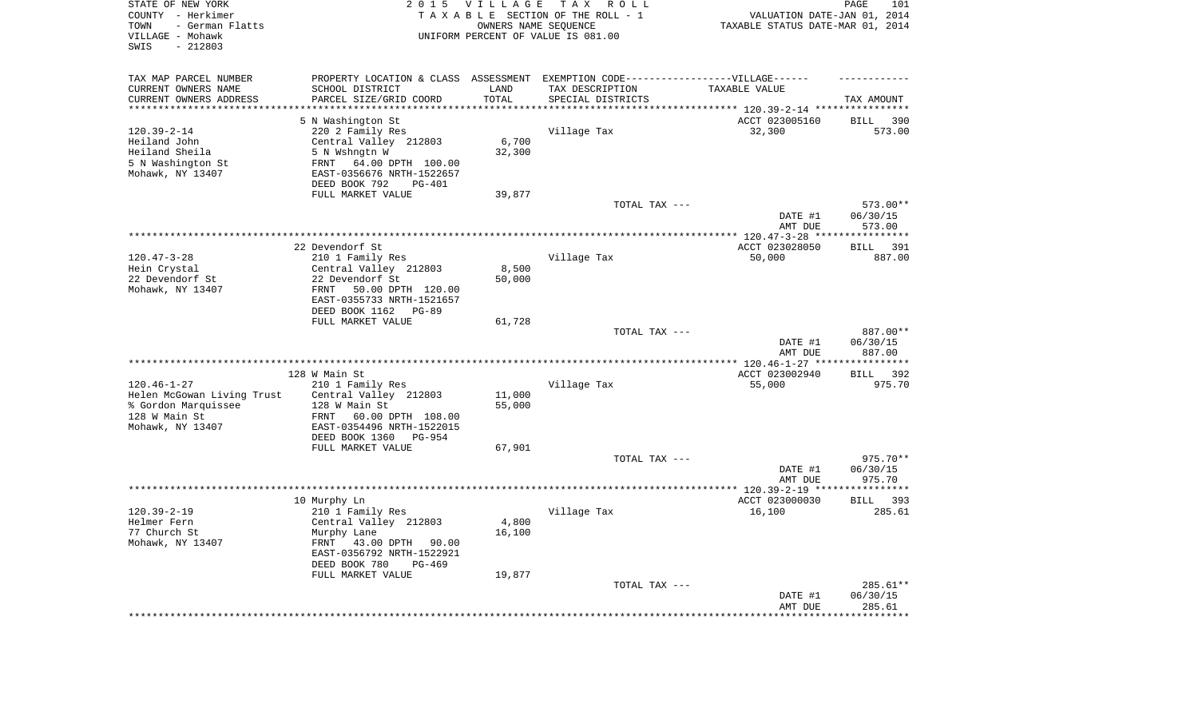| STATE OF NEW YORK<br>COUNTY - Herkimer<br>- German Flatts<br>TOWN<br>VILLAGE - Mohawk<br>$-212803$<br>SWIS | 2 0 1 5                                                                           | <b>VILLAGE</b><br>OWNERS NAME SEQUENCE | T A X<br>R O L L<br>TAXABLE SECTION OF THE ROLL - 1<br>UNIFORM PERCENT OF VALUE IS 081.00 | VALUATION DATE-JAN 01, 2014<br>TAXABLE STATUS DATE-MAR 01, 2014 | PAGE<br>101          |
|------------------------------------------------------------------------------------------------------------|-----------------------------------------------------------------------------------|----------------------------------------|-------------------------------------------------------------------------------------------|-----------------------------------------------------------------|----------------------|
| TAX MAP PARCEL NUMBER                                                                                      | PROPERTY LOCATION & CLASS ASSESSMENT EXEMPTION CODE-----------------VILLAGE------ |                                        |                                                                                           |                                                                 |                      |
| CURRENT OWNERS NAME<br>CURRENT OWNERS ADDRESS                                                              | SCHOOL DISTRICT<br>PARCEL SIZE/GRID COORD                                         | LAND<br>TOTAL                          | TAX DESCRIPTION<br>SPECIAL DISTRICTS                                                      | TAXABLE VALUE                                                   | TAX AMOUNT           |
| ********************                                                                                       | ********************                                                              | ********                               |                                                                                           |                                                                 |                      |
|                                                                                                            | 5 N Washington St                                                                 |                                        |                                                                                           | ACCT 023005160                                                  | <b>BILL</b><br>390   |
| $120.39 - 2 - 14$                                                                                          | 220 2 Family Res                                                                  |                                        | Village Tax                                                                               | 32,300                                                          | 573.00               |
| Heiland John                                                                                               | Central Valley 212803                                                             | 6,700                                  |                                                                                           |                                                                 |                      |
| Heiland Sheila<br>5 N Washington St                                                                        | 5 N Wshngtn W<br>64.00 DPTH 100.00<br>FRNT                                        | 32,300                                 |                                                                                           |                                                                 |                      |
| Mohawk, NY 13407                                                                                           | EAST-0356676 NRTH-1522657<br>DEED BOOK 792<br><b>PG-401</b>                       |                                        |                                                                                           |                                                                 |                      |
|                                                                                                            | FULL MARKET VALUE                                                                 | 39,877                                 |                                                                                           |                                                                 |                      |
|                                                                                                            |                                                                                   |                                        | TOTAL TAX ---                                                                             |                                                                 | 573.00**             |
|                                                                                                            |                                                                                   |                                        |                                                                                           | DATE #1<br>AMT DUE                                              | 06/30/15<br>573.00   |
|                                                                                                            |                                                                                   |                                        |                                                                                           | ******** 120.47-3-28 **                                         | *******              |
|                                                                                                            | 22 Devendorf St                                                                   |                                        |                                                                                           | ACCT 023028050                                                  | 391<br><b>BILL</b>   |
| $120.47 - 3 - 28$<br>Hein Crystal                                                                          | 210 1 Family Res<br>Central Valley 212803                                         | 8,500                                  | Village Tax                                                                               | 50,000                                                          | 887.00               |
| 22 Devendorf St                                                                                            | 22 Devendorf St                                                                   | 50,000                                 |                                                                                           |                                                                 |                      |
| Mohawk, NY 13407                                                                                           | FRNT<br>50.00 DPTH 120.00                                                         |                                        |                                                                                           |                                                                 |                      |
|                                                                                                            | EAST-0355733 NRTH-1521657                                                         |                                        |                                                                                           |                                                                 |                      |
|                                                                                                            | DEED BOOK 1162<br>$PG-89$                                                         |                                        |                                                                                           |                                                                 |                      |
|                                                                                                            | FULL MARKET VALUE                                                                 | 61,728                                 | TOTAL TAX ---                                                                             |                                                                 | 887.00**             |
|                                                                                                            |                                                                                   |                                        |                                                                                           | DATE #1<br>AMT DUE                                              | 06/30/15<br>887.00   |
|                                                                                                            |                                                                                   |                                        |                                                                                           | ** 120.46-1-27 **                                               | *********            |
|                                                                                                            | 128 W Main St                                                                     |                                        |                                                                                           | ACCT 023002940                                                  | 392<br><b>BILL</b>   |
| $120.46 - 1 - 27$                                                                                          | 210 1 Family Res                                                                  |                                        | Village Tax                                                                               | 55,000                                                          | 975.70               |
| Helen McGowan Living Trust<br>% Gordon Marquissee                                                          | Central Valley 212803<br>128 W Main St                                            | 11,000<br>55,000                       |                                                                                           |                                                                 |                      |
| 128 W Main St                                                                                              | FRNT<br>60.00 DPTH 108.00                                                         |                                        |                                                                                           |                                                                 |                      |
| Mohawk, NY 13407                                                                                           | EAST-0354496 NRTH-1522015                                                         |                                        |                                                                                           |                                                                 |                      |
|                                                                                                            | DEED BOOK 1360<br><b>PG-954</b>                                                   |                                        |                                                                                           |                                                                 |                      |
|                                                                                                            | FULL MARKET VALUE                                                                 | 67,901                                 |                                                                                           |                                                                 |                      |
|                                                                                                            |                                                                                   |                                        | TOTAL TAX ---                                                                             |                                                                 | 975.70**             |
|                                                                                                            |                                                                                   |                                        |                                                                                           | DATE #1<br>AMT DUE                                              | 06/30/15<br>975.70   |
|                                                                                                            |                                                                                   |                                        |                                                                                           | ************ 120.39-2-19 ***                                    | * * * * * * * * *    |
|                                                                                                            | 10 Murphy Ln                                                                      |                                        |                                                                                           | ACCT 023000030                                                  | <b>BILL</b><br>393   |
| $120.39 - 2 - 19$                                                                                          | 210 1 Family Res                                                                  |                                        | Village Tax                                                                               | 16,100                                                          | 285.61               |
| Helmer Fern<br>77 Church St                                                                                | Central Valley 212803                                                             | 4,800                                  |                                                                                           |                                                                 |                      |
| Mohawk, NY 13407                                                                                           | Murphy Lane<br>FRNT<br>43.00 DPTH<br>90.00                                        | 16,100                                 |                                                                                           |                                                                 |                      |
|                                                                                                            | EAST-0356792 NRTH-1522921                                                         |                                        |                                                                                           |                                                                 |                      |
|                                                                                                            | DEED BOOK 780<br>$PG-469$                                                         |                                        |                                                                                           |                                                                 |                      |
|                                                                                                            | FULL MARKET VALUE                                                                 | 19,877                                 |                                                                                           |                                                                 |                      |
|                                                                                                            |                                                                                   |                                        | TOTAL TAX ---                                                                             | DATE #1                                                         | 285.61**<br>06/30/15 |
|                                                                                                            |                                                                                   |                                        |                                                                                           | AMT DUE                                                         | 285.61               |
|                                                                                                            |                                                                                   |                                        |                                                                                           |                                                                 | ********             |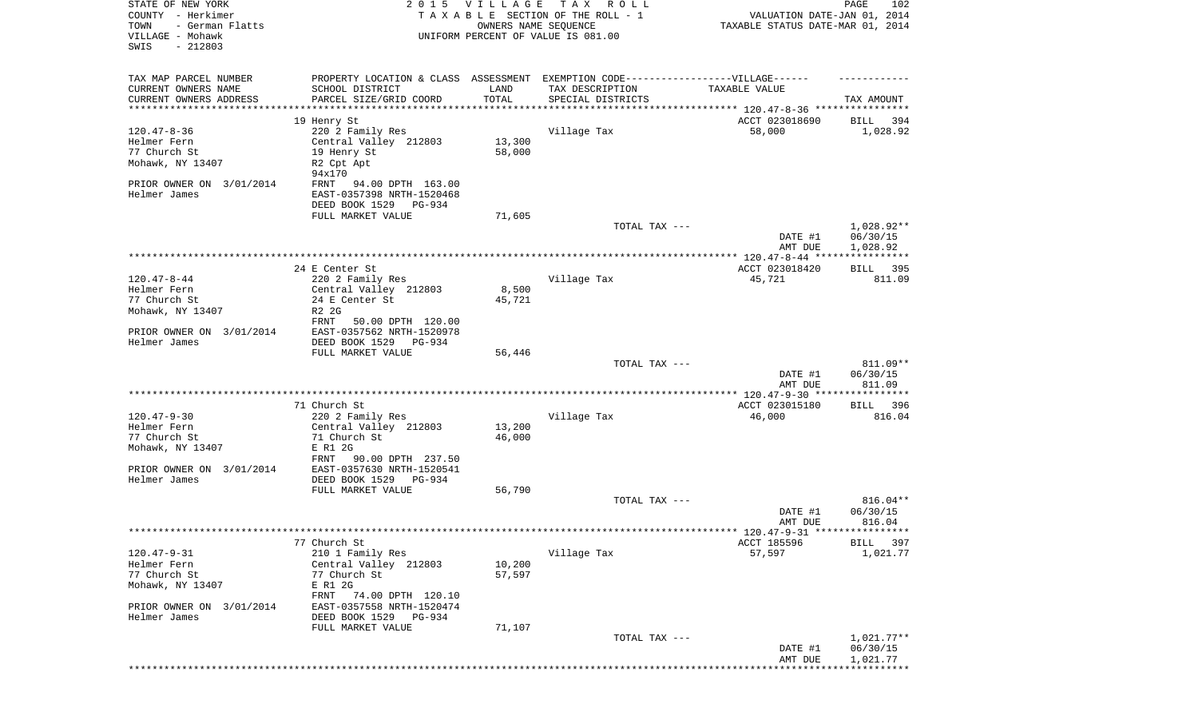| TAX MAP PARCEL NUMBER<br>PROPERTY LOCATION & CLASS ASSESSMENT EXEMPTION CODE----------------VILLAGE------<br>CURRENT OWNERS NAME<br>SCHOOL DISTRICT<br>LAND<br>TAX DESCRIPTION<br>TAXABLE VALUE<br>TOTAL<br>CURRENT OWNERS ADDRESS<br>PARCEL SIZE/GRID COORD<br>SPECIAL DISTRICTS<br>TAX AMOUNT<br>**********************<br>ACCT 023018690<br>19 Henry St<br>394<br>BILL<br>$120.47 - 8 - 36$<br>220 2 Family Res<br>Village Tax<br>58,000<br>1,028.92<br>Helmer Fern<br>Central Valley 212803<br>13,300<br>77 Church St<br>58,000<br>19 Henry St<br>Mohawk, NY 13407<br>R2 Cpt Apt<br>94x170<br>PRIOR OWNER ON 3/01/2014<br>94.00 DPTH 163.00<br>FRNT<br>Helmer James<br>EAST-0357398 NRTH-1520468<br>DEED BOOK 1529 PG-934<br>FULL MARKET VALUE<br>71,605<br>1,028.92**<br>TOTAL TAX ---<br>06/30/15<br>DATE #1<br>1,028.92<br>AMT DUE<br>24 E Center St<br>ACCT 023018420<br>BILL 395<br>Village Tax<br>$120.47 - 8 - 44$<br>220 2 Family Res<br>45,721<br>811.09<br>Helmer Fern<br>8,500<br>Central Valley 212803<br>77 Church St<br>24 E Center St<br>45,721<br>Mohawk, NY 13407<br>R2 2G<br>FRNT<br>50.00 DPTH 120.00<br>EAST-0357562 NRTH-1520978<br>PRIOR OWNER ON 3/01/2014<br>Helmer James<br>DEED BOOK 1529 PG-934<br>FULL MARKET VALUE<br>56,446<br>811.09**<br>TOTAL TAX ---<br>06/30/15<br>DATE #1<br>AMT DUE<br>811.09<br>71 Church St<br>ACCT 023015180<br>396<br>BILL<br>$120.47 - 9 - 30$<br>Village Tax<br>220 2 Family Res<br>46,000<br>816.04<br>Central Valley 212803<br>13,200<br>Helmer Fern<br>77 Church St<br>71 Church St<br>46,000<br>Mohawk, NY 13407<br>E R1 2G<br>FRNT<br>90.00 DPTH 237.50<br>PRIOR OWNER ON 3/01/2014<br>EAST-0357630 NRTH-1520541<br>Helmer James<br>DEED BOOK 1529<br>PG-934<br>FULL MARKET VALUE<br>56,790<br>816.04**<br>TOTAL TAX ---<br>06/30/15<br>DATE #1<br>816.04<br>AMT DUE<br>77 Church St<br>ACCT 185596<br><b>BILL</b><br>397<br>$120.47 - 9 - 31$<br>57,597<br>210 1 Family Res<br>Village Tax<br>1,021.77<br>Helmer Fern<br>Central Valley 212803<br>10,200<br>77 Church St<br>77 Church St<br>57,597<br>Mohawk, NY 13407<br>E R1 2G<br>74.00 DPTH 120.10<br>FRNT<br>PRIOR OWNER ON 3/01/2014<br>EAST-0357558 NRTH-1520474<br>Helmer James<br>DEED BOOK 1529<br>PG-934<br>FULL MARKET VALUE<br>71,107<br>$1,021.77**$<br>TOTAL TAX ---<br>06/30/15<br>DATE #1<br>1,021.77<br>AMT DUE | STATE OF NEW YORK<br>COUNTY - Herkimer<br>TOWN<br>- German Flatts<br>VILLAGE - Mohawk<br>SWIS<br>$-212803$ | 2015 VILLAGE<br>OWNERS NAME SEQUENCE | TAX ROLL<br>TAXABLE SECTION OF THE ROLL - 1<br>UNIFORM PERCENT OF VALUE IS 081.00 | VALUATION DATE-JAN 01, 2014<br>TAXABLE STATUS DATE-MAR 01, 2014 | PAGE<br>102 |
|--------------------------------------------------------------------------------------------------------------------------------------------------------------------------------------------------------------------------------------------------------------------------------------------------------------------------------------------------------------------------------------------------------------------------------------------------------------------------------------------------------------------------------------------------------------------------------------------------------------------------------------------------------------------------------------------------------------------------------------------------------------------------------------------------------------------------------------------------------------------------------------------------------------------------------------------------------------------------------------------------------------------------------------------------------------------------------------------------------------------------------------------------------------------------------------------------------------------------------------------------------------------------------------------------------------------------------------------------------------------------------------------------------------------------------------------------------------------------------------------------------------------------------------------------------------------------------------------------------------------------------------------------------------------------------------------------------------------------------------------------------------------------------------------------------------------------------------------------------------------------------------------------------------------------------------------------------------------------------------------------------------------------------------------------------------------------------------------------------------------------------------------------------------------------------------------------------------------------------------------------------------------------------------------------------------------------------------------------------|------------------------------------------------------------------------------------------------------------|--------------------------------------|-----------------------------------------------------------------------------------|-----------------------------------------------------------------|-------------|
|                                                                                                                                                                                                                                                                                                                                                                                                                                                                                                                                                                                                                                                                                                                                                                                                                                                                                                                                                                                                                                                                                                                                                                                                                                                                                                                                                                                                                                                                                                                                                                                                                                                                                                                                                                                                                                                                                                                                                                                                                                                                                                                                                                                                                                                                                                                                                        |                                                                                                            |                                      |                                                                                   |                                                                 |             |
|                                                                                                                                                                                                                                                                                                                                                                                                                                                                                                                                                                                                                                                                                                                                                                                                                                                                                                                                                                                                                                                                                                                                                                                                                                                                                                                                                                                                                                                                                                                                                                                                                                                                                                                                                                                                                                                                                                                                                                                                                                                                                                                                                                                                                                                                                                                                                        |                                                                                                            |                                      |                                                                                   |                                                                 |             |
|                                                                                                                                                                                                                                                                                                                                                                                                                                                                                                                                                                                                                                                                                                                                                                                                                                                                                                                                                                                                                                                                                                                                                                                                                                                                                                                                                                                                                                                                                                                                                                                                                                                                                                                                                                                                                                                                                                                                                                                                                                                                                                                                                                                                                                                                                                                                                        |                                                                                                            |                                      |                                                                                   |                                                                 |             |
|                                                                                                                                                                                                                                                                                                                                                                                                                                                                                                                                                                                                                                                                                                                                                                                                                                                                                                                                                                                                                                                                                                                                                                                                                                                                                                                                                                                                                                                                                                                                                                                                                                                                                                                                                                                                                                                                                                                                                                                                                                                                                                                                                                                                                                                                                                                                                        |                                                                                                            |                                      |                                                                                   |                                                                 |             |
|                                                                                                                                                                                                                                                                                                                                                                                                                                                                                                                                                                                                                                                                                                                                                                                                                                                                                                                                                                                                                                                                                                                                                                                                                                                                                                                                                                                                                                                                                                                                                                                                                                                                                                                                                                                                                                                                                                                                                                                                                                                                                                                                                                                                                                                                                                                                                        |                                                                                                            |                                      |                                                                                   |                                                                 |             |
|                                                                                                                                                                                                                                                                                                                                                                                                                                                                                                                                                                                                                                                                                                                                                                                                                                                                                                                                                                                                                                                                                                                                                                                                                                                                                                                                                                                                                                                                                                                                                                                                                                                                                                                                                                                                                                                                                                                                                                                                                                                                                                                                                                                                                                                                                                                                                        |                                                                                                            |                                      |                                                                                   |                                                                 |             |
|                                                                                                                                                                                                                                                                                                                                                                                                                                                                                                                                                                                                                                                                                                                                                                                                                                                                                                                                                                                                                                                                                                                                                                                                                                                                                                                                                                                                                                                                                                                                                                                                                                                                                                                                                                                                                                                                                                                                                                                                                                                                                                                                                                                                                                                                                                                                                        |                                                                                                            |                                      |                                                                                   |                                                                 |             |
|                                                                                                                                                                                                                                                                                                                                                                                                                                                                                                                                                                                                                                                                                                                                                                                                                                                                                                                                                                                                                                                                                                                                                                                                                                                                                                                                                                                                                                                                                                                                                                                                                                                                                                                                                                                                                                                                                                                                                                                                                                                                                                                                                                                                                                                                                                                                                        |                                                                                                            |                                      |                                                                                   |                                                                 |             |
|                                                                                                                                                                                                                                                                                                                                                                                                                                                                                                                                                                                                                                                                                                                                                                                                                                                                                                                                                                                                                                                                                                                                                                                                                                                                                                                                                                                                                                                                                                                                                                                                                                                                                                                                                                                                                                                                                                                                                                                                                                                                                                                                                                                                                                                                                                                                                        |                                                                                                            |                                      |                                                                                   |                                                                 |             |
|                                                                                                                                                                                                                                                                                                                                                                                                                                                                                                                                                                                                                                                                                                                                                                                                                                                                                                                                                                                                                                                                                                                                                                                                                                                                                                                                                                                                                                                                                                                                                                                                                                                                                                                                                                                                                                                                                                                                                                                                                                                                                                                                                                                                                                                                                                                                                        |                                                                                                            |                                      |                                                                                   |                                                                 |             |
|                                                                                                                                                                                                                                                                                                                                                                                                                                                                                                                                                                                                                                                                                                                                                                                                                                                                                                                                                                                                                                                                                                                                                                                                                                                                                                                                                                                                                                                                                                                                                                                                                                                                                                                                                                                                                                                                                                                                                                                                                                                                                                                                                                                                                                                                                                                                                        |                                                                                                            |                                      |                                                                                   |                                                                 |             |
|                                                                                                                                                                                                                                                                                                                                                                                                                                                                                                                                                                                                                                                                                                                                                                                                                                                                                                                                                                                                                                                                                                                                                                                                                                                                                                                                                                                                                                                                                                                                                                                                                                                                                                                                                                                                                                                                                                                                                                                                                                                                                                                                                                                                                                                                                                                                                        |                                                                                                            |                                      |                                                                                   |                                                                 |             |
|                                                                                                                                                                                                                                                                                                                                                                                                                                                                                                                                                                                                                                                                                                                                                                                                                                                                                                                                                                                                                                                                                                                                                                                                                                                                                                                                                                                                                                                                                                                                                                                                                                                                                                                                                                                                                                                                                                                                                                                                                                                                                                                                                                                                                                                                                                                                                        |                                                                                                            |                                      |                                                                                   |                                                                 |             |
|                                                                                                                                                                                                                                                                                                                                                                                                                                                                                                                                                                                                                                                                                                                                                                                                                                                                                                                                                                                                                                                                                                                                                                                                                                                                                                                                                                                                                                                                                                                                                                                                                                                                                                                                                                                                                                                                                                                                                                                                                                                                                                                                                                                                                                                                                                                                                        |                                                                                                            |                                      |                                                                                   |                                                                 |             |
|                                                                                                                                                                                                                                                                                                                                                                                                                                                                                                                                                                                                                                                                                                                                                                                                                                                                                                                                                                                                                                                                                                                                                                                                                                                                                                                                                                                                                                                                                                                                                                                                                                                                                                                                                                                                                                                                                                                                                                                                                                                                                                                                                                                                                                                                                                                                                        |                                                                                                            |                                      |                                                                                   |                                                                 |             |
|                                                                                                                                                                                                                                                                                                                                                                                                                                                                                                                                                                                                                                                                                                                                                                                                                                                                                                                                                                                                                                                                                                                                                                                                                                                                                                                                                                                                                                                                                                                                                                                                                                                                                                                                                                                                                                                                                                                                                                                                                                                                                                                                                                                                                                                                                                                                                        |                                                                                                            |                                      |                                                                                   |                                                                 |             |
|                                                                                                                                                                                                                                                                                                                                                                                                                                                                                                                                                                                                                                                                                                                                                                                                                                                                                                                                                                                                                                                                                                                                                                                                                                                                                                                                                                                                                                                                                                                                                                                                                                                                                                                                                                                                                                                                                                                                                                                                                                                                                                                                                                                                                                                                                                                                                        |                                                                                                            |                                      |                                                                                   |                                                                 |             |
|                                                                                                                                                                                                                                                                                                                                                                                                                                                                                                                                                                                                                                                                                                                                                                                                                                                                                                                                                                                                                                                                                                                                                                                                                                                                                                                                                                                                                                                                                                                                                                                                                                                                                                                                                                                                                                                                                                                                                                                                                                                                                                                                                                                                                                                                                                                                                        |                                                                                                            |                                      |                                                                                   |                                                                 |             |
|                                                                                                                                                                                                                                                                                                                                                                                                                                                                                                                                                                                                                                                                                                                                                                                                                                                                                                                                                                                                                                                                                                                                                                                                                                                                                                                                                                                                                                                                                                                                                                                                                                                                                                                                                                                                                                                                                                                                                                                                                                                                                                                                                                                                                                                                                                                                                        |                                                                                                            |                                      |                                                                                   |                                                                 |             |
|                                                                                                                                                                                                                                                                                                                                                                                                                                                                                                                                                                                                                                                                                                                                                                                                                                                                                                                                                                                                                                                                                                                                                                                                                                                                                                                                                                                                                                                                                                                                                                                                                                                                                                                                                                                                                                                                                                                                                                                                                                                                                                                                                                                                                                                                                                                                                        |                                                                                                            |                                      |                                                                                   |                                                                 |             |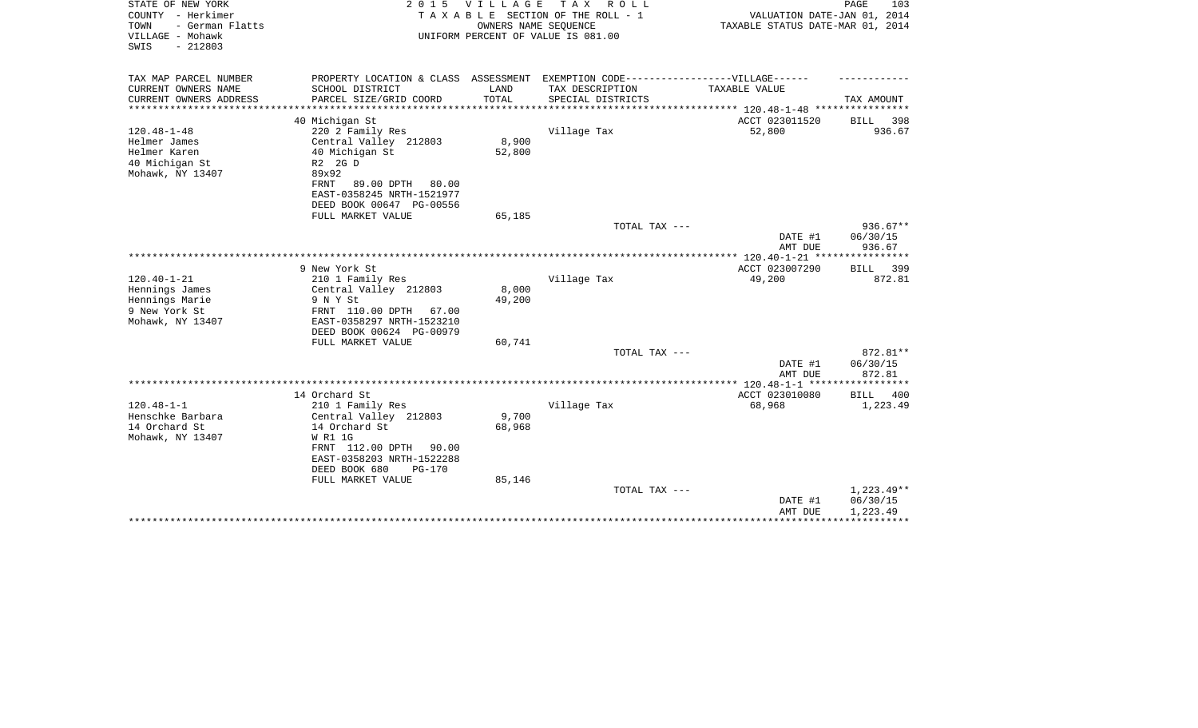| STATE OF NEW YORK<br>COUNTY - Herkimer                           | 2 0 1 5                                       | V I L L A G E | T A X<br>R O L L<br>TAXABLE SECTION OF THE ROLL - 1        | VALUATION DATE-JAN 01, 2014      | PAGE<br>103        |
|------------------------------------------------------------------|-----------------------------------------------|---------------|------------------------------------------------------------|----------------------------------|--------------------|
| TOWN<br>- German Flatts<br>VILLAGE - Mohawk<br>SWIS<br>$-212803$ |                                               |               | OWNERS NAME SEQUENCE<br>UNIFORM PERCENT OF VALUE IS 081.00 | TAXABLE STATUS DATE-MAR 01, 2014 |                    |
| TAX MAP PARCEL NUMBER                                            | PROPERTY LOCATION & CLASS ASSESSMENT          |               | EXEMPTION CODE------------------VILLAGE------              |                                  |                    |
| CURRENT OWNERS NAME                                              | SCHOOL DISTRICT                               | LAND          | TAX DESCRIPTION                                            | TAXABLE VALUE                    |                    |
| CURRENT OWNERS ADDRESS                                           | PARCEL SIZE/GRID COORD                        | TOTAL         | SPECIAL DISTRICTS                                          |                                  | TAX AMOUNT         |
| ******************                                               |                                               |               |                                                            |                                  |                    |
|                                                                  | 40 Michigan St                                |               |                                                            | ACCT 023011520                   | 398<br>BILL        |
| $120.48 - 1 - 48$                                                | 220 2 Family Res                              |               | Village Tax                                                | 52,800                           | 936.67             |
| Helmer James                                                     | Central Valley 212803                         | 8,900         |                                                            |                                  |                    |
| Helmer Karen                                                     | 40 Michigan St                                | 52,800        |                                                            |                                  |                    |
| 40 Michigan St                                                   | R2 2G D<br>89x92                              |               |                                                            |                                  |                    |
| Mohawk, NY 13407                                                 | FRNT<br>89.00 DPTH<br>80.00                   |               |                                                            |                                  |                    |
|                                                                  | EAST-0358245 NRTH-1521977                     |               |                                                            |                                  |                    |
|                                                                  | DEED BOOK 00647 PG-00556                      |               |                                                            |                                  |                    |
|                                                                  | FULL MARKET VALUE                             | 65,185        |                                                            |                                  |                    |
|                                                                  |                                               |               | TOTAL TAX ---                                              |                                  | $936.67**$         |
|                                                                  |                                               |               |                                                            | DATE #1                          | 06/30/15           |
|                                                                  |                                               |               |                                                            | AMT DUE                          | 936.67             |
|                                                                  |                                               |               |                                                            |                                  |                    |
|                                                                  | 9 New York St                                 |               |                                                            | ACCT 023007290                   | 399<br><b>BILL</b> |
| $120.40 - 1 - 21$                                                | 210 1 Family Res                              |               | Village Tax                                                | 49,200                           | 872.81             |
| Hennings James                                                   | Central Valley 212803                         | 8,000         |                                                            |                                  |                    |
| Hennings Marie                                                   | 9 N Y St                                      | 49,200        |                                                            |                                  |                    |
| 9 New York St                                                    | FRNT 110.00 DPTH<br>67.00                     |               |                                                            |                                  |                    |
| Mohawk, NY 13407                                                 | EAST-0358297 NRTH-1523210                     |               |                                                            |                                  |                    |
|                                                                  | DEED BOOK 00624 PG-00979<br>FULL MARKET VALUE | 60,741        |                                                            |                                  |                    |
|                                                                  |                                               |               | TOTAL TAX ---                                              |                                  | 872.81**           |
|                                                                  |                                               |               |                                                            | DATE #1                          | 06/30/15           |
|                                                                  |                                               |               |                                                            | AMT DUE                          | 872.81             |
|                                                                  |                                               |               |                                                            |                                  |                    |
|                                                                  | 14 Orchard St                                 |               |                                                            | ACCT 023010080                   | <b>BILL</b><br>400 |
| $120.48 - 1 - 1$                                                 | 210 1 Family Res                              |               | Village Tax                                                | 68,968                           | 1,223.49           |
| Henschke Barbara                                                 | Central Valley 212803                         | 9,700         |                                                            |                                  |                    |
| 14 Orchard St                                                    | 14 Orchard St                                 | 68,968        |                                                            |                                  |                    |
| Mohawk, NY 13407                                                 | W R1 1G                                       |               |                                                            |                                  |                    |
|                                                                  | FRNT 112.00 DPTH<br>90.00                     |               |                                                            |                                  |                    |
|                                                                  | EAST-0358203 NRTH-1522288                     |               |                                                            |                                  |                    |
|                                                                  | DEED BOOK 680<br>$PG-170$                     |               |                                                            |                                  |                    |
|                                                                  | FULL MARKET VALUE                             | 85,146        |                                                            |                                  |                    |
|                                                                  |                                               |               | TOTAL TAX ---                                              |                                  | $1,223.49**$       |
|                                                                  |                                               |               |                                                            | DATE #1                          | 06/30/15           |
|                                                                  |                                               |               |                                                            | AMT DUE                          | 1,223.49           |
|                                                                  |                                               |               |                                                            |                                  |                    |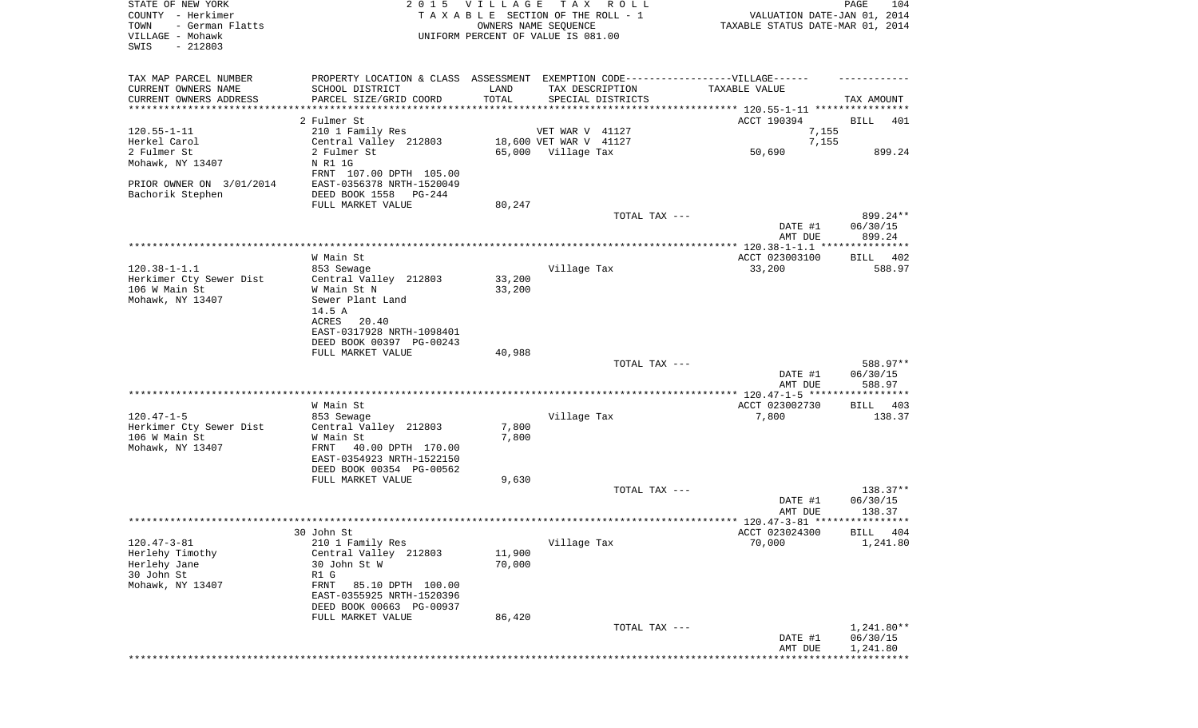| STATE OF NEW YORK<br>COUNTY - Herkimer<br>TOWN<br>- German Flatts<br>VILLAGE - Mohawk<br>SWIS<br>$-212803$ |                                                                                                                                                             | 2015 VILLAGE<br>TAXABLE SECTION OF THE ROLL - 1<br>UNIFORM PERCENT OF VALUE IS 081.00 | T A X<br>OWNERS NAME SEQUENCE             | R O L L       | VALUATION DATE-JAN 01, 2014<br>TAXABLE STATUS DATE-MAR 01, 2014 | PAGE<br>104             |
|------------------------------------------------------------------------------------------------------------|-------------------------------------------------------------------------------------------------------------------------------------------------------------|---------------------------------------------------------------------------------------|-------------------------------------------|---------------|-----------------------------------------------------------------|-------------------------|
| TAX MAP PARCEL NUMBER<br>CURRENT OWNERS NAME<br>CURRENT OWNERS ADDRESS<br>**********************           | PROPERTY LOCATION & CLASS ASSESSMENT EXEMPTION CODE-----------------VILLAGE------<br>SCHOOL DISTRICT<br>PARCEL SIZE/GRID COORD<br>************************* | LAND<br>TOTAL                                                                         | TAX DESCRIPTION<br>SPECIAL DISTRICTS      |               | TAXABLE VALUE                                                   | TAX AMOUNT              |
|                                                                                                            | 2 Fulmer St                                                                                                                                                 |                                                                                       |                                           |               | ACCT 190394                                                     | BILL<br>401             |
| $120.55 - 1 - 11$<br>Herkel Carol                                                                          | 210 1 Family Res<br>Central Valley 212803                                                                                                                   |                                                                                       | VET WAR V 41127<br>18,600 VET WAR V 41127 |               | 7,155<br>7,155                                                  |                         |
| 2 Fulmer St                                                                                                | 2 Fulmer St                                                                                                                                                 |                                                                                       | 65,000 Village Tax                        |               | 50,690                                                          | 899.24                  |
| Mohawk, NY 13407                                                                                           | N R1 1G<br>FRNT 107.00 DPTH 105.00                                                                                                                          |                                                                                       |                                           |               |                                                                 |                         |
| PRIOR OWNER ON 3/01/2014<br>Bachorik Stephen                                                               | EAST-0356378 NRTH-1520049<br>DEED BOOK 1558 PG-244                                                                                                          |                                                                                       |                                           |               |                                                                 |                         |
|                                                                                                            | FULL MARKET VALUE                                                                                                                                           | 80,247                                                                                |                                           |               |                                                                 |                         |
|                                                                                                            |                                                                                                                                                             |                                                                                       |                                           | TOTAL TAX --- | DATE #1                                                         | 899.24**<br>06/30/15    |
|                                                                                                            |                                                                                                                                                             |                                                                                       |                                           |               | AMT DUE                                                         | 899.24                  |
|                                                                                                            | W Main St                                                                                                                                                   |                                                                                       |                                           |               | ACCT 023003100                                                  | BILL 402                |
| $120.38 - 1 - 1.1$                                                                                         | 853 Sewage                                                                                                                                                  |                                                                                       | Village Tax                               |               | 33,200                                                          | 588.97                  |
| Herkimer Cty Sewer Dist                                                                                    | Central Valley 212803                                                                                                                                       | 33,200                                                                                |                                           |               |                                                                 |                         |
| 106 W Main St                                                                                              | W Main St N                                                                                                                                                 | 33,200                                                                                |                                           |               |                                                                 |                         |
| Mohawk, NY 13407                                                                                           | Sewer Plant Land<br>14.5 A                                                                                                                                  |                                                                                       |                                           |               |                                                                 |                         |
|                                                                                                            | ACRES<br>20.40                                                                                                                                              |                                                                                       |                                           |               |                                                                 |                         |
|                                                                                                            | EAST-0317928 NRTH-1098401                                                                                                                                   |                                                                                       |                                           |               |                                                                 |                         |
|                                                                                                            | DEED BOOK 00397 PG-00243                                                                                                                                    |                                                                                       |                                           |               |                                                                 |                         |
|                                                                                                            | FULL MARKET VALUE                                                                                                                                           | 40,988                                                                                |                                           | TOTAL TAX --- |                                                                 | 588.97**                |
|                                                                                                            |                                                                                                                                                             |                                                                                       |                                           |               | DATE #1                                                         | 06/30/15                |
|                                                                                                            |                                                                                                                                                             |                                                                                       |                                           |               | AMT DUE                                                         | 588.97                  |
|                                                                                                            | W Main St                                                                                                                                                   |                                                                                       |                                           |               |                                                                 | 403                     |
| $120.47 - 1 - 5$                                                                                           | 853 Sewage                                                                                                                                                  |                                                                                       | Village Tax                               |               | ACCT 023002730<br>7,800                                         | BILL<br>138.37          |
| Herkimer Cty Sewer Dist                                                                                    | Central Valley 212803                                                                                                                                       | 7,800                                                                                 |                                           |               |                                                                 |                         |
| 106 W Main St                                                                                              | W Main St                                                                                                                                                   | 7,800                                                                                 |                                           |               |                                                                 |                         |
| Mohawk, NY 13407                                                                                           | FRNT<br>40.00 DPTH 170.00<br>EAST-0354923 NRTH-1522150                                                                                                      |                                                                                       |                                           |               |                                                                 |                         |
|                                                                                                            | DEED BOOK 00354 PG-00562                                                                                                                                    |                                                                                       |                                           |               |                                                                 |                         |
|                                                                                                            | FULL MARKET VALUE                                                                                                                                           | 9,630                                                                                 |                                           |               |                                                                 |                         |
|                                                                                                            |                                                                                                                                                             |                                                                                       |                                           | TOTAL TAX --- |                                                                 | 138.37**                |
|                                                                                                            |                                                                                                                                                             |                                                                                       |                                           |               | DATE #1<br>AMT DUE                                              | 06/30/15<br>138.37      |
|                                                                                                            |                                                                                                                                                             |                                                                                       |                                           |               |                                                                 |                         |
|                                                                                                            | 30 John St                                                                                                                                                  |                                                                                       |                                           |               | ACCT 023024300                                                  | <b>BTLL</b> 404         |
| $120.47 - 3 - 81$                                                                                          | 210 1 Family Res                                                                                                                                            |                                                                                       | Village Tax                               |               | 70,000                                                          | 1,241.80                |
| Herlehy Timothy<br>Herlehy Jane                                                                            | Central Valley 212803<br>30 John St W                                                                                                                       | 11,900<br>70,000                                                                      |                                           |               |                                                                 |                         |
| 30 John St                                                                                                 | R1 G                                                                                                                                                        |                                                                                       |                                           |               |                                                                 |                         |
| Mohawk, NY 13407                                                                                           | FRNT<br>85.10 DPTH 100.00                                                                                                                                   |                                                                                       |                                           |               |                                                                 |                         |
|                                                                                                            | EAST-0355925 NRTH-1520396                                                                                                                                   |                                                                                       |                                           |               |                                                                 |                         |
|                                                                                                            | DEED BOOK 00663 PG-00937<br>FULL MARKET VALUE                                                                                                               | 86,420                                                                                |                                           |               |                                                                 |                         |
|                                                                                                            |                                                                                                                                                             |                                                                                       |                                           | TOTAL TAX --- |                                                                 | $1,241.80**$            |
|                                                                                                            |                                                                                                                                                             |                                                                                       |                                           |               | DATE #1<br>AMT DUE                                              | 06/30/15<br>1,241.80    |
|                                                                                                            |                                                                                                                                                             |                                                                                       |                                           |               |                                                                 | * * * * * * * * * * * * |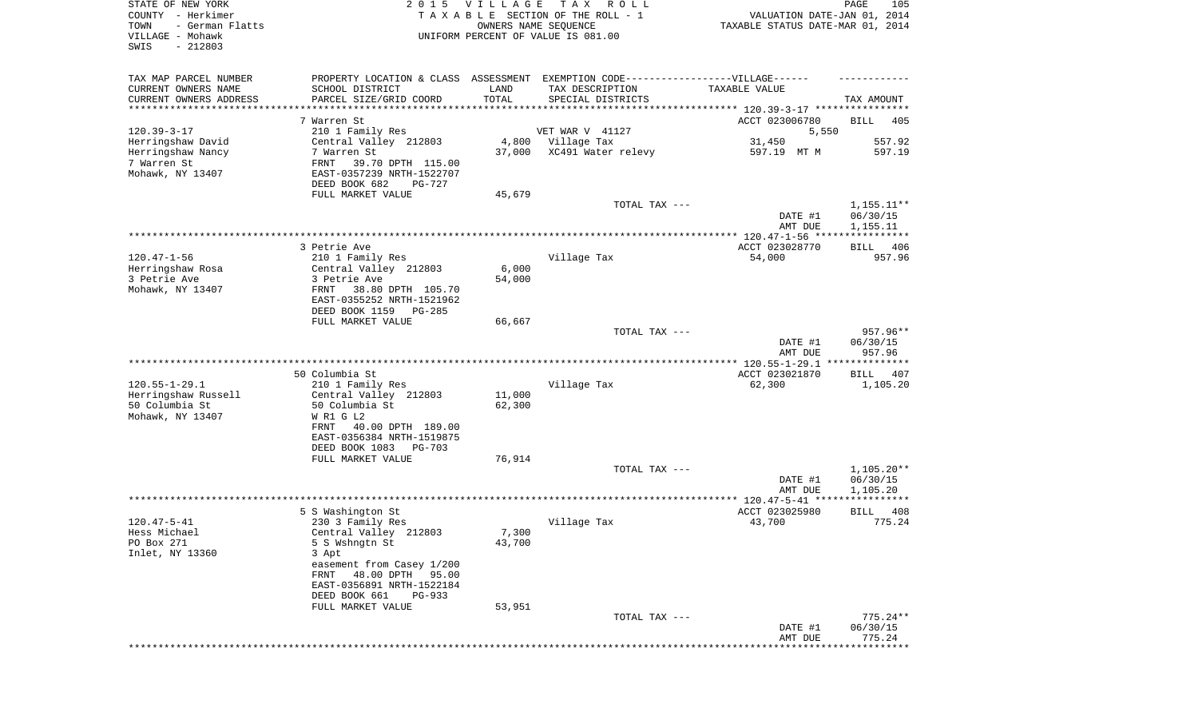| SWIS<br>$-212803$<br>TAX MAP PARCEL NUMBER<br>EXEMPTION CODE------------------VILLAGE------<br>PROPERTY LOCATION & CLASS ASSESSMENT<br>CURRENT OWNERS NAME<br>SCHOOL DISTRICT<br>LAND<br>TAX DESCRIPTION<br>TAXABLE VALUE<br>CURRENT OWNERS ADDRESS<br>PARCEL SIZE/GRID COORD<br>TOTAL<br>SPECIAL DISTRICTS<br>TAX AMOUNT<br>*********************<br>************************************** 120.39-3-17 ****************<br>7 Warren St<br>ACCT 023006780<br>BILL<br>$120.39 - 3 - 17$<br>VET WAR V 41127<br>210 1 Family Res<br>5,550 | 405<br>557.92<br>597.19 |
|-----------------------------------------------------------------------------------------------------------------------------------------------------------------------------------------------------------------------------------------------------------------------------------------------------------------------------------------------------------------------------------------------------------------------------------------------------------------------------------------------------------------------------------------|-------------------------|
|                                                                                                                                                                                                                                                                                                                                                                                                                                                                                                                                         |                         |
|                                                                                                                                                                                                                                                                                                                                                                                                                                                                                                                                         |                         |
|                                                                                                                                                                                                                                                                                                                                                                                                                                                                                                                                         |                         |
|                                                                                                                                                                                                                                                                                                                                                                                                                                                                                                                                         |                         |
|                                                                                                                                                                                                                                                                                                                                                                                                                                                                                                                                         |                         |
|                                                                                                                                                                                                                                                                                                                                                                                                                                                                                                                                         |                         |
| Herringshaw David<br>Central Valley 212803<br>4,800<br>Village Tax<br>31,450                                                                                                                                                                                                                                                                                                                                                                                                                                                            |                         |
| Herringshaw Nancy<br>7 Warren St<br>37,000<br>XC491 Water relevy<br>597.19 MT M<br>7 Warren St<br>FRNT<br>39.70 DPTH 115.00                                                                                                                                                                                                                                                                                                                                                                                                             |                         |
| Mohawk, NY 13407<br>EAST-0357239 NRTH-1522707                                                                                                                                                                                                                                                                                                                                                                                                                                                                                           |                         |
| DEED BOOK 682<br>PG-727                                                                                                                                                                                                                                                                                                                                                                                                                                                                                                                 |                         |
| FULL MARKET VALUE<br>45,679                                                                                                                                                                                                                                                                                                                                                                                                                                                                                                             |                         |
| TOTAL TAX ---                                                                                                                                                                                                                                                                                                                                                                                                                                                                                                                           | $1,155.11**$            |
| 06/30/15<br>DATE #1<br>AMT DUE<br>1,155.11                                                                                                                                                                                                                                                                                                                                                                                                                                                                                              |                         |
|                                                                                                                                                                                                                                                                                                                                                                                                                                                                                                                                         |                         |
| 3 Petrie Ave<br>ACCT 023028770<br>BILL                                                                                                                                                                                                                                                                                                                                                                                                                                                                                                  | 406                     |
| $120.47 - 1 - 56$<br>210 1 Family Res<br>Village Tax<br>54,000                                                                                                                                                                                                                                                                                                                                                                                                                                                                          | 957.96                  |
| Herringshaw Rosa<br>Central Valley 212803<br>6,000                                                                                                                                                                                                                                                                                                                                                                                                                                                                                      |                         |
| 3 Petrie Ave<br>3 Petrie Ave<br>54,000<br>Mohawk, NY 13407<br>FRNT<br>38.80 DPTH 105.70                                                                                                                                                                                                                                                                                                                                                                                                                                                 |                         |
| EAST-0355252 NRTH-1521962                                                                                                                                                                                                                                                                                                                                                                                                                                                                                                               |                         |
| DEED BOOK 1159<br>PG-285                                                                                                                                                                                                                                                                                                                                                                                                                                                                                                                |                         |
| FULL MARKET VALUE<br>66,667                                                                                                                                                                                                                                                                                                                                                                                                                                                                                                             |                         |
| TOTAL TAX ---                                                                                                                                                                                                                                                                                                                                                                                                                                                                                                                           | 957.96**                |
| DATE #1<br>06/30/15<br>AMT DUE                                                                                                                                                                                                                                                                                                                                                                                                                                                                                                          | 957.96                  |
| **************                                                                                                                                                                                                                                                                                                                                                                                                                                                                                                                          |                         |
| 50 Columbia St<br>ACCT 023021870<br><b>BILL</b>                                                                                                                                                                                                                                                                                                                                                                                                                                                                                         | 407                     |
| $120.55 - 1 - 29.1$<br>210 1 Family Res<br>Village Tax<br>62,300                                                                                                                                                                                                                                                                                                                                                                                                                                                                        | 1,105.20                |
| Herringshaw Russell<br>11,000<br>Central Valley 212803<br>50 Columbia St<br>50 Columbia St<br>62,300                                                                                                                                                                                                                                                                                                                                                                                                                                    |                         |
| Mohawk, NY 13407<br>W R1 G L2                                                                                                                                                                                                                                                                                                                                                                                                                                                                                                           |                         |
| FRNT<br>40.00 DPTH 189.00                                                                                                                                                                                                                                                                                                                                                                                                                                                                                                               |                         |
| EAST-0356384 NRTH-1519875                                                                                                                                                                                                                                                                                                                                                                                                                                                                                                               |                         |
| DEED BOOK 1083<br>PG-703                                                                                                                                                                                                                                                                                                                                                                                                                                                                                                                |                         |
| FULL MARKET VALUE<br>76,914<br>TOTAL TAX ---                                                                                                                                                                                                                                                                                                                                                                                                                                                                                            | $1,105.20**$            |
| 06/30/15<br>DATE #1                                                                                                                                                                                                                                                                                                                                                                                                                                                                                                                     |                         |
| AMT DUE<br>1,105.20                                                                                                                                                                                                                                                                                                                                                                                                                                                                                                                     |                         |
|                                                                                                                                                                                                                                                                                                                                                                                                                                                                                                                                         |                         |
| 5 S Washington St<br>ACCT 023025980<br>BILL<br>$120.47 - 5 - 41$                                                                                                                                                                                                                                                                                                                                                                                                                                                                        | 408                     |
| Village Tax<br>43,700<br>230 3 Family Res<br>7,300<br>Hess Michael<br>Central Valley 212803                                                                                                                                                                                                                                                                                                                                                                                                                                             | 775.24                  |
| PO Box 271<br>5 S Wshngtn St<br>43,700                                                                                                                                                                                                                                                                                                                                                                                                                                                                                                  |                         |
| Inlet, NY 13360<br>3 Apt                                                                                                                                                                                                                                                                                                                                                                                                                                                                                                                |                         |
| easement from Casey 1/200                                                                                                                                                                                                                                                                                                                                                                                                                                                                                                               |                         |
| 48.00 DPTH 95.00<br>FRNT<br>EAST-0356891 NRTH-1522184                                                                                                                                                                                                                                                                                                                                                                                                                                                                                   |                         |
| DEED BOOK 661<br>PG-933                                                                                                                                                                                                                                                                                                                                                                                                                                                                                                                 |                         |
| 53,951<br>FULL MARKET VALUE                                                                                                                                                                                                                                                                                                                                                                                                                                                                                                             |                         |
| TOTAL TAX ---                                                                                                                                                                                                                                                                                                                                                                                                                                                                                                                           | $775.24**$              |
| DATE #1<br>06/30/15                                                                                                                                                                                                                                                                                                                                                                                                                                                                                                                     |                         |
| AMT DUE<br>******************************                                                                                                                                                                                                                                                                                                                                                                                                                                                                                               | 775.24                  |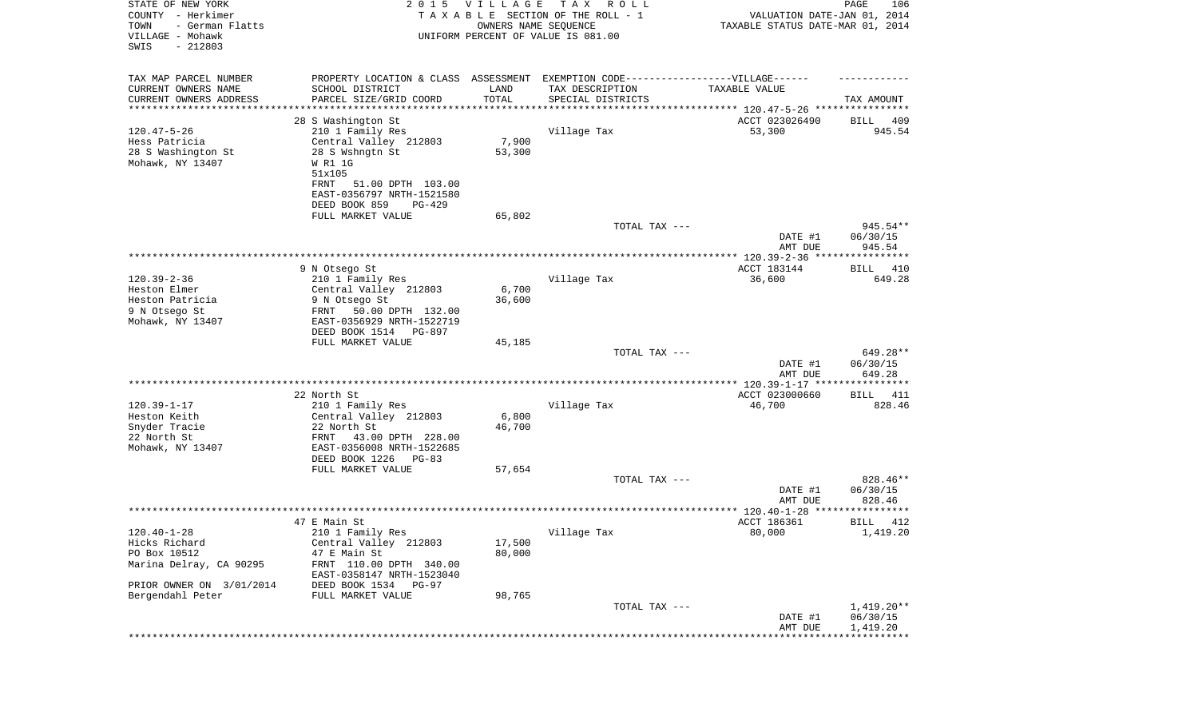| STATE OF NEW YORK<br>COUNTY - Herkimer<br>TOWN<br>- German Flatts<br>VILLAGE - Mohawk<br>SWIS<br>$-212803$ | 2 0 1 5                                                                           | VILLAGE<br>OWNERS NAME SEQUENCE | TAX ROLL<br>TAXABLE SECTION OF THE ROLL - 1<br>UNIFORM PERCENT OF VALUE IS 081.00 | VALUATION DATE-JAN 01, 2014<br>TAXABLE STATUS DATE-MAR 01, 2014 | PAGE<br>106             |
|------------------------------------------------------------------------------------------------------------|-----------------------------------------------------------------------------------|---------------------------------|-----------------------------------------------------------------------------------|-----------------------------------------------------------------|-------------------------|
| TAX MAP PARCEL NUMBER                                                                                      | PROPERTY LOCATION & CLASS ASSESSMENT EXEMPTION CODE-----------------VILLAGE------ |                                 |                                                                                   |                                                                 |                         |
| CURRENT OWNERS NAME                                                                                        | SCHOOL DISTRICT                                                                   | LAND                            | TAX DESCRIPTION                                                                   | TAXABLE VALUE                                                   |                         |
| CURRENT OWNERS ADDRESS<br>**********************                                                           | PARCEL SIZE/GRID COORD                                                            | TOTAL                           | SPECIAL DISTRICTS                                                                 |                                                                 | TAX AMOUNT              |
|                                                                                                            | 28 S Washington St                                                                |                                 |                                                                                   | ACCT 023026490                                                  | BILL<br>409             |
| $120.47 - 5 - 26$                                                                                          | 210 1 Family Res                                                                  |                                 | Village Tax                                                                       | 53,300                                                          | 945.54                  |
| Hess Patricia                                                                                              | Central Valley 212803                                                             | 7,900                           |                                                                                   |                                                                 |                         |
| 28 S Washington St                                                                                         | 28 S Wshngtn St                                                                   | 53,300                          |                                                                                   |                                                                 |                         |
| Mohawk, NY 13407                                                                                           | W R1 1G<br>51x105                                                                 |                                 |                                                                                   |                                                                 |                         |
|                                                                                                            | FRNT<br>51.00 DPTH 103.00                                                         |                                 |                                                                                   |                                                                 |                         |
|                                                                                                            | EAST-0356797 NRTH-1521580                                                         |                                 |                                                                                   |                                                                 |                         |
|                                                                                                            | DEED BOOK 859<br>PG-429                                                           |                                 |                                                                                   |                                                                 |                         |
|                                                                                                            | FULL MARKET VALUE                                                                 | 65,802                          |                                                                                   |                                                                 |                         |
|                                                                                                            |                                                                                   |                                 | TOTAL TAX ---                                                                     | DATE #1                                                         | 945.54**<br>06/30/15    |
|                                                                                                            |                                                                                   |                                 |                                                                                   | AMT DUE                                                         | 945.54                  |
|                                                                                                            |                                                                                   |                                 |                                                                                   |                                                                 |                         |
| $120.39 - 2 - 36$                                                                                          | 9 N Otsego St<br>210 1 Family Res                                                 |                                 | Village Tax                                                                       | ACCT 183144<br>36,600                                           | 410<br>BILL<br>649.28   |
| Heston Elmer                                                                                               | Central Valley 212803                                                             | 6,700                           |                                                                                   |                                                                 |                         |
| Heston Patricia                                                                                            | 9 N Otsego St                                                                     | 36,600                          |                                                                                   |                                                                 |                         |
| 9 N Otsego St                                                                                              | FRNT 50.00 DPTH 132.00                                                            |                                 |                                                                                   |                                                                 |                         |
| Mohawk, NY 13407                                                                                           | EAST-0356929 NRTH-1522719                                                         |                                 |                                                                                   |                                                                 |                         |
|                                                                                                            | DEED BOOK 1514 PG-897<br>FULL MARKET VALUE                                        | 45,185                          |                                                                                   |                                                                 |                         |
|                                                                                                            |                                                                                   |                                 | TOTAL TAX ---                                                                     |                                                                 | 649.28**                |
|                                                                                                            |                                                                                   |                                 |                                                                                   | DATE #1                                                         | 06/30/15                |
|                                                                                                            |                                                                                   |                                 |                                                                                   | AMT DUE                                                         | 649.28                  |
|                                                                                                            |                                                                                   |                                 |                                                                                   |                                                                 |                         |
| $120.39 - 1 - 17$                                                                                          | 22 North St<br>210 1 Family Res                                                   |                                 | Village Tax                                                                       | ACCT 023000660<br>46,700                                        | BILL 411<br>828.46      |
| Heston Keith                                                                                               | Central Valley 212803                                                             | 6,800                           |                                                                                   |                                                                 |                         |
| Snyder Tracie                                                                                              | 22 North St                                                                       | 46,700                          |                                                                                   |                                                                 |                         |
| 22 North St                                                                                                | FRNT<br>43.00 DPTH 228.00                                                         |                                 |                                                                                   |                                                                 |                         |
| Mohawk, NY 13407                                                                                           | EAST-0356008 NRTH-1522685                                                         |                                 |                                                                                   |                                                                 |                         |
|                                                                                                            | DEED BOOK 1226 PG-83<br>FULL MARKET VALUE                                         | 57,654                          |                                                                                   |                                                                 |                         |
|                                                                                                            |                                                                                   |                                 | TOTAL TAX ---                                                                     |                                                                 | 828.46**                |
|                                                                                                            |                                                                                   |                                 |                                                                                   | DATE #1                                                         | 06/30/15                |
|                                                                                                            |                                                                                   |                                 |                                                                                   | AMT DUE                                                         | 828.46                  |
|                                                                                                            |                                                                                   |                                 |                                                                                   |                                                                 |                         |
| $120.40 - 1 - 28$                                                                                          | 47 E Main St<br>210 1 Family Res                                                  |                                 | Village Tax                                                                       | ACCT 186361<br>80,000                                           | 412<br>BILL<br>1,419.20 |
| Hicks Richard                                                                                              | Central Valley 212803                                                             | 17,500                          |                                                                                   |                                                                 |                         |
| PO Box 10512                                                                                               | 47 E Main St                                                                      | 80,000                          |                                                                                   |                                                                 |                         |
| Marina Delray, CA 90295                                                                                    | FRNT 110.00 DPTH 340.00                                                           |                                 |                                                                                   |                                                                 |                         |
|                                                                                                            | EAST-0358147 NRTH-1523040                                                         |                                 |                                                                                   |                                                                 |                         |
| PRIOR OWNER ON 3/01/2014<br>Bergendahl Peter                                                               | DEED BOOK 1534 PG-97<br>FULL MARKET VALUE                                         | 98,765                          |                                                                                   |                                                                 |                         |
|                                                                                                            |                                                                                   |                                 | TOTAL TAX ---                                                                     |                                                                 | $1,419.20**$            |
|                                                                                                            |                                                                                   |                                 |                                                                                   | DATE #1                                                         | 06/30/15                |
|                                                                                                            |                                                                                   |                                 |                                                                                   | AMT DUE                                                         | 1,419.20                |
|                                                                                                            |                                                                                   |                                 |                                                                                   |                                                                 |                         |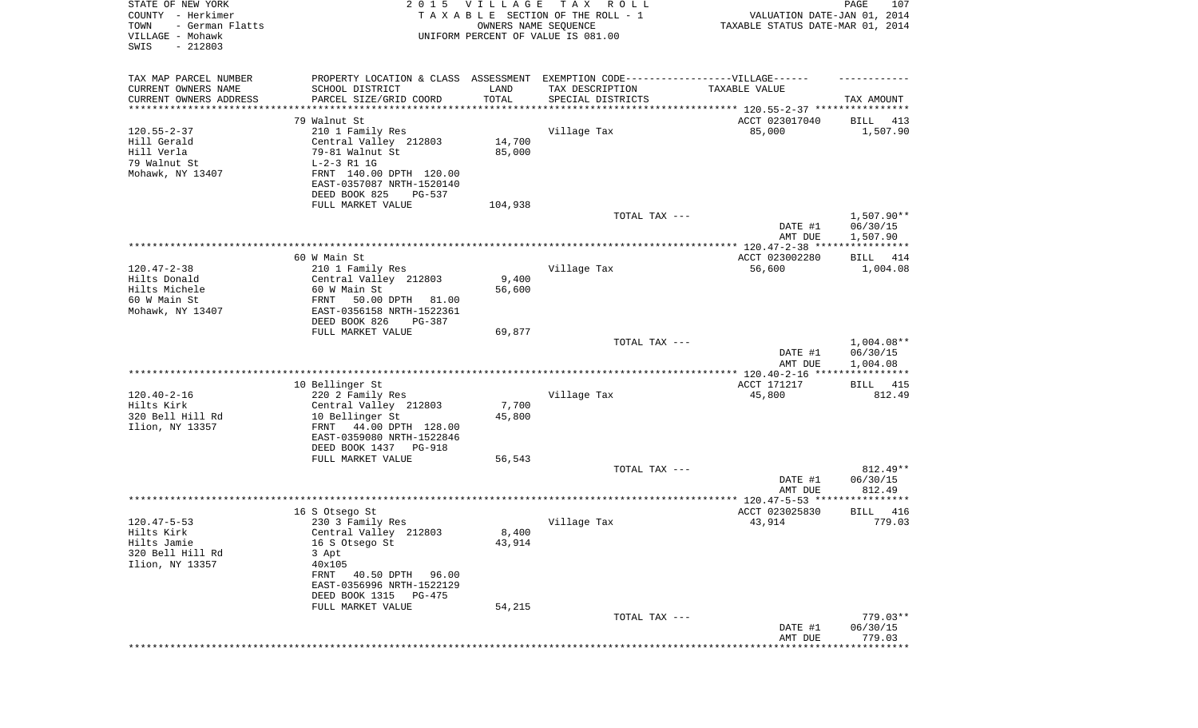| STATE OF NEW YORK<br>COUNTY - Herkimer<br>TOWN<br>- German Flatts<br>VILLAGE - Mohawk<br>SWIS<br>$-212803$ | <b>VILLAGE</b><br>T A X<br>2 0 1 5<br>R O L L<br>TAXABLE SECTION OF THE ROLL - 1<br>OWNERS NAME SEQUENCE<br>UNIFORM PERCENT OF VALUE IS 081.00                                        |                                |                                                                      | PAGE<br>107<br>VALUATION DATE-JAN 01, 2014<br>TAXABLE STATUS DATE-MAR 01, 2014 |                                      |  |
|------------------------------------------------------------------------------------------------------------|---------------------------------------------------------------------------------------------------------------------------------------------------------------------------------------|--------------------------------|----------------------------------------------------------------------|--------------------------------------------------------------------------------|--------------------------------------|--|
| TAX MAP PARCEL NUMBER<br>CURRENT OWNERS NAME<br>CURRENT OWNERS ADDRESS                                     | PROPERTY LOCATION & CLASS ASSESSMENT EXEMPTION CODE----------------VILLAGE------<br>SCHOOL DISTRICT<br>PARCEL SIZE/GRID COORD                                                         | LAND<br>TOTAL                  | TAX DESCRIPTION<br>SPECIAL DISTRICTS                                 | TAXABLE VALUE                                                                  | TAX AMOUNT                           |  |
| *********************                                                                                      | ******************                                                                                                                                                                    | **********                     | ************************************** 120.55-2-37 ***************** |                                                                                |                                      |  |
| $120.55 - 2 - 37$<br>Hill Gerald<br>Hill Verla<br>79 Walnut St<br>Mohawk, NY 13407                         | 79 Walnut St<br>210 1 Family Res<br>Central Valley 212803<br>79-81 Walnut St<br>$L-2-3 R1 1G$<br>FRNT 140.00 DPTH 120.00<br>EAST-0357087 NRTH-1520140<br>DEED BOOK 825<br>PG-537      | 14,700<br>85,000               | Village Tax                                                          | ACCT 023017040<br>85,000                                                       | BILL<br>413<br>1,507.90              |  |
|                                                                                                            | FULL MARKET VALUE                                                                                                                                                                     | 104,938                        |                                                                      |                                                                                |                                      |  |
|                                                                                                            |                                                                                                                                                                                       |                                | TOTAL TAX ---                                                        | DATE #1<br>AMT DUE                                                             | $1,507.90**$<br>06/30/15<br>1,507.90 |  |
|                                                                                                            |                                                                                                                                                                                       |                                |                                                                      |                                                                                |                                      |  |
|                                                                                                            | 60 W Main St                                                                                                                                                                          |                                |                                                                      | ACCT 023002280                                                                 | BILL 414                             |  |
| $120.47 - 2 - 38$<br>Hilts Donald<br>Hilts Michele<br>60 W Main St<br>Mohawk, NY 13407                     | 210 1 Family Res<br>Central Valley 212803<br>60 W Main St<br>FRNT<br>50.00 DPTH<br>81.00<br>EAST-0356158 NRTH-1522361<br>DEED BOOK 826<br>PG-387                                      | 9,400<br>56,600                | Village Tax                                                          | 56,600                                                                         | 1,004.08                             |  |
|                                                                                                            | FULL MARKET VALUE                                                                                                                                                                     | 69,877                         | TOTAL TAX ---                                                        | DATE #1<br>AMT DUE                                                             | $1,004.08**$<br>06/30/15<br>1,004.08 |  |
|                                                                                                            | 10 Bellinger St                                                                                                                                                                       |                                |                                                                      | **************** 120.40-2-16 *****************<br>ACCT 171217                  | <b>BILL</b> 415                      |  |
| $120.40 - 2 - 16$<br>Hilts Kirk<br>320 Bell Hill Rd<br>Ilion, NY 13357                                     | 220 2 Family Res<br>Central Valley 212803<br>10 Bellinger St<br>FRNT<br>44.00 DPTH 128.00<br>EAST-0359080 NRTH-1522846<br>DEED BOOK 1437<br>PG-918                                    | 7,700<br>45,800                | Village Tax                                                          | 45,800                                                                         | 812.49                               |  |
|                                                                                                            | FULL MARKET VALUE                                                                                                                                                                     | 56,543                         |                                                                      |                                                                                |                                      |  |
|                                                                                                            |                                                                                                                                                                                       |                                | TOTAL TAX ---                                                        | DATE #1<br>AMT DUE                                                             | 812.49**<br>06/30/15<br>812.49       |  |
|                                                                                                            |                                                                                                                                                                                       |                                |                                                                      |                                                                                |                                      |  |
|                                                                                                            | 16 S Otsego St                                                                                                                                                                        |                                |                                                                      | ACCT 023025830                                                                 | 416<br><b>BILL</b>                   |  |
| $120.47 - 5 - 53$<br>Hilts Kirk<br>Hilts Jamie<br>320 Bell Hill Rd<br>Ilion, NY 13357                      | 230 3 Family Res<br>Central Valley 212803<br>16 S Otsego St<br>3 Apt<br>40x105<br>FRNT 40.50 DPTH<br>96.00<br>EAST-0356996 NRTH-1522129<br>DEED BOOK 1315 PG-475<br>FULL MARKET VALUE | $8\,, 400$<br>43,914<br>54,215 | Village Tax                                                          | 43,914                                                                         | 779.03                               |  |
|                                                                                                            |                                                                                                                                                                                       |                                | TOTAL TAX ---                                                        |                                                                                | $779.03**$                           |  |
|                                                                                                            |                                                                                                                                                                                       |                                |                                                                      | DATE #1<br>AMT DUE                                                             | 06/30/15<br>779.03<br>************** |  |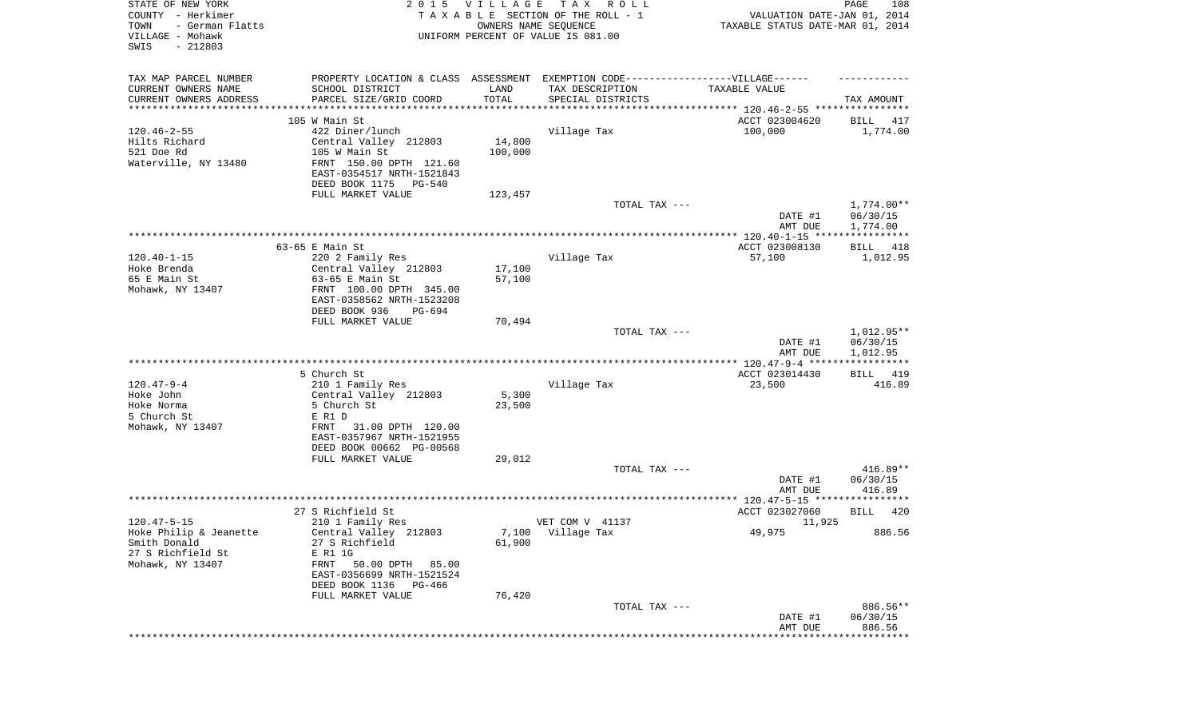| STATE OF NEW YORK<br>COUNTY - Herkimer<br>TOWN<br>- German Flatts<br>VILLAGE - Mohawk<br>SWIS<br>$-212803$ |                                                                                   | 2015 VILLAGE<br>OWNERS NAME SEQUENCE | TAX ROLL<br>TAXABLE SECTION OF THE ROLL - 1<br>UNIFORM PERCENT OF VALUE IS 081.00 | VALUATION DATE-JAN 01, 2014<br>TAXABLE STATUS DATE-MAR 01, 2014 | PAGE<br>108                        |
|------------------------------------------------------------------------------------------------------------|-----------------------------------------------------------------------------------|--------------------------------------|-----------------------------------------------------------------------------------|-----------------------------------------------------------------|------------------------------------|
| TAX MAP PARCEL NUMBER                                                                                      | PROPERTY LOCATION & CLASS ASSESSMENT EXEMPTION CODE-----------------VILLAGE------ |                                      |                                                                                   |                                                                 |                                    |
| CURRENT OWNERS NAME                                                                                        | SCHOOL DISTRICT                                                                   | LAND                                 | TAX DESCRIPTION                                                                   | TAXABLE VALUE                                                   |                                    |
| CURRENT OWNERS ADDRESS<br>**********************                                                           | PARCEL SIZE/GRID COORD                                                            | TOTAL                                | SPECIAL DISTRICTS                                                                 |                                                                 | TAX AMOUNT                         |
|                                                                                                            | 105 W Main St                                                                     |                                      |                                                                                   | ACCT 023004620                                                  | BILL<br>417                        |
| $120.46 - 2 - 55$                                                                                          | 422 Diner/lunch                                                                   |                                      | Village Tax                                                                       | 100,000                                                         | 1,774.00                           |
| Hilts Richard                                                                                              | Central Valley 212803                                                             | 14,800                               |                                                                                   |                                                                 |                                    |
| 521 Doe Rd                                                                                                 | 105 W Main St                                                                     | 100,000                              |                                                                                   |                                                                 |                                    |
| Waterville, NY 13480                                                                                       | FRNT 150.00 DPTH 121.60                                                           |                                      |                                                                                   |                                                                 |                                    |
|                                                                                                            | EAST-0354517 NRTH-1521843                                                         |                                      |                                                                                   |                                                                 |                                    |
|                                                                                                            | DEED BOOK 1175<br>PG-540<br>FULL MARKET VALUE                                     | 123,457                              |                                                                                   |                                                                 |                                    |
|                                                                                                            |                                                                                   |                                      | TOTAL TAX ---                                                                     |                                                                 | 1,774.00**                         |
|                                                                                                            |                                                                                   |                                      |                                                                                   | DATE #1<br>AMT DUE                                              | 06/30/15<br>1,774.00               |
|                                                                                                            |                                                                                   |                                      |                                                                                   |                                                                 |                                    |
|                                                                                                            | 63-65 E Main St                                                                   |                                      |                                                                                   | ACCT 023008130                                                  | BILL<br>418                        |
| $120.40 - 1 - 15$                                                                                          | 220 2 Family Res                                                                  |                                      | Village Tax                                                                       | 57,100                                                          | 1,012.95                           |
| Hoke Brenda<br>65 E Main St                                                                                | Central Valley 212803<br>$63-65$ E Main St                                        | 17,100<br>57,100                     |                                                                                   |                                                                 |                                    |
| Mohawk, NY 13407                                                                                           | FRNT 100.00 DPTH 345.00                                                           |                                      |                                                                                   |                                                                 |                                    |
|                                                                                                            | EAST-0358562 NRTH-1523208                                                         |                                      |                                                                                   |                                                                 |                                    |
|                                                                                                            | DEED BOOK 936<br>PG-694                                                           |                                      |                                                                                   |                                                                 |                                    |
|                                                                                                            | FULL MARKET VALUE                                                                 | 70,494                               |                                                                                   |                                                                 |                                    |
|                                                                                                            |                                                                                   |                                      | TOTAL TAX ---                                                                     | DATE #1<br>AMT DUE                                              | 1,012.95**<br>06/30/15<br>1,012.95 |
|                                                                                                            |                                                                                   |                                      |                                                                                   |                                                                 |                                    |
|                                                                                                            | 5 Church St                                                                       |                                      |                                                                                   | ACCT 023014430                                                  | BILL 419                           |
| $120.47 - 9 - 4$                                                                                           | 210 1 Family Res                                                                  |                                      | Village Tax                                                                       | 23,500                                                          | 416.89                             |
| Hoke John<br>Hoke Norma                                                                                    | Central Valley 212803<br>5 Church St                                              | 5,300<br>23,500                      |                                                                                   |                                                                 |                                    |
| 5 Church St                                                                                                | E R1 D                                                                            |                                      |                                                                                   |                                                                 |                                    |
| Mohawk, NY 13407                                                                                           | 31.00 DPTH 120.00<br>FRNT<br>EAST-0357967 NRTH-1521955                            |                                      |                                                                                   |                                                                 |                                    |
|                                                                                                            | DEED BOOK 00662 PG-00568<br>FULL MARKET VALUE                                     | 29,012                               |                                                                                   |                                                                 |                                    |
|                                                                                                            |                                                                                   |                                      | TOTAL TAX ---                                                                     |                                                                 | $416.89**$                         |
|                                                                                                            |                                                                                   |                                      |                                                                                   | DATE #1<br>AMT DUE                                              | 06/30/15<br>416.89                 |
|                                                                                                            |                                                                                   |                                      |                                                                                   |                                                                 |                                    |
|                                                                                                            | 27 S Richfield St                                                                 |                                      |                                                                                   | ACCT 023027060                                                  | <b>BILL</b><br>420                 |
| $120.47 - 5 - 15$                                                                                          | 210 1 Family Res                                                                  |                                      | VET COM V 41137                                                                   | 11,925                                                          |                                    |
| Hoke Philip & Jeanette<br>Smith Donald                                                                     | Central Valley 212803<br>27 S Richfield                                           | 61,900                               | 7,100 Village Tax                                                                 | 49,975                                                          | 886.56                             |
| 27 S Richfield St                                                                                          | E R1 1G                                                                           |                                      |                                                                                   |                                                                 |                                    |
| Mohawk, NY 13407                                                                                           | FRNT<br>50.00 DPTH<br>85.00                                                       |                                      |                                                                                   |                                                                 |                                    |
|                                                                                                            | EAST-0356699 NRTH-1521524                                                         |                                      |                                                                                   |                                                                 |                                    |
|                                                                                                            | DEED BOOK 1136 PG-466                                                             |                                      |                                                                                   |                                                                 |                                    |
|                                                                                                            | FULL MARKET VALUE                                                                 | 76,420                               | TOTAL TAX ---                                                                     |                                                                 | 886.56**                           |
|                                                                                                            |                                                                                   |                                      |                                                                                   | DATE #1                                                         | 06/30/15                           |
|                                                                                                            |                                                                                   |                                      |                                                                                   | AMT DUE                                                         | 886.56                             |
|                                                                                                            |                                                                                   |                                      |                                                                                   |                                                                 | ************                       |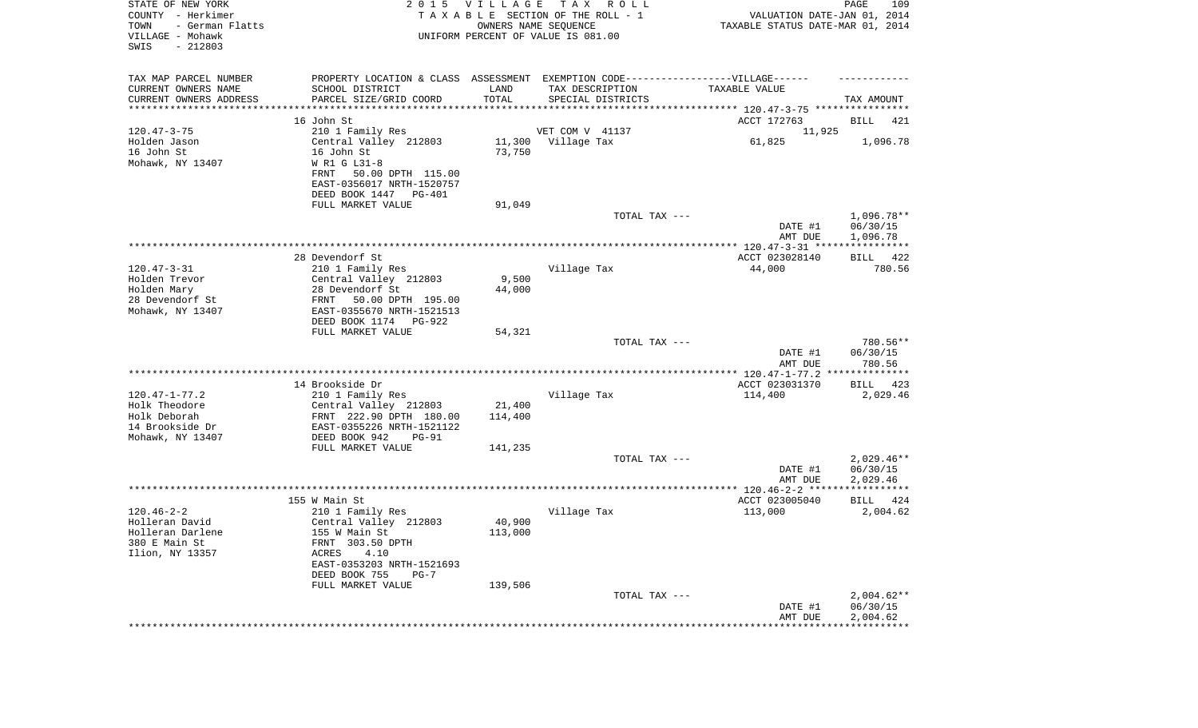| STATE OF NEW YORK<br>COUNTY - Herkimer<br>TOWN<br>- German Flatts<br>VILLAGE - Mohawk<br>SWIS<br>$-212803$ | 2 0 1 5                                          | <b>VILLAGE</b>    | T A X<br>R O L L<br>TAXABLE SECTION OF THE ROLL - 1<br>OWNERS NAME SEQUENCE<br>UNIFORM PERCENT OF VALUE IS 081.00 | VALUATION DATE-JAN 01, 2014<br>TAXABLE STATUS DATE-MAR 01, 2014 | PAGE<br>109              |
|------------------------------------------------------------------------------------------------------------|--------------------------------------------------|-------------------|-------------------------------------------------------------------------------------------------------------------|-----------------------------------------------------------------|--------------------------|
| TAX MAP PARCEL NUMBER                                                                                      |                                                  |                   | PROPERTY LOCATION & CLASS ASSESSMENT EXEMPTION CODE----------------VILLAGE------                                  |                                                                 |                          |
| CURRENT OWNERS NAME                                                                                        | SCHOOL DISTRICT                                  | LAND              | TAX DESCRIPTION                                                                                                   | TAXABLE VALUE                                                   |                          |
| CURRENT OWNERS ADDRESS<br>*********************                                                            | PARCEL SIZE/GRID COORD<br>*****************      | TOTAL             | SPECIAL DISTRICTS                                                                                                 |                                                                 | TAX AMOUNT               |
|                                                                                                            | 16 John St                                       |                   |                                                                                                                   | ACCT 172763                                                     | BILL<br>421              |
| $120.47 - 3 - 75$                                                                                          | 210 1 Family Res                                 |                   | VET COM V 41137                                                                                                   | 11,925                                                          |                          |
| Holden Jason                                                                                               | Central Valley 212803                            | 11,300            | Village Tax                                                                                                       | 61,825                                                          | 1,096.78                 |
| 16 John St                                                                                                 | 16 John St                                       | 73,750            |                                                                                                                   |                                                                 |                          |
| Mohawk, NY 13407                                                                                           | W R1 G L31-8<br>50.00 DPTH 115.00<br>FRNT        |                   |                                                                                                                   |                                                                 |                          |
|                                                                                                            | EAST-0356017 NRTH-1520757                        |                   |                                                                                                                   |                                                                 |                          |
|                                                                                                            | DEED BOOK 1447<br>PG-401                         |                   |                                                                                                                   |                                                                 |                          |
|                                                                                                            | FULL MARKET VALUE                                | 91,049            |                                                                                                                   |                                                                 |                          |
|                                                                                                            |                                                  |                   | TOTAL TAX ---                                                                                                     |                                                                 | 1,096.78**               |
|                                                                                                            |                                                  |                   |                                                                                                                   | DATE #1<br>AMT DUE                                              | 06/30/15<br>1,096.78     |
|                                                                                                            |                                                  |                   |                                                                                                                   |                                                                 |                          |
|                                                                                                            | 28 Devendorf St                                  |                   |                                                                                                                   | ACCT 023028140                                                  | 422<br>BILL              |
| $120.47 - 3 - 31$                                                                                          | 210 1 Family Res                                 |                   | Village Tax                                                                                                       | 44,000                                                          | 780.56                   |
| Holden Trevor<br>Holden Mary                                                                               | Central Valley 212803<br>28 Devendorf St         | 9,500<br>44,000   |                                                                                                                   |                                                                 |                          |
| 28 Devendorf St                                                                                            | FRNT<br>50.00 DPTH 195.00                        |                   |                                                                                                                   |                                                                 |                          |
| Mohawk, NY 13407                                                                                           | EAST-0355670 NRTH-1521513                        |                   |                                                                                                                   |                                                                 |                          |
|                                                                                                            | DEED BOOK 1174<br>PG-922                         |                   |                                                                                                                   |                                                                 |                          |
|                                                                                                            | FULL MARKET VALUE                                | 54,321            | TOTAL TAX ---                                                                                                     |                                                                 | 780.56**                 |
|                                                                                                            |                                                  |                   |                                                                                                                   | DATE #1<br>AMT DUE                                              | 06/30/15<br>780.56       |
|                                                                                                            |                                                  |                   |                                                                                                                   | *************** 120.47-1-77.2 **************                    |                          |
|                                                                                                            | 14 Brookside Dr                                  |                   |                                                                                                                   | ACCT 023031370                                                  | BILL<br>423              |
| $120.47 - 1 - 77.2$                                                                                        | 210 1 Family Res                                 |                   | Village Tax                                                                                                       | 114,400                                                         | 2,029.46                 |
| Holk Theodore<br>Holk Deborah                                                                              | Central Valley 212803<br>FRNT 222.90 DPTH 180.00 | 21,400<br>114,400 |                                                                                                                   |                                                                 |                          |
| 14 Brookside Dr                                                                                            | EAST-0355226 NRTH-1521122                        |                   |                                                                                                                   |                                                                 |                          |
| Mohawk, NY 13407                                                                                           | DEED BOOK 942<br>$PG-91$                         |                   |                                                                                                                   |                                                                 |                          |
|                                                                                                            | FULL MARKET VALUE                                | 141,235           |                                                                                                                   |                                                                 |                          |
|                                                                                                            |                                                  |                   | TOTAL TAX ---                                                                                                     | DATE #1                                                         | $2,029.46**$<br>06/30/15 |
|                                                                                                            |                                                  |                   |                                                                                                                   | AMT DUE                                                         | 2,029.46                 |
|                                                                                                            |                                                  |                   |                                                                                                                   |                                                                 |                          |
|                                                                                                            | 155 W Main St                                    |                   |                                                                                                                   | ACCT 023005040                                                  | BILL<br>424              |
| $120.46 - 2 - 2$                                                                                           | 210 1 Family Res                                 |                   | Village Tax                                                                                                       | 113,000                                                         | 2,004.62                 |
| Holleran David<br>Holleran Darlene                                                                         | Central Valley 212803<br>155 W Main St           | 40,900<br>113,000 |                                                                                                                   |                                                                 |                          |
| 380 E Main St                                                                                              | FRNT 303.50 DPTH                                 |                   |                                                                                                                   |                                                                 |                          |
| Ilion, NY 13357                                                                                            | ACRES<br>4.10                                    |                   |                                                                                                                   |                                                                 |                          |
|                                                                                                            | EAST-0353203 NRTH-1521693                        |                   |                                                                                                                   |                                                                 |                          |
|                                                                                                            | DEED BOOK 755<br>$PG-7$<br>FULL MARKET VALUE     | 139,506           |                                                                                                                   |                                                                 |                          |
|                                                                                                            |                                                  |                   | TOTAL TAX ---                                                                                                     |                                                                 | $2,004.62**$             |
|                                                                                                            |                                                  |                   |                                                                                                                   | DATE #1                                                         | 06/30/15                 |
|                                                                                                            |                                                  |                   |                                                                                                                   | AMT DUE                                                         | 2,004.62                 |
|                                                                                                            |                                                  |                   |                                                                                                                   | ************************************                            |                          |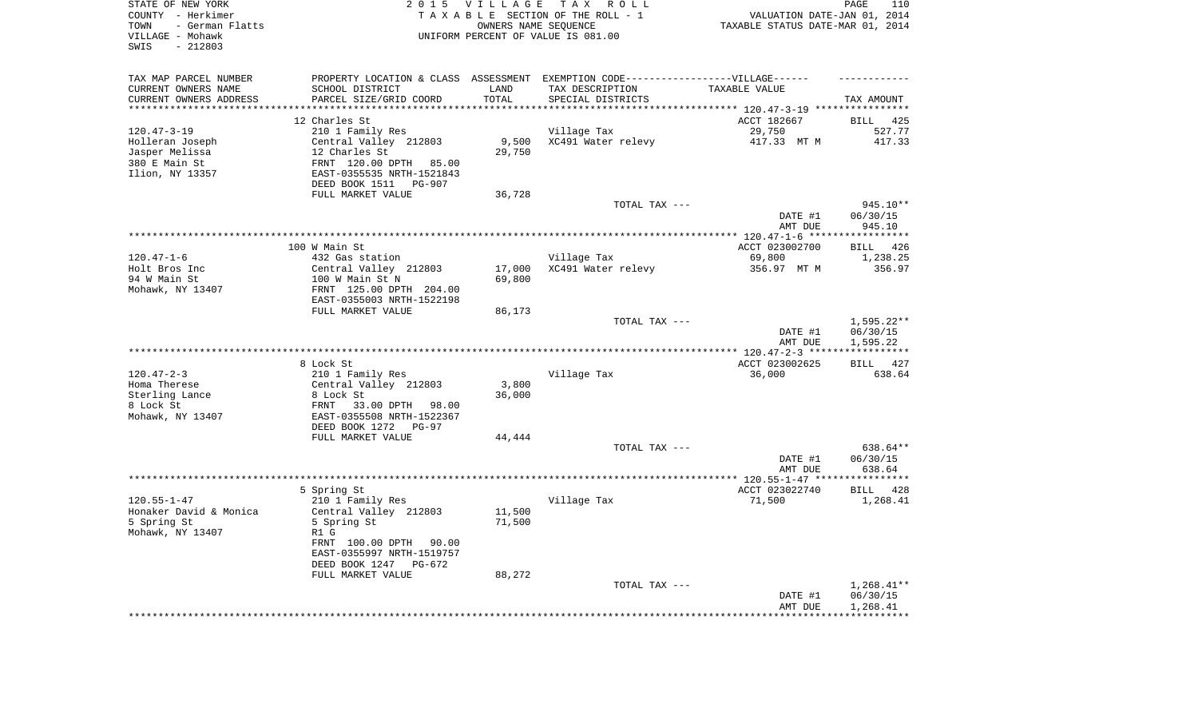| STATE OF NEW YORK<br>COUNTY - Herkimer<br>- German Flatts<br>TOWN<br>VILLAGE - Mohawk<br>$-212803$<br>SWIS | 2 0 1 5                                                                                              | <b>VILLAGE</b><br>OWNERS NAME SEQUENCE | TAX ROLL<br>TAXABLE SECTION OF THE ROLL - 1<br>UNIFORM PERCENT OF VALUE IS 081.00 | VALUATION DATE-JAN 01, 2014<br>TAXABLE STATUS DATE-MAR 01, 2014 | PAGE<br>110          |
|------------------------------------------------------------------------------------------------------------|------------------------------------------------------------------------------------------------------|----------------------------------------|-----------------------------------------------------------------------------------|-----------------------------------------------------------------|----------------------|
| TAX MAP PARCEL NUMBER<br>CURRENT OWNERS NAME                                                               | PROPERTY LOCATION & CLASS ASSESSMENT EXEMPTION CODE-----------------VILLAGE------<br>SCHOOL DISTRICT | LAND                                   | TAX DESCRIPTION                                                                   | TAXABLE VALUE                                                   |                      |
| CURRENT OWNERS ADDRESS                                                                                     | PARCEL SIZE/GRID COORD                                                                               | TOTAL                                  | SPECIAL DISTRICTS                                                                 |                                                                 | TAX AMOUNT           |
| ***********************                                                                                    |                                                                                                      |                                        |                                                                                   |                                                                 |                      |
|                                                                                                            | 12 Charles St                                                                                        |                                        |                                                                                   | ACCT 182667                                                     | <b>BILL</b><br>425   |
| $120.47 - 3 - 19$                                                                                          | 210 1 Family Res                                                                                     |                                        | Village Tax                                                                       | 29,750                                                          | 527.77               |
| Holleran Joseph<br>Jasper Melissa                                                                          | Central Valley 212803<br>12 Charles St                                                               | 9,500<br>29,750                        | XC491 Water relevy                                                                | 417.33 MT M                                                     | 417.33               |
| 380 E Main St                                                                                              | FRNT 120.00 DPTH<br>85.00                                                                            |                                        |                                                                                   |                                                                 |                      |
| Ilion, NY 13357                                                                                            | EAST-0355535 NRTH-1521843<br>DEED BOOK 1511<br>PG-907                                                |                                        |                                                                                   |                                                                 |                      |
|                                                                                                            | FULL MARKET VALUE                                                                                    | 36,728                                 |                                                                                   |                                                                 |                      |
|                                                                                                            |                                                                                                      |                                        | TOTAL TAX ---                                                                     |                                                                 | 945.10**             |
|                                                                                                            |                                                                                                      |                                        |                                                                                   | DATE #1<br>AMT DUE                                              | 06/30/15<br>945.10   |
|                                                                                                            |                                                                                                      |                                        |                                                                                   |                                                                 |                      |
|                                                                                                            | 100 W Main St                                                                                        |                                        |                                                                                   | ACCT 023002700                                                  | <b>BILL</b><br>426   |
| $120.47 - 1 - 6$<br>Holt Bros Inc                                                                          | 432 Gas station<br>Central Valley 212803                                                             | 17,000                                 | Village Tax<br>XC491 Water relevy                                                 | 69,800<br>356.97 MT M                                           | 1,238.25<br>356.97   |
| 94 W Main St                                                                                               | 100 W Main St N                                                                                      | 69,800                                 |                                                                                   |                                                                 |                      |
| Mohawk, NY 13407                                                                                           | FRNT 125.00 DPTH 204.00                                                                              |                                        |                                                                                   |                                                                 |                      |
|                                                                                                            | EAST-0355003 NRTH-1522198                                                                            |                                        |                                                                                   |                                                                 |                      |
|                                                                                                            | FULL MARKET VALUE                                                                                    | 86,173                                 |                                                                                   |                                                                 |                      |
|                                                                                                            |                                                                                                      |                                        | TOTAL TAX ---                                                                     |                                                                 | 1,595.22**           |
|                                                                                                            |                                                                                                      |                                        |                                                                                   | DATE #1<br>AMT DUE                                              | 06/30/15<br>1,595.22 |
|                                                                                                            | 8 Lock St                                                                                            |                                        |                                                                                   | ACCT 023002625                                                  | <b>BILL</b><br>427   |
| $120.47 - 2 - 3$                                                                                           | 210 1 Family Res                                                                                     |                                        | Village Tax                                                                       | 36,000                                                          | 638.64               |
| Homa Therese                                                                                               | Central Valley 212803                                                                                | 3,800                                  |                                                                                   |                                                                 |                      |
| Sterling Lance                                                                                             | 8 Lock St                                                                                            | 36,000                                 |                                                                                   |                                                                 |                      |
| 8 Lock St                                                                                                  | 33.00 DPTH 98.00<br>FRNT                                                                             |                                        |                                                                                   |                                                                 |                      |
| Mohawk, NY 13407                                                                                           | EAST-0355508 NRTH-1522367                                                                            |                                        |                                                                                   |                                                                 |                      |
|                                                                                                            | DEED BOOK 1272<br><b>PG-97</b>                                                                       |                                        |                                                                                   |                                                                 |                      |
|                                                                                                            | FULL MARKET VALUE                                                                                    | 44,444                                 | TOTAL TAX ---                                                                     |                                                                 | 638.64**             |
|                                                                                                            |                                                                                                      |                                        |                                                                                   | DATE #1                                                         | 06/30/15             |
|                                                                                                            |                                                                                                      |                                        |                                                                                   | AMT DUE                                                         | 638.64               |
|                                                                                                            |                                                                                                      |                                        |                                                                                   |                                                                 |                      |
|                                                                                                            | 5 Spring St                                                                                          |                                        |                                                                                   | ACCT 023022740                                                  | BILL<br>428          |
| $120.55 - 1 - 47$                                                                                          | 210 1 Family Res                                                                                     |                                        | Village Tax                                                                       | 71,500                                                          | 1,268.41             |
| Honaker David & Monica                                                                                     | Central Valley 212803                                                                                | 11,500                                 |                                                                                   |                                                                 |                      |
| 5 Spring St<br>Mohawk, NY 13407                                                                            | 5 Spring St<br>R1 G                                                                                  | 71,500                                 |                                                                                   |                                                                 |                      |
|                                                                                                            | FRNT 100.00 DPTH 90.00                                                                               |                                        |                                                                                   |                                                                 |                      |
|                                                                                                            | EAST-0355997 NRTH-1519757                                                                            |                                        |                                                                                   |                                                                 |                      |
|                                                                                                            | DEED BOOK 1247<br>PG-672                                                                             |                                        |                                                                                   |                                                                 |                      |
|                                                                                                            | FULL MARKET VALUE                                                                                    | 88,272                                 |                                                                                   |                                                                 |                      |
|                                                                                                            |                                                                                                      |                                        | TOTAL TAX ---                                                                     |                                                                 | $1,268.41**$         |
|                                                                                                            |                                                                                                      |                                        |                                                                                   | DATE #1<br>AMT DUE                                              | 06/30/15<br>1,268.41 |
|                                                                                                            |                                                                                                      |                                        |                                                                                   |                                                                 | ***********          |
|                                                                                                            |                                                                                                      |                                        |                                                                                   |                                                                 |                      |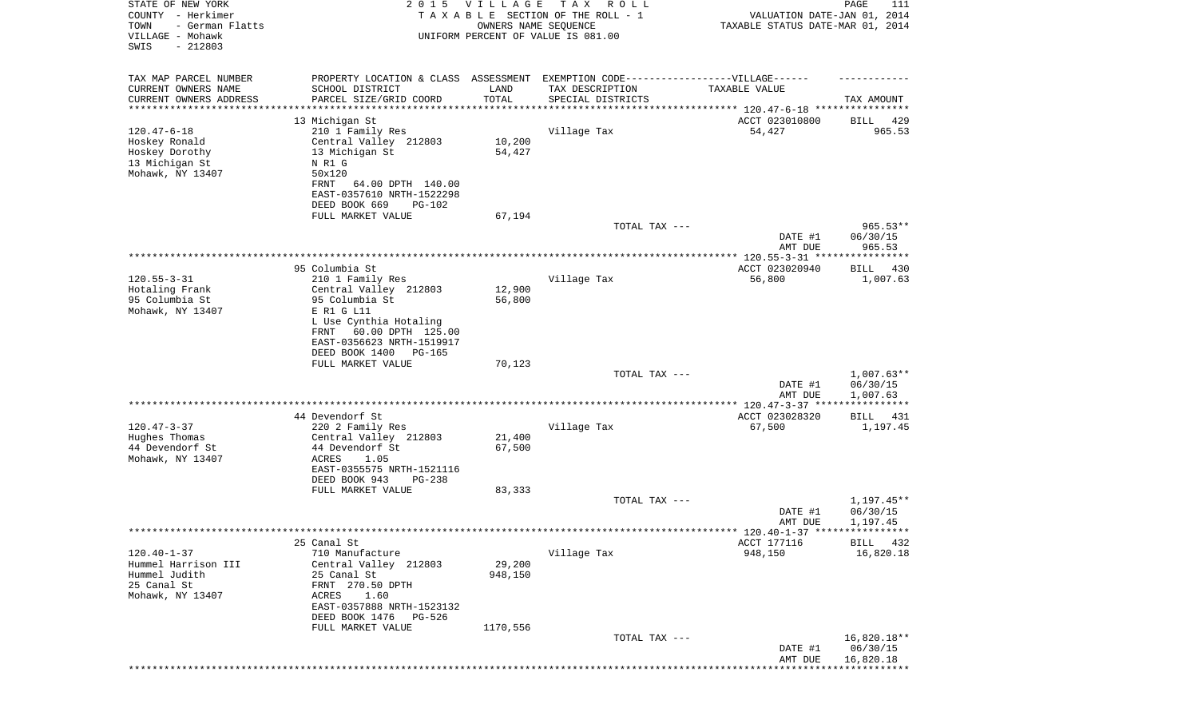| STATE OF NEW YORK<br>COUNTY - Herkimer<br>TOWN<br>- German Flatts<br>VILLAGE - Mohawk<br>SWIS<br>$-212803$ | 2 0 1 5                                                                                                                                                                                   | VILLAGE<br>OWNERS NAME SEQUENCE | T A X<br>R O L L<br>TAXABLE SECTION OF THE ROLL - 1<br>UNIFORM PERCENT OF VALUE IS 081.00                                | VALUATION DATE-JAN 01, 2014<br>TAXABLE STATUS DATE-MAR 01, 2014 | PAGE<br>111                          |
|------------------------------------------------------------------------------------------------------------|-------------------------------------------------------------------------------------------------------------------------------------------------------------------------------------------|---------------------------------|--------------------------------------------------------------------------------------------------------------------------|-----------------------------------------------------------------|--------------------------------------|
| TAX MAP PARCEL NUMBER<br>CURRENT OWNERS NAME<br>CURRENT OWNERS ADDRESS                                     | SCHOOL DISTRICT<br>PARCEL SIZE/GRID COORD                                                                                                                                                 | LAND<br>TOTAL                   | PROPERTY LOCATION & CLASS ASSESSMENT EXEMPTION CODE----------------VILLAGE------<br>TAX DESCRIPTION<br>SPECIAL DISTRICTS | TAXABLE VALUE                                                   | TAX AMOUNT                           |
| ********************                                                                                       |                                                                                                                                                                                           | **********                      | ********************************* 120.47-6-18 ****************                                                           |                                                                 |                                      |
| $120.47 - 6 - 18$<br>Hoskey Ronald<br>Hoskey Dorothy<br>13 Michigan St<br>Mohawk, NY 13407                 | 13 Michigan St<br>210 1 Family Res<br>Central Valley 212803<br>13 Michigan St<br>N R1 G<br>50x120<br>64.00 DPTH 140.00<br>FRNT<br>EAST-0357610 NRTH-1522298                               | 10,200<br>54,427                | Village Tax                                                                                                              | ACCT 023010800<br>54,427                                        | 429<br>BILL<br>965.53                |
|                                                                                                            | DEED BOOK 669<br><b>PG-102</b><br>FULL MARKET VALUE                                                                                                                                       | 67,194                          |                                                                                                                          |                                                                 |                                      |
|                                                                                                            |                                                                                                                                                                                           |                                 | TOTAL TAX ---                                                                                                            | DATE #1                                                         | $965.53**$<br>06/30/15               |
|                                                                                                            |                                                                                                                                                                                           |                                 |                                                                                                                          | AMT DUE                                                         | 965.53                               |
|                                                                                                            | 95 Columbia St                                                                                                                                                                            |                                 |                                                                                                                          | ACCT 023020940                                                  | BILL<br>430                          |
| $120.55 - 3 - 31$<br>Hotaling Frank<br>95 Columbia St                                                      | 210 1 Family Res<br>Central Valley 212803<br>95 Columbia St                                                                                                                               | 12,900<br>56,800                | Village Tax                                                                                                              | 56,800                                                          | 1,007.63                             |
| Mohawk, NY 13407                                                                                           | E R1 G L11<br>L Use Cynthia Hotaling<br>FRNT<br>60.00 DPTH 125.00<br>EAST-0356623 NRTH-1519917<br>DEED BOOK 1400<br>PG-165                                                                |                                 |                                                                                                                          |                                                                 |                                      |
|                                                                                                            | FULL MARKET VALUE                                                                                                                                                                         | 70,123                          | TOTAL TAX ---                                                                                                            |                                                                 | $1,007.63**$                         |
|                                                                                                            |                                                                                                                                                                                           |                                 |                                                                                                                          | DATE #1<br>AMT DUE                                              | 06/30/15<br>1,007.63                 |
|                                                                                                            | 44 Devendorf St                                                                                                                                                                           |                                 |                                                                                                                          | *********** 120.47-3-37 ****<br>ACCT 023028320                  | ***********<br>BILL 431              |
| $120.47 - 3 - 37$<br>Hughes Thomas<br>44 Devendorf St<br>Mohawk, NY 13407                                  | 220 2 Family Res<br>Central Valley 212803<br>44 Devendorf St<br>ACRES<br>1.05<br>EAST-0355575 NRTH-1521116<br>DEED BOOK 943<br>$PG-238$                                                   | 21,400<br>67,500                | Village Tax                                                                                                              | 67,500                                                          | 1,197.45                             |
|                                                                                                            | FULL MARKET VALUE                                                                                                                                                                         | 83,333                          |                                                                                                                          |                                                                 |                                      |
|                                                                                                            |                                                                                                                                                                                           |                                 | TOTAL TAX ---                                                                                                            | DATE #1<br>AMT DUE                                              | $1,197.45**$<br>06/30/15<br>1,197.45 |
|                                                                                                            |                                                                                                                                                                                           |                                 |                                                                                                                          | ****** 120.40-1-37 *****************                            |                                      |
| $120.40 - 1 - 37$<br>Hummel Harrison III<br>Hummel Judith<br>25 Canal St<br>Mohawk, NY 13407               | 25 Canal St<br>710 Manufacture<br>Central Valley 212803<br>25 Canal St<br>FRNT 270.50 DPTH<br>1.60<br>ACRES<br>EAST-0357888 NRTH-1523132<br>DEED BOOK 1476<br>PG-526<br>FULL MARKET VALUE | 29,200<br>948,150<br>1170,556   | Village Tax                                                                                                              | ACCT 177116<br>948,150                                          | <b>BILL</b><br>432<br>16,820.18      |
|                                                                                                            |                                                                                                                                                                                           |                                 | TOTAL TAX ---                                                                                                            | DATE #1<br>AMT DUE                                              | 16,820.18**<br>06/30/15<br>16,820.18 |
|                                                                                                            |                                                                                                                                                                                           |                                 |                                                                                                                          |                                                                 |                                      |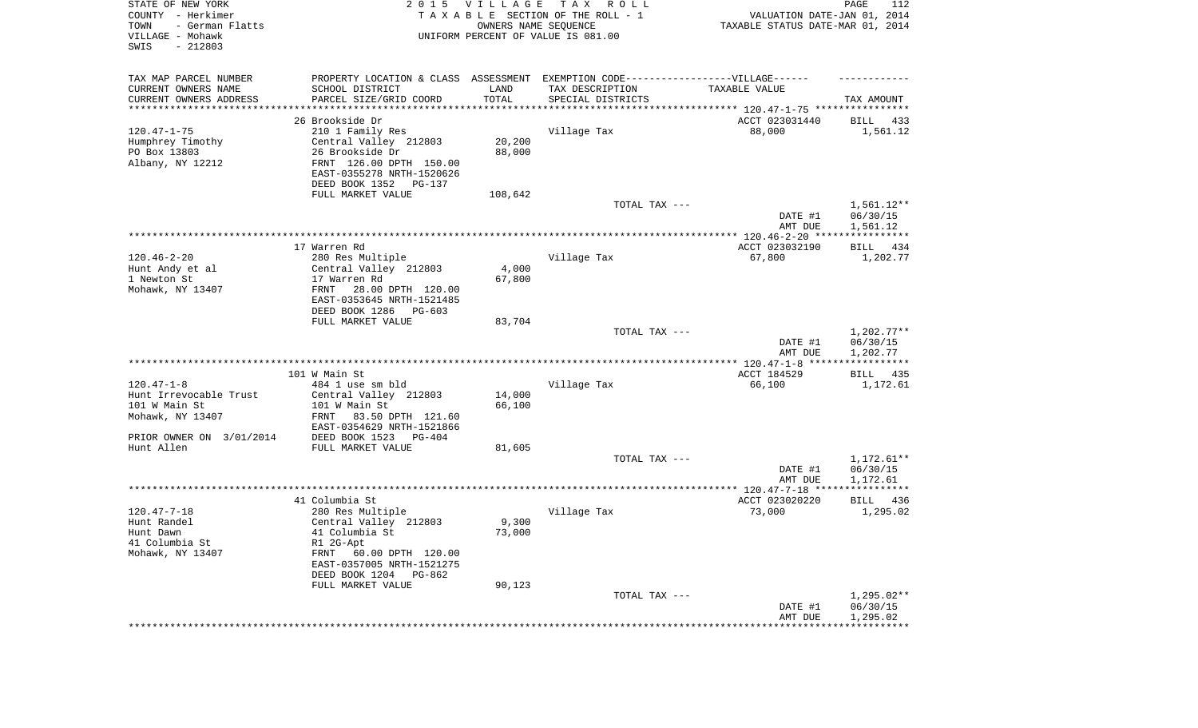| STATE OF NEW YORK<br>COUNTY - Herkimer<br>TOWN<br>- German Flatts<br>VILLAGE - Mohawk<br>SWIS<br>$-212803$ | 2 0 1 5                                                                          | VILLAGE<br>OWNERS NAME SEQUENCE | TAX ROLL<br>TAXABLE SECTION OF THE ROLL - 1<br>UNIFORM PERCENT OF VALUE IS 081.00 | VALUATION DATE-JAN 01, 2014<br>TAXABLE STATUS DATE-MAR 01, 2014 | PAGE<br>112        |
|------------------------------------------------------------------------------------------------------------|----------------------------------------------------------------------------------|---------------------------------|-----------------------------------------------------------------------------------|-----------------------------------------------------------------|--------------------|
| TAX MAP PARCEL NUMBER                                                                                      | PROPERTY LOCATION & CLASS ASSESSMENT EXEMPTION CODE----------------VILLAGE------ |                                 |                                                                                   |                                                                 |                    |
| CURRENT OWNERS NAME                                                                                        | SCHOOL DISTRICT                                                                  | LAND<br>TOTAL                   | TAX DESCRIPTION                                                                   | TAXABLE VALUE                                                   |                    |
| CURRENT OWNERS ADDRESS<br>*********************                                                            | PARCEL SIZE/GRID COORD<br>********************                                   |                                 | SPECIAL DISTRICTS                                                                 |                                                                 | TAX AMOUNT         |
|                                                                                                            | 26 Brookside Dr                                                                  |                                 |                                                                                   | ACCT 023031440                                                  | BILL<br>433        |
| $120.47 - 1 - 75$                                                                                          | 210 1 Family Res                                                                 |                                 | Village Tax                                                                       | 88,000                                                          | 1,561.12           |
| Humphrey Timothy                                                                                           | Central Valley 212803                                                            | 20,200                          |                                                                                   |                                                                 |                    |
| PO Box 13803                                                                                               | 26 Brookside Dr                                                                  | 88,000                          |                                                                                   |                                                                 |                    |
| Albany, NY 12212                                                                                           | FRNT 126.00 DPTH 150.00<br>EAST-0355278 NRTH-1520626                             |                                 |                                                                                   |                                                                 |                    |
|                                                                                                            | DEED BOOK 1352<br>PG-137                                                         |                                 |                                                                                   |                                                                 |                    |
|                                                                                                            | FULL MARKET VALUE                                                                | 108,642                         |                                                                                   |                                                                 |                    |
|                                                                                                            |                                                                                  |                                 | TOTAL TAX ---                                                                     |                                                                 | $1,561.12**$       |
|                                                                                                            |                                                                                  |                                 |                                                                                   | DATE #1                                                         | 06/30/15           |
|                                                                                                            |                                                                                  |                                 |                                                                                   | AMT DUE                                                         | 1,561.12           |
|                                                                                                            | 17 Warren Rd                                                                     |                                 |                                                                                   | ACCT 023032190                                                  | 434<br>BILL        |
| $120.46 - 2 - 20$                                                                                          | 280 Res Multiple                                                                 |                                 | Village Tax                                                                       | 67,800                                                          | 1,202.77           |
| Hunt Andy et al                                                                                            | Central Valley 212803                                                            | 4,000                           |                                                                                   |                                                                 |                    |
| 1 Newton St                                                                                                | 17 Warren Rd                                                                     | 67,800                          |                                                                                   |                                                                 |                    |
| Mohawk, NY 13407                                                                                           | FRNT<br>28.00 DPTH 120.00                                                        |                                 |                                                                                   |                                                                 |                    |
|                                                                                                            | EAST-0353645 NRTH-1521485<br>DEED BOOK 1286<br>PG-603                            |                                 |                                                                                   |                                                                 |                    |
|                                                                                                            | FULL MARKET VALUE                                                                | 83,704                          |                                                                                   |                                                                 |                    |
|                                                                                                            |                                                                                  |                                 | TOTAL TAX ---                                                                     |                                                                 | $1,202.77**$       |
|                                                                                                            |                                                                                  |                                 |                                                                                   | DATE #1                                                         | 06/30/15           |
|                                                                                                            |                                                                                  |                                 |                                                                                   | AMT DUE                                                         | 1,202.77           |
|                                                                                                            | 101 W Main St                                                                    |                                 |                                                                                   | ACCT 184529                                                     | BILL 435           |
| $120.47 - 1 - 8$                                                                                           | 484 1 use sm bld                                                                 |                                 | Village Tax                                                                       | 66,100                                                          | 1,172.61           |
| Hunt Irrevocable Trust                                                                                     | Central Valley 212803                                                            | 14,000                          |                                                                                   |                                                                 |                    |
| 101 W Main St                                                                                              | 101 W Main St                                                                    | 66,100                          |                                                                                   |                                                                 |                    |
| Mohawk, NY 13407                                                                                           | FRNT<br>83.50 DPTH 121.60                                                        |                                 |                                                                                   |                                                                 |                    |
|                                                                                                            | EAST-0354629 NRTH-1521866                                                        |                                 |                                                                                   |                                                                 |                    |
| PRIOR OWNER ON 3/01/2014<br>Hunt Allen                                                                     | DEED BOOK 1523<br>PG-404<br>FULL MARKET VALUE                                    | 81,605                          |                                                                                   |                                                                 |                    |
|                                                                                                            |                                                                                  |                                 | TOTAL TAX ---                                                                     |                                                                 | $1,172.61**$       |
|                                                                                                            |                                                                                  |                                 |                                                                                   | DATE #1                                                         | 06/30/15           |
|                                                                                                            |                                                                                  |                                 |                                                                                   | AMT DUE                                                         | 1,172.61           |
|                                                                                                            |                                                                                  |                                 |                                                                                   |                                                                 |                    |
| $120.47 - 7 - 18$                                                                                          | 41 Columbia St                                                                   |                                 | Village Tax                                                                       | ACCT 023020220                                                  | <b>BILL</b><br>436 |
| Hunt Randel                                                                                                | 280 Res Multiple<br>Central Valley 212803                                        | 9,300                           |                                                                                   | 73,000                                                          | 1,295.02           |
| Hunt Dawn                                                                                                  | 41 Columbia St                                                                   | 73,000                          |                                                                                   |                                                                 |                    |
| 41 Columbia St                                                                                             | R1 2G-Apt                                                                        |                                 |                                                                                   |                                                                 |                    |
| Mohawk, NY 13407                                                                                           | FRNT<br>60.00 DPTH 120.00                                                        |                                 |                                                                                   |                                                                 |                    |
|                                                                                                            | EAST-0357005 NRTH-1521275                                                        |                                 |                                                                                   |                                                                 |                    |
|                                                                                                            | DEED BOOK 1204 PG-862                                                            |                                 |                                                                                   |                                                                 |                    |
|                                                                                                            | FULL MARKET VALUE                                                                | 90,123                          | TOTAL TAX ---                                                                     |                                                                 | $1,295.02**$       |
|                                                                                                            |                                                                                  |                                 |                                                                                   | DATE #1                                                         | 06/30/15           |
|                                                                                                            |                                                                                  |                                 |                                                                                   | AMT DUE                                                         | 1,295.02           |
|                                                                                                            |                                                                                  |                                 |                                                                                   | ********************************                                |                    |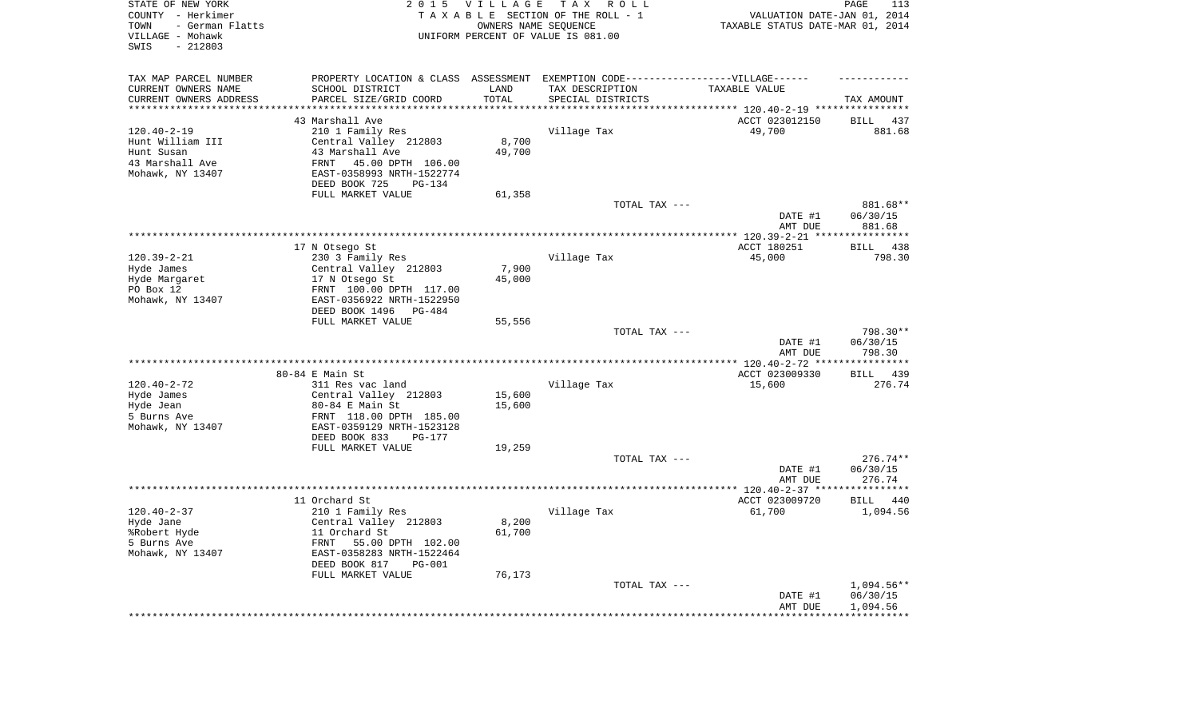| TAXABLE STATUS DATE-MAR 01, 2014<br>TOWN<br>- German Flatts<br>OWNERS NAME SEQUENCE<br>VILLAGE - Mohawk<br>UNIFORM PERCENT OF VALUE IS 081.00<br>$-212803$<br>SWIS | VALUATION DATE-JAN 01, 2014 |
|--------------------------------------------------------------------------------------------------------------------------------------------------------------------|-----------------------------|
| TAX MAP PARCEL NUMBER<br>PROPERTY LOCATION & CLASS ASSESSMENT EXEMPTION CODE-----------------VILLAGE------                                                         |                             |
| CURRENT OWNERS NAME<br>SCHOOL DISTRICT<br>LAND<br>TAX DESCRIPTION<br>TAXABLE VALUE                                                                                 |                             |
| CURRENT OWNERS ADDRESS<br>PARCEL SIZE/GRID COORD<br>TOTAL<br>SPECIAL DISTRICTS<br>*********<br>********************<br>*********************                       | TAX AMOUNT                  |
| 43 Marshall Ave                                                                                                                                                    |                             |
| ACCT 023012150<br><b>BILL</b><br>$120.40 - 2 - 19$<br>210 1 Family Res<br>Village Tax<br>49,700                                                                    | 437<br>881.68               |
| 8,700<br>Hunt William III<br>Central Valley 212803                                                                                                                 |                             |
| 49,700<br>Hunt Susan<br>43 Marshall Ave                                                                                                                            |                             |
| 43 Marshall Ave<br>45.00 DPTH 106.00<br>FRNT                                                                                                                       |                             |
| Mohawk, NY 13407<br>EAST-0358993 NRTH-1522774                                                                                                                      |                             |
| DEED BOOK 725<br>PG-134<br>FULL MARKET VALUE<br>61,358                                                                                                             |                             |
| TOTAL TAX ---                                                                                                                                                      | 881.68**                    |
| DATE #1<br>AMT DUE                                                                                                                                                 | 06/30/15<br>881.68          |
| *************************************<br>*** $120.39 - 2 - 21$ **                                                                                                  | ***********                 |
| 17 N Otsego St<br>ACCT 180251<br><b>BILL</b>                                                                                                                       | 438                         |
| $120.39 - 2 - 21$<br>230 3 Family Res<br>Village Tax<br>45,000                                                                                                     | 798.30                      |
| 7,900<br>Hyde James<br>Central Valley 212803                                                                                                                       |                             |
| 45,000<br>Hyde Margaret<br>17 N Otsego St                                                                                                                          |                             |
| PO Box 12<br>FRNT 100.00 DPTH 117.00                                                                                                                               |                             |
| Mohawk, NY 13407<br>EAST-0356922 NRTH-1522950<br>DEED BOOK 1496 PG-484                                                                                             |                             |
| FULL MARKET VALUE<br>55,556                                                                                                                                        |                             |
| TOTAL TAX ---<br>DATE #1                                                                                                                                           | 798.30**<br>06/30/15        |
| AMT DUE<br>*********************                                                                                                                                   | 798.30<br>*********         |
| $***$ 120.40-2-72 **<br>80-84 E Main St<br>ACCT 023009330<br>BILL                                                                                                  | 439                         |
| $120.40 - 2 - 72$<br>311 Res vac land<br>Village Tax<br>15,600                                                                                                     | 276.74                      |
| Hyde James<br>Central Valley 212803<br>15,600                                                                                                                      |                             |
| 15,600<br>Hyde Jean<br>80-84 E Main St                                                                                                                             |                             |
| 5 Burns Ave<br>FRNT 118.00 DPTH 185.00                                                                                                                             |                             |
| Mohawk, NY 13407<br>EAST-0359129 NRTH-1523128                                                                                                                      |                             |
| DEED BOOK 833<br>$PG-177$                                                                                                                                          |                             |
| FULL MARKET VALUE<br>19,259                                                                                                                                        |                             |
| TOTAL TAX ---                                                                                                                                                      | $276.74**$                  |
| DATE #1                                                                                                                                                            | 06/30/15                    |
| AMT DUE<br>*******************<br>************ 120.40-2-37 *****************                                                                                       | 276.74                      |
| ACCT 023009720<br>11 Orchard St<br>BILL                                                                                                                            | 440                         |
| $120.40 - 2 - 37$<br>Village Tax<br>61,700<br>210 1 Family Res                                                                                                     | 1,094.56                    |
| 8,200<br>Hyde Jane<br>Central Valley 212803                                                                                                                        |                             |
| 61,700<br>%Robert Hyde<br>11 Orchard St                                                                                                                            |                             |
| 5 Burns Ave<br>FRNT<br>55.00 DPTH 102.00                                                                                                                           |                             |
| Mohawk, NY 13407<br>EAST-0358283 NRTH-1522464                                                                                                                      |                             |
| DEED BOOK 817<br>$PG-001$                                                                                                                                          |                             |
| FULL MARKET VALUE<br>76,173                                                                                                                                        |                             |
| TOTAL TAX ---                                                                                                                                                      | $1,094.56**$                |
| DATE #1<br>AMT DUE                                                                                                                                                 | 06/30/15<br>1,094.56        |
|                                                                                                                                                                    |                             |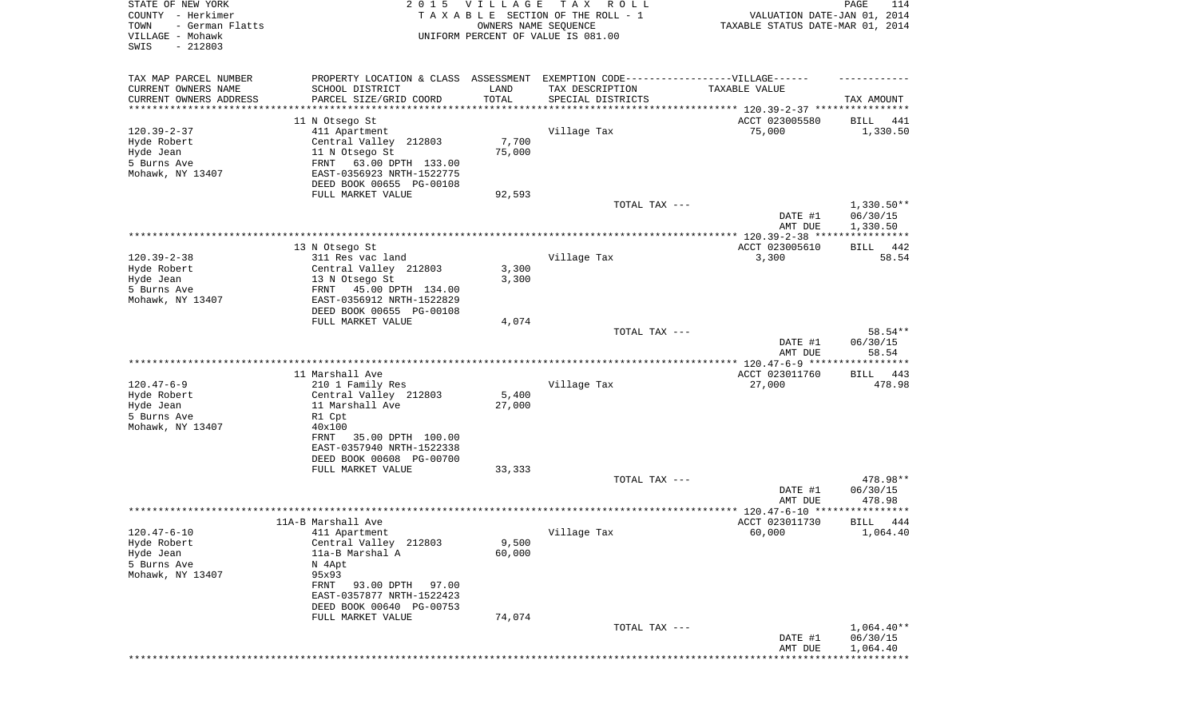| STATE OF NEW YORK<br>COUNTY - Herkimer<br>- German Flatts<br>TOWN<br>VILLAGE - Mohawk<br>SWIS<br>$-212803$ | 2 0 1 5                                   | <b>VILLAGE</b> | T A X<br>R O L L<br>TAXABLE SECTION OF THE ROLL - 1<br>OWNERS NAME SEQUENCE<br>UNIFORM PERCENT OF VALUE IS 081.00 | VALUATION DATE-JAN 01, 2014<br>TAXABLE STATUS DATE-MAR 01, 2014 | PAGE<br>114                  |
|------------------------------------------------------------------------------------------------------------|-------------------------------------------|----------------|-------------------------------------------------------------------------------------------------------------------|-----------------------------------------------------------------|------------------------------|
| TAX MAP PARCEL NUMBER                                                                                      |                                           |                | PROPERTY LOCATION & CLASS ASSESSMENT EXEMPTION CODE-----------------VILLAGE------                                 |                                                                 |                              |
| CURRENT OWNERS NAME                                                                                        | SCHOOL DISTRICT                           | LAND           | TAX DESCRIPTION                                                                                                   | TAXABLE VALUE                                                   |                              |
| CURRENT OWNERS ADDRESS<br>********************                                                             | PARCEL SIZE/GRID COORD                    | TOTAL          | SPECIAL DISTRICTS                                                                                                 |                                                                 | TAX AMOUNT                   |
|                                                                                                            | 11 N Otsego St                            |                |                                                                                                                   | ACCT 023005580                                                  | BILL 441                     |
| $120.39 - 2 - 37$                                                                                          | 411 Apartment                             |                | Village Tax                                                                                                       | 75,000                                                          | 1,330.50                     |
| Hyde Robert                                                                                                | Central Valley 212803                     | 7,700          |                                                                                                                   |                                                                 |                              |
| Hyde Jean                                                                                                  | 11 N Otsego St                            | 75,000         |                                                                                                                   |                                                                 |                              |
| 5 Burns Ave                                                                                                | FRNT<br>63.00 DPTH 133.00                 |                |                                                                                                                   |                                                                 |                              |
| Mohawk, NY 13407                                                                                           | EAST-0356923 NRTH-1522775                 |                |                                                                                                                   |                                                                 |                              |
|                                                                                                            | DEED BOOK 00655 PG-00108                  |                |                                                                                                                   |                                                                 |                              |
|                                                                                                            | FULL MARKET VALUE                         | 92,593         | TOTAL TAX ---                                                                                                     |                                                                 | $1,330.50**$                 |
|                                                                                                            |                                           |                |                                                                                                                   | DATE #1<br>AMT DUE                                              | 06/30/15<br>1,330.50         |
|                                                                                                            |                                           |                |                                                                                                                   |                                                                 |                              |
|                                                                                                            | 13 N Otsego St                            |                |                                                                                                                   | ACCT 023005610                                                  | 442<br>BILL                  |
| $120.39 - 2 - 38$<br>Hyde Robert                                                                           | 311 Res vac land<br>Central Valley 212803 | 3,300          | Village Tax                                                                                                       | 3,300                                                           | 58.54                        |
| Hyde Jean                                                                                                  | 13 N Otsego St                            | 3,300          |                                                                                                                   |                                                                 |                              |
| 5 Burns Ave                                                                                                | 45.00 DPTH 134.00<br>FRNT                 |                |                                                                                                                   |                                                                 |                              |
| Mohawk, NY 13407                                                                                           | EAST-0356912 NRTH-1522829                 |                |                                                                                                                   |                                                                 |                              |
|                                                                                                            | DEED BOOK 00655 PG-00108                  |                |                                                                                                                   |                                                                 |                              |
|                                                                                                            | FULL MARKET VALUE                         | 4,074          |                                                                                                                   |                                                                 |                              |
|                                                                                                            |                                           |                | TOTAL TAX ---                                                                                                     | DATE #1<br>AMT DUE                                              | 58.54**<br>06/30/15<br>58.54 |
|                                                                                                            |                                           |                |                                                                                                                   |                                                                 |                              |
|                                                                                                            | 11 Marshall Ave                           |                |                                                                                                                   | ACCT 023011760                                                  | BILL 443                     |
| $120.47 - 6 - 9$                                                                                           | 210 1 Family Res                          |                | Village Tax                                                                                                       | 27,000                                                          | 478.98                       |
| Hyde Robert                                                                                                | Central Valley 212803                     | 5,400          |                                                                                                                   |                                                                 |                              |
| Hyde Jean                                                                                                  | 11 Marshall Ave                           | 27,000         |                                                                                                                   |                                                                 |                              |
| 5 Burns Ave<br>Mohawk, NY 13407                                                                            | R1 Cpt<br>40x100                          |                |                                                                                                                   |                                                                 |                              |
|                                                                                                            | 35.00 DPTH 100.00<br>FRNT                 |                |                                                                                                                   |                                                                 |                              |
|                                                                                                            | EAST-0357940 NRTH-1522338                 |                |                                                                                                                   |                                                                 |                              |
|                                                                                                            | DEED BOOK 00608 PG-00700                  |                |                                                                                                                   |                                                                 |                              |
|                                                                                                            | FULL MARKET VALUE                         | 33,333         |                                                                                                                   |                                                                 |                              |
|                                                                                                            |                                           |                | TOTAL TAX ---                                                                                                     |                                                                 | 478.98**                     |
|                                                                                                            |                                           |                |                                                                                                                   | DATE #1<br>AMT DUE                                              | 06/30/15<br>478.98           |
|                                                                                                            |                                           |                |                                                                                                                   |                                                                 |                              |
|                                                                                                            | 11A-B Marshall Ave                        |                |                                                                                                                   | ACCT 023011730                                                  | 444<br>BILL                  |
| $120.47 - 6 - 10$                                                                                          | 411 Apartment                             |                | Village Tax                                                                                                       | 60,000                                                          | 1,064.40                     |
| Hyde Robert                                                                                                | Central Valley 212803                     | 9,500          |                                                                                                                   |                                                                 |                              |
| Hyde Jean                                                                                                  | 11a-B Marshal A                           | 60,000         |                                                                                                                   |                                                                 |                              |
| 5 Burns Ave<br>Mohawk, NY 13407                                                                            | N 4Apt<br>95x93                           |                |                                                                                                                   |                                                                 |                              |
|                                                                                                            | FRNT 93.00 DPTH<br>97.00                  |                |                                                                                                                   |                                                                 |                              |
|                                                                                                            | EAST-0357877 NRTH-1522423                 |                |                                                                                                                   |                                                                 |                              |
|                                                                                                            | DEED BOOK 00640 PG-00753                  |                |                                                                                                                   |                                                                 |                              |
|                                                                                                            | FULL MARKET VALUE                         | 74,074         |                                                                                                                   |                                                                 |                              |
|                                                                                                            |                                           |                | TOTAL TAX ---                                                                                                     |                                                                 | $1,064.40**$                 |
|                                                                                                            |                                           |                |                                                                                                                   | DATE #1                                                         | 06/30/15                     |
|                                                                                                            |                                           |                |                                                                                                                   | AMT DUE                                                         | 1,064.40<br>**************   |
|                                                                                                            |                                           |                |                                                                                                                   |                                                                 |                              |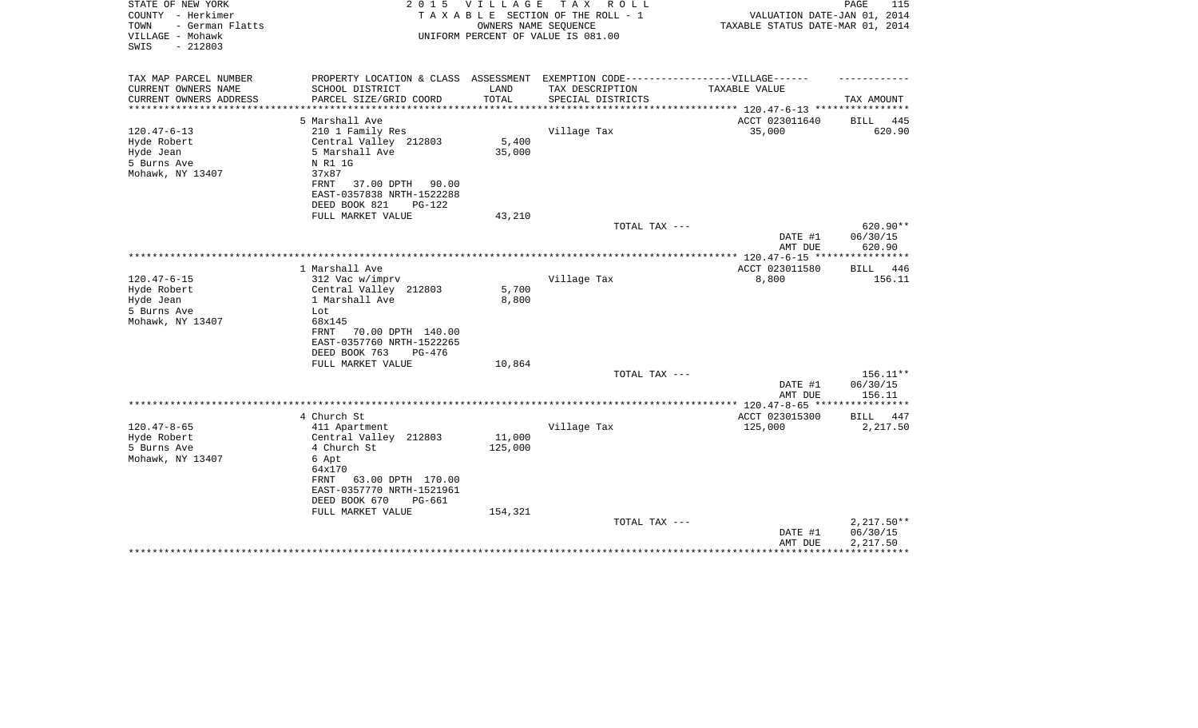| STATE OF NEW YORK<br>COUNTY - Herkimer<br>- German Flatts<br>TOWN<br>VILLAGE - Mohawk | 2 0 1 5                                                | V I L L A G E        | T A X<br>R O L L<br>TAXABLE SECTION OF THE ROLL - 1<br>OWNERS NAME SEQUENCE<br>UNIFORM PERCENT OF VALUE IS 081.00 | VALUATION DATE-JAN 01, 2014<br>TAXABLE STATUS DATE-MAR 01, 2014 | 115<br>PAGE  |
|---------------------------------------------------------------------------------------|--------------------------------------------------------|----------------------|-------------------------------------------------------------------------------------------------------------------|-----------------------------------------------------------------|--------------|
| SWIS<br>$-212803$                                                                     |                                                        |                      |                                                                                                                   |                                                                 |              |
| TAX MAP PARCEL NUMBER                                                                 | PROPERTY LOCATION & CLASS ASSESSMENT                   |                      | EXEMPTION CODE------------------VILLAGE------                                                                     |                                                                 |              |
| CURRENT OWNERS NAME                                                                   | SCHOOL DISTRICT                                        | LAND                 | TAX DESCRIPTION                                                                                                   | TAXABLE VALUE                                                   |              |
| CURRENT OWNERS ADDRESS<br>**************                                              | PARCEL SIZE/GRID COORD<br>*************************    | TOTAL<br>*********** | SPECIAL DISTRICTS                                                                                                 | ******************** 120.47-6-13 *****************              | TAX AMOUNT   |
|                                                                                       | 5 Marshall Ave                                         |                      |                                                                                                                   | ACCT 023011640                                                  | BILL 445     |
| $120.47 - 6 - 13$                                                                     | 210 1 Family Res                                       |                      | Village Tax                                                                                                       | 35,000                                                          | 620.90       |
| Hyde Robert                                                                           | Central Valley 212803                                  | 5,400                |                                                                                                                   |                                                                 |              |
| Hyde Jean                                                                             | 5 Marshall Ave                                         | 35,000               |                                                                                                                   |                                                                 |              |
| 5 Burns Ave                                                                           | N R1 1G                                                |                      |                                                                                                                   |                                                                 |              |
| Mohawk, NY 13407                                                                      | 37x87                                                  |                      |                                                                                                                   |                                                                 |              |
|                                                                                       | 37.00 DPTH 90.00<br>FRNT                               |                      |                                                                                                                   |                                                                 |              |
|                                                                                       | EAST-0357838 NRTH-1522288<br>DEED BOOK 821<br>$PG-122$ |                      |                                                                                                                   |                                                                 |              |
|                                                                                       | FULL MARKET VALUE                                      | 43,210               |                                                                                                                   |                                                                 |              |
|                                                                                       |                                                        |                      | TOTAL TAX ---                                                                                                     |                                                                 | 620.90**     |
|                                                                                       |                                                        |                      |                                                                                                                   | DATE #1                                                         | 06/30/15     |
|                                                                                       |                                                        |                      |                                                                                                                   | AMT DUE                                                         | 620.90       |
|                                                                                       |                                                        |                      |                                                                                                                   |                                                                 |              |
|                                                                                       | 1 Marshall Ave                                         |                      |                                                                                                                   | ACCT 023011580                                                  | BILL 446     |
| $120.47 - 6 - 15$                                                                     | 312 Vac w/imprv                                        |                      | Village Tax                                                                                                       | 8,800                                                           | 156.11       |
| Hyde Robert<br>Hyde Jean                                                              | Central Valley 212803<br>1 Marshall Ave                | 5,700<br>8,800       |                                                                                                                   |                                                                 |              |
| 5 Burns Ave                                                                           | Lot                                                    |                      |                                                                                                                   |                                                                 |              |
| Mohawk, NY 13407                                                                      | 68x145                                                 |                      |                                                                                                                   |                                                                 |              |
|                                                                                       | 70.00 DPTH 140.00<br>FRNT                              |                      |                                                                                                                   |                                                                 |              |
|                                                                                       | EAST-0357760 NRTH-1522265                              |                      |                                                                                                                   |                                                                 |              |
|                                                                                       | DEED BOOK 763<br>PG-476                                |                      |                                                                                                                   |                                                                 |              |
|                                                                                       | FULL MARKET VALUE                                      | 10,864               |                                                                                                                   |                                                                 |              |
|                                                                                       |                                                        |                      | TOTAL TAX ---                                                                                                     |                                                                 | $156.11**$   |
|                                                                                       |                                                        |                      |                                                                                                                   | DATE #1                                                         | 06/30/15     |
|                                                                                       |                                                        |                      |                                                                                                                   | AMT DUE<br>************ 120.47-8-65 *****************           | 156.11       |
|                                                                                       | 4 Church St                                            |                      |                                                                                                                   | ACCT 023015300                                                  | BILL 447     |
| $120.47 - 8 - 65$                                                                     | 411 Apartment                                          |                      | Village Tax                                                                                                       | 125,000                                                         | 2,217.50     |
| Hyde Robert                                                                           | Central Valley 212803                                  | 11,000               |                                                                                                                   |                                                                 |              |
| 5 Burns Ave                                                                           | 4 Church St                                            | 125,000              |                                                                                                                   |                                                                 |              |
| Mohawk, NY 13407                                                                      | 6 Apt                                                  |                      |                                                                                                                   |                                                                 |              |
|                                                                                       | 64x170                                                 |                      |                                                                                                                   |                                                                 |              |
|                                                                                       | 63.00 DPTH 170.00<br>FRNT                              |                      |                                                                                                                   |                                                                 |              |
|                                                                                       | EAST-0357770 NRTH-1521961                              |                      |                                                                                                                   |                                                                 |              |
|                                                                                       | DEED BOOK 670<br>PG-661                                |                      |                                                                                                                   |                                                                 |              |
|                                                                                       | FULL MARKET VALUE                                      | 154,321              | TOTAL TAX ---                                                                                                     |                                                                 | $2,217.50**$ |
|                                                                                       |                                                        |                      |                                                                                                                   | DATE #1                                                         | 06/30/15     |
|                                                                                       |                                                        |                      |                                                                                                                   | AMT DUE                                                         | 2,217.50     |
|                                                                                       |                                                        |                      |                                                                                                                   |                                                                 |              |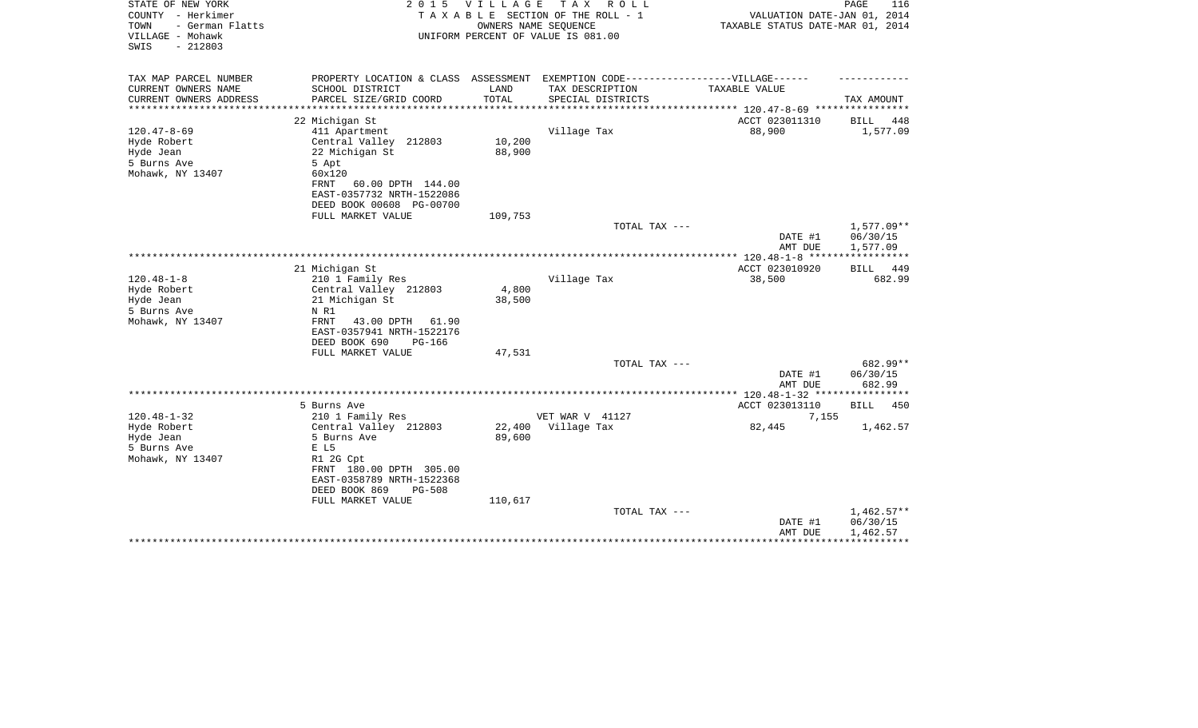| STATE OF NEW YORK<br>COUNTY - Herkimer<br>TOWN<br>- German Flatts<br>VILLAGE - Mohawk<br>$-212803$<br>SWIS | 2 0 1 5                                                                                              | <b>VILLAGE</b> | TAX ROLL<br>TAXABLE SECTION OF THE ROLL - 1<br>OWNERS NAME SEQUENCE<br>UNIFORM PERCENT OF VALUE IS 081.00 | VALUATION DATE-JAN 01, 2014<br>TAXABLE STATUS DATE-MAR 01, 2014 | PAGE<br>116             |
|------------------------------------------------------------------------------------------------------------|------------------------------------------------------------------------------------------------------|----------------|-----------------------------------------------------------------------------------------------------------|-----------------------------------------------------------------|-------------------------|
|                                                                                                            |                                                                                                      |                |                                                                                                           |                                                                 |                         |
| TAX MAP PARCEL NUMBER<br>CURRENT OWNERS NAME                                                               | PROPERTY LOCATION & CLASS ASSESSMENT EXEMPTION CODE-----------------VILLAGE------<br>SCHOOL DISTRICT | LAND           | TAX DESCRIPTION                                                                                           | TAXABLE VALUE                                                   |                         |
| CURRENT OWNERS ADDRESS                                                                                     | PARCEL SIZE/GRID COORD                                                                               | TOTAL          | SPECIAL DISTRICTS                                                                                         |                                                                 | TAX AMOUNT              |
| ********************                                                                                       |                                                                                                      |                |                                                                                                           |                                                                 |                         |
| $120.47 - 8 - 69$                                                                                          | 22 Michigan St<br>411 Apartment                                                                      |                | Village Tax                                                                                               | ACCT 023011310<br>88,900                                        | BILL<br>448<br>1,577.09 |
| Hyde Robert                                                                                                | Central Valley 212803                                                                                | 10,200         |                                                                                                           |                                                                 |                         |
| Hyde Jean                                                                                                  | 22 Michigan St                                                                                       | 88,900         |                                                                                                           |                                                                 |                         |
| 5 Burns Ave                                                                                                | 5 Apt                                                                                                |                |                                                                                                           |                                                                 |                         |
| Mohawk, NY 13407                                                                                           | 60x120                                                                                               |                |                                                                                                           |                                                                 |                         |
|                                                                                                            | FRNT<br>60.00 DPTH 144.00                                                                            |                |                                                                                                           |                                                                 |                         |
|                                                                                                            | EAST-0357732 NRTH-1522086                                                                            |                |                                                                                                           |                                                                 |                         |
|                                                                                                            | DEED BOOK 00608 PG-00700                                                                             |                |                                                                                                           |                                                                 |                         |
|                                                                                                            | FULL MARKET VALUE                                                                                    | 109,753        |                                                                                                           |                                                                 |                         |
|                                                                                                            |                                                                                                      |                | TOTAL TAX ---                                                                                             |                                                                 | $1,577.09**$            |
|                                                                                                            |                                                                                                      |                |                                                                                                           | DATE #1                                                         | 06/30/15                |
|                                                                                                            |                                                                                                      |                |                                                                                                           | AMT DUE<br>*************** 120.48-1-8 *****                     | 1,577.09<br>*********** |
|                                                                                                            | 21 Michigan St                                                                                       |                |                                                                                                           | ACCT 023010920                                                  | 449<br>BILL             |
| $120.48 - 1 - 8$                                                                                           | 210 1 Family Res                                                                                     |                | Village Tax                                                                                               | 38,500                                                          | 682.99                  |
| Hyde Robert                                                                                                | Central Valley 212803                                                                                | 4,800          |                                                                                                           |                                                                 |                         |
| Hyde Jean                                                                                                  | 21 Michigan St                                                                                       | 38,500         |                                                                                                           |                                                                 |                         |
| 5 Burns Ave                                                                                                | N R1                                                                                                 |                |                                                                                                           |                                                                 |                         |
| Mohawk, NY 13407                                                                                           | FRNT<br>43.00 DPTH<br>61.90                                                                          |                |                                                                                                           |                                                                 |                         |
|                                                                                                            | EAST-0357941 NRTH-1522176                                                                            |                |                                                                                                           |                                                                 |                         |
|                                                                                                            | DEED BOOK 690<br><b>PG-166</b>                                                                       |                |                                                                                                           |                                                                 |                         |
|                                                                                                            | FULL MARKET VALUE                                                                                    | 47,531         |                                                                                                           |                                                                 |                         |
|                                                                                                            |                                                                                                      |                | TOTAL TAX ---                                                                                             | DATE #1                                                         | 682.99**<br>06/30/15    |
|                                                                                                            |                                                                                                      |                |                                                                                                           | AMT DUE                                                         | 682.99                  |
|                                                                                                            |                                                                                                      |                |                                                                                                           |                                                                 |                         |
|                                                                                                            | 5 Burns Ave                                                                                          |                |                                                                                                           | ACCT 023013110                                                  | <b>BILL</b><br>450      |
| $120.48 - 1 - 32$                                                                                          | 210 1 Family Res                                                                                     |                | VET WAR V 41127                                                                                           | 7,155                                                           |                         |
| Hyde Robert                                                                                                | Central Valley 212803                                                                                | 22,400         | Village Tax                                                                                               | 82,445                                                          | 1,462.57                |
| Hyde Jean                                                                                                  | 5 Burns Ave                                                                                          | 89,600         |                                                                                                           |                                                                 |                         |
| 5 Burns Ave                                                                                                | E L5                                                                                                 |                |                                                                                                           |                                                                 |                         |
| Mohawk, NY 13407                                                                                           | R1 2G Cpt                                                                                            |                |                                                                                                           |                                                                 |                         |
|                                                                                                            | FRNT 180.00 DPTH 305.00                                                                              |                |                                                                                                           |                                                                 |                         |
|                                                                                                            | EAST-0358789 NRTH-1522368                                                                            |                |                                                                                                           |                                                                 |                         |
|                                                                                                            | DEED BOOK 869<br><b>PG-508</b><br>FULL MARKET VALUE                                                  | 110,617        |                                                                                                           |                                                                 |                         |
|                                                                                                            |                                                                                                      |                | TOTAL TAX ---                                                                                             |                                                                 | $1,462.57**$            |
|                                                                                                            |                                                                                                      |                |                                                                                                           | DATE #1                                                         | 06/30/15                |
|                                                                                                            |                                                                                                      |                |                                                                                                           | AMT DUE                                                         | 1,462.57                |
|                                                                                                            |                                                                                                      |                |                                                                                                           |                                                                 |                         |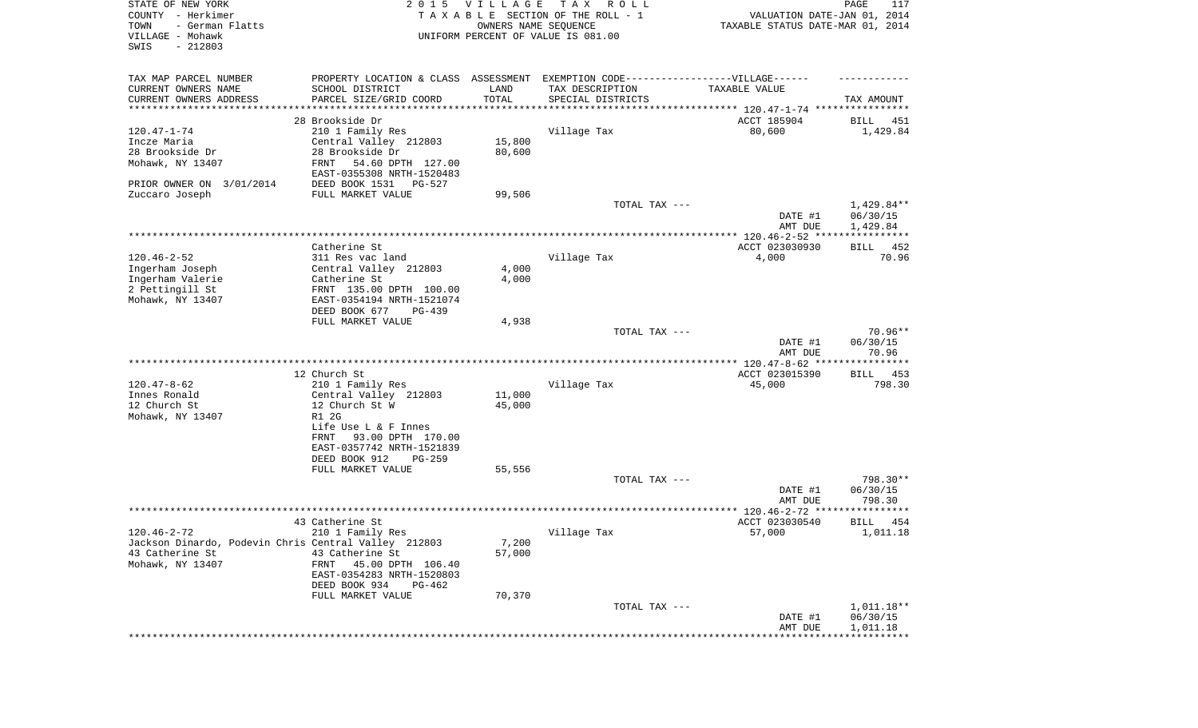| STATE OF NEW YORK<br>COUNTY - Herkimer<br>- German Flatts<br>TOWN<br>VILLAGE - Mohawk<br>$-212803$<br>SWIS |                                                        | 2015 VILLAGE<br>OWNERS NAME SEQUENCE | T A X<br>R O L L<br>TAXABLE SECTION OF THE ROLL - 1<br>UNIFORM PERCENT OF VALUE IS 081.00            | VALUATION DATE-JAN 01, 2014<br>TAXABLE STATUS DATE-MAR 01, 2014 | PAGE<br>117                        |
|------------------------------------------------------------------------------------------------------------|--------------------------------------------------------|--------------------------------------|------------------------------------------------------------------------------------------------------|-----------------------------------------------------------------|------------------------------------|
| TAX MAP PARCEL NUMBER<br>CURRENT OWNERS NAME                                                               | SCHOOL DISTRICT                                        | LAND                                 | PROPERTY LOCATION & CLASS ASSESSMENT EXEMPTION CODE-----------------VILLAGE------<br>TAX DESCRIPTION | TAXABLE VALUE                                                   |                                    |
| CURRENT OWNERS ADDRESS                                                                                     | PARCEL SIZE/GRID COORD                                 | TOTAL                                | SPECIAL DISTRICTS                                                                                    |                                                                 | TAX AMOUNT                         |
| *********************                                                                                      |                                                        |                                      | ********************************* 120.47-1-74 ****************                                       |                                                                 |                                    |
|                                                                                                            | 28 Brookside Dr                                        |                                      |                                                                                                      | ACCT 185904                                                     | BILL<br>451                        |
| $120.47 - 1 - 74$<br>Incze Maria                                                                           | 210 1 Family Res<br>Central Valley 212803              | 15,800                               | Village Tax                                                                                          | 80,600                                                          | 1,429.84                           |
| 28 Brookside Dr                                                                                            | 28 Brookside Dr                                        | 80,600                               |                                                                                                      |                                                                 |                                    |
| Mohawk, NY 13407                                                                                           | FRNT<br>54.60 DPTH 127.00<br>EAST-0355308 NRTH-1520483 |                                      |                                                                                                      |                                                                 |                                    |
| PRIOR OWNER ON 3/01/2014                                                                                   | DEED BOOK 1531<br>PG-527                               |                                      |                                                                                                      |                                                                 |                                    |
| Zuccaro Joseph                                                                                             | FULL MARKET VALUE                                      | 99,506                               |                                                                                                      |                                                                 |                                    |
|                                                                                                            |                                                        |                                      | TOTAL TAX ---                                                                                        | DATE #1<br>AMT DUE                                              | 1,429.84**<br>06/30/15<br>1,429.84 |
|                                                                                                            |                                                        |                                      |                                                                                                      |                                                                 |                                    |
|                                                                                                            | Catherine St                                           |                                      |                                                                                                      | ACCT 023030930                                                  | 452<br><b>BILL</b>                 |
| $120.46 - 2 - 52$                                                                                          | 311 Res vac land                                       |                                      | Village Tax                                                                                          | 4,000                                                           | 70.96                              |
| Ingerham Joseph                                                                                            | Central Valley 212803                                  | 4,000                                |                                                                                                      |                                                                 |                                    |
| Ingerham Valerie                                                                                           | Catherine St                                           | 4,000                                |                                                                                                      |                                                                 |                                    |
| 2 Pettingill St                                                                                            | FRNT 135.00 DPTH 100.00                                |                                      |                                                                                                      |                                                                 |                                    |
| Mohawk, NY 13407                                                                                           | EAST-0354194 NRTH-1521074                              |                                      |                                                                                                      |                                                                 |                                    |
|                                                                                                            | DEED BOOK 677<br>PG-439<br>FULL MARKET VALUE           | 4,938                                |                                                                                                      |                                                                 |                                    |
|                                                                                                            |                                                        |                                      | TOTAL TAX ---                                                                                        |                                                                 | $70.96**$                          |
|                                                                                                            |                                                        |                                      |                                                                                                      | DATE #1<br>AMT DUE                                              | 06/30/15<br>70.96                  |
|                                                                                                            | 12 Church St                                           |                                      |                                                                                                      | ACCT 023015390                                                  | <b>BILL</b><br>453                 |
| $120.47 - 8 - 62$                                                                                          | 210 1 Family Res                                       |                                      | Village Tax                                                                                          | 45,000                                                          | 798.30                             |
| Innes Ronald                                                                                               | Central Valley 212803                                  | 11,000                               |                                                                                                      |                                                                 |                                    |
| 12 Church St                                                                                               | 12 Church St W                                         | 45,000                               |                                                                                                      |                                                                 |                                    |
| Mohawk, NY 13407                                                                                           | R1 2G                                                  |                                      |                                                                                                      |                                                                 |                                    |
|                                                                                                            | Life Use L & F Innes                                   |                                      |                                                                                                      |                                                                 |                                    |
|                                                                                                            | FRNT<br>93.00 DPTH 170.00                              |                                      |                                                                                                      |                                                                 |                                    |
|                                                                                                            | EAST-0357742 NRTH-1521839<br>DEED BOOK 912<br>PG-259   |                                      |                                                                                                      |                                                                 |                                    |
|                                                                                                            | FULL MARKET VALUE                                      | 55,556                               |                                                                                                      |                                                                 |                                    |
|                                                                                                            |                                                        |                                      | TOTAL TAX ---                                                                                        |                                                                 | 798.30**                           |
|                                                                                                            |                                                        |                                      |                                                                                                      | DATE #1<br>AMT DUE                                              | 06/30/15<br>798.30                 |
|                                                                                                            |                                                        |                                      |                                                                                                      |                                                                 | * * * * * * *                      |
|                                                                                                            | 43 Catherine St                                        |                                      |                                                                                                      | ACCT 023030540                                                  | BILL<br>454                        |
| $120.46 - 2 - 72$                                                                                          | 210 1 Family Res                                       |                                      | Village Tax                                                                                          | 57,000                                                          | 1,011.18                           |
| Jackson Dinardo, Podevin Chris Central Valley 212803                                                       |                                                        | 7,200                                |                                                                                                      |                                                                 |                                    |
| 43 Catherine St                                                                                            | 43 Catherine St                                        | 57,000                               |                                                                                                      |                                                                 |                                    |
| Mohawk, NY 13407                                                                                           | FRNT<br>45.00 DPTH 106.40<br>EAST-0354283 NRTH-1520803 |                                      |                                                                                                      |                                                                 |                                    |
|                                                                                                            | DEED BOOK 934<br>PG-462                                |                                      |                                                                                                      |                                                                 |                                    |
|                                                                                                            | FULL MARKET VALUE                                      | 70,370                               |                                                                                                      |                                                                 |                                    |
|                                                                                                            |                                                        |                                      | TOTAL TAX ---                                                                                        |                                                                 | 1,011.18**                         |
|                                                                                                            |                                                        |                                      |                                                                                                      | DATE #1                                                         | 06/30/15                           |
|                                                                                                            |                                                        |                                      |                                                                                                      | AMT DUE                                                         | 1,011.18                           |
|                                                                                                            |                                                        |                                      |                                                                                                      |                                                                 |                                    |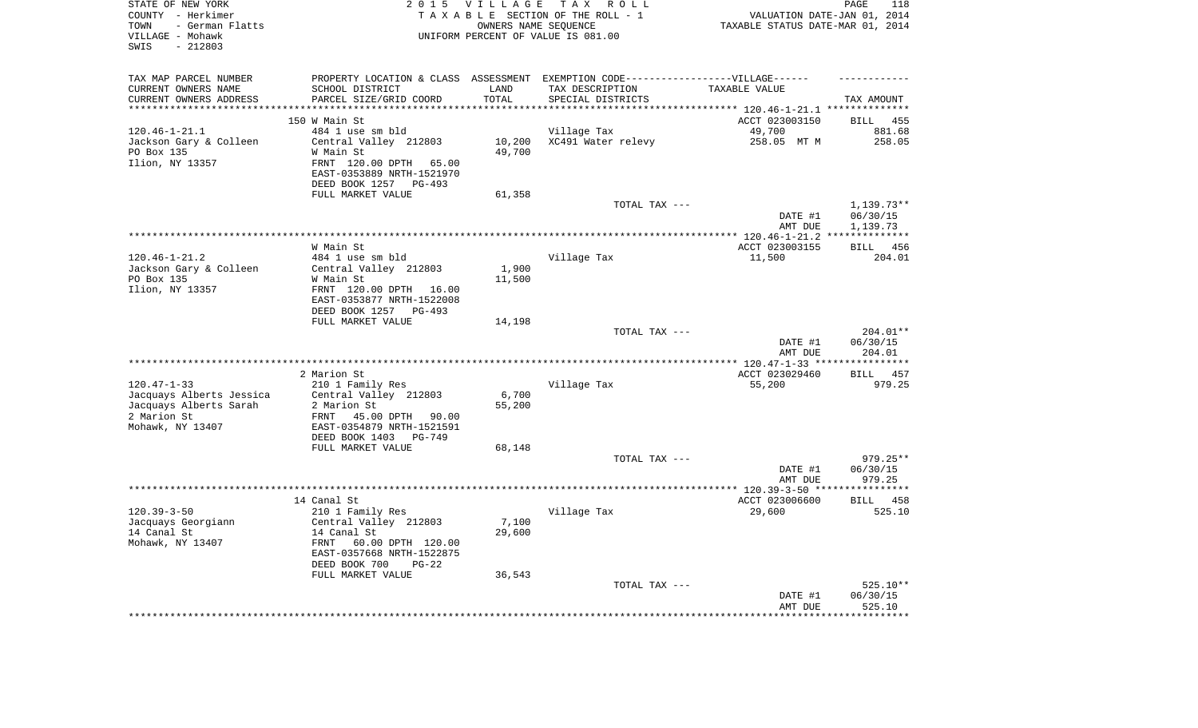| STATE OF NEW YORK<br>COUNTY - Herkimer<br>- German Flatts<br>TOWN<br>VILLAGE - Mohawk<br>$-212803$<br>SWIS | 2 0 1 5                                                | <b>VILLAGE</b><br>OWNERS NAME SEQUENCE | TAX ROLL<br>TAXABLE SECTION OF THE ROLL - 1<br>UNIFORM PERCENT OF VALUE IS 081.00                    | VALUATION DATE-JAN 01, 2014<br>TAXABLE STATUS DATE-MAR 01, 2014 | PAGE<br>118           |
|------------------------------------------------------------------------------------------------------------|--------------------------------------------------------|----------------------------------------|------------------------------------------------------------------------------------------------------|-----------------------------------------------------------------|-----------------------|
| TAX MAP PARCEL NUMBER<br>CURRENT OWNERS NAME                                                               | SCHOOL DISTRICT                                        | LAND                                   | PROPERTY LOCATION & CLASS ASSESSMENT EXEMPTION CODE-----------------VILLAGE------<br>TAX DESCRIPTION | TAXABLE VALUE                                                   |                       |
| CURRENT OWNERS ADDRESS<br>**********************                                                           | PARCEL SIZE/GRID COORD<br>**************************** | TOTAL<br>***************               | SPECIAL DISTRICTS                                                                                    |                                                                 | TAX AMOUNT            |
|                                                                                                            | 150 W Main St                                          |                                        |                                                                                                      |                                                                 | 455                   |
| $120.46 - 1 - 21.1$                                                                                        | 484 1 use sm bld                                       |                                        | Village Tax                                                                                          | ACCT 023003150<br>49,700                                        | <b>BILL</b><br>881.68 |
| Jackson Gary & Colleen                                                                                     | Central Valley 212803                                  | 10,200                                 | XC491 Water relevy                                                                                   | 258.05 MT M                                                     | 258.05                |
| PO Box 135                                                                                                 | W Main St                                              | 49,700                                 |                                                                                                      |                                                                 |                       |
| Ilion, NY 13357                                                                                            | FRNT 120.00 DPTH<br>65.00<br>EAST-0353889 NRTH-1521970 |                                        |                                                                                                      |                                                                 |                       |
|                                                                                                            | DEED BOOK 1257<br>$PG-493$                             |                                        |                                                                                                      |                                                                 |                       |
|                                                                                                            | FULL MARKET VALUE                                      | 61,358                                 |                                                                                                      |                                                                 |                       |
|                                                                                                            |                                                        |                                        | TOTAL TAX ---                                                                                        | DATE #1                                                         | 1,139.73**            |
|                                                                                                            |                                                        |                                        |                                                                                                      | AMT DUE                                                         | 06/30/15<br>1,139.73  |
|                                                                                                            |                                                        |                                        |                                                                                                      |                                                                 |                       |
|                                                                                                            | W Main St                                              |                                        |                                                                                                      | ACCT 023003155                                                  | 456<br><b>BILL</b>    |
| $120.46 - 1 - 21.2$                                                                                        | 484 1 use sm bld                                       |                                        | Village Tax                                                                                          | 11,500                                                          | 204.01                |
| Jackson Gary & Colleen                                                                                     | Central Valley 212803                                  | 1,900                                  |                                                                                                      |                                                                 |                       |
| PO Box 135                                                                                                 | W Main St                                              | 11,500                                 |                                                                                                      |                                                                 |                       |
| Ilion, NY 13357                                                                                            | FRNT 120.00 DPTH 16.00                                 |                                        |                                                                                                      |                                                                 |                       |
|                                                                                                            | EAST-0353877 NRTH-1522008                              |                                        |                                                                                                      |                                                                 |                       |
|                                                                                                            | DEED BOOK 1257 PG-493                                  |                                        |                                                                                                      |                                                                 |                       |
|                                                                                                            | FULL MARKET VALUE                                      | 14,198                                 |                                                                                                      |                                                                 | 204.01**              |
|                                                                                                            |                                                        |                                        | TOTAL TAX ---                                                                                        | DATE #1                                                         | 06/30/15              |
|                                                                                                            |                                                        |                                        |                                                                                                      | AMT DUE                                                         | 204.01                |
|                                                                                                            |                                                        |                                        |                                                                                                      |                                                                 |                       |
|                                                                                                            | 2 Marion St                                            |                                        |                                                                                                      | ACCT 023029460                                                  | 457<br><b>BILL</b>    |
| $120.47 - 1 - 33$                                                                                          | 210 1 Family Res                                       |                                        | Village Tax                                                                                          | 55,200                                                          | 979.25                |
| Jacquays Alberts Jessica                                                                                   | Central Valley 212803                                  | 6,700                                  |                                                                                                      |                                                                 |                       |
| Jacquays Alberts Sarah                                                                                     | 2 Marion St                                            | 55,200                                 |                                                                                                      |                                                                 |                       |
| 2 Marion St                                                                                                | 45.00 DPTH 90.00<br>FRNT                               |                                        |                                                                                                      |                                                                 |                       |
| Mohawk, NY 13407                                                                                           | EAST-0354879 NRTH-1521591<br>DEED BOOK 1403<br>PG-749  |                                        |                                                                                                      |                                                                 |                       |
|                                                                                                            | FULL MARKET VALUE                                      | 68,148                                 |                                                                                                      |                                                                 |                       |
|                                                                                                            |                                                        |                                        | TOTAL TAX ---                                                                                        |                                                                 | $979.25**$            |
|                                                                                                            |                                                        |                                        |                                                                                                      | DATE #1                                                         | 06/30/15              |
|                                                                                                            |                                                        |                                        |                                                                                                      | AMT DUE                                                         | 979.25                |
|                                                                                                            |                                                        |                                        |                                                                                                      |                                                                 |                       |
|                                                                                                            | 14 Canal St                                            |                                        |                                                                                                      | ACCT 023006600                                                  | BILL 458              |
| $120.39 - 3 - 50$                                                                                          | 210 1 Family Res                                       |                                        | Village Tax                                                                                          | 29,600                                                          | 525.10                |
| Jacquays Georgiann                                                                                         | Central Valley 212803                                  | 7,100                                  |                                                                                                      |                                                                 |                       |
| 14 Canal St<br>Mohawk, NY 13407                                                                            | 14 Canal St<br>FRNT<br>60.00 DPTH 120.00               | 29,600                                 |                                                                                                      |                                                                 |                       |
|                                                                                                            | EAST-0357668 NRTH-1522875                              |                                        |                                                                                                      |                                                                 |                       |
|                                                                                                            | DEED BOOK 700<br>$PG-22$                               |                                        |                                                                                                      |                                                                 |                       |
|                                                                                                            | FULL MARKET VALUE                                      | 36,543                                 |                                                                                                      |                                                                 |                       |
|                                                                                                            |                                                        |                                        | TOTAL TAX ---                                                                                        |                                                                 | 525.10**              |
|                                                                                                            |                                                        |                                        |                                                                                                      | DATE #1                                                         | 06/30/15              |
|                                                                                                            |                                                        |                                        |                                                                                                      | AMT DUE                                                         | 525.10                |
|                                                                                                            |                                                        |                                        |                                                                                                      | ****************                                                | ***********           |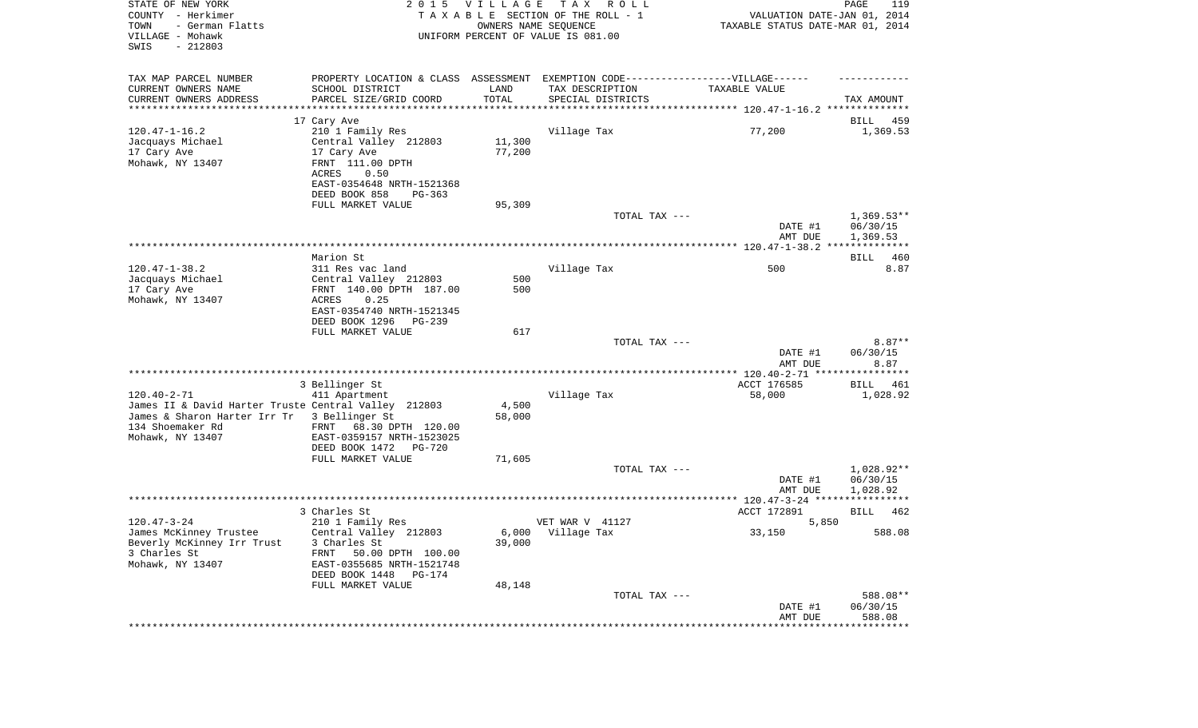| STATE OF NEW YORK<br>COUNTY - Herkimer<br>TOWN<br>- German Flatts<br>VILLAGE - Mohawk<br>SWIS<br>$-212803$ |                                                        | 2015 VILLAGE<br>OWNERS NAME SEQUENCE | T A X<br>R O L L<br>TAXABLE SECTION OF THE ROLL - 1<br>UNIFORM PERCENT OF VALUE IS 081.00 | VALUATION DATE-JAN 01, 2014<br>TAXABLE STATUS DATE-MAR 01, 2014 | PAGE<br>119            |
|------------------------------------------------------------------------------------------------------------|--------------------------------------------------------|--------------------------------------|-------------------------------------------------------------------------------------------|-----------------------------------------------------------------|------------------------|
| TAX MAP PARCEL NUMBER                                                                                      |                                                        |                                      | PROPERTY LOCATION & CLASS ASSESSMENT EXEMPTION CODE-----------------VILLAGE------         |                                                                 |                        |
| CURRENT OWNERS NAME<br>CURRENT OWNERS ADDRESS                                                              | SCHOOL DISTRICT<br>PARCEL SIZE/GRID COORD              | LAND<br>TOTAL                        | TAX DESCRIPTION<br>SPECIAL DISTRICTS                                                      | TAXABLE VALUE                                                   | TAX AMOUNT             |
| **********************                                                                                     |                                                        |                                      |                                                                                           |                                                                 |                        |
|                                                                                                            | 17 Cary Ave                                            |                                      |                                                                                           |                                                                 | BILL<br>459            |
| $120.47 - 1 - 16.2$                                                                                        | 210 1 Family Res                                       |                                      | Village Tax                                                                               | 77,200                                                          | 1,369.53               |
| Jacquays Michael                                                                                           | Central Valley 212803                                  | 11,300                               |                                                                                           |                                                                 |                        |
| 17 Cary Ave                                                                                                | 17 Cary Ave                                            | 77,200                               |                                                                                           |                                                                 |                        |
| Mohawk, NY 13407                                                                                           | FRNT 111.00 DPTH                                       |                                      |                                                                                           |                                                                 |                        |
|                                                                                                            | ACRES<br>0.50                                          |                                      |                                                                                           |                                                                 |                        |
|                                                                                                            | EAST-0354648 NRTH-1521368<br>DEED BOOK 858<br>$PG-363$ |                                      |                                                                                           |                                                                 |                        |
|                                                                                                            | FULL MARKET VALUE                                      | 95,309                               |                                                                                           |                                                                 |                        |
|                                                                                                            |                                                        |                                      | TOTAL TAX ---                                                                             |                                                                 | $1,369.53**$           |
|                                                                                                            |                                                        |                                      |                                                                                           | DATE #1                                                         | 06/30/15               |
|                                                                                                            |                                                        |                                      |                                                                                           | AMT DUE                                                         | 1,369.53               |
|                                                                                                            |                                                        |                                      |                                                                                           |                                                                 |                        |
| $120.47 - 1 - 38.2$                                                                                        | Marion St                                              |                                      |                                                                                           | 500                                                             | 460<br>BILL            |
| Jacquays Michael                                                                                           | 311 Res vac land<br>Central Valley 212803              | 500                                  | Village Tax                                                                               |                                                                 | 8.87                   |
| 17 Cary Ave                                                                                                | FRNT 140.00 DPTH 187.00                                | 500                                  |                                                                                           |                                                                 |                        |
| Mohawk, NY 13407                                                                                           | ACRES<br>0.25                                          |                                      |                                                                                           |                                                                 |                        |
|                                                                                                            | EAST-0354740 NRTH-1521345                              |                                      |                                                                                           |                                                                 |                        |
|                                                                                                            | DEED BOOK 1296<br>PG-239                               |                                      |                                                                                           |                                                                 |                        |
|                                                                                                            | FULL MARKET VALUE                                      | 617                                  |                                                                                           |                                                                 |                        |
|                                                                                                            |                                                        |                                      | TOTAL TAX ---                                                                             | DATE #1                                                         | $8.87**$<br>06/30/15   |
|                                                                                                            |                                                        |                                      |                                                                                           | AMT DUE                                                         | 8.87                   |
|                                                                                                            |                                                        |                                      |                                                                                           |                                                                 |                        |
| $120.40 - 2 - 71$                                                                                          | 3 Bellinger St                                         |                                      | Village Tax                                                                               | ACCT 176585                                                     | BILL 461               |
| James II & David Harter Truste Central Valley 212803                                                       | 411 Apartment                                          | 4,500                                |                                                                                           | 58,000                                                          | 1,028.92               |
| James & Sharon Harter Irr Tr                                                                               | 3 Bellinger St                                         | 58,000                               |                                                                                           |                                                                 |                        |
| 134 Shoemaker Rd                                                                                           | FRNT 68.30 DPTH 120.00                                 |                                      |                                                                                           |                                                                 |                        |
| Mohawk, NY 13407                                                                                           | EAST-0359157 NRTH-1523025                              |                                      |                                                                                           |                                                                 |                        |
|                                                                                                            | DEED BOOK 1472<br>PG-720                               |                                      |                                                                                           |                                                                 |                        |
|                                                                                                            | FULL MARKET VALUE                                      | 71,605                               |                                                                                           |                                                                 |                        |
|                                                                                                            |                                                        |                                      | TOTAL TAX ---                                                                             | DATE #1                                                         | 1,028.92**<br>06/30/15 |
|                                                                                                            |                                                        |                                      |                                                                                           | AMT DUE                                                         | 1,028.92               |
|                                                                                                            |                                                        |                                      |                                                                                           |                                                                 |                        |
|                                                                                                            | 3 Charles St                                           |                                      |                                                                                           | ACCT 172891                                                     | BILL<br>462            |
| $120.47 - 3 - 24$                                                                                          | 210 1 Family Res                                       |                                      | VET WAR V 41127                                                                           | 5,850                                                           |                        |
| James McKinney Trustee                                                                                     | Central Valley 212803                                  |                                      | 6,000 Village Tax                                                                         | 33,150                                                          | 588.08                 |
| Beverly McKinney Irr Trust<br>3 Charles St                                                                 | 3 Charles St                                           | 39,000                               |                                                                                           |                                                                 |                        |
| Mohawk, NY 13407                                                                                           | FRNT<br>50.00 DPTH 100.00<br>EAST-0355685 NRTH-1521748 |                                      |                                                                                           |                                                                 |                        |
|                                                                                                            | DEED BOOK 1448<br>PG-174                               |                                      |                                                                                           |                                                                 |                        |
|                                                                                                            | FULL MARKET VALUE                                      | 48,148                               |                                                                                           |                                                                 |                        |
|                                                                                                            |                                                        |                                      | TOTAL TAX ---                                                                             |                                                                 | 588.08**               |
|                                                                                                            |                                                        |                                      |                                                                                           | DATE #1                                                         | 06/30/15               |
|                                                                                                            |                                                        |                                      |                                                                                           | AMT DUE                                                         | 588.08                 |
|                                                                                                            |                                                        |                                      |                                                                                           |                                                                 |                        |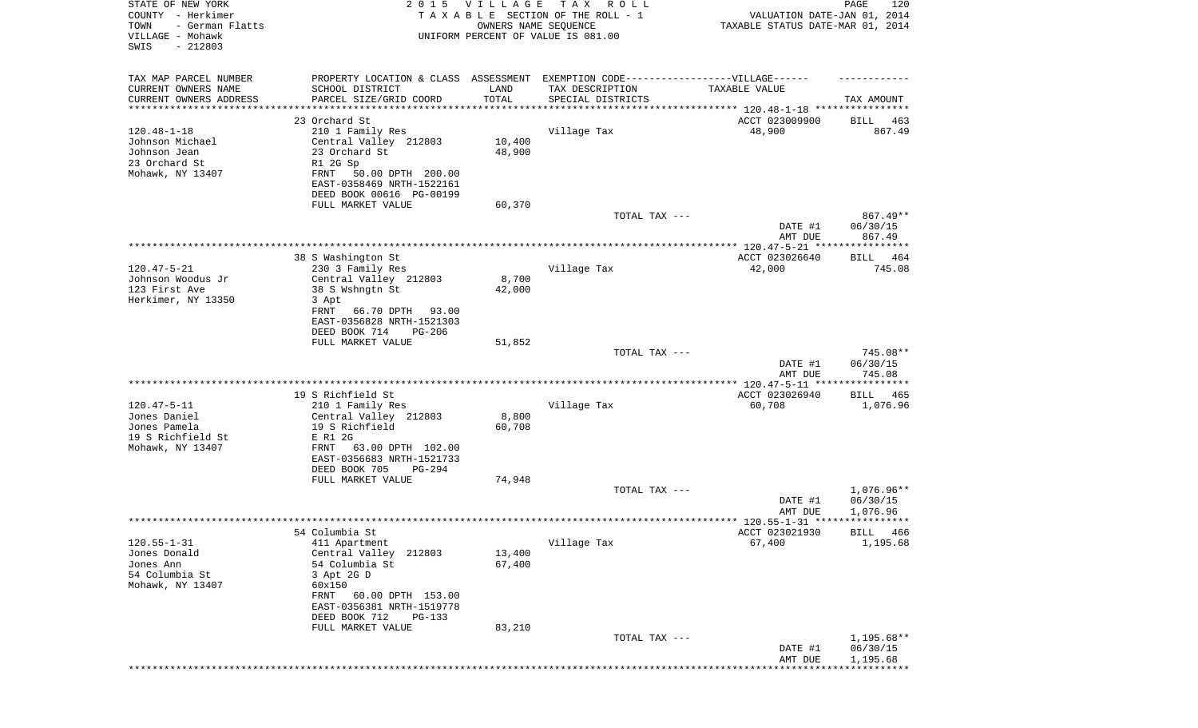| STATE OF NEW YORK<br>COUNTY - Herkimer<br>- German Flatts<br>TOWN<br>VILLAGE - Mohawk<br>SWIS<br>$-212803$ | 2 0 1 5                                                                                                                                                                                                         | <b>VILLAGE</b><br>OWNERS NAME SEQUENCE | T A X<br>R O L L<br>TAXABLE SECTION OF THE ROLL - 1<br>UNIFORM PERCENT OF VALUE IS 081.00 | VALUATION DATE-JAN 01, 2014<br>TAXABLE STATUS DATE-MAR 01, 2014 | PAGE<br>120                          |
|------------------------------------------------------------------------------------------------------------|-----------------------------------------------------------------------------------------------------------------------------------------------------------------------------------------------------------------|----------------------------------------|-------------------------------------------------------------------------------------------|-----------------------------------------------------------------|--------------------------------------|
| TAX MAP PARCEL NUMBER<br>CURRENT OWNERS NAME<br>CURRENT OWNERS ADDRESS                                     | PROPERTY LOCATION & CLASS ASSESSMENT<br>SCHOOL DISTRICT<br>PARCEL SIZE/GRID COORD                                                                                                                               | LAND<br>TOTAL                          | EXEMPTION CODE-----------------VILLAGE------<br>TAX DESCRIPTION<br>SPECIAL DISTRICTS      | TAXABLE VALUE                                                   | TAX AMOUNT                           |
| ********************                                                                                       |                                                                                                                                                                                                                 | * * * * * * * * * * *                  | ************************************* 120.48-1-18 *****************                       |                                                                 |                                      |
| $120.48 - 1 - 18$<br>Johnson Michael<br>Johnson Jean<br>23 Orchard St<br>Mohawk, NY 13407                  | 23 Orchard St<br>210 1 Family Res<br>Central Valley 212803<br>23 Orchard St<br>R1 2G Sp<br>50.00 DPTH 200.00<br>FRNT<br>EAST-0358469 NRTH-1522161<br>DEED BOOK 00616 PG-00199                                   | 10,400<br>48,900                       | Village Tax                                                                               | ACCT 023009900<br>48,900                                        | 463<br>BILL<br>867.49                |
|                                                                                                            | FULL MARKET VALUE                                                                                                                                                                                               | 60,370                                 | TOTAL TAX ---                                                                             | DATE #1<br>AMT DUE                                              | 867.49**<br>06/30/15<br>867.49       |
|                                                                                                            |                                                                                                                                                                                                                 |                                        |                                                                                           |                                                                 |                                      |
| $120.47 - 5 - 21$<br>Johnson Woodus Jr<br>123 First Ave<br>Herkimer, NY 13350                              | 38 S Washington St<br>230 3 Family Res<br>Central Valley 212803<br>38 S Wshngtn St<br>3 Apt<br>66.70 DPTH<br>FRNT<br>93.00<br>EAST-0356828 NRTH-1521303                                                         | 8,700<br>42,000                        | Village Tax                                                                               | ACCT 023026640<br>42,000                                        | BILL 464<br>745.08                   |
|                                                                                                            | DEED BOOK 714<br><b>PG-206</b><br>FULL MARKET VALUE                                                                                                                                                             | 51,852                                 | TOTAL TAX ---                                                                             | DATE #1                                                         | 745.08**<br>06/30/15                 |
|                                                                                                            |                                                                                                                                                                                                                 |                                        |                                                                                           | AMT DUE                                                         | 745.08                               |
| $120.47 - 5 - 11$<br>Jones Daniel<br>Jones Pamela<br>19 S Richfield St<br>Mohawk, NY 13407                 | 19 S Richfield St<br>210 1 Family Res<br>Central Valley 212803<br>19 S Richfield<br>E R1 2G<br>63.00 DPTH 102.00<br>FRNT<br>EAST-0356683 NRTH-1521733<br>DEED BOOK 705<br>PG-294                                | 8,800<br>60,708                        | Village Tax                                                                               | ACCT 023026940<br>60,708                                        | BILL<br>465<br>1,076.96              |
|                                                                                                            | FULL MARKET VALUE                                                                                                                                                                                               | 74,948                                 |                                                                                           |                                                                 |                                      |
|                                                                                                            |                                                                                                                                                                                                                 |                                        | TOTAL TAX ---                                                                             | DATE #1<br>AMT DUE                                              | 1,076.96**<br>06/30/15<br>1,076.96   |
|                                                                                                            |                                                                                                                                                                                                                 |                                        |                                                                                           |                                                                 |                                      |
| $120.55 - 1 - 31$<br>Jones Donald<br>Jones Ann<br>54 Columbia St<br>Mohawk, NY 13407                       | 54 Columbia St<br>411 Apartment<br>Central Valley<br>212803<br>54 Columbia St<br>3 Apt 2G D<br>60x150<br>60.00 DPTH 153.00<br>FRNT<br>EAST-0356381 NRTH-1519778<br>DEED BOOK 712<br>PG-133<br>FULL MARKET VALUE | 13,400<br>67,400<br>83,210             | Village Tax                                                                               | ACCT 023021930<br>67,400                                        | BILL 466<br>1,195.68                 |
|                                                                                                            |                                                                                                                                                                                                                 |                                        | TOTAL TAX ---                                                                             | DATE #1<br>AMT DUE                                              | $1,195.68**$<br>06/30/15<br>1,195.68 |
|                                                                                                            |                                                                                                                                                                                                                 |                                        |                                                                                           |                                                                 |                                      |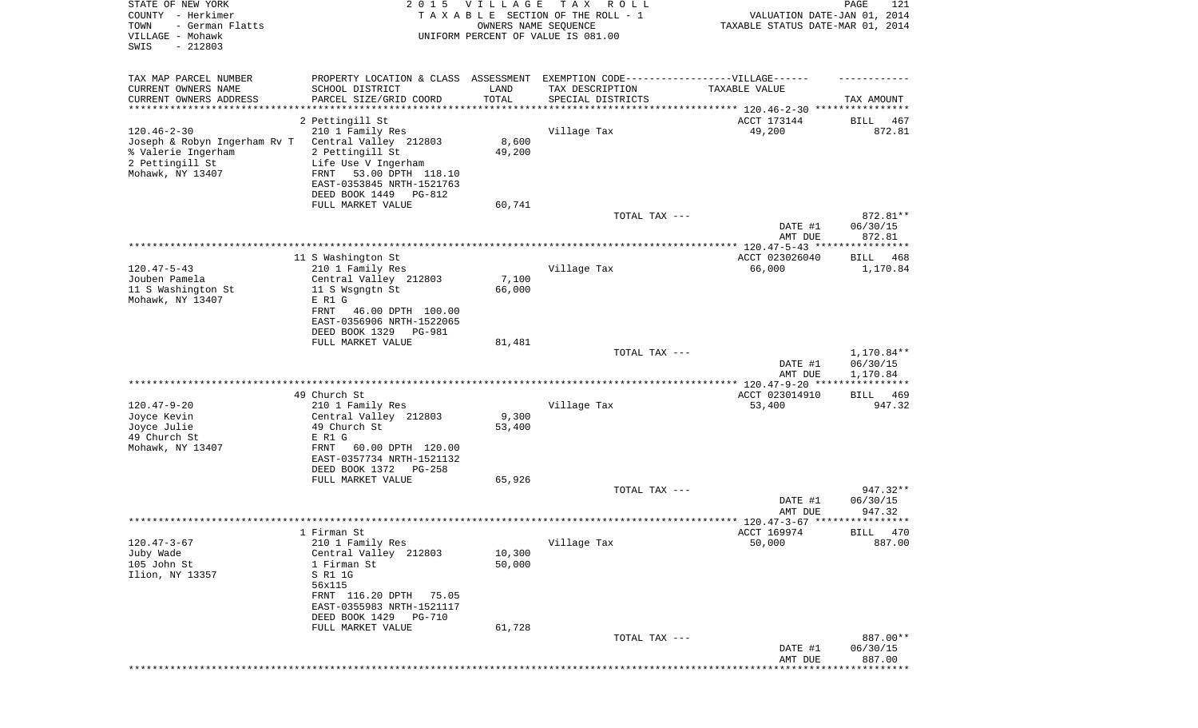| STATE OF NEW YORK<br>COUNTY - Herkimer<br>- German Flatts<br>TOWN<br>VILLAGE - Mohawk<br>SWIS<br>$-212803$     | 2 0 1 5                                                                                                                                                                   | <b>VILLAGE</b><br>OWNERS NAME SEQUENCE | T A X<br>R O L L<br>TAXABLE SECTION OF THE ROLL - 1<br>UNIFORM PERCENT OF VALUE IS 081.00 | VALUATION DATE-JAN 01, 2014<br>TAXABLE STATUS DATE-MAR 01, 2014 | 121<br>PAGE                        |
|----------------------------------------------------------------------------------------------------------------|---------------------------------------------------------------------------------------------------------------------------------------------------------------------------|----------------------------------------|-------------------------------------------------------------------------------------------|-----------------------------------------------------------------|------------------------------------|
| TAX MAP PARCEL NUMBER<br>CURRENT OWNERS NAME<br>CURRENT OWNERS ADDRESS                                         | PROPERTY LOCATION & CLASS ASSESSMENT<br>SCHOOL DISTRICT<br>PARCEL SIZE/GRID COORD                                                                                         | LAND<br>TOTAL                          | EXEMPTION CODE-----------------VILLAGE------<br>TAX DESCRIPTION<br>SPECIAL DISTRICTS      | TAXABLE VALUE                                                   | TAX AMOUNT                         |
| *********************                                                                                          |                                                                                                                                                                           |                                        |                                                                                           |                                                                 |                                    |
|                                                                                                                | 2 Pettingill St                                                                                                                                                           |                                        |                                                                                           | ACCT 173144                                                     | 467<br>BILL                        |
| $120.46 - 2 - 30$<br>Joseph & Robyn Ingerham Rv T<br>% Valerie Ingerham<br>2 Pettingill St<br>Mohawk, NY 13407 | 210 1 Family Res<br>Central Valley 212803<br>2 Pettingill St<br>Life Use V Ingerham<br>53.00 DPTH 118.10<br>FRNT<br>EAST-0353845 NRTH-1521763<br>DEED BOOK 1449<br>PG-812 | 8,600<br>49,200                        | Village Tax                                                                               | 49,200                                                          | 872.81                             |
|                                                                                                                | FULL MARKET VALUE                                                                                                                                                         | 60,741                                 |                                                                                           |                                                                 |                                    |
|                                                                                                                |                                                                                                                                                                           |                                        | TOTAL TAX ---                                                                             | DATE #1<br>AMT DUE                                              | 872.81**<br>06/30/15<br>872.81     |
|                                                                                                                |                                                                                                                                                                           |                                        |                                                                                           |                                                                 |                                    |
| $120.47 - 5 - 43$                                                                                              | 11 S Washington St<br>210 1 Family Res                                                                                                                                    |                                        | Village Tax                                                                               | ACCT 023026040<br>66,000                                        | BILL<br>468<br>1,170.84            |
| Jouben Pamela<br>11 S Washington St<br>Mohawk, NY 13407                                                        | Central Valley 212803<br>11 S Wsgngtn St<br>E R1 G<br>46.00 DPTH 100.00<br>FRNT<br>EAST-0356906 NRTH-1522065<br>DEED BOOK 1329<br>PG-981                                  | 7,100<br>66,000                        |                                                                                           |                                                                 |                                    |
|                                                                                                                | FULL MARKET VALUE                                                                                                                                                         | 81,481                                 |                                                                                           |                                                                 |                                    |
|                                                                                                                |                                                                                                                                                                           |                                        | TOTAL TAX ---                                                                             | DATE #1<br>AMT DUE                                              | 1,170.84**<br>06/30/15<br>1,170.84 |
|                                                                                                                |                                                                                                                                                                           |                                        |                                                                                           |                                                                 | ***********                        |
| $120.47 - 9 - 20$<br>Joyce Kevin                                                                               | 49 Church St<br>210 1 Family Res<br>Central Valley 212803                                                                                                                 | 9,300                                  | Village Tax                                                                               | ACCT 023014910<br>53,400                                        | BILL<br>469<br>947.32              |
| Joyce Julie<br>49 Church St                                                                                    | 49 Church St<br>E R1 G<br>60.00 DPTH 120.00<br>FRNT                                                                                                                       | 53,400                                 |                                                                                           |                                                                 |                                    |
| Mohawk, NY 13407                                                                                               | EAST-0357734 NRTH-1521132<br>DEED BOOK 1372<br>PG-258                                                                                                                     |                                        |                                                                                           |                                                                 |                                    |
|                                                                                                                | FULL MARKET VALUE                                                                                                                                                         | 65,926                                 | TOTAL TAX ---                                                                             |                                                                 | $947.32**$                         |
|                                                                                                                |                                                                                                                                                                           |                                        |                                                                                           | DATE #1<br>AMT DUE                                              | 06/30/15<br>947.32                 |
|                                                                                                                |                                                                                                                                                                           |                                        |                                                                                           |                                                                 |                                    |
|                                                                                                                | 1 Firman St                                                                                                                                                               |                                        |                                                                                           | ACCT 169974                                                     | BILL 470                           |
| $120.47 - 3 - 67$<br>Juby Wade<br>105 John St<br>Ilion, NY 13357                                               | 210 1 Family Res<br>Central Valley 212803<br>1 Firman St<br>S R1 1G<br>56x115<br>FRNT 116.20 DPTH<br>75.05<br>EAST-0355983 NRTH-1521117<br>DEED BOOK 1429<br>PG-710       | 10,300<br>50,000                       | Village Tax                                                                               | 50,000                                                          | 887.00                             |
|                                                                                                                | FULL MARKET VALUE                                                                                                                                                         | 61,728                                 |                                                                                           |                                                                 |                                    |
|                                                                                                                |                                                                                                                                                                           |                                        | TOTAL TAX ---                                                                             | DATE #1<br>AMT DUE                                              | 887.00**<br>06/30/15<br>887.00     |
|                                                                                                                |                                                                                                                                                                           |                                        |                                                                                           |                                                                 |                                    |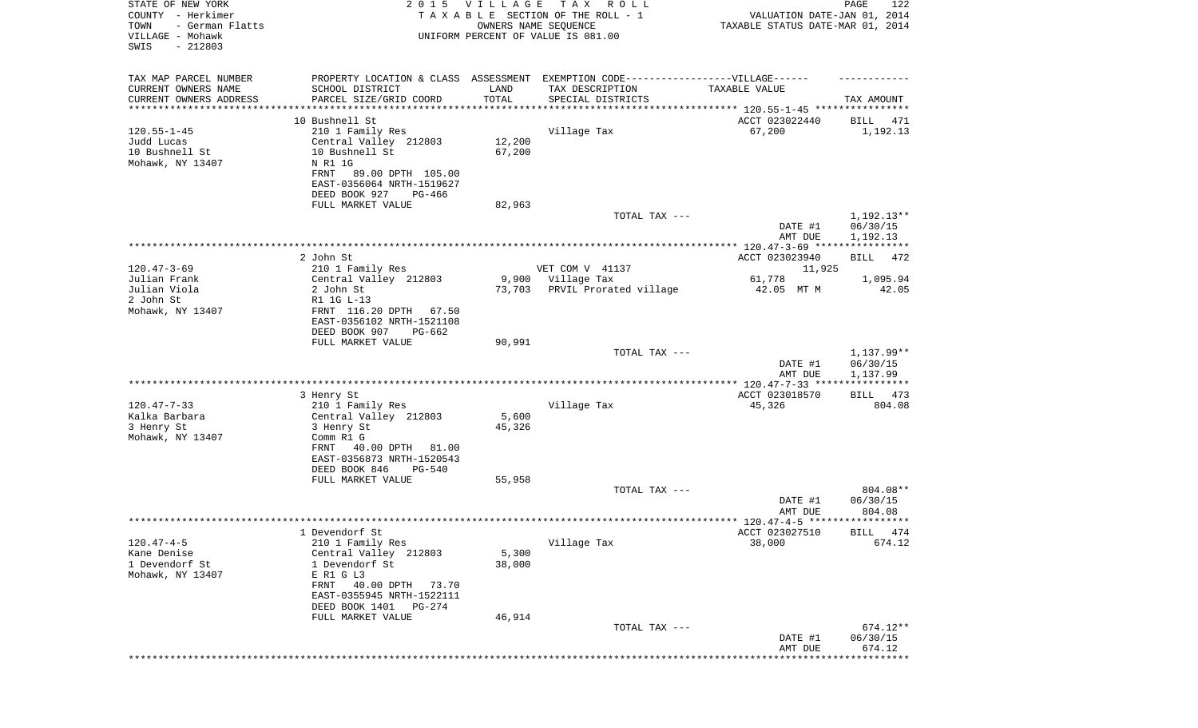| STATE OF NEW YORK<br>COUNTY - Herkimer<br>TOWN<br>- German Flatts<br>VILLAGE - Mohawk<br>SWIS<br>$-212803$ |                                                                                                                                  | 2015 VILLAGE<br>OWNERS NAME SEQUENCE | T A X<br>R O L L<br>TAXABLE SECTION OF THE ROLL - 1<br>UNIFORM PERCENT OF VALUE IS 081.00           | VALUATION DATE-JAN 01, 2014<br>TAXABLE STATUS DATE-MAR 01, 2014 | PAGE<br>122                        |
|------------------------------------------------------------------------------------------------------------|----------------------------------------------------------------------------------------------------------------------------------|--------------------------------------|-----------------------------------------------------------------------------------------------------|-----------------------------------------------------------------|------------------------------------|
| TAX MAP PARCEL NUMBER<br>CURRENT OWNERS NAME                                                               | SCHOOL DISTRICT                                                                                                                  | LAND                                 | PROPERTY LOCATION & CLASS ASSESSMENT EXEMPTION CODE----------------VILLAGE------<br>TAX DESCRIPTION | TAXABLE VALUE                                                   |                                    |
| CURRENT OWNERS ADDRESS<br>**********************                                                           | PARCEL SIZE/GRID COORD<br>**********************                                                                                 | TOTAL                                | SPECIAL DISTRICTS                                                                                   |                                                                 | TAX AMOUNT                         |
|                                                                                                            | 10 Bushnell St                                                                                                                   |                                      |                                                                                                     | ACCT 023022440                                                  | BILL<br>471                        |
| $120.55 - 1 - 45$<br>Judd Lucas<br>10 Bushnell St<br>Mohawk, NY 13407                                      | 210 1 Family Res<br>Central Valley 212803<br>10 Bushnell St<br>N R1 1G<br>FRNT<br>89.00 DPTH 105.00<br>EAST-0356064 NRTH-1519627 | 12,200<br>67,200                     | Village Tax                                                                                         | 67,200                                                          | 1,192.13                           |
|                                                                                                            | DEED BOOK 927<br>PG-466                                                                                                          |                                      |                                                                                                     |                                                                 |                                    |
|                                                                                                            | FULL MARKET VALUE                                                                                                                | 82,963                               | TOTAL TAX ---                                                                                       | DATE #1                                                         | $1,192.13**$<br>06/30/15           |
|                                                                                                            |                                                                                                                                  |                                      |                                                                                                     | AMT DUE                                                         | 1,192.13                           |
|                                                                                                            | 2 John St                                                                                                                        |                                      |                                                                                                     |                                                                 | 472                                |
| $120.47 - 3 - 69$                                                                                          | 210 1 Family Res                                                                                                                 |                                      | VET COM V 41137                                                                                     | ACCT 023023940<br>11,925                                        | BILL                               |
| Julian Frank                                                                                               | Central Valley 212803                                                                                                            | 9,900                                | Village Tax                                                                                         | 61,778                                                          | 1,095.94                           |
| Julian Viola                                                                                               | 2 John St                                                                                                                        | 73,703                               | PRVIL Prorated village                                                                              | 42.05 MT M                                                      | 42.05                              |
| 2 John St<br>Mohawk, NY 13407                                                                              | R1 1G L-13<br>FRNT 116.20 DPTH<br>67.50<br>EAST-0356102 NRTH-1521108<br>DEED BOOK 907<br>PG-662                                  |                                      |                                                                                                     |                                                                 |                                    |
|                                                                                                            | FULL MARKET VALUE                                                                                                                | 90,991                               |                                                                                                     |                                                                 |                                    |
|                                                                                                            |                                                                                                                                  |                                      | TOTAL TAX ---                                                                                       | DATE #1<br>AMT DUE                                              | 1,137.99**<br>06/30/15<br>1,137.99 |
|                                                                                                            |                                                                                                                                  |                                      |                                                                                                     |                                                                 |                                    |
| $120.47 - 7 - 33$                                                                                          | 3 Henry St<br>210 1 Family Res                                                                                                   |                                      | Village Tax                                                                                         | ACCT 023018570<br>45,326                                        | BILL 473<br>804.08                 |
| Kalka Barbara                                                                                              | Central Valley 212803                                                                                                            | 5,600                                |                                                                                                     |                                                                 |                                    |
| 3 Henry St                                                                                                 | 3 Henry St                                                                                                                       | 45,326                               |                                                                                                     |                                                                 |                                    |
| Mohawk, NY 13407                                                                                           | Comm R1 G<br>40.00 DPTH<br>FRNT<br>81.00<br>EAST-0356873 NRTH-1520543<br>DEED BOOK 846<br>PG-540                                 |                                      |                                                                                                     |                                                                 |                                    |
|                                                                                                            | FULL MARKET VALUE                                                                                                                | 55,958                               |                                                                                                     |                                                                 |                                    |
|                                                                                                            |                                                                                                                                  |                                      | TOTAL TAX ---                                                                                       | DATE #1                                                         | 804.08**<br>06/30/15               |
|                                                                                                            |                                                                                                                                  |                                      |                                                                                                     | AMT DUE                                                         | 804.08                             |
|                                                                                                            | 1 Devendorf St                                                                                                                   |                                      |                                                                                                     | ACCT 023027510                                                  | BILL 474                           |
| $120.47 - 4 - 5$                                                                                           | 210 1 Family Res                                                                                                                 |                                      | Village Tax                                                                                         | 38,000                                                          | 674.12                             |
| Kane Denise<br>1 Devendorf St                                                                              | Central Valley 212803                                                                                                            | 5,300                                |                                                                                                     |                                                                 |                                    |
| Mohawk, NY 13407                                                                                           | 1 Devendorf St<br>E R1 G L3                                                                                                      | 38,000                               |                                                                                                     |                                                                 |                                    |
|                                                                                                            | FRNT<br>40.00 DPTH<br>73.70<br>EAST-0355945 NRTH-1522111<br>DEED BOOK 1401<br>PG-274                                             |                                      |                                                                                                     |                                                                 |                                    |
|                                                                                                            | FULL MARKET VALUE                                                                                                                | 46,914                               |                                                                                                     |                                                                 |                                    |
|                                                                                                            |                                                                                                                                  |                                      | TOTAL TAX ---                                                                                       | DATE #1<br>AMT DUE                                              | 674.12**<br>06/30/15<br>674.12     |
|                                                                                                            |                                                                                                                                  |                                      |                                                                                                     |                                                                 | * * * * * * * * * * * * * *        |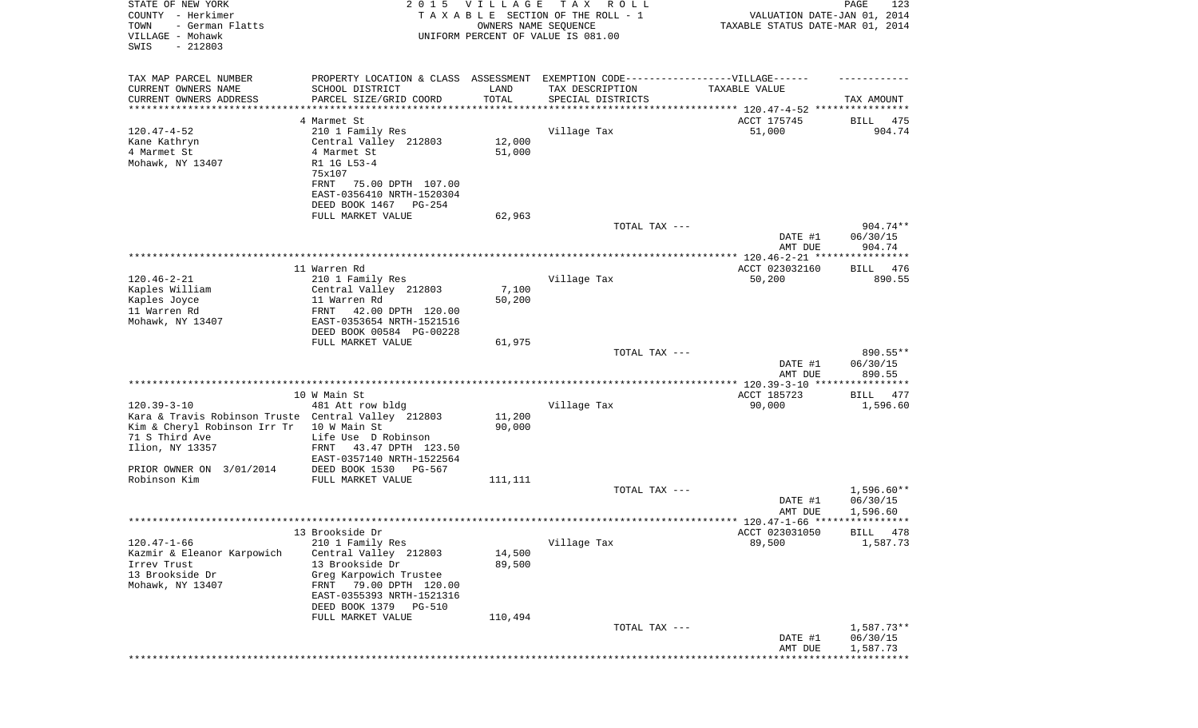| STATE OF NEW YORK<br>COUNTY - Herkimer<br>TOWN<br>- German Flatts<br>VILLAGE - Mohawk<br>SWIS<br>$-212803$ | 2 0 1 5                                                                           | <b>VILLAGE</b><br>OWNERS NAME SEQUENCE | T A X<br>R O L L<br>TAXABLE SECTION OF THE ROLL - 1<br>UNIFORM PERCENT OF VALUE IS 081.00 | VALUATION DATE-JAN 01, 2014<br>TAXABLE STATUS DATE-MAR 01, 2014 | PAGE<br>123             |
|------------------------------------------------------------------------------------------------------------|-----------------------------------------------------------------------------------|----------------------------------------|-------------------------------------------------------------------------------------------|-----------------------------------------------------------------|-------------------------|
| TAX MAP PARCEL NUMBER                                                                                      | PROPERTY LOCATION & CLASS ASSESSMENT EXEMPTION CODE-----------------VILLAGE------ |                                        |                                                                                           |                                                                 |                         |
| CURRENT OWNERS NAME                                                                                        | SCHOOL DISTRICT                                                                   | LAND                                   | TAX DESCRIPTION                                                                           | TAXABLE VALUE                                                   |                         |
| CURRENT OWNERS ADDRESS<br>*********************                                                            | PARCEL SIZE/GRID COORD                                                            | TOTAL<br>* * * * * * * * * * *         | SPECIAL DISTRICTS                                                                         |                                                                 | TAX AMOUNT              |
|                                                                                                            | 4 Marmet St                                                                       |                                        |                                                                                           | ACCT 175745                                                     | 475<br>BILL             |
| $120.47 - 4 - 52$                                                                                          | 210 1 Family Res                                                                  |                                        | Village Tax                                                                               | 51,000                                                          | 904.74                  |
| Kane Kathryn                                                                                               | Central Valley 212803                                                             | 12,000                                 |                                                                                           |                                                                 |                         |
| 4 Marmet St                                                                                                | 4 Marmet St                                                                       | 51,000                                 |                                                                                           |                                                                 |                         |
| Mohawk, NY 13407                                                                                           | R1 1G L53-4                                                                       |                                        |                                                                                           |                                                                 |                         |
|                                                                                                            | 75x107<br>FRNT<br>75.00 DPTH 107.00                                               |                                        |                                                                                           |                                                                 |                         |
|                                                                                                            | EAST-0356410 NRTH-1520304                                                         |                                        |                                                                                           |                                                                 |                         |
|                                                                                                            | DEED BOOK 1467<br>PG-254                                                          |                                        |                                                                                           |                                                                 |                         |
|                                                                                                            | FULL MARKET VALUE                                                                 | 62,963                                 |                                                                                           |                                                                 |                         |
|                                                                                                            |                                                                                   |                                        | TOTAL TAX ---                                                                             |                                                                 | 904.74**                |
|                                                                                                            |                                                                                   |                                        |                                                                                           | DATE #1<br>AMT DUE                                              | 06/30/15<br>904.74      |
|                                                                                                            |                                                                                   |                                        |                                                                                           |                                                                 |                         |
|                                                                                                            | 11 Warren Rd                                                                      |                                        |                                                                                           | ACCT 023032160                                                  | 476<br>BILL             |
| $120.46 - 2 - 21$                                                                                          | 210 1 Family Res                                                                  |                                        | Village Tax                                                                               | 50,200                                                          | 890.55                  |
| Kaples William                                                                                             | Central Valley 212803                                                             | 7,100                                  |                                                                                           |                                                                 |                         |
| Kaples Joyce<br>11 Warren Rd                                                                               | 11 Warren Rd<br>42.00 DPTH 120.00<br>FRNT                                         | 50,200                                 |                                                                                           |                                                                 |                         |
| Mohawk, NY 13407                                                                                           | EAST-0353654 NRTH-1521516                                                         |                                        |                                                                                           |                                                                 |                         |
|                                                                                                            | DEED BOOK 00584 PG-00228                                                          |                                        |                                                                                           |                                                                 |                         |
|                                                                                                            | FULL MARKET VALUE                                                                 | 61,975                                 |                                                                                           |                                                                 |                         |
|                                                                                                            |                                                                                   |                                        | TOTAL TAX ---                                                                             |                                                                 | 890.55**                |
|                                                                                                            |                                                                                   |                                        |                                                                                           | DATE #1<br>AMT DUE                                              | 06/30/15<br>890.55      |
|                                                                                                            |                                                                                   |                                        |                                                                                           |                                                                 |                         |
|                                                                                                            | 10 W Main St                                                                      |                                        |                                                                                           | ACCT 185723                                                     | BILL<br>477             |
| $120.39 - 3 - 10$                                                                                          | 481 Att row bldg                                                                  |                                        | Village Tax                                                                               | 90,000                                                          | 1,596.60                |
| Kara & Travis Robinson Truste Central Valley 212803<br>Kim & Cheryl Robinson Irr Tr                        | 10 W Main St                                                                      | 11,200<br>90,000                       |                                                                                           |                                                                 |                         |
| 71 S Third Ave                                                                                             | Life Use D Robinson                                                               |                                        |                                                                                           |                                                                 |                         |
| Ilion, NY 13357                                                                                            | FRNT<br>43.47 DPTH 123.50                                                         |                                        |                                                                                           |                                                                 |                         |
|                                                                                                            | EAST-0357140 NRTH-1522564                                                         |                                        |                                                                                           |                                                                 |                         |
| PRIOR OWNER ON 3/01/2014                                                                                   | DEED BOOK 1530<br>PG-567                                                          |                                        |                                                                                           |                                                                 |                         |
| Robinson Kim                                                                                               | FULL MARKET VALUE                                                                 | 111,111                                | TOTAL TAX ---                                                                             |                                                                 | $1,596.60**$            |
|                                                                                                            |                                                                                   |                                        |                                                                                           | DATE #1                                                         | 06/30/15                |
|                                                                                                            |                                                                                   |                                        |                                                                                           | AMT DUE                                                         | 1,596.60                |
|                                                                                                            |                                                                                   |                                        |                                                                                           |                                                                 |                         |
| $120.47 - 1 - 66$                                                                                          | 13 Brookside Dr<br>210 1 Family Res                                               |                                        | Village Tax                                                                               | ACCT 023031050<br>89,500                                        | BILL 478<br>1,587.73    |
| Kazmir & Eleanor Karpowich                                                                                 | Central Valley 212803                                                             | 14,500                                 |                                                                                           |                                                                 |                         |
| Irrev Trust                                                                                                | 13 Brookside Dr                                                                   | 89,500                                 |                                                                                           |                                                                 |                         |
| 13 Brookside Dr                                                                                            | Greg Karpowich Trustee                                                            |                                        |                                                                                           |                                                                 |                         |
| Mohawk, NY 13407                                                                                           | FRNT 79.00 DPTH 120.00                                                            |                                        |                                                                                           |                                                                 |                         |
|                                                                                                            | EAST-0355393 NRTH-1521316<br>DEED BOOK 1379                                       |                                        |                                                                                           |                                                                 |                         |
|                                                                                                            | PG-510<br>FULL MARKET VALUE                                                       | 110,494                                |                                                                                           |                                                                 |                         |
|                                                                                                            |                                                                                   |                                        | TOTAL TAX ---                                                                             |                                                                 | 1,587.73**              |
|                                                                                                            |                                                                                   |                                        |                                                                                           | DATE #1                                                         | 06/30/15                |
|                                                                                                            |                                                                                   |                                        |                                                                                           | AMT DUE                                                         | 1,587.73<br>*********** |
|                                                                                                            |                                                                                   |                                        |                                                                                           |                                                                 |                         |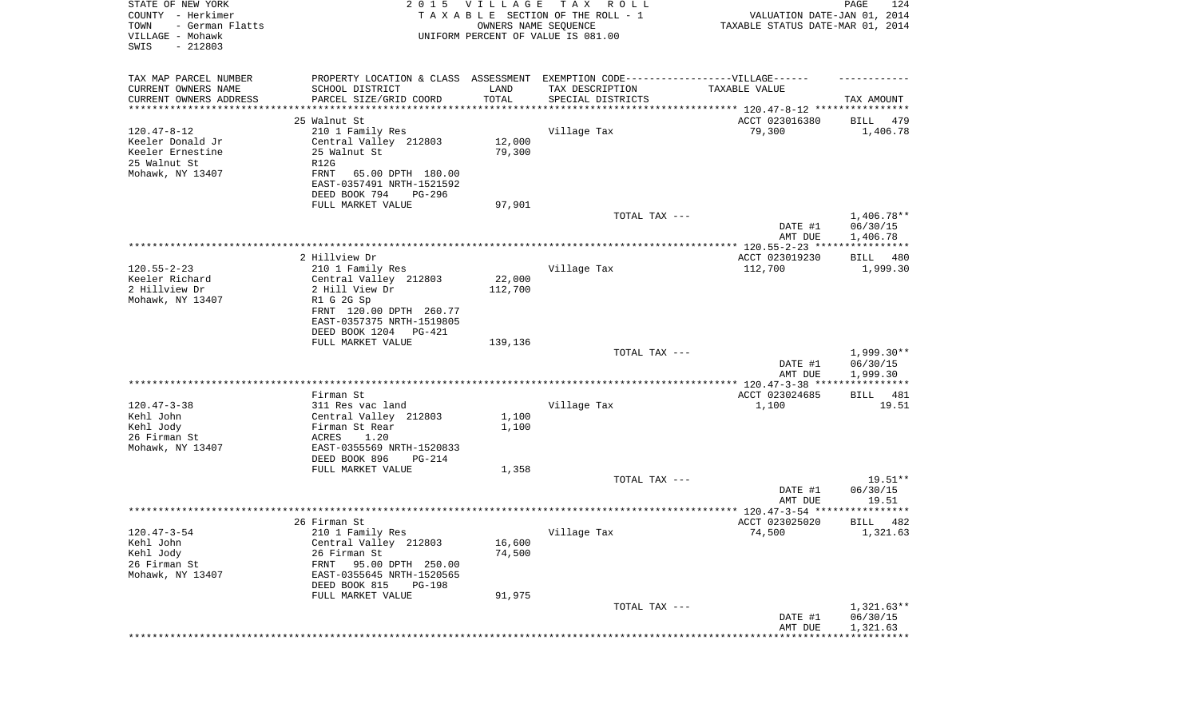| STATE OF NEW YORK<br>COUNTY - Herkimer<br>TOWN<br>- German Flatts<br>VILLAGE - Mohawk<br>SWIS<br>$-212803$ |                                                                                   | 2015 VILLAGE<br>OWNERS NAME SEQUENCE | TAX ROLL<br>TAXABLE SECTION OF THE ROLL - 1<br>UNIFORM PERCENT OF VALUE IS 081.00 | VALUATION DATE-JAN 01, 2014<br>TAXABLE STATUS DATE-MAR 01, 2014 | PAGE<br>124             |
|------------------------------------------------------------------------------------------------------------|-----------------------------------------------------------------------------------|--------------------------------------|-----------------------------------------------------------------------------------|-----------------------------------------------------------------|-------------------------|
| TAX MAP PARCEL NUMBER                                                                                      | PROPERTY LOCATION & CLASS ASSESSMENT EXEMPTION CODE-----------------VILLAGE------ |                                      |                                                                                   |                                                                 |                         |
| CURRENT OWNERS NAME                                                                                        | SCHOOL DISTRICT                                                                   | LAND                                 | TAX DESCRIPTION                                                                   | TAXABLE VALUE                                                   |                         |
| CURRENT OWNERS ADDRESS<br>*********************                                                            | PARCEL SIZE/GRID COORD<br>****************                                        | TOTAL<br>* * * * * * * * * * *       | SPECIAL DISTRICTS                                                                 |                                                                 | TAX AMOUNT              |
|                                                                                                            | 25 Walnut St                                                                      |                                      |                                                                                   | ACCT 023016380                                                  | 479<br>BILL             |
| $120.47 - 8 - 12$                                                                                          | 210 1 Family Res                                                                  |                                      | Village Tax                                                                       | 79,300                                                          | 1,406.78                |
| Keeler Donald Jr                                                                                           | Central Valley 212803                                                             | 12,000                               |                                                                                   |                                                                 |                         |
| Keeler Ernestine                                                                                           | 25 Walnut St                                                                      | 79,300                               |                                                                                   |                                                                 |                         |
| 25 Walnut St                                                                                               | R12G                                                                              |                                      |                                                                                   |                                                                 |                         |
| Mohawk, NY 13407                                                                                           | <b>FRNT</b><br>65.00 DPTH 180.00                                                  |                                      |                                                                                   |                                                                 |                         |
|                                                                                                            | EAST-0357491 NRTH-1521592                                                         |                                      |                                                                                   |                                                                 |                         |
|                                                                                                            | DEED BOOK 794<br>PG-296                                                           |                                      |                                                                                   |                                                                 |                         |
|                                                                                                            | FULL MARKET VALUE                                                                 | 97,901                               | TOTAL TAX ---                                                                     |                                                                 | 1,406.78**              |
|                                                                                                            |                                                                                   |                                      |                                                                                   | DATE #1                                                         | 06/30/15                |
|                                                                                                            |                                                                                   |                                      |                                                                                   | AMT DUE                                                         | 1,406.78                |
|                                                                                                            |                                                                                   |                                      |                                                                                   |                                                                 |                         |
|                                                                                                            | 2 Hillview Dr                                                                     |                                      |                                                                                   | ACCT 023019230                                                  | BILL 480                |
| $120.55 - 2 - 23$                                                                                          | 210 1 Family Res                                                                  |                                      | Village Tax                                                                       | 112,700                                                         | 1,999.30                |
| Keeler Richard                                                                                             | Central Valley 212803                                                             | 22,000                               |                                                                                   |                                                                 |                         |
| 2 Hillview Dr                                                                                              | 2 Hill View Dr                                                                    | 112,700                              |                                                                                   |                                                                 |                         |
| Mohawk, NY 13407                                                                                           | R1 G 2G Sp<br>FRNT 120.00 DPTH 260.77                                             |                                      |                                                                                   |                                                                 |                         |
|                                                                                                            | EAST-0357375 NRTH-1519805                                                         |                                      |                                                                                   |                                                                 |                         |
|                                                                                                            | DEED BOOK 1204<br>PG-421                                                          |                                      |                                                                                   |                                                                 |                         |
|                                                                                                            | FULL MARKET VALUE                                                                 | 139,136                              |                                                                                   |                                                                 |                         |
|                                                                                                            |                                                                                   |                                      | TOTAL TAX ---                                                                     |                                                                 | $1,999.30**$            |
|                                                                                                            |                                                                                   |                                      |                                                                                   | DATE #1                                                         | 06/30/15                |
|                                                                                                            |                                                                                   |                                      |                                                                                   | AMT DUE                                                         | 1,999.30<br>*********** |
|                                                                                                            | Firman St                                                                         |                                      |                                                                                   | ACCT 023024685                                                  | BILL<br>481             |
| $120.47 - 3 - 38$                                                                                          | 311 Res vac land                                                                  |                                      | Village Tax                                                                       | 1,100                                                           | 19.51                   |
| Kehl John                                                                                                  | Central Valley 212803                                                             | 1,100                                |                                                                                   |                                                                 |                         |
| Kehl Jody                                                                                                  | Firman St Rear                                                                    | 1,100                                |                                                                                   |                                                                 |                         |
| 26 Firman St                                                                                               | ACRES<br>1.20                                                                     |                                      |                                                                                   |                                                                 |                         |
| Mohawk, NY 13407                                                                                           | EAST-0355569 NRTH-1520833                                                         |                                      |                                                                                   |                                                                 |                         |
|                                                                                                            | DEED BOOK 896<br>PG-214                                                           |                                      |                                                                                   |                                                                 |                         |
|                                                                                                            | FULL MARKET VALUE                                                                 | 1,358                                | TOTAL TAX ---                                                                     |                                                                 | $19.51**$               |
|                                                                                                            |                                                                                   |                                      |                                                                                   | DATE #1                                                         | 06/30/15                |
|                                                                                                            |                                                                                   |                                      |                                                                                   | AMT DUE                                                         | 19.51                   |
|                                                                                                            |                                                                                   |                                      |                                                                                   |                                                                 |                         |
|                                                                                                            | 26 Firman St                                                                      |                                      |                                                                                   | ACCT 023025020                                                  | 482<br>BILL             |
| $120.47 - 3 - 54$                                                                                          | 210 1 Family Res                                                                  |                                      | Village Tax                                                                       | 74,500                                                          | 1,321.63                |
| Kehl John                                                                                                  | Central Valley 212803                                                             | 16,600                               |                                                                                   |                                                                 |                         |
| Kehl Jody<br>26 Firman St                                                                                  | 26 Firman St<br>FRNT<br>95.00 DPTH 250.00                                         | 74,500                               |                                                                                   |                                                                 |                         |
| Mohawk, NY 13407                                                                                           | EAST-0355645 NRTH-1520565                                                         |                                      |                                                                                   |                                                                 |                         |
|                                                                                                            | DEED BOOK 815<br>PG-198                                                           |                                      |                                                                                   |                                                                 |                         |
|                                                                                                            | FULL MARKET VALUE                                                                 | 91,975                               |                                                                                   |                                                                 |                         |
|                                                                                                            |                                                                                   |                                      | TOTAL TAX ---                                                                     |                                                                 | $1,321.63**$            |
|                                                                                                            |                                                                                   |                                      |                                                                                   | DATE #1                                                         | 06/30/15                |
|                                                                                                            |                                                                                   |                                      |                                                                                   | AMT DUE                                                         | 1,321.63                |
|                                                                                                            |                                                                                   |                                      |                                                                                   |                                                                 |                         |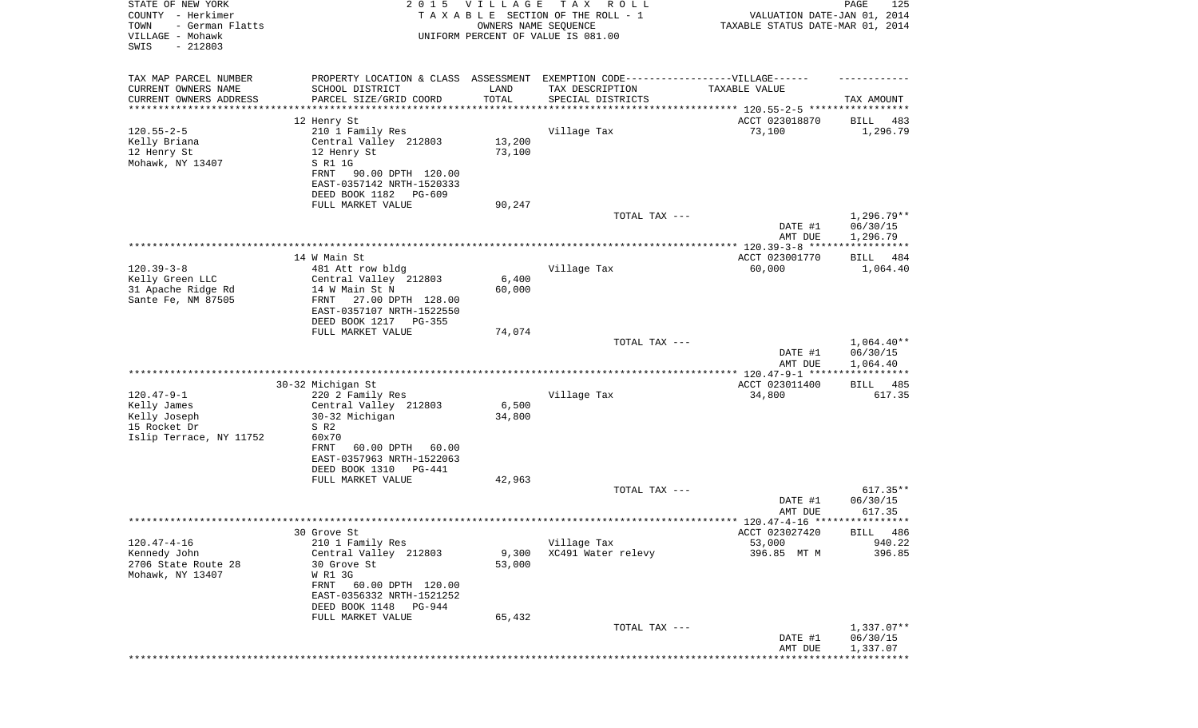| STATE OF NEW YORK<br>COUNTY - Herkimer<br>TOWN<br>- German Flatts<br>VILLAGE - Mohawk<br>SWIS<br>$-212803$ | 2 0 1 5                                               | <b>VILLAGE</b>  | T A X<br>R O L L<br>TAXABLE SECTION OF THE ROLL - 1<br>OWNERS NAME SEQUENCE<br>UNIFORM PERCENT OF VALUE IS 081.00 | VALUATION DATE-JAN 01, 2014<br>TAXABLE STATUS DATE-MAR 01, 2014 | PAGE<br>125              |
|------------------------------------------------------------------------------------------------------------|-------------------------------------------------------|-----------------|-------------------------------------------------------------------------------------------------------------------|-----------------------------------------------------------------|--------------------------|
| TAX MAP PARCEL NUMBER                                                                                      | PROPERTY LOCATION & CLASS ASSESSMENT                  |                 | EXEMPTION CODE------------------VILLAGE------                                                                     |                                                                 |                          |
| CURRENT OWNERS NAME<br>CURRENT OWNERS ADDRESS                                                              | SCHOOL DISTRICT<br>PARCEL SIZE/GRID COORD             | LAND<br>TOTAL   | TAX DESCRIPTION<br>SPECIAL DISTRICTS                                                                              | TAXABLE VALUE                                                   | TAX AMOUNT               |
| ***********************                                                                                    | ************************                              |                 |                                                                                                                   |                                                                 |                          |
|                                                                                                            | 12 Henry St                                           |                 |                                                                                                                   | ACCT 023018870                                                  | BILL<br>483              |
| $120.55 - 2 - 5$                                                                                           | 210 1 Family Res                                      |                 | Village Tax                                                                                                       | 73,100                                                          | 1,296.79                 |
| Kelly Briana                                                                                               | Central Valley 212803                                 | 13,200          |                                                                                                                   |                                                                 |                          |
| 12 Henry St<br>Mohawk, NY 13407                                                                            | 12 Henry St<br>S R1 1G                                | 73,100          |                                                                                                                   |                                                                 |                          |
|                                                                                                            | FRNT<br>90.00 DPTH 120.00                             |                 |                                                                                                                   |                                                                 |                          |
|                                                                                                            | EAST-0357142 NRTH-1520333                             |                 |                                                                                                                   |                                                                 |                          |
|                                                                                                            | DEED BOOK 1182 PG-609                                 |                 |                                                                                                                   |                                                                 |                          |
|                                                                                                            | FULL MARKET VALUE                                     | 90,247          | TOTAL TAX ---                                                                                                     |                                                                 | 1,296.79**               |
|                                                                                                            |                                                       |                 |                                                                                                                   | DATE #1<br>AMT DUE                                              | 06/30/15<br>1,296.79     |
|                                                                                                            |                                                       |                 |                                                                                                                   |                                                                 |                          |
|                                                                                                            | 14 W Main St                                          |                 |                                                                                                                   | ACCT 023001770                                                  | BILL 484                 |
| $120.39 - 3 - 8$                                                                                           | 481 Att row bldg                                      |                 | Village Tax                                                                                                       | 60,000                                                          | 1,064.40                 |
| Kelly Green LLC<br>31 Apache Ridge Rd                                                                      | Central Valley 212803<br>14 W Main St N               | 6,400<br>60,000 |                                                                                                                   |                                                                 |                          |
| Sante Fe, NM 87505                                                                                         | FRNT<br>27.00 DPTH 128.00                             |                 |                                                                                                                   |                                                                 |                          |
|                                                                                                            | EAST-0357107 NRTH-1522550                             |                 |                                                                                                                   |                                                                 |                          |
|                                                                                                            | DEED BOOK 1217<br>PG-355                              |                 |                                                                                                                   |                                                                 |                          |
|                                                                                                            | FULL MARKET VALUE                                     | 74,074          | TOTAL TAX ---                                                                                                     |                                                                 | $1,064.40**$             |
|                                                                                                            |                                                       |                 |                                                                                                                   | DATE #1<br>AMT DUE                                              | 06/30/15<br>1,064.40     |
|                                                                                                            |                                                       |                 |                                                                                                                   | **************** 120.47-9-1 ******************                  |                          |
|                                                                                                            | 30-32 Michigan St                                     |                 |                                                                                                                   | ACCT 023011400                                                  | BILL 485                 |
| $120.47 - 9 - 1$<br>Kelly James                                                                            | 220 2 Family Res<br>Central Valley 212803             | 6,500           | Village Tax                                                                                                       | 34,800                                                          | 617.35                   |
| Kelly Joseph                                                                                               | 30-32 Michigan                                        | 34,800          |                                                                                                                   |                                                                 |                          |
| 15 Rocket Dr                                                                                               | S R2                                                  |                 |                                                                                                                   |                                                                 |                          |
| Islip Terrace, NY 11752                                                                                    | 60x70                                                 |                 |                                                                                                                   |                                                                 |                          |
|                                                                                                            | 60.00 DPTH<br>FRNT<br>60.00                           |                 |                                                                                                                   |                                                                 |                          |
|                                                                                                            | EAST-0357963 NRTH-1522063<br>DEED BOOK 1310<br>PG-441 |                 |                                                                                                                   |                                                                 |                          |
|                                                                                                            | FULL MARKET VALUE                                     | 42,963          |                                                                                                                   |                                                                 |                          |
|                                                                                                            |                                                       |                 | TOTAL TAX ---                                                                                                     |                                                                 | $617.35**$               |
|                                                                                                            |                                                       |                 |                                                                                                                   | DATE #1                                                         | 06/30/15                 |
|                                                                                                            |                                                       |                 |                                                                                                                   | AMT DUE                                                         | 617.35                   |
|                                                                                                            | 30 Grove St                                           |                 |                                                                                                                   | ACCT 023027420                                                  | BILL 486                 |
| $120.47 - 4 - 16$                                                                                          | 210 1 Family Res                                      |                 | Village Tax                                                                                                       | 53,000                                                          | 940.22                   |
| Kennedy John                                                                                               | Central Valley 212803                                 | 9,300           | XC491 Water relevy                                                                                                | 396.85 MT M                                                     | 396.85                   |
| 2706 State Route 28                                                                                        | 30 Grove St                                           | 53,000          |                                                                                                                   |                                                                 |                          |
| Mohawk, NY 13407                                                                                           | W R1 3G<br>FRNT<br>60.00 DPTH 120.00                  |                 |                                                                                                                   |                                                                 |                          |
|                                                                                                            | EAST-0356332 NRTH-1521252                             |                 |                                                                                                                   |                                                                 |                          |
|                                                                                                            | DEED BOOK 1148<br>PG-944                              |                 |                                                                                                                   |                                                                 |                          |
|                                                                                                            | FULL MARKET VALUE                                     | 65,432          |                                                                                                                   |                                                                 |                          |
|                                                                                                            |                                                       |                 | TOTAL TAX ---                                                                                                     | DATE #1                                                         | $1,337.07**$<br>06/30/15 |
|                                                                                                            |                                                       |                 |                                                                                                                   | AMT DUE                                                         | 1,337.07                 |
|                                                                                                            |                                                       |                 |                                                                                                                   | ******************                                              | * * * * * * * * * * * *  |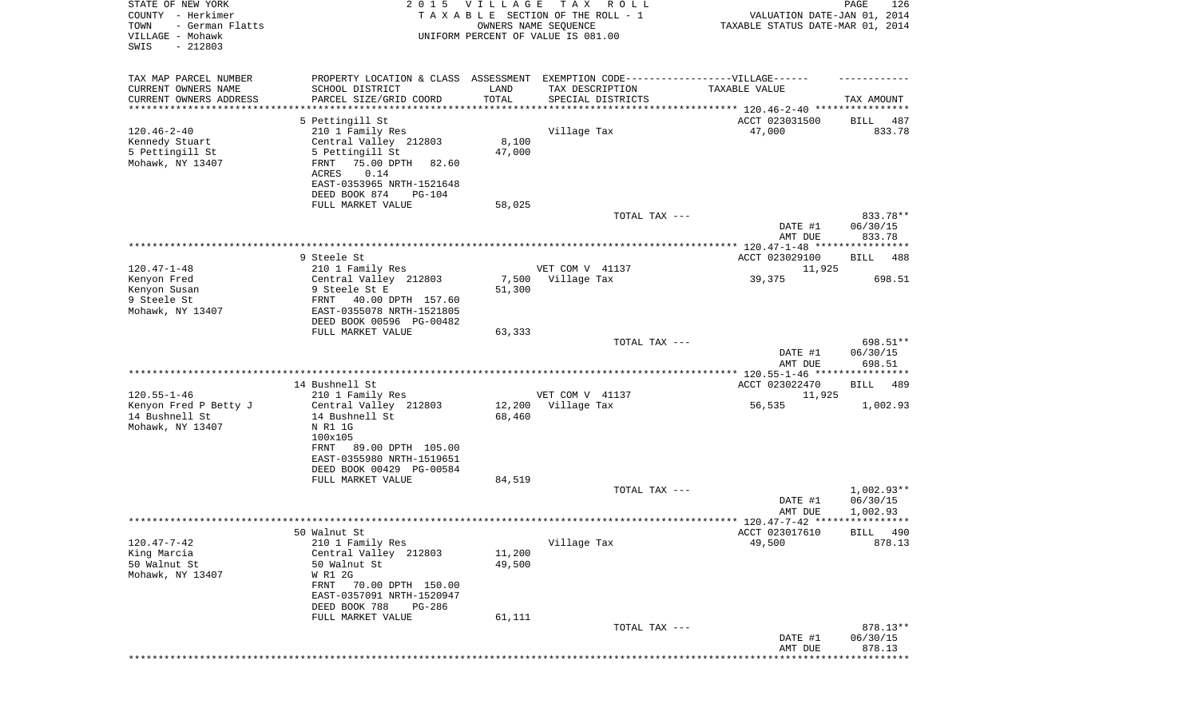| STATE OF NEW YORK<br>COUNTY - Herkimer<br>TOWN<br>- German Flatts<br>VILLAGE - Mohawk<br>SWIS<br>$-212803$ | 2 0 1 5                                                | VILLAGE | TAX ROLL<br>TAXABLE SECTION OF THE ROLL - 1<br>OWNERS NAME SEQUENCE<br>UNIFORM PERCENT OF VALUE IS 081.00 | VALUATION DATE-JAN 01, 2014<br>TAXABLE STATUS DATE-MAR 01, 2014 | PAGE<br>126                    |
|------------------------------------------------------------------------------------------------------------|--------------------------------------------------------|---------|-----------------------------------------------------------------------------------------------------------|-----------------------------------------------------------------|--------------------------------|
| TAX MAP PARCEL NUMBER<br>CURRENT OWNERS NAME                                                               | SCHOOL DISTRICT                                        | LAND    | PROPERTY LOCATION & CLASS ASSESSMENT EXEMPTION CODE----------------VILLAGE------<br>TAX DESCRIPTION       | TAXABLE VALUE                                                   |                                |
| CURRENT OWNERS ADDRESS                                                                                     | PARCEL SIZE/GRID COORD                                 | TOTAL   | SPECIAL DISTRICTS                                                                                         |                                                                 | TAX AMOUNT                     |
| **********************                                                                                     | 5 Pettingill St                                        |         |                                                                                                           |                                                                 |                                |
| $120.46 - 2 - 40$                                                                                          | 210 1 Family Res                                       |         | Village Tax                                                                                               | ACCT 023031500<br>47,000                                        | BILL<br>487<br>833.78          |
| Kennedy Stuart                                                                                             | Central Valley 212803                                  | 8,100   |                                                                                                           |                                                                 |                                |
| 5 Pettingill St                                                                                            | 5 Pettingill St                                        | 47,000  |                                                                                                           |                                                                 |                                |
| Mohawk, NY 13407                                                                                           | 75.00 DPTH<br>FRNT<br>82.60<br>ACRES<br>0.14           |         |                                                                                                           |                                                                 |                                |
|                                                                                                            | EAST-0353965 NRTH-1521648                              |         |                                                                                                           |                                                                 |                                |
|                                                                                                            | DEED BOOK 874<br>PG-104                                |         |                                                                                                           |                                                                 |                                |
|                                                                                                            | FULL MARKET VALUE                                      | 58,025  | TOTAL TAX ---                                                                                             |                                                                 | 833.78**                       |
|                                                                                                            |                                                        |         |                                                                                                           | DATE #1                                                         | 06/30/15                       |
|                                                                                                            |                                                        |         |                                                                                                           | AMT DUE                                                         | 833.78                         |
|                                                                                                            | 9 Steele St                                            |         |                                                                                                           |                                                                 | 488                            |
| $120.47 - 1 - 48$                                                                                          | 210 1 Family Res                                       |         | VET COM V 41137                                                                                           | ACCT 023029100<br>11,925                                        | BILL                           |
| Kenyon Fred                                                                                                | Central Valley 212803                                  | 7,500   | Village Tax                                                                                               | 39,375                                                          | 698.51                         |
| Kenyon Susan                                                                                               | 9 Steele St E                                          | 51,300  |                                                                                                           |                                                                 |                                |
| 9 Steele St<br>Mohawk, NY 13407                                                                            | FRNT<br>40.00 DPTH 157.60<br>EAST-0355078 NRTH-1521805 |         |                                                                                                           |                                                                 |                                |
|                                                                                                            | DEED BOOK 00596 PG-00482                               |         |                                                                                                           |                                                                 |                                |
|                                                                                                            | FULL MARKET VALUE                                      | 63,333  |                                                                                                           |                                                                 |                                |
|                                                                                                            |                                                        |         | TOTAL TAX ---                                                                                             | DATE #1<br>AMT DUE                                              | 698.51**<br>06/30/15<br>698.51 |
|                                                                                                            |                                                        |         |                                                                                                           | ************* 120.55-1-46 *****************                     |                                |
| $120.55 - 1 - 46$                                                                                          | 14 Bushnell St                                         |         | VET COM V 41137                                                                                           | ACCT 023022470                                                  | BILL<br>489                    |
| Kenyon Fred P Betty J                                                                                      | 210 1 Family Res<br>Central Valley 212803              | 12,200  | Village Tax                                                                                               | 11,925<br>56,535                                                | 1,002.93                       |
| 14 Bushnell St                                                                                             | 14 Bushnell St                                         | 68,460  |                                                                                                           |                                                                 |                                |
| Mohawk, NY 13407                                                                                           | N R1 1G                                                |         |                                                                                                           |                                                                 |                                |
|                                                                                                            | 100x105<br>89.00 DPTH 105.00<br>FRNT                   |         |                                                                                                           |                                                                 |                                |
|                                                                                                            | EAST-0355980 NRTH-1519651                              |         |                                                                                                           |                                                                 |                                |
|                                                                                                            | DEED BOOK 00429 PG-00584                               |         |                                                                                                           |                                                                 |                                |
|                                                                                                            | FULL MARKET VALUE                                      | 84,519  | TOTAL TAX ---                                                                                             |                                                                 | $1,002.93**$                   |
|                                                                                                            |                                                        |         |                                                                                                           | DATE #1                                                         | 06/30/15                       |
|                                                                                                            |                                                        |         |                                                                                                           | AMT DUE                                                         | 1,002.93                       |
|                                                                                                            | 50 Walnut St                                           |         |                                                                                                           | ACCT 023017610                                                  | BILL 490                       |
| $120.47 - 7 - 42$                                                                                          | 210 1 Family Res                                       |         | Village Tax                                                                                               | 49,500                                                          | 878.13                         |
| King Marcia                                                                                                | Central Valley 212803                                  | 11,200  |                                                                                                           |                                                                 |                                |
| 50 Walnut St<br>Mohawk, NY 13407                                                                           | 50 Walnut St<br>W R1 2G                                | 49,500  |                                                                                                           |                                                                 |                                |
|                                                                                                            | FRNT<br>70.00 DPTH 150.00                              |         |                                                                                                           |                                                                 |                                |
|                                                                                                            | EAST-0357091 NRTH-1520947                              |         |                                                                                                           |                                                                 |                                |
|                                                                                                            | DEED BOOK 788<br>PG-286                                |         |                                                                                                           |                                                                 |                                |
|                                                                                                            | FULL MARKET VALUE                                      | 61,111  | TOTAL TAX ---                                                                                             |                                                                 | 878.13**                       |
|                                                                                                            |                                                        |         |                                                                                                           | DATE #1                                                         | 06/30/15                       |
|                                                                                                            |                                                        |         |                                                                                                           | AMT DUE                                                         | 878.13<br>**********           |
|                                                                                                            |                                                        |         |                                                                                                           |                                                                 |                                |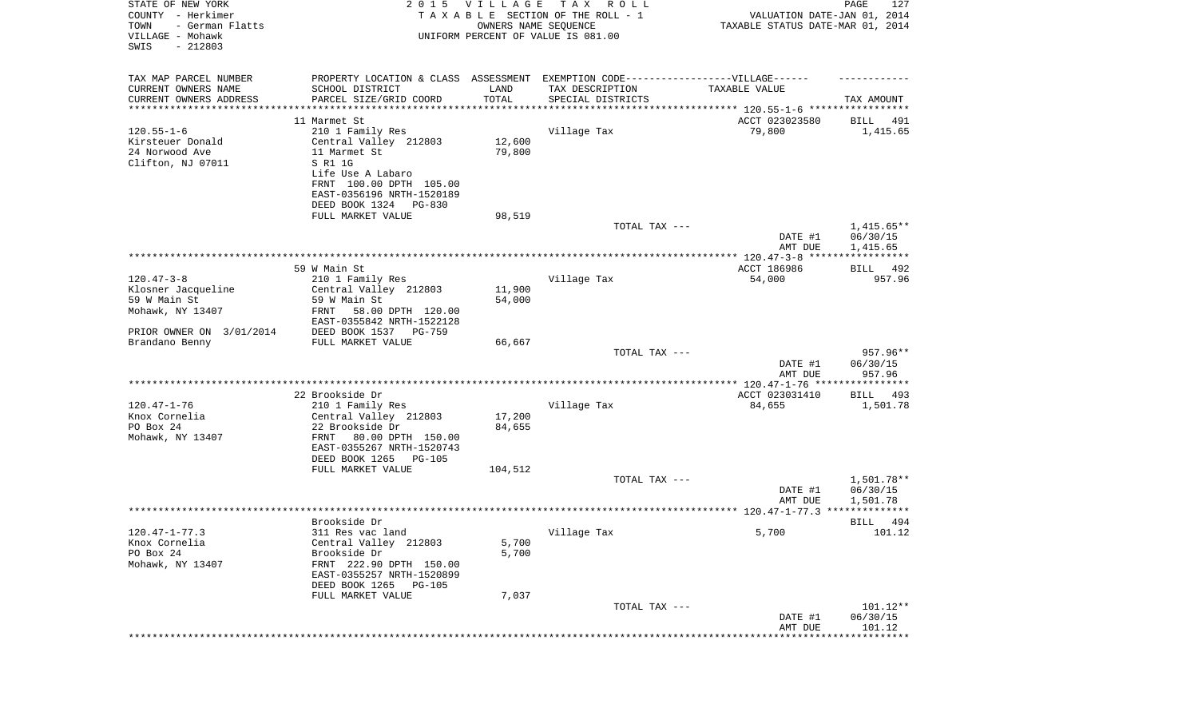| STATE OF NEW YORK<br>COUNTY - Herkimer<br>- German Flatts<br>TOWN<br>VILLAGE - Mohawk<br>SWIS<br>$-212803$ |                                           | 2015 VILLAGE<br>OWNERS NAME SEQUENCE | TAX ROLL<br>TAXABLE SECTION OF THE ROLL - 1<br>UNIFORM PERCENT OF VALUE IS 081.00 | VALUATION DATE-JAN 01, 2014<br>TAXABLE STATUS DATE-MAR 01, 2014 | PAGE<br>127        |
|------------------------------------------------------------------------------------------------------------|-------------------------------------------|--------------------------------------|-----------------------------------------------------------------------------------|-----------------------------------------------------------------|--------------------|
| TAX MAP PARCEL NUMBER                                                                                      |                                           |                                      | PROPERTY LOCATION & CLASS ASSESSMENT EXEMPTION CODE-----------------VILLAGE------ |                                                                 |                    |
| CURRENT OWNERS NAME<br>CURRENT OWNERS ADDRESS                                                              | SCHOOL DISTRICT<br>PARCEL SIZE/GRID COORD | LAND<br>TOTAL                        | TAX DESCRIPTION<br>SPECIAL DISTRICTS                                              | TAXABLE VALUE                                                   | TAX AMOUNT         |
| *********************                                                                                      | *******************                       | **********                           | ********************************* 120.55-1-6 *****************                    |                                                                 |                    |
|                                                                                                            | 11 Marmet St                              |                                      |                                                                                   | ACCT 023023580                                                  | BILL<br>491        |
| $120.55 - 1 - 6$                                                                                           | 210 1 Family Res                          |                                      | Village Tax                                                                       | 79,800                                                          | 1,415.65           |
| Kirsteuer Donald                                                                                           | Central Valley 212803                     | 12,600                               |                                                                                   |                                                                 |                    |
| 24 Norwood Ave                                                                                             | 11 Marmet St                              | 79,800                               |                                                                                   |                                                                 |                    |
| Clifton, NJ 07011                                                                                          | S R1 1G                                   |                                      |                                                                                   |                                                                 |                    |
|                                                                                                            | Life Use A Labaro                         |                                      |                                                                                   |                                                                 |                    |
|                                                                                                            | FRNT 100.00 DPTH 105.00                   |                                      |                                                                                   |                                                                 |                    |
|                                                                                                            | EAST-0356196 NRTH-1520189                 |                                      |                                                                                   |                                                                 |                    |
|                                                                                                            | DEED BOOK 1324 PG-830                     |                                      |                                                                                   |                                                                 |                    |
|                                                                                                            | FULL MARKET VALUE                         | 98,519                               |                                                                                   |                                                                 |                    |
|                                                                                                            |                                           |                                      | TOTAL TAX ---                                                                     |                                                                 | $1,415.65**$       |
|                                                                                                            |                                           |                                      |                                                                                   | DATE #1                                                         | 06/30/15           |
|                                                                                                            |                                           |                                      |                                                                                   | AMT DUE                                                         | 1,415.65           |
|                                                                                                            |                                           |                                      |                                                                                   |                                                                 |                    |
|                                                                                                            | 59 W Main St                              |                                      |                                                                                   | ACCT 186986                                                     | 492<br>BILL        |
| $120.47 - 3 - 8$                                                                                           | 210 1 Family Res                          |                                      | Village Tax                                                                       | 54,000                                                          | 957.96             |
| Klosner Jacqueline                                                                                         | Central Valley 212803                     | 11,900                               |                                                                                   |                                                                 |                    |
| 59 W Main St                                                                                               | 59 W Main St                              | 54,000                               |                                                                                   |                                                                 |                    |
| Mohawk, NY 13407                                                                                           | 58.00 DPTH 120.00<br>FRNT                 |                                      |                                                                                   |                                                                 |                    |
|                                                                                                            | EAST-0355842 NRTH-1522128                 |                                      |                                                                                   |                                                                 |                    |
| PRIOR OWNER ON 3/01/2014                                                                                   | DEED BOOK 1537 PG-759                     |                                      |                                                                                   |                                                                 |                    |
| Brandano Benny                                                                                             | FULL MARKET VALUE                         | 66,667                               |                                                                                   |                                                                 |                    |
|                                                                                                            |                                           |                                      | TOTAL TAX ---                                                                     |                                                                 | 957.96**           |
|                                                                                                            |                                           |                                      |                                                                                   | DATE #1<br>AMT DUE                                              | 06/30/15<br>957.96 |
|                                                                                                            |                                           |                                      |                                                                                   |                                                                 |                    |
|                                                                                                            | 22 Brookside Dr                           |                                      |                                                                                   | ACCT 023031410                                                  | BILL<br>493        |
| $120.47 - 1 - 76$                                                                                          | 210 1 Family Res                          |                                      | Village Tax                                                                       | 84,655                                                          | 1,501.78           |
| Knox Cornelia                                                                                              | Central Valley 212803                     | 17,200                               |                                                                                   |                                                                 |                    |
| PO Box 24                                                                                                  | 22 Brookside Dr                           | 84,655                               |                                                                                   |                                                                 |                    |
| Mohawk, NY 13407                                                                                           | FRNT<br>80.00 DPTH 150.00                 |                                      |                                                                                   |                                                                 |                    |
|                                                                                                            | EAST-0355267 NRTH-1520743                 |                                      |                                                                                   |                                                                 |                    |
|                                                                                                            | DEED BOOK 1265 PG-105                     |                                      |                                                                                   |                                                                 |                    |
|                                                                                                            | FULL MARKET VALUE                         | 104,512                              |                                                                                   |                                                                 |                    |
|                                                                                                            |                                           |                                      | TOTAL TAX ---                                                                     |                                                                 | 1,501.78**         |
|                                                                                                            |                                           |                                      |                                                                                   | DATE #1                                                         | 06/30/15           |
|                                                                                                            |                                           |                                      |                                                                                   | AMT DUE                                                         | 1,501.78           |
|                                                                                                            |                                           |                                      |                                                                                   |                                                                 | *****              |
|                                                                                                            | Brookside Dr                              |                                      |                                                                                   |                                                                 | 494<br>BILL        |
| $120.47 - 1 - 77.3$                                                                                        | 311 Res vac land                          |                                      | Village Tax                                                                       | 5,700                                                           | 101.12             |
| Knox Cornelia                                                                                              | Central Valley 212803                     | 5,700                                |                                                                                   |                                                                 |                    |
| PO Box 24                                                                                                  | Brookside Dr                              | 5,700                                |                                                                                   |                                                                 |                    |
| Mohawk, NY 13407                                                                                           | FRNT 222.90 DPTH 150.00                   |                                      |                                                                                   |                                                                 |                    |
|                                                                                                            | EAST-0355257 NRTH-1520899                 |                                      |                                                                                   |                                                                 |                    |
|                                                                                                            | DEED BOOK 1265 PG-105                     |                                      |                                                                                   |                                                                 |                    |
|                                                                                                            | FULL MARKET VALUE                         | 7,037                                |                                                                                   |                                                                 |                    |
|                                                                                                            |                                           |                                      | TOTAL TAX ---                                                                     |                                                                 | 101.12**           |
|                                                                                                            |                                           |                                      |                                                                                   | DATE #1                                                         | 06/30/15           |
|                                                                                                            |                                           |                                      |                                                                                   | AMT DUE                                                         | 101.12             |
|                                                                                                            |                                           |                                      |                                                                                   | ***************************                                     |                    |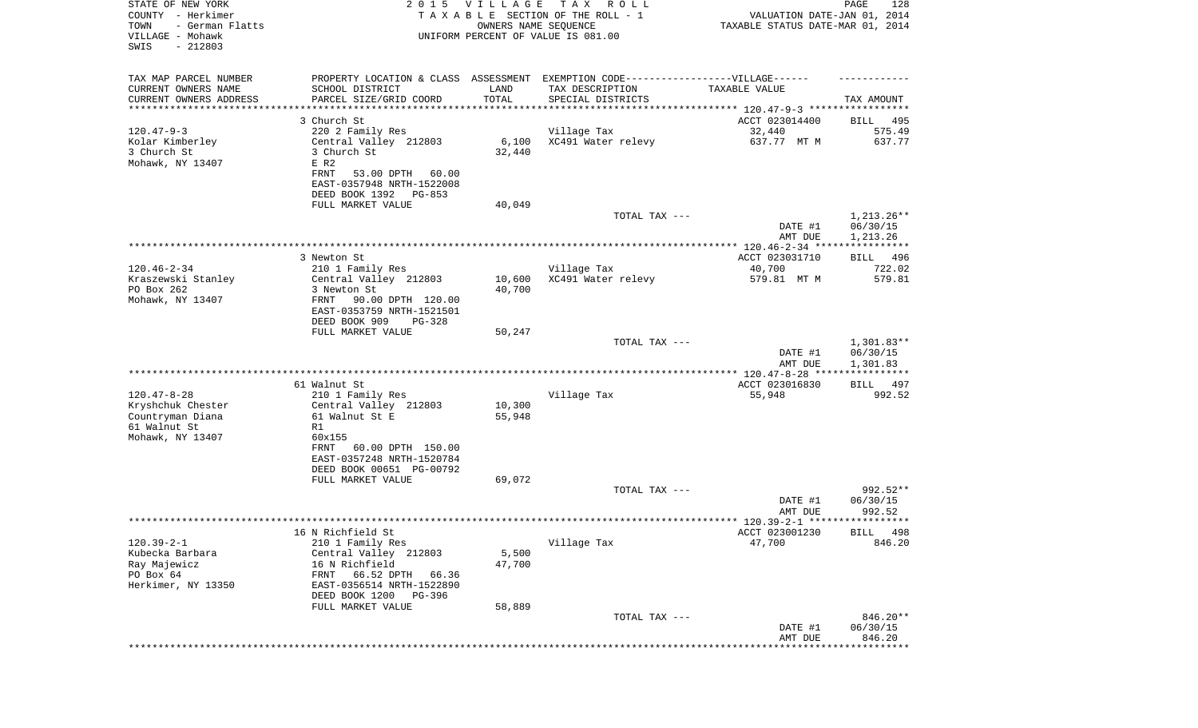| STATE OF NEW YORK<br>COUNTY - Herkimer<br>- German Flatts<br>TOWN<br>VILLAGE - Mohawk<br>SWIS<br>$-212803$ |                                           | 2015 VILLAGE<br>OWNERS NAME SEQUENCE | T A X<br>R O L L<br>TAXABLE SECTION OF THE ROLL - 1<br>UNIFORM PERCENT OF VALUE IS 081.00 | VALUATION DATE-JAN 01, 2014<br>TAXABLE STATUS DATE-MAR 01, 2014 | PAGE<br>128          |
|------------------------------------------------------------------------------------------------------------|-------------------------------------------|--------------------------------------|-------------------------------------------------------------------------------------------|-----------------------------------------------------------------|----------------------|
| TAX MAP PARCEL NUMBER                                                                                      |                                           |                                      | PROPERTY LOCATION & CLASS ASSESSMENT EXEMPTION CODE----------------VILLAGE------          |                                                                 |                      |
| CURRENT OWNERS NAME<br>CURRENT OWNERS ADDRESS                                                              | SCHOOL DISTRICT<br>PARCEL SIZE/GRID COORD | LAND<br>TOTAL                        | TAX DESCRIPTION<br>SPECIAL DISTRICTS                                                      | TAXABLE VALUE                                                   | TAX AMOUNT           |
| ********************                                                                                       |                                           |                                      |                                                                                           |                                                                 |                      |
|                                                                                                            | 3 Church St                               |                                      |                                                                                           | ACCT 023014400                                                  | BILL<br>495          |
| $120.47 - 9 - 3$                                                                                           | 220 2 Family Res                          |                                      | Village Tax                                                                               | 32,440                                                          | 575.49               |
| Kolar Kimberley                                                                                            | Central Valley 212803                     | 6,100                                | XC491 Water relevy                                                                        | 637.77 MT M                                                     | 637.77               |
| 3 Church St                                                                                                | 3 Church St                               | 32,440                               |                                                                                           |                                                                 |                      |
| Mohawk, NY 13407                                                                                           | E R2<br><b>FRNT</b><br>53.00 DPTH 60.00   |                                      |                                                                                           |                                                                 |                      |
|                                                                                                            | EAST-0357948 NRTH-1522008                 |                                      |                                                                                           |                                                                 |                      |
|                                                                                                            | DEED BOOK 1392 PG-853                     |                                      |                                                                                           |                                                                 |                      |
|                                                                                                            | FULL MARKET VALUE                         | 40,049                               |                                                                                           |                                                                 |                      |
|                                                                                                            |                                           |                                      | TOTAL TAX ---                                                                             |                                                                 | $1,213.26**$         |
|                                                                                                            |                                           |                                      |                                                                                           | DATE #1                                                         | 06/30/15             |
|                                                                                                            |                                           |                                      |                                                                                           | AMT DUE                                                         | 1,213.26             |
|                                                                                                            |                                           |                                      |                                                                                           |                                                                 |                      |
| $120.46 - 2 - 34$                                                                                          | 3 Newton St<br>210 1 Family Res           |                                      | Village Tax                                                                               | ACCT 023031710<br>40,700                                        | BILL 496<br>722.02   |
| Kraszewski Stanley                                                                                         | Central Valley 212803                     | 10,600                               | XC491 Water relevy                                                                        | 579.81 MT M                                                     | 579.81               |
| PO Box 262                                                                                                 | 3 Newton St                               | 40,700                               |                                                                                           |                                                                 |                      |
| Mohawk, NY 13407                                                                                           | 90.00 DPTH 120.00<br>FRNT                 |                                      |                                                                                           |                                                                 |                      |
|                                                                                                            | EAST-0353759 NRTH-1521501                 |                                      |                                                                                           |                                                                 |                      |
|                                                                                                            | DEED BOOK 909<br>$PG-328$                 |                                      |                                                                                           |                                                                 |                      |
|                                                                                                            | FULL MARKET VALUE                         | 50,247                               |                                                                                           |                                                                 |                      |
|                                                                                                            |                                           |                                      | TOTAL TAX ---                                                                             |                                                                 | $1,301.83**$         |
|                                                                                                            |                                           |                                      |                                                                                           | DATE #1<br>AMT DUE                                              | 06/30/15<br>1,301.83 |
|                                                                                                            |                                           |                                      |                                                                                           | ************** 120.47-8-28 *****************                    |                      |
|                                                                                                            | 61 Walnut St                              |                                      |                                                                                           | ACCT 023016830                                                  | BILL<br>497          |
| $120.47 - 8 - 28$                                                                                          | 210 1 Family Res                          |                                      | Village Tax                                                                               | 55,948                                                          | 992.52               |
| Kryshchuk Chester                                                                                          | Central Valley 212803                     | 10,300                               |                                                                                           |                                                                 |                      |
| Countryman Diana                                                                                           | 61 Walnut St E                            | 55,948                               |                                                                                           |                                                                 |                      |
| 61 Walnut St                                                                                               | R1                                        |                                      |                                                                                           |                                                                 |                      |
| Mohawk, NY 13407                                                                                           | 60x155<br>60.00 DPTH 150.00<br>FRNT       |                                      |                                                                                           |                                                                 |                      |
|                                                                                                            | EAST-0357248 NRTH-1520784                 |                                      |                                                                                           |                                                                 |                      |
|                                                                                                            | DEED BOOK 00651 PG-00792                  |                                      |                                                                                           |                                                                 |                      |
|                                                                                                            | FULL MARKET VALUE                         | 69,072                               |                                                                                           |                                                                 |                      |
|                                                                                                            |                                           |                                      | TOTAL TAX ---                                                                             |                                                                 | 992.52**             |
|                                                                                                            |                                           |                                      |                                                                                           | DATE #1                                                         | 06/30/15             |
|                                                                                                            |                                           |                                      |                                                                                           | AMT DUE                                                         | 992.52               |
|                                                                                                            |                                           |                                      |                                                                                           | ACCT 023001230                                                  | BILL 498             |
| $120.39 - 2 - 1$                                                                                           | 16 N Richfield St<br>210 1 Family Res     |                                      | Village Tax                                                                               | 47,700                                                          | 846.20               |
| Kubecka Barbara                                                                                            | Central Valley 212803                     | 5,500                                |                                                                                           |                                                                 |                      |
| Ray Majewicz                                                                                               | 16 N Richfield                            | 47,700                               |                                                                                           |                                                                 |                      |
| PO Box 64                                                                                                  | 66.52 DPTH<br>FRNT<br>66.36               |                                      |                                                                                           |                                                                 |                      |
| Herkimer, NY 13350                                                                                         | EAST-0356514 NRTH-1522890                 |                                      |                                                                                           |                                                                 |                      |
|                                                                                                            | DEED BOOK 1200<br>PG-396                  |                                      |                                                                                           |                                                                 |                      |
|                                                                                                            | FULL MARKET VALUE                         | 58,889                               |                                                                                           |                                                                 |                      |
|                                                                                                            |                                           |                                      | TOTAL TAX ---                                                                             | DATE #1                                                         | 846.20**<br>06/30/15 |
|                                                                                                            |                                           |                                      |                                                                                           | AMT DUE                                                         | 846.20               |
|                                                                                                            |                                           |                                      |                                                                                           |                                                                 |                      |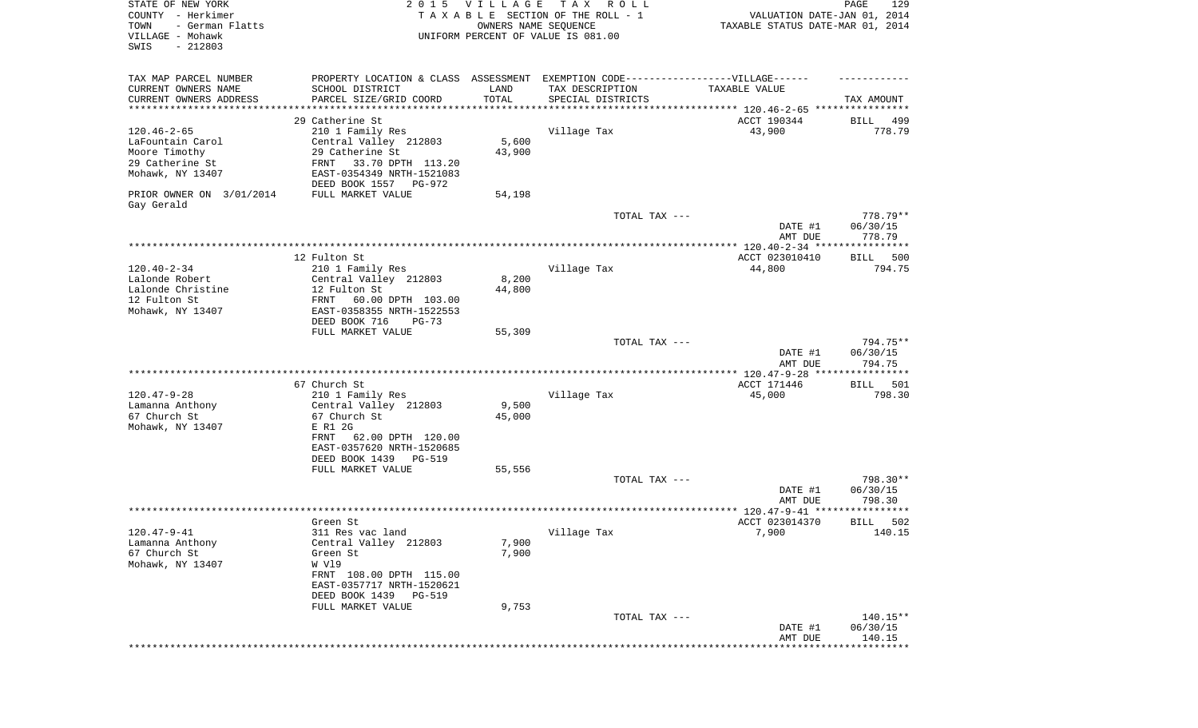| STATE OF NEW YORK<br>COUNTY - Herkimer<br>TOWN<br>- German Flatts<br>VILLAGE - Mohawk | 2 0 1 5                                                                           | VILLAGE<br>OWNERS NAME SEQUENCE | T A X<br>R O L L<br>TAXABLE SECTION OF THE ROLL - 1<br>UNIFORM PERCENT OF VALUE IS 081.00 | VALUATION DATE-JAN 01, 2014<br>TAXABLE STATUS DATE-MAR 01, 2014 | PAGE<br>129        |
|---------------------------------------------------------------------------------------|-----------------------------------------------------------------------------------|---------------------------------|-------------------------------------------------------------------------------------------|-----------------------------------------------------------------|--------------------|
| SWIS<br>$-212803$                                                                     |                                                                                   |                                 |                                                                                           |                                                                 |                    |
| TAX MAP PARCEL NUMBER                                                                 | PROPERTY LOCATION & CLASS ASSESSMENT EXEMPTION CODE-----------------VILLAGE------ |                                 |                                                                                           |                                                                 |                    |
| CURRENT OWNERS NAME                                                                   | SCHOOL DISTRICT                                                                   | LAND                            | TAX DESCRIPTION                                                                           | TAXABLE VALUE                                                   |                    |
| CURRENT OWNERS ADDRESS                                                                | PARCEL SIZE/GRID COORD                                                            | TOTAL                           | SPECIAL DISTRICTS                                                                         |                                                                 | TAX AMOUNT         |
| *********************                                                                 | *********************                                                             | * * * * * * * * * * *           |                                                                                           | ********************************* 120.46-2-65 ****************  |                    |
|                                                                                       | 29 Catherine St                                                                   |                                 |                                                                                           | ACCT 190344<br>43,900                                           | 499<br>BILL        |
| $120.46 - 2 - 65$<br>LaFountain Carol                                                 | 210 1 Family Res<br>Central Valley 212803                                         | 5,600                           | Village Tax                                                                               |                                                                 | 778.79             |
| Moore Timothy                                                                         | 29 Catherine St                                                                   | 43,900                          |                                                                                           |                                                                 |                    |
| 29 Catherine St                                                                       | FRNT<br>33.70 DPTH 113.20                                                         |                                 |                                                                                           |                                                                 |                    |
| Mohawk, NY 13407                                                                      | EAST-0354349 NRTH-1521083                                                         |                                 |                                                                                           |                                                                 |                    |
|                                                                                       | DEED BOOK 1557 PG-972                                                             |                                 |                                                                                           |                                                                 |                    |
| PRIOR OWNER ON 3/01/2014                                                              | FULL MARKET VALUE                                                                 | 54,198                          |                                                                                           |                                                                 |                    |
| Gay Gerald                                                                            |                                                                                   |                                 |                                                                                           |                                                                 |                    |
|                                                                                       |                                                                                   |                                 | TOTAL TAX ---                                                                             |                                                                 | 778.79**           |
|                                                                                       |                                                                                   |                                 |                                                                                           | DATE #1<br>AMT DUE                                              | 06/30/15<br>778.79 |
|                                                                                       |                                                                                   |                                 |                                                                                           |                                                                 |                    |
|                                                                                       | 12 Fulton St                                                                      |                                 |                                                                                           | ACCT 023010410                                                  | BILL<br>500        |
| $120.40 - 2 - 34$                                                                     | 210 1 Family Res                                                                  |                                 | Village Tax                                                                               | 44,800                                                          | 794.75             |
| Lalonde Robert                                                                        | Central Valley 212803                                                             | 8,200                           |                                                                                           |                                                                 |                    |
| Lalonde Christine                                                                     | 12 Fulton St                                                                      | 44,800                          |                                                                                           |                                                                 |                    |
| 12 Fulton St                                                                          | 60.00 DPTH 103.00<br>FRNT                                                         |                                 |                                                                                           |                                                                 |                    |
| Mohawk, NY 13407                                                                      | EAST-0358355 NRTH-1522553<br>DEED BOOK 716<br>$PG-73$                             |                                 |                                                                                           |                                                                 |                    |
|                                                                                       | FULL MARKET VALUE                                                                 | 55,309                          |                                                                                           |                                                                 |                    |
|                                                                                       |                                                                                   |                                 | TOTAL TAX ---                                                                             |                                                                 | 794.75**           |
|                                                                                       |                                                                                   |                                 |                                                                                           | DATE #1                                                         | 06/30/15           |
|                                                                                       |                                                                                   |                                 |                                                                                           | AMT DUE                                                         | 794.75             |
|                                                                                       |                                                                                   |                                 |                                                                                           | ************* 120.47-9-28 *****************                     |                    |
|                                                                                       | 67 Church St                                                                      |                                 |                                                                                           | ACCT 171446                                                     | 501<br>BILL        |
| $120.47 - 9 - 28$                                                                     | 210 1 Family Res                                                                  |                                 | Village Tax                                                                               | 45,000                                                          | 798.30             |
| Lamanna Anthony<br>67 Church St                                                       | Central Valley 212803<br>67 Church St                                             | 9,500<br>45,000                 |                                                                                           |                                                                 |                    |
| Mohawk, NY 13407                                                                      | E R1 2G                                                                           |                                 |                                                                                           |                                                                 |                    |
|                                                                                       | FRNT<br>62.00 DPTH 120.00                                                         |                                 |                                                                                           |                                                                 |                    |
|                                                                                       | EAST-0357620 NRTH-1520685                                                         |                                 |                                                                                           |                                                                 |                    |
|                                                                                       | DEED BOOK 1439 PG-519                                                             |                                 |                                                                                           |                                                                 |                    |
|                                                                                       | FULL MARKET VALUE                                                                 | 55,556                          |                                                                                           |                                                                 |                    |
|                                                                                       |                                                                                   |                                 | TOTAL TAX ---                                                                             |                                                                 | 798.30**           |
|                                                                                       |                                                                                   |                                 |                                                                                           | DATE #1                                                         | 06/30/15<br>798.30 |
|                                                                                       |                                                                                   |                                 |                                                                                           | AMT DUE                                                         | * * * * * *        |
|                                                                                       | Green St                                                                          |                                 |                                                                                           | ACCT 023014370                                                  | 502<br>BILL        |
| 120.47-9-41                                                                           | 311 Res vac land                                                                  |                                 | Village Tax                                                                               | 7,900                                                           | 140.15             |
| Lamanna Anthony                                                                       | Central Valley 212803                                                             | 7,900                           |                                                                                           |                                                                 |                    |
| 67 Church St                                                                          | Green St                                                                          | 7,900                           |                                                                                           |                                                                 |                    |
| Mohawk, NY 13407                                                                      | W Vl9                                                                             |                                 |                                                                                           |                                                                 |                    |
|                                                                                       | FRNT 108.00 DPTH 115.00                                                           |                                 |                                                                                           |                                                                 |                    |
|                                                                                       | EAST-0357717 NRTH-1520621<br>DEED BOOK 1439 PG-519                                |                                 |                                                                                           |                                                                 |                    |
|                                                                                       | FULL MARKET VALUE                                                                 | 9,753                           |                                                                                           |                                                                 |                    |
|                                                                                       |                                                                                   |                                 | TOTAL TAX ---                                                                             |                                                                 | 140.15**           |
|                                                                                       |                                                                                   |                                 |                                                                                           | DATE #1                                                         | 06/30/15           |
|                                                                                       |                                                                                   |                                 |                                                                                           | AMT DUE                                                         | 140.15             |
|                                                                                       |                                                                                   |                                 |                                                                                           |                                                                 |                    |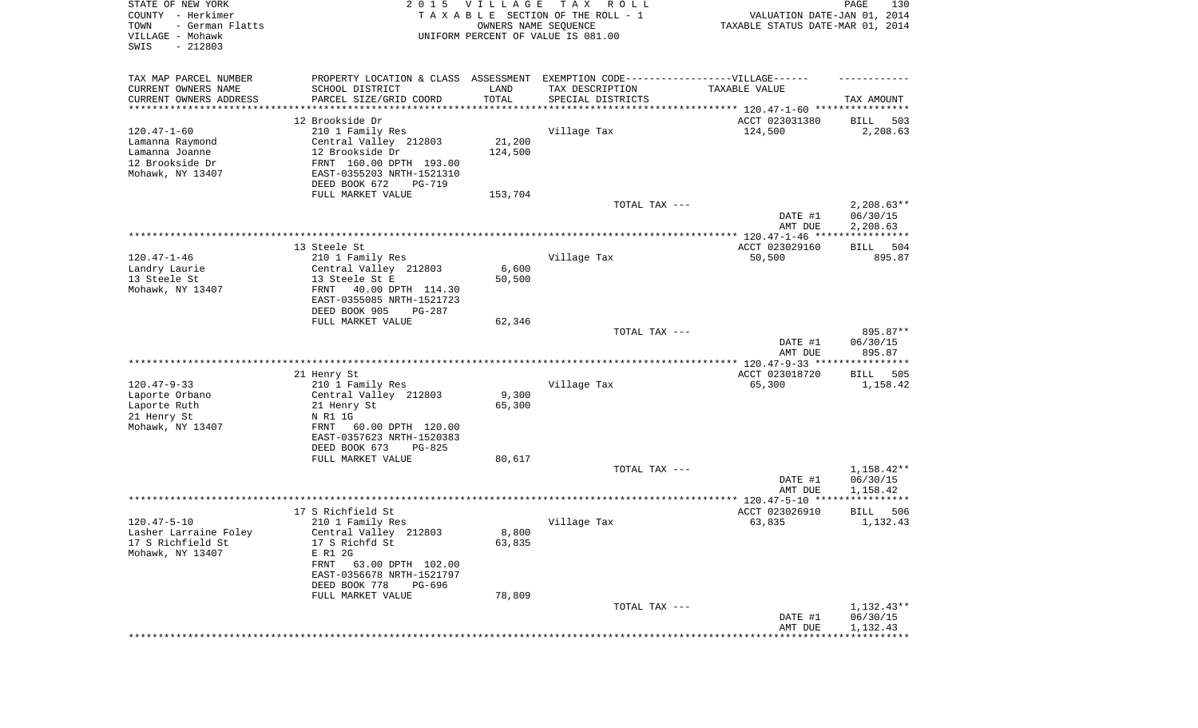| STATE OF NEW YORK<br>COUNTY - Herkimer<br>- German Flatts<br>TOWN<br>VILLAGE - Mohawk<br>SWIS<br>$-212803$ | 2 0 1 5                                                                          | VILLAGE<br>OWNERS NAME SEQUENCE | TAX ROLL<br>TAXABLE SECTION OF THE ROLL - 1<br>UNIFORM PERCENT OF VALUE IS 081.00 | VALUATION DATE-JAN 01, 2014<br>TAXABLE STATUS DATE-MAR 01, 2014 | PAGE<br>130              |
|------------------------------------------------------------------------------------------------------------|----------------------------------------------------------------------------------|---------------------------------|-----------------------------------------------------------------------------------|-----------------------------------------------------------------|--------------------------|
| TAX MAP PARCEL NUMBER                                                                                      | PROPERTY LOCATION & CLASS ASSESSMENT EXEMPTION CODE----------------VILLAGE------ |                                 |                                                                                   |                                                                 |                          |
| CURRENT OWNERS NAME                                                                                        | SCHOOL DISTRICT                                                                  | LAND                            | TAX DESCRIPTION                                                                   | TAXABLE VALUE                                                   |                          |
| CURRENT OWNERS ADDRESS<br>********************                                                             | PARCEL SIZE/GRID COORD                                                           | TOTAL<br>**********             | SPECIAL DISTRICTS                                                                 |                                                                 | TAX AMOUNT               |
|                                                                                                            | 12 Brookside Dr                                                                  |                                 |                                                                                   | ACCT 023031380                                                  | 503<br>BILL              |
| $120.47 - 1 - 60$                                                                                          | 210 1 Family Res                                                                 |                                 | Village Tax                                                                       | 124,500                                                         | 2,208.63                 |
| Lamanna Raymond                                                                                            | Central Valley 212803                                                            | 21,200                          |                                                                                   |                                                                 |                          |
| Lamanna Joanne                                                                                             | 12 Brookside Dr                                                                  | 124,500                         |                                                                                   |                                                                 |                          |
| 12 Brookside Dr                                                                                            | FRNT 160.00 DPTH 193.00                                                          |                                 |                                                                                   |                                                                 |                          |
| Mohawk, NY 13407                                                                                           | EAST-0355203 NRTH-1521310<br>DEED BOOK 672<br>PG-719                             |                                 |                                                                                   |                                                                 |                          |
|                                                                                                            | FULL MARKET VALUE                                                                | 153,704                         |                                                                                   |                                                                 |                          |
|                                                                                                            |                                                                                  |                                 | TOTAL TAX ---                                                                     | DATE #1                                                         | $2,208.63**$<br>06/30/15 |
|                                                                                                            |                                                                                  |                                 |                                                                                   | AMT DUE                                                         | 2,208.63                 |
|                                                                                                            | 13 Steele St                                                                     |                                 |                                                                                   | ACCT 023029160                                                  | 504<br>BILL              |
| $120.47 - 1 - 46$                                                                                          | 210 1 Family Res                                                                 |                                 | Village Tax                                                                       | 50,500                                                          | 895.87                   |
| Landry Laurie                                                                                              | Central Valley 212803                                                            | 6,600                           |                                                                                   |                                                                 |                          |
| 13 Steele St                                                                                               | 13 Steele St E                                                                   | 50,500                          |                                                                                   |                                                                 |                          |
| Mohawk, NY 13407                                                                                           | FRNT<br>40.00 DPTH 114.30<br>EAST-0355085 NRTH-1521723                           |                                 |                                                                                   |                                                                 |                          |
|                                                                                                            | DEED BOOK 905<br>$PG-287$<br>FULL MARKET VALUE                                   | 62,346                          |                                                                                   |                                                                 |                          |
|                                                                                                            |                                                                                  |                                 | TOTAL TAX ---                                                                     |                                                                 | 895.87**                 |
|                                                                                                            |                                                                                  |                                 |                                                                                   | DATE #1<br>AMT DUE                                              | 06/30/15<br>895.87       |
|                                                                                                            |                                                                                  |                                 |                                                                                   |                                                                 |                          |
| $120.47 - 9 - 33$                                                                                          | 21 Henry St<br>210 1 Family Res                                                  |                                 | Village Tax                                                                       | ACCT 023018720<br>65,300                                        | BILL<br>505<br>1,158.42  |
| Laporte Orbano                                                                                             | Central Valley 212803                                                            | 9,300                           |                                                                                   |                                                                 |                          |
| Laporte Ruth                                                                                               | 21 Henry St                                                                      | 65,300                          |                                                                                   |                                                                 |                          |
| 21 Henry St                                                                                                | N R1 1G                                                                          |                                 |                                                                                   |                                                                 |                          |
| Mohawk, NY 13407                                                                                           | 60.00 DPTH 120.00<br>FRNT                                                        |                                 |                                                                                   |                                                                 |                          |
|                                                                                                            | EAST-0357623 NRTH-1520383                                                        |                                 |                                                                                   |                                                                 |                          |
|                                                                                                            | DEED BOOK 673<br>$PG-825$<br>FULL MARKET VALUE                                   | 80,617                          |                                                                                   |                                                                 |                          |
|                                                                                                            |                                                                                  |                                 | TOTAL TAX ---                                                                     |                                                                 | 1,158.42**               |
|                                                                                                            |                                                                                  |                                 |                                                                                   | DATE #1                                                         | 06/30/15                 |
|                                                                                                            |                                                                                  |                                 |                                                                                   | AMT DUE                                                         | 1,158.42                 |
|                                                                                                            |                                                                                  |                                 |                                                                                   |                                                                 |                          |
| $120.47 - 5 - 10$                                                                                          | 17 S Richfield St<br>210 1 Family Res                                            |                                 |                                                                                   | ACCT 023026910                                                  | 506<br>BILL<br>1,132.43  |
| Lasher Larraine Foley                                                                                      | Central Valley 212803                                                            | 8,800                           | Village Tax                                                                       | 63,835                                                          |                          |
| 17 S Richfield St                                                                                          | 17 S Richfd St                                                                   | 63,835                          |                                                                                   |                                                                 |                          |
| Mohawk, NY 13407                                                                                           | E R1 2G                                                                          |                                 |                                                                                   |                                                                 |                          |
|                                                                                                            | FRNT<br>63.00 DPTH 102.00                                                        |                                 |                                                                                   |                                                                 |                          |
|                                                                                                            | EAST-0356678 NRTH-1521797                                                        |                                 |                                                                                   |                                                                 |                          |
|                                                                                                            | DEED BOOK 778<br>PG-696<br>FULL MARKET VALUE                                     | 78,809                          |                                                                                   |                                                                 |                          |
|                                                                                                            |                                                                                  |                                 | TOTAL TAX ---                                                                     |                                                                 | 1,132.43**               |
|                                                                                                            |                                                                                  |                                 |                                                                                   | DATE #1<br>AMT DUE                                              | 06/30/15<br>1,132.43     |
|                                                                                                            |                                                                                  |                                 |                                                                                   |                                                                 |                          |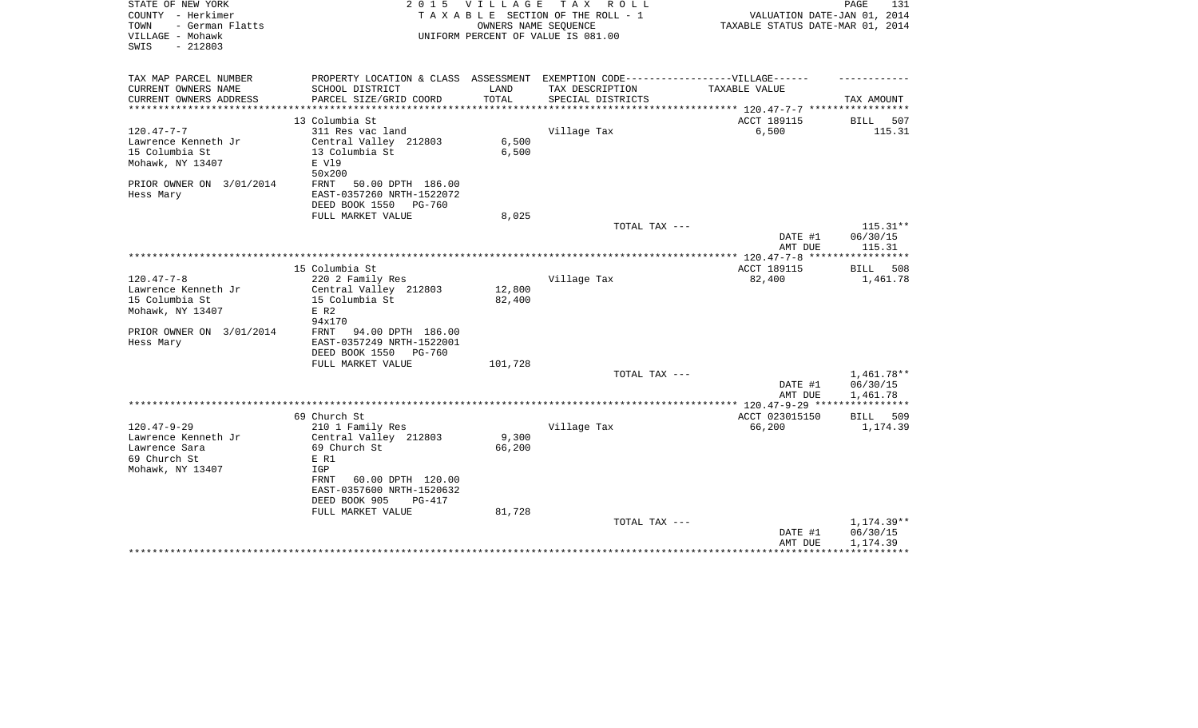| STATE OF NEW YORK<br>COUNTY - Herkimer<br>TOWN<br>- German Flatts<br>VILLAGE - Mohawk<br>$-212803$<br>SWIS | 2 0 1 5                                                                                                                            | <b>VILLAGE</b><br>OWNERS NAME SEQUENCE | TAX ROLL<br>TAXABLE SECTION OF THE ROLL - 1<br>UNIFORM PERCENT OF VALUE IS 081.00 | VALUATION DATE-JAN 01, 2014<br>TAXABLE STATUS DATE-MAR 01, 2014 | PAGE<br>131                        |
|------------------------------------------------------------------------------------------------------------|------------------------------------------------------------------------------------------------------------------------------------|----------------------------------------|-----------------------------------------------------------------------------------|-----------------------------------------------------------------|------------------------------------|
| TAX MAP PARCEL NUMBER<br>CURRENT OWNERS NAME                                                               | PROPERTY LOCATION & CLASS ASSESSMENT EXEMPTION CODE-----------------VILLAGE------<br>SCHOOL DISTRICT                               | LAND                                   | TAX DESCRIPTION                                                                   | TAXABLE VALUE                                                   |                                    |
| CURRENT OWNERS ADDRESS                                                                                     | PARCEL SIZE/GRID COORD                                                                                                             | TOTAL                                  | SPECIAL DISTRICTS                                                                 |                                                                 | TAX AMOUNT                         |
|                                                                                                            |                                                                                                                                    |                                        |                                                                                   | *********** 120.47-7-7 *************                            |                                    |
|                                                                                                            | 13 Columbia St                                                                                                                     |                                        |                                                                                   | ACCT 189115                                                     | BILL<br>507                        |
| $120.47 - 7 - 7$<br>Lawrence Kenneth Jr<br>15 Columbia St<br>Mohawk, NY 13407                              | 311 Res vac land<br>Central Valley 212803<br>13 Columbia St<br>E V19<br>50x200                                                     | 6,500<br>6,500                         | Village Tax                                                                       | 6,500                                                           | 115.31                             |
| PRIOR OWNER ON 3/01/2014<br>Hess Mary                                                                      | 50.00 DPTH 186.00<br>FRNT<br>EAST-0357260 NRTH-1522072<br>DEED BOOK 1550<br><b>PG-760</b>                                          |                                        |                                                                                   |                                                                 |                                    |
|                                                                                                            | FULL MARKET VALUE                                                                                                                  | 8,025                                  | TOTAL TAX ---                                                                     |                                                                 | $115.31**$                         |
|                                                                                                            |                                                                                                                                    |                                        |                                                                                   | DATE #1<br>AMT DUE                                              | 06/30/15<br>115.31                 |
|                                                                                                            |                                                                                                                                    |                                        |                                                                                   |                                                                 |                                    |
| $120.47 - 7 - 8$                                                                                           | 15 Columbia St<br>220 2 Family Res                                                                                                 |                                        | Village Tax                                                                       | ACCT 189115<br>82,400                                           | <b>BILL</b><br>508<br>1,461.78     |
| Lawrence Kenneth Jr<br>15 Columbia St                                                                      | Central Valley 212803<br>15 Columbia St                                                                                            | 12,800<br>82,400                       |                                                                                   |                                                                 |                                    |
| Mohawk, NY 13407                                                                                           | $E$ R2                                                                                                                             |                                        |                                                                                   |                                                                 |                                    |
| PRIOR OWNER ON 3/01/2014<br>Hess Mary                                                                      | 94x170<br>FRNT<br>94.00 DPTH 186.00<br>EAST-0357249 NRTH-1522001<br>DEED BOOK 1550<br><b>PG-760</b><br>FULL MARKET VALUE           | 101,728                                |                                                                                   |                                                                 |                                    |
|                                                                                                            |                                                                                                                                    |                                        | TOTAL TAX ---                                                                     |                                                                 | 1,461.78**                         |
|                                                                                                            |                                                                                                                                    |                                        |                                                                                   | DATE #1<br>AMT DUE                                              | 06/30/15<br>1,461.78               |
|                                                                                                            |                                                                                                                                    |                                        |                                                                                   |                                                                 |                                    |
| $120.47 - 9 - 29$                                                                                          | 69 Church St                                                                                                                       |                                        |                                                                                   | ACCT 023015150                                                  | BILL<br>509                        |
| Lawrence Kenneth Jr<br>Lawrence Sara<br>69 Church St<br>Mohawk, NY 13407                                   | 210 1 Family Res<br>Central Valley 212803<br>69 Church St<br>E R1<br>IGP<br>60.00 DPTH 120.00<br>FRNT<br>EAST-0357600 NRTH-1520632 | 9,300<br>66,200                        | Village Tax                                                                       | 66,200                                                          | 1,174.39                           |
|                                                                                                            | DEED BOOK 905<br><b>PG-417</b><br>FULL MARKET VALUE                                                                                | 81,728                                 |                                                                                   |                                                                 |                                    |
|                                                                                                            |                                                                                                                                    |                                        | TOTAL TAX ---                                                                     | DATE #1<br>AMT DUE                                              | 1,174.39**<br>06/30/15<br>1,174.39 |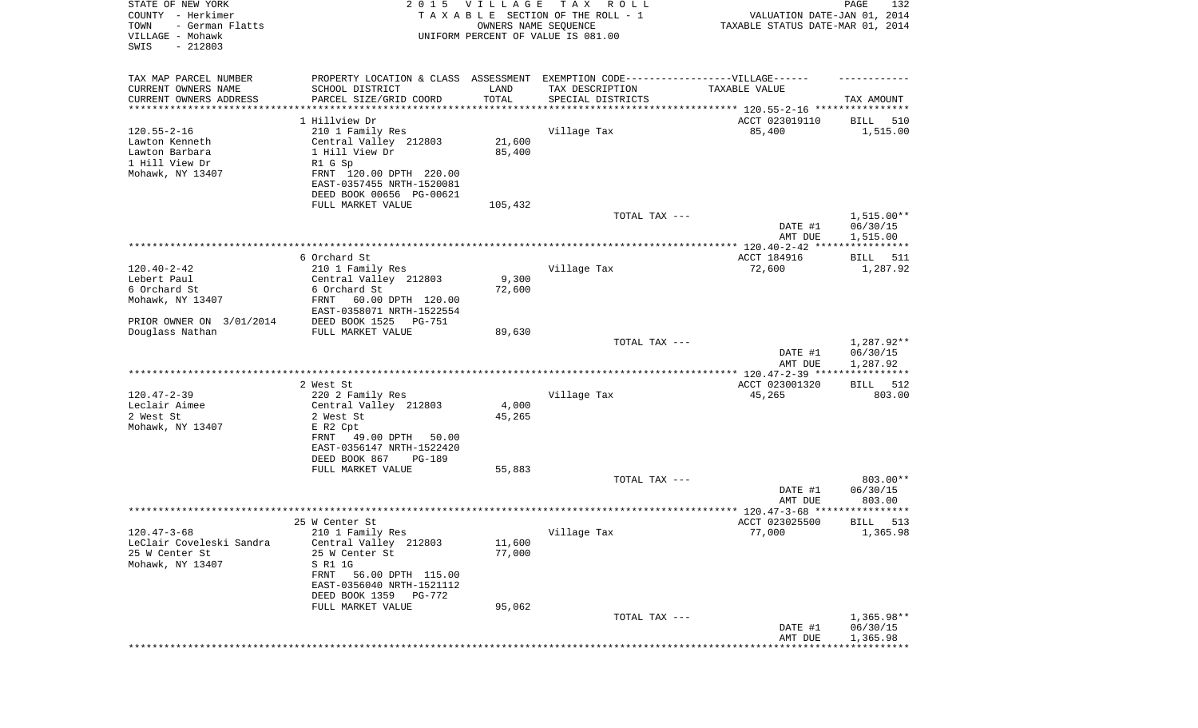| STATE OF NEW YORK<br>COUNTY - Herkimer<br>- German Flatts<br>TOWN<br>VILLAGE - Mohawk<br>SWIS<br>$-212803$ | 2 0 1 5                                                                          | V I L L A G E<br>OWNERS NAME SEQUENCE | T A X<br>R O L L<br>TAXABLE SECTION OF THE ROLL - 1<br>UNIFORM PERCENT OF VALUE IS 081.00 | VALUATION DATE-JAN 01, 2014<br>TAXABLE STATUS DATE-MAR 01, 2014 | PAGE<br>132           |
|------------------------------------------------------------------------------------------------------------|----------------------------------------------------------------------------------|---------------------------------------|-------------------------------------------------------------------------------------------|-----------------------------------------------------------------|-----------------------|
| TAX MAP PARCEL NUMBER                                                                                      | PROPERTY LOCATION & CLASS ASSESSMENT EXEMPTION CODE----------------VILLAGE------ |                                       |                                                                                           |                                                                 |                       |
| CURRENT OWNERS NAME<br>CURRENT OWNERS ADDRESS                                                              | SCHOOL DISTRICT<br>PARCEL SIZE/GRID COORD                                        | LAND<br>TOTAL                         | TAX DESCRIPTION<br>SPECIAL DISTRICTS                                                      | TAXABLE VALUE                                                   | TAX AMOUNT            |
| ********************                                                                                       |                                                                                  |                                       |                                                                                           |                                                                 |                       |
|                                                                                                            | 1 Hillview Dr                                                                    |                                       |                                                                                           | ACCT 023019110                                                  | BILL<br>510           |
| $120.55 - 2 - 16$<br>Lawton Kenneth                                                                        | 210 1 Family Res                                                                 | 21,600                                | Village Tax                                                                               | 85,400                                                          | 1,515.00              |
| Lawton Barbara                                                                                             | Central Valley 212803<br>1 Hill View Dr                                          | 85,400                                |                                                                                           |                                                                 |                       |
| 1 Hill View Dr                                                                                             | R1 G Sp                                                                          |                                       |                                                                                           |                                                                 |                       |
| Mohawk, NY 13407                                                                                           | FRNT 120.00 DPTH 220.00                                                          |                                       |                                                                                           |                                                                 |                       |
|                                                                                                            | EAST-0357455 NRTH-1520081                                                        |                                       |                                                                                           |                                                                 |                       |
|                                                                                                            | DEED BOOK 00656 PG-00621                                                         |                                       |                                                                                           |                                                                 |                       |
|                                                                                                            | FULL MARKET VALUE                                                                | 105,432                               |                                                                                           |                                                                 |                       |
|                                                                                                            |                                                                                  |                                       | TOTAL TAX ---                                                                             |                                                                 | $1,515.00**$          |
|                                                                                                            |                                                                                  |                                       |                                                                                           | DATE #1                                                         | 06/30/15              |
|                                                                                                            |                                                                                  |                                       |                                                                                           | AMT DUE                                                         | 1,515.00              |
|                                                                                                            | 6 Orchard St                                                                     |                                       |                                                                                           | ACCT 184916                                                     | BILL<br>511           |
| $120.40 - 2 - 42$                                                                                          | 210 1 Family Res                                                                 |                                       | Village Tax                                                                               | 72,600                                                          | 1,287.92              |
| Lebert Paul                                                                                                | Central Valley 212803                                                            | 9,300                                 |                                                                                           |                                                                 |                       |
| 6 Orchard St                                                                                               | 6 Orchard St                                                                     | 72,600                                |                                                                                           |                                                                 |                       |
| Mohawk, NY 13407                                                                                           | 60.00 DPTH 120.00<br>FRNT                                                        |                                       |                                                                                           |                                                                 |                       |
| PRIOR OWNER ON 3/01/2014                                                                                   | EAST-0358071 NRTH-1522554<br>DEED BOOK 1525<br><b>PG-751</b>                     |                                       |                                                                                           |                                                                 |                       |
| Douglass Nathan                                                                                            | FULL MARKET VALUE                                                                | 89,630                                |                                                                                           |                                                                 |                       |
|                                                                                                            |                                                                                  |                                       | TOTAL TAX ---                                                                             |                                                                 | 1,287.92**            |
|                                                                                                            |                                                                                  |                                       |                                                                                           | DATE #1                                                         | 06/30/15              |
|                                                                                                            |                                                                                  |                                       |                                                                                           | AMT DUE                                                         | 1,287.92              |
|                                                                                                            | **************************                                                       |                                       | ********************************                                                          | ************ 120.47-2-39 *****                                  | ***********           |
| $120.47 - 2 - 39$                                                                                          | 2 West St<br>220 2 Family Res                                                    |                                       | Village Tax                                                                               | ACCT 023001320<br>45,265                                        | 512<br>BILL<br>803.00 |
| Leclair Aimee                                                                                              | Central Valley 212803                                                            | 4,000                                 |                                                                                           |                                                                 |                       |
| 2 West St                                                                                                  | 2 West St                                                                        | 45,265                                |                                                                                           |                                                                 |                       |
| Mohawk, NY 13407                                                                                           | E R2 Cpt                                                                         |                                       |                                                                                           |                                                                 |                       |
|                                                                                                            | FRNT<br>49.00 DPTH<br>50.00                                                      |                                       |                                                                                           |                                                                 |                       |
|                                                                                                            | EAST-0356147 NRTH-1522420                                                        |                                       |                                                                                           |                                                                 |                       |
|                                                                                                            | DEED BOOK 867<br>PG-189                                                          |                                       |                                                                                           |                                                                 |                       |
|                                                                                                            | FULL MARKET VALUE                                                                | 55,883                                | TOTAL TAX ---                                                                             |                                                                 | 803.00**              |
|                                                                                                            |                                                                                  |                                       |                                                                                           | DATE #1                                                         | 06/30/15              |
|                                                                                                            |                                                                                  |                                       |                                                                                           | AMT DUE                                                         | 803.00                |
|                                                                                                            |                                                                                  |                                       |                                                                                           | ***************** 120.47-3-68 *****************                 |                       |
|                                                                                                            | 25 W Center St                                                                   |                                       |                                                                                           | ACCT 023025500                                                  | 513<br>BILL           |
| $120.47 - 3 - 68$                                                                                          | 210 1 Family Res                                                                 |                                       | Village Tax                                                                               | 77,000                                                          | 1,365.98              |
| LeClair Coveleski Sandra<br>25 W Center St                                                                 | Central Valley 212803<br>25 W Center St                                          | 11,600<br>77,000                      |                                                                                           |                                                                 |                       |
| Mohawk, NY 13407                                                                                           | S R1 1G                                                                          |                                       |                                                                                           |                                                                 |                       |
|                                                                                                            | FRNT 56.00 DPTH 115.00                                                           |                                       |                                                                                           |                                                                 |                       |
|                                                                                                            | EAST-0356040 NRTH-1521112                                                        |                                       |                                                                                           |                                                                 |                       |
|                                                                                                            | DEED BOOK 1359<br>PG-772                                                         |                                       |                                                                                           |                                                                 |                       |
|                                                                                                            | FULL MARKET VALUE                                                                | 95,062                                |                                                                                           |                                                                 |                       |
|                                                                                                            |                                                                                  |                                       | TOTAL TAX ---                                                                             |                                                                 | $1,365.98**$          |
|                                                                                                            |                                                                                  |                                       |                                                                                           | DATE #1<br>AMT DUE                                              | 06/30/15<br>1,365.98  |
|                                                                                                            |                                                                                  |                                       |                                                                                           |                                                                 |                       |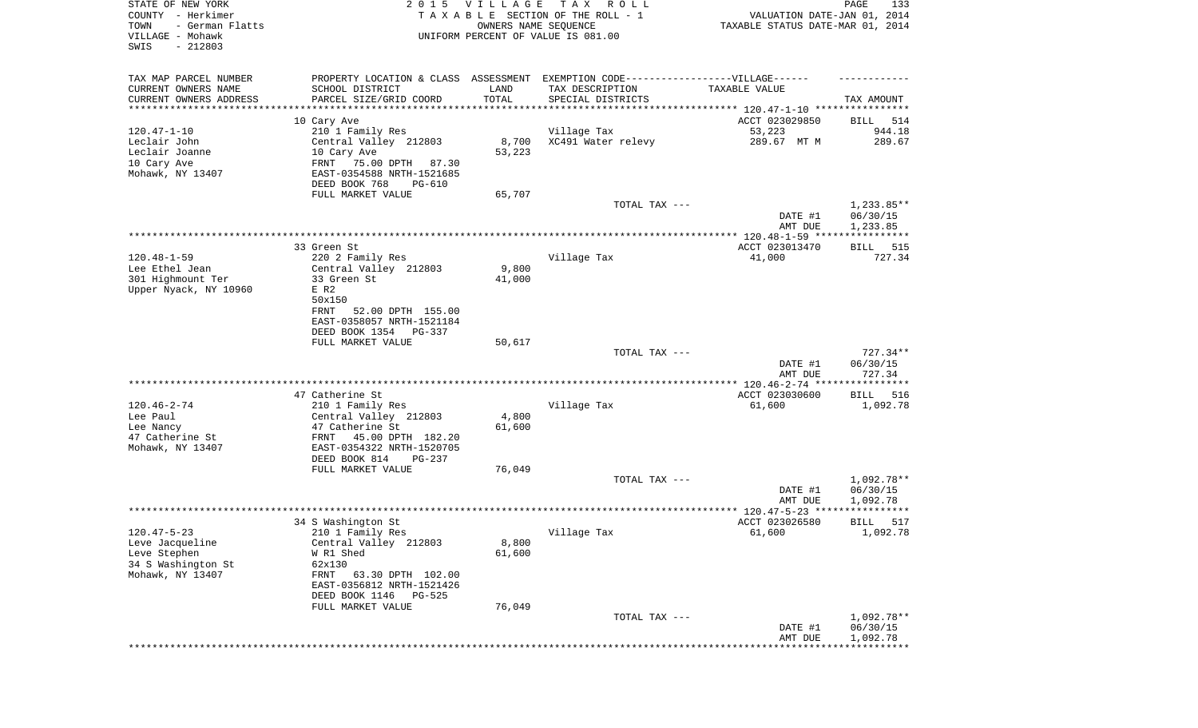| STATE OF NEW YORK<br>COUNTY - Herkimer<br>TOWN<br>- German Flatts<br>VILLAGE - Mohawk<br>SWIS<br>$-212803$ | 2 0 1 5                                                                                       | VILLAGE<br>OWNERS NAME SEQUENCE | TAX ROLL<br>TAXABLE SECTION OF THE ROLL - 1<br>UNIFORM PERCENT OF VALUE IS 081.00                    | VALUATION DATE-JAN 01, 2014<br>TAXABLE STATUS DATE-MAR 01, 2014 | PAGE<br>133                          |
|------------------------------------------------------------------------------------------------------------|-----------------------------------------------------------------------------------------------|---------------------------------|------------------------------------------------------------------------------------------------------|-----------------------------------------------------------------|--------------------------------------|
| TAX MAP PARCEL NUMBER<br>CURRENT OWNERS NAME                                                               | SCHOOL DISTRICT                                                                               | LAND                            | PROPERTY LOCATION & CLASS ASSESSMENT EXEMPTION CODE-----------------VILLAGE------<br>TAX DESCRIPTION | TAXABLE VALUE                                                   |                                      |
| CURRENT OWNERS ADDRESS<br>********************                                                             | PARCEL SIZE/GRID COORD                                                                        | TOTAL<br>***********            | SPECIAL DISTRICTS                                                                                    |                                                                 | TAX AMOUNT                           |
|                                                                                                            | 10 Cary Ave                                                                                   |                                 |                                                                                                      | ACCT 023029850                                                  | 514<br>BILL                          |
| $120.47 - 1 - 10$                                                                                          | 210 1 Family Res                                                                              |                                 | Village Tax                                                                                          | 53,223                                                          | 944.18                               |
| Leclair John<br>Leclair Joanne<br>10 Cary Ave<br>Mohawk, NY 13407                                          | Central Valley 212803<br>10 Cary Ave<br>FRNT<br>75.00 DPTH 87.30<br>EAST-0354588 NRTH-1521685 | 8,700<br>53,223                 | XC491 Water relevy                                                                                   | 289.67 MT M                                                     | 289.67                               |
|                                                                                                            | DEED BOOK 768<br>PG-610                                                                       |                                 |                                                                                                      |                                                                 |                                      |
|                                                                                                            | FULL MARKET VALUE                                                                             | 65,707                          |                                                                                                      |                                                                 |                                      |
|                                                                                                            |                                                                                               |                                 | TOTAL TAX ---                                                                                        | DATE #1<br>AMT DUE                                              | $1,233.85**$<br>06/30/15<br>1,233.85 |
|                                                                                                            | 33 Green St                                                                                   |                                 |                                                                                                      | ACCT 023013470                                                  | 515<br>BILL                          |
| $120.48 - 1 - 59$                                                                                          | 220 2 Family Res                                                                              |                                 | Village Tax                                                                                          | 41,000                                                          | 727.34                               |
| Lee Ethel Jean                                                                                             | Central Valley 212803                                                                         | 9,800                           |                                                                                                      |                                                                 |                                      |
| 301 Highmount Ter                                                                                          | 33 Green St                                                                                   | 41,000                          |                                                                                                      |                                                                 |                                      |
| Upper Nyack, NY 10960                                                                                      | $E$ R2<br>50x150                                                                              |                                 |                                                                                                      |                                                                 |                                      |
|                                                                                                            | FRNT<br>52.00 DPTH 155.00                                                                     |                                 |                                                                                                      |                                                                 |                                      |
|                                                                                                            | EAST-0358057 NRTH-1521184                                                                     |                                 |                                                                                                      |                                                                 |                                      |
|                                                                                                            | DEED BOOK 1354<br><b>PG-337</b><br>FULL MARKET VALUE                                          | 50,617                          |                                                                                                      |                                                                 |                                      |
|                                                                                                            |                                                                                               |                                 | TOTAL TAX ---                                                                                        |                                                                 | $727.34**$                           |
|                                                                                                            |                                                                                               |                                 |                                                                                                      | DATE #1                                                         | 06/30/15                             |
|                                                                                                            |                                                                                               |                                 |                                                                                                      | AMT DUE                                                         | 727.34                               |
|                                                                                                            | 47 Catherine St                                                                               |                                 |                                                                                                      | ACCT 023030600                                                  | 516<br>BILL                          |
| $120.46 - 2 - 74$                                                                                          | 210 1 Family Res                                                                              |                                 | Village Tax                                                                                          | 61,600                                                          | 1,092.78                             |
| Lee Paul                                                                                                   | Central Valley 212803                                                                         | 4,800                           |                                                                                                      |                                                                 |                                      |
| Lee Nancy<br>47 Catherine St                                                                               | 47 Catherine St<br>FRNT<br>45.00 DPTH 182.20                                                  | 61,600                          |                                                                                                      |                                                                 |                                      |
| Mohawk, NY 13407                                                                                           | EAST-0354322 NRTH-1520705                                                                     |                                 |                                                                                                      |                                                                 |                                      |
|                                                                                                            | DEED BOOK 814<br>PG-237                                                                       |                                 |                                                                                                      |                                                                 |                                      |
|                                                                                                            | FULL MARKET VALUE                                                                             | 76,049                          |                                                                                                      |                                                                 |                                      |
|                                                                                                            |                                                                                               |                                 | TOTAL TAX ---                                                                                        | DATE #1                                                         | 1,092.78**<br>06/30/15               |
|                                                                                                            |                                                                                               |                                 |                                                                                                      | AMT DUE                                                         | 1,092.78                             |
|                                                                                                            |                                                                                               |                                 |                                                                                                      |                                                                 | * * * * * * * * * * * *              |
| $120.47 - 5 - 23$                                                                                          | 34 S Washington St                                                                            |                                 | Village Tax                                                                                          | ACCT 023026580<br>61,600                                        | 517<br>BILL<br>1,092.78              |
| Leve Jacqueline                                                                                            | 210 1 Family Res<br>Central Valley 212803                                                     | 8,800                           |                                                                                                      |                                                                 |                                      |
| Leve Stephen                                                                                               | W R1 Shed                                                                                     | 61,600                          |                                                                                                      |                                                                 |                                      |
| 34 S Washington St                                                                                         | 62x130                                                                                        |                                 |                                                                                                      |                                                                 |                                      |
| Mohawk, NY 13407                                                                                           | FRNT<br>63.30 DPTH 102.00<br>EAST-0356812 NRTH-1521426                                        |                                 |                                                                                                      |                                                                 |                                      |
|                                                                                                            | DEED BOOK 1146<br><b>PG-525</b>                                                               |                                 |                                                                                                      |                                                                 |                                      |
|                                                                                                            | FULL MARKET VALUE                                                                             | 76,049                          |                                                                                                      |                                                                 |                                      |
|                                                                                                            |                                                                                               |                                 | TOTAL TAX ---                                                                                        | DATE #1                                                         | 1,092.78**<br>06/30/15               |
|                                                                                                            |                                                                                               |                                 |                                                                                                      | AMT DUE                                                         | 1,092.78                             |
|                                                                                                            |                                                                                               |                                 |                                                                                                      | ***********************************                             |                                      |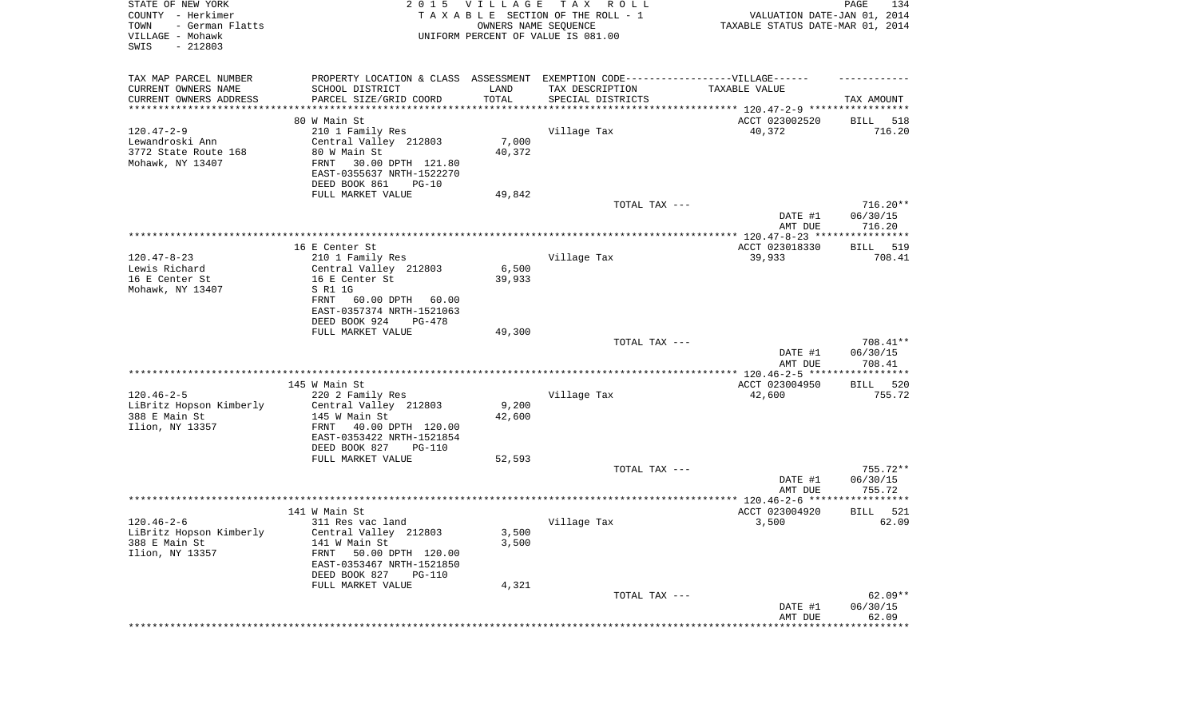| STATE OF NEW YORK<br>COUNTY - Herkimer<br>- German Flatts<br>TOWN<br>VILLAGE - Mohawk<br>SWIS<br>$-212803$ |                                                                                  | 2015 VILLAGE    | T A X<br>R O L L<br>TAXABLE SECTION OF THE ROLL - 1<br>OWNERS NAME SEQUENCE<br>UNIFORM PERCENT OF VALUE IS 081.00 | VALUATION DATE-JAN 01, 2014<br>TAXABLE STATUS DATE-MAR 01, 2014 | PAGE<br>134             |
|------------------------------------------------------------------------------------------------------------|----------------------------------------------------------------------------------|-----------------|-------------------------------------------------------------------------------------------------------------------|-----------------------------------------------------------------|-------------------------|
| TAX MAP PARCEL NUMBER                                                                                      | PROPERTY LOCATION & CLASS ASSESSMENT EXEMPTION CODE----------------VILLAGE------ |                 |                                                                                                                   |                                                                 |                         |
| CURRENT OWNERS NAME                                                                                        | SCHOOL DISTRICT                                                                  | LAND            | TAX DESCRIPTION                                                                                                   | TAXABLE VALUE                                                   |                         |
| CURRENT OWNERS ADDRESS<br>**********************                                                           | PARCEL SIZE/GRID COORD                                                           | TOTAL           | SPECIAL DISTRICTS                                                                                                 |                                                                 | TAX AMOUNT              |
|                                                                                                            | 80 W Main St                                                                     |                 |                                                                                                                   | ACCT 023002520                                                  | 518<br>BILL             |
| $120.47 - 2 - 9$                                                                                           | 210 1 Family Res                                                                 |                 | Village Tax                                                                                                       | 40,372                                                          | 716.20                  |
| Lewandroski Ann                                                                                            | Central Valley 212803                                                            | 7,000           |                                                                                                                   |                                                                 |                         |
| 3772 State Route 168<br>Mohawk, NY 13407                                                                   | 80 W Main St<br>FRNT                                                             | 40,372          |                                                                                                                   |                                                                 |                         |
|                                                                                                            | 30.00 DPTH 121.80<br>EAST-0355637 NRTH-1522270                                   |                 |                                                                                                                   |                                                                 |                         |
|                                                                                                            | DEED BOOK 861<br>$PG-10$                                                         |                 |                                                                                                                   |                                                                 |                         |
|                                                                                                            | FULL MARKET VALUE                                                                | 49,842          |                                                                                                                   |                                                                 |                         |
|                                                                                                            |                                                                                  |                 | TOTAL TAX ---                                                                                                     |                                                                 | $716.20**$              |
|                                                                                                            |                                                                                  |                 |                                                                                                                   | DATE #1<br>AMT DUE                                              | 06/30/15<br>716.20      |
|                                                                                                            |                                                                                  |                 |                                                                                                                   |                                                                 |                         |
|                                                                                                            | 16 E Center St                                                                   |                 |                                                                                                                   | ACCT 023018330                                                  | 519<br>BILL             |
| $120.47 - 8 - 23$                                                                                          | 210 1 Family Res                                                                 |                 | Village Tax                                                                                                       | 39,933                                                          | 708.41                  |
| Lewis Richard<br>16 E Center St                                                                            | Central Valley 212803                                                            | 6,500<br>39,933 |                                                                                                                   |                                                                 |                         |
| Mohawk, NY 13407                                                                                           | 16 E Center St<br>S R1 1G                                                        |                 |                                                                                                                   |                                                                 |                         |
|                                                                                                            | 60.00 DPTH<br>FRNT<br>60.00                                                      |                 |                                                                                                                   |                                                                 |                         |
|                                                                                                            | EAST-0357374 NRTH-1521063                                                        |                 |                                                                                                                   |                                                                 |                         |
|                                                                                                            | DEED BOOK 924<br>PG-478                                                          |                 |                                                                                                                   |                                                                 |                         |
|                                                                                                            | FULL MARKET VALUE                                                                | 49,300          | TOTAL TAX ---                                                                                                     |                                                                 | 708.41**                |
|                                                                                                            |                                                                                  |                 |                                                                                                                   | DATE #1                                                         | 06/30/15                |
|                                                                                                            |                                                                                  |                 |                                                                                                                   | AMT DUE                                                         | 708.41                  |
|                                                                                                            |                                                                                  |                 |                                                                                                                   | **************** 120.46-2-5 ******************                  |                         |
| $120.46 - 2 - 5$                                                                                           | 145 W Main St<br>220 2 Family Res                                                |                 | Village Tax                                                                                                       | ACCT 023004950<br>42,600                                        | 520<br>BILL<br>755.72   |
| LiBritz Hopson Kimberly                                                                                    | Central Valley 212803                                                            | 9,200           |                                                                                                                   |                                                                 |                         |
| 388 E Main St                                                                                              | 145 W Main St                                                                    | 42,600          |                                                                                                                   |                                                                 |                         |
| Ilion, NY 13357                                                                                            | 40.00 DPTH 120.00<br>FRNT                                                        |                 |                                                                                                                   |                                                                 |                         |
|                                                                                                            | EAST-0353422 NRTH-1521854                                                        |                 |                                                                                                                   |                                                                 |                         |
|                                                                                                            | DEED BOOK 827<br>PG-110<br>FULL MARKET VALUE                                     | 52,593          |                                                                                                                   |                                                                 |                         |
|                                                                                                            |                                                                                  |                 | TOTAL TAX ---                                                                                                     |                                                                 | $755.72**$              |
|                                                                                                            |                                                                                  |                 |                                                                                                                   | DATE #1                                                         | 06/30/15                |
|                                                                                                            |                                                                                  |                 |                                                                                                                   | AMT DUE                                                         | 755.72                  |
|                                                                                                            | 141 W Main St                                                                    |                 |                                                                                                                   | ACCT 023004920                                                  | 521<br>BILL             |
| $120.46 - 2 - 6$                                                                                           | 311 Res vac land                                                                 |                 | Village Tax                                                                                                       | 3,500                                                           | 62.09                   |
| LiBritz Hopson Kimberly                                                                                    | Central Valley 212803                                                            | 3,500           |                                                                                                                   |                                                                 |                         |
| 388 E Main St                                                                                              | 141 W Main St                                                                    | 3,500           |                                                                                                                   |                                                                 |                         |
| Ilion, NY 13357                                                                                            | 50.00 DPTH 120.00<br>FRNT<br>EAST-0353467 NRTH-1521850                           |                 |                                                                                                                   |                                                                 |                         |
|                                                                                                            | DEED BOOK 827<br><b>PG-110</b>                                                   |                 |                                                                                                                   |                                                                 |                         |
|                                                                                                            | FULL MARKET VALUE                                                                | 4,321           |                                                                                                                   |                                                                 |                         |
|                                                                                                            |                                                                                  |                 | TOTAL TAX ---                                                                                                     |                                                                 | $62.09**$               |
|                                                                                                            |                                                                                  |                 |                                                                                                                   | DATE #1                                                         | 06/30/15                |
|                                                                                                            |                                                                                  |                 |                                                                                                                   | AMT DUE<br>**********************                               | 62.09<br>************** |
|                                                                                                            |                                                                                  |                 |                                                                                                                   |                                                                 |                         |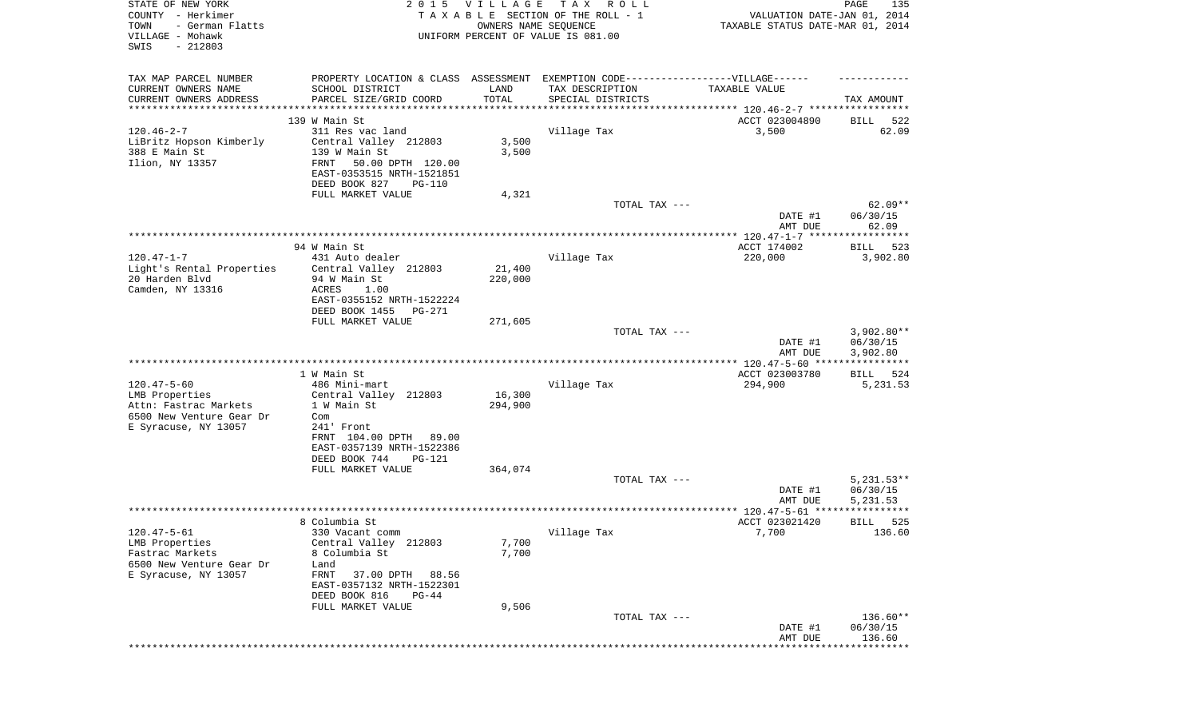| STATE OF NEW YORK<br>COUNTY - Herkimer<br>TOWN<br>- German Flatts<br>VILLAGE - Mohawk<br>SWIS<br>$-212803$ |                                                       | 2015 VILLAGE<br>OWNERS NAME SEQUENCE | T A X<br>R O L L<br>TAXABLE SECTION OF THE ROLL - 1<br>UNIFORM PERCENT OF VALUE IS 081.00 | VALUATION DATE-JAN 01, 2014<br>TAXABLE STATUS DATE-MAR 01, 2014 | PAGE<br>135                   |
|------------------------------------------------------------------------------------------------------------|-------------------------------------------------------|--------------------------------------|-------------------------------------------------------------------------------------------|-----------------------------------------------------------------|-------------------------------|
|                                                                                                            |                                                       |                                      |                                                                                           |                                                                 |                               |
| TAX MAP PARCEL NUMBER                                                                                      |                                                       |                                      | PROPERTY LOCATION & CLASS ASSESSMENT EXEMPTION CODE----------------VILLAGE------          |                                                                 |                               |
| CURRENT OWNERS NAME                                                                                        | SCHOOL DISTRICT                                       | LAND                                 | TAX DESCRIPTION                                                                           | TAXABLE VALUE                                                   |                               |
| CURRENT OWNERS ADDRESS<br>*************************                                                        | PARCEL SIZE/GRID COORD                                | TOTAL                                | SPECIAL DISTRICTS                                                                         |                                                                 | TAX AMOUNT                    |
|                                                                                                            | 139 W Main St                                         |                                      |                                                                                           | ACCT 023004890                                                  | 522<br>BILL                   |
| $120.46 - 2 - 7$                                                                                           | 311 Res vac land                                      |                                      | Village Tax                                                                               | 3,500                                                           | 62.09                         |
| LiBritz Hopson Kimberly                                                                                    | Central Valley 212803                                 | 3,500                                |                                                                                           |                                                                 |                               |
| 388 E Main St<br>Ilion, NY 13357                                                                           | 139 W Main St<br>FRNT<br>50.00 DPTH 120.00            | 3,500                                |                                                                                           |                                                                 |                               |
|                                                                                                            | EAST-0353515 NRTH-1521851                             |                                      |                                                                                           |                                                                 |                               |
|                                                                                                            | DEED BOOK 827<br>PG-110                               |                                      |                                                                                           |                                                                 |                               |
|                                                                                                            | FULL MARKET VALUE                                     | 4,321                                |                                                                                           |                                                                 |                               |
|                                                                                                            |                                                       |                                      | TOTAL TAX ---                                                                             |                                                                 | $62.09**$                     |
|                                                                                                            |                                                       |                                      |                                                                                           | DATE #1<br>AMT DUE                                              | 06/30/15<br>62.09             |
|                                                                                                            |                                                       |                                      |                                                                                           |                                                                 |                               |
|                                                                                                            | 94 W Main St                                          |                                      |                                                                                           | ACCT 174002                                                     | BILL<br>523                   |
| $120.47 - 1 - 7$                                                                                           | 431 Auto dealer                                       |                                      | Village Tax                                                                               | 220,000                                                         | 3,902.80                      |
| Light's Rental Properties<br>20 Harden Blvd                                                                | Central Valley 212803<br>94 W Main St                 | 21,400<br>220,000                    |                                                                                           |                                                                 |                               |
| Camden, NY 13316                                                                                           | ACRES<br>1.00                                         |                                      |                                                                                           |                                                                 |                               |
|                                                                                                            | EAST-0355152 NRTH-1522224                             |                                      |                                                                                           |                                                                 |                               |
|                                                                                                            | DEED BOOK 1455<br>PG-271                              |                                      |                                                                                           |                                                                 |                               |
|                                                                                                            | FULL MARKET VALUE                                     | 271,605                              | TOTAL TAX ---                                                                             |                                                                 | $3,902.80**$                  |
|                                                                                                            |                                                       |                                      |                                                                                           | DATE #1                                                         | 06/30/15                      |
|                                                                                                            |                                                       |                                      |                                                                                           | AMT DUE                                                         | 3,902.80                      |
|                                                                                                            |                                                       |                                      |                                                                                           |                                                                 |                               |
| $120.47 - 5 - 60$                                                                                          | 1 W Main St<br>486 Mini-mart                          |                                      | Village Tax                                                                               | ACCT 023003780<br>294,900                                       | BILL<br>524<br>5,231.53       |
| LMB Properties                                                                                             | Central Valley 212803                                 | 16,300                               |                                                                                           |                                                                 |                               |
| Attn: Fastrac Markets                                                                                      | 1 W Main St                                           | 294,900                              |                                                                                           |                                                                 |                               |
| 6500 New Venture Gear Dr<br>Com                                                                            |                                                       |                                      |                                                                                           |                                                                 |                               |
| E Syracuse, NY 13057                                                                                       | 241' Front<br>FRNT 104.00 DPTH 89.00                  |                                      |                                                                                           |                                                                 |                               |
|                                                                                                            | EAST-0357139 NRTH-1522386                             |                                      |                                                                                           |                                                                 |                               |
|                                                                                                            | DEED BOOK 744<br>PG-121                               |                                      |                                                                                           |                                                                 |                               |
|                                                                                                            | FULL MARKET VALUE                                     | 364,074                              |                                                                                           |                                                                 |                               |
|                                                                                                            |                                                       |                                      | TOTAL TAX ---                                                                             | DATE #1                                                         | $5,231.53**$<br>06/30/15      |
|                                                                                                            |                                                       |                                      |                                                                                           | AMT DUE                                                         | 5,231.53                      |
|                                                                                                            |                                                       |                                      |                                                                                           |                                                                 | * * * * * *                   |
|                                                                                                            | 8 Columbia St                                         |                                      |                                                                                           | ACCT 023021420                                                  | 525<br>BILL                   |
| $120.47 - 5 - 61$<br>LMB Properties                                                                        | 330 Vacant comm<br>Central Valley 212803              | 7,700                                | Village Tax                                                                               | 7,700                                                           | 136.60                        |
| Fastrac Markets                                                                                            | 8 Columbia St                                         | 7,700                                |                                                                                           |                                                                 |                               |
| 6500 New Venture Gear Dr                                                                                   | Land                                                  |                                      |                                                                                           |                                                                 |                               |
| E Syracuse, NY 13057                                                                                       | FRNT<br>37.00 DPTH<br>88.56                           |                                      |                                                                                           |                                                                 |                               |
|                                                                                                            | EAST-0357132 NRTH-1522301<br>DEED BOOK 816<br>$PG-44$ |                                      |                                                                                           |                                                                 |                               |
|                                                                                                            | FULL MARKET VALUE                                     | 9,506                                |                                                                                           |                                                                 |                               |
|                                                                                                            |                                                       |                                      | TOTAL TAX ---                                                                             |                                                                 | 136.60**                      |
|                                                                                                            |                                                       |                                      |                                                                                           | DATE #1                                                         | 06/30/15                      |
|                                                                                                            |                                                       |                                      |                                                                                           | AMT DUE                                                         | 136.60<br>* * * * * * * * * * |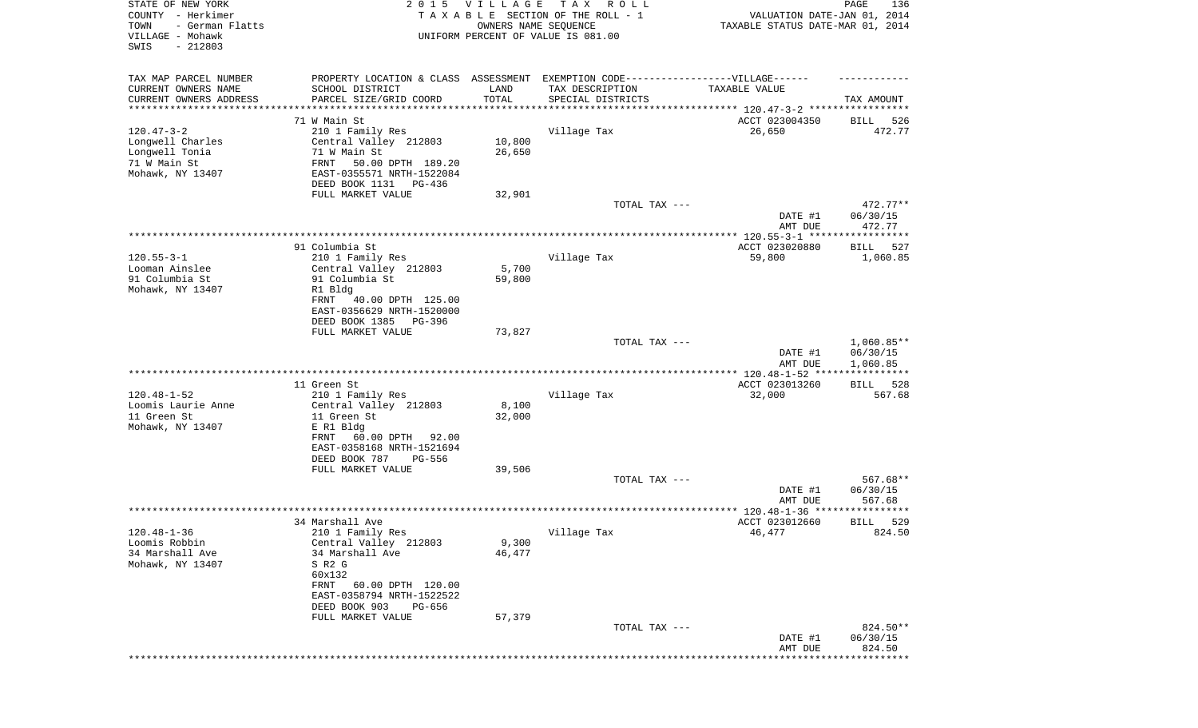| STATE OF NEW YORK<br>COUNTY - Herkimer<br>- German Flatts<br>TOWN<br>VILLAGE - Mohawk<br>SWIS<br>$-212803$ |                                                                                                                                                                             | 2015 VILLAGE     | TAX ROLL<br>TAXABLE SECTION OF THE ROLL - 1<br>OWNERS NAME SEQUENCE<br>UNIFORM PERCENT OF VALUE IS 081.00                | VALUATION DATE-JAN 01, 2014<br>TAXABLE STATUS DATE-MAR 01, 2014 | PAGE<br>136                    |
|------------------------------------------------------------------------------------------------------------|-----------------------------------------------------------------------------------------------------------------------------------------------------------------------------|------------------|--------------------------------------------------------------------------------------------------------------------------|-----------------------------------------------------------------|--------------------------------|
| TAX MAP PARCEL NUMBER<br>CURRENT OWNERS NAME<br>CURRENT OWNERS ADDRESS                                     | SCHOOL DISTRICT<br>PARCEL SIZE/GRID COORD<br>***********************                                                                                                        | LAND<br>TOTAL    | PROPERTY LOCATION & CLASS ASSESSMENT EXEMPTION CODE----------------VILLAGE------<br>TAX DESCRIPTION<br>SPECIAL DISTRICTS | TAXABLE VALUE                                                   | TAX AMOUNT                     |
| ********************                                                                                       | 71 W Main St                                                                                                                                                                | **********       |                                                                                                                          | ACCT 023004350                                                  | 526<br>BILL                    |
| $120.47 - 3 - 2$<br>Longwell Charles<br>Longwell Tonia<br>71 W Main St<br>Mohawk, NY 13407                 | 210 1 Family Res<br>Central Valley 212803<br>71 W Main St<br>FRNT<br>50.00 DPTH 189.20<br>EAST-0355571 NRTH-1522084<br>DEED BOOK 1131<br>PG-436                             | 10,800<br>26,650 | Village Tax                                                                                                              | 26,650                                                          | 472.77                         |
|                                                                                                            | FULL MARKET VALUE                                                                                                                                                           | 32,901           |                                                                                                                          |                                                                 |                                |
|                                                                                                            |                                                                                                                                                                             |                  | TOTAL TAX ---                                                                                                            | DATE #1<br>AMT DUE                                              | 472.77**<br>06/30/15<br>472.77 |
|                                                                                                            |                                                                                                                                                                             |                  |                                                                                                                          |                                                                 |                                |
|                                                                                                            | 91 Columbia St                                                                                                                                                              |                  |                                                                                                                          | ACCT 023020880                                                  | BILL<br>527                    |
| $120.55 - 3 - 1$<br>Looman Ainslee<br>91 Columbia St<br>Mohawk, NY 13407                                   | 210 1 Family Res<br>Central Valley 212803<br>91 Columbia St<br>R1 Bldg<br>FRNT<br>40.00 DPTH 125.00<br>EAST-0356629 NRTH-1520000                                            | 5,700<br>59,800  | Village Tax                                                                                                              | 59,800                                                          | 1,060.85                       |
|                                                                                                            | DEED BOOK 1385<br>PG-396                                                                                                                                                    |                  |                                                                                                                          |                                                                 |                                |
|                                                                                                            | FULL MARKET VALUE                                                                                                                                                           | 73,827           | TOTAL TAX ---                                                                                                            | DATE #1                                                         | $1,060.85**$<br>06/30/15       |
|                                                                                                            |                                                                                                                                                                             |                  |                                                                                                                          | AMT DUE                                                         | 1,060.85                       |
|                                                                                                            |                                                                                                                                                                             |                  |                                                                                                                          | ************ 120.48-1-52 ****                                   | * * * * * * * * * * *          |
| $120.48 - 1 - 52$<br>Loomis Laurie Anne<br>11 Green St<br>Mohawk, NY 13407                                 | 11 Green St<br>210 1 Family Res<br>Central Valley 212803<br>11 Green St<br>E R1 Bldg<br>FRNT<br>60.00 DPTH<br>92.00<br>EAST-0358168 NRTH-1521694<br>DEED BOOK 787<br>PG-556 | 8,100<br>32,000  | Village Tax                                                                                                              | ACCT 023013260<br>32,000                                        | 528<br>BILL<br>567.68          |
|                                                                                                            | FULL MARKET VALUE                                                                                                                                                           | 39,506           |                                                                                                                          |                                                                 |                                |
|                                                                                                            |                                                                                                                                                                             |                  | TOTAL TAX ---                                                                                                            | DATE #1<br>AMT DUE                                              | 567.68**<br>06/30/15<br>567.68 |
|                                                                                                            |                                                                                                                                                                             |                  |                                                                                                                          |                                                                 | ******                         |
| $120.48 - 1 - 36$<br>Loomis Robbin<br>34 Marshall Ave<br>Mohawk, NY 13407                                  | 34 Marshall Ave<br>210 1 Family Res<br>Central Valley 212803<br>34 Marshall Ave<br>S R2 G<br>60x132<br>FRNT 60.00 DPTH 120.00                                               | 9,300<br>46,477  | Village Tax                                                                                                              | ACCT 023012660<br>46,477                                        | 529<br>BILL<br>824.50          |
|                                                                                                            | EAST-0358794 NRTH-1522522<br>DEED BOOK 903<br>PG-656                                                                                                                        |                  |                                                                                                                          |                                                                 |                                |
|                                                                                                            | FULL MARKET VALUE                                                                                                                                                           | 57,379           | TOTAL TAX ---                                                                                                            | DATE #1<br>AMT DUE                                              | 824.50**<br>06/30/15<br>824.50 |
|                                                                                                            |                                                                                                                                                                             |                  |                                                                                                                          | *********************************                               |                                |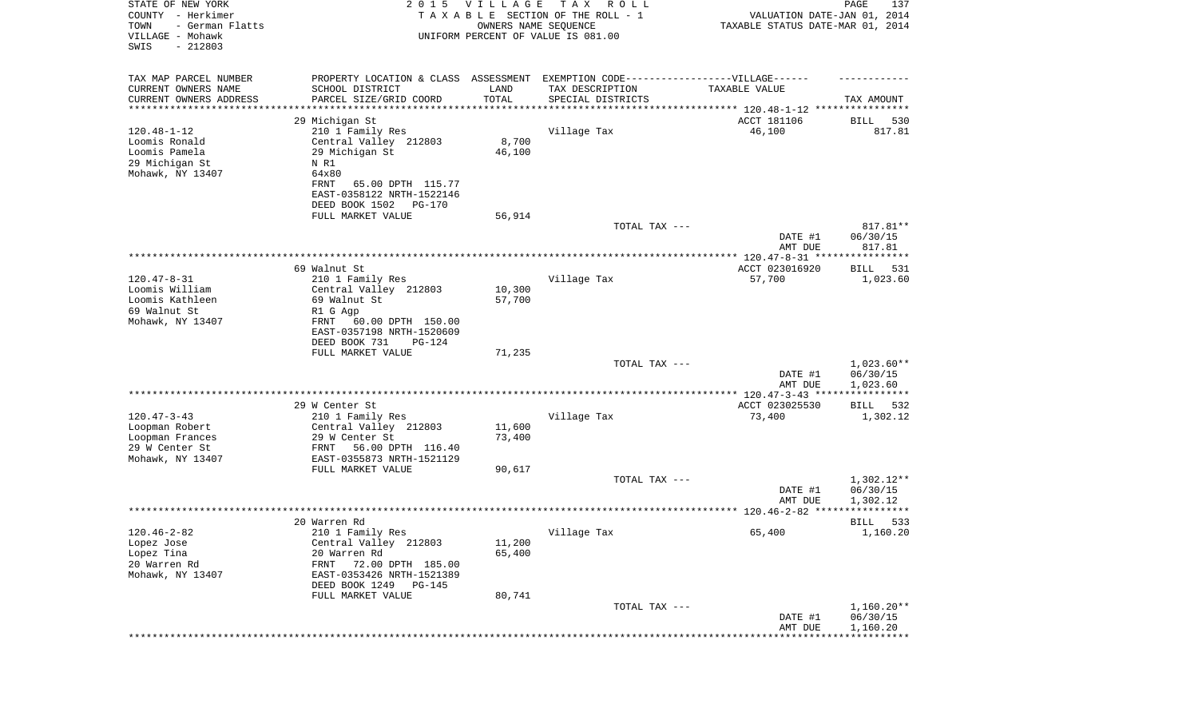| STATE OF NEW YORK<br>COUNTY - Herkimer<br>TOWN<br>- German Flatts<br>VILLAGE - Mohawk<br>SWIS<br>$-212803$ |                                                      | 2015 VILLAGE<br>OWNERS NAME SEQUENCE | T A X<br>R O L L<br>TAXABLE SECTION OF THE ROLL - 1<br>UNIFORM PERCENT OF VALUE IS 081.00            | VALUATION DATE-JAN 01, 2014<br>TAXABLE STATUS DATE-MAR 01, 2014 | PAGE<br>137        |
|------------------------------------------------------------------------------------------------------------|------------------------------------------------------|--------------------------------------|------------------------------------------------------------------------------------------------------|-----------------------------------------------------------------|--------------------|
| TAX MAP PARCEL NUMBER<br>CURRENT OWNERS NAME                                                               | SCHOOL DISTRICT                                      | LAND                                 | PROPERTY LOCATION & CLASS ASSESSMENT EXEMPTION CODE-----------------VILLAGE------<br>TAX DESCRIPTION | TAXABLE VALUE                                                   |                    |
| CURRENT OWNERS ADDRESS<br>********************                                                             | PARCEL SIZE/GRID COORD                               | TOTAL<br>* * * * * * * * * * *       | SPECIAL DISTRICTS<br>********************************* 120.48-1-12 ****************                  |                                                                 | TAX AMOUNT         |
|                                                                                                            | 29 Michigan St                                       |                                      |                                                                                                      | ACCT 181106                                                     | BILL<br>530        |
| $120.48 - 1 - 12$                                                                                          | 210 1 Family Res                                     |                                      | Village Tax                                                                                          | 46,100                                                          | 817.81             |
| Loomis Ronald                                                                                              | Central Valley 212803                                | 8,700                                |                                                                                                      |                                                                 |                    |
| Loomis Pamela                                                                                              | 29 Michigan St                                       | 46,100                               |                                                                                                      |                                                                 |                    |
| 29 Michigan St                                                                                             | N R1                                                 |                                      |                                                                                                      |                                                                 |                    |
| Mohawk, NY 13407                                                                                           | 64x80                                                |                                      |                                                                                                      |                                                                 |                    |
|                                                                                                            | FRNT<br>65.00 DPTH 115.77                            |                                      |                                                                                                      |                                                                 |                    |
|                                                                                                            | EAST-0358122 NRTH-1522146                            |                                      |                                                                                                      |                                                                 |                    |
|                                                                                                            | DEED BOOK 1502<br>PG-170                             |                                      |                                                                                                      |                                                                 |                    |
|                                                                                                            | FULL MARKET VALUE                                    | 56,914                               |                                                                                                      |                                                                 |                    |
|                                                                                                            |                                                      |                                      | TOTAL TAX ---                                                                                        |                                                                 | 817.81**           |
|                                                                                                            |                                                      |                                      |                                                                                                      | DATE #1<br>AMT DUE                                              | 06/30/15<br>817.81 |
|                                                                                                            |                                                      |                                      |                                                                                                      |                                                                 |                    |
|                                                                                                            | 69 Walnut St                                         |                                      |                                                                                                      | ACCT 023016920                                                  | 531<br>BILL        |
| $120.47 - 8 - 31$                                                                                          | 210 1 Family Res                                     |                                      | Village Tax                                                                                          | 57,700                                                          | 1,023.60           |
| Loomis William                                                                                             | Central Valley 212803                                | 10,300                               |                                                                                                      |                                                                 |                    |
| Loomis Kathleen                                                                                            | 69 Walnut St                                         | 57,700                               |                                                                                                      |                                                                 |                    |
| 69 Walnut St                                                                                               | R1 G Agp                                             |                                      |                                                                                                      |                                                                 |                    |
| Mohawk, NY 13407                                                                                           | FRNT<br>60.00 DPTH 150.00                            |                                      |                                                                                                      |                                                                 |                    |
|                                                                                                            | EAST-0357198 NRTH-1520609<br>DEED BOOK 731<br>PG-124 |                                      |                                                                                                      |                                                                 |                    |
|                                                                                                            | FULL MARKET VALUE                                    | 71,235                               |                                                                                                      |                                                                 |                    |
|                                                                                                            |                                                      |                                      | TOTAL TAX ---                                                                                        |                                                                 | $1,023.60**$       |
|                                                                                                            |                                                      |                                      |                                                                                                      | DATE #1                                                         | 06/30/15           |
|                                                                                                            |                                                      |                                      |                                                                                                      | AMT DUE                                                         | 1,023.60           |
|                                                                                                            |                                                      |                                      |                                                                                                      |                                                                 |                    |
|                                                                                                            | 29 W Center St                                       |                                      |                                                                                                      | ACCT 023025530                                                  | 532<br>BILL        |
| $120.47 - 3 - 43$                                                                                          | 210 1 Family Res                                     |                                      | Village Tax                                                                                          | 73,400                                                          | 1,302.12           |
| Loopman Robert                                                                                             | Central Valley 212803                                | 11,600                               |                                                                                                      |                                                                 |                    |
| Loopman Frances                                                                                            | 29 W Center St                                       | 73,400                               |                                                                                                      |                                                                 |                    |
| 29 W Center St                                                                                             | 56.00 DPTH 116.40<br>FRNT                            |                                      |                                                                                                      |                                                                 |                    |
| Mohawk, NY 13407                                                                                           | EAST-0355873 NRTH-1521129<br>FULL MARKET VALUE       | 90,617                               |                                                                                                      |                                                                 |                    |
|                                                                                                            |                                                      |                                      | TOTAL TAX ---                                                                                        |                                                                 | $1,302.12**$       |
|                                                                                                            |                                                      |                                      |                                                                                                      | DATE #1                                                         | 06/30/15           |
|                                                                                                            |                                                      |                                      |                                                                                                      | AMT DUE                                                         | 1,302.12           |
|                                                                                                            |                                                      |                                      |                                                                                                      |                                                                 |                    |
|                                                                                                            | 20 Warren Rd                                         |                                      |                                                                                                      |                                                                 | 533<br>BILL        |
| $120.46 - 2 - 82$                                                                                          | 210 1 Family Res                                     |                                      | Village Tax                                                                                          | 65,400                                                          | 1,160.20           |
| Lopez Jose                                                                                                 | Central Valley 212803                                | 11,200                               |                                                                                                      |                                                                 |                    |
| Lopez Tina                                                                                                 | 20 Warren Rd                                         | 65,400                               |                                                                                                      |                                                                 |                    |
| 20 Warren Rd                                                                                               | FRNT<br>72.00 DPTH 185.00                            |                                      |                                                                                                      |                                                                 |                    |
| Mohawk, NY 13407                                                                                           | EAST-0353426 NRTH-1521389                            |                                      |                                                                                                      |                                                                 |                    |
|                                                                                                            | DEED BOOK 1249 PG-145<br>FULL MARKET VALUE           | 80,741                               |                                                                                                      |                                                                 |                    |
|                                                                                                            |                                                      |                                      | TOTAL TAX ---                                                                                        |                                                                 | $1,160.20**$       |
|                                                                                                            |                                                      |                                      |                                                                                                      | DATE #1                                                         | 06/30/15           |
|                                                                                                            |                                                      |                                      |                                                                                                      | AMT DUE                                                         | 1,160.20           |
|                                                                                                            |                                                      |                                      |                                                                                                      |                                                                 |                    |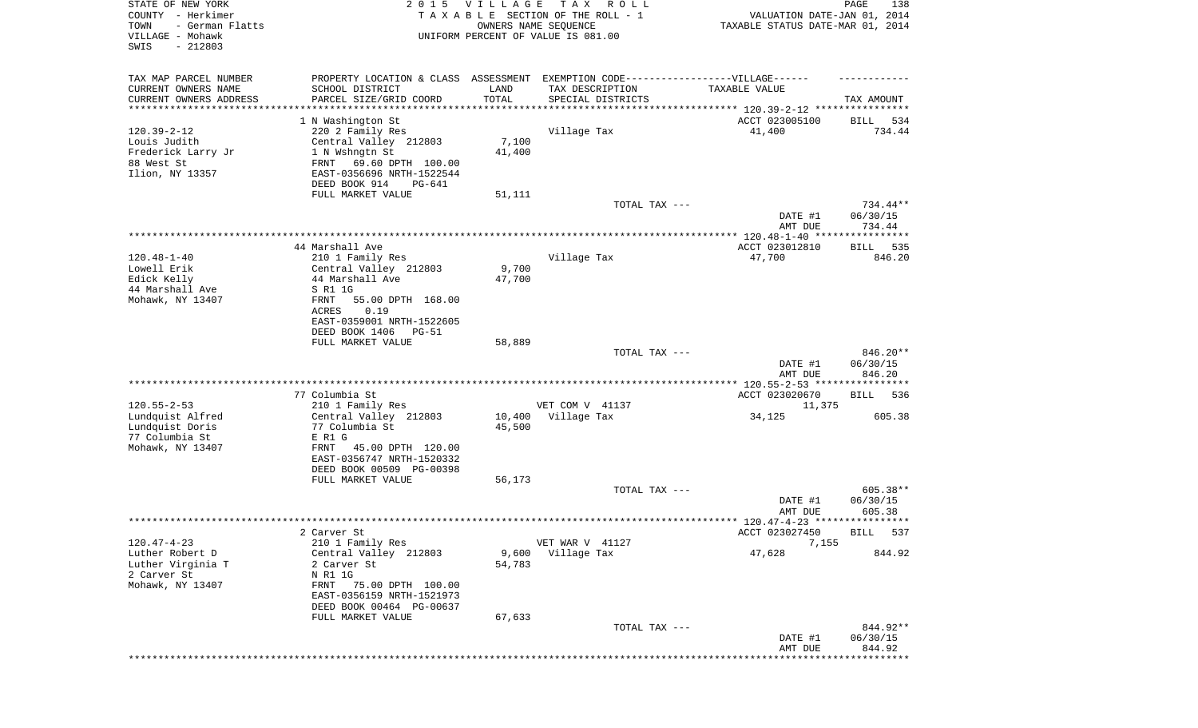| STATE OF NEW YORK<br>COUNTY - Herkimer<br>- German Flatts<br>TOWN<br>VILLAGE - Mohawk<br>SWIS<br>$-212803$ | 2 0 1 5                                                | VILLAGE          | T A X<br>R O L L<br>TAXABLE SECTION OF THE ROLL - 1<br>OWNERS NAME SEQUENCE<br>UNIFORM PERCENT OF VALUE IS 081.00 | VALUATION DATE-JAN 01, 2014<br>TAXABLE STATUS DATE-MAR 01, 2014 | PAGE<br>138          |
|------------------------------------------------------------------------------------------------------------|--------------------------------------------------------|------------------|-------------------------------------------------------------------------------------------------------------------|-----------------------------------------------------------------|----------------------|
| TAX MAP PARCEL NUMBER                                                                                      |                                                        |                  | PROPERTY LOCATION & CLASS ASSESSMENT EXEMPTION CODE----------------VILLAGE------                                  |                                                                 |                      |
| CURRENT OWNERS NAME<br>CURRENT OWNERS ADDRESS                                                              | SCHOOL DISTRICT<br>PARCEL SIZE/GRID COORD              | LAND<br>TOTAL    | TAX DESCRIPTION<br>SPECIAL DISTRICTS                                                                              | TAXABLE VALUE                                                   | TAX AMOUNT           |
| *********************                                                                                      |                                                        |                  |                                                                                                                   |                                                                 |                      |
|                                                                                                            | 1 N Washington St                                      |                  |                                                                                                                   | ACCT 023005100                                                  | 534<br>BILL          |
| $120.39 - 2 - 12$                                                                                          | 220 2 Family Res                                       |                  | Village Tax                                                                                                       | 41,400                                                          | 734.44               |
| Louis Judith<br>Frederick Larry Jr                                                                         | Central Valley 212803<br>1 N Wshngtn St                | 7,100<br>41,400  |                                                                                                                   |                                                                 |                      |
| 88 West St                                                                                                 | FRNT<br>69.60 DPTH 100.00                              |                  |                                                                                                                   |                                                                 |                      |
| Ilion, NY 13357                                                                                            | EAST-0356696 NRTH-1522544                              |                  |                                                                                                                   |                                                                 |                      |
|                                                                                                            | DEED BOOK 914<br>PG-641                                |                  |                                                                                                                   |                                                                 |                      |
|                                                                                                            | FULL MARKET VALUE                                      | 51,111           |                                                                                                                   |                                                                 |                      |
|                                                                                                            |                                                        |                  | TOTAL TAX ---                                                                                                     | DATE #1                                                         | 734.44**<br>06/30/15 |
|                                                                                                            |                                                        |                  |                                                                                                                   | AMT DUE                                                         | 734.44               |
|                                                                                                            |                                                        |                  |                                                                                                                   |                                                                 |                      |
|                                                                                                            | 44 Marshall Ave                                        |                  |                                                                                                                   | ACCT 023012810                                                  | 535<br>BILL          |
| $120.48 - 1 - 40$<br>Lowell Erik                                                                           | 210 1 Family Res<br>Central Valley 212803              | 9,700            | Village Tax                                                                                                       | 47,700                                                          | 846.20               |
| Edick Kelly                                                                                                | 44 Marshall Ave                                        | 47,700           |                                                                                                                   |                                                                 |                      |
| 44 Marshall Ave                                                                                            | S R1 1G                                                |                  |                                                                                                                   |                                                                 |                      |
| Mohawk, NY 13407                                                                                           | FRNT<br>55.00 DPTH 168.00                              |                  |                                                                                                                   |                                                                 |                      |
|                                                                                                            | ACRES<br>0.19<br>EAST-0359001 NRTH-1522605             |                  |                                                                                                                   |                                                                 |                      |
|                                                                                                            | DEED BOOK 1406<br>PG-51                                |                  |                                                                                                                   |                                                                 |                      |
|                                                                                                            | FULL MARKET VALUE                                      | 58,889           |                                                                                                                   |                                                                 |                      |
|                                                                                                            |                                                        |                  | TOTAL TAX ---                                                                                                     |                                                                 | 846.20**             |
|                                                                                                            |                                                        |                  |                                                                                                                   | DATE #1<br>AMT DUE                                              | 06/30/15<br>846.20   |
|                                                                                                            |                                                        |                  |                                                                                                                   |                                                                 |                      |
|                                                                                                            | 77 Columbia St                                         |                  |                                                                                                                   | ACCT 023020670                                                  | BILL<br>536          |
| $120.55 - 2 - 53$                                                                                          | 210 1 Family Res                                       |                  | VET COM V 41137                                                                                                   | 11,375                                                          |                      |
| Lundquist Alfred<br>Lundquist Doris                                                                        | Central Valley 212803<br>77 Columbia St                | 10,400<br>45,500 | Village Tax                                                                                                       | 34,125                                                          | 605.38               |
| 77 Columbia St                                                                                             | E R1 G                                                 |                  |                                                                                                                   |                                                                 |                      |
| Mohawk, NY 13407                                                                                           | 45.00 DPTH 120.00<br>FRNT                              |                  |                                                                                                                   |                                                                 |                      |
|                                                                                                            | EAST-0356747 NRTH-1520332                              |                  |                                                                                                                   |                                                                 |                      |
|                                                                                                            | DEED BOOK 00509 PG-00398                               |                  |                                                                                                                   |                                                                 |                      |
|                                                                                                            | FULL MARKET VALUE                                      | 56,173           | TOTAL TAX ---                                                                                                     |                                                                 | 605.38**             |
|                                                                                                            |                                                        |                  |                                                                                                                   | DATE #1                                                         | 06/30/15             |
|                                                                                                            |                                                        |                  |                                                                                                                   | AMT DUE                                                         | 605.38               |
|                                                                                                            |                                                        |                  |                                                                                                                   | ACCT 023027450                                                  |                      |
| $120.47 - 4 - 23$                                                                                          | 2 Carver St<br>210 1 Family Res                        |                  | VET WAR V 41127                                                                                                   | 7,155                                                           | BILL 537             |
| Luther Robert D                                                                                            | Central Valley 212803                                  | 9,600            | Village Tax                                                                                                       | 47,628                                                          | 844.92               |
| Luther Virginia T                                                                                          | 2 Carver St                                            | 54,783           |                                                                                                                   |                                                                 |                      |
| 2 Carver St                                                                                                | N R1 1G                                                |                  |                                                                                                                   |                                                                 |                      |
| Mohawk, NY 13407                                                                                           | 75.00 DPTH 100.00<br>FRNT<br>EAST-0356159 NRTH-1521973 |                  |                                                                                                                   |                                                                 |                      |
|                                                                                                            | DEED BOOK 00464 PG-00637                               |                  |                                                                                                                   |                                                                 |                      |
|                                                                                                            | FULL MARKET VALUE                                      | 67,633           |                                                                                                                   |                                                                 |                      |
|                                                                                                            |                                                        |                  | TOTAL TAX ---                                                                                                     |                                                                 | 844.92**             |
|                                                                                                            |                                                        |                  |                                                                                                                   | DATE #1<br>AMT DUE                                              | 06/30/15<br>844.92   |
|                                                                                                            |                                                        |                  |                                                                                                                   |                                                                 | ********             |
|                                                                                                            |                                                        |                  |                                                                                                                   |                                                                 |                      |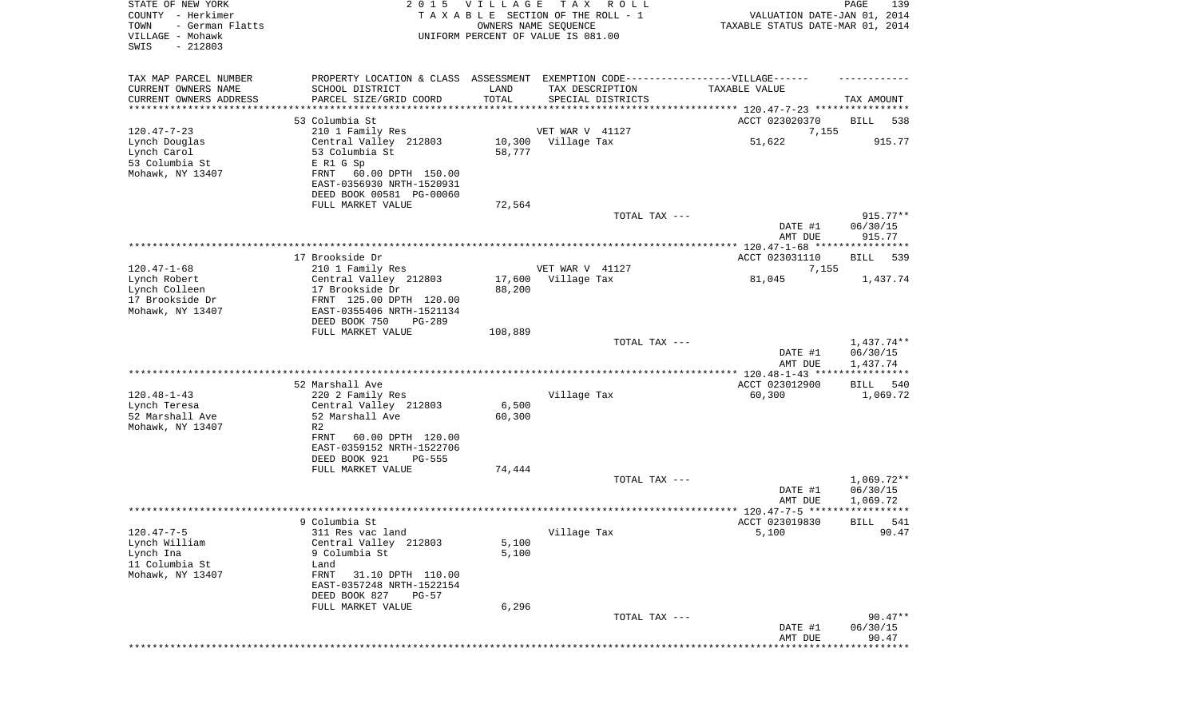| STATE OF NEW YORK<br>COUNTY - Herkimer<br>TOWN<br>- German Flatts<br>VILLAGE - Mohawk<br>SWIS<br>$-212803$ | 2 0 1 5                                                                                                                                                                                                     | VILLAGE<br>TAXABLE SECTION OF THE ROLL - 1<br>OWNERS NAME SEQUENCE<br>UNIFORM PERCENT OF VALUE IS 081.00 | T A X                                 | R O L L           | VALUATION DATE-JAN 01, 2014<br>TAXABLE STATUS DATE-MAR 01, 2014                              | PAGE<br>139                          |
|------------------------------------------------------------------------------------------------------------|-------------------------------------------------------------------------------------------------------------------------------------------------------------------------------------------------------------|----------------------------------------------------------------------------------------------------------|---------------------------------------|-------------------|----------------------------------------------------------------------------------------------|--------------------------------------|
| TAX MAP PARCEL NUMBER<br>CURRENT OWNERS NAME<br>CURRENT OWNERS ADDRESS<br>******************               | PROPERTY LOCATION & CLASS ASSESSMENT EXEMPTION CODE-----------------VILLAGE------<br>SCHOOL DISTRICT<br>PARCEL SIZE/GRID COORD<br>53 Columbia St                                                            | LAND<br>TOTAL                                                                                            | TAX DESCRIPTION                       | SPECIAL DISTRICTS | TAXABLE VALUE<br>**************************** 120.47-7-23 ****************<br>ACCT 023020370 | TAX AMOUNT<br>BILL<br>538            |
| $120.47 - 7 - 23$<br>Lynch Douglas<br>Lynch Carol<br>53 Columbia St<br>Mohawk, NY 13407                    | 210 1 Family Res<br>Central Valley 212803<br>53 Columbia St<br>E R1 G Sp<br>60.00 DPTH 150.00<br>FRNT<br>EAST-0356930 NRTH-1520931<br>DEED BOOK 00581 PG-00060<br>FULL MARKET VALUE                         | 58,777<br>72,564                                                                                         | VET WAR V 41127<br>10,300 Village Tax |                   | 7,155<br>51,622                                                                              | 915.77                               |
|                                                                                                            |                                                                                                                                                                                                             |                                                                                                          |                                       | TOTAL TAX ---     | DATE #1<br>AMT DUE                                                                           | $915.77**$<br>06/30/15<br>915.77     |
|                                                                                                            | 17 Brookside Dr                                                                                                                                                                                             |                                                                                                          |                                       |                   | ***************** 120.47-1-68 *****************<br>ACCT 023031110                            | 539<br>BILL                          |
| $120.47 - 1 - 68$                                                                                          | 210 1 Family Res                                                                                                                                                                                            |                                                                                                          | VET WAR V 41127                       |                   | 7,155                                                                                        |                                      |
| Lynch Robert<br>Lynch Colleen<br>17 Brookside Dr<br>Mohawk, NY 13407                                       | Central Valley 212803<br>17 Brookside Dr<br>FRNT 125.00 DPTH 120.00<br>EAST-0355406 NRTH-1521134<br>DEED BOOK 750<br>PG-289<br>FULL MARKET VALUE                                                            | 17,600<br>88,200<br>108,889                                                                              | Village Tax                           |                   | 81,045                                                                                       | 1,437.74                             |
|                                                                                                            |                                                                                                                                                                                                             |                                                                                                          |                                       | TOTAL TAX ---     | DATE #1<br>AMT DUE                                                                           | 1,437.74**<br>06/30/15<br>1,437.74   |
|                                                                                                            |                                                                                                                                                                                                             |                                                                                                          |                                       |                   | ************ 120.48-1-43 *****************                                                   |                                      |
| $120.48 - 1 - 43$<br>Lynch Teresa<br>52 Marshall Ave<br>Mohawk, NY 13407                                   | 52 Marshall Ave<br>220 2 Family Res<br>Central Valley 212803<br>52 Marshall Ave<br>R <sub>2</sub><br>FRNT<br>60.00 DPTH 120.00<br>EAST-0359152 NRTH-1522706<br>DEED BOOK 921<br>PG-555<br>FULL MARKET VALUE | 6,500<br>60,300<br>74,444                                                                                | Village Tax                           |                   | ACCT 023012900<br>60,300                                                                     | BILL<br>540<br>1,069.72              |
|                                                                                                            |                                                                                                                                                                                                             |                                                                                                          |                                       | TOTAL TAX ---     | DATE #1<br>AMT DUE                                                                           | $1,069.72**$<br>06/30/15<br>1,069.72 |
|                                                                                                            |                                                                                                                                                                                                             |                                                                                                          |                                       |                   |                                                                                              |                                      |
| $120.47 - 7 - 5$<br>Lynch William<br>Lynch Ina<br>11 Columbia St<br>Mohawk, NY 13407                       | 9 Columbia St<br>311 Res vac land<br>Central Valley 212803<br>9 Columbia St<br>Land<br>FRNT<br>31.10 DPTH 110.00<br>EAST-0357248 NRTH-1522154<br>DEED BOOK 827<br>$PG-57$<br>FULL MARKET VALUE              | 5,100<br>5,100<br>6,296                                                                                  | Village Tax                           |                   | ACCT 023019830<br>5,100                                                                      | 541<br>BILL<br>90.47                 |
|                                                                                                            |                                                                                                                                                                                                             |                                                                                                          |                                       | TOTAL TAX ---     | DATE #1<br>AMT DUE                                                                           | $90.47**$<br>06/30/15<br>90.47       |
|                                                                                                            |                                                                                                                                                                                                             |                                                                                                          |                                       |                   | *****************************                                                                |                                      |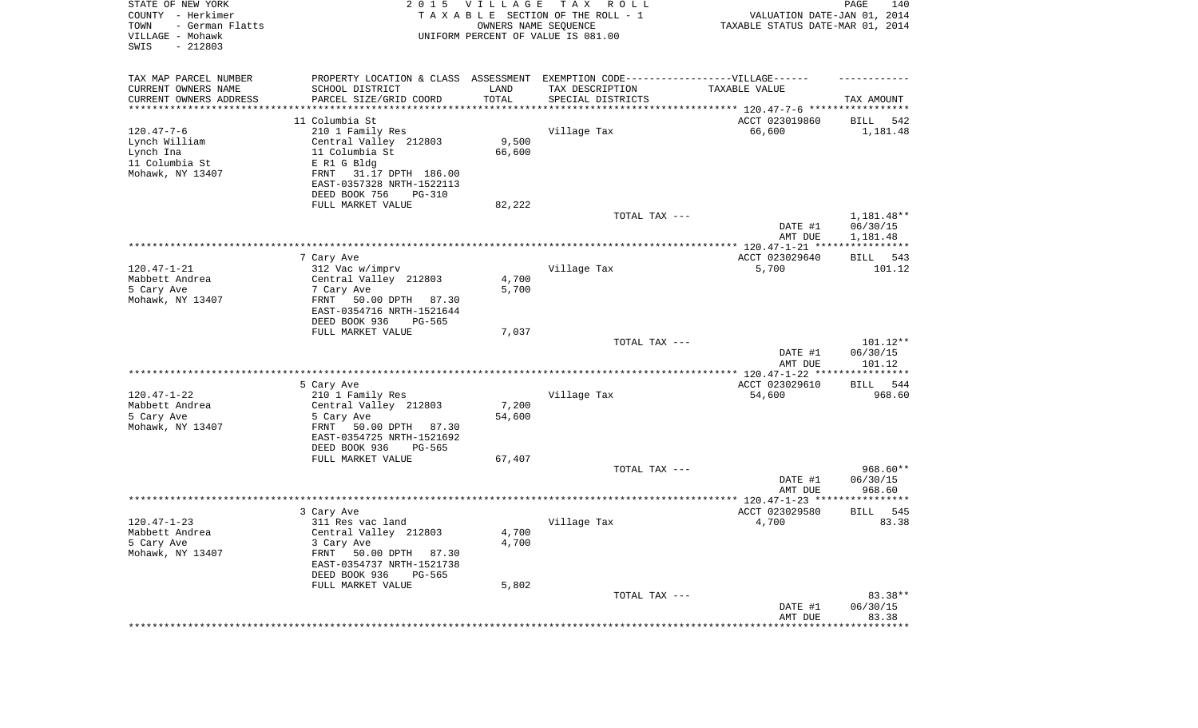| STATE OF NEW YORK<br>COUNTY - Herkimer<br>TOWN<br>- German Flatts<br>VILLAGE - Mohawk<br>SWIS<br>$-212803$ | 2 0 1 5                                                       | <b>VILLAGE</b><br>OWNERS NAME SEQUENCE | T A X<br>R O L L<br>TAXABLE SECTION OF THE ROLL - 1<br>UNIFORM PERCENT OF VALUE IS 081.00 | VALUATION DATE-JAN 01, 2014<br>TAXABLE STATUS DATE-MAR 01, 2014                  | PAGE<br>140          |
|------------------------------------------------------------------------------------------------------------|---------------------------------------------------------------|----------------------------------------|-------------------------------------------------------------------------------------------|----------------------------------------------------------------------------------|----------------------|
| TAX MAP PARCEL NUMBER                                                                                      | PROPERTY LOCATION & CLASS ASSESSMENT                          |                                        | EXEMPTION CODE-----------------VILLAGE------                                              |                                                                                  |                      |
| CURRENT OWNERS NAME<br>CURRENT OWNERS ADDRESS<br>*********************                                     | SCHOOL DISTRICT<br>PARCEL SIZE/GRID COORD<br>**************** | LAND<br>TOTAL<br>*********             | TAX DESCRIPTION<br>SPECIAL DISTRICTS                                                      | TAXABLE VALUE<br>********************************** 120.47-7-6 ***************** | TAX AMOUNT           |
|                                                                                                            | 11 Columbia St                                                |                                        |                                                                                           | ACCT 023019860                                                                   | <b>BILL</b><br>542   |
| $120.47 - 7 - 6$                                                                                           | 210 1 Family Res                                              |                                        | Village Tax                                                                               | 66,600                                                                           | 1,181.48             |
| Lynch William                                                                                              | Central Valley 212803                                         | 9,500                                  |                                                                                           |                                                                                  |                      |
| Lynch Ina                                                                                                  | 11 Columbia St                                                | 66,600                                 |                                                                                           |                                                                                  |                      |
| 11 Columbia St                                                                                             | E R1 G Bldg                                                   |                                        |                                                                                           |                                                                                  |                      |
| Mohawk, NY 13407                                                                                           | 31.17 DPTH 186.00<br>FRNT                                     |                                        |                                                                                           |                                                                                  |                      |
|                                                                                                            | EAST-0357328 NRTH-1522113<br>DEED BOOK 756<br><b>PG-310</b>   |                                        |                                                                                           |                                                                                  |                      |
|                                                                                                            | FULL MARKET VALUE                                             | 82,222                                 |                                                                                           |                                                                                  |                      |
|                                                                                                            |                                                               |                                        | TOTAL TAX ---                                                                             |                                                                                  | $1,181.48**$         |
|                                                                                                            |                                                               |                                        |                                                                                           | DATE #1<br>AMT DUE                                                               | 06/30/15<br>1,181.48 |
|                                                                                                            |                                                               |                                        |                                                                                           |                                                                                  |                      |
| $120.47 - 1 - 21$                                                                                          | 7 Cary Ave                                                    |                                        |                                                                                           | ACCT 023029640                                                                   | 543<br>BILL          |
| Mabbett Andrea                                                                                             | 312 Vac w/imprv<br>Central Valley 212803                      | 4,700                                  | Village Tax                                                                               | 5,700                                                                            | 101.12               |
| 5 Cary Ave                                                                                                 | 7 Cary Ave                                                    | 5,700                                  |                                                                                           |                                                                                  |                      |
| Mohawk, NY 13407                                                                                           | FRNT<br>50.00 DPTH<br>87.30                                   |                                        |                                                                                           |                                                                                  |                      |
|                                                                                                            | EAST-0354716 NRTH-1521644                                     |                                        |                                                                                           |                                                                                  |                      |
|                                                                                                            | DEED BOOK 936<br>PG-565                                       |                                        |                                                                                           |                                                                                  |                      |
|                                                                                                            | FULL MARKET VALUE                                             | 7,037                                  | TOTAL TAX ---                                                                             |                                                                                  | 101.12**             |
|                                                                                                            |                                                               |                                        |                                                                                           | DATE #1<br>AMT DUE                                                               | 06/30/15<br>101.12   |
|                                                                                                            | ***********************                                       |                                        | ***********************************                                                       | ************** 120.47-1-22 *****************                                     |                      |
|                                                                                                            | 5 Cary Ave                                                    |                                        |                                                                                           | ACCT 023029610                                                                   | 544<br>BILL          |
| $120.47 - 1 - 22$                                                                                          | 210 1 Family Res                                              |                                        | Village Tax                                                                               | 54,600                                                                           | 968.60               |
| Mabbett Andrea                                                                                             | Central Valley 212803                                         | 7,200                                  |                                                                                           |                                                                                  |                      |
| 5 Cary Ave<br>Mohawk, NY 13407                                                                             | 5 Cary Ave<br>FRNT<br>50.00 DPTH<br>87.30                     | 54,600                                 |                                                                                           |                                                                                  |                      |
|                                                                                                            | EAST-0354725 NRTH-1521692                                     |                                        |                                                                                           |                                                                                  |                      |
|                                                                                                            | DEED BOOK 936<br>PG-565                                       |                                        |                                                                                           |                                                                                  |                      |
|                                                                                                            | FULL MARKET VALUE                                             | 67,407                                 |                                                                                           |                                                                                  |                      |
|                                                                                                            |                                                               |                                        | TOTAL TAX ---                                                                             |                                                                                  | 968.60**             |
|                                                                                                            |                                                               |                                        |                                                                                           | DATE #1                                                                          | 06/30/15             |
|                                                                                                            | *****************************                                 |                                        |                                                                                           | AMT DUE                                                                          | 968.60               |
|                                                                                                            | 3 Cary Ave                                                    |                                        |                                                                                           | ACCT 023029580                                                                   | 545<br><b>BILL</b>   |
| $120.47 - 1 - 23$                                                                                          | 311 Res vac land                                              |                                        | Village Tax                                                                               | 4,700                                                                            | 83.38                |
| Mabbett Andrea                                                                                             | Central Valley 212803                                         | 4,700                                  |                                                                                           |                                                                                  |                      |
| 5 Cary Ave                                                                                                 | 3 Cary Ave                                                    | 4,700                                  |                                                                                           |                                                                                  |                      |
| Mohawk, NY 13407                                                                                           | FRNT<br>50.00 DPTH 87.30                                      |                                        |                                                                                           |                                                                                  |                      |
|                                                                                                            | EAST-0354737 NRTH-1521738<br>DEED BOOK 936<br>PG-565          |                                        |                                                                                           |                                                                                  |                      |
|                                                                                                            | FULL MARKET VALUE                                             | 5,802                                  |                                                                                           |                                                                                  |                      |
|                                                                                                            |                                                               |                                        | TOTAL TAX ---                                                                             |                                                                                  | 83.38**              |
|                                                                                                            |                                                               |                                        |                                                                                           | DATE #1                                                                          | 06/30/15             |
|                                                                                                            |                                                               |                                        |                                                                                           | AMT DUE                                                                          | 83.38                |
|                                                                                                            |                                                               |                                        |                                                                                           |                                                                                  | ************         |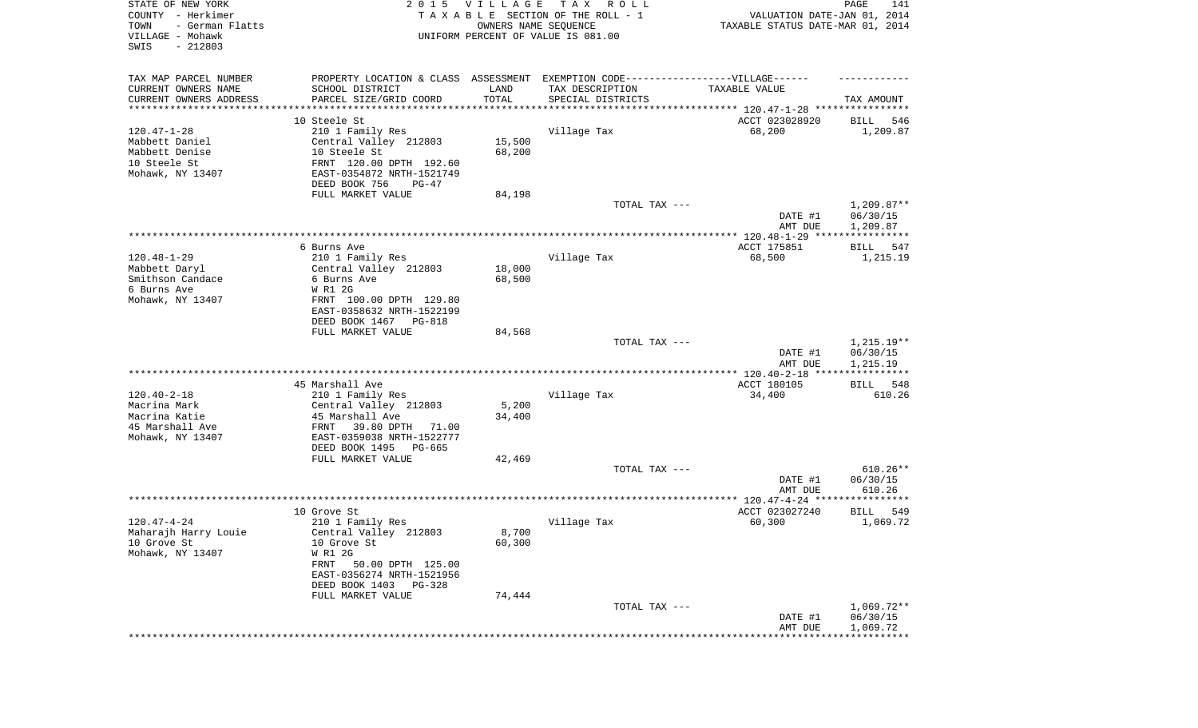| STATE OF NEW YORK<br>COUNTY - Herkimer<br>TOWN<br>- German Flatts<br>VILLAGE - Mohawk<br>SWIS<br>$-212803$ |                                                                                   | 2015 VILLAGE<br>OWNERS NAME SEQUENCE | TAX ROLL<br>TAXABLE SECTION OF THE ROLL - 1<br>UNIFORM PERCENT OF VALUE IS 081.00 | VALUATION DATE-JAN 01, 2014<br>TAXABLE STATUS DATE-MAR 01, 2014 | PAGE<br>141                        |
|------------------------------------------------------------------------------------------------------------|-----------------------------------------------------------------------------------|--------------------------------------|-----------------------------------------------------------------------------------|-----------------------------------------------------------------|------------------------------------|
| TAX MAP PARCEL NUMBER                                                                                      | PROPERTY LOCATION & CLASS ASSESSMENT EXEMPTION CODE-----------------VILLAGE------ |                                      |                                                                                   |                                                                 |                                    |
| CURRENT OWNERS NAME                                                                                        | SCHOOL DISTRICT                                                                   | LAND                                 | TAX DESCRIPTION                                                                   | TAXABLE VALUE                                                   |                                    |
| CURRENT OWNERS ADDRESS<br>********************                                                             | PARCEL SIZE/GRID COORD<br>***********************                                 | TOTAL<br>* * * * * * * * * * *       | SPECIAL DISTRICTS                                                                 |                                                                 | TAX AMOUNT                         |
|                                                                                                            | 10 Steele St                                                                      |                                      |                                                                                   | ACCT 023028920                                                  | 546<br>BILL                        |
| $120.47 - 1 - 28$                                                                                          | 210 1 Family Res                                                                  |                                      | Village Tax                                                                       | 68,200                                                          | 1,209.87                           |
| Mabbett Daniel                                                                                             | Central Valley 212803                                                             | 15,500                               |                                                                                   |                                                                 |                                    |
| Mabbett Denise                                                                                             | 10 Steele St                                                                      | 68,200                               |                                                                                   |                                                                 |                                    |
| 10 Steele St                                                                                               | FRNT 120.00 DPTH 192.60                                                           |                                      |                                                                                   |                                                                 |                                    |
| Mohawk, NY 13407                                                                                           | EAST-0354872 NRTH-1521749                                                         |                                      |                                                                                   |                                                                 |                                    |
|                                                                                                            | DEED BOOK 756<br>PG-47                                                            |                                      |                                                                                   |                                                                 |                                    |
|                                                                                                            | FULL MARKET VALUE                                                                 | 84,198                               |                                                                                   |                                                                 |                                    |
|                                                                                                            |                                                                                   |                                      | TOTAL TAX ---                                                                     | DATE #1<br>AMT DUE                                              | 1,209.87**<br>06/30/15<br>1,209.87 |
|                                                                                                            |                                                                                   |                                      |                                                                                   |                                                                 |                                    |
|                                                                                                            | 6 Burns Ave                                                                       |                                      |                                                                                   | ACCT 175851                                                     | BILL<br>547                        |
| $120.48 - 1 - 29$                                                                                          | 210 1 Family Res                                                                  |                                      | Village Tax                                                                       | 68,500                                                          | 1,215.19                           |
| Mabbett Daryl                                                                                              | Central Valley 212803                                                             | 18,000                               |                                                                                   |                                                                 |                                    |
| Smithson Candace<br>6 Burns Ave                                                                            | 6 Burns Ave<br>W R1 2G                                                            | 68,500                               |                                                                                   |                                                                 |                                    |
| Mohawk, NY 13407                                                                                           | FRNT 100.00 DPTH 129.80                                                           |                                      |                                                                                   |                                                                 |                                    |
|                                                                                                            | EAST-0358632 NRTH-1522199                                                         |                                      |                                                                                   |                                                                 |                                    |
|                                                                                                            | DEED BOOK 1467<br>PG-818                                                          |                                      |                                                                                   |                                                                 |                                    |
|                                                                                                            | FULL MARKET VALUE                                                                 | 84,568                               |                                                                                   |                                                                 |                                    |
|                                                                                                            |                                                                                   |                                      | TOTAL TAX ---                                                                     | DATE #1<br>AMT DUE                                              | 1,215.19**<br>06/30/15<br>1,215.19 |
|                                                                                                            |                                                                                   |                                      |                                                                                   | **************** 120.40-2-18 ****                               | ***********                        |
|                                                                                                            | 45 Marshall Ave                                                                   |                                      |                                                                                   | ACCT 180105                                                     | <b>BILL</b><br>548                 |
| $120.40 - 2 - 18$                                                                                          | 210 1 Family Res                                                                  |                                      | Village Tax                                                                       | 34,400                                                          | 610.26                             |
| Macrina Mark                                                                                               | Central Valley 212803                                                             | 5,200                                |                                                                                   |                                                                 |                                    |
| Macrina Katie                                                                                              | 45 Marshall Ave                                                                   | 34,400                               |                                                                                   |                                                                 |                                    |
| 45 Marshall Ave<br>Mohawk, NY 13407                                                                        | 39.80 DPTH<br>FRNT<br>71.00<br>EAST-0359038 NRTH-1522777                          |                                      |                                                                                   |                                                                 |                                    |
|                                                                                                            | DEED BOOK 1495<br>PG-665                                                          |                                      |                                                                                   |                                                                 |                                    |
|                                                                                                            | FULL MARKET VALUE                                                                 | 42,469                               |                                                                                   |                                                                 |                                    |
|                                                                                                            |                                                                                   |                                      | TOTAL TAX ---                                                                     |                                                                 | $610.26**$                         |
|                                                                                                            |                                                                                   |                                      |                                                                                   | DATE #1                                                         | 06/30/15                           |
|                                                                                                            |                                                                                   |                                      |                                                                                   | AMT DUE                                                         | 610.26                             |
|                                                                                                            | 10 Grove St                                                                       |                                      |                                                                                   | ACCT 023027240                                                  | 549<br>BILL                        |
| $120.47 - 4 - 24$                                                                                          | 210 1 Family Res                                                                  |                                      | Village Tax                                                                       | 60,300                                                          | 1,069.72                           |
| Maharajh Harry Louie                                                                                       | Central Valley 212803                                                             | 8,700                                |                                                                                   |                                                                 |                                    |
| 10 Grove St                                                                                                | 10 Grove St                                                                       | 60,300                               |                                                                                   |                                                                 |                                    |
| Mohawk, NY 13407                                                                                           | W R1 2G                                                                           |                                      |                                                                                   |                                                                 |                                    |
|                                                                                                            | FRNT<br>50.00 DPTH 125.00                                                         |                                      |                                                                                   |                                                                 |                                    |
|                                                                                                            | EAST-0356274 NRTH-1521956                                                         |                                      |                                                                                   |                                                                 |                                    |
|                                                                                                            | DEED BOOK 1403 PG-328<br>FULL MARKET VALUE                                        | 74,444                               |                                                                                   |                                                                 |                                    |
|                                                                                                            |                                                                                   |                                      | TOTAL TAX ---                                                                     |                                                                 | $1,069.72**$                       |
|                                                                                                            |                                                                                   |                                      |                                                                                   | DATE #1                                                         | 06/30/15                           |
|                                                                                                            |                                                                                   |                                      |                                                                                   | AMT DUE                                                         | 1,069.72                           |
|                                                                                                            |                                                                                   |                                      |                                                                                   |                                                                 |                                    |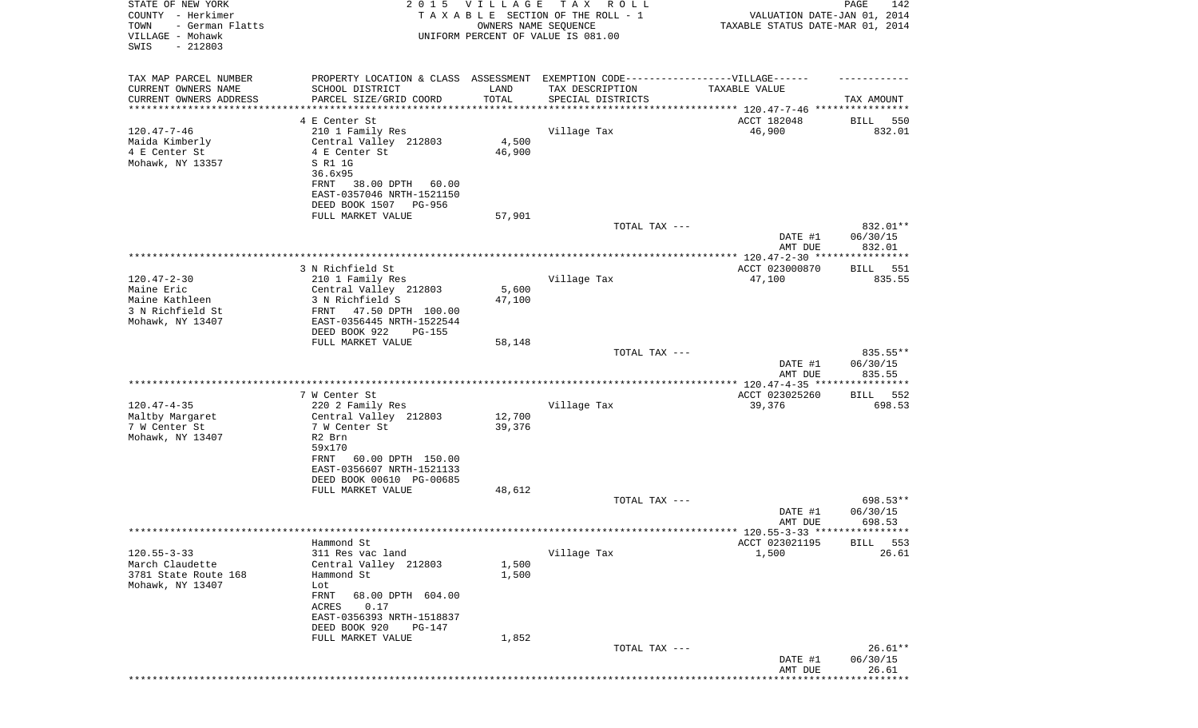| STATE OF NEW YORK<br>COUNTY - Herkimer<br>TOWN<br>- German Flatts<br>VILLAGE - Mohawk | 2015 VILLAGE<br>TAXABLE SECTION OF THE ROLL - 1<br>UNIFORM PERCENT OF VALUE IS 081.00 | PAGE<br>142<br>VALUATION DATE-JAN 01, 2014<br>TAXABLE STATUS DATE-MAR 01, 2014 |                                      |                          |                      |
|---------------------------------------------------------------------------------------|---------------------------------------------------------------------------------------|--------------------------------------------------------------------------------|--------------------------------------|--------------------------|----------------------|
| SWIS<br>$-212803$                                                                     |                                                                                       |                                                                                |                                      |                          |                      |
| TAX MAP PARCEL NUMBER                                                                 | PROPERTY LOCATION & CLASS ASSESSMENT EXEMPTION CODE-----------------VILLAGE------     |                                                                                |                                      |                          |                      |
| CURRENT OWNERS NAME<br>CURRENT OWNERS ADDRESS                                         | SCHOOL DISTRICT<br>PARCEL SIZE/GRID COORD                                             | LAND<br>TOTAL                                                                  | TAX DESCRIPTION<br>SPECIAL DISTRICTS | TAXABLE VALUE            | TAX AMOUNT           |
| ********************                                                                  |                                                                                       |                                                                                |                                      |                          |                      |
|                                                                                       | 4 E Center St                                                                         |                                                                                |                                      | ACCT 182048              | 550<br>BILL          |
| $120.47 - 7 - 46$                                                                     | 210 1 Family Res                                                                      |                                                                                | Village Tax                          | 46,900                   | 832.01               |
| Maida Kimberly<br>4 E Center St                                                       | Central Valley 212803<br>4 E Center St                                                | 4,500<br>46,900                                                                |                                      |                          |                      |
| Mohawk, NY 13357                                                                      | S R1 1G                                                                               |                                                                                |                                      |                          |                      |
|                                                                                       | 36.6x95                                                                               |                                                                                |                                      |                          |                      |
|                                                                                       | 38.00 DPTH<br>FRNT<br>60.00                                                           |                                                                                |                                      |                          |                      |
|                                                                                       | EAST-0357046 NRTH-1521150<br>DEED BOOK 1507 PG-956                                    |                                                                                |                                      |                          |                      |
|                                                                                       | FULL MARKET VALUE                                                                     | 57,901                                                                         |                                      |                          |                      |
|                                                                                       |                                                                                       |                                                                                | TOTAL TAX ---                        |                          | 832.01**             |
|                                                                                       |                                                                                       |                                                                                |                                      | DATE #1                  | 06/30/15             |
|                                                                                       |                                                                                       |                                                                                |                                      | AMT DUE                  | 832.01               |
|                                                                                       | 3 N Richfield St                                                                      |                                                                                |                                      | ACCT 023000870           | 551<br>BILL          |
| $120.47 - 2 - 30$                                                                     | 210 1 Family Res                                                                      |                                                                                | Village Tax                          | 47,100                   | 835.55               |
| Maine Eric                                                                            | Central Valley 212803                                                                 | 5,600                                                                          |                                      |                          |                      |
| Maine Kathleen<br>3 N Richfield St                                                    | 3 N Richfield S<br>FRNT 47.50 DPTH 100.00                                             | 47,100                                                                         |                                      |                          |                      |
| Mohawk, NY 13407                                                                      | EAST-0356445 NRTH-1522544                                                             |                                                                                |                                      |                          |                      |
|                                                                                       | DEED BOOK 922<br><b>PG-155</b>                                                        |                                                                                |                                      |                          |                      |
|                                                                                       | FULL MARKET VALUE                                                                     | 58,148                                                                         |                                      |                          |                      |
|                                                                                       |                                                                                       |                                                                                | TOTAL TAX ---                        | DATE #1                  | 835.55**<br>06/30/15 |
|                                                                                       |                                                                                       |                                                                                |                                      | AMT DUE                  | 835.55               |
|                                                                                       |                                                                                       |                                                                                |                                      |                          |                      |
| $120.47 - 4 - 35$                                                                     | 7 W Center St<br>220 2 Family Res                                                     |                                                                                | Village Tax                          | ACCT 023025260<br>39,376 | BILL 552<br>698.53   |
| Maltby Margaret                                                                       | Central Valley 212803                                                                 | 12,700                                                                         |                                      |                          |                      |
| 7 W Center St                                                                         | 7 W Center St                                                                         | 39,376                                                                         |                                      |                          |                      |
| Mohawk, NY 13407                                                                      | R2 Brn                                                                                |                                                                                |                                      |                          |                      |
|                                                                                       | 59x170                                                                                |                                                                                |                                      |                          |                      |
|                                                                                       | 60.00 DPTH 150.00<br>FRNT<br>EAST-0356607 NRTH-1521133                                |                                                                                |                                      |                          |                      |
|                                                                                       | DEED BOOK 00610 PG-00685                                                              |                                                                                |                                      |                          |                      |
|                                                                                       | FULL MARKET VALUE                                                                     | 48,612                                                                         |                                      |                          |                      |
|                                                                                       |                                                                                       |                                                                                | TOTAL TAX ---                        | DATE #1                  | 698.53**<br>06/30/15 |
|                                                                                       |                                                                                       |                                                                                |                                      | AMT DUE                  | 698.53               |
|                                                                                       |                                                                                       |                                                                                |                                      |                          |                      |
|                                                                                       | Hammond St                                                                            |                                                                                |                                      | ACCT 023021195           | 553<br>BILL          |
| $120.55 - 3 - 33$<br>March Claudette                                                  | 311 Res vac land<br>Central Valley 212803                                             | 1,500                                                                          | Village Tax                          | 1,500                    | 26.61                |
| 3781 State Route 168                                                                  | Hammond St                                                                            | 1,500                                                                          |                                      |                          |                      |
| Mohawk, NY 13407                                                                      | Lot                                                                                   |                                                                                |                                      |                          |                      |
|                                                                                       | FRNT<br>68.00 DPTH 604.00                                                             |                                                                                |                                      |                          |                      |
|                                                                                       | 0.17<br>ACRES<br>EAST-0356393 NRTH-1518837                                            |                                                                                |                                      |                          |                      |
|                                                                                       | DEED BOOK 920<br>PG-147                                                               |                                                                                |                                      |                          |                      |
|                                                                                       | FULL MARKET VALUE                                                                     | 1,852                                                                          |                                      |                          |                      |
|                                                                                       |                                                                                       |                                                                                | TOTAL TAX ---                        |                          | $26.61**$            |
|                                                                                       |                                                                                       |                                                                                |                                      | DATE #1<br>AMT DUE       | 06/30/15<br>26.61    |
|                                                                                       |                                                                                       |                                                                                |                                      |                          |                      |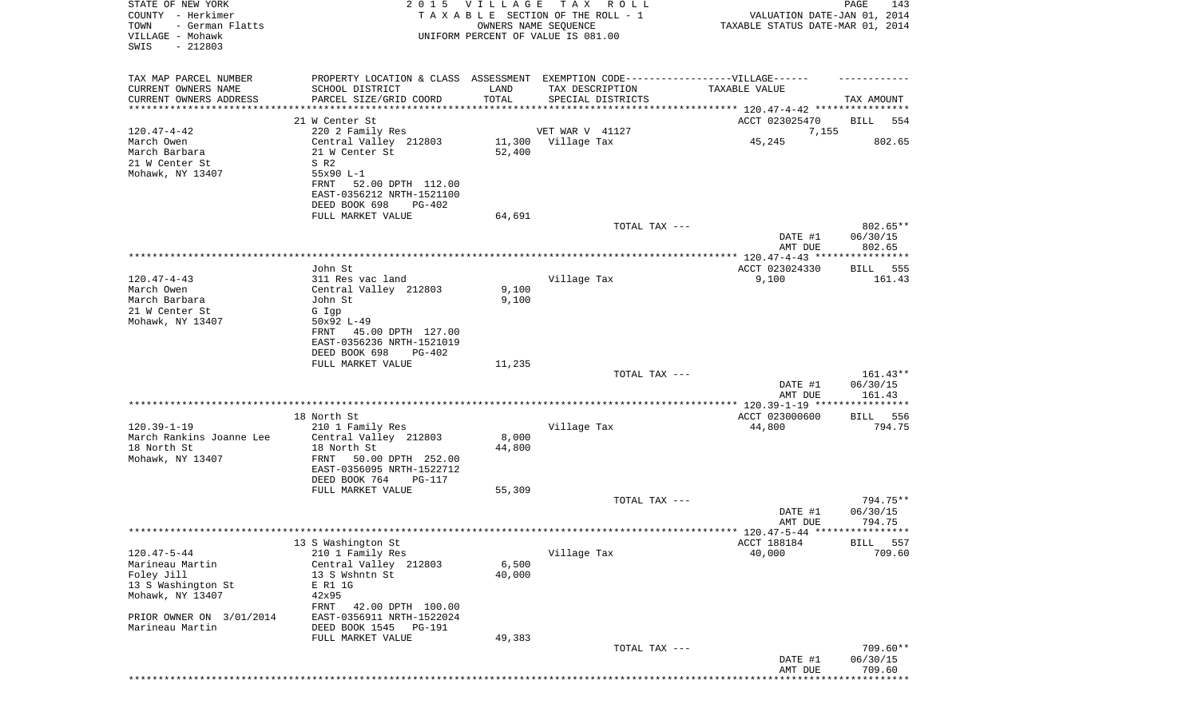| STATE OF NEW YORK<br>COUNTY - Herkimer<br>TOWN<br>- German Flatts<br>VILLAGE - Mohawk |                                                        | 2015 VILLAGE    | T A X<br>R O L L<br>TAXABLE SECTION OF THE ROLL - 1<br>OWNERS NAME SEQUENCE<br>UNIFORM PERCENT OF VALUE IS 081.00 | VALUATION DATE-JAN 01, 2014<br>TAXABLE STATUS DATE-MAR 01, 2014 | PAGE<br>143          |
|---------------------------------------------------------------------------------------|--------------------------------------------------------|-----------------|-------------------------------------------------------------------------------------------------------------------|-----------------------------------------------------------------|----------------------|
| SWIS<br>$-212803$                                                                     |                                                        |                 |                                                                                                                   |                                                                 |                      |
| TAX MAP PARCEL NUMBER                                                                 |                                                        |                 | PROPERTY LOCATION & CLASS ASSESSMENT EXEMPTION CODE----------------VILLAGE------                                  |                                                                 |                      |
| CURRENT OWNERS NAME                                                                   | SCHOOL DISTRICT                                        | LAND            | TAX DESCRIPTION                                                                                                   | TAXABLE VALUE                                                   |                      |
| CURRENT OWNERS ADDRESS<br>********************                                        | PARCEL SIZE/GRID COORD                                 | TOTAL           | SPECIAL DISTRICTS                                                                                                 |                                                                 | TAX AMOUNT           |
|                                                                                       | 21 W Center St                                         |                 |                                                                                                                   | ACCT 023025470                                                  | BILL<br>554          |
| $120.47 - 4 - 42$                                                                     | 220 2 Family Res                                       |                 | VET WAR V 41127                                                                                                   | 7,155                                                           |                      |
| March Owen                                                                            | Central Valley 212803                                  |                 | 11,300 Village Tax                                                                                                | 45,245                                                          | 802.65               |
| March Barbara<br>21 W Center St                                                       | 21 W Center St<br>S R2                                 | 52,400          |                                                                                                                   |                                                                 |                      |
| Mohawk, NY 13407                                                                      | 55x90 L-1                                              |                 |                                                                                                                   |                                                                 |                      |
|                                                                                       | FRNT<br>52.00 DPTH 112.00                              |                 |                                                                                                                   |                                                                 |                      |
|                                                                                       | EAST-0356212 NRTH-1521100<br>DEED BOOK 698<br>PG-402   |                 |                                                                                                                   |                                                                 |                      |
|                                                                                       | FULL MARKET VALUE                                      | 64,691          |                                                                                                                   |                                                                 |                      |
|                                                                                       |                                                        |                 | TOTAL TAX ---                                                                                                     |                                                                 | 802.65**             |
|                                                                                       |                                                        |                 |                                                                                                                   | DATE #1                                                         | 06/30/15             |
|                                                                                       |                                                        |                 |                                                                                                                   | AMT DUE                                                         | 802.65               |
|                                                                                       | John St                                                |                 |                                                                                                                   | ACCT 023024330                                                  | 555<br>BILL          |
| $120.47 - 4 - 43$                                                                     | 311 Res vac land                                       |                 | Village Tax                                                                                                       | 9,100                                                           | 161.43               |
| March Owen<br>March Barbara                                                           | Central Valley 212803<br>John St                       | 9,100<br>9,100  |                                                                                                                   |                                                                 |                      |
| 21 W Center St                                                                        | G Igp                                                  |                 |                                                                                                                   |                                                                 |                      |
| Mohawk, NY 13407                                                                      | 50x92 L-49                                             |                 |                                                                                                                   |                                                                 |                      |
|                                                                                       | 45.00 DPTH 127.00<br>FRNT                              |                 |                                                                                                                   |                                                                 |                      |
|                                                                                       | EAST-0356236 NRTH-1521019<br>DEED BOOK 698<br>$PG-402$ |                 |                                                                                                                   |                                                                 |                      |
|                                                                                       | FULL MARKET VALUE                                      | 11,235          |                                                                                                                   |                                                                 |                      |
|                                                                                       |                                                        |                 | TOTAL TAX ---                                                                                                     |                                                                 | $161.43**$           |
|                                                                                       |                                                        |                 |                                                                                                                   | DATE #1<br>AMT DUE                                              | 06/30/15<br>161.43   |
|                                                                                       |                                                        |                 |                                                                                                                   | **************** 120.39-1-19 ****                               | ************         |
|                                                                                       | 18 North St                                            |                 |                                                                                                                   | ACCT 023000600                                                  | BILL 556             |
| $120.39 - 1 - 19$<br>March Rankins Joanne Lee                                         | 210 1 Family Res<br>Central Valley 212803              | 8,000           | Village Tax                                                                                                       | 44,800                                                          | 794.75               |
| 18 North St                                                                           | 18 North St                                            | 44,800          |                                                                                                                   |                                                                 |                      |
| Mohawk, NY 13407                                                                      | FRNT<br>50.00 DPTH 252.00                              |                 |                                                                                                                   |                                                                 |                      |
|                                                                                       | EAST-0356095 NRTH-1522712<br>DEED BOOK 764<br>PG-117   |                 |                                                                                                                   |                                                                 |                      |
|                                                                                       | FULL MARKET VALUE                                      | 55,309          |                                                                                                                   |                                                                 |                      |
|                                                                                       |                                                        |                 | TOTAL TAX ---                                                                                                     |                                                                 | 794.75**             |
|                                                                                       |                                                        |                 |                                                                                                                   | DATE #1<br>AMT DUE                                              | 06/30/15<br>794.75   |
|                                                                                       |                                                        |                 |                                                                                                                   |                                                                 |                      |
|                                                                                       | 13 S Washington St                                     |                 |                                                                                                                   | ACCT 188184                                                     | BILL<br>557          |
| $120.47 - 5 - 44$                                                                     | 210 1 Family Res                                       |                 | Village Tax                                                                                                       | 40,000                                                          | 709.60               |
| Marineau Martin<br>Foley Jill                                                         | Central Valley 212803<br>13 S Wshntn St                | 6,500<br>40,000 |                                                                                                                   |                                                                 |                      |
| 13 S Washington St                                                                    | E R1 1G                                                |                 |                                                                                                                   |                                                                 |                      |
| Mohawk, NY 13407                                                                      | 42x95                                                  |                 |                                                                                                                   |                                                                 |                      |
| PRIOR OWNER ON 3/01/2014                                                              | FRNT<br>42.00 DPTH 100.00<br>EAST-0356911 NRTH-1522024 |                 |                                                                                                                   |                                                                 |                      |
| Marineau Martin                                                                       | DEED BOOK 1545<br>PG-191                               |                 |                                                                                                                   |                                                                 |                      |
|                                                                                       | FULL MARKET VALUE                                      | 49,383          |                                                                                                                   |                                                                 |                      |
|                                                                                       |                                                        |                 | TOTAL TAX ---                                                                                                     | DATE #1                                                         | 709.60**<br>06/30/15 |
|                                                                                       |                                                        |                 |                                                                                                                   | AMT DUE                                                         | 709.60               |
|                                                                                       |                                                        |                 |                                                                                                                   |                                                                 |                      |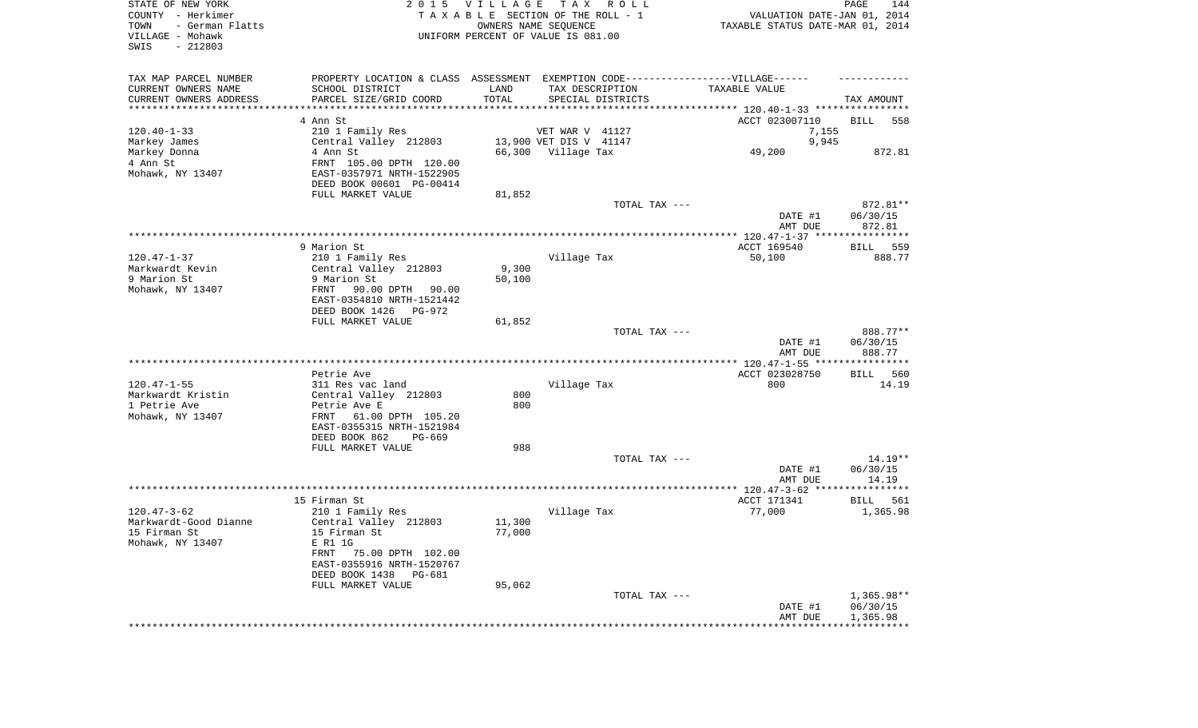| STATE OF NEW YORK<br>COUNTY - Herkimer |                                                                                  | 2015 VILLAGE | TAX ROLL<br>TAXABLE SECTION OF THE ROLL - 1 |               |                                     | PAGE<br>144<br>VALUATION DATE-JAN 01, 2014 |
|----------------------------------------|----------------------------------------------------------------------------------|--------------|---------------------------------------------|---------------|-------------------------------------|--------------------------------------------|
| TOWN<br>- German Flatts                |                                                                                  |              | OWNERS NAME SEQUENCE                        |               | TAXABLE STATUS DATE-MAR 01, 2014    |                                            |
| VILLAGE - Mohawk<br>$-212803$<br>SWIS  |                                                                                  |              | UNIFORM PERCENT OF VALUE IS 081.00          |               |                                     |                                            |
|                                        |                                                                                  |              |                                             |               |                                     |                                            |
| TAX MAP PARCEL NUMBER                  | PROPERTY LOCATION & CLASS ASSESSMENT EXEMPTION CODE----------------VILLAGE------ |              |                                             |               |                                     |                                            |
| CURRENT OWNERS NAME                    | SCHOOL DISTRICT                                                                  | LAND         | TAX DESCRIPTION                             |               | TAXABLE VALUE                       |                                            |
| CURRENT OWNERS ADDRESS                 | PARCEL SIZE/GRID COORD                                                           | TOTAL        | SPECIAL DISTRICTS                           |               |                                     | TAX AMOUNT                                 |
| *********************                  |                                                                                  |              |                                             |               |                                     |                                            |
|                                        | 4 Ann St                                                                         |              |                                             |               | ACCT 023007110                      | BILL<br>558                                |
| $120.40 - 1 - 33$                      | 210 1 Family Res                                                                 |              | VET WAR V 41127                             |               | 7,155                               |                                            |
| Markey James                           | Central Valley 212803                                                            |              | 13,900 VET DIS V 41147                      |               | 9,945                               |                                            |
| Markey Donna                           | 4 Ann St                                                                         |              | 66,300 Village Tax                          |               | 49,200                              | 872.81                                     |
| 4 Ann St                               | FRNT 105.00 DPTH 120.00                                                          |              |                                             |               |                                     |                                            |
| Mohawk, NY 13407                       | EAST-0357971 NRTH-1522905                                                        |              |                                             |               |                                     |                                            |
|                                        | DEED BOOK 00601 PG-00414                                                         |              |                                             |               |                                     |                                            |
|                                        | FULL MARKET VALUE                                                                | 81,852       |                                             | TOTAL TAX --- |                                     | 872.81**                                   |
|                                        |                                                                                  |              |                                             |               | DATE #1                             | 06/30/15                                   |
|                                        |                                                                                  |              |                                             |               | AMT DUE                             | 872.81                                     |
|                                        |                                                                                  |              |                                             |               |                                     |                                            |
|                                        | 9 Marion St                                                                      |              |                                             |               | ACCT 169540                         | 559<br>BILL                                |
| $120.47 - 1 - 37$                      | 210 1 Family Res                                                                 |              | Village Tax                                 |               | 50,100                              | 888.77                                     |
| Markwardt Kevin                        | Central Valley 212803                                                            | 9,300        |                                             |               |                                     |                                            |
| 9 Marion St                            | 9 Marion St                                                                      | 50,100       |                                             |               |                                     |                                            |
| Mohawk, NY 13407                       | 90.00 DPTH<br>90.00<br>FRNT                                                      |              |                                             |               |                                     |                                            |
|                                        | EAST-0354810 NRTH-1521442                                                        |              |                                             |               |                                     |                                            |
|                                        | DEED BOOK 1426<br>PG-972                                                         |              |                                             |               |                                     |                                            |
|                                        | FULL MARKET VALUE                                                                | 61,852       |                                             |               |                                     |                                            |
|                                        |                                                                                  |              |                                             | TOTAL TAX --- | DATE #1                             | 888.77**<br>06/30/15                       |
|                                        |                                                                                  |              |                                             |               | AMT DUE                             | 888.77                                     |
|                                        |                                                                                  |              |                                             |               |                                     |                                            |
|                                        | Petrie Ave                                                                       |              |                                             |               | ACCT 023028750                      | <b>BILL</b><br>560                         |
| $120.47 - 1 - 55$                      | 311 Res vac land                                                                 |              | Village Tax                                 |               | 800                                 | 14.19                                      |
| Markwardt Kristin                      | Central Valley 212803                                                            | 800          |                                             |               |                                     |                                            |
| 1 Petrie Ave                           | Petrie Ave E                                                                     | 800          |                                             |               |                                     |                                            |
| Mohawk, NY 13407                       | 61.00 DPTH 105.20<br>FRNT                                                        |              |                                             |               |                                     |                                            |
|                                        | EAST-0355315 NRTH-1521984                                                        |              |                                             |               |                                     |                                            |
|                                        | DEED BOOK 862<br>PG-669                                                          |              |                                             |               |                                     |                                            |
|                                        | FULL MARKET VALUE                                                                | 988          |                                             |               |                                     |                                            |
|                                        |                                                                                  |              |                                             | TOTAL TAX --- |                                     | $14.19**$                                  |
|                                        |                                                                                  |              |                                             |               | DATE #1<br>AMT DUE                  | 06/30/15<br>14.19                          |
|                                        |                                                                                  |              |                                             |               |                                     |                                            |
|                                        | 15 Firman St                                                                     |              |                                             |               | ACCT 171341                         | BILL<br>561                                |
| $120.47 - 3 - 62$                      | 210 1 Family Res                                                                 |              | Village Tax                                 |               | 77,000                              | 1,365.98                                   |
| Markwardt-Good Dianne                  | Central Valley 212803                                                            | 11,300       |                                             |               |                                     |                                            |
| 15 Firman St                           | 15 Firman St                                                                     | 77,000       |                                             |               |                                     |                                            |
| Mohawk, NY 13407                       | E R1 1G                                                                          |              |                                             |               |                                     |                                            |
|                                        | FRNT<br>75.00 DPTH 102.00                                                        |              |                                             |               |                                     |                                            |
|                                        | EAST-0355916 NRTH-1520767                                                        |              |                                             |               |                                     |                                            |
|                                        | DEED BOOK 1438<br>PG-681                                                         |              |                                             |               |                                     |                                            |
|                                        | FULL MARKET VALUE                                                                | 95,062       |                                             |               |                                     |                                            |
|                                        |                                                                                  |              |                                             | TOTAL TAX --- |                                     | $1,365.98**$                               |
|                                        |                                                                                  |              |                                             |               | DATE #1<br>AMT DUE                  | 06/30/15<br>1,365.98                       |
|                                        |                                                                                  |              |                                             |               | *********************************** |                                            |
|                                        |                                                                                  |              |                                             |               |                                     |                                            |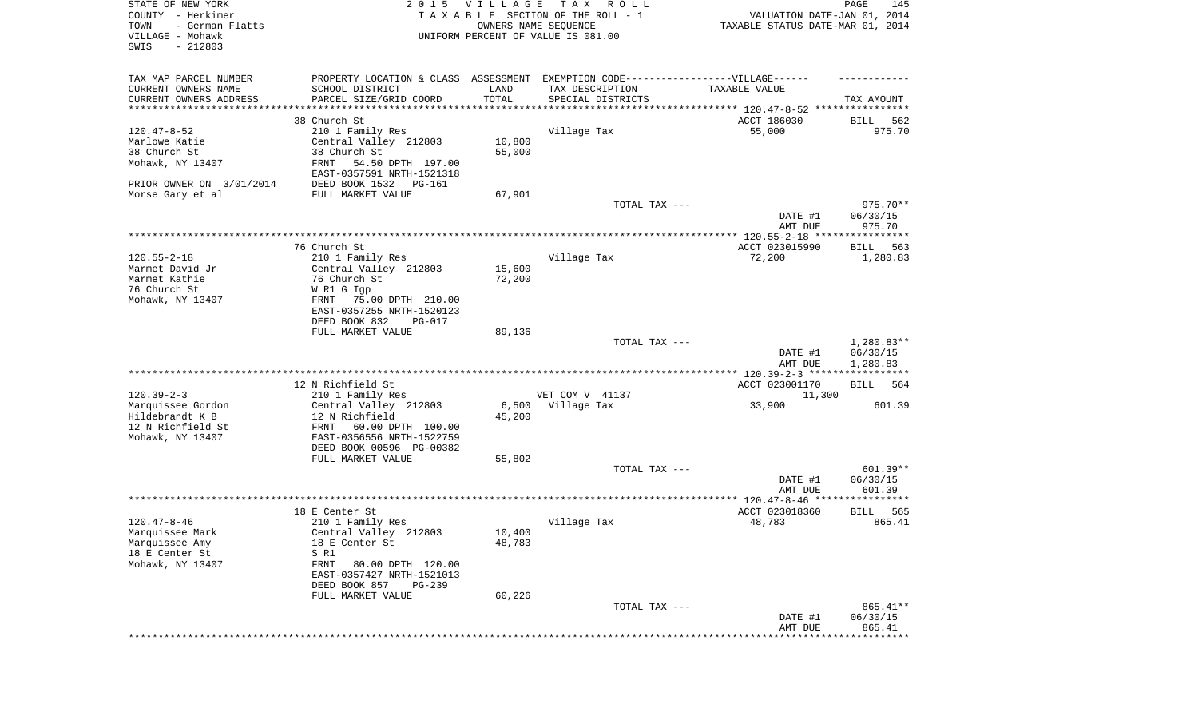| STATE OF NEW YORK<br>COUNTY - Herkimer<br>- German Flatts<br>TOWN<br>VILLAGE - Mohawk<br>SWIS<br>$-212803$ |                                                                                   | 2015 VILLAGE<br>OWNERS NAME SEQUENCE | T A X<br>R O L L<br>TAXABLE SECTION OF THE ROLL - 1<br>UNIFORM PERCENT OF VALUE IS 081.00 | VALUATION DATE-JAN 01, 2014<br>TAXABLE STATUS DATE-MAR 01, 2014 | PAGE<br>145                    |
|------------------------------------------------------------------------------------------------------------|-----------------------------------------------------------------------------------|--------------------------------------|-------------------------------------------------------------------------------------------|-----------------------------------------------------------------|--------------------------------|
| TAX MAP PARCEL NUMBER                                                                                      | PROPERTY LOCATION & CLASS ASSESSMENT EXEMPTION CODE-----------------VILLAGE------ |                                      |                                                                                           |                                                                 |                                |
| CURRENT OWNERS NAME                                                                                        | SCHOOL DISTRICT                                                                   | LAND                                 | TAX DESCRIPTION                                                                           | TAXABLE VALUE                                                   |                                |
| CURRENT OWNERS ADDRESS<br>*********************                                                            | PARCEL SIZE/GRID COORD<br>***********************                                 | TOTAL<br>* * * * * * * * * * *       | SPECIAL DISTRICTS                                                                         | ********************************* 120.47-8-52 ****************  | TAX AMOUNT                     |
|                                                                                                            | 38 Church St                                                                      |                                      |                                                                                           | ACCT 186030                                                     | 562<br>BILL                    |
| $120.47 - 8 - 52$                                                                                          | 210 1 Family Res                                                                  |                                      | Village Tax                                                                               | 55,000                                                          | 975.70                         |
| Marlowe Katie                                                                                              | Central Valley 212803                                                             | 10,800                               |                                                                                           |                                                                 |                                |
| 38 Church St                                                                                               | 38 Church St                                                                      | 55,000                               |                                                                                           |                                                                 |                                |
| Mohawk, NY 13407                                                                                           | 54.50 DPTH 197.00<br>FRNT                                                         |                                      |                                                                                           |                                                                 |                                |
|                                                                                                            | EAST-0357591 NRTH-1521318                                                         |                                      |                                                                                           |                                                                 |                                |
| PRIOR OWNER ON 3/01/2014                                                                                   | DEED BOOK 1532 PG-161                                                             |                                      |                                                                                           |                                                                 |                                |
| Morse Gary et al                                                                                           | FULL MARKET VALUE                                                                 | 67,901                               |                                                                                           |                                                                 |                                |
|                                                                                                            |                                                                                   |                                      | TOTAL TAX ---                                                                             | DATE #1                                                         | 975.70**<br>06/30/15<br>975.70 |
|                                                                                                            |                                                                                   |                                      |                                                                                           | AMT DUE                                                         |                                |
|                                                                                                            | 76 Church St                                                                      |                                      |                                                                                           | ACCT 023015990                                                  | 563<br>BILL                    |
| $120.55 - 2 - 18$                                                                                          | 210 1 Family Res                                                                  |                                      | Village Tax                                                                               | 72,200                                                          | 1,280.83                       |
| Marmet David Jr                                                                                            | Central Valley 212803                                                             | 15,600                               |                                                                                           |                                                                 |                                |
| Marmet Kathie                                                                                              | 76 Church St                                                                      | 72,200                               |                                                                                           |                                                                 |                                |
| 76 Church St                                                                                               | W R1 G Igp                                                                        |                                      |                                                                                           |                                                                 |                                |
| Mohawk, NY 13407                                                                                           | 75.00 DPTH 210.00<br>FRNT                                                         |                                      |                                                                                           |                                                                 |                                |
|                                                                                                            | EAST-0357255 NRTH-1520123                                                         |                                      |                                                                                           |                                                                 |                                |
|                                                                                                            | DEED BOOK 832<br>PG-017                                                           |                                      |                                                                                           |                                                                 |                                |
|                                                                                                            | FULL MARKET VALUE                                                                 | 89,136                               |                                                                                           |                                                                 |                                |
|                                                                                                            |                                                                                   |                                      | TOTAL TAX ---                                                                             |                                                                 | $1,280.83**$                   |
|                                                                                                            |                                                                                   |                                      |                                                                                           | DATE #1<br>AMT DUE                                              | 06/30/15<br>1,280.83           |
|                                                                                                            | 12 N Richfield St                                                                 |                                      |                                                                                           | ACCT 023001170                                                  | BILL<br>564                    |
| $120.39 - 2 - 3$                                                                                           | 210 1 Family Res                                                                  |                                      | VET COM V 41137                                                                           | 11,300                                                          |                                |
| Marquissee Gordon                                                                                          | Central Valley 212803                                                             |                                      | 6,500 Village Tax                                                                         | 33,900                                                          | 601.39                         |
| Hildebrandt K B                                                                                            | 12 N Richfield                                                                    | 45,200                               |                                                                                           |                                                                 |                                |
| 12 N Richfield St                                                                                          | FRNT<br>60.00 DPTH 100.00                                                         |                                      |                                                                                           |                                                                 |                                |
| Mohawk, NY 13407                                                                                           | EAST-0356556 NRTH-1522759                                                         |                                      |                                                                                           |                                                                 |                                |
|                                                                                                            | DEED BOOK 00596 PG-00382                                                          |                                      |                                                                                           |                                                                 |                                |
|                                                                                                            | FULL MARKET VALUE                                                                 | 55,802                               |                                                                                           |                                                                 |                                |
|                                                                                                            |                                                                                   |                                      | TOTAL TAX ---                                                                             |                                                                 | 601.39**                       |
|                                                                                                            |                                                                                   |                                      |                                                                                           | DATE #1                                                         | 06/30/15                       |
|                                                                                                            |                                                                                   |                                      |                                                                                           | AMT DUE                                                         | 601.39                         |
|                                                                                                            | 18 E Center St                                                                    |                                      |                                                                                           | ACCT 023018360                                                  | 565<br><b>BILL</b>             |
| $120.47 - 8 - 46$                                                                                          | 210 1 Family Res                                                                  |                                      | Village Tax                                                                               | 48,783                                                          | 865.41                         |
| Marquissee Mark                                                                                            | Central Valley 212803                                                             | 10,400                               |                                                                                           |                                                                 |                                |
| Marquissee Amy                                                                                             | 18 E Center St                                                                    | 48,783                               |                                                                                           |                                                                 |                                |
| 18 E Center St                                                                                             | S R1                                                                              |                                      |                                                                                           |                                                                 |                                |
| Mohawk, NY 13407                                                                                           | FRNT<br>80.00 DPTH 120.00                                                         |                                      |                                                                                           |                                                                 |                                |
|                                                                                                            | EAST-0357427 NRTH-1521013                                                         |                                      |                                                                                           |                                                                 |                                |
|                                                                                                            | DEED BOOK 857<br>$PG-239$                                                         |                                      |                                                                                           |                                                                 |                                |
|                                                                                                            | FULL MARKET VALUE                                                                 | 60,226                               |                                                                                           |                                                                 |                                |
|                                                                                                            |                                                                                   |                                      | TOTAL TAX ---                                                                             |                                                                 | 865.41**                       |
|                                                                                                            |                                                                                   |                                      |                                                                                           | DATE #1                                                         | 06/30/15                       |
|                                                                                                            |                                                                                   |                                      |                                                                                           | AMT DUE                                                         | 865.41                         |
|                                                                                                            |                                                                                   |                                      |                                                                                           |                                                                 |                                |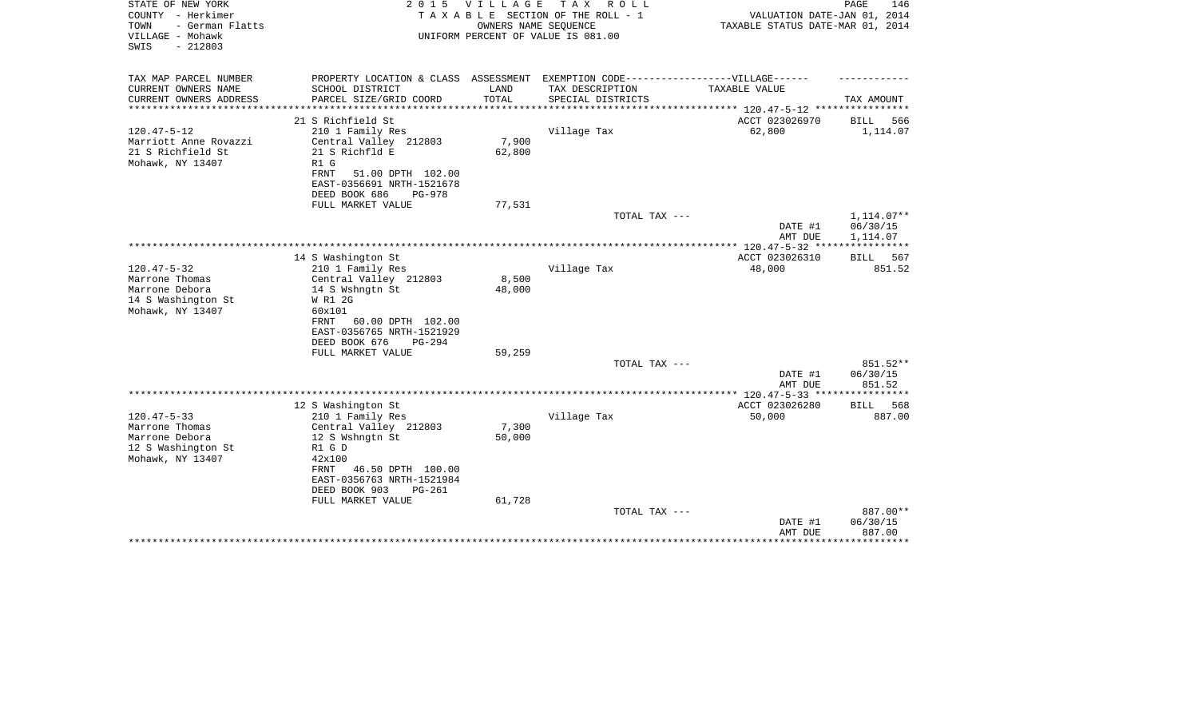| STATE OF NEW YORK<br>COUNTY - Herkimer<br>- German Flatts<br>TOWN<br>VILLAGE - Mohawk<br>$-212803$<br>SWIS                  | 2 0 1 5                                                                                                                                                                   | <b>VILLAGE</b><br>OWNERS NAME SEQUENCE | T A X<br>R O L L<br>TAXABLE SECTION OF THE ROLL - 1<br>UNIFORM PERCENT OF VALUE IS 081.00            | VALUATION DATE-JAN 01, 2014<br>TAXABLE STATUS DATE-MAR 01, 2014 | PAGE<br>146                                  |
|-----------------------------------------------------------------------------------------------------------------------------|---------------------------------------------------------------------------------------------------------------------------------------------------------------------------|----------------------------------------|------------------------------------------------------------------------------------------------------|-----------------------------------------------------------------|----------------------------------------------|
| TAX MAP PARCEL NUMBER<br>CURRENT OWNERS NAME                                                                                | SCHOOL DISTRICT                                                                                                                                                           | LAND                                   | PROPERTY LOCATION & CLASS ASSESSMENT EXEMPTION CODE-----------------VILLAGE------<br>TAX DESCRIPTION | TAXABLE VALUE                                                   |                                              |
| CURRENT OWNERS ADDRESS<br>********************                                                                              | PARCEL SIZE/GRID COORD<br>**********************                                                                                                                          | TOTAL<br>*************                 | SPECIAL DISTRICTS<br>********************************* 120.47-5-12 ****************                  |                                                                 | TAX AMOUNT                                   |
|                                                                                                                             | 21 S Richfield St                                                                                                                                                         |                                        |                                                                                                      | ACCT 023026970                                                  | 566<br>BILL                                  |
| $120.47 - 5 - 12$                                                                                                           | 210 1 Family Res                                                                                                                                                          |                                        | Village Tax                                                                                          | 62,800                                                          | 1,114.07                                     |
| Marriott Anne Rovazzi<br>21 S Richfield St<br>Mohawk, NY 13407<br>R1 G<br>FRNT                                              | Central Valley 212803<br>21 S Richfld E<br>51.00 DPTH 102.00<br>EAST-0356691 NRTH-1521678                                                                                 | 7,900<br>62,800                        |                                                                                                      |                                                                 |                                              |
|                                                                                                                             | DEED BOOK 686<br>$PG-978$                                                                                                                                                 |                                        |                                                                                                      |                                                                 |                                              |
|                                                                                                                             | FULL MARKET VALUE                                                                                                                                                         | 77,531                                 |                                                                                                      |                                                                 |                                              |
|                                                                                                                             |                                                                                                                                                                           |                                        | TOTAL TAX ---                                                                                        | DATE #1<br>AMT DUE                                              | $1,114.07**$<br>06/30/15<br>1,114.07         |
|                                                                                                                             |                                                                                                                                                                           |                                        |                                                                                                      |                                                                 |                                              |
|                                                                                                                             | 14 S Washington St                                                                                                                                                        |                                        |                                                                                                      | ACCT 023026310                                                  | BILL<br>567                                  |
| $120.47 - 5 - 32$<br>Marrone Thomas<br>Marrone Debora<br>14 S Washington St<br>Mohawk, NY 13407<br>60x101<br>FRNT           | 210 1 Family Res<br>Central Valley 212803<br>14 S Wshngtn St<br>W R1 2G<br>60.00 DPTH 102.00<br>EAST-0356765 NRTH-1521929<br>DEED BOOK 676<br>PG-294<br>FULL MARKET VALUE | 8,500<br>48,000<br>59,259              | Village Tax                                                                                          | 48,000                                                          | 851.52                                       |
|                                                                                                                             |                                                                                                                                                                           |                                        | TOTAL TAX ---                                                                                        |                                                                 | 851.52**                                     |
|                                                                                                                             |                                                                                                                                                                           |                                        |                                                                                                      | DATE #1<br>AMT DUE                                              | 06/30/15<br>851.52                           |
|                                                                                                                             |                                                                                                                                                                           |                                        |                                                                                                      |                                                                 | *********                                    |
|                                                                                                                             | 12 S Washington St                                                                                                                                                        |                                        |                                                                                                      | ACCT 023026280                                                  | 568<br><b>BILL</b>                           |
| $120.47 - 5 - 33$<br>Marrone Thomas<br>Marrone Debora<br>12 S Washington St<br>R1 G D<br>Mohawk, NY 13407<br>42x100<br>FRNT | 210 1 Family Res<br>Central Valley 212803<br>12 S Wshngtn St<br>46.50 DPTH 100.00<br>EAST-0356763 NRTH-1521984<br>DEED BOOK 903<br>PG-261                                 | 7,300<br>50,000                        | Village Tax                                                                                          | 50,000                                                          | 887.00                                       |
|                                                                                                                             | FULL MARKET VALUE                                                                                                                                                         | 61,728                                 | TOTAL TAX ---                                                                                        | DATE #1<br>AMT DUE                                              | 887.00**<br>06/30/15<br>887.00<br>********** |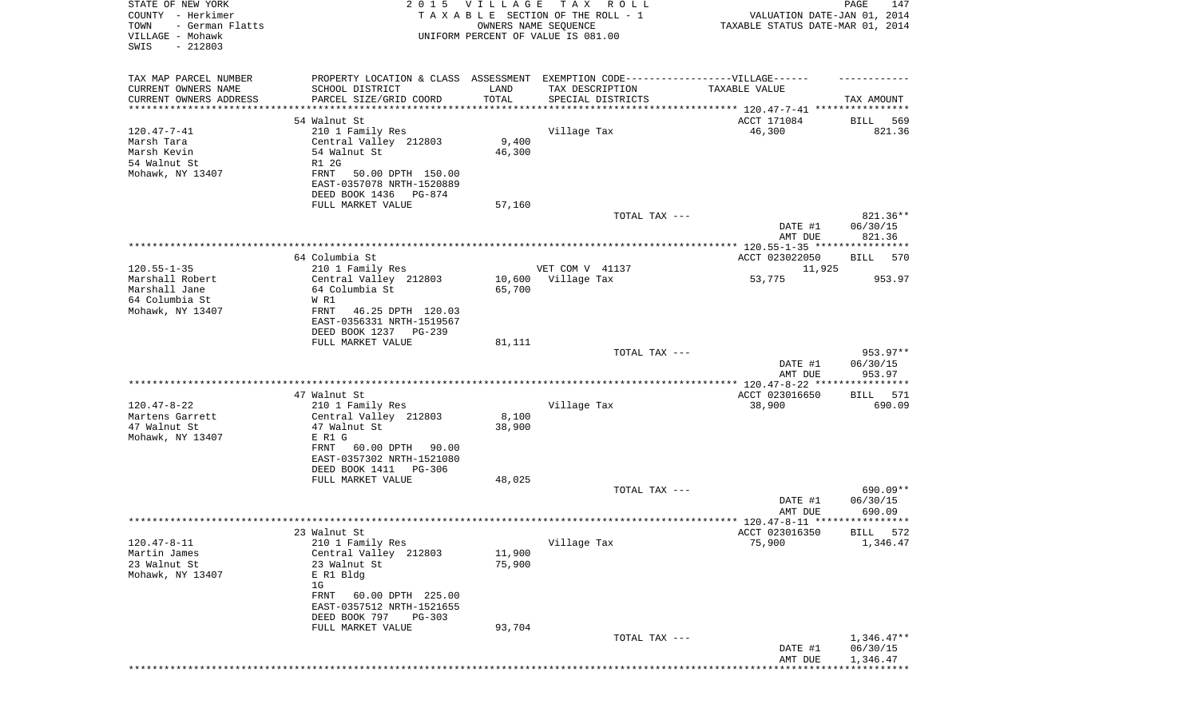| TAX MAP PARCEL NUMBER<br>PROPERTY LOCATION & CLASS ASSESSMENT EXEMPTION CODE----------------VILLAGE------<br>CURRENT OWNERS NAME<br>SCHOOL DISTRICT<br>LAND<br>TAX DESCRIPTION<br>TAXABLE VALUE<br>TOTAL<br>CURRENT OWNERS ADDRESS<br>PARCEL SIZE/GRID COORD<br>SPECIAL DISTRICTS<br>TAX AMOUNT<br>*********************<br>******************<br>54 Walnut St<br>ACCT 171084<br>569<br>BILL<br>46,300<br>$120.47 - 7 - 41$<br>210 1 Family Res<br>Village Tax<br>821.36<br>Marsh Tara<br>Central Valley 212803<br>9,400<br>Marsh Kevin<br>46,300<br>54 Walnut St<br>54 Walnut St<br>R1 2G<br>Mohawk, NY 13407<br>FRNT<br>50.00 DPTH 150.00<br>EAST-0357078 NRTH-1520889<br>DEED BOOK 1436<br>PG-874<br>FULL MARKET VALUE<br>57,160<br>821.36**<br>TOTAL TAX ---<br>06/30/15<br>DATE #1<br>821.36<br>AMT DUE<br>64 Columbia St<br>ACCT 023022050<br>BILL<br>570<br>$120.55 - 1 - 35$<br>210 1 Family Res<br>VET COM V 41137<br>11,925<br>Marshall Robert<br>Central Valley 212803<br>10,600<br>Village Tax<br>53,775<br>953.97<br>Marshall Jane<br>64 Columbia St<br>65,700<br>64 Columbia St<br>W R1<br>Mohawk, NY 13407<br>FRNT<br>46.25 DPTH 120.03<br>EAST-0356331 NRTH-1519567<br>DEED BOOK 1237<br>PG-239<br>FULL MARKET VALUE<br>81,111<br>953.97**<br>TOTAL TAX ---<br>DATE #1<br>06/30/15<br>AMT DUE<br>953.97<br>ACCT 023016650<br>47 Walnut St<br>BILL 571<br>$120.47 - 8 - 22$<br>Village Tax<br>38,900<br>210 1 Family Res<br>690.09<br>8,100<br>Martens Garrett<br>Central Valley 212803<br>47 Walnut St<br>38,900<br>47 Walnut St<br>Mohawk, NY 13407<br>E R1 G<br>60.00 DPTH<br>FRNT<br>90.00<br>EAST-0357302 NRTH-1521080<br>DEED BOOK 1411<br>PG-306<br>48,025<br>FULL MARKET VALUE<br>690.09**<br>TOTAL TAX ---<br>06/30/15<br>DATE #1<br>690.09<br>AMT DUE<br>ACCT 023016350<br>23 Walnut St<br>572<br>BILL<br>$120.47 - 8 - 11$<br>210 1 Family Res<br>Village Tax<br>75,900<br>1,346.47<br>Martin James<br>Central Valley 212803<br>11,900<br>23 Walnut St<br>23 Walnut St<br>75,900<br>Mohawk, NY 13407<br>E R1 Bldg<br>1G<br>60.00 DPTH 225.00<br>FRNT<br>EAST-0357512 NRTH-1521655<br>DEED BOOK 797<br>$PG-303$<br>93,704<br>FULL MARKET VALUE<br>$1,346.47**$<br>TOTAL TAX ---<br>06/30/15<br>DATE #1<br>AMT DUE<br>1,346.47 | STATE OF NEW YORK<br>COUNTY - Herkimer<br>TOWN<br>- German Flatts<br>VILLAGE - Mohawk<br>SWIS<br>$-212803$ | 2 0 1 5 | VILLAGE<br>OWNERS NAME SEQUENCE | T A X<br>R O L L<br>TAXABLE SECTION OF THE ROLL - 1<br>UNIFORM PERCENT OF VALUE IS 081.00 | VALUATION DATE-JAN 01, 2014<br>TAXABLE STATUS DATE-MAR 01, 2014 | PAGE<br>147 |
|--------------------------------------------------------------------------------------------------------------------------------------------------------------------------------------------------------------------------------------------------------------------------------------------------------------------------------------------------------------------------------------------------------------------------------------------------------------------------------------------------------------------------------------------------------------------------------------------------------------------------------------------------------------------------------------------------------------------------------------------------------------------------------------------------------------------------------------------------------------------------------------------------------------------------------------------------------------------------------------------------------------------------------------------------------------------------------------------------------------------------------------------------------------------------------------------------------------------------------------------------------------------------------------------------------------------------------------------------------------------------------------------------------------------------------------------------------------------------------------------------------------------------------------------------------------------------------------------------------------------------------------------------------------------------------------------------------------------------------------------------------------------------------------------------------------------------------------------------------------------------------------------------------------------------------------------------------------------------------------------------------------------------------------------------------------------------------------------------------------------------------------------------------------------------------------------------------------------------------------------------------|------------------------------------------------------------------------------------------------------------|---------|---------------------------------|-------------------------------------------------------------------------------------------|-----------------------------------------------------------------|-------------|
|                                                                                                                                                                                                                                                                                                                                                                                                                                                                                                                                                                                                                                                                                                                                                                                                                                                                                                                                                                                                                                                                                                                                                                                                                                                                                                                                                                                                                                                                                                                                                                                                                                                                                                                                                                                                                                                                                                                                                                                                                                                                                                                                                                                                                                                        |                                                                                                            |         |                                 |                                                                                           |                                                                 |             |
|                                                                                                                                                                                                                                                                                                                                                                                                                                                                                                                                                                                                                                                                                                                                                                                                                                                                                                                                                                                                                                                                                                                                                                                                                                                                                                                                                                                                                                                                                                                                                                                                                                                                                                                                                                                                                                                                                                                                                                                                                                                                                                                                                                                                                                                        |                                                                                                            |         |                                 |                                                                                           |                                                                 |             |
|                                                                                                                                                                                                                                                                                                                                                                                                                                                                                                                                                                                                                                                                                                                                                                                                                                                                                                                                                                                                                                                                                                                                                                                                                                                                                                                                                                                                                                                                                                                                                                                                                                                                                                                                                                                                                                                                                                                                                                                                                                                                                                                                                                                                                                                        |                                                                                                            |         |                                 |                                                                                           |                                                                 |             |
|                                                                                                                                                                                                                                                                                                                                                                                                                                                                                                                                                                                                                                                                                                                                                                                                                                                                                                                                                                                                                                                                                                                                                                                                                                                                                                                                                                                                                                                                                                                                                                                                                                                                                                                                                                                                                                                                                                                                                                                                                                                                                                                                                                                                                                                        |                                                                                                            |         |                                 |                                                                                           |                                                                 |             |
|                                                                                                                                                                                                                                                                                                                                                                                                                                                                                                                                                                                                                                                                                                                                                                                                                                                                                                                                                                                                                                                                                                                                                                                                                                                                                                                                                                                                                                                                                                                                                                                                                                                                                                                                                                                                                                                                                                                                                                                                                                                                                                                                                                                                                                                        |                                                                                                            |         |                                 |                                                                                           |                                                                 |             |
|                                                                                                                                                                                                                                                                                                                                                                                                                                                                                                                                                                                                                                                                                                                                                                                                                                                                                                                                                                                                                                                                                                                                                                                                                                                                                                                                                                                                                                                                                                                                                                                                                                                                                                                                                                                                                                                                                                                                                                                                                                                                                                                                                                                                                                                        |                                                                                                            |         |                                 |                                                                                           |                                                                 |             |
|                                                                                                                                                                                                                                                                                                                                                                                                                                                                                                                                                                                                                                                                                                                                                                                                                                                                                                                                                                                                                                                                                                                                                                                                                                                                                                                                                                                                                                                                                                                                                                                                                                                                                                                                                                                                                                                                                                                                                                                                                                                                                                                                                                                                                                                        |                                                                                                            |         |                                 |                                                                                           |                                                                 |             |
|                                                                                                                                                                                                                                                                                                                                                                                                                                                                                                                                                                                                                                                                                                                                                                                                                                                                                                                                                                                                                                                                                                                                                                                                                                                                                                                                                                                                                                                                                                                                                                                                                                                                                                                                                                                                                                                                                                                                                                                                                                                                                                                                                                                                                                                        |                                                                                                            |         |                                 |                                                                                           |                                                                 |             |
|                                                                                                                                                                                                                                                                                                                                                                                                                                                                                                                                                                                                                                                                                                                                                                                                                                                                                                                                                                                                                                                                                                                                                                                                                                                                                                                                                                                                                                                                                                                                                                                                                                                                                                                                                                                                                                                                                                                                                                                                                                                                                                                                                                                                                                                        |                                                                                                            |         |                                 |                                                                                           |                                                                 |             |
|                                                                                                                                                                                                                                                                                                                                                                                                                                                                                                                                                                                                                                                                                                                                                                                                                                                                                                                                                                                                                                                                                                                                                                                                                                                                                                                                                                                                                                                                                                                                                                                                                                                                                                                                                                                                                                                                                                                                                                                                                                                                                                                                                                                                                                                        |                                                                                                            |         |                                 |                                                                                           |                                                                 |             |
|                                                                                                                                                                                                                                                                                                                                                                                                                                                                                                                                                                                                                                                                                                                                                                                                                                                                                                                                                                                                                                                                                                                                                                                                                                                                                                                                                                                                                                                                                                                                                                                                                                                                                                                                                                                                                                                                                                                                                                                                                                                                                                                                                                                                                                                        |                                                                                                            |         |                                 |                                                                                           |                                                                 |             |
|                                                                                                                                                                                                                                                                                                                                                                                                                                                                                                                                                                                                                                                                                                                                                                                                                                                                                                                                                                                                                                                                                                                                                                                                                                                                                                                                                                                                                                                                                                                                                                                                                                                                                                                                                                                                                                                                                                                                                                                                                                                                                                                                                                                                                                                        |                                                                                                            |         |                                 |                                                                                           |                                                                 |             |
|                                                                                                                                                                                                                                                                                                                                                                                                                                                                                                                                                                                                                                                                                                                                                                                                                                                                                                                                                                                                                                                                                                                                                                                                                                                                                                                                                                                                                                                                                                                                                                                                                                                                                                                                                                                                                                                                                                                                                                                                                                                                                                                                                                                                                                                        |                                                                                                            |         |                                 |                                                                                           |                                                                 |             |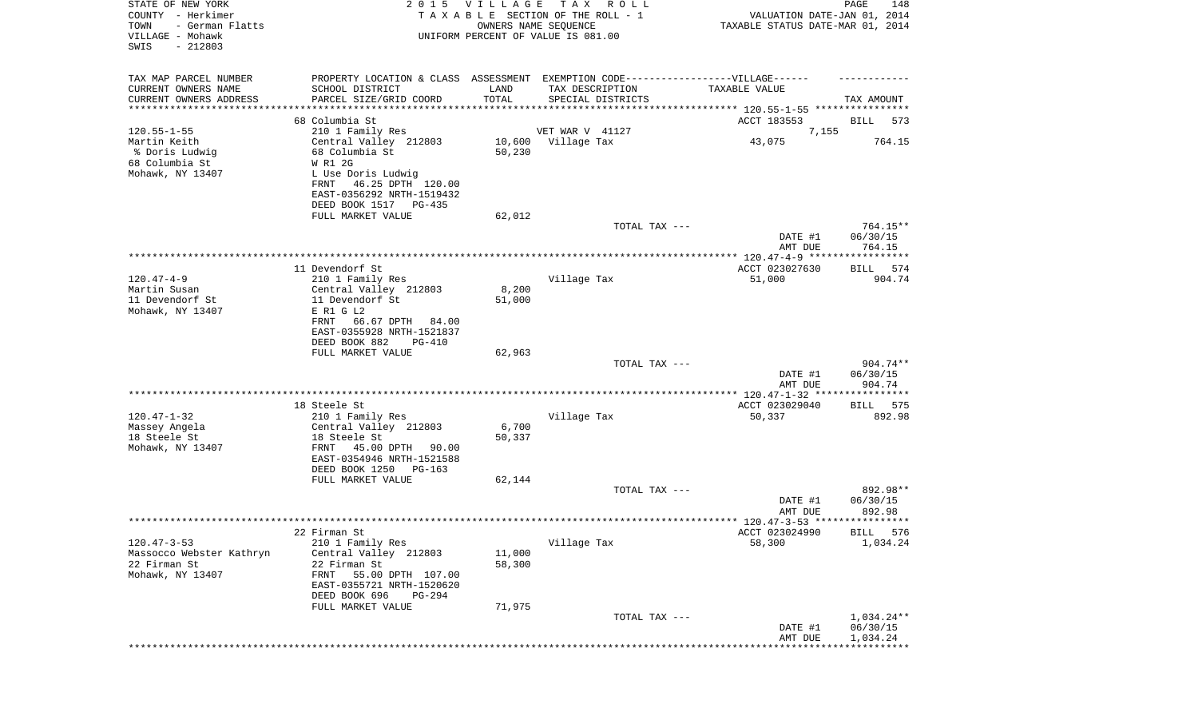| STATE OF NEW YORK<br>COUNTY - Herkimer<br>TOWN<br>- German Flatts<br>VILLAGE - Mohawk<br>SWIS<br>$-212803$ |                                                     | 2015 VILLAGE<br>OWNERS NAME SEQUENCE | T A X<br>R O L L<br>TAXABLE SECTION OF THE ROLL - 1<br>UNIFORM PERCENT OF VALUE IS 081.00 | VALUATION DATE-JAN 01, 2014<br>TAXABLE STATUS DATE-MAR 01, 2014 | PAGE<br>148           |
|------------------------------------------------------------------------------------------------------------|-----------------------------------------------------|--------------------------------------|-------------------------------------------------------------------------------------------|-----------------------------------------------------------------|-----------------------|
| TAX MAP PARCEL NUMBER                                                                                      |                                                     |                                      | PROPERTY LOCATION & CLASS ASSESSMENT EXEMPTION CODE-----------------VILLAGE------         |                                                                 |                       |
| CURRENT OWNERS NAME<br>CURRENT OWNERS ADDRESS                                                              | SCHOOL DISTRICT<br>PARCEL SIZE/GRID COORD           | LAND<br>TOTAL                        | TAX DESCRIPTION<br>SPECIAL DISTRICTS                                                      | TAXABLE VALUE                                                   | TAX AMOUNT            |
| ********************                                                                                       |                                                     |                                      |                                                                                           |                                                                 |                       |
|                                                                                                            | 68 Columbia St                                      |                                      |                                                                                           | ACCT 183553                                                     | BILL<br>573           |
| $120.55 - 1 - 55$<br>Martin Keith                                                                          | 210 1 Family Res<br>Central Valley 212803           |                                      | VET WAR V 41127<br>10,600 Village Tax                                                     | 7,155<br>43,075                                                 | 764.15                |
| % Doris Ludwig                                                                                             | 68 Columbia St                                      | 50,230                               |                                                                                           |                                                                 |                       |
| 68 Columbia St                                                                                             | W R1 2G                                             |                                      |                                                                                           |                                                                 |                       |
| Mohawk, NY 13407                                                                                           | L Use Doris Ludwig                                  |                                      |                                                                                           |                                                                 |                       |
|                                                                                                            | 46.25 DPTH 120.00<br>FRNT                           |                                      |                                                                                           |                                                                 |                       |
|                                                                                                            | EAST-0356292 NRTH-1519432                           |                                      |                                                                                           |                                                                 |                       |
|                                                                                                            | DEED BOOK 1517 PG-435                               | 62,012                               |                                                                                           |                                                                 |                       |
|                                                                                                            | FULL MARKET VALUE                                   |                                      | TOTAL TAX ---                                                                             |                                                                 | 764.15**              |
|                                                                                                            |                                                     |                                      |                                                                                           | DATE #1<br>AMT DUE                                              | 06/30/15<br>764.15    |
|                                                                                                            |                                                     |                                      |                                                                                           |                                                                 |                       |
| $120.47 - 4 - 9$                                                                                           | 11 Devendorf St<br>210 1 Family Res                 |                                      | Village Tax                                                                               | ACCT 023027630<br>51,000                                        | 574<br>BILL<br>904.74 |
| Martin Susan                                                                                               | Central Valley 212803                               | 8,200                                |                                                                                           |                                                                 |                       |
| 11 Devendorf St                                                                                            | 11 Devendorf St                                     | 51,000                               |                                                                                           |                                                                 |                       |
| Mohawk, NY 13407                                                                                           | E R1 G L2                                           |                                      |                                                                                           |                                                                 |                       |
|                                                                                                            | 66.67 DPTH<br>FRNT<br>84.00                         |                                      |                                                                                           |                                                                 |                       |
|                                                                                                            | EAST-0355928 NRTH-1521837                           |                                      |                                                                                           |                                                                 |                       |
|                                                                                                            | DEED BOOK 882<br><b>PG-410</b><br>FULL MARKET VALUE | 62,963                               |                                                                                           |                                                                 |                       |
|                                                                                                            |                                                     |                                      | TOTAL TAX ---                                                                             |                                                                 | 904.74**              |
|                                                                                                            |                                                     |                                      |                                                                                           | DATE #1                                                         | 06/30/15              |
|                                                                                                            |                                                     |                                      |                                                                                           | AMT DUE                                                         | 904.74                |
|                                                                                                            |                                                     |                                      |                                                                                           |                                                                 |                       |
| $120.47 - 1 - 32$                                                                                          | 18 Steele St<br>210 1 Family Res                    |                                      | Village Tax                                                                               | ACCT 023029040<br>50,337                                        | 575<br>BILL<br>892.98 |
| Massey Angela                                                                                              | Central Valley 212803                               | 6,700                                |                                                                                           |                                                                 |                       |
| 18 Steele St                                                                                               | 18 Steele St                                        | 50,337                               |                                                                                           |                                                                 |                       |
| Mohawk, NY 13407                                                                                           | FRNT<br>45.00 DPTH 90.00                            |                                      |                                                                                           |                                                                 |                       |
|                                                                                                            | EAST-0354946 NRTH-1521588                           |                                      |                                                                                           |                                                                 |                       |
|                                                                                                            | DEED BOOK 1250<br>PG-163                            |                                      |                                                                                           |                                                                 |                       |
|                                                                                                            | FULL MARKET VALUE                                   | 62,144                               |                                                                                           |                                                                 | 892.98**              |
|                                                                                                            |                                                     |                                      | TOTAL TAX ---                                                                             | DATE #1                                                         | 06/30/15              |
|                                                                                                            |                                                     |                                      |                                                                                           | AMT DUE                                                         | 892.98                |
|                                                                                                            |                                                     |                                      |                                                                                           |                                                                 |                       |
|                                                                                                            | 22 Firman St                                        |                                      |                                                                                           | ACCT 023024990                                                  | BILL 576              |
| $120.47 - 3 - 53$                                                                                          | 210 1 Family Res                                    |                                      | Village Tax                                                                               | 58,300                                                          | 1,034.24              |
| Massocco Webster Kathryn<br>22 Firman St                                                                   | Central Valley 212803<br>22 Firman St               | 11,000<br>58,300                     |                                                                                           |                                                                 |                       |
| Mohawk, NY 13407                                                                                           | 55.00 DPTH 107.00<br>FRNT                           |                                      |                                                                                           |                                                                 |                       |
|                                                                                                            | EAST-0355721 NRTH-1520620                           |                                      |                                                                                           |                                                                 |                       |
|                                                                                                            | DEED BOOK 696<br><b>PG-294</b>                      |                                      |                                                                                           |                                                                 |                       |
|                                                                                                            | FULL MARKET VALUE                                   | 71,975                               |                                                                                           |                                                                 |                       |
|                                                                                                            |                                                     |                                      | TOTAL TAX ---                                                                             |                                                                 | $1,034.24**$          |
|                                                                                                            |                                                     |                                      |                                                                                           | DATE #1                                                         | 06/30/15              |
|                                                                                                            |                                                     |                                      |                                                                                           | AMT DUE                                                         | 1,034.24              |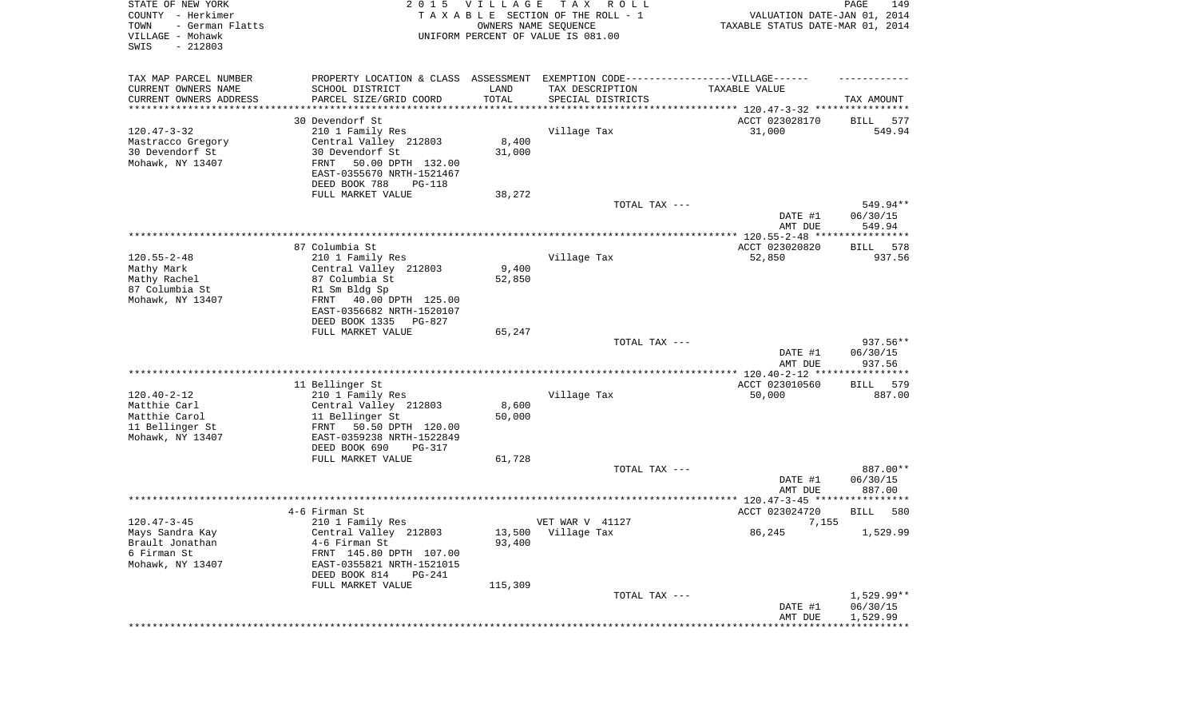| STATE OF NEW YORK<br>COUNTY - Herkimer<br>TOWN<br>- German Flatts<br>VILLAGE - Mohawk<br>SWIS<br>$-212803$ |                                                                                   | 2015 VILLAGE<br>OWNERS NAME SEQUENCE | T A X<br>R O L L<br>TAXABLE SECTION OF THE ROLL - 1<br>UNIFORM PERCENT OF VALUE IS 081.00 | VALUATION DATE-JAN 01, 2014<br>TAXABLE STATUS DATE-MAR 01, 2014 | PAGE<br>149        |
|------------------------------------------------------------------------------------------------------------|-----------------------------------------------------------------------------------|--------------------------------------|-------------------------------------------------------------------------------------------|-----------------------------------------------------------------|--------------------|
| TAX MAP PARCEL NUMBER                                                                                      | PROPERTY LOCATION & CLASS ASSESSMENT EXEMPTION CODE-----------------VILLAGE------ |                                      |                                                                                           |                                                                 |                    |
| CURRENT OWNERS NAME                                                                                        | SCHOOL DISTRICT                                                                   | LAND                                 | TAX DESCRIPTION                                                                           | TAXABLE VALUE                                                   |                    |
| CURRENT OWNERS ADDRESS<br>********************                                                             | PARCEL SIZE/GRID COORD                                                            | TOTAL<br>* * * * * * * * * * *       | SPECIAL DISTRICTS                                                                         | ********************************* 120.47-3-32 ****************  | TAX AMOUNT         |
|                                                                                                            | 30 Devendorf St                                                                   |                                      |                                                                                           | ACCT 023028170                                                  | 577<br>BILL        |
| $120.47 - 3 - 32$                                                                                          | 210 1 Family Res                                                                  |                                      | Village Tax                                                                               | 31,000                                                          | 549.94             |
| Mastracco Gregory                                                                                          | Central Valley 212803                                                             | 8,400                                |                                                                                           |                                                                 |                    |
| 30 Devendorf St                                                                                            | 30 Devendorf St                                                                   | 31,000                               |                                                                                           |                                                                 |                    |
| Mohawk, NY 13407                                                                                           | FRNT<br>50.00 DPTH 132.00                                                         |                                      |                                                                                           |                                                                 |                    |
|                                                                                                            | EAST-0355670 NRTH-1521467                                                         |                                      |                                                                                           |                                                                 |                    |
|                                                                                                            | DEED BOOK 788<br>PG-118                                                           |                                      |                                                                                           |                                                                 |                    |
|                                                                                                            | FULL MARKET VALUE                                                                 | 38,272                               | TOTAL TAX ---                                                                             |                                                                 | 549.94**           |
|                                                                                                            |                                                                                   |                                      |                                                                                           | DATE #1<br>AMT DUE                                              | 06/30/15<br>549.94 |
|                                                                                                            |                                                                                   |                                      |                                                                                           |                                                                 |                    |
|                                                                                                            | 87 Columbia St                                                                    |                                      |                                                                                           | ACCT 023020820                                                  | 578<br>BILL        |
| $120.55 - 2 - 48$                                                                                          | 210 1 Family Res                                                                  |                                      | Village Tax                                                                               | 52,850                                                          | 937.56             |
| Mathy Mark                                                                                                 | Central Valley 212803<br>87 Columbia St                                           | 9,400<br>52,850                      |                                                                                           |                                                                 |                    |
| Mathy Rachel<br>87 Columbia St                                                                             | R1 Sm Bldg Sp                                                                     |                                      |                                                                                           |                                                                 |                    |
| Mohawk, NY 13407                                                                                           | 40.00 DPTH 125.00<br>FRNT                                                         |                                      |                                                                                           |                                                                 |                    |
|                                                                                                            | EAST-0356682 NRTH-1520107                                                         |                                      |                                                                                           |                                                                 |                    |
|                                                                                                            | DEED BOOK 1335<br>PG-827                                                          |                                      |                                                                                           |                                                                 |                    |
|                                                                                                            | FULL MARKET VALUE                                                                 | 65,247                               |                                                                                           |                                                                 | 937.56**           |
|                                                                                                            |                                                                                   |                                      | TOTAL TAX ---                                                                             | DATE #1<br>AMT DUE                                              | 06/30/15<br>937.56 |
|                                                                                                            |                                                                                   |                                      |                                                                                           | ************** 120.40-2-12 *****************                    |                    |
|                                                                                                            | 11 Bellinger St                                                                   |                                      |                                                                                           | ACCT 023010560                                                  | 579<br>BILL        |
| $120.40 - 2 - 12$                                                                                          | 210 1 Family Res                                                                  |                                      | Village Tax                                                                               | 50,000                                                          | 887.00             |
| Matthie Carl                                                                                               | Central Valley 212803                                                             | 8,600                                |                                                                                           |                                                                 |                    |
| Matthie Carol                                                                                              | 11 Bellinger St                                                                   | 50,000                               |                                                                                           |                                                                 |                    |
| 11 Bellinger St                                                                                            | FRNT 50.50 DPTH 120.00                                                            |                                      |                                                                                           |                                                                 |                    |
| Mohawk, NY 13407                                                                                           | EAST-0359238 NRTH-1522849<br>DEED BOOK 690<br>PG-317                              |                                      |                                                                                           |                                                                 |                    |
|                                                                                                            | FULL MARKET VALUE                                                                 | 61,728                               |                                                                                           |                                                                 |                    |
|                                                                                                            |                                                                                   |                                      | TOTAL TAX ---                                                                             |                                                                 | 887.00**           |
|                                                                                                            |                                                                                   |                                      |                                                                                           | DATE #1                                                         | 06/30/15           |
|                                                                                                            |                                                                                   |                                      |                                                                                           | AMT DUE                                                         | 887.00             |
|                                                                                                            | 4-6 Firman St                                                                     |                                      |                                                                                           | ACCT 023024720                                                  | 580<br>BILL        |
| $120.47 - 3 - 45$                                                                                          | 210 1 Family Res                                                                  |                                      | VET WAR V 41127                                                                           | 7,155                                                           |                    |
| Mays Sandra Kay                                                                                            | Central Valley 212803                                                             |                                      | 13,500 Village Tax                                                                        | 86,245                                                          | 1,529.99           |
| Brault Jonathan                                                                                            | 4-6 Firman St                                                                     | 93,400                               |                                                                                           |                                                                 |                    |
| 6 Firman St                                                                                                | FRNT 145.80 DPTH 107.00                                                           |                                      |                                                                                           |                                                                 |                    |
| Mohawk, NY 13407                                                                                           | EAST-0355821 NRTH-1521015                                                         |                                      |                                                                                           |                                                                 |                    |
|                                                                                                            | DEED BOOK 814<br>PG-241                                                           |                                      |                                                                                           |                                                                 |                    |
|                                                                                                            | FULL MARKET VALUE                                                                 | 115,309                              | TOTAL TAX ---                                                                             |                                                                 | $1,529.99**$       |
|                                                                                                            |                                                                                   |                                      |                                                                                           | DATE #1                                                         | 06/30/15           |
|                                                                                                            |                                                                                   |                                      |                                                                                           | AMT DUE                                                         | 1,529.99           |
|                                                                                                            |                                                                                   |                                      |                                                                                           |                                                                 |                    |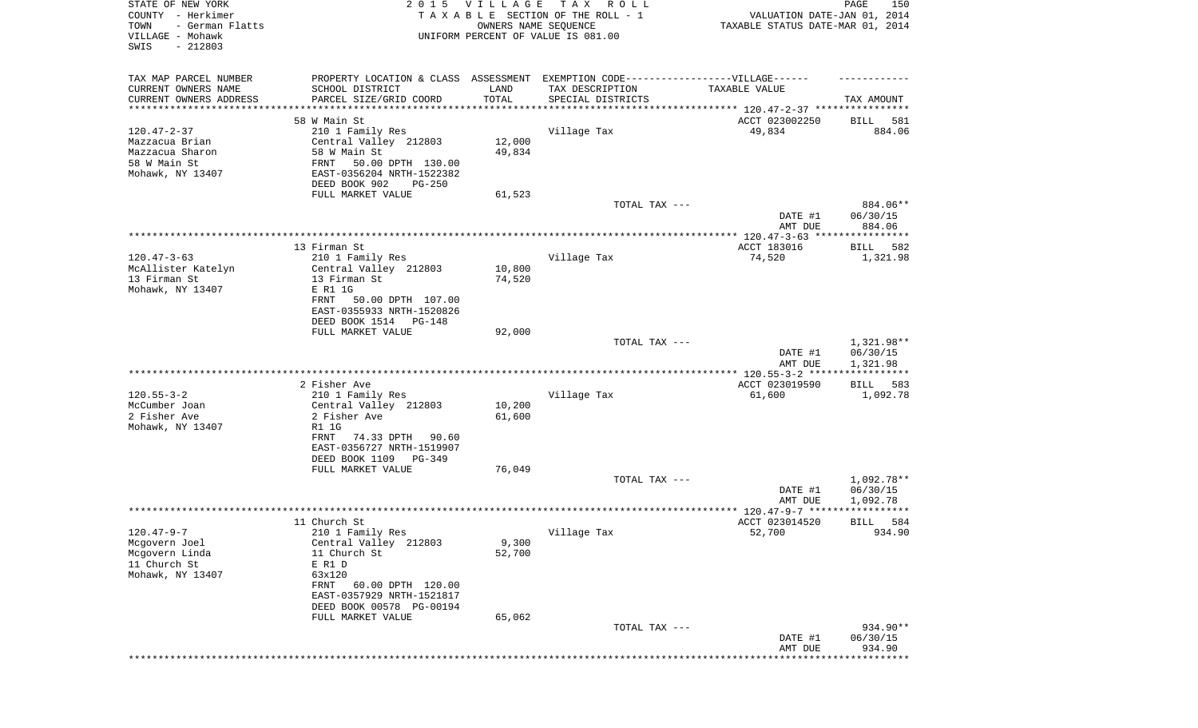| STATE OF NEW YORK<br>COUNTY - Herkimer<br>- German Flatts<br>TOWN<br>VILLAGE - Mohawk<br>SWIS<br>$-212803$ | 2 0 1 5                                                                                             | VILLAGE          | T A X<br>R O L L<br>TAXABLE SECTION OF THE ROLL - 1<br>OWNERS NAME SEQUENCE<br>UNIFORM PERCENT OF VALUE IS 081.00 | VALUATION DATE-JAN 01, 2014<br>TAXABLE STATUS DATE-MAR 01, 2014 | PAGE<br>150                        |
|------------------------------------------------------------------------------------------------------------|-----------------------------------------------------------------------------------------------------|------------------|-------------------------------------------------------------------------------------------------------------------|-----------------------------------------------------------------|------------------------------------|
| TAX MAP PARCEL NUMBER<br>CURRENT OWNERS NAME                                                               | PROPERTY LOCATION & CLASS ASSESSMENT EXEMPTION CODE----------------VILLAGE------<br>SCHOOL DISTRICT | LAND             | TAX DESCRIPTION                                                                                                   | TAXABLE VALUE                                                   |                                    |
| CURRENT OWNERS ADDRESS<br>********************                                                             | PARCEL SIZE/GRID COORD                                                                              | TOTAL            | SPECIAL DISTRICTS                                                                                                 |                                                                 | TAX AMOUNT                         |
|                                                                                                            | 58 W Main St                                                                                        |                  |                                                                                                                   | ACCT 023002250                                                  | 581<br>BILL                        |
| $120.47 - 2 - 37$                                                                                          | 210 1 Family Res                                                                                    |                  | Village Tax                                                                                                       | 49,834                                                          | 884.06                             |
| Mazzacua Brian<br>Mazzacua Sharon                                                                          | Central Valley 212803<br>58 W Main St                                                               | 12,000<br>49,834 |                                                                                                                   |                                                                 |                                    |
| 58 W Main St                                                                                               | FRNT<br>50.00 DPTH 130.00                                                                           |                  |                                                                                                                   |                                                                 |                                    |
| Mohawk, NY 13407                                                                                           | EAST-0356204 NRTH-1522382                                                                           |                  |                                                                                                                   |                                                                 |                                    |
|                                                                                                            | DEED BOOK 902<br>$PG-250$                                                                           |                  |                                                                                                                   |                                                                 |                                    |
|                                                                                                            | FULL MARKET VALUE                                                                                   | 61,523           | TOTAL TAX ---                                                                                                     |                                                                 | 884.06**                           |
|                                                                                                            |                                                                                                     |                  |                                                                                                                   | DATE #1<br>AMT DUE                                              | 06/30/15<br>884.06                 |
|                                                                                                            |                                                                                                     |                  |                                                                                                                   |                                                                 |                                    |
| $120.47 - 3 - 63$                                                                                          | 13 Firman St<br>210 1 Family Res                                                                    |                  | Village Tax                                                                                                       | ACCT 183016<br>74,520                                           | BILL<br>582<br>1,321.98            |
| McAllister Katelyn                                                                                         | Central Valley 212803                                                                               | 10,800           |                                                                                                                   |                                                                 |                                    |
| 13 Firman St                                                                                               | 13 Firman St                                                                                        | 74,520           |                                                                                                                   |                                                                 |                                    |
| Mohawk, NY 13407                                                                                           | E R1 1G                                                                                             |                  |                                                                                                                   |                                                                 |                                    |
|                                                                                                            | 50.00 DPTH 107.00<br>FRNT<br>EAST-0355933 NRTH-1520826                                              |                  |                                                                                                                   |                                                                 |                                    |
|                                                                                                            | DEED BOOK 1514<br>PG-148                                                                            |                  |                                                                                                                   |                                                                 |                                    |
|                                                                                                            | FULL MARKET VALUE                                                                                   | 92,000           |                                                                                                                   |                                                                 |                                    |
|                                                                                                            |                                                                                                     |                  | TOTAL TAX ---                                                                                                     | DATE #1<br>AMT DUE                                              | 1,321.98**<br>06/30/15<br>1,321.98 |
|                                                                                                            |                                                                                                     |                  |                                                                                                                   | ************ 120.55-3-2 *****                                   | ***********                        |
| $120.55 - 3 - 2$                                                                                           | 2 Fisher Ave                                                                                        |                  |                                                                                                                   | ACCT 023019590                                                  | BILL<br>583                        |
| McCumber Joan                                                                                              | 210 1 Family Res<br>Central Valley 212803                                                           | 10,200           | Village Tax                                                                                                       | 61,600                                                          | 1,092.78                           |
| 2 Fisher Ave                                                                                               | 2 Fisher Ave                                                                                        | 61,600           |                                                                                                                   |                                                                 |                                    |
| Mohawk, NY 13407                                                                                           | R1 1G                                                                                               |                  |                                                                                                                   |                                                                 |                                    |
|                                                                                                            | FRNT<br>74.33 DPTH<br>90.60<br>EAST-0356727 NRTH-1519907                                            |                  |                                                                                                                   |                                                                 |                                    |
|                                                                                                            | DEED BOOK 1109<br>PG-349                                                                            |                  |                                                                                                                   |                                                                 |                                    |
|                                                                                                            | FULL MARKET VALUE                                                                                   | 76,049           |                                                                                                                   |                                                                 |                                    |
|                                                                                                            |                                                                                                     |                  | TOTAL TAX ---                                                                                                     |                                                                 | 1,092.78**                         |
|                                                                                                            |                                                                                                     |                  |                                                                                                                   | DATE #1<br>AMT DUE                                              | 06/30/15<br>1,092.78               |
|                                                                                                            |                                                                                                     |                  |                                                                                                                   |                                                                 | * * * *                            |
|                                                                                                            | 11 Church St                                                                                        |                  |                                                                                                                   | ACCT 023014520                                                  | 584<br>BILL                        |
| 120.47-9-7<br>Mcgovern Joel                                                                                | 210 1 Family Res<br>Central Valley 212803                                                           | 9,300            | Village Tax                                                                                                       | 52,700                                                          | 934.90                             |
| Mcgovern Linda                                                                                             | 11 Church St                                                                                        | 52,700           |                                                                                                                   |                                                                 |                                    |
| 11 Church St                                                                                               | E R1 D                                                                                              |                  |                                                                                                                   |                                                                 |                                    |
| Mohawk, NY 13407                                                                                           | 63x120                                                                                              |                  |                                                                                                                   |                                                                 |                                    |
|                                                                                                            | FRNT<br>60.00 DPTH 120.00<br>EAST-0357929 NRTH-1521817                                              |                  |                                                                                                                   |                                                                 |                                    |
|                                                                                                            | DEED BOOK 00578 PG-00194                                                                            |                  |                                                                                                                   |                                                                 |                                    |
|                                                                                                            | FULL MARKET VALUE                                                                                   | 65,062           |                                                                                                                   |                                                                 |                                    |
|                                                                                                            |                                                                                                     |                  | TOTAL TAX ---                                                                                                     |                                                                 | 934.90**                           |
|                                                                                                            |                                                                                                     |                  |                                                                                                                   | DATE #1<br>AMT DUE                                              | 06/30/15<br>934.90                 |
|                                                                                                            |                                                                                                     |                  |                                                                                                                   | ********************************                                |                                    |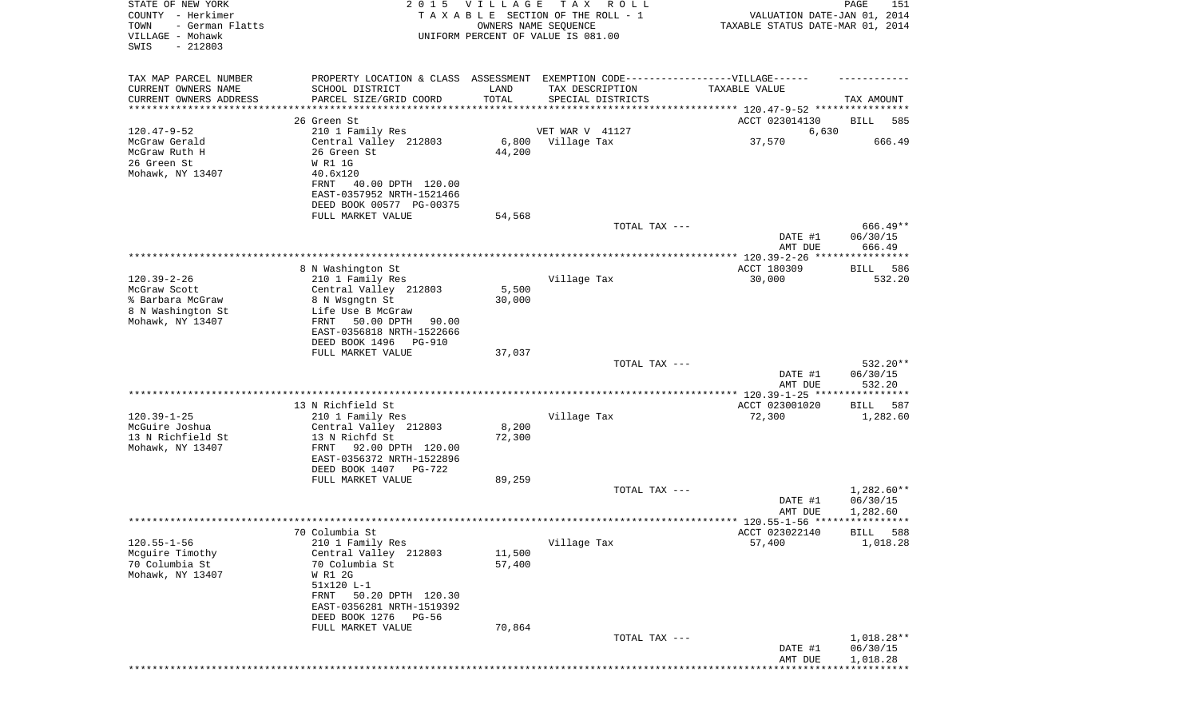| STATE OF NEW YORK<br>COUNTY - Herkimer<br>TOWN<br>- German Flatts<br>VILLAGE - Mohawk<br>SWIS<br>$-212803$ | 2 0 1 5                                                                                                                    | VILLAGE          | T A X<br>R O L L<br>TAXABLE SECTION OF THE ROLL - 1<br>OWNERS NAME SEQUENCE<br>UNIFORM PERCENT OF VALUE IS 081.00         | VALUATION DATE-JAN 01, 2014<br>TAXABLE STATUS DATE-MAR 01, 2014 | PAGE<br>151                          |
|------------------------------------------------------------------------------------------------------------|----------------------------------------------------------------------------------------------------------------------------|------------------|---------------------------------------------------------------------------------------------------------------------------|-----------------------------------------------------------------|--------------------------------------|
| TAX MAP PARCEL NUMBER<br>CURRENT OWNERS NAME<br>CURRENT OWNERS ADDRESS                                     | SCHOOL DISTRICT<br>PARCEL SIZE/GRID COORD                                                                                  | LAND<br>TOTAL    | PROPERTY LOCATION & CLASS ASSESSMENT EXEMPTION CODE-----------------VILLAGE------<br>TAX DESCRIPTION<br>SPECIAL DISTRICTS | TAXABLE VALUE                                                   | TAX AMOUNT                           |
| *********************                                                                                      | *******************<br>26 Green St                                                                                         |                  |                                                                                                                           | ACCT 023014130                                                  | BILL<br>585                          |
| $120.47 - 9 - 52$                                                                                          | 210 1 Family Res                                                                                                           |                  | VET WAR V 41127                                                                                                           | 6,630                                                           |                                      |
| McGraw Gerald<br>McGraw Ruth H<br>26 Green St<br>Mohawk, NY 13407                                          | Central Valley 212803<br>26 Green St<br>W R1 1G<br>40.6x120<br>FRNT<br>40.00 DPTH 120.00                                   | 6,800<br>44,200  | Village Tax                                                                                                               | 37,570                                                          | 666.49                               |
|                                                                                                            | EAST-0357952 NRTH-1521466<br>DEED BOOK 00577 PG-00375                                                                      |                  |                                                                                                                           |                                                                 |                                      |
|                                                                                                            | FULL MARKET VALUE                                                                                                          | 54,568           |                                                                                                                           |                                                                 |                                      |
|                                                                                                            |                                                                                                                            |                  | TOTAL TAX ---                                                                                                             |                                                                 | $666.49**$                           |
|                                                                                                            |                                                                                                                            |                  |                                                                                                                           | DATE #1<br>AMT DUE                                              | 06/30/15<br>666.49                   |
|                                                                                                            | 8 N Washington St                                                                                                          |                  |                                                                                                                           | ACCT 180309                                                     | 586<br>BILL                          |
| $120.39 - 2 - 26$                                                                                          | 210 1 Family Res                                                                                                           |                  | Village Tax                                                                                                               | 30,000                                                          | 532.20                               |
| McGraw Scott                                                                                               | Central Valley 212803                                                                                                      | 5,500            |                                                                                                                           |                                                                 |                                      |
| % Barbara McGraw<br>8 N Washington St                                                                      | 8 N Wsgngtn St<br>Life Use B McGraw                                                                                        | 30,000           |                                                                                                                           |                                                                 |                                      |
| Mohawk, NY 13407                                                                                           | FRNT<br>50.00 DPTH<br>90.00                                                                                                |                  |                                                                                                                           |                                                                 |                                      |
|                                                                                                            | EAST-0356818 NRTH-1522666                                                                                                  |                  |                                                                                                                           |                                                                 |                                      |
|                                                                                                            | DEED BOOK 1496<br>PG-910                                                                                                   |                  |                                                                                                                           |                                                                 |                                      |
|                                                                                                            | FULL MARKET VALUE                                                                                                          | 37,037           | TOTAL TAX ---                                                                                                             |                                                                 | 532.20**                             |
|                                                                                                            |                                                                                                                            |                  |                                                                                                                           | DATE #1<br>AMT DUE                                              | 06/30/15<br>532.20                   |
|                                                                                                            |                                                                                                                            |                  |                                                                                                                           | *************** 120.39-1-25 *****************                   |                                      |
| $120.39 - 1 - 25$                                                                                          | 13 N Richfield St<br>210 1 Family Res                                                                                      |                  | Village Tax                                                                                                               | ACCT 023001020<br>72,300                                        | 587<br>BILL<br>1,282.60              |
| McGuire Joshua                                                                                             | Central Valley 212803                                                                                                      | 8,200            |                                                                                                                           |                                                                 |                                      |
| 13 N Richfield St<br>Mohawk, NY 13407                                                                      | 13 N Richfd St<br>FRNT<br>92.00 DPTH 120.00<br>EAST-0356372 NRTH-1522896<br>DEED BOOK 1407<br>PG-722                       | 72,300           |                                                                                                                           |                                                                 |                                      |
|                                                                                                            | FULL MARKET VALUE                                                                                                          | 89,259           |                                                                                                                           |                                                                 |                                      |
|                                                                                                            |                                                                                                                            |                  | TOTAL TAX ---                                                                                                             | DATE #1                                                         | 1,282.60**<br>06/30/15               |
|                                                                                                            |                                                                                                                            |                  |                                                                                                                           | AMT DUE<br>ACCT 023022140                                       | 1,282.60<br>588<br><b>BILL</b>       |
| $120.55 - 1 - 56$                                                                                          | 70 Columbia St<br>210 1 Family Res                                                                                         |                  | Village Tax                                                                                                               | 57,400                                                          | 1,018.28                             |
| Mcguire Timothy<br>70 Columbia St<br>Mohawk, NY 13407                                                      | Central Valley 212803<br>70 Columbia St<br>W R1 2G<br>51x120 L-1<br>50.20 DPTH 120.30<br>FRNT<br>EAST-0356281 NRTH-1519392 | 11,500<br>57,400 |                                                                                                                           |                                                                 |                                      |
|                                                                                                            | DEED BOOK 1276 PG-56<br>FULL MARKET VALUE                                                                                  | 70,864           |                                                                                                                           |                                                                 |                                      |
|                                                                                                            |                                                                                                                            |                  | TOTAL TAX ---                                                                                                             | DATE #1<br>AMT DUE                                              | $1,018.28**$<br>06/30/15<br>1,018.28 |
|                                                                                                            |                                                                                                                            |                  |                                                                                                                           |                                                                 |                                      |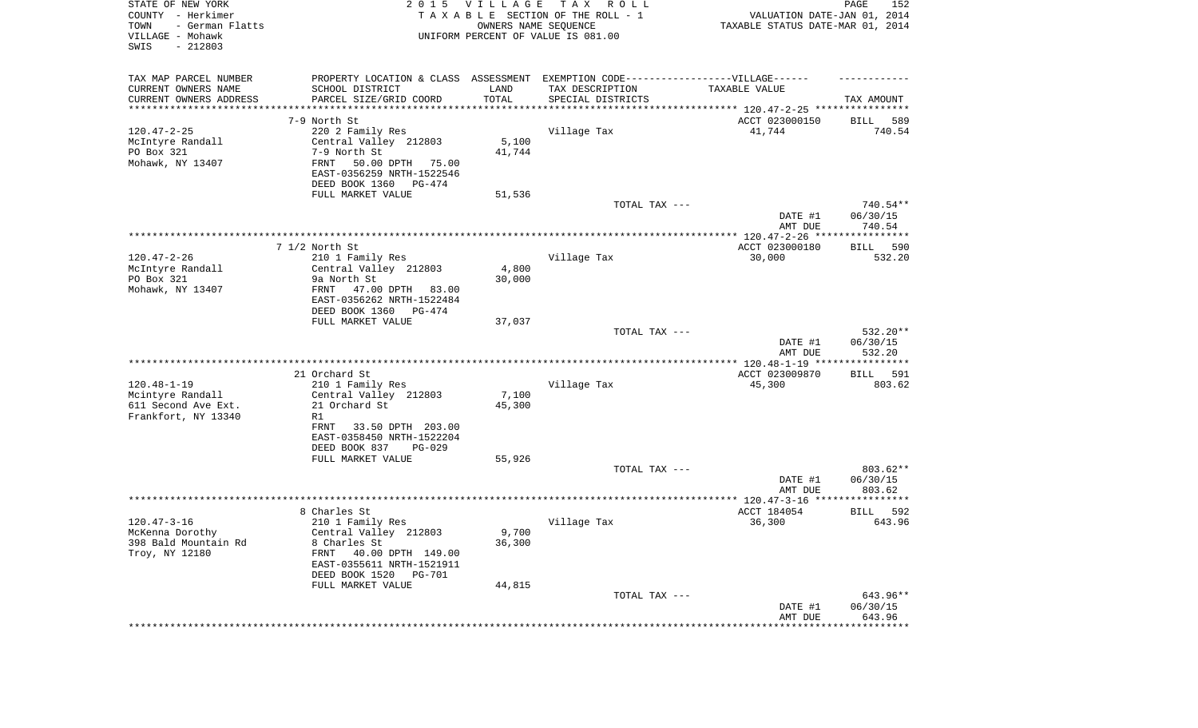| STATE OF NEW YORK<br>COUNTY - Herkimer<br>- German Flatts<br>TOWN<br>VILLAGE - Mohawk<br>SWIS<br>$-212803$ | 2 0 1 5                                                                          | <b>VILLAGE</b>  | T A X<br>R O L L<br>TAXABLE SECTION OF THE ROLL - 1<br>OWNERS NAME SEQUENCE<br>UNIFORM PERCENT OF VALUE IS 081.00 | VALUATION DATE-JAN 01, 2014<br>TAXABLE STATUS DATE-MAR 01, 2014 | PAGE<br>152           |
|------------------------------------------------------------------------------------------------------------|----------------------------------------------------------------------------------|-----------------|-------------------------------------------------------------------------------------------------------------------|-----------------------------------------------------------------|-----------------------|
| TAX MAP PARCEL NUMBER                                                                                      | PROPERTY LOCATION & CLASS ASSESSMENT EXEMPTION CODE----------------VILLAGE------ |                 |                                                                                                                   |                                                                 |                       |
| CURRENT OWNERS NAME                                                                                        | SCHOOL DISTRICT                                                                  | LAND<br>TOTAL   | TAX DESCRIPTION                                                                                                   | TAXABLE VALUE                                                   |                       |
| CURRENT OWNERS ADDRESS<br>*********************                                                            | PARCEL SIZE/GRID COORD                                                           |                 | SPECIAL DISTRICTS                                                                                                 |                                                                 | TAX AMOUNT            |
|                                                                                                            | 7-9 North St                                                                     |                 |                                                                                                                   | ACCT 023000150                                                  | 589<br>BILL           |
| $120.47 - 2 - 25$                                                                                          | 220 2 Family Res                                                                 |                 | Village Tax                                                                                                       | 41,744                                                          | 740.54                |
| McIntyre Randall                                                                                           | Central Valley 212803                                                            | 5,100           |                                                                                                                   |                                                                 |                       |
| PO Box 321<br>Mohawk, NY 13407                                                                             | 7-9 North St<br>FRNT<br>50.00 DPTH<br>75.00                                      | 41,744          |                                                                                                                   |                                                                 |                       |
|                                                                                                            | EAST-0356259 NRTH-1522546                                                        |                 |                                                                                                                   |                                                                 |                       |
|                                                                                                            | DEED BOOK 1360<br>PG-474                                                         |                 |                                                                                                                   |                                                                 |                       |
|                                                                                                            | FULL MARKET VALUE                                                                | 51,536          | TOTAL TAX ---                                                                                                     |                                                                 | 740.54**              |
|                                                                                                            |                                                                                  |                 |                                                                                                                   | DATE #1<br>AMT DUE                                              | 06/30/15<br>740.54    |
|                                                                                                            |                                                                                  |                 |                                                                                                                   |                                                                 |                       |
|                                                                                                            | 7 1/2 North St                                                                   |                 |                                                                                                                   | ACCT 023000180                                                  | 590<br>BILL           |
| $120.47 - 2 - 26$                                                                                          | 210 1 Family Res<br>Central Valley 212803                                        |                 | Village Tax                                                                                                       | 30,000                                                          | 532.20                |
| McIntyre Randall<br>PO Box 321                                                                             | 9a North St                                                                      | 4,800<br>30,000 |                                                                                                                   |                                                                 |                       |
| Mohawk, NY 13407                                                                                           | FRNT<br>47.00 DPTH<br>83.00                                                      |                 |                                                                                                                   |                                                                 |                       |
|                                                                                                            | EAST-0356262 NRTH-1522484                                                        |                 |                                                                                                                   |                                                                 |                       |
|                                                                                                            | DEED BOOK 1360<br>PG-474                                                         |                 |                                                                                                                   |                                                                 |                       |
|                                                                                                            | FULL MARKET VALUE                                                                | 37,037          | TOTAL TAX ---                                                                                                     |                                                                 | 532.20**              |
|                                                                                                            |                                                                                  |                 |                                                                                                                   | DATE #1                                                         | 06/30/15              |
|                                                                                                            |                                                                                  |                 |                                                                                                                   | AMT DUE                                                         | 532.20                |
|                                                                                                            |                                                                                  |                 |                                                                                                                   |                                                                 |                       |
| $120.48 - 1 - 19$                                                                                          | 21 Orchard St<br>210 1 Family Res                                                |                 | Village Tax                                                                                                       | ACCT 023009870<br>45,300                                        | BILL<br>591<br>803.62 |
| Mcintyre Randall                                                                                           | Central Valley 212803                                                            | 7,100           |                                                                                                                   |                                                                 |                       |
| 611 Second Ave Ext.                                                                                        | 21 Orchard St                                                                    | 45,300          |                                                                                                                   |                                                                 |                       |
| Frankfort, NY 13340                                                                                        | R1                                                                               |                 |                                                                                                                   |                                                                 |                       |
|                                                                                                            | 33.50 DPTH 203.00<br>FRNT                                                        |                 |                                                                                                                   |                                                                 |                       |
|                                                                                                            | EAST-0358450 NRTH-1522204<br>DEED BOOK 837<br>$PG-029$                           |                 |                                                                                                                   |                                                                 |                       |
|                                                                                                            | FULL MARKET VALUE                                                                | 55,926          |                                                                                                                   |                                                                 |                       |
|                                                                                                            |                                                                                  |                 | TOTAL TAX ---                                                                                                     |                                                                 | 803.62**              |
|                                                                                                            |                                                                                  |                 |                                                                                                                   | DATE #1                                                         | 06/30/15              |
|                                                                                                            |                                                                                  |                 |                                                                                                                   | AMT DUE                                                         | 803.62                |
|                                                                                                            | 8 Charles St                                                                     |                 |                                                                                                                   | ACCT 184054                                                     | 592<br>BILL           |
| $120.47 - 3 - 16$                                                                                          | 210 1 Family Res                                                                 |                 | Village Tax                                                                                                       | 36,300                                                          | 643.96                |
| McKenna Dorothy                                                                                            | Central Valley 212803                                                            | 9,700           |                                                                                                                   |                                                                 |                       |
| 398 Bald Mountain Rd                                                                                       | 8 Charles St                                                                     | 36,300          |                                                                                                                   |                                                                 |                       |
| Troy, NY 12180                                                                                             | FRNT<br>40.00 DPTH 149.00<br>EAST-0355611 NRTH-1521911                           |                 |                                                                                                                   |                                                                 |                       |
|                                                                                                            | DEED BOOK 1520<br>PG-701                                                         |                 |                                                                                                                   |                                                                 |                       |
|                                                                                                            | FULL MARKET VALUE                                                                | 44,815          |                                                                                                                   |                                                                 |                       |
|                                                                                                            |                                                                                  |                 | TOTAL TAX ---                                                                                                     |                                                                 | 643.96**              |
|                                                                                                            |                                                                                  |                 |                                                                                                                   | DATE #1<br>AMT DUE                                              | 06/30/15<br>643.96    |
|                                                                                                            |                                                                                  |                 |                                                                                                                   |                                                                 | **************        |
|                                                                                                            |                                                                                  |                 |                                                                                                                   |                                                                 |                       |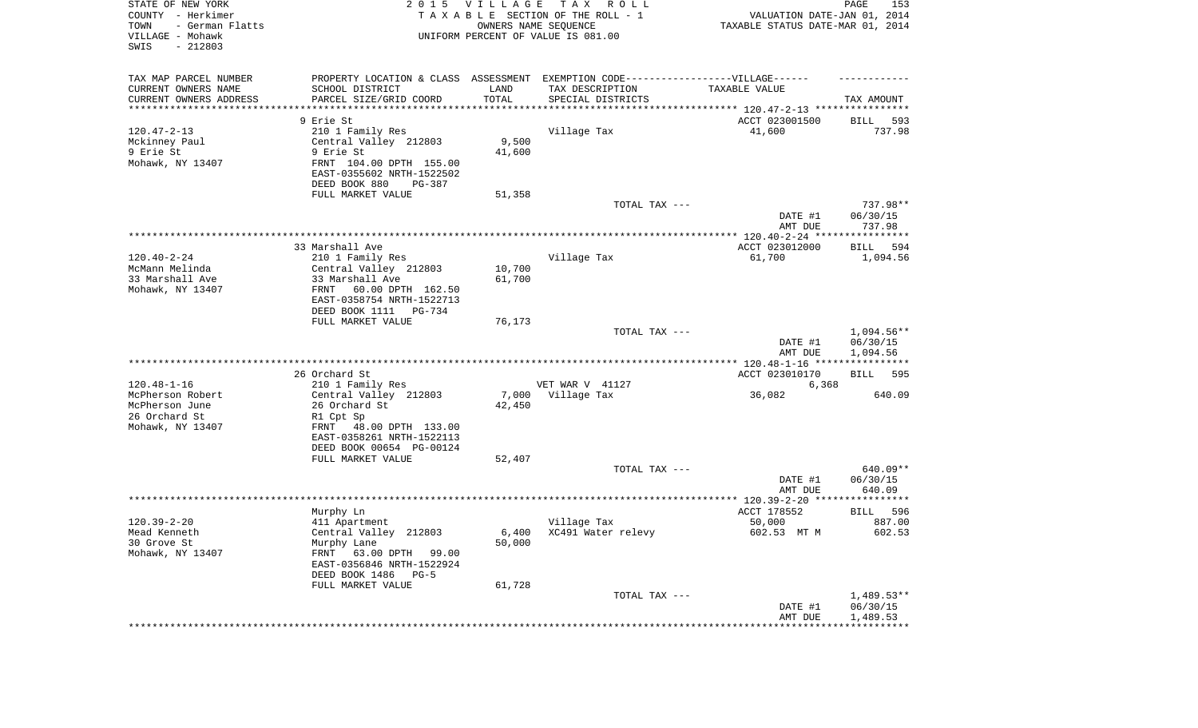| STATE OF NEW YORK<br>COUNTY - Herkimer<br>- German Flatts<br>TOWN<br>VILLAGE - Mohawk<br>SWIS<br>$-212803$ | 2 0 1 5                                                                           | VILLAGE       | T A X<br>R O L L<br>TAXABLE SECTION OF THE ROLL - 1<br>OWNERS NAME SEQUENCE<br>UNIFORM PERCENT OF VALUE IS 081.00 | VALUATION DATE-JAN 01, 2014<br>TAXABLE STATUS DATE-MAR 01, 2014 | PAGE<br>153             |
|------------------------------------------------------------------------------------------------------------|-----------------------------------------------------------------------------------|---------------|-------------------------------------------------------------------------------------------------------------------|-----------------------------------------------------------------|-------------------------|
| TAX MAP PARCEL NUMBER                                                                                      | PROPERTY LOCATION & CLASS ASSESSMENT EXEMPTION CODE-----------------VILLAGE------ |               |                                                                                                                   |                                                                 |                         |
| CURRENT OWNERS NAME<br>CURRENT OWNERS ADDRESS                                                              | SCHOOL DISTRICT<br>PARCEL SIZE/GRID COORD                                         | LAND<br>TOTAL | TAX DESCRIPTION<br>SPECIAL DISTRICTS                                                                              | TAXABLE VALUE                                                   | TAX AMOUNT              |
| *********************                                                                                      |                                                                                   |               |                                                                                                                   |                                                                 |                         |
|                                                                                                            | 9 Erie St                                                                         |               |                                                                                                                   | ACCT 023001500                                                  | 593<br>BILL             |
| $120.47 - 2 - 13$                                                                                          | 210 1 Family Res                                                                  |               | Village Tax                                                                                                       | 41,600                                                          | 737.98                  |
| Mckinney Paul                                                                                              | Central Valley 212803                                                             | 9,500         |                                                                                                                   |                                                                 |                         |
| 9 Erie St<br>Mohawk, NY 13407                                                                              | 9 Erie St<br>FRNT 104.00 DPTH 155.00                                              | 41,600        |                                                                                                                   |                                                                 |                         |
|                                                                                                            | EAST-0355602 NRTH-1522502<br>DEED BOOK 880<br>PG-387                              |               |                                                                                                                   |                                                                 |                         |
|                                                                                                            | FULL MARKET VALUE                                                                 | 51,358        |                                                                                                                   |                                                                 |                         |
|                                                                                                            |                                                                                   |               | TOTAL TAX ---                                                                                                     |                                                                 | 737.98**                |
|                                                                                                            |                                                                                   |               |                                                                                                                   | DATE #1<br>AMT DUE                                              | 06/30/15<br>737.98      |
|                                                                                                            |                                                                                   |               |                                                                                                                   |                                                                 |                         |
| $120.40 - 2 - 24$                                                                                          | 33 Marshall Ave<br>210 1 Family Res                                               |               | Village Tax                                                                                                       | ACCT 023012000<br>61,700                                        | BILL<br>594<br>1,094.56 |
| McMann Melinda                                                                                             | Central Valley 212803                                                             | 10,700        |                                                                                                                   |                                                                 |                         |
| 33 Marshall Ave                                                                                            | 33 Marshall Ave                                                                   | 61,700        |                                                                                                                   |                                                                 |                         |
| Mohawk, NY 13407                                                                                           | FRNT<br>60.00 DPTH 162.50                                                         |               |                                                                                                                   |                                                                 |                         |
|                                                                                                            | EAST-0358754 NRTH-1522713<br>DEED BOOK 1111<br>PG-734                             |               |                                                                                                                   |                                                                 |                         |
|                                                                                                            | FULL MARKET VALUE                                                                 | 76,173        |                                                                                                                   |                                                                 |                         |
|                                                                                                            |                                                                                   |               | TOTAL TAX ---                                                                                                     |                                                                 | $1,094.56**$            |
|                                                                                                            |                                                                                   |               |                                                                                                                   | DATE #1                                                         | 06/30/15                |
|                                                                                                            |                                                                                   |               |                                                                                                                   | AMT DUE                                                         | 1,094.56                |
|                                                                                                            | 26 Orchard St                                                                     |               |                                                                                                                   | ACCT 023010170                                                  | <b>BILL</b><br>595      |
| $120.48 - 1 - 16$                                                                                          | 210 1 Family Res                                                                  |               | VET WAR V 41127                                                                                                   | 6,368                                                           |                         |
| McPherson Robert                                                                                           | Central Valley 212803                                                             | 7,000         | Village Tax                                                                                                       | 36,082                                                          | 640.09                  |
| McPherson June                                                                                             | 26 Orchard St                                                                     | 42,450        |                                                                                                                   |                                                                 |                         |
| 26 Orchard St                                                                                              | R1 Cpt Sp                                                                         |               |                                                                                                                   |                                                                 |                         |
| Mohawk, NY 13407                                                                                           | FRNT 48.00 DPTH 133.00<br>EAST-0358261 NRTH-1522113                               |               |                                                                                                                   |                                                                 |                         |
|                                                                                                            | DEED BOOK 00654 PG-00124                                                          |               |                                                                                                                   |                                                                 |                         |
|                                                                                                            | FULL MARKET VALUE                                                                 | 52,407        |                                                                                                                   |                                                                 |                         |
|                                                                                                            |                                                                                   |               | TOTAL TAX ---                                                                                                     |                                                                 | 640.09**                |
|                                                                                                            |                                                                                   |               |                                                                                                                   | DATE #1                                                         | 06/30/15                |
|                                                                                                            |                                                                                   |               |                                                                                                                   | AMT DUE                                                         | 640.09                  |
|                                                                                                            | Murphy Ln                                                                         |               |                                                                                                                   | ACCT 178552                                                     | 596<br>BILL             |
| $120.39 - 2 - 20$                                                                                          | 411 Apartment                                                                     |               | Village Tax                                                                                                       | 50,000                                                          | 887.00                  |
| Mead Kenneth                                                                                               | Central Valley 212803                                                             |               | 6,400 XC491 Water relevy                                                                                          | 602.53 MT M                                                     | 602.53                  |
| 30 Grove St                                                                                                | Murphy Lane                                                                       | 50,000        |                                                                                                                   |                                                                 |                         |
| Mohawk, NY 13407                                                                                           | FRNT<br>63.00 DPTH 99.00<br>EAST-0356846 NRTH-1522924                             |               |                                                                                                                   |                                                                 |                         |
|                                                                                                            | DEED BOOK 1486<br>$PG-5$                                                          |               |                                                                                                                   |                                                                 |                         |
|                                                                                                            | FULL MARKET VALUE                                                                 | 61,728        |                                                                                                                   |                                                                 |                         |
|                                                                                                            |                                                                                   |               | TOTAL TAX ---                                                                                                     |                                                                 | $1,489.53**$            |
|                                                                                                            |                                                                                   |               |                                                                                                                   | DATE #1<br>AMT DUE                                              | 06/30/15                |
|                                                                                                            |                                                                                   |               |                                                                                                                   | *************************************                           | 1,489.53                |
|                                                                                                            |                                                                                   |               |                                                                                                                   |                                                                 |                         |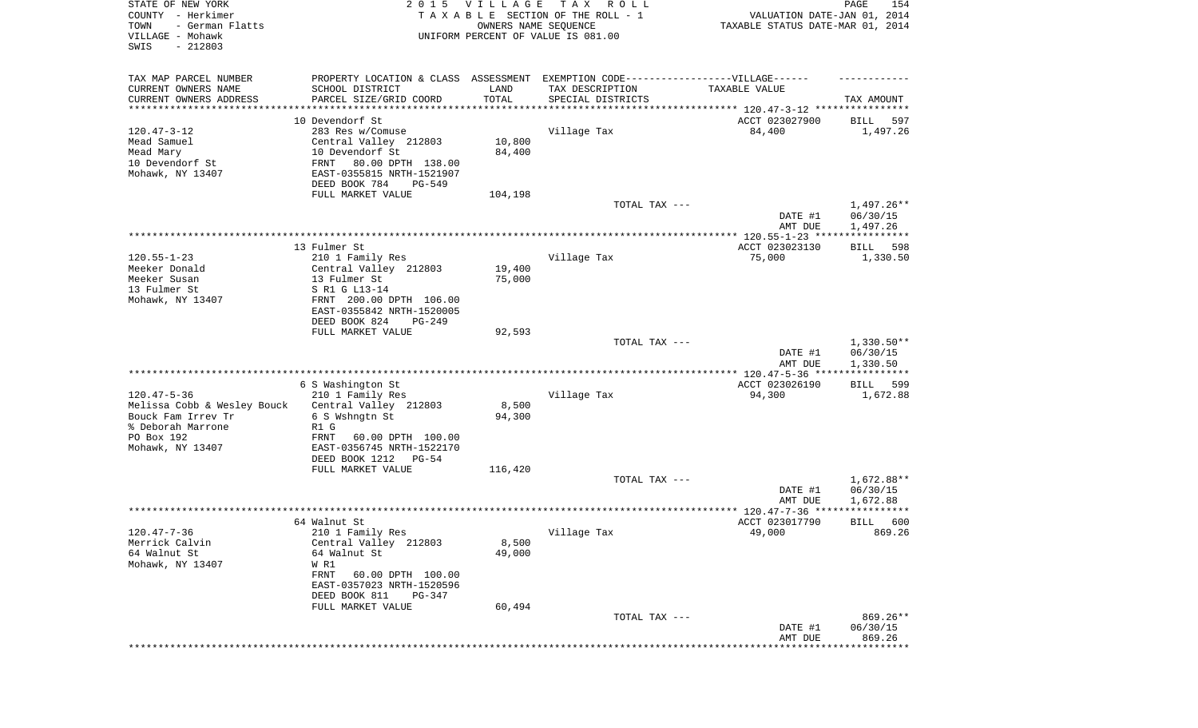| STATE OF NEW YORK<br>COUNTY - Herkimer<br>- German Flatts<br>TOWN<br>VILLAGE - Mohawk<br>SWIS<br>$-212803$                    |                                                                                                                                                                               | 2015 VILLAGE<br>OWNERS NAME SEQUENCE | T A X<br>R O L L<br>TAXABLE SECTION OF THE ROLL - 1<br>UNIFORM PERCENT OF VALUE IS 081.00 | VALUATION DATE-JAN 01, 2014<br>TAXABLE STATUS DATE-MAR 01, 2014 | PAGE<br>154                          |
|-------------------------------------------------------------------------------------------------------------------------------|-------------------------------------------------------------------------------------------------------------------------------------------------------------------------------|--------------------------------------|-------------------------------------------------------------------------------------------|-----------------------------------------------------------------|--------------------------------------|
| TAX MAP PARCEL NUMBER<br>CURRENT OWNERS NAME                                                                                  | PROPERTY LOCATION & CLASS ASSESSMENT EXEMPTION CODE-----------------VILLAGE------<br>SCHOOL DISTRICT                                                                          | LAND                                 | TAX DESCRIPTION                                                                           | TAXABLE VALUE                                                   |                                      |
| CURRENT OWNERS ADDRESS<br>********************                                                                                | PARCEL SIZE/GRID COORD<br>*******************                                                                                                                                 | TOTAL<br>* * * * * * * * * * *       | SPECIAL DISTRICTS<br>********************************* 120.47-3-12 ****************       |                                                                 | TAX AMOUNT                           |
|                                                                                                                               | 10 Devendorf St                                                                                                                                                               |                                      |                                                                                           | ACCT 023027900                                                  | 597<br>BILL                          |
| $120.47 - 3 - 12$<br>Mead Samuel<br>Mead Mary<br>10 Devendorf St<br>Mohawk, NY 13407                                          | 283 Res w/Comuse<br>Central Valley 212803<br>10 Devendorf St<br>FRNT<br>80.00 DPTH 138.00<br>EAST-0355815 NRTH-1521907<br>DEED BOOK 784<br>PG-549                             | 10,800<br>84,400                     | Village Tax                                                                               | 84,400                                                          | 1,497.26                             |
|                                                                                                                               | FULL MARKET VALUE                                                                                                                                                             | 104,198                              |                                                                                           |                                                                 |                                      |
|                                                                                                                               |                                                                                                                                                                               |                                      | TOTAL TAX ---                                                                             | DATE #1<br>AMT DUE                                              | 1,497.26**<br>06/30/15<br>1,497.26   |
|                                                                                                                               |                                                                                                                                                                               |                                      |                                                                                           | ACCT 023023130                                                  |                                      |
| $120.55 - 1 - 23$<br>Meeker Donald<br>Meeker Susan<br>13 Fulmer St                                                            | 13 Fulmer St<br>210 1 Family Res<br>Central Valley 212803<br>13 Fulmer St<br>S R1 G L13-14                                                                                    | 19,400<br>75,000                     | Village Tax                                                                               | 75,000                                                          | 598<br>BILL<br>1,330.50              |
| Mohawk, NY 13407                                                                                                              | FRNT 200.00 DPTH 106.00<br>EAST-0355842 NRTH-1520005<br>DEED BOOK 824<br>PG-249<br>FULL MARKET VALUE                                                                          | 92,593                               |                                                                                           |                                                                 |                                      |
|                                                                                                                               |                                                                                                                                                                               |                                      | TOTAL TAX ---                                                                             | DATE #1<br>AMT DUE                                              | $1,330.50**$<br>06/30/15<br>1,330.50 |
|                                                                                                                               | 6 S Washington St                                                                                                                                                             |                                      |                                                                                           | ************** 120.47-5-36 ****<br>ACCT 023026190               | ************<br>599<br>BILL          |
| $120.47 - 5 - 36$<br>Melissa Cobb & Wesley Bouck<br>Bouck Fam Irrev Tr<br>% Deborah Marrone<br>PO Box 192<br>Mohawk, NY 13407 | 210 1 Family Res<br>Central Valley 212803<br>6 S Wshngtn St<br>R1 G<br>FRNT<br>60.00 DPTH 100.00<br>EAST-0356745 NRTH-1522170                                                 | 8,500<br>94,300                      | Village Tax                                                                               | 94,300                                                          | 1,672.88                             |
|                                                                                                                               | DEED BOOK 1212 PG-54<br>FULL MARKET VALUE                                                                                                                                     | 116,420                              |                                                                                           |                                                                 |                                      |
|                                                                                                                               |                                                                                                                                                                               |                                      | TOTAL TAX ---                                                                             | DATE #1<br>AMT DUE                                              | 1,672.88**<br>06/30/15<br>1,672.88   |
|                                                                                                                               |                                                                                                                                                                               |                                      |                                                                                           |                                                                 | * * * * * *                          |
| 120.47-7-36<br>Merrick Calvin<br>64 Walnut St<br>Mohawk, NY 13407                                                             | 64 Walnut St<br>210 1 Family Res<br>Central Valley 212803<br>64 Walnut St<br>W R1<br>FRNT<br>60.00 DPTH 100.00<br>EAST-0357023 NRTH-1520596<br>DEED BOOK 811<br><b>PG-347</b> | 8,500<br>49,000                      | Village Tax                                                                               | ACCT 023017790<br>49,000                                        | 600<br>BILL<br>869.26                |
|                                                                                                                               | FULL MARKET VALUE                                                                                                                                                             | 60,494                               |                                                                                           |                                                                 |                                      |
|                                                                                                                               |                                                                                                                                                                               |                                      | TOTAL TAX ---                                                                             | DATE #1<br>AMT DUE                                              | 869.26**<br>06/30/15<br>869.26       |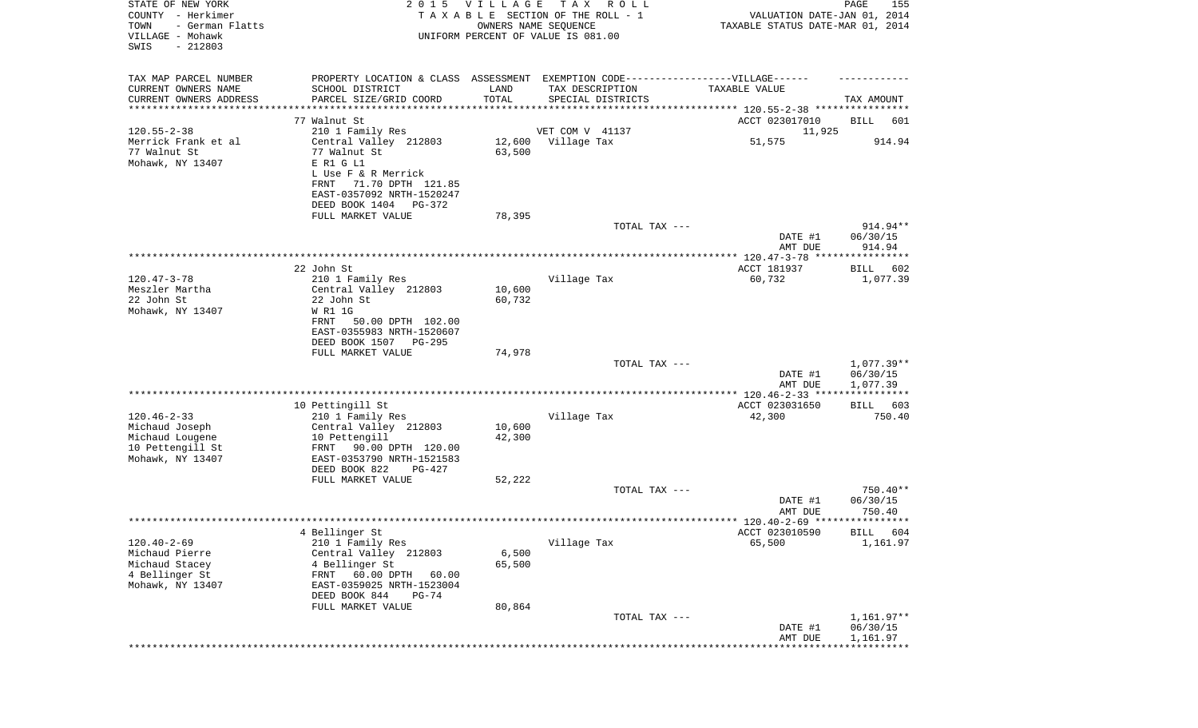| STATE OF NEW YORK<br>COUNTY - Herkimer<br>TOWN<br>- German Flatts<br>VILLAGE - Mohawk<br>SWIS<br>$-212803$ |                                                                                                                                     | 2015 VILLAGE<br>OWNERS NAME SEQUENCE | T A X<br>R O L L<br>TAXABLE SECTION OF THE ROLL - 1<br>UNIFORM PERCENT OF VALUE IS 081.00           | VALUATION DATE-JAN 01, 2014<br>TAXABLE STATUS DATE-MAR 01, 2014 | PAGE<br>155                        |
|------------------------------------------------------------------------------------------------------------|-------------------------------------------------------------------------------------------------------------------------------------|--------------------------------------|-----------------------------------------------------------------------------------------------------|-----------------------------------------------------------------|------------------------------------|
| TAX MAP PARCEL NUMBER<br>CURRENT OWNERS NAME                                                               | SCHOOL DISTRICT                                                                                                                     | LAND                                 | PROPERTY LOCATION & CLASS ASSESSMENT EXEMPTION CODE----------------VILLAGE------<br>TAX DESCRIPTION | TAXABLE VALUE                                                   |                                    |
| CURRENT OWNERS ADDRESS                                                                                     | PARCEL SIZE/GRID COORD                                                                                                              | TOTAL                                | SPECIAL DISTRICTS                                                                                   |                                                                 | TAX AMOUNT                         |
| *********************                                                                                      | * * * * * * * * * * * * * * * * * * * *                                                                                             |                                      |                                                                                                     |                                                                 |                                    |
|                                                                                                            | 77 Walnut St                                                                                                                        |                                      |                                                                                                     | ACCT 023017010                                                  | BILL<br>601                        |
| $120.55 - 2 - 38$                                                                                          | 210 1 Family Res                                                                                                                    |                                      | VET COM V 41137                                                                                     | 11,925                                                          |                                    |
| Merrick Frank et al<br>77 Walnut St<br>Mohawk, NY 13407                                                    | Central Valley 212803<br>77 Walnut St<br>E R1 G L1<br>L Use F & R Merrick<br>71.70 DPTH 121.85<br>FRNT<br>EAST-0357092 NRTH-1520247 | 63,500                               | 12,600 Village Tax                                                                                  | 51,575                                                          | 914.94                             |
|                                                                                                            | DEED BOOK 1404 PG-372                                                                                                               |                                      |                                                                                                     |                                                                 |                                    |
|                                                                                                            | FULL MARKET VALUE                                                                                                                   | 78,395                               |                                                                                                     |                                                                 |                                    |
|                                                                                                            |                                                                                                                                     |                                      | TOTAL TAX ---                                                                                       | DATE #1<br>AMT DUE                                              | 914.94**<br>06/30/15<br>914.94     |
|                                                                                                            |                                                                                                                                     |                                      |                                                                                                     |                                                                 |                                    |
|                                                                                                            | 22 John St                                                                                                                          |                                      |                                                                                                     | ACCT 181937                                                     | 602<br>BILL                        |
| $120.47 - 3 - 78$                                                                                          | 210 1 Family Res                                                                                                                    |                                      | Village Tax                                                                                         | 60,732                                                          | 1,077.39                           |
| Meszler Martha<br>22 John St<br>Mohawk, NY 13407                                                           | Central Valley 212803<br>22 John St<br>W R1 1G<br>50.00 DPTH 102.00<br>FRNT<br>EAST-0355983 NRTH-1520607                            | 10,600<br>60,732                     |                                                                                                     |                                                                 |                                    |
|                                                                                                            | DEED BOOK 1507 PG-295                                                                                                               |                                      |                                                                                                     |                                                                 |                                    |
|                                                                                                            | FULL MARKET VALUE                                                                                                                   | 74,978                               |                                                                                                     |                                                                 |                                    |
|                                                                                                            |                                                                                                                                     |                                      | TOTAL TAX ---                                                                                       | DATE #1<br>AMT DUE                                              | 1,077.39**<br>06/30/15<br>1,077.39 |
|                                                                                                            |                                                                                                                                     |                                      |                                                                                                     |                                                                 |                                    |
|                                                                                                            | 10 Pettingill St                                                                                                                    |                                      |                                                                                                     | ACCT 023031650                                                  | 603<br>BILL                        |
| $120.46 - 2 - 33$<br>Michaud Joseph                                                                        | 210 1 Family Res<br>Central Valley 212803                                                                                           | 10,600                               | Village Tax                                                                                         | 42,300                                                          | 750.40                             |
| Michaud Lougene<br>10 Pettengill St<br>Mohawk, NY 13407                                                    | 10 Pettengill<br>FRNT 90.00 DPTH 120.00<br>EAST-0353790 NRTH-1521583<br>DEED BOOK 822<br>PG-427                                     | 42,300                               |                                                                                                     |                                                                 |                                    |
|                                                                                                            | FULL MARKET VALUE                                                                                                                   | 52,222                               |                                                                                                     |                                                                 |                                    |
|                                                                                                            |                                                                                                                                     |                                      | TOTAL TAX ---                                                                                       | DATE #1<br>AMT DUE                                              | 750.40**<br>06/30/15<br>750.40     |
|                                                                                                            |                                                                                                                                     |                                      |                                                                                                     |                                                                 |                                    |
|                                                                                                            | 4 Bellinger St                                                                                                                      |                                      |                                                                                                     | ACCT 023010590                                                  | BILL 604                           |
| $120.40 - 2 - 69$                                                                                          | 210 1 Family Res                                                                                                                    |                                      | Village Tax                                                                                         | 65,500                                                          | 1,161.97                           |
| Michaud Pierre<br>Michaud Stacey                                                                           | Central Valley 212803<br>4 Bellinger St                                                                                             | 6,500<br>65,500                      |                                                                                                     |                                                                 |                                    |
| 4 Bellinger St<br>Mohawk, NY 13407                                                                         | 60.00 DPTH<br>FRNT<br>60.00<br>EAST-0359025 NRTH-1523004                                                                            |                                      |                                                                                                     |                                                                 |                                    |
|                                                                                                            | DEED BOOK 844<br>$PG-74$                                                                                                            | 80,864                               |                                                                                                     |                                                                 |                                    |
|                                                                                                            | FULL MARKET VALUE                                                                                                                   |                                      | TOTAL TAX ---                                                                                       |                                                                 | $1,161.97**$                       |
|                                                                                                            |                                                                                                                                     |                                      |                                                                                                     | DATE #1<br>AMT DUE                                              | 06/30/15<br>1,161.97               |
|                                                                                                            |                                                                                                                                     |                                      |                                                                                                     |                                                                 |                                    |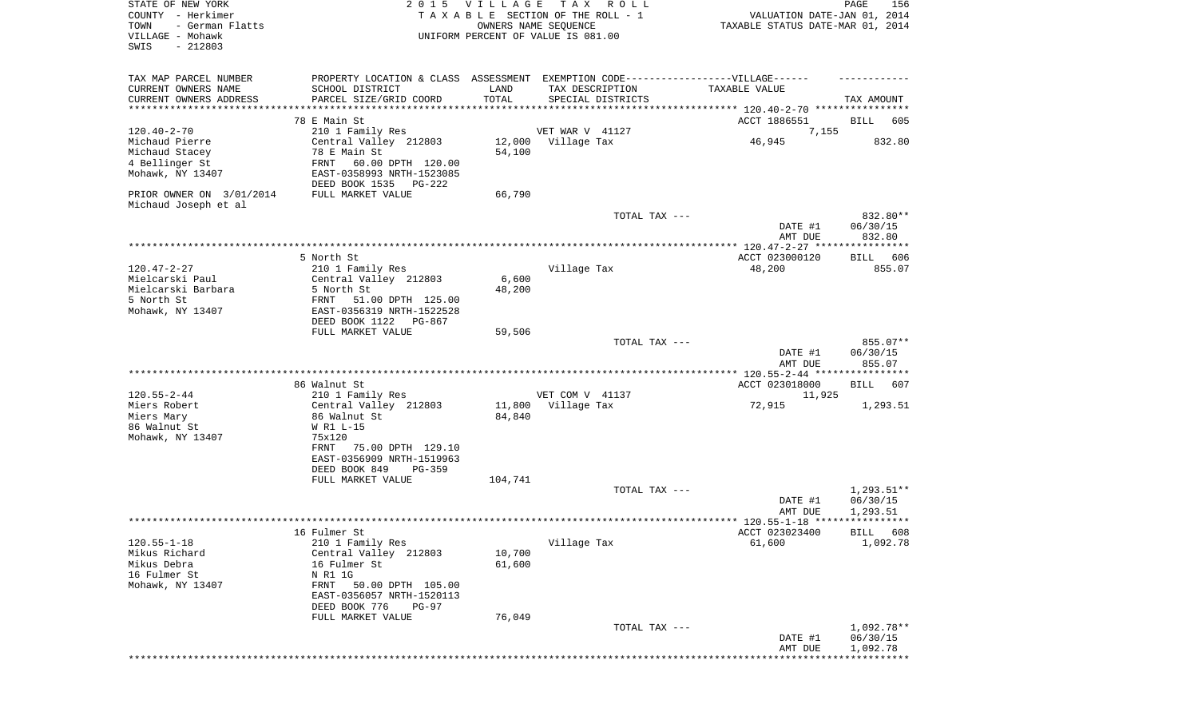| STATE OF NEW YORK<br>COUNTY - Herkimer<br>- German Flatts<br>TOWN<br>VILLAGE - Mohawk<br>SWIS<br>$-212803$ |                                                        | 2015 VILLAGE | T A X<br>R O L L<br>TAXABLE SECTION OF THE ROLL - 1<br>OWNERS NAME SEQUENCE<br>UNIFORM PERCENT OF VALUE IS 081.00 | VALUATION DATE-JAN 01, 2014<br>TAXABLE STATUS DATE-MAR 01, 2014 | PAGE<br>156                    |
|------------------------------------------------------------------------------------------------------------|--------------------------------------------------------|--------------|-------------------------------------------------------------------------------------------------------------------|-----------------------------------------------------------------|--------------------------------|
| TAX MAP PARCEL NUMBER<br>CURRENT OWNERS NAME                                                               | SCHOOL DISTRICT                                        | LAND         | PROPERTY LOCATION & CLASS ASSESSMENT EXEMPTION CODE----------------VILLAGE------<br>TAX DESCRIPTION               | TAXABLE VALUE                                                   |                                |
| CURRENT OWNERS ADDRESS<br>**********************                                                           | PARCEL SIZE/GRID COORD<br>**************************   | TOTAL        | SPECIAL DISTRICTS                                                                                                 |                                                                 | TAX AMOUNT                     |
|                                                                                                            | 78 E Main St                                           |              |                                                                                                                   | ACCT 1886551                                                    | BILL<br>605                    |
| $120.40 - 2 - 70$                                                                                          | 210 1 Family Res                                       |              | VET WAR V 41127                                                                                                   | 7,155                                                           |                                |
| Michaud Pierre                                                                                             | Central Valley 212803                                  |              | 12,000 Village Tax                                                                                                | 46,945                                                          | 832.80                         |
| Michaud Stacey<br>4 Bellinger St                                                                           | 78 E Main St<br>FRNT<br>60.00 DPTH 120.00              | 54,100       |                                                                                                                   |                                                                 |                                |
| Mohawk, NY 13407                                                                                           | EAST-0358993 NRTH-1523085                              |              |                                                                                                                   |                                                                 |                                |
|                                                                                                            | DEED BOOK 1535 PG-222                                  |              |                                                                                                                   |                                                                 |                                |
| PRIOR OWNER ON 3/01/2014                                                                                   | FULL MARKET VALUE                                      | 66,790       |                                                                                                                   |                                                                 |                                |
| Michaud Joseph et al                                                                                       |                                                        |              | TOTAL TAX ---                                                                                                     |                                                                 | 832.80**                       |
|                                                                                                            |                                                        |              |                                                                                                                   | DATE #1                                                         | 06/30/15                       |
|                                                                                                            |                                                        |              |                                                                                                                   | AMT DUE                                                         | 832.80                         |
|                                                                                                            | 5 North St                                             |              |                                                                                                                   | ACCT 023000120                                                  | BILL 606                       |
| $120.47 - 2 - 27$                                                                                          | 210 1 Family Res                                       |              | Village Tax                                                                                                       | 48,200                                                          | 855.07                         |
| Mielcarski Paul                                                                                            | Central Valley 212803                                  | 6,600        |                                                                                                                   |                                                                 |                                |
| Mielcarski Barbara<br>5 North St                                                                           | 5 North St                                             | 48,200       |                                                                                                                   |                                                                 |                                |
| Mohawk, NY 13407                                                                                           | 51.00 DPTH 125.00<br>FRNT<br>EAST-0356319 NRTH-1522528 |              |                                                                                                                   |                                                                 |                                |
|                                                                                                            | DEED BOOK 1122 PG-867                                  |              |                                                                                                                   |                                                                 |                                |
|                                                                                                            | FULL MARKET VALUE                                      | 59,506       |                                                                                                                   |                                                                 |                                |
|                                                                                                            |                                                        |              | TOTAL TAX ---                                                                                                     | DATE #1<br>AMT DUE                                              | 855.07**<br>06/30/15<br>855.07 |
|                                                                                                            |                                                        |              |                                                                                                                   | ************** 120.55-2-44 *****************                    |                                |
| $120.55 - 2 - 44$                                                                                          | 86 Walnut St<br>210 1 Family Res                       |              | VET COM V 41137                                                                                                   | ACCT 023018000<br>11,925                                        | 607<br>BILL                    |
| Miers Robert                                                                                               | Central Valley 212803                                  |              | 11,800 Village Tax                                                                                                | 72,915                                                          | 1,293.51                       |
| Miers Mary                                                                                                 | 86 Walnut St                                           | 84,840       |                                                                                                                   |                                                                 |                                |
| 86 Walnut St                                                                                               | W R1 L-15                                              |              |                                                                                                                   |                                                                 |                                |
| Mohawk, NY 13407                                                                                           | 75x120<br>75.00 DPTH 129.10<br>FRNT                    |              |                                                                                                                   |                                                                 |                                |
|                                                                                                            | EAST-0356909 NRTH-1519963                              |              |                                                                                                                   |                                                                 |                                |
|                                                                                                            | DEED BOOK 849<br>PG-359                                |              |                                                                                                                   |                                                                 |                                |
|                                                                                                            | FULL MARKET VALUE                                      | 104,741      | TOTAL TAX ---                                                                                                     |                                                                 | $1,293.51**$                   |
|                                                                                                            |                                                        |              |                                                                                                                   | DATE #1                                                         | 06/30/15                       |
|                                                                                                            |                                                        |              |                                                                                                                   | AMT DUE                                                         | 1,293.51                       |
|                                                                                                            | 16 Fulmer St                                           |              |                                                                                                                   | ACCT 023023400                                                  | BILL 608                       |
| $120.55 - 1 - 18$                                                                                          | 210 1 Family Res                                       |              | Village Tax                                                                                                       | 61,600                                                          | 1,092.78                       |
| Mikus Richard                                                                                              | Central Valley 212803                                  | 10,700       |                                                                                                                   |                                                                 |                                |
| Mikus Debra<br>16 Fulmer St                                                                                | 16 Fulmer St<br>N R1 1G                                | 61,600       |                                                                                                                   |                                                                 |                                |
| Mohawk, NY 13407                                                                                           | 50.00 DPTH 105.00<br>FRNT                              |              |                                                                                                                   |                                                                 |                                |
|                                                                                                            | EAST-0356057 NRTH-1520113                              |              |                                                                                                                   |                                                                 |                                |
|                                                                                                            | DEED BOOK 776<br><b>PG-97</b>                          |              |                                                                                                                   |                                                                 |                                |
|                                                                                                            | FULL MARKET VALUE                                      | 76,049       | TOTAL TAX ---                                                                                                     |                                                                 | 1,092.78**                     |
|                                                                                                            |                                                        |              |                                                                                                                   | DATE #1                                                         | 06/30/15                       |
|                                                                                                            |                                                        |              |                                                                                                                   |                                                                 |                                |
|                                                                                                            |                                                        |              |                                                                                                                   | AMT DUE                                                         | 1,092.78<br>************       |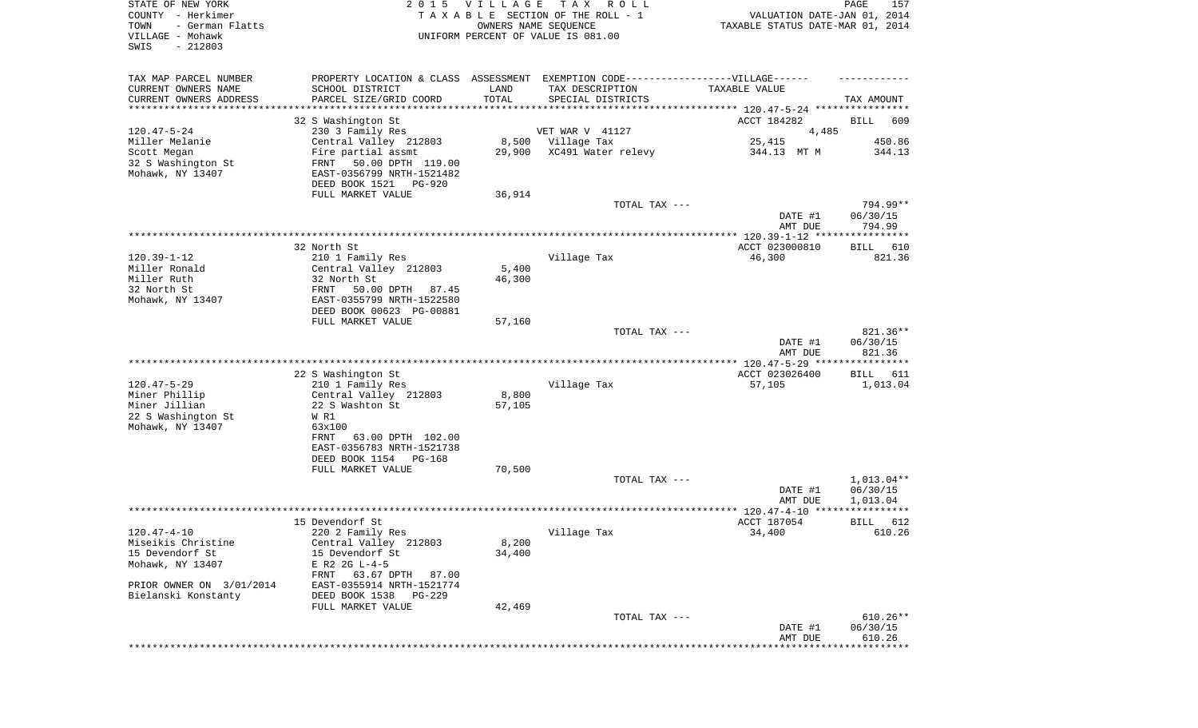| STATE OF NEW YORK<br>COUNTY - Herkimer<br>- German Flatts<br>TOWN |                                                                              |        | 2015 VILLAGE TAX ROLL<br>TAXABLE SECTION OF THE ROLL - 1                          | VALUATION DATE-JAN 01, 2014      | PAGE<br>157            |
|-------------------------------------------------------------------|------------------------------------------------------------------------------|--------|-----------------------------------------------------------------------------------|----------------------------------|------------------------|
| VILLAGE - Mohawk<br>$-212803$<br>SWIS                             | OWNERS NAME SEQUENCE<br>UNIFORM PERCENT OF VALUE IS 081.00                   |        |                                                                                   | TAXABLE STATUS DATE-MAR 01, 2014 |                        |
| TAX MAP PARCEL NUMBER                                             |                                                                              |        | PROPERTY LOCATION & CLASS ASSESSMENT EXEMPTION CODE-----------------VILLAGE------ |                                  |                        |
| CURRENT OWNERS NAME                                               | SCHOOL DISTRICT                                                              | LAND   | TAX DESCRIPTION                                                                   | TAXABLE VALUE                    |                        |
| CURRENT OWNERS ADDRESS                                            | PARCEL SIZE/GRID COORD                                                       | TOTAL  | SPECIAL DISTRICTS                                                                 |                                  | TAX AMOUNT             |
| *************************                                         |                                                                              |        |                                                                                   |                                  |                        |
| $120.47 - 5 - 24$                                                 | 32 S Washington St<br>230 3 Family Res                                       |        | VET WAR V 41127                                                                   | ACCT 184282<br>4,485             | BILL<br>609            |
| Miller Melanie                                                    | Central Valley 212803                                                        |        | 8,500 Village Tax                                                                 | 25,415                           | 450.86                 |
| Scott Megan                                                       | Fire partial assmt                                                           |        | 29,900 XC491 Water relevy                                                         | 344.13 MT M                      | 344.13                 |
| 32 S Washington St<br>Mohawk, NY 13407                            | FRNT 50.00 DPTH 119.00<br>EAST-0356799 NRTH-1521482<br>DEED BOOK 1521 PG-920 |        |                                                                                   |                                  |                        |
|                                                                   | FULL MARKET VALUE                                                            | 36,914 |                                                                                   |                                  |                        |
|                                                                   |                                                                              |        | TOTAL TAX ---                                                                     |                                  | 794.99**               |
|                                                                   |                                                                              |        |                                                                                   | DATE #1                          | 06/30/15               |
|                                                                   |                                                                              |        |                                                                                   | AMT DUE                          | 794.99                 |
|                                                                   |                                                                              |        |                                                                                   |                                  |                        |
| $120.39 - 1 - 12$                                                 | 32 North St<br>210 1 Family Res                                              |        |                                                                                   | ACCT 023000810<br>46,300         | BILL 610<br>821.36     |
| Miller Ronald                                                     | Central Valley 212803                                                        | 5,400  | Village Tax                                                                       |                                  |                        |
| Miller Ruth                                                       | 32 North St                                                                  | 46,300 |                                                                                   |                                  |                        |
| 32 North St                                                       | FRNT 50.00 DPTH 87.45                                                        |        |                                                                                   |                                  |                        |
| Mohawk, NY 13407                                                  | EAST-0355799 NRTH-1522580                                                    |        |                                                                                   |                                  |                        |
|                                                                   | DEED BOOK 00623 PG-00881                                                     |        |                                                                                   |                                  |                        |
|                                                                   | FULL MARKET VALUE                                                            | 57,160 |                                                                                   |                                  |                        |
|                                                                   |                                                                              |        | TOTAL TAX ---                                                                     |                                  | 821.36**               |
|                                                                   |                                                                              |        |                                                                                   | DATE #1<br>AMT DUE               | 06/30/15<br>821.36     |
|                                                                   | 22 S Washington St                                                           |        |                                                                                   | ACCT 023026400                   | BILL 611               |
| $120.47 - 5 - 29$                                                 | 210 1 Family Res                                                             |        | Village Tax                                                                       | 57,105                           | 1,013.04               |
| Miner Phillip                                                     | Central Valley 212803                                                        | 8,800  |                                                                                   |                                  |                        |
| Miner Jillian                                                     | 22 S Washton St                                                              | 57,105 |                                                                                   |                                  |                        |
| 22 S Washington St                                                | W R1                                                                         |        |                                                                                   |                                  |                        |
| Mohawk, NY 13407                                                  | 63x100                                                                       |        |                                                                                   |                                  |                        |
|                                                                   | FRNT 63.00 DPTH 102.00                                                       |        |                                                                                   |                                  |                        |
|                                                                   | EAST-0356783 NRTH-1521738<br>DEED BOOK 1154 PG-168                           |        |                                                                                   |                                  |                        |
|                                                                   | FULL MARKET VALUE                                                            | 70,500 |                                                                                   |                                  |                        |
|                                                                   |                                                                              |        | TOTAL TAX ---                                                                     |                                  | $1.013.04**$           |
|                                                                   |                                                                              |        |                                                                                   | DATE #1                          | 06/30/15               |
|                                                                   |                                                                              |        |                                                                                   | AMT DUE                          | 1,013.04               |
|                                                                   |                                                                              |        |                                                                                   |                                  |                        |
|                                                                   | 15 Devendorf St                                                              |        |                                                                                   | ACCT 187054<br>34,400            | BILL 612               |
| $120.47 - 4 - 10$<br>Miseikis Christine                           | 220 2 Family Res<br>Central Valley 212803                                    | 8,200  | Village Tax                                                                       |                                  | 610.26                 |
| 15 Devendorf St                                                   | 15 Devendorf St                                                              | 34,400 |                                                                                   |                                  |                        |
| Mohawk, NY 13407                                                  | E R2 2G L-4-5                                                                |        |                                                                                   |                                  |                        |
|                                                                   | FRNT 63.67 DPTH 87.00                                                        |        |                                                                                   |                                  |                        |
| PRIOR OWNER ON 3/01/2014                                          | EAST-0355914 NRTH-1521774                                                    |        |                                                                                   |                                  |                        |
| Bielanski Konstanty                                               | DEED BOOK 1538<br>PG-229                                                     |        |                                                                                   |                                  |                        |
|                                                                   | FULL MARKET VALUE                                                            | 42,469 |                                                                                   |                                  |                        |
|                                                                   |                                                                              |        | TOTAL TAX ---                                                                     |                                  | $610.26**$<br>06/30/15 |
|                                                                   |                                                                              |        |                                                                                   | DATE #1<br>AMT DUE               | 610.26                 |
|                                                                   |                                                                              |        |                                                                                   |                                  |                        |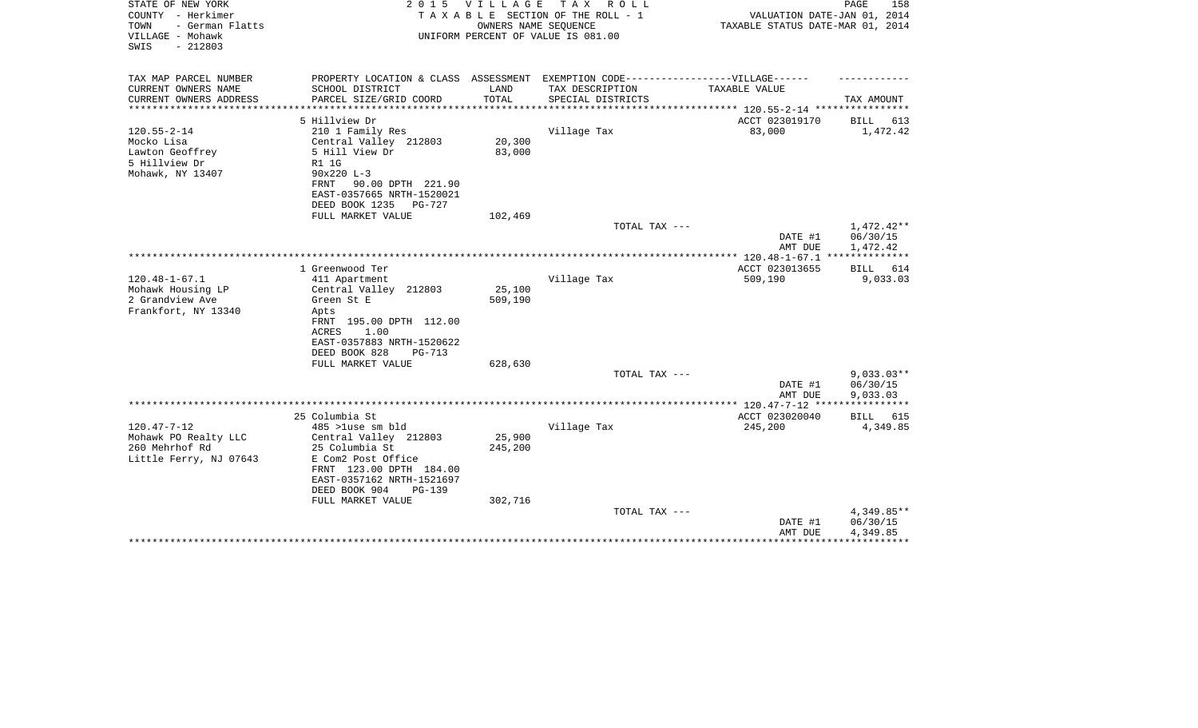| STATE OF NEW YORK<br>COUNTY - Herkimer<br>- German Flatts<br>TOWN<br>VILLAGE - Mohawk<br>$-212803$<br>SWIS | 2 0 1 5                                                                           | V I L L A G E<br>T A X<br>R O L L<br>TAXABLE SECTION OF THE ROLL - 1<br>OWNERS NAME SEQUENCE<br>UNIFORM PERCENT OF VALUE IS 081.00 |                                      |                                                |                                    |  |
|------------------------------------------------------------------------------------------------------------|-----------------------------------------------------------------------------------|------------------------------------------------------------------------------------------------------------------------------------|--------------------------------------|------------------------------------------------|------------------------------------|--|
| TAX MAP PARCEL NUMBER<br>CURRENT OWNERS NAME                                                               | PROPERTY LOCATION & CLASS ASSESSMENT EXEMPTION CODE-----------------VILLAGE------ | LAND                                                                                                                               |                                      | TAXABLE VALUE                                  |                                    |  |
| CURRENT OWNERS ADDRESS                                                                                     | SCHOOL DISTRICT<br>PARCEL SIZE/GRID COORD                                         | TOTAL                                                                                                                              | TAX DESCRIPTION<br>SPECIAL DISTRICTS |                                                | TAX AMOUNT                         |  |
|                                                                                                            |                                                                                   |                                                                                                                                    |                                      | **************** 120.55-2-14 ***************** |                                    |  |
|                                                                                                            | 5 Hillview Dr                                                                     |                                                                                                                                    |                                      | ACCT 023019170                                 | BILL 613                           |  |
| $120.55 - 2 - 14$                                                                                          | 210 1 Family Res                                                                  |                                                                                                                                    | Village Tax                          | 83,000                                         | 1,472.42                           |  |
| Mocko Lisa                                                                                                 | Central Valley 212803                                                             | 20,300                                                                                                                             |                                      |                                                |                                    |  |
| Lawton Geoffrey<br>5 Hillview Dr                                                                           | 5 Hill View Dr                                                                    | 83,000                                                                                                                             |                                      |                                                |                                    |  |
| Mohawk, NY 13407                                                                                           | <b>R1 1G</b><br>$90x220 L-3$                                                      |                                                                                                                                    |                                      |                                                |                                    |  |
|                                                                                                            | 90.00 DPTH 221.90<br>FRNT                                                         |                                                                                                                                    |                                      |                                                |                                    |  |
|                                                                                                            | EAST-0357665 NRTH-1520021                                                         |                                                                                                                                    |                                      |                                                |                                    |  |
|                                                                                                            | DEED BOOK 1235<br>PG-727                                                          |                                                                                                                                    |                                      |                                                |                                    |  |
|                                                                                                            | FULL MARKET VALUE                                                                 | 102,469                                                                                                                            |                                      |                                                |                                    |  |
|                                                                                                            |                                                                                   |                                                                                                                                    | TOTAL TAX ---                        | DATE #1<br>AMT DUE                             | 1,472.42**<br>06/30/15<br>1,472.42 |  |
|                                                                                                            |                                                                                   |                                                                                                                                    |                                      |                                                |                                    |  |
|                                                                                                            | 1 Greenwood Ter                                                                   |                                                                                                                                    |                                      | ACCT 023013655                                 | BILL 614                           |  |
| $120.48 - 1 - 67.1$                                                                                        | 411 Apartment                                                                     |                                                                                                                                    | Village Tax                          | 509,190                                        | 9,033.03                           |  |
| Mohawk Housing LP                                                                                          | Central Valley 212803                                                             | 25,100                                                                                                                             |                                      |                                                |                                    |  |
| 2 Grandview Ave                                                                                            | Green St E                                                                        | 509,190                                                                                                                            |                                      |                                                |                                    |  |
| Frankfort, NY 13340                                                                                        | Apts<br>FRNT 195.00 DPTH 112.00                                                   |                                                                                                                                    |                                      |                                                |                                    |  |
|                                                                                                            | 1.00<br>ACRES                                                                     |                                                                                                                                    |                                      |                                                |                                    |  |
|                                                                                                            | EAST-0357883 NRTH-1520622                                                         |                                                                                                                                    |                                      |                                                |                                    |  |
|                                                                                                            | DEED BOOK 828<br>$PG-713$                                                         |                                                                                                                                    |                                      |                                                |                                    |  |
|                                                                                                            | FULL MARKET VALUE                                                                 | 628,630                                                                                                                            |                                      |                                                |                                    |  |
|                                                                                                            |                                                                                   |                                                                                                                                    | TOTAL TAX ---                        |                                                | $9,033.03**$                       |  |
|                                                                                                            |                                                                                   |                                                                                                                                    |                                      | DATE #1                                        | 06/30/15                           |  |
|                                                                                                            |                                                                                   |                                                                                                                                    |                                      | AMT DUE                                        | 9,033.03<br>******                 |  |
|                                                                                                            | 25 Columbia St                                                                    |                                                                                                                                    |                                      | ACCT 023020040                                 | <b>BILL</b> 615                    |  |
| $120.47 - 7 - 12$                                                                                          | 485 >luse sm bld                                                                  |                                                                                                                                    | Village Tax                          | 245,200                                        | 4,349.85                           |  |
| Mohawk PO Realty LLC                                                                                       | Central Valley 212803                                                             | 25,900                                                                                                                             |                                      |                                                |                                    |  |
| 260 Mehrhof Rd                                                                                             | 25 Columbia St                                                                    | 245,200                                                                                                                            |                                      |                                                |                                    |  |
| Little Ferry, NJ 07643                                                                                     | E Com2 Post Office                                                                |                                                                                                                                    |                                      |                                                |                                    |  |
|                                                                                                            | FRNT 123.00 DPTH 184.00<br>EAST-0357162 NRTH-1521697                              |                                                                                                                                    |                                      |                                                |                                    |  |
|                                                                                                            | DEED BOOK 904<br>$PG-139$                                                         |                                                                                                                                    |                                      |                                                |                                    |  |
|                                                                                                            | FULL MARKET VALUE                                                                 | 302,716                                                                                                                            |                                      |                                                |                                    |  |
|                                                                                                            |                                                                                   |                                                                                                                                    | TOTAL TAX ---                        |                                                | 4,349.85**                         |  |
|                                                                                                            |                                                                                   |                                                                                                                                    |                                      | DATE #1                                        | 06/30/15                           |  |
|                                                                                                            |                                                                                   |                                                                                                                                    |                                      | AMT DUE                                        | 4,349.85                           |  |
|                                                                                                            |                                                                                   |                                                                                                                                    |                                      |                                                |                                    |  |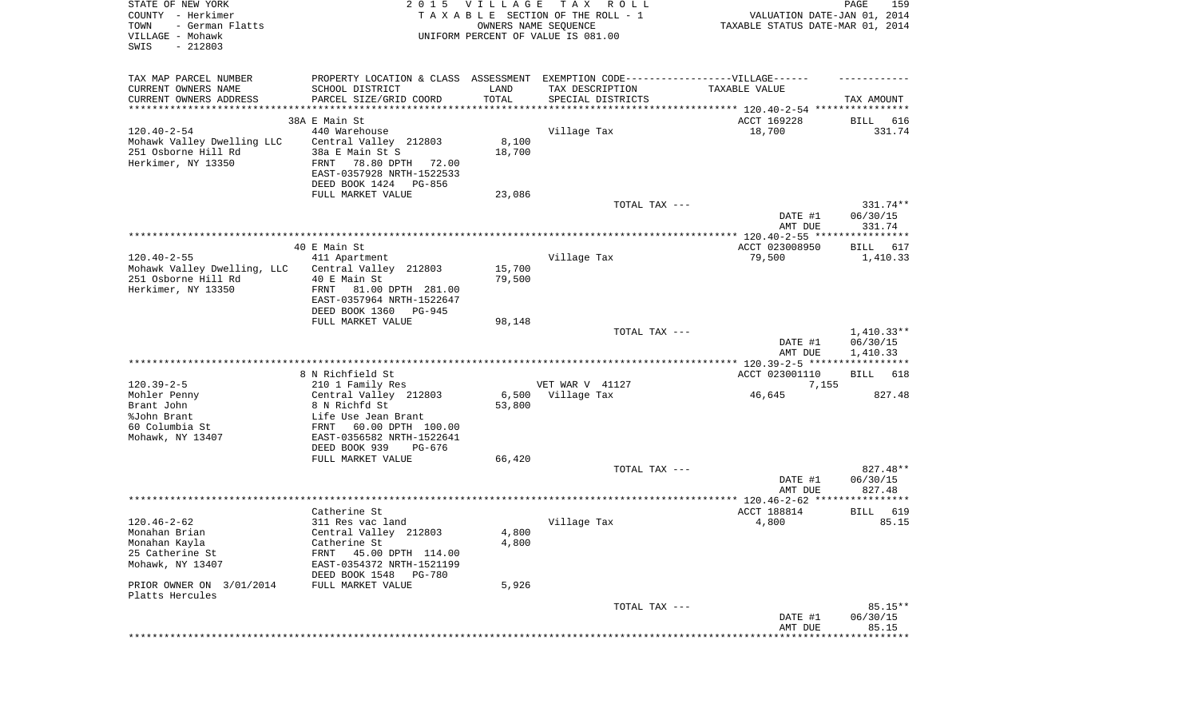| STATE OF NEW YORK<br>COUNTY - Herkimer<br>TOWN<br>- German Flatts<br>VILLAGE - Mohawk<br>SWIS<br>$-212803$ | <b>VILLAGE</b><br>2 0 1 5<br>TAXABLE SECTION OF THE ROLL - 1<br>UNIFORM PERCENT OF VALUE IS 081.00 | VALUATION DATE-JAN 01, 2014<br>TAXABLE STATUS DATE-MAR 01, 2014 | PAGE<br>159       |                    |                      |
|------------------------------------------------------------------------------------------------------------|----------------------------------------------------------------------------------------------------|-----------------------------------------------------------------|-------------------|--------------------|----------------------|
| TAX MAP PARCEL NUMBER                                                                                      | PROPERTY LOCATION & CLASS ASSESSMENT EXEMPTION CODE-----------------VILLAGE------                  |                                                                 |                   |                    |                      |
| CURRENT OWNERS NAME                                                                                        | SCHOOL DISTRICT                                                                                    | LAND                                                            | TAX DESCRIPTION   | TAXABLE VALUE      |                      |
| CURRENT OWNERS ADDRESS<br>**********************                                                           | PARCEL SIZE/GRID COORD<br>***********************                                                  | TOTAL                                                           | SPECIAL DISTRICTS |                    | TAX AMOUNT           |
|                                                                                                            | 38A E Main St                                                                                      |                                                                 |                   | ACCT 169228        | BILL<br>616          |
| $120.40 - 2 - 54$                                                                                          | 440 Warehouse                                                                                      |                                                                 | Village Tax       | 18,700             | 331.74               |
| Mohawk Valley Dwelling LLC                                                                                 | Central Valley 212803                                                                              | 8,100                                                           |                   |                    |                      |
| 251 Osborne Hill Rd<br>Herkimer, NY 13350                                                                  | 38a E Main St S<br>78.80 DPTH<br>FRNT<br>72.00                                                     | 18,700                                                          |                   |                    |                      |
|                                                                                                            | EAST-0357928 NRTH-1522533                                                                          |                                                                 |                   |                    |                      |
|                                                                                                            | DEED BOOK 1424 PG-856                                                                              |                                                                 |                   |                    |                      |
|                                                                                                            | FULL MARKET VALUE                                                                                  | 23,086                                                          |                   |                    |                      |
|                                                                                                            |                                                                                                    |                                                                 | TOTAL TAX ---     | DATE #1            | 331.74**<br>06/30/15 |
|                                                                                                            |                                                                                                    |                                                                 |                   | AMT DUE            | 331.74               |
|                                                                                                            |                                                                                                    |                                                                 |                   |                    |                      |
| $120.40 - 2 - 55$                                                                                          | 40 E Main St                                                                                       |                                                                 | Village Tax       | ACCT 023008950     | BILL 617             |
| Mohawk Valley Dwelling, LLC                                                                                | 411 Apartment<br>Central Valley 212803                                                             | 15,700                                                          |                   | 79,500             | 1,410.33             |
| 251 Osborne Hill Rd                                                                                        | 40 E Main St                                                                                       | 79,500                                                          |                   |                    |                      |
| Herkimer, NY 13350                                                                                         | FRNT<br>81.00 DPTH 281.00                                                                          |                                                                 |                   |                    |                      |
|                                                                                                            | EAST-0357964 NRTH-1522647<br>DEED BOOK 1360<br>PG-945                                              |                                                                 |                   |                    |                      |
|                                                                                                            | FULL MARKET VALUE                                                                                  | 98,148                                                          |                   |                    |                      |
|                                                                                                            |                                                                                                    |                                                                 | TOTAL TAX ---     |                    | $1,410.33**$         |
|                                                                                                            |                                                                                                    |                                                                 |                   | DATE #1<br>AMT DUE | 06/30/15<br>1,410.33 |
|                                                                                                            |                                                                                                    |                                                                 |                   |                    |                      |
|                                                                                                            | 8 N Richfield St                                                                                   |                                                                 |                   | ACCT 023001110     | BILL<br>618          |
| $120.39 - 2 - 5$                                                                                           | 210 1 Family Res                                                                                   |                                                                 | VET WAR V 41127   | 7,155              |                      |
| Mohler Penny<br>Brant John                                                                                 | Central Valley 212803<br>8 N Richfd St                                                             | 6,500<br>53,800                                                 | Village Tax       | 46,645             | 827.48               |
| %John Brant                                                                                                | Life Use Jean Brant                                                                                |                                                                 |                   |                    |                      |
| 60 Columbia St                                                                                             | FRNT<br>60.00 DPTH 100.00                                                                          |                                                                 |                   |                    |                      |
| Mohawk, NY 13407                                                                                           | EAST-0356582 NRTH-1522641                                                                          |                                                                 |                   |                    |                      |
|                                                                                                            | DEED BOOK 939<br>PG-676<br>FULL MARKET VALUE                                                       | 66,420                                                          |                   |                    |                      |
|                                                                                                            |                                                                                                    |                                                                 | TOTAL TAX ---     |                    | 827.48**             |
|                                                                                                            |                                                                                                    |                                                                 |                   | DATE #1            | 06/30/15             |
|                                                                                                            |                                                                                                    |                                                                 |                   | AMT DUE            | 827.48               |
|                                                                                                            | Catherine St                                                                                       |                                                                 |                   | <b>ACCT 188814</b> | 619<br>BILL          |
| $120.46 - 2 - 62$                                                                                          | 311 Res vac land                                                                                   |                                                                 | Village Tax       | 4,800              | 85.15                |
| Monahan Brian                                                                                              | Central Valley 212803                                                                              | 4,800                                                           |                   |                    |                      |
| Monahan Kayla<br>25 Catherine St                                                                           | Catherine St<br>45.00 DPTH 114.00<br>FRNT                                                          | 4,800                                                           |                   |                    |                      |
| Mohawk, NY 13407                                                                                           | EAST-0354372 NRTH-1521199                                                                          |                                                                 |                   |                    |                      |
|                                                                                                            | DEED BOOK 1548<br>PG-780                                                                           |                                                                 |                   |                    |                      |
| PRIOR OWNER ON 3/01/2014                                                                                   | FULL MARKET VALUE                                                                                  | 5,926                                                           |                   |                    |                      |
| Platts Hercules                                                                                            |                                                                                                    |                                                                 | TOTAL TAX ---     |                    | $85.15**$            |
|                                                                                                            |                                                                                                    |                                                                 |                   | DATE #1            | 06/30/15             |
|                                                                                                            |                                                                                                    |                                                                 |                   | AMT DUE            | 85.15                |
|                                                                                                            |                                                                                                    |                                                                 |                   |                    | **********           |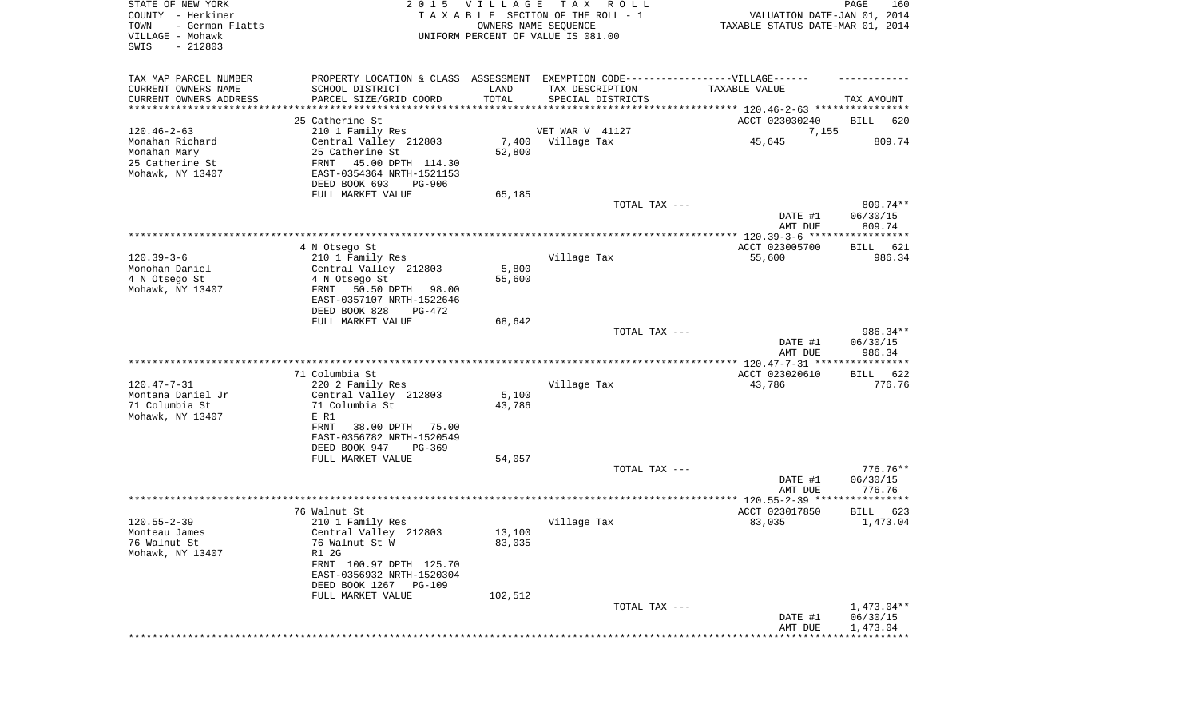| STATE OF NEW YORK<br>COUNTY - Herkimer<br>TOWN<br>- German Flatts<br>VILLAGE - Mohawk<br>SWIS<br>$-212803$ | VILLAGE<br>2 0 1 5<br>TAXABLE SECTION OF THE ROLL - 1<br>UNIFORM PERCENT OF VALUE IS 081.00 | VALUATION DATE-JAN 01, 2014<br>TAXABLE STATUS DATE-MAR 01, 2014 | PAGE<br>160       |                                                                      |                                |
|------------------------------------------------------------------------------------------------------------|---------------------------------------------------------------------------------------------|-----------------------------------------------------------------|-------------------|----------------------------------------------------------------------|--------------------------------|
| TAX MAP PARCEL NUMBER                                                                                      | PROPERTY LOCATION & CLASS ASSESSMENT EXEMPTION CODE----------------VILLAGE------            |                                                                 |                   |                                                                      |                                |
| CURRENT OWNERS NAME                                                                                        | SCHOOL DISTRICT                                                                             | LAND                                                            | TAX DESCRIPTION   | TAXABLE VALUE                                                        |                                |
| CURRENT OWNERS ADDRESS<br>*******************                                                              | PARCEL SIZE/GRID COORD                                                                      | TOTAL<br>**********                                             | SPECIAL DISTRICTS | ************************************** 120.46-2-63 ***************** | TAX AMOUNT                     |
|                                                                                                            | 25 Catherine St                                                                             |                                                                 |                   | ACCT 023030240                                                       | BILL<br>620                    |
| $120.46 - 2 - 63$                                                                                          | 210 1 Family Res                                                                            |                                                                 | VET WAR V 41127   | 7,155                                                                |                                |
| Monahan Richard                                                                                            | Central Valley 212803                                                                       |                                                                 | 7,400 Village Tax | 45,645                                                               | 809.74                         |
| Monahan Mary                                                                                               | 25 Catherine St                                                                             | 52,800                                                          |                   |                                                                      |                                |
| 25 Catherine St                                                                                            | FRNT<br>45.00 DPTH 114.30                                                                   |                                                                 |                   |                                                                      |                                |
| Mohawk, NY 13407                                                                                           | EAST-0354364 NRTH-1521153                                                                   |                                                                 |                   |                                                                      |                                |
|                                                                                                            | DEED BOOK 693<br>PG-906                                                                     |                                                                 |                   |                                                                      |                                |
|                                                                                                            | FULL MARKET VALUE                                                                           | 65,185                                                          |                   |                                                                      |                                |
|                                                                                                            |                                                                                             |                                                                 | TOTAL TAX ---     | DATE #1<br>AMT DUE                                                   | 809.74**<br>06/30/15<br>809.74 |
|                                                                                                            |                                                                                             |                                                                 |                   |                                                                      |                                |
|                                                                                                            | 4 N Otsego St                                                                               |                                                                 |                   | ACCT 023005700                                                       | BILL<br>621                    |
| $120.39 - 3 - 6$                                                                                           | 210 1 Family Res                                                                            |                                                                 | Village Tax       | 55,600                                                               | 986.34                         |
| Monohan Daniel                                                                                             | Central Valley 212803                                                                       | 5,800                                                           |                   |                                                                      |                                |
| 4 N Otsego St                                                                                              | 4 N Otsego St                                                                               | 55,600                                                          |                   |                                                                      |                                |
| Mohawk, NY 13407                                                                                           | 50.50 DPTH<br>FRNT<br>98.00<br>EAST-0357107 NRTH-1522646                                    |                                                                 |                   |                                                                      |                                |
|                                                                                                            | DEED BOOK 828<br>PG-472                                                                     |                                                                 |                   |                                                                      |                                |
|                                                                                                            | FULL MARKET VALUE                                                                           | 68,642                                                          | TOTAL TAX ---     |                                                                      | 986.34**                       |
|                                                                                                            |                                                                                             |                                                                 |                   | DATE #1<br>AMT DUE                                                   | 06/30/15<br>986.34             |
|                                                                                                            |                                                                                             |                                                                 |                   |                                                                      |                                |
|                                                                                                            | 71 Columbia St                                                                              |                                                                 |                   | ACCT 023020610                                                       | BILL<br>622                    |
| $120.47 - 7 - 31$                                                                                          | 220 2 Family Res                                                                            |                                                                 | Village Tax       | 43,786                                                               | 776.76                         |
| Montana Daniel Jr<br>71 Columbia St                                                                        | Central Valley 212803<br>71 Columbia St                                                     | 5,100<br>43,786                                                 |                   |                                                                      |                                |
| Mohawk, NY 13407                                                                                           | E R1                                                                                        |                                                                 |                   |                                                                      |                                |
|                                                                                                            | FRNT<br>38.00 DPTH<br>75.00<br>EAST-0356782 NRTH-1520549                                    |                                                                 |                   |                                                                      |                                |
|                                                                                                            | DEED BOOK 947<br>PG-369                                                                     |                                                                 |                   |                                                                      |                                |
|                                                                                                            | FULL MARKET VALUE                                                                           | 54,057                                                          | TOTAL TAX ---     |                                                                      | $776.76**$                     |
|                                                                                                            |                                                                                             |                                                                 |                   | DATE #1                                                              | 06/30/15                       |
|                                                                                                            |                                                                                             |                                                                 |                   | AMT DUE                                                              | 776.76                         |
|                                                                                                            |                                                                                             |                                                                 |                   | *************** 120.55-2-39 *****************                        |                                |
|                                                                                                            | 76 Walnut St                                                                                |                                                                 |                   | ACCT 023017850                                                       | BILL<br>623                    |
| $120.55 - 2 - 39$                                                                                          | 210 1 Family Res                                                                            |                                                                 | Village Tax       | 83,035                                                               | 1,473.04                       |
| Monteau James                                                                                              | Central Valley 212803                                                                       | 13,100                                                          |                   |                                                                      |                                |
| 76 Walnut St                                                                                               | 76 Walnut St W                                                                              | 83,035                                                          |                   |                                                                      |                                |
| Mohawk, NY 13407                                                                                           | R1 2G<br>FRNT 100.97 DPTH 125.70<br>EAST-0356932 NRTH-1520304                               |                                                                 |                   |                                                                      |                                |
|                                                                                                            | DEED BOOK 1267<br>PG-109                                                                    |                                                                 |                   |                                                                      |                                |
|                                                                                                            | FULL MARKET VALUE                                                                           | 102,512                                                         | TOTAL TAX ---     |                                                                      | $1,473.04**$                   |
|                                                                                                            |                                                                                             |                                                                 |                   | DATE #1                                                              | 06/30/15                       |
|                                                                                                            |                                                                                             |                                                                 |                   | AMT DUE                                                              | 1,473.04                       |
|                                                                                                            |                                                                                             |                                                                 |                   |                                                                      |                                |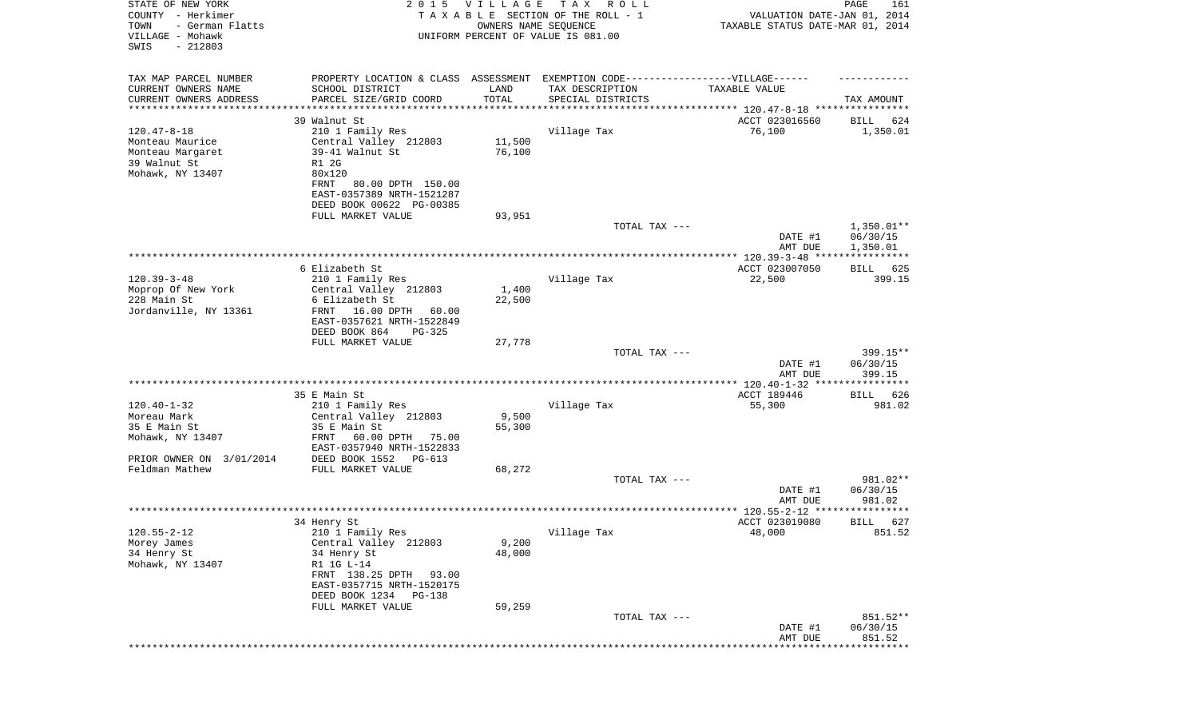| PROPERTY LOCATION & CLASS ASSESSMENT EXEMPTION CODE-----------------VILLAGE------<br>TAX MAP PARCEL NUMBER<br>CURRENT OWNERS NAME<br>SCHOOL DISTRICT<br>LAND<br>TAX DESCRIPTION<br>TAXABLE VALUE<br>TOTAL<br>CURRENT OWNERS ADDRESS<br>PARCEL SIZE/GRID COORD<br>SPECIAL DISTRICTS<br>TAX AMOUNT<br>**********************<br>********************<br>39 Walnut St<br>ACCT 023016560<br>624<br>BILL<br>$120.47 - 8 - 18$<br>210 1 Family Res<br>Village Tax<br>76,100<br>1,350.01<br>Central Valley 212803<br>11,500<br>Monteau Maurice<br>39-41 Walnut St<br>Monteau Margaret<br>76,100<br>39 Walnut St<br>R1 2G<br>Mohawk, NY 13407<br>80x120<br>80.00 DPTH 150.00<br>FRNT<br>EAST-0357389 NRTH-1521287<br>DEED BOOK 00622 PG-00385<br>93,951<br>FULL MARKET VALUE<br>$1,350.01**$<br>TOTAL TAX ---<br>06/30/15<br>DATE #1<br>AMT DUE<br>1,350.01<br>6 Elizabeth St<br>ACCT 023007050<br>BILL 625<br>$120.39 - 3 - 48$<br>Village Tax<br>22,500<br>399.15<br>210 1 Family Res<br>Moprop Of New York<br>Central Valley 212803<br>1,400<br>228 Main St<br>6 Elizabeth St<br>22,500<br>Jordanville, NY 13361<br>16.00 DPTH<br>FRNT<br>60.00<br>EAST-0357621 NRTH-1522849<br>DEED BOOK 864<br>PG-325<br>FULL MARKET VALUE<br>27,778<br>$399.15**$<br>TOTAL TAX ---<br>DATE #1<br>06/30/15<br>AMT DUE<br>399.15<br>ACCT 189446<br>35 E Main St<br>626<br>BILL<br>$120.40 - 1 - 32$<br>210 1 Family Res<br>Village Tax<br>55,300<br>981.02<br>9,500<br>Moreau Mark<br>Central Valley 212803<br>35 E Main St<br>35 E Main St<br>55,300<br>Mohawk, NY 13407<br>FRNT<br>60.00 DPTH<br>75.00<br>EAST-0357940 NRTH-1522833<br>PRIOR OWNER ON 3/01/2014<br>DEED BOOK 1552<br>PG-613<br>Feldman Mathew<br>FULL MARKET VALUE<br>68,272<br>981.02**<br>TOTAL TAX ---<br>06/30/15<br>DATE #1<br>AMT DUE<br>981.02<br>* * * * * *<br>ACCT 023019080<br>627<br>34 Henry St<br>BILL<br>48,000<br>851.52<br>210 1 Family Res<br>Village Tax<br>Central Valley 212803<br>9,200<br>Morey James<br>48,000<br>34 Henry St<br>34 Henry St<br>Mohawk, NY 13407<br>R1 1G L-14<br>FRNT 138.25 DPTH<br>93.00<br>EAST-0357715 NRTH-1520175<br>DEED BOOK 1234<br><b>PG-138</b><br>59,259<br>FULL MARKET VALUE<br>851.52**<br>TOTAL TAX ---<br>DATE #1<br>06/30/15<br>851.52<br>AMT DUE<br>************************** | STATE OF NEW YORK<br>COUNTY - Herkimer<br>- German Flatts<br>TOWN<br>VILLAGE - Mohawk<br>SWIS<br>$-212803$ | 2015 VILLAGE<br>OWNERS NAME SEQUENCE | T A X<br>R O L L<br>TAXABLE SECTION OF THE ROLL - 1<br>UNIFORM PERCENT OF VALUE IS 081.00 | VALUATION DATE-JAN 01, 2014<br>TAXABLE STATUS DATE-MAR 01, 2014 | PAGE<br>161 |
|-----------------------------------------------------------------------------------------------------------------------------------------------------------------------------------------------------------------------------------------------------------------------------------------------------------------------------------------------------------------------------------------------------------------------------------------------------------------------------------------------------------------------------------------------------------------------------------------------------------------------------------------------------------------------------------------------------------------------------------------------------------------------------------------------------------------------------------------------------------------------------------------------------------------------------------------------------------------------------------------------------------------------------------------------------------------------------------------------------------------------------------------------------------------------------------------------------------------------------------------------------------------------------------------------------------------------------------------------------------------------------------------------------------------------------------------------------------------------------------------------------------------------------------------------------------------------------------------------------------------------------------------------------------------------------------------------------------------------------------------------------------------------------------------------------------------------------------------------------------------------------------------------------------------------------------------------------------------------------------------------------------------------------------------------------------------------------------------------------------------------------------------------------------------------------------------------------------------------------------------------------------------------------------------|------------------------------------------------------------------------------------------------------------|--------------------------------------|-------------------------------------------------------------------------------------------|-----------------------------------------------------------------|-------------|
|                                                                                                                                                                                                                                                                                                                                                                                                                                                                                                                                                                                                                                                                                                                                                                                                                                                                                                                                                                                                                                                                                                                                                                                                                                                                                                                                                                                                                                                                                                                                                                                                                                                                                                                                                                                                                                                                                                                                                                                                                                                                                                                                                                                                                                                                                         |                                                                                                            |                                      |                                                                                           |                                                                 |             |
|                                                                                                                                                                                                                                                                                                                                                                                                                                                                                                                                                                                                                                                                                                                                                                                                                                                                                                                                                                                                                                                                                                                                                                                                                                                                                                                                                                                                                                                                                                                                                                                                                                                                                                                                                                                                                                                                                                                                                                                                                                                                                                                                                                                                                                                                                         |                                                                                                            |                                      |                                                                                           |                                                                 |             |
|                                                                                                                                                                                                                                                                                                                                                                                                                                                                                                                                                                                                                                                                                                                                                                                                                                                                                                                                                                                                                                                                                                                                                                                                                                                                                                                                                                                                                                                                                                                                                                                                                                                                                                                                                                                                                                                                                                                                                                                                                                                                                                                                                                                                                                                                                         |                                                                                                            |                                      |                                                                                           |                                                                 |             |
|                                                                                                                                                                                                                                                                                                                                                                                                                                                                                                                                                                                                                                                                                                                                                                                                                                                                                                                                                                                                                                                                                                                                                                                                                                                                                                                                                                                                                                                                                                                                                                                                                                                                                                                                                                                                                                                                                                                                                                                                                                                                                                                                                                                                                                                                                         |                                                                                                            |                                      |                                                                                           |                                                                 |             |
|                                                                                                                                                                                                                                                                                                                                                                                                                                                                                                                                                                                                                                                                                                                                                                                                                                                                                                                                                                                                                                                                                                                                                                                                                                                                                                                                                                                                                                                                                                                                                                                                                                                                                                                                                                                                                                                                                                                                                                                                                                                                                                                                                                                                                                                                                         |                                                                                                            |                                      |                                                                                           |                                                                 |             |
|                                                                                                                                                                                                                                                                                                                                                                                                                                                                                                                                                                                                                                                                                                                                                                                                                                                                                                                                                                                                                                                                                                                                                                                                                                                                                                                                                                                                                                                                                                                                                                                                                                                                                                                                                                                                                                                                                                                                                                                                                                                                                                                                                                                                                                                                                         |                                                                                                            |                                      |                                                                                           |                                                                 |             |
|                                                                                                                                                                                                                                                                                                                                                                                                                                                                                                                                                                                                                                                                                                                                                                                                                                                                                                                                                                                                                                                                                                                                                                                                                                                                                                                                                                                                                                                                                                                                                                                                                                                                                                                                                                                                                                                                                                                                                                                                                                                                                                                                                                                                                                                                                         |                                                                                                            |                                      |                                                                                           |                                                                 |             |
|                                                                                                                                                                                                                                                                                                                                                                                                                                                                                                                                                                                                                                                                                                                                                                                                                                                                                                                                                                                                                                                                                                                                                                                                                                                                                                                                                                                                                                                                                                                                                                                                                                                                                                                                                                                                                                                                                                                                                                                                                                                                                                                                                                                                                                                                                         |                                                                                                            |                                      |                                                                                           |                                                                 |             |
|                                                                                                                                                                                                                                                                                                                                                                                                                                                                                                                                                                                                                                                                                                                                                                                                                                                                                                                                                                                                                                                                                                                                                                                                                                                                                                                                                                                                                                                                                                                                                                                                                                                                                                                                                                                                                                                                                                                                                                                                                                                                                                                                                                                                                                                                                         |                                                                                                            |                                      |                                                                                           |                                                                 |             |
|                                                                                                                                                                                                                                                                                                                                                                                                                                                                                                                                                                                                                                                                                                                                                                                                                                                                                                                                                                                                                                                                                                                                                                                                                                                                                                                                                                                                                                                                                                                                                                                                                                                                                                                                                                                                                                                                                                                                                                                                                                                                                                                                                                                                                                                                                         |                                                                                                            |                                      |                                                                                           |                                                                 |             |
|                                                                                                                                                                                                                                                                                                                                                                                                                                                                                                                                                                                                                                                                                                                                                                                                                                                                                                                                                                                                                                                                                                                                                                                                                                                                                                                                                                                                                                                                                                                                                                                                                                                                                                                                                                                                                                                                                                                                                                                                                                                                                                                                                                                                                                                                                         |                                                                                                            |                                      |                                                                                           |                                                                 |             |
|                                                                                                                                                                                                                                                                                                                                                                                                                                                                                                                                                                                                                                                                                                                                                                                                                                                                                                                                                                                                                                                                                                                                                                                                                                                                                                                                                                                                                                                                                                                                                                                                                                                                                                                                                                                                                                                                                                                                                                                                                                                                                                                                                                                                                                                                                         |                                                                                                            |                                      |                                                                                           |                                                                 |             |
|                                                                                                                                                                                                                                                                                                                                                                                                                                                                                                                                                                                                                                                                                                                                                                                                                                                                                                                                                                                                                                                                                                                                                                                                                                                                                                                                                                                                                                                                                                                                                                                                                                                                                                                                                                                                                                                                                                                                                                                                                                                                                                                                                                                                                                                                                         |                                                                                                            |                                      |                                                                                           |                                                                 |             |
|                                                                                                                                                                                                                                                                                                                                                                                                                                                                                                                                                                                                                                                                                                                                                                                                                                                                                                                                                                                                                                                                                                                                                                                                                                                                                                                                                                                                                                                                                                                                                                                                                                                                                                                                                                                                                                                                                                                                                                                                                                                                                                                                                                                                                                                                                         |                                                                                                            |                                      |                                                                                           |                                                                 |             |
|                                                                                                                                                                                                                                                                                                                                                                                                                                                                                                                                                                                                                                                                                                                                                                                                                                                                                                                                                                                                                                                                                                                                                                                                                                                                                                                                                                                                                                                                                                                                                                                                                                                                                                                                                                                                                                                                                                                                                                                                                                                                                                                                                                                                                                                                                         |                                                                                                            |                                      |                                                                                           |                                                                 |             |
|                                                                                                                                                                                                                                                                                                                                                                                                                                                                                                                                                                                                                                                                                                                                                                                                                                                                                                                                                                                                                                                                                                                                                                                                                                                                                                                                                                                                                                                                                                                                                                                                                                                                                                                                                                                                                                                                                                                                                                                                                                                                                                                                                                                                                                                                                         |                                                                                                            |                                      |                                                                                           |                                                                 |             |
|                                                                                                                                                                                                                                                                                                                                                                                                                                                                                                                                                                                                                                                                                                                                                                                                                                                                                                                                                                                                                                                                                                                                                                                                                                                                                                                                                                                                                                                                                                                                                                                                                                                                                                                                                                                                                                                                                                                                                                                                                                                                                                                                                                                                                                                                                         |                                                                                                            |                                      |                                                                                           |                                                                 |             |
|                                                                                                                                                                                                                                                                                                                                                                                                                                                                                                                                                                                                                                                                                                                                                                                                                                                                                                                                                                                                                                                                                                                                                                                                                                                                                                                                                                                                                                                                                                                                                                                                                                                                                                                                                                                                                                                                                                                                                                                                                                                                                                                                                                                                                                                                                         |                                                                                                            |                                      |                                                                                           |                                                                 |             |
|                                                                                                                                                                                                                                                                                                                                                                                                                                                                                                                                                                                                                                                                                                                                                                                                                                                                                                                                                                                                                                                                                                                                                                                                                                                                                                                                                                                                                                                                                                                                                                                                                                                                                                                                                                                                                                                                                                                                                                                                                                                                                                                                                                                                                                                                                         |                                                                                                            |                                      |                                                                                           |                                                                 |             |
|                                                                                                                                                                                                                                                                                                                                                                                                                                                                                                                                                                                                                                                                                                                                                                                                                                                                                                                                                                                                                                                                                                                                                                                                                                                                                                                                                                                                                                                                                                                                                                                                                                                                                                                                                                                                                                                                                                                                                                                                                                                                                                                                                                                                                                                                                         |                                                                                                            |                                      |                                                                                           |                                                                 |             |
|                                                                                                                                                                                                                                                                                                                                                                                                                                                                                                                                                                                                                                                                                                                                                                                                                                                                                                                                                                                                                                                                                                                                                                                                                                                                                                                                                                                                                                                                                                                                                                                                                                                                                                                                                                                                                                                                                                                                                                                                                                                                                                                                                                                                                                                                                         |                                                                                                            |                                      |                                                                                           |                                                                 |             |
|                                                                                                                                                                                                                                                                                                                                                                                                                                                                                                                                                                                                                                                                                                                                                                                                                                                                                                                                                                                                                                                                                                                                                                                                                                                                                                                                                                                                                                                                                                                                                                                                                                                                                                                                                                                                                                                                                                                                                                                                                                                                                                                                                                                                                                                                                         |                                                                                                            |                                      |                                                                                           |                                                                 |             |
|                                                                                                                                                                                                                                                                                                                                                                                                                                                                                                                                                                                                                                                                                                                                                                                                                                                                                                                                                                                                                                                                                                                                                                                                                                                                                                                                                                                                                                                                                                                                                                                                                                                                                                                                                                                                                                                                                                                                                                                                                                                                                                                                                                                                                                                                                         |                                                                                                            |                                      |                                                                                           |                                                                 |             |
|                                                                                                                                                                                                                                                                                                                                                                                                                                                                                                                                                                                                                                                                                                                                                                                                                                                                                                                                                                                                                                                                                                                                                                                                                                                                                                                                                                                                                                                                                                                                                                                                                                                                                                                                                                                                                                                                                                                                                                                                                                                                                                                                                                                                                                                                                         |                                                                                                            |                                      |                                                                                           |                                                                 |             |
|                                                                                                                                                                                                                                                                                                                                                                                                                                                                                                                                                                                                                                                                                                                                                                                                                                                                                                                                                                                                                                                                                                                                                                                                                                                                                                                                                                                                                                                                                                                                                                                                                                                                                                                                                                                                                                                                                                                                                                                                                                                                                                                                                                                                                                                                                         |                                                                                                            |                                      |                                                                                           |                                                                 |             |
|                                                                                                                                                                                                                                                                                                                                                                                                                                                                                                                                                                                                                                                                                                                                                                                                                                                                                                                                                                                                                                                                                                                                                                                                                                                                                                                                                                                                                                                                                                                                                                                                                                                                                                                                                                                                                                                                                                                                                                                                                                                                                                                                                                                                                                                                                         |                                                                                                            |                                      |                                                                                           |                                                                 |             |
|                                                                                                                                                                                                                                                                                                                                                                                                                                                                                                                                                                                                                                                                                                                                                                                                                                                                                                                                                                                                                                                                                                                                                                                                                                                                                                                                                                                                                                                                                                                                                                                                                                                                                                                                                                                                                                                                                                                                                                                                                                                                                                                                                                                                                                                                                         |                                                                                                            |                                      |                                                                                           |                                                                 |             |
|                                                                                                                                                                                                                                                                                                                                                                                                                                                                                                                                                                                                                                                                                                                                                                                                                                                                                                                                                                                                                                                                                                                                                                                                                                                                                                                                                                                                                                                                                                                                                                                                                                                                                                                                                                                                                                                                                                                                                                                                                                                                                                                                                                                                                                                                                         |                                                                                                            |                                      |                                                                                           |                                                                 |             |
|                                                                                                                                                                                                                                                                                                                                                                                                                                                                                                                                                                                                                                                                                                                                                                                                                                                                                                                                                                                                                                                                                                                                                                                                                                                                                                                                                                                                                                                                                                                                                                                                                                                                                                                                                                                                                                                                                                                                                                                                                                                                                                                                                                                                                                                                                         |                                                                                                            |                                      |                                                                                           |                                                                 |             |
|                                                                                                                                                                                                                                                                                                                                                                                                                                                                                                                                                                                                                                                                                                                                                                                                                                                                                                                                                                                                                                                                                                                                                                                                                                                                                                                                                                                                                                                                                                                                                                                                                                                                                                                                                                                                                                                                                                                                                                                                                                                                                                                                                                                                                                                                                         |                                                                                                            |                                      |                                                                                           |                                                                 |             |
|                                                                                                                                                                                                                                                                                                                                                                                                                                                                                                                                                                                                                                                                                                                                                                                                                                                                                                                                                                                                                                                                                                                                                                                                                                                                                                                                                                                                                                                                                                                                                                                                                                                                                                                                                                                                                                                                                                                                                                                                                                                                                                                                                                                                                                                                                         |                                                                                                            |                                      |                                                                                           |                                                                 |             |
|                                                                                                                                                                                                                                                                                                                                                                                                                                                                                                                                                                                                                                                                                                                                                                                                                                                                                                                                                                                                                                                                                                                                                                                                                                                                                                                                                                                                                                                                                                                                                                                                                                                                                                                                                                                                                                                                                                                                                                                                                                                                                                                                                                                                                                                                                         |                                                                                                            |                                      |                                                                                           |                                                                 |             |
|                                                                                                                                                                                                                                                                                                                                                                                                                                                                                                                                                                                                                                                                                                                                                                                                                                                                                                                                                                                                                                                                                                                                                                                                                                                                                                                                                                                                                                                                                                                                                                                                                                                                                                                                                                                                                                                                                                                                                                                                                                                                                                                                                                                                                                                                                         |                                                                                                            |                                      |                                                                                           |                                                                 |             |
|                                                                                                                                                                                                                                                                                                                                                                                                                                                                                                                                                                                                                                                                                                                                                                                                                                                                                                                                                                                                                                                                                                                                                                                                                                                                                                                                                                                                                                                                                                                                                                                                                                                                                                                                                                                                                                                                                                                                                                                                                                                                                                                                                                                                                                                                                         |                                                                                                            |                                      |                                                                                           |                                                                 |             |
|                                                                                                                                                                                                                                                                                                                                                                                                                                                                                                                                                                                                                                                                                                                                                                                                                                                                                                                                                                                                                                                                                                                                                                                                                                                                                                                                                                                                                                                                                                                                                                                                                                                                                                                                                                                                                                                                                                                                                                                                                                                                                                                                                                                                                                                                                         |                                                                                                            |                                      |                                                                                           |                                                                 |             |
|                                                                                                                                                                                                                                                                                                                                                                                                                                                                                                                                                                                                                                                                                                                                                                                                                                                                                                                                                                                                                                                                                                                                                                                                                                                                                                                                                                                                                                                                                                                                                                                                                                                                                                                                                                                                                                                                                                                                                                                                                                                                                                                                                                                                                                                                                         |                                                                                                            |                                      |                                                                                           |                                                                 |             |
|                                                                                                                                                                                                                                                                                                                                                                                                                                                                                                                                                                                                                                                                                                                                                                                                                                                                                                                                                                                                                                                                                                                                                                                                                                                                                                                                                                                                                                                                                                                                                                                                                                                                                                                                                                                                                                                                                                                                                                                                                                                                                                                                                                                                                                                                                         | $120.55 - 2 - 12$                                                                                          |                                      |                                                                                           |                                                                 |             |
|                                                                                                                                                                                                                                                                                                                                                                                                                                                                                                                                                                                                                                                                                                                                                                                                                                                                                                                                                                                                                                                                                                                                                                                                                                                                                                                                                                                                                                                                                                                                                                                                                                                                                                                                                                                                                                                                                                                                                                                                                                                                                                                                                                                                                                                                                         |                                                                                                            |                                      |                                                                                           |                                                                 |             |
|                                                                                                                                                                                                                                                                                                                                                                                                                                                                                                                                                                                                                                                                                                                                                                                                                                                                                                                                                                                                                                                                                                                                                                                                                                                                                                                                                                                                                                                                                                                                                                                                                                                                                                                                                                                                                                                                                                                                                                                                                                                                                                                                                                                                                                                                                         |                                                                                                            |                                      |                                                                                           |                                                                 |             |
|                                                                                                                                                                                                                                                                                                                                                                                                                                                                                                                                                                                                                                                                                                                                                                                                                                                                                                                                                                                                                                                                                                                                                                                                                                                                                                                                                                                                                                                                                                                                                                                                                                                                                                                                                                                                                                                                                                                                                                                                                                                                                                                                                                                                                                                                                         |                                                                                                            |                                      |                                                                                           |                                                                 |             |
|                                                                                                                                                                                                                                                                                                                                                                                                                                                                                                                                                                                                                                                                                                                                                                                                                                                                                                                                                                                                                                                                                                                                                                                                                                                                                                                                                                                                                                                                                                                                                                                                                                                                                                                                                                                                                                                                                                                                                                                                                                                                                                                                                                                                                                                                                         |                                                                                                            |                                      |                                                                                           |                                                                 |             |
|                                                                                                                                                                                                                                                                                                                                                                                                                                                                                                                                                                                                                                                                                                                                                                                                                                                                                                                                                                                                                                                                                                                                                                                                                                                                                                                                                                                                                                                                                                                                                                                                                                                                                                                                                                                                                                                                                                                                                                                                                                                                                                                                                                                                                                                                                         |                                                                                                            |                                      |                                                                                           |                                                                 |             |
|                                                                                                                                                                                                                                                                                                                                                                                                                                                                                                                                                                                                                                                                                                                                                                                                                                                                                                                                                                                                                                                                                                                                                                                                                                                                                                                                                                                                                                                                                                                                                                                                                                                                                                                                                                                                                                                                                                                                                                                                                                                                                                                                                                                                                                                                                         |                                                                                                            |                                      |                                                                                           |                                                                 |             |
|                                                                                                                                                                                                                                                                                                                                                                                                                                                                                                                                                                                                                                                                                                                                                                                                                                                                                                                                                                                                                                                                                                                                                                                                                                                                                                                                                                                                                                                                                                                                                                                                                                                                                                                                                                                                                                                                                                                                                                                                                                                                                                                                                                                                                                                                                         |                                                                                                            |                                      |                                                                                           |                                                                 |             |
|                                                                                                                                                                                                                                                                                                                                                                                                                                                                                                                                                                                                                                                                                                                                                                                                                                                                                                                                                                                                                                                                                                                                                                                                                                                                                                                                                                                                                                                                                                                                                                                                                                                                                                                                                                                                                                                                                                                                                                                                                                                                                                                                                                                                                                                                                         |                                                                                                            |                                      |                                                                                           |                                                                 |             |
|                                                                                                                                                                                                                                                                                                                                                                                                                                                                                                                                                                                                                                                                                                                                                                                                                                                                                                                                                                                                                                                                                                                                                                                                                                                                                                                                                                                                                                                                                                                                                                                                                                                                                                                                                                                                                                                                                                                                                                                                                                                                                                                                                                                                                                                                                         |                                                                                                            |                                      |                                                                                           |                                                                 |             |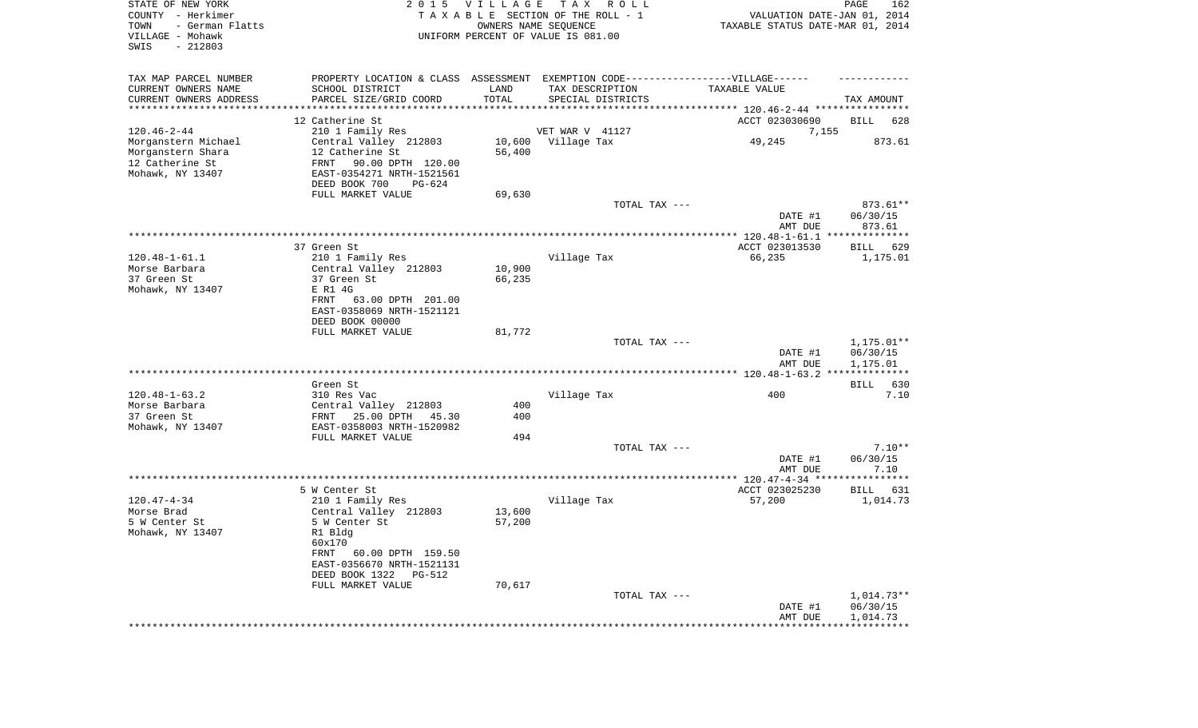| STATE OF NEW YORK<br>COUNTY - Herkimer<br>TOWN<br>- German Flatts<br>VILLAGE - Mohawk<br>SWIS<br>$-212803$ | 2 0 1 5                                                                          | VILLAGE    | TAX ROLL<br>TAXABLE SECTION OF THE ROLL - 1<br>OWNERS NAME SEQUENCE<br>UNIFORM PERCENT OF VALUE IS 081.00 | VALUATION DATE-JAN 01, 2014<br>TAXABLE STATUS DATE-MAR 01, 2014 | PAGE<br>162          |
|------------------------------------------------------------------------------------------------------------|----------------------------------------------------------------------------------|------------|-----------------------------------------------------------------------------------------------------------|-----------------------------------------------------------------|----------------------|
| TAX MAP PARCEL NUMBER                                                                                      | PROPERTY LOCATION & CLASS ASSESSMENT EXEMPTION CODE----------------VILLAGE------ |            |                                                                                                           |                                                                 |                      |
| CURRENT OWNERS NAME                                                                                        | SCHOOL DISTRICT                                                                  | LAND       | TAX DESCRIPTION                                                                                           | TAXABLE VALUE                                                   |                      |
| CURRENT OWNERS ADDRESS                                                                                     | PARCEL SIZE/GRID COORD                                                           | TOTAL      | SPECIAL DISTRICTS                                                                                         |                                                                 | TAX AMOUNT           |
| **********************                                                                                     | ********************************                                                 |            |                                                                                                           |                                                                 |                      |
| $120.46 - 2 - 44$                                                                                          | 12 Catherine St<br>210 1 Family Res                                              |            |                                                                                                           | ACCT 023030690                                                  | BILL<br>628          |
| Morganstern Michael                                                                                        | Central Valley 212803                                                            |            | VET WAR V 41127<br>10,600 Village Tax                                                                     | 7,155<br>49,245                                                 | 873.61               |
| Morganstern Shara                                                                                          | 12 Catherine St                                                                  | 56,400     |                                                                                                           |                                                                 |                      |
| 12 Catherine St                                                                                            | FRNT<br>90.00 DPTH 120.00                                                        |            |                                                                                                           |                                                                 |                      |
| Mohawk, NY 13407                                                                                           | EAST-0354271 NRTH-1521561                                                        |            |                                                                                                           |                                                                 |                      |
|                                                                                                            | DEED BOOK 700<br>PG-624                                                          |            |                                                                                                           |                                                                 |                      |
|                                                                                                            | FULL MARKET VALUE                                                                | 69,630     |                                                                                                           |                                                                 |                      |
|                                                                                                            |                                                                                  |            | TOTAL TAX ---                                                                                             |                                                                 | 873.61**             |
|                                                                                                            |                                                                                  |            |                                                                                                           | DATE #1                                                         | 06/30/15             |
|                                                                                                            |                                                                                  |            |                                                                                                           | AMT DUE                                                         | 873.61               |
|                                                                                                            | 37 Green St                                                                      |            |                                                                                                           | ACCT 023013530                                                  | BILL<br>629          |
| $120.48 - 1 - 61.1$                                                                                        | 210 1 Family Res                                                                 |            | Village Tax                                                                                               | 66,235                                                          | 1,175.01             |
| Morse Barbara                                                                                              | Central Valley 212803                                                            | 10,900     |                                                                                                           |                                                                 |                      |
| 37 Green St                                                                                                | 37 Green St                                                                      | 66,235     |                                                                                                           |                                                                 |                      |
| Mohawk, NY 13407                                                                                           | E R1 4G                                                                          |            |                                                                                                           |                                                                 |                      |
|                                                                                                            | FRNT<br>63.00 DPTH 201.00                                                        |            |                                                                                                           |                                                                 |                      |
|                                                                                                            | EAST-0358069 NRTH-1521121                                                        |            |                                                                                                           |                                                                 |                      |
|                                                                                                            | DEED BOOK 00000<br>FULL MARKET VALUE                                             | 81,772     |                                                                                                           |                                                                 |                      |
|                                                                                                            |                                                                                  |            | TOTAL TAX ---                                                                                             |                                                                 | $1,175.01**$         |
|                                                                                                            |                                                                                  |            |                                                                                                           | DATE #1<br>AMT DUE                                              | 06/30/15<br>1,175.01 |
|                                                                                                            |                                                                                  |            |                                                                                                           |                                                                 |                      |
|                                                                                                            | Green St                                                                         |            |                                                                                                           |                                                                 | BILL<br>630          |
| $120.48 - 1 - 63.2$                                                                                        | 310 Res Vac                                                                      |            | Village Tax                                                                                               | 400                                                             | 7.10                 |
| Morse Barbara<br>37 Green St                                                                               | Central Valley 212803<br>25.00 DPTH<br>FRNT<br>45.30                             | 400<br>400 |                                                                                                           |                                                                 |                      |
| Mohawk, NY 13407                                                                                           | EAST-0358003 NRTH-1520982                                                        |            |                                                                                                           |                                                                 |                      |
|                                                                                                            | FULL MARKET VALUE                                                                | 494        |                                                                                                           |                                                                 |                      |
|                                                                                                            |                                                                                  |            | TOTAL TAX ---                                                                                             |                                                                 | $7.10**$             |
|                                                                                                            |                                                                                  |            |                                                                                                           | DATE #1                                                         | 06/30/15             |
|                                                                                                            |                                                                                  |            |                                                                                                           | AMT DUE                                                         | 7.10                 |
|                                                                                                            | 5 W Center St                                                                    |            |                                                                                                           | ACCT 023025230                                                  | BILL<br>631          |
| $120.47 - 4 - 34$                                                                                          | 210 1 Family Res                                                                 |            | Village Tax                                                                                               | 57,200                                                          | 1,014.73             |
| Morse Brad                                                                                                 | Central Valley 212803                                                            | 13,600     |                                                                                                           |                                                                 |                      |
| 5 W Center St                                                                                              | 5 W Center St                                                                    | 57,200     |                                                                                                           |                                                                 |                      |
| Mohawk, NY 13407                                                                                           | R1 Bldg                                                                          |            |                                                                                                           |                                                                 |                      |
|                                                                                                            | 60x170                                                                           |            |                                                                                                           |                                                                 |                      |
|                                                                                                            | FRNT 60.00 DPTH 159.50                                                           |            |                                                                                                           |                                                                 |                      |
|                                                                                                            | EAST-0356670 NRTH-1521131<br>DEED BOOK 1322 PG-512                               |            |                                                                                                           |                                                                 |                      |
|                                                                                                            | FULL MARKET VALUE                                                                | 70,617     |                                                                                                           |                                                                 |                      |
|                                                                                                            |                                                                                  |            | TOTAL TAX ---                                                                                             |                                                                 | 1,014.73**           |
|                                                                                                            |                                                                                  |            |                                                                                                           | DATE #1                                                         | 06/30/15             |
|                                                                                                            |                                                                                  |            |                                                                                                           | AMT DUE                                                         | 1,014.73             |
|                                                                                                            |                                                                                  |            |                                                                                                           | ***********************************                             |                      |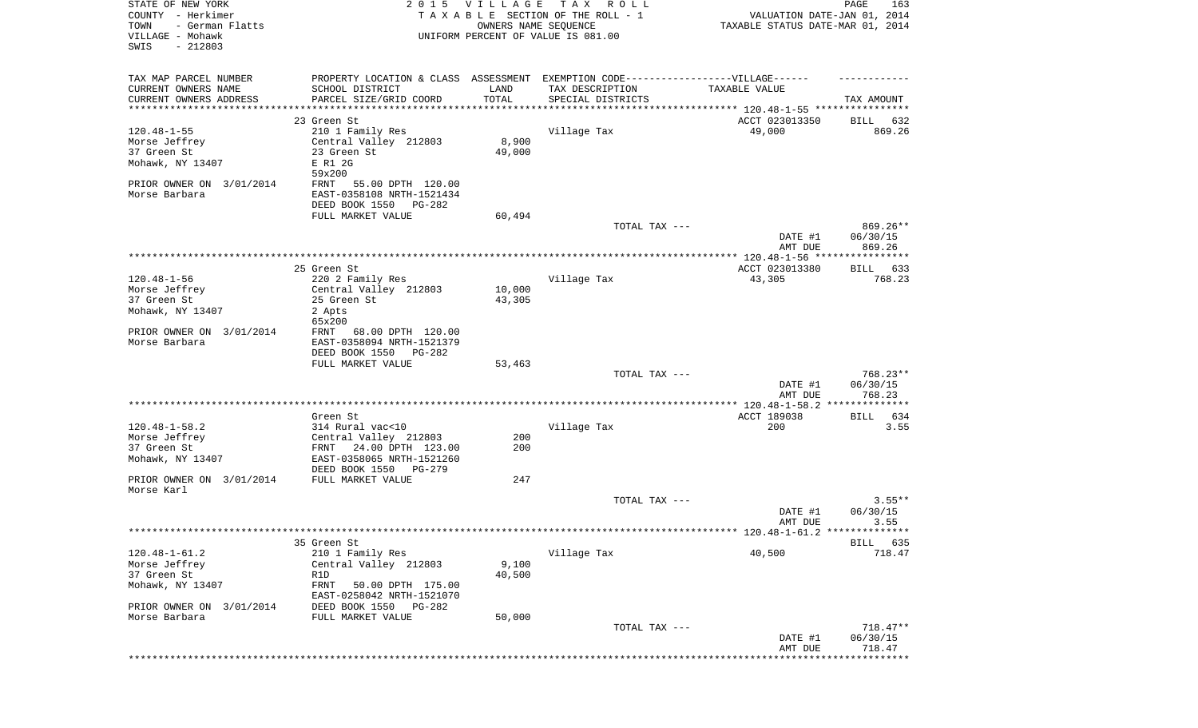| STATE OF NEW YORK<br>COUNTY - Herkimer<br>TOWN<br>- German Flatts<br>VILLAGE - Mohawk<br>SWIS<br>$-212803$         |                                                                                                                                                       | 2015 VILLAGE<br>OWNERS NAME SEQUENCE | TAX ROLL<br>TAXABLE SECTION OF THE ROLL - 1<br>UNIFORM PERCENT OF VALUE IS 081.00 | VALUATION DATE-JAN 01, 2014<br>TAXABLE STATUS DATE-MAR 01, 2014 | PAGE<br>163                      |
|--------------------------------------------------------------------------------------------------------------------|-------------------------------------------------------------------------------------------------------------------------------------------------------|--------------------------------------|-----------------------------------------------------------------------------------|-----------------------------------------------------------------|----------------------------------|
| TAX MAP PARCEL NUMBER<br>CURRENT OWNERS NAME<br>CURRENT OWNERS ADDRESS<br>**********************                   | PROPERTY LOCATION & CLASS ASSESSMENT EXEMPTION CODE----------------VILLAGE------<br>SCHOOL DISTRICT<br>PARCEL SIZE/GRID COORD                         | LAND<br>TOTAL                        | TAX DESCRIPTION<br>SPECIAL DISTRICTS                                              | TAXABLE VALUE                                                   | TAX AMOUNT                       |
|                                                                                                                    | 23 Green St                                                                                                                                           |                                      |                                                                                   | ACCT 023013350                                                  | BILL 632                         |
| $120.48 - 1 - 55$<br>Morse Jeffrey<br>37 Green St<br>Mohawk, NY 13407<br>PRIOR OWNER ON 3/01/2014<br>Morse Barbara | 210 1 Family Res<br>Central Valley 212803<br>23 Green St<br>E R1 2G<br>59x200<br>FRNT<br>55.00 DPTH 120.00<br>EAST-0358108 NRTH-1521434               | 8,900<br>49,000                      | Village Tax                                                                       | 49,000                                                          | 869.26                           |
|                                                                                                                    | DEED BOOK 1550 PG-282<br>FULL MARKET VALUE                                                                                                            | 60,494                               |                                                                                   |                                                                 |                                  |
|                                                                                                                    |                                                                                                                                                       |                                      | TOTAL TAX ---                                                                     | DATE #1<br>AMT DUE                                              | 869.26**<br>06/30/15<br>869.26   |
|                                                                                                                    |                                                                                                                                                       |                                      |                                                                                   |                                                                 |                                  |
| $120.48 - 1 - 56$<br>Morse Jeffrey<br>37 Green St<br>Mohawk, NY 13407<br>PRIOR OWNER ON 3/01/2014<br>Morse Barbara | 25 Green St<br>220 2 Family Res<br>Central Valley 212803<br>25 Green St<br>2 Apts<br>65x200<br>FRNT<br>68.00 DPTH 120.00<br>EAST-0358094 NRTH-1521379 | 10,000<br>43,305                     | Village Tax                                                                       | ACCT 023013380<br>43,305                                        | BILL 633<br>768.23               |
|                                                                                                                    | DEED BOOK 1550 PG-282<br>FULL MARKET VALUE                                                                                                            | 53,463                               |                                                                                   |                                                                 |                                  |
|                                                                                                                    |                                                                                                                                                       |                                      | TOTAL TAX ---                                                                     | DATE #1<br>AMT DUE                                              | 768.23**<br>06/30/15<br>768.23   |
|                                                                                                                    |                                                                                                                                                       |                                      |                                                                                   |                                                                 |                                  |
| $120.48 - 1 - 58.2$<br>Morse Jeffrey<br>37 Green St<br>Mohawk, NY 13407                                            | Green St<br>314 Rural vac<10<br>Central Valley 212803<br>24.00 DPTH 123.00<br>FRNT<br>EAST-0358065 NRTH-1521260<br>DEED BOOK 1550<br>PG-279           | 200<br>200                           | Village Tax                                                                       | ACCT 189038<br>200                                              | BILL 634<br>3.55                 |
| PRIOR OWNER ON 3/01/2014                                                                                           | FULL MARKET VALUE                                                                                                                                     | 247                                  |                                                                                   |                                                                 |                                  |
| Morse Karl                                                                                                         |                                                                                                                                                       |                                      | TOTAL TAX ---                                                                     | DATE #1<br>AMT DUE                                              | $3.55**$<br>06/30/15<br>3.55     |
|                                                                                                                    |                                                                                                                                                       |                                      |                                                                                   |                                                                 |                                  |
| $120.48 - 1 - 61.2$<br>Morse Jeffrey<br>37 Green St<br>Mohawk, NY 13407<br>PRIOR OWNER ON<br>3/01/2014             | 35 Green St<br>210 1 Family Res<br>Central Valley 212803<br>R1D<br>FRNT<br>50.00 DPTH 175.00<br>EAST-0258042 NRTH-1521070<br>DEED BOOK 1550<br>PG-282 | 9,100<br>40,500                      | Village Tax                                                                       | 40,500                                                          | <b>BILL</b><br>635<br>718.47     |
| Morse Barbara                                                                                                      | FULL MARKET VALUE                                                                                                                                     | 50,000                               | TOTAL TAX ---                                                                     | DATE #1<br>AMT DUE                                              | $718.47**$<br>06/30/15<br>718.47 |
|                                                                                                                    |                                                                                                                                                       |                                      |                                                                                   |                                                                 | *********                        |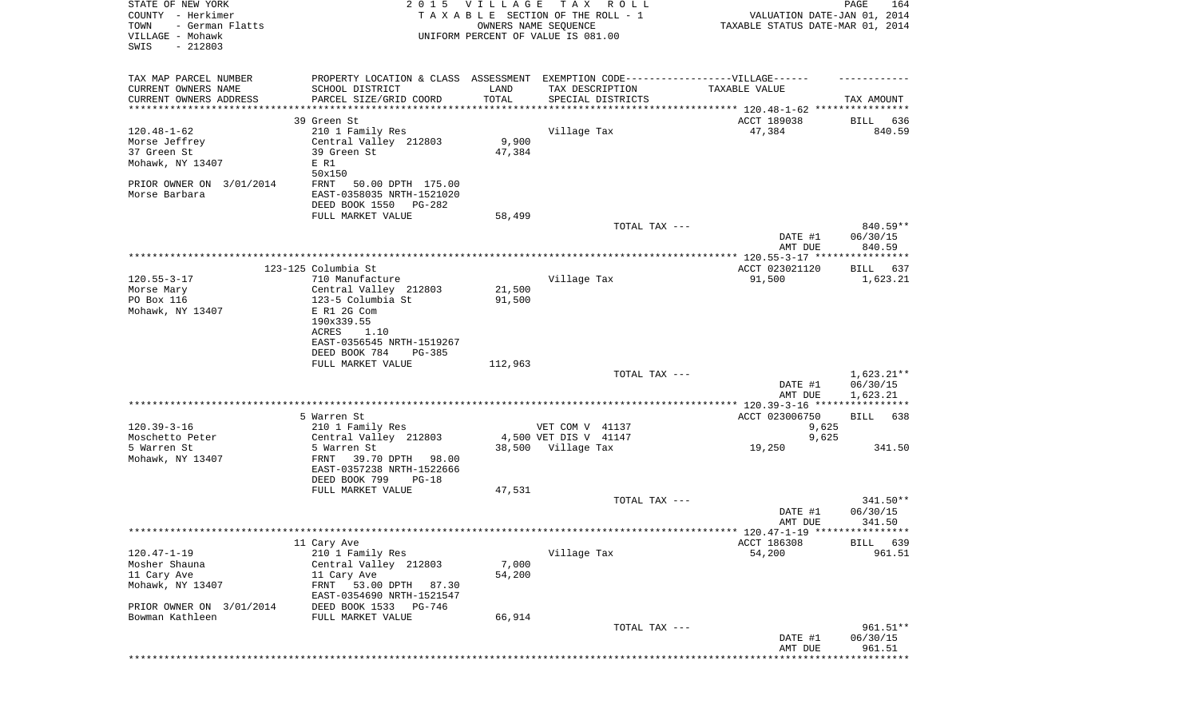| STATE OF NEW YORK<br>COUNTY - Herkimer<br>TOWN<br>- German Flatts<br>VILLAGE - Mohawk<br>SWIS<br>$-212803$ |                                                                                                                                | 2015 VILLAGE<br>TAXABLE SECTION OF THE ROLL - 1<br>OWNERS NAME SEQUENCE<br>UNIFORM PERCENT OF VALUE IS 081.00 |                       | TAX ROLL          | VALUATION DATE-JAN 01, 2014<br>TAXABLE STATUS DATE-MAR 01, 2014 | PAGE<br>164                          |
|------------------------------------------------------------------------------------------------------------|--------------------------------------------------------------------------------------------------------------------------------|---------------------------------------------------------------------------------------------------------------|-----------------------|-------------------|-----------------------------------------------------------------|--------------------------------------|
| TAX MAP PARCEL NUMBER<br>CURRENT OWNERS NAME<br>CURRENT OWNERS ADDRESS                                     | PROPERTY LOCATION & CLASS ASSESSMENT EXEMPTION CODE-----------------VILLAGE------<br>SCHOOL DISTRICT<br>PARCEL SIZE/GRID COORD | LAND<br>TOTAL                                                                                                 | TAX DESCRIPTION       | SPECIAL DISTRICTS | TAXABLE VALUE                                                   | TAX AMOUNT                           |
| *********************                                                                                      | *******************                                                                                                            | *************                                                                                                 |                       |                   |                                                                 |                                      |
|                                                                                                            | 39 Green St                                                                                                                    |                                                                                                               |                       |                   | ACCT 189038                                                     | BILL<br>636                          |
| $120.48 - 1 - 62$<br>Morse Jeffrey                                                                         | 210 1 Family Res<br>Central Valley 212803                                                                                      | 9,900                                                                                                         | Village Tax           |                   | 47,384                                                          | 840.59                               |
| 37 Green St                                                                                                | 39 Green St                                                                                                                    | 47,384                                                                                                        |                       |                   |                                                                 |                                      |
| Mohawk, NY 13407                                                                                           | E R1                                                                                                                           |                                                                                                               |                       |                   |                                                                 |                                      |
|                                                                                                            | 50x150                                                                                                                         |                                                                                                               |                       |                   |                                                                 |                                      |
| PRIOR OWNER ON 3/01/2014<br>Morse Barbara                                                                  | FRNT<br>50.00 DPTH 175.00<br>EAST-0358035 NRTH-1521020<br>DEED BOOK 1550 PG-282                                                |                                                                                                               |                       |                   |                                                                 |                                      |
|                                                                                                            | FULL MARKET VALUE                                                                                                              | 58,499                                                                                                        |                       |                   |                                                                 |                                      |
|                                                                                                            |                                                                                                                                |                                                                                                               |                       | TOTAL TAX ---     |                                                                 | 840.59**                             |
|                                                                                                            |                                                                                                                                |                                                                                                               |                       |                   | DATE #1<br>AMT DUE                                              | 06/30/15<br>840.59                   |
|                                                                                                            |                                                                                                                                |                                                                                                               |                       |                   |                                                                 |                                      |
| $120.55 - 3 - 17$                                                                                          | 123-125 Columbia St<br>710 Manufacture                                                                                         |                                                                                                               | Village Tax           |                   | ACCT 023021120<br>91,500                                        | BILL 637<br>1,623.21                 |
| Morse Mary                                                                                                 | Central Valley 212803                                                                                                          | 21,500                                                                                                        |                       |                   |                                                                 |                                      |
| PO Box 116                                                                                                 | 123-5 Columbia St                                                                                                              | 91,500                                                                                                        |                       |                   |                                                                 |                                      |
| Mohawk, NY 13407                                                                                           | E R1 2G Com                                                                                                                    |                                                                                                               |                       |                   |                                                                 |                                      |
|                                                                                                            | 190x339.55                                                                                                                     |                                                                                                               |                       |                   |                                                                 |                                      |
|                                                                                                            | ACRES<br>1.10                                                                                                                  |                                                                                                               |                       |                   |                                                                 |                                      |
|                                                                                                            | EAST-0356545 NRTH-1519267<br>DEED BOOK 784<br>PG-385                                                                           |                                                                                                               |                       |                   |                                                                 |                                      |
|                                                                                                            | FULL MARKET VALUE                                                                                                              | 112,963                                                                                                       |                       |                   |                                                                 |                                      |
|                                                                                                            |                                                                                                                                |                                                                                                               |                       | TOTAL TAX ---     | DATE #1<br>AMT DUE                                              | $1,623.21**$<br>06/30/15<br>1,623.21 |
|                                                                                                            | 5 Warren St                                                                                                                    |                                                                                                               |                       |                   | ************** 120.39-3-16 *****************<br>ACCT 023006750  | BILL<br>638                          |
| $120.39 - 3 - 16$                                                                                          | 210 1 Family Res                                                                                                               |                                                                                                               | VET COM V 41137       |                   | 9,625                                                           |                                      |
| Moschetto Peter                                                                                            | Central Valley 212803                                                                                                          |                                                                                                               | 4,500 VET DIS V 41147 |                   | 9,625                                                           |                                      |
| 5 Warren St                                                                                                | 5 Warren St                                                                                                                    |                                                                                                               | 38,500 Village Tax    |                   | 19,250                                                          | 341.50                               |
| Mohawk, NY 13407                                                                                           | 39.70 DPTH 98.00<br>FRNT                                                                                                       |                                                                                                               |                       |                   |                                                                 |                                      |
|                                                                                                            | EAST-0357238 NRTH-1522666<br>DEED BOOK 799<br>PG-18                                                                            |                                                                                                               |                       |                   |                                                                 |                                      |
|                                                                                                            | FULL MARKET VALUE                                                                                                              | 47,531                                                                                                        |                       |                   |                                                                 |                                      |
|                                                                                                            |                                                                                                                                |                                                                                                               |                       | TOTAL TAX ---     |                                                                 | 341.50**                             |
|                                                                                                            |                                                                                                                                |                                                                                                               |                       |                   | DATE #1                                                         | 06/30/15                             |
|                                                                                                            |                                                                                                                                |                                                                                                               |                       |                   | AMT DUE                                                         | 341.50                               |
|                                                                                                            |                                                                                                                                |                                                                                                               |                       |                   |                                                                 |                                      |
|                                                                                                            | 11 Cary Ave                                                                                                                    |                                                                                                               | Village Tax           |                   | ACCT 186308                                                     | BILL 639                             |
| $120.47 - 1 - 19$<br>Mosher Shauna                                                                         | 210 1 Family Res<br>Central Valley 212803                                                                                      | 7,000                                                                                                         |                       |                   | 54,200                                                          | 961.51                               |
| 11 Cary Ave                                                                                                | 11 Cary Ave                                                                                                                    | 54,200                                                                                                        |                       |                   |                                                                 |                                      |
| Mohawk, NY 13407                                                                                           | 53.00 DPTH<br>FRNT<br>87.30                                                                                                    |                                                                                                               |                       |                   |                                                                 |                                      |
|                                                                                                            | EAST-0354690 NRTH-1521547                                                                                                      |                                                                                                               |                       |                   |                                                                 |                                      |
| PRIOR OWNER ON 3/01/2014                                                                                   | DEED BOOK 1533<br>PG-746                                                                                                       |                                                                                                               |                       |                   |                                                                 |                                      |
| Bowman Kathleen                                                                                            | FULL MARKET VALUE                                                                                                              | 66,914                                                                                                        |                       |                   |                                                                 |                                      |
|                                                                                                            |                                                                                                                                |                                                                                                               |                       | TOTAL TAX ---     | DATE #1                                                         | 961.51**<br>06/30/15                 |
|                                                                                                            |                                                                                                                                |                                                                                                               |                       |                   | AMT DUE                                                         | 961.51                               |
|                                                                                                            |                                                                                                                                |                                                                                                               |                       |                   |                                                                 | * * * * * * * * * * *                |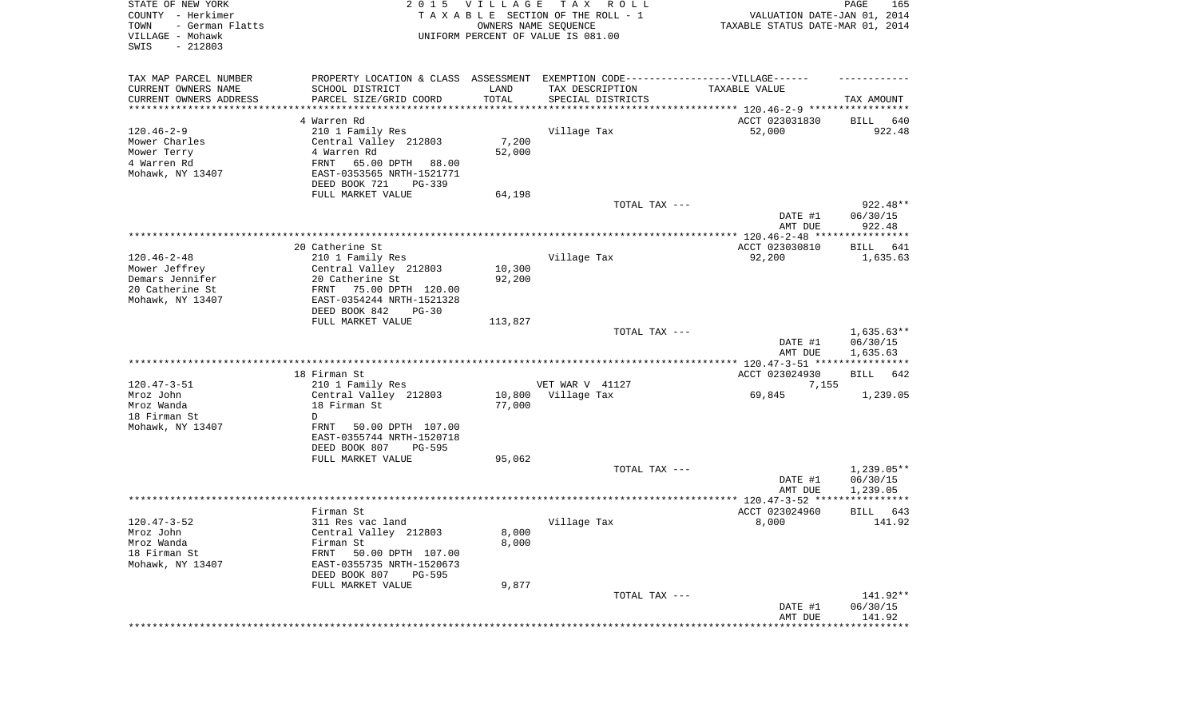| STATE OF NEW YORK<br>COUNTY - Herkimer<br>- German Flatts<br>TOWN<br>VILLAGE - Mohawk<br>SWIS<br>$-212803$ | 2 0 1 5                                                                          | <b>VILLAGE</b> | T A X<br>R O L L<br>TAXABLE SECTION OF THE ROLL - 1<br>OWNERS NAME SEQUENCE<br>UNIFORM PERCENT OF VALUE IS 081.00 | VALUATION DATE-JAN 01, 2014<br>TAXABLE STATUS DATE-MAR 01, 2014 | PAGE<br>165              |
|------------------------------------------------------------------------------------------------------------|----------------------------------------------------------------------------------|----------------|-------------------------------------------------------------------------------------------------------------------|-----------------------------------------------------------------|--------------------------|
| TAX MAP PARCEL NUMBER                                                                                      | PROPERTY LOCATION & CLASS ASSESSMENT EXEMPTION CODE----------------VILLAGE------ |                |                                                                                                                   |                                                                 |                          |
| CURRENT OWNERS NAME<br>CURRENT OWNERS ADDRESS                                                              | SCHOOL DISTRICT                                                                  | LAND<br>TOTAL  | TAX DESCRIPTION                                                                                                   | TAXABLE VALUE                                                   |                          |
| *********************                                                                                      | PARCEL SIZE/GRID COORD                                                           |                | SPECIAL DISTRICTS                                                                                                 |                                                                 | TAX AMOUNT               |
|                                                                                                            | 4 Warren Rd                                                                      |                |                                                                                                                   | ACCT 023031830                                                  | 640<br>BILL              |
| $120.46 - 2 - 9$                                                                                           | 210 1 Family Res                                                                 |                | Village Tax                                                                                                       | 52,000                                                          | 922.48                   |
| Mower Charles                                                                                              | Central Valley 212803                                                            | 7,200          |                                                                                                                   |                                                                 |                          |
| Mower Terry                                                                                                | 4 Warren Rd                                                                      | 52,000         |                                                                                                                   |                                                                 |                          |
| 4 Warren Rd                                                                                                | FRNT<br>65.00 DPTH 88.00                                                         |                |                                                                                                                   |                                                                 |                          |
| Mohawk, NY 13407                                                                                           | EAST-0353565 NRTH-1521771                                                        |                |                                                                                                                   |                                                                 |                          |
|                                                                                                            | DEED BOOK 721<br>PG-339<br>FULL MARKET VALUE                                     | 64,198         |                                                                                                                   |                                                                 |                          |
|                                                                                                            |                                                                                  |                | TOTAL TAX ---                                                                                                     |                                                                 | 922.48**                 |
|                                                                                                            |                                                                                  |                |                                                                                                                   | DATE #1<br>AMT DUE                                              | 06/30/15<br>922.48       |
|                                                                                                            |                                                                                  |                |                                                                                                                   |                                                                 |                          |
|                                                                                                            | 20 Catherine St                                                                  |                |                                                                                                                   | ACCT 023030810                                                  | BILL<br>641              |
| $120.46 - 2 - 48$                                                                                          | 210 1 Family Res                                                                 |                | Village Tax                                                                                                       | 92,200                                                          | 1,635.63                 |
| Mower Jeffrey<br>Demars Jennifer                                                                           | Central Valley 212803<br>20 Catherine St                                         | 10,300         |                                                                                                                   |                                                                 |                          |
| 20 Catherine St                                                                                            | 75.00 DPTH 120.00<br>FRNT                                                        | 92,200         |                                                                                                                   |                                                                 |                          |
| Mohawk, NY 13407                                                                                           | EAST-0354244 NRTH-1521328                                                        |                |                                                                                                                   |                                                                 |                          |
|                                                                                                            | DEED BOOK 842<br>$PG-30$                                                         |                |                                                                                                                   |                                                                 |                          |
|                                                                                                            | FULL MARKET VALUE                                                                | 113,827        |                                                                                                                   |                                                                 |                          |
|                                                                                                            |                                                                                  |                | TOTAL TAX ---                                                                                                     | DATE #1                                                         | $1,635.63**$<br>06/30/15 |
|                                                                                                            |                                                                                  |                |                                                                                                                   | AMT DUE                                                         | 1,635.63                 |
|                                                                                                            |                                                                                  |                |                                                                                                                   |                                                                 |                          |
| $120.47 - 3 - 51$                                                                                          | 18 Firman St<br>210 1 Family Res                                                 |                | VET WAR V 41127                                                                                                   | ACCT 023024930<br>7,155                                         | <b>BILL</b><br>642       |
| Mroz John                                                                                                  | Central Valley 212803                                                            | 10,800         | Village Tax                                                                                                       | 69,845                                                          | 1,239.05                 |
| Mroz Wanda                                                                                                 | 18 Firman St                                                                     | 77,000         |                                                                                                                   |                                                                 |                          |
| 18 Firman St                                                                                               | D                                                                                |                |                                                                                                                   |                                                                 |                          |
| Mohawk, NY 13407                                                                                           | FRNT<br>50.00 DPTH 107.00                                                        |                |                                                                                                                   |                                                                 |                          |
|                                                                                                            | EAST-0355744 NRTH-1520718                                                        |                |                                                                                                                   |                                                                 |                          |
|                                                                                                            | DEED BOOK 807<br>$PG-595$                                                        |                |                                                                                                                   |                                                                 |                          |
|                                                                                                            | FULL MARKET VALUE                                                                | 95,062         | TOTAL TAX ---                                                                                                     |                                                                 | $1,239.05**$             |
|                                                                                                            |                                                                                  |                |                                                                                                                   | DATE #1                                                         | 06/30/15                 |
|                                                                                                            |                                                                                  |                |                                                                                                                   | AMT DUE                                                         | 1,239.05                 |
|                                                                                                            |                                                                                  |                |                                                                                                                   |                                                                 |                          |
|                                                                                                            | Firman St                                                                        |                |                                                                                                                   | ACCT 023024960                                                  | 643<br>BILL              |
| $120.47 - 3 - 52$                                                                                          | 311 Res vac land                                                                 |                | Village Tax                                                                                                       | 8,000                                                           | 141.92                   |
| Mroz John                                                                                                  | Central Valley 212803                                                            | 8,000<br>8,000 |                                                                                                                   |                                                                 |                          |
| Mroz Wanda<br>18 Firman St                                                                                 | Firman St<br>50.00 DPTH 107.00<br>FRNT                                           |                |                                                                                                                   |                                                                 |                          |
| Mohawk, NY 13407                                                                                           | EAST-0355735 NRTH-1520673                                                        |                |                                                                                                                   |                                                                 |                          |
|                                                                                                            | DEED BOOK 807<br>PG-595                                                          |                |                                                                                                                   |                                                                 |                          |
|                                                                                                            | FULL MARKET VALUE                                                                | 9,877          |                                                                                                                   |                                                                 |                          |
|                                                                                                            |                                                                                  |                | TOTAL TAX ---                                                                                                     |                                                                 | 141.92**                 |
|                                                                                                            |                                                                                  |                |                                                                                                                   | DATE #1                                                         | 06/30/15                 |
|                                                                                                            |                                                                                  |                |                                                                                                                   | AMT DUE<br>*******************                                  | 141.92<br>************** |
|                                                                                                            |                                                                                  |                |                                                                                                                   |                                                                 |                          |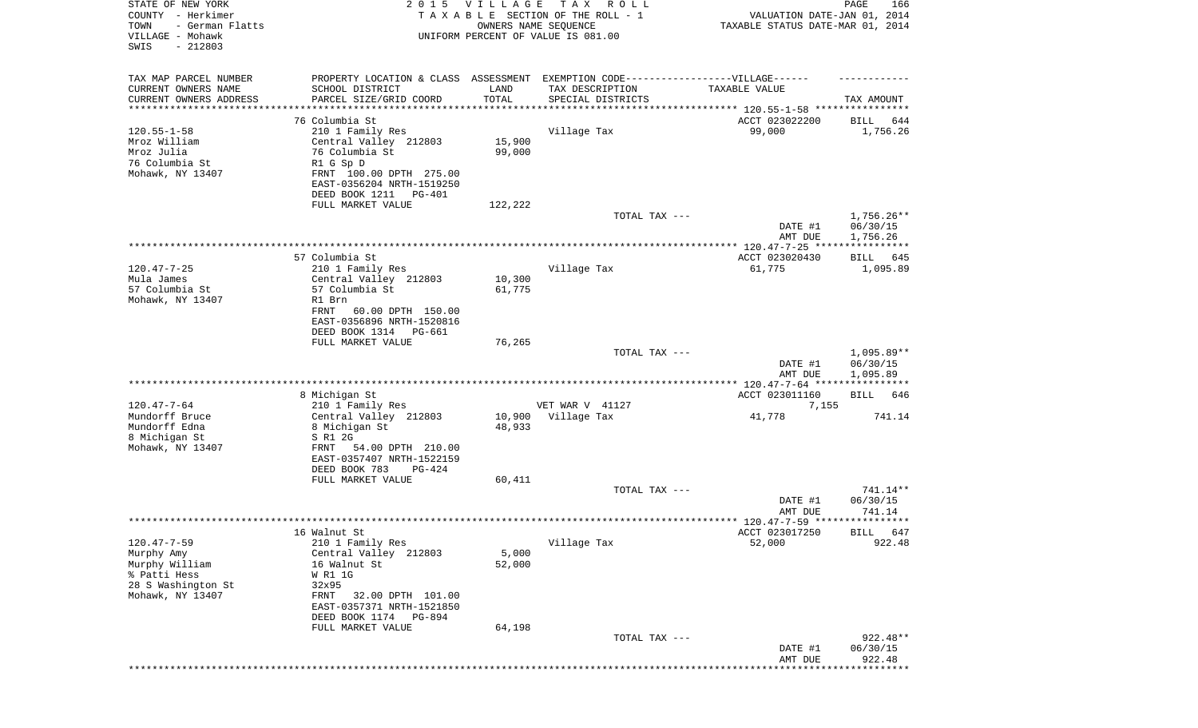| STATE OF NEW YORK<br>COUNTY - Herkimer<br>- German Flatts<br>TOWN | 2 0 1 5                                                | <b>VILLAGE</b><br>OWNERS NAME SEQUENCE | T A X<br>R O L L<br>TAXABLE SECTION OF THE ROLL - 1 | VALUATION DATE-JAN 01, 2014<br>TAXABLE STATUS DATE-MAR 01, 2014 | PAGE<br>166        |
|-------------------------------------------------------------------|--------------------------------------------------------|----------------------------------------|-----------------------------------------------------|-----------------------------------------------------------------|--------------------|
| VILLAGE - Mohawk<br>SWIS<br>$-212803$                             |                                                        |                                        | UNIFORM PERCENT OF VALUE IS 081.00                  |                                                                 |                    |
| TAX MAP PARCEL NUMBER                                             | PROPERTY LOCATION & CLASS ASSESSMENT                   |                                        | EXEMPTION CODE------------------VILLAGE------       |                                                                 |                    |
| CURRENT OWNERS NAME                                               | SCHOOL DISTRICT                                        | LAND                                   | TAX DESCRIPTION                                     | TAXABLE VALUE                                                   |                    |
| CURRENT OWNERS ADDRESS<br>********************                    | PARCEL SIZE/GRID COORD                                 | TOTAL                                  | SPECIAL DISTRICTS                                   | ***************************** 120.55-1-58 ****************      | TAX AMOUNT         |
|                                                                   | 76 Columbia St                                         |                                        |                                                     | ACCT 023022200                                                  | BILL<br>644        |
| $120.55 - 1 - 58$                                                 | 210 1 Family Res                                       |                                        | Village Tax                                         | 99,000                                                          | 1,756.26           |
| Mroz William<br>Mroz Julia                                        | Central Valley 212803<br>76 Columbia St                | 15,900<br>99,000                       |                                                     |                                                                 |                    |
| 76 Columbia St                                                    | R1 G Sp D                                              |                                        |                                                     |                                                                 |                    |
| Mohawk, NY 13407                                                  | FRNT 100.00 DPTH 275.00                                |                                        |                                                     |                                                                 |                    |
|                                                                   | EAST-0356204 NRTH-1519250                              |                                        |                                                     |                                                                 |                    |
|                                                                   | DEED BOOK 1211<br>PG-401<br>FULL MARKET VALUE          | 122,222                                |                                                     |                                                                 |                    |
|                                                                   |                                                        |                                        | TOTAL TAX ---                                       |                                                                 | $1,756.26**$       |
|                                                                   |                                                        |                                        |                                                     | DATE #1                                                         | 06/30/15           |
|                                                                   |                                                        |                                        |                                                     | AMT DUE                                                         | 1,756.26           |
|                                                                   | 57 Columbia St                                         |                                        |                                                     | ACCT 023020430                                                  | BILL<br>645        |
| $120.47 - 7 - 25$                                                 | 210 1 Family Res                                       |                                        | Village Tax                                         | 61,775                                                          | 1,095.89           |
| Mula James<br>57 Columbia St                                      | Central Valley 212803                                  | 10,300                                 |                                                     |                                                                 |                    |
| Mohawk, NY 13407                                                  | 57 Columbia St<br>R1 Brn                               | 61,775                                 |                                                     |                                                                 |                    |
|                                                                   | FRNT<br>60.00 DPTH 150.00                              |                                        |                                                     |                                                                 |                    |
|                                                                   | EAST-0356896 NRTH-1520816                              |                                        |                                                     |                                                                 |                    |
|                                                                   | DEED BOOK 1314<br>PG-661<br>FULL MARKET VALUE          | 76,265                                 |                                                     |                                                                 |                    |
|                                                                   |                                                        |                                        | TOTAL TAX ---                                       |                                                                 | $1,095.89**$       |
|                                                                   |                                                        |                                        |                                                     | DATE #1                                                         | 06/30/15           |
|                                                                   |                                                        |                                        |                                                     | AMT DUE                                                         | 1,095.89           |
|                                                                   | 8 Michigan St                                          |                                        |                                                     | ACCT 023011160                                                  | BILL<br>646        |
| $120.47 - 7 - 64$                                                 | 210 1 Family Res                                       |                                        | VET WAR V 41127                                     | 7,155                                                           |                    |
| Mundorff Bruce                                                    | Central Valley 212803                                  | 10,900                                 | Village Tax                                         | 41,778                                                          | 741.14             |
| Mundorff Edna<br>8 Michigan St                                    | 8 Michigan St<br>S R1 2G                               | 48,933                                 |                                                     |                                                                 |                    |
| Mohawk, NY 13407                                                  | 54.00 DPTH 210.00<br>FRNT                              |                                        |                                                     |                                                                 |                    |
|                                                                   | EAST-0357407 NRTH-1522159                              |                                        |                                                     |                                                                 |                    |
|                                                                   | DEED BOOK 783<br>PG-424<br>FULL MARKET VALUE           | 60,411                                 |                                                     |                                                                 |                    |
|                                                                   |                                                        |                                        | TOTAL TAX ---                                       |                                                                 | 741.14**           |
|                                                                   |                                                        |                                        |                                                     | DATE #1                                                         | 06/30/15           |
|                                                                   |                                                        |                                        |                                                     | AMT DUE                                                         | 741.14             |
|                                                                   | 16 Walnut St                                           |                                        |                                                     | ACCT 023017250                                                  | BILL 647           |
| $120.47 - 7 - 59$                                                 | 210 1 Family Res                                       |                                        | Village Tax                                         | 52,000                                                          | 922.48             |
| Murphy Amy                                                        | Central Valley 212803                                  | 5,000                                  |                                                     |                                                                 |                    |
| Murphy William<br>% Patti Hess                                    | 16 Walnut St<br>W R1 1G                                | 52,000                                 |                                                     |                                                                 |                    |
| 28 S Washington St                                                | 32x95                                                  |                                        |                                                     |                                                                 |                    |
| Mohawk, NY 13407                                                  | 32.00 DPTH 101.00<br>FRNT<br>EAST-0357371 NRTH-1521850 |                                        |                                                     |                                                                 |                    |
|                                                                   | DEED BOOK 1174<br>PG-894                               |                                        |                                                     |                                                                 |                    |
|                                                                   | FULL MARKET VALUE                                      | 64,198                                 |                                                     |                                                                 |                    |
|                                                                   |                                                        |                                        | TOTAL TAX ---                                       |                                                                 | $922.48**$         |
|                                                                   |                                                        |                                        |                                                     | DATE #1<br>AMT DUE                                              | 06/30/15<br>922.48 |
|                                                                   |                                                        |                                        |                                                     |                                                                 |                    |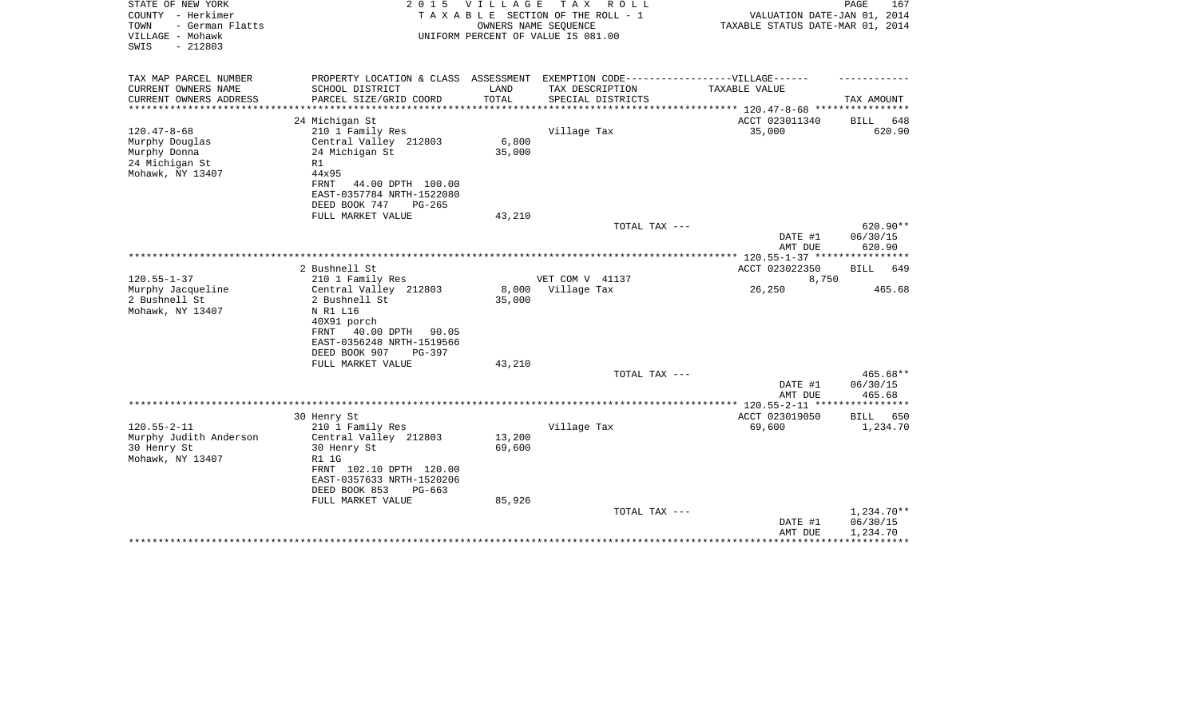| STATE OF NEW YORK<br>COUNTY - Herkimer<br>- German Flatts<br>TOWN<br>VILLAGE - Mohawk<br>$-212803$<br>SWIS | 2 0 1 5                                                                           | <b>VILLAGE</b> | TAX ROLL<br>TAXABLE SECTION OF THE ROLL - 1<br>OWNERS NAME SEQUENCE<br>UNIFORM PERCENT OF VALUE IS 081.00 | VALUATION DATE-JAN 01, 2014<br>TAXABLE STATUS DATE-MAR 01, 2014 | PAGE<br>167                    |
|------------------------------------------------------------------------------------------------------------|-----------------------------------------------------------------------------------|----------------|-----------------------------------------------------------------------------------------------------------|-----------------------------------------------------------------|--------------------------------|
| TAX MAP PARCEL NUMBER                                                                                      | PROPERTY LOCATION & CLASS ASSESSMENT EXEMPTION CODE-----------------VILLAGE------ |                |                                                                                                           |                                                                 |                                |
| CURRENT OWNERS NAME<br>CURRENT OWNERS ADDRESS                                                              | SCHOOL DISTRICT<br>PARCEL SIZE/GRID COORD                                         | LAND<br>TOTAL  | TAX DESCRIPTION<br>SPECIAL DISTRICTS                                                                      | TAXABLE VALUE                                                   | TAX AMOUNT                     |
| ********************                                                                                       |                                                                                   |                |                                                                                                           |                                                                 |                                |
|                                                                                                            | 24 Michigan St                                                                    |                |                                                                                                           | ACCT 023011340                                                  | BILL<br>648                    |
| $120.47 - 8 - 68$                                                                                          | 210 1 Family Res                                                                  |                | Village Tax                                                                                               | 35,000                                                          | 620.90                         |
| Murphy Douglas                                                                                             | Central Valley 212803                                                             | 6,800          |                                                                                                           |                                                                 |                                |
| Murphy Donna                                                                                               | 24 Michigan St                                                                    | 35,000         |                                                                                                           |                                                                 |                                |
| 24 Michigan St<br>Mohawk, NY 13407                                                                         | R1<br>44x95                                                                       |                |                                                                                                           |                                                                 |                                |
|                                                                                                            | FRNT<br>44.00 DPTH 100.00                                                         |                |                                                                                                           |                                                                 |                                |
|                                                                                                            | EAST-0357784 NRTH-1522080                                                         |                |                                                                                                           |                                                                 |                                |
|                                                                                                            | DEED BOOK 747<br>$PG-265$                                                         |                |                                                                                                           |                                                                 |                                |
|                                                                                                            | FULL MARKET VALUE                                                                 | 43,210         |                                                                                                           |                                                                 |                                |
|                                                                                                            |                                                                                   |                | TOTAL TAX ---                                                                                             | DATE #1<br>AMT DUE                                              | 620.90**<br>06/30/15<br>620.90 |
|                                                                                                            |                                                                                   |                |                                                                                                           |                                                                 |                                |
|                                                                                                            | 2 Bushnell St                                                                     |                |                                                                                                           | ACCT 023022350                                                  | BILL<br>649                    |
| $120.55 - 1 - 37$                                                                                          | 210 1 Family Res                                                                  |                | VET COM V 41137                                                                                           | 8,750                                                           |                                |
| Murphy Jacqueline                                                                                          | Central Valley 212803                                                             | 8,000          | Village Tax                                                                                               | 26,250                                                          | 465.68                         |
| 2 Bushnell St                                                                                              | 2 Bushnell St                                                                     | 35,000         |                                                                                                           |                                                                 |                                |
| Mohawk, NY 13407                                                                                           | N R1 L16                                                                          |                |                                                                                                           |                                                                 |                                |
|                                                                                                            | 40X91 porch<br>FRNT 40.00 DPTH 90.05                                              |                |                                                                                                           |                                                                 |                                |
|                                                                                                            | EAST-0356248 NRTH-1519566                                                         |                |                                                                                                           |                                                                 |                                |
|                                                                                                            | DEED BOOK 907<br>PG-397                                                           |                |                                                                                                           |                                                                 |                                |
|                                                                                                            | FULL MARKET VALUE                                                                 | 43,210         |                                                                                                           |                                                                 |                                |
|                                                                                                            |                                                                                   |                | TOTAL TAX ---                                                                                             |                                                                 | 465.68**                       |
|                                                                                                            |                                                                                   |                |                                                                                                           | DATE #1                                                         | 06/30/15                       |
|                                                                                                            |                                                                                   |                |                                                                                                           | AMT DUE                                                         | 465.68                         |
|                                                                                                            | 30 Henry St                                                                       |                |                                                                                                           | ACCT 023019050                                                  | BILL 650                       |
| $120.55 - 2 - 11$                                                                                          | 210 1 Family Res                                                                  |                | Village Tax                                                                                               | 69,600                                                          | 1,234.70                       |
| Murphy Judith Anderson                                                                                     | Central Valley 212803                                                             | 13,200         |                                                                                                           |                                                                 |                                |
| 30 Henry St                                                                                                | 30 Henry St                                                                       | 69,600         |                                                                                                           |                                                                 |                                |
| Mohawk, NY 13407                                                                                           | R1 1G                                                                             |                |                                                                                                           |                                                                 |                                |
|                                                                                                            | FRNT 102.10 DPTH 120.00<br>EAST-0357633 NRTH-1520206                              |                |                                                                                                           |                                                                 |                                |
|                                                                                                            | DEED BOOK 853<br>$PG-663$                                                         |                |                                                                                                           |                                                                 |                                |
|                                                                                                            | FULL MARKET VALUE                                                                 | 85,926         |                                                                                                           |                                                                 |                                |
|                                                                                                            |                                                                                   |                | TOTAL TAX ---                                                                                             |                                                                 | $1,234.70**$                   |
|                                                                                                            |                                                                                   |                |                                                                                                           | DATE #1                                                         | 06/30/15                       |
|                                                                                                            |                                                                                   |                |                                                                                                           | AMT DUE                                                         | 1,234.70                       |
|                                                                                                            |                                                                                   |                |                                                                                                           |                                                                 |                                |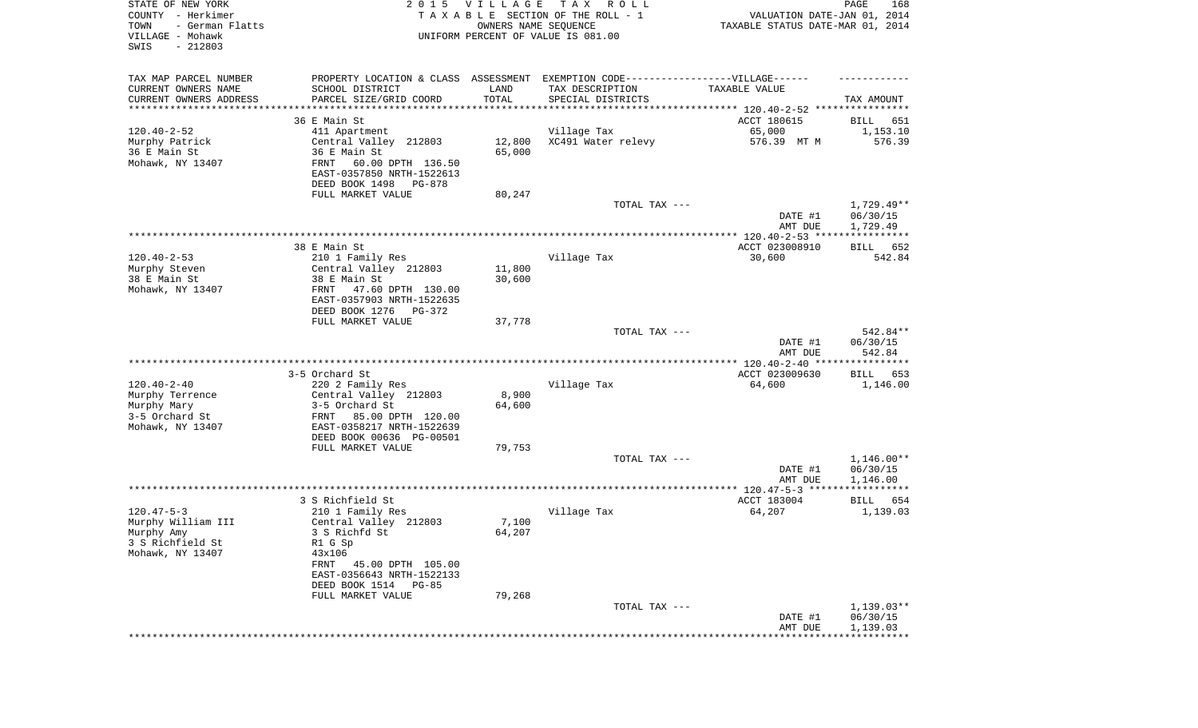| STATE OF NEW YORK<br>COUNTY - Herkimer<br>TOWN<br>- German Flatts<br>VILLAGE - Mohawk<br>SWIS<br>$-212803$ | 2 0 1 5                                                                           | VILLAGE<br>OWNERS NAME SEQUENCE | TAX ROLL<br>TAXABLE SECTION OF THE ROLL - 1<br>UNIFORM PERCENT OF VALUE IS 081.00 | VALUATION DATE-JAN 01, 2014<br>TAXABLE STATUS DATE-MAR 01, 2014 | 168<br>PAGE          |
|------------------------------------------------------------------------------------------------------------|-----------------------------------------------------------------------------------|---------------------------------|-----------------------------------------------------------------------------------|-----------------------------------------------------------------|----------------------|
| TAX MAP PARCEL NUMBER                                                                                      | PROPERTY LOCATION & CLASS ASSESSMENT EXEMPTION CODE-----------------VILLAGE------ |                                 |                                                                                   |                                                                 |                      |
| CURRENT OWNERS NAME                                                                                        | SCHOOL DISTRICT                                                                   | LAND                            | TAX DESCRIPTION                                                                   | TAXABLE VALUE                                                   |                      |
| CURRENT OWNERS ADDRESS<br>*********************                                                            | PARCEL SIZE/GRID COORD<br>************************                                | TOTAL<br>***********            | SPECIAL DISTRICTS                                                                 |                                                                 | TAX AMOUNT           |
|                                                                                                            | 36 E Main St                                                                      |                                 |                                                                                   | ACCT 180615                                                     | BILL<br>651          |
| $120.40 - 2 - 52$                                                                                          | 411 Apartment                                                                     |                                 | Village Tax                                                                       | 65,000                                                          | 1,153.10             |
| Murphy Patrick                                                                                             | Central Valley 212803                                                             | 12,800                          | XC491 Water relevy                                                                | 576.39 MT M                                                     | 576.39               |
| 36 E Main St                                                                                               | 36 E Main St                                                                      | 65,000                          |                                                                                   |                                                                 |                      |
| Mohawk, NY 13407                                                                                           | 60.00 DPTH 136.50<br>FRNT<br>EAST-0357850 NRTH-1522613                            |                                 |                                                                                   |                                                                 |                      |
|                                                                                                            | DEED BOOK 1498<br>PG-878                                                          |                                 |                                                                                   |                                                                 |                      |
|                                                                                                            | FULL MARKET VALUE                                                                 | 80,247                          |                                                                                   |                                                                 |                      |
|                                                                                                            |                                                                                   |                                 | TOTAL TAX ---                                                                     |                                                                 | 1,729.49**           |
|                                                                                                            |                                                                                   |                                 |                                                                                   | DATE #1                                                         | 06/30/15             |
|                                                                                                            |                                                                                   |                                 |                                                                                   | AMT DUE                                                         | 1,729.49             |
|                                                                                                            | 38 E Main St                                                                      |                                 |                                                                                   | ACCT 023008910                                                  | 652<br>BILL          |
| $120.40 - 2 - 53$                                                                                          | 210 1 Family Res                                                                  |                                 | Village Tax                                                                       | 30,600                                                          | 542.84               |
| Murphy Steven                                                                                              | Central Valley 212803                                                             | 11,800                          |                                                                                   |                                                                 |                      |
| 38 E Main St                                                                                               | 38 E Main St                                                                      | 30,600                          |                                                                                   |                                                                 |                      |
| Mohawk, NY 13407                                                                                           | FRNT<br>47.60 DPTH 130.00<br>EAST-0357903 NRTH-1522635                            |                                 |                                                                                   |                                                                 |                      |
|                                                                                                            | DEED BOOK 1276<br>PG-372                                                          |                                 |                                                                                   |                                                                 |                      |
|                                                                                                            | FULL MARKET VALUE                                                                 | 37,778                          |                                                                                   |                                                                 |                      |
|                                                                                                            |                                                                                   |                                 | TOTAL TAX ---                                                                     |                                                                 | 542.84**             |
|                                                                                                            |                                                                                   |                                 |                                                                                   | DATE #1<br>AMT DUE                                              | 06/30/15<br>542.84   |
|                                                                                                            |                                                                                   |                                 |                                                                                   |                                                                 |                      |
|                                                                                                            | 3-5 Orchard St                                                                    |                                 |                                                                                   | ACCT 023009630                                                  | BILL<br>653          |
| $120.40 - 2 - 40$                                                                                          | 220 2 Family Res                                                                  |                                 | Village Tax                                                                       | 64,600                                                          | 1,146.00             |
| Murphy Terrence                                                                                            | Central Valley 212803                                                             | 8,900                           |                                                                                   |                                                                 |                      |
| Murphy Mary<br>3-5 Orchard St                                                                              | 3-5 Orchard St<br>FRNT<br>85.00 DPTH 120.00                                       | 64,600                          |                                                                                   |                                                                 |                      |
| Mohawk, NY 13407                                                                                           | EAST-0358217 NRTH-1522639                                                         |                                 |                                                                                   |                                                                 |                      |
|                                                                                                            | DEED BOOK 00636 PG-00501                                                          |                                 |                                                                                   |                                                                 |                      |
|                                                                                                            | FULL MARKET VALUE                                                                 | 79,753                          |                                                                                   |                                                                 |                      |
|                                                                                                            |                                                                                   |                                 | TOTAL TAX ---                                                                     |                                                                 | $1,146.00**$         |
|                                                                                                            |                                                                                   |                                 |                                                                                   | DATE #1<br>AMT DUE                                              | 06/30/15<br>1,146.00 |
|                                                                                                            |                                                                                   |                                 |                                                                                   |                                                                 |                      |
|                                                                                                            | 3 S Richfield St                                                                  |                                 |                                                                                   | ACCT 183004                                                     | BILL<br>654          |
| $120.47 - 5 - 3$                                                                                           | 210 1 Family Res                                                                  |                                 | Village Tax                                                                       | 64,207                                                          | 1,139.03             |
| Murphy William III                                                                                         | Central Valley 212803                                                             | 7,100                           |                                                                                   |                                                                 |                      |
| Murphy Amy<br>3 S Richfield St                                                                             | 3 S Richfd St<br>R1 G Sp                                                          | 64,207                          |                                                                                   |                                                                 |                      |
| Mohawk, NY 13407                                                                                           | 43x106                                                                            |                                 |                                                                                   |                                                                 |                      |
|                                                                                                            | FRNT 45.00 DPTH 105.00                                                            |                                 |                                                                                   |                                                                 |                      |
|                                                                                                            | EAST-0356643 NRTH-1522133                                                         |                                 |                                                                                   |                                                                 |                      |
|                                                                                                            | DEED BOOK 1514 PG-85                                                              |                                 |                                                                                   |                                                                 |                      |
|                                                                                                            | FULL MARKET VALUE                                                                 | 79,268                          | TOTAL TAX ---                                                                     |                                                                 | $1,139.03**$         |
|                                                                                                            |                                                                                   |                                 |                                                                                   | DATE #1                                                         | 06/30/15             |
|                                                                                                            |                                                                                   |                                 |                                                                                   | AMT DUE                                                         | 1,139.03             |
|                                                                                                            |                                                                                   |                                 |                                                                                   |                                                                 |                      |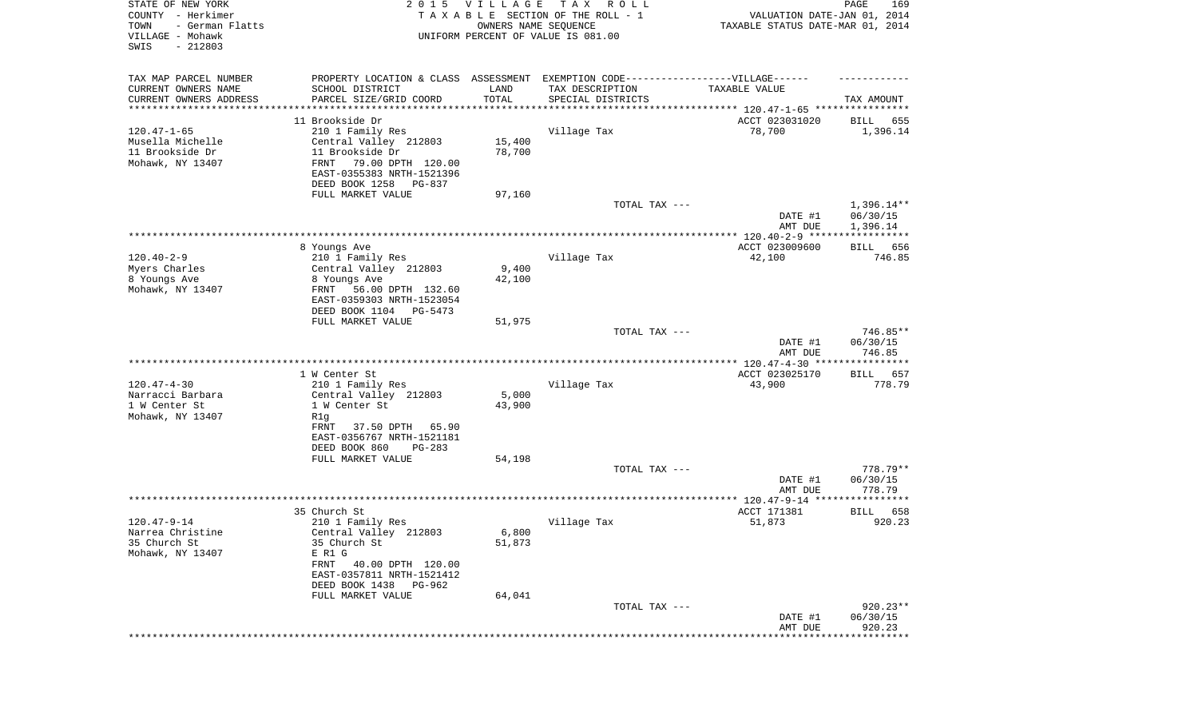| STATE OF NEW YORK<br>COUNTY - Herkimer<br>- German Flatts<br>TOWN<br>VILLAGE - Mohawk<br>SWIS<br>$-212803$ | 2 0 1 5                                                                          | <b>VILLAGE</b><br>OWNERS NAME SEQUENCE | T A X<br>R O L L<br>TAXABLE SECTION OF THE ROLL - 1<br>UNIFORM PERCENT OF VALUE IS 081.00 | VALUATION DATE-JAN 01, 2014<br>TAXABLE STATUS DATE-MAR 01, 2014 | PAGE<br>169        |
|------------------------------------------------------------------------------------------------------------|----------------------------------------------------------------------------------|----------------------------------------|-------------------------------------------------------------------------------------------|-----------------------------------------------------------------|--------------------|
| TAX MAP PARCEL NUMBER                                                                                      | PROPERTY LOCATION & CLASS ASSESSMENT EXEMPTION CODE----------------VILLAGE------ |                                        |                                                                                           |                                                                 |                    |
| CURRENT OWNERS NAME                                                                                        | SCHOOL DISTRICT                                                                  | LAND                                   | TAX DESCRIPTION                                                                           | TAXABLE VALUE                                                   |                    |
| CURRENT OWNERS ADDRESS<br>********************                                                             | PARCEL SIZE/GRID COORD                                                           | TOTAL                                  | SPECIAL DISTRICTS                                                                         | ********************************* 120.47-1-65 ****************  | TAX AMOUNT         |
|                                                                                                            | 11 Brookside Dr                                                                  |                                        |                                                                                           | ACCT 023031020                                                  | 655<br>BILL        |
| $120.47 - 1 - 65$                                                                                          | 210 1 Family Res                                                                 |                                        | Village Tax                                                                               | 78,700                                                          | 1,396.14           |
| Musella Michelle                                                                                           | Central Valley 212803                                                            | 15,400                                 |                                                                                           |                                                                 |                    |
| 11 Brookside Dr                                                                                            | 11 Brookside Dr                                                                  | 78,700                                 |                                                                                           |                                                                 |                    |
| Mohawk, NY 13407                                                                                           | FRNT<br>79.00 DPTH 120.00                                                        |                                        |                                                                                           |                                                                 |                    |
|                                                                                                            | EAST-0355383 NRTH-1521396<br>DEED BOOK 1258<br>PG-837                            |                                        |                                                                                           |                                                                 |                    |
|                                                                                                            | FULL MARKET VALUE                                                                | 97,160                                 |                                                                                           |                                                                 |                    |
|                                                                                                            |                                                                                  |                                        | TOTAL TAX ---                                                                             |                                                                 | $1,396.14**$       |
|                                                                                                            |                                                                                  |                                        |                                                                                           | DATE #1                                                         | 06/30/15           |
|                                                                                                            |                                                                                  |                                        |                                                                                           | AMT DUE                                                         | 1,396.14           |
|                                                                                                            | 8 Youngs Ave                                                                     |                                        |                                                                                           | ACCT 023009600                                                  | 656<br>BILL        |
| $120.40 - 2 - 9$                                                                                           | 210 1 Family Res                                                                 |                                        | Village Tax                                                                               | 42,100                                                          | 746.85             |
| Myers Charles                                                                                              | Central Valley 212803                                                            | 9,400                                  |                                                                                           |                                                                 |                    |
| 8 Youngs Ave                                                                                               | 8 Youngs Ave                                                                     | 42,100                                 |                                                                                           |                                                                 |                    |
| Mohawk, NY 13407                                                                                           | FRNT<br>56.00 DPTH 132.60                                                        |                                        |                                                                                           |                                                                 |                    |
|                                                                                                            | EAST-0359303 NRTH-1523054<br>DEED BOOK 1104<br>PG-5473                           |                                        |                                                                                           |                                                                 |                    |
|                                                                                                            | FULL MARKET VALUE                                                                | 51,975                                 |                                                                                           |                                                                 |                    |
|                                                                                                            |                                                                                  |                                        | TOTAL TAX ---                                                                             |                                                                 | 746.85**           |
|                                                                                                            |                                                                                  |                                        |                                                                                           | DATE #1                                                         | 06/30/15           |
|                                                                                                            |                                                                                  |                                        |                                                                                           | AMT DUE                                                         | 746.85             |
|                                                                                                            | 1 W Center St                                                                    |                                        |                                                                                           | ACCT 023025170                                                  | <b>BILL</b><br>657 |
| $120.47 - 4 - 30$                                                                                          | 210 1 Family Res                                                                 |                                        | Village Tax                                                                               | 43,900                                                          | 778.79             |
| Narracci Barbara                                                                                           | Central Valley 212803                                                            | 5,000                                  |                                                                                           |                                                                 |                    |
| 1 W Center St                                                                                              | 1 W Center St                                                                    | 43,900                                 |                                                                                           |                                                                 |                    |
| Mohawk, NY 13407                                                                                           | R1g<br>65.90                                                                     |                                        |                                                                                           |                                                                 |                    |
|                                                                                                            | 37.50 DPTH<br>FRNT<br>EAST-0356767 NRTH-1521181                                  |                                        |                                                                                           |                                                                 |                    |
|                                                                                                            | DEED BOOK 860<br>$PG-283$                                                        |                                        |                                                                                           |                                                                 |                    |
|                                                                                                            | FULL MARKET VALUE                                                                | 54,198                                 |                                                                                           |                                                                 |                    |
|                                                                                                            |                                                                                  |                                        | TOTAL TAX ---                                                                             |                                                                 | 778.79**           |
|                                                                                                            |                                                                                  |                                        |                                                                                           | DATE #1                                                         | 06/30/15           |
|                                                                                                            |                                                                                  |                                        |                                                                                           | AMT DUE                                                         | 778.79             |
|                                                                                                            | 35 Church St                                                                     |                                        |                                                                                           | ACCT 171381                                                     | 658<br>BILL        |
| $120.47 - 9 - 14$                                                                                          | 210 1 Family Res                                                                 |                                        | Village Tax                                                                               | 51,873                                                          | 920.23             |
| Narrea Christine                                                                                           | Central Valley 212803                                                            | 6,800                                  |                                                                                           |                                                                 |                    |
| 35 Church St                                                                                               | 35 Church St                                                                     | 51,873                                 |                                                                                           |                                                                 |                    |
| Mohawk, NY 13407                                                                                           | E R1 G<br>FRNT<br>40.00 DPTH 120.00                                              |                                        |                                                                                           |                                                                 |                    |
|                                                                                                            | EAST-0357811 NRTH-1521412                                                        |                                        |                                                                                           |                                                                 |                    |
|                                                                                                            | DEED BOOK 1438<br>PG-962                                                         |                                        |                                                                                           |                                                                 |                    |
|                                                                                                            | FULL MARKET VALUE                                                                | 64,041                                 |                                                                                           |                                                                 |                    |
|                                                                                                            |                                                                                  |                                        | TOTAL TAX ---                                                                             |                                                                 | $920.23**$         |
|                                                                                                            |                                                                                  |                                        |                                                                                           | DATE #1<br>AMT DUE                                              | 06/30/15<br>920.23 |
|                                                                                                            |                                                                                  |                                        |                                                                                           |                                                                 | ***********        |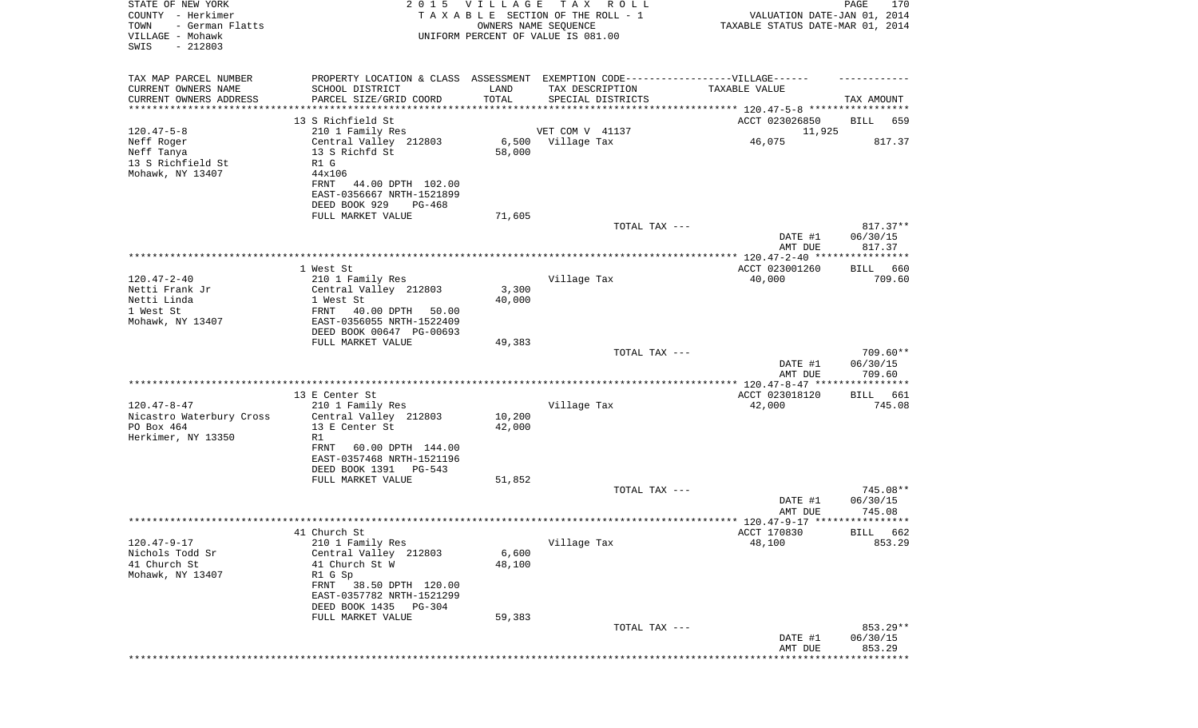| STATE OF NEW YORK<br>COUNTY - Herkimer<br>TOWN<br>- German Flatts<br>VILLAGE - Mohawk<br>SWIS<br>$-212803$ | 2 0 1 5                                               | VILLAGE          | TAX ROLL<br>TAXABLE SECTION OF THE ROLL - 1<br>OWNERS NAME SEQUENCE<br>UNIFORM PERCENT OF VALUE IS 081.00 | VALUATION DATE-JAN 01, 2014<br>TAXABLE STATUS DATE-MAR 01, 2014 | PAGE<br>170           |
|------------------------------------------------------------------------------------------------------------|-------------------------------------------------------|------------------|-----------------------------------------------------------------------------------------------------------|-----------------------------------------------------------------|-----------------------|
| TAX MAP PARCEL NUMBER                                                                                      |                                                       |                  | PROPERTY LOCATION & CLASS ASSESSMENT EXEMPTION CODE----------------VILLAGE------                          |                                                                 |                       |
| CURRENT OWNERS NAME                                                                                        | SCHOOL DISTRICT                                       | LAND             | TAX DESCRIPTION                                                                                           | TAXABLE VALUE                                                   |                       |
| CURRENT OWNERS ADDRESS<br>********************                                                             | PARCEL SIZE/GRID COORD<br>**********************      | TOTAL            | SPECIAL DISTRICTS                                                                                         |                                                                 | TAX AMOUNT            |
|                                                                                                            | 13 S Richfield St                                     |                  |                                                                                                           | ACCT 023026850                                                  | BILL<br>659           |
| $120.47 - 5 - 8$                                                                                           | 210 1 Family Res                                      |                  | VET COM V 41137                                                                                           | 11,925                                                          |                       |
| Neff Roger                                                                                                 | Central Valley 212803                                 |                  | 6,500 Village Tax                                                                                         | 46,075                                                          | 817.37                |
| Neff Tanya                                                                                                 | 13 S Richfd St<br>R1 G                                | 58,000           |                                                                                                           |                                                                 |                       |
| 13 S Richfield St<br>Mohawk, NY 13407                                                                      | 44x106                                                |                  |                                                                                                           |                                                                 |                       |
|                                                                                                            | FRNT<br>44.00 DPTH 102.00                             |                  |                                                                                                           |                                                                 |                       |
|                                                                                                            | EAST-0356667 NRTH-1521899                             |                  |                                                                                                           |                                                                 |                       |
|                                                                                                            | DEED BOOK 929<br>PG-468                               |                  |                                                                                                           |                                                                 |                       |
|                                                                                                            | FULL MARKET VALUE                                     | 71,605           | TOTAL TAX ---                                                                                             |                                                                 | $817.37**$            |
|                                                                                                            |                                                       |                  |                                                                                                           | DATE #1                                                         | 06/30/15              |
|                                                                                                            |                                                       |                  |                                                                                                           | AMT DUE                                                         | 817.37                |
|                                                                                                            |                                                       |                  |                                                                                                           |                                                                 |                       |
| $120.47 - 2 - 40$                                                                                          | 1 West St<br>210 1 Family Res                         |                  | Village Tax                                                                                               | ACCT 023001260<br>40,000                                        | 660<br>BILL<br>709.60 |
| Netti Frank Jr                                                                                             | Central Valley 212803                                 | 3,300            |                                                                                                           |                                                                 |                       |
| Netti Linda                                                                                                | 1 West St                                             | 40,000           |                                                                                                           |                                                                 |                       |
| 1 West St                                                                                                  | FRNT<br>40.00 DPTH<br>50.00                           |                  |                                                                                                           |                                                                 |                       |
| Mohawk, NY 13407                                                                                           | EAST-0356055 NRTH-1522409<br>DEED BOOK 00647 PG-00693 |                  |                                                                                                           |                                                                 |                       |
|                                                                                                            | FULL MARKET VALUE                                     | 49,383           |                                                                                                           |                                                                 |                       |
|                                                                                                            |                                                       |                  | TOTAL TAX ---                                                                                             |                                                                 | $709.60**$            |
|                                                                                                            |                                                       |                  |                                                                                                           | DATE #1<br>AMT DUE                                              | 06/30/15<br>709.60    |
|                                                                                                            |                                                       |                  |                                                                                                           |                                                                 |                       |
|                                                                                                            | 13 E Center St                                        |                  |                                                                                                           | ACCT 023018120                                                  | BILL 661              |
| $120.47 - 8 - 47$                                                                                          | 210 1 Family Res                                      |                  | Village Tax                                                                                               | 42,000                                                          | 745.08                |
| Nicastro Waterbury Cross<br>PO Box 464                                                                     | Central Valley 212803<br>13 E Center St               | 10,200<br>42,000 |                                                                                                           |                                                                 |                       |
| Herkimer, NY 13350                                                                                         | R1                                                    |                  |                                                                                                           |                                                                 |                       |
|                                                                                                            | 60.00 DPTH 144.00<br>FRNT                             |                  |                                                                                                           |                                                                 |                       |
|                                                                                                            | EAST-0357468 NRTH-1521196                             |                  |                                                                                                           |                                                                 |                       |
|                                                                                                            | DEED BOOK 1391<br>$PG-543$                            |                  |                                                                                                           |                                                                 |                       |
|                                                                                                            | FULL MARKET VALUE                                     | 51,852           | TOTAL TAX ---                                                                                             |                                                                 | 745.08**              |
|                                                                                                            |                                                       |                  |                                                                                                           | DATE #1                                                         | 06/30/15              |
|                                                                                                            |                                                       |                  |                                                                                                           | AMT DUE                                                         | 745.08                |
|                                                                                                            | 41 Church St                                          |                  |                                                                                                           | ACCT 170830                                                     | BILL 662              |
| $120.47 - 9 - 17$                                                                                          | 210 1 Family Res                                      |                  | Village Tax                                                                                               | 48,100                                                          | 853.29                |
| Nichols Todd Sr                                                                                            | Central Valley 212803                                 | 6,600            |                                                                                                           |                                                                 |                       |
| 41 Church St                                                                                               | 41 Church St W                                        | 48,100           |                                                                                                           |                                                                 |                       |
| Mohawk, NY 13407                                                                                           | R1 G Sp<br>FRNT<br>38.50 DPTH 120.00                  |                  |                                                                                                           |                                                                 |                       |
|                                                                                                            | EAST-0357782 NRTH-1521299                             |                  |                                                                                                           |                                                                 |                       |
|                                                                                                            | DEED BOOK 1435<br>PG-304                              |                  |                                                                                                           |                                                                 |                       |
|                                                                                                            | FULL MARKET VALUE                                     | 59,383           |                                                                                                           |                                                                 |                       |
|                                                                                                            |                                                       |                  | TOTAL TAX ---                                                                                             | DATE #1                                                         | 853.29**<br>06/30/15  |
|                                                                                                            |                                                       |                  |                                                                                                           | AMT DUE                                                         | 853.29                |
|                                                                                                            |                                                       |                  |                                                                                                           |                                                                 | **************        |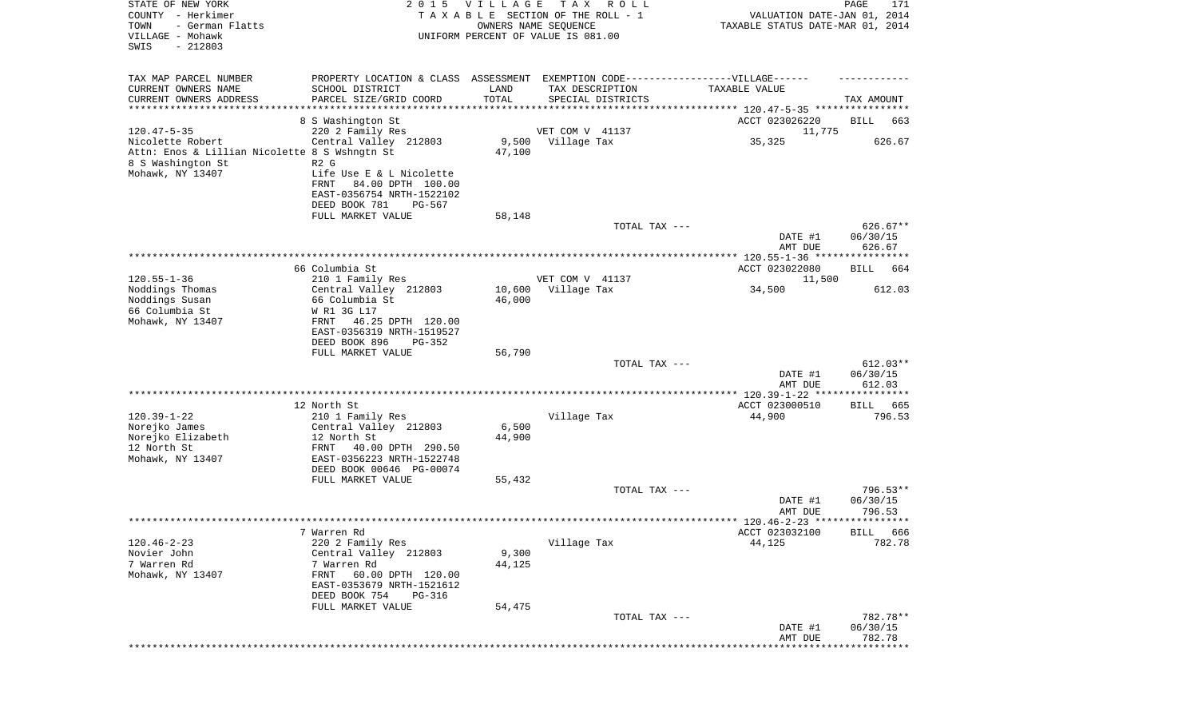| STATE OF NEW YORK<br>COUNTY - Herkimer<br>TOWN<br>- German Flatts<br>VILLAGE - Mohawk<br>SWIS<br>$-212803$ | 2 0 1 5                                                                                              | VILLAGE | T A X<br>R O L L<br>TAXABLE SECTION OF THE ROLL - 1<br>OWNERS NAME SEQUENCE<br>UNIFORM PERCENT OF VALUE IS 081.00 | VALUATION DATE-JAN 01, 2014<br>TAXABLE STATUS DATE-MAR 01, 2014 | PAGE<br>171            |
|------------------------------------------------------------------------------------------------------------|------------------------------------------------------------------------------------------------------|---------|-------------------------------------------------------------------------------------------------------------------|-----------------------------------------------------------------|------------------------|
| TAX MAP PARCEL NUMBER<br>CURRENT OWNERS NAME                                                               | PROPERTY LOCATION & CLASS ASSESSMENT EXEMPTION CODE-----------------VILLAGE------<br>SCHOOL DISTRICT | LAND    | TAX DESCRIPTION                                                                                                   | TAXABLE VALUE                                                   |                        |
| CURRENT OWNERS ADDRESS<br>***********************                                                          | PARCEL SIZE/GRID COORD                                                                               | TOTAL   | SPECIAL DISTRICTS                                                                                                 |                                                                 | TAX AMOUNT             |
|                                                                                                            | 8 S Washington St                                                                                    |         |                                                                                                                   | ACCT 023026220                                                  | BILL<br>663            |
| $120.47 - 5 - 35$                                                                                          | 220 2 Family Res                                                                                     |         | VET COM V 41137                                                                                                   | 11,775                                                          |                        |
| Nicolette Robert                                                                                           | Central Valley 212803                                                                                |         | 9,500 Village Tax                                                                                                 | 35,325                                                          | 626.67                 |
| Attn: Enos & Lillian Nicolette 8 S Wshngtn St                                                              |                                                                                                      | 47,100  |                                                                                                                   |                                                                 |                        |
| 8 S Washington St                                                                                          | R <sub>2</sub> G                                                                                     |         |                                                                                                                   |                                                                 |                        |
| Mohawk, NY 13407                                                                                           | Life Use E & L Nicolette                                                                             |         |                                                                                                                   |                                                                 |                        |
|                                                                                                            | FRNT<br>84.00 DPTH 100.00                                                                            |         |                                                                                                                   |                                                                 |                        |
|                                                                                                            | EAST-0356754 NRTH-1522102<br>DEED BOOK 781<br>PG-567                                                 |         |                                                                                                                   |                                                                 |                        |
|                                                                                                            | FULL MARKET VALUE                                                                                    | 58,148  |                                                                                                                   |                                                                 |                        |
|                                                                                                            |                                                                                                      |         | TOTAL TAX ---                                                                                                     |                                                                 | $626.67**$             |
|                                                                                                            |                                                                                                      |         |                                                                                                                   | DATE #1<br>AMT DUE                                              | 06/30/15<br>626.67     |
|                                                                                                            |                                                                                                      |         |                                                                                                                   |                                                                 |                        |
|                                                                                                            | 66 Columbia St                                                                                       |         |                                                                                                                   | ACCT 023022080                                                  | 664<br>BILL            |
| $120.55 - 1 - 36$<br>Noddings Thomas                                                                       | 210 1 Family Res<br>Central Valley 212803                                                            | 10,600  | VET COM V 41137<br>Village Tax                                                                                    | 11,500<br>34,500                                                | 612.03                 |
| Noddings Susan                                                                                             | 66 Columbia St                                                                                       | 46,000  |                                                                                                                   |                                                                 |                        |
| 66 Columbia St                                                                                             | W R1 3G L17                                                                                          |         |                                                                                                                   |                                                                 |                        |
| Mohawk, NY 13407                                                                                           | 46.25 DPTH 120.00<br>FRNT                                                                            |         |                                                                                                                   |                                                                 |                        |
|                                                                                                            | EAST-0356319 NRTH-1519527                                                                            |         |                                                                                                                   |                                                                 |                        |
|                                                                                                            | DEED BOOK 896<br>PG-352                                                                              |         |                                                                                                                   |                                                                 |                        |
|                                                                                                            | FULL MARKET VALUE                                                                                    | 56,790  |                                                                                                                   |                                                                 |                        |
|                                                                                                            |                                                                                                      |         | TOTAL TAX ---                                                                                                     | DATE #1                                                         | $612.03**$<br>06/30/15 |
|                                                                                                            |                                                                                                      |         |                                                                                                                   | AMT DUE                                                         | 612.03                 |
|                                                                                                            |                                                                                                      |         |                                                                                                                   |                                                                 |                        |
|                                                                                                            | 12 North St                                                                                          |         |                                                                                                                   | ACCT 023000510                                                  | 665<br>BILL            |
| $120.39 - 1 - 22$                                                                                          | 210 1 Family Res                                                                                     |         | Village Tax                                                                                                       | 44,900                                                          | 796.53                 |
| Norejko James                                                                                              | Central Valley 212803                                                                                | 6,500   |                                                                                                                   |                                                                 |                        |
| Norejko Elizabeth<br>12 North St                                                                           | 12 North St<br>FRNT<br>40.00 DPTH 290.50                                                             | 44,900  |                                                                                                                   |                                                                 |                        |
| Mohawk, NY 13407                                                                                           | EAST-0356223 NRTH-1522748                                                                            |         |                                                                                                                   |                                                                 |                        |
|                                                                                                            | DEED BOOK 00646 PG-00074                                                                             |         |                                                                                                                   |                                                                 |                        |
|                                                                                                            | FULL MARKET VALUE                                                                                    | 55,432  |                                                                                                                   |                                                                 |                        |
|                                                                                                            |                                                                                                      |         | TOTAL TAX ---                                                                                                     |                                                                 | 796.53**               |
|                                                                                                            |                                                                                                      |         |                                                                                                                   | DATE #1                                                         | 06/30/15               |
|                                                                                                            |                                                                                                      |         |                                                                                                                   | AMT DUE                                                         | 796.53                 |
|                                                                                                            | 7 Warren Rd                                                                                          |         |                                                                                                                   | ACCT 023032100                                                  | BILL 666               |
| $120.46 - 2 - 23$                                                                                          | 220 2 Family Res                                                                                     |         | Village Tax                                                                                                       | 44,125                                                          | 782.78                 |
| Novier John                                                                                                | Central Valley 212803                                                                                | 9,300   |                                                                                                                   |                                                                 |                        |
| 7 Warren Rd                                                                                                | 7 Warren Rd                                                                                          | 44,125  |                                                                                                                   |                                                                 |                        |
| Mohawk, NY 13407                                                                                           | 60.00 DPTH 120.00<br>FRNT                                                                            |         |                                                                                                                   |                                                                 |                        |
|                                                                                                            | EAST-0353679 NRTH-1521612                                                                            |         |                                                                                                                   |                                                                 |                        |
|                                                                                                            | DEED BOOK 754<br>PG-316<br>FULL MARKET VALUE                                                         | 54,475  |                                                                                                                   |                                                                 |                        |
|                                                                                                            |                                                                                                      |         | TOTAL TAX ---                                                                                                     |                                                                 | 782.78**               |
|                                                                                                            |                                                                                                      |         |                                                                                                                   | DATE #1                                                         | 06/30/15               |
|                                                                                                            |                                                                                                      |         |                                                                                                                   | AMT DUE                                                         | 782.78                 |
|                                                                                                            |                                                                                                      |         |                                                                                                                   |                                                                 |                        |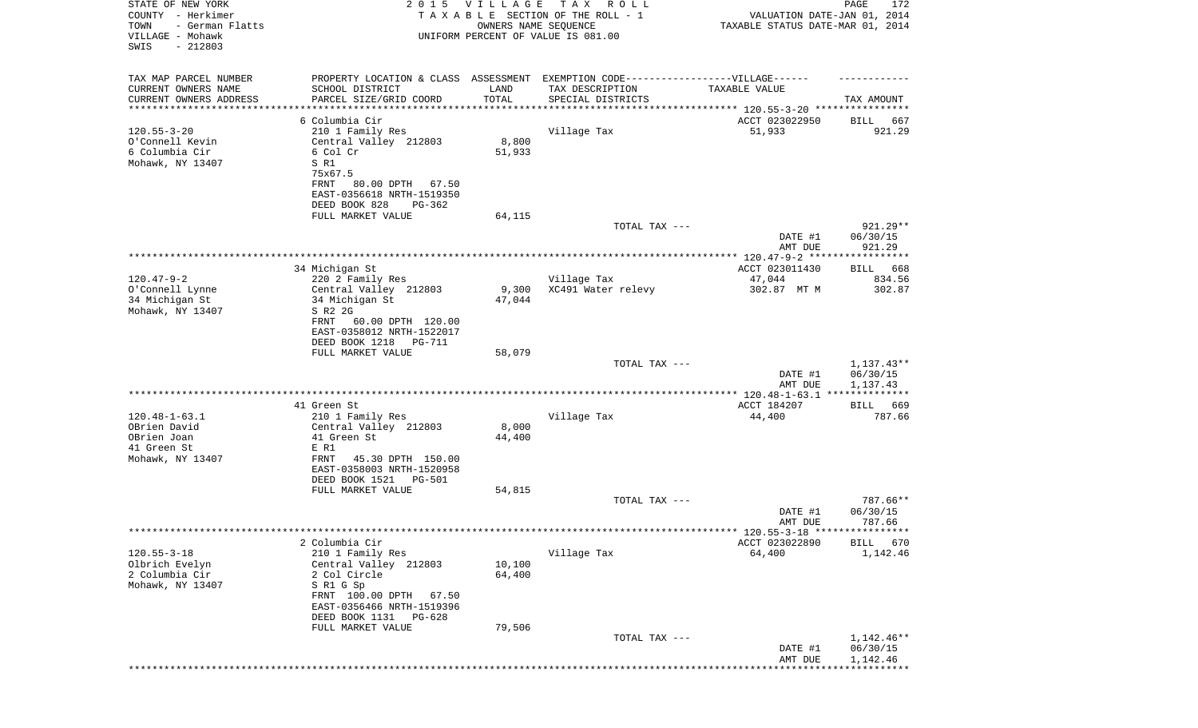| STATE OF NEW YORK<br>COUNTY - Herkimer<br>TOWN<br>- German Flatts<br>VILLAGE - Mohawk<br>SWIS<br>$-212803$ | 2 0 1 5                                                                                                                                                                           | <b>VILLAGE</b><br>OWNERS NAME SEQUENCE | T A X<br>R O L L<br>TAXABLE SECTION OF THE ROLL - 1<br>UNIFORM PERCENT OF VALUE IS 081.00 | VALUATION DATE-JAN 01, 2014<br>TAXABLE STATUS DATE-MAR 01, 2014 | PAGE<br>172                          |
|------------------------------------------------------------------------------------------------------------|-----------------------------------------------------------------------------------------------------------------------------------------------------------------------------------|----------------------------------------|-------------------------------------------------------------------------------------------|-----------------------------------------------------------------|--------------------------------------|
| TAX MAP PARCEL NUMBER<br>CURRENT OWNERS NAME<br>CURRENT OWNERS ADDRESS                                     | PROPERTY LOCATION & CLASS ASSESSMENT EXEMPTION CODE-----------------VILLAGE------<br>SCHOOL DISTRICT<br>PARCEL SIZE/GRID COORD                                                    | LAND<br>TOTAL                          | TAX DESCRIPTION<br>SPECIAL DISTRICTS                                                      | TAXABLE VALUE                                                   | TAX AMOUNT                           |
| ********************                                                                                       |                                                                                                                                                                                   |                                        |                                                                                           |                                                                 |                                      |
|                                                                                                            | 6 Columbia Cir                                                                                                                                                                    |                                        |                                                                                           | ACCT 023022950                                                  | 667<br>BILL                          |
| $120.55 - 3 - 20$<br>O'Connell Kevin<br>6 Columbia Cir<br>Mohawk, NY 13407                                 | 210 1 Family Res<br>Central Valley 212803<br>6 Col Cr<br>S R1<br>75x67.5<br>80.00 DPTH 67.50<br>FRNT<br>EAST-0356618 NRTH-1519350<br>DEED BOOK 828<br>PG-362                      | 8,800<br>51,933                        | Village Tax                                                                               | 51,933                                                          | 921.29                               |
|                                                                                                            | FULL MARKET VALUE                                                                                                                                                                 | 64,115                                 |                                                                                           |                                                                 |                                      |
|                                                                                                            |                                                                                                                                                                                   |                                        | TOTAL TAX ---                                                                             | DATE #1<br>AMT DUE                                              | 921.29**<br>06/30/15<br>921.29       |
|                                                                                                            |                                                                                                                                                                                   |                                        |                                                                                           | ACCT 023011430                                                  | 668                                  |
| $120.47 - 9 - 2$                                                                                           | 34 Michigan St<br>220 2 Family Res                                                                                                                                                |                                        | Village Tax                                                                               | 47,044                                                          | BILL<br>834.56                       |
| O'Connell Lynne<br>34 Michigan St<br>Mohawk, NY 13407                                                      | Central Valley 212803<br>34 Michigan St<br>S R2 2G<br>FRNT<br>60.00 DPTH 120.00<br>EAST-0358012 NRTH-1522017<br>DEED BOOK 1218<br>PG-711                                          | 9,300<br>47,044                        | XC491 Water relevy                                                                        | 302.87 MT M                                                     | 302.87                               |
|                                                                                                            | FULL MARKET VALUE                                                                                                                                                                 | 58,079                                 |                                                                                           |                                                                 |                                      |
|                                                                                                            |                                                                                                                                                                                   |                                        | TOTAL TAX ---                                                                             | DATE #1<br>AMT DUE                                              | $1,137.43**$<br>06/30/15<br>1,137.43 |
|                                                                                                            |                                                                                                                                                                                   |                                        |                                                                                           |                                                                 |                                      |
|                                                                                                            | 41 Green St                                                                                                                                                                       |                                        |                                                                                           | ACCT 184207                                                     | 669<br>BILL                          |
| $120.48 - 1 - 63.1$<br>OBrien David                                                                        | 210 1 Family Res<br>Central Valley 212803                                                                                                                                         | 8,000                                  | Village Tax                                                                               | 44,400                                                          | 787.66                               |
| OBrien Joan<br>41 Green St                                                                                 | 41 Green St<br>E R1                                                                                                                                                               | 44,400                                 |                                                                                           |                                                                 |                                      |
| Mohawk, NY 13407                                                                                           | FRNT<br>45.30 DPTH 150.00<br>EAST-0358003 NRTH-1520958<br>DEED BOOK 1521<br><b>PG-501</b>                                                                                         |                                        |                                                                                           |                                                                 |                                      |
|                                                                                                            | FULL MARKET VALUE                                                                                                                                                                 | 54,815                                 |                                                                                           |                                                                 |                                      |
|                                                                                                            |                                                                                                                                                                                   |                                        | TOTAL TAX ---                                                                             | DATE #1<br>AMT DUE                                              | 787.66**<br>06/30/15<br>787.66       |
|                                                                                                            |                                                                                                                                                                                   |                                        |                                                                                           | ****** 120.55-3-18 *****************                            |                                      |
| $120.55 - 3 - 18$                                                                                          | 2 Columbia Cir                                                                                                                                                                    |                                        |                                                                                           | ACCT 023022890                                                  | 670<br><b>BILL</b>                   |
| Olbrich Evelyn<br>2 Columbia Cir<br>Mohawk, NY 13407                                                       | 210 1 Family Res<br>Central Valley 212803<br>2 Col Circle<br>S R1 G Sp<br>FRNT 100.00 DPTH<br>67.50<br>EAST-0356466 NRTH-1519396<br>DEED BOOK 1131<br>PG-628<br>FULL MARKET VALUE | 10,100<br>64,400<br>79,506             | Village Tax                                                                               | 64,400                                                          | 1,142.46                             |
|                                                                                                            |                                                                                                                                                                                   |                                        | TOTAL TAX ---                                                                             |                                                                 | 1,142.46**                           |
|                                                                                                            |                                                                                                                                                                                   |                                        |                                                                                           | DATE #1<br>AMT DUE                                              | 06/30/15<br>1,142.46                 |
|                                                                                                            |                                                                                                                                                                                   |                                        |                                                                                           |                                                                 |                                      |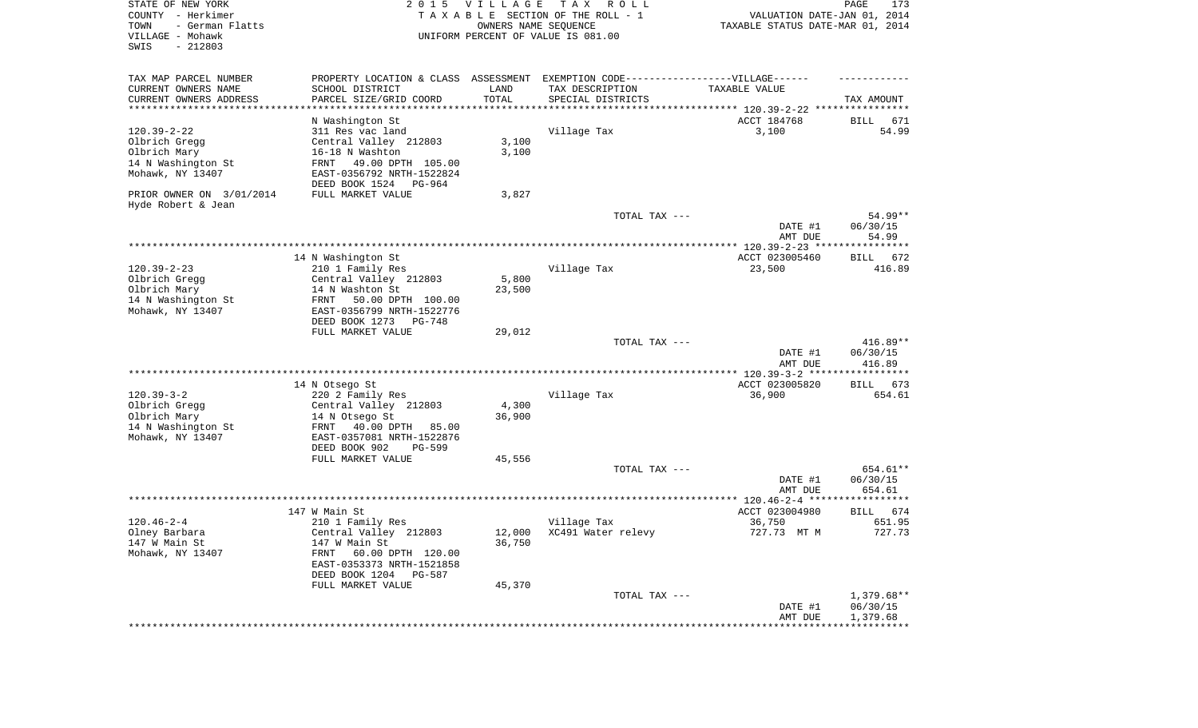| STATE OF NEW YORK<br>COUNTY - Herkimer<br>- German Flatts<br>TOWN<br>VILLAGE - Mohawk<br>SWIS<br>$-212803$ | 2 0 1 5                                                                            | <b>VILLAGE</b><br>OWNERS NAME SEQUENCE | T A X<br>R O L L<br>TAXABLE SECTION OF THE ROLL - 1<br>UNIFORM PERCENT OF VALUE IS 081.00 | VALUATION DATE-JAN 01, 2014<br>TAXABLE STATUS DATE-MAR 01, 2014 | PAGE<br>173          |
|------------------------------------------------------------------------------------------------------------|------------------------------------------------------------------------------------|----------------------------------------|-------------------------------------------------------------------------------------------|-----------------------------------------------------------------|----------------------|
| TAX MAP PARCEL NUMBER                                                                                      | PROPERTY LOCATION & CLASS ASSESSMENT EXEMPTION CODE-----------------VILLAGE------  |                                        |                                                                                           |                                                                 |                      |
| CURRENT OWNERS NAME                                                                                        | SCHOOL DISTRICT                                                                    | LAND                                   | TAX DESCRIPTION                                                                           | TAXABLE VALUE                                                   |                      |
| CURRENT OWNERS ADDRESS<br>***********************                                                          | PARCEL SIZE/GRID COORD                                                             | TOTAL                                  | SPECIAL DISTRICTS                                                                         |                                                                 | TAX AMOUNT           |
|                                                                                                            | N Washington St                                                                    |                                        |                                                                                           | ACCT 184768                                                     | BILL<br>671          |
| $120.39 - 2 - 22$                                                                                          | 311 Res vac land                                                                   |                                        | Village Tax                                                                               | 3,100                                                           | 54.99                |
| Olbrich Gregg                                                                                              | Central Valley 212803                                                              | 3,100                                  |                                                                                           |                                                                 |                      |
| Olbrich Mary                                                                                               | 16-18 N Washton                                                                    | 3,100                                  |                                                                                           |                                                                 |                      |
| 14 N Washington St<br>Mohawk, NY 13407                                                                     | FRNT<br>49.00 DPTH 105.00<br>EAST-0356792 NRTH-1522824<br>DEED BOOK 1524<br>PG-964 |                                        |                                                                                           |                                                                 |                      |
| PRIOR OWNER ON 3/01/2014<br>Hyde Robert & Jean                                                             | FULL MARKET VALUE                                                                  | 3,827                                  |                                                                                           |                                                                 |                      |
|                                                                                                            |                                                                                    |                                        | TOTAL TAX ---                                                                             |                                                                 | 54.99**              |
|                                                                                                            |                                                                                    |                                        |                                                                                           | DATE #1<br>AMT DUE                                              | 06/30/15<br>54.99    |
|                                                                                                            | 14 N Washington St                                                                 |                                        |                                                                                           | ACCT 023005460                                                  | BILL 672             |
| $120.39 - 2 - 23$                                                                                          | 210 1 Family Res                                                                   |                                        | Village Tax                                                                               | 23,500                                                          | 416.89               |
| Olbrich Gregg                                                                                              | Central Valley 212803                                                              | 5,800                                  |                                                                                           |                                                                 |                      |
| Olbrich Mary                                                                                               | 14 N Washton St                                                                    | 23,500                                 |                                                                                           |                                                                 |                      |
| 14 N Washington St<br>Mohawk, NY 13407                                                                     | 50.00 DPTH 100.00<br>FRNT<br>EAST-0356799 NRTH-1522776                             |                                        |                                                                                           |                                                                 |                      |
|                                                                                                            | DEED BOOK 1273<br>PG-748<br>FULL MARKET VALUE                                      | 29,012                                 |                                                                                           |                                                                 |                      |
|                                                                                                            |                                                                                    |                                        | TOTAL TAX ---                                                                             |                                                                 | $416.89**$           |
|                                                                                                            |                                                                                    |                                        |                                                                                           | DATE #1<br>AMT DUE                                              | 06/30/15<br>416.89   |
|                                                                                                            |                                                                                    |                                        |                                                                                           |                                                                 |                      |
| $120.39 - 3 - 2$                                                                                           | 14 N Otsego St                                                                     |                                        |                                                                                           | ACCT 023005820                                                  | <b>BILL</b><br>673   |
| Olbrich Gregg                                                                                              | 220 2 Family Res<br>Central Valley 212803                                          | 4,300                                  | Village Tax                                                                               | 36,900                                                          | 654.61               |
| Olbrich Mary                                                                                               | 14 N Otsego St                                                                     | 36,900                                 |                                                                                           |                                                                 |                      |
| 14 N Washington St                                                                                         | 40.00 DPTH<br>FRNT<br>85.00                                                        |                                        |                                                                                           |                                                                 |                      |
| Mohawk, NY 13407                                                                                           | EAST-0357081 NRTH-1522876                                                          |                                        |                                                                                           |                                                                 |                      |
|                                                                                                            | DEED BOOK 902<br>PG-599                                                            |                                        |                                                                                           |                                                                 |                      |
|                                                                                                            | FULL MARKET VALUE                                                                  | 45,556                                 |                                                                                           |                                                                 |                      |
|                                                                                                            |                                                                                    |                                        | TOTAL TAX ---                                                                             | DATE #1                                                         | 654.61**<br>06/30/15 |
|                                                                                                            |                                                                                    |                                        |                                                                                           | AMT DUE                                                         | 654.61               |
|                                                                                                            |                                                                                    |                                        |                                                                                           |                                                                 |                      |
|                                                                                                            | 147 W Main St                                                                      |                                        |                                                                                           | ACCT 023004980                                                  | 674<br><b>BILL</b>   |
| $120.46 - 2 - 4$                                                                                           | 210 1 Family Res                                                                   |                                        | Village Tax                                                                               | 36,750                                                          | 651.95               |
| Olney Barbara<br>147 W Main St                                                                             | Central Valley 212803<br>147 W Main St                                             | 36,750                                 | 12,000 XC491 Water relevy                                                                 | 727.73 MT M                                                     | 727.73               |
| Mohawk, NY 13407                                                                                           | 60.00 DPTH 120.00<br>FRNT                                                          |                                        |                                                                                           |                                                                 |                      |
|                                                                                                            | EAST-0353373 NRTH-1521858                                                          |                                        |                                                                                           |                                                                 |                      |
|                                                                                                            | DEED BOOK 1204 PG-587                                                              |                                        |                                                                                           |                                                                 |                      |
|                                                                                                            | FULL MARKET VALUE                                                                  | 45,370                                 |                                                                                           |                                                                 |                      |
|                                                                                                            |                                                                                    |                                        | TOTAL TAX ---                                                                             |                                                                 | $1,379.68**$         |
|                                                                                                            |                                                                                    |                                        |                                                                                           | DATE #1<br>AMT DUE                                              | 06/30/15<br>1,379.68 |
|                                                                                                            |                                                                                    |                                        |                                                                                           |                                                                 |                      |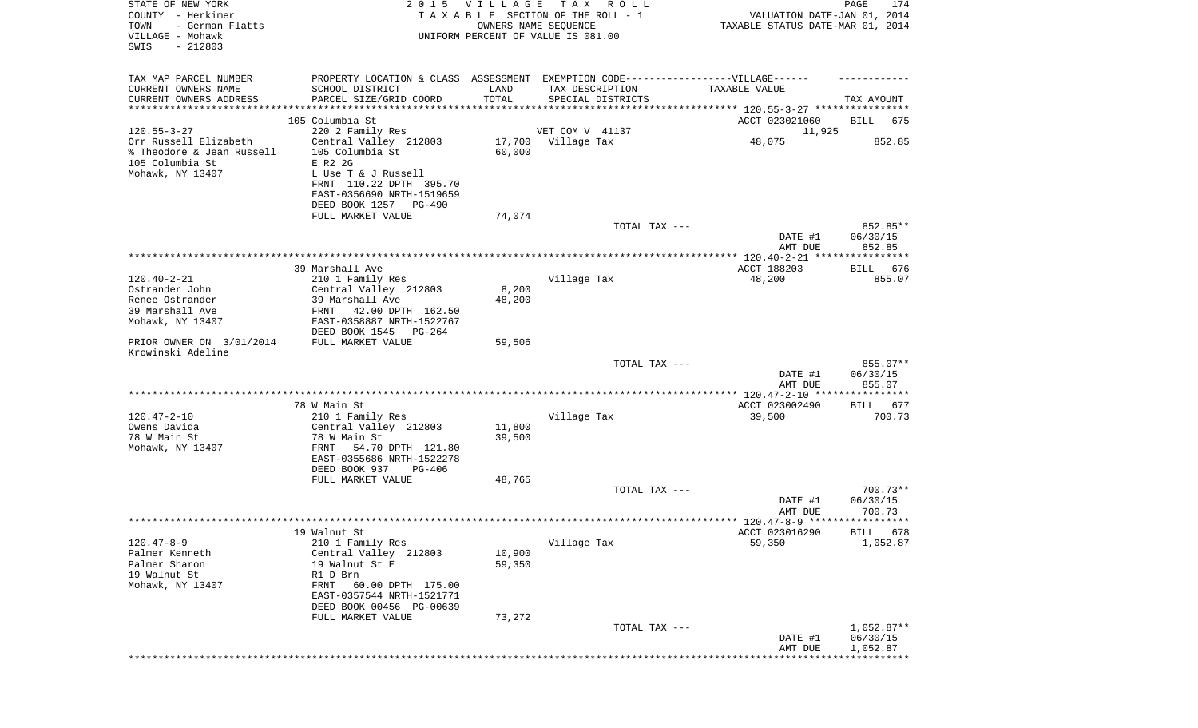| STATE OF NEW YORK<br>COUNTY - Herkimer<br>TOWN<br>- German Flatts<br>VILLAGE - Mohawk<br>SWIS<br>$-212803$ |                                                                                   | 2015 VILLAGE<br>TAXABLE SECTION OF THE ROLL - 1<br>UNIFORM PERCENT OF VALUE IS 081.00 | T A X<br>OWNERS NAME SEQUENCE        | R O L L       | VALUATION DATE-JAN 01, 2014<br>TAXABLE STATUS DATE-MAR 01, 2014 | PAGE<br>174          |
|------------------------------------------------------------------------------------------------------------|-----------------------------------------------------------------------------------|---------------------------------------------------------------------------------------|--------------------------------------|---------------|-----------------------------------------------------------------|----------------------|
| TAX MAP PARCEL NUMBER                                                                                      | PROPERTY LOCATION & CLASS ASSESSMENT EXEMPTION CODE-----------------VILLAGE------ |                                                                                       |                                      |               | TAXABLE VALUE                                                   |                      |
| CURRENT OWNERS NAME<br>CURRENT OWNERS ADDRESS                                                              | SCHOOL DISTRICT<br>PARCEL SIZE/GRID COORD                                         | LAND<br>TOTAL                                                                         | TAX DESCRIPTION<br>SPECIAL DISTRICTS |               |                                                                 | TAX AMOUNT           |
| *********************                                                                                      | *********************                                                             |                                                                                       |                                      |               |                                                                 |                      |
|                                                                                                            | 105 Columbia St                                                                   |                                                                                       |                                      |               | ACCT 023021060                                                  | BILL<br>675          |
| $120.55 - 3 - 27$                                                                                          | 220 2 Family Res                                                                  |                                                                                       | VET COM V 41137                      |               | 11,925                                                          |                      |
| Orr Russell Elizabeth                                                                                      | Central Valley 212803                                                             |                                                                                       | 17,700 Village Tax                   |               | 48,075                                                          | 852.85               |
| % Theodore & Jean Russell                                                                                  | 105 Columbia St                                                                   | 60,000                                                                                |                                      |               |                                                                 |                      |
| 105 Columbia St<br>Mohawk, NY 13407                                                                        | E R2 2G<br>L Use T & J Russell                                                    |                                                                                       |                                      |               |                                                                 |                      |
|                                                                                                            | FRNT 110.22 DPTH 395.70                                                           |                                                                                       |                                      |               |                                                                 |                      |
|                                                                                                            | EAST-0356690 NRTH-1519659                                                         |                                                                                       |                                      |               |                                                                 |                      |
|                                                                                                            | DEED BOOK 1257 PG-490                                                             |                                                                                       |                                      |               |                                                                 |                      |
|                                                                                                            | FULL MARKET VALUE                                                                 | 74,074                                                                                |                                      |               |                                                                 |                      |
|                                                                                                            |                                                                                   |                                                                                       |                                      | TOTAL TAX --- |                                                                 | 852.85**             |
|                                                                                                            |                                                                                   |                                                                                       |                                      |               | DATE #1<br>AMT DUE                                              | 06/30/15<br>852.85   |
|                                                                                                            |                                                                                   |                                                                                       |                                      |               |                                                                 |                      |
|                                                                                                            | 39 Marshall Ave                                                                   |                                                                                       |                                      |               | ACCT 188203                                                     | 676<br>BILL          |
| $120.40 - 2 - 21$                                                                                          | 210 1 Family Res                                                                  |                                                                                       | Village Tax                          |               | 48,200                                                          | 855.07               |
| Ostrander John                                                                                             | Central Valley 212803                                                             | 8,200                                                                                 |                                      |               |                                                                 |                      |
| Renee Ostrander<br>39 Marshall Ave                                                                         | 39 Marshall Ave<br>FRNT 42.00 DPTH 162.50                                         | 48,200                                                                                |                                      |               |                                                                 |                      |
| Mohawk, NY 13407                                                                                           | EAST-0358887 NRTH-1522767                                                         |                                                                                       |                                      |               |                                                                 |                      |
|                                                                                                            | DEED BOOK 1545 PG-264                                                             |                                                                                       |                                      |               |                                                                 |                      |
| PRIOR OWNER ON 3/01/2014                                                                                   | FULL MARKET VALUE                                                                 | 59,506                                                                                |                                      |               |                                                                 |                      |
| Krowinski Adeline                                                                                          |                                                                                   |                                                                                       |                                      |               |                                                                 | 855.07**             |
|                                                                                                            |                                                                                   |                                                                                       |                                      | TOTAL TAX --- | DATE #1                                                         | 06/30/15             |
|                                                                                                            |                                                                                   |                                                                                       |                                      |               | AMT DUE                                                         | 855.07               |
|                                                                                                            |                                                                                   |                                                                                       |                                      |               |                                                                 |                      |
|                                                                                                            | 78 W Main St                                                                      |                                                                                       |                                      |               | ACCT 023002490                                                  | 677<br>BILL          |
| $120.47 - 2 - 10$                                                                                          | 210 1 Family Res                                                                  |                                                                                       | Village Tax                          |               | 39,500                                                          | 700.73               |
| Owens Davida<br>78 W Main St                                                                               | Central Valley 212803<br>78 W Main St                                             | 11,800<br>39,500                                                                      |                                      |               |                                                                 |                      |
| Mohawk, NY 13407                                                                                           | FRNT<br>54.70 DPTH 121.80                                                         |                                                                                       |                                      |               |                                                                 |                      |
|                                                                                                            | EAST-0355686 NRTH-1522278                                                         |                                                                                       |                                      |               |                                                                 |                      |
|                                                                                                            | DEED BOOK 937<br>PG-406                                                           |                                                                                       |                                      |               |                                                                 |                      |
|                                                                                                            | FULL MARKET VALUE                                                                 | 48,765                                                                                |                                      |               |                                                                 |                      |
|                                                                                                            |                                                                                   |                                                                                       |                                      | TOTAL TAX --- |                                                                 | 700.73**<br>06/30/15 |
|                                                                                                            |                                                                                   |                                                                                       |                                      |               | DATE #1<br>AMT DUE                                              | 700.73               |
|                                                                                                            |                                                                                   |                                                                                       |                                      |               |                                                                 |                      |
|                                                                                                            | 19 Walnut St                                                                      |                                                                                       |                                      |               | ACCT 023016290                                                  | BILL 678             |
| $120.47 - 8 - 9$                                                                                           | 210 1 Family Res                                                                  |                                                                                       | Village Tax                          |               | 59,350                                                          | 1,052.87             |
| Palmer Kenneth                                                                                             | Central Valley 212803                                                             | 10,900                                                                                |                                      |               |                                                                 |                      |
| Palmer Sharon<br>19 Walnut St                                                                              | 19 Walnut St E<br>R1 D Brn                                                        | 59,350                                                                                |                                      |               |                                                                 |                      |
| Mohawk, NY 13407                                                                                           | 60.00 DPTH 175.00<br>FRNT                                                         |                                                                                       |                                      |               |                                                                 |                      |
|                                                                                                            | EAST-0357544 NRTH-1521771                                                         |                                                                                       |                                      |               |                                                                 |                      |
|                                                                                                            | DEED BOOK 00456 PG-00639                                                          |                                                                                       |                                      |               |                                                                 |                      |
|                                                                                                            | FULL MARKET VALUE                                                                 | 73,272                                                                                |                                      |               |                                                                 |                      |
|                                                                                                            |                                                                                   |                                                                                       |                                      | TOTAL TAX --- |                                                                 | $1,052.87**$         |
|                                                                                                            |                                                                                   |                                                                                       |                                      |               | DATE #1<br>AMT DUE                                              | 06/30/15<br>1,052.87 |
|                                                                                                            |                                                                                   |                                                                                       |                                      |               |                                                                 | *******              |
|                                                                                                            |                                                                                   |                                                                                       |                                      |               |                                                                 |                      |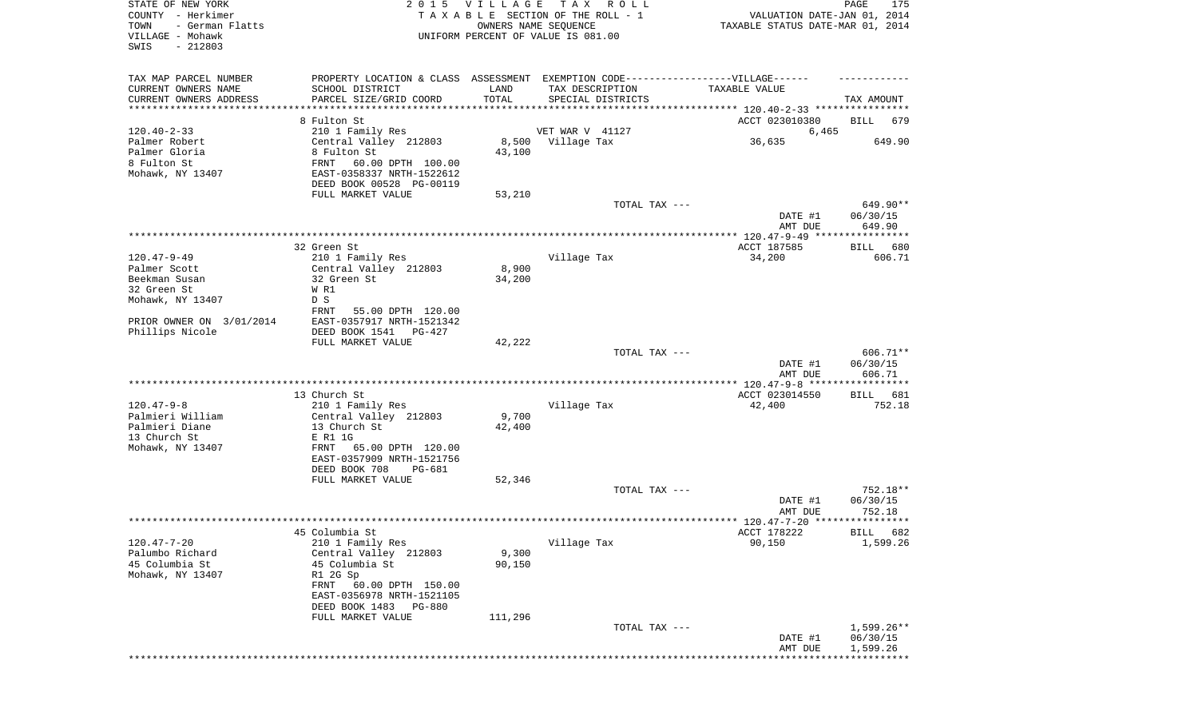| STATE OF NEW YORK<br>COUNTY - Herkimer<br>TOWN<br>- German Flatts<br>VILLAGE - Mohawk<br>SWIS<br>$-212803$ | 2 0 1 5                                                                                             | VILLAGE | T A X<br>TAXABLE SECTION OF THE ROLL - 1<br>OWNERS NAME SEQUENCE<br>UNIFORM PERCENT OF VALUE IS 081.00 | ROLL ROLL     | VALUATION DATE-JAN 01, 2014<br>TAXABLE STATUS DATE-MAR 01, 2014 | PAGE<br>175                    |
|------------------------------------------------------------------------------------------------------------|-----------------------------------------------------------------------------------------------------|---------|--------------------------------------------------------------------------------------------------------|---------------|-----------------------------------------------------------------|--------------------------------|
| TAX MAP PARCEL NUMBER<br>CURRENT OWNERS NAME                                                               | PROPERTY LOCATION & CLASS ASSESSMENT EXEMPTION CODE----------------VILLAGE------<br>SCHOOL DISTRICT | LAND    | TAX DESCRIPTION                                                                                        |               | TAXABLE VALUE                                                   |                                |
| CURRENT OWNERS ADDRESS                                                                                     | PARCEL SIZE/GRID COORD                                                                              | TOTAL   | SPECIAL DISTRICTS                                                                                      |               |                                                                 | TAX AMOUNT                     |
| *********************                                                                                      | * * * * * * * * * * * * * * * * * * *                                                               |         |                                                                                                        |               |                                                                 |                                |
| $120.40 - 2 - 33$                                                                                          | 8 Fulton St<br>210 1 Family Res                                                                     |         | VET WAR V 41127                                                                                        |               | ACCT 023010380<br>6,465                                         | BILL<br>679                    |
| Palmer Robert                                                                                              | Central Valley 212803                                                                               | 8,500   | Village Tax                                                                                            |               | 36,635                                                          | 649.90                         |
| Palmer Gloria                                                                                              | 8 Fulton St                                                                                         | 43,100  |                                                                                                        |               |                                                                 |                                |
| 8 Fulton St                                                                                                | FRNT<br>60.00 DPTH 100.00                                                                           |         |                                                                                                        |               |                                                                 |                                |
| Mohawk, NY 13407                                                                                           | EAST-0358337 NRTH-1522612<br>DEED BOOK 00528 PG-00119                                               |         |                                                                                                        |               |                                                                 |                                |
|                                                                                                            | FULL MARKET VALUE                                                                                   | 53,210  |                                                                                                        |               |                                                                 |                                |
|                                                                                                            |                                                                                                     |         |                                                                                                        | TOTAL TAX --- |                                                                 | 649.90**                       |
|                                                                                                            |                                                                                                     |         |                                                                                                        |               | DATE #1<br>AMT DUE                                              | 06/30/15<br>649.90             |
|                                                                                                            |                                                                                                     |         |                                                                                                        |               |                                                                 |                                |
|                                                                                                            | 32 Green St                                                                                         |         |                                                                                                        |               | ACCT 187585                                                     | 680<br>BILL                    |
| $120.47 - 9 - 49$<br>Palmer Scott                                                                          | 210 1 Family Res<br>Central Valley 212803                                                           | 8,900   | Village Tax                                                                                            |               | 34,200                                                          | 606.71                         |
| Beekman Susan                                                                                              | 32 Green St                                                                                         | 34,200  |                                                                                                        |               |                                                                 |                                |
| 32 Green St                                                                                                | W R1                                                                                                |         |                                                                                                        |               |                                                                 |                                |
| Mohawk, NY 13407                                                                                           | D S                                                                                                 |         |                                                                                                        |               |                                                                 |                                |
| PRIOR OWNER ON 3/01/2014                                                                                   | FRNT<br>55.00 DPTH 120.00<br>EAST-0357917 NRTH-1521342                                              |         |                                                                                                        |               |                                                                 |                                |
| Phillips Nicole                                                                                            | DEED BOOK 1541<br>PG-427                                                                            |         |                                                                                                        |               |                                                                 |                                |
|                                                                                                            | FULL MARKET VALUE                                                                                   | 42,222  |                                                                                                        |               |                                                                 |                                |
|                                                                                                            |                                                                                                     |         |                                                                                                        | TOTAL TAX --- | DATE #1                                                         | 606.71**<br>06/30/15<br>606.71 |
|                                                                                                            |                                                                                                     |         |                                                                                                        |               | AMT DUE                                                         |                                |
|                                                                                                            | 13 Church St                                                                                        |         |                                                                                                        |               | ACCT 023014550                                                  | 681<br>BILL                    |
| $120.47 - 9 - 8$                                                                                           | 210 1 Family Res                                                                                    |         | Village Tax                                                                                            |               | 42,400                                                          | 752.18                         |
| Palmieri William<br>Palmieri Diane                                                                         | Central Valley 212803                                                                               | 9,700   |                                                                                                        |               |                                                                 |                                |
| 13 Church St                                                                                               | 13 Church St<br>E R1 1G                                                                             | 42,400  |                                                                                                        |               |                                                                 |                                |
| Mohawk, NY 13407                                                                                           | 65.00 DPTH 120.00<br>FRNT                                                                           |         |                                                                                                        |               |                                                                 |                                |
|                                                                                                            | EAST-0357909 NRTH-1521756                                                                           |         |                                                                                                        |               |                                                                 |                                |
|                                                                                                            | DEED BOOK 708<br>PG-681                                                                             | 52,346  |                                                                                                        |               |                                                                 |                                |
|                                                                                                            | FULL MARKET VALUE                                                                                   |         |                                                                                                        | TOTAL TAX --- |                                                                 | 752.18**                       |
|                                                                                                            |                                                                                                     |         |                                                                                                        |               | DATE #1                                                         | 06/30/15                       |
|                                                                                                            |                                                                                                     |         |                                                                                                        |               | AMT DUE                                                         | 752.18                         |
|                                                                                                            | 45 Columbia St                                                                                      |         |                                                                                                        |               | ACCT 178222                                                     | BILL 682                       |
| $120.47 - 7 - 20$                                                                                          | 210 1 Family Res                                                                                    |         | Village Tax                                                                                            |               | 90,150                                                          | 1,599.26                       |
| Palumbo Richard                                                                                            | Central Valley 212803                                                                               | 9,300   |                                                                                                        |               |                                                                 |                                |
| 45 Columbia St                                                                                             | 45 Columbia St                                                                                      | 90,150  |                                                                                                        |               |                                                                 |                                |
| Mohawk, NY 13407                                                                                           | R1 2G Sp<br>FRNT<br>60.00 DPTH 150.00                                                               |         |                                                                                                        |               |                                                                 |                                |
|                                                                                                            | EAST-0356978 NRTH-1521105                                                                           |         |                                                                                                        |               |                                                                 |                                |
|                                                                                                            | DEED BOOK 1483<br>PG-880                                                                            |         |                                                                                                        |               |                                                                 |                                |
|                                                                                                            | FULL MARKET VALUE                                                                                   | 111,296 |                                                                                                        |               |                                                                 |                                |
|                                                                                                            |                                                                                                     |         |                                                                                                        | TOTAL TAX --- | DATE #1                                                         | $1,599.26**$<br>06/30/15       |
|                                                                                                            |                                                                                                     |         |                                                                                                        |               | AMT DUE                                                         | 1,599.26                       |
|                                                                                                            |                                                                                                     |         |                                                                                                        |               |                                                                 | ***********                    |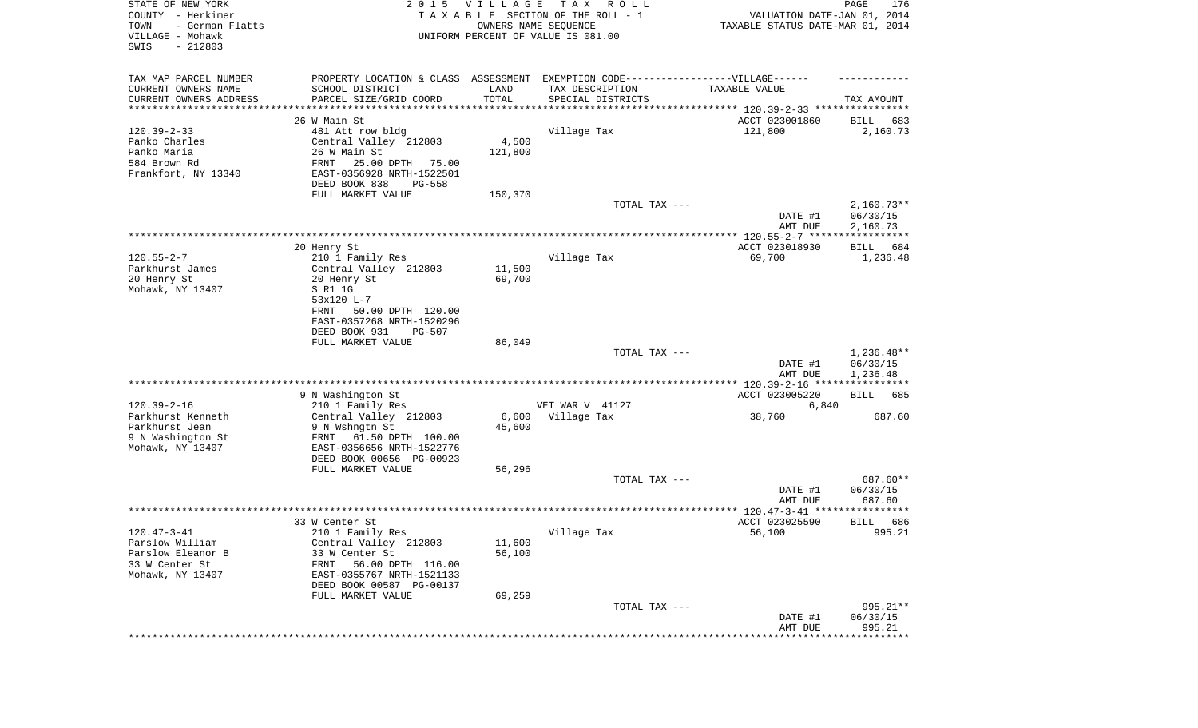| STATE OF NEW YORK<br>COUNTY - Herkimer<br>- German Flatts<br>TOWN<br>VILLAGE - Mohawk<br>$-212803$<br>SWIS | 2015 VILLAGE<br>TAXABLE SECTION OF THE ROLL - 1<br>UNIFORM PERCENT OF VALUE IS 081.00 | VALUATION DATE-JAN 01, 2014<br>TAXABLE STATUS DATE-MAR 01, 2014 | PAGE<br>176                                                                                         |                            |                      |
|------------------------------------------------------------------------------------------------------------|---------------------------------------------------------------------------------------|-----------------------------------------------------------------|-----------------------------------------------------------------------------------------------------|----------------------------|----------------------|
| TAX MAP PARCEL NUMBER<br>CURRENT OWNERS NAME                                                               | SCHOOL DISTRICT                                                                       | LAND                                                            | PROPERTY LOCATION & CLASS ASSESSMENT EXEMPTION CODE----------------VILLAGE------<br>TAX DESCRIPTION | TAXABLE VALUE              |                      |
| CURRENT OWNERS ADDRESS<br>*********************                                                            | PARCEL SIZE/GRID COORD                                                                | TOTAL<br>***********                                            | SPECIAL DISTRICTS                                                                                   |                            | TAX AMOUNT           |
|                                                                                                            | 26 W Main St                                                                          |                                                                 |                                                                                                     | ACCT 023001860             | 683<br>BILL          |
| $120.39 - 2 - 33$                                                                                          | 481 Att row bldg                                                                      |                                                                 | Village Tax                                                                                         | 121,800                    | 2,160.73             |
| Panko Charles                                                                                              | Central Valley 212803                                                                 | 4,500                                                           |                                                                                                     |                            |                      |
| Panko Maria                                                                                                | 26 W Main St                                                                          | 121,800                                                         |                                                                                                     |                            |                      |
| 584 Brown Rd                                                                                               | FRNT<br>25.00 DPTH<br>75.00                                                           |                                                                 |                                                                                                     |                            |                      |
| Frankfort, NY 13340                                                                                        | EAST-0356928 NRTH-1522501<br>DEED BOOK 838<br>PG-558                                  |                                                                 |                                                                                                     |                            |                      |
|                                                                                                            | FULL MARKET VALUE                                                                     | 150,370                                                         |                                                                                                     |                            |                      |
|                                                                                                            |                                                                                       |                                                                 | TOTAL TAX ---                                                                                       |                            | $2,160.73**$         |
|                                                                                                            |                                                                                       |                                                                 |                                                                                                     | DATE #1<br>AMT DUE         | 06/30/15<br>2,160.73 |
|                                                                                                            |                                                                                       |                                                                 |                                                                                                     |                            |                      |
|                                                                                                            | 20 Henry St                                                                           |                                                                 |                                                                                                     | ACCT 023018930             | BILL<br>684          |
| $120.55 - 2 - 7$                                                                                           | 210 1 Family Res                                                                      |                                                                 | Village Tax                                                                                         | 69,700                     | 1,236.48             |
| Parkhurst James                                                                                            | Central Valley 212803                                                                 | 11,500                                                          |                                                                                                     |                            |                      |
| 20 Henry St<br>Mohawk, NY 13407                                                                            | 20 Henry St<br>S R1 1G                                                                | 69,700                                                          |                                                                                                     |                            |                      |
|                                                                                                            | 53x120 L-7                                                                            |                                                                 |                                                                                                     |                            |                      |
|                                                                                                            | 50.00 DPTH 120.00<br>FRNT                                                             |                                                                 |                                                                                                     |                            |                      |
|                                                                                                            | EAST-0357268 NRTH-1520296                                                             |                                                                 |                                                                                                     |                            |                      |
|                                                                                                            | DEED BOOK 931<br><b>PG-507</b>                                                        |                                                                 |                                                                                                     |                            |                      |
|                                                                                                            | FULL MARKET VALUE                                                                     | 86,049                                                          |                                                                                                     |                            |                      |
|                                                                                                            |                                                                                       |                                                                 | TOTAL TAX ---                                                                                       |                            | $1,236.48**$         |
|                                                                                                            |                                                                                       |                                                                 |                                                                                                     | DATE #1<br>AMT DUE         | 06/30/15<br>1,236.48 |
|                                                                                                            |                                                                                       |                                                                 |                                                                                                     |                            |                      |
|                                                                                                            | 9 N Washington St                                                                     |                                                                 |                                                                                                     | ACCT 023005220             | BILL<br>685          |
| $120.39 - 2 - 16$<br>Parkhurst Kenneth                                                                     | 210 1 Family Res<br>Central Valley 212803                                             | 6,600                                                           | VET WAR V 41127<br>Village Tax                                                                      | 6,840<br>38,760            | 687.60               |
| Parkhurst Jean                                                                                             | 9 N Wshngtn St                                                                        | 45,600                                                          |                                                                                                     |                            |                      |
| 9 N Washington St                                                                                          | FRNT<br>61.50 DPTH 100.00                                                             |                                                                 |                                                                                                     |                            |                      |
| Mohawk, NY 13407                                                                                           | EAST-0356656 NRTH-1522776                                                             |                                                                 |                                                                                                     |                            |                      |
|                                                                                                            | DEED BOOK 00656 PG-00923                                                              |                                                                 |                                                                                                     |                            |                      |
|                                                                                                            | FULL MARKET VALUE                                                                     | 56,296                                                          |                                                                                                     |                            |                      |
|                                                                                                            |                                                                                       |                                                                 | TOTAL TAX ---                                                                                       |                            | 687.60**             |
|                                                                                                            |                                                                                       |                                                                 |                                                                                                     | DATE #1                    | 06/30/15             |
|                                                                                                            |                                                                                       |                                                                 |                                                                                                     | AMT DUE                    | 687.60<br>******     |
|                                                                                                            | 33 W Center St                                                                        |                                                                 |                                                                                                     | ACCT 023025590             | 686<br>BILL          |
| $120.47 - 3 - 41$                                                                                          | 210 1 Family Res                                                                      |                                                                 | Village Tax                                                                                         | 56,100                     | 995.21               |
| Parslow William                                                                                            | Central Valley 212803                                                                 | 11,600                                                          |                                                                                                     |                            |                      |
| Parslow Eleanor B                                                                                          | 33 W Center St                                                                        | 56,100                                                          |                                                                                                     |                            |                      |
| 33 W Center St                                                                                             | 56.00 DPTH 116.00<br>FRNT                                                             |                                                                 |                                                                                                     |                            |                      |
| Mohawk, NY 13407                                                                                           | EAST-0355767 NRTH-1521133                                                             |                                                                 |                                                                                                     |                            |                      |
|                                                                                                            | DEED BOOK 00587 PG-00137                                                              |                                                                 |                                                                                                     |                            |                      |
|                                                                                                            | FULL MARKET VALUE                                                                     | 69,259                                                          |                                                                                                     |                            |                      |
|                                                                                                            |                                                                                       |                                                                 | TOTAL TAX ---                                                                                       |                            | 995.21**             |
|                                                                                                            |                                                                                       |                                                                 |                                                                                                     | DATE #1<br>AMT DUE         | 06/30/15<br>995.21   |
|                                                                                                            |                                                                                       |                                                                 |                                                                                                     | ************************** |                      |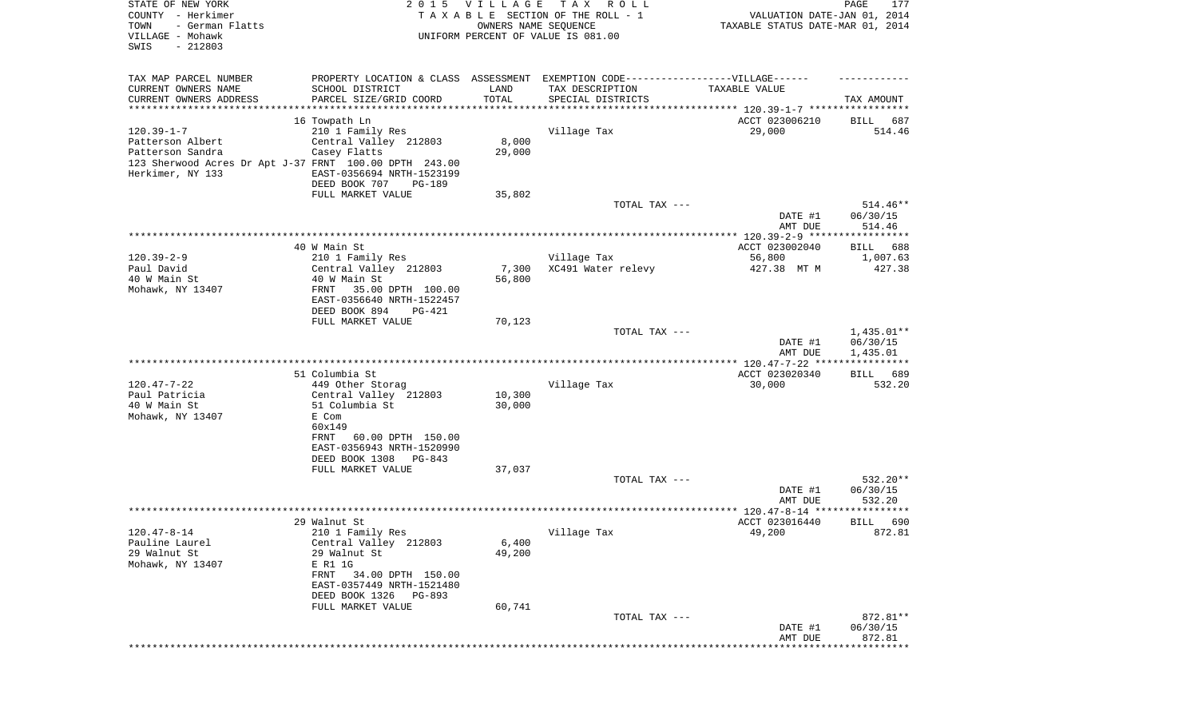| STATE OF NEW YORK<br>COUNTY - Herkimer<br>TOWN<br>- German Flatts<br>VILLAGE - Mohawk<br>SWIS<br>$-212803$                             |                                                                                                                                                                                              | 2015 VILLAGE<br>OWNERS NAME SEQUENCE | T A X<br>R O L L<br>TAXABLE SECTION OF THE ROLL - 1<br>UNIFORM PERCENT OF VALUE IS 081.00                                 | VALUATION DATE-JAN 01, 2014<br>TAXABLE STATUS DATE-MAR 01, 2014 | PAGE<br>177                          |
|----------------------------------------------------------------------------------------------------------------------------------------|----------------------------------------------------------------------------------------------------------------------------------------------------------------------------------------------|--------------------------------------|---------------------------------------------------------------------------------------------------------------------------|-----------------------------------------------------------------|--------------------------------------|
| TAX MAP PARCEL NUMBER<br>CURRENT OWNERS NAME<br>CURRENT OWNERS ADDRESS<br>***********************                                      | SCHOOL DISTRICT<br>PARCEL SIZE/GRID COORD                                                                                                                                                    | LAND<br>TOTAL                        | PROPERTY LOCATION & CLASS ASSESSMENT EXEMPTION CODE-----------------VILLAGE------<br>TAX DESCRIPTION<br>SPECIAL DISTRICTS | TAXABLE VALUE                                                   | TAX AMOUNT                           |
| $120.39 - 1 - 7$<br>Patterson Albert<br>Patterson Sandra<br>123 Sherwood Acres Dr Apt J-37 FRNT 100.00 DPTH 243.00<br>Herkimer, NY 133 | 16 Towpath Ln<br>210 1 Family Res<br>Central Valley 212803<br>Casey Flatts<br>EAST-0356694 NRTH-1523199<br>DEED BOOK 707<br>PG-189<br>FULL MARKET VALUE                                      | 8,000<br>29,000<br>35,802            | Village Tax                                                                                                               | ACCT 023006210<br>29,000                                        | BILL<br>687<br>514.46                |
|                                                                                                                                        |                                                                                                                                                                                              |                                      | TOTAL TAX ---                                                                                                             | DATE #1<br>AMT DUE                                              | $514.46**$<br>06/30/15<br>514.46     |
| $120.39 - 2 - 9$<br>Paul David<br>40 W Main St<br>Mohawk, NY 13407                                                                     | 40 W Main St<br>210 1 Family Res<br>Central Valley 212803<br>40 W Main St<br>FRNT<br>35.00 DPTH 100.00<br>EAST-0356640 NRTH-1522457<br>DEED BOOK 894<br>$PG-421$                             | 7,300<br>56,800                      | Village Tax<br>XC491 Water relevy                                                                                         | ACCT 023002040<br>56,800<br>427.38 MT M                         | 688<br>BILL<br>1,007.63<br>427.38    |
|                                                                                                                                        | FULL MARKET VALUE                                                                                                                                                                            | 70,123                               | TOTAL TAX ---                                                                                                             | DATE #1<br>AMT DUE                                              | $1,435.01**$<br>06/30/15<br>1,435.01 |
| $120.47 - 7 - 22$<br>Paul Patricia<br>40 W Main St<br>Mohawk, NY 13407                                                                 | 51 Columbia St<br>449 Other Storag<br>Central Valley 212803<br>51 Columbia St<br>E Com<br>60x149<br><b>FRNT</b><br>60.00 DPTH 150.00<br>EAST-0356943 NRTH-1520990<br>DEED BOOK 1308 PG-843   | 10,300<br>30,000                     | Village Tax                                                                                                               | ACCT 023020340<br>30,000                                        | BILL<br>689<br>532.20                |
|                                                                                                                                        | FULL MARKET VALUE                                                                                                                                                                            | 37,037                               | TOTAL TAX ---                                                                                                             | DATE #1<br>AMT DUE                                              | 532.20**<br>06/30/15<br>532.20       |
|                                                                                                                                        |                                                                                                                                                                                              |                                      |                                                                                                                           |                                                                 |                                      |
| $120.47 - 8 - 14$<br>Pauline Laurel<br>29 Walnut St<br>Mohawk, NY 13407                                                                | 29 Walnut St<br>210 1 Family Res<br>Central Valley 212803<br>29 Walnut St<br>E R1 1G<br>34.00 DPTH 150.00<br>FRNT<br>EAST-0357449 NRTH-1521480<br>DEED BOOK 1326 PG-893<br>FULL MARKET VALUE | 6,400<br>49,200<br>60,741            | Village Tax                                                                                                               | ACCT 023016440<br>49,200                                        | 690<br>BILL<br>872.81                |
|                                                                                                                                        |                                                                                                                                                                                              |                                      | TOTAL TAX ---                                                                                                             | DATE #1<br>AMT DUE                                              | 872.81**<br>06/30/15<br>872.81       |
|                                                                                                                                        |                                                                                                                                                                                              |                                      |                                                                                                                           |                                                                 |                                      |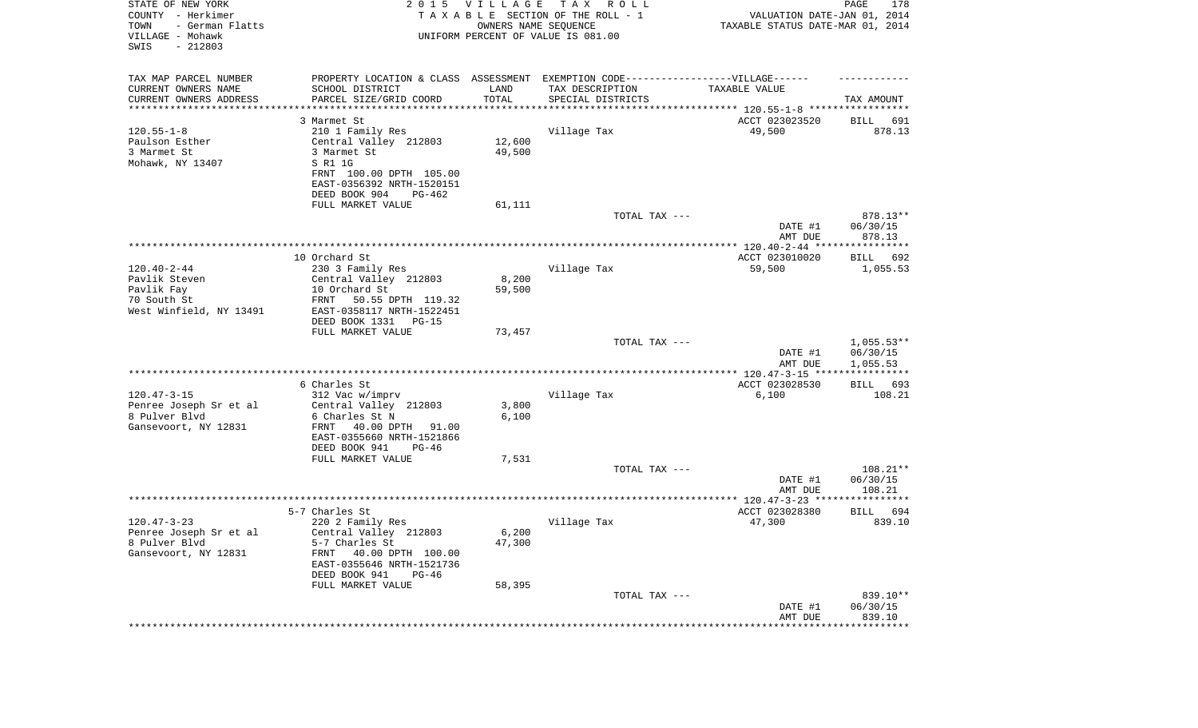| STATE OF NEW YORK<br>COUNTY - Herkimer<br>- German Flatts<br>TOWN<br>VILLAGE - Mohawk<br>SWIS<br>$-212803$ | 2 0 1 5                                                                                             | <b>VILLAGE</b><br>OWNERS NAME SEQUENCE | T A X<br>R O L L<br>TAXABLE SECTION OF THE ROLL - 1<br>UNIFORM PERCENT OF VALUE IS 081.00 | VALUATION DATE-JAN 01, 2014<br>TAXABLE STATUS DATE-MAR 01, 2014 | PAGE<br>178           |
|------------------------------------------------------------------------------------------------------------|-----------------------------------------------------------------------------------------------------|----------------------------------------|-------------------------------------------------------------------------------------------|-----------------------------------------------------------------|-----------------------|
| TAX MAP PARCEL NUMBER<br>CURRENT OWNERS NAME                                                               | PROPERTY LOCATION & CLASS ASSESSMENT EXEMPTION CODE----------------VILLAGE------<br>SCHOOL DISTRICT | LAND                                   | TAX DESCRIPTION                                                                           | TAXABLE VALUE                                                   |                       |
| CURRENT OWNERS ADDRESS<br>*********************                                                            | PARCEL SIZE/GRID COORD                                                                              | TOTAL<br>**********                    | SPECIAL DISTRICTS                                                                         |                                                                 | TAX AMOUNT            |
|                                                                                                            | 3 Marmet St                                                                                         |                                        |                                                                                           | ACCT 023023520                                                  | 691<br>BILL           |
| $120.55 - 1 - 8$                                                                                           | 210 1 Family Res                                                                                    |                                        | Village Tax                                                                               | 49,500                                                          | 878.13                |
| Paulson Esther                                                                                             | Central Valley 212803                                                                               | 12,600                                 |                                                                                           |                                                                 |                       |
| 3 Marmet St<br>Mohawk, NY 13407                                                                            | 3 Marmet St<br>S R1 1G                                                                              | 49,500                                 |                                                                                           |                                                                 |                       |
|                                                                                                            | FRNT 100.00 DPTH 105.00                                                                             |                                        |                                                                                           |                                                                 |                       |
|                                                                                                            | EAST-0356392 NRTH-1520151                                                                           |                                        |                                                                                           |                                                                 |                       |
|                                                                                                            | DEED BOOK 904<br>PG-462                                                                             |                                        |                                                                                           |                                                                 |                       |
|                                                                                                            | FULL MARKET VALUE                                                                                   | 61,111                                 |                                                                                           |                                                                 |                       |
|                                                                                                            |                                                                                                     |                                        | TOTAL TAX ---                                                                             | DATE #1                                                         | 878.13**<br>06/30/15  |
|                                                                                                            |                                                                                                     |                                        |                                                                                           | AMT DUE                                                         | 878.13                |
|                                                                                                            |                                                                                                     |                                        |                                                                                           |                                                                 |                       |
|                                                                                                            | 10 Orchard St                                                                                       |                                        |                                                                                           | ACCT 023010020                                                  | BILL 692              |
| $120.40 - 2 - 44$<br>Pavlik Steven                                                                         | 230 3 Family Res<br>Central Valley 212803                                                           | 8,200                                  | Village Tax                                                                               | 59,500                                                          | 1,055.53              |
| Pavlik Fay                                                                                                 | 10 Orchard St                                                                                       | 59,500                                 |                                                                                           |                                                                 |                       |
| 70 South St                                                                                                | 50.55 DPTH 119.32<br>FRNT                                                                           |                                        |                                                                                           |                                                                 |                       |
| West Winfield, NY 13491                                                                                    | EAST-0358117 NRTH-1522451                                                                           |                                        |                                                                                           |                                                                 |                       |
|                                                                                                            | DEED BOOK 1331<br>PG-15<br>FULL MARKET VALUE                                                        | 73,457                                 |                                                                                           |                                                                 |                       |
|                                                                                                            |                                                                                                     |                                        | TOTAL TAX ---                                                                             |                                                                 | $1,055.53**$          |
|                                                                                                            |                                                                                                     |                                        |                                                                                           | DATE #1<br>AMT DUE                                              | 06/30/15<br>1,055.53  |
|                                                                                                            |                                                                                                     |                                        |                                                                                           | *************** 120.47-3-15 ****                                | ***********           |
| $120.47 - 3 - 15$                                                                                          | 6 Charles St<br>312 Vac w/imprv                                                                     |                                        | Village Tax                                                                               | ACCT 023028530<br>6,100                                         | 693<br>BILL<br>108.21 |
| Penree Joseph Sr et al                                                                                     | Central Valley 212803                                                                               | 3,800                                  |                                                                                           |                                                                 |                       |
| 8 Pulver Blvd                                                                                              | 6 Charles St N                                                                                      | 6,100                                  |                                                                                           |                                                                 |                       |
| Gansevoort, NY 12831                                                                                       | 40.00 DPTH<br>FRNT<br>91.00                                                                         |                                        |                                                                                           |                                                                 |                       |
|                                                                                                            | EAST-0355660 NRTH-1521866                                                                           |                                        |                                                                                           |                                                                 |                       |
|                                                                                                            | DEED BOOK 941<br>PG-46<br>FULL MARKET VALUE                                                         | 7,531                                  |                                                                                           |                                                                 |                       |
|                                                                                                            |                                                                                                     |                                        | TOTAL TAX ---                                                                             |                                                                 | $108.21**$            |
|                                                                                                            |                                                                                                     |                                        |                                                                                           | DATE #1                                                         | 06/30/15              |
|                                                                                                            |                                                                                                     |                                        |                                                                                           | AMT DUE                                                         | 108.21                |
|                                                                                                            | 5-7 Charles St                                                                                      |                                        |                                                                                           | ACCT 023028380                                                  | 694<br>BILL           |
| $120.47 - 3 - 23$                                                                                          | 220 2 Family Res                                                                                    |                                        | Village Tax                                                                               | 47,300                                                          | 839.10                |
| Penree Joseph Sr et al                                                                                     | Central Valley 212803                                                                               | 6,200                                  |                                                                                           |                                                                 |                       |
| 8 Pulver Blvd                                                                                              | 5-7 Charles St<br>40.00 DPTH 100.00                                                                 | 47,300                                 |                                                                                           |                                                                 |                       |
| Gansevoort, NY 12831                                                                                       | FRNT<br>EAST-0355646 NRTH-1521736                                                                   |                                        |                                                                                           |                                                                 |                       |
|                                                                                                            | DEED BOOK 941<br>PG-46                                                                              |                                        |                                                                                           |                                                                 |                       |
|                                                                                                            | FULL MARKET VALUE                                                                                   | 58,395                                 |                                                                                           |                                                                 |                       |
|                                                                                                            |                                                                                                     |                                        | TOTAL TAX ---                                                                             |                                                                 | 839.10**              |
|                                                                                                            |                                                                                                     |                                        |                                                                                           | DATE #1<br>AMT DUE                                              | 06/30/15<br>839.10    |
|                                                                                                            |                                                                                                     |                                        |                                                                                           |                                                                 |                       |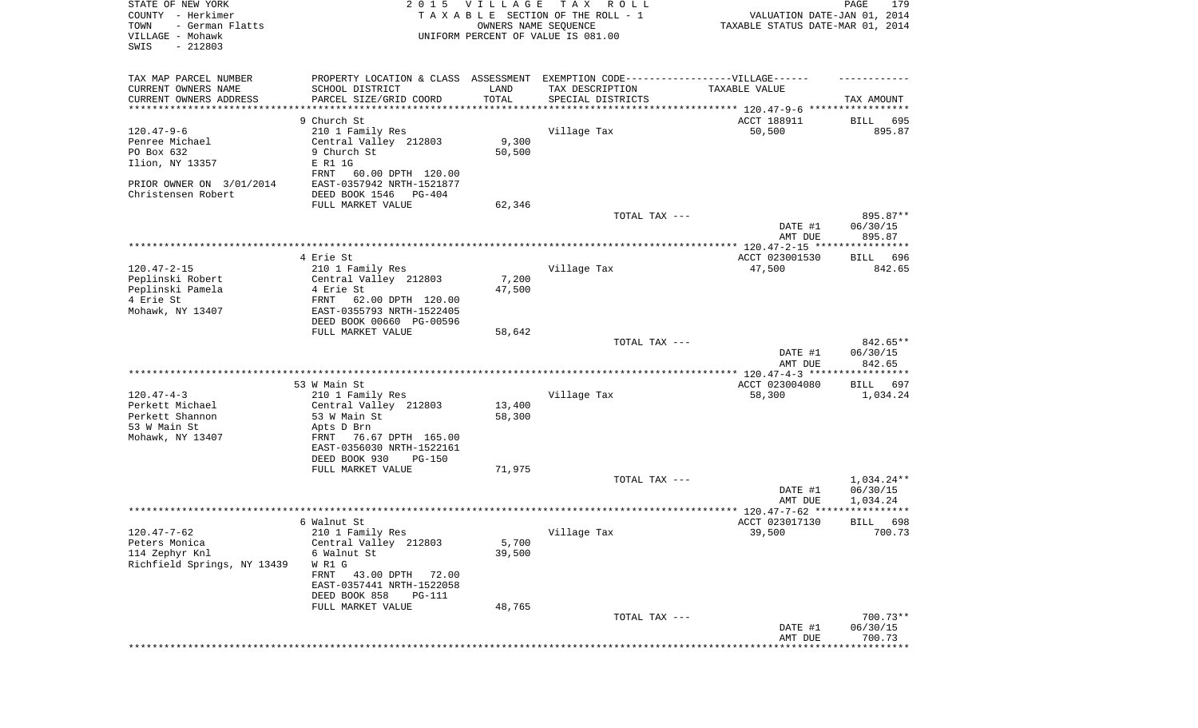| STATE OF NEW YORK<br>COUNTY - Herkimer<br>- German Flatts<br>TOWN<br>VILLAGE - Mohawk<br>SWIS<br>$-212803$ | 2 0 1 5                                                                          | <b>VILLAGE</b><br>OWNERS NAME SEQUENCE | T A X<br>R O L L<br>TAXABLE SECTION OF THE ROLL - 1<br>UNIFORM PERCENT OF VALUE IS 081.00 | VALUATION DATE-JAN 01, 2014<br>TAXABLE STATUS DATE-MAR 01, 2014 | PAGE<br>179            |
|------------------------------------------------------------------------------------------------------------|----------------------------------------------------------------------------------|----------------------------------------|-------------------------------------------------------------------------------------------|-----------------------------------------------------------------|------------------------|
| TAX MAP PARCEL NUMBER                                                                                      | PROPERTY LOCATION & CLASS ASSESSMENT EXEMPTION CODE----------------VILLAGE------ |                                        |                                                                                           |                                                                 |                        |
| CURRENT OWNERS NAME<br>CURRENT OWNERS ADDRESS                                                              | SCHOOL DISTRICT<br>PARCEL SIZE/GRID COORD                                        | LAND<br>TOTAL                          | TAX DESCRIPTION                                                                           | TAXABLE VALUE                                                   | TAX AMOUNT             |
| *********************                                                                                      |                                                                                  |                                        | SPECIAL DISTRICTS                                                                         |                                                                 |                        |
|                                                                                                            | 9 Church St                                                                      |                                        |                                                                                           | ACCT 188911                                                     | 695<br>BILL            |
| $120.47 - 9 - 6$                                                                                           | 210 1 Family Res                                                                 |                                        | Village Tax                                                                               | 50,500                                                          | 895.87                 |
| Penree Michael                                                                                             | Central Valley 212803                                                            | 9,300                                  |                                                                                           |                                                                 |                        |
| PO Box 632                                                                                                 | 9 Church St                                                                      | 50,500                                 |                                                                                           |                                                                 |                        |
| Ilion, NY 13357                                                                                            | E R1 1G                                                                          |                                        |                                                                                           |                                                                 |                        |
| PRIOR OWNER ON 3/01/2014                                                                                   | 60.00 DPTH 120.00<br>FRNT<br>EAST-0357942 NRTH-1521877                           |                                        |                                                                                           |                                                                 |                        |
| Christensen Robert                                                                                         | DEED BOOK 1546<br>PG-404                                                         |                                        |                                                                                           |                                                                 |                        |
|                                                                                                            | FULL MARKET VALUE                                                                | 62,346                                 |                                                                                           |                                                                 |                        |
|                                                                                                            |                                                                                  |                                        | TOTAL TAX ---                                                                             |                                                                 | 895.87**               |
|                                                                                                            |                                                                                  |                                        |                                                                                           | DATE #1                                                         | 06/30/15               |
|                                                                                                            |                                                                                  |                                        |                                                                                           | AMT DUE                                                         | 895.87                 |
|                                                                                                            |                                                                                  |                                        |                                                                                           |                                                                 |                        |
| $120.47 - 2 - 15$                                                                                          | 4 Erie St                                                                        |                                        | Village Tax                                                                               | ACCT 023001530                                                  | <b>BILL</b><br>696     |
| Peplinski Robert                                                                                           | 210 1 Family Res<br>Central Valley 212803                                        | 7,200                                  |                                                                                           | 47,500                                                          | 842.65                 |
| Peplinski Pamela                                                                                           | 4 Erie St                                                                        | 47,500                                 |                                                                                           |                                                                 |                        |
| 4 Erie St                                                                                                  | 62.00 DPTH 120.00<br>FRNT                                                        |                                        |                                                                                           |                                                                 |                        |
| Mohawk, NY 13407                                                                                           | EAST-0355793 NRTH-1522405                                                        |                                        |                                                                                           |                                                                 |                        |
|                                                                                                            | DEED BOOK 00660 PG-00596                                                         |                                        |                                                                                           |                                                                 |                        |
|                                                                                                            | FULL MARKET VALUE                                                                | 58,642                                 |                                                                                           |                                                                 |                        |
|                                                                                                            |                                                                                  |                                        | TOTAL TAX ---                                                                             |                                                                 | 842.65**               |
|                                                                                                            |                                                                                  |                                        |                                                                                           | DATE #1<br>AMT DUE                                              | 06/30/15<br>842.65     |
|                                                                                                            |                                                                                  |                                        |                                                                                           | ************ 120.47-4-3 ******************                      |                        |
|                                                                                                            | 53 W Main St                                                                     |                                        |                                                                                           | ACCT 023004080                                                  | <b>BILL</b><br>697     |
| $120.47 - 4 - 3$                                                                                           | 210 1 Family Res                                                                 |                                        | Village Tax                                                                               | 58,300                                                          | 1,034.24               |
| Perkett Michael                                                                                            | Central Valley 212803                                                            | 13,400                                 |                                                                                           |                                                                 |                        |
| Perkett Shannon                                                                                            | 53 W Main St                                                                     | 58,300                                 |                                                                                           |                                                                 |                        |
| 53 W Main St                                                                                               | Apts D Brn                                                                       |                                        |                                                                                           |                                                                 |                        |
| Mohawk, NY 13407                                                                                           | 76.67 DPTH 165.00<br>FRNT<br>EAST-0356030 NRTH-1522161                           |                                        |                                                                                           |                                                                 |                        |
|                                                                                                            | DEED BOOK 930<br>$PG-150$                                                        |                                        |                                                                                           |                                                                 |                        |
|                                                                                                            | FULL MARKET VALUE                                                                | 71,975                                 |                                                                                           |                                                                 |                        |
|                                                                                                            |                                                                                  |                                        | TOTAL TAX ---                                                                             |                                                                 | $1,034.24**$           |
|                                                                                                            |                                                                                  |                                        |                                                                                           | DATE #1                                                         | 06/30/15               |
|                                                                                                            |                                                                                  |                                        |                                                                                           | AMT DUE                                                         | 1,034.24               |
|                                                                                                            |                                                                                  |                                        |                                                                                           |                                                                 | *****                  |
|                                                                                                            | 6 Walnut St<br>210 1 Family Res                                                  |                                        |                                                                                           | ACCT 023017130<br>39,500                                        | 698<br>BILL<br>700.73  |
| 120.47-7-62<br>Peters Monica                                                                               | Central Valley 212803                                                            | 5,700                                  | Village Tax                                                                               |                                                                 |                        |
| 114 Zephyr Knl                                                                                             | 6 Walnut St                                                                      | 39,500                                 |                                                                                           |                                                                 |                        |
| Richfield Springs, NY 13439                                                                                | W R1 G                                                                           |                                        |                                                                                           |                                                                 |                        |
|                                                                                                            | 43.00 DPTH<br>FRNT<br>72.00                                                      |                                        |                                                                                           |                                                                 |                        |
|                                                                                                            | EAST-0357441 NRTH-1522058                                                        |                                        |                                                                                           |                                                                 |                        |
|                                                                                                            | DEED BOOK 858<br>PG-111                                                          |                                        |                                                                                           |                                                                 |                        |
|                                                                                                            | FULL MARKET VALUE                                                                | 48,765                                 |                                                                                           |                                                                 |                        |
|                                                                                                            |                                                                                  |                                        | TOTAL TAX ---                                                                             | DATE #1                                                         | $700.73**$<br>06/30/15 |
|                                                                                                            |                                                                                  |                                        |                                                                                           | AMT DUE                                                         | 700.73                 |
|                                                                                                            |                                                                                  |                                        |                                                                                           |                                                                 | *********              |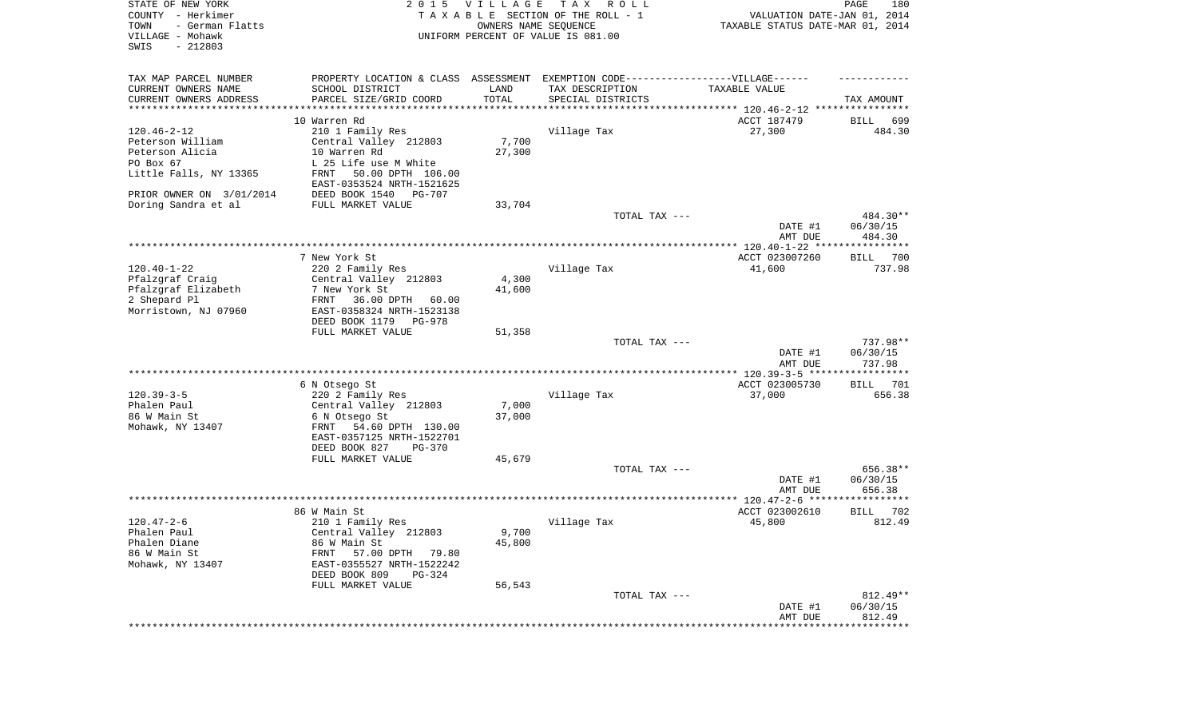| STATE OF NEW YORK<br>COUNTY - Herkimer<br>- German Flatts<br>TOWN<br>VILLAGE - Mohawk<br>SWIS<br>$-212803$ | 2 0 1 5                                              | <b>VILLAGE</b>  | T A X<br>R O L L<br>TAXABLE SECTION OF THE ROLL - 1<br>OWNERS NAME SEQUENCE<br>UNIFORM PERCENT OF VALUE IS 081.00 | VALUATION DATE-JAN 01, 2014<br>TAXABLE STATUS DATE-MAR 01, 2014 | 180<br>PAGE           |
|------------------------------------------------------------------------------------------------------------|------------------------------------------------------|-----------------|-------------------------------------------------------------------------------------------------------------------|-----------------------------------------------------------------|-----------------------|
| TAX MAP PARCEL NUMBER                                                                                      | PROPERTY LOCATION & CLASS ASSESSMENT                 |                 | EXEMPTION CODE------------------VILLAGE------                                                                     |                                                                 |                       |
| CURRENT OWNERS NAME                                                                                        | SCHOOL DISTRICT                                      | LAND            | TAX DESCRIPTION                                                                                                   | TAXABLE VALUE                                                   |                       |
| CURRENT OWNERS ADDRESS<br>*********************                                                            | PARCEL SIZE/GRID COORD                               | TOTAL           | SPECIAL DISTRICTS                                                                                                 | ***************************** 120.46-2-12 ****************      | TAX AMOUNT            |
|                                                                                                            | 10 Warren Rd                                         |                 |                                                                                                                   | ACCT 187479                                                     | BILL<br>699           |
| $120.46 - 2 - 12$                                                                                          | 210 1 Family Res                                     |                 | Village Tax                                                                                                       | 27,300                                                          | 484.30                |
| Peterson William                                                                                           | Central Valley 212803                                | 7,700           |                                                                                                                   |                                                                 |                       |
| Peterson Alicia                                                                                            | 10 Warren Rd                                         | 27,300          |                                                                                                                   |                                                                 |                       |
| PO Box 67                                                                                                  | L 25 Life use M White                                |                 |                                                                                                                   |                                                                 |                       |
| Little Falls, NY 13365                                                                                     | 50.00 DPTH 106.00<br>FRNT                            |                 |                                                                                                                   |                                                                 |                       |
|                                                                                                            | EAST-0353524 NRTH-1521625                            |                 |                                                                                                                   |                                                                 |                       |
| PRIOR OWNER ON 3/01/2014                                                                                   | DEED BOOK 1540<br>PG-707                             |                 |                                                                                                                   |                                                                 |                       |
| Doring Sandra et al                                                                                        | FULL MARKET VALUE                                    | 33,704          | TOTAL TAX ---                                                                                                     |                                                                 | 484.30**              |
|                                                                                                            |                                                      |                 |                                                                                                                   | DATE #1                                                         | 06/30/15              |
|                                                                                                            |                                                      |                 |                                                                                                                   | AMT DUE                                                         | 484.30                |
|                                                                                                            |                                                      |                 |                                                                                                                   |                                                                 |                       |
|                                                                                                            | 7 New York St                                        |                 |                                                                                                                   | ACCT 023007260                                                  | 700<br>BILL           |
| $120.40 - 1 - 22$                                                                                          | 220 2 Family Res                                     |                 | Village Tax                                                                                                       | 41,600                                                          | 737.98                |
| Pfalzgraf Craig                                                                                            | Central Valley 212803<br>7 New York St               | 4,300<br>41,600 |                                                                                                                   |                                                                 |                       |
| Pfalzgraf Elizabeth<br>2 Shepard Pl                                                                        | 36.00 DPTH<br>FRNT<br>60.00                          |                 |                                                                                                                   |                                                                 |                       |
| Morristown, NJ 07960                                                                                       | EAST-0358324 NRTH-1523138                            |                 |                                                                                                                   |                                                                 |                       |
|                                                                                                            | DEED BOOK 1179<br>PG-978                             |                 |                                                                                                                   |                                                                 |                       |
|                                                                                                            | FULL MARKET VALUE                                    | 51,358          |                                                                                                                   |                                                                 |                       |
|                                                                                                            |                                                      |                 | TOTAL TAX ---                                                                                                     |                                                                 | 737.98**              |
|                                                                                                            |                                                      |                 |                                                                                                                   | DATE #1                                                         | 06/30/15<br>737.98    |
|                                                                                                            |                                                      |                 |                                                                                                                   | AMT DUE<br>************** 120.39-3-5 ******                     | ***********           |
|                                                                                                            | 6 N Otsego St                                        |                 |                                                                                                                   | ACCT 023005730                                                  | 701<br>BILL           |
| $120.39 - 3 - 5$                                                                                           | 220 2 Family Res                                     |                 | Village Tax                                                                                                       | 37,000                                                          | 656.38                |
| Phalen Paul                                                                                                | Central Valley 212803                                | 7,000           |                                                                                                                   |                                                                 |                       |
| 86 W Main St                                                                                               | 6 N Otsego St                                        | 37,000          |                                                                                                                   |                                                                 |                       |
| Mohawk, NY 13407                                                                                           | FRNT<br>54.60 DPTH 130.00                            |                 |                                                                                                                   |                                                                 |                       |
|                                                                                                            | EAST-0357125 NRTH-1522701<br>DEED BOOK 827<br>PG-370 |                 |                                                                                                                   |                                                                 |                       |
|                                                                                                            | FULL MARKET VALUE                                    | 45,679          |                                                                                                                   |                                                                 |                       |
|                                                                                                            |                                                      |                 | TOTAL TAX ---                                                                                                     |                                                                 | 656.38**              |
|                                                                                                            |                                                      |                 |                                                                                                                   | DATE #1                                                         | 06/30/15              |
|                                                                                                            |                                                      |                 |                                                                                                                   | AMT DUE                                                         | 656.38                |
|                                                                                                            |                                                      |                 |                                                                                                                   |                                                                 |                       |
| $120.47 - 2 - 6$                                                                                           | 86 W Main St                                         |                 |                                                                                                                   | ACCT 023002610                                                  | 702<br>BILL<br>812.49 |
| Phalen Paul                                                                                                | 210 1 Family Res<br>Central Valley 212803            | 9,700           | Village Tax                                                                                                       | 45,800                                                          |                       |
| Phalen Diane                                                                                               | 86 W Main St                                         | 45,800          |                                                                                                                   |                                                                 |                       |
| 86 W Main St                                                                                               | 57.00 DPTH 79.80<br>FRNT                             |                 |                                                                                                                   |                                                                 |                       |
| Mohawk, NY 13407                                                                                           | EAST-0355527 NRTH-1522242                            |                 |                                                                                                                   |                                                                 |                       |
|                                                                                                            | DEED BOOK 809<br>PG-324                              |                 |                                                                                                                   |                                                                 |                       |
|                                                                                                            | FULL MARKET VALUE                                    | 56,543          |                                                                                                                   |                                                                 |                       |
|                                                                                                            |                                                      |                 | TOTAL TAX ---                                                                                                     | DATE #1                                                         | 812.49**<br>06/30/15  |
|                                                                                                            |                                                      |                 |                                                                                                                   | AMT DUE                                                         | 812.49                |
|                                                                                                            |                                                      |                 |                                                                                                                   | *********************************                               |                       |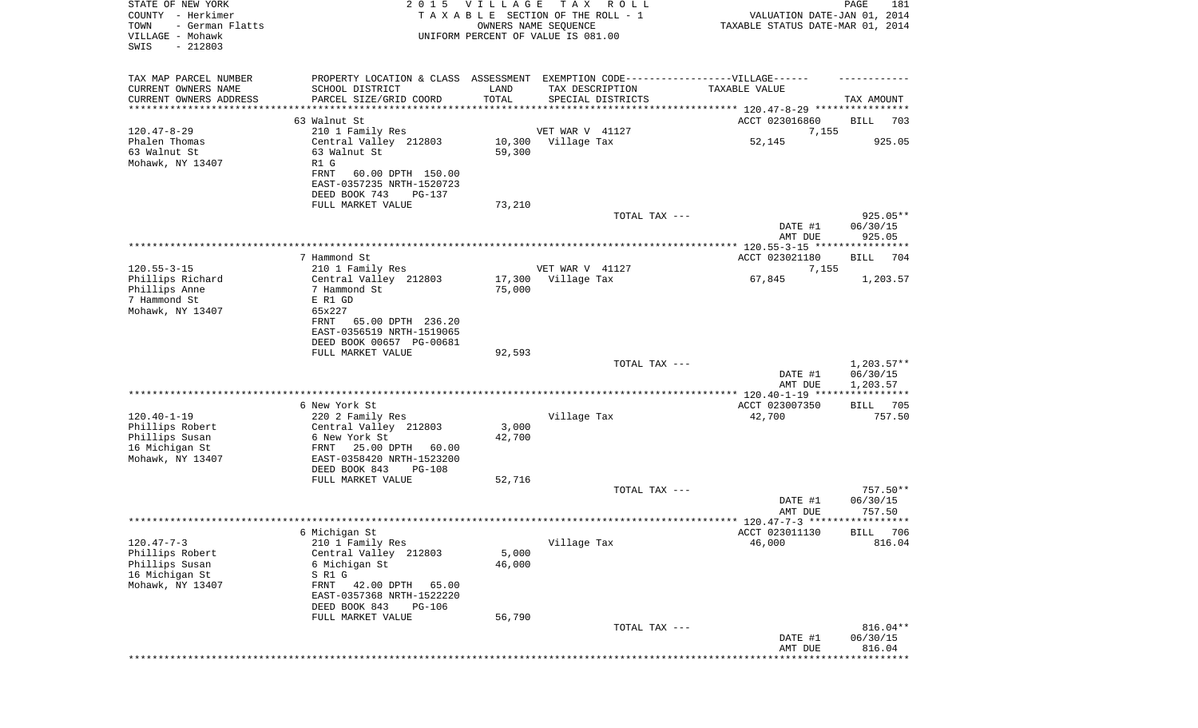| STATE OF NEW YORK<br>COUNTY - Herkimer<br>TOWN<br>- German Flatts<br>VILLAGE - Mohawk<br>SWIS<br>$-212803$ | 2 0 1 5                                                  | <b>VILLAGE</b> | T A X<br>R O L L<br>TAXABLE SECTION OF THE ROLL - 1<br>OWNERS NAME SEQUENCE<br>UNIFORM PERCENT OF VALUE IS 081.00 | VALUATION DATE-JAN 01, 2014<br>TAXABLE STATUS DATE-MAR 01, 2014 | PAGE<br>181              |
|------------------------------------------------------------------------------------------------------------|----------------------------------------------------------|----------------|-------------------------------------------------------------------------------------------------------------------|-----------------------------------------------------------------|--------------------------|
| TAX MAP PARCEL NUMBER                                                                                      |                                                          |                | PROPERTY LOCATION & CLASS ASSESSMENT EXEMPTION CODE----------------VILLAGE------                                  |                                                                 |                          |
| CURRENT OWNERS NAME<br>CURRENT OWNERS ADDRESS                                                              | SCHOOL DISTRICT<br>PARCEL SIZE/GRID COORD                | LAND<br>TOTAL  | TAX DESCRIPTION<br>SPECIAL DISTRICTS                                                                              | TAXABLE VALUE                                                   | TAX AMOUNT               |
| *********************                                                                                      |                                                          |                |                                                                                                                   |                                                                 |                          |
|                                                                                                            | 63 Walnut St                                             |                |                                                                                                                   | ACCT 023016860                                                  | BILL<br>703              |
| $120.47 - 8 - 29$<br>Phalen Thomas                                                                         | 210 1 Family Res<br>Central Valley 212803                | 10,300         | VET WAR V 41127<br>Village Tax                                                                                    | 7,155<br>52,145                                                 | 925.05                   |
| 63 Walnut St                                                                                               | 63 Walnut St                                             | 59,300         |                                                                                                                   |                                                                 |                          |
| Mohawk, NY 13407                                                                                           | R1 G                                                     |                |                                                                                                                   |                                                                 |                          |
|                                                                                                            | FRNT<br>60.00 DPTH 150.00                                |                |                                                                                                                   |                                                                 |                          |
|                                                                                                            | EAST-0357235 NRTH-1520723                                |                |                                                                                                                   |                                                                 |                          |
|                                                                                                            | DEED BOOK 743<br>PG-137<br>FULL MARKET VALUE             | 73,210         |                                                                                                                   |                                                                 |                          |
|                                                                                                            |                                                          |                | TOTAL TAX ---                                                                                                     |                                                                 | 925.05**                 |
|                                                                                                            |                                                          |                |                                                                                                                   | DATE #1                                                         | 06/30/15                 |
|                                                                                                            |                                                          |                |                                                                                                                   | AMT DUE                                                         | 925.05                   |
|                                                                                                            | 7 Hammond St                                             |                |                                                                                                                   | ACCT 023021180                                                  | BILL<br>704              |
| $120.55 - 3 - 15$                                                                                          | 210 1 Family Res                                         |                | VET WAR V 41127                                                                                                   | 7,155                                                           |                          |
| Phillips Richard                                                                                           | Central Valley 212803                                    | 17,300         | Village Tax                                                                                                       | 67,845                                                          | 1,203.57                 |
| Phillips Anne                                                                                              | 7 Hammond St                                             | 75,000         |                                                                                                                   |                                                                 |                          |
| 7 Hammond St                                                                                               | E R1 GD<br>65x227                                        |                |                                                                                                                   |                                                                 |                          |
| Mohawk, NY 13407                                                                                           | 65.00 DPTH 236.20<br>FRNT                                |                |                                                                                                                   |                                                                 |                          |
|                                                                                                            | EAST-0356519 NRTH-1519065                                |                |                                                                                                                   |                                                                 |                          |
|                                                                                                            | DEED BOOK 00657 PG-00681                                 |                |                                                                                                                   |                                                                 |                          |
|                                                                                                            | FULL MARKET VALUE                                        | 92,593         |                                                                                                                   |                                                                 |                          |
|                                                                                                            |                                                          |                | TOTAL TAX ---                                                                                                     | DATE #1                                                         | $1,203.57**$<br>06/30/15 |
|                                                                                                            |                                                          |                |                                                                                                                   | AMT DUE                                                         | 1,203.57                 |
|                                                                                                            |                                                          |                |                                                                                                                   |                                                                 |                          |
|                                                                                                            | 6 New York St                                            |                |                                                                                                                   | ACCT 023007350                                                  | 705<br>BILL              |
| $120.40 - 1 - 19$<br>Phillips Robert                                                                       | 220 2 Family Res<br>Central Valley 212803                | 3,000          | Village Tax                                                                                                       | 42,700                                                          | 757.50                   |
| Phillips Susan                                                                                             | 6 New York St                                            | 42,700         |                                                                                                                   |                                                                 |                          |
| 16 Michigan St                                                                                             | 25.00 DPTH<br>FRNT<br>60.00                              |                |                                                                                                                   |                                                                 |                          |
| Mohawk, NY 13407                                                                                           | EAST-0358420 NRTH-1523200                                |                |                                                                                                                   |                                                                 |                          |
|                                                                                                            | DEED BOOK 843<br>$PG-108$                                |                |                                                                                                                   |                                                                 |                          |
|                                                                                                            | FULL MARKET VALUE                                        | 52,716         | TOTAL TAX ---                                                                                                     |                                                                 | 757.50**                 |
|                                                                                                            |                                                          |                |                                                                                                                   | DATE #1                                                         | 06/30/15                 |
|                                                                                                            |                                                          |                |                                                                                                                   | AMT DUE                                                         | 757.50                   |
|                                                                                                            |                                                          |                |                                                                                                                   |                                                                 |                          |
| $120.47 - 7 - 3$                                                                                           | 6 Michigan St<br>210 1 Family Res                        |                | Village Tax                                                                                                       | ACCT 023011130<br>46,000                                        | BILL 706<br>816.04       |
| Phillips Robert                                                                                            | Central Valley 212803                                    | 5,000          |                                                                                                                   |                                                                 |                          |
| Phillips Susan                                                                                             | 6 Michigan St                                            | 46,000         |                                                                                                                   |                                                                 |                          |
| 16 Michigan St                                                                                             | S R1 G                                                   |                |                                                                                                                   |                                                                 |                          |
| Mohawk, NY 13407                                                                                           | 65.00<br>FRNT<br>42.00 DPTH<br>EAST-0357368 NRTH-1522220 |                |                                                                                                                   |                                                                 |                          |
|                                                                                                            | DEED BOOK 843<br>PG-106                                  |                |                                                                                                                   |                                                                 |                          |
|                                                                                                            | FULL MARKET VALUE                                        | 56,790         |                                                                                                                   |                                                                 |                          |
|                                                                                                            |                                                          |                | TOTAL TAX ---                                                                                                     |                                                                 | 816.04**                 |
|                                                                                                            |                                                          |                |                                                                                                                   | DATE #1                                                         | 06/30/15                 |
|                                                                                                            |                                                          |                |                                                                                                                   | AMT DUE                                                         | 816.04<br>**********     |
|                                                                                                            |                                                          |                |                                                                                                                   |                                                                 |                          |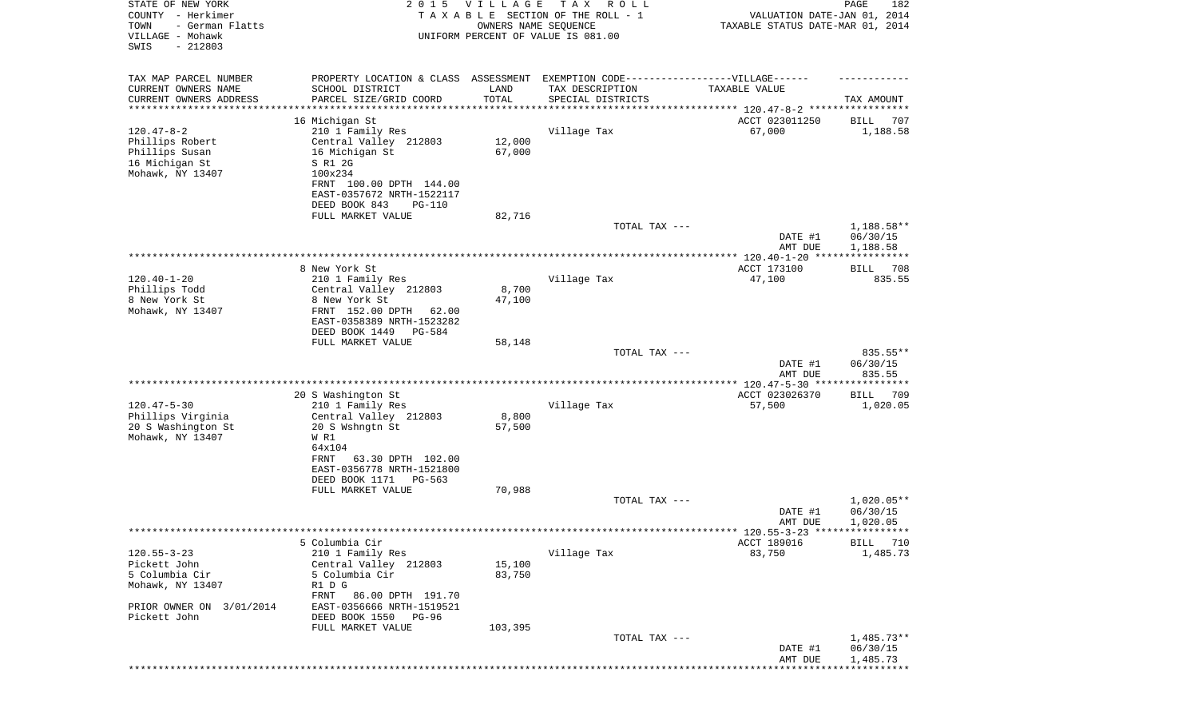| STATE OF NEW YORK<br>COUNTY - Herkimer<br>TOWN<br>- German Flatts<br>VILLAGE - Mohawk<br>SWIS<br>$-212803$          | 2 0 1 5                                                                                                                                                                                                            | VILLAGE<br>OWNERS NAME SEQUENCE        | TAX ROLL<br>TAXABLE SECTION OF THE ROLL - 1<br>UNIFORM PERCENT OF VALUE IS 081.00                                         | VALUATION DATE-JAN 01, 2014<br>TAXABLE STATUS DATE-MAR 01, 2014 | PAGE<br>182                          |
|---------------------------------------------------------------------------------------------------------------------|--------------------------------------------------------------------------------------------------------------------------------------------------------------------------------------------------------------------|----------------------------------------|---------------------------------------------------------------------------------------------------------------------------|-----------------------------------------------------------------|--------------------------------------|
| TAX MAP PARCEL NUMBER<br>CURRENT OWNERS NAME<br>CURRENT OWNERS ADDRESS<br>********************                      | SCHOOL DISTRICT<br>PARCEL SIZE/GRID COORD                                                                                                                                                                          | LAND<br>TOTAL<br>* * * * * * * * * * * | PROPERTY LOCATION & CLASS ASSESSMENT EXEMPTION CODE-----------------VILLAGE------<br>TAX DESCRIPTION<br>SPECIAL DISTRICTS | TAXABLE VALUE                                                   | TAX AMOUNT                           |
| $120.47 - 8 - 2$<br>Phillips Robert<br>Phillips Susan<br>16 Michigan St<br>Mohawk, NY 13407                         | 16 Michigan St<br>210 1 Family Res<br>Central Valley 212803<br>16 Michigan St<br>S R1 2G<br>100x234<br>FRNT 100.00 DPTH 144.00<br>EAST-0357672 NRTH-1522117<br>DEED BOOK 843<br><b>PG-110</b><br>FULL MARKET VALUE | 12,000<br>67,000<br>82,716             | Village Tax                                                                                                               | ACCT 023011250<br>67,000                                        | 707<br>BILL<br>1,188.58              |
|                                                                                                                     |                                                                                                                                                                                                                    |                                        | TOTAL TAX ---                                                                                                             | DATE #1<br>AMT DUE                                              | 1,188.58**<br>06/30/15<br>1,188.58   |
| $120.40 - 1 - 20$<br>Phillips Todd<br>8 New York St<br>Mohawk, NY 13407                                             | 8 New York St<br>210 1 Family Res<br>Central Valley 212803<br>8 New York St<br>FRNT 152.00 DPTH<br>62.00<br>EAST-0358389 NRTH-1523282<br>DEED BOOK 1449<br>PG-584<br>FULL MARKET VALUE                             | 8,700<br>47,100<br>58,148              | Village Tax                                                                                                               | ACCT 173100<br>47,100                                           | 708<br>BILL<br>835.55                |
|                                                                                                                     |                                                                                                                                                                                                                    |                                        | TOTAL TAX ---                                                                                                             | DATE #1<br>AMT DUE                                              | 835.55**<br>06/30/15<br>835.55       |
| $120.47 - 5 - 30$<br>Phillips Virginia<br>20 S Washington St<br>Mohawk, NY 13407                                    | 20 S Washington St<br>210 1 Family Res<br>Central Valley 212803<br>20 S Wshngtn St<br>W R1<br>64x104<br>63.30 DPTH 102.00<br>FRNT<br>EAST-0356778 NRTH-1521800<br>DEED BOOK 1171<br>PG-563<br>FULL MARKET VALUE    | 8,800<br>57,500<br>70,988              | Village Tax                                                                                                               | ACCT 023026370<br>57,500                                        | 709<br>BILL<br>1,020.05              |
|                                                                                                                     |                                                                                                                                                                                                                    |                                        | TOTAL TAX ---                                                                                                             | DATE #1<br>AMT DUE                                              | $1,020.05**$<br>06/30/15<br>1,020.05 |
| $120.55 - 3 - 23$<br>Pickett John<br>5 Columbia Cir<br>Mohawk, NY 13407<br>PRIOR OWNER ON 3/01/2014<br>Pickett John | 5 Columbia Cir<br>210 1 Family Res<br>Central Valley 212803<br>5 Columbia Cir<br>R1 D G<br>86.00 DPTH 191.70<br>FRNT<br>EAST-0356666 NRTH-1519521<br>DEED BOOK 1550<br>PG-96<br>FULL MARKET VALUE                  | 15,100<br>83,750<br>103,395            | Village Tax                                                                                                               | ******* 120.55-3-23 *****************<br>ACCT 189016<br>83,750  | 710<br><b>BILL</b><br>1,485.73       |
|                                                                                                                     |                                                                                                                                                                                                                    |                                        | TOTAL TAX ---                                                                                                             | DATE #1<br>AMT DUE                                              | $1,485.73**$<br>06/30/15<br>1,485.73 |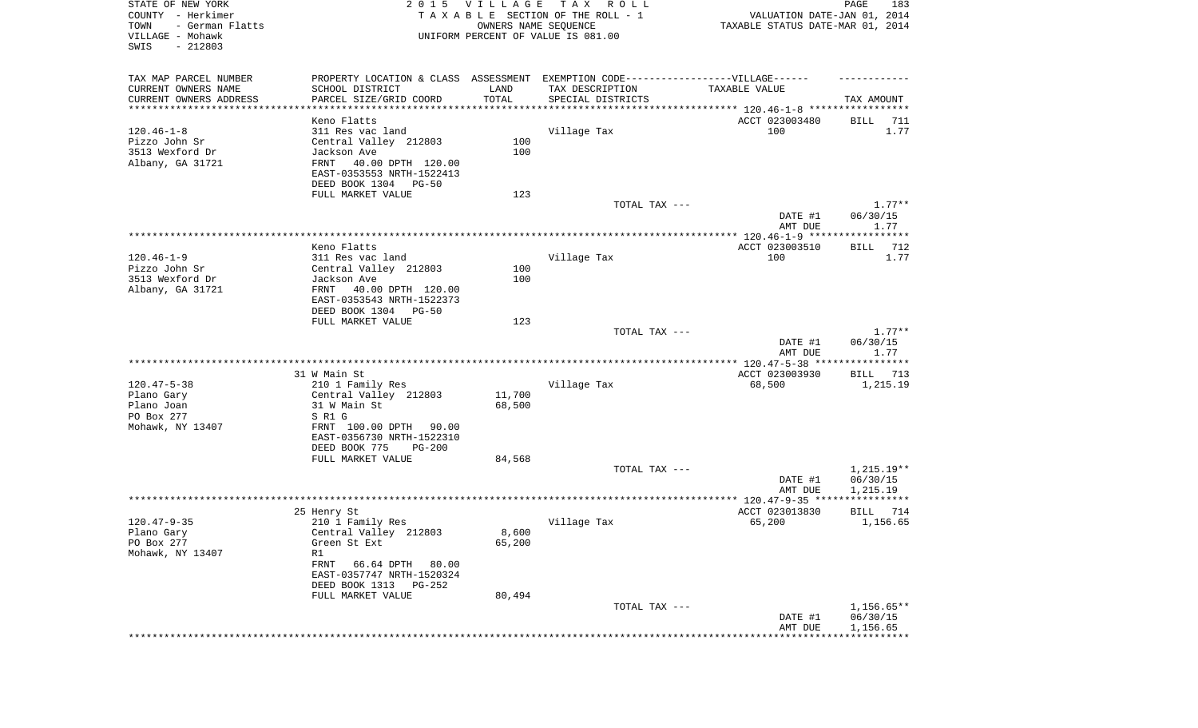| STATE OF NEW YORK<br>COUNTY - Herkimer<br>- German Flatts<br>TOWN<br>VILLAGE - Mohawk<br>$-212803$<br>SWIS |                                                                                   | 2015 VILLAGE<br>OWNERS NAME SEQUENCE | T A X<br>ROLL ROLL<br>TAXABLE SECTION OF THE ROLL - 1<br>UNIFORM PERCENT OF VALUE IS 081.00 | VALUATION DATE-JAN 01, 2014<br>TAXABLE STATUS DATE-MAR 01, 2014 | PAGE<br>183             |
|------------------------------------------------------------------------------------------------------------|-----------------------------------------------------------------------------------|--------------------------------------|---------------------------------------------------------------------------------------------|-----------------------------------------------------------------|-------------------------|
| TAX MAP PARCEL NUMBER                                                                                      | PROPERTY LOCATION & CLASS ASSESSMENT EXEMPTION CODE-----------------VILLAGE------ |                                      |                                                                                             |                                                                 |                         |
| CURRENT OWNERS NAME<br>CURRENT OWNERS ADDRESS                                                              | SCHOOL DISTRICT<br>PARCEL SIZE/GRID COORD                                         | LAND<br>TOTAL                        | TAX DESCRIPTION<br>SPECIAL DISTRICTS                                                        | TAXABLE VALUE                                                   | TAX AMOUNT              |
| ************************                                                                                   | ***********************                                                           |                                      |                                                                                             |                                                                 |                         |
|                                                                                                            | Keno Flatts                                                                       |                                      |                                                                                             | ACCT 023003480                                                  | 711<br>BILL             |
| $120.46 - 1 - 8$                                                                                           | 311 Res vac land                                                                  |                                      | Village Tax                                                                                 | 100                                                             | 1.77                    |
| Pizzo John Sr                                                                                              | Central Valley 212803                                                             | 100                                  |                                                                                             |                                                                 |                         |
| 3513 Wexford Dr                                                                                            | Jackson Ave                                                                       | 100                                  |                                                                                             |                                                                 |                         |
| Albany, GA 31721                                                                                           | FRNT<br>40.00 DPTH 120.00<br>EAST-0353553 NRTH-1522413                            |                                      |                                                                                             |                                                                 |                         |
|                                                                                                            | DEED BOOK 1304<br>PG-50                                                           |                                      |                                                                                             |                                                                 |                         |
|                                                                                                            | FULL MARKET VALUE                                                                 | 123                                  |                                                                                             |                                                                 |                         |
|                                                                                                            |                                                                                   |                                      | TOTAL TAX ---                                                                               |                                                                 | $1.77**$                |
|                                                                                                            |                                                                                   |                                      |                                                                                             | DATE #1                                                         | 06/30/15                |
|                                                                                                            |                                                                                   |                                      |                                                                                             | AMT DUE                                                         | 1.77                    |
|                                                                                                            | Keno Flatts                                                                       |                                      |                                                                                             | ACCT 023003510                                                  | 712<br>BILL             |
| $120.46 - 1 - 9$                                                                                           | 311 Res vac land                                                                  |                                      | Village Tax                                                                                 | 100                                                             | 1.77                    |
| Pizzo John Sr                                                                                              | Central Valley 212803                                                             | 100                                  |                                                                                             |                                                                 |                         |
| 3513 Wexford Dr                                                                                            | Jackson Ave                                                                       | 100                                  |                                                                                             |                                                                 |                         |
| Albany, GA 31721                                                                                           | 40.00 DPTH 120.00<br>FRNT                                                         |                                      |                                                                                             |                                                                 |                         |
|                                                                                                            | EAST-0353543 NRTH-1522373                                                         |                                      |                                                                                             |                                                                 |                         |
|                                                                                                            | DEED BOOK 1304<br>PG-50<br>FULL MARKET VALUE                                      | 123                                  |                                                                                             |                                                                 |                         |
|                                                                                                            |                                                                                   |                                      | TOTAL TAX ---                                                                               |                                                                 | $1.77**$                |
|                                                                                                            |                                                                                   |                                      |                                                                                             | DATE #1                                                         | 06/30/15                |
|                                                                                                            |                                                                                   |                                      |                                                                                             | AMT DUE                                                         | 1.77                    |
|                                                                                                            |                                                                                   |                                      |                                                                                             |                                                                 |                         |
| $120.47 - 5 - 38$                                                                                          | 31 W Main St<br>210 1 Family Res                                                  |                                      | Village Tax                                                                                 | ACCT 023003930<br>68,500                                        | BILL 713<br>1,215.19    |
| Plano Gary                                                                                                 | Central Valley 212803                                                             | 11,700                               |                                                                                             |                                                                 |                         |
| Plano Joan                                                                                                 | 31 W Main St                                                                      | 68,500                               |                                                                                             |                                                                 |                         |
| PO Box 277                                                                                                 | S R1 G                                                                            |                                      |                                                                                             |                                                                 |                         |
| Mohawk, NY 13407                                                                                           | FRNT 100.00 DPTH<br>90.00                                                         |                                      |                                                                                             |                                                                 |                         |
|                                                                                                            | EAST-0356730 NRTH-1522310<br>DEED BOOK 775<br><b>PG-200</b>                       |                                      |                                                                                             |                                                                 |                         |
|                                                                                                            | FULL MARKET VALUE                                                                 | 84,568                               |                                                                                             |                                                                 |                         |
|                                                                                                            |                                                                                   |                                      | TOTAL TAX ---                                                                               |                                                                 | 1,215.19**              |
|                                                                                                            |                                                                                   |                                      |                                                                                             | DATE #1                                                         | 06/30/15                |
|                                                                                                            |                                                                                   |                                      |                                                                                             | AMT DUE                                                         | 1,215.19                |
|                                                                                                            |                                                                                   |                                      |                                                                                             |                                                                 |                         |
| $120.47 - 9 - 35$                                                                                          | 25 Henry St<br>210 1 Family Res                                                   |                                      | Village Tax                                                                                 | ACCT 023013830<br>65,200                                        | BILL<br>714<br>1,156.65 |
| Plano Gary                                                                                                 | Central Valley 212803                                                             | 8,600                                |                                                                                             |                                                                 |                         |
| PO Box 277                                                                                                 | Green St Ext                                                                      | 65,200                               |                                                                                             |                                                                 |                         |
| Mohawk, NY 13407                                                                                           | R1                                                                                |                                      |                                                                                             |                                                                 |                         |
|                                                                                                            | FRNT<br>66.64 DPTH<br>80.00                                                       |                                      |                                                                                             |                                                                 |                         |
|                                                                                                            | EAST-0357747 NRTH-1520324                                                         |                                      |                                                                                             |                                                                 |                         |
|                                                                                                            | DEED BOOK 1313 PG-252<br>FULL MARKET VALUE                                        | 80,494                               |                                                                                             |                                                                 |                         |
|                                                                                                            |                                                                                   |                                      | TOTAL TAX ---                                                                               |                                                                 | $1,156.65**$            |
|                                                                                                            |                                                                                   |                                      |                                                                                             | DATE #1                                                         | 06/30/15                |
|                                                                                                            |                                                                                   |                                      |                                                                                             | AMT DUE                                                         | 1,156.65                |
|                                                                                                            |                                                                                   |                                      |                                                                                             |                                                                 |                         |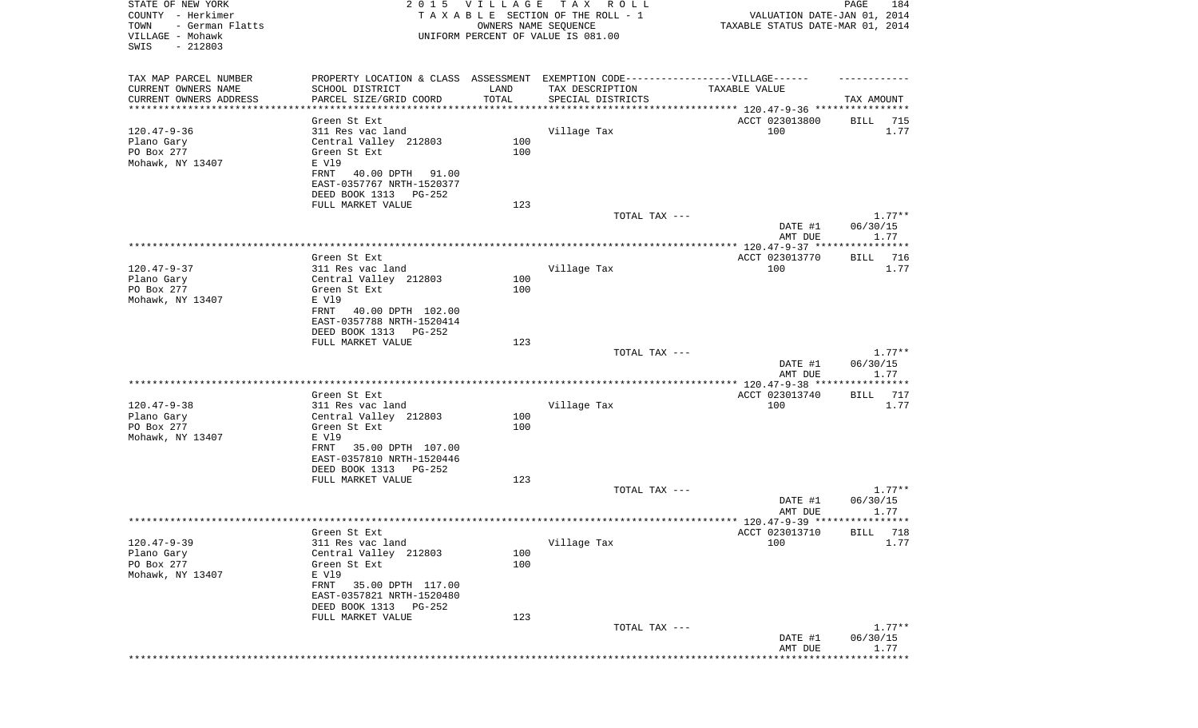| STATE OF NEW YORK<br>COUNTY - Herkimer<br>- German Flatts<br>TOWN<br>VILLAGE - Mohawk<br>SWIS<br>$-212803$ |                                                                                  | 2015 VILLAGE<br>OWNERS NAME SEQUENCE | T A X<br>R O L L<br>TAXABLE SECTION OF THE ROLL - 1<br>UNIFORM PERCENT OF VALUE IS 081.00 | VALUATION DATE-JAN 01, 2014<br>TAXABLE STATUS DATE-MAR 01, 2014    | PAGE<br>184      |
|------------------------------------------------------------------------------------------------------------|----------------------------------------------------------------------------------|--------------------------------------|-------------------------------------------------------------------------------------------|--------------------------------------------------------------------|------------------|
| TAX MAP PARCEL NUMBER                                                                                      | PROPERTY LOCATION & CLASS ASSESSMENT EXEMPTION CODE----------------VILLAGE------ |                                      |                                                                                           |                                                                    |                  |
| CURRENT OWNERS NAME<br>CURRENT OWNERS ADDRESS                                                              | SCHOOL DISTRICT<br>PARCEL SIZE/GRID COORD                                        | LAND<br>TOTAL                        | TAX DESCRIPTION<br>SPECIAL DISTRICTS                                                      | TAXABLE VALUE                                                      | TAX AMOUNT       |
| *********************                                                                                      | **********************                                                           |                                      |                                                                                           | ************************************* 120.47-9-36 **************** |                  |
|                                                                                                            | Green St Ext                                                                     |                                      |                                                                                           | ACCT 023013800                                                     | BILL<br>715      |
| $120.47 - 9 - 36$<br>Plano Gary                                                                            | 311 Res vac land<br>Central Valley 212803                                        | 100                                  | Village Tax                                                                               | 100                                                                | 1.77             |
| PO Box 277                                                                                                 | Green St Ext                                                                     | 100                                  |                                                                                           |                                                                    |                  |
| Mohawk, NY 13407                                                                                           | E V19                                                                            |                                      |                                                                                           |                                                                    |                  |
|                                                                                                            | FRNT<br>40.00 DPTH<br>91.00<br>EAST-0357767 NRTH-1520377                         |                                      |                                                                                           |                                                                    |                  |
|                                                                                                            | DEED BOOK 1313 PG-252                                                            |                                      |                                                                                           |                                                                    |                  |
|                                                                                                            | FULL MARKET VALUE                                                                | 123                                  |                                                                                           |                                                                    |                  |
|                                                                                                            |                                                                                  |                                      | TOTAL TAX ---                                                                             |                                                                    | $1.77**$         |
|                                                                                                            |                                                                                  |                                      |                                                                                           | DATE #1<br>AMT DUE                                                 | 06/30/15<br>1.77 |
|                                                                                                            |                                                                                  |                                      |                                                                                           |                                                                    |                  |
|                                                                                                            | Green St Ext                                                                     |                                      |                                                                                           | ACCT 023013770                                                     | 716<br>BILL      |
| $120.47 - 9 - 37$<br>Plano Gary                                                                            | 311 Res vac land<br>Central Valley 212803                                        | 100                                  | Village Tax                                                                               | 100                                                                | 1.77             |
| PO Box 277                                                                                                 | Green St Ext                                                                     | 100                                  |                                                                                           |                                                                    |                  |
| Mohawk, NY 13407                                                                                           | E V19                                                                            |                                      |                                                                                           |                                                                    |                  |
|                                                                                                            | 40.00 DPTH 102.00<br>FRNT                                                        |                                      |                                                                                           |                                                                    |                  |
|                                                                                                            | EAST-0357788 NRTH-1520414<br>DEED BOOK 1313 PG-252                               |                                      |                                                                                           |                                                                    |                  |
|                                                                                                            | FULL MARKET VALUE                                                                | 123                                  |                                                                                           |                                                                    |                  |
|                                                                                                            |                                                                                  |                                      | TOTAL TAX ---                                                                             |                                                                    | $1.77**$         |
|                                                                                                            |                                                                                  |                                      |                                                                                           | DATE #1<br>AMT DUE                                                 | 06/30/15<br>1.77 |
|                                                                                                            |                                                                                  |                                      |                                                                                           |                                                                    |                  |
|                                                                                                            | Green St Ext                                                                     |                                      |                                                                                           | ACCT 023013740                                                     | 717<br>BILL      |
| $120.47 - 9 - 38$<br>Plano Gary                                                                            | 311 Res vac land<br>Central Valley 212803                                        | 100                                  | Village Tax                                                                               | 100                                                                | 1.77             |
| PO Box 277                                                                                                 | Green St Ext                                                                     | 100                                  |                                                                                           |                                                                    |                  |
| Mohawk, NY 13407                                                                                           | E V19                                                                            |                                      |                                                                                           |                                                                    |                  |
|                                                                                                            | FRNT<br>35.00 DPTH 107.00                                                        |                                      |                                                                                           |                                                                    |                  |
|                                                                                                            | EAST-0357810 NRTH-1520446<br>DEED BOOK 1313<br>$PG-252$                          |                                      |                                                                                           |                                                                    |                  |
|                                                                                                            | FULL MARKET VALUE                                                                | 123                                  |                                                                                           |                                                                    |                  |
|                                                                                                            |                                                                                  |                                      | TOTAL TAX ---                                                                             |                                                                    | $1.77**$         |
|                                                                                                            |                                                                                  |                                      |                                                                                           | DATE #1<br>AMT DUE                                                 | 06/30/15<br>1.77 |
|                                                                                                            |                                                                                  |                                      |                                                                                           |                                                                    |                  |
|                                                                                                            | Green St Ext                                                                     |                                      |                                                                                           | ACCT 023013710 BILL 718                                            |                  |
| $120.47 - 9 - 39$                                                                                          | 311 Res vac land                                                                 |                                      | Village Tax                                                                               | 100                                                                | 1.77             |
| Plano Gary<br>PO Box 277                                                                                   | Central Valley 212803<br>Green St Ext                                            | 100<br>100                           |                                                                                           |                                                                    |                  |
| Mohawk, NY 13407                                                                                           | E V19                                                                            |                                      |                                                                                           |                                                                    |                  |
|                                                                                                            | FRNT<br>35.00 DPTH 117.00                                                        |                                      |                                                                                           |                                                                    |                  |
|                                                                                                            | EAST-0357821 NRTH-1520480<br>DEED BOOK 1313<br>PG-252                            |                                      |                                                                                           |                                                                    |                  |
|                                                                                                            | FULL MARKET VALUE                                                                | 123                                  |                                                                                           |                                                                    |                  |
|                                                                                                            |                                                                                  |                                      | TOTAL TAX ---                                                                             |                                                                    | $1.77**$         |
|                                                                                                            |                                                                                  |                                      |                                                                                           | DATE #1<br>AMT DUE                                                 | 06/30/15<br>1.77 |
|                                                                                                            |                                                                                  |                                      |                                                                                           | *******************************                                    |                  |
|                                                                                                            |                                                                                  |                                      |                                                                                           |                                                                    |                  |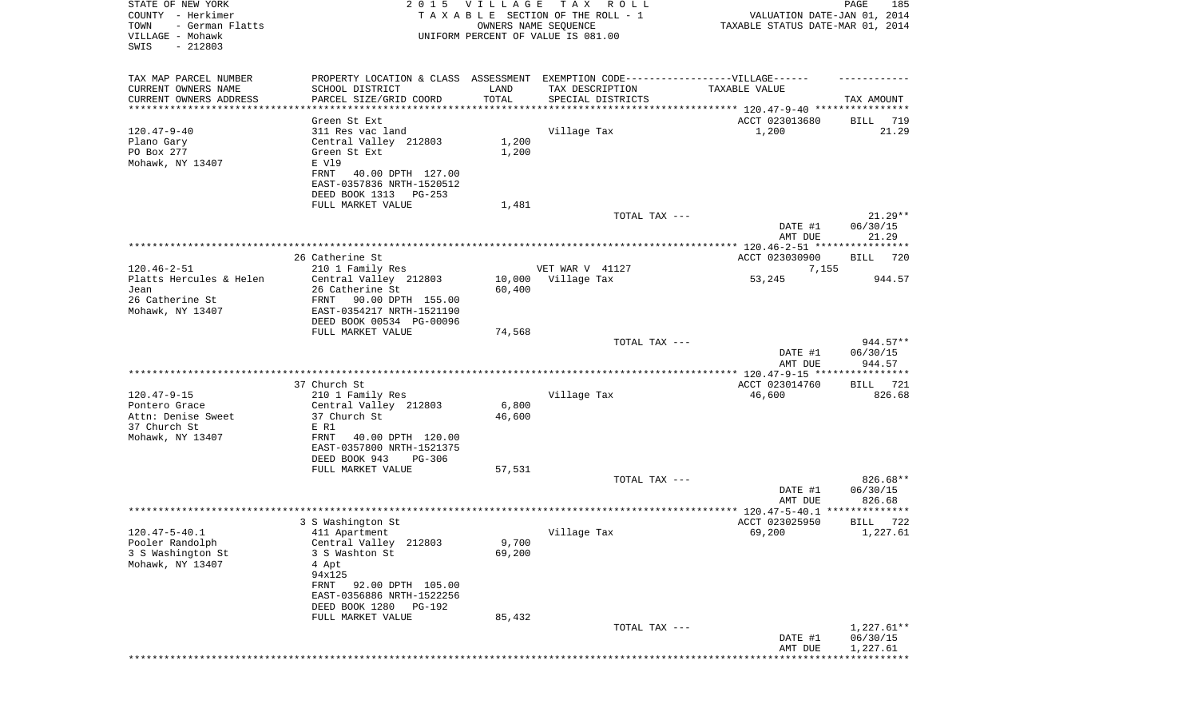| STATE OF NEW YORK<br>COUNTY - Herkimer<br>TOWN<br>- German Flatts<br>VILLAGE - Mohawk<br>SWIS<br>$-212803$ |                                                                                   | 2015 VILLAGE    | TAX ROLL<br>TAXABLE SECTION OF THE ROLL - 1<br>OWNERS NAME SEQUENCE<br>UNIFORM PERCENT OF VALUE IS 081.00 | VALUATION DATE-JAN 01, 2014<br>TAXABLE STATUS DATE-MAR 01, 2014 | PAGE<br>185           |
|------------------------------------------------------------------------------------------------------------|-----------------------------------------------------------------------------------|-----------------|-----------------------------------------------------------------------------------------------------------|-----------------------------------------------------------------|-----------------------|
| TAX MAP PARCEL NUMBER                                                                                      | PROPERTY LOCATION & CLASS ASSESSMENT EXEMPTION CODE-----------------VILLAGE------ |                 |                                                                                                           |                                                                 |                       |
| CURRENT OWNERS NAME<br>CURRENT OWNERS ADDRESS                                                              | SCHOOL DISTRICT<br>PARCEL SIZE/GRID COORD                                         | LAND<br>TOTAL   | TAX DESCRIPTION                                                                                           | TAXABLE VALUE                                                   |                       |
| ***********************                                                                                    | *****************************                                                     |                 | SPECIAL DISTRICTS                                                                                         |                                                                 | TAX AMOUNT            |
|                                                                                                            | Green St Ext                                                                      |                 |                                                                                                           | ACCT 023013680                                                  | BILL 719              |
| $120.47 - 9 - 40$                                                                                          | 311 Res vac land                                                                  |                 | Village Tax                                                                                               | 1,200                                                           | 21.29                 |
| Plano Gary                                                                                                 | Central Valley 212803                                                             | 1,200           |                                                                                                           |                                                                 |                       |
| PO Box 277<br>Mohawk, NY 13407                                                                             | Green St Ext<br>E V19                                                             | 1,200           |                                                                                                           |                                                                 |                       |
|                                                                                                            | FRNT<br>40.00 DPTH 127.00                                                         |                 |                                                                                                           |                                                                 |                       |
|                                                                                                            | EAST-0357836 NRTH-1520512                                                         |                 |                                                                                                           |                                                                 |                       |
|                                                                                                            | DEED BOOK 1313 PG-253                                                             |                 |                                                                                                           |                                                                 |                       |
|                                                                                                            | FULL MARKET VALUE                                                                 | 1,481           | TOTAL TAX ---                                                                                             |                                                                 | $21.29**$             |
|                                                                                                            |                                                                                   |                 |                                                                                                           | DATE #1                                                         | 06/30/15              |
|                                                                                                            |                                                                                   |                 |                                                                                                           | AMT DUE                                                         | 21.29                 |
|                                                                                                            |                                                                                   |                 |                                                                                                           |                                                                 |                       |
| $120.46 - 2 - 51$                                                                                          | 26 Catherine St                                                                   |                 | VET WAR V 41127                                                                                           | ACCT 023030900                                                  | BILL<br>720           |
| Platts Hercules & Helen                                                                                    | 210 1 Family Res<br>Central Valley 212803                                         | 10,000          | Village Tax                                                                                               | 7,155<br>53,245                                                 | 944.57                |
| Jean                                                                                                       | 26 Catherine St                                                                   | 60,400          |                                                                                                           |                                                                 |                       |
| 26 Catherine St                                                                                            | FRNT<br>90.00 DPTH 155.00                                                         |                 |                                                                                                           |                                                                 |                       |
| Mohawk, NY 13407                                                                                           | EAST-0354217 NRTH-1521190                                                         |                 |                                                                                                           |                                                                 |                       |
|                                                                                                            | DEED BOOK 00534 PG-00096<br>FULL MARKET VALUE                                     | 74,568          |                                                                                                           |                                                                 |                       |
|                                                                                                            |                                                                                   |                 | TOTAL TAX ---                                                                                             |                                                                 | $944.57**$            |
|                                                                                                            |                                                                                   |                 |                                                                                                           | DATE #1<br>AMT DUE                                              | 06/30/15<br>944.57    |
|                                                                                                            |                                                                                   |                 |                                                                                                           | **************** 120.47-9-15 *****************                  |                       |
| $120.47 - 9 - 15$                                                                                          | 37 Church St<br>210 1 Family Res                                                  |                 | Village Tax                                                                                               | ACCT 023014760<br>46,600                                        | 721<br>BILL<br>826.68 |
| Pontero Grace                                                                                              | Central Valley 212803                                                             | 6,800           |                                                                                                           |                                                                 |                       |
| Attn: Denise Sweet                                                                                         | 37 Church St                                                                      | 46,600          |                                                                                                           |                                                                 |                       |
| 37 Church St                                                                                               | E R1                                                                              |                 |                                                                                                           |                                                                 |                       |
| Mohawk, NY 13407                                                                                           | FRNT<br>40.00 DPTH 120.00<br>EAST-0357800 NRTH-1521375                            |                 |                                                                                                           |                                                                 |                       |
|                                                                                                            | DEED BOOK 943<br>PG-306                                                           |                 |                                                                                                           |                                                                 |                       |
|                                                                                                            | FULL MARKET VALUE                                                                 | 57,531          |                                                                                                           |                                                                 |                       |
|                                                                                                            |                                                                                   |                 | TOTAL TAX ---                                                                                             |                                                                 | 826.68**              |
|                                                                                                            |                                                                                   |                 |                                                                                                           | DATE #1<br>AMT DUE                                              | 06/30/15<br>826.68    |
|                                                                                                            |                                                                                   |                 |                                                                                                           |                                                                 |                       |
|                                                                                                            | 3 S Washington St                                                                 |                 |                                                                                                           | ACCT 023025950                                                  | 722<br>BILL           |
| $120.47 - 5 - 40.1$                                                                                        | 411 Apartment                                                                     |                 | Village Tax                                                                                               | 69,200                                                          | 1,227.61              |
| Pooler Randolph<br>3 S Washington St                                                                       | Central Valley 212803<br>3 S Washton St                                           | 9,700<br>69,200 |                                                                                                           |                                                                 |                       |
| Mohawk, NY 13407                                                                                           | 4 Apt                                                                             |                 |                                                                                                           |                                                                 |                       |
|                                                                                                            | 94x125                                                                            |                 |                                                                                                           |                                                                 |                       |
|                                                                                                            | FRNT 92.00 DPTH 105.00                                                            |                 |                                                                                                           |                                                                 |                       |
|                                                                                                            | EAST-0356886 NRTH-1522256<br>DEED BOOK 1280 PG-192                                |                 |                                                                                                           |                                                                 |                       |
|                                                                                                            | FULL MARKET VALUE                                                                 | 85,432          |                                                                                                           |                                                                 |                       |
|                                                                                                            |                                                                                   |                 | TOTAL TAX ---                                                                                             |                                                                 | $1,227.61**$          |
|                                                                                                            |                                                                                   |                 |                                                                                                           | DATE #1                                                         | 06/30/15              |
|                                                                                                            |                                                                                   |                 |                                                                                                           | AMT DUE                                                         | 1,227.61              |
|                                                                                                            |                                                                                   |                 |                                                                                                           |                                                                 | ******************    |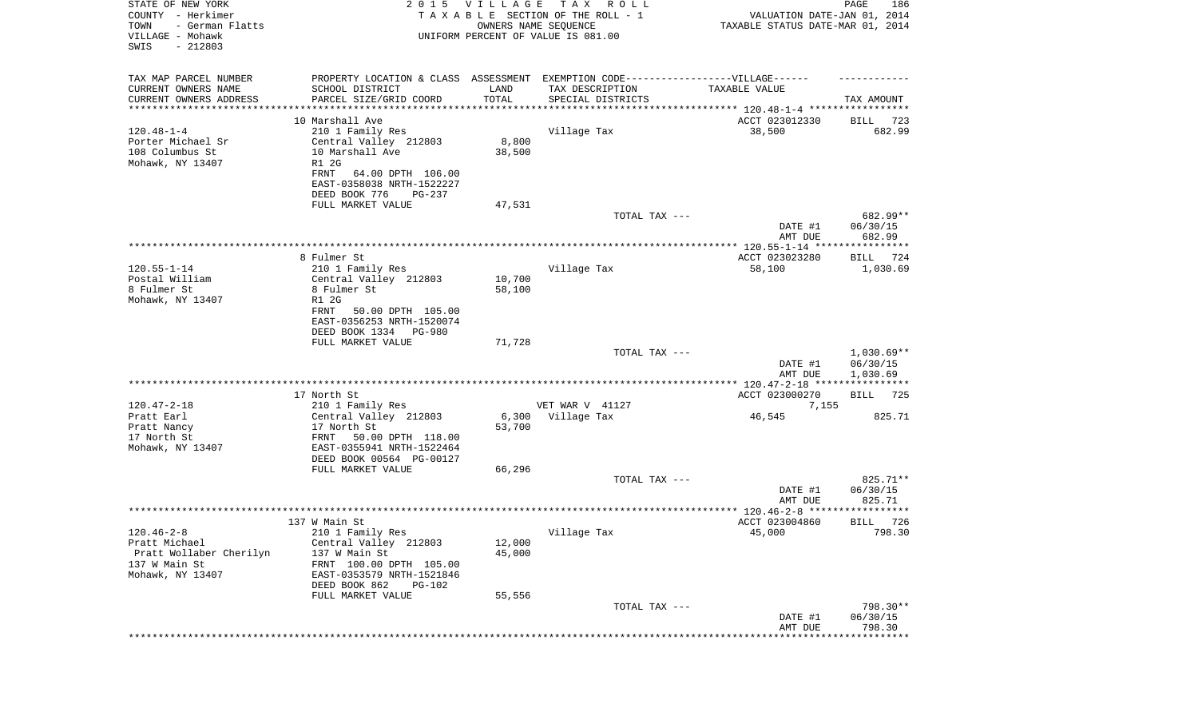| STATE OF NEW YORK<br>COUNTY - Herkimer<br>TOWN<br>- German Flatts<br>VILLAGE - Mohawk<br>SWIS<br>$-212803$ |                                                                                                      | 2015 VILLAGE<br>OWNERS NAME SEQUENCE | T A X<br>R O L L<br>TAXABLE SECTION OF THE ROLL - 1<br>UNIFORM PERCENT OF VALUE IS 081.00 | VALUATION DATE-JAN 01, 2014<br>TAXABLE STATUS DATE-MAR 01, 2014 | PAGE<br>186                          |
|------------------------------------------------------------------------------------------------------------|------------------------------------------------------------------------------------------------------|--------------------------------------|-------------------------------------------------------------------------------------------|-----------------------------------------------------------------|--------------------------------------|
| TAX MAP PARCEL NUMBER<br>CURRENT OWNERS NAME                                                               | PROPERTY LOCATION & CLASS ASSESSMENT EXEMPTION CODE-----------------VILLAGE------<br>SCHOOL DISTRICT | LAND                                 | TAX DESCRIPTION                                                                           | TAXABLE VALUE                                                   |                                      |
| CURRENT OWNERS ADDRESS<br>*********************                                                            | PARCEL SIZE/GRID COORD<br>* * * * * * * * * * * * * * * * *                                          | TOTAL<br>* * * * * * * * * * *       | SPECIAL DISTRICTS<br>********************************* 120.48-1-4 *****************       |                                                                 | TAX AMOUNT                           |
|                                                                                                            | 10 Marshall Ave                                                                                      |                                      |                                                                                           | ACCT 023012330                                                  | 723<br>BILL                          |
| $120.48 - 1 - 4$                                                                                           | 210 1 Family Res                                                                                     |                                      | Village Tax                                                                               | 38,500                                                          | 682.99                               |
| Porter Michael Sr                                                                                          | Central Valley 212803                                                                                | 8,800                                |                                                                                           |                                                                 |                                      |
| 108 Columbus St                                                                                            | 10 Marshall Ave                                                                                      | 38,500                               |                                                                                           |                                                                 |                                      |
| Mohawk, NY 13407                                                                                           | R1 2G                                                                                                |                                      |                                                                                           |                                                                 |                                      |
|                                                                                                            | FRNT<br>64.00 DPTH 106.00                                                                            |                                      |                                                                                           |                                                                 |                                      |
|                                                                                                            | EAST-0358038 NRTH-1522227                                                                            |                                      |                                                                                           |                                                                 |                                      |
|                                                                                                            | DEED BOOK 776<br>PG-237<br>FULL MARKET VALUE                                                         | 47,531                               |                                                                                           |                                                                 |                                      |
|                                                                                                            |                                                                                                      |                                      | TOTAL TAX ---                                                                             |                                                                 | 682.99**                             |
|                                                                                                            |                                                                                                      |                                      |                                                                                           | DATE #1                                                         | 06/30/15                             |
|                                                                                                            |                                                                                                      |                                      |                                                                                           | AMT DUE                                                         | 682.99                               |
|                                                                                                            |                                                                                                      |                                      |                                                                                           |                                                                 |                                      |
|                                                                                                            | 8 Fulmer St                                                                                          |                                      |                                                                                           | ACCT 023023280                                                  | BILL<br>724                          |
| $120.55 - 1 - 14$<br>Postal William                                                                        | 210 1 Family Res<br>Central Valley 212803                                                            | 10,700                               | Village Tax                                                                               | 58,100                                                          | 1,030.69                             |
| 8 Fulmer St                                                                                                | 8 Fulmer St                                                                                          | 58,100                               |                                                                                           |                                                                 |                                      |
| Mohawk, NY 13407                                                                                           | R1 2G                                                                                                |                                      |                                                                                           |                                                                 |                                      |
|                                                                                                            | FRNT<br>50.00 DPTH 105.00                                                                            |                                      |                                                                                           |                                                                 |                                      |
|                                                                                                            | EAST-0356253 NRTH-1520074                                                                            |                                      |                                                                                           |                                                                 |                                      |
|                                                                                                            | DEED BOOK 1334 PG-980                                                                                |                                      |                                                                                           |                                                                 |                                      |
|                                                                                                            | FULL MARKET VALUE                                                                                    | 71,728                               | TOTAL TAX ---                                                                             |                                                                 | $1,030.69**$                         |
|                                                                                                            |                                                                                                      |                                      |                                                                                           | DATE #1                                                         | 06/30/15                             |
|                                                                                                            |                                                                                                      |                                      |                                                                                           | AMT DUE                                                         | 1,030.69                             |
|                                                                                                            |                                                                                                      |                                      |                                                                                           |                                                                 |                                      |
|                                                                                                            | 17 North St                                                                                          |                                      |                                                                                           | ACCT 023000270                                                  | 725<br>BILL                          |
| $120.47 - 2 - 18$                                                                                          | 210 1 Family Res                                                                                     |                                      | VET WAR V 41127                                                                           | 7,155                                                           |                                      |
| Pratt Earl<br>Pratt Nancy                                                                                  | Central Valley 212803<br>17 North St                                                                 | 6,300<br>53,700                      | Village Tax                                                                               | 46,545                                                          | 825.71                               |
| 17 North St                                                                                                | FRNT<br>50.00 DPTH 118.00                                                                            |                                      |                                                                                           |                                                                 |                                      |
| Mohawk, NY 13407                                                                                           | EAST-0355941 NRTH-1522464                                                                            |                                      |                                                                                           |                                                                 |                                      |
|                                                                                                            | DEED BOOK 00564 PG-00127                                                                             |                                      |                                                                                           |                                                                 |                                      |
|                                                                                                            | FULL MARKET VALUE                                                                                    | 66,296                               |                                                                                           |                                                                 |                                      |
|                                                                                                            |                                                                                                      |                                      | TOTAL TAX ---                                                                             |                                                                 | 825.71**                             |
|                                                                                                            |                                                                                                      |                                      |                                                                                           | DATE #1<br>AMT DUE                                              | 06/30/15<br>825.71                   |
|                                                                                                            |                                                                                                      |                                      |                                                                                           |                                                                 | * * * * * *                          |
|                                                                                                            | 137 W Main St                                                                                        |                                      |                                                                                           | ACCT 023004860                                                  | 726<br>BILL                          |
| $120.46 - 2 - 8$                                                                                           | 210 1 Family Res                                                                                     |                                      | Village Tax                                                                               | 45,000                                                          | 798.30                               |
| Pratt Michael                                                                                              | Central Valley 212803                                                                                | 12,000                               |                                                                                           |                                                                 |                                      |
| Pratt Wollaber Cherilyn                                                                                    | 137 W Main St                                                                                        | 45,000                               |                                                                                           |                                                                 |                                      |
| 137 W Main St<br>Mohawk, NY 13407                                                                          | FRNT 100.00 DPTH 105.00<br>EAST-0353579 NRTH-1521846                                                 |                                      |                                                                                           |                                                                 |                                      |
|                                                                                                            | DEED BOOK 862<br>PG-102                                                                              |                                      |                                                                                           |                                                                 |                                      |
|                                                                                                            | FULL MARKET VALUE                                                                                    | 55,556                               |                                                                                           |                                                                 |                                      |
|                                                                                                            |                                                                                                      |                                      | TOTAL TAX ---                                                                             |                                                                 | 798.30**                             |
|                                                                                                            |                                                                                                      |                                      |                                                                                           | DATE #1                                                         | 06/30/15                             |
|                                                                                                            |                                                                                                      |                                      |                                                                                           | AMT DUE                                                         | 798.30<br>************************** |
|                                                                                                            |                                                                                                      |                                      |                                                                                           |                                                                 |                                      |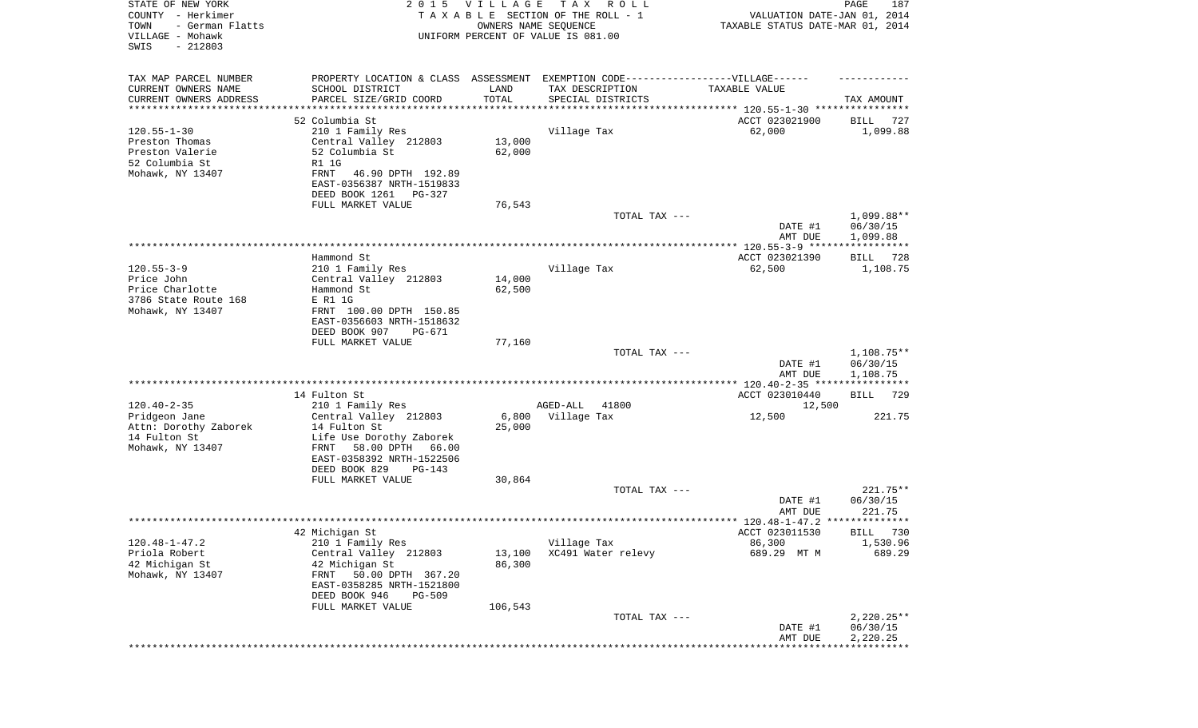| STATE OF NEW YORK<br>COUNTY - Herkimer<br>TOWN<br>- German Flatts<br>VILLAGE - Mohawk<br>SWIS<br>$-212803$ | 2 0 1 5                                                                                                                                                                      | VILLAGE<br>OWNERS NAME SEQUENCE | T A X<br>R O L L<br>TAXABLE SECTION OF THE ROLL - 1<br>UNIFORM PERCENT OF VALUE IS 081.00 | VALUATION DATE-JAN 01, 2014<br>TAXABLE STATUS DATE-MAR 01, 2014 | 187<br>PAGE                    |
|------------------------------------------------------------------------------------------------------------|------------------------------------------------------------------------------------------------------------------------------------------------------------------------------|---------------------------------|-------------------------------------------------------------------------------------------|-----------------------------------------------------------------|--------------------------------|
| TAX MAP PARCEL NUMBER<br>CURRENT OWNERS NAME<br>CURRENT OWNERS ADDRESS<br>*********************            | PROPERTY LOCATION & CLASS ASSESSMENT<br>SCHOOL DISTRICT<br>PARCEL SIZE/GRID COORD<br>******************                                                                      | LAND<br>TOTAL                   | EXEMPTION CODE------------------VILLAGE------<br>TAX DESCRIPTION<br>SPECIAL DISTRICTS     | TAXABLE VALUE                                                   | TAX AMOUNT                     |
|                                                                                                            |                                                                                                                                                                              |                                 |                                                                                           |                                                                 |                                |
| $120.55 - 1 - 30$<br>Preston Thomas<br>Preston Valerie<br>52 Columbia St<br>Mohawk, NY 13407               | 52 Columbia St<br>210 1 Family Res<br>Central Valley 212803<br>52 Columbia St<br>R1 1G<br>FRNT<br>46.90 DPTH 192.89<br>EAST-0356387 NRTH-1519833<br>DEED BOOK 1261<br>PG-327 | 13,000<br>62,000                | Village Tax                                                                               | ACCT 023021900<br>62,000                                        | BILL<br>727<br>1,099.88        |
|                                                                                                            | FULL MARKET VALUE                                                                                                                                                            | 76,543                          | TOTAL TAX ---                                                                             |                                                                 | 1,099.88**                     |
|                                                                                                            |                                                                                                                                                                              |                                 |                                                                                           | DATE #1                                                         | 06/30/15                       |
|                                                                                                            |                                                                                                                                                                              |                                 |                                                                                           | AMT DUE                                                         | 1,099.88                       |
|                                                                                                            | Hammond St                                                                                                                                                                   |                                 |                                                                                           | ACCT 023021390                                                  | 728<br>BILL                    |
| $120.55 - 3 - 9$<br>Price John<br>Price Charlotte<br>3786 State Route 168                                  | 210 1 Family Res<br>Central Valley 212803<br>Hammond St<br>E R1 1G                                                                                                           | 14,000<br>62,500                | Village Tax                                                                               | 62,500                                                          | 1,108.75                       |
| Mohawk, NY 13407                                                                                           | FRNT 100.00 DPTH 150.85<br>EAST-0356603 NRTH-1518632<br>DEED BOOK 907<br>PG-671<br>FULL MARKET VALUE                                                                         | 77,160                          |                                                                                           |                                                                 |                                |
|                                                                                                            |                                                                                                                                                                              |                                 | TOTAL TAX ---                                                                             |                                                                 | $1,108.75**$                   |
|                                                                                                            |                                                                                                                                                                              |                                 |                                                                                           | DATE #1<br>AMT DUE                                              | 06/30/15<br>1,108.75           |
|                                                                                                            | 14 Fulton St                                                                                                                                                                 |                                 |                                                                                           | ACCT 023010440                                                  | 729<br>BILL                    |
| $120.40 - 2 - 35$                                                                                          | 210 1 Family Res                                                                                                                                                             |                                 | 41800<br>AGED-ALL                                                                         | 12,500                                                          |                                |
| Pridgeon Jane<br>Attn: Dorothy Zaborek<br>14 Fulton St<br>Mohawk, NY 13407                                 | Central Valley 212803<br>14 Fulton St<br>Life Use Dorothy Zaborek<br>58.00 DPTH 66.00<br>FRNT<br>EAST-0358392 NRTH-1522506<br>DEED BOOK 829<br>PG-143                        | 6,800<br>25,000                 | Village Tax                                                                               | 12,500                                                          | 221.75                         |
|                                                                                                            | FULL MARKET VALUE                                                                                                                                                            | 30,864                          |                                                                                           |                                                                 |                                |
|                                                                                                            |                                                                                                                                                                              |                                 | TOTAL TAX ---                                                                             | DATE #1<br>AMT DUE                                              | 221.75**<br>06/30/15<br>221.75 |
|                                                                                                            |                                                                                                                                                                              |                                 |                                                                                           |                                                                 |                                |
|                                                                                                            | 42 Michigan St                                                                                                                                                               |                                 |                                                                                           | ACCT 023011530                                                  | BILL 730                       |
| $120.48 - 1 - 47.2$<br>Priola Robert                                                                       | 210 1 Family Res<br>Central Valley 212803                                                                                                                                    | 13,100                          | Village Tax<br>XC491 Water relevy                                                         | 86,300<br>689.29 MT M                                           | 1,530.96<br>689.29             |
| 42 Michigan St<br>Mohawk, NY 13407                                                                         | 42 Michigan St<br>50.00 DPTH 367.20<br>FRNT<br>EAST-0358285 NRTH-1521800<br>DEED BOOK 946<br>PG-509<br>FULL MARKET VALUE                                                     | 86,300<br>106,543               |                                                                                           |                                                                 |                                |
|                                                                                                            |                                                                                                                                                                              |                                 | TOTAL TAX ---                                                                             |                                                                 | $2,220.25**$                   |
|                                                                                                            |                                                                                                                                                                              |                                 |                                                                                           | DATE #1<br>AMT DUE                                              | 06/30/15<br>2,220.25           |
|                                                                                                            |                                                                                                                                                                              |                                 |                                                                                           |                                                                 |                                |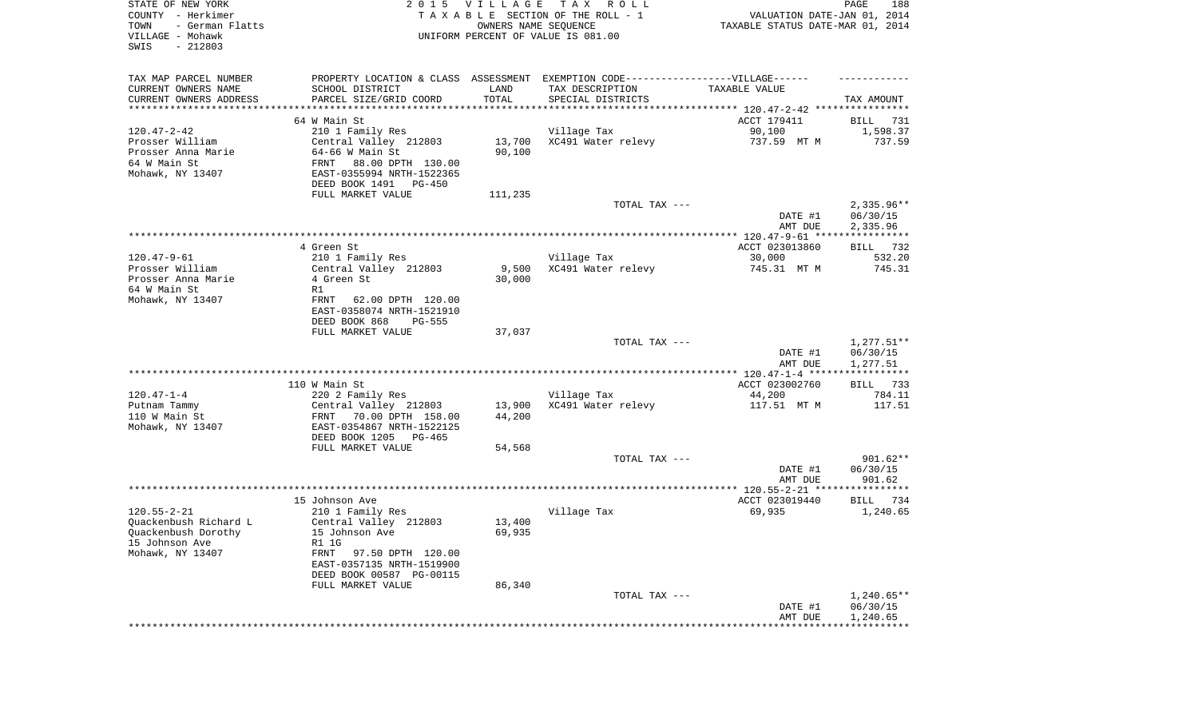| STATE OF NEW YORK<br>COUNTY - Herkimer<br>TOWN<br>- German Flatts<br>VILLAGE - Mohawk<br>SWIS<br>$-212803$ |                                                        | 2015 VILLAGE<br>OWNERS NAME SEQUENCE | TAX ROLL<br>TAXABLE SECTION OF THE ROLL - 1<br>UNIFORM PERCENT OF VALUE IS 081.00 | VALUATION DATE-JAN 01, 2014<br>TAXABLE STATUS DATE-MAR 01, 2014 | PAGE<br>188             |
|------------------------------------------------------------------------------------------------------------|--------------------------------------------------------|--------------------------------------|-----------------------------------------------------------------------------------|-----------------------------------------------------------------|-------------------------|
| TAX MAP PARCEL NUMBER                                                                                      |                                                        |                                      | PROPERTY LOCATION & CLASS ASSESSMENT EXEMPTION CODE-----------------VILLAGE------ |                                                                 |                         |
| CURRENT OWNERS NAME                                                                                        | SCHOOL DISTRICT                                        | LAND                                 | TAX DESCRIPTION                                                                   | TAXABLE VALUE                                                   |                         |
| CURRENT OWNERS ADDRESS<br>***********************                                                          | PARCEL SIZE/GRID COORD                                 | TOTAL                                | SPECIAL DISTRICTS                                                                 |                                                                 | TAX AMOUNT              |
|                                                                                                            | 64 W Main St                                           |                                      |                                                                                   | ACCT 179411                                                     | BILL<br>731             |
| $120.47 - 2 - 42$                                                                                          | 210 1 Family Res                                       |                                      | Village Tax                                                                       | 90,100                                                          | 1,598.37                |
| Prosser William                                                                                            | Central Valley 212803                                  | 13,700                               | XC491 Water relevy                                                                | 737.59 MT M                                                     | 737.59                  |
| Prosser Anna Marie                                                                                         | 64-66 W Main St                                        | 90,100                               |                                                                                   |                                                                 |                         |
| 64 W Main St                                                                                               | 88.00 DPTH 130.00<br>FRNT                              |                                      |                                                                                   |                                                                 |                         |
| Mohawk, NY 13407                                                                                           | EAST-0355994 NRTH-1522365                              |                                      |                                                                                   |                                                                 |                         |
|                                                                                                            | DEED BOOK 1491<br>PG-450<br>FULL MARKET VALUE          | 111,235                              |                                                                                   |                                                                 |                         |
|                                                                                                            |                                                        |                                      | TOTAL TAX ---                                                                     |                                                                 | $2,335.96**$            |
|                                                                                                            |                                                        |                                      |                                                                                   | DATE #1                                                         | 06/30/15                |
|                                                                                                            |                                                        |                                      |                                                                                   | AMT DUE                                                         | 2,335.96                |
|                                                                                                            | 4 Green St                                             |                                      |                                                                                   | ACCT 023013860                                                  | BILL 732                |
| $120.47 - 9 - 61$                                                                                          | 210 1 Family Res                                       |                                      | Village Tax                                                                       | 30,000                                                          | 532.20                  |
| Prosser William                                                                                            | Central Valley 212803                                  | 9,500                                | XC491 Water relevy                                                                | 745.31 MT M                                                     | 745.31                  |
| Prosser Anna Marie                                                                                         | 4 Green St                                             | 30,000                               |                                                                                   |                                                                 |                         |
| 64 W Main St                                                                                               | R1                                                     |                                      |                                                                                   |                                                                 |                         |
| Mohawk, NY 13407                                                                                           | FRNT<br>62.00 DPTH 120.00<br>EAST-0358074 NRTH-1521910 |                                      |                                                                                   |                                                                 |                         |
|                                                                                                            | DEED BOOK 868<br><b>PG-555</b>                         |                                      |                                                                                   |                                                                 |                         |
|                                                                                                            | FULL MARKET VALUE                                      | 37,037                               | TOTAL TAX ---                                                                     |                                                                 | $1,277.51**$            |
|                                                                                                            |                                                        |                                      |                                                                                   | DATE #1                                                         | 06/30/15                |
|                                                                                                            |                                                        |                                      |                                                                                   | AMT DUE                                                         | 1,277.51                |
|                                                                                                            | 110 W Main St                                          |                                      |                                                                                   | ACCT 023002760                                                  | BILL 733                |
| $120.47 - 1 - 4$                                                                                           | 220 2 Family Res                                       |                                      | Village Tax                                                                       | 44,200                                                          | 784.11                  |
| Putnam Tammy                                                                                               | Central Valley 212803                                  | 13,900                               | XC491 Water relevy                                                                | 117.51 MT M                                                     | 117.51                  |
| 110 W Main St                                                                                              | FRNT<br>70.00 DPTH 158.00                              | 44,200                               |                                                                                   |                                                                 |                         |
| Mohawk, NY 13407                                                                                           | EAST-0354867 NRTH-1522125                              |                                      |                                                                                   |                                                                 |                         |
|                                                                                                            | DEED BOOK 1205<br>PG-465<br>FULL MARKET VALUE          | 54,568                               |                                                                                   |                                                                 |                         |
|                                                                                                            |                                                        |                                      | TOTAL TAX ---                                                                     |                                                                 | $901.62**$              |
|                                                                                                            |                                                        |                                      |                                                                                   | DATE #1                                                         | 06/30/15                |
|                                                                                                            |                                                        |                                      |                                                                                   | AMT DUE                                                         | 901.62                  |
|                                                                                                            |                                                        |                                      |                                                                                   |                                                                 |                         |
| $120.55 - 2 - 21$                                                                                          | 15 Johnson Ave<br>210 1 Family Res                     |                                      | Village Tax                                                                       | ACCT 023019440<br>69,935                                        | BILL<br>734<br>1,240.65 |
| Quackenbush Richard L                                                                                      | Central Valley 212803                                  | 13,400                               |                                                                                   |                                                                 |                         |
| Quackenbush Dorothy                                                                                        | 15 Johnson Ave                                         | 69,935                               |                                                                                   |                                                                 |                         |
| 15 Johnson Ave                                                                                             | R1 1G                                                  |                                      |                                                                                   |                                                                 |                         |
| Mohawk, NY 13407                                                                                           | FRNT<br>97.50 DPTH 120.00                              |                                      |                                                                                   |                                                                 |                         |
|                                                                                                            | EAST-0357135 NRTH-1519900                              |                                      |                                                                                   |                                                                 |                         |
|                                                                                                            | DEED BOOK 00587 PG-00115                               |                                      |                                                                                   |                                                                 |                         |
|                                                                                                            | FULL MARKET VALUE                                      | 86,340                               | TOTAL TAX ---                                                                     |                                                                 | $1,240.65**$            |
|                                                                                                            |                                                        |                                      |                                                                                   | DATE #1                                                         | 06/30/15                |
|                                                                                                            |                                                        |                                      |                                                                                   | AMT DUE                                                         | 1,240.65                |
|                                                                                                            |                                                        |                                      | *******************************                                                   |                                                                 |                         |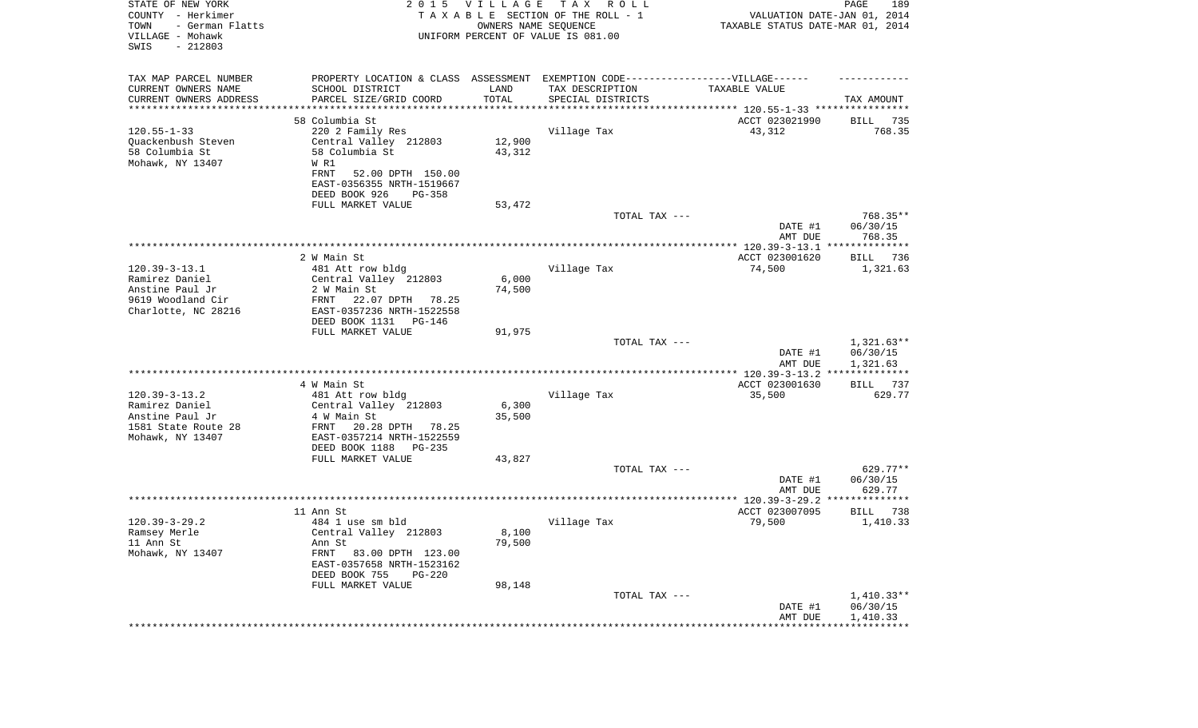| STATE OF NEW YORK<br>COUNTY - Herkimer<br>TOWN<br>- German Flatts<br>VILLAGE - Mohawk<br>SWIS<br>$-212803$ | 2 0 1 5                                                                                              | VILLAGE<br>OWNERS NAME SEQUENCE | T A X<br>R O L L<br>TAXABLE SECTION OF THE ROLL - 1<br>UNIFORM PERCENT OF VALUE IS 081.00 | VALUATION DATE-JAN 01, 2014<br>TAXABLE STATUS DATE-MAR 01, 2014 | PAGE<br>189          |
|------------------------------------------------------------------------------------------------------------|------------------------------------------------------------------------------------------------------|---------------------------------|-------------------------------------------------------------------------------------------|-----------------------------------------------------------------|----------------------|
| TAX MAP PARCEL NUMBER<br>CURRENT OWNERS NAME                                                               | PROPERTY LOCATION & CLASS ASSESSMENT EXEMPTION CODE-----------------VILLAGE------<br>SCHOOL DISTRICT | LAND                            | TAX DESCRIPTION                                                                           | TAXABLE VALUE                                                   |                      |
| CURRENT OWNERS ADDRESS<br>*********************                                                            | PARCEL SIZE/GRID COORD<br>*****************                                                          | TOTAL<br>**********             | SPECIAL DISTRICTS                                                                         | ********************************* 120.55-1-33 ****************  | TAX AMOUNT           |
|                                                                                                            | 58 Columbia St                                                                                       |                                 |                                                                                           | ACCT 023021990                                                  | BILL<br>735          |
| $120.55 - 1 - 33$                                                                                          | 220 2 Family Res                                                                                     |                                 | Village Tax                                                                               | 43,312                                                          | 768.35               |
| Quackenbush Steven                                                                                         | Central Valley 212803                                                                                | 12,900                          |                                                                                           |                                                                 |                      |
| 58 Columbia St                                                                                             | 58 Columbia St                                                                                       | 43,312                          |                                                                                           |                                                                 |                      |
| Mohawk, NY 13407                                                                                           | W R1<br><b>FRNT</b><br>52.00 DPTH 150.00                                                             |                                 |                                                                                           |                                                                 |                      |
|                                                                                                            | EAST-0356355 NRTH-1519667                                                                            |                                 |                                                                                           |                                                                 |                      |
|                                                                                                            | DEED BOOK 926<br>$PG-358$                                                                            |                                 |                                                                                           |                                                                 |                      |
|                                                                                                            | FULL MARKET VALUE                                                                                    | 53,472                          |                                                                                           |                                                                 |                      |
|                                                                                                            |                                                                                                      |                                 | TOTAL TAX ---                                                                             | DATE #1                                                         | 768.35**<br>06/30/15 |
|                                                                                                            |                                                                                                      |                                 |                                                                                           | AMT DUE                                                         | 768.35               |
|                                                                                                            |                                                                                                      |                                 |                                                                                           |                                                                 |                      |
|                                                                                                            | 2 W Main St                                                                                          |                                 |                                                                                           | ACCT 023001620                                                  | BILL 736             |
| $120.39 - 3 - 13.1$<br>Ramirez Daniel                                                                      | 481 Att row bldg<br>Central Valley 212803                                                            | 6,000                           | Village Tax                                                                               | 74,500                                                          | 1,321.63             |
| Anstine Paul Jr                                                                                            | 2 W Main St                                                                                          | 74,500                          |                                                                                           |                                                                 |                      |
| 9619 Woodland Cir                                                                                          | 22.07 DPTH<br>78.25<br>FRNT                                                                          |                                 |                                                                                           |                                                                 |                      |
| Charlotte, NC 28216                                                                                        | EAST-0357236 NRTH-1522558                                                                            |                                 |                                                                                           |                                                                 |                      |
|                                                                                                            | DEED BOOK 1131 PG-146<br>FULL MARKET VALUE                                                           | 91,975                          |                                                                                           |                                                                 |                      |
|                                                                                                            |                                                                                                      |                                 | TOTAL TAX ---                                                                             |                                                                 | $1,321.63**$         |
|                                                                                                            |                                                                                                      |                                 |                                                                                           | DATE #1                                                         | 06/30/15             |
|                                                                                                            |                                                                                                      |                                 |                                                                                           | AMT DUE<br>*************** 120.39-3-13.2 **************         | 1,321.63             |
|                                                                                                            | 4 W Main St                                                                                          |                                 |                                                                                           | ACCT 023001630                                                  | 737<br>BILL          |
| $120.39 - 3 - 13.2$                                                                                        | 481 Att row bldg                                                                                     |                                 | Village Tax                                                                               | 35,500                                                          | 629.77               |
| Ramirez Daniel                                                                                             | Central Valley 212803                                                                                | 6,300                           |                                                                                           |                                                                 |                      |
| Anstine Paul Jr<br>1581 State Route 28                                                                     | 4 W Main St<br>FRNT<br>20.28 DPTH<br>78.25                                                           | 35,500                          |                                                                                           |                                                                 |                      |
| Mohawk, NY 13407                                                                                           | EAST-0357214 NRTH-1522559                                                                            |                                 |                                                                                           |                                                                 |                      |
|                                                                                                            | DEED BOOK 1188<br>PG-235                                                                             |                                 |                                                                                           |                                                                 |                      |
|                                                                                                            | FULL MARKET VALUE                                                                                    | 43,827                          |                                                                                           |                                                                 | $629.77**$           |
|                                                                                                            |                                                                                                      |                                 | TOTAL TAX ---                                                                             | DATE #1                                                         | 06/30/15             |
|                                                                                                            |                                                                                                      |                                 |                                                                                           | AMT DUE                                                         | 629.77               |
|                                                                                                            |                                                                                                      |                                 |                                                                                           |                                                                 | *************        |
|                                                                                                            | 11 Ann St                                                                                            |                                 |                                                                                           | ACCT 023007095                                                  | BILL<br>738          |
| $120.39 - 3 - 29.2$<br>Ramsey Merle                                                                        | 484 1 use sm bld<br>Central Valley 212803                                                            | 8,100                           | Village Tax                                                                               | 79,500                                                          | 1,410.33             |
| 11 Ann St                                                                                                  | Ann St                                                                                               | 79,500                          |                                                                                           |                                                                 |                      |
| Mohawk, NY 13407                                                                                           | FRNT<br>83.00 DPTH 123.00                                                                            |                                 |                                                                                           |                                                                 |                      |
|                                                                                                            | EAST-0357658 NRTH-1523162                                                                            |                                 |                                                                                           |                                                                 |                      |
|                                                                                                            | DEED BOOK 755<br><b>PG-220</b><br>FULL MARKET VALUE                                                  | 98,148                          |                                                                                           |                                                                 |                      |
|                                                                                                            |                                                                                                      |                                 | TOTAL TAX ---                                                                             |                                                                 | $1,410.33**$         |
|                                                                                                            |                                                                                                      |                                 |                                                                                           | DATE #1                                                         | 06/30/15             |
|                                                                                                            |                                                                                                      |                                 | ******************************                                                            | AMT DUE<br>**********************************                   | 1,410.33             |
|                                                                                                            |                                                                                                      |                                 |                                                                                           |                                                                 |                      |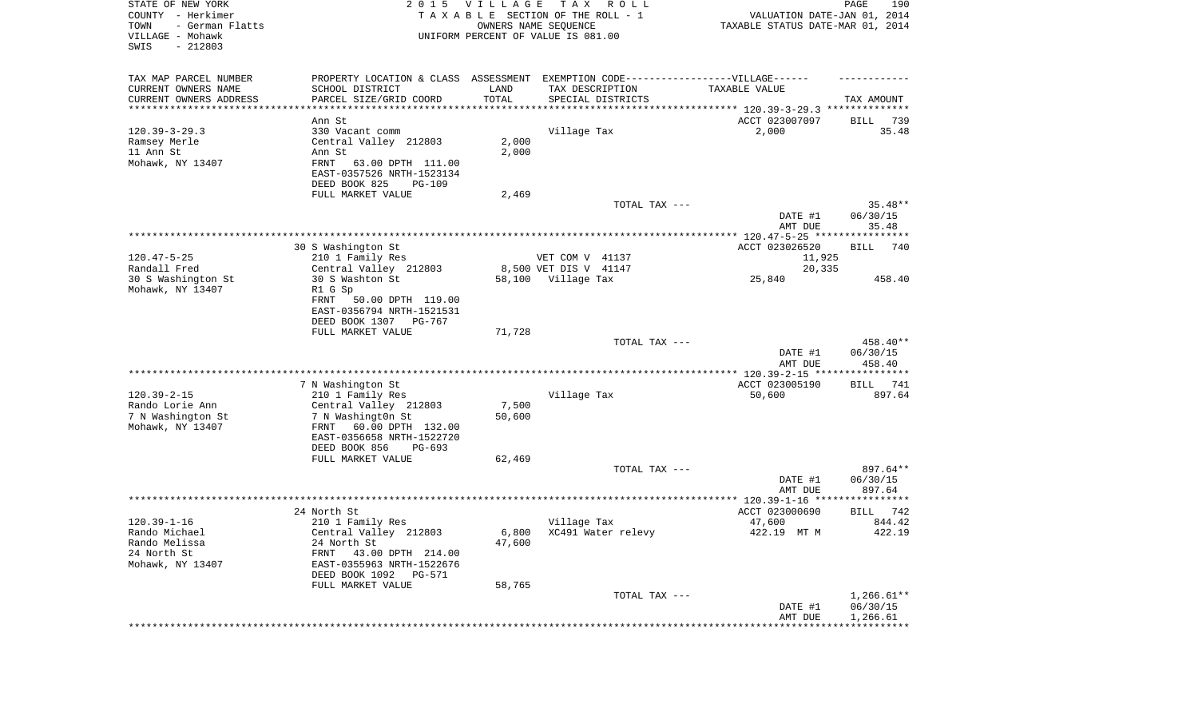| STATE OF NEW YORK<br>COUNTY - Herkimer<br>TOWN<br>- German Flatts<br>VILLAGE - Mohawk<br>SWIS<br>$-212803$ | 2 0 1 5                                                                          | <b>VILLAGE</b><br>OWNERS NAME SEQUENCE | T A X<br>R O L L<br>TAXABLE SECTION OF THE ROLL - 1<br>UNIFORM PERCENT OF VALUE IS 081.00 | VALUATION DATE-JAN 01, 2014<br>TAXABLE STATUS DATE-MAR 01, 2014 | 190<br>PAGE                          |
|------------------------------------------------------------------------------------------------------------|----------------------------------------------------------------------------------|----------------------------------------|-------------------------------------------------------------------------------------------|-----------------------------------------------------------------|--------------------------------------|
| TAX MAP PARCEL NUMBER                                                                                      | PROPERTY LOCATION & CLASS ASSESSMENT EXEMPTION CODE----------------VILLAGE------ |                                        |                                                                                           |                                                                 |                                      |
| CURRENT OWNERS NAME                                                                                        | SCHOOL DISTRICT                                                                  | LAND                                   | TAX DESCRIPTION                                                                           | TAXABLE VALUE                                                   |                                      |
| CURRENT OWNERS ADDRESS<br>***********************                                                          | PARCEL SIZE/GRID COORD<br>*******************                                    | TOTAL                                  | SPECIAL DISTRICTS                                                                         |                                                                 | TAX AMOUNT                           |
|                                                                                                            | Ann St                                                                           |                                        |                                                                                           | ACCT 023007097                                                  | 739<br>BILL                          |
| $120.39 - 3 - 29.3$                                                                                        | 330 Vacant comm                                                                  |                                        | Village Tax                                                                               | 2,000                                                           | 35.48                                |
| Ramsey Merle                                                                                               | Central Valley 212803                                                            | 2,000                                  |                                                                                           |                                                                 |                                      |
| 11 Ann St                                                                                                  | Ann St                                                                           | 2,000                                  |                                                                                           |                                                                 |                                      |
| Mohawk, NY 13407                                                                                           | FRNT<br>63.00 DPTH 111.00<br>EAST-0357526 NRTH-1523134                           |                                        |                                                                                           |                                                                 |                                      |
|                                                                                                            | DEED BOOK 825<br>PG-109                                                          |                                        |                                                                                           |                                                                 |                                      |
|                                                                                                            | FULL MARKET VALUE                                                                | 2,469                                  | TOTAL TAX ---                                                                             |                                                                 | $35.48**$                            |
|                                                                                                            |                                                                                  |                                        |                                                                                           | DATE #1                                                         | 06/30/15                             |
|                                                                                                            |                                                                                  |                                        |                                                                                           | AMT DUE                                                         | 35.48                                |
|                                                                                                            | 30 S Washington St                                                               |                                        |                                                                                           | ACCT 023026520                                                  | <b>BILL</b><br>740                   |
| $120.47 - 5 - 25$                                                                                          | 210 1 Family Res                                                                 |                                        | VET COM V 41137                                                                           | 11,925                                                          |                                      |
| Randall Fred                                                                                               | Central Valley 212803                                                            |                                        | 8,500 VET DIS V 41147                                                                     | 20,335                                                          |                                      |
| 30 S Washington St                                                                                         | 30 S Washton St                                                                  |                                        | 58,100 Village Tax                                                                        | 25,840                                                          | 458.40                               |
| Mohawk, NY 13407                                                                                           | R1 G Sp                                                                          |                                        |                                                                                           |                                                                 |                                      |
|                                                                                                            | 50.00 DPTH 119.00<br>FRNT<br>EAST-0356794 NRTH-1521531                           |                                        |                                                                                           |                                                                 |                                      |
|                                                                                                            | DEED BOOK 1307 PG-767                                                            |                                        |                                                                                           |                                                                 |                                      |
|                                                                                                            | FULL MARKET VALUE                                                                | 71,728                                 | TOTAL TAX ---                                                                             |                                                                 | 458.40**                             |
|                                                                                                            |                                                                                  |                                        |                                                                                           | DATE #1<br>AMT DUE                                              | 06/30/15<br>458.40                   |
|                                                                                                            |                                                                                  |                                        |                                                                                           |                                                                 |                                      |
|                                                                                                            | 7 N Washington St                                                                |                                        |                                                                                           | ACCT 023005190                                                  | 741<br>BILL                          |
| $120.39 - 2 - 15$                                                                                          | 210 1 Family Res                                                                 |                                        | Village Tax                                                                               | 50,600                                                          | 897.64                               |
| Rando Lorie Ann                                                                                            | Central Valley 212803                                                            | 7,500                                  |                                                                                           |                                                                 |                                      |
| 7 N Washington St                                                                                          | 7 N Washingt0n St                                                                | 50,600                                 |                                                                                           |                                                                 |                                      |
| Mohawk, NY 13407                                                                                           | FRNT<br>60.00 DPTH 132.00<br>EAST-0356658 NRTH-1522720                           |                                        |                                                                                           |                                                                 |                                      |
|                                                                                                            | DEED BOOK 856<br>PG-693                                                          |                                        |                                                                                           |                                                                 |                                      |
|                                                                                                            | FULL MARKET VALUE                                                                | 62,469                                 |                                                                                           |                                                                 |                                      |
|                                                                                                            |                                                                                  |                                        | TOTAL TAX ---                                                                             |                                                                 | 897.64**                             |
|                                                                                                            |                                                                                  |                                        |                                                                                           | DATE #1                                                         | 06/30/15                             |
|                                                                                                            |                                                                                  |                                        |                                                                                           | AMT DUE                                                         | 897.64                               |
|                                                                                                            | 24 North St                                                                      |                                        |                                                                                           | ACCT 023000690                                                  | 742<br>BILL                          |
| $120.39 - 1 - 16$                                                                                          | 210 1 Family Res                                                                 |                                        | Village Tax                                                                               | 47,600                                                          | 844.42                               |
| Rando Michael                                                                                              | Central Valley 212803                                                            |                                        | 6,800 XC491 Water relevy                                                                  | 422.19 MT M                                                     | 422.19                               |
| Rando Melissa                                                                                              | 24 North St                                                                      | 47,600                                 |                                                                                           |                                                                 |                                      |
| 24 North St                                                                                                | FRNT<br>43.00 DPTH 214.00                                                        |                                        |                                                                                           |                                                                 |                                      |
| Mohawk, NY 13407                                                                                           | EAST-0355963 NRTH-1522676<br>DEED BOOK 1092 PG-571                               |                                        |                                                                                           |                                                                 |                                      |
|                                                                                                            | FULL MARKET VALUE                                                                | 58,765                                 |                                                                                           |                                                                 |                                      |
|                                                                                                            |                                                                                  |                                        | TOTAL TAX ---                                                                             | DATE #1<br>AMT DUE                                              | $1,266.61**$<br>06/30/15<br>1,266.61 |
|                                                                                                            |                                                                                  |                                        |                                                                                           | ***********************************                             |                                      |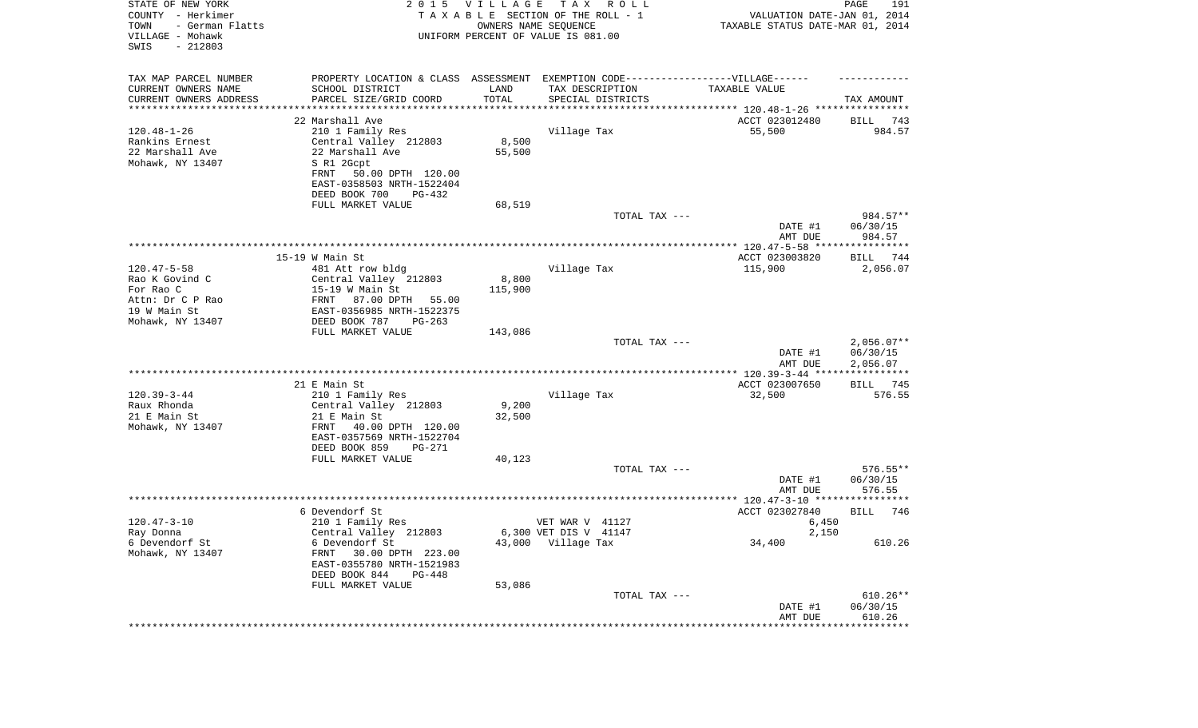| STATE OF NEW YORK<br>COUNTY - Herkimer<br>- German Flatts<br>TOWN<br>VILLAGE - Mohawk<br>SWIS<br>$-212803$ |                                                                                   | 2015 VILLAGE | T A X<br>R O L L<br>TAXABLE SECTION OF THE ROLL - 1<br>OWNERS NAME SEQUENCE<br>UNIFORM PERCENT OF VALUE IS 081.00 | VALUATION DATE-JAN 01, 2014<br>TAXABLE STATUS DATE-MAR 01, 2014 | PAGE<br>191                          |
|------------------------------------------------------------------------------------------------------------|-----------------------------------------------------------------------------------|--------------|-------------------------------------------------------------------------------------------------------------------|-----------------------------------------------------------------|--------------------------------------|
| TAX MAP PARCEL NUMBER                                                                                      | PROPERTY LOCATION & CLASS ASSESSMENT EXEMPTION CODE----------------VILLAGE------  |              |                                                                                                                   |                                                                 |                                      |
| CURRENT OWNERS NAME                                                                                        | SCHOOL DISTRICT                                                                   | LAND         | TAX DESCRIPTION                                                                                                   | TAXABLE VALUE                                                   |                                      |
| CURRENT OWNERS ADDRESS<br>*********************                                                            | PARCEL SIZE/GRID COORD                                                            | TOTAL        | SPECIAL DISTRICTS                                                                                                 |                                                                 | TAX AMOUNT                           |
|                                                                                                            | 22 Marshall Ave                                                                   |              |                                                                                                                   | ACCT 023012480                                                  | 743<br>BILL                          |
| $120.48 - 1 - 26$                                                                                          | 210 1 Family Res                                                                  |              | Village Tax                                                                                                       | 55,500                                                          | 984.57                               |
| Rankins Ernest                                                                                             | Central Valley 212803                                                             | 8,500        |                                                                                                                   |                                                                 |                                      |
| 22 Marshall Ave                                                                                            | 22 Marshall Ave                                                                   | 55,500       |                                                                                                                   |                                                                 |                                      |
| Mohawk, NY 13407                                                                                           | S R1 2Gcpt                                                                        |              |                                                                                                                   |                                                                 |                                      |
|                                                                                                            | 50.00 DPTH 120.00<br>FRNT                                                         |              |                                                                                                                   |                                                                 |                                      |
|                                                                                                            | EAST-0358503 NRTH-1522404<br>DEED BOOK 700<br>PG-432                              |              |                                                                                                                   |                                                                 |                                      |
|                                                                                                            | FULL MARKET VALUE                                                                 | 68,519       |                                                                                                                   |                                                                 |                                      |
|                                                                                                            |                                                                                   |              | TOTAL TAX ---                                                                                                     |                                                                 | 984.57**                             |
|                                                                                                            |                                                                                   |              |                                                                                                                   | DATE #1<br>AMT DUE                                              | 06/30/15<br>984.57                   |
|                                                                                                            |                                                                                   |              |                                                                                                                   |                                                                 |                                      |
| $120.47 - 5 - 58$                                                                                          | $15-19$ W Main St                                                                 |              |                                                                                                                   | ACCT 023003820<br>115,900                                       | BILL 744                             |
| Rao K Govind C                                                                                             | 481 Att row bldg<br>Central Valley 212803                                         | 8,800        | Village Tax                                                                                                       |                                                                 | 2,056.07                             |
| For Rao C                                                                                                  | $15-19$ W Main St                                                                 | 115,900      |                                                                                                                   |                                                                 |                                      |
| Attn: Dr C P Rao                                                                                           | 87.00 DPTH<br>FRNT<br>55.00                                                       |              |                                                                                                                   |                                                                 |                                      |
| 19 W Main St                                                                                               | EAST-0356985 NRTH-1522375                                                         |              |                                                                                                                   |                                                                 |                                      |
| Mohawk, NY 13407                                                                                           | DEED BOOK 787<br>$PG-263$                                                         |              |                                                                                                                   |                                                                 |                                      |
|                                                                                                            | FULL MARKET VALUE                                                                 | 143,086      |                                                                                                                   |                                                                 |                                      |
|                                                                                                            |                                                                                   |              | TOTAL TAX ---                                                                                                     | DATE #1<br>AMT DUE                                              | $2,056.07**$<br>06/30/15<br>2,056.07 |
|                                                                                                            |                                                                                   |              |                                                                                                                   | **************** 120.39-3-44 *****************                  |                                      |
|                                                                                                            | 21 E Main St                                                                      |              |                                                                                                                   | ACCT 023007650                                                  | 745<br>BILL                          |
| $120.39 - 3 - 44$<br>Raux Rhonda                                                                           | 210 1 Family Res<br>Central Valley 212803                                         | 9,200        | Village Tax                                                                                                       | 32,500                                                          | 576.55                               |
| 21 E Main St                                                                                               | 21 E Main St                                                                      | 32,500       |                                                                                                                   |                                                                 |                                      |
| Mohawk, NY 13407                                                                                           | 40.00 DPTH 120.00<br>FRNT                                                         |              |                                                                                                                   |                                                                 |                                      |
|                                                                                                            | EAST-0357569 NRTH-1522704                                                         |              |                                                                                                                   |                                                                 |                                      |
|                                                                                                            | DEED BOOK 859<br>PG-271                                                           |              |                                                                                                                   |                                                                 |                                      |
|                                                                                                            | FULL MARKET VALUE                                                                 | 40,123       |                                                                                                                   |                                                                 |                                      |
|                                                                                                            |                                                                                   |              | TOTAL TAX ---                                                                                                     |                                                                 | $576.55**$                           |
|                                                                                                            |                                                                                   |              |                                                                                                                   | DATE #1<br>AMT DUE                                              | 06/30/15<br>576.55                   |
|                                                                                                            |                                                                                   |              |                                                                                                                   |                                                                 |                                      |
|                                                                                                            | 6 Devendorf St                                                                    |              |                                                                                                                   | ACCT 023027840                                                  | <b>BILL</b><br>746                   |
| $120.47 - 3 - 10$                                                                                          | 210 1 Family Res                                                                  |              | VET WAR V 41127                                                                                                   | 6,450                                                           |                                      |
| Ray Donna                                                                                                  | Central Valley 212803                                                             |              | 6,300 VET DIS V 41147                                                                                             | 2,150                                                           |                                      |
| 6 Devendorf St                                                                                             | 6 Devendorf St                                                                    |              | 43,000 Village Tax                                                                                                | 34,400                                                          | 610.26                               |
| Mohawk, NY 13407                                                                                           | FRNT<br>30.00 DPTH 223.00<br>EAST-0355780 NRTH-1521983<br>DEED BOOK 844<br>PG-448 |              |                                                                                                                   |                                                                 |                                      |
|                                                                                                            | FULL MARKET VALUE                                                                 | 53,086       |                                                                                                                   |                                                                 |                                      |
|                                                                                                            |                                                                                   |              | TOTAL TAX ---                                                                                                     |                                                                 | $610.26**$                           |
|                                                                                                            |                                                                                   |              |                                                                                                                   | DATE #1                                                         | 06/30/15                             |
|                                                                                                            |                                                                                   |              |                                                                                                                   | AMT DUE                                                         | 610.26                               |
|                                                                                                            |                                                                                   |              |                                                                                                                   |                                                                 |                                      |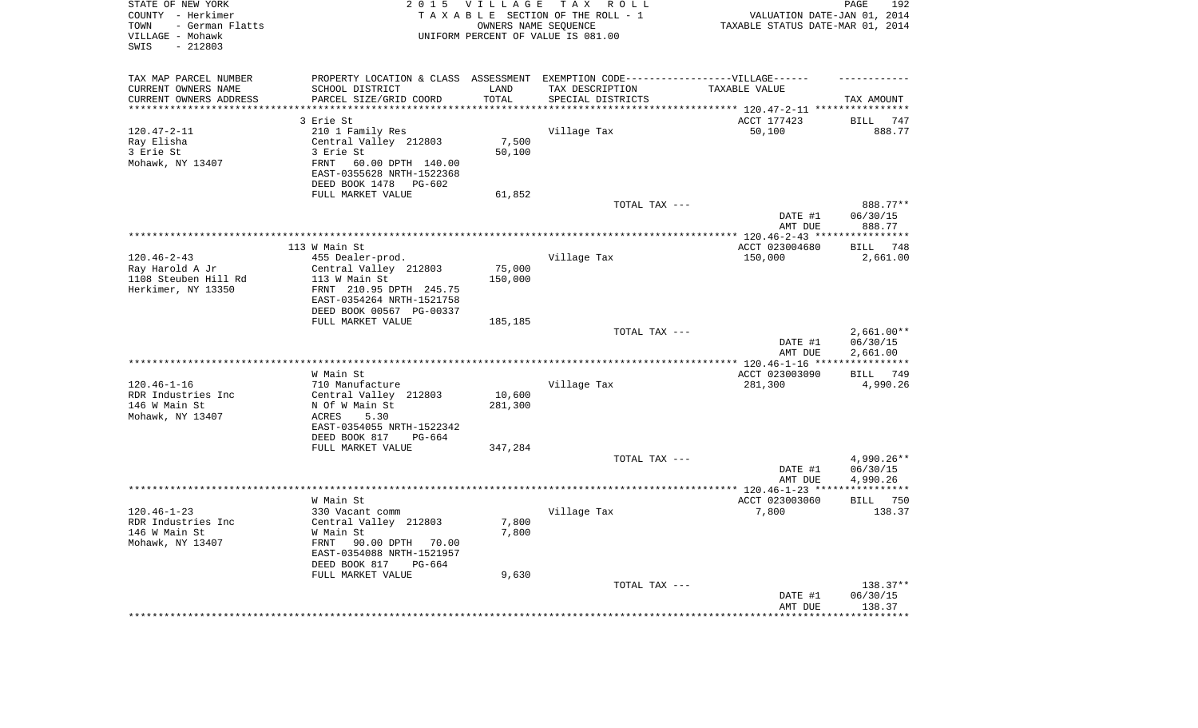| STATE OF NEW YORK<br>COUNTY - Herkimer<br>- German Flatts<br>TOWN<br>VILLAGE - Mohawk<br>$-212803$<br>SWIS |                                                                                   | 2015 VILLAGE        | TAX ROLL<br>TAXABLE SECTION OF THE ROLL - 1<br>OWNERS NAME SEQUENCE<br>UNIFORM PERCENT OF VALUE IS 081.00 | VALUATION DATE-JAN 01, 2014<br>TAXABLE STATUS DATE-MAR 01, 2014 | 192<br>PAGE        |
|------------------------------------------------------------------------------------------------------------|-----------------------------------------------------------------------------------|---------------------|-----------------------------------------------------------------------------------------------------------|-----------------------------------------------------------------|--------------------|
| TAX MAP PARCEL NUMBER                                                                                      | PROPERTY LOCATION & CLASS ASSESSMENT EXEMPTION CODE-----------------VILLAGE------ |                     |                                                                                                           |                                                                 |                    |
| CURRENT OWNERS NAME                                                                                        | SCHOOL DISTRICT                                                                   | LAND                | TAX DESCRIPTION                                                                                           | TAXABLE VALUE                                                   |                    |
| CURRENT OWNERS ADDRESS<br>*********************                                                            | PARCEL SIZE/GRID COORD<br>************************                                | TOTAL<br>********** | SPECIAL DISTRICTS                                                                                         |                                                                 | TAX AMOUNT         |
|                                                                                                            | 3 Erie St                                                                         |                     |                                                                                                           | ACCT 177423                                                     | <b>BILL</b><br>747 |
| $120.47 - 2 - 11$                                                                                          | 210 1 Family Res                                                                  |                     | Village Tax                                                                                               | 50,100                                                          | 888.77             |
| Ray Elisha                                                                                                 | Central Valley 212803                                                             | 7,500               |                                                                                                           |                                                                 |                    |
| 3 Erie St                                                                                                  | 3 Erie St                                                                         | 50,100              |                                                                                                           |                                                                 |                    |
| Mohawk, NY 13407                                                                                           | 60.00 DPTH 140.00<br>FRNT                                                         |                     |                                                                                                           |                                                                 |                    |
|                                                                                                            | EAST-0355628 NRTH-1522368                                                         |                     |                                                                                                           |                                                                 |                    |
|                                                                                                            | DEED BOOK 1478 PG-602                                                             |                     |                                                                                                           |                                                                 |                    |
|                                                                                                            | FULL MARKET VALUE                                                                 | 61,852              | TOTAL TAX ---                                                                                             |                                                                 | 888.77**           |
|                                                                                                            |                                                                                   |                     |                                                                                                           | DATE #1                                                         | 06/30/15           |
|                                                                                                            |                                                                                   |                     |                                                                                                           | AMT DUE                                                         | 888.77             |
|                                                                                                            |                                                                                   |                     |                                                                                                           | *** $120.46 - 2 - 43$ ****                                      | ************       |
|                                                                                                            | 113 W Main St                                                                     |                     |                                                                                                           | ACCT 023004680                                                  | 748<br><b>BILL</b> |
| $120.46 - 2 - 43$                                                                                          | 455 Dealer-prod.                                                                  |                     | Village Tax                                                                                               | 150,000                                                         | 2,661.00           |
| Ray Harold A Jr                                                                                            | Central Valley 212803                                                             | 75,000              |                                                                                                           |                                                                 |                    |
| 1108 Steuben Hill Rd                                                                                       | 113 W Main St                                                                     | 150,000             |                                                                                                           |                                                                 |                    |
| Herkimer, NY 13350                                                                                         | FRNT 210.95 DPTH 245.75                                                           |                     |                                                                                                           |                                                                 |                    |
|                                                                                                            | EAST-0354264 NRTH-1521758<br>DEED BOOK 00567 PG-00337                             |                     |                                                                                                           |                                                                 |                    |
|                                                                                                            | FULL MARKET VALUE                                                                 | 185,185             |                                                                                                           |                                                                 |                    |
|                                                                                                            |                                                                                   |                     | TOTAL TAX ---                                                                                             |                                                                 | $2,661.00**$       |
|                                                                                                            |                                                                                   |                     |                                                                                                           | DATE #1                                                         | 06/30/15           |
|                                                                                                            |                                                                                   |                     |                                                                                                           | AMT DUE                                                         | 2,661.00           |
|                                                                                                            |                                                                                   |                     | **********************                                                                                    | *** 120.46-1-16 **                                              | ***********        |
|                                                                                                            | W Main St                                                                         |                     |                                                                                                           | ACCT 023003090                                                  | BILL 749           |
| $120.46 - 1 - 16$<br>RDR Industries Inc                                                                    | 710 Manufacture                                                                   |                     | Village Tax                                                                                               | 281,300                                                         | 4,990.26           |
| 146 W Main St                                                                                              | Central Valley 212803<br>N Of W Main St                                           | 10,600<br>281,300   |                                                                                                           |                                                                 |                    |
| Mohawk, NY 13407                                                                                           | ACRES<br>5.30                                                                     |                     |                                                                                                           |                                                                 |                    |
|                                                                                                            | EAST-0354055 NRTH-1522342                                                         |                     |                                                                                                           |                                                                 |                    |
|                                                                                                            | DEED BOOK 817<br>$PG-664$                                                         |                     |                                                                                                           |                                                                 |                    |
|                                                                                                            | FULL MARKET VALUE                                                                 | 347,284             |                                                                                                           |                                                                 |                    |
|                                                                                                            |                                                                                   |                     | TOTAL TAX ---                                                                                             |                                                                 | 4,990.26**         |
|                                                                                                            |                                                                                   |                     |                                                                                                           | DATE #1                                                         | 06/30/15           |
|                                                                                                            |                                                                                   |                     |                                                                                                           | AMT DUE                                                         | 4,990.26           |
|                                                                                                            | W Main St                                                                         |                     |                                                                                                           | ACCT 023003060                                                  | <b>BILL</b> 750    |
| $120.46 - 1 - 23$                                                                                          | 330 Vacant comm                                                                   |                     | Village Tax                                                                                               | 7,800                                                           | 138.37             |
| RDR Industries Inc                                                                                         | Central Valley 212803                                                             | 7,800               |                                                                                                           |                                                                 |                    |
| 146 W Main St                                                                                              | W Main St                                                                         | 7,800               |                                                                                                           |                                                                 |                    |
| Mohawk, NY 13407                                                                                           | FRNT<br>90.00 DPTH 70.00                                                          |                     |                                                                                                           |                                                                 |                    |
|                                                                                                            | EAST-0354088 NRTH-1521957                                                         |                     |                                                                                                           |                                                                 |                    |
|                                                                                                            | DEED BOOK 817<br>PG-664                                                           |                     |                                                                                                           |                                                                 |                    |
|                                                                                                            | FULL MARKET VALUE                                                                 | 9,630               |                                                                                                           |                                                                 | 138.37**           |
|                                                                                                            |                                                                                   |                     | TOTAL TAX ---                                                                                             | DATE #1                                                         | 06/30/15           |
|                                                                                                            |                                                                                   |                     |                                                                                                           | AMT DUE                                                         | 138.37             |
|                                                                                                            |                                                                                   |                     |                                                                                                           |                                                                 | ********           |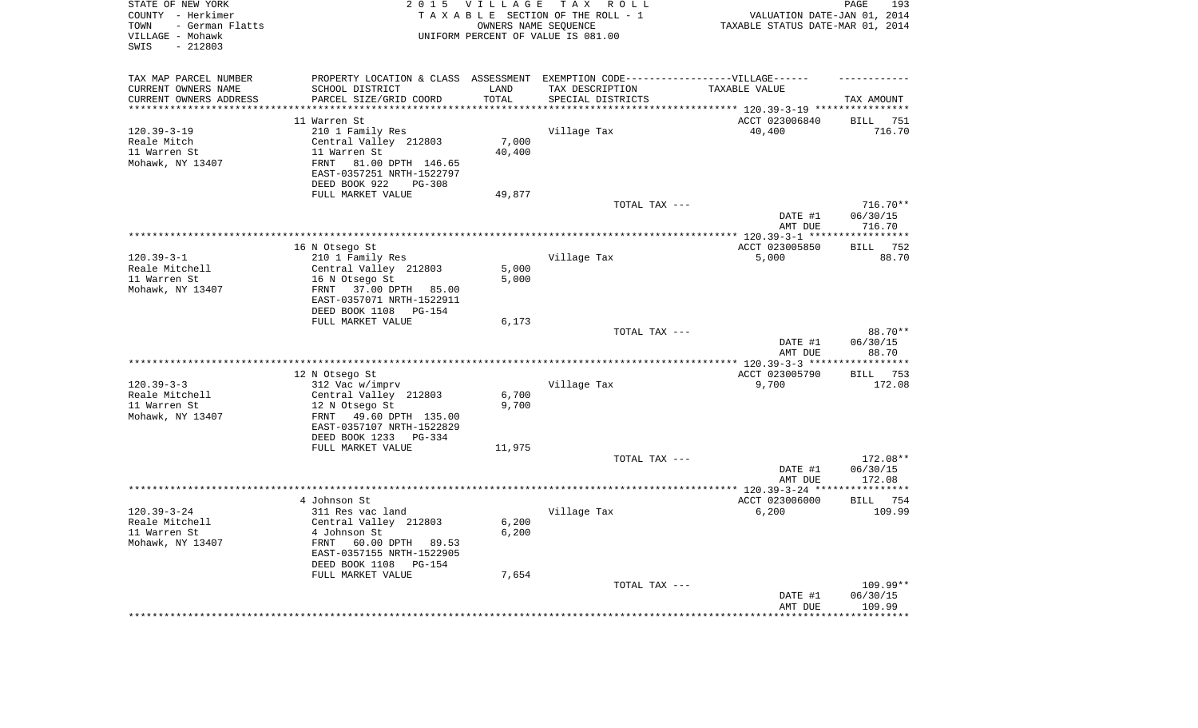| STATE OF NEW YORK<br>COUNTY - Herkimer<br>- German Flatts<br>TOWN<br>VILLAGE - Mohawk<br>$-212803$<br>SWIS | 2 0 1 5                                                                                           | <b>VILLAGE</b><br>OWNERS NAME SEQUENCE | TAX ROLL<br>TAXABLE SECTION OF THE ROLL - 1<br>UNIFORM PERCENT OF VALUE IS 081.00 | VALUATION DATE-JAN 01, 2014<br>TAXABLE STATUS DATE-MAR 01, 2014 | PAGE<br>193                      |
|------------------------------------------------------------------------------------------------------------|---------------------------------------------------------------------------------------------------|----------------------------------------|-----------------------------------------------------------------------------------|-----------------------------------------------------------------|----------------------------------|
| TAX MAP PARCEL NUMBER                                                                                      |                                                                                                   |                                        | PROPERTY LOCATION & CLASS ASSESSMENT EXEMPTION CODE-----------------VILLAGE------ |                                                                 |                                  |
| CURRENT OWNERS NAME                                                                                        | SCHOOL DISTRICT                                                                                   | LAND                                   | TAX DESCRIPTION                                                                   | TAXABLE VALUE                                                   |                                  |
| CURRENT OWNERS ADDRESS<br>********************                                                             | PARCEL SIZE/GRID COORD                                                                            | TOTAL<br>********                      | SPECIAL DISTRICTS                                                                 |                                                                 | TAX AMOUNT                       |
|                                                                                                            | 11 Warren St                                                                                      |                                        |                                                                                   | ACCT 023006840                                                  | <b>BILL</b><br>751               |
| $120.39 - 3 - 19$                                                                                          | 210 1 Family Res                                                                                  |                                        | Village Tax                                                                       | 40,400                                                          | 716.70                           |
| Reale Mitch                                                                                                | Central Valley 212803                                                                             | 7,000                                  |                                                                                   |                                                                 |                                  |
| 11 Warren St                                                                                               | 11 Warren St                                                                                      | 40,400                                 |                                                                                   |                                                                 |                                  |
| Mohawk, NY 13407                                                                                           | 81.00 DPTH 146.65<br><b>FRNT</b><br>EAST-0357251 NRTH-1522797                                     |                                        |                                                                                   |                                                                 |                                  |
|                                                                                                            | DEED BOOK 922<br>PG-308<br>FULL MARKET VALUE                                                      | 49,877                                 |                                                                                   |                                                                 |                                  |
|                                                                                                            |                                                                                                   |                                        | TOTAL TAX ---                                                                     |                                                                 | 716.70**                         |
|                                                                                                            |                                                                                                   |                                        |                                                                                   | DATE #1<br>AMT DUE                                              | 06/30/15<br>716.70               |
|                                                                                                            |                                                                                                   |                                        |                                                                                   | ************ 120.39-3-1 ****                                    | ***********                      |
|                                                                                                            | 16 N Otsego St                                                                                    |                                        |                                                                                   | ACCT 023005850                                                  | 752<br><b>BILL</b>               |
| $120.39 - 3 - 1$                                                                                           | 210 1 Family Res                                                                                  |                                        | Village Tax                                                                       | 5,000                                                           | 88.70                            |
| Reale Mitchell                                                                                             | Central Valley 212803                                                                             | 5,000                                  |                                                                                   |                                                                 |                                  |
| 11 Warren St<br>Mohawk, NY 13407                                                                           | 16 N Otsego St<br>FRNT<br>37.00 DPTH 85.00                                                        | 5,000                                  |                                                                                   |                                                                 |                                  |
|                                                                                                            | EAST-0357071 NRTH-1522911<br>DEED BOOK 1108<br>PG-154                                             |                                        |                                                                                   |                                                                 |                                  |
|                                                                                                            | FULL MARKET VALUE                                                                                 | 6,173                                  |                                                                                   |                                                                 |                                  |
|                                                                                                            |                                                                                                   |                                        | TOTAL TAX ---                                                                     |                                                                 | 88.70**                          |
|                                                                                                            |                                                                                                   |                                        |                                                                                   | DATE #1<br>AMT DUE                                              | 06/30/15<br>88.70                |
|                                                                                                            |                                                                                                   |                                        |                                                                                   | ***************** 120.39-3-3 ***                                | * * * * * * * * * *              |
|                                                                                                            | 12 N Otsego St                                                                                    |                                        |                                                                                   | ACCT 023005790                                                  | 753<br>BILL                      |
| $120.39 - 3 - 3$<br>Reale Mitchell                                                                         | 312 Vac w/imprv<br>Central Valley 212803                                                          | 6,700                                  | Village Tax                                                                       | 9,700                                                           | 172.08                           |
| 11 Warren St                                                                                               | 12 N Otsego St                                                                                    | 9,700                                  |                                                                                   |                                                                 |                                  |
| Mohawk, NY 13407                                                                                           | 49.60 DPTH 135.00<br>FRNT<br>EAST-0357107 NRTH-1522829                                            |                                        |                                                                                   |                                                                 |                                  |
|                                                                                                            | DEED BOOK 1233<br>$PG-334$                                                                        |                                        |                                                                                   |                                                                 |                                  |
|                                                                                                            | FULL MARKET VALUE                                                                                 | 11,975                                 |                                                                                   |                                                                 |                                  |
|                                                                                                            |                                                                                                   |                                        | TOTAL TAX ---                                                                     |                                                                 | 172.08**                         |
|                                                                                                            |                                                                                                   |                                        |                                                                                   | DATE #1<br>AMT DUE                                              | 06/30/15<br>172.08               |
|                                                                                                            |                                                                                                   |                                        |                                                                                   | ***************** 120.39-3-24 ***                               | **********                       |
|                                                                                                            | 4 Johnson St                                                                                      |                                        |                                                                                   | ACCT 023006000                                                  | <b>BILL</b><br>754               |
| $120.39 - 3 - 24$                                                                                          | 311 Res vac land                                                                                  |                                        | Village Tax                                                                       | 6,200                                                           | 109.99                           |
| Reale Mitchell<br>11 Warren St<br>Mohawk, NY 13407                                                         | Central Valley 212803<br>4 Johnson St<br>FRNT<br>60.00 DPTH<br>89.53<br>EAST-0357155 NRTH-1522905 | 6,200<br>6,200                         |                                                                                   |                                                                 |                                  |
|                                                                                                            | DEED BOOK 1108<br><b>PG-154</b>                                                                   |                                        |                                                                                   |                                                                 |                                  |
|                                                                                                            | FULL MARKET VALUE                                                                                 | 7,654                                  |                                                                                   |                                                                 |                                  |
|                                                                                                            |                                                                                                   |                                        | TOTAL TAX ---                                                                     | DATE #1<br>AMT DUE                                              | $109.99**$<br>06/30/15<br>109.99 |
|                                                                                                            |                                                                                                   |                                        |                                                                                   |                                                                 | ********                         |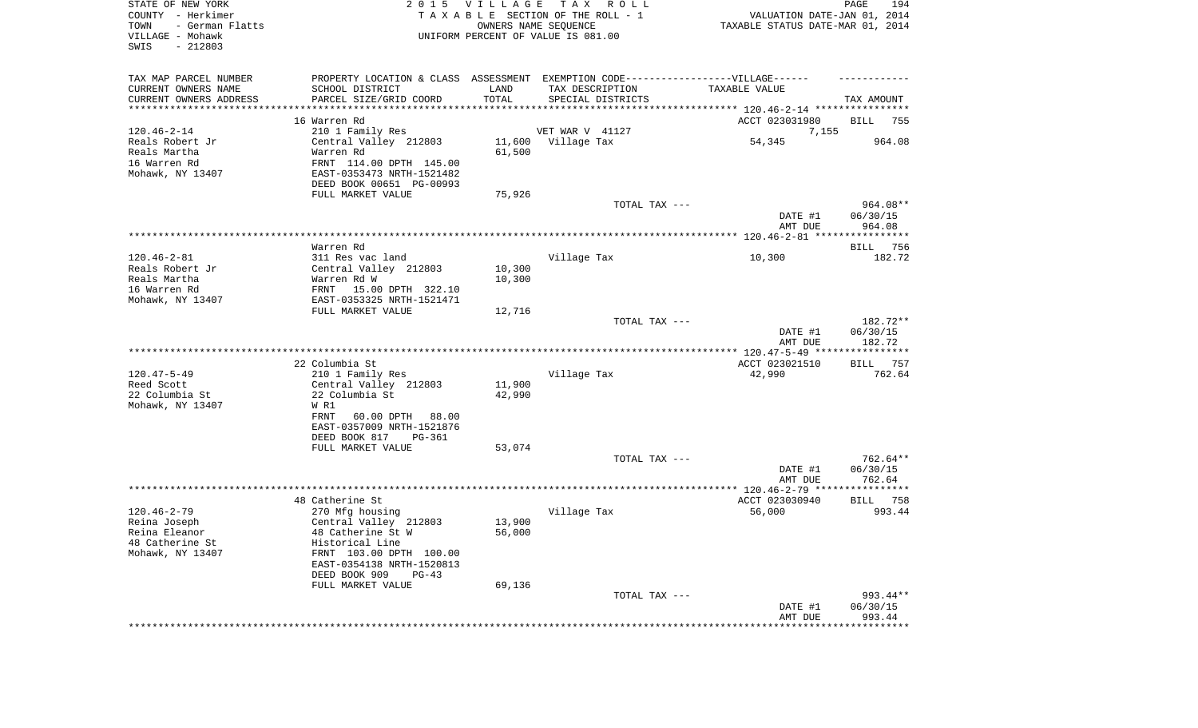| STATE OF NEW YORK<br>COUNTY - Herkimer<br>TOWN<br>- German Flatts<br>VILLAGE - Mohawk<br>SWIS<br>$-212803$ | 2 0 1 5                                                                          | VILLAGE          | T A X<br>R O L L<br>TAXABLE SECTION OF THE ROLL - 1<br>OWNERS NAME SEQUENCE<br>UNIFORM PERCENT OF VALUE IS 081.00 | VALUATION DATE-JAN 01, 2014<br>TAXABLE STATUS DATE-MAR 01, 2014 | PAGE<br>194          |
|------------------------------------------------------------------------------------------------------------|----------------------------------------------------------------------------------|------------------|-------------------------------------------------------------------------------------------------------------------|-----------------------------------------------------------------|----------------------|
| TAX MAP PARCEL NUMBER                                                                                      | PROPERTY LOCATION & CLASS ASSESSMENT EXEMPTION CODE----------------VILLAGE------ |                  |                                                                                                                   |                                                                 |                      |
| CURRENT OWNERS NAME                                                                                        | SCHOOL DISTRICT                                                                  | LAND<br>TOTAL    | TAX DESCRIPTION                                                                                                   | TAXABLE VALUE                                                   |                      |
| CURRENT OWNERS ADDRESS<br>********************                                                             | PARCEL SIZE/GRID COORD<br>*****************                                      |                  | SPECIAL DISTRICTS                                                                                                 |                                                                 | TAX AMOUNT           |
|                                                                                                            | 16 Warren Rd                                                                     |                  |                                                                                                                   | ACCT 023031980                                                  | BILL<br>755          |
| $120.46 - 2 - 14$                                                                                          | 210 1 Family Res                                                                 |                  | VET WAR V 41127                                                                                                   | 7,155                                                           |                      |
| Reals Robert Jr                                                                                            | Central Valley 212803                                                            |                  | 11,600 Village Tax                                                                                                | 54,345                                                          | 964.08               |
| Reals Martha                                                                                               | Warren Rd                                                                        | 61,500           |                                                                                                                   |                                                                 |                      |
| 16 Warren Rd                                                                                               | FRNT 114.00 DPTH 145.00                                                          |                  |                                                                                                                   |                                                                 |                      |
| Mohawk, NY 13407                                                                                           | EAST-0353473 NRTH-1521482                                                        |                  |                                                                                                                   |                                                                 |                      |
|                                                                                                            | DEED BOOK 00651 PG-00993<br>FULL MARKET VALUE                                    | 75,926           |                                                                                                                   |                                                                 |                      |
|                                                                                                            |                                                                                  |                  | TOTAL TAX ---                                                                                                     |                                                                 | 964.08**             |
|                                                                                                            |                                                                                  |                  |                                                                                                                   | DATE #1                                                         | 06/30/15             |
|                                                                                                            |                                                                                  |                  |                                                                                                                   | AMT DUE                                                         | 964.08               |
|                                                                                                            |                                                                                  |                  |                                                                                                                   |                                                                 |                      |
|                                                                                                            | Warren Rd                                                                        |                  |                                                                                                                   |                                                                 | BILL<br>756          |
| $120.46 - 2 - 81$<br>Reals Robert Jr                                                                       | 311 Res vac land                                                                 |                  | Village Tax                                                                                                       | 10,300                                                          | 182.72               |
| Reals Martha                                                                                               | Central Valley 212803<br>Warren Rd W                                             | 10,300<br>10,300 |                                                                                                                   |                                                                 |                      |
| 16 Warren Rd                                                                                               | 15.00 DPTH 322.10<br>FRNT                                                        |                  |                                                                                                                   |                                                                 |                      |
| Mohawk, NY 13407                                                                                           | EAST-0353325 NRTH-1521471                                                        |                  |                                                                                                                   |                                                                 |                      |
|                                                                                                            | FULL MARKET VALUE                                                                | 12,716           |                                                                                                                   |                                                                 |                      |
|                                                                                                            |                                                                                  |                  | TOTAL TAX ---                                                                                                     | DATE #1                                                         | 182.72**<br>06/30/15 |
|                                                                                                            |                                                                                  |                  |                                                                                                                   | AMT DUE                                                         | 182.72               |
|                                                                                                            |                                                                                  |                  |                                                                                                                   |                                                                 |                      |
|                                                                                                            | 22 Columbia St                                                                   |                  |                                                                                                                   | ACCT 023021510                                                  | 757<br>BILL          |
| $120.47 - 5 - 49$<br>Reed Scott                                                                            | 210 1 Family Res<br>Central Valley 212803                                        | 11,900           | Village Tax                                                                                                       | 42,990                                                          | 762.64               |
| 22 Columbia St                                                                                             | 22 Columbia St                                                                   | 42,990           |                                                                                                                   |                                                                 |                      |
| Mohawk, NY 13407                                                                                           | W R1                                                                             |                  |                                                                                                                   |                                                                 |                      |
|                                                                                                            | FRNT<br>60.00 DPTH<br>88.00                                                      |                  |                                                                                                                   |                                                                 |                      |
|                                                                                                            | EAST-0357009 NRTH-1521876                                                        |                  |                                                                                                                   |                                                                 |                      |
|                                                                                                            | DEED BOOK 817<br>PG-361                                                          |                  |                                                                                                                   |                                                                 |                      |
|                                                                                                            | FULL MARKET VALUE                                                                | 53,074           | TOTAL TAX ---                                                                                                     |                                                                 | 762.64**             |
|                                                                                                            |                                                                                  |                  |                                                                                                                   | DATE #1                                                         | 06/30/15             |
|                                                                                                            |                                                                                  |                  |                                                                                                                   | AMT DUE                                                         | 762.64               |
|                                                                                                            |                                                                                  |                  |                                                                                                                   |                                                                 |                      |
|                                                                                                            | 48 Catherine St                                                                  |                  |                                                                                                                   | ACCT 023030940                                                  | BILL 758             |
| $120.46 - 2 - 79$<br>Reina Joseph                                                                          | 270 Mfg housing<br>Central Valley 212803                                         | 13,900           | Village Tax                                                                                                       | 56,000                                                          | 993.44               |
| Reina Eleanor                                                                                              | 48 Catherine St W                                                                | 56,000           |                                                                                                                   |                                                                 |                      |
| 48 Catherine St                                                                                            | Historical Line                                                                  |                  |                                                                                                                   |                                                                 |                      |
| Mohawk, NY 13407                                                                                           | FRNT 103.00 DPTH 100.00                                                          |                  |                                                                                                                   |                                                                 |                      |
|                                                                                                            | EAST-0354138 NRTH-1520813                                                        |                  |                                                                                                                   |                                                                 |                      |
|                                                                                                            | DEED BOOK 909<br>$PG-43$                                                         |                  |                                                                                                                   |                                                                 |                      |
|                                                                                                            | FULL MARKET VALUE                                                                | 69,136           | TOTAL TAX ---                                                                                                     |                                                                 | 993.44**             |
|                                                                                                            |                                                                                  |                  |                                                                                                                   | DATE #1                                                         | 06/30/15             |
|                                                                                                            |                                                                                  |                  |                                                                                                                   | AMT DUE                                                         | 993.44               |
|                                                                                                            |                                                                                  |                  |                                                                                                                   | *********************                                           | **************       |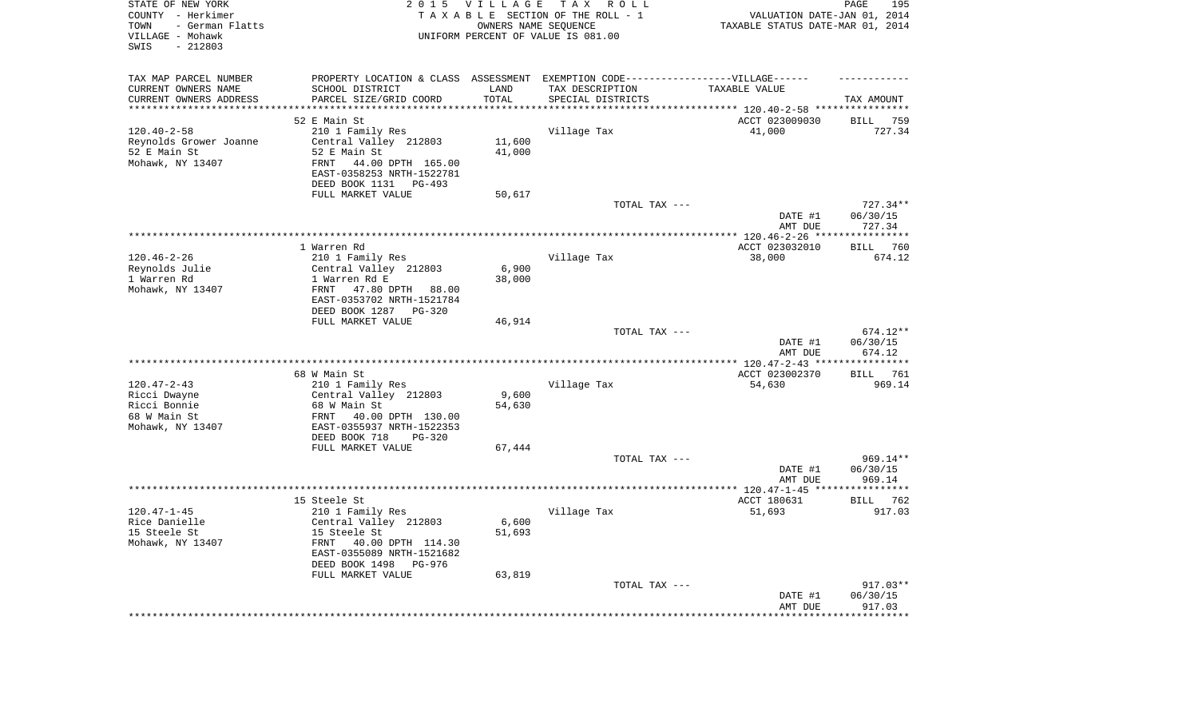| STATE OF NEW YORK<br>COUNTY - Herkimer<br>- German Flatts<br>TOWN<br>VILLAGE - Mohawk<br>$-212803$<br>SWIS | 2 0 1 5                                                       | <b>VILLAGE</b><br>OWNERS NAME SEQUENCE | T A X<br>R O L L<br>TAXABLE SECTION OF THE ROLL - 1<br>UNIFORM PERCENT OF VALUE IS 081.00 | VALUATION DATE-JAN 01, 2014<br>TAXABLE STATUS DATE-MAR 01, 2014 | PAGE<br>195           |
|------------------------------------------------------------------------------------------------------------|---------------------------------------------------------------|----------------------------------------|-------------------------------------------------------------------------------------------|-----------------------------------------------------------------|-----------------------|
| TAX MAP PARCEL NUMBER                                                                                      |                                                               |                                        | PROPERTY LOCATION & CLASS ASSESSMENT EXEMPTION CODE-----------------VILLAGE------         |                                                                 |                       |
| CURRENT OWNERS NAME                                                                                        | SCHOOL DISTRICT                                               | LAND                                   | TAX DESCRIPTION                                                                           | TAXABLE VALUE                                                   |                       |
| CURRENT OWNERS ADDRESS<br>*********************                                                            | PARCEL SIZE/GRID COORD<br>**************************          | TOTAL<br>**********                    | SPECIAL DISTRICTS                                                                         |                                                                 | TAX AMOUNT            |
|                                                                                                            | 52 E Main St                                                  |                                        |                                                                                           | ACCT 023009030                                                  | BILL<br>759           |
| $120.40 - 2 - 58$                                                                                          | 210 1 Family Res                                              |                                        | Village Tax                                                                               | 41,000                                                          | 727.34                |
| Reynolds Grower Joanne                                                                                     | Central Valley 212803                                         | 11,600                                 |                                                                                           |                                                                 |                       |
| 52 E Main St                                                                                               | 52 E Main St                                                  | 41,000                                 |                                                                                           |                                                                 |                       |
| Mohawk, NY 13407                                                                                           | 44.00 DPTH 165.00<br><b>FRNT</b><br>EAST-0358253 NRTH-1522781 |                                        |                                                                                           |                                                                 |                       |
|                                                                                                            | DEED BOOK 1131<br>$PG-493$                                    |                                        |                                                                                           |                                                                 |                       |
|                                                                                                            | FULL MARKET VALUE                                             | 50,617                                 | TOTAL TAX ---                                                                             |                                                                 | 727.34**              |
|                                                                                                            |                                                               |                                        |                                                                                           | DATE #1                                                         | 06/30/15              |
|                                                                                                            |                                                               |                                        |                                                                                           | AMT DUE                                                         | 727.34                |
|                                                                                                            |                                                               |                                        |                                                                                           |                                                                 |                       |
|                                                                                                            | 1 Warren Rd                                                   |                                        |                                                                                           | ACCT 023032010                                                  | <b>BILL</b><br>760    |
| $120.46 - 2 - 26$                                                                                          | 210 1 Family Res                                              |                                        | Village Tax                                                                               | 38,000                                                          | 674.12                |
| Reynolds Julie                                                                                             | Central Valley 212803                                         | 6,900                                  |                                                                                           |                                                                 |                       |
| 1 Warren Rd<br>Mohawk, NY 13407                                                                            | 1 Warren Rd E<br>FRNT<br>47.80 DPTH 88.00                     | 38,000                                 |                                                                                           |                                                                 |                       |
|                                                                                                            | EAST-0353702 NRTH-1521784                                     |                                        |                                                                                           |                                                                 |                       |
|                                                                                                            | DEED BOOK 1287 PG-320                                         |                                        |                                                                                           |                                                                 |                       |
|                                                                                                            | FULL MARKET VALUE                                             | 46,914                                 |                                                                                           |                                                                 |                       |
|                                                                                                            |                                                               |                                        | TOTAL TAX ---                                                                             |                                                                 | 674.12**              |
|                                                                                                            |                                                               |                                        |                                                                                           | DATE #1                                                         | 06/30/15              |
|                                                                                                            |                                                               |                                        |                                                                                           | AMT DUE                                                         | 674.12<br>*********** |
|                                                                                                            | 68 W Main St                                                  |                                        |                                                                                           | ACCT 023002370                                                  | 761<br>BILL           |
| $120.47 - 2 - 43$                                                                                          | 210 1 Family Res                                              |                                        | Village Tax                                                                               | 54,630                                                          | 969.14                |
| Ricci Dwayne                                                                                               | Central Valley 212803                                         | 9,600                                  |                                                                                           |                                                                 |                       |
| Ricci Bonnie                                                                                               | 68 W Main St                                                  | 54,630                                 |                                                                                           |                                                                 |                       |
| 68 W Main St                                                                                               | 40.00 DPTH 130.00<br>FRNT                                     |                                        |                                                                                           |                                                                 |                       |
| Mohawk, NY 13407                                                                                           | EAST-0355937 NRTH-1522353                                     |                                        |                                                                                           |                                                                 |                       |
|                                                                                                            | DEED BOOK 718<br>$PG-320$                                     |                                        |                                                                                           |                                                                 |                       |
|                                                                                                            | FULL MARKET VALUE                                             | 67,444                                 | TOTAL TAX ---                                                                             |                                                                 | 969.14**              |
|                                                                                                            |                                                               |                                        |                                                                                           | DATE #1                                                         | 06/30/15              |
|                                                                                                            |                                                               |                                        |                                                                                           | AMT DUE                                                         | 969.14                |
|                                                                                                            |                                                               |                                        |                                                                                           |                                                                 |                       |
|                                                                                                            | 15 Steele St                                                  |                                        |                                                                                           | ACCT 180631                                                     | BILL 762              |
| $120.47 - 1 - 45$                                                                                          | 210 1 Family Res                                              |                                        | Village Tax                                                                               | 51,693                                                          | 917.03                |
| Rice Danielle                                                                                              | Central Valley 212803                                         | 6,600                                  |                                                                                           |                                                                 |                       |
| 15 Steele St                                                                                               | 15 Steele St                                                  | 51,693                                 |                                                                                           |                                                                 |                       |
| Mohawk, NY 13407                                                                                           | FRNT<br>40.00 DPTH 114.30<br>EAST-0355089 NRTH-1521682        |                                        |                                                                                           |                                                                 |                       |
|                                                                                                            | DEED BOOK 1498<br>PG-976                                      |                                        |                                                                                           |                                                                 |                       |
|                                                                                                            | FULL MARKET VALUE                                             | 63,819                                 |                                                                                           |                                                                 |                       |
|                                                                                                            |                                                               |                                        | TOTAL TAX ---                                                                             |                                                                 | $917.03**$            |
|                                                                                                            |                                                               |                                        |                                                                                           | DATE #1                                                         | 06/30/15              |
|                                                                                                            |                                                               |                                        |                                                                                           | AMT DUE                                                         | 917.03                |
|                                                                                                            |                                                               |                                        |                                                                                           |                                                                 | ************          |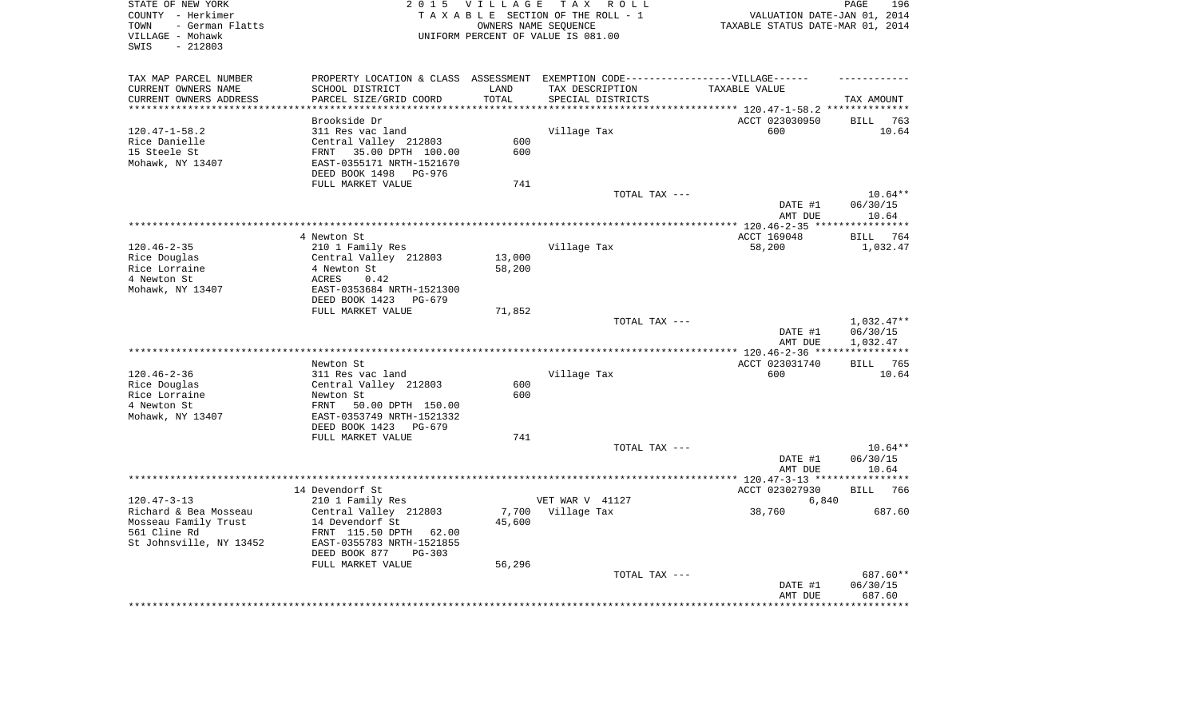| STATE OF NEW YORK<br>COUNTY - Herkimer                           | 2015 VILLAGE TAX ROLL                                                                          | TAXABLE SECTION OF THE ROLL - 1 |                                                                                                   | 196<br>PAGE<br>VALUATION DATE-JAN 01, 2014 |  |  |  |
|------------------------------------------------------------------|------------------------------------------------------------------------------------------------|---------------------------------|---------------------------------------------------------------------------------------------------|--------------------------------------------|--|--|--|
| TOWN<br>- German Flatts<br>VILLAGE - Mohawk<br>SWIS<br>$-212803$ | OWNERS NAME SEQUENCE<br>TAXABLE STATUS DATE-MAR 01, 2014<br>UNIFORM PERCENT OF VALUE IS 081.00 |                                 |                                                                                                   |                                            |  |  |  |
|                                                                  |                                                                                                |                                 |                                                                                                   |                                            |  |  |  |
| TAX MAP PARCEL NUMBER<br>CURRENT OWNERS NAME<br>SCHOOL DISTRICT  | LAND                                                                                           | TAX DESCRIPTION                 | PROPERTY LOCATION & CLASS ASSESSMENT EXEMPTION CODE----------------VILLAGE------<br>TAXABLE VALUE |                                            |  |  |  |
| CURRENT OWNERS ADDRESS<br>PARCEL SIZE/GRID COORD                 | TOTAL                                                                                          | SPECIAL DISTRICTS               |                                                                                                   | TAX AMOUNT                                 |  |  |  |
| ***********************                                          |                                                                                                |                                 |                                                                                                   |                                            |  |  |  |
| Brookside Dr                                                     |                                                                                                |                                 | ACCT 023030950                                                                                    | BILL 763                                   |  |  |  |
| $120.47 - 1 - 58.2$<br>311 Res vac land                          |                                                                                                | Village Tax                     | 600                                                                                               | 10.64                                      |  |  |  |
| Rice Danielle<br>Central Valley 212803                           | 600                                                                                            |                                 |                                                                                                   |                                            |  |  |  |
| 15 Steele St<br>FRNT 35.00 DPTH 100.00                           | 600                                                                                            |                                 |                                                                                                   |                                            |  |  |  |
| Mohawk, NY 13407<br>EAST-0355171 NRTH-1521670                    |                                                                                                |                                 |                                                                                                   |                                            |  |  |  |
| DEED BOOK 1498                                                   | PG-976                                                                                         |                                 |                                                                                                   |                                            |  |  |  |
| FULL MARKET VALUE                                                | 741                                                                                            |                                 |                                                                                                   |                                            |  |  |  |
|                                                                  |                                                                                                | TOTAL TAX ---                   |                                                                                                   | $10.64**$                                  |  |  |  |
|                                                                  |                                                                                                |                                 | DATE #1                                                                                           | 06/30/15                                   |  |  |  |
| ******************                                               |                                                                                                |                                 | AMT DUE                                                                                           | 10.64                                      |  |  |  |
| 4 Newton St                                                      |                                                                                                |                                 | ACCT 169048                                                                                       | 764<br>BILL                                |  |  |  |
| $120.46 - 2 - 35$<br>210 1 Family Res                            |                                                                                                | Village Tax                     | 58,200                                                                                            | 1,032.47                                   |  |  |  |
| Rice Douglas<br>Central Valley 212803                            | 13,000                                                                                         |                                 |                                                                                                   |                                            |  |  |  |
| Rice Lorraine<br>4 Newton St                                     | 58,200                                                                                         |                                 |                                                                                                   |                                            |  |  |  |
| 4 Newton St<br>0.42<br>ACRES                                     |                                                                                                |                                 |                                                                                                   |                                            |  |  |  |
| Mohawk, NY 13407<br>EAST-0353684 NRTH-1521300                    |                                                                                                |                                 |                                                                                                   |                                            |  |  |  |
| DEED BOOK 1423                                                   | PG-679                                                                                         |                                 |                                                                                                   |                                            |  |  |  |
| FULL MARKET VALUE                                                | 71,852                                                                                         |                                 |                                                                                                   |                                            |  |  |  |
|                                                                  |                                                                                                | TOTAL TAX ---                   |                                                                                                   | $1,032.47**$                               |  |  |  |
|                                                                  |                                                                                                |                                 | DATE #1<br>AMT DUE                                                                                | 06/30/15                                   |  |  |  |
|                                                                  |                                                                                                |                                 |                                                                                                   | 1,032.47                                   |  |  |  |
| Newton St                                                        |                                                                                                |                                 | ACCT 023031740                                                                                    | BILL 765                                   |  |  |  |
| $120.46 - 2 - 36$<br>311 Res vac land                            |                                                                                                | Village Tax                     | 600                                                                                               | 10.64                                      |  |  |  |
| Rice Douglas<br>Central Valley 212803                            | 600                                                                                            |                                 |                                                                                                   |                                            |  |  |  |
| Rice Lorraine<br>Newton St                                       | 600                                                                                            |                                 |                                                                                                   |                                            |  |  |  |
| 4 Newton St<br>FRNT 50.00 DPTH 150.00                            |                                                                                                |                                 |                                                                                                   |                                            |  |  |  |
| Mohawk, NY 13407<br>EAST-0353749 NRTH-1521332                    |                                                                                                |                                 |                                                                                                   |                                            |  |  |  |
| DEED BOOK 1423                                                   | PG-679                                                                                         |                                 |                                                                                                   |                                            |  |  |  |
| FULL MARKET VALUE                                                | 741                                                                                            |                                 |                                                                                                   |                                            |  |  |  |
|                                                                  |                                                                                                | TOTAL TAX ---                   |                                                                                                   | $10.64**$                                  |  |  |  |
|                                                                  |                                                                                                |                                 | DATE #1                                                                                           | 06/30/15<br>10.64                          |  |  |  |
|                                                                  |                                                                                                |                                 | AMT DUE                                                                                           | * * * * * * * *                            |  |  |  |
| 14 Devendorf St                                                  |                                                                                                |                                 | ACCT 023027930                                                                                    | <b>BILL</b><br>766                         |  |  |  |
| $120.47 - 3 - 13$<br>210 1 Family Res                            |                                                                                                | VET WAR V 41127                 | 6,840                                                                                             |                                            |  |  |  |
| Richard & Bea Mosseau<br>Central Valley 212803                   | 7,700                                                                                          | Village Tax                     | 38,760                                                                                            | 687.60                                     |  |  |  |
| Mosseau Family Trust<br>14 Devendorf St                          | 45,600                                                                                         |                                 |                                                                                                   |                                            |  |  |  |
| 561 Cline Rd<br>FRNT 115.50 DPTH 62.00                           |                                                                                                |                                 |                                                                                                   |                                            |  |  |  |
| St Johnsville, NY 13452<br>EAST-0355783 NRTH-1521855             |                                                                                                |                                 |                                                                                                   |                                            |  |  |  |
| DEED BOOK 877                                                    |                                                                                                |                                 |                                                                                                   |                                            |  |  |  |
|                                                                  | PG-303                                                                                         |                                 |                                                                                                   |                                            |  |  |  |
| FULL MARKET VALUE                                                | 56,296                                                                                         |                                 |                                                                                                   |                                            |  |  |  |
|                                                                  |                                                                                                | TOTAL TAX ---                   |                                                                                                   | 687.60**                                   |  |  |  |
|                                                                  |                                                                                                |                                 | DATE #1<br>AMT DUE                                                                                | 06/30/15<br>687.60                         |  |  |  |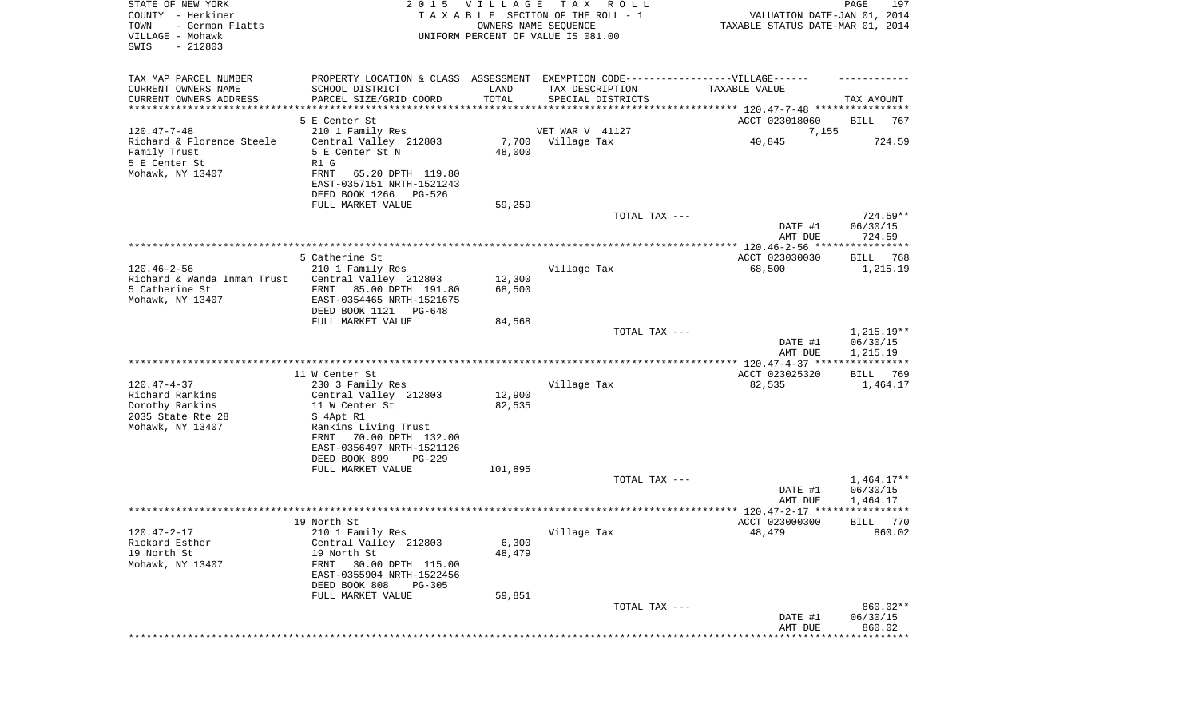| STATE OF NEW YORK<br>COUNTY - Herkimer<br>TOWN<br>- German Flatts<br>VILLAGE - Mohawk<br>SWIS<br>$-212803$ | 2 0 1 5                                                                           | <b>VILLAGE</b> | T A X<br>R O L L<br>TAXABLE SECTION OF THE ROLL - 1<br>OWNERS NAME SEQUENCE<br>UNIFORM PERCENT OF VALUE IS 081.00 | VALUATION DATE-JAN 01, 2014<br>TAXABLE STATUS DATE-MAR 01, 2014 | PAGE<br>197             |
|------------------------------------------------------------------------------------------------------------|-----------------------------------------------------------------------------------|----------------|-------------------------------------------------------------------------------------------------------------------|-----------------------------------------------------------------|-------------------------|
| TAX MAP PARCEL NUMBER                                                                                      | PROPERTY LOCATION & CLASS ASSESSMENT EXEMPTION CODE-----------------VILLAGE------ |                |                                                                                                                   |                                                                 |                         |
| CURRENT OWNERS NAME                                                                                        | SCHOOL DISTRICT                                                                   | LAND           | TAX DESCRIPTION                                                                                                   | TAXABLE VALUE                                                   |                         |
| CURRENT OWNERS ADDRESS<br>*********************                                                            | PARCEL SIZE/GRID COORD                                                            | TOTAL          | SPECIAL DISTRICTS                                                                                                 |                                                                 | TAX AMOUNT              |
|                                                                                                            | 5 E Center St                                                                     |                |                                                                                                                   | ACCT 023018060                                                  | BILL<br>767             |
| $120.47 - 7 - 48$                                                                                          | 210 1 Family Res                                                                  |                | VET WAR V 41127                                                                                                   | 7,155                                                           |                         |
| Richard & Florence Steele                                                                                  | Central Valley 212803                                                             |                | 7,700 Village Tax                                                                                                 | 40,845                                                          | 724.59                  |
| Family Trust                                                                                               | 5 E Center St N                                                                   | 48,000         |                                                                                                                   |                                                                 |                         |
| 5 E Center St                                                                                              | R1 G                                                                              |                |                                                                                                                   |                                                                 |                         |
| Mohawk, NY 13407                                                                                           | 65.20 DPTH 119.80<br>FRNT                                                         |                |                                                                                                                   |                                                                 |                         |
|                                                                                                            | EAST-0357151 NRTH-1521243<br>DEED BOOK 1266<br>PG-526                             |                |                                                                                                                   |                                                                 |                         |
|                                                                                                            | FULL MARKET VALUE                                                                 | 59,259         |                                                                                                                   |                                                                 |                         |
|                                                                                                            |                                                                                   |                | TOTAL TAX ---                                                                                                     |                                                                 | $724.59**$              |
|                                                                                                            |                                                                                   |                |                                                                                                                   | DATE #1                                                         | 06/30/15                |
|                                                                                                            |                                                                                   |                |                                                                                                                   | AMT DUE                                                         | 724.59                  |
|                                                                                                            | 5 Catherine St                                                                    |                |                                                                                                                   | ACCT 023030030                                                  | BILL<br>768             |
| $120.46 - 2 - 56$                                                                                          | 210 1 Family Res                                                                  |                | Village Tax                                                                                                       | 68,500                                                          | 1,215.19                |
| Richard & Wanda Inman Trust                                                                                | Central Valley 212803                                                             | 12,300         |                                                                                                                   |                                                                 |                         |
| 5 Catherine St                                                                                             | 85.00 DPTH 191.80<br>FRNT                                                         | 68,500         |                                                                                                                   |                                                                 |                         |
| Mohawk, NY 13407                                                                                           | EAST-0354465 NRTH-1521675                                                         |                |                                                                                                                   |                                                                 |                         |
|                                                                                                            | DEED BOOK 1121 PG-648<br>FULL MARKET VALUE                                        | 84,568         |                                                                                                                   |                                                                 |                         |
|                                                                                                            |                                                                                   |                | TOTAL TAX ---                                                                                                     |                                                                 | $1,215.19**$            |
|                                                                                                            |                                                                                   |                |                                                                                                                   | DATE #1                                                         | 06/30/15                |
|                                                                                                            |                                                                                   |                |                                                                                                                   | AMT DUE                                                         | 1,215.19                |
|                                                                                                            |                                                                                   |                |                                                                                                                   |                                                                 |                         |
| $120.47 - 4 - 37$                                                                                          | 11 W Center St<br>230 3 Family Res                                                |                | Village Tax                                                                                                       | ACCT 023025320<br>82,535                                        | BILL<br>769<br>1,464.17 |
| Richard Rankins                                                                                            | Central Valley 212803                                                             | 12,900         |                                                                                                                   |                                                                 |                         |
| Dorothy Rankins                                                                                            | 11 W Center St                                                                    | 82,535         |                                                                                                                   |                                                                 |                         |
| 2035 State Rte 28                                                                                          | S 4Apt R1                                                                         |                |                                                                                                                   |                                                                 |                         |
| Mohawk, NY 13407                                                                                           | Rankins Living Trust                                                              |                |                                                                                                                   |                                                                 |                         |
|                                                                                                            | FRNT<br>70.00 DPTH 132.00<br>EAST-0356497 NRTH-1521126                            |                |                                                                                                                   |                                                                 |                         |
|                                                                                                            | DEED BOOK 899<br>PG-229                                                           |                |                                                                                                                   |                                                                 |                         |
|                                                                                                            | FULL MARKET VALUE                                                                 | 101,895        |                                                                                                                   |                                                                 |                         |
|                                                                                                            |                                                                                   |                | TOTAL TAX ---                                                                                                     |                                                                 | $1,464.17**$            |
|                                                                                                            |                                                                                   |                |                                                                                                                   | DATE #1                                                         | 06/30/15                |
|                                                                                                            |                                                                                   |                |                                                                                                                   | AMT DUE                                                         | 1,464.17                |
|                                                                                                            | 19 North St                                                                       |                |                                                                                                                   | ACCT 023000300                                                  | 770<br>BILL             |
| $120.47 - 2 - 17$                                                                                          | 210 1 Family Res                                                                  |                | Village Tax                                                                                                       | 48,479                                                          | 860.02                  |
| Rickard Esther                                                                                             | Central Valley 212803                                                             | 6,300          |                                                                                                                   |                                                                 |                         |
| 19 North St                                                                                                | 19 North St                                                                       | 48,479         |                                                                                                                   |                                                                 |                         |
| Mohawk, NY 13407                                                                                           | FRNT<br>30.00 DPTH 115.00                                                         |                |                                                                                                                   |                                                                 |                         |
|                                                                                                            | EAST-0355904 NRTH-1522456<br>DEED BOOK 808<br>$PG-305$                            |                |                                                                                                                   |                                                                 |                         |
|                                                                                                            | FULL MARKET VALUE                                                                 | 59,851         |                                                                                                                   |                                                                 |                         |
|                                                                                                            |                                                                                   |                | TOTAL TAX ---                                                                                                     |                                                                 | 860.02**                |
|                                                                                                            |                                                                                   |                |                                                                                                                   | DATE #1                                                         | 06/30/15                |
|                                                                                                            |                                                                                   |                |                                                                                                                   | AMT DUE                                                         | 860.02                  |
|                                                                                                            |                                                                                   |                |                                                                                                                   |                                                                 |                         |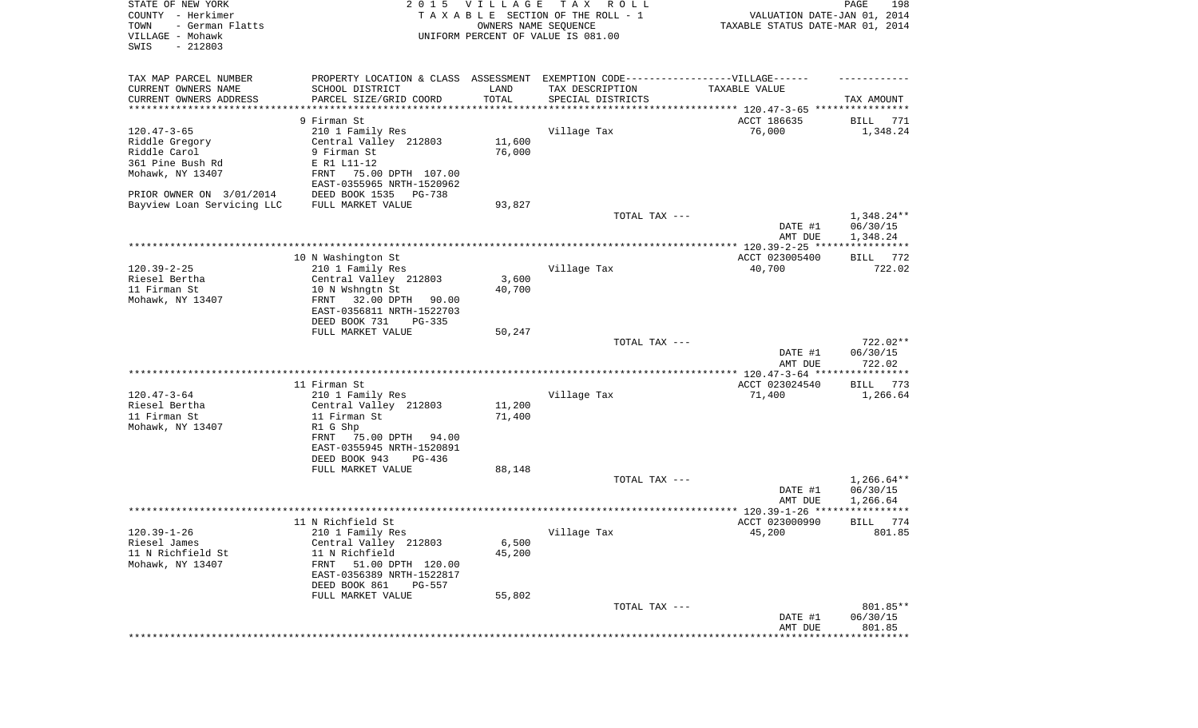| STATE OF NEW YORK<br>COUNTY - Herkimer<br>- German Flatts<br>TOWN<br>VILLAGE - Mohawk<br>SWIS<br>$-212803$ | 2 0 1 5                                                                          | VILLAGE<br>OWNERS NAME SEQUENCE | TAX ROLL<br>TAXABLE SECTION OF THE ROLL - 1<br>UNIFORM PERCENT OF VALUE IS 081.00        | VALUATION DATE-JAN 01, 2014<br>TAXABLE STATUS DATE-MAR 01, 2014 | PAGE<br>198             |
|------------------------------------------------------------------------------------------------------------|----------------------------------------------------------------------------------|---------------------------------|------------------------------------------------------------------------------------------|-----------------------------------------------------------------|-------------------------|
| TAX MAP PARCEL NUMBER                                                                                      | PROPERTY LOCATION & CLASS ASSESSMENT EXEMPTION CODE----------------VILLAGE------ |                                 |                                                                                          |                                                                 |                         |
| CURRENT OWNERS NAME                                                                                        | SCHOOL DISTRICT                                                                  | LAND                            | TAX DESCRIPTION                                                                          | TAXABLE VALUE                                                   |                         |
| CURRENT OWNERS ADDRESS<br>********************                                                             | PARCEL SIZE/GRID COORD                                                           | TOTAL<br>**********             | SPECIAL DISTRICTS<br>************************************* 120.47-3-65 ***************** |                                                                 | TAX AMOUNT              |
|                                                                                                            | 9 Firman St                                                                      |                                 |                                                                                          | ACCT 186635                                                     | BILL<br>771             |
| $120.47 - 3 - 65$                                                                                          | 210 1 Family Res                                                                 |                                 | Village Tax                                                                              | 76,000                                                          | 1,348.24                |
| Riddle Gregory                                                                                             | Central Valley 212803                                                            | 11,600                          |                                                                                          |                                                                 |                         |
| Riddle Carol                                                                                               | 9 Firman St                                                                      | 76,000                          |                                                                                          |                                                                 |                         |
| 361 Pine Bush Rd                                                                                           | E R1 L11-12                                                                      |                                 |                                                                                          |                                                                 |                         |
| Mohawk, NY 13407                                                                                           | 75.00 DPTH 107.00<br>FRNT                                                        |                                 |                                                                                          |                                                                 |                         |
|                                                                                                            | EAST-0355965 NRTH-1520962                                                        |                                 |                                                                                          |                                                                 |                         |
| PRIOR OWNER ON 3/01/2014                                                                                   | DEED BOOK 1535<br>PG-738                                                         |                                 |                                                                                          |                                                                 |                         |
| Bayview Loan Servicing LLC                                                                                 | FULL MARKET VALUE                                                                | 93,827                          | TOTAL TAX ---                                                                            |                                                                 | 1,348.24**              |
|                                                                                                            |                                                                                  |                                 |                                                                                          | DATE #1<br>AMT DUE                                              | 06/30/15<br>1,348.24    |
|                                                                                                            |                                                                                  |                                 |                                                                                          |                                                                 |                         |
|                                                                                                            | 10 N Washington St                                                               |                                 |                                                                                          | ACCT 023005400                                                  | BILL 772                |
| $120.39 - 2 - 25$                                                                                          | 210 1 Family Res                                                                 |                                 | Village Tax                                                                              | 40,700                                                          | 722.02                  |
| Riesel Bertha                                                                                              | Central Valley 212803                                                            | 3,600                           |                                                                                          |                                                                 |                         |
| 11 Firman St                                                                                               | 10 N Wshngtn St                                                                  | 40,700                          |                                                                                          |                                                                 |                         |
| Mohawk, NY 13407                                                                                           | 32.00 DPTH<br>FRNT<br>90.00<br>EAST-0356811 NRTH-1522703                         |                                 |                                                                                          |                                                                 |                         |
|                                                                                                            | DEED BOOK 731<br>$PG-335$                                                        |                                 |                                                                                          |                                                                 |                         |
|                                                                                                            | FULL MARKET VALUE                                                                | 50,247                          |                                                                                          |                                                                 |                         |
|                                                                                                            |                                                                                  |                                 | TOTAL TAX ---                                                                            |                                                                 | 722.02**                |
|                                                                                                            |                                                                                  |                                 |                                                                                          | DATE #1<br>AMT DUE                                              | 06/30/15<br>722.02      |
|                                                                                                            |                                                                                  |                                 |                                                                                          | ************ 120.47-3-64 *****                                  | * * * * * * * * * * *   |
|                                                                                                            | 11 Firman St                                                                     |                                 |                                                                                          | ACCT 023024540                                                  | <b>BILL</b><br>773      |
| $120.47 - 3 - 64$<br>Riesel Bertha                                                                         | 210 1 Family Res<br>Central Valley 212803                                        | 11,200                          | Village Tax                                                                              | 71,400                                                          | 1,266.64                |
| 11 Firman St                                                                                               | 11 Firman St                                                                     | 71,400                          |                                                                                          |                                                                 |                         |
| Mohawk, NY 13407                                                                                           | R1 G Shp                                                                         |                                 |                                                                                          |                                                                 |                         |
|                                                                                                            | FRNT<br>75.00 DPTH<br>94.00                                                      |                                 |                                                                                          |                                                                 |                         |
|                                                                                                            | EAST-0355945 NRTH-1520891                                                        |                                 |                                                                                          |                                                                 |                         |
|                                                                                                            | DEED BOOK 943<br>PG-436                                                          |                                 |                                                                                          |                                                                 |                         |
|                                                                                                            | FULL MARKET VALUE                                                                | 88,148                          |                                                                                          |                                                                 |                         |
|                                                                                                            |                                                                                  |                                 | TOTAL TAX ---                                                                            |                                                                 | $1,266.64**$            |
|                                                                                                            |                                                                                  |                                 |                                                                                          | DATE #1                                                         | 06/30/15                |
|                                                                                                            |                                                                                  |                                 |                                                                                          | AMT DUE                                                         | 1,266.64<br>* * * * * * |
|                                                                                                            | 11 N Richfield St                                                                |                                 |                                                                                          | ACCT 023000990                                                  | 774<br>BILL             |
| $120.39 - 1 - 26$                                                                                          | 210 1 Family Res                                                                 |                                 | Village Tax                                                                              | 45,200                                                          | 801.85                  |
| Riesel James                                                                                               | Central Valley 212803                                                            | 6,500                           |                                                                                          |                                                                 |                         |
| 11 N Richfield St                                                                                          | 11 N Richfield                                                                   | 45,200                          |                                                                                          |                                                                 |                         |
| Mohawk, NY 13407                                                                                           | 51.00 DPTH 120.00<br>FRNT                                                        |                                 |                                                                                          |                                                                 |                         |
|                                                                                                            | EAST-0356389 NRTH-1522817                                                        |                                 |                                                                                          |                                                                 |                         |
|                                                                                                            | DEED BOOK 861<br>PG-557                                                          |                                 |                                                                                          |                                                                 |                         |
|                                                                                                            | FULL MARKET VALUE                                                                | 55,802                          |                                                                                          |                                                                 |                         |
|                                                                                                            |                                                                                  |                                 | TOTAL TAX ---                                                                            |                                                                 | 801.85**                |
|                                                                                                            |                                                                                  |                                 |                                                                                          | DATE #1<br>AMT DUE                                              | 06/30/15<br>801.85      |
|                                                                                                            |                                                                                  |                                 |                                                                                          |                                                                 | * * * * * * * * * * *   |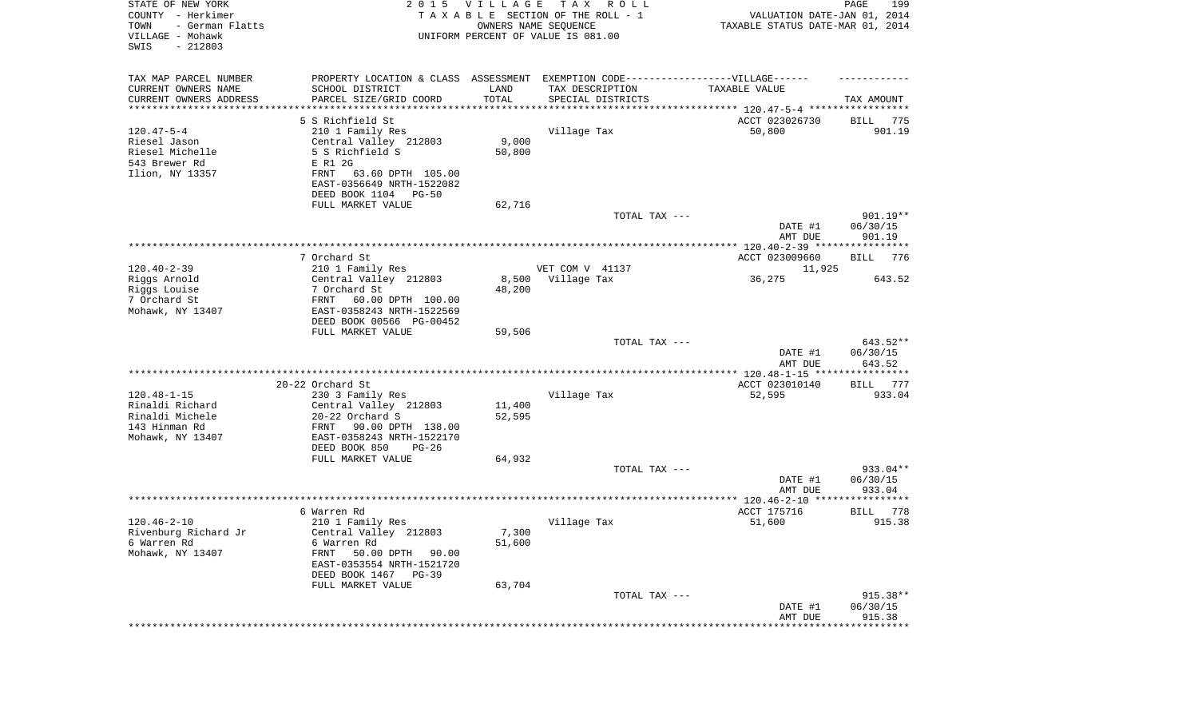| STATE OF NEW YORK<br>COUNTY - Herkimer<br>TOWN<br>- German Flatts<br>VILLAGE - Mohawk<br>SWIS<br>$-212803$ | 2 0 1 5                                                | VILLAGE             | T A X<br>R O L L<br>TAXABLE SECTION OF THE ROLL - 1<br>OWNERS NAME SEQUENCE<br>UNIFORM PERCENT OF VALUE IS 081.00 | VALUATION DATE-JAN 01, 2014<br>TAXABLE STATUS DATE-MAR 01, 2014 | 199<br>PAGE          |
|------------------------------------------------------------------------------------------------------------|--------------------------------------------------------|---------------------|-------------------------------------------------------------------------------------------------------------------|-----------------------------------------------------------------|----------------------|
| TAX MAP PARCEL NUMBER                                                                                      | PROPERTY LOCATION & CLASS ASSESSMENT                   |                     | EXEMPTION CODE------------------VILLAGE------                                                                     |                                                                 |                      |
| CURRENT OWNERS NAME                                                                                        | SCHOOL DISTRICT                                        | LAND                | TAX DESCRIPTION                                                                                                   | TAXABLE VALUE                                                   |                      |
| CURRENT OWNERS ADDRESS<br>*********************                                                            | PARCEL SIZE/GRID COORD                                 | TOTAL<br>********** | SPECIAL DISTRICTS                                                                                                 | ********************************** 120.47-5-4 ***************** | TAX AMOUNT           |
|                                                                                                            | 5 S Richfield St                                       |                     |                                                                                                                   | ACCT 023026730                                                  | BILL<br>775          |
| $120.47 - 5 - 4$                                                                                           | 210 1 Family Res                                       |                     | Village Tax                                                                                                       | 50,800                                                          | 901.19               |
| Riesel Jason                                                                                               | Central Valley 212803                                  | 9,000               |                                                                                                                   |                                                                 |                      |
| Riesel Michelle                                                                                            | 5 S Richfield S                                        | 50,800              |                                                                                                                   |                                                                 |                      |
| 543 Brewer Rd                                                                                              | E R1 2G<br>FRNT                                        |                     |                                                                                                                   |                                                                 |                      |
| Ilion, NY 13357                                                                                            | 63.60 DPTH 105.00<br>EAST-0356649 NRTH-1522082         |                     |                                                                                                                   |                                                                 |                      |
|                                                                                                            | DEED BOOK 1104 PG-50                                   |                     |                                                                                                                   |                                                                 |                      |
|                                                                                                            | FULL MARKET VALUE                                      | 62,716              |                                                                                                                   |                                                                 |                      |
|                                                                                                            |                                                        |                     | TOTAL TAX ---                                                                                                     |                                                                 | $901.19**$           |
|                                                                                                            |                                                        |                     |                                                                                                                   | DATE #1<br>AMT DUE                                              | 06/30/15<br>901.19   |
|                                                                                                            | 7 Orchard St                                           |                     |                                                                                                                   | ACCT 023009660                                                  | BILL<br>776          |
| $120.40 - 2 - 39$                                                                                          | 210 1 Family Res                                       |                     | VET COM V 41137                                                                                                   | 11,925                                                          |                      |
| Riggs Arnold                                                                                               | Central Valley 212803                                  | 8,500               | Village Tax                                                                                                       | 36,275                                                          | 643.52               |
| Riggs Louise                                                                                               | 7 Orchard St                                           | 48,200              |                                                                                                                   |                                                                 |                      |
| 7 Orchard St<br>Mohawk, NY 13407                                                                           | FRNT<br>60.00 DPTH 100.00<br>EAST-0358243 NRTH-1522569 |                     |                                                                                                                   |                                                                 |                      |
|                                                                                                            | DEED BOOK 00566 PG-00452                               |                     |                                                                                                                   |                                                                 |                      |
|                                                                                                            | FULL MARKET VALUE                                      | 59,506              |                                                                                                                   |                                                                 |                      |
|                                                                                                            |                                                        |                     | TOTAL TAX ---                                                                                                     | DATE #1                                                         | 643.52**<br>06/30/15 |
|                                                                                                            |                                                        |                     |                                                                                                                   | AMT DUE<br>*************** 120.48-1-15 *****************        | 643.52               |
|                                                                                                            | 20-22 Orchard St                                       |                     |                                                                                                                   | ACCT 023010140                                                  | 777<br>BILL          |
| $120.48 - 1 - 15$                                                                                          | 230 3 Family Res                                       |                     | Village Tax                                                                                                       | 52,595                                                          | 933.04               |
| Rinaldi Richard                                                                                            | Central Valley 212803                                  | 11,400              |                                                                                                                   |                                                                 |                      |
| Rinaldi Michele                                                                                            | 20-22 Orchard S                                        | 52,595              |                                                                                                                   |                                                                 |                      |
| 143 Hinman Rd<br>Mohawk, NY 13407                                                                          | FRNT<br>90.00 DPTH 138.00<br>EAST-0358243 NRTH-1522170 |                     |                                                                                                                   |                                                                 |                      |
|                                                                                                            | DEED BOOK 850<br>PG-26                                 |                     |                                                                                                                   |                                                                 |                      |
|                                                                                                            | FULL MARKET VALUE                                      | 64,932              |                                                                                                                   |                                                                 |                      |
|                                                                                                            |                                                        |                     | TOTAL TAX ---                                                                                                     |                                                                 | 933.04**             |
|                                                                                                            |                                                        |                     |                                                                                                                   | DATE #1                                                         | 06/30/15             |
|                                                                                                            |                                                        |                     |                                                                                                                   | AMT DUE                                                         | 933.04               |
|                                                                                                            | 6 Warren Rd                                            |                     |                                                                                                                   | ACCT 175716                                                     | 778<br>BILL          |
| $120.46 - 2 - 10$                                                                                          | 210 1 Family Res                                       |                     | Village Tax                                                                                                       | 51,600                                                          | 915.38               |
| Rivenburg Richard Jr                                                                                       | Central Valley 212803                                  | 7,300               |                                                                                                                   |                                                                 |                      |
| 6 Warren Rd<br>Mohawk, NY 13407                                                                            | 6 Warren Rd<br>FRNT                                    | 51,600              |                                                                                                                   |                                                                 |                      |
|                                                                                                            | 50.00 DPTH 90.00<br>EAST-0353554 NRTH-1521720          |                     |                                                                                                                   |                                                                 |                      |
|                                                                                                            | DEED BOOK 1467 PG-39                                   |                     |                                                                                                                   |                                                                 |                      |
|                                                                                                            | FULL MARKET VALUE                                      | 63,704              |                                                                                                                   |                                                                 |                      |
|                                                                                                            |                                                        |                     | TOTAL TAX ---                                                                                                     |                                                                 | $915.38**$           |
|                                                                                                            |                                                        |                     |                                                                                                                   | DATE #1<br>AMT DUE                                              | 06/30/15<br>915.38   |
|                                                                                                            |                                                        |                     |                                                                                                                   | *******************                                             | **************       |
|                                                                                                            |                                                        |                     |                                                                                                                   |                                                                 |                      |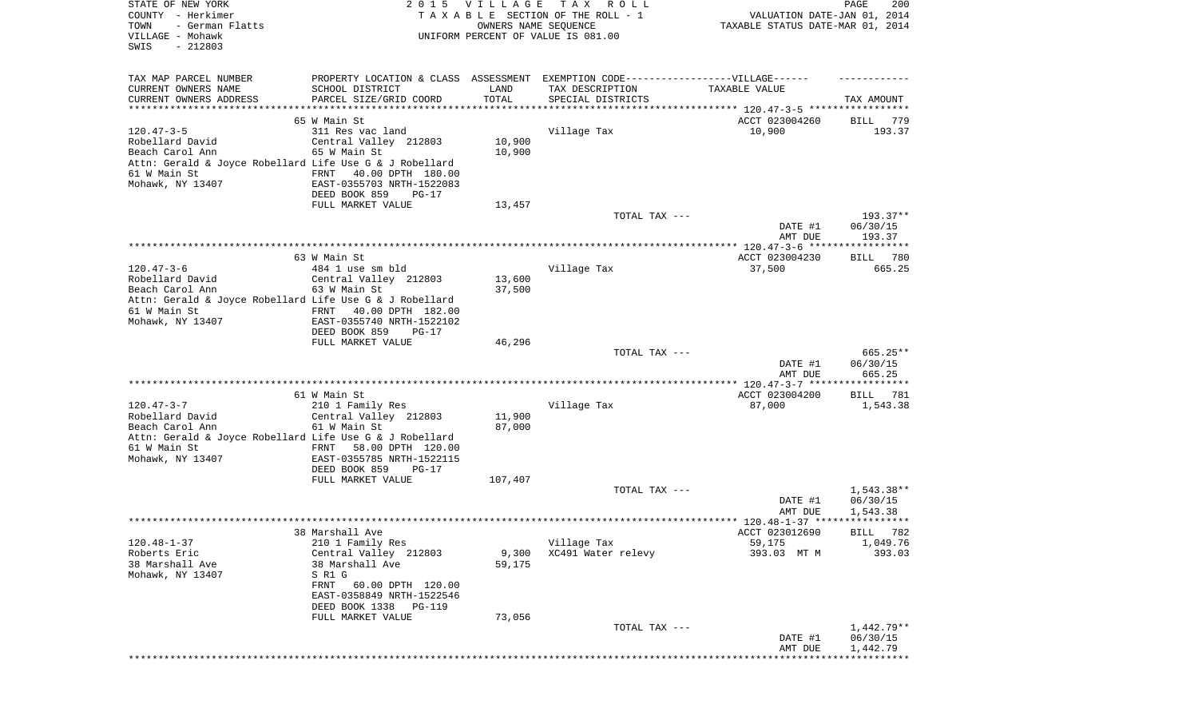| STATE OF NEW YORK<br>COUNTY - Herkimer<br>- German Flatts<br>TOWN<br>VILLAGE - Mohawk<br>SWIS<br>$-212803$ | 2 0 1 5                                                | <b>VILLAGE</b><br>OWNERS NAME SEQUENCE | T A X<br>R O L L<br>TAXABLE SECTION OF THE ROLL - 1<br>UNIFORM PERCENT OF VALUE IS 081.00 | VALUATION DATE-JAN 01, 2014<br>TAXABLE STATUS DATE-MAR 01, 2014 | 200<br>PAGE           |
|------------------------------------------------------------------------------------------------------------|--------------------------------------------------------|----------------------------------------|-------------------------------------------------------------------------------------------|-----------------------------------------------------------------|-----------------------|
| TAX MAP PARCEL NUMBER                                                                                      |                                                        |                                        | PROPERTY LOCATION & CLASS ASSESSMENT EXEMPTION CODE----------------VILLAGE------          |                                                                 |                       |
| CURRENT OWNERS NAME                                                                                        | SCHOOL DISTRICT                                        | LAND                                   | TAX DESCRIPTION                                                                           | TAXABLE VALUE                                                   |                       |
| CURRENT OWNERS ADDRESS<br>**************************                                                       | PARCEL SIZE/GRID COORD                                 | TOTAL                                  | SPECIAL DISTRICTS                                                                         |                                                                 | TAX AMOUNT            |
|                                                                                                            | 65 W Main St                                           |                                        |                                                                                           | ACCT 023004260                                                  | 779<br>BILL           |
| $120.47 - 3 - 5$                                                                                           | 311 Res vac land                                       |                                        | Village Tax                                                                               | 10,900                                                          | 193.37                |
| Robellard David                                                                                            | Central Valley 212803                                  | 10,900                                 |                                                                                           |                                                                 |                       |
| Beach Carol Ann                                                                                            | 65 W Main St                                           | 10,900                                 |                                                                                           |                                                                 |                       |
| Attn: Gerald & Joyce Robellard Life Use G & J Robellard                                                    |                                                        |                                        |                                                                                           |                                                                 |                       |
| 61 W Main St<br>Mohawk, NY 13407                                                                           | 40.00 DPTH 180.00<br>FRNT<br>EAST-0355703 NRTH-1522083 |                                        |                                                                                           |                                                                 |                       |
|                                                                                                            | DEED BOOK 859<br>$PG-17$                               |                                        |                                                                                           |                                                                 |                       |
|                                                                                                            | FULL MARKET VALUE                                      | 13,457                                 |                                                                                           |                                                                 |                       |
|                                                                                                            |                                                        |                                        | TOTAL TAX ---                                                                             |                                                                 | $193.37**$            |
|                                                                                                            |                                                        |                                        |                                                                                           | DATE #1                                                         | 06/30/15              |
|                                                                                                            |                                                        |                                        |                                                                                           | AMT DUE                                                         | 193.37                |
|                                                                                                            | 63 W Main St                                           |                                        |                                                                                           | ACCT 023004230                                                  | BILL 780              |
| $120.47 - 3 - 6$                                                                                           | 484 1 use sm bld                                       |                                        | Village Tax                                                                               | 37,500                                                          | 665.25                |
| Robellard David                                                                                            | Central Valley 212803                                  | 13,600                                 |                                                                                           |                                                                 |                       |
| Beach Carol Ann                                                                                            | 63 W Main St                                           | 37,500                                 |                                                                                           |                                                                 |                       |
| Attn: Gerald & Joyce Robellard Life Use G & J Robellard                                                    |                                                        |                                        |                                                                                           |                                                                 |                       |
| 61 W Main St<br>Mohawk, NY 13407                                                                           | 40.00 DPTH 182.00<br>FRNT<br>EAST-0355740 NRTH-1522102 |                                        |                                                                                           |                                                                 |                       |
|                                                                                                            | DEED BOOK 859<br>$PG-17$                               |                                        |                                                                                           |                                                                 |                       |
|                                                                                                            | FULL MARKET VALUE                                      | 46,296                                 |                                                                                           |                                                                 |                       |
|                                                                                                            |                                                        |                                        | TOTAL TAX ---                                                                             |                                                                 | $665.25**$            |
|                                                                                                            |                                                        |                                        |                                                                                           | DATE #1                                                         | 06/30/15              |
|                                                                                                            |                                                        |                                        |                                                                                           | AMT DUE                                                         | 665.25                |
|                                                                                                            | 61 W Main St                                           |                                        |                                                                                           | ACCT 023004200                                                  | BILL 781              |
| $120.47 - 3 - 7$                                                                                           | 210 1 Family Res                                       |                                        | Village Tax                                                                               | 87,000                                                          | 1,543.38              |
| Robellard David                                                                                            | Central Valley 212803                                  | 11,900                                 |                                                                                           |                                                                 |                       |
| Beach Carol Ann                                                                                            | 61 W Main St                                           | 87,000                                 |                                                                                           |                                                                 |                       |
| Attn: Gerald & Joyce Robellard Life Use G & J Robellard<br>61 W Main St                                    | 58.00 DPTH 120.00<br>FRNT                              |                                        |                                                                                           |                                                                 |                       |
| Mohawk, NY 13407                                                                                           | EAST-0355785 NRTH-1522115                              |                                        |                                                                                           |                                                                 |                       |
|                                                                                                            | DEED BOOK 859<br>PG-17                                 |                                        |                                                                                           |                                                                 |                       |
|                                                                                                            | FULL MARKET VALUE                                      | 107,407                                |                                                                                           |                                                                 |                       |
|                                                                                                            |                                                        |                                        | TOTAL TAX ---                                                                             |                                                                 | 1,543.38**            |
|                                                                                                            |                                                        |                                        |                                                                                           | DATE #1<br>AMT DUE                                              | 06/30/15<br>1,543.38  |
|                                                                                                            |                                                        |                                        |                                                                                           |                                                                 |                       |
|                                                                                                            | 38 Marshall Ave                                        |                                        |                                                                                           | ACCT 023012690                                                  | BILL 782              |
| $120.48 - 1 - 37$                                                                                          | 210 1 Family Res                                       |                                        | Village Tax                                                                               | 59,175                                                          | 1,049.76              |
| Roberts Eric                                                                                               | Central Valley 212803                                  | 9,300                                  | XC491 Water relevy                                                                        | 393.03 MT M                                                     | 393.03                |
| 38 Marshall Ave<br>Mohawk, NY 13407                                                                        | 38 Marshall Ave<br>S R1 G                              | 59,175                                 |                                                                                           |                                                                 |                       |
|                                                                                                            | FRNT<br>60.00 DPTH 120.00                              |                                        |                                                                                           |                                                                 |                       |
|                                                                                                            | EAST-0358849 NRTH-1522546                              |                                        |                                                                                           |                                                                 |                       |
|                                                                                                            | DEED BOOK 1338<br>PG-119                               |                                        |                                                                                           |                                                                 |                       |
|                                                                                                            | FULL MARKET VALUE                                      | 73,056                                 |                                                                                           |                                                                 |                       |
|                                                                                                            |                                                        |                                        | TOTAL TAX ---                                                                             |                                                                 | $1,442.79**$          |
|                                                                                                            |                                                        |                                        |                                                                                           | DATE #1                                                         | 06/30/15<br>1,442.79  |
|                                                                                                            |                                                        |                                        |                                                                                           | AMT DUE                                                         | * * * * * * * * * * * |
|                                                                                                            |                                                        |                                        |                                                                                           |                                                                 |                       |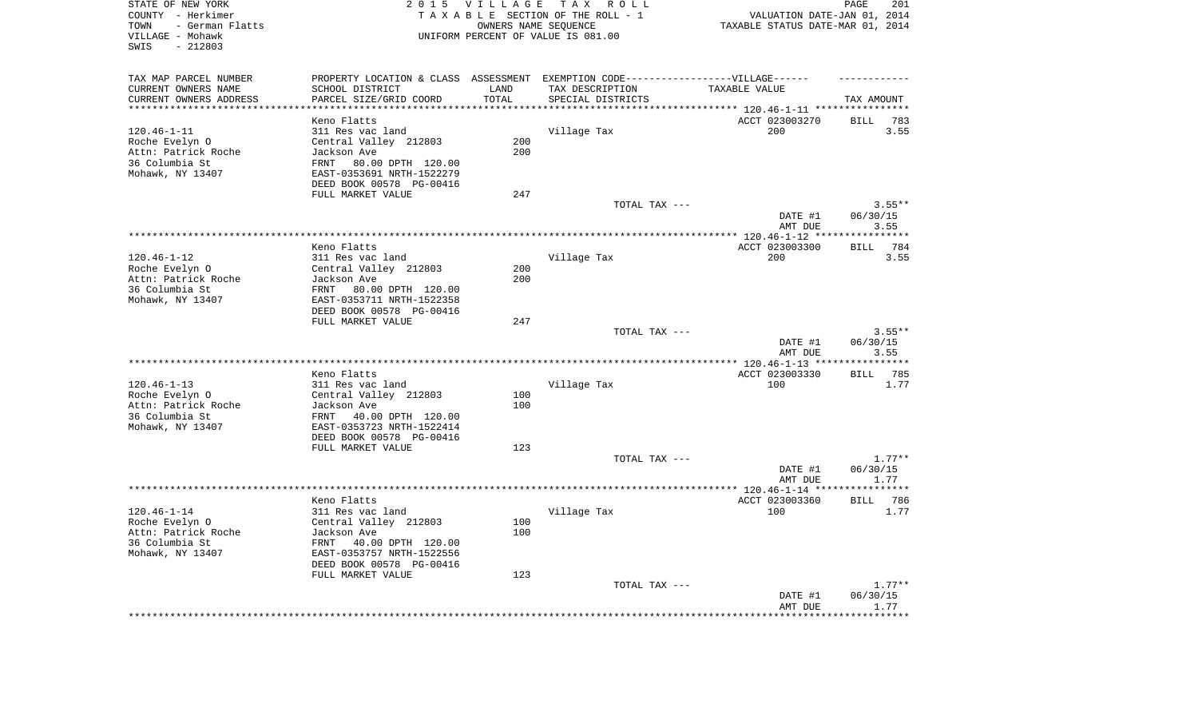| STATE OF NEW YORK<br>COUNTY - Herkimer<br>TOWN<br>- German Flatts<br>VILLAGE - Mohawk<br>$-212803$<br>SWIS | 2 0 1 5                                                                           | VILLAGE TAX        | R O L L<br>TAXABLE SECTION OF THE ROLL - 1<br>OWNERS NAME SEQUENCE<br>UNIFORM PERCENT OF VALUE IS 081.00 | VALUATION DATE-JAN 01, 2014<br>TAXABLE STATUS DATE-MAR 01, 2014 | PAGE<br>201                |
|------------------------------------------------------------------------------------------------------------|-----------------------------------------------------------------------------------|--------------------|----------------------------------------------------------------------------------------------------------|-----------------------------------------------------------------|----------------------------|
|                                                                                                            |                                                                                   |                    |                                                                                                          |                                                                 |                            |
| TAX MAP PARCEL NUMBER                                                                                      | PROPERTY LOCATION & CLASS ASSESSMENT EXEMPTION CODE-----------------VILLAGE------ |                    |                                                                                                          |                                                                 |                            |
| CURRENT OWNERS NAME                                                                                        | SCHOOL DISTRICT                                                                   | LAND               | TAX DESCRIPTION                                                                                          | TAXABLE VALUE                                                   |                            |
| CURRENT OWNERS ADDRESS<br>*********************                                                            | PARCEL SIZE/GRID COORD                                                            | TOTAL<br>********* | SPECIAL DISTRICTS                                                                                        | *********** 120.46-1-11 *****************                       | TAX AMOUNT                 |
|                                                                                                            | Keno Flatts                                                                       |                    |                                                                                                          | ACCT 023003270                                                  | <b>BILL</b><br>783         |
| $120.46 - 1 - 11$                                                                                          | 311 Res vac land                                                                  |                    | Village Tax                                                                                              | 200                                                             | 3.55                       |
| Roche Evelyn O                                                                                             | Central Valley 212803                                                             | 200                |                                                                                                          |                                                                 |                            |
| Attn: Patrick Roche                                                                                        | Jackson Ave                                                                       | 200                |                                                                                                          |                                                                 |                            |
| 36 Columbia St                                                                                             | FRNT<br>80.00 DPTH 120.00                                                         |                    |                                                                                                          |                                                                 |                            |
| Mohawk, NY 13407                                                                                           | EAST-0353691 NRTH-1522279                                                         |                    |                                                                                                          |                                                                 |                            |
|                                                                                                            | DEED BOOK 00578 PG-00416                                                          |                    |                                                                                                          |                                                                 |                            |
|                                                                                                            | FULL MARKET VALUE                                                                 | 247                |                                                                                                          |                                                                 |                            |
|                                                                                                            |                                                                                   |                    | TOTAL TAX ---                                                                                            |                                                                 | $3.55**$                   |
|                                                                                                            |                                                                                   |                    |                                                                                                          | DATE #1<br>AMT DUE                                              | 06/30/15<br>3.55           |
|                                                                                                            |                                                                                   |                    |                                                                                                          |                                                                 | **********                 |
|                                                                                                            | Keno Flatts                                                                       |                    |                                                                                                          | ACCT 023003300                                                  | 784<br><b>BILL</b>         |
| $120.46 - 1 - 12$                                                                                          | 311 Res vac land                                                                  |                    | Village Tax                                                                                              | 200                                                             | 3.55                       |
| Roche Evelyn O                                                                                             | Central Valley 212803                                                             | 200                |                                                                                                          |                                                                 |                            |
| Attn: Patrick Roche                                                                                        | Jackson Ave                                                                       | 200                |                                                                                                          |                                                                 |                            |
| 36 Columbia St                                                                                             | 80.00 DPTH 120.00<br>FRNT                                                         |                    |                                                                                                          |                                                                 |                            |
| Mohawk, NY 13407                                                                                           | EAST-0353711 NRTH-1522358                                                         |                    |                                                                                                          |                                                                 |                            |
|                                                                                                            | DEED BOOK 00578 PG-00416<br>FULL MARKET VALUE                                     | 247                |                                                                                                          |                                                                 |                            |
|                                                                                                            |                                                                                   |                    | TOTAL TAX ---                                                                                            |                                                                 | $3.55**$                   |
|                                                                                                            |                                                                                   |                    |                                                                                                          | DATE #1                                                         | 06/30/15                   |
|                                                                                                            |                                                                                   |                    |                                                                                                          | AMT DUE                                                         | 3.55                       |
|                                                                                                            |                                                                                   |                    |                                                                                                          |                                                                 | **********                 |
|                                                                                                            | Keno Flatts                                                                       |                    |                                                                                                          | ACCT 023003330                                                  | 785<br><b>BILL</b>         |
| $120.46 - 1 - 13$                                                                                          | 311 Res vac land                                                                  |                    | Village Tax                                                                                              | 100                                                             | 1.77                       |
| Roche Evelyn O                                                                                             | Central Valley 212803                                                             | 100<br>100         |                                                                                                          |                                                                 |                            |
| Attn: Patrick Roche<br>36 Columbia St                                                                      | Jackson Ave<br>FRNT<br>40.00 DPTH 120.00                                          |                    |                                                                                                          |                                                                 |                            |
| Mohawk, NY 13407                                                                                           | EAST-0353723 NRTH-1522414                                                         |                    |                                                                                                          |                                                                 |                            |
|                                                                                                            | DEED BOOK 00578 PG-00416                                                          |                    |                                                                                                          |                                                                 |                            |
|                                                                                                            | FULL MARKET VALUE                                                                 | 123                |                                                                                                          |                                                                 |                            |
|                                                                                                            |                                                                                   |                    | TOTAL TAX ---                                                                                            |                                                                 | $1.77**$                   |
|                                                                                                            |                                                                                   |                    |                                                                                                          | DATE #1                                                         | 06/30/15                   |
|                                                                                                            |                                                                                   |                    |                                                                                                          | AMT DUE                                                         | 1.77                       |
|                                                                                                            |                                                                                   |                    |                                                                                                          | *************** 120.46-1-14 ****                                | * * * * * * * *            |
| $120.46 - 1 - 14$                                                                                          | Keno Flatts<br>311 Res vac land                                                   |                    | Village Tax                                                                                              | ACCT 023003360<br>100                                           | <b>BILL</b><br>786<br>1.77 |
| Roche Evelyn O                                                                                             | Central Valley 212803                                                             | 100                |                                                                                                          |                                                                 |                            |
| Attn: Patrick Roche                                                                                        | Jackson Ave                                                                       | 100                |                                                                                                          |                                                                 |                            |
| 36 Columbia St                                                                                             | FRNT 40.00 DPTH 120.00                                                            |                    |                                                                                                          |                                                                 |                            |
| Mohawk, NY 13407                                                                                           | EAST-0353757 NRTH-1522556                                                         |                    |                                                                                                          |                                                                 |                            |
|                                                                                                            | DEED BOOK 00578 PG-00416                                                          |                    |                                                                                                          |                                                                 |                            |
|                                                                                                            | FULL MARKET VALUE                                                                 | 123                |                                                                                                          |                                                                 |                            |
|                                                                                                            |                                                                                   |                    | TOTAL TAX ---                                                                                            |                                                                 | $1.77**$                   |
|                                                                                                            |                                                                                   |                    |                                                                                                          | DATE #1<br>AMT DUE                                              | 06/30/15<br>1.77           |
|                                                                                                            |                                                                                   |                    |                                                                                                          |                                                                 | *******                    |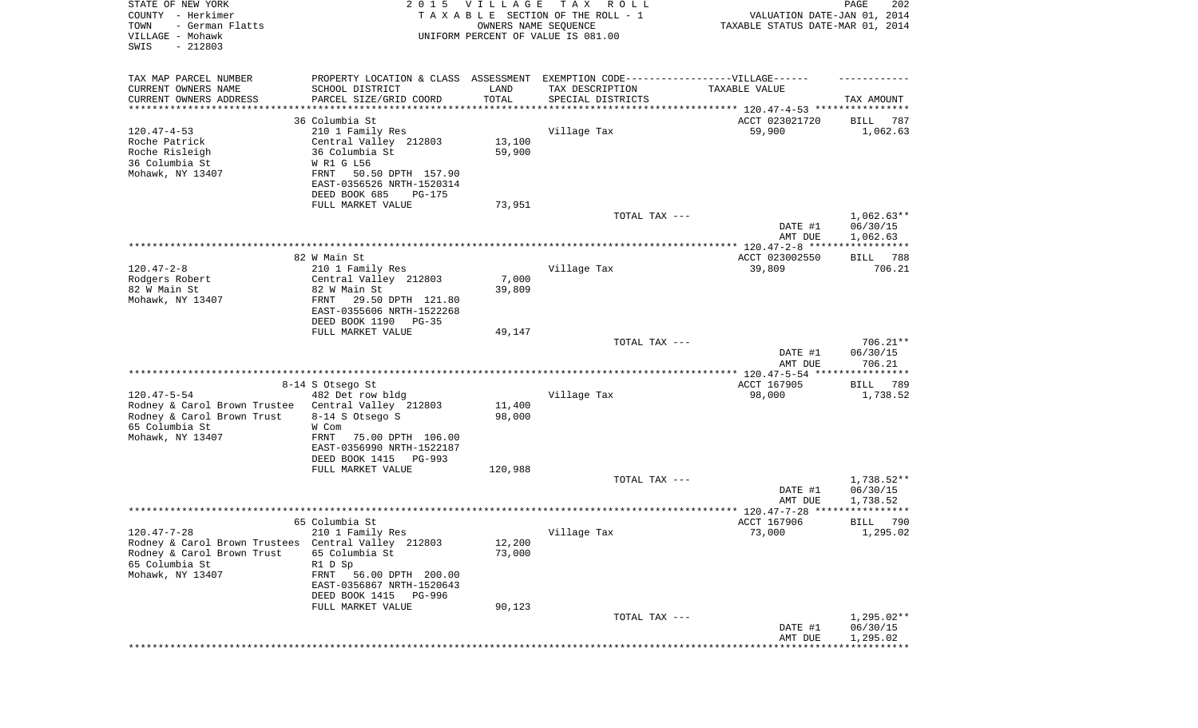| STATE OF NEW YORK<br>COUNTY - Herkimer<br>TOWN<br>- German Flatts<br>VILLAGE - Mohawk<br>SWIS<br>$-212803$ |                                                                                   | 2015 VILLAGE<br>OWNERS NAME SEQUENCE | T A X<br>R O L L<br>TAXABLE SECTION OF THE ROLL - 1<br>UNIFORM PERCENT OF VALUE IS 081.00 | VALUATION DATE-JAN 01, 2014<br>TAXABLE STATUS DATE-MAR 01, 2014 | PAGE<br>202             |
|------------------------------------------------------------------------------------------------------------|-----------------------------------------------------------------------------------|--------------------------------------|-------------------------------------------------------------------------------------------|-----------------------------------------------------------------|-------------------------|
| TAX MAP PARCEL NUMBER                                                                                      | PROPERTY LOCATION & CLASS ASSESSMENT EXEMPTION CODE-----------------VILLAGE------ |                                      |                                                                                           |                                                                 |                         |
| CURRENT OWNERS NAME<br>CURRENT OWNERS ADDRESS                                                              | SCHOOL DISTRICT<br>PARCEL SIZE/GRID COORD                                         | LAND<br>TOTAL                        | TAX DESCRIPTION<br>SPECIAL DISTRICTS                                                      | TAXABLE VALUE                                                   | TAX AMOUNT              |
| *******************                                                                                        |                                                                                   | **********                           |                                                                                           | ********************************* 120.47-4-53 ****************  |                         |
| $120.47 - 4 - 53$                                                                                          | 36 Columbia St<br>210 1 Family Res                                                |                                      | Village Tax                                                                               | ACCT 023021720<br>59,900                                        | BILL<br>787<br>1,062.63 |
| Roche Patrick                                                                                              | Central Valley 212803                                                             | 13,100                               |                                                                                           |                                                                 |                         |
| Roche Risleigh                                                                                             | 36 Columbia St                                                                    | 59,900                               |                                                                                           |                                                                 |                         |
| 36 Columbia St                                                                                             | W R1 G L56                                                                        |                                      |                                                                                           |                                                                 |                         |
| Mohawk, NY 13407                                                                                           | 50.50 DPTH 157.90<br>FRNT                                                         |                                      |                                                                                           |                                                                 |                         |
|                                                                                                            | EAST-0356526 NRTH-1520314                                                         |                                      |                                                                                           |                                                                 |                         |
|                                                                                                            | DEED BOOK 685<br>PG-175                                                           |                                      |                                                                                           |                                                                 |                         |
|                                                                                                            | FULL MARKET VALUE                                                                 | 73,951                               |                                                                                           |                                                                 |                         |
|                                                                                                            |                                                                                   |                                      | TOTAL TAX ---                                                                             |                                                                 | $1,062.63**$            |
|                                                                                                            |                                                                                   |                                      |                                                                                           | DATE #1<br>AMT DUE                                              | 06/30/15<br>1,062.63    |
|                                                                                                            |                                                                                   |                                      |                                                                                           |                                                                 |                         |
|                                                                                                            | 82 W Main St                                                                      |                                      |                                                                                           | ACCT 023002550                                                  | BILL 788                |
| $120.47 - 2 - 8$                                                                                           | 210 1 Family Res                                                                  |                                      | Village Tax                                                                               | 39,809                                                          | 706.21                  |
| Rodgers Robert                                                                                             | Central Valley 212803                                                             | 7,000                                |                                                                                           |                                                                 |                         |
| 82 W Main St                                                                                               | 82 W Main St                                                                      | 39,809                               |                                                                                           |                                                                 |                         |
| Mohawk, NY 13407                                                                                           | 29.50 DPTH 121.80<br>FRNT                                                         |                                      |                                                                                           |                                                                 |                         |
|                                                                                                            | EAST-0355606 NRTH-1522268                                                         |                                      |                                                                                           |                                                                 |                         |
|                                                                                                            | DEED BOOK 1190<br>PG-35                                                           |                                      |                                                                                           |                                                                 |                         |
|                                                                                                            | FULL MARKET VALUE                                                                 | 49,147                               | TOTAL TAX ---                                                                             |                                                                 | $706.21**$              |
|                                                                                                            |                                                                                   |                                      |                                                                                           | DATE #1                                                         | 06/30/15                |
|                                                                                                            |                                                                                   |                                      |                                                                                           | AMT DUE                                                         | 706.21                  |
|                                                                                                            |                                                                                   |                                      |                                                                                           | ************* 120.47-5-54 *****************                     |                         |
|                                                                                                            | 8-14 S Otsego St                                                                  |                                      |                                                                                           | ACCT 167905                                                     | 789<br>BILL             |
| $120.47 - 5 - 54$                                                                                          | 482 Det row bldg                                                                  |                                      | Village Tax                                                                               | 98,000                                                          | 1,738.52                |
| Rodney & Carol Brown Trustee                                                                               | Central Valley 212803                                                             | 11,400                               |                                                                                           |                                                                 |                         |
| Rodney & Carol Brown Trust                                                                                 | 8-14 S Otsego S                                                                   | 98,000                               |                                                                                           |                                                                 |                         |
| 65 Columbia St<br>Mohawk, NY 13407                                                                         | W Com<br>FRNT<br>75.00 DPTH 106.00                                                |                                      |                                                                                           |                                                                 |                         |
|                                                                                                            | EAST-0356990 NRTH-1522187                                                         |                                      |                                                                                           |                                                                 |                         |
|                                                                                                            | DEED BOOK 1415 PG-993                                                             |                                      |                                                                                           |                                                                 |                         |
|                                                                                                            | FULL MARKET VALUE                                                                 | 120,988                              |                                                                                           |                                                                 |                         |
|                                                                                                            |                                                                                   |                                      | TOTAL TAX ---                                                                             |                                                                 | 1,738.52**              |
|                                                                                                            |                                                                                   |                                      |                                                                                           | DATE #1                                                         | 06/30/15                |
|                                                                                                            |                                                                                   |                                      |                                                                                           | AMT DUE                                                         | 1,738.52                |
|                                                                                                            |                                                                                   |                                      |                                                                                           |                                                                 | ***********             |
| 120.47-7-28                                                                                                | 65 Columbia St<br>210 1 Family Res                                                |                                      | Village Tax                                                                               | ACCT 167906<br>73,000                                           | 790<br>BILL<br>1,295.02 |
| Rodney & Carol Brown Trustees Central Valley 212803                                                        |                                                                                   | 12,200                               |                                                                                           |                                                                 |                         |
| Rodney & Carol Brown Trust                                                                                 | 65 Columbia St                                                                    | 73,000                               |                                                                                           |                                                                 |                         |
| 65 Columbia St                                                                                             | R1 D Sp                                                                           |                                      |                                                                                           |                                                                 |                         |
| Mohawk, NY 13407                                                                                           | FRNT 56.00 DPTH 200.00                                                            |                                      |                                                                                           |                                                                 |                         |
|                                                                                                            | EAST-0356867 NRTH-1520643                                                         |                                      |                                                                                           |                                                                 |                         |
|                                                                                                            | DEED BOOK 1415 PG-996                                                             |                                      |                                                                                           |                                                                 |                         |
|                                                                                                            | FULL MARKET VALUE                                                                 | 90,123                               |                                                                                           |                                                                 |                         |
|                                                                                                            |                                                                                   |                                      | TOTAL TAX ---                                                                             |                                                                 | 1,295.02**<br>06/30/15  |
|                                                                                                            |                                                                                   |                                      |                                                                                           | DATE #1<br>AMT DUE                                              | 1,295.02                |
|                                                                                                            |                                                                                   |                                      |                                                                                           | ****************                                                |                         |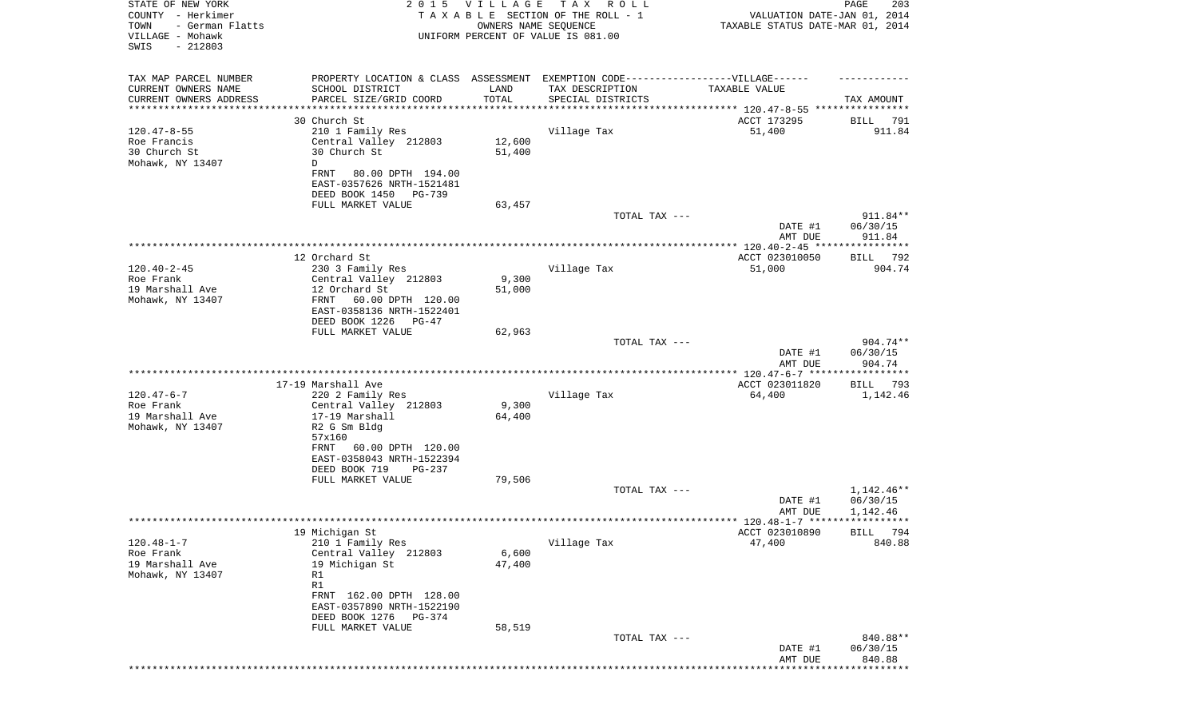| TAX MAP PARCEL NUMBER<br>PROPERTY LOCATION & CLASS ASSESSMENT EXEMPTION CODE----------------VILLAGE------<br>CURRENT OWNERS NAME<br>SCHOOL DISTRICT<br>LAND<br>TAX DESCRIPTION<br>TAXABLE VALUE<br>CURRENT OWNERS ADDRESS<br>PARCEL SIZE/GRID COORD<br>TOTAL<br>SPECIAL DISTRICTS<br>TAX AMOUNT<br>***********<br>*********************<br>30 Church St<br>ACCT 173295<br>BILL<br>791<br>$120.47 - 8 - 55$<br>210 1 Family Res<br>Village Tax<br>51,400<br>911.84<br>Roe Francis<br>Central Valley 212803<br>12,600<br>30 Church St<br>30 Church St<br>51,400<br>Mohawk, NY 13407<br>D<br>FRNT<br>80.00 DPTH 194.00<br>EAST-0357626 NRTH-1521481<br>DEED BOOK 1450<br>PG-739<br>FULL MARKET VALUE<br>63,457<br>911.84**<br>TOTAL TAX ---<br>06/30/15<br>DATE #1<br>AMT DUE<br>911.84<br>12 Orchard St<br>ACCT 023010050<br>792<br>BILL<br>$120.40 - 2 - 45$<br>230 3 Family Res<br>Village Tax<br>51,000<br>904.74<br>9,300<br>Roe Frank<br>Central Valley 212803<br>19 Marshall Ave<br>12 Orchard St<br>51,000<br>Mohawk, NY 13407<br>FRNT<br>60.00 DPTH 120.00<br>EAST-0358136 NRTH-1522401<br>DEED BOOK 1226<br>PG-47<br>FULL MARKET VALUE<br>62,963<br>904.74**<br>TOTAL TAX ---<br>06/30/15<br>DATE #1<br>904.74<br>AMT DUE<br>************** 120.47-6-7 ******************<br>17-19 Marshall Ave<br>ACCT 023011820<br>BILL<br>793<br>$120.47 - 6 - 7$<br>220 2 Family Res<br>Village Tax<br>64,400<br>1,142.46<br>9,300<br>Roe Frank<br>Central Valley 212803<br>17-19 Marshall<br>19 Marshall Ave<br>64,400<br>Mohawk, NY 13407<br>R2 G Sm Bldg<br>57x160<br>60.00 DPTH 120.00<br>FRNT<br>EAST-0358043 NRTH-1522394<br>DEED BOOK 719<br>PG-237<br>FULL MARKET VALUE<br>79,506<br>$1,142.46**$<br>TOTAL TAX ---<br>06/30/15<br>DATE #1<br>1,142.46<br>AMT DUE<br>19 Michigan St<br>ACCT 023010890<br>BILL 794<br>$120.48 - 1 - 7$<br>Village Tax<br>47,400<br>840.88<br>210 1 Family Res<br>Roe Frank<br>Central Valley 212803<br>6,600<br>19 Marshall Ave<br>19 Michigan St<br>47,400<br>Mohawk, NY 13407<br>R1<br>R1<br>FRNT 162.00 DPTH 128.00<br>EAST-0357890 NRTH-1522190<br>DEED BOOK 1276<br>PG-374<br>FULL MARKET VALUE<br>58,519<br>TOTAL TAX ---<br>840.88**<br>DATE #1<br>06/30/15<br>840.88<br>AMT DUE<br>****** | STATE OF NEW YORK<br>COUNTY - Herkimer<br>- German Flatts<br>TOWN<br>VILLAGE - Mohawk<br>SWIS<br>$-212803$ | 2 0 1 5 | <b>VILLAGE</b><br>OWNERS NAME SEQUENCE | TAX ROLL<br>TAXABLE SECTION OF THE ROLL - 1<br>UNIFORM PERCENT OF VALUE IS 081.00 | VALUATION DATE-JAN 01, 2014<br>TAXABLE STATUS DATE-MAR 01, 2014 | 203<br>PAGE |
|------------------------------------------------------------------------------------------------------------------------------------------------------------------------------------------------------------------------------------------------------------------------------------------------------------------------------------------------------------------------------------------------------------------------------------------------------------------------------------------------------------------------------------------------------------------------------------------------------------------------------------------------------------------------------------------------------------------------------------------------------------------------------------------------------------------------------------------------------------------------------------------------------------------------------------------------------------------------------------------------------------------------------------------------------------------------------------------------------------------------------------------------------------------------------------------------------------------------------------------------------------------------------------------------------------------------------------------------------------------------------------------------------------------------------------------------------------------------------------------------------------------------------------------------------------------------------------------------------------------------------------------------------------------------------------------------------------------------------------------------------------------------------------------------------------------------------------------------------------------------------------------------------------------------------------------------------------------------------------------------------------------------------------------------------------------------------------------------------------------------------------------------------------------------------------------------------------------------------------|------------------------------------------------------------------------------------------------------------|---------|----------------------------------------|-----------------------------------------------------------------------------------|-----------------------------------------------------------------|-------------|
|                                                                                                                                                                                                                                                                                                                                                                                                                                                                                                                                                                                                                                                                                                                                                                                                                                                                                                                                                                                                                                                                                                                                                                                                                                                                                                                                                                                                                                                                                                                                                                                                                                                                                                                                                                                                                                                                                                                                                                                                                                                                                                                                                                                                                                    |                                                                                                            |         |                                        |                                                                                   |                                                                 |             |
|                                                                                                                                                                                                                                                                                                                                                                                                                                                                                                                                                                                                                                                                                                                                                                                                                                                                                                                                                                                                                                                                                                                                                                                                                                                                                                                                                                                                                                                                                                                                                                                                                                                                                                                                                                                                                                                                                                                                                                                                                                                                                                                                                                                                                                    |                                                                                                            |         |                                        |                                                                                   |                                                                 |             |
|                                                                                                                                                                                                                                                                                                                                                                                                                                                                                                                                                                                                                                                                                                                                                                                                                                                                                                                                                                                                                                                                                                                                                                                                                                                                                                                                                                                                                                                                                                                                                                                                                                                                                                                                                                                                                                                                                                                                                                                                                                                                                                                                                                                                                                    |                                                                                                            |         |                                        |                                                                                   |                                                                 |             |
|                                                                                                                                                                                                                                                                                                                                                                                                                                                                                                                                                                                                                                                                                                                                                                                                                                                                                                                                                                                                                                                                                                                                                                                                                                                                                                                                                                                                                                                                                                                                                                                                                                                                                                                                                                                                                                                                                                                                                                                                                                                                                                                                                                                                                                    |                                                                                                            |         |                                        |                                                                                   |                                                                 |             |
|                                                                                                                                                                                                                                                                                                                                                                                                                                                                                                                                                                                                                                                                                                                                                                                                                                                                                                                                                                                                                                                                                                                                                                                                                                                                                                                                                                                                                                                                                                                                                                                                                                                                                                                                                                                                                                                                                                                                                                                                                                                                                                                                                                                                                                    |                                                                                                            |         |                                        |                                                                                   |                                                                 |             |
|                                                                                                                                                                                                                                                                                                                                                                                                                                                                                                                                                                                                                                                                                                                                                                                                                                                                                                                                                                                                                                                                                                                                                                                                                                                                                                                                                                                                                                                                                                                                                                                                                                                                                                                                                                                                                                                                                                                                                                                                                                                                                                                                                                                                                                    |                                                                                                            |         |                                        |                                                                                   |                                                                 |             |
|                                                                                                                                                                                                                                                                                                                                                                                                                                                                                                                                                                                                                                                                                                                                                                                                                                                                                                                                                                                                                                                                                                                                                                                                                                                                                                                                                                                                                                                                                                                                                                                                                                                                                                                                                                                                                                                                                                                                                                                                                                                                                                                                                                                                                                    |                                                                                                            |         |                                        |                                                                                   |                                                                 |             |
|                                                                                                                                                                                                                                                                                                                                                                                                                                                                                                                                                                                                                                                                                                                                                                                                                                                                                                                                                                                                                                                                                                                                                                                                                                                                                                                                                                                                                                                                                                                                                                                                                                                                                                                                                                                                                                                                                                                                                                                                                                                                                                                                                                                                                                    |                                                                                                            |         |                                        |                                                                                   |                                                                 |             |
|                                                                                                                                                                                                                                                                                                                                                                                                                                                                                                                                                                                                                                                                                                                                                                                                                                                                                                                                                                                                                                                                                                                                                                                                                                                                                                                                                                                                                                                                                                                                                                                                                                                                                                                                                                                                                                                                                                                                                                                                                                                                                                                                                                                                                                    |                                                                                                            |         |                                        |                                                                                   |                                                                 |             |
|                                                                                                                                                                                                                                                                                                                                                                                                                                                                                                                                                                                                                                                                                                                                                                                                                                                                                                                                                                                                                                                                                                                                                                                                                                                                                                                                                                                                                                                                                                                                                                                                                                                                                                                                                                                                                                                                                                                                                                                                                                                                                                                                                                                                                                    |                                                                                                            |         |                                        |                                                                                   |                                                                 |             |
|                                                                                                                                                                                                                                                                                                                                                                                                                                                                                                                                                                                                                                                                                                                                                                                                                                                                                                                                                                                                                                                                                                                                                                                                                                                                                                                                                                                                                                                                                                                                                                                                                                                                                                                                                                                                                                                                                                                                                                                                                                                                                                                                                                                                                                    |                                                                                                            |         |                                        |                                                                                   |                                                                 |             |
|                                                                                                                                                                                                                                                                                                                                                                                                                                                                                                                                                                                                                                                                                                                                                                                                                                                                                                                                                                                                                                                                                                                                                                                                                                                                                                                                                                                                                                                                                                                                                                                                                                                                                                                                                                                                                                                                                                                                                                                                                                                                                                                                                                                                                                    |                                                                                                            |         |                                        |                                                                                   |                                                                 |             |
|                                                                                                                                                                                                                                                                                                                                                                                                                                                                                                                                                                                                                                                                                                                                                                                                                                                                                                                                                                                                                                                                                                                                                                                                                                                                                                                                                                                                                                                                                                                                                                                                                                                                                                                                                                                                                                                                                                                                                                                                                                                                                                                                                                                                                                    |                                                                                                            |         |                                        |                                                                                   |                                                                 |             |
|                                                                                                                                                                                                                                                                                                                                                                                                                                                                                                                                                                                                                                                                                                                                                                                                                                                                                                                                                                                                                                                                                                                                                                                                                                                                                                                                                                                                                                                                                                                                                                                                                                                                                                                                                                                                                                                                                                                                                                                                                                                                                                                                                                                                                                    |                                                                                                            |         |                                        |                                                                                   |                                                                 |             |
|                                                                                                                                                                                                                                                                                                                                                                                                                                                                                                                                                                                                                                                                                                                                                                                                                                                                                                                                                                                                                                                                                                                                                                                                                                                                                                                                                                                                                                                                                                                                                                                                                                                                                                                                                                                                                                                                                                                                                                                                                                                                                                                                                                                                                                    |                                                                                                            |         |                                        |                                                                                   |                                                                 |             |
|                                                                                                                                                                                                                                                                                                                                                                                                                                                                                                                                                                                                                                                                                                                                                                                                                                                                                                                                                                                                                                                                                                                                                                                                                                                                                                                                                                                                                                                                                                                                                                                                                                                                                                                                                                                                                                                                                                                                                                                                                                                                                                                                                                                                                                    |                                                                                                            |         |                                        |                                                                                   |                                                                 |             |
|                                                                                                                                                                                                                                                                                                                                                                                                                                                                                                                                                                                                                                                                                                                                                                                                                                                                                                                                                                                                                                                                                                                                                                                                                                                                                                                                                                                                                                                                                                                                                                                                                                                                                                                                                                                                                                                                                                                                                                                                                                                                                                                                                                                                                                    |                                                                                                            |         |                                        |                                                                                   |                                                                 |             |
|                                                                                                                                                                                                                                                                                                                                                                                                                                                                                                                                                                                                                                                                                                                                                                                                                                                                                                                                                                                                                                                                                                                                                                                                                                                                                                                                                                                                                                                                                                                                                                                                                                                                                                                                                                                                                                                                                                                                                                                                                                                                                                                                                                                                                                    |                                                                                                            |         |                                        |                                                                                   |                                                                 |             |
|                                                                                                                                                                                                                                                                                                                                                                                                                                                                                                                                                                                                                                                                                                                                                                                                                                                                                                                                                                                                                                                                                                                                                                                                                                                                                                                                                                                                                                                                                                                                                                                                                                                                                                                                                                                                                                                                                                                                                                                                                                                                                                                                                                                                                                    |                                                                                                            |         |                                        |                                                                                   |                                                                 |             |
|                                                                                                                                                                                                                                                                                                                                                                                                                                                                                                                                                                                                                                                                                                                                                                                                                                                                                                                                                                                                                                                                                                                                                                                                                                                                                                                                                                                                                                                                                                                                                                                                                                                                                                                                                                                                                                                                                                                                                                                                                                                                                                                                                                                                                                    |                                                                                                            |         |                                        |                                                                                   |                                                                 |             |
|                                                                                                                                                                                                                                                                                                                                                                                                                                                                                                                                                                                                                                                                                                                                                                                                                                                                                                                                                                                                                                                                                                                                                                                                                                                                                                                                                                                                                                                                                                                                                                                                                                                                                                                                                                                                                                                                                                                                                                                                                                                                                                                                                                                                                                    |                                                                                                            |         |                                        |                                                                                   |                                                                 |             |
|                                                                                                                                                                                                                                                                                                                                                                                                                                                                                                                                                                                                                                                                                                                                                                                                                                                                                                                                                                                                                                                                                                                                                                                                                                                                                                                                                                                                                                                                                                                                                                                                                                                                                                                                                                                                                                                                                                                                                                                                                                                                                                                                                                                                                                    |                                                                                                            |         |                                        |                                                                                   |                                                                 |             |
|                                                                                                                                                                                                                                                                                                                                                                                                                                                                                                                                                                                                                                                                                                                                                                                                                                                                                                                                                                                                                                                                                                                                                                                                                                                                                                                                                                                                                                                                                                                                                                                                                                                                                                                                                                                                                                                                                                                                                                                                                                                                                                                                                                                                                                    |                                                                                                            |         |                                        |                                                                                   |                                                                 |             |
|                                                                                                                                                                                                                                                                                                                                                                                                                                                                                                                                                                                                                                                                                                                                                                                                                                                                                                                                                                                                                                                                                                                                                                                                                                                                                                                                                                                                                                                                                                                                                                                                                                                                                                                                                                                                                                                                                                                                                                                                                                                                                                                                                                                                                                    |                                                                                                            |         |                                        |                                                                                   |                                                                 |             |
|                                                                                                                                                                                                                                                                                                                                                                                                                                                                                                                                                                                                                                                                                                                                                                                                                                                                                                                                                                                                                                                                                                                                                                                                                                                                                                                                                                                                                                                                                                                                                                                                                                                                                                                                                                                                                                                                                                                                                                                                                                                                                                                                                                                                                                    |                                                                                                            |         |                                        |                                                                                   |                                                                 |             |
|                                                                                                                                                                                                                                                                                                                                                                                                                                                                                                                                                                                                                                                                                                                                                                                                                                                                                                                                                                                                                                                                                                                                                                                                                                                                                                                                                                                                                                                                                                                                                                                                                                                                                                                                                                                                                                                                                                                                                                                                                                                                                                                                                                                                                                    |                                                                                                            |         |                                        |                                                                                   |                                                                 |             |
|                                                                                                                                                                                                                                                                                                                                                                                                                                                                                                                                                                                                                                                                                                                                                                                                                                                                                                                                                                                                                                                                                                                                                                                                                                                                                                                                                                                                                                                                                                                                                                                                                                                                                                                                                                                                                                                                                                                                                                                                                                                                                                                                                                                                                                    |                                                                                                            |         |                                        |                                                                                   |                                                                 |             |
|                                                                                                                                                                                                                                                                                                                                                                                                                                                                                                                                                                                                                                                                                                                                                                                                                                                                                                                                                                                                                                                                                                                                                                                                                                                                                                                                                                                                                                                                                                                                                                                                                                                                                                                                                                                                                                                                                                                                                                                                                                                                                                                                                                                                                                    |                                                                                                            |         |                                        |                                                                                   |                                                                 |             |
|                                                                                                                                                                                                                                                                                                                                                                                                                                                                                                                                                                                                                                                                                                                                                                                                                                                                                                                                                                                                                                                                                                                                                                                                                                                                                                                                                                                                                                                                                                                                                                                                                                                                                                                                                                                                                                                                                                                                                                                                                                                                                                                                                                                                                                    |                                                                                                            |         |                                        |                                                                                   |                                                                 |             |
|                                                                                                                                                                                                                                                                                                                                                                                                                                                                                                                                                                                                                                                                                                                                                                                                                                                                                                                                                                                                                                                                                                                                                                                                                                                                                                                                                                                                                                                                                                                                                                                                                                                                                                                                                                                                                                                                                                                                                                                                                                                                                                                                                                                                                                    |                                                                                                            |         |                                        |                                                                                   |                                                                 |             |
|                                                                                                                                                                                                                                                                                                                                                                                                                                                                                                                                                                                                                                                                                                                                                                                                                                                                                                                                                                                                                                                                                                                                                                                                                                                                                                                                                                                                                                                                                                                                                                                                                                                                                                                                                                                                                                                                                                                                                                                                                                                                                                                                                                                                                                    |                                                                                                            |         |                                        |                                                                                   |                                                                 |             |
|                                                                                                                                                                                                                                                                                                                                                                                                                                                                                                                                                                                                                                                                                                                                                                                                                                                                                                                                                                                                                                                                                                                                                                                                                                                                                                                                                                                                                                                                                                                                                                                                                                                                                                                                                                                                                                                                                                                                                                                                                                                                                                                                                                                                                                    |                                                                                                            |         |                                        |                                                                                   |                                                                 |             |
|                                                                                                                                                                                                                                                                                                                                                                                                                                                                                                                                                                                                                                                                                                                                                                                                                                                                                                                                                                                                                                                                                                                                                                                                                                                                                                                                                                                                                                                                                                                                                                                                                                                                                                                                                                                                                                                                                                                                                                                                                                                                                                                                                                                                                                    |                                                                                                            |         |                                        |                                                                                   |                                                                 |             |
|                                                                                                                                                                                                                                                                                                                                                                                                                                                                                                                                                                                                                                                                                                                                                                                                                                                                                                                                                                                                                                                                                                                                                                                                                                                                                                                                                                                                                                                                                                                                                                                                                                                                                                                                                                                                                                                                                                                                                                                                                                                                                                                                                                                                                                    |                                                                                                            |         |                                        |                                                                                   |                                                                 |             |
|                                                                                                                                                                                                                                                                                                                                                                                                                                                                                                                                                                                                                                                                                                                                                                                                                                                                                                                                                                                                                                                                                                                                                                                                                                                                                                                                                                                                                                                                                                                                                                                                                                                                                                                                                                                                                                                                                                                                                                                                                                                                                                                                                                                                                                    |                                                                                                            |         |                                        |                                                                                   |                                                                 |             |
|                                                                                                                                                                                                                                                                                                                                                                                                                                                                                                                                                                                                                                                                                                                                                                                                                                                                                                                                                                                                                                                                                                                                                                                                                                                                                                                                                                                                                                                                                                                                                                                                                                                                                                                                                                                                                                                                                                                                                                                                                                                                                                                                                                                                                                    |                                                                                                            |         |                                        |                                                                                   |                                                                 |             |
|                                                                                                                                                                                                                                                                                                                                                                                                                                                                                                                                                                                                                                                                                                                                                                                                                                                                                                                                                                                                                                                                                                                                                                                                                                                                                                                                                                                                                                                                                                                                                                                                                                                                                                                                                                                                                                                                                                                                                                                                                                                                                                                                                                                                                                    |                                                                                                            |         |                                        |                                                                                   |                                                                 |             |
|                                                                                                                                                                                                                                                                                                                                                                                                                                                                                                                                                                                                                                                                                                                                                                                                                                                                                                                                                                                                                                                                                                                                                                                                                                                                                                                                                                                                                                                                                                                                                                                                                                                                                                                                                                                                                                                                                                                                                                                                                                                                                                                                                                                                                                    |                                                                                                            |         |                                        |                                                                                   |                                                                 |             |
|                                                                                                                                                                                                                                                                                                                                                                                                                                                                                                                                                                                                                                                                                                                                                                                                                                                                                                                                                                                                                                                                                                                                                                                                                                                                                                                                                                                                                                                                                                                                                                                                                                                                                                                                                                                                                                                                                                                                                                                                                                                                                                                                                                                                                                    |                                                                                                            |         |                                        |                                                                                   |                                                                 |             |
|                                                                                                                                                                                                                                                                                                                                                                                                                                                                                                                                                                                                                                                                                                                                                                                                                                                                                                                                                                                                                                                                                                                                                                                                                                                                                                                                                                                                                                                                                                                                                                                                                                                                                                                                                                                                                                                                                                                                                                                                                                                                                                                                                                                                                                    |                                                                                                            |         |                                        |                                                                                   |                                                                 |             |
|                                                                                                                                                                                                                                                                                                                                                                                                                                                                                                                                                                                                                                                                                                                                                                                                                                                                                                                                                                                                                                                                                                                                                                                                                                                                                                                                                                                                                                                                                                                                                                                                                                                                                                                                                                                                                                                                                                                                                                                                                                                                                                                                                                                                                                    |                                                                                                            |         |                                        |                                                                                   |                                                                 |             |
|                                                                                                                                                                                                                                                                                                                                                                                                                                                                                                                                                                                                                                                                                                                                                                                                                                                                                                                                                                                                                                                                                                                                                                                                                                                                                                                                                                                                                                                                                                                                                                                                                                                                                                                                                                                                                                                                                                                                                                                                                                                                                                                                                                                                                                    |                                                                                                            |         |                                        |                                                                                   |                                                                 |             |
|                                                                                                                                                                                                                                                                                                                                                                                                                                                                                                                                                                                                                                                                                                                                                                                                                                                                                                                                                                                                                                                                                                                                                                                                                                                                                                                                                                                                                                                                                                                                                                                                                                                                                                                                                                                                                                                                                                                                                                                                                                                                                                                                                                                                                                    |                                                                                                            |         |                                        |                                                                                   |                                                                 |             |
|                                                                                                                                                                                                                                                                                                                                                                                                                                                                                                                                                                                                                                                                                                                                                                                                                                                                                                                                                                                                                                                                                                                                                                                                                                                                                                                                                                                                                                                                                                                                                                                                                                                                                                                                                                                                                                                                                                                                                                                                                                                                                                                                                                                                                                    |                                                                                                            |         |                                        |                                                                                   |                                                                 |             |
|                                                                                                                                                                                                                                                                                                                                                                                                                                                                                                                                                                                                                                                                                                                                                                                                                                                                                                                                                                                                                                                                                                                                                                                                                                                                                                                                                                                                                                                                                                                                                                                                                                                                                                                                                                                                                                                                                                                                                                                                                                                                                                                                                                                                                                    |                                                                                                            |         |                                        |                                                                                   |                                                                 |             |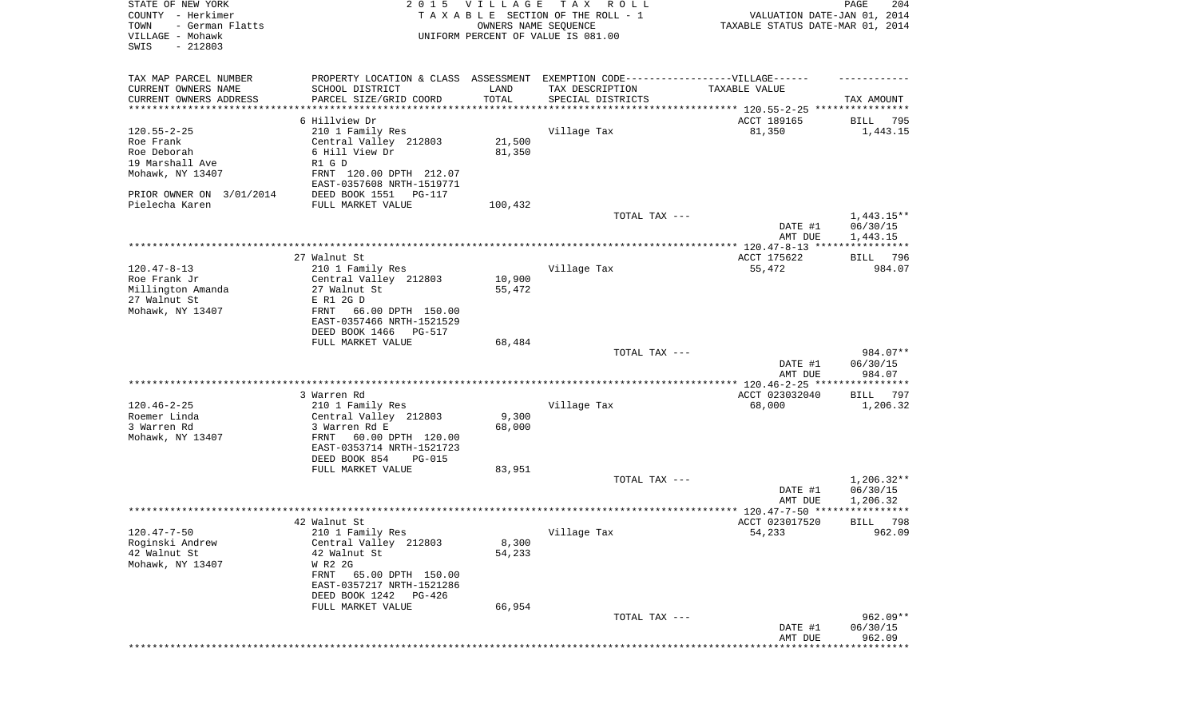| STATE OF NEW YORK<br>COUNTY - Herkimer<br>- German Flatts<br>TOWN<br>VILLAGE - Mohawk<br>SWIS<br>$-212803$ | 2 0 1 5                                                                          | VILLAGE<br>OWNERS NAME SEQUENCE | T A X<br>R O L L<br>TAXABLE SECTION OF THE ROLL - 1<br>UNIFORM PERCENT OF VALUE IS 081.00 | VALUATION DATE-JAN 01, 2014<br>TAXABLE STATUS DATE-MAR 01, 2014 | 204<br>PAGE               |
|------------------------------------------------------------------------------------------------------------|----------------------------------------------------------------------------------|---------------------------------|-------------------------------------------------------------------------------------------|-----------------------------------------------------------------|---------------------------|
| TAX MAP PARCEL NUMBER                                                                                      | PROPERTY LOCATION & CLASS ASSESSMENT EXEMPTION CODE----------------VILLAGE------ |                                 |                                                                                           |                                                                 |                           |
| CURRENT OWNERS NAME                                                                                        | SCHOOL DISTRICT                                                                  | LAND                            | TAX DESCRIPTION                                                                           | TAXABLE VALUE                                                   |                           |
| CURRENT OWNERS ADDRESS                                                                                     | PARCEL SIZE/GRID COORD                                                           | TOTAL                           | SPECIAL DISTRICTS                                                                         |                                                                 | TAX AMOUNT                |
| *********************                                                                                      |                                                                                  | * * * * * * * * * * *           | ************************************** 120.55-2-25 *****************                      |                                                                 |                           |
|                                                                                                            | 6 Hillview Dr                                                                    |                                 |                                                                                           | ACCT 189165                                                     | 795<br>BILL               |
| $120.55 - 2 - 25$<br>Roe Frank                                                                             | 210 1 Family Res<br>Central Valley 212803                                        | 21,500                          | Village Tax                                                                               | 81,350                                                          | 1,443.15                  |
| Roe Deborah                                                                                                | 6 Hill View Dr                                                                   | 81,350                          |                                                                                           |                                                                 |                           |
| 19 Marshall Ave                                                                                            | R1 G D                                                                           |                                 |                                                                                           |                                                                 |                           |
| Mohawk, NY 13407                                                                                           | FRNT 120.00 DPTH 212.07                                                          |                                 |                                                                                           |                                                                 |                           |
|                                                                                                            | EAST-0357608 NRTH-1519771                                                        |                                 |                                                                                           |                                                                 |                           |
| PRIOR OWNER ON 3/01/2014                                                                                   | DEED BOOK 1551<br>PG-117                                                         |                                 |                                                                                           |                                                                 |                           |
| Pielecha Karen                                                                                             | FULL MARKET VALUE                                                                | 100,432                         |                                                                                           |                                                                 |                           |
|                                                                                                            |                                                                                  |                                 | TOTAL TAX ---                                                                             |                                                                 | $1,443.15**$              |
|                                                                                                            |                                                                                  |                                 |                                                                                           | DATE #1                                                         | 06/30/15                  |
|                                                                                                            |                                                                                  |                                 |                                                                                           | AMT DUE                                                         | 1,443.15                  |
|                                                                                                            | 27 Walnut St                                                                     |                                 |                                                                                           | ACCT 175622                                                     | BILL 796                  |
| $120.47 - 8 - 13$                                                                                          | 210 1 Family Res                                                                 |                                 | Village Tax                                                                               | 55,472                                                          | 984.07                    |
| Roe Frank Jr                                                                                               | Central Valley 212803                                                            | 10,900                          |                                                                                           |                                                                 |                           |
| Millington Amanda                                                                                          | 27 Walnut St                                                                     | 55,472                          |                                                                                           |                                                                 |                           |
| 27 Walnut St                                                                                               | E R1 2G D                                                                        |                                 |                                                                                           |                                                                 |                           |
| Mohawk, NY 13407                                                                                           | 66.00 DPTH 150.00<br>FRNT                                                        |                                 |                                                                                           |                                                                 |                           |
|                                                                                                            | EAST-0357466 NRTH-1521529<br>DEED BOOK 1466<br>PG-517                            |                                 |                                                                                           |                                                                 |                           |
|                                                                                                            | FULL MARKET VALUE                                                                | 68,484                          |                                                                                           |                                                                 |                           |
|                                                                                                            |                                                                                  |                                 | TOTAL TAX ---                                                                             |                                                                 | 984.07**                  |
|                                                                                                            |                                                                                  |                                 |                                                                                           | DATE #1                                                         | 06/30/15                  |
|                                                                                                            |                                                                                  |                                 |                                                                                           | AMT DUE                                                         | 984.07                    |
|                                                                                                            |                                                                                  |                                 |                                                                                           |                                                                 |                           |
|                                                                                                            | 3 Warren Rd                                                                      |                                 |                                                                                           | ACCT 023032040                                                  | BILL<br>797               |
| $120.46 - 2 - 25$<br>Roemer Linda                                                                          | 210 1 Family Res<br>Central Valley 212803                                        | 9,300                           | Village Tax                                                                               | 68,000                                                          | 1,206.32                  |
| 3 Warren Rd                                                                                                | 3 Warren Rd E                                                                    | 68,000                          |                                                                                           |                                                                 |                           |
| Mohawk, NY 13407                                                                                           | 60.00 DPTH 120.00<br>FRNT                                                        |                                 |                                                                                           |                                                                 |                           |
|                                                                                                            | EAST-0353714 NRTH-1521723                                                        |                                 |                                                                                           |                                                                 |                           |
|                                                                                                            | DEED BOOK 854<br><b>PG-015</b>                                                   |                                 |                                                                                           |                                                                 |                           |
|                                                                                                            | FULL MARKET VALUE                                                                | 83,951                          |                                                                                           |                                                                 |                           |
|                                                                                                            |                                                                                  |                                 | TOTAL TAX ---                                                                             |                                                                 | $1,206.32**$              |
|                                                                                                            |                                                                                  |                                 |                                                                                           | DATE #1                                                         | 06/30/15                  |
|                                                                                                            |                                                                                  |                                 |                                                                                           | AMT DUE                                                         | 1,206.32                  |
|                                                                                                            | 42 Walnut St                                                                     |                                 |                                                                                           | ACCT 023017520                                                  | 798<br>BILL               |
| $120.47 - 7 - 50$                                                                                          | 210 1 Family Res                                                                 |                                 | Village Tax                                                                               | 54,233                                                          | 962.09                    |
| Roginski Andrew                                                                                            | Central Valley 212803                                                            | 8,300                           |                                                                                           |                                                                 |                           |
| 42 Walnut St                                                                                               | 42 Walnut St                                                                     | 54,233                          |                                                                                           |                                                                 |                           |
| Mohawk, NY 13407                                                                                           | W R2 2G                                                                          |                                 |                                                                                           |                                                                 |                           |
|                                                                                                            | FRNT 65.00 DPTH 150.00                                                           |                                 |                                                                                           |                                                                 |                           |
|                                                                                                            | EAST-0357217 NRTH-1521286                                                        |                                 |                                                                                           |                                                                 |                           |
|                                                                                                            | DEED BOOK 1242 PG-426<br>FULL MARKET VALUE                                       | 66,954                          |                                                                                           |                                                                 |                           |
|                                                                                                            |                                                                                  |                                 | TOTAL TAX ---                                                                             |                                                                 | $962.09**$                |
|                                                                                                            |                                                                                  |                                 |                                                                                           | DATE #1                                                         | 06/30/15                  |
|                                                                                                            |                                                                                  |                                 |                                                                                           | AMT DUE                                                         | 962.09                    |
|                                                                                                            |                                                                                  |                                 |                                                                                           | * * * * * * * * * * * * *                                       | * * * * * * * * * * * * * |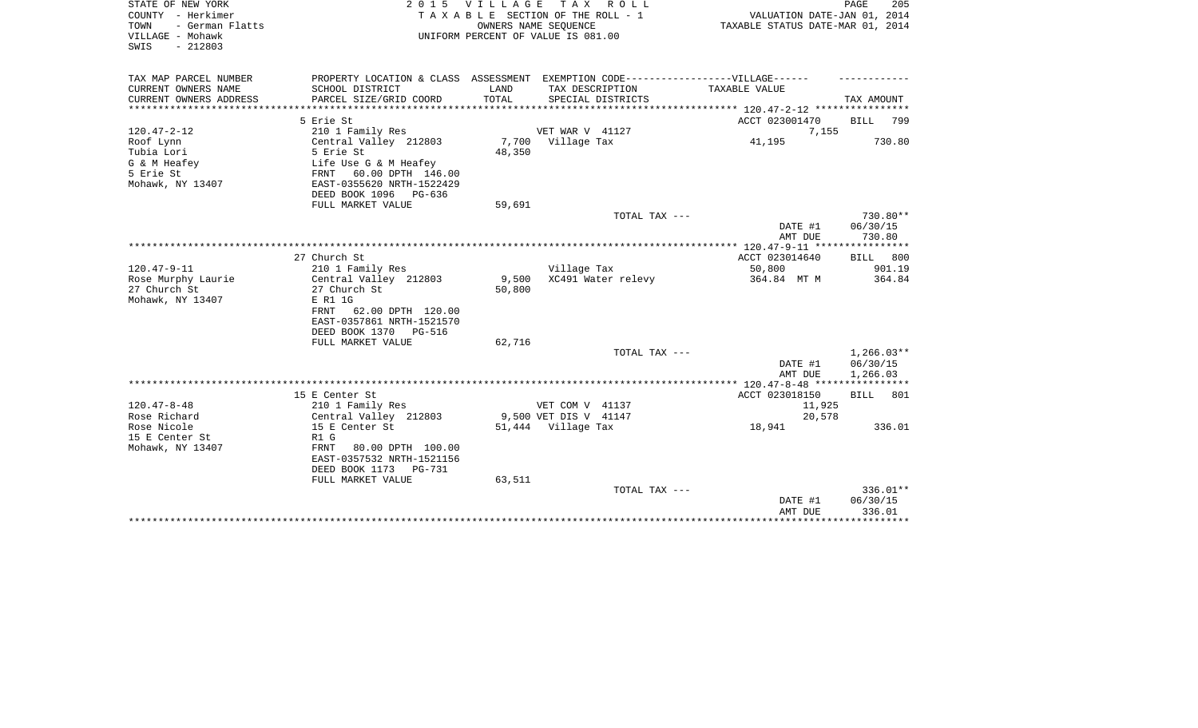| STATE OF NEW YORK<br>COUNTY - Herkimer<br>- German Flatts<br>TOWN<br>VILLAGE - Mohawk<br>$-212803$<br>SWIS | <b>VILLAGE</b><br>2 0 1 5<br>TAXABLE SECTION OF THE ROLL - 1<br>UNIFORM PERCENT OF VALUE IS 081.00 | PAGE<br>205<br>VALUATION DATE-JAN 01, 2014<br>TAXABLE STATUS DATE-MAR 01, 2014 |                                               |                         |              |
|------------------------------------------------------------------------------------------------------------|----------------------------------------------------------------------------------------------------|--------------------------------------------------------------------------------|-----------------------------------------------|-------------------------|--------------|
| TAX MAP PARCEL NUMBER                                                                                      | PROPERTY LOCATION & CLASS ASSESSMENT                                                               |                                                                                | EXEMPTION CODE------------------VILLAGE------ |                         |              |
| CURRENT OWNERS NAME                                                                                        | SCHOOL DISTRICT                                                                                    | LAND                                                                           | TAX DESCRIPTION                               | TAXABLE VALUE           |              |
| CURRENT OWNERS ADDRESS<br>***********************                                                          | PARCEL SIZE/GRID COORD                                                                             | TOTAL                                                                          | SPECIAL DISTRICTS                             |                         | TAX AMOUNT   |
|                                                                                                            |                                                                                                    |                                                                                |                                               |                         |              |
| $120.47 - 2 - 12$                                                                                          | 5 Erie St<br>210 1 Family Res                                                                      |                                                                                | VET WAR V 41127                               | ACCT 023001470<br>7,155 | 799<br>BILL  |
| Roof Lynn                                                                                                  | Central Valley 212803                                                                              |                                                                                | 7,700 Village Tax                             | 41,195                  | 730.80       |
| Tubia Lori                                                                                                 | 5 Erie St                                                                                          | 48,350                                                                         |                                               |                         |              |
| G & M Heafey                                                                                               | Life Use G & M Heafey                                                                              |                                                                                |                                               |                         |              |
| 5 Erie St                                                                                                  | 60.00 DPTH 146.00<br>FRNT                                                                          |                                                                                |                                               |                         |              |
| Mohawk, NY 13407                                                                                           | EAST-0355620 NRTH-1522429                                                                          |                                                                                |                                               |                         |              |
|                                                                                                            | DEED BOOK 1096 PG-636                                                                              |                                                                                |                                               |                         |              |
|                                                                                                            | FULL MARKET VALUE                                                                                  | 59,691                                                                         |                                               |                         |              |
|                                                                                                            |                                                                                                    |                                                                                | TOTAL TAX ---                                 |                         | 730.80**     |
|                                                                                                            |                                                                                                    |                                                                                |                                               | DATE #1                 | 06/30/15     |
|                                                                                                            |                                                                                                    |                                                                                |                                               | AMT DUE                 | 730.80       |
|                                                                                                            |                                                                                                    |                                                                                |                                               |                         |              |
|                                                                                                            | 27 Church St                                                                                       |                                                                                |                                               | ACCT 023014640          | BILL<br>800  |
| $120.47 - 9 - 11$                                                                                          | 210 1 Family Res                                                                                   |                                                                                | Village Tax                                   | 50,800                  | 901.19       |
| Rose Murphy Laurie                                                                                         | Central Valley 212803                                                                              | 9,500                                                                          | XC491 Water relevy                            | 364.84 MT M             | 364.84       |
| 27 Church St                                                                                               | 27 Church St                                                                                       | 50,800                                                                         |                                               |                         |              |
| Mohawk, NY 13407                                                                                           | E R1 1G                                                                                            |                                                                                |                                               |                         |              |
|                                                                                                            | FRNT 62.00 DPTH 120.00<br>EAST-0357861 NRTH-1521570                                                |                                                                                |                                               |                         |              |
|                                                                                                            | DEED BOOK 1370<br>PG-516                                                                           |                                                                                |                                               |                         |              |
|                                                                                                            | FULL MARKET VALUE                                                                                  | 62,716                                                                         |                                               |                         |              |
|                                                                                                            |                                                                                                    |                                                                                | TOTAL TAX ---                                 |                         | $1,266.03**$ |
|                                                                                                            |                                                                                                    |                                                                                |                                               | DATE #1                 | 06/30/15     |
|                                                                                                            |                                                                                                    |                                                                                |                                               | AMT DUE                 | 1,266.03     |
|                                                                                                            |                                                                                                    |                                                                                |                                               |                         |              |
|                                                                                                            | 15 E Center St                                                                                     |                                                                                |                                               | ACCT 023018150          | BILL<br>801  |
| $120.47 - 8 - 48$                                                                                          | 210 1 Family Res                                                                                   |                                                                                | VET COM V 41137                               | 11,925                  |              |
| Rose Richard                                                                                               | Central Valley 212803                                                                              |                                                                                | 9,500 VET DIS V 41147                         | 20,578                  |              |
| Rose Nicole                                                                                                | 15 E Center St                                                                                     |                                                                                | 51,444 Village Tax                            | 18,941                  | 336.01       |
| 15 E Center St                                                                                             | R1 G                                                                                               |                                                                                |                                               |                         |              |
| Mohawk, NY 13407                                                                                           | FRNT<br>80.00 DPTH 100.00                                                                          |                                                                                |                                               |                         |              |
|                                                                                                            | EAST-0357532 NRTH-1521156                                                                          |                                                                                |                                               |                         |              |
|                                                                                                            | DEED BOOK 1173<br><b>PG-731</b><br>FULL MARKET VALUE                                               | 63,511                                                                         |                                               |                         |              |
|                                                                                                            |                                                                                                    |                                                                                | TOTAL TAX ---                                 |                         | 336.01**     |
|                                                                                                            |                                                                                                    |                                                                                |                                               | DATE #1                 | 06/30/15     |
|                                                                                                            |                                                                                                    |                                                                                |                                               | AMT DUE                 | 336.01       |
|                                                                                                            |                                                                                                    |                                                                                |                                               |                         | **********   |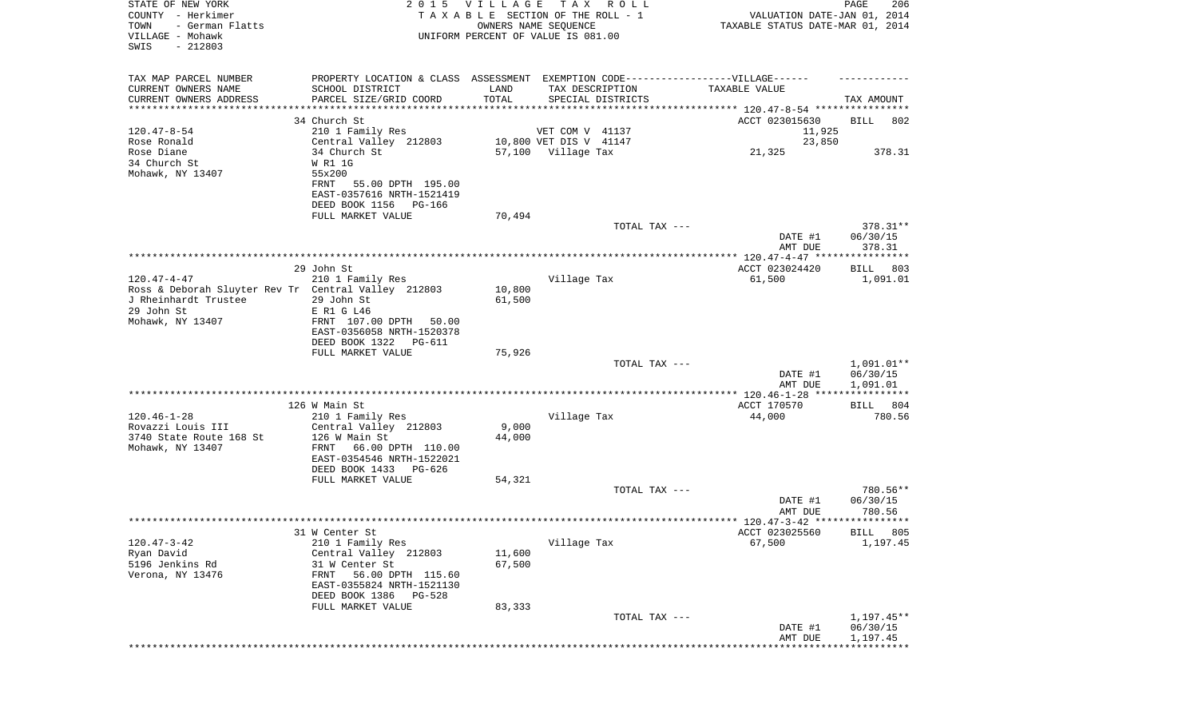| STATE OF NEW YORK<br>COUNTY - Herkimer<br>TOWN<br>- German Flatts<br>VILLAGE - Mohawk<br>SWIS<br>$-212803$ |                                                                                  | 2015 VILLAGE<br>TAXABLE SECTION OF THE ROLL - 1<br>UNIFORM PERCENT OF VALUE IS 081.00 | T A X<br>OWNERS NAME SEQUENCE | R O L L           | VALUATION DATE-JAN 01, 2014<br>TAXABLE STATUS DATE-MAR 01, 2014 | PAGE<br>206            |
|------------------------------------------------------------------------------------------------------------|----------------------------------------------------------------------------------|---------------------------------------------------------------------------------------|-------------------------------|-------------------|-----------------------------------------------------------------|------------------------|
| TAX MAP PARCEL NUMBER                                                                                      | PROPERTY LOCATION & CLASS ASSESSMENT EXEMPTION CODE----------------VILLAGE------ |                                                                                       |                               |                   |                                                                 |                        |
| CURRENT OWNERS NAME<br>CURRENT OWNERS ADDRESS                                                              | SCHOOL DISTRICT<br>PARCEL SIZE/GRID COORD                                        | LAND<br>TOTAL                                                                         | TAX DESCRIPTION               | SPECIAL DISTRICTS | TAXABLE VALUE                                                   | TAX AMOUNT             |
| **********************                                                                                     |                                                                                  |                                                                                       |                               |                   |                                                                 |                        |
|                                                                                                            | 34 Church St                                                                     |                                                                                       |                               |                   | ACCT 023015630                                                  | BILL<br>802            |
| $120.47 - 8 - 54$                                                                                          | 210 1 Family Res                                                                 |                                                                                       | VET COM V 41137               |                   | 11,925                                                          |                        |
| Rose Ronald                                                                                                | Central Valley 212803                                                            |                                                                                       | 10,800 VET DIS V 41147        |                   | 23,850                                                          |                        |
| Rose Diane                                                                                                 | 34 Church St                                                                     |                                                                                       | 57,100 Village Tax            |                   | 21,325                                                          | 378.31                 |
| 34 Church St<br>Mohawk, NY 13407                                                                           | W R1 1G<br>55x200                                                                |                                                                                       |                               |                   |                                                                 |                        |
|                                                                                                            | 55.00 DPTH 195.00<br>FRNT                                                        |                                                                                       |                               |                   |                                                                 |                        |
|                                                                                                            | EAST-0357616 NRTH-1521419                                                        |                                                                                       |                               |                   |                                                                 |                        |
|                                                                                                            | DEED BOOK 1156 PG-166                                                            |                                                                                       |                               |                   |                                                                 |                        |
|                                                                                                            | FULL MARKET VALUE                                                                | 70,494                                                                                |                               |                   |                                                                 |                        |
|                                                                                                            |                                                                                  |                                                                                       |                               | TOTAL TAX ---     | DATE #1                                                         | $378.31**$<br>06/30/15 |
|                                                                                                            |                                                                                  |                                                                                       |                               |                   | AMT DUE                                                         | 378.31                 |
|                                                                                                            |                                                                                  |                                                                                       |                               |                   |                                                                 |                        |
|                                                                                                            | 29 John St                                                                       |                                                                                       |                               |                   | ACCT 023024420                                                  | 803<br>BILL            |
| $120.47 - 4 - 47$                                                                                          | 210 1 Family Res                                                                 |                                                                                       | Village Tax                   |                   | 61,500                                                          | 1,091.01               |
| Ross & Deborah Sluyter Rev Tr Central Valley 212803<br>J Rheinhardt Trustee                                | 29 John St                                                                       | 10,800<br>61,500                                                                      |                               |                   |                                                                 |                        |
| 29 John St                                                                                                 | E R1 G L46                                                                       |                                                                                       |                               |                   |                                                                 |                        |
| Mohawk, NY 13407                                                                                           | FRNT 107.00 DPTH 50.00                                                           |                                                                                       |                               |                   |                                                                 |                        |
|                                                                                                            | EAST-0356058 NRTH-1520378                                                        |                                                                                       |                               |                   |                                                                 |                        |
|                                                                                                            | DEED BOOK 1322<br>PG-611                                                         |                                                                                       |                               |                   |                                                                 |                        |
|                                                                                                            | FULL MARKET VALUE                                                                | 75,926                                                                                |                               | TOTAL TAX ---     |                                                                 | 1,091.01**             |
|                                                                                                            |                                                                                  |                                                                                       |                               |                   | DATE #1                                                         | 06/30/15               |
|                                                                                                            |                                                                                  |                                                                                       |                               |                   | AMT DUE                                                         | 1,091.01               |
|                                                                                                            |                                                                                  |                                                                                       |                               |                   |                                                                 |                        |
| $120.46 - 1 - 28$                                                                                          | 126 W Main St                                                                    |                                                                                       |                               |                   | ACCT 170570                                                     | 804<br>BILL            |
| Rovazzi Louis III                                                                                          | 210 1 Family Res<br>Central Valley 212803                                        | 9,000                                                                                 | Village Tax                   |                   | 44,000                                                          | 780.56                 |
| 3740 State Route 168 St                                                                                    | 126 W Main St                                                                    | 44,000                                                                                |                               |                   |                                                                 |                        |
| Mohawk, NY 13407                                                                                           | FRNT<br>66.00 DPTH 110.00                                                        |                                                                                       |                               |                   |                                                                 |                        |
|                                                                                                            | EAST-0354546 NRTH-1522021                                                        |                                                                                       |                               |                   |                                                                 |                        |
|                                                                                                            | DEED BOOK 1433<br>PG-626                                                         |                                                                                       |                               |                   |                                                                 |                        |
|                                                                                                            | FULL MARKET VALUE                                                                | 54,321                                                                                |                               | TOTAL TAX ---     |                                                                 | 780.56**               |
|                                                                                                            |                                                                                  |                                                                                       |                               |                   | DATE #1                                                         | 06/30/15               |
|                                                                                                            |                                                                                  |                                                                                       |                               |                   | AMT DUE                                                         | 780.56                 |
|                                                                                                            |                                                                                  |                                                                                       |                               |                   |                                                                 |                        |
|                                                                                                            | 31 W Center St                                                                   |                                                                                       |                               |                   | ACCT 023025560                                                  | BILL 805               |
| $120.47 - 3 - 42$<br>Ryan David                                                                            | 210 1 Family Res<br>Central Valley 212803                                        | 11,600                                                                                | Village Tax                   |                   | 67,500                                                          | 1,197.45               |
| 5196 Jenkins Rd                                                                                            | 31 W Center St                                                                   | 67,500                                                                                |                               |                   |                                                                 |                        |
| Verona, NY 13476                                                                                           | 56.00 DPTH 115.60<br>FRNT                                                        |                                                                                       |                               |                   |                                                                 |                        |
|                                                                                                            | EAST-0355824 NRTH-1521130                                                        |                                                                                       |                               |                   |                                                                 |                        |
|                                                                                                            | DEED BOOK 1386<br><b>PG-528</b>                                                  |                                                                                       |                               |                   |                                                                 |                        |
|                                                                                                            | FULL MARKET VALUE                                                                | 83,333                                                                                |                               | TOTAL TAX ---     |                                                                 | $1,197.45**$           |
|                                                                                                            |                                                                                  |                                                                                       |                               |                   | DATE #1                                                         | 06/30/15               |
|                                                                                                            |                                                                                  |                                                                                       |                               |                   | AMT DUE                                                         | 1,197.45               |
|                                                                                                            |                                                                                  |                                                                                       |                               |                   |                                                                 |                        |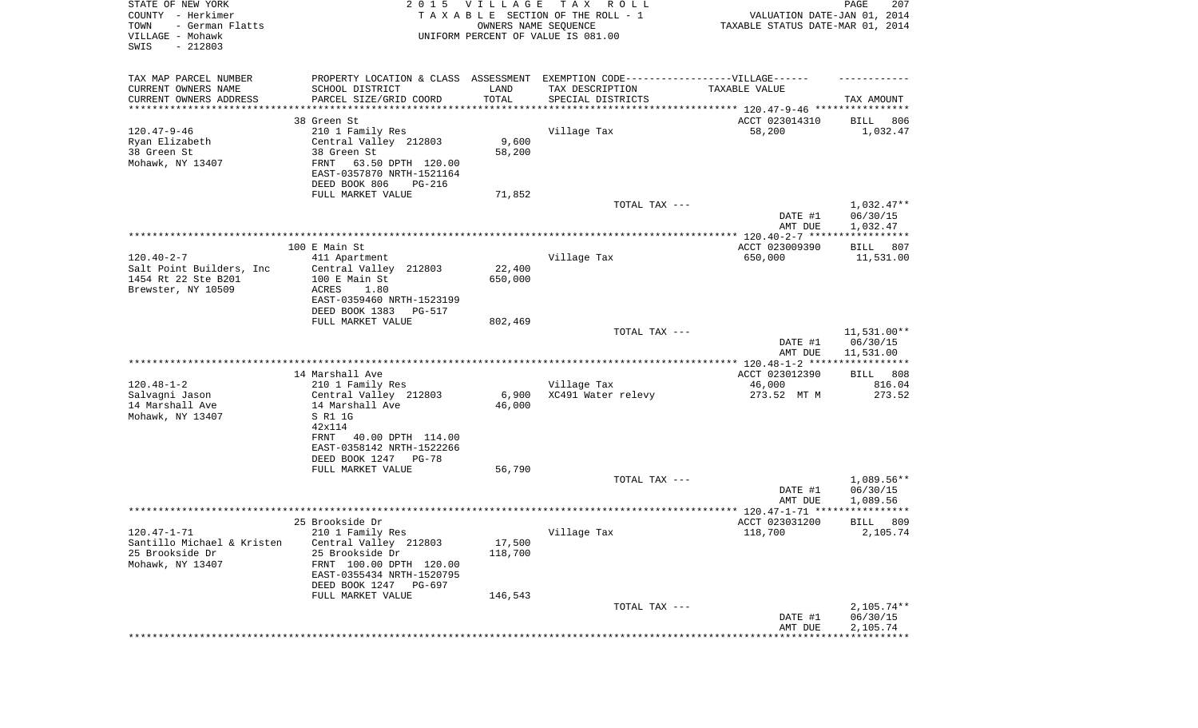| STATE OF NEW YORK<br>COUNTY - Herkimer<br>TOWN<br>- German Flatts<br>VILLAGE - Mohawk<br>SWIS<br>$-212803$ | 2 0 1 5                                                                           | VILLAGE<br>OWNERS NAME SEQUENCE | T A X<br>R O L L<br>TAXABLE SECTION OF THE ROLL - 1<br>UNIFORM PERCENT OF VALUE IS 081.00 | VALUATION DATE-JAN 01, 2014<br>TAXABLE STATUS DATE-MAR 01, 2014 | PAGE<br>207                        |
|------------------------------------------------------------------------------------------------------------|-----------------------------------------------------------------------------------|---------------------------------|-------------------------------------------------------------------------------------------|-----------------------------------------------------------------|------------------------------------|
| TAX MAP PARCEL NUMBER                                                                                      | PROPERTY LOCATION & CLASS ASSESSMENT EXEMPTION CODE-----------------VILLAGE------ |                                 |                                                                                           |                                                                 |                                    |
| CURRENT OWNERS NAME                                                                                        | SCHOOL DISTRICT                                                                   | LAND                            | TAX DESCRIPTION                                                                           | TAXABLE VALUE                                                   |                                    |
| CURRENT OWNERS ADDRESS<br>*********************                                                            | PARCEL SIZE/GRID COORD                                                            | TOTAL<br>* * * * * * * * * * *  | SPECIAL DISTRICTS                                                                         | ********************************** 120.47-9-46 **************** | TAX AMOUNT                         |
|                                                                                                            | 38 Green St                                                                       |                                 |                                                                                           | ACCT 023014310                                                  | BILL<br>806                        |
| $120.47 - 9 - 46$                                                                                          | 210 1 Family Res                                                                  |                                 | Village Tax                                                                               | 58,200                                                          | 1,032.47                           |
| Ryan Elizabeth                                                                                             | Central Valley 212803                                                             | 9,600                           |                                                                                           |                                                                 |                                    |
| 38 Green St<br>Mohawk, NY 13407                                                                            | 38 Green St<br>FRNT<br>63.50 DPTH 120.00                                          | 58,200                          |                                                                                           |                                                                 |                                    |
|                                                                                                            | EAST-0357870 NRTH-1521164                                                         |                                 |                                                                                           |                                                                 |                                    |
|                                                                                                            | DEED BOOK 806<br>PG-216                                                           |                                 |                                                                                           |                                                                 |                                    |
|                                                                                                            | FULL MARKET VALUE                                                                 | 71,852                          |                                                                                           |                                                                 |                                    |
|                                                                                                            |                                                                                   |                                 | TOTAL TAX ---                                                                             | DATE #1<br>AMT DUE                                              | 1,032.47**<br>06/30/15<br>1,032.47 |
|                                                                                                            |                                                                                   |                                 |                                                                                           |                                                                 |                                    |
|                                                                                                            | 100 E Main St                                                                     |                                 |                                                                                           | ACCT 023009390                                                  | BILL<br>807                        |
| $120.40 - 2 - 7$<br>Salt Point Builders, Inc.                                                              | 411 Apartment                                                                     |                                 | Village Tax                                                                               | 650,000                                                         | 11,531.00                          |
| 1454 Rt 22 Ste B201                                                                                        | Central Valley 212803<br>100 E Main St                                            | 22,400<br>650,000               |                                                                                           |                                                                 |                                    |
| Brewster, NY 10509                                                                                         | ACRES<br>1.80                                                                     |                                 |                                                                                           |                                                                 |                                    |
|                                                                                                            | EAST-0359460 NRTH-1523199                                                         |                                 |                                                                                           |                                                                 |                                    |
|                                                                                                            | DEED BOOK 1383<br>PG-517<br>FULL MARKET VALUE                                     | 802,469                         |                                                                                           |                                                                 |                                    |
|                                                                                                            |                                                                                   |                                 | TOTAL TAX ---                                                                             |                                                                 | $11,531.00**$                      |
|                                                                                                            |                                                                                   |                                 |                                                                                           | DATE #1<br>AMT DUE                                              | 06/30/15<br>11,531.00              |
|                                                                                                            |                                                                                   |                                 |                                                                                           |                                                                 |                                    |
| $120.48 - 1 - 2$                                                                                           | 14 Marshall Ave<br>210 1 Family Res                                               |                                 | Village Tax                                                                               | ACCT 023012390<br>46,000                                        | 808<br>BILL<br>816.04              |
| Salvagni Jason                                                                                             | Central Valley 212803                                                             | 6,900                           | XC491 Water relevy                                                                        | 273.52 MT M                                                     | 273.52                             |
| 14 Marshall Ave                                                                                            | 14 Marshall Ave                                                                   | 46,000                          |                                                                                           |                                                                 |                                    |
| Mohawk, NY 13407                                                                                           | S R1 1G<br>42x114                                                                 |                                 |                                                                                           |                                                                 |                                    |
|                                                                                                            | FRNT<br>40.00 DPTH 114.00                                                         |                                 |                                                                                           |                                                                 |                                    |
|                                                                                                            | EAST-0358142 NRTH-1522266                                                         |                                 |                                                                                           |                                                                 |                                    |
|                                                                                                            | DEED BOOK 1247 PG-78                                                              |                                 |                                                                                           |                                                                 |                                    |
|                                                                                                            | FULL MARKET VALUE                                                                 | 56,790                          | TOTAL TAX ---                                                                             |                                                                 | $1,089.56**$                       |
|                                                                                                            |                                                                                   |                                 |                                                                                           | DATE #1                                                         | 06/30/15                           |
|                                                                                                            |                                                                                   |                                 |                                                                                           | AMT DUE                                                         | 1,089.56                           |
|                                                                                                            |                                                                                   |                                 |                                                                                           |                                                                 | * * * * *                          |
|                                                                                                            | 25 Brookside Dr<br>210 1 Family Res                                               |                                 |                                                                                           | ACCT 023031200<br>118,700                                       | 809<br>BILL<br>2,105.74            |
| $120.47 - 1 - 71$<br>Santillo Michael & Kristen                                                            | Central Valley 212803                                                             | 17,500                          | Village Tax                                                                               |                                                                 |                                    |
| 25 Brookside Dr                                                                                            | 25 Brookside Dr                                                                   | 118,700                         |                                                                                           |                                                                 |                                    |
| Mohawk, NY 13407                                                                                           | FRNT 100.00 DPTH 120.00                                                           |                                 |                                                                                           |                                                                 |                                    |
|                                                                                                            | EAST-0355434 NRTH-1520795<br>DEED BOOK 1247<br>PG-697                             |                                 |                                                                                           |                                                                 |                                    |
|                                                                                                            | FULL MARKET VALUE                                                                 | 146,543                         |                                                                                           |                                                                 |                                    |
|                                                                                                            |                                                                                   |                                 | TOTAL TAX ---                                                                             |                                                                 | $2,105.74**$                       |
|                                                                                                            |                                                                                   |                                 |                                                                                           | DATE #1                                                         | 06/30/15                           |
|                                                                                                            |                                                                                   |                                 |                                                                                           | AMT DUE                                                         | 2,105.74                           |
|                                                                                                            |                                                                                   |                                 |                                                                                           |                                                                 |                                    |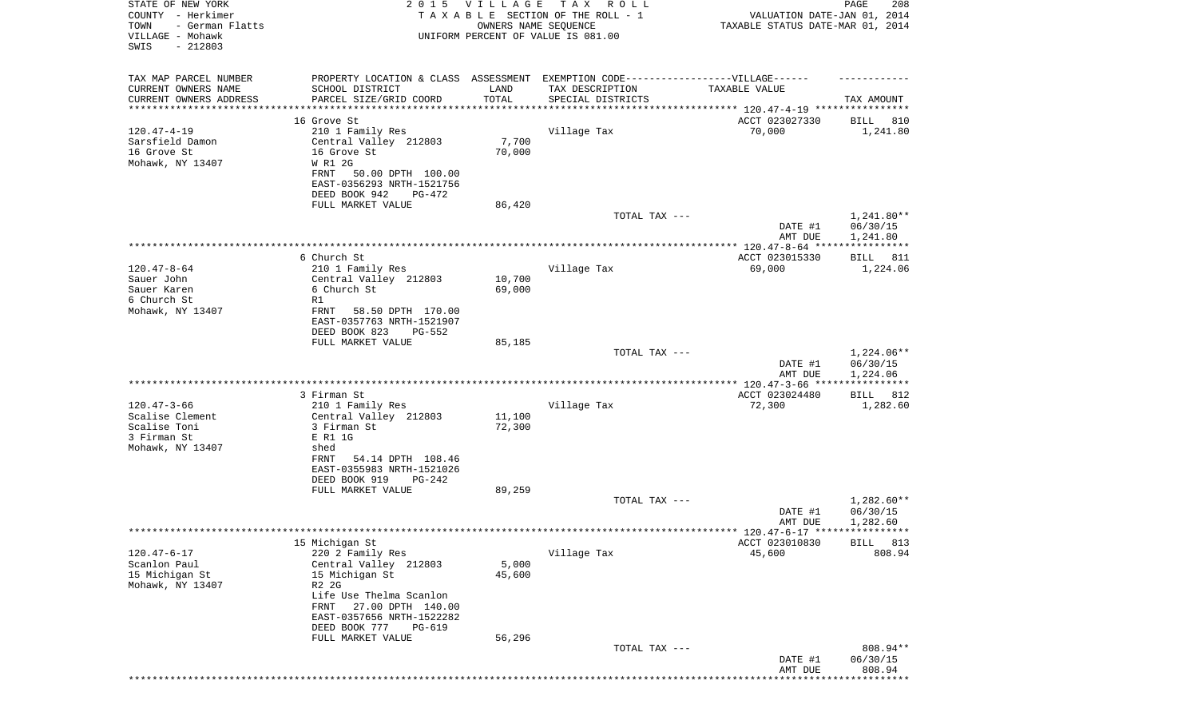| STATE OF NEW YORK<br>COUNTY - Herkimer<br>TOWN<br>- German Flatts<br>VILLAGE - Mohawk |                                                                                                                               | 2015 VILLAGE<br>OWNERS NAME SEQUENCE | TAX ROLL<br>TAXABLE SECTION OF THE ROLL - 1<br>UNIFORM PERCENT OF VALUE IS 081.00                    | VALUATION DATE-JAN 01, 2014<br>TAXABLE STATUS DATE-MAR 01, 2014 | PAGE<br>208                          |
|---------------------------------------------------------------------------------------|-------------------------------------------------------------------------------------------------------------------------------|--------------------------------------|------------------------------------------------------------------------------------------------------|-----------------------------------------------------------------|--------------------------------------|
| SWIS<br>$-212803$                                                                     |                                                                                                                               |                                      |                                                                                                      |                                                                 |                                      |
| TAX MAP PARCEL NUMBER<br>CURRENT OWNERS NAME<br>CURRENT OWNERS ADDRESS                | SCHOOL DISTRICT<br>PARCEL SIZE/GRID COORD                                                                                     | LAND<br>TOTAL                        | PROPERTY LOCATION & CLASS ASSESSMENT EXEMPTION CODE-----------------VILLAGE------<br>TAX DESCRIPTION | TAXABLE VALUE                                                   |                                      |
| ********************                                                                  |                                                                                                                               |                                      | SPECIAL DISTRICTS                                                                                    | ***************************** 120.47-4-19 ****************      | TAX AMOUNT                           |
|                                                                                       | 16 Grove St                                                                                                                   |                                      |                                                                                                      | ACCT 023027330                                                  | BILL 810                             |
| $120.47 - 4 - 19$<br>Sarsfield Damon<br>16 Grove St<br>Mohawk, NY 13407               | 210 1 Family Res<br>Central Valley 212803<br>16 Grove St<br>W R1 2G<br>50.00 DPTH 100.00<br>FRNT<br>EAST-0356293 NRTH-1521756 | 7,700<br>70,000                      | Village Tax                                                                                          | 70,000                                                          | 1,241.80                             |
|                                                                                       | DEED BOOK 942<br>PG-472                                                                                                       |                                      |                                                                                                      |                                                                 |                                      |
|                                                                                       | FULL MARKET VALUE                                                                                                             | 86,420                               | TOTAL TAX ---                                                                                        |                                                                 | 1,241.80**                           |
|                                                                                       |                                                                                                                               |                                      |                                                                                                      | DATE #1<br>AMT DUE                                              | 06/30/15<br>1,241.80                 |
|                                                                                       |                                                                                                                               |                                      |                                                                                                      |                                                                 |                                      |
| $120.47 - 8 - 64$                                                                     | 6 Church St<br>210 1 Family Res                                                                                               |                                      | Village Tax                                                                                          | ACCT 023015330<br>69,000                                        | BILL 811<br>1,224.06                 |
| Sauer John                                                                            | Central Valley 212803                                                                                                         | 10,700                               |                                                                                                      |                                                                 |                                      |
| Sauer Karen                                                                           | 6 Church St                                                                                                                   | 69,000                               |                                                                                                      |                                                                 |                                      |
| 6 Church St                                                                           | R1                                                                                                                            |                                      |                                                                                                      |                                                                 |                                      |
| Mohawk, NY 13407                                                                      | FRNT<br>58.50 DPTH 170.00<br>EAST-0357763 NRTH-1521907                                                                        |                                      |                                                                                                      |                                                                 |                                      |
|                                                                                       | DEED BOOK 823<br><b>PG-552</b>                                                                                                |                                      |                                                                                                      |                                                                 |                                      |
|                                                                                       | FULL MARKET VALUE                                                                                                             | 85,185                               |                                                                                                      |                                                                 |                                      |
|                                                                                       |                                                                                                                               |                                      | TOTAL TAX ---                                                                                        | DATE #1<br>AMT DUE                                              | $1,224.06**$<br>06/30/15<br>1,224.06 |
|                                                                                       |                                                                                                                               |                                      |                                                                                                      |                                                                 | ***********                          |
|                                                                                       | 3 Firman St                                                                                                                   |                                      |                                                                                                      | ACCT 023024480                                                  | 812<br>BILL                          |
| $120.47 - 3 - 66$<br>Scalise Clement                                                  | 210 1 Family Res<br>Central Valley 212803                                                                                     | 11,100                               | Village Tax                                                                                          | 72,300                                                          | 1,282.60                             |
| Scalise Toni                                                                          | 3 Firman St                                                                                                                   | 72,300                               |                                                                                                      |                                                                 |                                      |
| 3 Firman St                                                                           | E R1 1G                                                                                                                       |                                      |                                                                                                      |                                                                 |                                      |
| Mohawk, NY 13407                                                                      | shed<br>FRNT<br>54.14 DPTH 108.46                                                                                             |                                      |                                                                                                      |                                                                 |                                      |
|                                                                                       | EAST-0355983 NRTH-1521026                                                                                                     |                                      |                                                                                                      |                                                                 |                                      |
|                                                                                       | DEED BOOK 919<br>PG-242                                                                                                       |                                      |                                                                                                      |                                                                 |                                      |
|                                                                                       | FULL MARKET VALUE                                                                                                             | 89,259                               |                                                                                                      |                                                                 |                                      |
|                                                                                       |                                                                                                                               |                                      | TOTAL TAX ---                                                                                        | DATE #1<br>AMT DUE                                              | $1,282.60**$<br>06/30/15<br>1,282.60 |
|                                                                                       |                                                                                                                               |                                      |                                                                                                      | ******* 120.47-6-17 *****************                           |                                      |
|                                                                                       | 15 Michigan St                                                                                                                |                                      |                                                                                                      | ACCT 023010830                                                  | 813<br><b>BILL</b>                   |
| $120.47 - 6 - 17$<br>Scanlon Paul                                                     | 220 2 Family Res<br>Central Valley 212803                                                                                     | 5,000                                | Village Tax                                                                                          | 45,600                                                          | 808.94                               |
| 15 Michigan St                                                                        | 15 Michigan St                                                                                                                | 45,600                               |                                                                                                      |                                                                 |                                      |
| Mohawk, NY 13407                                                                      | R2 2G                                                                                                                         |                                      |                                                                                                      |                                                                 |                                      |
|                                                                                       | Life Use Thelma Scanlon<br>27.00 DPTH 140.00<br>FRNT                                                                          |                                      |                                                                                                      |                                                                 |                                      |
|                                                                                       | EAST-0357656 NRTH-1522282<br>DEED BOOK 777<br><b>PG-619</b>                                                                   |                                      |                                                                                                      |                                                                 |                                      |
|                                                                                       | FULL MARKET VALUE                                                                                                             | 56,296                               |                                                                                                      |                                                                 |                                      |
|                                                                                       |                                                                                                                               |                                      | TOTAL TAX ---                                                                                        | DATE #1                                                         | 808.94**<br>06/30/15                 |
|                                                                                       |                                                                                                                               |                                      |                                                                                                      | AMT DUE                                                         | 808.94                               |
|                                                                                       |                                                                                                                               |                                      |                                                                                                      |                                                                 |                                      |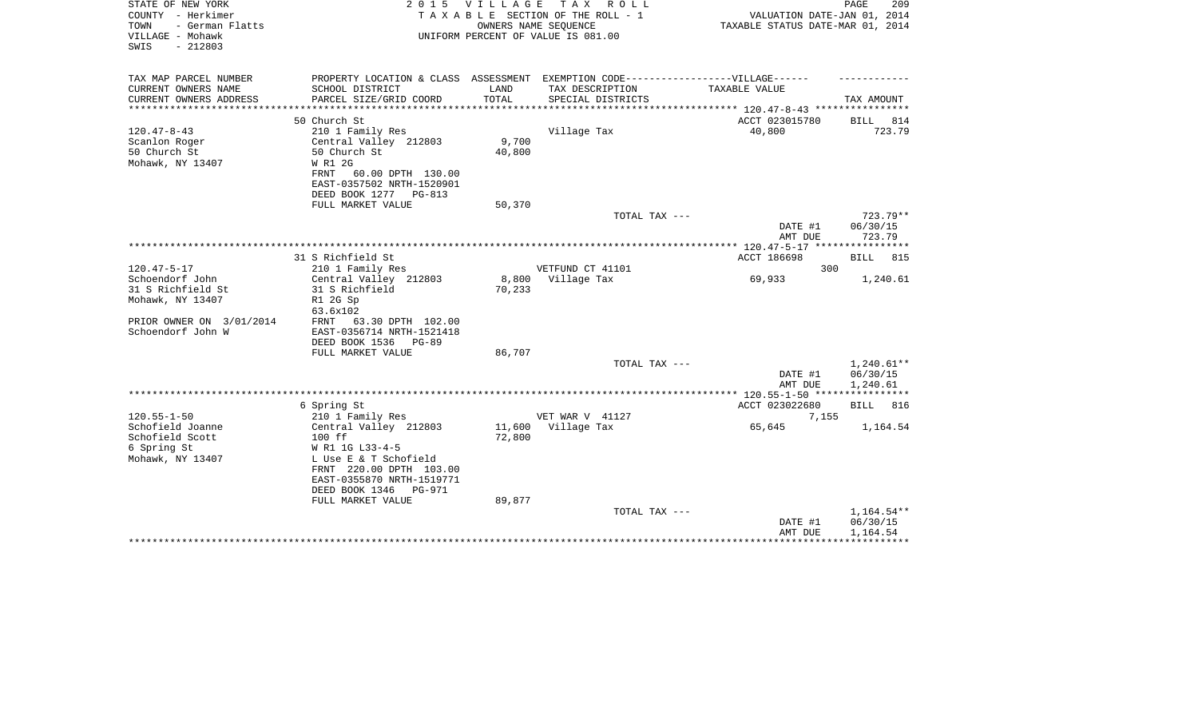| STATE OF NEW YORK<br>COUNTY - Herkimer<br>- German Flatts<br>TOWN<br>VILLAGE - Mohawk<br>$-212803$<br>SWIS |                                                                                                                                                                                      | 2015 VILLAGE<br>OWNERS NAME SEQUENCE | TAX ROLL<br>TAXABLE SECTION OF THE ROLL - 1<br>UNIFORM PERCENT OF VALUE IS 081.00 | VALUATION DATE-JAN 01, 2014<br>TAXABLE STATUS DATE-MAR 01, 2014 | PAGE<br>209                          |
|------------------------------------------------------------------------------------------------------------|--------------------------------------------------------------------------------------------------------------------------------------------------------------------------------------|--------------------------------------|-----------------------------------------------------------------------------------|-----------------------------------------------------------------|--------------------------------------|
| TAX MAP PARCEL NUMBER                                                                                      | PROPERTY LOCATION & CLASS ASSESSMENT EXEMPTION CODE-----------------VILLAGE------                                                                                                    |                                      |                                                                                   |                                                                 |                                      |
| CURRENT OWNERS NAME<br>CURRENT OWNERS ADDRESS<br>******************                                        | SCHOOL DISTRICT<br>PARCEL SIZE/GRID COORD<br>*******************                                                                                                                     | LAND<br>TOTAL<br>***********         | TAX DESCRIPTION<br>SPECIAL DISTRICTS                                              | TAXABLE VALUE<br>************ 120.47-8-43 *****************     | TAX AMOUNT                           |
|                                                                                                            | 50 Church St                                                                                                                                                                         |                                      |                                                                                   | ACCT 023015780                                                  | <b>BILL</b><br>814                   |
| $120.47 - 8 - 43$<br>Scanlon Roger<br>50 Church St<br>Mohawk, NY 13407                                     | 210 1 Family Res<br>Central Valley 212803<br>50 Church St<br>W R1 2G<br>FRNT<br>60.00 DPTH 130.00<br>EAST-0357502 NRTH-1520901<br>DEED BOOK 1277 PG-813                              | 9,700<br>40,800                      | Village Tax                                                                       | 40,800                                                          | 723.79                               |
|                                                                                                            | FULL MARKET VALUE                                                                                                                                                                    | 50,370                               |                                                                                   |                                                                 |                                      |
|                                                                                                            |                                                                                                                                                                                      |                                      | TOTAL TAX ---                                                                     | DATE #1<br>AMT DUE                                              | 723.79**<br>06/30/15<br>723.79       |
|                                                                                                            |                                                                                                                                                                                      |                                      |                                                                                   | ACCT 186698                                                     |                                      |
| $120.47 - 5 - 17$                                                                                          | 31 S Richfield St<br>210 1 Family Res                                                                                                                                                |                                      | VETFUND CT 41101                                                                  | 300                                                             | 815<br>BILL                          |
| Schoendorf John<br>31 S Richfield St<br>Mohawk, NY 13407<br>PRIOR OWNER ON 3/01/2014<br>Schoendorf John W  | Central Valley 212803<br>31 S Richfield<br>R1 2G Sp<br>63.6x102<br>63.30 DPTH 102.00<br>FRNT<br>EAST-0356714 NRTH-1521418<br>DEED BOOK 1536<br>PG-89                                 | 8,800<br>70,233                      | Village Tax                                                                       | 69,933                                                          | 1,240.61                             |
|                                                                                                            | FULL MARKET VALUE                                                                                                                                                                    | 86,707                               | TOTAL TAX ---                                                                     |                                                                 | 1,240.61**                           |
|                                                                                                            |                                                                                                                                                                                      |                                      |                                                                                   | DATE #1<br>AMT DUE                                              | 06/30/15<br>1,240.61                 |
|                                                                                                            |                                                                                                                                                                                      |                                      |                                                                                   | ************ 120.55-1-50 *****************                      |                                      |
|                                                                                                            | 6 Spring St                                                                                                                                                                          |                                      |                                                                                   | ACCT 023022680                                                  | 816<br><b>BILL</b>                   |
| $120.55 - 1 - 50$                                                                                          | 210 1 Family Res                                                                                                                                                                     |                                      | VET WAR V 41127                                                                   | 7,155                                                           |                                      |
| Schofield Joanne<br>Schofield Scott<br>6 Spring St<br>Mohawk, NY 13407                                     | Central Valley 212803<br>100 ff<br>W R1 1G L33-4-5<br>L Use E & T Schofield<br>FRNT 220.00 DPTH 103.00<br>EAST-0355870 NRTH-1519771<br>DEED BOOK 1346<br>PG-971<br>FULL MARKET VALUE | 11,600<br>72,800<br>89,877           | Village Tax                                                                       | 65,645                                                          | 1,164.54                             |
|                                                                                                            |                                                                                                                                                                                      |                                      | TOTAL TAX ---                                                                     | DATE #1<br>AMT DUE                                              | $1,164.54**$<br>06/30/15<br>1,164.54 |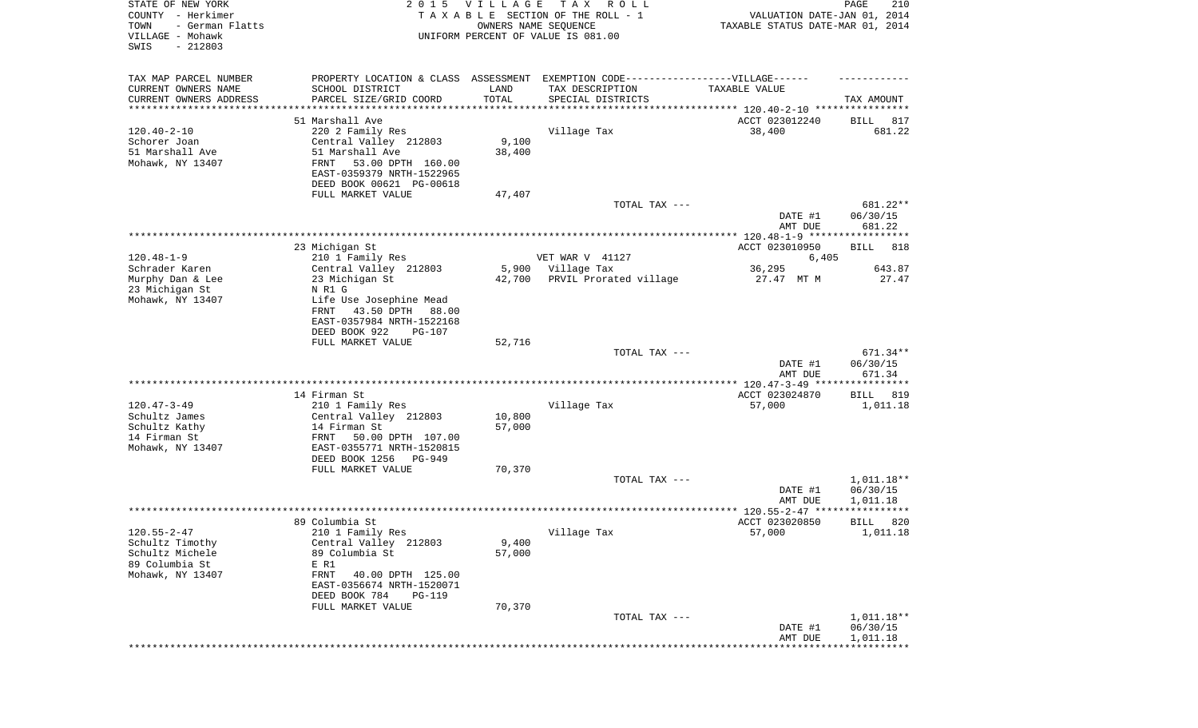| STATE OF NEW YORK<br>COUNTY - Herkimer<br>TOWN<br>- German Flatts<br>VILLAGE - Mohawk<br>SWIS<br>$-212803$ |                                              | 2015 VILLAGE<br>OWNERS NAME SEQUENCE | TAX ROLL<br>TAXABLE SECTION OF THE ROLL - 1<br>UNIFORM PERCENT OF VALUE IS 081.00 | VALUATION DATE-JAN 01, 2014<br>TAXABLE STATUS DATE-MAR 01, 2014 | 210<br>PAGE          |
|------------------------------------------------------------------------------------------------------------|----------------------------------------------|--------------------------------------|-----------------------------------------------------------------------------------|-----------------------------------------------------------------|----------------------|
| TAX MAP PARCEL NUMBER                                                                                      |                                              |                                      | PROPERTY LOCATION & CLASS ASSESSMENT EXEMPTION CODE----------------VILLAGE------  |                                                                 |                      |
| CURRENT OWNERS NAME<br>CURRENT OWNERS ADDRESS                                                              | SCHOOL DISTRICT<br>PARCEL SIZE/GRID COORD    | LAND<br>TOTAL                        | TAX DESCRIPTION<br>SPECIAL DISTRICTS                                              | TAXABLE VALUE                                                   | TAX AMOUNT           |
| *********************                                                                                      | ************************                     |                                      |                                                                                   |                                                                 |                      |
|                                                                                                            | 51 Marshall Ave                              |                                      |                                                                                   | ACCT 023012240                                                  | BILL<br>817          |
| $120.40 - 2 - 10$                                                                                          | 220 2 Family Res                             |                                      | Village Tax                                                                       | 38,400                                                          | 681.22               |
| Schorer Joan                                                                                               | Central Valley 212803                        | 9,100                                |                                                                                   |                                                                 |                      |
| 51 Marshall Ave                                                                                            | 51 Marshall Ave<br>FRNT<br>53.00 DPTH 160.00 | 38,400                               |                                                                                   |                                                                 |                      |
| Mohawk, NY 13407                                                                                           | EAST-0359379 NRTH-1522965                    |                                      |                                                                                   |                                                                 |                      |
|                                                                                                            | DEED BOOK 00621 PG-00618                     |                                      |                                                                                   |                                                                 |                      |
|                                                                                                            | FULL MARKET VALUE                            | 47,407                               |                                                                                   |                                                                 |                      |
|                                                                                                            |                                              |                                      | TOTAL TAX ---                                                                     |                                                                 | 681.22**             |
|                                                                                                            |                                              |                                      |                                                                                   | DATE #1                                                         | 06/30/15             |
|                                                                                                            |                                              |                                      |                                                                                   | AMT DUE                                                         | 681.22               |
|                                                                                                            |                                              |                                      |                                                                                   |                                                                 |                      |
|                                                                                                            | 23 Michigan St                               |                                      |                                                                                   | ACCT 023010950                                                  | 818<br>BILL          |
| $120.48 - 1 - 9$<br>Schrader Karen                                                                         | 210 1 Family Res<br>Central Valley 212803    |                                      | VET WAR V 41127<br>Village Tax                                                    | 6,405                                                           | 643.87               |
| Murphy Dan & Lee                                                                                           | 23 Michigan St                               | 5,900<br>42,700                      | PRVIL Prorated village                                                            | 36,295<br>27.47 MT M                                            | 27.47                |
| 23 Michigan St                                                                                             | N R1 G                                       |                                      |                                                                                   |                                                                 |                      |
| Mohawk, NY 13407                                                                                           | Life Use Josephine Mead                      |                                      |                                                                                   |                                                                 |                      |
|                                                                                                            | 43.50 DPTH<br>88.00<br>FRNT                  |                                      |                                                                                   |                                                                 |                      |
|                                                                                                            | EAST-0357984 NRTH-1522168                    |                                      |                                                                                   |                                                                 |                      |
|                                                                                                            | DEED BOOK 922<br><b>PG-107</b>               |                                      |                                                                                   |                                                                 |                      |
|                                                                                                            | FULL MARKET VALUE                            | 52,716                               |                                                                                   |                                                                 |                      |
|                                                                                                            |                                              |                                      | TOTAL TAX ---                                                                     |                                                                 | 671.34**             |
|                                                                                                            |                                              |                                      |                                                                                   | DATE #1<br>AMT DUE                                              | 06/30/15<br>671.34   |
|                                                                                                            |                                              |                                      |                                                                                   |                                                                 |                      |
|                                                                                                            | 14 Firman St                                 |                                      |                                                                                   | ACCT 023024870                                                  | BILL<br>819          |
| $120.47 - 3 - 49$                                                                                          | 210 1 Family Res                             |                                      | Village Tax                                                                       | 57,000                                                          | 1,011.18             |
| Schultz James                                                                                              | Central Valley 212803                        | 10,800                               |                                                                                   |                                                                 |                      |
| Schultz Kathy                                                                                              | 14 Firman St                                 | 57,000                               |                                                                                   |                                                                 |                      |
| 14 Firman St                                                                                               | FRNT<br>50.00 DPTH 107.00                    |                                      |                                                                                   |                                                                 |                      |
| Mohawk, NY 13407                                                                                           | EAST-0355771 NRTH-1520815                    |                                      |                                                                                   |                                                                 |                      |
|                                                                                                            | DEED BOOK 1256<br>PG-949                     |                                      |                                                                                   |                                                                 |                      |
|                                                                                                            | FULL MARKET VALUE                            | 70,370                               |                                                                                   |                                                                 |                      |
|                                                                                                            |                                              |                                      | TOTAL TAX ---                                                                     |                                                                 | $1,011.18**$         |
|                                                                                                            |                                              |                                      |                                                                                   | DATE #1<br>AMT DUE                                              | 06/30/15<br>1,011.18 |
|                                                                                                            |                                              |                                      |                                                                                   |                                                                 |                      |
|                                                                                                            | 89 Columbia St                               |                                      |                                                                                   | ACCT 023020850                                                  | 820<br>BILL          |
| $120.55 - 2 - 47$                                                                                          | 210 1 Family Res                             |                                      | Village Tax                                                                       | 57,000                                                          | 1,011.18             |
| Schultz Timothy                                                                                            | Central Valley 212803                        | 9,400                                |                                                                                   |                                                                 |                      |
| Schultz Michele                                                                                            | 89 Columbia St                               | 57,000                               |                                                                                   |                                                                 |                      |
| 89 Columbia St                                                                                             | E R1                                         |                                      |                                                                                   |                                                                 |                      |
| Mohawk, NY 13407                                                                                           | FRNT<br>40.00 DPTH 125.00                    |                                      |                                                                                   |                                                                 |                      |
|                                                                                                            | EAST-0356674 NRTH-1520071                    |                                      |                                                                                   |                                                                 |                      |
|                                                                                                            | DEED BOOK 784<br><b>PG-119</b>               |                                      |                                                                                   |                                                                 |                      |
|                                                                                                            | FULL MARKET VALUE                            | 70,370                               | TOTAL TAX ---                                                                     |                                                                 | 1,011.18**           |
|                                                                                                            |                                              |                                      |                                                                                   | DATE #1                                                         | 06/30/15             |
|                                                                                                            |                                              |                                      |                                                                                   | AMT DUE                                                         | 1,011.18             |
|                                                                                                            |                                              |                                      |                                                                                   |                                                                 |                      |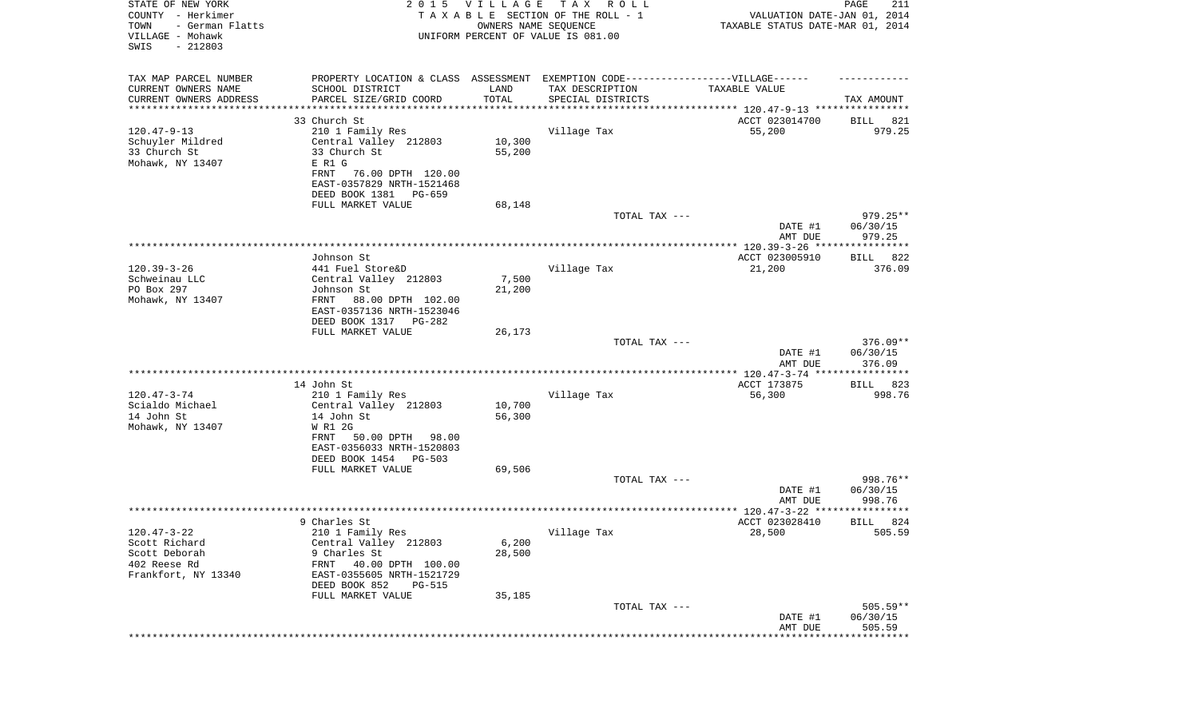| STATE OF NEW YORK<br>COUNTY - Herkimer<br>- German Flatts<br>TOWN<br>VILLAGE - Mohawk<br>$-212803$<br>SWIS |                                                                                                     | 2015 VILLAGE<br>OWNERS NAME SEQUENCE | T A X<br>R O L L<br>TAXABLE SECTION OF THE ROLL - 1<br>UNIFORM PERCENT OF VALUE IS 081.00 | VALUATION DATE-JAN 01, 2014<br>TAXABLE STATUS DATE-MAR 01, 2014 | PAGE<br>211        |
|------------------------------------------------------------------------------------------------------------|-----------------------------------------------------------------------------------------------------|--------------------------------------|-------------------------------------------------------------------------------------------|-----------------------------------------------------------------|--------------------|
| TAX MAP PARCEL NUMBER<br>CURRENT OWNERS NAME                                                               | PROPERTY LOCATION & CLASS ASSESSMENT EXEMPTION CODE----------------VILLAGE------<br>SCHOOL DISTRICT | LAND                                 | TAX DESCRIPTION                                                                           | TAXABLE VALUE                                                   |                    |
| CURRENT OWNERS ADDRESS<br>*******************                                                              | PARCEL SIZE/GRID COORD                                                                              | TOTAL                                | SPECIAL DISTRICTS                                                                         | ********************************* 120.47-9-13 ****************  | TAX AMOUNT         |
|                                                                                                            | 33 Church St                                                                                        |                                      |                                                                                           | ACCT 023014700                                                  | BILL<br>821        |
| $120.47 - 9 - 13$                                                                                          | 210 1 Family Res                                                                                    |                                      | Village Tax                                                                               | 55,200                                                          | 979.25             |
| Schuyler Mildred                                                                                           | Central Valley 212803                                                                               | 10,300                               |                                                                                           |                                                                 |                    |
| 33 Church St                                                                                               | 33 Church St                                                                                        | 55,200                               |                                                                                           |                                                                 |                    |
| Mohawk, NY 13407                                                                                           | E R1 G<br>FRNT<br>76.00 DPTH 120.00                                                                 |                                      |                                                                                           |                                                                 |                    |
|                                                                                                            | EAST-0357829 NRTH-1521468                                                                           |                                      |                                                                                           |                                                                 |                    |
|                                                                                                            | DEED BOOK 1381<br>PG-659                                                                            |                                      |                                                                                           |                                                                 |                    |
|                                                                                                            | FULL MARKET VALUE                                                                                   | 68,148                               |                                                                                           |                                                                 |                    |
|                                                                                                            |                                                                                                     |                                      | TOTAL TAX ---                                                                             |                                                                 | $979.25**$         |
|                                                                                                            |                                                                                                     |                                      |                                                                                           | DATE #1<br>AMT DUE                                              | 06/30/15<br>979.25 |
|                                                                                                            |                                                                                                     |                                      |                                                                                           |                                                                 |                    |
| $120.39 - 3 - 26$                                                                                          | Johnson St<br>441 Fuel Store&D                                                                      |                                      | Village Tax                                                                               | ACCT 023005910<br>21,200                                        | BILL 822<br>376.09 |
| Schweinau LLC                                                                                              | Central Valley 212803                                                                               | 7,500                                |                                                                                           |                                                                 |                    |
| PO Box 297                                                                                                 | Johnson St                                                                                          | 21,200                               |                                                                                           |                                                                 |                    |
| Mohawk, NY 13407                                                                                           | 88.00 DPTH 102.00<br>FRNT                                                                           |                                      |                                                                                           |                                                                 |                    |
|                                                                                                            | EAST-0357136 NRTH-1523046                                                                           |                                      |                                                                                           |                                                                 |                    |
|                                                                                                            | DEED BOOK 1317 PG-282                                                                               |                                      |                                                                                           |                                                                 |                    |
|                                                                                                            | FULL MARKET VALUE                                                                                   | 26,173                               | TOTAL TAX ---                                                                             |                                                                 | $376.09**$         |
|                                                                                                            |                                                                                                     |                                      |                                                                                           | DATE #1<br>AMT DUE                                              | 06/30/15<br>376.09 |
|                                                                                                            |                                                                                                     |                                      |                                                                                           | ************ 120.47-3-74 *****************                      |                    |
|                                                                                                            | 14 John St                                                                                          |                                      |                                                                                           | ACCT 173875                                                     | 823<br>BILL        |
| $120.47 - 3 - 74$                                                                                          | 210 1 Family Res                                                                                    |                                      | Village Tax                                                                               | 56,300                                                          | 998.76             |
| Scialdo Michael                                                                                            | Central Valley 212803                                                                               | 10,700                               |                                                                                           |                                                                 |                    |
| 14 John St                                                                                                 | 14 John St                                                                                          | 56,300                               |                                                                                           |                                                                 |                    |
| Mohawk, NY 13407                                                                                           | W R1 2G<br>FRNT<br>50.00 DPTH<br>98.00                                                              |                                      |                                                                                           |                                                                 |                    |
|                                                                                                            | EAST-0356033 NRTH-1520803                                                                           |                                      |                                                                                           |                                                                 |                    |
|                                                                                                            | DEED BOOK 1454 PG-503                                                                               |                                      |                                                                                           |                                                                 |                    |
|                                                                                                            | FULL MARKET VALUE                                                                                   | 69,506                               |                                                                                           |                                                                 |                    |
|                                                                                                            |                                                                                                     |                                      | TOTAL TAX ---                                                                             |                                                                 | 998.76**           |
|                                                                                                            |                                                                                                     |                                      |                                                                                           | DATE #1                                                         | 06/30/15           |
|                                                                                                            |                                                                                                     |                                      |                                                                                           | AMT DUE                                                         | 998.76<br>****     |
|                                                                                                            | 9 Charles St                                                                                        |                                      |                                                                                           | ACCT 023028410                                                  | 824<br>BILL        |
| $120.47 - 3 - 22$                                                                                          | 210 1 Family Res                                                                                    |                                      | Village Tax                                                                               | 28,500                                                          | 505.59             |
| Scott Richard                                                                                              | Central Valley 212803                                                                               | 6,200                                |                                                                                           |                                                                 |                    |
| Scott Deborah                                                                                              | 9 Charles St                                                                                        | 28,500                               |                                                                                           |                                                                 |                    |
| 402 Reese Rd                                                                                               | FRNT<br>40.00 DPTH 100.00                                                                           |                                      |                                                                                           |                                                                 |                    |
| Frankfort, NY 13340                                                                                        | EAST-0355605 NRTH-1521729<br>DEED BOOK 852                                                          |                                      |                                                                                           |                                                                 |                    |
|                                                                                                            | <b>PG-515</b><br>FULL MARKET VALUE                                                                  | 35,185                               |                                                                                           |                                                                 |                    |
|                                                                                                            |                                                                                                     |                                      | TOTAL TAX ---                                                                             |                                                                 | $505.59**$         |
|                                                                                                            |                                                                                                     |                                      |                                                                                           | DATE #1                                                         | 06/30/15           |
|                                                                                                            |                                                                                                     |                                      |                                                                                           | AMT DUE                                                         | 505.59             |
|                                                                                                            |                                                                                                     |                                      |                                                                                           | **************************                                      |                    |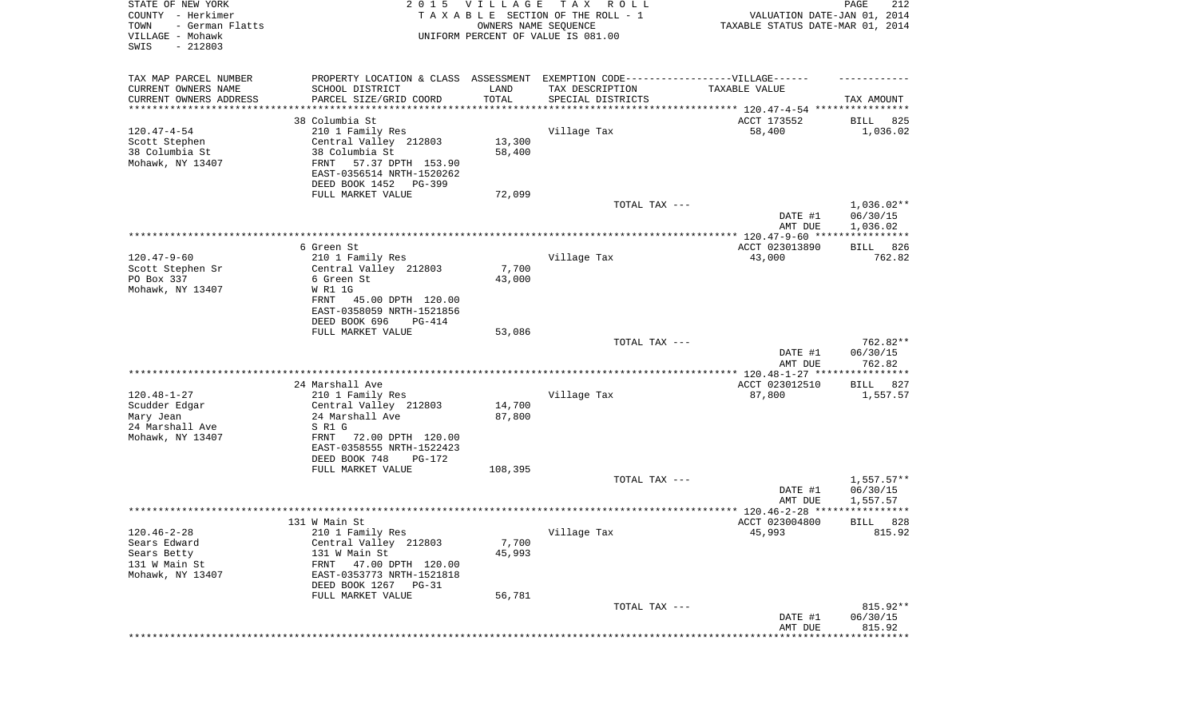| STATE OF NEW YORK<br>COUNTY - Herkimer<br>- German Flatts<br>TOWN<br>VILLAGE - Mohawk<br>$-212803$<br>SWIS |                                                                                                     | 2015 VILLAGE<br>OWNERS NAME SEQUENCE | T A X<br>R O L L<br>TAXABLE SECTION OF THE ROLL - 1<br>UNIFORM PERCENT OF VALUE IS 081.00 | VALUATION DATE-JAN 01, 2014<br>TAXABLE STATUS DATE-MAR 01, 2014               | PAGE<br>212              |
|------------------------------------------------------------------------------------------------------------|-----------------------------------------------------------------------------------------------------|--------------------------------------|-------------------------------------------------------------------------------------------|-------------------------------------------------------------------------------|--------------------------|
| TAX MAP PARCEL NUMBER<br>CURRENT OWNERS NAME                                                               | PROPERTY LOCATION & CLASS ASSESSMENT EXEMPTION CODE----------------VILLAGE------<br>SCHOOL DISTRICT | LAND                                 | TAX DESCRIPTION                                                                           | TAXABLE VALUE                                                                 |                          |
| CURRENT OWNERS ADDRESS<br>********************                                                             | PARCEL SIZE/GRID COORD                                                                              | TOTAL                                | SPECIAL DISTRICTS                                                                         |                                                                               | TAX AMOUNT               |
|                                                                                                            | 38 Columbia St                                                                                      |                                      |                                                                                           | ********************************* 120.47-4-54 ****************<br>ACCT 173552 | BILL<br>825              |
| $120.47 - 4 - 54$                                                                                          | 210 1 Family Res                                                                                    |                                      | Village Tax                                                                               | 58,400                                                                        | 1,036.02                 |
| Scott Stephen                                                                                              | Central Valley 212803                                                                               | 13,300                               |                                                                                           |                                                                               |                          |
| 38 Columbia St                                                                                             | 38 Columbia St                                                                                      | 58,400                               |                                                                                           |                                                                               |                          |
| Mohawk, NY 13407                                                                                           | FRNT<br>57.37 DPTH 153.90                                                                           |                                      |                                                                                           |                                                                               |                          |
|                                                                                                            | EAST-0356514 NRTH-1520262                                                                           |                                      |                                                                                           |                                                                               |                          |
|                                                                                                            | DEED BOOK 1452<br>PG-399                                                                            |                                      |                                                                                           |                                                                               |                          |
|                                                                                                            | FULL MARKET VALUE                                                                                   | 72,099                               |                                                                                           |                                                                               |                          |
|                                                                                                            |                                                                                                     |                                      | TOTAL TAX ---                                                                             | DATE #1                                                                       | $1,036.02**$<br>06/30/15 |
|                                                                                                            |                                                                                                     |                                      |                                                                                           | AMT DUE                                                                       | 1,036.02                 |
|                                                                                                            |                                                                                                     |                                      |                                                                                           |                                                                               |                          |
|                                                                                                            | 6 Green St                                                                                          |                                      |                                                                                           | ACCT 023013890                                                                | 826<br>BILL              |
| $120.47 - 9 - 60$                                                                                          | 210 1 Family Res                                                                                    |                                      | Village Tax                                                                               | 43,000                                                                        | 762.82                   |
| Scott Stephen Sr                                                                                           | Central Valley 212803                                                                               | 7,700                                |                                                                                           |                                                                               |                          |
| PO Box 337                                                                                                 | 6 Green St                                                                                          | 43,000                               |                                                                                           |                                                                               |                          |
| Mohawk, NY 13407                                                                                           | W R1 1G                                                                                             |                                      |                                                                                           |                                                                               |                          |
|                                                                                                            | 45.00 DPTH 120.00<br>FRNT<br>EAST-0358059 NRTH-1521856                                              |                                      |                                                                                           |                                                                               |                          |
|                                                                                                            | DEED BOOK 696<br>PG-414                                                                             |                                      |                                                                                           |                                                                               |                          |
|                                                                                                            | FULL MARKET VALUE                                                                                   | 53,086                               |                                                                                           |                                                                               |                          |
|                                                                                                            |                                                                                                     |                                      | TOTAL TAX ---                                                                             |                                                                               | 762.82**                 |
|                                                                                                            |                                                                                                     |                                      |                                                                                           | DATE #1                                                                       | 06/30/15                 |
|                                                                                                            |                                                                                                     |                                      |                                                                                           | AMT DUE<br>************* 120.48-1-27 *****************                        | 762.82                   |
|                                                                                                            | 24 Marshall Ave                                                                                     |                                      |                                                                                           | ACCT 023012510                                                                | 827<br>BILL              |
| $120.48 - 1 - 27$                                                                                          | 210 1 Family Res                                                                                    |                                      | Village Tax                                                                               | 87,800                                                                        | 1,557.57                 |
| Scudder Edgar                                                                                              | Central Valley 212803                                                                               | 14,700                               |                                                                                           |                                                                               |                          |
| Mary Jean                                                                                                  | 24 Marshall Ave                                                                                     | 87,800                               |                                                                                           |                                                                               |                          |
| 24 Marshall Ave                                                                                            | S R1 G                                                                                              |                                      |                                                                                           |                                                                               |                          |
| Mohawk, NY 13407                                                                                           | FRNT<br>72.00 DPTH 120.00                                                                           |                                      |                                                                                           |                                                                               |                          |
|                                                                                                            | EAST-0358555 NRTH-1522423                                                                           |                                      |                                                                                           |                                                                               |                          |
|                                                                                                            | DEED BOOK 748<br>PG-172<br>FULL MARKET VALUE                                                        | 108,395                              |                                                                                           |                                                                               |                          |
|                                                                                                            |                                                                                                     |                                      | TOTAL TAX ---                                                                             |                                                                               | $1,557.57**$             |
|                                                                                                            |                                                                                                     |                                      |                                                                                           | DATE #1                                                                       | 06/30/15                 |
|                                                                                                            |                                                                                                     |                                      |                                                                                           | AMT DUE                                                                       | 1,557.57                 |
|                                                                                                            |                                                                                                     |                                      |                                                                                           |                                                                               | * * * * *                |
|                                                                                                            | 131 W Main St                                                                                       |                                      |                                                                                           | ACCT 023004800                                                                | 828<br>BILL              |
| 120.46-2-28<br>Sears Edward                                                                                | 210 1 Family Res<br>Central Valley 212803                                                           | 7,700                                | Village Tax                                                                               | 45,993                                                                        | 815.92                   |
| Sears Betty                                                                                                | 131 W Main St                                                                                       | 45,993                               |                                                                                           |                                                                               |                          |
| 131 W Main St                                                                                              | 47.00 DPTH 120.00<br>FRNT                                                                           |                                      |                                                                                           |                                                                               |                          |
| Mohawk, NY 13407                                                                                           | EAST-0353773 NRTH-1521818                                                                           |                                      |                                                                                           |                                                                               |                          |
|                                                                                                            | DEED BOOK 1267 PG-31                                                                                |                                      |                                                                                           |                                                                               |                          |
|                                                                                                            | FULL MARKET VALUE                                                                                   | 56,781                               |                                                                                           |                                                                               |                          |
|                                                                                                            |                                                                                                     |                                      | TOTAL TAX ---                                                                             |                                                                               | 815.92**                 |
|                                                                                                            |                                                                                                     |                                      |                                                                                           | DATE #1                                                                       | 06/30/15                 |
|                                                                                                            |                                                                                                     |                                      |                                                                                           | AMT DUE<br>**************************                                         | 815.92                   |
|                                                                                                            |                                                                                                     |                                      |                                                                                           |                                                                               |                          |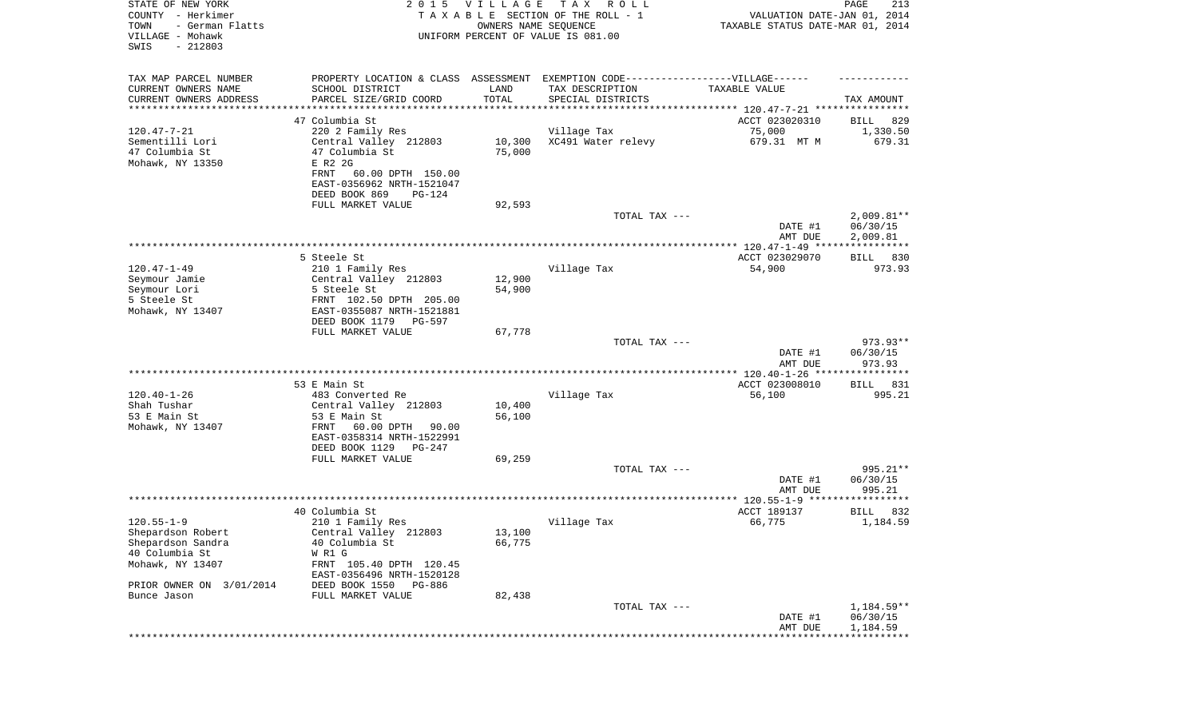| STATE OF NEW YORK<br>COUNTY - Herkimer<br>- German Flatts<br>TOWN<br>VILLAGE - Mohawk<br>SWIS<br>$-212803$ | 2015 VILLAGE<br>TAXABLE SECTION OF THE ROLL - 1<br>UNIFORM PERCENT OF VALUE IS 081.00 | PAGE<br>213<br>VALUATION DATE-JAN 01, 2014<br>TAXABLE STATUS DATE-MAR 01, 2014 |                                                                                                      |                                |                         |
|------------------------------------------------------------------------------------------------------------|---------------------------------------------------------------------------------------|--------------------------------------------------------------------------------|------------------------------------------------------------------------------------------------------|--------------------------------|-------------------------|
| TAX MAP PARCEL NUMBER<br>CURRENT OWNERS NAME                                                               | SCHOOL DISTRICT                                                                       | LAND                                                                           | PROPERTY LOCATION & CLASS ASSESSMENT EXEMPTION CODE-----------------VILLAGE------<br>TAX DESCRIPTION | TAXABLE VALUE                  |                         |
| CURRENT OWNERS ADDRESS<br>*******************                                                              | PARCEL SIZE/GRID COORD<br>****************                                            | TOTAL                                                                          | SPECIAL DISTRICTS<br>;******************************** 120.47-7-21 ****************                  |                                | TAX AMOUNT              |
|                                                                                                            | 47 Columbia St                                                                        |                                                                                |                                                                                                      | ACCT 023020310                 | 829<br>BILL             |
| $120.47 - 7 - 21$                                                                                          | 220 2 Family Res                                                                      |                                                                                | Village Tax                                                                                          | 75,000                         | 1,330.50                |
| Sementilli Lori                                                                                            | Central Valley 212803                                                                 | 10,300                                                                         | XC491 Water relevy                                                                                   | 679.31 MT M                    | 679.31                  |
| 47 Columbia St                                                                                             | 47 Columbia St                                                                        | 75,000                                                                         |                                                                                                      |                                |                         |
| Mohawk, NY 13350                                                                                           | E R2 2G<br><b>FRNT</b><br>60.00 DPTH 150.00                                           |                                                                                |                                                                                                      |                                |                         |
|                                                                                                            | EAST-0356962 NRTH-1521047                                                             |                                                                                |                                                                                                      |                                |                         |
|                                                                                                            | DEED BOOK 869<br>PG-124                                                               |                                                                                |                                                                                                      |                                |                         |
|                                                                                                            | FULL MARKET VALUE                                                                     | 92,593                                                                         |                                                                                                      |                                |                         |
|                                                                                                            |                                                                                       |                                                                                | TOTAL TAX ---                                                                                        |                                | $2,009.81**$            |
|                                                                                                            |                                                                                       |                                                                                |                                                                                                      | DATE #1<br>AMT DUE             | 06/30/15<br>2,009.81    |
|                                                                                                            |                                                                                       |                                                                                |                                                                                                      |                                |                         |
|                                                                                                            | 5 Steele St                                                                           |                                                                                |                                                                                                      | ACCT 023029070                 | BILL 830                |
| $120.47 - 1 - 49$                                                                                          | 210 1 Family Res                                                                      |                                                                                | Village Tax                                                                                          | 54,900                         | 973.93                  |
| Seymour Jamie                                                                                              | Central Valley 212803                                                                 | 12,900                                                                         |                                                                                                      |                                |                         |
| Seymour Lori<br>5 Steele St                                                                                | 5 Steele St<br>FRNT 102.50 DPTH 205.00                                                | 54,900                                                                         |                                                                                                      |                                |                         |
| Mohawk, NY 13407                                                                                           | EAST-0355087 NRTH-1521881                                                             |                                                                                |                                                                                                      |                                |                         |
|                                                                                                            | DEED BOOK 1179<br>PG-597                                                              |                                                                                |                                                                                                      |                                |                         |
|                                                                                                            | FULL MARKET VALUE                                                                     | 67,778                                                                         | TOTAL TAX ---                                                                                        |                                | 973.93**                |
|                                                                                                            |                                                                                       |                                                                                |                                                                                                      | DATE #1<br>AMT DUE             | 06/30/15<br>973.93      |
|                                                                                                            |                                                                                       |                                                                                |                                                                                                      | ************** 120.40-1-26 *** | * * * * * * * * * * * * |
|                                                                                                            | 53 E Main St                                                                          |                                                                                |                                                                                                      | ACCT 023008010                 | 831<br>BILL             |
| $120.40 - 1 - 26$                                                                                          | 483 Converted Re                                                                      |                                                                                | Village Tax                                                                                          | 56,100                         | 995.21                  |
| Shah Tushar                                                                                                | Central Valley 212803                                                                 | 10,400                                                                         |                                                                                                      |                                |                         |
| 53 E Main St                                                                                               | 53 E Main St                                                                          | 56,100                                                                         |                                                                                                      |                                |                         |
| Mohawk, NY 13407                                                                                           | FRNT<br>60.00 DPTH<br>90.00                                                           |                                                                                |                                                                                                      |                                |                         |
|                                                                                                            | EAST-0358314 NRTH-1522991<br>DEED BOOK 1129<br>PG-247                                 |                                                                                |                                                                                                      |                                |                         |
|                                                                                                            | FULL MARKET VALUE                                                                     | 69,259                                                                         |                                                                                                      |                                |                         |
|                                                                                                            |                                                                                       |                                                                                | TOTAL TAX ---                                                                                        |                                | 995.21**                |
|                                                                                                            |                                                                                       |                                                                                |                                                                                                      | DATE #1<br>AMT DUE             | 06/30/15<br>995.21      |
|                                                                                                            |                                                                                       |                                                                                |                                                                                                      |                                |                         |
|                                                                                                            | 40 Columbia St                                                                        |                                                                                |                                                                                                      | ACCT 189137                    | 832<br>BILL             |
| $120.55 - 1 - 9$                                                                                           | 210 1 Family Res                                                                      |                                                                                | Village Tax                                                                                          | 66,775                         | 1,184.59                |
| Shepardson Robert                                                                                          | Central Valley 212803                                                                 | 13,100                                                                         |                                                                                                      |                                |                         |
| Shepardson Sandra                                                                                          | 40 Columbia St                                                                        | 66,775                                                                         |                                                                                                      |                                |                         |
| 40 Columbia St                                                                                             | W R1 G                                                                                |                                                                                |                                                                                                      |                                |                         |
| Mohawk, NY 13407                                                                                           | FRNT 105.40 DPTH 120.45<br>EAST-0356496 NRTH-1520128                                  |                                                                                |                                                                                                      |                                |                         |
| PRIOR OWNER ON 3/01/2014                                                                                   | DEED BOOK 1550<br>PG-886                                                              |                                                                                |                                                                                                      |                                |                         |
| Bunce Jason                                                                                                | FULL MARKET VALUE                                                                     | 82,438                                                                         |                                                                                                      |                                |                         |
|                                                                                                            |                                                                                       |                                                                                | TOTAL TAX ---                                                                                        | DATE #1                        | 1,184.59**<br>06/30/15  |
|                                                                                                            |                                                                                       |                                                                                |                                                                                                      | AMT DUE                        | 1,184.59                |
|                                                                                                            |                                                                                       |                                                                                |                                                                                                      |                                |                         |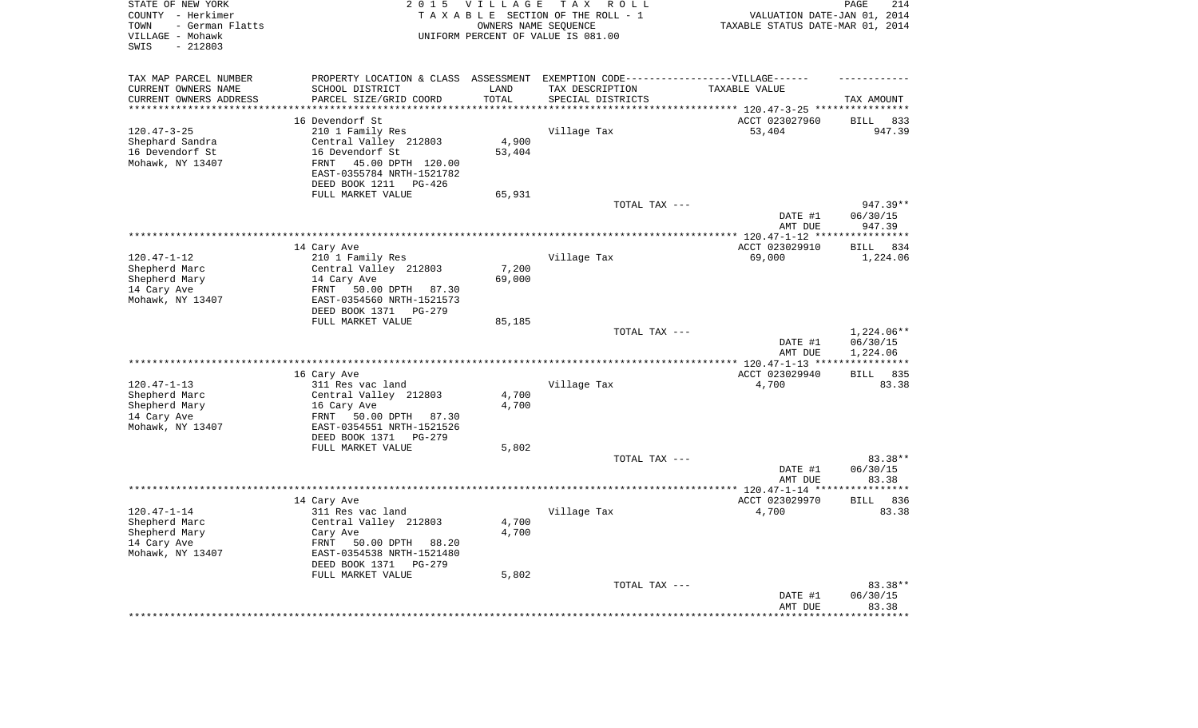| STATE OF NEW YORK<br>COUNTY - Herkimer<br>- German Flatts<br>TOWN<br>VILLAGE - Mohawk<br>$-212803$<br>SWIS | 2 0 1 5                                                                           | VILLAGE           | T A X<br>R O L L<br>TAXABLE SECTION OF THE ROLL - 1<br>OWNERS NAME SEQUENCE<br>UNIFORM PERCENT OF VALUE IS 081.00 | VALUATION DATE-JAN 01, 2014<br>TAXABLE STATUS DATE-MAR 01, 2014 | PAGE<br>214        |
|------------------------------------------------------------------------------------------------------------|-----------------------------------------------------------------------------------|-------------------|-------------------------------------------------------------------------------------------------------------------|-----------------------------------------------------------------|--------------------|
| TAX MAP PARCEL NUMBER                                                                                      | PROPERTY LOCATION & CLASS ASSESSMENT EXEMPTION CODE-----------------VILLAGE------ |                   |                                                                                                                   |                                                                 |                    |
| CURRENT OWNERS NAME                                                                                        | SCHOOL DISTRICT                                                                   | LAND              | TAX DESCRIPTION                                                                                                   | TAXABLE VALUE                                                   |                    |
| CURRENT OWNERS ADDRESS<br>********************                                                             | PARCEL SIZE/GRID COORD<br>*******************                                     | TOTAL<br>******** | SPECIAL DISTRICTS                                                                                                 |                                                                 | TAX AMOUNT         |
|                                                                                                            |                                                                                   |                   |                                                                                                                   | ******************************** 120.47-3-25 *****************  |                    |
|                                                                                                            | 16 Devendorf St                                                                   |                   |                                                                                                                   | ACCT 023027960                                                  | <b>BILL</b><br>833 |
| $120.47 - 3 - 25$<br>Shephard Sandra                                                                       | 210 1 Family Res<br>Central Valley 212803                                         | 4,900             | Village Tax                                                                                                       | 53,404                                                          | 947.39             |
| 16 Devendorf St                                                                                            | 16 Devendorf St                                                                   | 53,404            |                                                                                                                   |                                                                 |                    |
| Mohawk, NY 13407                                                                                           | 45.00 DPTH 120.00<br><b>FRNT</b>                                                  |                   |                                                                                                                   |                                                                 |                    |
|                                                                                                            | EAST-0355784 NRTH-1521782<br>DEED BOOK 1211<br>PG-426                             |                   |                                                                                                                   |                                                                 |                    |
|                                                                                                            | FULL MARKET VALUE                                                                 | 65,931            |                                                                                                                   |                                                                 |                    |
|                                                                                                            |                                                                                   |                   | TOTAL TAX ---                                                                                                     |                                                                 | 947.39**           |
|                                                                                                            |                                                                                   |                   |                                                                                                                   | DATE #1<br>AMT DUE                                              | 06/30/15<br>947.39 |
|                                                                                                            | *****************                                                                 |                   | ***********************************                                                                               | ******** 120.47-1-12 **                                         | **********         |
|                                                                                                            | 14 Cary Ave                                                                       |                   |                                                                                                                   | ACCT 023029910                                                  | 834<br>BILL        |
| $120.47 - 1 - 12$                                                                                          | 210 1 Family Res                                                                  |                   | Village Tax                                                                                                       | 69,000                                                          | 1,224.06           |
| Shepherd Marc                                                                                              | Central Valley 212803                                                             | 7,200             |                                                                                                                   |                                                                 |                    |
| Shepherd Mary                                                                                              | 14 Cary Ave                                                                       | 69,000            |                                                                                                                   |                                                                 |                    |
| 14 Cary Ave                                                                                                | 50.00 DPTH 87.30<br>FRNT                                                          |                   |                                                                                                                   |                                                                 |                    |
| Mohawk, NY 13407                                                                                           | EAST-0354560 NRTH-1521573                                                         |                   |                                                                                                                   |                                                                 |                    |
|                                                                                                            | DEED BOOK 1371<br>$PG-279$<br>FULL MARKET VALUE                                   | 85,185            |                                                                                                                   |                                                                 |                    |
|                                                                                                            |                                                                                   |                   | TOTAL TAX ---                                                                                                     |                                                                 | 1,224.06**         |
|                                                                                                            |                                                                                   |                   |                                                                                                                   | DATE #1                                                         | 06/30/15           |
|                                                                                                            |                                                                                   |                   |                                                                                                                   | AMT DUE                                                         | 1,224.06           |
|                                                                                                            |                                                                                   |                   |                                                                                                                   | ** $120.47 - 1 - 13$ **                                         |                    |
|                                                                                                            | 16 Cary Ave                                                                       |                   |                                                                                                                   | ACCT 023029940                                                  | 835<br>BILL        |
| $120.47 - 1 - 13$                                                                                          | 311 Res vac land                                                                  |                   | Village Tax                                                                                                       | 4,700                                                           | 83.38              |
| Shepherd Marc                                                                                              | Central Valley 212803                                                             | 4,700             |                                                                                                                   |                                                                 |                    |
| Shepherd Mary                                                                                              | 16 Cary Ave                                                                       | 4,700             |                                                                                                                   |                                                                 |                    |
| 14 Cary Ave<br>Mohawk, NY 13407                                                                            | FRNT<br>50.00 DPTH<br>87.30<br>EAST-0354551 NRTH-1521526                          |                   |                                                                                                                   |                                                                 |                    |
|                                                                                                            | DEED BOOK 1371<br>$PG-279$                                                        |                   |                                                                                                                   |                                                                 |                    |
|                                                                                                            | FULL MARKET VALUE                                                                 | 5,802             |                                                                                                                   |                                                                 |                    |
|                                                                                                            |                                                                                   |                   | TOTAL TAX ---                                                                                                     |                                                                 | 83.38**            |
|                                                                                                            |                                                                                   |                   |                                                                                                                   | DATE #1                                                         | 06/30/15           |
|                                                                                                            |                                                                                   |                   |                                                                                                                   | AMT DUE                                                         | 83.38              |
|                                                                                                            |                                                                                   |                   |                                                                                                                   | ************ 120.47-1-14 ***                                    | * * * * * * * *    |
|                                                                                                            | 14 Cary Ave                                                                       |                   |                                                                                                                   | ACCT 023029970                                                  | <b>BILL</b><br>836 |
| $120.47 - 1 - 14$                                                                                          | 311 Res vac land                                                                  |                   | Village Tax                                                                                                       | 4,700                                                           | 83.38              |
| Shepherd Marc                                                                                              | Central Valley 212803                                                             | 4,700             |                                                                                                                   |                                                                 |                    |
| Shepherd Mary<br>14 Cary Ave                                                                               | Cary Ave<br>FRNT                                                                  | 4,700             |                                                                                                                   |                                                                 |                    |
| Mohawk, NY 13407                                                                                           | 50.00 DPTH<br>88.20<br>EAST-0354538 NRTH-1521480                                  |                   |                                                                                                                   |                                                                 |                    |
|                                                                                                            | DEED BOOK 1371<br>$PG-279$                                                        |                   |                                                                                                                   |                                                                 |                    |
|                                                                                                            | FULL MARKET VALUE                                                                 | 5,802             |                                                                                                                   |                                                                 |                    |
|                                                                                                            |                                                                                   |                   | TOTAL TAX ---                                                                                                     |                                                                 | 83.38**            |
|                                                                                                            |                                                                                   |                   |                                                                                                                   | DATE #1                                                         | 06/30/15           |
|                                                                                                            |                                                                                   |                   |                                                                                                                   | AMT DUE                                                         | 83.38              |
|                                                                                                            |                                                                                   |                   |                                                                                                                   |                                                                 |                    |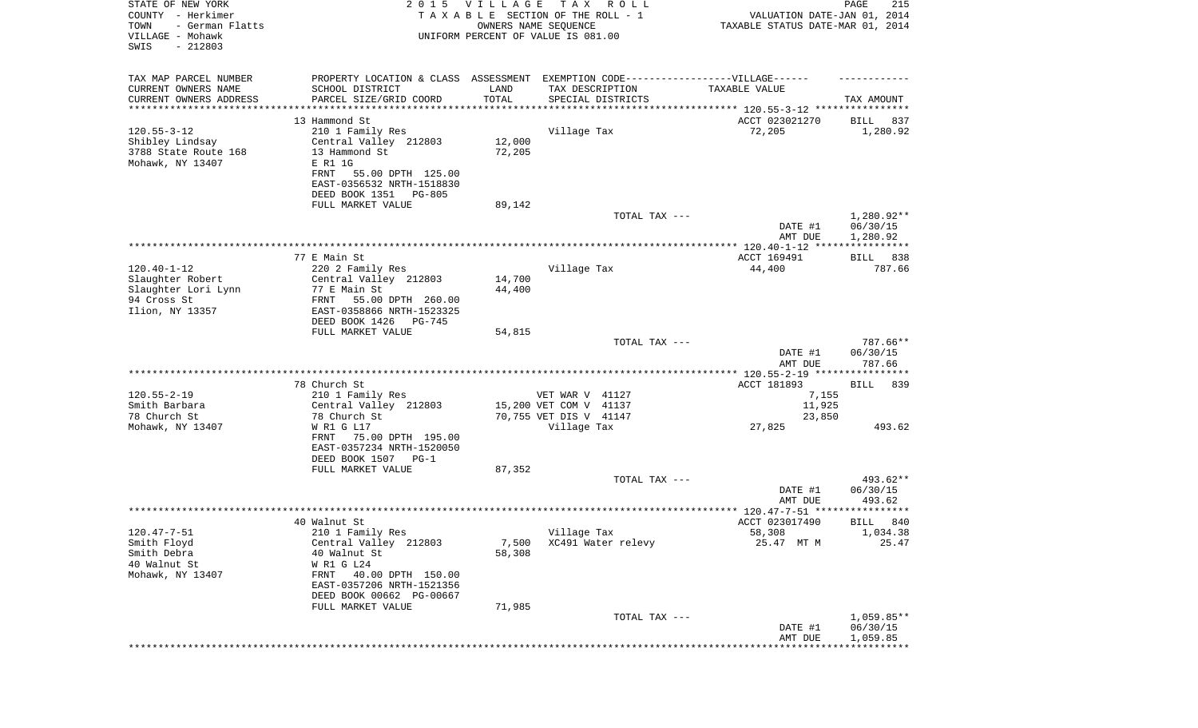| STATE OF NEW YORK<br>COUNTY - Herkimer<br>TOWN<br>- German Flatts<br>VILLAGE - Mohawk<br>SWIS<br>$-212803$ |                                                                                   | 2015 VILLAGE<br>OWNERS NAME SEQUENCE | T A X<br>R O L L<br>TAXABLE SECTION OF THE ROLL - 1<br>UNIFORM PERCENT OF VALUE IS 081.00 | VALUATION DATE-JAN 01, 2014<br>TAXABLE STATUS DATE-MAR 01, 2014 | PAGE<br>215           |
|------------------------------------------------------------------------------------------------------------|-----------------------------------------------------------------------------------|--------------------------------------|-------------------------------------------------------------------------------------------|-----------------------------------------------------------------|-----------------------|
| TAX MAP PARCEL NUMBER                                                                                      | PROPERTY LOCATION & CLASS ASSESSMENT EXEMPTION CODE-----------------VILLAGE------ |                                      |                                                                                           |                                                                 |                       |
| CURRENT OWNERS NAME<br>CURRENT OWNERS ADDRESS                                                              | SCHOOL DISTRICT<br>PARCEL SIZE/GRID COORD                                         | LAND<br>TOTAL                        | TAX DESCRIPTION<br>SPECIAL DISTRICTS                                                      | TAXABLE VALUE                                                   | TAX AMOUNT            |
| *********************                                                                                      |                                                                                   | * * * * * * * * * * *                |                                                                                           |                                                                 |                       |
|                                                                                                            | 13 Hammond St                                                                     |                                      |                                                                                           | ACCT 023021270                                                  | BILL<br>837           |
| $120.55 - 3 - 12$                                                                                          | 210 1 Family Res                                                                  |                                      | Village Tax                                                                               | 72,205                                                          | 1,280.92              |
| Shibley Lindsay<br>3788 State Route 168                                                                    | Central Valley 212803<br>13 Hammond St                                            | 12,000<br>72,205                     |                                                                                           |                                                                 |                       |
| Mohawk, NY 13407                                                                                           | E R1 1G                                                                           |                                      |                                                                                           |                                                                 |                       |
|                                                                                                            | FRNT<br>55.00 DPTH 125.00                                                         |                                      |                                                                                           |                                                                 |                       |
|                                                                                                            | EAST-0356532 NRTH-1518830                                                         |                                      |                                                                                           |                                                                 |                       |
|                                                                                                            | DEED BOOK 1351<br>PG-805                                                          |                                      |                                                                                           |                                                                 |                       |
|                                                                                                            | FULL MARKET VALUE                                                                 | 89,142                               | TOTAL TAX ---                                                                             |                                                                 | 1,280.92**            |
|                                                                                                            |                                                                                   |                                      |                                                                                           | DATE #1                                                         | 06/30/15              |
|                                                                                                            |                                                                                   |                                      |                                                                                           | AMT DUE                                                         | 1,280.92              |
|                                                                                                            |                                                                                   |                                      |                                                                                           |                                                                 |                       |
| $120.40 - 1 - 12$                                                                                          | 77 E Main St<br>220 2 Family Res                                                  |                                      | Village Tax                                                                               | ACCT 169491<br>44,400                                           | 838<br>BILL<br>787.66 |
| Slaughter Robert                                                                                           | Central Valley 212803                                                             | 14,700                               |                                                                                           |                                                                 |                       |
| Slaughter Lori Lynn                                                                                        | 77 E Main St                                                                      | 44,400                               |                                                                                           |                                                                 |                       |
| 94 Cross St                                                                                                | FRNT<br>55.00 DPTH 260.00                                                         |                                      |                                                                                           |                                                                 |                       |
| Ilion, NY 13357                                                                                            | EAST-0358866 NRTH-1523325<br>DEED BOOK 1426<br>PG-745                             |                                      |                                                                                           |                                                                 |                       |
|                                                                                                            | FULL MARKET VALUE                                                                 | 54,815                               |                                                                                           |                                                                 |                       |
|                                                                                                            |                                                                                   |                                      | TOTAL TAX ---                                                                             |                                                                 | 787.66**              |
|                                                                                                            |                                                                                   |                                      |                                                                                           | DATE #1                                                         | 06/30/15              |
|                                                                                                            |                                                                                   |                                      |                                                                                           | AMT DUE<br>*************** 120.55-2-19 *****************        | 787.66                |
|                                                                                                            | 78 Church St                                                                      |                                      |                                                                                           | ACCT 181893                                                     | <b>BILL</b><br>839    |
| $120.55 - 2 - 19$                                                                                          | 210 1 Family Res                                                                  |                                      | VET WAR V 41127                                                                           | 7,155                                                           |                       |
| Smith Barbara                                                                                              | Central Valley 212803                                                             |                                      | 15,200 VET COM V 41137                                                                    | 11,925                                                          |                       |
| 78 Church St<br>Mohawk, NY 13407                                                                           | 78 Church St<br>W R1 G L17                                                        |                                      | 70,755 VET DIS V 41147<br>Village Tax                                                     | 23,850<br>27,825                                                | 493.62                |
|                                                                                                            | FRNT<br>75.00 DPTH 195.00                                                         |                                      |                                                                                           |                                                                 |                       |
|                                                                                                            | EAST-0357234 NRTH-1520050                                                         |                                      |                                                                                           |                                                                 |                       |
|                                                                                                            | DEED BOOK 1507 PG-1                                                               |                                      |                                                                                           |                                                                 |                       |
|                                                                                                            | FULL MARKET VALUE                                                                 | 87,352                               | TOTAL TAX ---                                                                             |                                                                 | 493.62**              |
|                                                                                                            |                                                                                   |                                      |                                                                                           | DATE #1                                                         | 06/30/15              |
|                                                                                                            |                                                                                   |                                      |                                                                                           | AMT DUE                                                         | 493.62                |
|                                                                                                            |                                                                                   |                                      |                                                                                           |                                                                 | * * * * * *           |
|                                                                                                            | 40 Walnut St                                                                      |                                      |                                                                                           | ACCT 023017490                                                  | 840<br>BILL           |
| 120.47-7-51<br>Smith Floyd                                                                                 | 210 1 Family Res<br>Central Valley 212803                                         | 7,500                                | Village Tax<br>XC491 Water relevy                                                         | 58,308<br>25.47 MT M                                            | 1,034.38<br>25.47     |
| Smith Debra                                                                                                | 40 Walnut St                                                                      | 58,308                               |                                                                                           |                                                                 |                       |
| 40 Walnut St                                                                                               | W R1 G L24                                                                        |                                      |                                                                                           |                                                                 |                       |
| Mohawk, NY 13407                                                                                           | FRNT 40.00 DPTH 150.00                                                            |                                      |                                                                                           |                                                                 |                       |
|                                                                                                            | EAST-0357206 NRTH-1521356<br>DEED BOOK 00662 PG-00667                             |                                      |                                                                                           |                                                                 |                       |
|                                                                                                            | FULL MARKET VALUE                                                                 | 71,985                               |                                                                                           |                                                                 |                       |
|                                                                                                            |                                                                                   |                                      | TOTAL TAX ---                                                                             |                                                                 | $1,059.85**$          |
|                                                                                                            |                                                                                   |                                      |                                                                                           | DATE #1                                                         | 06/30/15              |
|                                                                                                            |                                                                                   |                                      |                                                                                           | AMT DUE                                                         | 1,059.85              |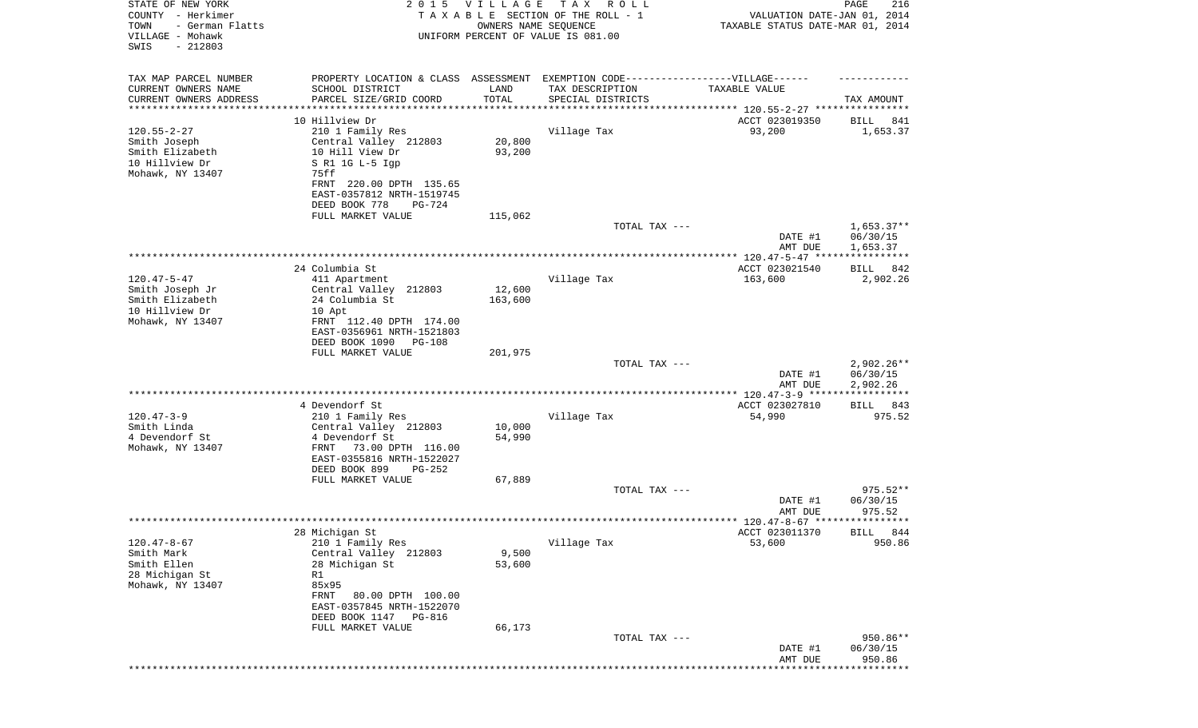| STATE OF NEW YORK<br>COUNTY - Herkimer<br>- German Flatts<br>TOWN<br>VILLAGE - Mohawk<br>SWIS<br>$-212803$ | 2 0 1 5                                                                          | VILLAGE<br>OWNERS NAME SEQUENCE | T A X<br>R O L L<br>TAXABLE SECTION OF THE ROLL - 1<br>UNIFORM PERCENT OF VALUE IS 081.00 | VALUATION DATE-JAN 01, 2014<br>TAXABLE STATUS DATE-MAR 01, 2014 | PAGE<br>216           |
|------------------------------------------------------------------------------------------------------------|----------------------------------------------------------------------------------|---------------------------------|-------------------------------------------------------------------------------------------|-----------------------------------------------------------------|-----------------------|
| TAX MAP PARCEL NUMBER                                                                                      | PROPERTY LOCATION & CLASS ASSESSMENT EXEMPTION CODE----------------VILLAGE------ |                                 |                                                                                           |                                                                 |                       |
| CURRENT OWNERS NAME                                                                                        | SCHOOL DISTRICT                                                                  | LAND                            | TAX DESCRIPTION                                                                           | TAXABLE VALUE                                                   |                       |
| CURRENT OWNERS ADDRESS<br>********************                                                             | PARCEL SIZE/GRID COORD                                                           | TOTAL                           | SPECIAL DISTRICTS                                                                         |                                                                 | TAX AMOUNT            |
|                                                                                                            | 10 Hillview Dr                                                                   |                                 |                                                                                           | ACCT 023019350                                                  | 841<br>BILL           |
| $120.55 - 2 - 27$                                                                                          | 210 1 Family Res                                                                 |                                 | Village Tax                                                                               | 93,200                                                          | 1,653.37              |
| Smith Joseph                                                                                               | Central Valley 212803                                                            | 20,800                          |                                                                                           |                                                                 |                       |
| Smith Elizabeth                                                                                            | 10 Hill View Dr                                                                  | 93,200                          |                                                                                           |                                                                 |                       |
| 10 Hillview Dr                                                                                             | S R1 1G L-5 Igp                                                                  |                                 |                                                                                           |                                                                 |                       |
| Mohawk, NY 13407                                                                                           | 75ff                                                                             |                                 |                                                                                           |                                                                 |                       |
|                                                                                                            | FRNT 220.00 DPTH 135.65<br>EAST-0357812 NRTH-1519745                             |                                 |                                                                                           |                                                                 |                       |
|                                                                                                            | DEED BOOK 778<br><b>PG-724</b>                                                   |                                 |                                                                                           |                                                                 |                       |
|                                                                                                            | FULL MARKET VALUE                                                                | 115,062                         |                                                                                           |                                                                 |                       |
|                                                                                                            |                                                                                  |                                 | TOTAL TAX ---                                                                             |                                                                 | $1,653.37**$          |
|                                                                                                            |                                                                                  |                                 |                                                                                           | DATE #1                                                         | 06/30/15              |
|                                                                                                            |                                                                                  |                                 |                                                                                           | AMT DUE                                                         | 1,653.37              |
|                                                                                                            | 24 Columbia St                                                                   |                                 |                                                                                           | ACCT 023021540                                                  | 842<br>BILL           |
| $120.47 - 5 - 47$                                                                                          | 411 Apartment                                                                    |                                 | Village Tax                                                                               | 163,600                                                         | 2,902.26              |
| Smith Joseph Jr                                                                                            | Central Valley 212803                                                            | 12,600                          |                                                                                           |                                                                 |                       |
| Smith Elizabeth                                                                                            | 24 Columbia St                                                                   | 163,600                         |                                                                                           |                                                                 |                       |
| 10 Hillview Dr                                                                                             | 10 Apt                                                                           |                                 |                                                                                           |                                                                 |                       |
| Mohawk, NY 13407                                                                                           | FRNT 112.40 DPTH 174.00                                                          |                                 |                                                                                           |                                                                 |                       |
|                                                                                                            | EAST-0356961 NRTH-1521803<br>DEED BOOK 1090<br><b>PG-108</b>                     |                                 |                                                                                           |                                                                 |                       |
|                                                                                                            | FULL MARKET VALUE                                                                | 201,975                         |                                                                                           |                                                                 |                       |
|                                                                                                            |                                                                                  |                                 | TOTAL TAX ---                                                                             |                                                                 | $2,902.26**$          |
|                                                                                                            |                                                                                  |                                 |                                                                                           | DATE #1                                                         | 06/30/15              |
|                                                                                                            |                                                                                  |                                 |                                                                                           | AMT DUE                                                         | 2,902.26              |
|                                                                                                            |                                                                                  |                                 |                                                                                           | **************** 120.47-3-9 ******                              | ******                |
| $120.47 - 3 - 9$                                                                                           | 4 Devendorf St<br>210 1 Family Res                                               |                                 | Village Tax                                                                               | ACCT 023027810<br>54,990                                        | 843<br>BILL<br>975.52 |
| Smith Linda                                                                                                | Central Valley 212803                                                            | 10,000                          |                                                                                           |                                                                 |                       |
| 4 Devendorf St                                                                                             | 4 Devendorf St                                                                   | 54,990                          |                                                                                           |                                                                 |                       |
| Mohawk, NY 13407                                                                                           | 73.00 DPTH 116.00<br>FRNT                                                        |                                 |                                                                                           |                                                                 |                       |
|                                                                                                            | EAST-0355816 NRTH-1522027                                                        |                                 |                                                                                           |                                                                 |                       |
|                                                                                                            | DEED BOOK 899<br>$PG-252$                                                        |                                 |                                                                                           |                                                                 |                       |
|                                                                                                            | FULL MARKET VALUE                                                                | 67,889                          | TOTAL TAX ---                                                                             |                                                                 | $975.52**$            |
|                                                                                                            |                                                                                  |                                 |                                                                                           | DATE #1                                                         | 06/30/15              |
|                                                                                                            |                                                                                  |                                 |                                                                                           | AMT DUE                                                         | 975.52                |
|                                                                                                            |                                                                                  |                                 |                                                                                           |                                                                 |                       |
|                                                                                                            | 28 Michigan St                                                                   |                                 |                                                                                           | ACCT 023011370                                                  | BILL 844              |
| $120.47 - 8 - 67$                                                                                          | 210 1 Family Res                                                                 |                                 | Village Tax                                                                               | 53,600                                                          | 950.86                |
| Smith Mark<br>Smith Ellen                                                                                  | Central Valley 212803<br>28 Michigan St                                          | 9,500<br>53,600                 |                                                                                           |                                                                 |                       |
| 28 Michigan St                                                                                             | R1                                                                               |                                 |                                                                                           |                                                                 |                       |
| Mohawk, NY 13407                                                                                           | 85x95                                                                            |                                 |                                                                                           |                                                                 |                       |
|                                                                                                            | FRNT<br>80.00 DPTH 100.00                                                        |                                 |                                                                                           |                                                                 |                       |
|                                                                                                            | EAST-0357845 NRTH-1522070                                                        |                                 |                                                                                           |                                                                 |                       |
|                                                                                                            | DEED BOOK 1147 PG-816                                                            |                                 |                                                                                           |                                                                 |                       |
|                                                                                                            | FULL MARKET VALUE                                                                | 66,173                          | TOTAL TAX ---                                                                             |                                                                 | 950.86**              |
|                                                                                                            |                                                                                  |                                 |                                                                                           | DATE #1                                                         | 06/30/15              |
|                                                                                                            |                                                                                  |                                 |                                                                                           | AMT DUE                                                         | 950.86                |
|                                                                                                            |                                                                                  |                                 |                                                                                           |                                                                 |                       |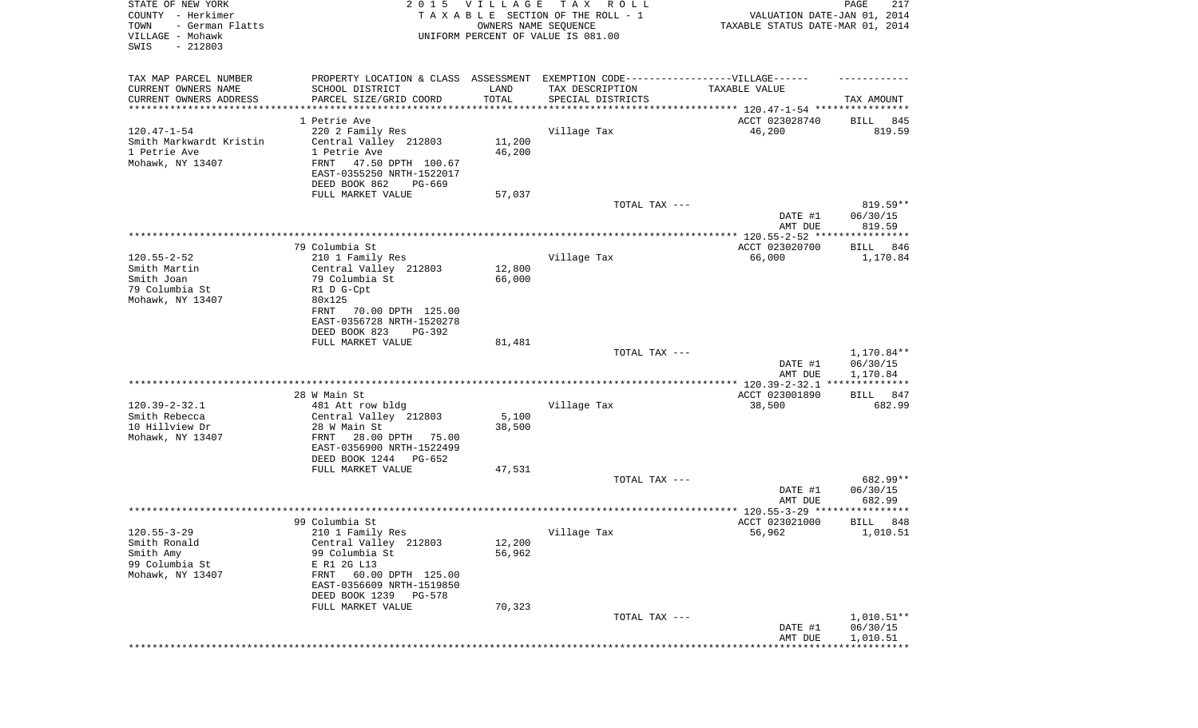| STATE OF NEW YORK<br>COUNTY - Herkimer<br>TOWN<br>- German Flatts<br>VILLAGE - Mohawk<br>SWIS<br>$-212803$ |                                                                                   | 2015 VILLAGE<br>OWNERS NAME SEQUENCE | T A X<br>R O L L<br>TAXABLE SECTION OF THE ROLL - 1<br>UNIFORM PERCENT OF VALUE IS 081.00 | VALUATION DATE-JAN 01, 2014<br>TAXABLE STATUS DATE-MAR 01, 2014 | PAGE<br>217        |
|------------------------------------------------------------------------------------------------------------|-----------------------------------------------------------------------------------|--------------------------------------|-------------------------------------------------------------------------------------------|-----------------------------------------------------------------|--------------------|
| TAX MAP PARCEL NUMBER                                                                                      | PROPERTY LOCATION & CLASS ASSESSMENT EXEMPTION CODE-----------------VILLAGE------ |                                      |                                                                                           |                                                                 |                    |
| CURRENT OWNERS NAME<br>CURRENT OWNERS ADDRESS                                                              | SCHOOL DISTRICT<br>PARCEL SIZE/GRID COORD                                         | LAND<br>TOTAL                        | TAX DESCRIPTION<br>SPECIAL DISTRICTS                                                      | TAXABLE VALUE                                                   | TAX AMOUNT         |
| ********************                                                                                       |                                                                                   | **********                           | ********************************* 120.47-1-54 ****************                            |                                                                 |                    |
|                                                                                                            | 1 Petrie Ave                                                                      |                                      |                                                                                           | ACCT 023028740                                                  | 845<br>BILL        |
| $120.47 - 1 - 54$                                                                                          | 220 2 Family Res                                                                  |                                      | Village Tax                                                                               | 46,200                                                          | 819.59             |
| Smith Markwardt Kristin                                                                                    | Central Valley 212803                                                             | 11,200                               |                                                                                           |                                                                 |                    |
| 1 Petrie Ave                                                                                               | 1 Petrie Ave                                                                      | 46,200                               |                                                                                           |                                                                 |                    |
| Mohawk, NY 13407                                                                                           | FRNT<br>47.50 DPTH 100.67                                                         |                                      |                                                                                           |                                                                 |                    |
|                                                                                                            | EAST-0355250 NRTH-1522017<br>DEED BOOK 862<br>PG-669                              |                                      |                                                                                           |                                                                 |                    |
|                                                                                                            | FULL MARKET VALUE                                                                 | 57,037                               |                                                                                           |                                                                 |                    |
|                                                                                                            |                                                                                   |                                      | TOTAL TAX ---                                                                             |                                                                 | 819.59**           |
|                                                                                                            |                                                                                   |                                      |                                                                                           | DATE #1<br>AMT DUE                                              | 06/30/15<br>819.59 |
|                                                                                                            |                                                                                   |                                      |                                                                                           |                                                                 |                    |
|                                                                                                            | 79 Columbia St                                                                    |                                      |                                                                                           | ACCT 023020700                                                  | BILL<br>846        |
| $120.55 - 2 - 52$                                                                                          | 210 1 Family Res                                                                  |                                      | Village Tax                                                                               | 66,000                                                          | 1,170.84           |
| Smith Martin                                                                                               | Central Valley 212803                                                             | 12,800                               |                                                                                           |                                                                 |                    |
| Smith Joan                                                                                                 | 79 Columbia St                                                                    | 66,000                               |                                                                                           |                                                                 |                    |
| 79 Columbia St                                                                                             | R1 D G-Cpt                                                                        |                                      |                                                                                           |                                                                 |                    |
| Mohawk, NY 13407                                                                                           | 80x125<br>70.00 DPTH 125.00<br>FRNT                                               |                                      |                                                                                           |                                                                 |                    |
|                                                                                                            | EAST-0356728 NRTH-1520278                                                         |                                      |                                                                                           |                                                                 |                    |
|                                                                                                            | DEED BOOK 823<br>PG-392                                                           |                                      |                                                                                           |                                                                 |                    |
|                                                                                                            | FULL MARKET VALUE                                                                 | 81,481                               |                                                                                           |                                                                 |                    |
|                                                                                                            |                                                                                   |                                      | TOTAL TAX ---                                                                             |                                                                 | 1,170.84**         |
|                                                                                                            |                                                                                   |                                      |                                                                                           | DATE #1                                                         | 06/30/15           |
|                                                                                                            |                                                                                   |                                      |                                                                                           | AMT DUE                                                         | 1,170.84           |
|                                                                                                            |                                                                                   |                                      |                                                                                           |                                                                 |                    |
|                                                                                                            | 28 W Main St                                                                      |                                      |                                                                                           | ACCT 023001890                                                  | 847<br>BILL        |
| $120.39 - 2 - 32.1$                                                                                        | 481 Att row bldg                                                                  |                                      | Village Tax                                                                               | 38,500                                                          | 682.99             |
| Smith Rebecca<br>10 Hillview Dr                                                                            | Central Valley 212803<br>28 W Main St                                             | 5,100<br>38,500                      |                                                                                           |                                                                 |                    |
| Mohawk, NY 13407                                                                                           | FRNT<br>28.00 DPTH 75.00                                                          |                                      |                                                                                           |                                                                 |                    |
|                                                                                                            | EAST-0356900 NRTH-1522499                                                         |                                      |                                                                                           |                                                                 |                    |
|                                                                                                            | DEED BOOK 1244 PG-652                                                             |                                      |                                                                                           |                                                                 |                    |
|                                                                                                            | FULL MARKET VALUE                                                                 | 47,531                               |                                                                                           |                                                                 |                    |
|                                                                                                            |                                                                                   |                                      | TOTAL TAX ---                                                                             |                                                                 | 682.99**           |
|                                                                                                            |                                                                                   |                                      |                                                                                           | DATE #1                                                         | 06/30/15           |
|                                                                                                            |                                                                                   |                                      |                                                                                           | AMT DUE                                                         | 682.99             |
|                                                                                                            |                                                                                   |                                      |                                                                                           |                                                                 | * * * * *          |
|                                                                                                            | 99 Columbia St                                                                    |                                      |                                                                                           | ACCT 023021000                                                  | 848<br>BILL        |
| $120.55 - 3 - 29$                                                                                          | 210 1 Family Res                                                                  |                                      | Village Tax                                                                               | 56,962                                                          | 1,010.51           |
| Smith Ronald<br>Smith Amy                                                                                  | Central Valley 212803<br>99 Columbia St                                           | 12,200<br>56,962                     |                                                                                           |                                                                 |                    |
| 99 Columbia St                                                                                             | E R1 2G L13                                                                       |                                      |                                                                                           |                                                                 |                    |
| Mohawk, NY 13407                                                                                           | FRNT 60.00 DPTH 125.00                                                            |                                      |                                                                                           |                                                                 |                    |
|                                                                                                            | EAST-0356609 NRTH-1519850                                                         |                                      |                                                                                           |                                                                 |                    |
|                                                                                                            | DEED BOOK 1239 PG-578                                                             |                                      |                                                                                           |                                                                 |                    |
|                                                                                                            | FULL MARKET VALUE                                                                 | 70,323                               |                                                                                           |                                                                 |                    |
|                                                                                                            |                                                                                   |                                      | TOTAL TAX ---                                                                             |                                                                 | $1,010.51**$       |
|                                                                                                            |                                                                                   |                                      |                                                                                           | DATE #1                                                         | 06/30/15           |
|                                                                                                            |                                                                                   |                                      |                                                                                           | AMT DUE                                                         | 1,010.51           |
|                                                                                                            |                                                                                   |                                      |                                                                                           |                                                                 |                    |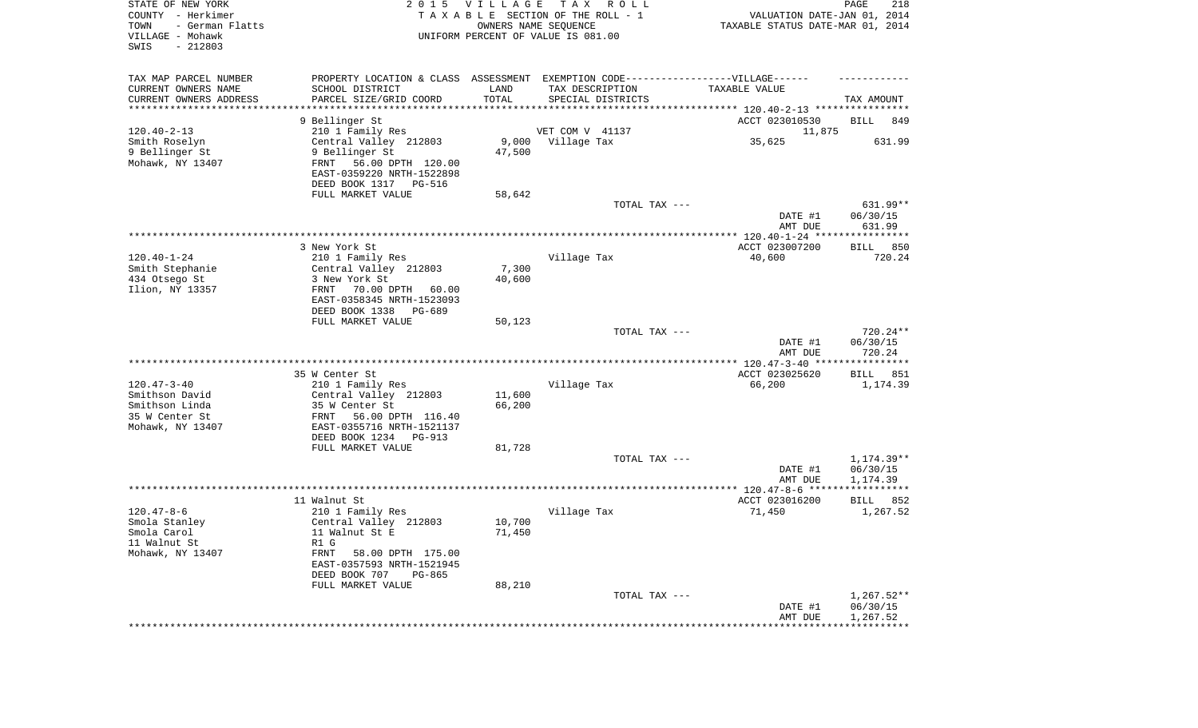| STATE OF NEW YORK<br>COUNTY - Herkimer<br>TOWN<br>- German Flatts<br>VILLAGE - Mohawk<br>SWIS<br>$-212803$ | 2 0 1 5                                                | VILLAGE          | T A X<br>R O L L<br>TAXABLE SECTION OF THE ROLL - 1<br>OWNERS NAME SEQUENCE<br>UNIFORM PERCENT OF VALUE IS 081.00 | VALUATION DATE-JAN 01, 2014<br>TAXABLE STATUS DATE-MAR 01, 2014 | PAGE<br>218                    |
|------------------------------------------------------------------------------------------------------------|--------------------------------------------------------|------------------|-------------------------------------------------------------------------------------------------------------------|-----------------------------------------------------------------|--------------------------------|
| TAX MAP PARCEL NUMBER<br>CURRENT OWNERS NAME                                                               | SCHOOL DISTRICT                                        | LAND             | PROPERTY LOCATION & CLASS ASSESSMENT EXEMPTION CODE-----------------VILLAGE------<br>TAX DESCRIPTION              | TAXABLE VALUE                                                   |                                |
| CURRENT OWNERS ADDRESS<br>********************                                                             | PARCEL SIZE/GRID COORD                                 | TOTAL            | SPECIAL DISTRICTS                                                                                                 |                                                                 | TAX AMOUNT                     |
|                                                                                                            | 9 Bellinger St                                         |                  |                                                                                                                   | ACCT 023010530                                                  | <b>BILL</b><br>849             |
| $120.40 - 2 - 13$                                                                                          | 210 1 Family Res                                       |                  | VET COM V 41137                                                                                                   | 11,875                                                          |                                |
| Smith Roselyn                                                                                              | Central Valley 212803                                  |                  | 9,000 Village Tax                                                                                                 | 35,625                                                          | 631.99                         |
| 9 Bellinger St                                                                                             | 9 Bellinger St                                         | 47,500           |                                                                                                                   |                                                                 |                                |
| Mohawk, NY 13407                                                                                           | FRNT<br>56.00 DPTH 120.00<br>EAST-0359220 NRTH-1522898 |                  |                                                                                                                   |                                                                 |                                |
|                                                                                                            | DEED BOOK 1317 PG-516                                  |                  |                                                                                                                   |                                                                 |                                |
|                                                                                                            | FULL MARKET VALUE                                      | 58,642           | TOTAL TAX ---                                                                                                     |                                                                 | 631.99**                       |
|                                                                                                            |                                                        |                  |                                                                                                                   | DATE #1<br>AMT DUE                                              | 06/30/15<br>631.99             |
|                                                                                                            |                                                        |                  |                                                                                                                   |                                                                 |                                |
|                                                                                                            | 3 New York St                                          |                  |                                                                                                                   | ACCT 023007200                                                  | 850<br>BILL                    |
| $120.40 - 1 - 24$                                                                                          | 210 1 Family Res                                       |                  | Village Tax                                                                                                       | 40,600                                                          | 720.24                         |
| Smith Stephanie<br>434 Otsego St                                                                           | Central Valley 212803<br>3 New York St                 | 7,300<br>40,600  |                                                                                                                   |                                                                 |                                |
| Ilion, NY 13357                                                                                            | FRNT<br>70.00 DPTH<br>60.00                            |                  |                                                                                                                   |                                                                 |                                |
|                                                                                                            | EAST-0358345 NRTH-1523093                              |                  |                                                                                                                   |                                                                 |                                |
|                                                                                                            | DEED BOOK 1338<br>PG-689                               |                  |                                                                                                                   |                                                                 |                                |
|                                                                                                            | FULL MARKET VALUE                                      | 50,123           |                                                                                                                   |                                                                 |                                |
|                                                                                                            |                                                        |                  | TOTAL TAX ---                                                                                                     | DATE #1<br>AMT DUE                                              | 720.24**<br>06/30/15<br>720.24 |
|                                                                                                            |                                                        |                  |                                                                                                                   |                                                                 |                                |
|                                                                                                            | 35 W Center St                                         |                  |                                                                                                                   | ACCT 023025620                                                  | BILL<br>851                    |
| $120.47 - 3 - 40$                                                                                          | 210 1 Family Res                                       |                  | Village Tax                                                                                                       | 66,200                                                          | 1,174.39                       |
| Smithson David<br>Smithson Linda                                                                           | Central Valley 212803<br>35 W Center St                | 11,600<br>66,200 |                                                                                                                   |                                                                 |                                |
| 35 W Center St                                                                                             | FRNT<br>56.00 DPTH 116.40                              |                  |                                                                                                                   |                                                                 |                                |
| Mohawk, NY 13407                                                                                           | EAST-0355716 NRTH-1521137                              |                  |                                                                                                                   |                                                                 |                                |
|                                                                                                            | DEED BOOK 1234 PG-913                                  |                  |                                                                                                                   |                                                                 |                                |
|                                                                                                            | FULL MARKET VALUE                                      | 81,728           |                                                                                                                   |                                                                 |                                |
|                                                                                                            |                                                        |                  | TOTAL TAX ---                                                                                                     |                                                                 | 1,174.39**                     |
|                                                                                                            |                                                        |                  |                                                                                                                   | DATE #1<br>AMT DUE                                              | 06/30/15<br>1,174.39           |
|                                                                                                            |                                                        |                  |                                                                                                                   |                                                                 |                                |
|                                                                                                            | 11 Walnut St                                           |                  |                                                                                                                   | ACCT 023016200                                                  | BILL<br>852                    |
| $120.47 - 8 - 6$                                                                                           | 210 1 Family Res                                       |                  | Village Tax                                                                                                       | 71,450                                                          | 1,267.52                       |
| Smola Stanley                                                                                              | Central Valley 212803                                  | 10,700           |                                                                                                                   |                                                                 |                                |
| Smola Carol<br>11 Walnut St                                                                                | 11 Walnut St E<br>R1 G                                 | 71,450           |                                                                                                                   |                                                                 |                                |
| Mohawk, NY 13407                                                                                           | FRNT<br>58.00 DPTH 175.00                              |                  |                                                                                                                   |                                                                 |                                |
|                                                                                                            | EAST-0357593 NRTH-1521945                              |                  |                                                                                                                   |                                                                 |                                |
|                                                                                                            | DEED BOOK 707<br>PG-865                                |                  |                                                                                                                   |                                                                 |                                |
|                                                                                                            | FULL MARKET VALUE                                      | 88,210           |                                                                                                                   |                                                                 |                                |
|                                                                                                            |                                                        |                  | TOTAL TAX ---                                                                                                     | DATE #1                                                         | $1,267.52**$<br>06/30/15       |
|                                                                                                            |                                                        |                  |                                                                                                                   | AMT DUE                                                         | 1,267.52                       |
|                                                                                                            |                                                        |                  |                                                                                                                   | **********************************                              |                                |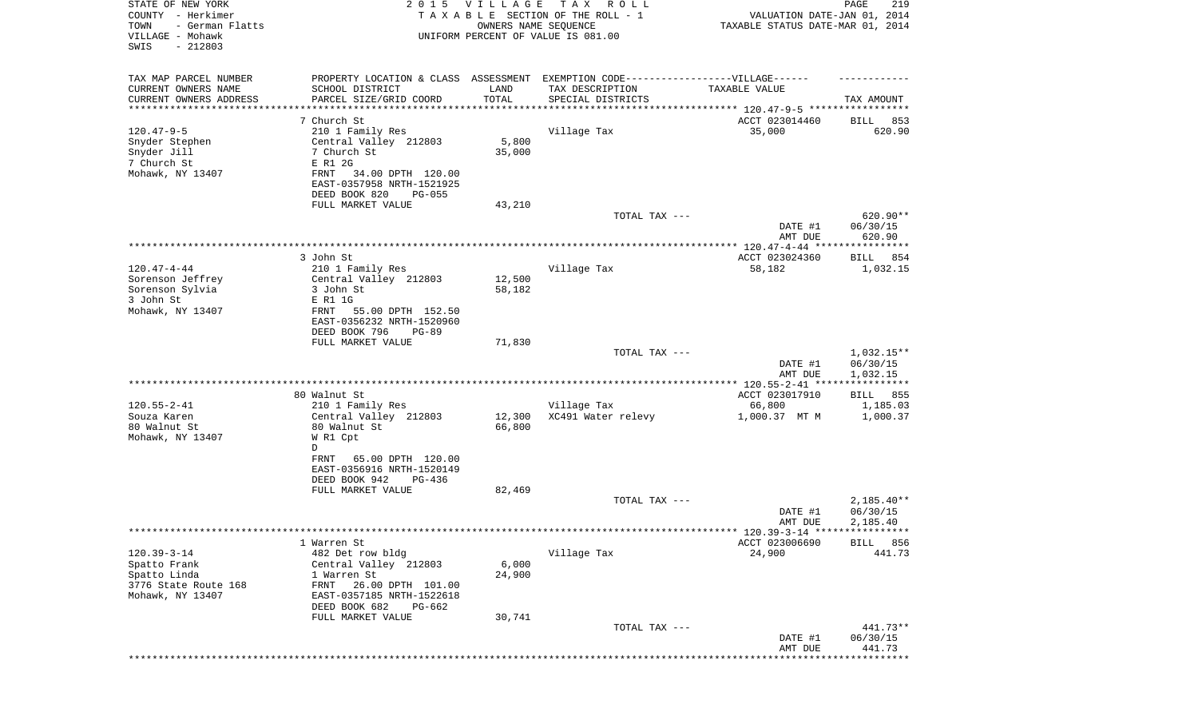| STATE OF NEW YORK<br>COUNTY - Herkimer<br>TOWN<br>- German Flatts<br>VILLAGE - Mohawk<br>$-212803$<br>SWIS |                                                                   | 2015 VILLAGE<br>OWNERS NAME SEQUENCE | T A X<br>R O L L<br>TAXABLE SECTION OF THE ROLL - 1<br>UNIFORM PERCENT OF VALUE IS 081.00            | VALUATION DATE-JAN 01, 2014<br>TAXABLE STATUS DATE-MAR 01, 2014 | PAGE<br>219                          |
|------------------------------------------------------------------------------------------------------------|-------------------------------------------------------------------|--------------------------------------|------------------------------------------------------------------------------------------------------|-----------------------------------------------------------------|--------------------------------------|
| TAX MAP PARCEL NUMBER<br>CURRENT OWNERS NAME                                                               | SCHOOL DISTRICT                                                   | LAND                                 | PROPERTY LOCATION & CLASS ASSESSMENT EXEMPTION CODE-----------------VILLAGE------<br>TAX DESCRIPTION | TAXABLE VALUE                                                   |                                      |
| CURRENT OWNERS ADDRESS<br>*********************                                                            | PARCEL SIZE/GRID COORD                                            | TOTAL<br>* * * * * * * * * * *       | SPECIAL DISTRICTS<br>********************************** 120.47-9-5 *****************                 |                                                                 | TAX AMOUNT                           |
|                                                                                                            | 7 Church St                                                       |                                      |                                                                                                      | ACCT 023014460                                                  | 853<br>BILL                          |
| $120.47 - 9 - 5$<br>Snyder Stephen<br>Snyder Jill                                                          | 210 1 Family Res<br>Central Valley 212803<br>7 Church St          | 5,800<br>35,000                      | Village Tax                                                                                          | 35,000                                                          | 620.90                               |
| 7 Church St<br>Mohawk, NY 13407                                                                            | E R1 2G<br>FRNT<br>34.00 DPTH 120.00<br>EAST-0357958 NRTH-1521925 |                                      |                                                                                                      |                                                                 |                                      |
|                                                                                                            | DEED BOOK 820<br>$PG-055$                                         |                                      |                                                                                                      |                                                                 |                                      |
|                                                                                                            | FULL MARKET VALUE                                                 | 43,210                               | TOTAL TAX ---                                                                                        | DATE #1                                                         | 620.90**<br>06/30/15                 |
|                                                                                                            |                                                                   |                                      |                                                                                                      | AMT DUE                                                         | 620.90                               |
|                                                                                                            | 3 John St                                                         |                                      |                                                                                                      | ACCT 023024360                                                  | BILL 854                             |
| $120.47 - 4 - 44$                                                                                          | 210 1 Family Res                                                  |                                      | Village Tax                                                                                          | 58,182                                                          | 1,032.15                             |
| Sorenson Jeffrey                                                                                           | Central Valley 212803                                             | 12,500                               |                                                                                                      |                                                                 |                                      |
| Sorenson Sylvia<br>3 John St                                                                               | 3 John St<br>E R1 1G                                              | 58,182                               |                                                                                                      |                                                                 |                                      |
| Mohawk, NY 13407                                                                                           | FRNT<br>55.00 DPTH 152.50                                         |                                      |                                                                                                      |                                                                 |                                      |
|                                                                                                            | EAST-0356232 NRTH-1520960                                         |                                      |                                                                                                      |                                                                 |                                      |
|                                                                                                            | DEED BOOK 796<br>$PG-89$                                          |                                      |                                                                                                      |                                                                 |                                      |
|                                                                                                            | FULL MARKET VALUE                                                 | 71,830                               | TOTAL TAX ---                                                                                        |                                                                 | $1,032.15**$                         |
|                                                                                                            |                                                                   |                                      |                                                                                                      | DATE #1<br>AMT DUE                                              | 06/30/15<br>1,032.15                 |
|                                                                                                            |                                                                   |                                      |                                                                                                      |                                                                 |                                      |
| $120.55 - 2 - 41$                                                                                          | 80 Walnut St<br>210 1 Family Res                                  |                                      | Village Tax                                                                                          | ACCT 023017910<br>66,800                                        | BILL 855<br>1,185.03                 |
| Souza Karen                                                                                                | Central Valley 212803                                             | 12,300                               | XC491 Water relevy                                                                                   | 1,000.37 MT M                                                   | 1,000.37                             |
| 80 Walnut St<br>Mohawk, NY 13407                                                                           | 80 Walnut St<br>W R1 Cpt                                          | 66,800                               |                                                                                                      |                                                                 |                                      |
|                                                                                                            | D<br>FRNT<br>65.00 DPTH 120.00<br>EAST-0356916 NRTH-1520149       |                                      |                                                                                                      |                                                                 |                                      |
|                                                                                                            | DEED BOOK 942<br>$PG-436$                                         |                                      |                                                                                                      |                                                                 |                                      |
|                                                                                                            | FULL MARKET VALUE                                                 | 82,469                               |                                                                                                      |                                                                 |                                      |
|                                                                                                            |                                                                   |                                      | TOTAL TAX ---                                                                                        | DATE #1<br>AMT DUE                                              | $2,185.40**$<br>06/30/15<br>2,185.40 |
|                                                                                                            |                                                                   |                                      |                                                                                                      |                                                                 |                                      |
|                                                                                                            | 1 Warren St                                                       |                                      |                                                                                                      | ACCT 023006690                                                  | BILL<br>856                          |
| $120.39 - 3 - 14$<br>Spatto Frank                                                                          | 482 Det row bldg<br>Central Valley 212803                         | 6,000                                | Village Tax                                                                                          | 24,900                                                          | 441.73                               |
| Spatto Linda                                                                                               | 1 Warren St                                                       | 24,900                               |                                                                                                      |                                                                 |                                      |
| 3776 State Route 168                                                                                       | 26.00 DPTH 101.00<br>FRNT                                         |                                      |                                                                                                      |                                                                 |                                      |
| Mohawk, NY 13407                                                                                           | EAST-0357185 NRTH-1522618<br>DEED BOOK 682<br>PG-662              |                                      |                                                                                                      |                                                                 |                                      |
|                                                                                                            | FULL MARKET VALUE                                                 | 30,741                               |                                                                                                      |                                                                 |                                      |
|                                                                                                            |                                                                   |                                      | TOTAL TAX ---                                                                                        | DATE #1                                                         | 441.73**<br>06/30/15                 |
|                                                                                                            |                                                                   |                                      |                                                                                                      | AMT DUE                                                         | 441.73<br>*********                  |
|                                                                                                            |                                                                   |                                      |                                                                                                      |                                                                 |                                      |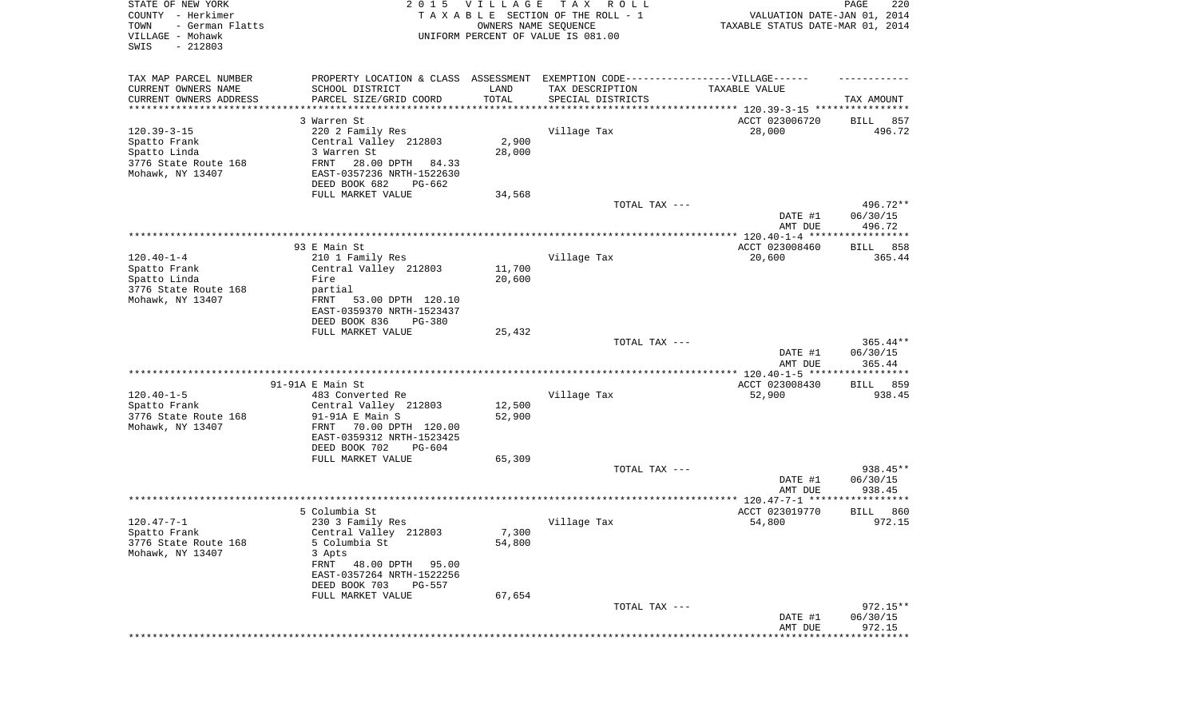| STATE OF NEW YORK<br>COUNTY - Herkimer<br>- German Flatts<br>TOWN<br>VILLAGE - Mohawk<br>SWIS<br>$-212803$ | 2 0 1 5                                                                          | <b>VILLAGE</b><br>OWNERS NAME SEQUENCE | T A X<br>R O L L<br>TAXABLE SECTION OF THE ROLL - 1<br>UNIFORM PERCENT OF VALUE IS 081.00 | VALUATION DATE-JAN 01, 2014<br>TAXABLE STATUS DATE-MAR 01, 2014      | PAGE<br>220                      |
|------------------------------------------------------------------------------------------------------------|----------------------------------------------------------------------------------|----------------------------------------|-------------------------------------------------------------------------------------------|----------------------------------------------------------------------|----------------------------------|
| TAX MAP PARCEL NUMBER                                                                                      | PROPERTY LOCATION & CLASS ASSESSMENT EXEMPTION CODE----------------VILLAGE------ |                                        |                                                                                           |                                                                      |                                  |
| CURRENT OWNERS NAME                                                                                        | SCHOOL DISTRICT                                                                  | LAND                                   | TAX DESCRIPTION                                                                           | TAXABLE VALUE                                                        |                                  |
| CURRENT OWNERS ADDRESS<br>*********************                                                            | PARCEL SIZE/GRID COORD                                                           | TOTAL                                  | SPECIAL DISTRICTS                                                                         | ************************************** 120.39-3-15 ***************** | TAX AMOUNT                       |
|                                                                                                            | 3 Warren St                                                                      |                                        |                                                                                           | ACCT 023006720                                                       | 857<br>BILL                      |
| $120.39 - 3 - 15$                                                                                          | 220 2 Family Res                                                                 |                                        | Village Tax                                                                               | 28,000                                                               | 496.72                           |
| Spatto Frank                                                                                               | Central Valley 212803                                                            | 2,900                                  |                                                                                           |                                                                      |                                  |
| Spatto Linda                                                                                               | 3 Warren St                                                                      | 28,000                                 |                                                                                           |                                                                      |                                  |
| 3776 State Route 168                                                                                       | FRNT<br>28.00 DPTH 84.33                                                         |                                        |                                                                                           |                                                                      |                                  |
| Mohawk, NY 13407                                                                                           | EAST-0357236 NRTH-1522630                                                        |                                        |                                                                                           |                                                                      |                                  |
|                                                                                                            | DEED BOOK 682<br>PG-662                                                          |                                        |                                                                                           |                                                                      |                                  |
|                                                                                                            | FULL MARKET VALUE                                                                | 34,568                                 |                                                                                           |                                                                      |                                  |
|                                                                                                            |                                                                                  |                                        | TOTAL TAX ---                                                                             | DATE #1<br>AMT DUE                                                   | 496.72**<br>06/30/15<br>496.72   |
|                                                                                                            |                                                                                  |                                        |                                                                                           |                                                                      |                                  |
|                                                                                                            | 93 E Main St                                                                     |                                        |                                                                                           | ACCT 023008460                                                       | BILL<br>858                      |
| $120.40 - 1 - 4$                                                                                           | 210 1 Family Res                                                                 |                                        | Village Tax                                                                               | 20,600                                                               | 365.44                           |
| Spatto Frank                                                                                               | Central Valley 212803                                                            | 11,700                                 |                                                                                           |                                                                      |                                  |
| Spatto Linda<br>3776 State Route 168                                                                       | Fire<br>partial                                                                  | 20,600                                 |                                                                                           |                                                                      |                                  |
| Mohawk, NY 13407                                                                                           | 53.00 DPTH 120.10<br>FRNT                                                        |                                        |                                                                                           |                                                                      |                                  |
|                                                                                                            | EAST-0359370 NRTH-1523437                                                        |                                        |                                                                                           |                                                                      |                                  |
|                                                                                                            | DEED BOOK 836<br>$PG-380$                                                        |                                        |                                                                                           |                                                                      |                                  |
|                                                                                                            | FULL MARKET VALUE                                                                | 25,432                                 |                                                                                           |                                                                      |                                  |
|                                                                                                            |                                                                                  |                                        | TOTAL TAX ---                                                                             | DATE #1<br>AMT DUE                                                   | $365.44**$<br>06/30/15<br>365.44 |
|                                                                                                            |                                                                                  |                                        |                                                                                           | *************** 120.40-1-5 ******************                        |                                  |
|                                                                                                            | 91-91A E Main St                                                                 |                                        |                                                                                           | ACCT 023008430                                                       | 859<br>BILL                      |
| $120.40 - 1 - 5$                                                                                           | 483 Converted Re                                                                 |                                        | Village Tax                                                                               | 52,900                                                               | 938.45                           |
| Spatto Frank                                                                                               | Central Valley 212803                                                            | 12,500                                 |                                                                                           |                                                                      |                                  |
| 3776 State Route 168<br>Mohawk, NY 13407                                                                   | $91-91A$ E Main S<br>70.00 DPTH 120.00<br>FRNT                                   | 52,900                                 |                                                                                           |                                                                      |                                  |
|                                                                                                            | EAST-0359312 NRTH-1523425                                                        |                                        |                                                                                           |                                                                      |                                  |
|                                                                                                            | DEED BOOK 702<br>PG-604                                                          |                                        |                                                                                           |                                                                      |                                  |
|                                                                                                            | FULL MARKET VALUE                                                                | 65,309                                 |                                                                                           |                                                                      |                                  |
|                                                                                                            |                                                                                  |                                        | TOTAL TAX ---                                                                             |                                                                      | 938.45**                         |
|                                                                                                            |                                                                                  |                                        |                                                                                           | DATE #1                                                              | 06/30/15                         |
|                                                                                                            |                                                                                  |                                        |                                                                                           | AMT DUE                                                              | 938.45                           |
|                                                                                                            | 5 Columbia St                                                                    |                                        |                                                                                           | ACCT 023019770                                                       | 860<br>BILL                      |
| $120.47 - 7 - 1$                                                                                           | 230 3 Family Res                                                                 |                                        | Village Tax                                                                               | 54,800                                                               | 972.15                           |
| Spatto Frank                                                                                               | Central Valley 212803                                                            | 7,300                                  |                                                                                           |                                                                      |                                  |
| 3776 State Route 168                                                                                       | 5 Columbia St                                                                    | 54,800                                 |                                                                                           |                                                                      |                                  |
| Mohawk, NY 13407                                                                                           | 3 Apts                                                                           |                                        |                                                                                           |                                                                      |                                  |
|                                                                                                            | FRNT<br>48.00 DPTH<br>95.00                                                      |                                        |                                                                                           |                                                                      |                                  |
|                                                                                                            | EAST-0357264 NRTH-1522256<br>DEED BOOK 703<br>PG-557                             |                                        |                                                                                           |                                                                      |                                  |
|                                                                                                            | FULL MARKET VALUE                                                                | 67,654                                 |                                                                                           |                                                                      |                                  |
|                                                                                                            |                                                                                  |                                        | TOTAL TAX ---                                                                             |                                                                      | $972.15**$                       |
|                                                                                                            |                                                                                  |                                        |                                                                                           | DATE #1                                                              | 06/30/15                         |
|                                                                                                            |                                                                                  |                                        |                                                                                           | AMT DUE                                                              | 972.15<br>**********             |
|                                                                                                            |                                                                                  |                                        |                                                                                           |                                                                      |                                  |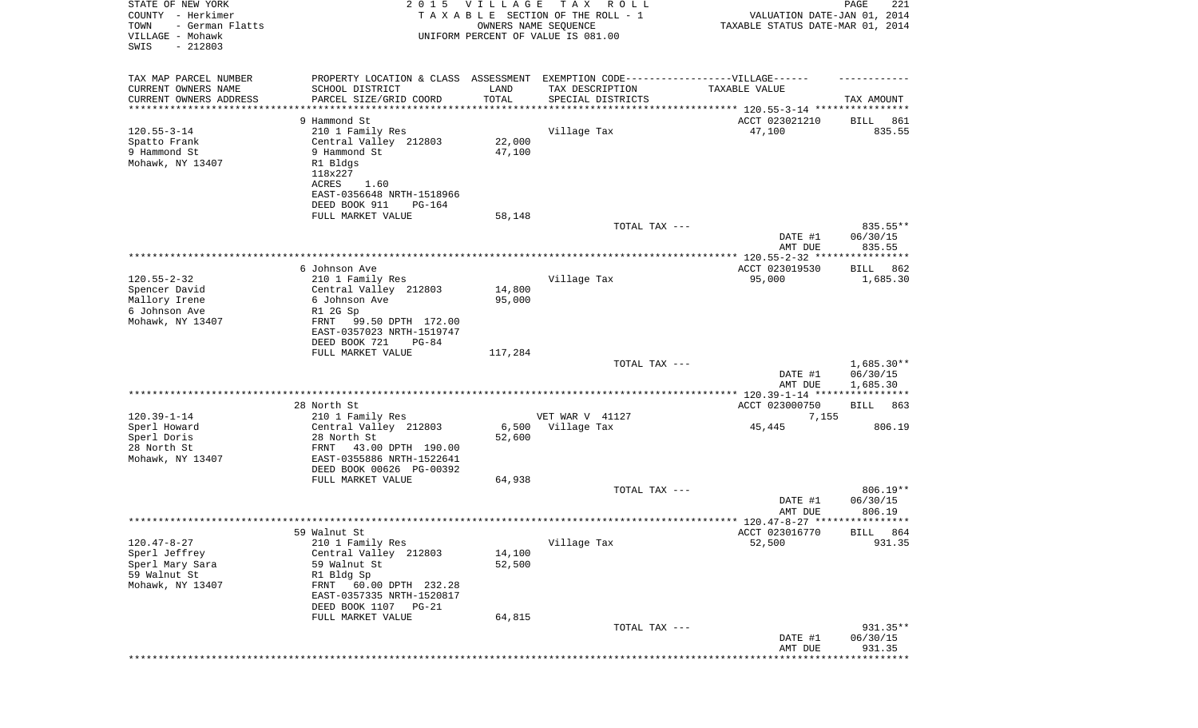| STATE OF NEW YORK<br>COUNTY - Herkimer<br>- German Flatts<br>TOWN<br>VILLAGE - Mohawk<br>SWIS<br>$-212803$ | 2 0 1 5                                                                                                                                                                       | <b>VILLAGE</b><br>OWNERS NAME SEQUENCE | TAX ROLL<br>TAXABLE SECTION OF THE ROLL - 1<br>UNIFORM PERCENT OF VALUE IS 081.00    | VALUATION DATE-JAN 01, 2014<br>TAXABLE STATUS DATE-MAR 01, 2014 | 221<br>PAGE                                  |
|------------------------------------------------------------------------------------------------------------|-------------------------------------------------------------------------------------------------------------------------------------------------------------------------------|----------------------------------------|--------------------------------------------------------------------------------------|-----------------------------------------------------------------|----------------------------------------------|
| TAX MAP PARCEL NUMBER<br>CURRENT OWNERS NAME<br>CURRENT OWNERS ADDRESS<br>*********************            | PROPERTY LOCATION & CLASS ASSESSMENT<br>SCHOOL DISTRICT<br>PARCEL SIZE/GRID COORD                                                                                             | LAND<br>TOTAL<br>************          | EXEMPTION CODE-----------------VILLAGE------<br>TAX DESCRIPTION<br>SPECIAL DISTRICTS | TAXABLE VALUE                                                   | TAX AMOUNT                                   |
| $120.55 - 3 - 14$<br>Spatto Frank<br>9 Hammond St<br>Mohawk, NY 13407                                      | 9 Hammond St<br>210 1 Family Res<br>Central Valley 212803<br>9 Hammond St<br>R1 Bldgs<br>118x227<br>ACRES<br>1.60<br>EAST-0356648 NRTH-1518966                                | 22,000<br>47,100                       | Village Tax                                                                          | ACCT 023021210<br>47,100                                        | 861<br>BILL<br>835.55                        |
|                                                                                                            | DEED BOOK 911<br>PG-164<br>FULL MARKET VALUE                                                                                                                                  | 58,148                                 | TOTAL TAX ---                                                                        | DATE #1<br>AMT DUE                                              | 835.55**<br>06/30/15<br>835.55               |
| $120.55 - 2 - 32$<br>Spencer David<br>Mallory Irene<br>6 Johnson Ave<br>Mohawk, NY 13407                   | 6 Johnson Ave<br>210 1 Family Res<br>Central Valley 212803<br>6 Johnson Ave<br>R1 2G Sp<br>FRNT<br>99.50 DPTH 172.00<br>EAST-0357023 NRTH-1519747<br>DEED BOOK 721<br>$PG-84$ | 14,800<br>95,000                       | Village Tax                                                                          | ACCT 023019530<br>95,000                                        | 862<br>BILL<br>1,685.30                      |
|                                                                                                            | FULL MARKET VALUE                                                                                                                                                             | 117,284                                | TOTAL TAX ---                                                                        | DATE #1<br>AMT DUE                                              | $1,685.30**$<br>06/30/15<br>1,685.30         |
| $120.39 - 1 - 14$<br>Sperl Howard<br>Sperl Doris<br>28 North St<br>Mohawk, NY 13407                        | 28 North St<br>210 1 Family Res<br>Central Valley 212803<br>28 North St<br>43.00 DPTH 190.00<br>FRNT<br>EAST-0355886 NRTH-1522641                                             | 6,500<br>52,600                        | VET WAR V 41127<br>Village Tax                                                       | ACCT 023000750<br>7,155<br>45,445                               | ******<br>BILL<br>863<br>806.19              |
|                                                                                                            | DEED BOOK 00626 PG-00392<br>FULL MARKET VALUE                                                                                                                                 | 64,938                                 | TOTAL TAX ---                                                                        | DATE #1<br>AMT DUE                                              | $806.19**$<br>06/30/15<br>806.19             |
| $120.47 - 8 - 27$<br>Sperl Jeffrey<br>Sperl Mary Sara<br>59 Walnut St<br>Mohawk, NY 13407                  | 59 Walnut St<br>210 1 Family Res<br>Central Valley 212803<br>59 Walnut St<br>R1 Bldg Sp<br>FRNT<br>60.00 DPTH 232.28<br>EAST-0357335 NRTH-1520817<br>DEED BOOK 1107<br>PG-21  | 14,100<br>52,500                       | Village Tax                                                                          | ACCT 023016770<br>52,500                                        | BILL 864<br>931.35                           |
|                                                                                                            | FULL MARKET VALUE                                                                                                                                                             | 64,815                                 | TOTAL TAX ---                                                                        | DATE #1<br>AMT DUE                                              | 931.35**<br>06/30/15<br>931.35<br>********** |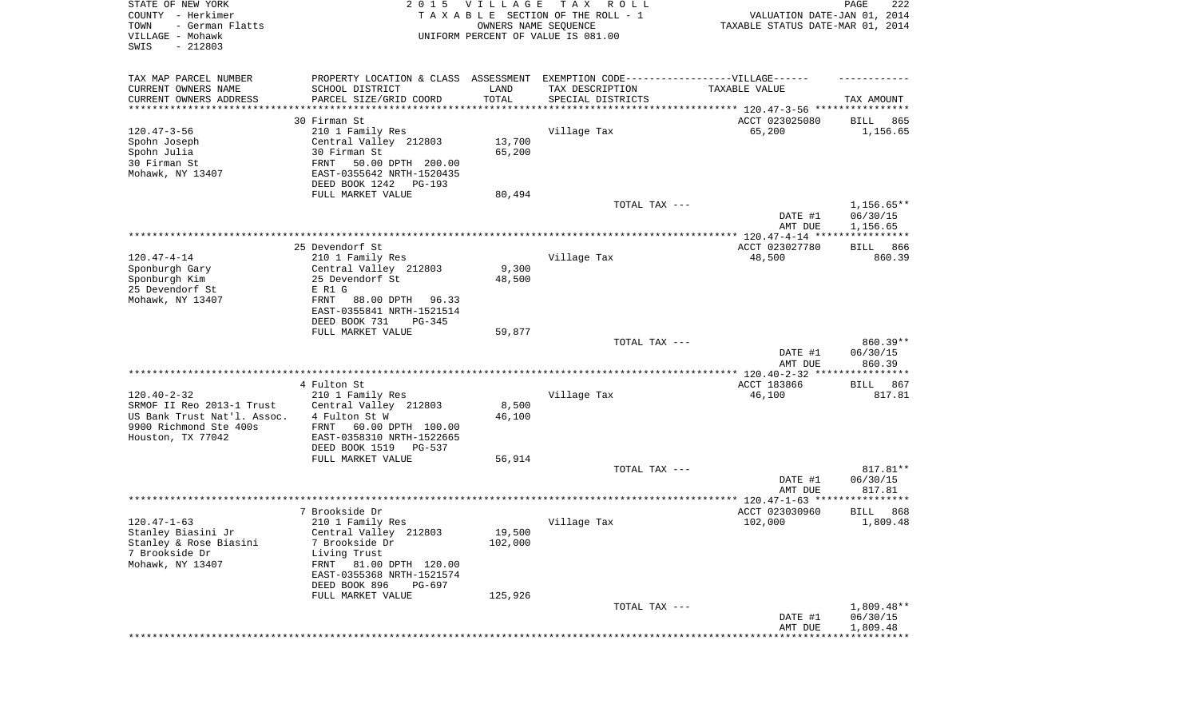| STATE OF NEW YORK<br>COUNTY - Herkimer<br>- German Flatts<br>TOWN<br>VILLAGE - Mohawk<br>SWIS<br>$-212803$ | 2 0 1 5                                                                           | V I L L A G E<br>OWNERS NAME SEQUENCE | T A X<br>R O L L<br>TAXABLE SECTION OF THE ROLL - 1<br>UNIFORM PERCENT OF VALUE IS 081.00 | VALUATION DATE-JAN 01, 2014<br>TAXABLE STATUS DATE-MAR 01, 2014 | 222<br>PAGE          |
|------------------------------------------------------------------------------------------------------------|-----------------------------------------------------------------------------------|---------------------------------------|-------------------------------------------------------------------------------------------|-----------------------------------------------------------------|----------------------|
| TAX MAP PARCEL NUMBER                                                                                      | PROPERTY LOCATION & CLASS ASSESSMENT EXEMPTION CODE-----------------VILLAGE------ |                                       |                                                                                           |                                                                 |                      |
| CURRENT OWNERS NAME                                                                                        | SCHOOL DISTRICT                                                                   | LAND                                  | TAX DESCRIPTION                                                                           | TAXABLE VALUE                                                   |                      |
| CURRENT OWNERS ADDRESS<br>********************                                                             | PARCEL SIZE/GRID COORD                                                            | TOTAL                                 | SPECIAL DISTRICTS                                                                         | ********************************* 120.47-3-56 ****************  | TAX AMOUNT           |
|                                                                                                            | 30 Firman St                                                                      |                                       |                                                                                           | ACCT 023025080                                                  | 865<br>BILL          |
| $120.47 - 3 - 56$                                                                                          | 210 1 Family Res                                                                  |                                       | Village Tax                                                                               | 65,200                                                          | 1,156.65             |
| Spohn Joseph                                                                                               | Central Valley 212803                                                             | 13,700                                |                                                                                           |                                                                 |                      |
| Spohn Julia                                                                                                | 30 Firman St                                                                      | 65,200                                |                                                                                           |                                                                 |                      |
| 30 Firman St                                                                                               | FRNT<br>50.00 DPTH 200.00                                                         |                                       |                                                                                           |                                                                 |                      |
| Mohawk, NY 13407                                                                                           | EAST-0355642 NRTH-1520435<br>DEED BOOK 1242<br>PG-193                             |                                       |                                                                                           |                                                                 |                      |
|                                                                                                            | FULL MARKET VALUE                                                                 | 80,494                                |                                                                                           |                                                                 |                      |
|                                                                                                            |                                                                                   |                                       | TOTAL TAX ---                                                                             |                                                                 | $1,156.65**$         |
|                                                                                                            |                                                                                   |                                       |                                                                                           | DATE #1                                                         | 06/30/15             |
|                                                                                                            |                                                                                   |                                       |                                                                                           | AMT DUE                                                         | 1,156.65             |
|                                                                                                            | 25 Devendorf St                                                                   |                                       |                                                                                           | ACCT 023027780                                                  | 866<br>BILL          |
| $120.47 - 4 - 14$                                                                                          | 210 1 Family Res                                                                  |                                       | Village Tax                                                                               | 48,500                                                          | 860.39               |
| Sponburgh Gary                                                                                             | Central Valley 212803                                                             | 9,300                                 |                                                                                           |                                                                 |                      |
| Sponburgh Kim                                                                                              | 25 Devendorf St                                                                   | 48,500                                |                                                                                           |                                                                 |                      |
| 25 Devendorf St                                                                                            | E R1 G                                                                            |                                       |                                                                                           |                                                                 |                      |
| Mohawk, NY 13407                                                                                           | 88.00 DPTH<br>FRNT<br>96.33<br>EAST-0355841 NRTH-1521514                          |                                       |                                                                                           |                                                                 |                      |
|                                                                                                            | DEED BOOK 731<br>$PG-345$                                                         |                                       |                                                                                           |                                                                 |                      |
|                                                                                                            | FULL MARKET VALUE                                                                 | 59,877                                |                                                                                           |                                                                 |                      |
|                                                                                                            |                                                                                   |                                       | TOTAL TAX ---                                                                             |                                                                 | 860.39**             |
|                                                                                                            |                                                                                   |                                       |                                                                                           | DATE #1<br>AMT DUE                                              | 06/30/15<br>860.39   |
|                                                                                                            | **********************                                                            |                                       | **********************************                                                        | ************ 120.40-2-32 *****************                      |                      |
|                                                                                                            | 4 Fulton St                                                                       |                                       |                                                                                           | ACCT 183866                                                     | 867<br>BILL          |
| $120.40 - 2 - 32$                                                                                          | 210 1 Family Res                                                                  |                                       | Village Tax                                                                               | 46,100                                                          | 817.81               |
| SRMOF II Reo 2013-1 Trust<br>US Bank Trust Nat'l. Assoc.                                                   | Central Valley 212803<br>4 Fulton St W                                            | 8,500<br>46,100                       |                                                                                           |                                                                 |                      |
| 9900 Richmond Ste 400s                                                                                     | FRNT<br>60.00 DPTH 100.00                                                         |                                       |                                                                                           |                                                                 |                      |
| Houston, TX 77042                                                                                          | EAST-0358310 NRTH-1522665                                                         |                                       |                                                                                           |                                                                 |                      |
|                                                                                                            | DEED BOOK 1519<br>PG-537                                                          |                                       |                                                                                           |                                                                 |                      |
|                                                                                                            | FULL MARKET VALUE                                                                 | 56,914                                |                                                                                           |                                                                 |                      |
|                                                                                                            |                                                                                   |                                       | TOTAL TAX ---                                                                             | DATE #1                                                         | 817.81**<br>06/30/15 |
|                                                                                                            |                                                                                   |                                       |                                                                                           | AMT DUE                                                         | 817.81               |
|                                                                                                            |                                                                                   |                                       |                                                                                           | **************** 120.47-1-63 ******                             | **********           |
|                                                                                                            | 7 Brookside Dr                                                                    |                                       |                                                                                           | ACCT 023030960                                                  | 868<br>BILL          |
| $120.47 - 1 - 63$                                                                                          | 210 1 Family Res                                                                  | 19,500                                | Village Tax                                                                               | 102,000                                                         | 1,809.48             |
| Stanley Biasini Jr<br>Stanley & Rose Biasini                                                               | Central Valley 212803<br>7 Brookside Dr                                           | 102,000                               |                                                                                           |                                                                 |                      |
| 7 Brookside Dr                                                                                             | Living Trust                                                                      |                                       |                                                                                           |                                                                 |                      |
| Mohawk, NY 13407                                                                                           | FRNT 81.00 DPTH 120.00                                                            |                                       |                                                                                           |                                                                 |                      |
|                                                                                                            | EAST-0355368 NRTH-1521574                                                         |                                       |                                                                                           |                                                                 |                      |
|                                                                                                            | DEED BOOK 896<br>PG-697                                                           |                                       |                                                                                           |                                                                 |                      |
|                                                                                                            | FULL MARKET VALUE                                                                 | 125,926                               | TOTAL TAX ---                                                                             |                                                                 | 1,809.48**           |
|                                                                                                            |                                                                                   |                                       |                                                                                           | DATE #1                                                         | 06/30/15             |
|                                                                                                            |                                                                                   |                                       |                                                                                           | AMT DUE                                                         | 1,809.48             |
|                                                                                                            |                                                                                   |                                       |                                                                                           |                                                                 | ******               |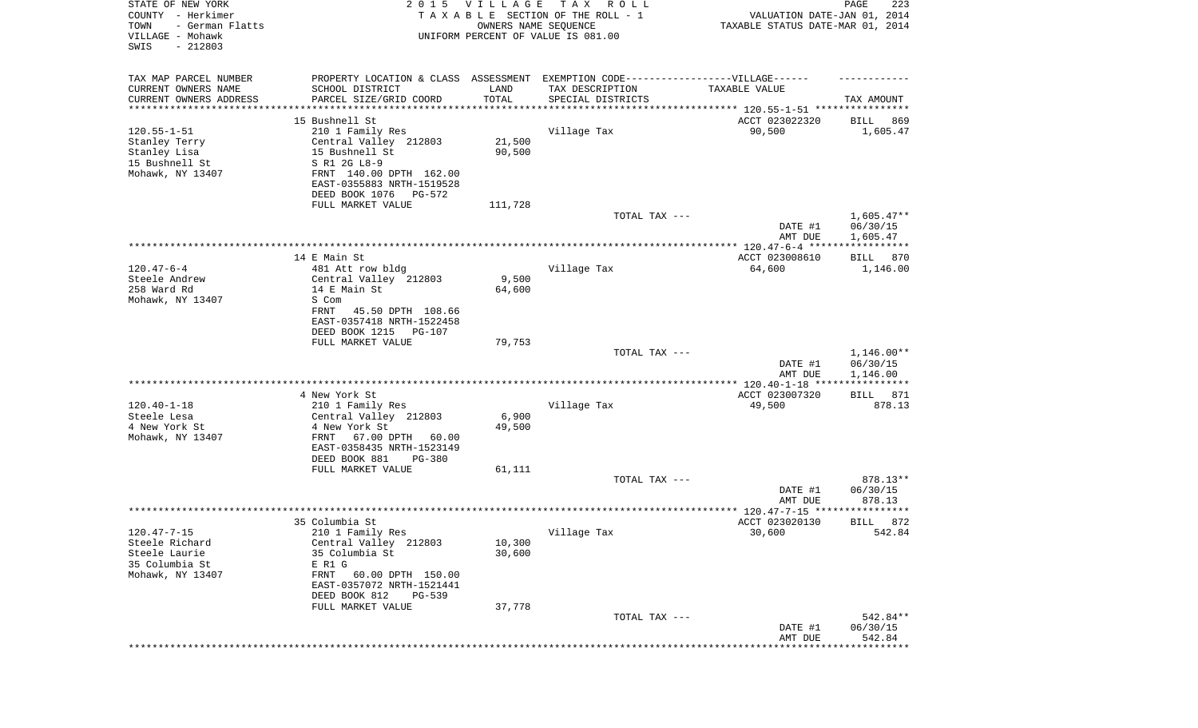| STATE OF NEW YORK<br>COUNTY - Herkimer<br>- German Flatts<br>TOWN<br>VILLAGE - Mohawk<br>SWIS<br>$-212803$ | 2 0 1 5                                                                          | <b>VILLAGE</b><br>OWNERS NAME SEQUENCE | T A X<br>R O L L<br>TAXABLE SECTION OF THE ROLL - 1<br>UNIFORM PERCENT OF VALUE IS 081.00                 | VALUATION DATE-JAN 01, 2014<br>TAXABLE STATUS DATE-MAR 01, 2014 | PAGE<br>223        |
|------------------------------------------------------------------------------------------------------------|----------------------------------------------------------------------------------|----------------------------------------|-----------------------------------------------------------------------------------------------------------|-----------------------------------------------------------------|--------------------|
| TAX MAP PARCEL NUMBER<br>CURRENT OWNERS NAME                                                               | PROPERTY LOCATION & CLASS ASSESSMENT EXEMPTION CODE----------------VILLAGE------ | LAND                                   |                                                                                                           | TAXABLE VALUE                                                   |                    |
| CURRENT OWNERS ADDRESS<br>********************                                                             | SCHOOL DISTRICT<br>PARCEL SIZE/GRID COORD                                        | TOTAL                                  | TAX DESCRIPTION<br>SPECIAL DISTRICTS<br>************************************ 120.55-1-51 **************** |                                                                 | TAX AMOUNT         |
|                                                                                                            | 15 Bushnell St                                                                   |                                        |                                                                                                           | ACCT 023022320                                                  | 869<br>BILL        |
| $120.55 - 1 - 51$                                                                                          | 210 1 Family Res                                                                 |                                        | Village Tax                                                                                               | 90,500                                                          | 1,605.47           |
| Stanley Terry                                                                                              | Central Valley 212803                                                            | 21,500                                 |                                                                                                           |                                                                 |                    |
| Stanley Lisa                                                                                               | 15 Bushnell St                                                                   | 90,500                                 |                                                                                                           |                                                                 |                    |
| 15 Bushnell St                                                                                             | S R1 2G L8-9                                                                     |                                        |                                                                                                           |                                                                 |                    |
| Mohawk, NY 13407                                                                                           | FRNT 140.00 DPTH 162.00                                                          |                                        |                                                                                                           |                                                                 |                    |
|                                                                                                            | EAST-0355883 NRTH-1519528                                                        |                                        |                                                                                                           |                                                                 |                    |
|                                                                                                            | DEED BOOK 1076<br>PG-572                                                         |                                        |                                                                                                           |                                                                 |                    |
|                                                                                                            | FULL MARKET VALUE                                                                | 111,728                                | TOTAL TAX ---                                                                                             |                                                                 | $1,605.47**$       |
|                                                                                                            |                                                                                  |                                        |                                                                                                           | DATE #1                                                         | 06/30/15           |
|                                                                                                            |                                                                                  |                                        |                                                                                                           | AMT DUE                                                         | 1,605.47           |
|                                                                                                            |                                                                                  |                                        |                                                                                                           |                                                                 |                    |
|                                                                                                            | 14 E Main St                                                                     |                                        |                                                                                                           | ACCT 023008610                                                  | BILL<br>870        |
| $120.47 - 6 - 4$                                                                                           | 481 Att row bldg                                                                 |                                        | Village Tax                                                                                               | 64,600                                                          | 1,146.00           |
| Steele Andrew                                                                                              | Central Valley 212803                                                            | 9,500                                  |                                                                                                           |                                                                 |                    |
| 258 Ward Rd                                                                                                | 14 E Main St                                                                     | 64,600                                 |                                                                                                           |                                                                 |                    |
| Mohawk, NY 13407                                                                                           | S Com                                                                            |                                        |                                                                                                           |                                                                 |                    |
|                                                                                                            | 45.50 DPTH 108.66<br>FRNT<br>EAST-0357418 NRTH-1522458                           |                                        |                                                                                                           |                                                                 |                    |
|                                                                                                            | DEED BOOK 1215<br><b>PG-107</b>                                                  |                                        |                                                                                                           |                                                                 |                    |
|                                                                                                            | FULL MARKET VALUE                                                                | 79,753                                 |                                                                                                           |                                                                 |                    |
|                                                                                                            |                                                                                  |                                        | TOTAL TAX ---                                                                                             |                                                                 | $1,146.00**$       |
|                                                                                                            |                                                                                  |                                        |                                                                                                           | DATE #1                                                         | 06/30/15           |
|                                                                                                            |                                                                                  |                                        |                                                                                                           | AMT DUE                                                         | 1,146.00           |
|                                                                                                            |                                                                                  |                                        |                                                                                                           |                                                                 | ***********        |
|                                                                                                            | 4 New York St                                                                    |                                        |                                                                                                           | ACCT 023007320                                                  | 871<br>BILL        |
| $120.40 - 1 - 18$<br>Steele Lesa                                                                           | 210 1 Family Res                                                                 |                                        | Village Tax                                                                                               | 49,500                                                          | 878.13             |
| 4 New York St                                                                                              | Central Valley 212803<br>4 New York St                                           | 6,900<br>49,500                        |                                                                                                           |                                                                 |                    |
| Mohawk, NY 13407                                                                                           | FRNT<br>67.00 DPTH 60.00                                                         |                                        |                                                                                                           |                                                                 |                    |
|                                                                                                            | EAST-0358435 NRTH-1523149                                                        |                                        |                                                                                                           |                                                                 |                    |
|                                                                                                            | DEED BOOK 881<br><b>PG-380</b>                                                   |                                        |                                                                                                           |                                                                 |                    |
|                                                                                                            | FULL MARKET VALUE                                                                | 61,111                                 |                                                                                                           |                                                                 |                    |
|                                                                                                            |                                                                                  |                                        | TOTAL TAX ---                                                                                             |                                                                 | 878.13**           |
|                                                                                                            |                                                                                  |                                        |                                                                                                           | DATE #1                                                         | 06/30/15           |
|                                                                                                            |                                                                                  |                                        |                                                                                                           | AMT DUE                                                         | 878.13<br>*****    |
|                                                                                                            |                                                                                  |                                        |                                                                                                           | ***************** 120.47-7-15 *********<br>ACCT 023020130       | 872                |
| 120.47-7-15                                                                                                | 35 Columbia St<br>210 1 Family Res                                               |                                        | Village Tax                                                                                               | 30,600                                                          | BILL<br>542.84     |
| Steele Richard                                                                                             | Central Valley 212803                                                            | 10,300                                 |                                                                                                           |                                                                 |                    |
| Steele Laurie                                                                                              | 35 Columbia St                                                                   | 30,600                                 |                                                                                                           |                                                                 |                    |
| 35 Columbia St                                                                                             | E R1 G                                                                           |                                        |                                                                                                           |                                                                 |                    |
| Mohawk, NY 13407                                                                                           | FRNT 60.00 DPTH 150.00                                                           |                                        |                                                                                                           |                                                                 |                    |
|                                                                                                            | EAST-0357072 NRTH-1521441                                                        |                                        |                                                                                                           |                                                                 |                    |
|                                                                                                            | DEED BOOK 812<br><b>PG-539</b>                                                   |                                        |                                                                                                           |                                                                 |                    |
|                                                                                                            | FULL MARKET VALUE                                                                | 37,778                                 |                                                                                                           |                                                                 |                    |
|                                                                                                            |                                                                                  |                                        | TOTAL TAX ---                                                                                             |                                                                 | 542.84**           |
|                                                                                                            |                                                                                  |                                        |                                                                                                           | DATE #1<br>AMT DUE                                              | 06/30/15<br>542.84 |
|                                                                                                            |                                                                                  |                                        |                                                                                                           | ****************************                                    |                    |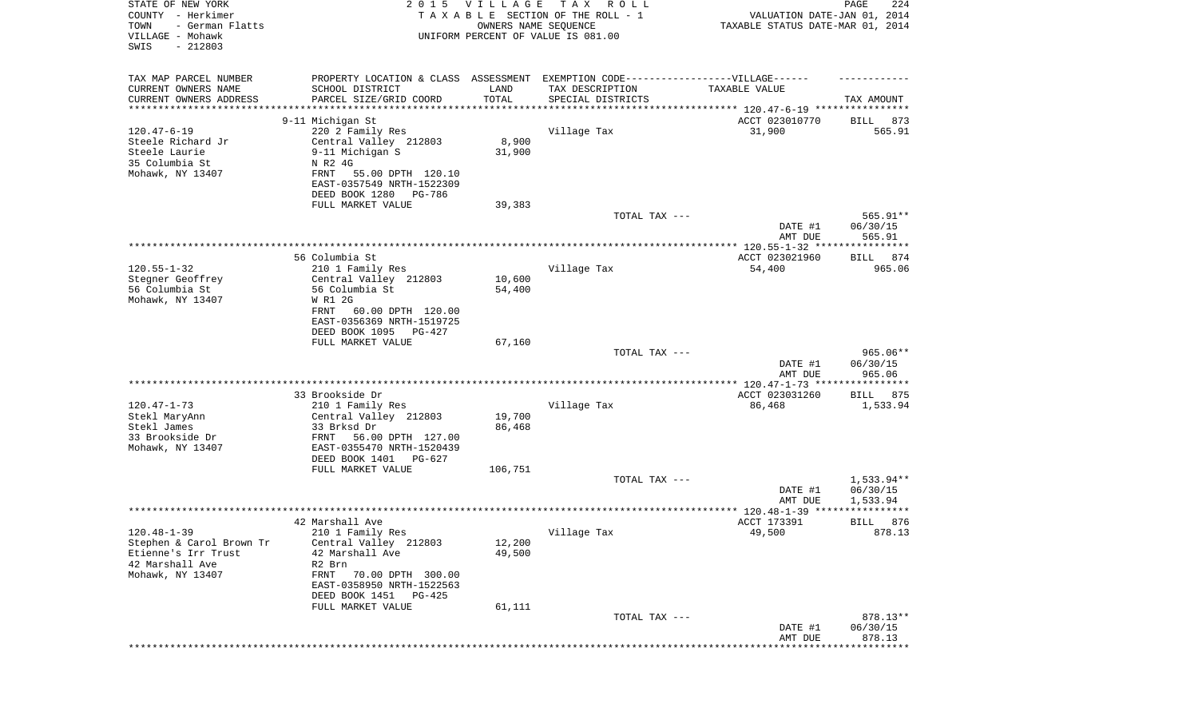| STATE OF NEW YORK<br>COUNTY - Herkimer<br>TOWN<br>- German Flatts<br>VILLAGE - Mohawk<br>SWIS<br>$-212803$ | 2 0 1 5                                               | VILLAGE<br>OWNERS NAME SEQUENCE | T A X<br>R O L L<br>TAXABLE SECTION OF THE ROLL - 1<br>UNIFORM PERCENT OF VALUE IS 081.00 | VALUATION DATE-JAN 01, 2014<br>TAXABLE STATUS DATE-MAR 01, 2014 | 224<br>PAGE           |
|------------------------------------------------------------------------------------------------------------|-------------------------------------------------------|---------------------------------|-------------------------------------------------------------------------------------------|-----------------------------------------------------------------|-----------------------|
|                                                                                                            |                                                       |                                 |                                                                                           |                                                                 |                       |
| TAX MAP PARCEL NUMBER                                                                                      | PROPERTY LOCATION & CLASS ASSESSMENT                  |                                 | EXEMPTION CODE-----------------VILLAGE------                                              |                                                                 |                       |
| CURRENT OWNERS NAME                                                                                        | SCHOOL DISTRICT                                       | LAND                            | TAX DESCRIPTION                                                                           | TAXABLE VALUE                                                   |                       |
| CURRENT OWNERS ADDRESS<br>*********************                                                            | PARCEL SIZE/GRID COORD<br>********************        | TOTAL                           | SPECIAL DISTRICTS                                                                         |                                                                 | TAX AMOUNT            |
|                                                                                                            | 9-11 Michigan St                                      |                                 |                                                                                           | ACCT 023010770                                                  | 873                   |
| $120.47 - 6 - 19$                                                                                          | 220 2 Family Res                                      |                                 | Village Tax                                                                               | 31,900                                                          | BILL<br>565.91        |
| Steele Richard Jr                                                                                          | Central Valley 212803                                 | 8,900                           |                                                                                           |                                                                 |                       |
| Steele Laurie                                                                                              | 9-11 Michigan S                                       | 31,900                          |                                                                                           |                                                                 |                       |
| 35 Columbia St                                                                                             | N R2 4G                                               |                                 |                                                                                           |                                                                 |                       |
| Mohawk, NY 13407                                                                                           | 55.00 DPTH 120.10<br>FRNT                             |                                 |                                                                                           |                                                                 |                       |
|                                                                                                            | EAST-0357549 NRTH-1522309                             |                                 |                                                                                           |                                                                 |                       |
|                                                                                                            | DEED BOOK 1280<br>PG-786                              |                                 |                                                                                           |                                                                 |                       |
|                                                                                                            | FULL MARKET VALUE                                     | 39,383                          | TOTAL TAX ---                                                                             |                                                                 | 565.91**              |
|                                                                                                            |                                                       |                                 |                                                                                           | DATE #1                                                         | 06/30/15              |
|                                                                                                            |                                                       |                                 |                                                                                           | AMT DUE                                                         | 565.91                |
|                                                                                                            |                                                       |                                 |                                                                                           |                                                                 |                       |
|                                                                                                            | 56 Columbia St                                        |                                 |                                                                                           | ACCT 023021960                                                  | BILL 874              |
| $120.55 - 1 - 32$                                                                                          | 210 1 Family Res                                      |                                 | Village Tax                                                                               | 54,400                                                          | 965.06                |
| Stegner Geoffrey                                                                                           | Central Valley 212803<br>56 Columbia St               | 10,600                          |                                                                                           |                                                                 |                       |
| 56 Columbia St<br>Mohawk, NY 13407                                                                         | W R1 2G                                               | 54,400                          |                                                                                           |                                                                 |                       |
|                                                                                                            | FRNT<br>60.00 DPTH 120.00                             |                                 |                                                                                           |                                                                 |                       |
|                                                                                                            | EAST-0356369 NRTH-1519725                             |                                 |                                                                                           |                                                                 |                       |
|                                                                                                            | DEED BOOK 1095 PG-427                                 |                                 |                                                                                           |                                                                 |                       |
|                                                                                                            | FULL MARKET VALUE                                     | 67,160                          |                                                                                           |                                                                 |                       |
|                                                                                                            |                                                       |                                 | TOTAL TAX ---                                                                             |                                                                 | $965.06**$            |
|                                                                                                            |                                                       |                                 |                                                                                           | DATE #1<br>AMT DUE                                              | 06/30/15<br>965.06    |
|                                                                                                            |                                                       |                                 |                                                                                           |                                                                 |                       |
|                                                                                                            | 33 Brookside Dr                                       |                                 |                                                                                           | ACCT 023031260                                                  | BILL 875              |
| $120.47 - 1 - 73$                                                                                          | 210 1 Family Res                                      |                                 | Village Tax                                                                               | 86,468                                                          | 1,533.94              |
| Stekl MaryAnn                                                                                              | Central Valley 212803                                 | 19,700                          |                                                                                           |                                                                 |                       |
| Stekl James                                                                                                | 33 Brksd Dr                                           | 86,468                          |                                                                                           |                                                                 |                       |
| 33 Brookside Dr                                                                                            | FRNT<br>56.00 DPTH 127.00                             |                                 |                                                                                           |                                                                 |                       |
| Mohawk, NY 13407                                                                                           | EAST-0355470 NRTH-1520439<br>DEED BOOK 1401<br>PG-627 |                                 |                                                                                           |                                                                 |                       |
|                                                                                                            | FULL MARKET VALUE                                     | 106,751                         |                                                                                           |                                                                 |                       |
|                                                                                                            |                                                       |                                 | TOTAL TAX ---                                                                             |                                                                 | 1,533.94**            |
|                                                                                                            |                                                       |                                 |                                                                                           | DATE #1                                                         | 06/30/15              |
|                                                                                                            |                                                       |                                 |                                                                                           | AMT DUE                                                         | 1,533.94              |
|                                                                                                            |                                                       |                                 |                                                                                           | ***************** 120.48-1-39 ****************                  |                       |
| $120.48 - 1 - 39$                                                                                          | 42 Marshall Ave<br>210 1 Family Res                   |                                 |                                                                                           | ACCT 173391<br>49,500                                           | 876<br>BILL<br>878.13 |
| Stephen & Carol Brown Tr                                                                                   | Central Valley 212803                                 | 12,200                          | Village Tax                                                                               |                                                                 |                       |
| Etienne's Irr Trust                                                                                        | 42 Marshall Ave                                       | 49,500                          |                                                                                           |                                                                 |                       |
| 42 Marshall Ave                                                                                            | R2 Brn                                                |                                 |                                                                                           |                                                                 |                       |
| Mohawk, NY 13407                                                                                           | 70.00 DPTH 300.00<br>FRNT                             |                                 |                                                                                           |                                                                 |                       |
|                                                                                                            | EAST-0358950 NRTH-1522563                             |                                 |                                                                                           |                                                                 |                       |
|                                                                                                            | DEED BOOK 1451 PG-425                                 |                                 |                                                                                           |                                                                 |                       |
|                                                                                                            | FULL MARKET VALUE                                     | 61,111                          |                                                                                           |                                                                 |                       |
|                                                                                                            |                                                       |                                 | TOTAL TAX ---                                                                             | DATE #1                                                         | 878.13**<br>06/30/15  |
|                                                                                                            |                                                       |                                 |                                                                                           | AMT DUE                                                         | 878.13                |
|                                                                                                            |                                                       |                                 |                                                                                           |                                                                 | * * * * * * * * * *   |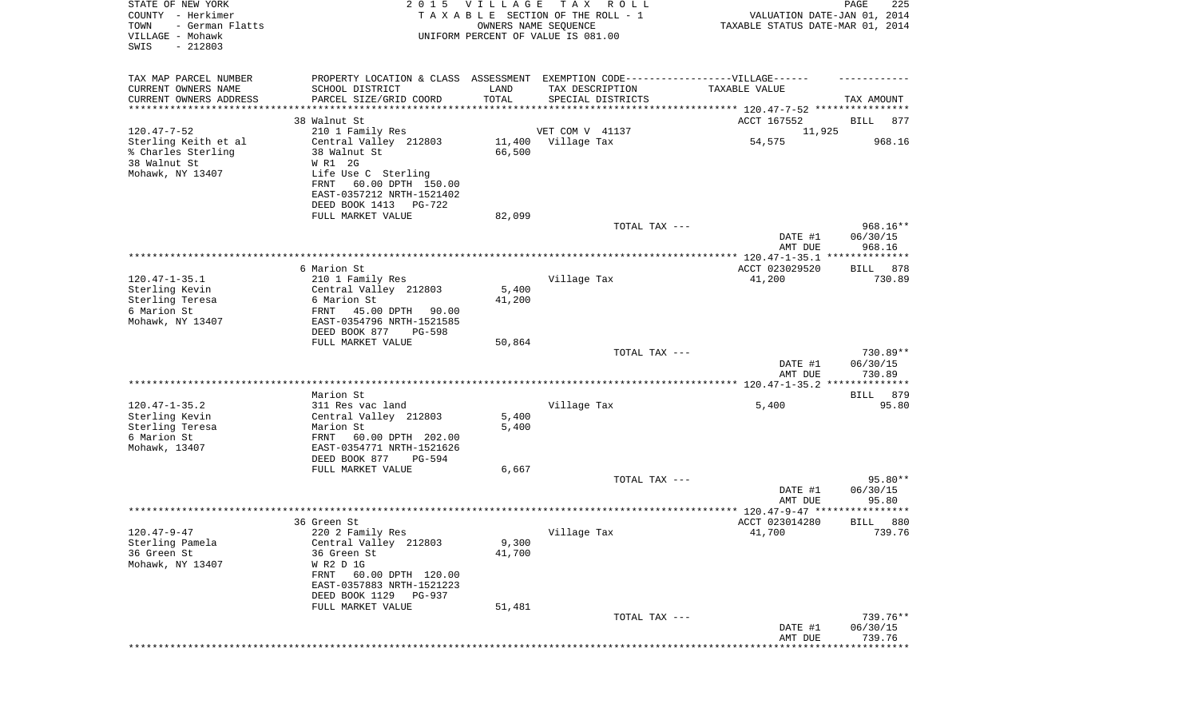| STATE OF NEW YORK<br>COUNTY - Herkimer<br>- German Flatts<br>TOWN<br>VILLAGE - Mohawk<br>$-212803$<br>SWIS |                                                      | 2015 VILLAGE<br>OWNERS NAME SEQUENCE | T A X<br>R O L L<br>TAXABLE SECTION OF THE ROLL - 1<br>UNIFORM PERCENT OF VALUE IS 081.00 | VALUATION DATE-JAN 01, 2014<br>TAXABLE STATUS DATE-MAR 01, 2014 | PAGE<br>225                    |
|------------------------------------------------------------------------------------------------------------|------------------------------------------------------|--------------------------------------|-------------------------------------------------------------------------------------------|-----------------------------------------------------------------|--------------------------------|
| TAX MAP PARCEL NUMBER                                                                                      |                                                      |                                      | PROPERTY LOCATION & CLASS ASSESSMENT EXEMPTION CODE-----------------VILLAGE------         |                                                                 |                                |
| CURRENT OWNERS NAME<br>CURRENT OWNERS ADDRESS                                                              | SCHOOL DISTRICT<br>PARCEL SIZE/GRID COORD            | LAND<br>TOTAL                        | TAX DESCRIPTION<br>SPECIAL DISTRICTS                                                      | TAXABLE VALUE                                                   | TAX AMOUNT                     |
| *********************                                                                                      | ********************                                 |                                      |                                                                                           |                                                                 |                                |
|                                                                                                            | 38 Walnut St                                         |                                      |                                                                                           | ACCT 167552                                                     | BILL<br>877                    |
| $120.47 - 7 - 52$                                                                                          | 210 1 Family Res                                     |                                      | VET COM V 41137                                                                           | 11,925                                                          |                                |
| Sterling Keith et al<br>% Charles Sterling                                                                 | Central Valley 212803                                |                                      | 11,400 Village Tax                                                                        | 54,575                                                          | 968.16                         |
| 38 Walnut St                                                                                               | 38 Walnut St<br>W R1 2G                              | 66,500                               |                                                                                           |                                                                 |                                |
| Mohawk, NY 13407                                                                                           | Life Use C Sterling                                  |                                      |                                                                                           |                                                                 |                                |
|                                                                                                            | 60.00 DPTH 150.00<br>FRNT                            |                                      |                                                                                           |                                                                 |                                |
|                                                                                                            | EAST-0357212 NRTH-1521402                            |                                      |                                                                                           |                                                                 |                                |
|                                                                                                            | DEED BOOK 1413 PG-722                                |                                      |                                                                                           |                                                                 |                                |
|                                                                                                            | FULL MARKET VALUE                                    | 82,099                               |                                                                                           |                                                                 |                                |
|                                                                                                            |                                                      |                                      | TOTAL TAX ---                                                                             | DATE #1<br>AMT DUE                                              | 968.16**<br>06/30/15<br>968.16 |
|                                                                                                            |                                                      |                                      |                                                                                           |                                                                 |                                |
|                                                                                                            | 6 Marion St                                          |                                      |                                                                                           | ACCT 023029520                                                  | 878<br>BILL                    |
| $120.47 - 1 - 35.1$                                                                                        | 210 1 Family Res                                     |                                      | Village Tax                                                                               | 41,200                                                          | 730.89                         |
| Sterling Kevin                                                                                             | Central Valley 212803                                | 5,400                                |                                                                                           |                                                                 |                                |
| Sterling Teresa<br>6 Marion St                                                                             | 6 Marion St<br>FRNT 45.00 DPTH<br>90.00              | 41,200                               |                                                                                           |                                                                 |                                |
| Mohawk, NY 13407                                                                                           | EAST-0354796 NRTH-1521585                            |                                      |                                                                                           |                                                                 |                                |
|                                                                                                            | DEED BOOK 877<br><b>PG-598</b>                       |                                      |                                                                                           |                                                                 |                                |
|                                                                                                            | FULL MARKET VALUE                                    | 50,864                               |                                                                                           |                                                                 |                                |
|                                                                                                            |                                                      |                                      | TOTAL TAX ---                                                                             |                                                                 | 730.89**                       |
|                                                                                                            |                                                      |                                      |                                                                                           | DATE #1                                                         | 06/30/15                       |
|                                                                                                            |                                                      |                                      |                                                                                           | AMT DUE                                                         | 730.89                         |
|                                                                                                            | Marion St                                            |                                      |                                                                                           |                                                                 | BILL 879                       |
| $120.47 - 1 - 35.2$                                                                                        | 311 Res vac land                                     |                                      | Village Tax                                                                               | 5,400                                                           | 95.80                          |
| Sterling Kevin                                                                                             | Central Valley 212803                                | 5,400                                |                                                                                           |                                                                 |                                |
| Sterling Teresa                                                                                            | Marion St                                            | 5,400                                |                                                                                           |                                                                 |                                |
| 6 Marion St                                                                                                | FRNT<br>60.00 DPTH 202.00                            |                                      |                                                                                           |                                                                 |                                |
| Mohawk, 13407                                                                                              | EAST-0354771 NRTH-1521626<br>DEED BOOK 877<br>PG-594 |                                      |                                                                                           |                                                                 |                                |
|                                                                                                            | FULL MARKET VALUE                                    | 6,667                                |                                                                                           |                                                                 |                                |
|                                                                                                            |                                                      |                                      | TOTAL TAX ---                                                                             |                                                                 | 95.80**                        |
|                                                                                                            |                                                      |                                      |                                                                                           | DATE #1                                                         | 06/30/15                       |
|                                                                                                            |                                                      |                                      |                                                                                           | AMT DUE                                                         | 95.80                          |
|                                                                                                            |                                                      |                                      |                                                                                           |                                                                 |                                |
| 120.47-9-47                                                                                                | 36 Green St<br>220 2 Family Res                      |                                      | Village Tax                                                                               | ACCT 023014280<br>41,700                                        | 880<br>BILL<br>739.76          |
| Sterling Pamela                                                                                            | Central Valley 212803                                | 9,300                                |                                                                                           |                                                                 |                                |
| 36 Green St                                                                                                | 36 Green St                                          | 41,700                               |                                                                                           |                                                                 |                                |
| Mohawk, NY 13407                                                                                           | W R2 D 1G                                            |                                      |                                                                                           |                                                                 |                                |
|                                                                                                            | FRNT 60.00 DPTH 120.00                               |                                      |                                                                                           |                                                                 |                                |
|                                                                                                            | EAST-0357883 NRTH-1521223                            |                                      |                                                                                           |                                                                 |                                |
|                                                                                                            | DEED BOOK 1129 PG-937<br>FULL MARKET VALUE           | 51,481                               |                                                                                           |                                                                 |                                |
|                                                                                                            |                                                      |                                      | TOTAL TAX ---                                                                             |                                                                 | 739.76**                       |
|                                                                                                            |                                                      |                                      |                                                                                           | DATE #1                                                         | 06/30/15                       |
|                                                                                                            |                                                      |                                      |                                                                                           | AMT DUE                                                         | 739.76                         |
|                                                                                                            |                                                      |                                      |                                                                                           |                                                                 | ************                   |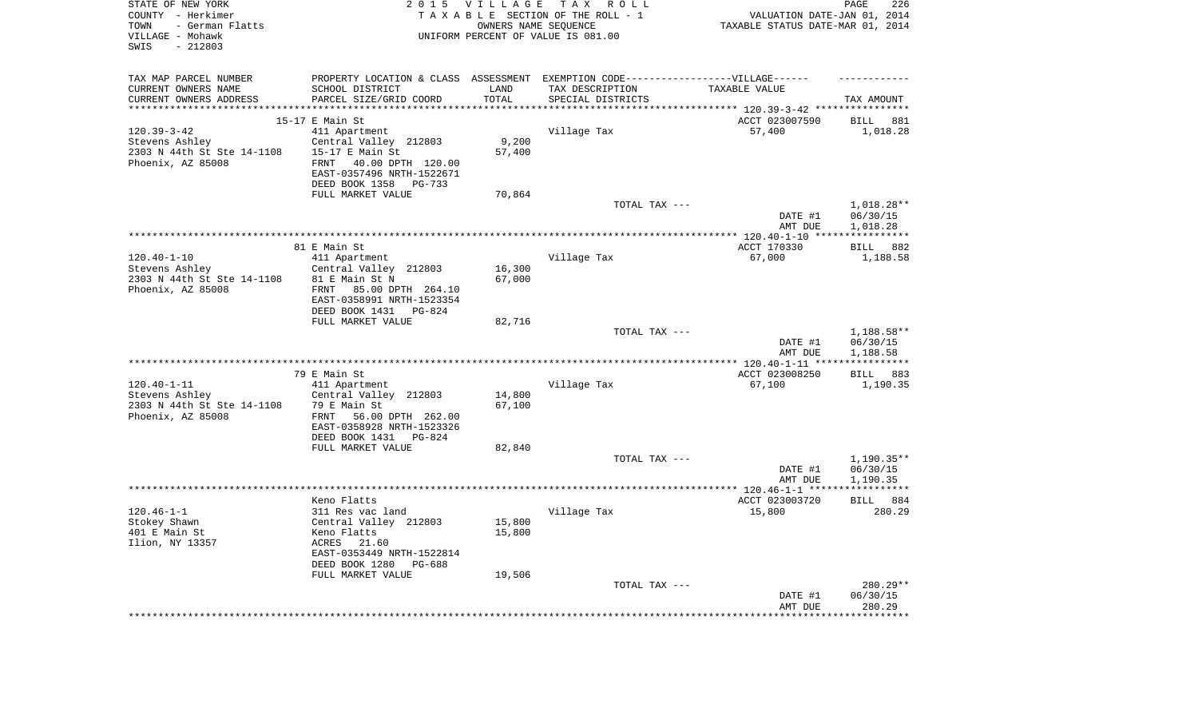| STATE OF NEW YORK<br>COUNTY - Herkimer<br>- German Flatts<br>TOWN<br>VILLAGE - Mohawk<br>$-212803$<br>SWIS | 2 0 1 5                                             | <b>VILLAGE</b> | TAX ROLL<br>TAXABLE SECTION OF THE ROLL - 1<br>OWNERS NAME SEQUENCE<br>UNIFORM PERCENT OF VALUE IS 081.00 | VALUATION DATE-JAN 01, 2014<br>TAXABLE STATUS DATE-MAR 01, 2014 | 226<br>PAGE             |
|------------------------------------------------------------------------------------------------------------|-----------------------------------------------------|----------------|-----------------------------------------------------------------------------------------------------------|-----------------------------------------------------------------|-------------------------|
| TAX MAP PARCEL NUMBER                                                                                      |                                                     |                | PROPERTY LOCATION & CLASS ASSESSMENT EXEMPTION CODE-----------------VILLAGE------                         |                                                                 |                         |
| CURRENT OWNERS NAME                                                                                        | SCHOOL DISTRICT                                     | LAND           | TAX DESCRIPTION                                                                                           | TAXABLE VALUE                                                   |                         |
| CURRENT OWNERS ADDRESS                                                                                     | PARCEL SIZE/GRID COORD                              | TOTAL          | SPECIAL DISTRICTS                                                                                         |                                                                 | TAX AMOUNT              |
| ***********************                                                                                    |                                                     |                |                                                                                                           |                                                                 |                         |
|                                                                                                            | $15-17$ E Main St                                   |                |                                                                                                           | ACCT 023007590                                                  | <b>BILL</b><br>881      |
| $120.39 - 3 - 42$                                                                                          | 411 Apartment                                       |                | Village Tax                                                                                               | 57,400                                                          | 1,018.28                |
| Stevens Ashley                                                                                             | Central Valley 212803                               | 9,200          |                                                                                                           |                                                                 |                         |
| 2303 N 44th St Ste 14-1108                                                                                 | 15-17 E Main St                                     | 57,400         |                                                                                                           |                                                                 |                         |
| Phoenix, AZ 85008                                                                                          | FRNT 40.00 DPTH 120.00<br>EAST-0357496 NRTH-1522671 |                |                                                                                                           |                                                                 |                         |
|                                                                                                            | DEED BOOK 1358<br>PG-733                            |                |                                                                                                           |                                                                 |                         |
|                                                                                                            | FULL MARKET VALUE                                   | 70,864         |                                                                                                           |                                                                 |                         |
|                                                                                                            |                                                     |                | TOTAL TAX ---                                                                                             |                                                                 | 1,018.28**              |
|                                                                                                            |                                                     |                |                                                                                                           | DATE #1                                                         | 06/30/15                |
|                                                                                                            |                                                     |                |                                                                                                           | AMT DUE                                                         | 1,018.28                |
|                                                                                                            |                                                     |                |                                                                                                           | ************ 120.40-1-10 ****                                   | ***********             |
|                                                                                                            | 81 E Main St                                        |                |                                                                                                           | ACCT 170330                                                     | 882<br><b>BILL</b>      |
| $120.40 - 1 - 10$                                                                                          | 411 Apartment                                       |                | Village Tax                                                                                               | 67,000                                                          | 1,188.58                |
| Stevens Ashley                                                                                             | Central Valley 212803                               | 16,300         |                                                                                                           |                                                                 |                         |
| 2303 N 44th St Ste 14-1108                                                                                 | 81 E Main St N                                      | 67,000         |                                                                                                           |                                                                 |                         |
| Phoenix, AZ 85008                                                                                          | FRNT 85.00 DPTH 264.10                              |                |                                                                                                           |                                                                 |                         |
|                                                                                                            | EAST-0358991 NRTH-1523354                           |                |                                                                                                           |                                                                 |                         |
|                                                                                                            | DEED BOOK 1431<br>PG-824                            |                |                                                                                                           |                                                                 |                         |
|                                                                                                            | FULL MARKET VALUE                                   | 82,716         | TOTAL TAX ---                                                                                             |                                                                 |                         |
|                                                                                                            |                                                     |                |                                                                                                           | DATE #1                                                         | 1,188.58**<br>06/30/15  |
|                                                                                                            |                                                     |                |                                                                                                           | AMT DUE                                                         | 1,188.58                |
|                                                                                                            |                                                     |                | *********************                                                                                     | **** $120.40 - 1 - 11$ **                                       | * * * * * * * * * * *   |
|                                                                                                            | 79 E Main St                                        |                |                                                                                                           | ACCT 023008250                                                  | 883<br>BILL             |
| $120.40 - 1 - 11$                                                                                          | 411 Apartment                                       |                | Village Tax                                                                                               | 67,100                                                          | 1,190.35                |
| Stevens Ashley                                                                                             | Central Valley 212803                               | 14,800         |                                                                                                           |                                                                 |                         |
| 2303 N 44th St Ste 14-1108                                                                                 | 79 E Main St                                        | 67,100         |                                                                                                           |                                                                 |                         |
| Phoenix, AZ 85008                                                                                          | FRNT<br>56.00 DPTH 262.00                           |                |                                                                                                           |                                                                 |                         |
|                                                                                                            | EAST-0358928 NRTH-1523326                           |                |                                                                                                           |                                                                 |                         |
|                                                                                                            | DEED BOOK 1431 PG-824                               |                |                                                                                                           |                                                                 |                         |
|                                                                                                            | FULL MARKET VALUE                                   | 82,840         |                                                                                                           |                                                                 |                         |
|                                                                                                            |                                                     |                | TOTAL TAX ---                                                                                             |                                                                 | $1,190.35**$            |
|                                                                                                            |                                                     |                |                                                                                                           | DATE #1                                                         | 06/30/15                |
|                                                                                                            |                                                     |                |                                                                                                           | AMT DUE                                                         | 1,190.35<br>*********** |
|                                                                                                            | Keno Flatts                                         |                |                                                                                                           | ACCT 023003720                                                  | BILL 884                |
| $120.46 - 1 - 1$                                                                                           | 311 Res vac land                                    |                | Village Tax                                                                                               | 15,800                                                          | 280.29                  |
| Stokey Shawn                                                                                               | Central Valley 212803                               | 15,800         |                                                                                                           |                                                                 |                         |
| 401 E Main St                                                                                              | Keno Flatts                                         | 15,800         |                                                                                                           |                                                                 |                         |
| Ilion, NY 13357                                                                                            | ACRES<br>21.60                                      |                |                                                                                                           |                                                                 |                         |
|                                                                                                            | EAST-0353449 NRTH-1522814                           |                |                                                                                                           |                                                                 |                         |
|                                                                                                            | DEED BOOK 1280<br>$PG-688$                          |                |                                                                                                           |                                                                 |                         |
|                                                                                                            | FULL MARKET VALUE                                   | 19,506         |                                                                                                           |                                                                 |                         |
|                                                                                                            |                                                     |                | TOTAL TAX ---                                                                                             |                                                                 | 280.29**                |
|                                                                                                            |                                                     |                |                                                                                                           | DATE #1                                                         | 06/30/15                |
|                                                                                                            |                                                     |                |                                                                                                           | AMT DUE                                                         | 280.29<br>********      |
|                                                                                                            |                                                     |                |                                                                                                           |                                                                 |                         |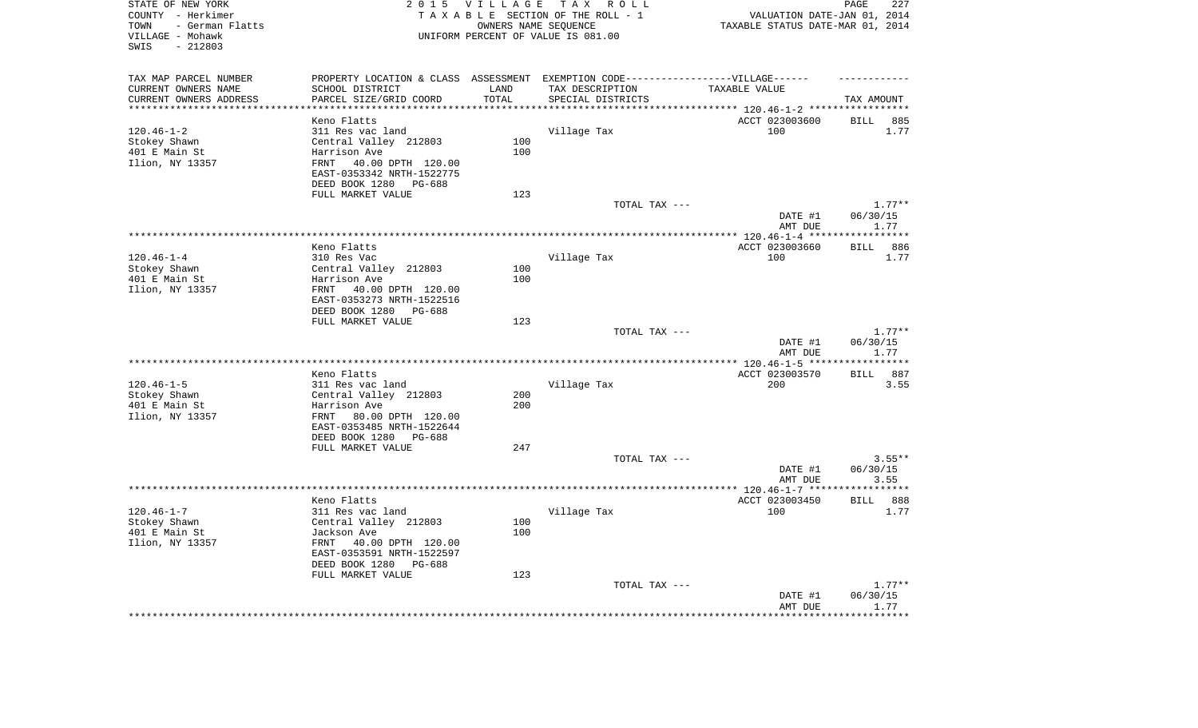| $-212803$<br>SWIS             |                                                                                  |             | OWNERS NAME SEQUENCE<br>UNIFORM PERCENT OF VALUE IS 081.00 | TAXABLE STATUS DATE-MAR 01, 2014                          |                     | VALUATION DATE-JAN 01, 2014 |
|-------------------------------|----------------------------------------------------------------------------------|-------------|------------------------------------------------------------|-----------------------------------------------------------|---------------------|-----------------------------|
| TAX MAP PARCEL NUMBER         | PROPERTY LOCATION & CLASS ASSESSMENT EXEMPTION CODE----------------VILLAGE------ |             |                                                            |                                                           |                     |                             |
| CURRENT OWNERS NAME           | SCHOOL DISTRICT                                                                  | LAND        | TAX DESCRIPTION                                            | TAXABLE VALUE                                             |                     |                             |
| CURRENT OWNERS ADDRESS        | PARCEL SIZE/GRID COORD                                                           | TOTAL       | SPECIAL DISTRICTS                                          |                                                           | TAX AMOUNT          |                             |
| *********************         |                                                                                  | *********** |                                                            | **************************** 120.46-1-2 ***************** |                     |                             |
|                               | Keno Flatts                                                                      |             |                                                            | ACCT 023003600                                            | <b>BILL</b>         | 885                         |
| $120.46 - 1 - 2$              | 311 Res vac land                                                                 |             | Village Tax                                                | 100                                                       |                     | 1.77                        |
| Stokey Shawn                  | Central Valley 212803                                                            | 100         |                                                            |                                                           |                     |                             |
| 401 E Main St                 | Harrison Ave                                                                     | 100         |                                                            |                                                           |                     |                             |
| Ilion, NY 13357               | FRNT 40.00 DPTH 120.00<br>EAST-0353342 NRTH-1522775<br>DEED BOOK 1280<br>PG-688  |             |                                                            |                                                           |                     |                             |
|                               | FULL MARKET VALUE                                                                | 123         |                                                            |                                                           |                     |                             |
|                               |                                                                                  |             | TOTAL TAX ---                                              |                                                           |                     | $1.77**$                    |
|                               |                                                                                  |             |                                                            | DATE #1<br>AMT DUE                                        | 06/30/15            | 1.77                        |
|                               |                                                                                  |             |                                                            | ***************** 120.46-1-4 ***                          | **********          |                             |
|                               | Keno Flatts                                                                      |             |                                                            | ACCT 023003660                                            | <b>BILL</b>         | 886                         |
| $120.46 - 1 - 4$              | 310 Res Vac                                                                      |             | Village Tax                                                | 100                                                       |                     | 1.77                        |
| Stokey Shawn                  | Central Valley 212803                                                            | 100         |                                                            |                                                           |                     |                             |
| 401 E Main St                 | Harrison Ave                                                                     | 100         |                                                            |                                                           |                     |                             |
| Ilion, NY 13357               | FRNT 40.00 DPTH 120.00<br>EAST-0353273 NRTH-1522516                              |             |                                                            |                                                           |                     |                             |
|                               | DEED BOOK 1280<br>PG-688                                                         |             |                                                            |                                                           |                     |                             |
|                               | FULL MARKET VALUE                                                                | 123         |                                                            |                                                           |                     |                             |
|                               |                                                                                  |             | TOTAL TAX ---                                              | DATE #1<br>AMT DUE                                        | 06/30/15            | $1.77**$<br>1.77            |
|                               |                                                                                  |             | ******************                                         | ******** 120.46-1-5 ***                                   | * * * * * * * * * * |                             |
|                               | Keno Flatts                                                                      |             |                                                            | ACCT 023003570                                            | BILL                | 887                         |
| $120.46 - 1 - 5$              | 311 Res vac land                                                                 |             | Village Tax                                                | 200                                                       |                     | 3.55                        |
| Stokey Shawn                  | Central Valley 212803                                                            | 200         |                                                            |                                                           |                     |                             |
| 401 E Main St                 | Harrison Ave                                                                     | 200         |                                                            |                                                           |                     |                             |
| Ilion, NY 13357               | FRNT 80.00 DPTH 120.00<br>EAST-0353485 NRTH-1522644                              |             |                                                            |                                                           |                     |                             |
|                               | DEED BOOK 1280<br>PG-688                                                         |             |                                                            |                                                           |                     |                             |
|                               | FULL MARKET VALUE                                                                | 247         |                                                            |                                                           |                     |                             |
|                               |                                                                                  |             | TOTAL TAX ---                                              |                                                           |                     | $3.55**$                    |
|                               |                                                                                  |             |                                                            | DATE #1                                                   | 06/30/15            |                             |
|                               |                                                                                  |             |                                                            | AMT DUE                                                   | **********          | 3.55                        |
|                               |                                                                                  |             |                                                            |                                                           |                     |                             |
| $120.46 - 1 - 7$              | Keno Flatts<br>311 Res vac land                                                  |             | Village Tax                                                | ACCT 023003450<br>100                                     | BILL                | 888<br>1.77                 |
| Stokey Shawn<br>401 E Main St | Central Valley 212803<br>Jackson Ave                                             | 100<br>100  |                                                            |                                                           |                     |                             |
| Ilion, NY 13357               | FRNT 40.00 DPTH 120.00<br>EAST-0353591 NRTH-1522597                              |             |                                                            |                                                           |                     |                             |
|                               | DEED BOOK 1280<br>PG-688<br>FULL MARKET VALUE                                    | 123         |                                                            |                                                           |                     |                             |
|                               |                                                                                  |             | TOTAL TAX ---                                              |                                                           |                     | $1.77**$                    |
|                               |                                                                                  |             |                                                            | DATE #1<br>AMT DUE                                        | 06/30/15            | 1.77                        |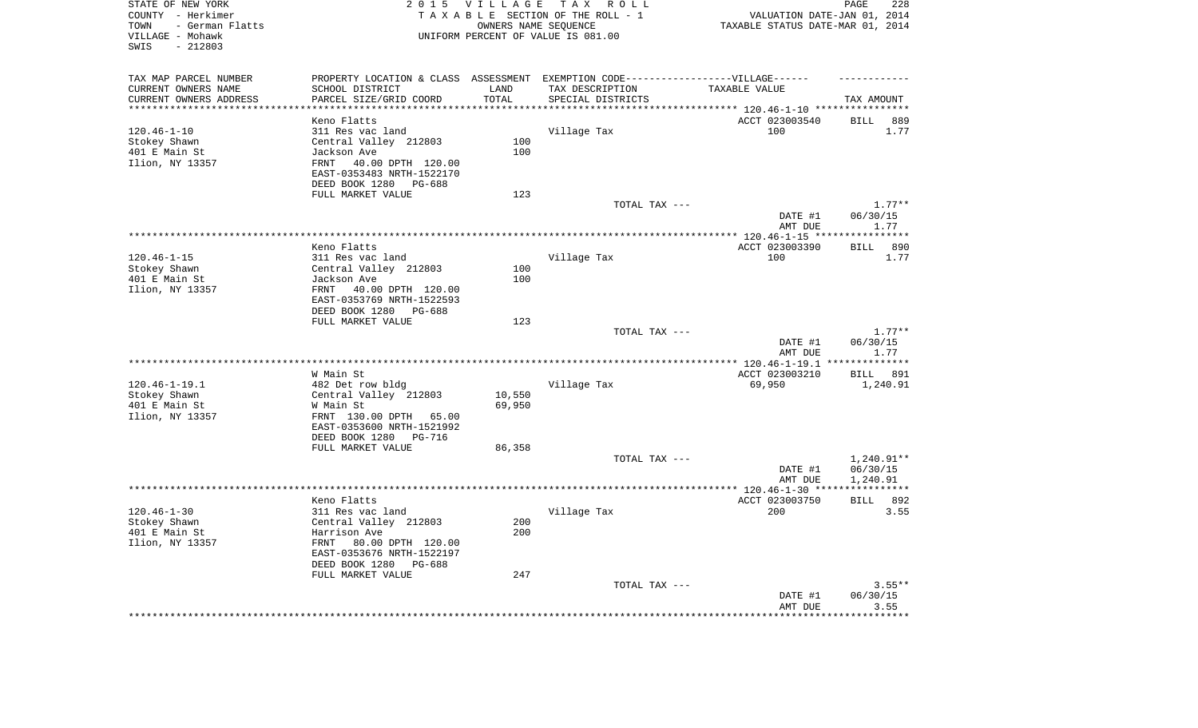| STATE OF NEW YORK<br>COUNTY - Herkimer<br>- German Flatts<br>TOWN<br>VILLAGE - Mohawk<br>$-212803$<br>SWIS |                                                                                   | 2015 VILLAGE       | TAX ROLL<br>TAXABLE SECTION OF THE ROLL - 1<br>OWNERS NAME SEQUENCE<br>UNIFORM PERCENT OF VALUE IS 081.00 | VALUATION DATE-JAN 01, 2014<br>TAXABLE STATUS DATE-MAR 01, 2014            | PAGE<br>228              |
|------------------------------------------------------------------------------------------------------------|-----------------------------------------------------------------------------------|--------------------|-----------------------------------------------------------------------------------------------------------|----------------------------------------------------------------------------|--------------------------|
| TAX MAP PARCEL NUMBER                                                                                      | PROPERTY LOCATION & CLASS ASSESSMENT EXEMPTION CODE-----------------VILLAGE------ |                    |                                                                                                           |                                                                            |                          |
| CURRENT OWNERS NAME                                                                                        | SCHOOL DISTRICT                                                                   | LAND               | TAX DESCRIPTION                                                                                           | TAXABLE VALUE                                                              |                          |
| CURRENT OWNERS ADDRESS<br>********************                                                             | PARCEL SIZE/GRID COORD                                                            | TOTAL<br>********* | SPECIAL DISTRICTS                                                                                         |                                                                            | TAX AMOUNT               |
|                                                                                                            | Keno Flatts                                                                       |                    |                                                                                                           | ************************** 120.46-1-10 *****************<br>ACCT 023003540 | <b>BILL</b><br>889       |
| $120.46 - 1 - 10$                                                                                          | 311 Res vac land                                                                  |                    | Village Tax                                                                                               | 100                                                                        | 1.77                     |
| Stokey Shawn                                                                                               | Central Valley 212803                                                             | 100                |                                                                                                           |                                                                            |                          |
| 401 E Main St                                                                                              | Jackson Ave                                                                       | 100                |                                                                                                           |                                                                            |                          |
| Ilion, NY 13357                                                                                            | FRNT 40.00 DPTH 120.00                                                            |                    |                                                                                                           |                                                                            |                          |
|                                                                                                            | EAST-0353483 NRTH-1522170                                                         |                    |                                                                                                           |                                                                            |                          |
|                                                                                                            | DEED BOOK 1280 PG-688                                                             |                    |                                                                                                           |                                                                            |                          |
|                                                                                                            | FULL MARKET VALUE                                                                 | 123                |                                                                                                           |                                                                            |                          |
|                                                                                                            |                                                                                   |                    | TOTAL TAX ---                                                                                             |                                                                            | $1.77**$                 |
|                                                                                                            |                                                                                   |                    |                                                                                                           | DATE #1                                                                    | 06/30/15                 |
|                                                                                                            |                                                                                   |                    |                                                                                                           | AMT DUE<br>***************** 120.46-1-15 **                                | 1.77<br>**********       |
|                                                                                                            | Keno Flatts                                                                       |                    |                                                                                                           | ACCT 023003390                                                             | 890<br>BILL              |
| $120.46 - 1 - 15$                                                                                          | 311 Res vac land                                                                  |                    | Village Tax                                                                                               | 100                                                                        | 1.77                     |
| Stokey Shawn                                                                                               | Central Valley 212803                                                             | 100                |                                                                                                           |                                                                            |                          |
| 401 E Main St                                                                                              | Jackson Ave                                                                       | 100                |                                                                                                           |                                                                            |                          |
| Ilion, NY 13357                                                                                            | FRNT 40.00 DPTH 120.00                                                            |                    |                                                                                                           |                                                                            |                          |
|                                                                                                            | EAST-0353769 NRTH-1522593                                                         |                    |                                                                                                           |                                                                            |                          |
|                                                                                                            | DEED BOOK 1280<br>PG-688                                                          |                    |                                                                                                           |                                                                            |                          |
|                                                                                                            | FULL MARKET VALUE                                                                 | 123                |                                                                                                           |                                                                            |                          |
|                                                                                                            |                                                                                   |                    | TOTAL TAX ---                                                                                             |                                                                            | $1.77**$                 |
|                                                                                                            |                                                                                   |                    |                                                                                                           | DATE #1<br>AMT DUE                                                         | 06/30/15<br>1.77         |
|                                                                                                            |                                                                                   |                    | *********************                                                                                     | *************** 120.46-1-19.1                                              | * * * * * * * * * * *    |
|                                                                                                            | W Main St                                                                         |                    |                                                                                                           | ACCT 023003210                                                             | BILL 891                 |
| $120.46 - 1 - 19.1$                                                                                        | 482 Det row bldg                                                                  |                    | Village Tax                                                                                               | 69,950                                                                     | 1,240.91                 |
| Stokey Shawn                                                                                               | Central Valley 212803                                                             | 10,550             |                                                                                                           |                                                                            |                          |
| 401 E Main St                                                                                              | W Main St                                                                         | 69,950             |                                                                                                           |                                                                            |                          |
| Ilion, NY 13357                                                                                            | FRNT 130.00 DPTH 65.00                                                            |                    |                                                                                                           |                                                                            |                          |
|                                                                                                            | EAST-0353600 NRTH-1521992                                                         |                    |                                                                                                           |                                                                            |                          |
|                                                                                                            | DEED BOOK 1280 PG-716                                                             |                    |                                                                                                           |                                                                            |                          |
|                                                                                                            | FULL MARKET VALUE                                                                 | 86,358             |                                                                                                           |                                                                            |                          |
|                                                                                                            |                                                                                   |                    | TOTAL TAX ---                                                                                             | DATE #1                                                                    | $1,240.91**$<br>06/30/15 |
|                                                                                                            |                                                                                   |                    |                                                                                                           | AMT DUE                                                                    | 1,240.91                 |
|                                                                                                            |                                                                                   |                    |                                                                                                           |                                                                            |                          |
|                                                                                                            | Keno Flatts                                                                       |                    |                                                                                                           | ACCT 023003750                                                             | <b>BILL</b><br>892       |
| $120.46 - 1 - 30$                                                                                          | 311 Res vac land                                                                  |                    | Village Tax                                                                                               | 200                                                                        | 3.55                     |
| Stokey Shawn                                                                                               | Central Valley 212803                                                             | 200                |                                                                                                           |                                                                            |                          |
| 401 E Main St                                                                                              | Harrison Ave                                                                      | 200                |                                                                                                           |                                                                            |                          |
| Ilion, NY 13357                                                                                            | FRNT 80.00 DPTH 120.00                                                            |                    |                                                                                                           |                                                                            |                          |
|                                                                                                            | EAST-0353676 NRTH-1522197                                                         |                    |                                                                                                           |                                                                            |                          |
|                                                                                                            | DEED BOOK 1280<br>PG-688                                                          |                    |                                                                                                           |                                                                            |                          |
|                                                                                                            | FULL MARKET VALUE                                                                 | 247                | TOTAL TAX ---                                                                                             |                                                                            | $3.55**$                 |
|                                                                                                            |                                                                                   |                    |                                                                                                           | DATE #1                                                                    | 06/30/15                 |
|                                                                                                            |                                                                                   |                    |                                                                                                           | AMT DUE                                                                    | 3.55                     |
|                                                                                                            |                                                                                   |                    |                                                                                                           |                                                                            | *******                  |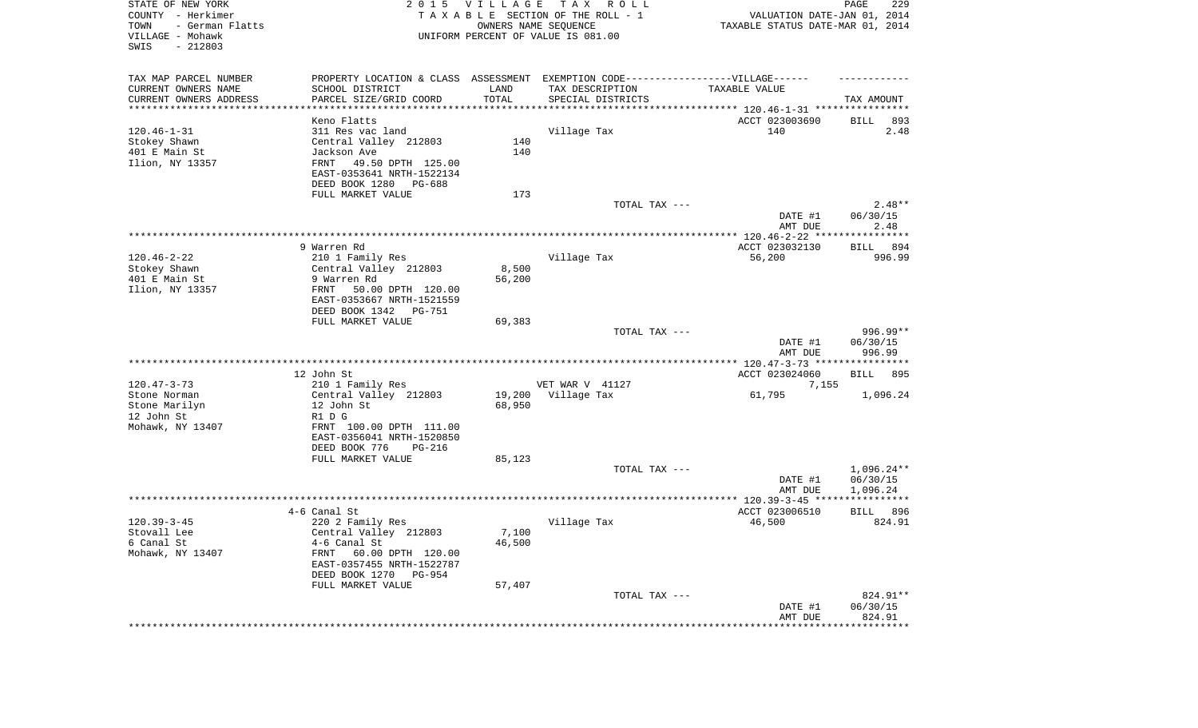| STATE OF NEW YORK<br>COUNTY - Herkimer<br>- German Flatts<br>TOWN<br>VILLAGE - Mohawk<br>SWIS<br>$-212803$ | 2 0 1 5                                                                          | <b>VILLAGE</b><br>OWNERS NAME SEQUENCE | T A X<br>R O L L<br>TAXABLE SECTION OF THE ROLL - 1<br>UNIFORM PERCENT OF VALUE IS 081.00 | VALUATION DATE-JAN 01, 2014<br>TAXABLE STATUS DATE-MAR 01, 2014      | 229<br>PAGE           |
|------------------------------------------------------------------------------------------------------------|----------------------------------------------------------------------------------|----------------------------------------|-------------------------------------------------------------------------------------------|----------------------------------------------------------------------|-----------------------|
| TAX MAP PARCEL NUMBER                                                                                      | PROPERTY LOCATION & CLASS ASSESSMENT EXEMPTION CODE----------------VILLAGE------ |                                        |                                                                                           |                                                                      |                       |
| CURRENT OWNERS NAME                                                                                        | SCHOOL DISTRICT                                                                  | LAND                                   | TAX DESCRIPTION                                                                           | TAXABLE VALUE                                                        |                       |
| CURRENT OWNERS ADDRESS<br>**********************                                                           | PARCEL SIZE/GRID COORD                                                           | TOTAL<br>***************               | SPECIAL DISTRICTS                                                                         | ************************************** 120.46-1-31 ***************** | TAX AMOUNT            |
|                                                                                                            | Keno Flatts                                                                      |                                        |                                                                                           | ACCT 023003690                                                       | 893<br>BILL           |
| $120.46 - 1 - 31$                                                                                          | 311 Res vac land                                                                 |                                        | Village Tax                                                                               | 140                                                                  | 2.48                  |
| Stokey Shawn                                                                                               | Central Valley 212803                                                            | 140                                    |                                                                                           |                                                                      |                       |
| 401 E Main St                                                                                              | Jackson Ave                                                                      | 140                                    |                                                                                           |                                                                      |                       |
| Ilion, NY 13357                                                                                            | FRNT<br>49.50 DPTH 125.00<br>EAST-0353641 NRTH-1522134                           |                                        |                                                                                           |                                                                      |                       |
|                                                                                                            | DEED BOOK 1280<br>PG-688                                                         |                                        |                                                                                           |                                                                      |                       |
|                                                                                                            | FULL MARKET VALUE                                                                | 173                                    |                                                                                           |                                                                      |                       |
|                                                                                                            |                                                                                  |                                        | TOTAL TAX ---                                                                             | DATE #1                                                              | $2.48**$<br>06/30/15  |
|                                                                                                            |                                                                                  |                                        |                                                                                           | AMT DUE                                                              | 2.48                  |
|                                                                                                            |                                                                                  |                                        |                                                                                           |                                                                      |                       |
|                                                                                                            | 9 Warren Rd                                                                      |                                        |                                                                                           | ACCT 023032130                                                       | 894<br>BILL           |
| $120.46 - 2 - 22$                                                                                          | 210 1 Family Res                                                                 |                                        | Village Tax                                                                               | 56,200                                                               | 996.99                |
| Stokey Shawn                                                                                               | Central Valley 212803                                                            | 8,500                                  |                                                                                           |                                                                      |                       |
| 401 E Main St                                                                                              | 9 Warren Rd                                                                      | 56,200                                 |                                                                                           |                                                                      |                       |
| Ilion, NY 13357                                                                                            | FRNT<br>50.00 DPTH 120.00<br>EAST-0353667 NRTH-1521559                           |                                        |                                                                                           |                                                                      |                       |
|                                                                                                            | DEED BOOK 1342<br>PG-751                                                         |                                        |                                                                                           |                                                                      |                       |
|                                                                                                            | FULL MARKET VALUE                                                                | 69,383                                 |                                                                                           |                                                                      |                       |
|                                                                                                            |                                                                                  |                                        | TOTAL TAX ---                                                                             |                                                                      | $996.99**$            |
|                                                                                                            |                                                                                  |                                        |                                                                                           | DATE #1                                                              | 06/30/15              |
|                                                                                                            |                                                                                  |                                        |                                                                                           | AMT DUE                                                              | 996.99                |
|                                                                                                            | 12 John St                                                                       |                                        |                                                                                           | ACCT 023024060                                                       | <b>BILL</b><br>- 895  |
| $120.47 - 3 - 73$                                                                                          | 210 1 Family Res                                                                 |                                        | VET WAR V 41127                                                                           | 7,155                                                                |                       |
| Stone Norman                                                                                               | Central Valley 212803                                                            | 19,200                                 | Village Tax                                                                               | 61,795                                                               | 1,096.24              |
| Stone Marilyn                                                                                              | 12 John St                                                                       | 68,950                                 |                                                                                           |                                                                      |                       |
| 12 John St                                                                                                 | R1 D G                                                                           |                                        |                                                                                           |                                                                      |                       |
| Mohawk, NY 13407                                                                                           | FRNT 100.00 DPTH 111.00                                                          |                                        |                                                                                           |                                                                      |                       |
|                                                                                                            | EAST-0356041 NRTH-1520850<br>DEED BOOK 776<br>PG-216                             |                                        |                                                                                           |                                                                      |                       |
|                                                                                                            | FULL MARKET VALUE                                                                | 85,123                                 |                                                                                           |                                                                      |                       |
|                                                                                                            |                                                                                  |                                        | TOTAL TAX ---                                                                             |                                                                      | $1,096.24**$          |
|                                                                                                            |                                                                                  |                                        |                                                                                           | DATE #1                                                              | 06/30/15              |
|                                                                                                            |                                                                                  |                                        |                                                                                           | AMT DUE                                                              | 1,096.24              |
|                                                                                                            |                                                                                  |                                        |                                                                                           |                                                                      |                       |
| $120.39 - 3 - 45$                                                                                          | 4-6 Canal St<br>220 2 Family Res                                                 |                                        | Village Tax                                                                               | ACCT 023006510<br>46,500                                             | 896<br>BILL<br>824.91 |
| Stovall Lee                                                                                                | Central Valley 212803                                                            | 7,100                                  |                                                                                           |                                                                      |                       |
| 6 Canal St                                                                                                 | 4-6 Canal St                                                                     | 46,500                                 |                                                                                           |                                                                      |                       |
| Mohawk, NY 13407                                                                                           | FRNT<br>60.00 DPTH 120.00                                                        |                                        |                                                                                           |                                                                      |                       |
|                                                                                                            | EAST-0357455 NRTH-1522787                                                        |                                        |                                                                                           |                                                                      |                       |
|                                                                                                            | DEED BOOK 1270 PG-954                                                            |                                        |                                                                                           |                                                                      |                       |
|                                                                                                            | FULL MARKET VALUE                                                                | 57,407                                 | TOTAL TAX ---                                                                             |                                                                      | 824.91**              |
|                                                                                                            |                                                                                  |                                        |                                                                                           | DATE #1                                                              | 06/30/15              |
|                                                                                                            |                                                                                  |                                        |                                                                                           | AMT DUE                                                              | 824.91                |
|                                                                                                            |                                                                                  |                                        |                                                                                           | *******************                                                  | **************        |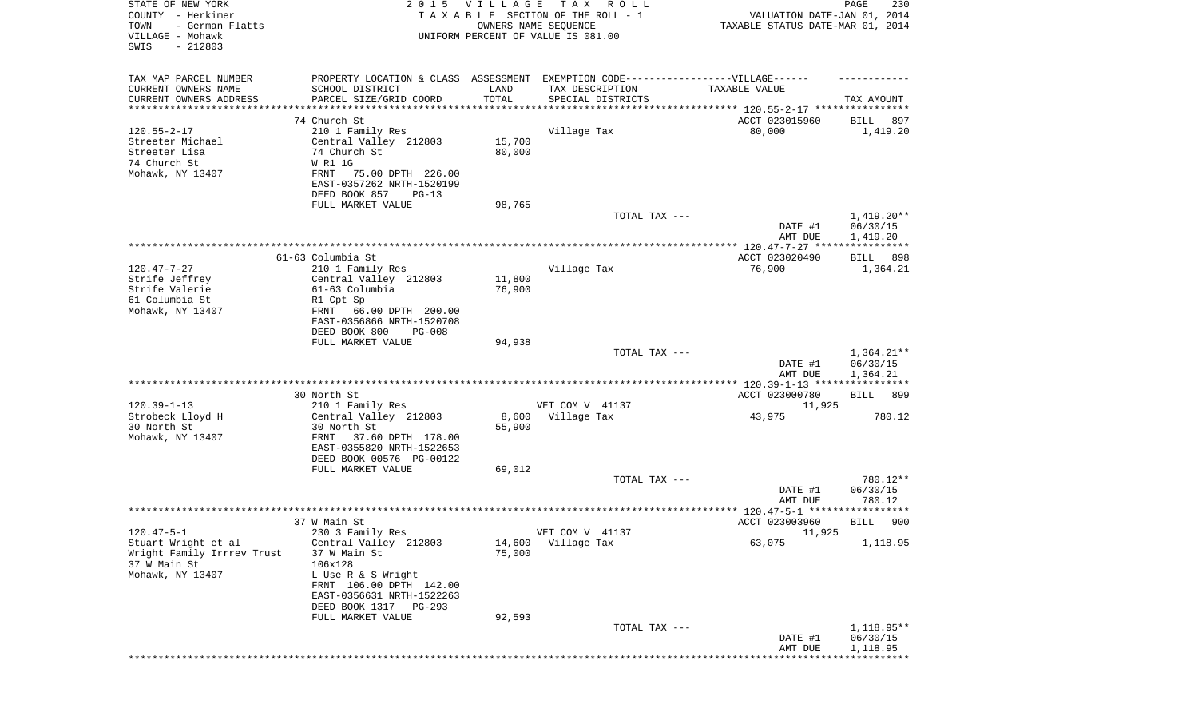| STATE OF NEW YORK<br>COUNTY - Herkimer<br>- German Flatts<br>TOWN<br>VILLAGE - Mohawk<br>SWIS<br>$-212803$ |                                                        | 2015 VILLAGE<br>OWNERS NAME SEQUENCE | T A X<br>R O L L<br>TAXABLE SECTION OF THE ROLL - 1<br>UNIFORM PERCENT OF VALUE IS 081.00 | VALUATION DATE-JAN 01, 2014<br>TAXABLE STATUS DATE-MAR 01, 2014 | 230<br>PAGE                          |
|------------------------------------------------------------------------------------------------------------|--------------------------------------------------------|--------------------------------------|-------------------------------------------------------------------------------------------|-----------------------------------------------------------------|--------------------------------------|
| TAX MAP PARCEL NUMBER                                                                                      |                                                        |                                      | PROPERTY LOCATION & CLASS ASSESSMENT EXEMPTION CODE----------------VILLAGE------          |                                                                 |                                      |
| CURRENT OWNERS NAME                                                                                        | SCHOOL DISTRICT                                        | LAND                                 | TAX DESCRIPTION                                                                           | TAXABLE VALUE                                                   |                                      |
| CURRENT OWNERS ADDRESS<br>********************                                                             | PARCEL SIZE/GRID COORD                                 | TOTAL                                | SPECIAL DISTRICTS                                                                         |                                                                 | TAX AMOUNT                           |
|                                                                                                            | 74 Church St                                           |                                      | ************************************* 120.55-2-17 *****************                       | ACCT 023015960                                                  | 897<br>BILL                          |
| $120.55 - 2 - 17$                                                                                          | 210 1 Family Res                                       |                                      | Village Tax                                                                               | 80,000                                                          | 1,419.20                             |
| Streeter Michael                                                                                           | Central Valley 212803                                  | 15,700                               |                                                                                           |                                                                 |                                      |
| Streeter Lisa                                                                                              | 74 Church St                                           | 80,000                               |                                                                                           |                                                                 |                                      |
| 74 Church St<br>Mohawk, NY 13407                                                                           | W R1 1G<br>75.00 DPTH 226.00<br>FRNT                   |                                      |                                                                                           |                                                                 |                                      |
|                                                                                                            | EAST-0357262 NRTH-1520199                              |                                      |                                                                                           |                                                                 |                                      |
|                                                                                                            | DEED BOOK 857<br>$PG-13$                               |                                      |                                                                                           |                                                                 |                                      |
|                                                                                                            | FULL MARKET VALUE                                      | 98,765                               |                                                                                           |                                                                 |                                      |
|                                                                                                            |                                                        |                                      | TOTAL TAX ---                                                                             | DATE #1<br>AMT DUE                                              | $1,419.20**$<br>06/30/15<br>1,419.20 |
|                                                                                                            |                                                        |                                      |                                                                                           |                                                                 |                                      |
|                                                                                                            | 61-63 Columbia St                                      |                                      |                                                                                           | ACCT 023020490                                                  | BILL 898                             |
| $120.47 - 7 - 27$                                                                                          | 210 1 Family Res                                       |                                      | Village Tax                                                                               | 76,900                                                          | 1,364.21                             |
| Strife Jeffrey<br>Strife Valerie                                                                           | Central Valley 212803<br>61-63 Columbia                | 11,800<br>76,900                     |                                                                                           |                                                                 |                                      |
| 61 Columbia St                                                                                             | R1 Cpt Sp                                              |                                      |                                                                                           |                                                                 |                                      |
| Mohawk, NY 13407                                                                                           | FRNT 66.00 DPTH 200.00                                 |                                      |                                                                                           |                                                                 |                                      |
|                                                                                                            | EAST-0356866 NRTH-1520708                              |                                      |                                                                                           |                                                                 |                                      |
|                                                                                                            | DEED BOOK 800<br><b>PG-008</b><br>FULL MARKET VALUE    | 94,938                               |                                                                                           |                                                                 |                                      |
|                                                                                                            |                                                        |                                      | TOTAL TAX ---                                                                             |                                                                 | $1,364.21**$                         |
|                                                                                                            |                                                        |                                      |                                                                                           | DATE #1                                                         | 06/30/15                             |
|                                                                                                            |                                                        |                                      |                                                                                           | AMT DUE                                                         | 1,364.21                             |
|                                                                                                            | 30 North St                                            |                                      |                                                                                           | ACCT 023000780                                                  | BILL<br>899                          |
| $120.39 - 1 - 13$                                                                                          | 210 1 Family Res                                       |                                      | VET COM V 41137                                                                           | 11,925                                                          |                                      |
| Strobeck Lloyd H                                                                                           | Central Valley 212803                                  | 8,600                                | Village Tax                                                                               | 43,975                                                          | 780.12                               |
| 30 North St                                                                                                | 30 North St                                            | 55,900                               |                                                                                           |                                                                 |                                      |
| Mohawk, NY 13407                                                                                           | FRNT<br>37.60 DPTH 178.00<br>EAST-0355820 NRTH-1522653 |                                      |                                                                                           |                                                                 |                                      |
|                                                                                                            | DEED BOOK 00576 PG-00122                               |                                      |                                                                                           |                                                                 |                                      |
|                                                                                                            | FULL MARKET VALUE                                      | 69,012                               |                                                                                           |                                                                 |                                      |
|                                                                                                            |                                                        |                                      | TOTAL TAX ---                                                                             |                                                                 | 780.12**                             |
|                                                                                                            |                                                        |                                      |                                                                                           | DATE #1<br>AMT DUE                                              | 06/30/15<br>780.12                   |
|                                                                                                            |                                                        |                                      |                                                                                           |                                                                 |                                      |
|                                                                                                            | 37 W Main St                                           |                                      |                                                                                           | ACCT 023003960                                                  | 900<br>BILL                          |
| $120.47 - 5 - 1$                                                                                           | 230 3 Family Res                                       |                                      | VET COM V 41137                                                                           | 11,925                                                          |                                      |
| Stuart Wright et al<br>Wright Family Irrrev Trust                                                          | Central Valley 212803<br>37 W Main St                  | 14,600<br>75,000                     | Village Tax                                                                               | 63,075                                                          | 1,118.95                             |
| 37 W Main St                                                                                               | 106x128                                                |                                      |                                                                                           |                                                                 |                                      |
| Mohawk, NY 13407                                                                                           | L Use R & S Wright                                     |                                      |                                                                                           |                                                                 |                                      |
|                                                                                                            | FRNT 106.00 DPTH 142.00                                |                                      |                                                                                           |                                                                 |                                      |
|                                                                                                            | EAST-0356631 NRTH-1522263<br>DEED BOOK 1317 PG-293     |                                      |                                                                                           |                                                                 |                                      |
|                                                                                                            | FULL MARKET VALUE                                      | 92,593                               |                                                                                           |                                                                 |                                      |
|                                                                                                            |                                                        |                                      | TOTAL TAX ---                                                                             |                                                                 | 1,118.95**                           |
|                                                                                                            |                                                        |                                      |                                                                                           | DATE #1                                                         | 06/30/15                             |
|                                                                                                            |                                                        |                                      |                                                                                           | AMT DUE                                                         | 1,118.95                             |
|                                                                                                            |                                                        |                                      |                                                                                           |                                                                 |                                      |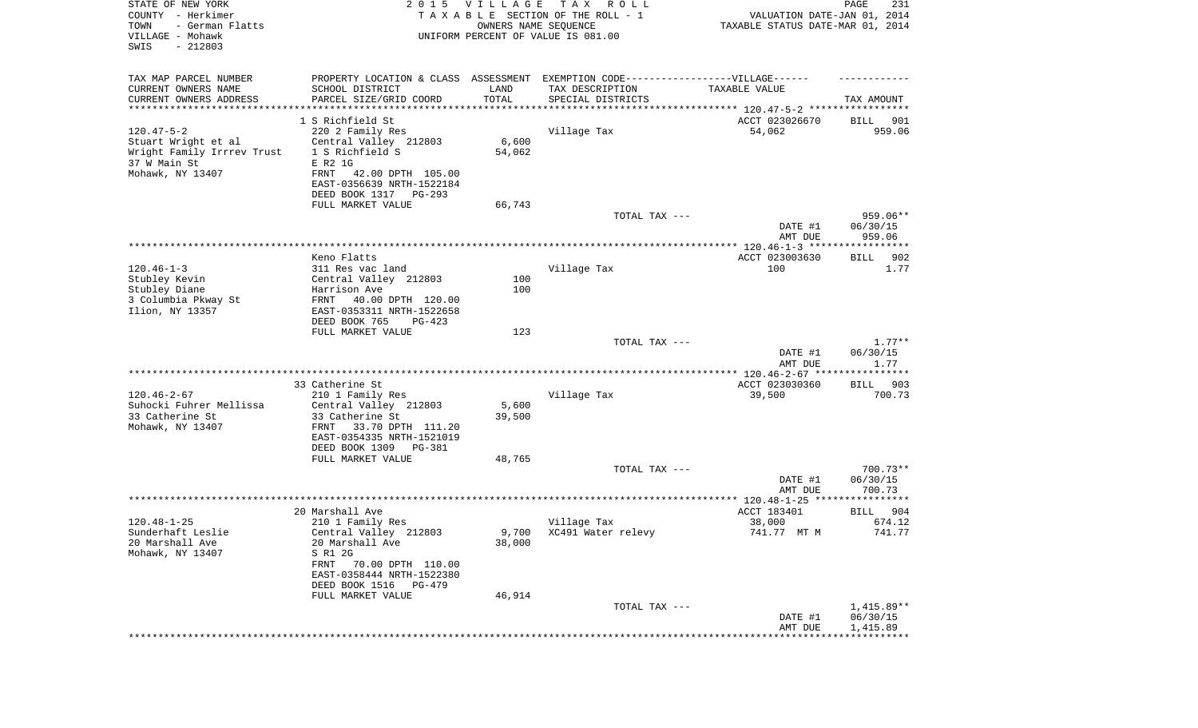| TAX MAP PARCEL NUMBER<br>PROPERTY LOCATION & CLASS ASSESSMENT EXEMPTION CODE-----------------VILLAGE------<br>CURRENT OWNERS NAME<br>SCHOOL DISTRICT<br>TAX DESCRIPTION<br>LAND<br>TAXABLE VALUE<br>TOTAL<br>CURRENT OWNERS ADDRESS<br>PARCEL SIZE/GRID COORD<br>SPECIAL DISTRICTS<br>TAX AMOUNT<br>***********************<br>1 S Richfield St<br>ACCT 023026670<br>901<br>BILL<br>$120.47 - 5 - 2$<br>220 2 Family Res<br>Village Tax<br>54,062<br>959.06<br>Stuart Wright et al<br>Central Valley 212803<br>6,600<br>1 S Richfield S<br>Wright Family Irrrev Trust<br>54,062<br>37 W Main St<br>E R2 1G<br>Mohawk, NY 13407<br>FRNT<br>42.00 DPTH 105.00<br>EAST-0356639 NRTH-1522184<br>DEED BOOK 1317 PG-293<br>66,743<br>FULL MARKET VALUE<br>TOTAL TAX ---<br>959.06**<br>06/30/15<br>DATE #1<br>959.06<br>AMT DUE<br>Keno Flatts<br>ACCT 023003630<br>902<br>BILL<br>$120.46 - 1 - 3$<br>Village Tax<br>100<br>311 Res vac land<br>1.77<br>Stubley Kevin<br>Central Valley 212803<br>100<br>Stubley Diane<br>Harrison Ave<br>100<br>3 Columbia Pkway St<br>40.00 DPTH 120.00<br>FRNT<br>Ilion, NY 13357<br>EAST-0353311 NRTH-1522658<br>DEED BOOK 765<br>$PG-423$<br>FULL MARKET VALUE<br>123<br>$1.77**$<br>TOTAL TAX ---<br>06/30/15<br>DATE #1<br>1.77<br>AMT DUE<br>33 Catherine St<br>ACCT 023030360<br>BILL 903<br>$120.46 - 2 - 67$<br>Village Tax<br>700.73<br>210 1 Family Res<br>39,500<br>Suhocki Fuhrer Mellissa<br>Central Valley 212803<br>5,600<br>33 Catherine St<br>33 Catherine St<br>39,500<br>Mohawk, NY 13407<br>FRNT<br>33.70 DPTH 111.20<br>EAST-0354335 NRTH-1521019<br>DEED BOOK 1309<br>PG-381<br>FULL MARKET VALUE<br>48,765<br>TOTAL TAX ---<br>$700.73**$<br>06/30/15<br>DATE #1<br>AMT DUE<br>700.73<br>20 Marshall Ave<br>ACCT 183401<br>BILL<br>904<br>$120.48 - 1 - 25$<br>Village Tax<br>38,000<br>674.12<br>210 1 Family Res<br>9,700 XC491 Water relevy<br>741.77<br>Sunderhaft Leslie<br>Central Valley 212803<br>741.77 MT M<br>20 Marshall Ave<br>20 Marshall Ave<br>38,000<br>Mohawk, NY 13407<br>S R1 2G<br>FRNT<br>70.00 DPTH 110.00<br>EAST-0358444 NRTH-1522380<br>DEED BOOK 1516 PG-479<br>46,914<br>FULL MARKET VALUE<br>1,415.89**<br>TOTAL TAX ---<br>06/30/15<br>DATE #1<br>1,415.89<br>AMT DUE | STATE OF NEW YORK<br>COUNTY - Herkimer<br>TOWN<br>- German Flatts<br>VILLAGE - Mohawk<br>SWIS<br>$-212803$ | 2015 VILLAGE<br>OWNERS NAME SEQUENCE | T A X<br>R O L L<br>TAXABLE SECTION OF THE ROLL - 1<br>UNIFORM PERCENT OF VALUE IS 081.00 | VALUATION DATE-JAN 01, 2014<br>TAXABLE STATUS DATE-MAR 01, 2014 | PAGE<br>231 |
|----------------------------------------------------------------------------------------------------------------------------------------------------------------------------------------------------------------------------------------------------------------------------------------------------------------------------------------------------------------------------------------------------------------------------------------------------------------------------------------------------------------------------------------------------------------------------------------------------------------------------------------------------------------------------------------------------------------------------------------------------------------------------------------------------------------------------------------------------------------------------------------------------------------------------------------------------------------------------------------------------------------------------------------------------------------------------------------------------------------------------------------------------------------------------------------------------------------------------------------------------------------------------------------------------------------------------------------------------------------------------------------------------------------------------------------------------------------------------------------------------------------------------------------------------------------------------------------------------------------------------------------------------------------------------------------------------------------------------------------------------------------------------------------------------------------------------------------------------------------------------------------------------------------------------------------------------------------------------------------------------------------------------------------------------------------------------------------------------------------------------------------------------------------------------------------------------------------------------------------------------------|------------------------------------------------------------------------------------------------------------|--------------------------------------|-------------------------------------------------------------------------------------------|-----------------------------------------------------------------|-------------|
|                                                                                                                                                                                                                                                                                                                                                                                                                                                                                                                                                                                                                                                                                                                                                                                                                                                                                                                                                                                                                                                                                                                                                                                                                                                                                                                                                                                                                                                                                                                                                                                                                                                                                                                                                                                                                                                                                                                                                                                                                                                                                                                                                                                                                                                          |                                                                                                            |                                      |                                                                                           |                                                                 |             |
|                                                                                                                                                                                                                                                                                                                                                                                                                                                                                                                                                                                                                                                                                                                                                                                                                                                                                                                                                                                                                                                                                                                                                                                                                                                                                                                                                                                                                                                                                                                                                                                                                                                                                                                                                                                                                                                                                                                                                                                                                                                                                                                                                                                                                                                          |                                                                                                            |                                      |                                                                                           |                                                                 |             |
|                                                                                                                                                                                                                                                                                                                                                                                                                                                                                                                                                                                                                                                                                                                                                                                                                                                                                                                                                                                                                                                                                                                                                                                                                                                                                                                                                                                                                                                                                                                                                                                                                                                                                                                                                                                                                                                                                                                                                                                                                                                                                                                                                                                                                                                          |                                                                                                            |                                      |                                                                                           |                                                                 |             |
|                                                                                                                                                                                                                                                                                                                                                                                                                                                                                                                                                                                                                                                                                                                                                                                                                                                                                                                                                                                                                                                                                                                                                                                                                                                                                                                                                                                                                                                                                                                                                                                                                                                                                                                                                                                                                                                                                                                                                                                                                                                                                                                                                                                                                                                          |                                                                                                            |                                      |                                                                                           |                                                                 |             |
|                                                                                                                                                                                                                                                                                                                                                                                                                                                                                                                                                                                                                                                                                                                                                                                                                                                                                                                                                                                                                                                                                                                                                                                                                                                                                                                                                                                                                                                                                                                                                                                                                                                                                                                                                                                                                                                                                                                                                                                                                                                                                                                                                                                                                                                          |                                                                                                            |                                      |                                                                                           |                                                                 |             |
|                                                                                                                                                                                                                                                                                                                                                                                                                                                                                                                                                                                                                                                                                                                                                                                                                                                                                                                                                                                                                                                                                                                                                                                                                                                                                                                                                                                                                                                                                                                                                                                                                                                                                                                                                                                                                                                                                                                                                                                                                                                                                                                                                                                                                                                          |                                                                                                            |                                      |                                                                                           |                                                                 |             |
|                                                                                                                                                                                                                                                                                                                                                                                                                                                                                                                                                                                                                                                                                                                                                                                                                                                                                                                                                                                                                                                                                                                                                                                                                                                                                                                                                                                                                                                                                                                                                                                                                                                                                                                                                                                                                                                                                                                                                                                                                                                                                                                                                                                                                                                          |                                                                                                            |                                      |                                                                                           |                                                                 |             |
|                                                                                                                                                                                                                                                                                                                                                                                                                                                                                                                                                                                                                                                                                                                                                                                                                                                                                                                                                                                                                                                                                                                                                                                                                                                                                                                                                                                                                                                                                                                                                                                                                                                                                                                                                                                                                                                                                                                                                                                                                                                                                                                                                                                                                                                          |                                                                                                            |                                      |                                                                                           |                                                                 |             |
|                                                                                                                                                                                                                                                                                                                                                                                                                                                                                                                                                                                                                                                                                                                                                                                                                                                                                                                                                                                                                                                                                                                                                                                                                                                                                                                                                                                                                                                                                                                                                                                                                                                                                                                                                                                                                                                                                                                                                                                                                                                                                                                                                                                                                                                          |                                                                                                            |                                      |                                                                                           |                                                                 |             |
|                                                                                                                                                                                                                                                                                                                                                                                                                                                                                                                                                                                                                                                                                                                                                                                                                                                                                                                                                                                                                                                                                                                                                                                                                                                                                                                                                                                                                                                                                                                                                                                                                                                                                                                                                                                                                                                                                                                                                                                                                                                                                                                                                                                                                                                          |                                                                                                            |                                      |                                                                                           |                                                                 |             |
|                                                                                                                                                                                                                                                                                                                                                                                                                                                                                                                                                                                                                                                                                                                                                                                                                                                                                                                                                                                                                                                                                                                                                                                                                                                                                                                                                                                                                                                                                                                                                                                                                                                                                                                                                                                                                                                                                                                                                                                                                                                                                                                                                                                                                                                          |                                                                                                            |                                      |                                                                                           |                                                                 |             |
|                                                                                                                                                                                                                                                                                                                                                                                                                                                                                                                                                                                                                                                                                                                                                                                                                                                                                                                                                                                                                                                                                                                                                                                                                                                                                                                                                                                                                                                                                                                                                                                                                                                                                                                                                                                                                                                                                                                                                                                                                                                                                                                                                                                                                                                          |                                                                                                            |                                      |                                                                                           |                                                                 |             |
|                                                                                                                                                                                                                                                                                                                                                                                                                                                                                                                                                                                                                                                                                                                                                                                                                                                                                                                                                                                                                                                                                                                                                                                                                                                                                                                                                                                                                                                                                                                                                                                                                                                                                                                                                                                                                                                                                                                                                                                                                                                                                                                                                                                                                                                          |                                                                                                            |                                      |                                                                                           |                                                                 |             |
|                                                                                                                                                                                                                                                                                                                                                                                                                                                                                                                                                                                                                                                                                                                                                                                                                                                                                                                                                                                                                                                                                                                                                                                                                                                                                                                                                                                                                                                                                                                                                                                                                                                                                                                                                                                                                                                                                                                                                                                                                                                                                                                                                                                                                                                          |                                                                                                            |                                      |                                                                                           |                                                                 |             |
|                                                                                                                                                                                                                                                                                                                                                                                                                                                                                                                                                                                                                                                                                                                                                                                                                                                                                                                                                                                                                                                                                                                                                                                                                                                                                                                                                                                                                                                                                                                                                                                                                                                                                                                                                                                                                                                                                                                                                                                                                                                                                                                                                                                                                                                          |                                                                                                            |                                      |                                                                                           |                                                                 |             |
|                                                                                                                                                                                                                                                                                                                                                                                                                                                                                                                                                                                                                                                                                                                                                                                                                                                                                                                                                                                                                                                                                                                                                                                                                                                                                                                                                                                                                                                                                                                                                                                                                                                                                                                                                                                                                                                                                                                                                                                                                                                                                                                                                                                                                                                          |                                                                                                            |                                      |                                                                                           |                                                                 |             |
|                                                                                                                                                                                                                                                                                                                                                                                                                                                                                                                                                                                                                                                                                                                                                                                                                                                                                                                                                                                                                                                                                                                                                                                                                                                                                                                                                                                                                                                                                                                                                                                                                                                                                                                                                                                                                                                                                                                                                                                                                                                                                                                                                                                                                                                          |                                                                                                            |                                      |                                                                                           |                                                                 |             |
|                                                                                                                                                                                                                                                                                                                                                                                                                                                                                                                                                                                                                                                                                                                                                                                                                                                                                                                                                                                                                                                                                                                                                                                                                                                                                                                                                                                                                                                                                                                                                                                                                                                                                                                                                                                                                                                                                                                                                                                                                                                                                                                                                                                                                                                          |                                                                                                            |                                      |                                                                                           |                                                                 |             |
|                                                                                                                                                                                                                                                                                                                                                                                                                                                                                                                                                                                                                                                                                                                                                                                                                                                                                                                                                                                                                                                                                                                                                                                                                                                                                                                                                                                                                                                                                                                                                                                                                                                                                                                                                                                                                                                                                                                                                                                                                                                                                                                                                                                                                                                          |                                                                                                            |                                      |                                                                                           |                                                                 |             |
|                                                                                                                                                                                                                                                                                                                                                                                                                                                                                                                                                                                                                                                                                                                                                                                                                                                                                                                                                                                                                                                                                                                                                                                                                                                                                                                                                                                                                                                                                                                                                                                                                                                                                                                                                                                                                                                                                                                                                                                                                                                                                                                                                                                                                                                          |                                                                                                            |                                      |                                                                                           |                                                                 |             |
|                                                                                                                                                                                                                                                                                                                                                                                                                                                                                                                                                                                                                                                                                                                                                                                                                                                                                                                                                                                                                                                                                                                                                                                                                                                                                                                                                                                                                                                                                                                                                                                                                                                                                                                                                                                                                                                                                                                                                                                                                                                                                                                                                                                                                                                          |                                                                                                            |                                      |                                                                                           |                                                                 |             |
|                                                                                                                                                                                                                                                                                                                                                                                                                                                                                                                                                                                                                                                                                                                                                                                                                                                                                                                                                                                                                                                                                                                                                                                                                                                                                                                                                                                                                                                                                                                                                                                                                                                                                                                                                                                                                                                                                                                                                                                                                                                                                                                                                                                                                                                          |                                                                                                            |                                      |                                                                                           |                                                                 |             |
|                                                                                                                                                                                                                                                                                                                                                                                                                                                                                                                                                                                                                                                                                                                                                                                                                                                                                                                                                                                                                                                                                                                                                                                                                                                                                                                                                                                                                                                                                                                                                                                                                                                                                                                                                                                                                                                                                                                                                                                                                                                                                                                                                                                                                                                          |                                                                                                            |                                      |                                                                                           |                                                                 |             |
|                                                                                                                                                                                                                                                                                                                                                                                                                                                                                                                                                                                                                                                                                                                                                                                                                                                                                                                                                                                                                                                                                                                                                                                                                                                                                                                                                                                                                                                                                                                                                                                                                                                                                                                                                                                                                                                                                                                                                                                                                                                                                                                                                                                                                                                          |                                                                                                            |                                      |                                                                                           |                                                                 |             |
|                                                                                                                                                                                                                                                                                                                                                                                                                                                                                                                                                                                                                                                                                                                                                                                                                                                                                                                                                                                                                                                                                                                                                                                                                                                                                                                                                                                                                                                                                                                                                                                                                                                                                                                                                                                                                                                                                                                                                                                                                                                                                                                                                                                                                                                          |                                                                                                            |                                      |                                                                                           |                                                                 |             |
|                                                                                                                                                                                                                                                                                                                                                                                                                                                                                                                                                                                                                                                                                                                                                                                                                                                                                                                                                                                                                                                                                                                                                                                                                                                                                                                                                                                                                                                                                                                                                                                                                                                                                                                                                                                                                                                                                                                                                                                                                                                                                                                                                                                                                                                          |                                                                                                            |                                      |                                                                                           |                                                                 |             |
|                                                                                                                                                                                                                                                                                                                                                                                                                                                                                                                                                                                                                                                                                                                                                                                                                                                                                                                                                                                                                                                                                                                                                                                                                                                                                                                                                                                                                                                                                                                                                                                                                                                                                                                                                                                                                                                                                                                                                                                                                                                                                                                                                                                                                                                          |                                                                                                            |                                      |                                                                                           |                                                                 |             |
|                                                                                                                                                                                                                                                                                                                                                                                                                                                                                                                                                                                                                                                                                                                                                                                                                                                                                                                                                                                                                                                                                                                                                                                                                                                                                                                                                                                                                                                                                                                                                                                                                                                                                                                                                                                                                                                                                                                                                                                                                                                                                                                                                                                                                                                          |                                                                                                            |                                      |                                                                                           |                                                                 |             |
|                                                                                                                                                                                                                                                                                                                                                                                                                                                                                                                                                                                                                                                                                                                                                                                                                                                                                                                                                                                                                                                                                                                                                                                                                                                                                                                                                                                                                                                                                                                                                                                                                                                                                                                                                                                                                                                                                                                                                                                                                                                                                                                                                                                                                                                          |                                                                                                            |                                      |                                                                                           |                                                                 |             |
|                                                                                                                                                                                                                                                                                                                                                                                                                                                                                                                                                                                                                                                                                                                                                                                                                                                                                                                                                                                                                                                                                                                                                                                                                                                                                                                                                                                                                                                                                                                                                                                                                                                                                                                                                                                                                                                                                                                                                                                                                                                                                                                                                                                                                                                          |                                                                                                            |                                      |                                                                                           |                                                                 |             |
|                                                                                                                                                                                                                                                                                                                                                                                                                                                                                                                                                                                                                                                                                                                                                                                                                                                                                                                                                                                                                                                                                                                                                                                                                                                                                                                                                                                                                                                                                                                                                                                                                                                                                                                                                                                                                                                                                                                                                                                                                                                                                                                                                                                                                                                          |                                                                                                            |                                      |                                                                                           |                                                                 |             |
|                                                                                                                                                                                                                                                                                                                                                                                                                                                                                                                                                                                                                                                                                                                                                                                                                                                                                                                                                                                                                                                                                                                                                                                                                                                                                                                                                                                                                                                                                                                                                                                                                                                                                                                                                                                                                                                                                                                                                                                                                                                                                                                                                                                                                                                          |                                                                                                            |                                      |                                                                                           |                                                                 |             |
|                                                                                                                                                                                                                                                                                                                                                                                                                                                                                                                                                                                                                                                                                                                                                                                                                                                                                                                                                                                                                                                                                                                                                                                                                                                                                                                                                                                                                                                                                                                                                                                                                                                                                                                                                                                                                                                                                                                                                                                                                                                                                                                                                                                                                                                          |                                                                                                            |                                      |                                                                                           |                                                                 |             |
|                                                                                                                                                                                                                                                                                                                                                                                                                                                                                                                                                                                                                                                                                                                                                                                                                                                                                                                                                                                                                                                                                                                                                                                                                                                                                                                                                                                                                                                                                                                                                                                                                                                                                                                                                                                                                                                                                                                                                                                                                                                                                                                                                                                                                                                          |                                                                                                            |                                      |                                                                                           |                                                                 |             |
|                                                                                                                                                                                                                                                                                                                                                                                                                                                                                                                                                                                                                                                                                                                                                                                                                                                                                                                                                                                                                                                                                                                                                                                                                                                                                                                                                                                                                                                                                                                                                                                                                                                                                                                                                                                                                                                                                                                                                                                                                                                                                                                                                                                                                                                          |                                                                                                            |                                      |                                                                                           |                                                                 |             |
|                                                                                                                                                                                                                                                                                                                                                                                                                                                                                                                                                                                                                                                                                                                                                                                                                                                                                                                                                                                                                                                                                                                                                                                                                                                                                                                                                                                                                                                                                                                                                                                                                                                                                                                                                                                                                                                                                                                                                                                                                                                                                                                                                                                                                                                          |                                                                                                            |                                      |                                                                                           |                                                                 |             |
|                                                                                                                                                                                                                                                                                                                                                                                                                                                                                                                                                                                                                                                                                                                                                                                                                                                                                                                                                                                                                                                                                                                                                                                                                                                                                                                                                                                                                                                                                                                                                                                                                                                                                                                                                                                                                                                                                                                                                                                                                                                                                                                                                                                                                                                          |                                                                                                            |                                      |                                                                                           |                                                                 |             |
|                                                                                                                                                                                                                                                                                                                                                                                                                                                                                                                                                                                                                                                                                                                                                                                                                                                                                                                                                                                                                                                                                                                                                                                                                                                                                                                                                                                                                                                                                                                                                                                                                                                                                                                                                                                                                                                                                                                                                                                                                                                                                                                                                                                                                                                          |                                                                                                            |                                      |                                                                                           |                                                                 |             |
|                                                                                                                                                                                                                                                                                                                                                                                                                                                                                                                                                                                                                                                                                                                                                                                                                                                                                                                                                                                                                                                                                                                                                                                                                                                                                                                                                                                                                                                                                                                                                                                                                                                                                                                                                                                                                                                                                                                                                                                                                                                                                                                                                                                                                                                          |                                                                                                            |                                      |                                                                                           |                                                                 |             |
|                                                                                                                                                                                                                                                                                                                                                                                                                                                                                                                                                                                                                                                                                                                                                                                                                                                                                                                                                                                                                                                                                                                                                                                                                                                                                                                                                                                                                                                                                                                                                                                                                                                                                                                                                                                                                                                                                                                                                                                                                                                                                                                                                                                                                                                          |                                                                                                            |                                      |                                                                                           |                                                                 |             |
|                                                                                                                                                                                                                                                                                                                                                                                                                                                                                                                                                                                                                                                                                                                                                                                                                                                                                                                                                                                                                                                                                                                                                                                                                                                                                                                                                                                                                                                                                                                                                                                                                                                                                                                                                                                                                                                                                                                                                                                                                                                                                                                                                                                                                                                          |                                                                                                            |                                      |                                                                                           |                                                                 |             |
|                                                                                                                                                                                                                                                                                                                                                                                                                                                                                                                                                                                                                                                                                                                                                                                                                                                                                                                                                                                                                                                                                                                                                                                                                                                                                                                                                                                                                                                                                                                                                                                                                                                                                                                                                                                                                                                                                                                                                                                                                                                                                                                                                                                                                                                          |                                                                                                            |                                      |                                                                                           |                                                                 |             |
|                                                                                                                                                                                                                                                                                                                                                                                                                                                                                                                                                                                                                                                                                                                                                                                                                                                                                                                                                                                                                                                                                                                                                                                                                                                                                                                                                                                                                                                                                                                                                                                                                                                                                                                                                                                                                                                                                                                                                                                                                                                                                                                                                                                                                                                          |                                                                                                            |                                      |                                                                                           |                                                                 |             |
|                                                                                                                                                                                                                                                                                                                                                                                                                                                                                                                                                                                                                                                                                                                                                                                                                                                                                                                                                                                                                                                                                                                                                                                                                                                                                                                                                                                                                                                                                                                                                                                                                                                                                                                                                                                                                                                                                                                                                                                                                                                                                                                                                                                                                                                          |                                                                                                            |                                      |                                                                                           |                                                                 |             |
|                                                                                                                                                                                                                                                                                                                                                                                                                                                                                                                                                                                                                                                                                                                                                                                                                                                                                                                                                                                                                                                                                                                                                                                                                                                                                                                                                                                                                                                                                                                                                                                                                                                                                                                                                                                                                                                                                                                                                                                                                                                                                                                                                                                                                                                          |                                                                                                            |                                      |                                                                                           |                                                                 |             |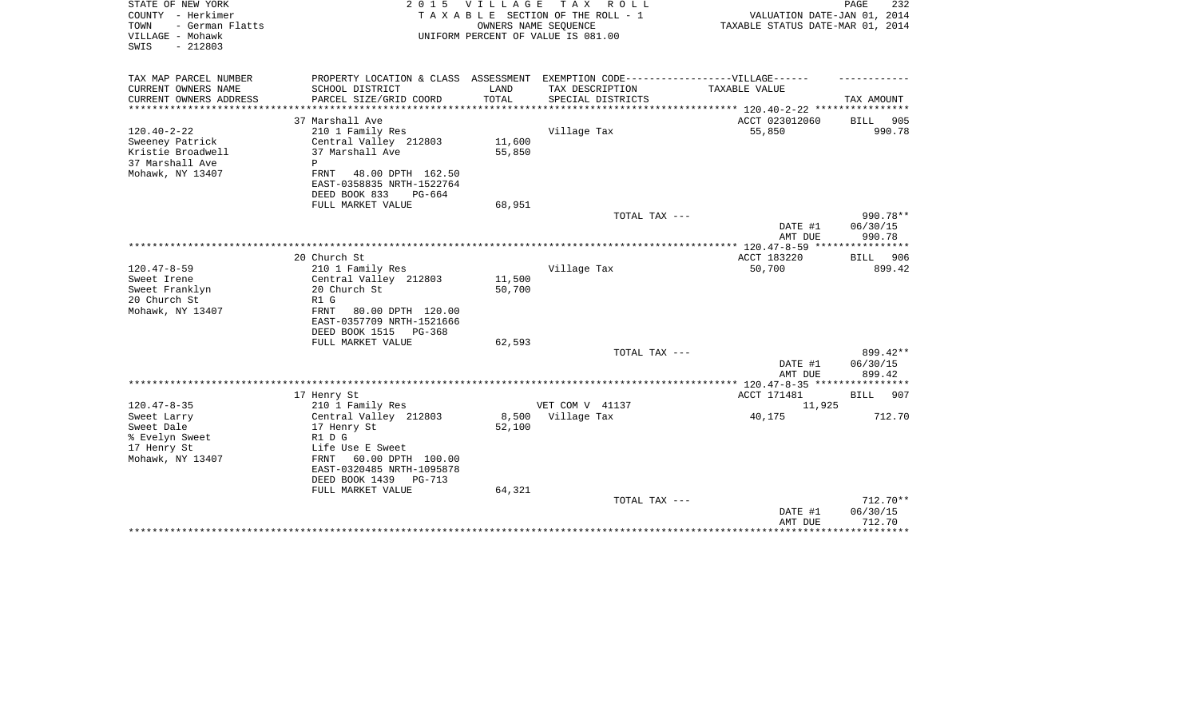| STATE OF NEW YORK<br>COUNTY - Herkimer<br>- German Flatts<br>TOWN<br>VILLAGE - Mohawk<br>SWIS<br>$-212803$ |                                                                                  | 2015 VILLAGE  | TAX ROLL<br>TAXABLE SECTION OF THE ROLL - 1<br>OWNERS NAME SEQUENCE<br>UNIFORM PERCENT OF VALUE IS 081.00 | VALUATION DATE-JAN 01, 2014<br>TAXABLE STATUS DATE-MAR 01, 2014 | PAGE<br>232           |
|------------------------------------------------------------------------------------------------------------|----------------------------------------------------------------------------------|---------------|-----------------------------------------------------------------------------------------------------------|-----------------------------------------------------------------|-----------------------|
| TAX MAP PARCEL NUMBER                                                                                      | PROPERTY LOCATION & CLASS ASSESSMENT EXEMPTION CODE----------------VILLAGE------ |               |                                                                                                           |                                                                 |                       |
| CURRENT OWNERS NAME<br>CURRENT OWNERS ADDRESS                                                              | SCHOOL DISTRICT<br>PARCEL SIZE/GRID COORD                                        | LAND<br>TOTAL | TAX DESCRIPTION<br>SPECIAL DISTRICTS                                                                      | TAXABLE VALUE                                                   | TAX AMOUNT            |
| *******************                                                                                        |                                                                                  |               |                                                                                                           |                                                                 |                       |
| $120.40 - 2 - 22$                                                                                          | 37 Marshall Ave<br>210 1 Family Res                                              |               | Village Tax                                                                                               | ACCT 023012060<br>55,850                                        | 905<br>BILL<br>990.78 |
| Sweeney Patrick                                                                                            | Central Valley 212803                                                            | 11,600        |                                                                                                           |                                                                 |                       |
| Kristie Broadwell                                                                                          | 37 Marshall Ave                                                                  | 55,850        |                                                                                                           |                                                                 |                       |
| 37 Marshall Ave                                                                                            | P                                                                                |               |                                                                                                           |                                                                 |                       |
| Mohawk, NY 13407                                                                                           | FRNT<br>48.00 DPTH 162.50                                                        |               |                                                                                                           |                                                                 |                       |
|                                                                                                            | EAST-0358835 NRTH-1522764                                                        |               |                                                                                                           |                                                                 |                       |
|                                                                                                            | DEED BOOK 833<br>PG-664                                                          |               |                                                                                                           |                                                                 |                       |
|                                                                                                            | FULL MARKET VALUE                                                                | 68,951        |                                                                                                           |                                                                 |                       |
|                                                                                                            |                                                                                  |               | TOTAL TAX ---                                                                                             |                                                                 | 990.78**              |
|                                                                                                            |                                                                                  |               |                                                                                                           | DATE #1                                                         | 06/30/15              |
|                                                                                                            |                                                                                  |               |                                                                                                           | AMT DUE<br>************* 120.47-8-59 ****************           | 990.78                |
|                                                                                                            | 20 Church St                                                                     |               |                                                                                                           | ACCT 183220                                                     | BILL 906              |
| $120.47 - 8 - 59$                                                                                          | 210 1 Family Res                                                                 |               | Village Tax                                                                                               | 50,700                                                          | 899.42                |
| Sweet Irene                                                                                                | Central Valley 212803                                                            | 11,500        |                                                                                                           |                                                                 |                       |
| Sweet Franklyn                                                                                             | 20 Church St                                                                     | 50,700        |                                                                                                           |                                                                 |                       |
| 20 Church St                                                                                               | R1 G                                                                             |               |                                                                                                           |                                                                 |                       |
| Mohawk, NY 13407                                                                                           | 80.00 DPTH 120.00<br>FRNT                                                        |               |                                                                                                           |                                                                 |                       |
|                                                                                                            | EAST-0357709 NRTH-1521666                                                        |               |                                                                                                           |                                                                 |                       |
|                                                                                                            | DEED BOOK 1515 PG-368                                                            |               |                                                                                                           |                                                                 |                       |
|                                                                                                            | FULL MARKET VALUE                                                                | 62,593        |                                                                                                           |                                                                 |                       |
|                                                                                                            |                                                                                  |               | TOTAL TAX ---                                                                                             |                                                                 | 899.42**              |
|                                                                                                            |                                                                                  |               |                                                                                                           | DATE #1<br>AMT DUE                                              | 06/30/15<br>899.42    |
|                                                                                                            |                                                                                  |               |                                                                                                           | ************* 120.47-8-35 *****************                     |                       |
|                                                                                                            | 17 Henry St                                                                      |               |                                                                                                           | ACCT 171481                                                     | BILL<br>907           |
| $120.47 - 8 - 35$                                                                                          | 210 1 Family Res                                                                 |               | VET COM V 41137                                                                                           | 11,925                                                          |                       |
| Sweet Larry                                                                                                | Central Valley 212803                                                            | 8,500         | Village Tax                                                                                               | 40,175                                                          | 712.70                |
| Sweet Dale                                                                                                 | 17 Henry St                                                                      | 52,100        |                                                                                                           |                                                                 |                       |
| % Evelyn Sweet                                                                                             | R1 D G                                                                           |               |                                                                                                           |                                                                 |                       |
| 17 Henry St                                                                                                | Life Use E Sweet                                                                 |               |                                                                                                           |                                                                 |                       |
| Mohawk, NY 13407                                                                                           | FRNT<br>60.00 DPTH 100.00                                                        |               |                                                                                                           |                                                                 |                       |
|                                                                                                            | EAST-0320485 NRTH-1095878                                                        |               |                                                                                                           |                                                                 |                       |
|                                                                                                            | DEED BOOK 1439<br>$PG-713$                                                       |               |                                                                                                           |                                                                 |                       |
|                                                                                                            | FULL MARKET VALUE                                                                | 64,321        | TOTAL TAX ---                                                                                             |                                                                 | $712.70**$            |
|                                                                                                            |                                                                                  |               |                                                                                                           | DATE #1                                                         | 06/30/15              |
|                                                                                                            |                                                                                  |               |                                                                                                           | AMT DUE                                                         | 712.70                |
|                                                                                                            |                                                                                  |               |                                                                                                           |                                                                 | ********              |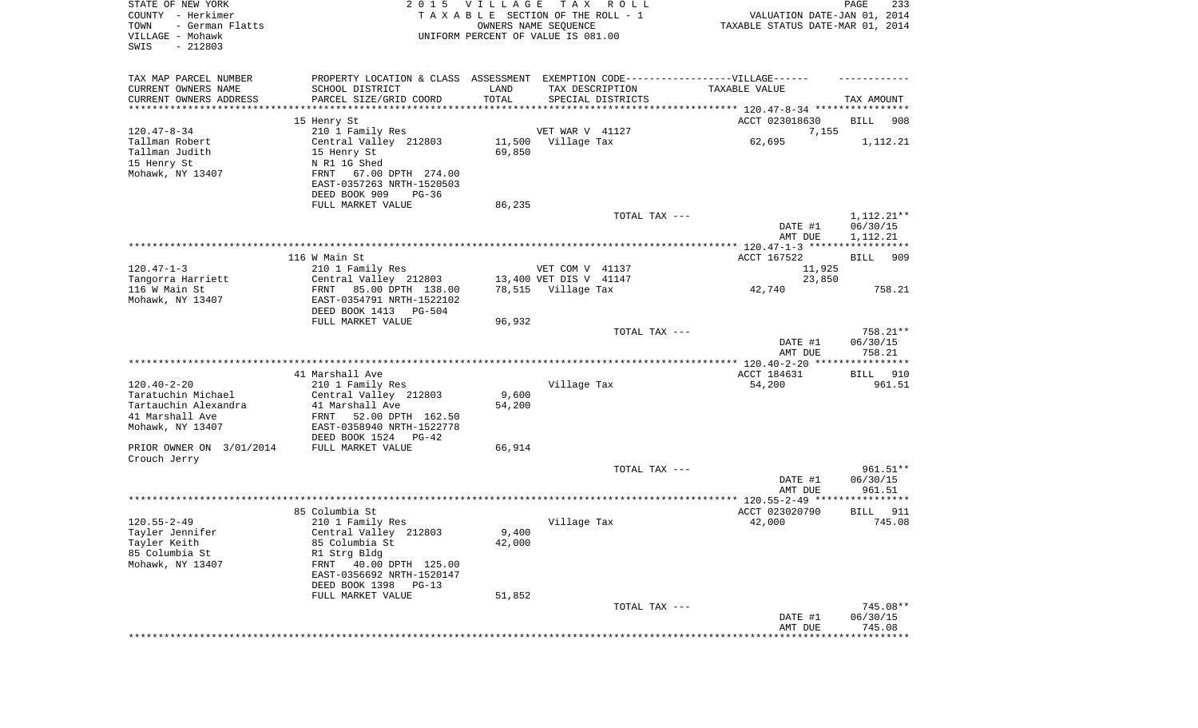| STATE OF NEW YORK<br>COUNTY - Herkimer<br>TOWN<br>- German Flatts<br>VILLAGE - Mohawk<br>SWIS<br>$-212803$ | 2 0 1 5                                                                           | VILLAGE         | T A X<br>R O L L<br>TAXABLE SECTION OF THE ROLL - 1<br>OWNERS NAME SEQUENCE<br>UNIFORM PERCENT OF VALUE IS 081.00 | VALUATION DATE-JAN 01, 2014<br>TAXABLE STATUS DATE-MAR 01, 2014 | PAGE<br>233            |
|------------------------------------------------------------------------------------------------------------|-----------------------------------------------------------------------------------|-----------------|-------------------------------------------------------------------------------------------------------------------|-----------------------------------------------------------------|------------------------|
| TAX MAP PARCEL NUMBER                                                                                      | PROPERTY LOCATION & CLASS ASSESSMENT EXEMPTION CODE-----------------VILLAGE------ |                 |                                                                                                                   |                                                                 |                        |
| CURRENT OWNERS NAME                                                                                        | SCHOOL DISTRICT                                                                   | LAND            | TAX DESCRIPTION                                                                                                   | TAXABLE VALUE                                                   |                        |
| CURRENT OWNERS ADDRESS<br>********************                                                             | PARCEL SIZE/GRID COORD                                                            | TOTAL           | SPECIAL DISTRICTS                                                                                                 |                                                                 | TAX AMOUNT             |
|                                                                                                            |                                                                                   |                 |                                                                                                                   |                                                                 |                        |
| $120.47 - 8 - 34$                                                                                          | 15 Henry St<br>210 1 Family Res                                                   |                 | VET WAR V 41127                                                                                                   | ACCT 023018630<br>7,155                                         | BILL<br>908            |
| Tallman Robert                                                                                             | Central Valley 212803                                                             |                 | 11,500 Village Tax                                                                                                | 62,695                                                          | 1,112.21               |
| Tallman Judith                                                                                             | 15 Henry St                                                                       | 69,850          |                                                                                                                   |                                                                 |                        |
| 15 Henry St                                                                                                | N R1 1G Shed                                                                      |                 |                                                                                                                   |                                                                 |                        |
| Mohawk, NY 13407                                                                                           | FRNT<br>67.00 DPTH 274.00                                                         |                 |                                                                                                                   |                                                                 |                        |
|                                                                                                            | EAST-0357263 NRTH-1520503                                                         |                 |                                                                                                                   |                                                                 |                        |
|                                                                                                            | DEED BOOK 909<br>PG-36                                                            |                 |                                                                                                                   |                                                                 |                        |
|                                                                                                            | FULL MARKET VALUE                                                                 | 86,235          |                                                                                                                   |                                                                 |                        |
|                                                                                                            |                                                                                   |                 | TOTAL TAX ---                                                                                                     | DATE #1                                                         | 1,112.21**<br>06/30/15 |
|                                                                                                            |                                                                                   |                 |                                                                                                                   | AMT DUE                                                         | 1,112.21               |
|                                                                                                            |                                                                                   |                 |                                                                                                                   |                                                                 |                        |
|                                                                                                            | 116 W Main St                                                                     |                 |                                                                                                                   | ACCT 167522                                                     | BILL<br>909            |
| $120.47 - 1 - 3$                                                                                           | 210 1 Family Res                                                                  |                 | VET COM V 41137                                                                                                   | 11,925                                                          |                        |
| Tangorra Harriett                                                                                          | Central Valley 212803                                                             |                 | 13,400 VET DIS V 41147                                                                                            | 23,850                                                          |                        |
| 116 W Main St                                                                                              | 85.00 DPTH 138.00<br>FRNT                                                         |                 | 78,515 Village Tax                                                                                                | 42,740                                                          | 758.21                 |
| Mohawk, NY 13407                                                                                           | EAST-0354791 NRTH-1522102                                                         |                 |                                                                                                                   |                                                                 |                        |
|                                                                                                            | DEED BOOK 1413<br>PG-504<br>FULL MARKET VALUE                                     | 96,932          |                                                                                                                   |                                                                 |                        |
|                                                                                                            |                                                                                   |                 | TOTAL TAX ---                                                                                                     |                                                                 | 758.21**               |
|                                                                                                            |                                                                                   |                 |                                                                                                                   | DATE #1<br>AMT DUE                                              | 06/30/15<br>758.21     |
|                                                                                                            |                                                                                   |                 |                                                                                                                   |                                                                 |                        |
|                                                                                                            | 41 Marshall Ave                                                                   |                 |                                                                                                                   | ACCT 184631                                                     | BILL<br>910            |
| $120.40 - 2 - 20$                                                                                          | 210 1 Family Res                                                                  |                 | Village Tax                                                                                                       | 54,200                                                          | 961.51                 |
| Taratuchin Michael<br>Tartauchin Alexandra                                                                 | Central Valley 212803<br>41 Marshall Ave                                          | 9,600<br>54,200 |                                                                                                                   |                                                                 |                        |
| 41 Marshall Ave                                                                                            | FRNT<br>52.00 DPTH 162.50                                                         |                 |                                                                                                                   |                                                                 |                        |
| Mohawk, NY 13407                                                                                           | EAST-0358940 NRTH-1522778                                                         |                 |                                                                                                                   |                                                                 |                        |
|                                                                                                            | DEED BOOK 1524<br>PG-42                                                           |                 |                                                                                                                   |                                                                 |                        |
| PRIOR OWNER ON 3/01/2014                                                                                   | FULL MARKET VALUE                                                                 | 66,914          |                                                                                                                   |                                                                 |                        |
| Crouch Jerry                                                                                               |                                                                                   |                 |                                                                                                                   |                                                                 |                        |
|                                                                                                            |                                                                                   |                 | TOTAL TAX ---                                                                                                     |                                                                 | $961.51**$             |
|                                                                                                            |                                                                                   |                 |                                                                                                                   | DATE #1<br>AMT DUE                                              | 06/30/15<br>961.51     |
|                                                                                                            |                                                                                   |                 |                                                                                                                   |                                                                 |                        |
|                                                                                                            | 85 Columbia St                                                                    |                 |                                                                                                                   | ACCT 023020790                                                  | 911<br>BILL            |
| $120.55 - 2 - 49$                                                                                          | 210 1 Family Res                                                                  |                 | Village Tax                                                                                                       | 42,000                                                          | 745.08                 |
| Tayler Jennifer                                                                                            | Central Valley 212803                                                             | 9,400           |                                                                                                                   |                                                                 |                        |
| Tayler Keith                                                                                               | 85 Columbia St                                                                    | 42,000          |                                                                                                                   |                                                                 |                        |
| 85 Columbia St                                                                                             | R1 Strg Bldg                                                                      |                 |                                                                                                                   |                                                                 |                        |
| Mohawk, NY 13407                                                                                           | 40.00 DPTH 125.00<br>FRNT                                                         |                 |                                                                                                                   |                                                                 |                        |
|                                                                                                            | EAST-0356692 NRTH-1520147<br>DEED BOOK 1398<br>$PG-13$                            |                 |                                                                                                                   |                                                                 |                        |
|                                                                                                            | FULL MARKET VALUE                                                                 | 51,852          |                                                                                                                   |                                                                 |                        |
|                                                                                                            |                                                                                   |                 | TOTAL TAX ---                                                                                                     |                                                                 | 745.08**               |
|                                                                                                            |                                                                                   |                 |                                                                                                                   | DATE #1                                                         | 06/30/15               |
|                                                                                                            |                                                                                   |                 |                                                                                                                   | AMT DUE                                                         | 745.08                 |
|                                                                                                            |                                                                                   |                 |                                                                                                                   |                                                                 |                        |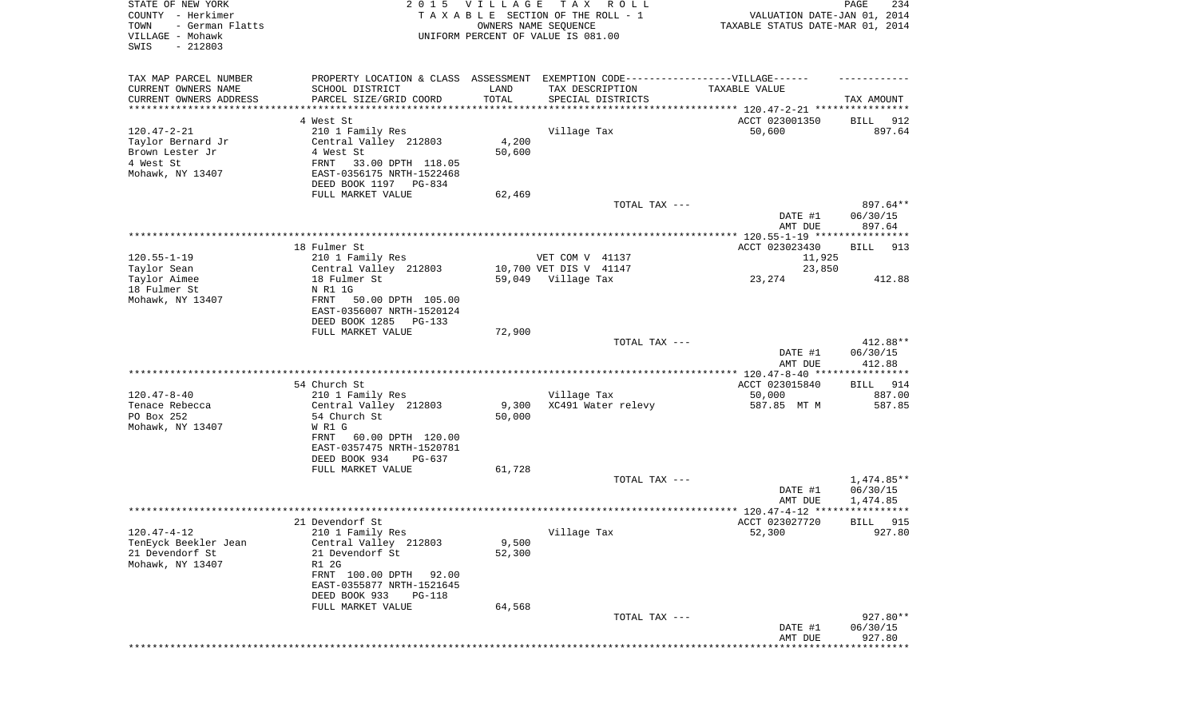| STATE OF NEW YORK<br>COUNTY - Herkimer<br>TOWN<br>- German Flatts<br>VILLAGE - Mohawk<br>SWIS<br>$-212803$ |                                                                                   | 2015 VILLAGE | T A X<br>R O L L<br>TAXABLE SECTION OF THE ROLL - 1<br>OWNERS NAME SEQUENCE<br>UNIFORM PERCENT OF VALUE IS 081.00 | VALUATION DATE-JAN 01, 2014<br>TAXABLE STATUS DATE-MAR 01, 2014 | PAGE<br>234            |
|------------------------------------------------------------------------------------------------------------|-----------------------------------------------------------------------------------|--------------|-------------------------------------------------------------------------------------------------------------------|-----------------------------------------------------------------|------------------------|
|                                                                                                            |                                                                                   |              |                                                                                                                   |                                                                 |                        |
| TAX MAP PARCEL NUMBER                                                                                      | PROPERTY LOCATION & CLASS ASSESSMENT EXEMPTION CODE-----------------VILLAGE------ |              |                                                                                                                   |                                                                 |                        |
| CURRENT OWNERS NAME                                                                                        | SCHOOL DISTRICT                                                                   | LAND         | TAX DESCRIPTION                                                                                                   | TAXABLE VALUE                                                   |                        |
| CURRENT OWNERS ADDRESS<br>*********************                                                            | PARCEL SIZE/GRID COORD<br>***********************                                 | TOTAL        | SPECIAL DISTRICTS                                                                                                 |                                                                 | TAX AMOUNT             |
|                                                                                                            | 4 West St                                                                         |              |                                                                                                                   | ACCT 023001350                                                  | BILL<br>912            |
| $120.47 - 2 - 21$                                                                                          | 210 1 Family Res                                                                  |              | Village Tax                                                                                                       | 50,600                                                          | 897.64                 |
| Taylor Bernard Jr                                                                                          | Central Valley 212803                                                             | 4,200        |                                                                                                                   |                                                                 |                        |
| Brown Lester Jr                                                                                            | 4 West St                                                                         | 50,600       |                                                                                                                   |                                                                 |                        |
| 4 West St                                                                                                  | FRNT<br>33.00 DPTH 118.05                                                         |              |                                                                                                                   |                                                                 |                        |
| Mohawk, NY 13407                                                                                           | EAST-0356175 NRTH-1522468                                                         |              |                                                                                                                   |                                                                 |                        |
|                                                                                                            | DEED BOOK 1197 PG-834<br>FULL MARKET VALUE                                        | 62,469       |                                                                                                                   |                                                                 |                        |
|                                                                                                            |                                                                                   |              | TOTAL TAX ---                                                                                                     |                                                                 | 897.64**               |
|                                                                                                            |                                                                                   |              |                                                                                                                   | DATE #1                                                         | 06/30/15               |
|                                                                                                            |                                                                                   |              |                                                                                                                   | AMT DUE                                                         | 897.64                 |
|                                                                                                            |                                                                                   |              |                                                                                                                   |                                                                 |                        |
|                                                                                                            | 18 Fulmer St                                                                      |              |                                                                                                                   | ACCT 023023430                                                  | 913<br>BILL            |
| $120.55 - 1 - 19$                                                                                          | 210 1 Family Res                                                                  |              | VET COM V 41137                                                                                                   | 11,925                                                          |                        |
| Taylor Sean                                                                                                | Central Valley 212803                                                             |              | 10,700 VET DIS V 41147                                                                                            | 23,850                                                          |                        |
| Taylor Aimee<br>18 Fulmer St                                                                               | 18 Fulmer St<br>N R1 1G                                                           |              | 59,049 Village Tax                                                                                                | 23,274                                                          | 412.88                 |
| Mohawk, NY 13407                                                                                           | FRNT<br>50.00 DPTH 105.00                                                         |              |                                                                                                                   |                                                                 |                        |
|                                                                                                            | EAST-0356007 NRTH-1520124                                                         |              |                                                                                                                   |                                                                 |                        |
|                                                                                                            | DEED BOOK 1285<br>PG-133                                                          |              |                                                                                                                   |                                                                 |                        |
|                                                                                                            | FULL MARKET VALUE                                                                 | 72,900       |                                                                                                                   |                                                                 |                        |
|                                                                                                            |                                                                                   |              | TOTAL TAX ---                                                                                                     |                                                                 | 412.88**               |
|                                                                                                            |                                                                                   |              |                                                                                                                   | DATE #1                                                         | 06/30/15               |
|                                                                                                            |                                                                                   |              |                                                                                                                   | AMT DUE<br>************** 120.47-8-40 *****************         | 412.88                 |
|                                                                                                            | 54 Church St                                                                      |              |                                                                                                                   | ACCT 023015840                                                  | 914<br>BILL            |
| $120.47 - 8 - 40$                                                                                          | 210 1 Family Res                                                                  |              | Village Tax                                                                                                       | 50,000                                                          | 887.00                 |
| Tenace Rebecca                                                                                             | Central Valley 212803                                                             | 9,300        | XC491 Water relevy                                                                                                | 587.85 MT M                                                     | 587.85                 |
| PO Box 252                                                                                                 | 54 Church St                                                                      | 50,000       |                                                                                                                   |                                                                 |                        |
| Mohawk, NY 13407                                                                                           | W R1 G                                                                            |              |                                                                                                                   |                                                                 |                        |
|                                                                                                            | FRNT<br>60.00 DPTH 120.00                                                         |              |                                                                                                                   |                                                                 |                        |
|                                                                                                            | EAST-0357475 NRTH-1520781                                                         |              |                                                                                                                   |                                                                 |                        |
|                                                                                                            | DEED BOOK 934<br>PG-637                                                           |              |                                                                                                                   |                                                                 |                        |
|                                                                                                            | FULL MARKET VALUE                                                                 | 61,728       |                                                                                                                   |                                                                 |                        |
|                                                                                                            |                                                                                   |              | TOTAL TAX ---                                                                                                     | DATE #1                                                         | 1,474.85**<br>06/30/15 |
|                                                                                                            |                                                                                   |              |                                                                                                                   | AMT DUE                                                         | 1,474.85               |
|                                                                                                            |                                                                                   |              |                                                                                                                   |                                                                 | ******                 |
|                                                                                                            | 21 Devendorf St                                                                   |              |                                                                                                                   | ACCT 023027720                                                  | 915<br>BILL            |
| 120.47-4-12                                                                                                | 210 1 Family Res                                                                  |              | Village Tax                                                                                                       | 52,300                                                          | 927.80                 |
| TenEyck Beekler Jean                                                                                       | Central Valley 212803                                                             | 9,500        |                                                                                                                   |                                                                 |                        |
| 21 Devendorf St                                                                                            | 21 Devendorf St                                                                   | 52,300       |                                                                                                                   |                                                                 |                        |
| Mohawk, NY 13407                                                                                           | R1 2G                                                                             |              |                                                                                                                   |                                                                 |                        |
|                                                                                                            | FRNT 100.00 DPTH<br>92.00                                                         |              |                                                                                                                   |                                                                 |                        |
|                                                                                                            | EAST-0355877 NRTH-1521645<br>DEED BOOK 933<br>PG-118                              |              |                                                                                                                   |                                                                 |                        |
|                                                                                                            | FULL MARKET VALUE                                                                 | 64,568       |                                                                                                                   |                                                                 |                        |
|                                                                                                            |                                                                                   |              | TOTAL TAX ---                                                                                                     |                                                                 | 927.80**               |
|                                                                                                            |                                                                                   |              |                                                                                                                   | DATE #1                                                         | 06/30/15               |
|                                                                                                            |                                                                                   |              |                                                                                                                   | AMT DUE                                                         | 927.80                 |
|                                                                                                            |                                                                                   |              |                                                                                                                   |                                                                 |                        |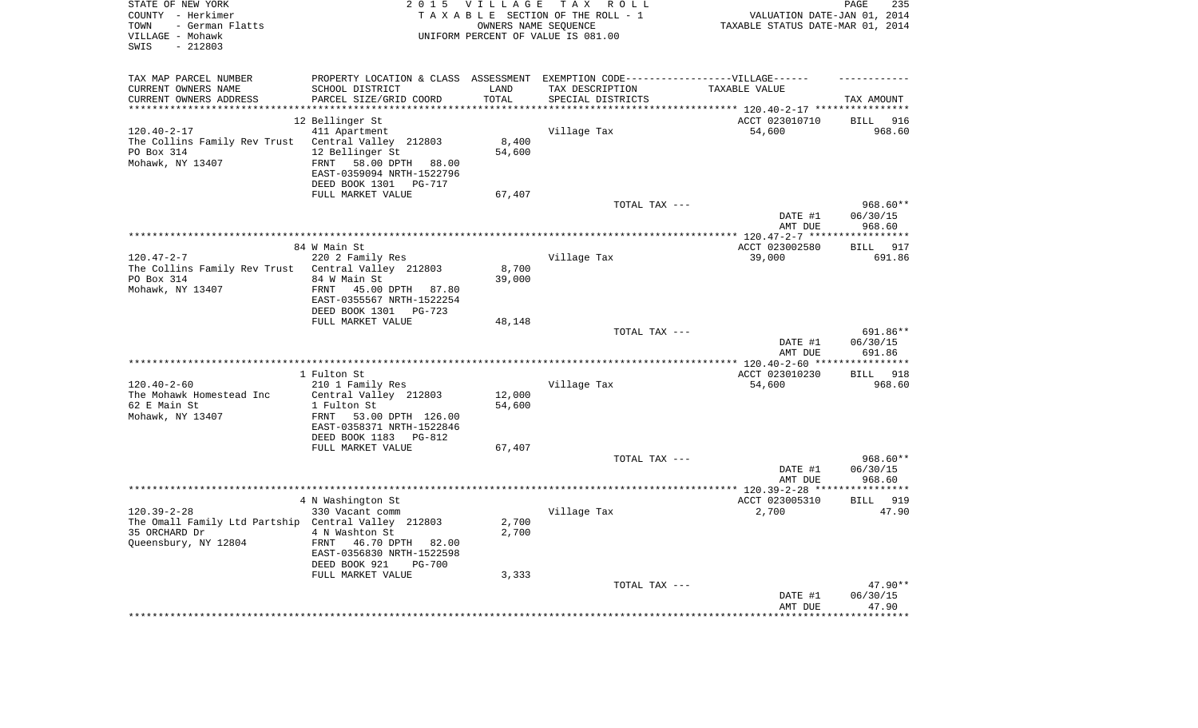| TAX MAP PARCEL NUMBER<br>PROPERTY LOCATION & CLASS ASSESSMENT EXEMPTION CODE----------------VILLAGE------<br>CURRENT OWNERS NAME<br>SCHOOL DISTRICT<br>LAND<br>TAX DESCRIPTION<br>TAXABLE VALUE<br>CURRENT OWNERS ADDRESS<br>PARCEL SIZE/GRID COORD<br>TOTAL<br>SPECIAL DISTRICTS<br>TAX AMOUNT<br>***************<br>**********************<br>ACCT 023010710<br>12 Bellinger St<br><b>BILL</b><br>916<br>$120.40 - 2 - 17$<br>411 Apartment<br>Village Tax<br>54,600<br>968.60<br>The Collins Family Rev Trust<br>Central Valley 212803<br>8,400<br>12 Bellinger St<br>54,600<br>PO Box 314<br>Mohawk, NY 13407<br>58.00 DPTH 88.00<br>FRNT<br>EAST-0359094 NRTH-1522796<br>DEED BOOK 1301<br>PG-717<br>FULL MARKET VALUE<br>67,407<br>TOTAL TAX ---<br>968.60**<br>DATE #1<br>06/30/15<br>968.60<br>AMT DUE<br>***********<br>********* 120.47-2-7 ****<br>917<br>84 W Main St<br>ACCT 023002580<br><b>BILL</b><br>$120.47 - 2 - 7$<br>220 2 Family Res<br>Village Tax<br>39,000<br>691.86<br>8,700<br>The Collins Family Rev Trust<br>Central Valley 212803<br>PO Box 314<br>39,000<br>84 W Main St<br>Mohawk, NY 13407<br>FRNT<br>45.00 DPTH 87.80<br>EAST-0355567 NRTH-1522254<br>DEED BOOK 1301 PG-723<br>FULL MARKET VALUE<br>48,148<br>TOTAL TAX ---<br>691.86**<br>DATE #1<br>06/30/15<br>691.86<br>AMT DUE<br>****** 120.40-2-60 **<br>* * * * * * * * * *<br>1 Fulton St<br>ACCT 023010230<br>918<br><b>BILL</b><br>$120.40 - 2 - 60$<br>210 1 Family Res<br>Village Tax<br>54,600<br>968.60<br>The Mohawk Homestead Inc<br>Central Valley 212803<br>12,000<br>54,600<br>62 E Main St<br>1 Fulton St<br>Mohawk, NY 13407<br>FRNT<br>53.00 DPTH 126.00<br>EAST-0358371 NRTH-1522846<br>DEED BOOK 1183 PG-812<br>FULL MARKET VALUE<br>67,407<br>968.60**<br>TOTAL TAX ---<br>DATE #1<br>06/30/15<br>AMT DUE<br>968.60<br>***************** 120.39-2-28 ****<br>**********<br>4 N Washington St<br>ACCT 023005310<br><b>BILL</b><br>919<br>$120.39 - 2 - 28$<br>Village Tax<br>2,700<br>330 Vacant comm<br>47.90<br>2,700<br>The Omall Family Ltd Partship Central Valley 212803<br>35 ORCHARD Dr<br>4 N Washton St<br>2,700<br>Queensbury, NY 12804<br>FRNT<br>46.70 DPTH 82.00<br>EAST-0356830 NRTH-1522598<br>DEED BOOK 921<br>$PG-700$<br>FULL MARKET VALUE<br>3,333<br>$47.90**$<br>TOTAL TAX ---<br>06/30/15<br>DATE #1<br>47.90<br>AMT DUE | STATE OF NEW YORK<br>COUNTY - Herkimer<br>- German Flatts<br>TOWN<br>VILLAGE - Mohawk<br>SWIS<br>$-212803$ | 2 0 1 5 | <b>VILLAGE</b> | TAX ROLL<br>TAXABLE SECTION OF THE ROLL - 1<br>OWNERS NAME SEQUENCE<br>UNIFORM PERCENT OF VALUE IS 081.00 | VALUATION DATE-JAN 01, 2014<br>TAXABLE STATUS DATE-MAR 01, 2014 | PAGE<br>235 |
|------------------------------------------------------------------------------------------------------------------------------------------------------------------------------------------------------------------------------------------------------------------------------------------------------------------------------------------------------------------------------------------------------------------------------------------------------------------------------------------------------------------------------------------------------------------------------------------------------------------------------------------------------------------------------------------------------------------------------------------------------------------------------------------------------------------------------------------------------------------------------------------------------------------------------------------------------------------------------------------------------------------------------------------------------------------------------------------------------------------------------------------------------------------------------------------------------------------------------------------------------------------------------------------------------------------------------------------------------------------------------------------------------------------------------------------------------------------------------------------------------------------------------------------------------------------------------------------------------------------------------------------------------------------------------------------------------------------------------------------------------------------------------------------------------------------------------------------------------------------------------------------------------------------------------------------------------------------------------------------------------------------------------------------------------------------------------------------------------------------------------------------------------------------------------------------------------------------------------------------------------------------------------------------------------------------------------------------------------------|------------------------------------------------------------------------------------------------------------|---------|----------------|-----------------------------------------------------------------------------------------------------------|-----------------------------------------------------------------|-------------|
|                                                                                                                                                                                                                                                                                                                                                                                                                                                                                                                                                                                                                                                                                                                                                                                                                                                                                                                                                                                                                                                                                                                                                                                                                                                                                                                                                                                                                                                                                                                                                                                                                                                                                                                                                                                                                                                                                                                                                                                                                                                                                                                                                                                                                                                                                                                                                            |                                                                                                            |         |                |                                                                                                           |                                                                 |             |
|                                                                                                                                                                                                                                                                                                                                                                                                                                                                                                                                                                                                                                                                                                                                                                                                                                                                                                                                                                                                                                                                                                                                                                                                                                                                                                                                                                                                                                                                                                                                                                                                                                                                                                                                                                                                                                                                                                                                                                                                                                                                                                                                                                                                                                                                                                                                                            |                                                                                                            |         |                |                                                                                                           |                                                                 |             |
|                                                                                                                                                                                                                                                                                                                                                                                                                                                                                                                                                                                                                                                                                                                                                                                                                                                                                                                                                                                                                                                                                                                                                                                                                                                                                                                                                                                                                                                                                                                                                                                                                                                                                                                                                                                                                                                                                                                                                                                                                                                                                                                                                                                                                                                                                                                                                            |                                                                                                            |         |                |                                                                                                           |                                                                 |             |
|                                                                                                                                                                                                                                                                                                                                                                                                                                                                                                                                                                                                                                                                                                                                                                                                                                                                                                                                                                                                                                                                                                                                                                                                                                                                                                                                                                                                                                                                                                                                                                                                                                                                                                                                                                                                                                                                                                                                                                                                                                                                                                                                                                                                                                                                                                                                                            |                                                                                                            |         |                |                                                                                                           |                                                                 |             |
|                                                                                                                                                                                                                                                                                                                                                                                                                                                                                                                                                                                                                                                                                                                                                                                                                                                                                                                                                                                                                                                                                                                                                                                                                                                                                                                                                                                                                                                                                                                                                                                                                                                                                                                                                                                                                                                                                                                                                                                                                                                                                                                                                                                                                                                                                                                                                            |                                                                                                            |         |                |                                                                                                           |                                                                 |             |
|                                                                                                                                                                                                                                                                                                                                                                                                                                                                                                                                                                                                                                                                                                                                                                                                                                                                                                                                                                                                                                                                                                                                                                                                                                                                                                                                                                                                                                                                                                                                                                                                                                                                                                                                                                                                                                                                                                                                                                                                                                                                                                                                                                                                                                                                                                                                                            |                                                                                                            |         |                |                                                                                                           |                                                                 |             |
|                                                                                                                                                                                                                                                                                                                                                                                                                                                                                                                                                                                                                                                                                                                                                                                                                                                                                                                                                                                                                                                                                                                                                                                                                                                                                                                                                                                                                                                                                                                                                                                                                                                                                                                                                                                                                                                                                                                                                                                                                                                                                                                                                                                                                                                                                                                                                            |                                                                                                            |         |                |                                                                                                           |                                                                 |             |
|                                                                                                                                                                                                                                                                                                                                                                                                                                                                                                                                                                                                                                                                                                                                                                                                                                                                                                                                                                                                                                                                                                                                                                                                                                                                                                                                                                                                                                                                                                                                                                                                                                                                                                                                                                                                                                                                                                                                                                                                                                                                                                                                                                                                                                                                                                                                                            |                                                                                                            |         |                |                                                                                                           |                                                                 |             |
|                                                                                                                                                                                                                                                                                                                                                                                                                                                                                                                                                                                                                                                                                                                                                                                                                                                                                                                                                                                                                                                                                                                                                                                                                                                                                                                                                                                                                                                                                                                                                                                                                                                                                                                                                                                                                                                                                                                                                                                                                                                                                                                                                                                                                                                                                                                                                            |                                                                                                            |         |                |                                                                                                           |                                                                 |             |
|                                                                                                                                                                                                                                                                                                                                                                                                                                                                                                                                                                                                                                                                                                                                                                                                                                                                                                                                                                                                                                                                                                                                                                                                                                                                                                                                                                                                                                                                                                                                                                                                                                                                                                                                                                                                                                                                                                                                                                                                                                                                                                                                                                                                                                                                                                                                                            |                                                                                                            |         |                |                                                                                                           |                                                                 |             |
|                                                                                                                                                                                                                                                                                                                                                                                                                                                                                                                                                                                                                                                                                                                                                                                                                                                                                                                                                                                                                                                                                                                                                                                                                                                                                                                                                                                                                                                                                                                                                                                                                                                                                                                                                                                                                                                                                                                                                                                                                                                                                                                                                                                                                                                                                                                                                            |                                                                                                            |         |                |                                                                                                           |                                                                 |             |
|                                                                                                                                                                                                                                                                                                                                                                                                                                                                                                                                                                                                                                                                                                                                                                                                                                                                                                                                                                                                                                                                                                                                                                                                                                                                                                                                                                                                                                                                                                                                                                                                                                                                                                                                                                                                                                                                                                                                                                                                                                                                                                                                                                                                                                                                                                                                                            |                                                                                                            |         |                |                                                                                                           |                                                                 |             |
|                                                                                                                                                                                                                                                                                                                                                                                                                                                                                                                                                                                                                                                                                                                                                                                                                                                                                                                                                                                                                                                                                                                                                                                                                                                                                                                                                                                                                                                                                                                                                                                                                                                                                                                                                                                                                                                                                                                                                                                                                                                                                                                                                                                                                                                                                                                                                            |                                                                                                            |         |                |                                                                                                           |                                                                 |             |
|                                                                                                                                                                                                                                                                                                                                                                                                                                                                                                                                                                                                                                                                                                                                                                                                                                                                                                                                                                                                                                                                                                                                                                                                                                                                                                                                                                                                                                                                                                                                                                                                                                                                                                                                                                                                                                                                                                                                                                                                                                                                                                                                                                                                                                                                                                                                                            |                                                                                                            |         |                |                                                                                                           |                                                                 |             |
|                                                                                                                                                                                                                                                                                                                                                                                                                                                                                                                                                                                                                                                                                                                                                                                                                                                                                                                                                                                                                                                                                                                                                                                                                                                                                                                                                                                                                                                                                                                                                                                                                                                                                                                                                                                                                                                                                                                                                                                                                                                                                                                                                                                                                                                                                                                                                            |                                                                                                            |         |                |                                                                                                           |                                                                 |             |
|                                                                                                                                                                                                                                                                                                                                                                                                                                                                                                                                                                                                                                                                                                                                                                                                                                                                                                                                                                                                                                                                                                                                                                                                                                                                                                                                                                                                                                                                                                                                                                                                                                                                                                                                                                                                                                                                                                                                                                                                                                                                                                                                                                                                                                                                                                                                                            |                                                                                                            |         |                |                                                                                                           |                                                                 |             |
|                                                                                                                                                                                                                                                                                                                                                                                                                                                                                                                                                                                                                                                                                                                                                                                                                                                                                                                                                                                                                                                                                                                                                                                                                                                                                                                                                                                                                                                                                                                                                                                                                                                                                                                                                                                                                                                                                                                                                                                                                                                                                                                                                                                                                                                                                                                                                            |                                                                                                            |         |                |                                                                                                           |                                                                 |             |
|                                                                                                                                                                                                                                                                                                                                                                                                                                                                                                                                                                                                                                                                                                                                                                                                                                                                                                                                                                                                                                                                                                                                                                                                                                                                                                                                                                                                                                                                                                                                                                                                                                                                                                                                                                                                                                                                                                                                                                                                                                                                                                                                                                                                                                                                                                                                                            |                                                                                                            |         |                |                                                                                                           |                                                                 |             |
|                                                                                                                                                                                                                                                                                                                                                                                                                                                                                                                                                                                                                                                                                                                                                                                                                                                                                                                                                                                                                                                                                                                                                                                                                                                                                                                                                                                                                                                                                                                                                                                                                                                                                                                                                                                                                                                                                                                                                                                                                                                                                                                                                                                                                                                                                                                                                            |                                                                                                            |         |                |                                                                                                           |                                                                 |             |
|                                                                                                                                                                                                                                                                                                                                                                                                                                                                                                                                                                                                                                                                                                                                                                                                                                                                                                                                                                                                                                                                                                                                                                                                                                                                                                                                                                                                                                                                                                                                                                                                                                                                                                                                                                                                                                                                                                                                                                                                                                                                                                                                                                                                                                                                                                                                                            |                                                                                                            |         |                |                                                                                                           |                                                                 |             |
|                                                                                                                                                                                                                                                                                                                                                                                                                                                                                                                                                                                                                                                                                                                                                                                                                                                                                                                                                                                                                                                                                                                                                                                                                                                                                                                                                                                                                                                                                                                                                                                                                                                                                                                                                                                                                                                                                                                                                                                                                                                                                                                                                                                                                                                                                                                                                            |                                                                                                            |         |                |                                                                                                           |                                                                 |             |
|                                                                                                                                                                                                                                                                                                                                                                                                                                                                                                                                                                                                                                                                                                                                                                                                                                                                                                                                                                                                                                                                                                                                                                                                                                                                                                                                                                                                                                                                                                                                                                                                                                                                                                                                                                                                                                                                                                                                                                                                                                                                                                                                                                                                                                                                                                                                                            |                                                                                                            |         |                |                                                                                                           |                                                                 |             |
|                                                                                                                                                                                                                                                                                                                                                                                                                                                                                                                                                                                                                                                                                                                                                                                                                                                                                                                                                                                                                                                                                                                                                                                                                                                                                                                                                                                                                                                                                                                                                                                                                                                                                                                                                                                                                                                                                                                                                                                                                                                                                                                                                                                                                                                                                                                                                            |                                                                                                            |         |                |                                                                                                           |                                                                 |             |
|                                                                                                                                                                                                                                                                                                                                                                                                                                                                                                                                                                                                                                                                                                                                                                                                                                                                                                                                                                                                                                                                                                                                                                                                                                                                                                                                                                                                                                                                                                                                                                                                                                                                                                                                                                                                                                                                                                                                                                                                                                                                                                                                                                                                                                                                                                                                                            |                                                                                                            |         |                |                                                                                                           |                                                                 |             |
|                                                                                                                                                                                                                                                                                                                                                                                                                                                                                                                                                                                                                                                                                                                                                                                                                                                                                                                                                                                                                                                                                                                                                                                                                                                                                                                                                                                                                                                                                                                                                                                                                                                                                                                                                                                                                                                                                                                                                                                                                                                                                                                                                                                                                                                                                                                                                            |                                                                                                            |         |                |                                                                                                           |                                                                 |             |
|                                                                                                                                                                                                                                                                                                                                                                                                                                                                                                                                                                                                                                                                                                                                                                                                                                                                                                                                                                                                                                                                                                                                                                                                                                                                                                                                                                                                                                                                                                                                                                                                                                                                                                                                                                                                                                                                                                                                                                                                                                                                                                                                                                                                                                                                                                                                                            |                                                                                                            |         |                |                                                                                                           |                                                                 |             |
|                                                                                                                                                                                                                                                                                                                                                                                                                                                                                                                                                                                                                                                                                                                                                                                                                                                                                                                                                                                                                                                                                                                                                                                                                                                                                                                                                                                                                                                                                                                                                                                                                                                                                                                                                                                                                                                                                                                                                                                                                                                                                                                                                                                                                                                                                                                                                            |                                                                                                            |         |                |                                                                                                           |                                                                 |             |
|                                                                                                                                                                                                                                                                                                                                                                                                                                                                                                                                                                                                                                                                                                                                                                                                                                                                                                                                                                                                                                                                                                                                                                                                                                                                                                                                                                                                                                                                                                                                                                                                                                                                                                                                                                                                                                                                                                                                                                                                                                                                                                                                                                                                                                                                                                                                                            |                                                                                                            |         |                |                                                                                                           |                                                                 |             |
|                                                                                                                                                                                                                                                                                                                                                                                                                                                                                                                                                                                                                                                                                                                                                                                                                                                                                                                                                                                                                                                                                                                                                                                                                                                                                                                                                                                                                                                                                                                                                                                                                                                                                                                                                                                                                                                                                                                                                                                                                                                                                                                                                                                                                                                                                                                                                            |                                                                                                            |         |                |                                                                                                           |                                                                 |             |
|                                                                                                                                                                                                                                                                                                                                                                                                                                                                                                                                                                                                                                                                                                                                                                                                                                                                                                                                                                                                                                                                                                                                                                                                                                                                                                                                                                                                                                                                                                                                                                                                                                                                                                                                                                                                                                                                                                                                                                                                                                                                                                                                                                                                                                                                                                                                                            |                                                                                                            |         |                |                                                                                                           |                                                                 |             |
|                                                                                                                                                                                                                                                                                                                                                                                                                                                                                                                                                                                                                                                                                                                                                                                                                                                                                                                                                                                                                                                                                                                                                                                                                                                                                                                                                                                                                                                                                                                                                                                                                                                                                                                                                                                                                                                                                                                                                                                                                                                                                                                                                                                                                                                                                                                                                            |                                                                                                            |         |                |                                                                                                           |                                                                 |             |
|                                                                                                                                                                                                                                                                                                                                                                                                                                                                                                                                                                                                                                                                                                                                                                                                                                                                                                                                                                                                                                                                                                                                                                                                                                                                                                                                                                                                                                                                                                                                                                                                                                                                                                                                                                                                                                                                                                                                                                                                                                                                                                                                                                                                                                                                                                                                                            |                                                                                                            |         |                |                                                                                                           |                                                                 |             |
|                                                                                                                                                                                                                                                                                                                                                                                                                                                                                                                                                                                                                                                                                                                                                                                                                                                                                                                                                                                                                                                                                                                                                                                                                                                                                                                                                                                                                                                                                                                                                                                                                                                                                                                                                                                                                                                                                                                                                                                                                                                                                                                                                                                                                                                                                                                                                            |                                                                                                            |         |                |                                                                                                           |                                                                 |             |
|                                                                                                                                                                                                                                                                                                                                                                                                                                                                                                                                                                                                                                                                                                                                                                                                                                                                                                                                                                                                                                                                                                                                                                                                                                                                                                                                                                                                                                                                                                                                                                                                                                                                                                                                                                                                                                                                                                                                                                                                                                                                                                                                                                                                                                                                                                                                                            |                                                                                                            |         |                |                                                                                                           |                                                                 |             |
|                                                                                                                                                                                                                                                                                                                                                                                                                                                                                                                                                                                                                                                                                                                                                                                                                                                                                                                                                                                                                                                                                                                                                                                                                                                                                                                                                                                                                                                                                                                                                                                                                                                                                                                                                                                                                                                                                                                                                                                                                                                                                                                                                                                                                                                                                                                                                            |                                                                                                            |         |                |                                                                                                           |                                                                 |             |
|                                                                                                                                                                                                                                                                                                                                                                                                                                                                                                                                                                                                                                                                                                                                                                                                                                                                                                                                                                                                                                                                                                                                                                                                                                                                                                                                                                                                                                                                                                                                                                                                                                                                                                                                                                                                                                                                                                                                                                                                                                                                                                                                                                                                                                                                                                                                                            |                                                                                                            |         |                |                                                                                                           |                                                                 |             |
|                                                                                                                                                                                                                                                                                                                                                                                                                                                                                                                                                                                                                                                                                                                                                                                                                                                                                                                                                                                                                                                                                                                                                                                                                                                                                                                                                                                                                                                                                                                                                                                                                                                                                                                                                                                                                                                                                                                                                                                                                                                                                                                                                                                                                                                                                                                                                            |                                                                                                            |         |                |                                                                                                           |                                                                 |             |
|                                                                                                                                                                                                                                                                                                                                                                                                                                                                                                                                                                                                                                                                                                                                                                                                                                                                                                                                                                                                                                                                                                                                                                                                                                                                                                                                                                                                                                                                                                                                                                                                                                                                                                                                                                                                                                                                                                                                                                                                                                                                                                                                                                                                                                                                                                                                                            |                                                                                                            |         |                |                                                                                                           |                                                                 |             |
|                                                                                                                                                                                                                                                                                                                                                                                                                                                                                                                                                                                                                                                                                                                                                                                                                                                                                                                                                                                                                                                                                                                                                                                                                                                                                                                                                                                                                                                                                                                                                                                                                                                                                                                                                                                                                                                                                                                                                                                                                                                                                                                                                                                                                                                                                                                                                            |                                                                                                            |         |                |                                                                                                           |                                                                 |             |
|                                                                                                                                                                                                                                                                                                                                                                                                                                                                                                                                                                                                                                                                                                                                                                                                                                                                                                                                                                                                                                                                                                                                                                                                                                                                                                                                                                                                                                                                                                                                                                                                                                                                                                                                                                                                                                                                                                                                                                                                                                                                                                                                                                                                                                                                                                                                                            |                                                                                                            |         |                |                                                                                                           |                                                                 |             |
|                                                                                                                                                                                                                                                                                                                                                                                                                                                                                                                                                                                                                                                                                                                                                                                                                                                                                                                                                                                                                                                                                                                                                                                                                                                                                                                                                                                                                                                                                                                                                                                                                                                                                                                                                                                                                                                                                                                                                                                                                                                                                                                                                                                                                                                                                                                                                            |                                                                                                            |         |                |                                                                                                           |                                                                 |             |
|                                                                                                                                                                                                                                                                                                                                                                                                                                                                                                                                                                                                                                                                                                                                                                                                                                                                                                                                                                                                                                                                                                                                                                                                                                                                                                                                                                                                                                                                                                                                                                                                                                                                                                                                                                                                                                                                                                                                                                                                                                                                                                                                                                                                                                                                                                                                                            |                                                                                                            |         |                |                                                                                                           |                                                                 |             |
|                                                                                                                                                                                                                                                                                                                                                                                                                                                                                                                                                                                                                                                                                                                                                                                                                                                                                                                                                                                                                                                                                                                                                                                                                                                                                                                                                                                                                                                                                                                                                                                                                                                                                                                                                                                                                                                                                                                                                                                                                                                                                                                                                                                                                                                                                                                                                            |                                                                                                            |         |                |                                                                                                           |                                                                 |             |
|                                                                                                                                                                                                                                                                                                                                                                                                                                                                                                                                                                                                                                                                                                                                                                                                                                                                                                                                                                                                                                                                                                                                                                                                                                                                                                                                                                                                                                                                                                                                                                                                                                                                                                                                                                                                                                                                                                                                                                                                                                                                                                                                                                                                                                                                                                                                                            |                                                                                                            |         |                |                                                                                                           |                                                                 |             |
|                                                                                                                                                                                                                                                                                                                                                                                                                                                                                                                                                                                                                                                                                                                                                                                                                                                                                                                                                                                                                                                                                                                                                                                                                                                                                                                                                                                                                                                                                                                                                                                                                                                                                                                                                                                                                                                                                                                                                                                                                                                                                                                                                                                                                                                                                                                                                            |                                                                                                            |         |                |                                                                                                           |                                                                 |             |
|                                                                                                                                                                                                                                                                                                                                                                                                                                                                                                                                                                                                                                                                                                                                                                                                                                                                                                                                                                                                                                                                                                                                                                                                                                                                                                                                                                                                                                                                                                                                                                                                                                                                                                                                                                                                                                                                                                                                                                                                                                                                                                                                                                                                                                                                                                                                                            |                                                                                                            |         |                |                                                                                                           |                                                                 |             |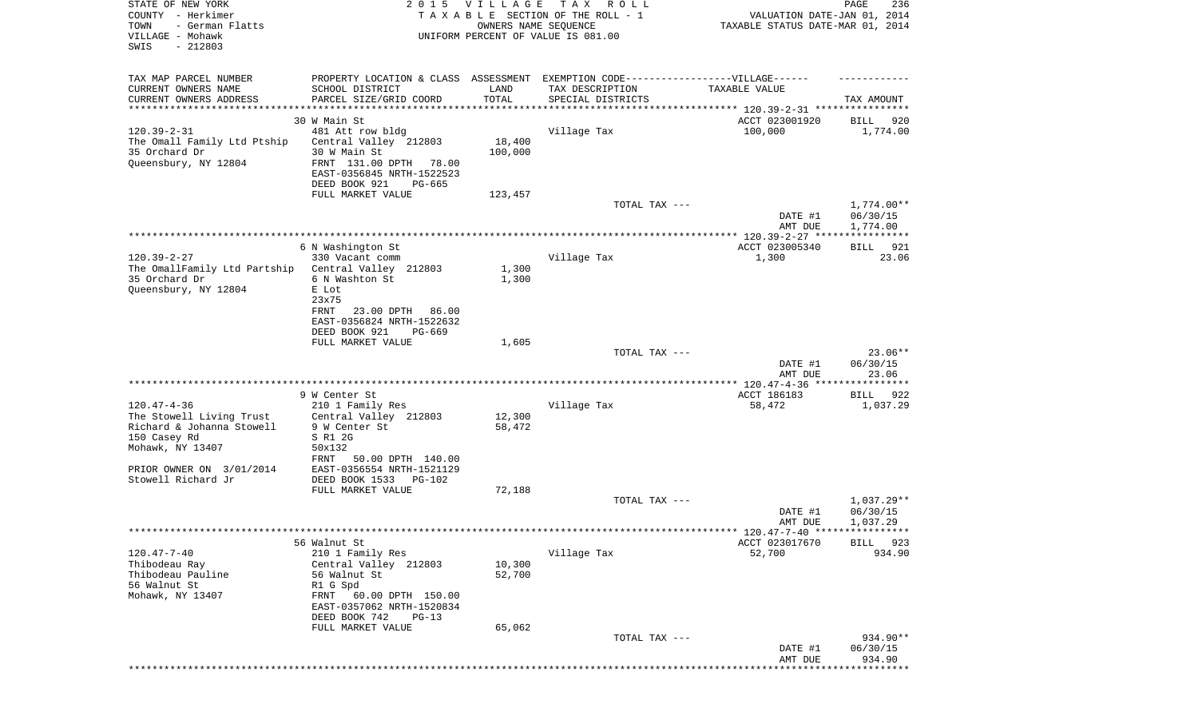| STATE OF NEW YORK<br>COUNTY - Herkimer<br>TOWN<br>- German Flatts<br>VILLAGE - Mohawk<br>SWIS<br>$-212803$       |                                                                                                                                             | 2015 VILLAGE<br>OWNERS NAME SEQUENCE | TAX ROLL<br>TAXABLE SECTION OF THE ROLL - 1<br>UNIFORM PERCENT OF VALUE IS 081.00 | VALUATION DATE-JAN 01, 2014<br>TAXABLE STATUS DATE-MAR 01, 2014 | PAGE<br>236                        |
|------------------------------------------------------------------------------------------------------------------|---------------------------------------------------------------------------------------------------------------------------------------------|--------------------------------------|-----------------------------------------------------------------------------------|-----------------------------------------------------------------|------------------------------------|
| TAX MAP PARCEL NUMBER                                                                                            |                                                                                                                                             |                                      | PROPERTY LOCATION & CLASS ASSESSMENT EXEMPTION CODE----------------VILLAGE------  |                                                                 |                                    |
| CURRENT OWNERS NAME<br>CURRENT OWNERS ADDRESS<br>*********************                                           | SCHOOL DISTRICT<br>PARCEL SIZE/GRID COORD                                                                                                   | LAND<br>TOTAL                        | TAX DESCRIPTION<br>SPECIAL DISTRICTS                                              | TAXABLE VALUE                                                   | TAX AMOUNT                         |
|                                                                                                                  | 30 W Main St                                                                                                                                |                                      |                                                                                   | ACCT 023001920                                                  | BILL<br>920                        |
| $120.39 - 2 - 31$<br>The Omall Family Ltd Ptship<br>35 Orchard Dr<br>Queensbury, NY 12804                        | 481 Att row bldg<br>Central Valley 212803<br>30 W Main St<br>FRNT 131.00 DPTH 78.00<br>EAST-0356845 NRTH-1522523<br>DEED BOOK 921<br>PG-665 | 18,400<br>100,000                    | Village Tax                                                                       | 100,000                                                         | 1,774.00                           |
|                                                                                                                  | FULL MARKET VALUE                                                                                                                           | 123,457                              |                                                                                   |                                                                 |                                    |
|                                                                                                                  |                                                                                                                                             |                                      | TOTAL TAX ---                                                                     | DATE #1<br>AMT DUE                                              | 1,774.00**<br>06/30/15<br>1,774.00 |
|                                                                                                                  | 6 N Washington St                                                                                                                           |                                      |                                                                                   | ACCT 023005340                                                  | 921<br>BILL                        |
| $120.39 - 2 - 27$<br>The OmallFamily Ltd Partship Central Valley 212803<br>35 Orchard Dr<br>Queensbury, NY 12804 | 330 Vacant comm<br>6 N Washton St<br>E Lot                                                                                                  | 1,300<br>1,300                       | Village Tax                                                                       | 1,300                                                           | 23.06                              |
|                                                                                                                  | 23x75<br>FRNT<br>23.00 DPTH<br>86.00<br>EAST-0356824 NRTH-1522632<br>DEED BOOK 921<br>PG-669                                                |                                      |                                                                                   |                                                                 |                                    |
|                                                                                                                  | FULL MARKET VALUE                                                                                                                           | 1,605                                | TOTAL TAX ---                                                                     |                                                                 | $23.06**$                          |
|                                                                                                                  |                                                                                                                                             |                                      |                                                                                   | DATE #1<br>AMT DUE                                              | 06/30/15<br>23.06                  |
|                                                                                                                  | 9 W Center St                                                                                                                               |                                      |                                                                                   | ACCT 186183                                                     | BILL 922                           |
| $120.47 - 4 - 36$                                                                                                | 210 1 Family Res                                                                                                                            |                                      | Village Tax                                                                       | 58,472                                                          | 1,037.29                           |
| The Stowell Living Trust<br>Richard & Johanna Stowell<br>150 Casey Rd                                            | Central Valley 212803<br>9 W Center St<br>S R1 2G                                                                                           | 12,300<br>58,472                     |                                                                                   |                                                                 |                                    |
| Mohawk, NY 13407                                                                                                 | 50x132<br>FRNT<br>50.00 DPTH 140.00                                                                                                         |                                      |                                                                                   |                                                                 |                                    |
| PRIOR OWNER ON 3/01/2014<br>Stowell Richard Jr                                                                   | EAST-0356554 NRTH-1521129<br>DEED BOOK 1533<br>PG-102                                                                                       |                                      |                                                                                   |                                                                 |                                    |
|                                                                                                                  | FULL MARKET VALUE                                                                                                                           | 72,188                               |                                                                                   |                                                                 |                                    |
|                                                                                                                  |                                                                                                                                             |                                      | TOTAL TAX ---                                                                     | DATE #1<br>AMT DUE                                              | 1,037.29**<br>06/30/15<br>1,037.29 |
|                                                                                                                  |                                                                                                                                             |                                      |                                                                                   | ********* 120.47-7-40 *****************                         |                                    |
|                                                                                                                  | 56 Walnut St                                                                                                                                |                                      |                                                                                   | ACCT 023017670                                                  | BILL<br>923                        |
| $120.47 - 7 - 40$<br>Thibodeau Ray<br>Thibodeau Pauline<br>56 Walnut St<br>Mohawk, NY 13407                      | 210 1 Family Res<br>Central Valley 212803<br>56 Walnut St<br>R1 G Spd<br>60.00 DPTH 150.00<br>FRNT                                          | 10,300<br>52,700                     | Village Tax                                                                       | 52,700                                                          | 934.90                             |
|                                                                                                                  | EAST-0357062 NRTH-1520834<br>DEED BOOK 742<br>$PG-13$                                                                                       |                                      |                                                                                   |                                                                 |                                    |
|                                                                                                                  | FULL MARKET VALUE                                                                                                                           | 65,062                               |                                                                                   |                                                                 |                                    |
|                                                                                                                  |                                                                                                                                             |                                      | TOTAL TAX ---                                                                     | DATE #1<br>AMT DUE                                              | 934.90**<br>06/30/15<br>934.90     |
|                                                                                                                  |                                                                                                                                             |                                      |                                                                                   |                                                                 |                                    |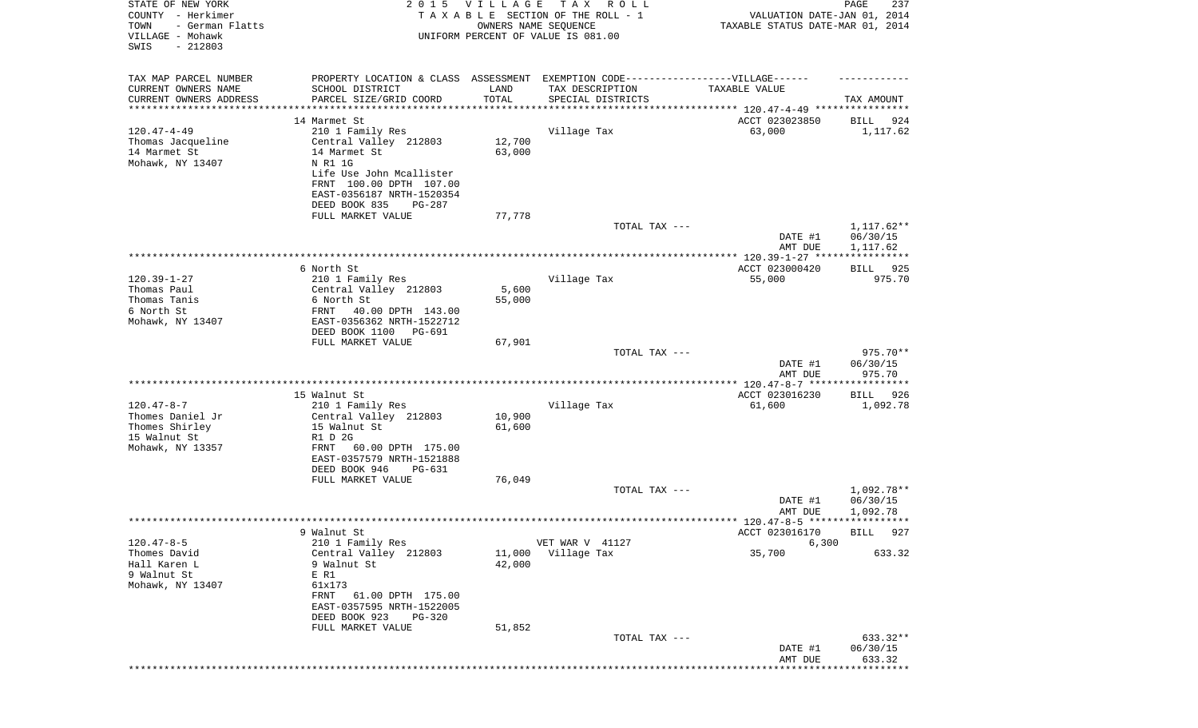| STATE OF NEW YORK<br>COUNTY - Herkimer<br>TOWN<br>- German Flatts<br>VILLAGE - Mohawk<br>SWIS<br>$-212803$ | 2 0 1 5                                                                                                                                                                                             | <b>VILLAGE</b>             | TAX ROLL<br>TAXABLE SECTION OF THE ROLL - 1<br>OWNERS NAME SEQUENCE<br>UNIFORM PERCENT OF VALUE IS 081.00                | VALUATION DATE-JAN 01, 2014<br>TAXABLE STATUS DATE-MAR 01, 2014 | 237<br>PAGE                          |
|------------------------------------------------------------------------------------------------------------|-----------------------------------------------------------------------------------------------------------------------------------------------------------------------------------------------------|----------------------------|--------------------------------------------------------------------------------------------------------------------------|-----------------------------------------------------------------|--------------------------------------|
| TAX MAP PARCEL NUMBER<br>CURRENT OWNERS NAME<br>CURRENT OWNERS ADDRESS                                     | SCHOOL DISTRICT<br>PARCEL SIZE/GRID COORD                                                                                                                                                           | LAND<br>TOTAL              | PROPERTY LOCATION & CLASS ASSESSMENT EXEMPTION CODE----------------VILLAGE------<br>TAX DESCRIPTION<br>SPECIAL DISTRICTS | TAXABLE VALUE                                                   | TAX AMOUNT                           |
| *********************                                                                                      | ************************                                                                                                                                                                            |                            |                                                                                                                          |                                                                 |                                      |
| $120.47 - 4 - 49$<br>Thomas Jacqueline<br>14 Marmet St<br>Mohawk, NY 13407                                 | 14 Marmet St<br>210 1 Family Res<br>Central Valley 212803<br>14 Marmet St<br>N R1 1G<br>Life Use John Mcallister<br>FRNT 100.00 DPTH 107.00<br>EAST-0356187 NRTH-1520354<br>DEED BOOK 835<br>PG-287 | 12,700<br>63,000           | Village Tax                                                                                                              | ACCT 023023850<br>63,000                                        | 924<br>BILL<br>1,117.62              |
|                                                                                                            | FULL MARKET VALUE                                                                                                                                                                                   | 77,778                     |                                                                                                                          |                                                                 |                                      |
|                                                                                                            |                                                                                                                                                                                                     |                            | TOTAL TAX ---                                                                                                            | DATE #1<br>AMT DUE                                              | $1,117.62**$<br>06/30/15<br>1,117.62 |
|                                                                                                            |                                                                                                                                                                                                     |                            |                                                                                                                          |                                                                 |                                      |
| $120.39 - 1 - 27$<br>Thomas Paul<br>Thomas Tanis<br>6 North St<br>Mohawk, NY 13407                         | 6 North St<br>210 1 Family Res<br>Central Valley 212803<br>6 North St<br>40.00 DPTH 143.00<br>FRNT<br>EAST-0356362 NRTH-1522712<br>DEED BOOK 1100 PG-691                                            | 5,600<br>55,000            | Village Tax                                                                                                              | ACCT 023000420<br>55,000                                        | 925<br>BILL<br>975.70                |
|                                                                                                            | FULL MARKET VALUE                                                                                                                                                                                   | 67,901                     | TOTAL TAX ---                                                                                                            | DATE #1<br>AMT DUE                                              | 975.70**<br>06/30/15<br>975.70       |
|                                                                                                            |                                                                                                                                                                                                     |                            |                                                                                                                          |                                                                 |                                      |
| $120.47 - 8 - 7$<br>Thomes Daniel Jr<br>Thomes Shirley<br>15 Walnut St<br>Mohawk, NY 13357                 | 15 Walnut St<br>210 1 Family Res<br>Central Valley 212803<br>15 Walnut St<br>R1 D 2G<br>60.00 DPTH 175.00<br>FRNT<br>EAST-0357579 NRTH-1521888<br>DEED BOOK 946<br>PG-631                           | 10,900<br>61,600           | Village Tax                                                                                                              | ACCT 023016230<br>61,600                                        | BILL 926<br>1,092.78                 |
|                                                                                                            | FULL MARKET VALUE                                                                                                                                                                                   | 76,049                     |                                                                                                                          |                                                                 |                                      |
|                                                                                                            |                                                                                                                                                                                                     |                            | TOTAL TAX ---                                                                                                            | DATE #1<br>AMT DUE                                              | 1,092.78**<br>06/30/15<br>1,092.78   |
|                                                                                                            | 9 Walnut St                                                                                                                                                                                         |                            |                                                                                                                          | ACCT 023016170                                                  | 927<br><b>BILL</b>                   |
| $120.47 - 8 - 5$                                                                                           | 210 1 Family Res                                                                                                                                                                                    |                            | VET WAR V 41127                                                                                                          | 6,300                                                           |                                      |
| Thomes David<br>Hall Karen L<br>9 Walnut St<br>Mohawk, NY 13407                                            | Central Valley 212803<br>9 Walnut St<br>E R1<br>61x173<br>61.00 DPTH 175.00<br>FRNT<br>EAST-0357595 NRTH-1522005<br>DEED BOOK 923<br>PG-320<br>FULL MARKET VALUE                                    | 11,000<br>42,000<br>51,852 | Village Tax                                                                                                              | 35,700                                                          | 633.32                               |
|                                                                                                            |                                                                                                                                                                                                     |                            | TOTAL TAX ---                                                                                                            | DATE #1                                                         | 633.32**<br>06/30/15                 |
|                                                                                                            |                                                                                                                                                                                                     |                            |                                                                                                                          | AMT DUE                                                         | 633.32                               |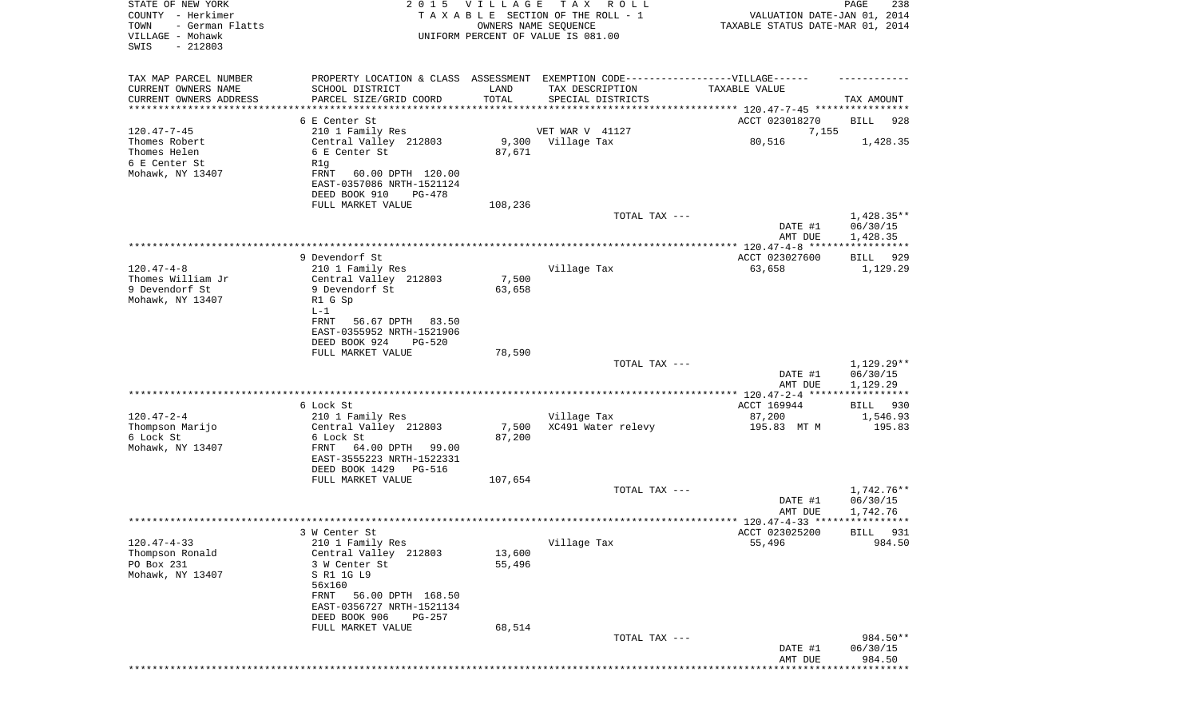| STATE OF NEW YORK<br>COUNTY - Herkimer<br>TOWN<br>- German Flatts<br>VILLAGE - Mohawk<br>SWIS<br>$-212803$ |                                                                                                                                                                                              | 2015 VILLAGE     | T A X<br>R O L L<br>TAXABLE SECTION OF THE ROLL - 1<br>OWNERS NAME SEQUENCE<br>UNIFORM PERCENT OF VALUE IS 081.00        | VALUATION DATE-JAN 01, 2014<br>TAXABLE STATUS DATE-MAR 01, 2014 | PAGE<br>238                          |
|------------------------------------------------------------------------------------------------------------|----------------------------------------------------------------------------------------------------------------------------------------------------------------------------------------------|------------------|--------------------------------------------------------------------------------------------------------------------------|-----------------------------------------------------------------|--------------------------------------|
| TAX MAP PARCEL NUMBER<br>CURRENT OWNERS NAME<br>CURRENT OWNERS ADDRESS                                     | SCHOOL DISTRICT<br>PARCEL SIZE/GRID COORD                                                                                                                                                    | LAND<br>TOTAL    | PROPERTY LOCATION & CLASS ASSESSMENT EXEMPTION CODE----------------VILLAGE------<br>TAX DESCRIPTION<br>SPECIAL DISTRICTS | TAXABLE VALUE                                                   | TAX AMOUNT                           |
| *********************                                                                                      | *******************                                                                                                                                                                          |                  |                                                                                                                          |                                                                 |                                      |
|                                                                                                            | 6 E Center St                                                                                                                                                                                |                  |                                                                                                                          | ACCT 023018270                                                  | BILL<br>928                          |
| $120.47 - 7 - 45$<br>Thomes Robert<br>Thomes Helen<br>6 E Center St<br>Mohawk, NY 13407                    | 210 1 Family Res<br>Central Valley 212803<br>6 E Center St<br>R1q<br>FRNT<br>60.00 DPTH 120.00<br>EAST-0357086 NRTH-1521124                                                                  | 87,671           | VET WAR V 41127<br>9,300 Village Tax                                                                                     | 7,155<br>80,516                                                 | 1,428.35                             |
|                                                                                                            | DEED BOOK 910<br>PG-478                                                                                                                                                                      |                  |                                                                                                                          |                                                                 |                                      |
|                                                                                                            | FULL MARKET VALUE                                                                                                                                                                            | 108,236          | TOTAL TAX ---                                                                                                            | DATE #1<br>AMT DUE                                              | $1,428.35**$<br>06/30/15<br>1,428.35 |
|                                                                                                            |                                                                                                                                                                                              |                  |                                                                                                                          |                                                                 |                                      |
| $120.47 - 4 - 8$<br>Thomes William Jr<br>9 Devendorf St                                                    | 9 Devendorf St<br>210 1 Family Res<br>Central Valley 212803<br>9 Devendorf St                                                                                                                | 7,500<br>63,658  | Village Tax                                                                                                              | ACCT 023027600<br>63,658                                        | BILL<br>929<br>1,129.29              |
| Mohawk, NY 13407                                                                                           | R1 G Sp<br>$L-1$<br>FRNT<br>56.67 DPTH 83.50<br>EAST-0355952 NRTH-1521906<br>DEED BOOK 924<br>PG-520<br>FULL MARKET VALUE                                                                    | 78,590           |                                                                                                                          |                                                                 |                                      |
|                                                                                                            |                                                                                                                                                                                              |                  | TOTAL TAX ---                                                                                                            |                                                                 | 1,129.29**                           |
|                                                                                                            |                                                                                                                                                                                              |                  |                                                                                                                          | DATE #1<br>AMT DUE                                              | 06/30/15<br>1,129.29<br>************ |
|                                                                                                            | 6 Lock St                                                                                                                                                                                    |                  |                                                                                                                          | ACCT 169944                                                     | BILL<br>930                          |
| $120.47 - 2 - 4$                                                                                           | 210 1 Family Res                                                                                                                                                                             |                  | Village Tax                                                                                                              | 87,200                                                          | 1,546.93                             |
| Thompson Marijo<br>6 Lock St<br>Mohawk, NY 13407                                                           | Central Valley 212803<br>6 Lock St<br>FRNT<br>64.00 DPTH 99.00<br>EAST-3555223 NRTH-1522331<br>DEED BOOK 1429<br>PG-516                                                                      | 7,500<br>87,200  | XC491 Water relevy                                                                                                       | 195.83 MT M                                                     | 195.83                               |
|                                                                                                            | FULL MARKET VALUE                                                                                                                                                                            | 107,654          |                                                                                                                          |                                                                 |                                      |
|                                                                                                            |                                                                                                                                                                                              |                  | TOTAL TAX ---                                                                                                            | DATE #1<br>AMT DUE                                              | $1.742.76**$<br>06/30/15<br>1,742.76 |
|                                                                                                            |                                                                                                                                                                                              |                  |                                                                                                                          |                                                                 |                                      |
|                                                                                                            | 3 W Center St                                                                                                                                                                                |                  |                                                                                                                          | ACCT 023025200                                                  | BILL 931                             |
| $120.47 - 4 - 33$<br>Thompson Ronald<br>PO Box 231<br>Mohawk, NY 13407                                     | 210 1 Family Res<br>Central Valley 212803<br>3 W Center St<br>S R1 1G L9<br>56x160<br>56.00 DPTH 168.50<br>FRNT<br>EAST-0356727 NRTH-1521134<br>DEED BOOK 906<br>PG-257<br>FULL MARKET VALUE | 13,600<br>55,496 | Village Tax                                                                                                              | 55,496                                                          | 984.50                               |
|                                                                                                            |                                                                                                                                                                                              | 68,514           | TOTAL TAX ---                                                                                                            | DATE #1<br>AMT DUE                                              | 984.50**<br>06/30/15<br>984.50       |
|                                                                                                            |                                                                                                                                                                                              |                  |                                                                                                                          |                                                                 |                                      |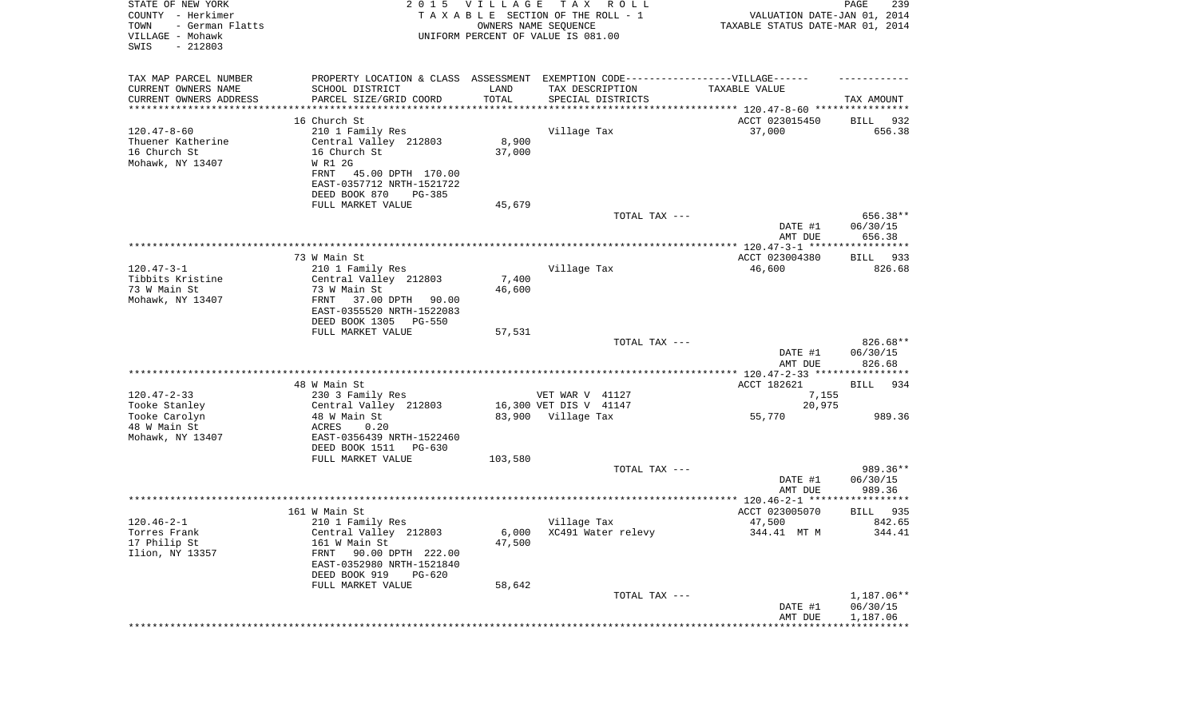| STATE OF NEW YORK<br>COUNTY - Herkimer<br>TOWN<br>- German Flatts<br>VILLAGE - Mohawk<br>SWIS<br>$-212803$ | 2 0 1 5                                                     | <b>VILLAGE</b><br>OWNERS NAME SEQUENCE | T A X<br>R O L L<br>TAXABLE SECTION OF THE ROLL - 1<br>UNIFORM PERCENT OF VALUE IS 081.00 | VALUATION DATE-JAN 01, 2014<br>TAXABLE STATUS DATE-MAR 01, 2014 | 239<br>PAGE          |
|------------------------------------------------------------------------------------------------------------|-------------------------------------------------------------|----------------------------------------|-------------------------------------------------------------------------------------------|-----------------------------------------------------------------|----------------------|
| TAX MAP PARCEL NUMBER                                                                                      |                                                             |                                        | PROPERTY LOCATION & CLASS ASSESSMENT EXEMPTION CODE-----------------VILLAGE------         |                                                                 |                      |
| CURRENT OWNERS NAME                                                                                        | SCHOOL DISTRICT                                             | LAND                                   | TAX DESCRIPTION                                                                           | TAXABLE VALUE                                                   |                      |
| CURRENT OWNERS ADDRESS<br>*********************                                                            | PARCEL SIZE/GRID COORD<br>* * * * * * * * * * * * * * * * * | TOTAL                                  | SPECIAL DISTRICTS                                                                         |                                                                 | TAX AMOUNT           |
|                                                                                                            | 16 Church St                                                |                                        |                                                                                           | ACCT 023015450                                                  | BILL<br>932          |
| $120.47 - 8 - 60$                                                                                          | 210 1 Family Res                                            |                                        | Village Tax                                                                               | 37,000                                                          | 656.38               |
| Thuener Katherine                                                                                          | Central Valley 212803                                       | 8,900                                  |                                                                                           |                                                                 |                      |
| 16 Church St                                                                                               | 16 Church St                                                | 37,000                                 |                                                                                           |                                                                 |                      |
| Mohawk, NY 13407                                                                                           | W R1 2G                                                     |                                        |                                                                                           |                                                                 |                      |
|                                                                                                            | FRNT<br>45.00 DPTH 170.00<br>EAST-0357712 NRTH-1521722      |                                        |                                                                                           |                                                                 |                      |
|                                                                                                            | DEED BOOK 870<br><b>PG-385</b>                              |                                        |                                                                                           |                                                                 |                      |
|                                                                                                            | FULL MARKET VALUE                                           | 45,679                                 |                                                                                           |                                                                 |                      |
|                                                                                                            |                                                             |                                        | TOTAL TAX ---                                                                             |                                                                 | 656.38**             |
|                                                                                                            |                                                             |                                        |                                                                                           | DATE #1<br>AMT DUE                                              | 06/30/15<br>656.38   |
|                                                                                                            |                                                             |                                        |                                                                                           |                                                                 |                      |
| $120.47 - 3 - 1$                                                                                           | 73 W Main St<br>210 1 Family Res                            |                                        | Village Tax                                                                               | ACCT 023004380<br>46,600                                        | BILL 933<br>826.68   |
| Tibbits Kristine                                                                                           | Central Valley 212803                                       | 7,400                                  |                                                                                           |                                                                 |                      |
| 73 W Main St                                                                                               | 73 W Main St                                                | 46,600                                 |                                                                                           |                                                                 |                      |
| Mohawk, NY 13407                                                                                           | FRNT<br>37.00 DPTH<br>90.00<br>EAST-0355520 NRTH-1522083    |                                        |                                                                                           |                                                                 |                      |
|                                                                                                            | DEED BOOK 1305<br><b>PG-550</b>                             |                                        |                                                                                           |                                                                 |                      |
|                                                                                                            | FULL MARKET VALUE                                           | 57,531                                 | TOTAL TAX ---                                                                             |                                                                 | 826.68**             |
|                                                                                                            |                                                             |                                        |                                                                                           | DATE #1<br>AMT DUE                                              | 06/30/15<br>826.68   |
|                                                                                                            |                                                             |                                        |                                                                                           |                                                                 |                      |
|                                                                                                            | 48 W Main St                                                |                                        |                                                                                           | ACCT 182621                                                     | <b>BILL</b><br>934   |
| $120.47 - 2 - 33$<br>Tooke Stanley                                                                         | 230 3 Family Res<br>Central Valley 212803                   |                                        | VET WAR V 41127<br>16,300 VET DIS V 41147                                                 | 7,155<br>20,975                                                 |                      |
| Tooke Carolyn                                                                                              | 48 W Main St                                                |                                        | 83,900 Village Tax                                                                        | 55,770                                                          | 989.36               |
| 48 W Main St                                                                                               | ACRES<br>0.20                                               |                                        |                                                                                           |                                                                 |                      |
| Mohawk, NY 13407                                                                                           | EAST-0356439 NRTH-1522460                                   |                                        |                                                                                           |                                                                 |                      |
|                                                                                                            | DEED BOOK 1511<br>PG-630                                    |                                        |                                                                                           |                                                                 |                      |
|                                                                                                            | FULL MARKET VALUE                                           | 103,580                                |                                                                                           |                                                                 |                      |
|                                                                                                            |                                                             |                                        | TOTAL TAX ---                                                                             | DATE #1                                                         | 989.36**<br>06/30/15 |
|                                                                                                            |                                                             |                                        |                                                                                           | AMT DUE                                                         | 989.36               |
|                                                                                                            |                                                             |                                        |                                                                                           |                                                                 |                      |
|                                                                                                            | 161 W Main St                                               |                                        |                                                                                           | ACCT 023005070                                                  | 935<br>BILL          |
| $120.46 - 2 - 1$                                                                                           | 210 1 Family Res                                            |                                        | Village Tax                                                                               | 47,500                                                          | 842.65               |
| Torres Frank                                                                                               | Central Valley 212803<br>161 W Main St                      | 47,500                                 | 6,000 XC491 Water relevy                                                                  | 344.41 MT M                                                     | 344.41               |
| 17 Philip St<br>Ilion, NY 13357                                                                            | 90.00 DPTH 222.00<br>FRNT                                   |                                        |                                                                                           |                                                                 |                      |
|                                                                                                            | EAST-0352980 NRTH-1521840                                   |                                        |                                                                                           |                                                                 |                      |
|                                                                                                            | DEED BOOK 919<br>$PG-620$                                   |                                        |                                                                                           |                                                                 |                      |
|                                                                                                            | FULL MARKET VALUE                                           | 58,642                                 |                                                                                           |                                                                 |                      |
|                                                                                                            |                                                             |                                        | TOTAL TAX ---                                                                             |                                                                 | $1,187.06**$         |
|                                                                                                            |                                                             |                                        |                                                                                           | DATE #1<br>AMT DUE                                              | 06/30/15<br>1,187.06 |
|                                                                                                            |                                                             |                                        | *****************************                                                             | **********************                                          |                      |
|                                                                                                            |                                                             |                                        |                                                                                           |                                                                 |                      |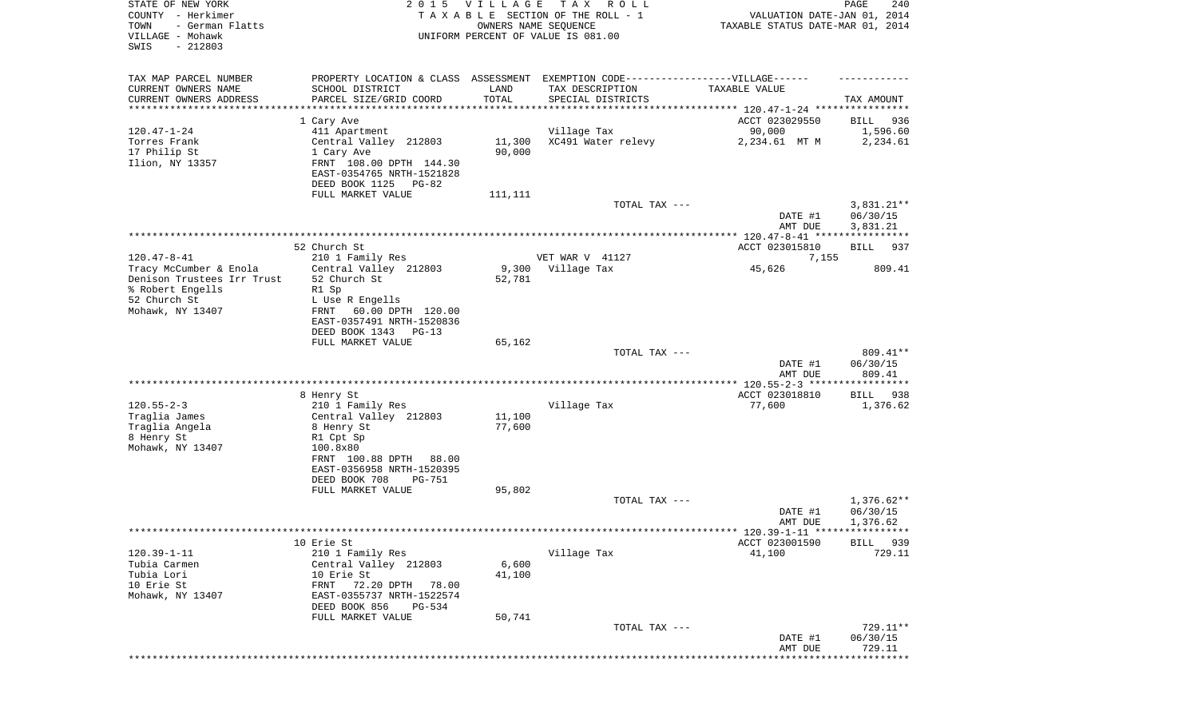| STATE OF NEW YORK<br>COUNTY - Herkimer<br>TOWN<br>- German Flatts<br>VILLAGE - Mohawk<br>$-212803$<br>SWIS |                                                                                                                               | 2015 VILLAGE<br>OWNERS NAME SEQUENCE | T A X<br>R O L L<br>TAXABLE SECTION OF THE ROLL - 1<br>UNIFORM PERCENT OF VALUE IS 081.00 | VALUATION DATE-JAN 01, 2014<br>TAXABLE STATUS DATE-MAR 01, 2014 | PAGE<br>240                          |
|------------------------------------------------------------------------------------------------------------|-------------------------------------------------------------------------------------------------------------------------------|--------------------------------------|-------------------------------------------------------------------------------------------|-----------------------------------------------------------------|--------------------------------------|
| TAX MAP PARCEL NUMBER<br>CURRENT OWNERS NAME<br>CURRENT OWNERS ADDRESS                                     | PROPERTY LOCATION & CLASS ASSESSMENT EXEMPTION CODE----------------VILLAGE------<br>SCHOOL DISTRICT<br>PARCEL SIZE/GRID COORD | LAND<br>TOTAL                        | TAX DESCRIPTION<br>SPECIAL DISTRICTS                                                      | TAXABLE VALUE                                                   | TAX AMOUNT                           |
| *********************                                                                                      | ********************                                                                                                          | ****************                     |                                                                                           |                                                                 |                                      |
|                                                                                                            | 1 Cary Ave                                                                                                                    |                                      |                                                                                           | ACCT 023029550                                                  | BILL<br>936                          |
| $120.47 - 1 - 24$                                                                                          | 411 Apartment                                                                                                                 |                                      | Village Tax                                                                               | 90,000                                                          | 1,596.60                             |
| Torres Frank<br>17 Philip St                                                                               | Central Valley 212803                                                                                                         | 11,300                               | XC491 Water relevy                                                                        | 2,234.61 MT M                                                   | 2,234.61                             |
| Ilion, NY 13357                                                                                            | 1 Cary Ave<br>FRNT 108.00 DPTH 144.30                                                                                         | 90,000                               |                                                                                           |                                                                 |                                      |
|                                                                                                            | EAST-0354765 NRTH-1521828                                                                                                     |                                      |                                                                                           |                                                                 |                                      |
|                                                                                                            | DEED BOOK 1125 PG-82                                                                                                          |                                      |                                                                                           |                                                                 |                                      |
|                                                                                                            | FULL MARKET VALUE                                                                                                             | 111,111                              |                                                                                           |                                                                 |                                      |
|                                                                                                            |                                                                                                                               |                                      | TOTAL TAX ---                                                                             | DATE #1<br>AMT DUE                                              | $3,831.21**$<br>06/30/15<br>3,831.21 |
|                                                                                                            |                                                                                                                               |                                      |                                                                                           |                                                                 |                                      |
| $120.47 - 8 - 41$                                                                                          | 52 Church St.<br>210 1 Family Res                                                                                             |                                      | VET WAR V 41127                                                                           | ACCT 023015810<br>7,155                                         | BILL<br>937                          |
| Tracy McCumber & Enola                                                                                     | Central Valley 212803                                                                                                         | 9,300                                | Village Tax                                                                               | 45,626                                                          | 809.41                               |
| Denison Trustees Irr Trust                                                                                 | 52 Church St                                                                                                                  | 52,781                               |                                                                                           |                                                                 |                                      |
| % Robert Engells                                                                                           | R1 Sp                                                                                                                         |                                      |                                                                                           |                                                                 |                                      |
| 52 Church St<br>Mohawk, NY 13407                                                                           | L Use R Engells<br>60.00 DPTH 120.00<br>FRNT                                                                                  |                                      |                                                                                           |                                                                 |                                      |
|                                                                                                            | EAST-0357491 NRTH-1520836                                                                                                     |                                      |                                                                                           |                                                                 |                                      |
|                                                                                                            | DEED BOOK 1343 PG-13                                                                                                          |                                      |                                                                                           |                                                                 |                                      |
|                                                                                                            | FULL MARKET VALUE                                                                                                             | 65,162                               |                                                                                           |                                                                 |                                      |
|                                                                                                            |                                                                                                                               |                                      | TOTAL TAX ---                                                                             | DATE #1                                                         | 809.41**<br>06/30/15                 |
|                                                                                                            |                                                                                                                               |                                      |                                                                                           | AMT DUE                                                         | 809.41                               |
|                                                                                                            |                                                                                                                               |                                      |                                                                                           |                                                                 |                                      |
| $120.55 - 2 - 3$                                                                                           | 8 Henry St                                                                                                                    |                                      |                                                                                           | ACCT 023018810                                                  | BILL 938                             |
| Traglia James                                                                                              | 210 1 Family Res<br>Central Valley 212803                                                                                     | 11,100                               | Village Tax                                                                               | 77,600                                                          | 1,376.62                             |
| Traglia Angela                                                                                             | 8 Henry St                                                                                                                    | 77,600                               |                                                                                           |                                                                 |                                      |
| 8 Henry St                                                                                                 | R1 Cpt Sp                                                                                                                     |                                      |                                                                                           |                                                                 |                                      |
| Mohawk, NY 13407                                                                                           | 100.8x80                                                                                                                      |                                      |                                                                                           |                                                                 |                                      |
|                                                                                                            | FRNT 100.88 DPTH<br>88.00<br>EAST-0356958 NRTH-1520395                                                                        |                                      |                                                                                           |                                                                 |                                      |
|                                                                                                            | DEED BOOK 708<br>PG-751                                                                                                       |                                      |                                                                                           |                                                                 |                                      |
|                                                                                                            | FULL MARKET VALUE                                                                                                             | 95,802                               |                                                                                           |                                                                 |                                      |
|                                                                                                            |                                                                                                                               |                                      | TOTAL TAX ---                                                                             | DATE #1                                                         | 1,376.62**<br>06/30/15               |
|                                                                                                            |                                                                                                                               |                                      |                                                                                           | AMT DUE                                                         | 1,376.62                             |
|                                                                                                            |                                                                                                                               |                                      |                                                                                           | ******* 120.39-1-11 *****************                           |                                      |
|                                                                                                            | 10 Erie St                                                                                                                    |                                      |                                                                                           | ACCT 023001590                                                  | BILL 939                             |
| $120.39 - 1 - 11$<br>Tubia Carmen                                                                          | 210 1 Family Res<br>Central Valley 212803                                                                                     | 6,600                                | Village Tax                                                                               | 41,100                                                          | 729.11                               |
| Tubia Lori                                                                                                 | 10 Erie St                                                                                                                    | 41,100                               |                                                                                           |                                                                 |                                      |
| 10 Erie St                                                                                                 | 72.20 DPTH<br>FRNT<br>78.00                                                                                                   |                                      |                                                                                           |                                                                 |                                      |
| Mohawk, NY 13407                                                                                           | EAST-0355737 NRTH-1522574                                                                                                     |                                      |                                                                                           |                                                                 |                                      |
|                                                                                                            | DEED BOOK 856<br>PG-534<br>FULL MARKET VALUE                                                                                  | 50,741                               |                                                                                           |                                                                 |                                      |
|                                                                                                            |                                                                                                                               |                                      | TOTAL TAX ---                                                                             |                                                                 | 729.11**                             |
|                                                                                                            |                                                                                                                               |                                      |                                                                                           | DATE #1                                                         | 06/30/15                             |
|                                                                                                            |                                                                                                                               |                                      |                                                                                           | AMT DUE                                                         | 729.11<br>* * * * * * * * *          |
|                                                                                                            |                                                                                                                               |                                      |                                                                                           |                                                                 |                                      |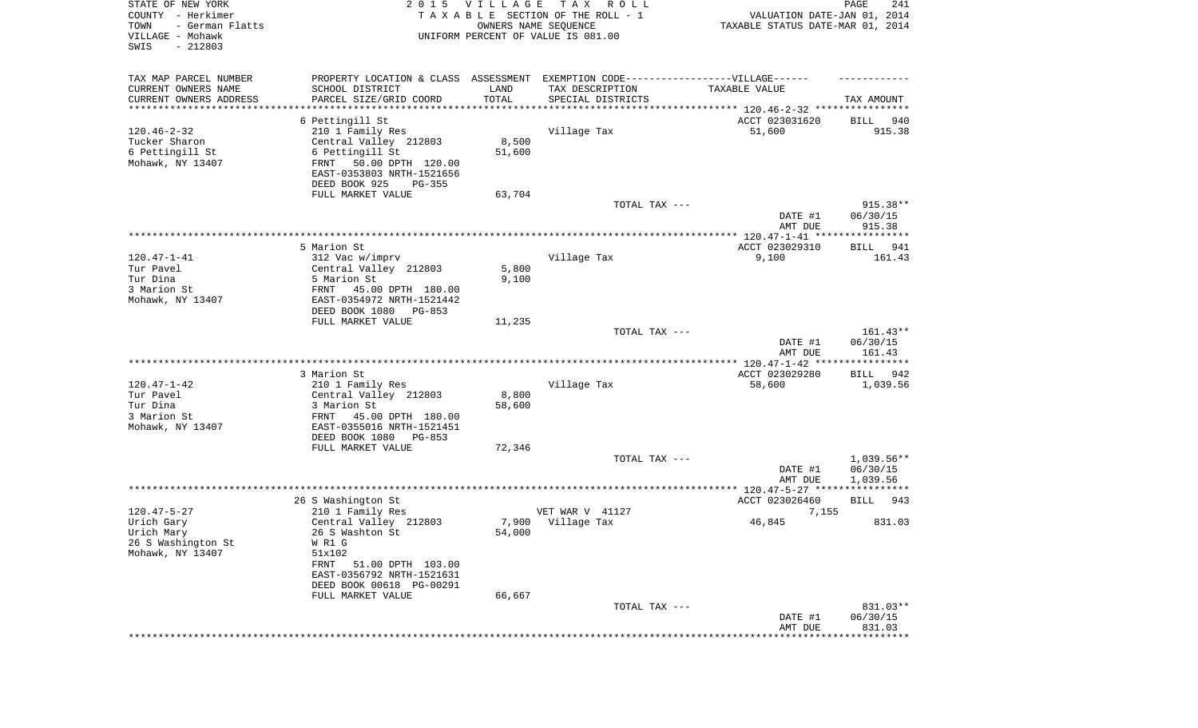| STATE OF NEW YORK<br>COUNTY - Herkimer<br>TOWN<br>- German Flatts<br>VILLAGE - Mohawk<br>SWIS<br>$-212803$ | 2 0 1 5                                                                           | VILLAGE<br>OWNERS NAME SEQUENCE | T A X<br>R O L L<br>TAXABLE SECTION OF THE ROLL - 1<br>UNIFORM PERCENT OF VALUE IS 081.00 | VALUATION DATE-JAN 01, 2014<br>TAXABLE STATUS DATE-MAR 01, 2014 | PAGE<br>241        |
|------------------------------------------------------------------------------------------------------------|-----------------------------------------------------------------------------------|---------------------------------|-------------------------------------------------------------------------------------------|-----------------------------------------------------------------|--------------------|
| TAX MAP PARCEL NUMBER                                                                                      | PROPERTY LOCATION & CLASS ASSESSMENT EXEMPTION CODE-----------------VILLAGE------ |                                 |                                                                                           |                                                                 |                    |
| CURRENT OWNERS NAME                                                                                        | SCHOOL DISTRICT                                                                   | LAND                            | TAX DESCRIPTION                                                                           | TAXABLE VALUE                                                   |                    |
| CURRENT OWNERS ADDRESS<br>********************                                                             | PARCEL SIZE/GRID COORD                                                            | TOTAL<br>* * * * * * * * * * *  | SPECIAL DISTRICTS                                                                         |                                                                 | TAX AMOUNT         |
|                                                                                                            | 6 Pettingill St                                                                   |                                 |                                                                                           | ACCT 023031620                                                  | <b>BILL</b><br>940 |
| $120.46 - 2 - 32$                                                                                          | 210 1 Family Res                                                                  |                                 | Village Tax                                                                               | 51,600                                                          | 915.38             |
| Tucker Sharon                                                                                              | Central Valley 212803                                                             | 8,500                           |                                                                                           |                                                                 |                    |
| 6 Pettingill St                                                                                            | 6 Pettingill St                                                                   | 51,600                          |                                                                                           |                                                                 |                    |
| Mohawk, NY 13407                                                                                           | FRNT<br>50.00 DPTH 120.00                                                         |                                 |                                                                                           |                                                                 |                    |
|                                                                                                            | EAST-0353803 NRTH-1521656<br>DEED BOOK 925<br>PG-355                              |                                 |                                                                                           |                                                                 |                    |
|                                                                                                            | FULL MARKET VALUE                                                                 | 63,704                          |                                                                                           |                                                                 |                    |
|                                                                                                            |                                                                                   |                                 | TOTAL TAX ---                                                                             |                                                                 | 915.38**           |
|                                                                                                            |                                                                                   |                                 |                                                                                           | DATE #1                                                         | 06/30/15           |
|                                                                                                            |                                                                                   |                                 |                                                                                           | AMT DUE                                                         | 915.38             |
|                                                                                                            | 5 Marion St                                                                       |                                 |                                                                                           | ACCT 023029310                                                  | 941<br>BILL        |
| $120.47 - 1 - 41$                                                                                          | 312 Vac w/imprv                                                                   |                                 | Village Tax                                                                               | 9,100                                                           | 161.43             |
| Tur Pavel                                                                                                  | Central Valley 212803                                                             | 5,800                           |                                                                                           |                                                                 |                    |
| Tur Dina                                                                                                   | 5 Marion St                                                                       | 9,100                           |                                                                                           |                                                                 |                    |
| 3 Marion St                                                                                                | 45.00 DPTH 180.00<br>FRNT                                                         |                                 |                                                                                           |                                                                 |                    |
| Mohawk, NY 13407                                                                                           | EAST-0354972 NRTH-1521442<br>DEED BOOK 1080<br>PG-853                             |                                 |                                                                                           |                                                                 |                    |
|                                                                                                            | FULL MARKET VALUE                                                                 | 11,235                          |                                                                                           |                                                                 |                    |
|                                                                                                            |                                                                                   |                                 | TOTAL TAX ---                                                                             |                                                                 | 161.43**           |
|                                                                                                            |                                                                                   |                                 |                                                                                           | DATE #1                                                         | 06/30/15           |
|                                                                                                            |                                                                                   |                                 |                                                                                           | AMT DUE                                                         | 161.43             |
|                                                                                                            | 3 Marion St                                                                       |                                 |                                                                                           | ACCT 023029280                                                  | BILL<br>942        |
| $120.47 - 1 - 42$                                                                                          | 210 1 Family Res                                                                  |                                 | Village Tax                                                                               | 58,600                                                          | 1,039.56           |
| Tur Pavel                                                                                                  | Central Valley 212803                                                             | 8,800                           |                                                                                           |                                                                 |                    |
| Tur Dina                                                                                                   | 3 Marion St                                                                       | 58,600                          |                                                                                           |                                                                 |                    |
| 3 Marion St                                                                                                | FRNT<br>45.00 DPTH 180.00                                                         |                                 |                                                                                           |                                                                 |                    |
| Mohawk, NY 13407                                                                                           | EAST-0355016 NRTH-1521451<br>DEED BOOK 1080<br>PG-853                             |                                 |                                                                                           |                                                                 |                    |
|                                                                                                            | FULL MARKET VALUE                                                                 | 72,346                          |                                                                                           |                                                                 |                    |
|                                                                                                            |                                                                                   |                                 | TOTAL TAX ---                                                                             |                                                                 | $1,039.56**$       |
|                                                                                                            |                                                                                   |                                 |                                                                                           | DATE #1                                                         | 06/30/15           |
|                                                                                                            |                                                                                   |                                 |                                                                                           | AMT DUE                                                         | 1,039.56           |
|                                                                                                            | 26 S Washington St                                                                |                                 |                                                                                           | ACCT 023026460                                                  | 943<br>BILL        |
| $120.47 - 5 - 27$                                                                                          | 210 1 Family Res                                                                  |                                 | VET WAR V 41127                                                                           | 7,155                                                           |                    |
| Urich Gary                                                                                                 | Central Valley 212803                                                             | 7,900                           | Village Tax                                                                               | 46,845                                                          | 831.03             |
| Urich Mary                                                                                                 | 26 S Washton St                                                                   | 54,000                          |                                                                                           |                                                                 |                    |
| 26 S Washington St                                                                                         | W R1 G                                                                            |                                 |                                                                                           |                                                                 |                    |
| Mohawk, NY 13407                                                                                           | 51x102<br>FRNT<br>51.00 DPTH 103.00                                               |                                 |                                                                                           |                                                                 |                    |
|                                                                                                            | EAST-0356792 NRTH-1521631                                                         |                                 |                                                                                           |                                                                 |                    |
|                                                                                                            | DEED BOOK 00618 PG-00291                                                          |                                 |                                                                                           |                                                                 |                    |
|                                                                                                            | FULL MARKET VALUE                                                                 | 66,667                          |                                                                                           |                                                                 |                    |
|                                                                                                            |                                                                                   |                                 | TOTAL TAX ---                                                                             |                                                                 | 831.03**           |
|                                                                                                            |                                                                                   |                                 |                                                                                           | DATE #1                                                         | 06/30/15           |
|                                                                                                            |                                                                                   |                                 |                                                                                           | AMT DUE                                                         | 831.03             |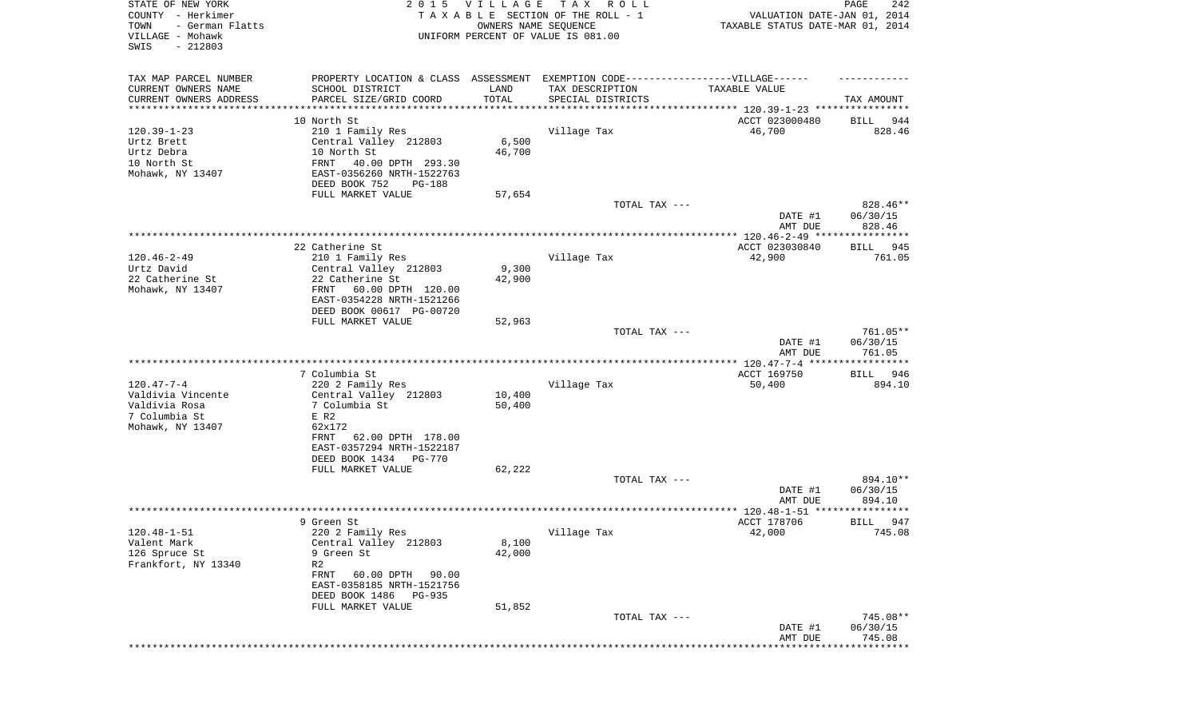| STATE OF NEW YORK<br>COUNTY - Herkimer<br>- German Flatts<br>TOWN<br>VILLAGE - Mohawk<br>SWIS<br>$-212803$ |                                                                                                                                                                                    | 2015 VILLAGE<br>OWNERS NAME SEQUENCE   | TAX ROLL<br>TAXABLE SECTION OF THE ROLL - 1<br>UNIFORM PERCENT OF VALUE IS 081.00                            | VALUATION DATE-JAN 01, 2014<br>TAXABLE STATUS DATE-MAR 01, 2014 | PAGE<br>242                                  |
|------------------------------------------------------------------------------------------------------------|------------------------------------------------------------------------------------------------------------------------------------------------------------------------------------|----------------------------------------|--------------------------------------------------------------------------------------------------------------|-----------------------------------------------------------------|----------------------------------------------|
| TAX MAP PARCEL NUMBER<br>CURRENT OWNERS NAME<br>CURRENT OWNERS ADDRESS<br>********************             | PROPERTY LOCATION & CLASS ASSESSMENT EXEMPTION CODE----------------VILLAGE------<br>SCHOOL DISTRICT<br>PARCEL SIZE/GRID COORD<br>* * * * * * * * * * * * * * * *                   | LAND<br>TOTAL<br>* * * * * * * * * * * | TAX DESCRIPTION<br>SPECIAL DISTRICTS<br>************************************** 120.39-1-23 ***************** | TAXABLE VALUE                                                   | TAX AMOUNT                                   |
| $120.39 - 1 - 23$<br>Urtz Brett<br>Urtz Debra<br>10 North St<br>Mohawk, NY 13407                           | 10 North St<br>210 1 Family Res<br>Central Valley 212803<br>10 North St<br>FRNT<br>40.00 DPTH 293.30<br>EAST-0356260 NRTH-1522763<br>DEED BOOK 752<br>PG-188                       | 6,500<br>46,700                        | Village Tax                                                                                                  | ACCT 023000480<br>46,700                                        | 944<br>BILL<br>828.46                        |
|                                                                                                            | FULL MARKET VALUE                                                                                                                                                                  | 57,654                                 | TOTAL TAX ---                                                                                                | DATE #1<br>AMT DUE                                              | 828.46**<br>06/30/15<br>828.46               |
| $120.46 - 2 - 49$<br>Urtz David<br>22 Catherine St<br>Mohawk, NY 13407                                     | 22 Catherine St<br>210 1 Family Res<br>Central Valley 212803<br>22 Catherine St<br>60.00 DPTH 120.00<br>FRNT<br>EAST-0354228 NRTH-1521266<br>DEED BOOK 00617 PG-00720              | 9,300<br>42,900                        | Village Tax                                                                                                  | ACCT 023030840<br>42,900                                        | BILL<br>945<br>761.05                        |
|                                                                                                            | FULL MARKET VALUE                                                                                                                                                                  | 52,963                                 | TOTAL TAX ---                                                                                                | DATE #1<br>AMT DUE                                              | 761.05**<br>06/30/15<br>761.05               |
| $120.47 - 7 - 4$<br>Valdivia Vincente<br>Valdivia Rosa<br>7 Columbia St<br>Mohawk, NY 13407                | 7 Columbia St<br>220 2 Family Res<br>Central Valley 212803<br>7 Columbia St<br>E R2<br>62x172<br>FRNT<br>62.00 DPTH 178.00<br>EAST-0357294 NRTH-1522187<br>DEED BOOK 1434 PG-770   | 10,400<br>50,400                       | Village Tax                                                                                                  | ACCT 169750<br>50,400                                           | BILL 946<br>894.10                           |
|                                                                                                            | FULL MARKET VALUE                                                                                                                                                                  | 62,222                                 | TOTAL TAX ---                                                                                                | DATE #1<br>AMT DUE                                              | 894.10**<br>06/30/15<br>894.10               |
|                                                                                                            |                                                                                                                                                                                    |                                        |                                                                                                              |                                                                 | ******                                       |
| $120.48 - 1 - 51$<br>Valent Mark<br>126 Spruce St<br>Frankfort, NY 13340                                   | 9 Green St<br>220 2 Family Res<br>Central Valley 212803<br>9 Green St<br>R2<br>FRNT<br>60.00 DPTH 90.00<br>EAST-0358185 NRTH-1521756<br>DEED BOOK 1486 PG-935<br>FULL MARKET VALUE | 8,100<br>42,000<br>51,852              | Village Tax                                                                                                  | ACCT 178706<br>42,000                                           | 947<br>BILL<br>745.08                        |
|                                                                                                            |                                                                                                                                                                                    |                                        | TOTAL TAX ---                                                                                                | DATE #1<br>AMT DUE<br>**********************                    | 745.08**<br>06/30/15<br>745.08<br>********** |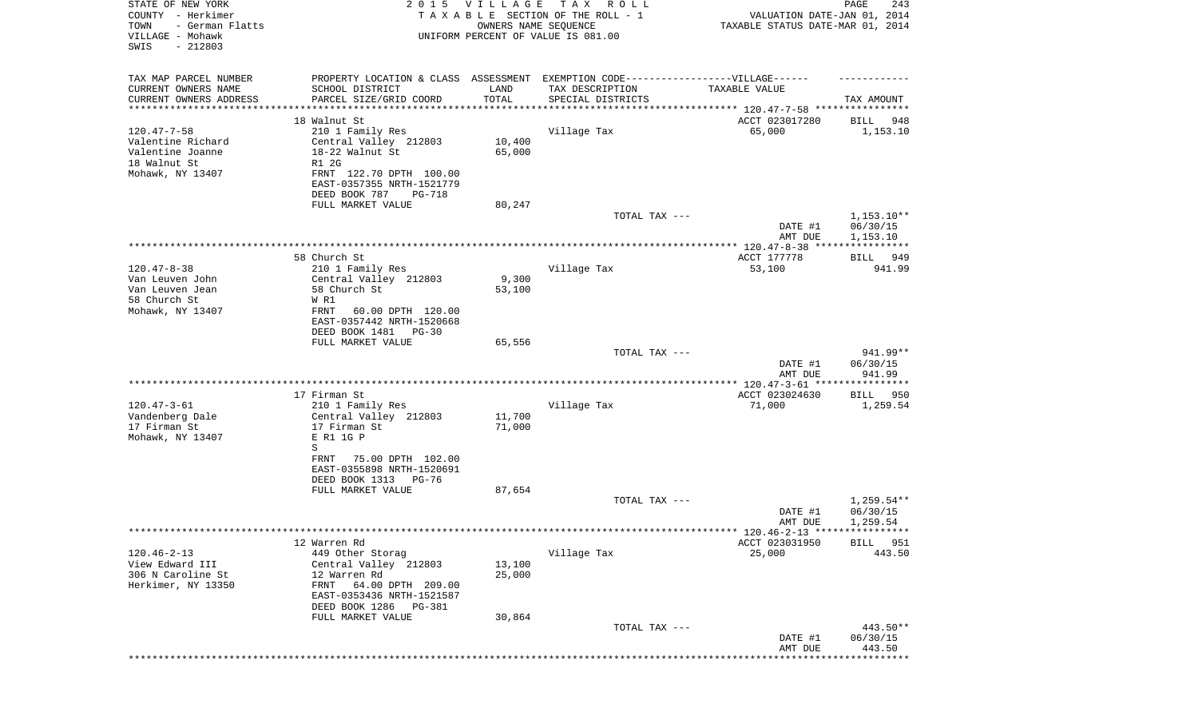| STATE OF NEW YORK<br>COUNTY - Herkimer<br>TOWN<br>- German Flatts<br>VILLAGE - Mohawk<br>SWIS<br>$-212803$ |                                                                                                                               | 2015 VILLAGE<br>OWNERS NAME SEQUENCE | TAX ROLL<br>TAXABLE SECTION OF THE ROLL - 1<br>UNIFORM PERCENT OF VALUE IS 081.00 | VALUATION DATE-JAN 01, 2014<br>TAXABLE STATUS DATE-MAR 01, 2014 | 243<br>PAGE                    |
|------------------------------------------------------------------------------------------------------------|-------------------------------------------------------------------------------------------------------------------------------|--------------------------------------|-----------------------------------------------------------------------------------|-----------------------------------------------------------------|--------------------------------|
| TAX MAP PARCEL NUMBER                                                                                      |                                                                                                                               |                                      | PROPERTY LOCATION & CLASS ASSESSMENT EXEMPTION CODE-----------------VILLAGE------ |                                                                 |                                |
| CURRENT OWNERS NAME<br>CURRENT OWNERS ADDRESS                                                              | SCHOOL DISTRICT<br>PARCEL SIZE/GRID COORD                                                                                     | LAND<br>TOTAL                        | TAX DESCRIPTION<br>SPECIAL DISTRICTS                                              | TAXABLE VALUE                                                   | TAX AMOUNT                     |
| ********************                                                                                       |                                                                                                                               |                                      |                                                                                   |                                                                 |                                |
|                                                                                                            | 18 Walnut St                                                                                                                  |                                      |                                                                                   | ACCT 023017280                                                  | BILL 948                       |
| $120.47 - 7 - 58$<br>Valentine Richard<br>Valentine Joanne<br>18 Walnut St<br>Mohawk, NY 13407             | 210 1 Family Res<br>Central Valley 212803<br>18-22 Walnut St<br>R1 2G<br>FRNT 122.70 DPTH 100.00<br>EAST-0357355 NRTH-1521779 | 10,400<br>65,000                     | Village Tax                                                                       | 65,000                                                          | 1,153.10                       |
|                                                                                                            | DEED BOOK 787<br>PG-718                                                                                                       |                                      |                                                                                   |                                                                 |                                |
|                                                                                                            | FULL MARKET VALUE                                                                                                             | 80,247                               | TOTAL TAX ---                                                                     | DATE #1                                                         | $1,153.10**$<br>06/30/15       |
|                                                                                                            |                                                                                                                               |                                      |                                                                                   | AMT DUE                                                         | 1,153.10                       |
|                                                                                                            | 58 Church St                                                                                                                  |                                      |                                                                                   | ACCT 177778                                                     | BILL 949                       |
| $120.47 - 8 - 38$<br>Van Leuven John                                                                       | 210 1 Family Res                                                                                                              |                                      | Village Tax                                                                       | 53,100                                                          | 941.99                         |
| Van Leuven Jean                                                                                            | Central Valley 212803<br>58 Church St                                                                                         | 9,300<br>53,100                      |                                                                                   |                                                                 |                                |
| 58 Church St                                                                                               | W R1                                                                                                                          |                                      |                                                                                   |                                                                 |                                |
| Mohawk, NY 13407                                                                                           | FRNT<br>60.00 DPTH 120.00                                                                                                     |                                      |                                                                                   |                                                                 |                                |
|                                                                                                            | EAST-0357442 NRTH-1520668<br>DEED BOOK 1481 PG-30                                                                             |                                      |                                                                                   |                                                                 |                                |
|                                                                                                            | FULL MARKET VALUE                                                                                                             | 65,556                               |                                                                                   |                                                                 |                                |
|                                                                                                            |                                                                                                                               |                                      | TOTAL TAX ---                                                                     | DATE #1<br>AMT DUE                                              | 941.99**<br>06/30/15<br>941.99 |
|                                                                                                            |                                                                                                                               |                                      |                                                                                   |                                                                 |                                |
|                                                                                                            | 17 Firman St                                                                                                                  |                                      |                                                                                   | ACCT 023024630                                                  | BILL<br>950                    |
| $120.47 - 3 - 61$<br>Vandenberg Dale                                                                       | 210 1 Family Res<br>Central Valley 212803                                                                                     | 11,700                               | Village Tax                                                                       | 71,000                                                          | 1,259.54                       |
| 17 Firman St                                                                                               | 17 Firman St                                                                                                                  | 71,000                               |                                                                                   |                                                                 |                                |
| Mohawk, NY 13407                                                                                           | E R1 1G P                                                                                                                     |                                      |                                                                                   |                                                                 |                                |
|                                                                                                            | S<br>75.00 DPTH 102.00<br>FRNT                                                                                                |                                      |                                                                                   |                                                                 |                                |
|                                                                                                            | EAST-0355898 NRTH-1520691                                                                                                     |                                      |                                                                                   |                                                                 |                                |
|                                                                                                            | DEED BOOK 1313<br>PG-76                                                                                                       |                                      |                                                                                   |                                                                 |                                |
|                                                                                                            | FULL MARKET VALUE                                                                                                             | 87,654                               | TOTAL TAX ---                                                                     |                                                                 | 1,259.54**                     |
|                                                                                                            |                                                                                                                               |                                      |                                                                                   | DATE #1                                                         | 06/30/15                       |
|                                                                                                            |                                                                                                                               |                                      |                                                                                   | AMT DUE<br>******* 120.46-2-13 *****************                | 1,259.54                       |
|                                                                                                            | 12 Warren Rd                                                                                                                  |                                      |                                                                                   | ACCT 023031950                                                  | 951<br>BILL                    |
| $120.46 - 2 - 13$                                                                                          | 449 Other Storag                                                                                                              |                                      | Village Tax                                                                       | 25,000                                                          | 443.50                         |
| View Edward III<br>306 N Caroline St                                                                       | Central Valley 212803<br>12 Warren Rd                                                                                         | 13,100<br>25,000                     |                                                                                   |                                                                 |                                |
| Herkimer, NY 13350                                                                                         | 64.00 DPTH 209.00<br>FRNT                                                                                                     |                                      |                                                                                   |                                                                 |                                |
|                                                                                                            | EAST-0353436 NRTH-1521587                                                                                                     |                                      |                                                                                   |                                                                 |                                |
|                                                                                                            | DEED BOOK 1286<br>PG-381<br>FULL MARKET VALUE                                                                                 | 30,864                               |                                                                                   |                                                                 |                                |
|                                                                                                            |                                                                                                                               |                                      | TOTAL TAX ---                                                                     |                                                                 | 443.50**                       |
|                                                                                                            |                                                                                                                               |                                      |                                                                                   | DATE #1<br>AMT DUE                                              | 06/30/15<br>443.50             |
|                                                                                                            |                                                                                                                               |                                      |                                                                                   |                                                                 | *********                      |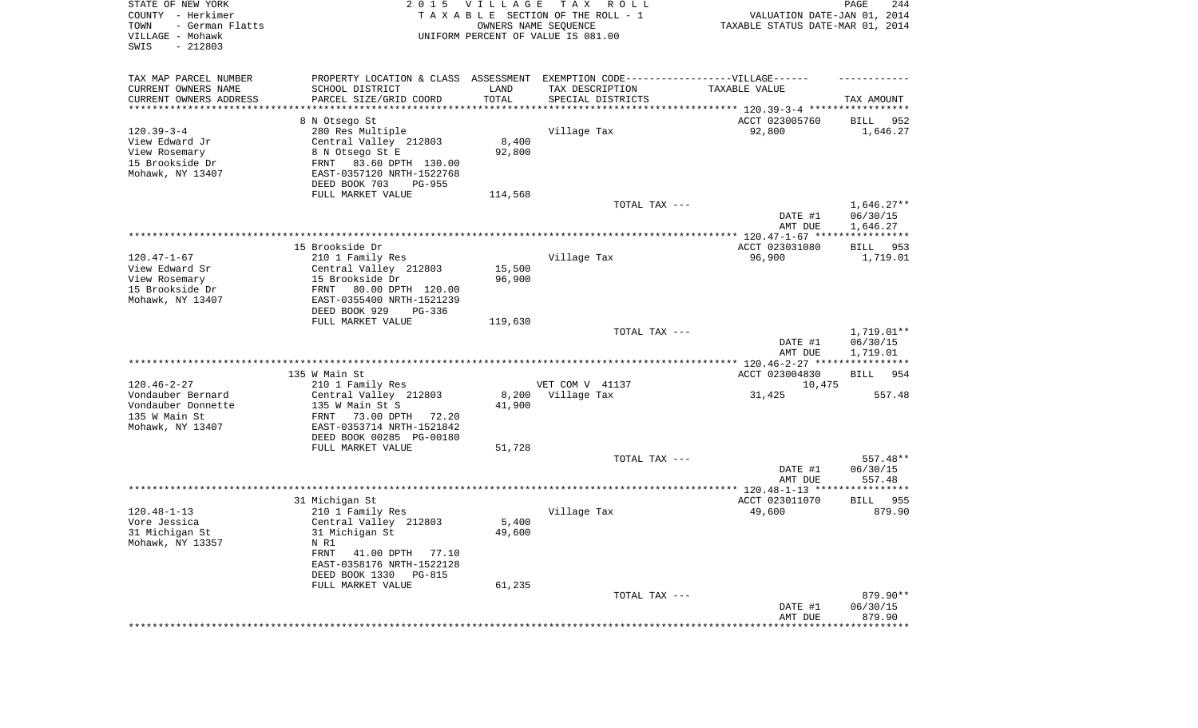| TAX MAP PARCEL NUMBER<br>PROPERTY LOCATION & CLASS ASSESSMENT EXEMPTION CODE-----------------VILLAGE------<br>CURRENT OWNERS NAME<br>SCHOOL DISTRICT<br>TAX DESCRIPTION<br>LAND<br>TAXABLE VALUE<br>TOTAL<br>CURRENT OWNERS ADDRESS<br>PARCEL SIZE/GRID COORD<br>SPECIAL DISTRICTS<br>TAX AMOUNT<br>*********************<br>ACCT 023005760<br>8 N Otsego St<br>952<br>BILL<br>$120.39 - 3 - 4$<br>280 Res Multiple<br>Village Tax<br>92,800<br>1,646.27<br>View Edward Jr<br>Central Valley 212803<br>8,400<br>View Rosemary<br>8 N Otsego St E<br>92,800<br>15 Brookside Dr<br>FRNT<br>83.60 DPTH 130.00<br>Mohawk, NY 13407<br>EAST-0357120 NRTH-1522768<br>DEED BOOK 703<br>PG-955<br>FULL MARKET VALUE<br>114,568<br>TOTAL TAX ---<br>$1,646.27**$<br>06/30/15<br>DATE #1<br>1,646.27<br>AMT DUE<br>ACCT 023031080<br>15 Brookside Dr<br>953<br>BILL<br>$120.47 - 1 - 67$<br>96,900<br>210 1 Family Res<br>Village Tax<br>1,719.01<br>15,500<br>View Edward Sr<br>Central Valley 212803<br>96,900<br>View Rosemary<br>15 Brookside Dr<br>15 Brookside Dr<br>FRNT<br>80.00 DPTH 120.00<br>EAST-0355400 NRTH-1521239<br>Mohawk, NY 13407<br>DEED BOOK 929<br>PG-336<br>FULL MARKET VALUE<br>119,630<br>TOTAL TAX ---<br>$1,719.01**$<br>DATE #1<br>06/30/15 | $120.46 - 2 - 27$<br>Vondauber Bernard<br>Vondauber Donnette<br>135 W Main St<br>Mohawk, NY 13407 | 135 W Main St<br>210 1 Family Res<br>Central Valley 212803<br>135 W Main St S<br>FRNT<br>73.00 DPTH<br>72.20<br>EAST-0353714 NRTH-1521842<br>DEED BOOK 00285 PG-00180<br>FULL MARKET VALUE | 8,200<br>41,900<br>51,728 | VET COM V 41137<br>Village Tax | ACCT 023004830<br>10,475<br>31,425 | <b>BILL</b><br>954<br>557.48 |
|----------------------------------------------------------------------------------------------------------------------------------------------------------------------------------------------------------------------------------------------------------------------------------------------------------------------------------------------------------------------------------------------------------------------------------------------------------------------------------------------------------------------------------------------------------------------------------------------------------------------------------------------------------------------------------------------------------------------------------------------------------------------------------------------------------------------------------------------------------------------------------------------------------------------------------------------------------------------------------------------------------------------------------------------------------------------------------------------------------------------------------------------------------------------------------------------------------------------------------------------------------------|---------------------------------------------------------------------------------------------------|--------------------------------------------------------------------------------------------------------------------------------------------------------------------------------------------|---------------------------|--------------------------------|------------------------------------|------------------------------|
|                                                                                                                                                                                                                                                                                                                                                                                                                                                                                                                                                                                                                                                                                                                                                                                                                                                                                                                                                                                                                                                                                                                                                                                                                                                                |                                                                                                   |                                                                                                                                                                                            |                           |                                | AMT DUE                            | 1,719.01                     |
|                                                                                                                                                                                                                                                                                                                                                                                                                                                                                                                                                                                                                                                                                                                                                                                                                                                                                                                                                                                                                                                                                                                                                                                                                                                                |                                                                                                   |                                                                                                                                                                                            |                           |                                |                                    |                              |
|                                                                                                                                                                                                                                                                                                                                                                                                                                                                                                                                                                                                                                                                                                                                                                                                                                                                                                                                                                                                                                                                                                                                                                                                                                                                |                                                                                                   |                                                                                                                                                                                            |                           |                                |                                    |                              |
|                                                                                                                                                                                                                                                                                                                                                                                                                                                                                                                                                                                                                                                                                                                                                                                                                                                                                                                                                                                                                                                                                                                                                                                                                                                                |                                                                                                   |                                                                                                                                                                                            |                           |                                |                                    |                              |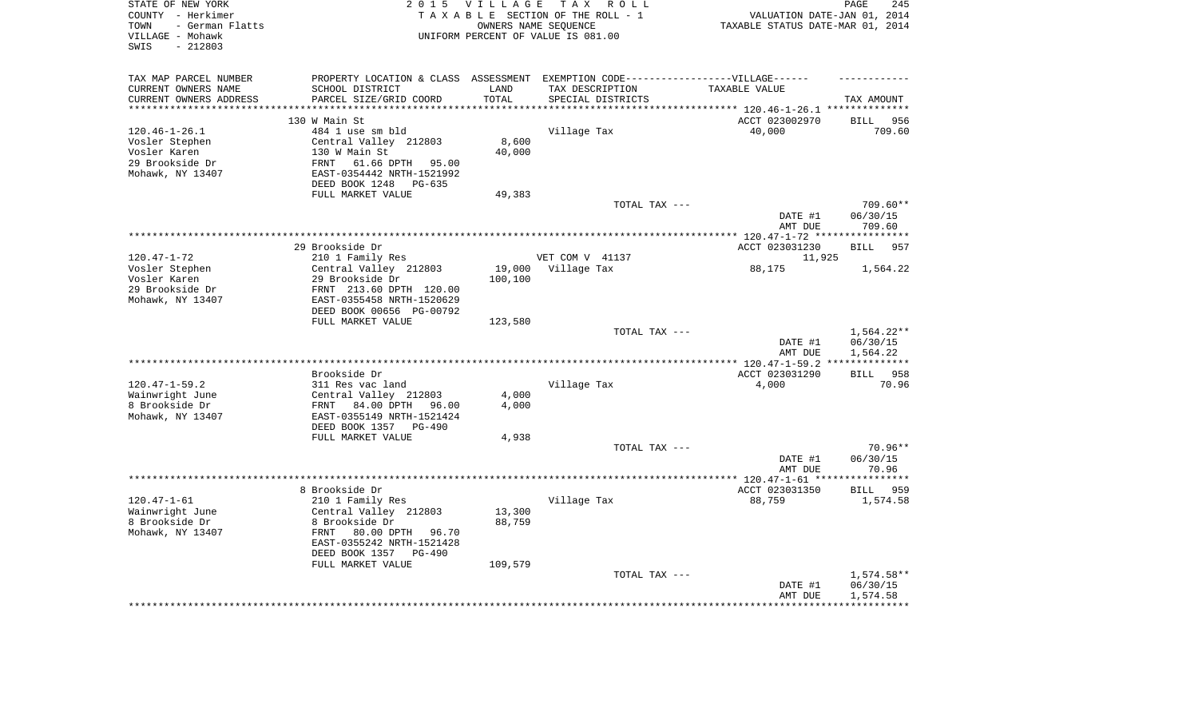| STATE OF NEW YORK<br>COUNTY - Herkimer      | 2 0 1 5                                               | <b>VILLAGE</b> | TAX ROLL<br>TAXABLE SECTION OF THE ROLL - 1                                      | VALUATION DATE-JAN 01, 2014             | PAGE<br>245        |
|---------------------------------------------|-------------------------------------------------------|----------------|----------------------------------------------------------------------------------|-----------------------------------------|--------------------|
| TOWN<br>- German Flatts<br>VILLAGE - Mohawk |                                                       |                | OWNERS NAME SEOUENCE<br>UNIFORM PERCENT OF VALUE IS 081.00                       | TAXABLE STATUS DATE-MAR 01, 2014        |                    |
| $-212803$<br>SWIS                           |                                                       |                |                                                                                  |                                         |                    |
| TAX MAP PARCEL NUMBER                       |                                                       |                | PROPERTY LOCATION & CLASS ASSESSMENT EXEMPTION CODE----------------VILLAGE------ |                                         |                    |
| CURRENT OWNERS NAME                         | SCHOOL DISTRICT                                       | LAND           | TAX DESCRIPTION                                                                  | TAXABLE VALUE                           |                    |
| CURRENT OWNERS ADDRESS                      | PARCEL SIZE/GRID COORD                                | TOTAL          | SPECIAL DISTRICTS                                                                | ********* 120.46-1-26.1 *************** | TAX AMOUNT         |
|                                             | 130 W Main St                                         |                |                                                                                  | ACCT 023002970                          | 956<br><b>BILL</b> |
| $120.46 - 1 - 26.1$                         | 484 1 use sm bld                                      |                | Village Tax                                                                      | 40,000                                  | 709.60             |
| Vosler Stephen                              | Central Valley 212803                                 | 8,600          |                                                                                  |                                         |                    |
| Vosler Karen                                | 130 W Main St                                         | 40,000         |                                                                                  |                                         |                    |
| 29 Brookside Dr                             | FRNT 61.66 DPTH 95.00                                 |                |                                                                                  |                                         |                    |
| Mohawk, NY 13407                            | EAST-0354442 NRTH-1521992                             |                |                                                                                  |                                         |                    |
|                                             | DEED BOOK 1248 PG-635                                 |                |                                                                                  |                                         |                    |
|                                             | FULL MARKET VALUE                                     | 49,383         |                                                                                  |                                         |                    |
|                                             |                                                       |                | TOTAL TAX ---                                                                    |                                         | $709.60**$         |
|                                             |                                                       |                |                                                                                  | DATE #1<br>AMT DUE                      | 06/30/15<br>709.60 |
|                                             |                                                       |                |                                                                                  | *********** 120.47-1-72 **              | ***********        |
|                                             | 29 Brookside Dr                                       |                |                                                                                  | ACCT 023031230                          | <b>BILL</b><br>957 |
| $120.47 - 1 - 72$                           | 210 1 Family Res                                      |                | VET COM V 41137                                                                  | 11,925                                  |                    |
| Vosler Stephen                              | Central Valley 212803                                 | 19,000         | Village Tax                                                                      | 88,175                                  | 1,564.22           |
| Vosler Karen                                | 29 Brookside Dr                                       | 100,100        |                                                                                  |                                         |                    |
| 29 Brookside Dr                             | FRNT 213.60 DPTH 120.00                               |                |                                                                                  |                                         |                    |
| Mohawk, NY 13407                            | EAST-0355458 NRTH-1520629                             |                |                                                                                  |                                         |                    |
|                                             | DEED BOOK 00656 PG-00792<br>FULL MARKET VALUE         | 123,580        |                                                                                  |                                         |                    |
|                                             |                                                       |                | TOTAL TAX ---                                                                    |                                         | 1,564.22**         |
|                                             |                                                       |                |                                                                                  | DATE #1                                 | 06/30/15           |
|                                             |                                                       |                |                                                                                  | AMT DUE                                 | 1,564.22           |
|                                             |                                                       |                |                                                                                  |                                         | ***********        |
|                                             | Brookside Dr                                          |                |                                                                                  | ACCT 023031290                          | BILL 958           |
| $120.47 - 1 - 59.2$                         | 311 Res vac land                                      |                | Village Tax                                                                      | 4,000                                   | 70.96              |
| Wainwright June                             | Central Valley 212803                                 | 4,000          |                                                                                  |                                         |                    |
| 8 Brookside Dr<br>Mohawk, NY 13407          | FRNT 84.00 DPTH 96.00                                 | 4,000          |                                                                                  |                                         |                    |
|                                             | EAST-0355149 NRTH-1521424<br>DEED BOOK 1357<br>PG-490 |                |                                                                                  |                                         |                    |
|                                             | FULL MARKET VALUE                                     | 4,938          |                                                                                  |                                         |                    |
|                                             |                                                       |                | TOTAL TAX ---                                                                    |                                         | 70.96**            |
|                                             |                                                       |                |                                                                                  | DATE #1                                 | 06/30/15           |
|                                             |                                                       |                |                                                                                  | AMT DUE                                 | 70.96              |
|                                             |                                                       |                | ************************                                                         | ******** 120.47-1-61 **                 | **********         |
|                                             | 8 Brookside Dr                                        |                |                                                                                  | ACCT 023031350                          | BILL 959           |
| $120.47 - 1 - 61$<br>Wainwright June        | 210 1 Family Res<br>Central Valley 212803             | 13,300         | Village Tax                                                                      | 88,759                                  | 1,574.58           |
| 8 Brookside Dr                              | 8 Brookside Dr                                        | 88,759         |                                                                                  |                                         |                    |
| Mohawk, NY 13407                            | FRNT<br>80.00 DPTH 96.70                              |                |                                                                                  |                                         |                    |
|                                             | EAST-0355242 NRTH-1521428                             |                |                                                                                  |                                         |                    |
|                                             | DEED BOOK 1357<br><b>PG-490</b>                       |                |                                                                                  |                                         |                    |
|                                             | FULL MARKET VALUE                                     | 109,579        |                                                                                  |                                         |                    |
|                                             |                                                       |                | TOTAL TAX ---                                                                    |                                         | 1,574.58**         |
|                                             |                                                       |                |                                                                                  | DATE #1                                 | 06/30/15           |
|                                             |                                                       |                |                                                                                  | AMT DUE                                 | 1,574.58           |
|                                             |                                                       |                |                                                                                  |                                         |                    |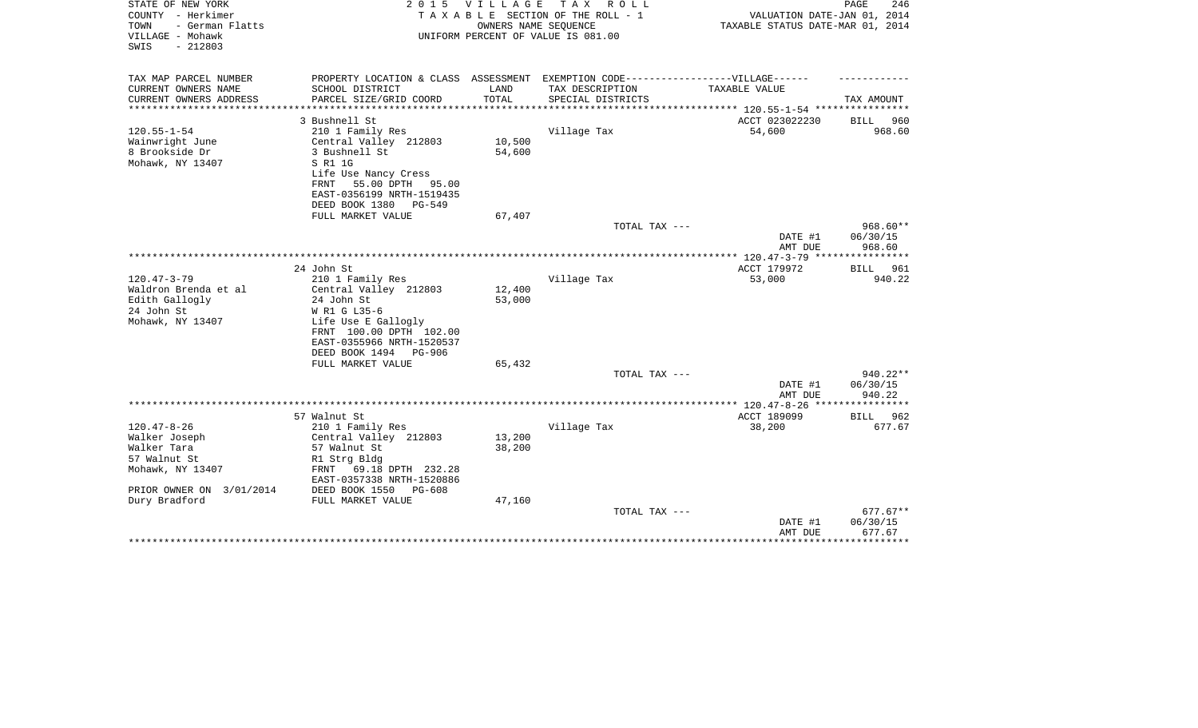| STATE OF NEW YORK<br>COUNTY - Herkimer<br>- German Flatts<br>TOWN<br>VILLAGE - Mohawk<br>$-212803$<br>SWIS | 2 0 1 5                                                                                             | <b>VILLAGE</b>   | TAX ROLL<br>TAXABLE SECTION OF THE ROLL - 1<br>OWNERS NAME SEQUENCE<br>UNIFORM PERCENT OF VALUE IS 081.00 | VALUATION DATE-JAN 01, 2014<br>TAXABLE STATUS DATE-MAR 01, 2014 | PAGE<br>246          |
|------------------------------------------------------------------------------------------------------------|-----------------------------------------------------------------------------------------------------|------------------|-----------------------------------------------------------------------------------------------------------|-----------------------------------------------------------------|----------------------|
| TAX MAP PARCEL NUMBER<br>CURRENT OWNERS NAME                                                               | PROPERTY LOCATION & CLASS ASSESSMENT EXEMPTION CODE----------------VILLAGE------<br>SCHOOL DISTRICT | LAND             | TAX DESCRIPTION                                                                                           | <b>TAXABLE VALUE</b>                                            |                      |
| CURRENT OWNERS ADDRESS                                                                                     | PARCEL SIZE/GRID COORD                                                                              | TOTAL            | SPECIAL DISTRICTS                                                                                         |                                                                 | TAX AMOUNT           |
| ********************                                                                                       | **********************                                                                              |                  |                                                                                                           |                                                                 |                      |
|                                                                                                            | 3 Bushnell St                                                                                       |                  |                                                                                                           | ACCT 023022230                                                  | <b>BILL</b><br>960   |
| $120.55 - 1 - 54$                                                                                          | 210 1 Family Res                                                                                    |                  | Village Tax                                                                                               | 54,600                                                          | 968.60               |
| Wainwright June                                                                                            | Central Valley 212803                                                                               | 10,500           |                                                                                                           |                                                                 |                      |
| 8 Brookside Dr<br>Mohawk, NY 13407                                                                         | 3 Bushnell St<br>S R1 1G                                                                            | 54,600           |                                                                                                           |                                                                 |                      |
|                                                                                                            | Life Use Nancy Cress                                                                                |                  |                                                                                                           |                                                                 |                      |
|                                                                                                            | FRNT 55.00 DPTH<br>95.00                                                                            |                  |                                                                                                           |                                                                 |                      |
|                                                                                                            | EAST-0356199 NRTH-1519435                                                                           |                  |                                                                                                           |                                                                 |                      |
|                                                                                                            | DEED BOOK 1380<br>PG-549                                                                            |                  |                                                                                                           |                                                                 |                      |
|                                                                                                            | FULL MARKET VALUE                                                                                   | 67,407           | TOTAL TAX ---                                                                                             |                                                                 | $968.60**$           |
|                                                                                                            |                                                                                                     |                  |                                                                                                           | DATE #1<br>AMT DUE                                              | 06/30/15<br>968.60   |
|                                                                                                            |                                                                                                     |                  |                                                                                                           |                                                                 |                      |
|                                                                                                            | 24 John St                                                                                          |                  |                                                                                                           | ACCT 179972                                                     | 961<br>BILL          |
| $120.47 - 3 - 79$                                                                                          | 210 1 Family Res                                                                                    |                  | Village Tax                                                                                               | 53,000                                                          | 940.22               |
| Waldron Brenda et al<br>Edith Gallogly                                                                     | Central Valley 212803<br>24 John St                                                                 | 12,400<br>53,000 |                                                                                                           |                                                                 |                      |
| 24 John St                                                                                                 | W R1 G L35-6                                                                                        |                  |                                                                                                           |                                                                 |                      |
| Mohawk, NY 13407                                                                                           | Life Use E Gallogly                                                                                 |                  |                                                                                                           |                                                                 |                      |
|                                                                                                            | FRNT 100.00 DPTH 102.00                                                                             |                  |                                                                                                           |                                                                 |                      |
|                                                                                                            | EAST-0355966 NRTH-1520537                                                                           |                  |                                                                                                           |                                                                 |                      |
|                                                                                                            | DEED BOOK 1494<br>PG-906                                                                            |                  |                                                                                                           |                                                                 |                      |
|                                                                                                            | FULL MARKET VALUE                                                                                   | 65,432           | TOTAL TAX ---                                                                                             |                                                                 | $940.22**$           |
|                                                                                                            |                                                                                                     |                  |                                                                                                           | DATE #1                                                         | 06/30/15             |
|                                                                                                            |                                                                                                     |                  |                                                                                                           | AMT DUE                                                         | 940.22               |
|                                                                                                            |                                                                                                     |                  |                                                                                                           |                                                                 | ***********          |
|                                                                                                            | 57 Walnut St                                                                                        |                  |                                                                                                           | ACCT 189099                                                     | 962<br>BILL          |
| $120.47 - 8 - 26$<br>Walker Joseph                                                                         | 210 1 Family Res<br>Central Valley 212803                                                           | 13,200           | Village Tax                                                                                               | 38,200                                                          | 677.67               |
| Walker Tara                                                                                                | 57 Walnut St                                                                                        | 38,200           |                                                                                                           |                                                                 |                      |
| 57 Walnut St                                                                                               | R1 Strg Bldg                                                                                        |                  |                                                                                                           |                                                                 |                      |
| Mohawk, NY 13407                                                                                           | 69.18 DPTH 232.28<br>FRNT<br>EAST-0357338 NRTH-1520886                                              |                  |                                                                                                           |                                                                 |                      |
| PRIOR OWNER ON 3/01/2014                                                                                   | DEED BOOK 1550<br>PG-608                                                                            |                  |                                                                                                           |                                                                 |                      |
| Dury Bradford                                                                                              | FULL MARKET VALUE                                                                                   | 47,160           |                                                                                                           |                                                                 |                      |
|                                                                                                            |                                                                                                     |                  | TOTAL TAX ---                                                                                             | DATE #1                                                         | 677.67**<br>06/30/15 |
|                                                                                                            |                                                                                                     |                  |                                                                                                           | AMT DUE                                                         | 677.67               |
|                                                                                                            |                                                                                                     |                  |                                                                                                           |                                                                 |                      |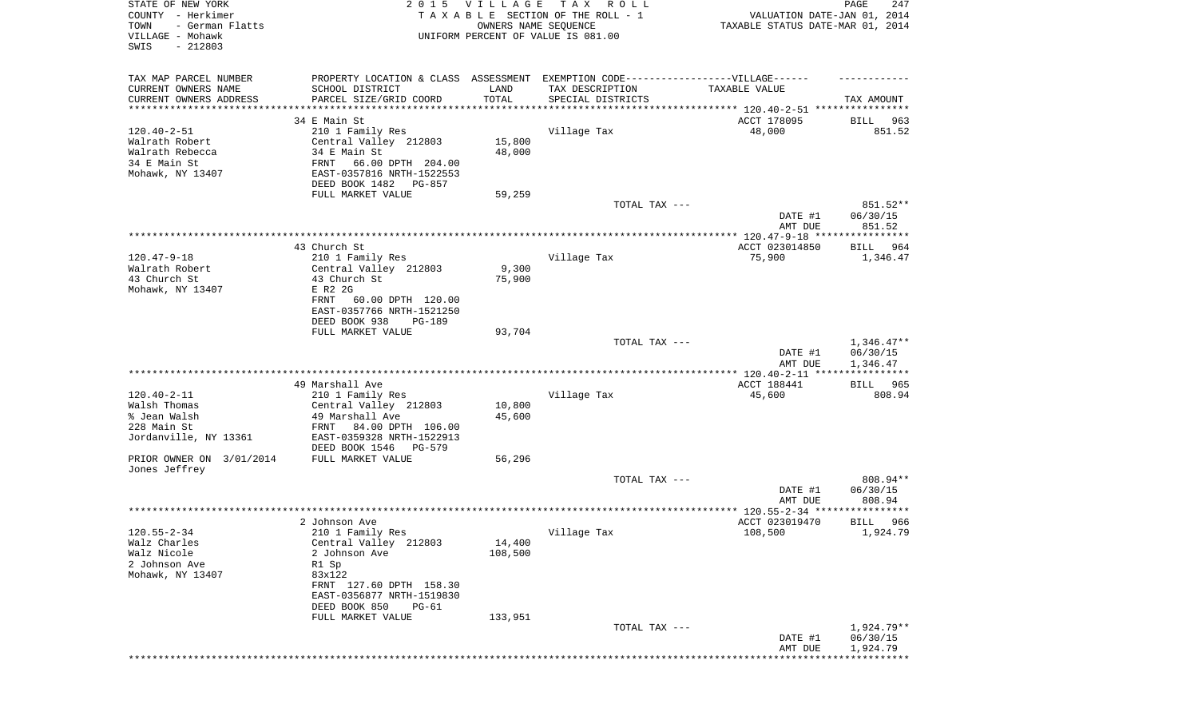| STATE OF NEW YORK<br>COUNTY - Herkimer<br>- German Flatts<br>TOWN<br>VILLAGE - Mohawk<br>SWIS<br>$-212803$ | 2 0 1 5                                                                                                                                         | <b>VILLAGE</b>    | T A X<br>R O L L<br>TAXABLE SECTION OF THE ROLL - 1<br>OWNERS NAME SEQUENCE<br>UNIFORM PERCENT OF VALUE IS 081.00 | VALUATION DATE-JAN 01, 2014<br>TAXABLE STATUS DATE-MAR 01, 2014 | PAGE<br>247                          |
|------------------------------------------------------------------------------------------------------------|-------------------------------------------------------------------------------------------------------------------------------------------------|-------------------|-------------------------------------------------------------------------------------------------------------------|-----------------------------------------------------------------|--------------------------------------|
| TAX MAP PARCEL NUMBER<br>CURRENT OWNERS NAME<br>CURRENT OWNERS ADDRESS<br>*********************            | PROPERTY LOCATION & CLASS ASSESSMENT EXEMPTION CODE-----------------VILLAGE------<br>SCHOOL DISTRICT<br>PARCEL SIZE/GRID COORD                  | LAND<br>TOTAL     | TAX DESCRIPTION<br>SPECIAL DISTRICTS                                                                              | TAXABLE VALUE                                                   | TAX AMOUNT                           |
|                                                                                                            | 34 E Main St                                                                                                                                    |                   |                                                                                                                   | ACCT 178095                                                     | BILL<br>963                          |
| $120.40 - 2 - 51$<br>Walrath Robert<br>Walrath Rebecca<br>34 E Main St<br>Mohawk, NY 13407                 | 210 1 Family Res<br>Central Valley 212803<br>34 E Main St<br>FRNT<br>66.00 DPTH 204.00<br>EAST-0357816 NRTH-1522553<br>DEED BOOK 1482<br>PG-857 | 15,800<br>48,000  | Village Tax                                                                                                       | 48,000                                                          | 851.52                               |
|                                                                                                            | FULL MARKET VALUE                                                                                                                               | 59,259            |                                                                                                                   |                                                                 |                                      |
|                                                                                                            |                                                                                                                                                 |                   | TOTAL TAX ---                                                                                                     | DATE #1<br>AMT DUE                                              | 851.52**<br>06/30/15<br>851.52       |
|                                                                                                            |                                                                                                                                                 |                   |                                                                                                                   |                                                                 |                                      |
| $120.47 - 9 - 18$<br>Walrath Robert<br>43 Church St                                                        | 43 Church St.<br>210 1 Family Res<br>Central Valley 212803<br>43 Church St                                                                      | 9,300<br>75,900   | Village Tax                                                                                                       | ACCT 023014850<br>75,900                                        | BILL<br>964<br>1,346.47              |
| Mohawk, NY 13407                                                                                           | E R2 2G<br>FRNT<br>60.00 DPTH 120.00<br>EAST-0357766 NRTH-1521250<br>DEED BOOK 938<br>PG-189                                                    |                   |                                                                                                                   |                                                                 |                                      |
|                                                                                                            | FULL MARKET VALUE                                                                                                                               | 93,704            | TOTAL TAX ---                                                                                                     | DATE #1<br>AMT DUE                                              | $1,346.47**$<br>06/30/15<br>1,346.47 |
|                                                                                                            |                                                                                                                                                 |                   |                                                                                                                   | ************* 120.40-2-11 *****************                     |                                      |
|                                                                                                            | 49 Marshall Ave                                                                                                                                 |                   |                                                                                                                   | ACCT 188441                                                     | <b>BILL</b><br>965                   |
| $120.40 - 2 - 11$<br>Walsh Thomas                                                                          | 210 1 Family Res<br>Central Valley 212803                                                                                                       | 10,800            | Village Tax                                                                                                       | 45,600                                                          | 808.94                               |
| % Jean Walsh                                                                                               | 49 Marshall Ave                                                                                                                                 | 45,600            |                                                                                                                   |                                                                 |                                      |
| 228 Main St<br>Jordanville, NY 13361                                                                       | FRNT<br>84.00 DPTH 106.00<br>EAST-0359328 NRTH-1522913<br>DEED BOOK 1546<br>PG-579                                                              |                   |                                                                                                                   |                                                                 |                                      |
| PRIOR OWNER ON 3/01/2014<br>Jones Jeffrey                                                                  | FULL MARKET VALUE                                                                                                                               | 56,296            |                                                                                                                   |                                                                 |                                      |
|                                                                                                            |                                                                                                                                                 |                   | TOTAL TAX ---                                                                                                     | DATE #1<br>AMT DUE                                              | 808.94**<br>06/30/15<br>808.94       |
|                                                                                                            |                                                                                                                                                 |                   |                                                                                                                   | **************** 120.55-2-34 *********                          | *****                                |
|                                                                                                            | 2 Johnson Ave                                                                                                                                   |                   |                                                                                                                   | ACCT 023019470                                                  | 966<br>BILL                          |
| $120.55 - 2 - 34$<br>Walz Charles<br>Walz Nicole<br>2 Johnson Ave<br>Mohawk, NY 13407                      | 210 1 Family Res<br>Central Valley 212803<br>2 Johnson Ave<br>R1 Sp<br>83x122<br>FRNT 127.60 DPTH 158.30<br>EAST-0356877 NRTH-1519830           | 14,400<br>108,500 | Village Tax                                                                                                       | 108,500                                                         | 1,924.79                             |
|                                                                                                            | DEED BOOK 850<br>PG-61                                                                                                                          |                   |                                                                                                                   |                                                                 |                                      |
|                                                                                                            | FULL MARKET VALUE                                                                                                                               | 133,951           | TOTAL TAX ---                                                                                                     | DATE #1                                                         | 1,924.79**<br>06/30/15               |
|                                                                                                            |                                                                                                                                                 |                   |                                                                                                                   | AMT DUE                                                         | 1,924.79                             |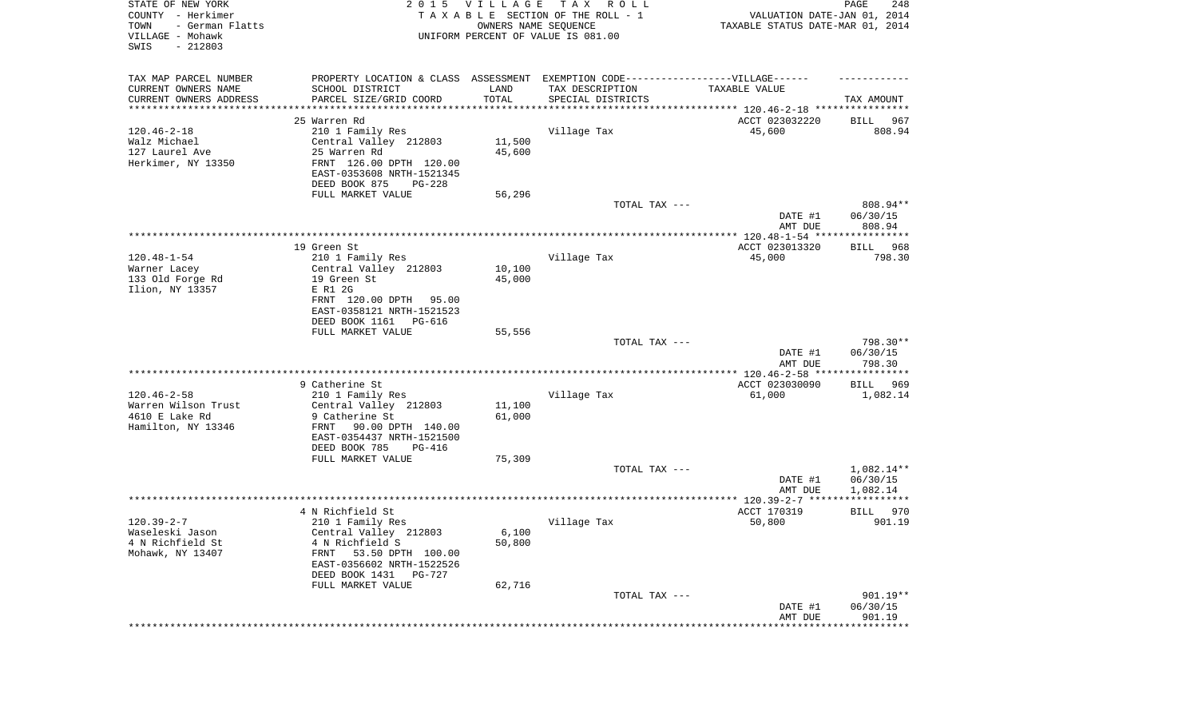| STATE OF NEW YORK<br>COUNTY - Herkimer<br>- German Flatts<br>TOWN<br>VILLAGE - Mohawk<br>SWIS<br>$-212803$ |                                                                                  | 2015 VILLAGE     | T A X<br>R O L L<br>TAXABLE SECTION OF THE ROLL - 1<br>OWNERS NAME SEQUENCE<br>UNIFORM PERCENT OF VALUE IS 081.00 | VALUATION DATE-JAN 01, 2014<br>TAXABLE STATUS DATE-MAR 01, 2014 | PAGE<br>248                    |
|------------------------------------------------------------------------------------------------------------|----------------------------------------------------------------------------------|------------------|-------------------------------------------------------------------------------------------------------------------|-----------------------------------------------------------------|--------------------------------|
| TAX MAP PARCEL NUMBER                                                                                      | PROPERTY LOCATION & CLASS ASSESSMENT EXEMPTION CODE----------------VILLAGE------ |                  |                                                                                                                   |                                                                 |                                |
| CURRENT OWNERS NAME                                                                                        | SCHOOL DISTRICT                                                                  | LAND<br>TOTAL    | TAX DESCRIPTION                                                                                                   | TAXABLE VALUE                                                   |                                |
| CURRENT OWNERS ADDRESS<br>********************                                                             | PARCEL SIZE/GRID COORD                                                           |                  | SPECIAL DISTRICTS                                                                                                 |                                                                 | TAX AMOUNT                     |
|                                                                                                            | 25 Warren Rd                                                                     |                  |                                                                                                                   | ACCT 023032220                                                  | 967<br>BILL                    |
| $120.46 - 2 - 18$                                                                                          | 210 1 Family Res                                                                 |                  | Village Tax                                                                                                       | 45,600                                                          | 808.94                         |
| Walz Michael                                                                                               | Central Valley 212803                                                            | 11,500           |                                                                                                                   |                                                                 |                                |
| 127 Laurel Ave<br>Herkimer, NY 13350                                                                       | 25 Warren Rd<br>FRNT 126.00 DPTH 120.00                                          | 45,600           |                                                                                                                   |                                                                 |                                |
|                                                                                                            | EAST-0353608 NRTH-1521345                                                        |                  |                                                                                                                   |                                                                 |                                |
|                                                                                                            | DEED BOOK 875<br>PG-228                                                          |                  |                                                                                                                   |                                                                 |                                |
|                                                                                                            | FULL MARKET VALUE                                                                | 56,296           |                                                                                                                   |                                                                 |                                |
|                                                                                                            |                                                                                  |                  | TOTAL TAX ---                                                                                                     | DATE #1<br>AMT DUE                                              | 808.94**<br>06/30/15<br>808.94 |
|                                                                                                            |                                                                                  |                  |                                                                                                                   |                                                                 |                                |
|                                                                                                            | 19 Green St                                                                      |                  |                                                                                                                   | ACCT 023013320                                                  | 968<br>BILL                    |
| $120.48 - 1 - 54$                                                                                          | 210 1 Family Res                                                                 |                  | Village Tax                                                                                                       | 45,000                                                          | 798.30                         |
| Warner Lacey<br>133 Old Forge Rd                                                                           | Central Valley 212803<br>19 Green St                                             | 10,100<br>45,000 |                                                                                                                   |                                                                 |                                |
| Ilion, NY 13357                                                                                            | E R1 2G                                                                          |                  |                                                                                                                   |                                                                 |                                |
|                                                                                                            | FRNT 120.00 DPTH<br>95.00                                                        |                  |                                                                                                                   |                                                                 |                                |
|                                                                                                            | EAST-0358121 NRTH-1521523                                                        |                  |                                                                                                                   |                                                                 |                                |
|                                                                                                            | DEED BOOK 1161<br>PG-616<br>FULL MARKET VALUE                                    | 55,556           |                                                                                                                   |                                                                 |                                |
|                                                                                                            |                                                                                  |                  | TOTAL TAX ---                                                                                                     |                                                                 | 798.30**                       |
|                                                                                                            |                                                                                  |                  |                                                                                                                   | DATE #1<br>AMT DUE                                              | 06/30/15<br>798.30             |
|                                                                                                            | 9 Catherine St                                                                   |                  |                                                                                                                   | ************* 120.46-2-58 *****************<br>ACCT 023030090   | BILL<br>969                    |
| $120.46 - 2 - 58$                                                                                          | 210 1 Family Res                                                                 |                  | Village Tax                                                                                                       | 61,000                                                          | 1,082.14                       |
| Warren Wilson Trust                                                                                        | Central Valley 212803                                                            | 11,100           |                                                                                                                   |                                                                 |                                |
| 4610 E Lake Rd                                                                                             | 9 Catherine St                                                                   | 61,000           |                                                                                                                   |                                                                 |                                |
| Hamilton, NY 13346                                                                                         | 90.00 DPTH 140.00<br>FRNT                                                        |                  |                                                                                                                   |                                                                 |                                |
|                                                                                                            | EAST-0354437 NRTH-1521500<br>DEED BOOK 785<br>PG-416                             |                  |                                                                                                                   |                                                                 |                                |
|                                                                                                            | FULL MARKET VALUE                                                                | 75,309           |                                                                                                                   |                                                                 |                                |
|                                                                                                            |                                                                                  |                  | TOTAL TAX ---                                                                                                     |                                                                 | 1,082.14**                     |
|                                                                                                            |                                                                                  |                  |                                                                                                                   | DATE #1                                                         | 06/30/15                       |
|                                                                                                            |                                                                                  |                  |                                                                                                                   | AMT DUE                                                         | 1,082.14                       |
|                                                                                                            | 4 N Richfield St                                                                 |                  |                                                                                                                   | ACCT 170319                                                     | 970<br>BILL                    |
| $120.39 - 2 - 7$                                                                                           | 210 1 Family Res                                                                 |                  | Village Tax                                                                                                       | 50,800                                                          | 901.19                         |
| Waseleski Jason                                                                                            | Central Valley 212803                                                            | 6,100            |                                                                                                                   |                                                                 |                                |
| 4 N Richfield St<br>Mohawk, NY 13407                                                                       | 4 N Richfield S<br>53.50 DPTH 100.00<br>FRNT                                     | 50,800           |                                                                                                                   |                                                                 |                                |
|                                                                                                            | EAST-0356602 NRTH-1522526                                                        |                  |                                                                                                                   |                                                                 |                                |
|                                                                                                            | DEED BOOK 1431<br>PG-727                                                         |                  |                                                                                                                   |                                                                 |                                |
|                                                                                                            | FULL MARKET VALUE                                                                | 62,716           |                                                                                                                   |                                                                 |                                |
|                                                                                                            |                                                                                  |                  | TOTAL TAX ---                                                                                                     | DATE #1                                                         | $901.19**$<br>06/30/15         |
|                                                                                                            |                                                                                  |                  |                                                                                                                   | AMT DUE                                                         | 901.19                         |
|                                                                                                            |                                                                                  |                  |                                                                                                                   | ************************************                            |                                |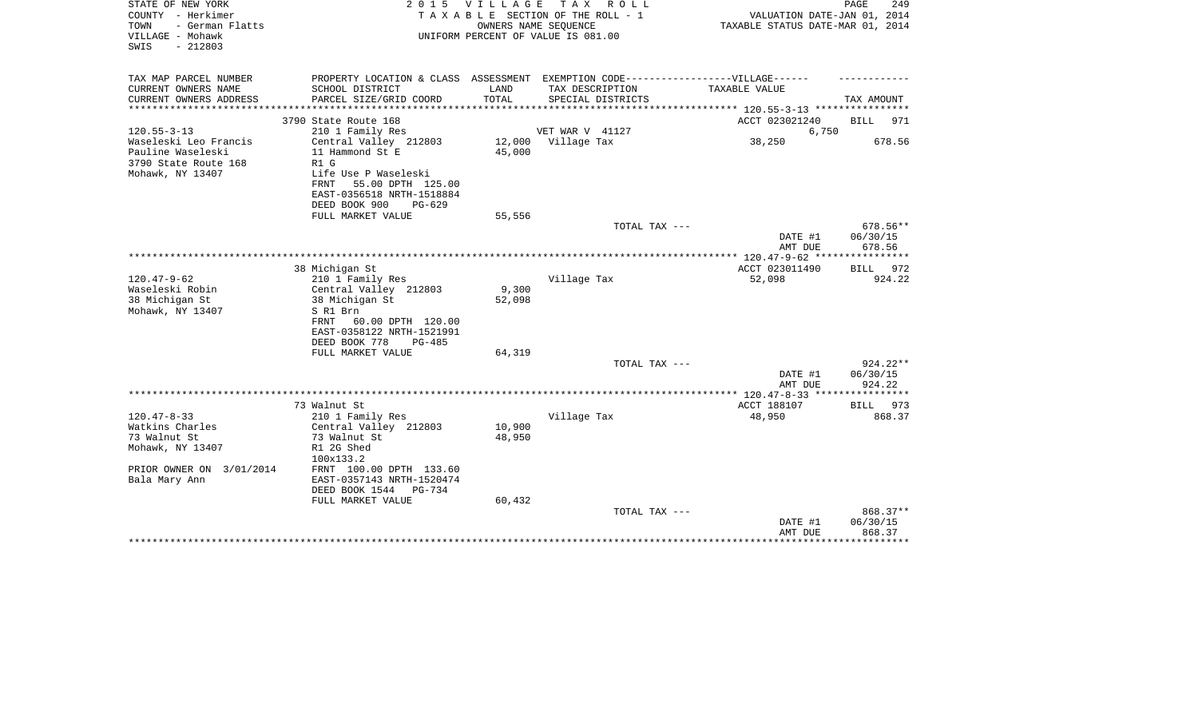| STATE OF NEW YORK<br>COUNTY - Herkimer<br>- German Flatts<br>TOWN<br>VILLAGE - Mohawk<br>$-212803$<br>SWIS | 2 0 1 5                                                                                                                            | VILLAGE                      | TAX ROLL<br>TAXABLE SECTION OF THE ROLL - 1<br>OWNERS NAME SEQUENCE<br>UNIFORM PERCENT OF VALUE IS 081.00 | VALUATION DATE-JAN 01, 2014<br>TAXABLE STATUS DATE-MAR 01, 2014 | PAGE<br>249                    |
|------------------------------------------------------------------------------------------------------------|------------------------------------------------------------------------------------------------------------------------------------|------------------------------|-----------------------------------------------------------------------------------------------------------|-----------------------------------------------------------------|--------------------------------|
| TAX MAP PARCEL NUMBER                                                                                      |                                                                                                                                    |                              | PROPERTY LOCATION & CLASS ASSESSMENT EXEMPTION CODE-----------------VILLAGE------                         |                                                                 |                                |
| CURRENT OWNERS NAME<br>CURRENT OWNERS ADDRESS<br>*******************                                       | SCHOOL DISTRICT<br>PARCEL SIZE/GRID COORD<br>*******************                                                                   | LAND<br>TOTAL<br>*********** | TAX DESCRIPTION<br>SPECIAL DISTRICTS                                                                      | TAXABLE VALUE<br>*********** 120.55-3-13 ************           | TAX AMOUNT                     |
|                                                                                                            | 3790 State Route 168                                                                                                               |                              |                                                                                                           | ACCT 023021240                                                  | <b>BILL</b><br>971             |
| $120.55 - 3 - 13$                                                                                          | 210 1 Family Res                                                                                                                   |                              | VET WAR V 41127                                                                                           | 6,750                                                           |                                |
| Waseleski Leo Francis<br>Pauline Waseleski<br>3790 State Route 168<br>Mohawk, NY 13407                     | Central Valley 212803<br>11 Hammond St E<br>R1 G<br>Life Use P Waseleski<br>FRNT<br>55.00 DPTH 125.00<br>EAST-0356518 NRTH-1518884 | 12,000<br>45,000             | Village Tax                                                                                               | 38,250                                                          | 678.56                         |
|                                                                                                            | DEED BOOK 900<br>$PG-629$<br>FULL MARKET VALUE                                                                                     | 55,556                       |                                                                                                           |                                                                 |                                |
|                                                                                                            |                                                                                                                                    |                              | TOTAL TAX ---                                                                                             | DATE #1<br>AMT DUE                                              | 678.56**<br>06/30/15<br>678.56 |
|                                                                                                            |                                                                                                                                    |                              |                                                                                                           | **** 120.47-9-62 ***                                            | **********                     |
|                                                                                                            | 38 Michigan St                                                                                                                     |                              |                                                                                                           | ACCT 023011490                                                  | <b>BILL</b><br>972             |
| $120.47 - 9 - 62$                                                                                          | 210 1 Family Res                                                                                                                   |                              | Village Tax                                                                                               | 52,098                                                          | 924.22                         |
| Waseleski Robin                                                                                            | Central Valley 212803                                                                                                              | 9,300                        |                                                                                                           |                                                                 |                                |
| 38 Michigan St<br>Mohawk, NY 13407                                                                         | 38 Michigan St<br>S R1 Brn<br>60.00 DPTH 120.00<br>FRNT<br>EAST-0358122 NRTH-1521991<br>DEED BOOK 778<br>PG-485                    | 52,098                       |                                                                                                           |                                                                 |                                |
|                                                                                                            | FULL MARKET VALUE                                                                                                                  | 64,319                       | TOTAL TAX ---                                                                                             |                                                                 | 924.22**                       |
|                                                                                                            |                                                                                                                                    |                              |                                                                                                           | DATE #1<br>AMT DUE                                              | 06/30/15<br>924.22             |
|                                                                                                            |                                                                                                                                    |                              |                                                                                                           |                                                                 |                                |
|                                                                                                            | 73 Walnut St                                                                                                                       |                              |                                                                                                           | ACCT 188107                                                     | <b>BILL</b><br>973             |
| $120.47 - 8 - 33$<br>Watkins Charles<br>73 Walnut St<br>Mohawk, NY 13407                                   | 210 1 Family Res<br>Central Valley 212803<br>73 Walnut St<br>R1 2G Shed<br>100x133.2                                               | 10,900<br>48,950             | Village Tax                                                                                               | 48,950                                                          | 868.37                         |
| PRIOR OWNER ON 3/01/2014<br>Bala Mary Ann                                                                  | FRNT 100.00 DPTH 133.60<br>EAST-0357143 NRTH-1520474<br>DEED BOOK 1544<br>PG-734<br>FULL MARKET VALUE                              | 60,432                       |                                                                                                           |                                                                 |                                |
|                                                                                                            |                                                                                                                                    |                              | TOTAL TAX ---                                                                                             | DATE #1<br>AMT DUE                                              | 868.37**<br>06/30/15<br>868.37 |
|                                                                                                            |                                                                                                                                    |                              |                                                                                                           |                                                                 |                                |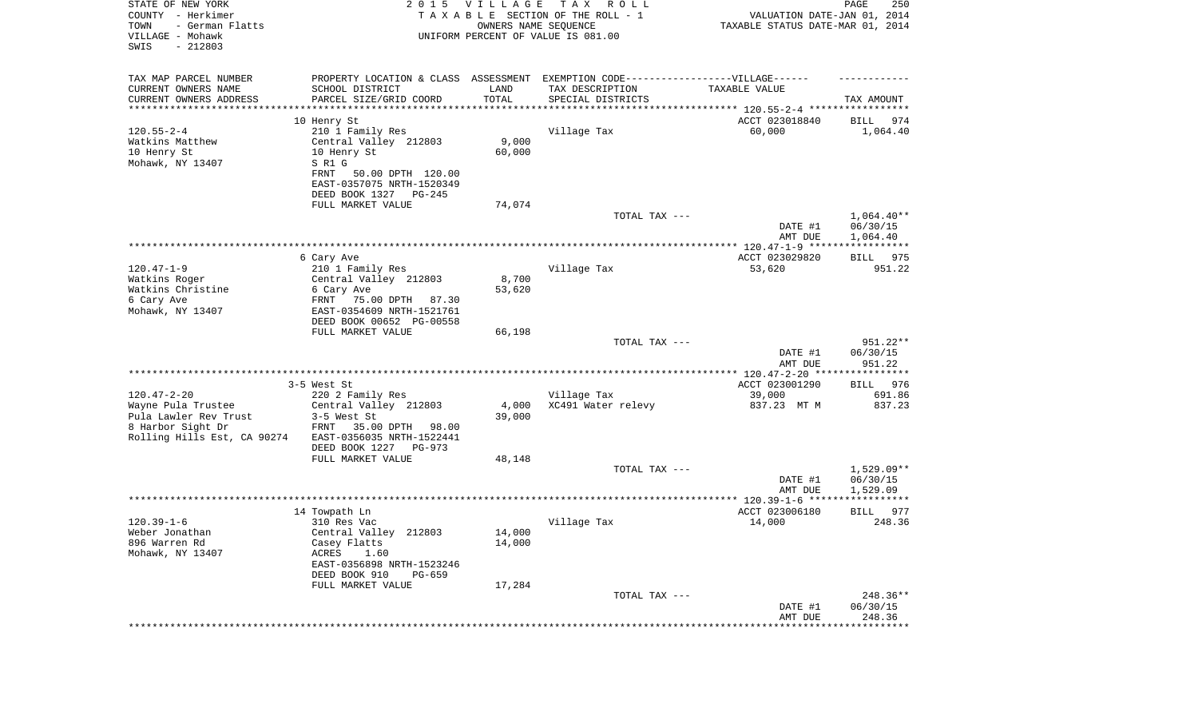| STATE OF NEW YORK<br>COUNTY - Herkimer<br>TOWN<br>- German Flatts<br>VILLAGE - Mohawk<br>SWIS<br>$-212803$ | 2 0 1 5                                                | <b>VILLAGE</b><br>OWNERS NAME SEQUENCE | T A X<br>R O L L<br>TAXABLE SECTION OF THE ROLL - 1<br>UNIFORM PERCENT OF VALUE IS 081.00           | VALUATION DATE-JAN 01, 2014<br>TAXABLE STATUS DATE-MAR 01, 2014 | PAGE<br>250              |
|------------------------------------------------------------------------------------------------------------|--------------------------------------------------------|----------------------------------------|-----------------------------------------------------------------------------------------------------|-----------------------------------------------------------------|--------------------------|
| TAX MAP PARCEL NUMBER<br>CURRENT OWNERS NAME                                                               | SCHOOL DISTRICT                                        | LAND                                   | PROPERTY LOCATION & CLASS ASSESSMENT EXEMPTION CODE----------------VILLAGE------<br>TAX DESCRIPTION | TAXABLE VALUE                                                   |                          |
| CURRENT OWNERS ADDRESS<br>***********************                                                          | PARCEL SIZE/GRID COORD<br>********************         | TOTAL                                  | SPECIAL DISTRICTS                                                                                   |                                                                 | TAX AMOUNT               |
|                                                                                                            | 10 Henry St                                            |                                        |                                                                                                     | ACCT 023018840                                                  | BILL<br>974              |
| $120.55 - 2 - 4$                                                                                           | 210 1 Family Res                                       |                                        | Village Tax                                                                                         | 60,000                                                          | 1,064.40                 |
| Watkins Matthew                                                                                            | Central Valley 212803                                  | 9,000                                  |                                                                                                     |                                                                 |                          |
| 10 Henry St                                                                                                | 10 Henry St                                            | 60,000                                 |                                                                                                     |                                                                 |                          |
| Mohawk, NY 13407                                                                                           | S R1 G<br><b>FRNT</b><br>50.00 DPTH 120.00             |                                        |                                                                                                     |                                                                 |                          |
|                                                                                                            | EAST-0357075 NRTH-1520349                              |                                        |                                                                                                     |                                                                 |                          |
|                                                                                                            | DEED BOOK 1327<br>PG-245                               |                                        |                                                                                                     |                                                                 |                          |
|                                                                                                            | FULL MARKET VALUE                                      | 74,074                                 |                                                                                                     |                                                                 |                          |
|                                                                                                            |                                                        |                                        | TOTAL TAX ---                                                                                       | DATE #1                                                         | $1,064.40**$<br>06/30/15 |
|                                                                                                            |                                                        |                                        |                                                                                                     | AMT DUE                                                         | 1,064.40                 |
|                                                                                                            |                                                        |                                        |                                                                                                     |                                                                 |                          |
|                                                                                                            | 6 Cary Ave                                             |                                        |                                                                                                     | ACCT 023029820                                                  | BILL 975                 |
| $120.47 - 1 - 9$<br>Watkins Roger                                                                          | 210 1 Family Res<br>Central Valley 212803              | 8,700                                  | Village Tax                                                                                         | 53,620                                                          | 951.22                   |
| Watkins Christine                                                                                          | 6 Cary Ave                                             | 53,620                                 |                                                                                                     |                                                                 |                          |
| 6 Cary Ave                                                                                                 | FRNT<br>75.00 DPTH<br>87.30                            |                                        |                                                                                                     |                                                                 |                          |
| Mohawk, NY 13407                                                                                           | EAST-0354609 NRTH-1521761<br>DEED BOOK 00652 PG-00558  |                                        |                                                                                                     |                                                                 |                          |
|                                                                                                            | FULL MARKET VALUE                                      | 66,198                                 |                                                                                                     |                                                                 |                          |
|                                                                                                            |                                                        |                                        | TOTAL TAX ---                                                                                       |                                                                 | 951.22**                 |
|                                                                                                            |                                                        |                                        |                                                                                                     | DATE #1                                                         | 06/30/15                 |
|                                                                                                            |                                                        |                                        |                                                                                                     | AMT DUE                                                         | 951.22                   |
|                                                                                                            | 3-5 West St                                            |                                        |                                                                                                     | ACCT 023001290                                                  | 976<br>BILL              |
| $120.47 - 2 - 20$                                                                                          | 220 2 Family Res                                       |                                        | Village Tax                                                                                         | 39,000                                                          | 691.86                   |
| Wayne Pula Trustee                                                                                         | Central Valley 212803                                  | 4,000                                  | XC491 Water relevy                                                                                  | 837.23 MT M                                                     | 837.23                   |
| Pula Lawler Rev Trust<br>8 Harbor Sight Dr                                                                 | 3-5 West St<br>FRNT<br>35.00 DPTH<br>98.00             | 39,000                                 |                                                                                                     |                                                                 |                          |
| Rolling Hills Est, CA 90274                                                                                | EAST-0356035 NRTH-1522441                              |                                        |                                                                                                     |                                                                 |                          |
|                                                                                                            | DEED BOOK 1227<br>PG-973                               |                                        |                                                                                                     |                                                                 |                          |
|                                                                                                            | FULL MARKET VALUE                                      | 48,148                                 |                                                                                                     |                                                                 |                          |
|                                                                                                            |                                                        |                                        | TOTAL TAX ---                                                                                       | DATE #1                                                         | $1,529.09**$<br>06/30/15 |
|                                                                                                            |                                                        |                                        |                                                                                                     | AMT DUE                                                         | 1,529.09                 |
|                                                                                                            |                                                        |                                        |                                                                                                     |                                                                 |                          |
|                                                                                                            | 14 Towpath Ln                                          |                                        |                                                                                                     | ACCT 023006180                                                  | 977<br><b>BILL</b>       |
| $120.39 - 1 - 6$<br>Weber Jonathan                                                                         | 310 Res Vac<br>Central Valley 212803                   | 14,000                                 | Village Tax                                                                                         | 14,000                                                          | 248.36                   |
| 896 Warren Rd                                                                                              | Casey Flatts                                           | 14,000                                 |                                                                                                     |                                                                 |                          |
| Mohawk, NY 13407                                                                                           | ACRES<br>1.60                                          |                                        |                                                                                                     |                                                                 |                          |
|                                                                                                            | EAST-0356898 NRTH-1523246<br>DEED BOOK 910<br>$PG-659$ |                                        |                                                                                                     |                                                                 |                          |
|                                                                                                            | FULL MARKET VALUE                                      | 17,284                                 |                                                                                                     |                                                                 |                          |
|                                                                                                            |                                                        |                                        | TOTAL TAX ---                                                                                       |                                                                 | 248.36**                 |
|                                                                                                            |                                                        |                                        |                                                                                                     | DATE #1                                                         | 06/30/15                 |
|                                                                                                            |                                                        |                                        |                                                                                                     | AMT DUE<br>******************                                   | 248.36<br>************** |
|                                                                                                            |                                                        |                                        |                                                                                                     |                                                                 |                          |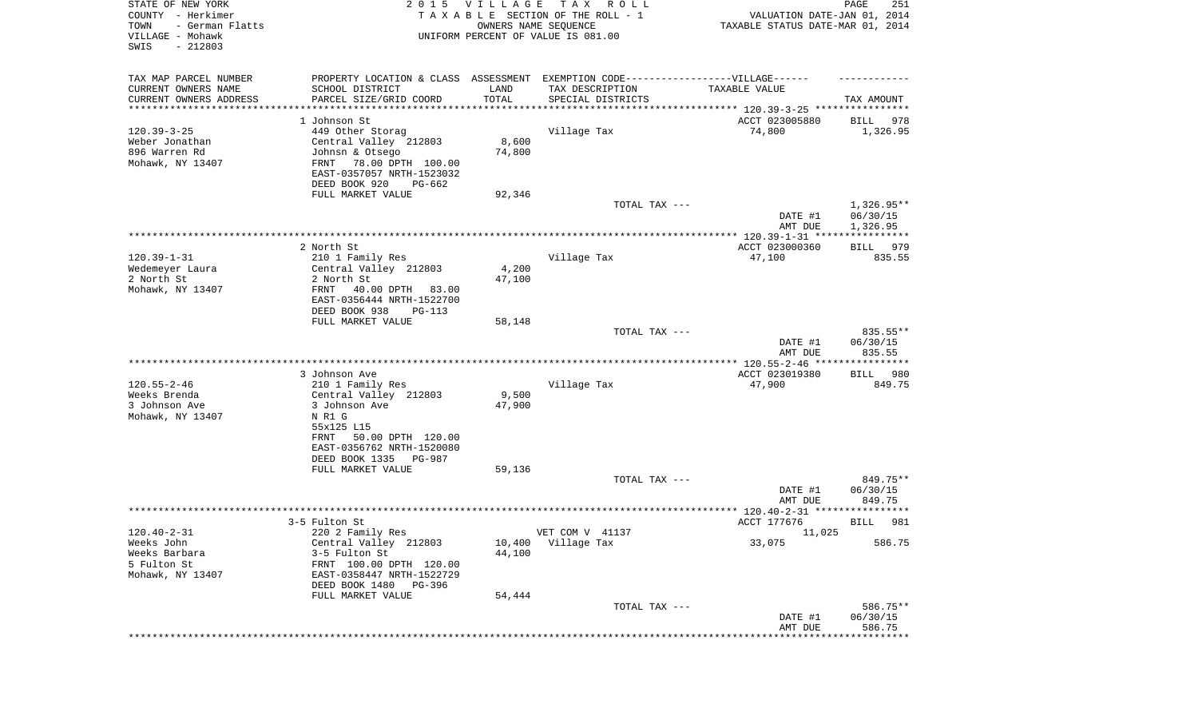| STATE OF NEW YORK<br>COUNTY - Herkimer<br>- German Flatts<br>TOWN<br>VILLAGE - Mohawk<br>$-212803$<br>SWIS |                                                    | 2015 VILLAGE  | T A X<br>R O L L<br>TAXABLE SECTION OF THE ROLL - 1<br>OWNERS NAME SEQUENCE<br>UNIFORM PERCENT OF VALUE IS 081.00        | VALUATION DATE-JAN 01, 2014<br>TAXABLE STATUS DATE-MAR 01, 2014 | PAGE<br>251           |
|------------------------------------------------------------------------------------------------------------|----------------------------------------------------|---------------|--------------------------------------------------------------------------------------------------------------------------|-----------------------------------------------------------------|-----------------------|
| TAX MAP PARCEL NUMBER<br>CURRENT OWNERS NAME<br>CURRENT OWNERS ADDRESS                                     | SCHOOL DISTRICT<br>PARCEL SIZE/GRID COORD          | LAND<br>TOTAL | PROPERTY LOCATION & CLASS ASSESSMENT EXEMPTION CODE----------------VILLAGE------<br>TAX DESCRIPTION<br>SPECIAL DISTRICTS | TAXABLE VALUE                                                   | TAX AMOUNT            |
| *********************                                                                                      |                                                    |               |                                                                                                                          |                                                                 |                       |
|                                                                                                            | 1 Johnson St                                       |               |                                                                                                                          | ACCT 023005880                                                  | 978<br>BILL           |
| $120.39 - 3 - 25$                                                                                          | 449 Other Storag                                   |               | Village Tax                                                                                                              | 74,800                                                          | 1,326.95              |
| Weber Jonathan                                                                                             | Central Valley 212803                              | 8,600         |                                                                                                                          |                                                                 |                       |
| 896 Warren Rd                                                                                              | Johnsn & Otsego                                    | 74,800        |                                                                                                                          |                                                                 |                       |
| Mohawk, NY 13407                                                                                           | FRNT<br>78.00 DPTH 100.00                          |               |                                                                                                                          |                                                                 |                       |
|                                                                                                            | EAST-0357057 NRTH-1523032                          |               |                                                                                                                          |                                                                 |                       |
|                                                                                                            | DEED BOOK 920<br>PG-662<br>FULL MARKET VALUE       | 92,346        |                                                                                                                          |                                                                 |                       |
|                                                                                                            |                                                    |               | TOTAL TAX ---                                                                                                            |                                                                 | $1,326.95**$          |
|                                                                                                            |                                                    |               |                                                                                                                          | DATE #1                                                         | 06/30/15              |
|                                                                                                            |                                                    |               |                                                                                                                          | AMT DUE                                                         | 1,326.95              |
|                                                                                                            |                                                    |               |                                                                                                                          |                                                                 |                       |
| $120.39 - 1 - 31$                                                                                          | 2 North St<br>210 1 Family Res                     |               | Village Tax                                                                                                              | ACCT 023000360<br>47,100                                        | 979<br>BILL<br>835.55 |
| Wedemeyer Laura                                                                                            | Central Valley 212803                              | 4,200         |                                                                                                                          |                                                                 |                       |
| 2 North St                                                                                                 | 2 North St                                         | 47,100        |                                                                                                                          |                                                                 |                       |
| Mohawk, NY 13407                                                                                           | FRNT<br>40.00 DPTH<br>83.00                        |               |                                                                                                                          |                                                                 |                       |
|                                                                                                            | EAST-0356444 NRTH-1522700                          |               |                                                                                                                          |                                                                 |                       |
|                                                                                                            | DEED BOOK 938<br>$PG-113$<br>FULL MARKET VALUE     | 58,148        |                                                                                                                          |                                                                 |                       |
|                                                                                                            |                                                    |               | TOTAL TAX ---                                                                                                            |                                                                 | 835.55**              |
|                                                                                                            |                                                    |               |                                                                                                                          | DATE #1                                                         | 06/30/15              |
|                                                                                                            |                                                    |               |                                                                                                                          | AMT DUE                                                         | 835.55                |
|                                                                                                            |                                                    |               |                                                                                                                          |                                                                 |                       |
|                                                                                                            | 3 Johnson Ave                                      |               |                                                                                                                          | ACCT 023019380                                                  | <b>BILL</b><br>980    |
| $120.55 - 2 - 46$<br>Weeks Brenda                                                                          | 210 1 Family Res<br>Central Valley 212803          | 9,500         | Village Tax                                                                                                              | 47,900                                                          | 849.75                |
| 3 Johnson Ave                                                                                              | 3 Johnson Ave                                      | 47,900        |                                                                                                                          |                                                                 |                       |
| Mohawk, NY 13407                                                                                           | N R1 G                                             |               |                                                                                                                          |                                                                 |                       |
|                                                                                                            | 55x125 L15                                         |               |                                                                                                                          |                                                                 |                       |
|                                                                                                            | <b>FRNT</b><br>50.00 DPTH 120.00                   |               |                                                                                                                          |                                                                 |                       |
|                                                                                                            | EAST-0356762 NRTH-1520080<br>DEED BOOK 1335 PG-987 |               |                                                                                                                          |                                                                 |                       |
|                                                                                                            | FULL MARKET VALUE                                  | 59,136        |                                                                                                                          |                                                                 |                       |
|                                                                                                            |                                                    |               | TOTAL TAX ---                                                                                                            |                                                                 | 849.75**              |
|                                                                                                            |                                                    |               |                                                                                                                          | DATE #1                                                         | 06/30/15              |
|                                                                                                            |                                                    |               |                                                                                                                          | AMT DUE                                                         | 849.75                |
|                                                                                                            |                                                    |               |                                                                                                                          |                                                                 |                       |
| 120.40-2-31                                                                                                | 3-5 Fulton St<br>220 2 Family Res                  |               | VET COM V 41137                                                                                                          | ACCT 177676<br>11,025                                           | 981<br>BILL           |
| Weeks John                                                                                                 | Central Valley 212803                              | 10,400        | Village Tax                                                                                                              | 33,075                                                          | 586.75                |
| Weeks Barbara                                                                                              | 3-5 Fulton St                                      | 44,100        |                                                                                                                          |                                                                 |                       |
| 5 Fulton St                                                                                                | FRNT 100.00 DPTH 120.00                            |               |                                                                                                                          |                                                                 |                       |
| Mohawk, NY 13407                                                                                           | EAST-0358447 NRTH-1522729                          |               |                                                                                                                          |                                                                 |                       |
|                                                                                                            | DEED BOOK 1480<br>PG-396                           |               |                                                                                                                          |                                                                 |                       |
|                                                                                                            | FULL MARKET VALUE                                  | 54,444        | TOTAL TAX ---                                                                                                            |                                                                 | 586.75**              |
|                                                                                                            |                                                    |               |                                                                                                                          | DATE #1                                                         | 06/30/15              |
|                                                                                                            |                                                    |               |                                                                                                                          | AMT DUE                                                         | 586.75                |
|                                                                                                            |                                                    |               |                                                                                                                          | ***************************                                     |                       |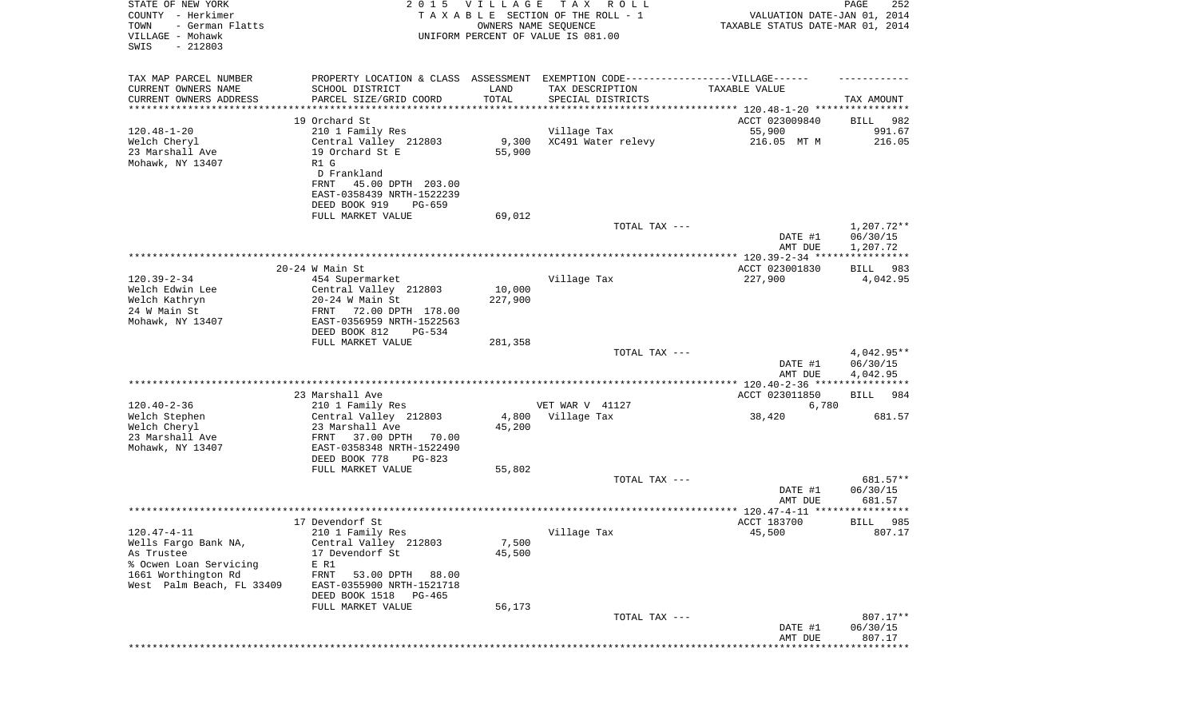| STATE OF NEW YORK<br>COUNTY - Herkimer<br>- German Flatts<br>TOWN<br>VILLAGE - Mohawk<br>SWIS<br>$-212803$ |                                                                                                  | 2015 VILLAGE          | TAX ROLL<br>TAXABLE SECTION OF THE ROLL - 1<br>OWNERS NAME SEQUENCE<br>UNIFORM PERCENT OF VALUE IS 081.00                | VALUATION DATE-JAN 01, 2014<br>TAXABLE STATUS DATE-MAR 01, 2014 | PAGE<br>252                        |
|------------------------------------------------------------------------------------------------------------|--------------------------------------------------------------------------------------------------|-----------------------|--------------------------------------------------------------------------------------------------------------------------|-----------------------------------------------------------------|------------------------------------|
| TAX MAP PARCEL NUMBER<br>CURRENT OWNERS NAME<br>CURRENT OWNERS ADDRESS                                     | SCHOOL DISTRICT<br>PARCEL SIZE/GRID COORD                                                        | LAND<br>TOTAL         | PROPERTY LOCATION & CLASS ASSESSMENT EXEMPTION CODE----------------VILLAGE------<br>TAX DESCRIPTION<br>SPECIAL DISTRICTS | TAXABLE VALUE                                                   | TAX AMOUNT                         |
| ********************                                                                                       |                                                                                                  | * * * * * * * * * * * |                                                                                                                          |                                                                 |                                    |
|                                                                                                            | 19 Orchard St                                                                                    |                       |                                                                                                                          | ACCT 023009840                                                  | 982<br>BILL                        |
| $120.48 - 1 - 20$<br>Welch Cheryl<br>23 Marshall Ave<br>Mohawk, NY 13407                                   | 210 1 Family Res<br>Central Valley 212803<br>19 Orchard St E<br>R1 G                             | 9,300<br>55,900       | Village Tax<br>XC491 Water relevy                                                                                        | 55,900<br>216.05 MT M                                           | 991.67<br>216.05                   |
|                                                                                                            | D Frankland<br>FRNT<br>45.00 DPTH 203.00<br>EAST-0358439 NRTH-1522239<br>DEED BOOK 919<br>PG-659 |                       |                                                                                                                          |                                                                 |                                    |
|                                                                                                            | FULL MARKET VALUE                                                                                | 69,012                |                                                                                                                          |                                                                 |                                    |
|                                                                                                            |                                                                                                  |                       | TOTAL TAX ---                                                                                                            | DATE #1<br>AMT DUE                                              | 1,207.72**<br>06/30/15<br>1,207.72 |
|                                                                                                            |                                                                                                  |                       |                                                                                                                          |                                                                 |                                    |
|                                                                                                            | $20-24$ W Main St                                                                                |                       |                                                                                                                          | ACCT 023001830                                                  | 983<br>BILL                        |
| $120.39 - 2 - 34$<br>Welch Edwin Lee                                                                       | 454 Supermarket<br>Central Valley 212803<br>$20-24$ W Main St                                    | 10,000<br>227,900     | Village Tax                                                                                                              | 227,900                                                         | 4,042.95                           |
| Welch Kathryn<br>24 W Main St<br>Mohawk, NY 13407                                                          | FRNT 72.00 DPTH 178.00<br>EAST-0356959 NRTH-1522563<br>DEED BOOK 812<br><b>PG-534</b>            |                       |                                                                                                                          |                                                                 |                                    |
|                                                                                                            | FULL MARKET VALUE                                                                                | 281,358               |                                                                                                                          |                                                                 |                                    |
|                                                                                                            |                                                                                                  |                       | TOTAL TAX ---                                                                                                            | DATE #1<br>AMT DUE                                              | 4,042.95**<br>06/30/15<br>4,042.95 |
|                                                                                                            |                                                                                                  |                       |                                                                                                                          |                                                                 |                                    |
|                                                                                                            | 23 Marshall Ave                                                                                  |                       |                                                                                                                          | ACCT 023011850                                                  | 984<br>BILL                        |
| $120.40 - 2 - 36$<br>Welch Stephen                                                                         | 210 1 Family Res<br>Central Valley 212803                                                        | 4,800                 | VET WAR V 41127<br>Village Tax                                                                                           | 6,780<br>38,420                                                 | 681.57                             |
| Welch Cheryl<br>23 Marshall Ave                                                                            | 23 Marshall Ave<br>FRNT<br>37.00 DPTH<br>70.00                                                   | 45,200                |                                                                                                                          |                                                                 |                                    |
| Mohawk, NY 13407                                                                                           | EAST-0358348 NRTH-1522490<br>DEED BOOK 778<br>$PG-823$                                           |                       |                                                                                                                          |                                                                 |                                    |
|                                                                                                            | FULL MARKET VALUE                                                                                | 55,802                |                                                                                                                          |                                                                 |                                    |
|                                                                                                            |                                                                                                  |                       | TOTAL TAX ---                                                                                                            | DATE #1<br>AMT DUE                                              | 681.57**<br>06/30/15<br>681.57     |
|                                                                                                            |                                                                                                  |                       |                                                                                                                          |                                                                 |                                    |
|                                                                                                            | 17 Devendorf St                                                                                  |                       |                                                                                                                          | ACCT 183700                                                     | 985<br>BILL                        |
| 120.47-4-11<br>Wells Fargo Bank NA,                                                                        | 210 1 Family Res<br>Central Valley 212803                                                        | 7,500                 | Village Tax                                                                                                              | 45,500                                                          | 807.17                             |
| As Trustee<br>% Ocwen Loan Servicing<br>1661 Worthington Rd                                                | 17 Devendorf St<br>E R1<br>FRNT<br>53.00 DPTH<br>88.00                                           | 45,500                |                                                                                                                          |                                                                 |                                    |
| West Palm Beach, FL 33409                                                                                  | EAST-0355900 NRTH-1521718<br>DEED BOOK 1518<br>PG-465<br>FULL MARKET VALUE                       | 56,173                |                                                                                                                          |                                                                 |                                    |
|                                                                                                            |                                                                                                  |                       | TOTAL TAX ---                                                                                                            |                                                                 | 807.17**                           |
|                                                                                                            |                                                                                                  |                       |                                                                                                                          | DATE #1<br>AMT DUE                                              | 06/30/15<br>807.17                 |
|                                                                                                            |                                                                                                  |                       |                                                                                                                          |                                                                 | * * * * * * * * * * *              |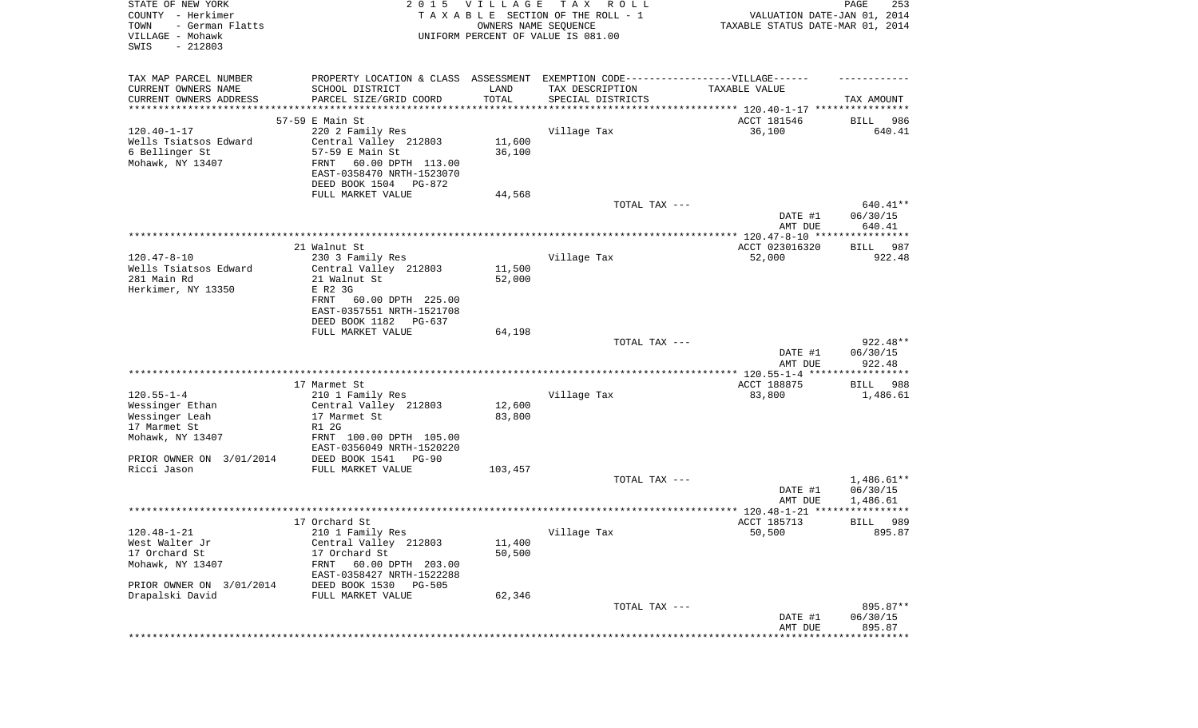| STATE OF NEW YORK<br>COUNTY - Herkimer<br>TOWN<br>- German Flatts<br>VILLAGE - Mohawk<br>SWIS<br>$-212803$ | 2 0 1 5                                                                          | VILLAGE<br>OWNERS NAME SEQUENCE | TAX ROLL<br>TAXABLE SECTION OF THE ROLL - 1<br>UNIFORM PERCENT OF VALUE IS 081.00 | VALUATION DATE-JAN 01, 2014<br>TAXABLE STATUS DATE-MAR 01, 2014 | PAGE<br>253          |
|------------------------------------------------------------------------------------------------------------|----------------------------------------------------------------------------------|---------------------------------|-----------------------------------------------------------------------------------|-----------------------------------------------------------------|----------------------|
| TAX MAP PARCEL NUMBER                                                                                      | PROPERTY LOCATION & CLASS ASSESSMENT EXEMPTION CODE----------------VILLAGE------ |                                 |                                                                                   |                                                                 |                      |
| CURRENT OWNERS NAME                                                                                        | SCHOOL DISTRICT                                                                  | LAND                            | TAX DESCRIPTION                                                                   | TAXABLE VALUE                                                   |                      |
| CURRENT OWNERS ADDRESS<br>**********************                                                           | PARCEL SIZE/GRID COORD<br>********************************                       | TOTAL                           | SPECIAL DISTRICTS                                                                 |                                                                 | TAX AMOUNT           |
|                                                                                                            | 57-59 E Main St                                                                  |                                 |                                                                                   | ACCT 181546                                                     | 986<br>BILL          |
| $120.40 - 1 - 17$                                                                                          | 220 2 Family Res                                                                 |                                 | Village Tax                                                                       | 36,100                                                          | 640.41               |
| Wells Tsiatsos Edward                                                                                      | Central Valley 212803                                                            | 11,600                          |                                                                                   |                                                                 |                      |
| 6 Bellinger St                                                                                             | 57-59 E Main St                                                                  | 36,100                          |                                                                                   |                                                                 |                      |
| Mohawk, NY 13407                                                                                           | FRNT<br>60.00 DPTH 113.00                                                        |                                 |                                                                                   |                                                                 |                      |
|                                                                                                            | EAST-0358470 NRTH-1523070                                                        |                                 |                                                                                   |                                                                 |                      |
|                                                                                                            | DEED BOOK 1504 PG-872                                                            |                                 |                                                                                   |                                                                 |                      |
|                                                                                                            | FULL MARKET VALUE                                                                | 44,568                          | TOTAL TAX ---                                                                     |                                                                 | 640.41**             |
|                                                                                                            |                                                                                  |                                 |                                                                                   | DATE #1<br>AMT DUE                                              | 06/30/15<br>640.41   |
|                                                                                                            |                                                                                  |                                 |                                                                                   |                                                                 |                      |
|                                                                                                            | 21 Walnut St                                                                     |                                 |                                                                                   | ACCT 023016320                                                  | 987<br>BILL          |
| $120.47 - 8 - 10$                                                                                          | 230 3 Family Res                                                                 |                                 | Village Tax                                                                       | 52,000                                                          | 922.48               |
| Wells Tsiatsos Edward                                                                                      | Central Valley 212803                                                            | 11,500                          |                                                                                   |                                                                 |                      |
| 281 Main Rd                                                                                                | 21 Walnut St                                                                     | 52,000                          |                                                                                   |                                                                 |                      |
| Herkimer, NY 13350                                                                                         | E R2 3G<br>FRNT<br>60.00 DPTH 225.00                                             |                                 |                                                                                   |                                                                 |                      |
|                                                                                                            | EAST-0357551 NRTH-1521708                                                        |                                 |                                                                                   |                                                                 |                      |
|                                                                                                            | DEED BOOK 1182<br>PG-637                                                         |                                 |                                                                                   |                                                                 |                      |
|                                                                                                            | FULL MARKET VALUE                                                                | 64,198                          |                                                                                   |                                                                 |                      |
|                                                                                                            |                                                                                  |                                 | TOTAL TAX ---                                                                     |                                                                 | $922.48**$           |
|                                                                                                            |                                                                                  |                                 |                                                                                   | DATE #1<br>AMT DUE                                              | 06/30/15<br>922.48   |
|                                                                                                            |                                                                                  |                                 |                                                                                   | ************** 120.55-1-4 ******************                    |                      |
| $120.55 - 1 - 4$                                                                                           | 17 Marmet St                                                                     |                                 |                                                                                   | ACCT 188875                                                     | <b>BILL</b><br>988   |
| Wessinger Ethan                                                                                            | 210 1 Family Res<br>Central Valley 212803                                        | 12,600                          | Village Tax                                                                       | 83,800                                                          | 1,486.61             |
| Wessinger Leah                                                                                             | 17 Marmet St                                                                     | 83,800                          |                                                                                   |                                                                 |                      |
| 17 Marmet St                                                                                               | R1 2G                                                                            |                                 |                                                                                   |                                                                 |                      |
| Mohawk, NY 13407                                                                                           | FRNT 100.00 DPTH 105.00<br>EAST-0356049 NRTH-1520220                             |                                 |                                                                                   |                                                                 |                      |
| PRIOR OWNER ON 3/01/2014                                                                                   | DEED BOOK 1541 PG-90                                                             |                                 |                                                                                   |                                                                 |                      |
| Ricci Jason                                                                                                | FULL MARKET VALUE                                                                | 103,457                         |                                                                                   |                                                                 |                      |
|                                                                                                            |                                                                                  |                                 | TOTAL TAX ---                                                                     |                                                                 | $1,486.61**$         |
|                                                                                                            |                                                                                  |                                 |                                                                                   | DATE #1<br>AMT DUE                                              | 06/30/15<br>1,486.61 |
|                                                                                                            |                                                                                  |                                 |                                                                                   |                                                                 |                      |
|                                                                                                            | 17 Orchard St                                                                    |                                 |                                                                                   | ACCT 185713                                                     | 989<br>BILL          |
| 120.48-1-21                                                                                                | 210 1 Family Res                                                                 |                                 | Village Tax                                                                       | 50,500                                                          | 895.87               |
| West Walter Jr                                                                                             | Central Valley 212803                                                            | 11,400                          |                                                                                   |                                                                 |                      |
| 17 Orchard St<br>Mohawk, NY 13407                                                                          | 17 Orchard St<br>60.00 DPTH 203.00<br>FRNT                                       | 50,500                          |                                                                                   |                                                                 |                      |
|                                                                                                            | EAST-0358427 NRTH-1522288                                                        |                                 |                                                                                   |                                                                 |                      |
| PRIOR OWNER ON 3/01/2014                                                                                   | DEED BOOK 1530 PG-505                                                            |                                 |                                                                                   |                                                                 |                      |
| Drapalski David                                                                                            | FULL MARKET VALUE                                                                | 62,346                          | TOTAL TAX ---                                                                     |                                                                 | 895.87**             |
|                                                                                                            |                                                                                  |                                 |                                                                                   | DATE #1                                                         | 06/30/15             |
|                                                                                                            |                                                                                  |                                 |                                                                                   | AMT DUE                                                         | 895.87               |
|                                                                                                            |                                                                                  |                                 |                                                                                   | ***************************                                     |                      |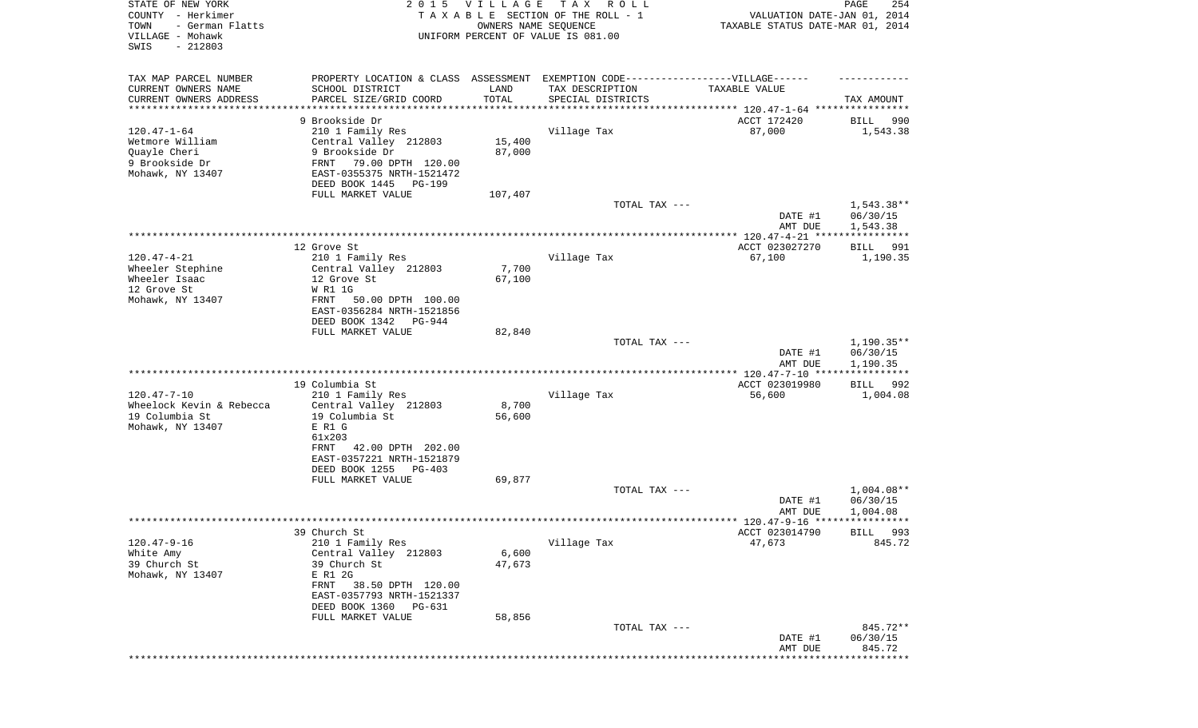| STATE OF NEW YORK<br>COUNTY - Herkimer<br>- German Flatts<br>TOWN<br>VILLAGE - Mohawk<br>SWIS<br>$-212803$ | 2 0 1 5                                                                           | <b>VILLAGE</b><br>OWNERS NAME SEQUENCE | T A X<br>R O L L<br>TAXABLE SECTION OF THE ROLL - 1<br>UNIFORM PERCENT OF VALUE IS 081.00 | VALUATION DATE-JAN 01, 2014<br>TAXABLE STATUS DATE-MAR 01, 2014 | PAGE<br>254               |
|------------------------------------------------------------------------------------------------------------|-----------------------------------------------------------------------------------|----------------------------------------|-------------------------------------------------------------------------------------------|-----------------------------------------------------------------|---------------------------|
| TAX MAP PARCEL NUMBER                                                                                      | PROPERTY LOCATION & CLASS ASSESSMENT EXEMPTION CODE-----------------VILLAGE------ |                                        |                                                                                           |                                                                 |                           |
| CURRENT OWNERS NAME<br>CURRENT OWNERS ADDRESS                                                              | SCHOOL DISTRICT<br>PARCEL SIZE/GRID COORD                                         | LAND<br>TOTAL                          | TAX DESCRIPTION<br>SPECIAL DISTRICTS                                                      | TAXABLE VALUE                                                   | TAX AMOUNT                |
| *********************                                                                                      |                                                                                   | * * * * * * * * * * *                  |                                                                                           |                                                                 |                           |
| $120.47 - 1 - 64$                                                                                          | 9 Brookside Dr<br>210 1 Family Res                                                |                                        | Village Tax                                                                               | ACCT 172420<br>87,000                                           | 990<br>BILL<br>1,543.38   |
| Wetmore William                                                                                            | Central Valley 212803                                                             | 15,400                                 |                                                                                           |                                                                 |                           |
| Quayle Cheri                                                                                               | 9 Brookside Dr                                                                    | 87,000                                 |                                                                                           |                                                                 |                           |
| 9 Brookside Dr                                                                                             | FRNT<br>79.00 DPTH 120.00                                                         |                                        |                                                                                           |                                                                 |                           |
| Mohawk, NY 13407                                                                                           | EAST-0355375 NRTH-1521472                                                         |                                        |                                                                                           |                                                                 |                           |
|                                                                                                            | DEED BOOK 1445<br>PG-199<br>FULL MARKET VALUE                                     | 107,407                                |                                                                                           |                                                                 |                           |
|                                                                                                            |                                                                                   |                                        | TOTAL TAX ---                                                                             |                                                                 | $1,543.38**$              |
|                                                                                                            |                                                                                   |                                        |                                                                                           | DATE #1<br>AMT DUE                                              | 06/30/15<br>1,543.38      |
|                                                                                                            |                                                                                   |                                        |                                                                                           |                                                                 |                           |
|                                                                                                            | 12 Grove St                                                                       |                                        |                                                                                           | ACCT 023027270                                                  | 991<br>BILL               |
| $120.47 - 4 - 21$<br>Wheeler Stephine                                                                      | 210 1 Family Res<br>Central Valley 212803                                         | 7,700                                  | Village Tax                                                                               | 67,100                                                          | 1,190.35                  |
| Wheeler Isaac                                                                                              | 12 Grove St                                                                       | 67,100                                 |                                                                                           |                                                                 |                           |
| 12 Grove St                                                                                                | W R1 1G                                                                           |                                        |                                                                                           |                                                                 |                           |
| Mohawk, NY 13407                                                                                           | 50.00 DPTH 100.00<br>FRNT                                                         |                                        |                                                                                           |                                                                 |                           |
|                                                                                                            | EAST-0356284 NRTH-1521856                                                         |                                        |                                                                                           |                                                                 |                           |
|                                                                                                            | DEED BOOK 1342<br>PG-944<br>FULL MARKET VALUE                                     | 82,840                                 |                                                                                           |                                                                 |                           |
|                                                                                                            |                                                                                   |                                        | TOTAL TAX ---                                                                             |                                                                 | $1,190.35**$              |
|                                                                                                            |                                                                                   |                                        |                                                                                           | DATE #1                                                         | 06/30/15                  |
|                                                                                                            |                                                                                   |                                        |                                                                                           | AMT DUE<br>************** 120.47-7-10 *****************         | 1,190.35                  |
|                                                                                                            | 19 Columbia St                                                                    |                                        |                                                                                           | ACCT 023019980                                                  | <b>BILL</b><br>992        |
| $120.47 - 7 - 10$                                                                                          | 210 1 Family Res                                                                  |                                        | Village Tax                                                                               | 56,600                                                          | 1,004.08                  |
| Wheelock Kevin & Rebecca                                                                                   | Central Valley 212803                                                             | 8,700                                  |                                                                                           |                                                                 |                           |
| 19 Columbia St                                                                                             | 19 Columbia St<br>E R1 G                                                          | 56,600                                 |                                                                                           |                                                                 |                           |
| Mohawk, NY 13407                                                                                           | 61x203                                                                            |                                        |                                                                                           |                                                                 |                           |
|                                                                                                            | 42.00 DPTH 202.00<br>FRNT                                                         |                                        |                                                                                           |                                                                 |                           |
|                                                                                                            | EAST-0357221 NRTH-1521879                                                         |                                        |                                                                                           |                                                                 |                           |
|                                                                                                            | DEED BOOK 1255<br>PG-403                                                          |                                        |                                                                                           |                                                                 |                           |
|                                                                                                            | FULL MARKET VALUE                                                                 | 69,877                                 | TOTAL TAX ---                                                                             |                                                                 | $1,004.08**$              |
|                                                                                                            |                                                                                   |                                        |                                                                                           | DATE #1                                                         | 06/30/15                  |
|                                                                                                            |                                                                                   |                                        |                                                                                           | AMT DUE                                                         | 1,004.08                  |
|                                                                                                            |                                                                                   |                                        |                                                                                           |                                                                 |                           |
| $120.47 - 9 - 16$                                                                                          | 39 Church St                                                                      |                                        |                                                                                           | ACCT 023014790<br>47,673                                        | 993<br>BILL<br>845.72     |
| White Amy                                                                                                  | 210 1 Family Res<br>Central Valley 212803                                         | 6,600                                  | Village Tax                                                                               |                                                                 |                           |
| 39 Church St                                                                                               | 39 Church St                                                                      | 47,673                                 |                                                                                           |                                                                 |                           |
| Mohawk, NY 13407                                                                                           | E R1 2G                                                                           |                                        |                                                                                           |                                                                 |                           |
|                                                                                                            | 38.50 DPTH 120.00<br>FRNT                                                         |                                        |                                                                                           |                                                                 |                           |
|                                                                                                            | EAST-0357793 NRTH-1521337<br>DEED BOOK 1360<br>PG-631                             |                                        |                                                                                           |                                                                 |                           |
|                                                                                                            | FULL MARKET VALUE                                                                 | 58,856                                 |                                                                                           |                                                                 |                           |
|                                                                                                            |                                                                                   |                                        | TOTAL TAX ---                                                                             |                                                                 | 845.72**                  |
|                                                                                                            |                                                                                   |                                        |                                                                                           | DATE #1                                                         | 06/30/15                  |
|                                                                                                            |                                                                                   |                                        |                                                                                           | AMT DUE                                                         | 845.72<br>* * * * * * * * |
|                                                                                                            |                                                                                   |                                        |                                                                                           |                                                                 |                           |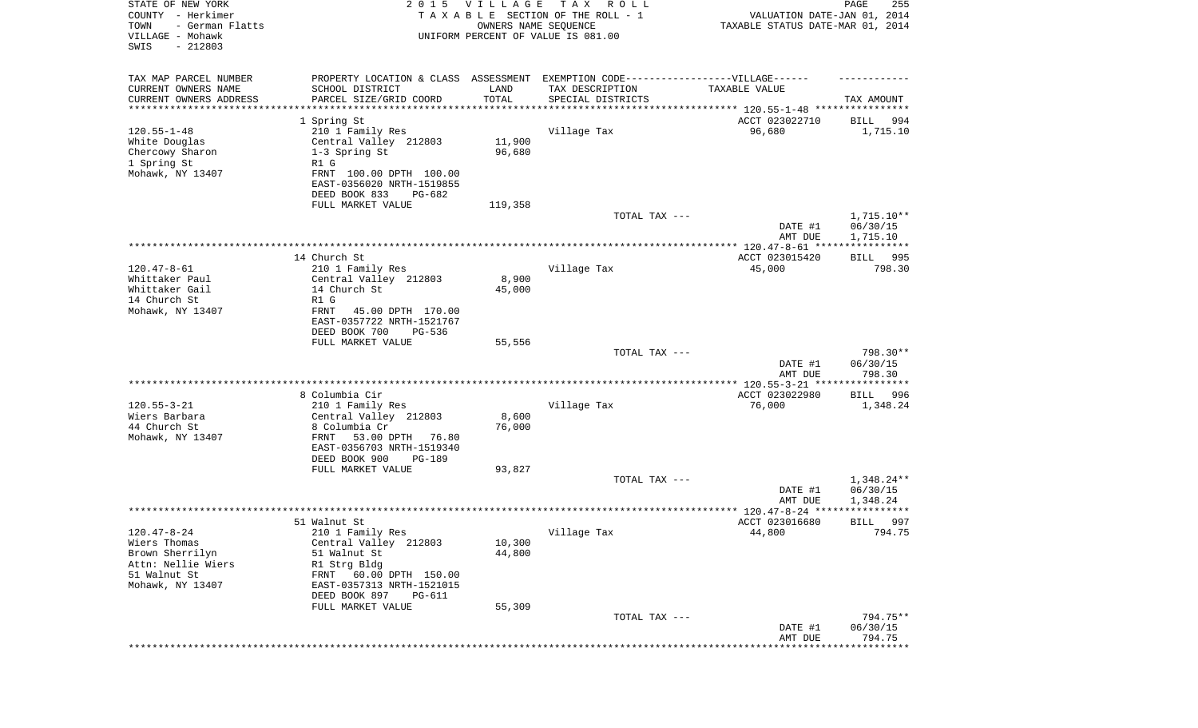| STATE OF NEW YORK<br>COUNTY - Herkimer<br>- German Flatts<br>TOWN<br>VILLAGE - Mohawk<br>SWIS<br>$-212803$ | 2 0 1 5                                                                          | V I L L A G E<br>OWNERS NAME SEQUENCE | TAX ROLL<br>TAXABLE SECTION OF THE ROLL - 1<br>UNIFORM PERCENT OF VALUE IS 081.00 | VALUATION DATE-JAN 01, 2014<br>TAXABLE STATUS DATE-MAR 01, 2014    | PAGE<br>255             |
|------------------------------------------------------------------------------------------------------------|----------------------------------------------------------------------------------|---------------------------------------|-----------------------------------------------------------------------------------|--------------------------------------------------------------------|-------------------------|
|                                                                                                            |                                                                                  |                                       |                                                                                   |                                                                    |                         |
| TAX MAP PARCEL NUMBER                                                                                      | PROPERTY LOCATION & CLASS ASSESSMENT EXEMPTION CODE----------------VILLAGE------ |                                       |                                                                                   |                                                                    |                         |
| CURRENT OWNERS NAME                                                                                        | SCHOOL DISTRICT                                                                  | LAND                                  | TAX DESCRIPTION                                                                   | TAXABLE VALUE                                                      |                         |
| CURRENT OWNERS ADDRESS<br>********************                                                             | PARCEL SIZE/GRID COORD                                                           | TOTAL<br>**********                   | SPECIAL DISTRICTS                                                                 | ************************************* 120.55-1-48 **************** | TAX AMOUNT              |
|                                                                                                            | 1 Spring St                                                                      |                                       |                                                                                   | ACCT 023022710                                                     | 994<br>BILL             |
| $120.55 - 1 - 48$                                                                                          | 210 1 Family Res                                                                 |                                       | Village Tax                                                                       | 96,680                                                             | 1,715.10                |
| White Douglas                                                                                              | Central Valley 212803                                                            | 11,900                                |                                                                                   |                                                                    |                         |
| Chercowy Sharon                                                                                            | 1-3 Spring St                                                                    | 96,680                                |                                                                                   |                                                                    |                         |
| 1 Spring St                                                                                                | R1 G                                                                             |                                       |                                                                                   |                                                                    |                         |
| Mohawk, NY 13407                                                                                           | FRNT 100.00 DPTH 100.00                                                          |                                       |                                                                                   |                                                                    |                         |
|                                                                                                            | EAST-0356020 NRTH-1519855                                                        |                                       |                                                                                   |                                                                    |                         |
|                                                                                                            | DEED BOOK 833<br>PG-682<br>FULL MARKET VALUE                                     | 119,358                               |                                                                                   |                                                                    |                         |
|                                                                                                            |                                                                                  |                                       | TOTAL TAX ---                                                                     |                                                                    | 1,715.10**              |
|                                                                                                            |                                                                                  |                                       |                                                                                   | DATE #1                                                            | 06/30/15                |
|                                                                                                            |                                                                                  |                                       |                                                                                   | AMT DUE                                                            | 1,715.10                |
|                                                                                                            |                                                                                  |                                       |                                                                                   |                                                                    |                         |
|                                                                                                            | 14 Church St                                                                     |                                       |                                                                                   | ACCT 023015420                                                     | BILL<br>995             |
| $120.47 - 8 - 61$<br>Whittaker Paul                                                                        | 210 1 Family Res<br>Central Valley 212803                                        | 8,900                                 | Village Tax                                                                       | 45,000                                                             | 798.30                  |
| Whittaker Gail                                                                                             | 14 Church St                                                                     | 45,000                                |                                                                                   |                                                                    |                         |
| 14 Church St                                                                                               | R1 G                                                                             |                                       |                                                                                   |                                                                    |                         |
| Mohawk, NY 13407                                                                                           | FRNT<br>45.00 DPTH 170.00                                                        |                                       |                                                                                   |                                                                    |                         |
|                                                                                                            | EAST-0357722 NRTH-1521767                                                        |                                       |                                                                                   |                                                                    |                         |
|                                                                                                            | DEED BOOK 700<br>PG-536                                                          |                                       |                                                                                   |                                                                    |                         |
|                                                                                                            | FULL MARKET VALUE                                                                | 55,556                                |                                                                                   |                                                                    | 798.30**                |
|                                                                                                            |                                                                                  |                                       | TOTAL TAX ---                                                                     | DATE #1                                                            | 06/30/15                |
|                                                                                                            |                                                                                  |                                       |                                                                                   | AMT DUE                                                            | 798.30                  |
|                                                                                                            |                                                                                  |                                       |                                                                                   |                                                                    | * * * * * * * * * * *   |
|                                                                                                            | 8 Columbia Cir                                                                   |                                       |                                                                                   | ACCT 023022980                                                     | BILL<br>996             |
| $120.55 - 3 - 21$                                                                                          | 210 1 Family Res                                                                 |                                       | Village Tax                                                                       | 76,000                                                             | 1,348.24                |
| Wiers Barbara                                                                                              | Central Valley 212803                                                            | 8,600                                 |                                                                                   |                                                                    |                         |
| 44 Church St<br>Mohawk, NY 13407                                                                           | 8 Columbia Cr<br>FRNT<br>53.00 DPTH<br>76.80                                     | 76,000                                |                                                                                   |                                                                    |                         |
|                                                                                                            | EAST-0356703 NRTH-1519340                                                        |                                       |                                                                                   |                                                                    |                         |
|                                                                                                            | DEED BOOK 900<br>PG-189                                                          |                                       |                                                                                   |                                                                    |                         |
|                                                                                                            | FULL MARKET VALUE                                                                | 93,827                                |                                                                                   |                                                                    |                         |
|                                                                                                            |                                                                                  |                                       | TOTAL TAX ---                                                                     |                                                                    | 1,348.24**              |
|                                                                                                            |                                                                                  |                                       |                                                                                   | DATE #1                                                            | 06/30/15                |
|                                                                                                            |                                                                                  |                                       |                                                                                   | AMT DUE                                                            | 1,348.24<br>* * * * * * |
|                                                                                                            | 51 Walnut St                                                                     |                                       |                                                                                   | ACCT 023016680                                                     | 997<br>BILL             |
| $120.47 - 8 - 24$                                                                                          | 210 1 Family Res                                                                 |                                       | Village Tax                                                                       | 44,800                                                             | 794.75                  |
| Wiers Thomas                                                                                               | Central Valley 212803                                                            | 10,300                                |                                                                                   |                                                                    |                         |
| Brown Sherrilyn                                                                                            | 51 Walnut St                                                                     | 44,800                                |                                                                                   |                                                                    |                         |
| Attn: Nellie Wiers                                                                                         | R1 Strg Bldg                                                                     |                                       |                                                                                   |                                                                    |                         |
| 51 Walnut St                                                                                               | FRNT 60.00 DPTH 150.00                                                           |                                       |                                                                                   |                                                                    |                         |
| Mohawk, NY 13407                                                                                           | EAST-0357313 NRTH-1521015<br>DEED BOOK 897<br>PG-611                             |                                       |                                                                                   |                                                                    |                         |
|                                                                                                            | FULL MARKET VALUE                                                                | 55,309                                |                                                                                   |                                                                    |                         |
|                                                                                                            |                                                                                  |                                       | TOTAL TAX ---                                                                     |                                                                    | 794.75**                |
|                                                                                                            |                                                                                  |                                       |                                                                                   | DATE #1                                                            | 06/30/15                |
|                                                                                                            |                                                                                  |                                       |                                                                                   | AMT DUE                                                            | 794.75                  |
|                                                                                                            |                                                                                  |                                       |                                                                                   |                                                                    | * * * * * * * * *       |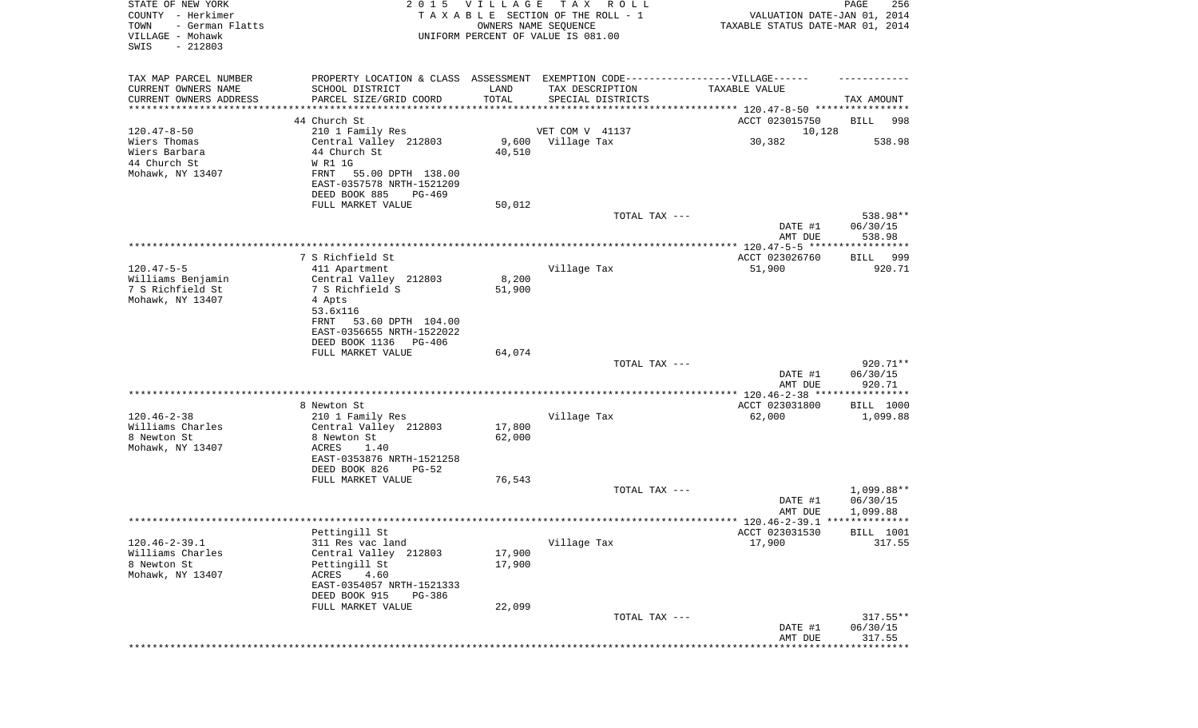| STATE OF NEW YORK<br>COUNTY - Herkimer<br>TOWN<br>- German Flatts<br>VILLAGE - Mohawk<br>SWIS<br>$-212803$ |                                                               | 2015 VILLAGE     | T A X<br>R O L L<br>TAXABLE SECTION OF THE ROLL - 1<br>OWNERS NAME SEQUENCE<br>UNIFORM PERCENT OF VALUE IS 081.00 | VALUATION DATE-JAN 01, 2014<br>TAXABLE STATUS DATE-MAR 01, 2014 | PAGE<br>256 |
|------------------------------------------------------------------------------------------------------------|---------------------------------------------------------------|------------------|-------------------------------------------------------------------------------------------------------------------|-----------------------------------------------------------------|-------------|
| TAX MAP PARCEL NUMBER                                                                                      |                                                               |                  | PROPERTY LOCATION & CLASS ASSESSMENT EXEMPTION CODE-----------------VILLAGE------                                 |                                                                 |             |
| CURRENT OWNERS NAME                                                                                        | SCHOOL DISTRICT                                               | LAND             | TAX DESCRIPTION                                                                                                   | TAXABLE VALUE                                                   |             |
| CURRENT OWNERS ADDRESS<br>********************                                                             | PARCEL SIZE/GRID COORD<br>* * * * * * * * * * * * * * * * * * | TOTAL            | SPECIAL DISTRICTS                                                                                                 |                                                                 | TAX AMOUNT  |
|                                                                                                            | 44 Church St                                                  |                  |                                                                                                                   | ACCT 023015750                                                  | BILL<br>998 |
| $120.47 - 8 - 50$                                                                                          | 210 1 Family Res                                              |                  | VET COM V 41137                                                                                                   | 10,128                                                          |             |
| Wiers Thomas                                                                                               | Central Valley 212803                                         | 9,600            | Village Tax                                                                                                       | 30,382                                                          | 538.98      |
| Wiers Barbara                                                                                              | 44 Church St                                                  | 40,510           |                                                                                                                   |                                                                 |             |
| 44 Church St                                                                                               | W R1 1G                                                       |                  |                                                                                                                   |                                                                 |             |
| Mohawk, NY 13407                                                                                           | FRNT<br>55.00 DPTH 138.00                                     |                  |                                                                                                                   |                                                                 |             |
|                                                                                                            | EAST-0357578 NRTH-1521209                                     |                  |                                                                                                                   |                                                                 |             |
|                                                                                                            | DEED BOOK 885<br>PG-469<br>FULL MARKET VALUE                  | 50,012           |                                                                                                                   |                                                                 |             |
|                                                                                                            |                                                               |                  | TOTAL TAX ---                                                                                                     |                                                                 | 538.98**    |
|                                                                                                            |                                                               |                  |                                                                                                                   | DATE #1                                                         | 06/30/15    |
|                                                                                                            |                                                               |                  |                                                                                                                   | AMT DUE                                                         | 538.98      |
|                                                                                                            |                                                               |                  |                                                                                                                   |                                                                 |             |
|                                                                                                            | 7 S Richfield St                                              |                  |                                                                                                                   | ACCT 023026760                                                  | BILL 999    |
| $120.47 - 5 - 5$<br>Williams Benjamin                                                                      | 411 Apartment<br>Central Valley 212803                        | 8,200            | Village Tax                                                                                                       | 51,900                                                          | 920.71      |
| 7 S Richfield St                                                                                           | 7 S Richfield S                                               | 51,900           |                                                                                                                   |                                                                 |             |
| Mohawk, NY 13407                                                                                           | 4 Apts                                                        |                  |                                                                                                                   |                                                                 |             |
|                                                                                                            | 53.6x116                                                      |                  |                                                                                                                   |                                                                 |             |
|                                                                                                            | 53.60 DPTH 104.00<br>FRNT                                     |                  |                                                                                                                   |                                                                 |             |
|                                                                                                            | EAST-0356655 NRTH-1522022                                     |                  |                                                                                                                   |                                                                 |             |
|                                                                                                            | DEED BOOK 1136<br>PG-406                                      |                  |                                                                                                                   |                                                                 |             |
|                                                                                                            | FULL MARKET VALUE                                             | 64,074           | TOTAL TAX ---                                                                                                     |                                                                 | 920.71**    |
|                                                                                                            |                                                               |                  |                                                                                                                   | DATE #1                                                         | 06/30/15    |
|                                                                                                            |                                                               |                  |                                                                                                                   | AMT DUE                                                         | 920.71      |
|                                                                                                            |                                                               |                  |                                                                                                                   |                                                                 |             |
|                                                                                                            | 8 Newton St                                                   |                  |                                                                                                                   | ACCT 023031800                                                  | BILL 1000   |
| $120.46 - 2 - 38$                                                                                          | 210 1 Family Res                                              |                  | Village Tax                                                                                                       | 62,000                                                          | 1,099.88    |
| Williams Charles<br>8 Newton St                                                                            | Central Valley 212803<br>8 Newton St                          | 17,800<br>62,000 |                                                                                                                   |                                                                 |             |
| Mohawk, NY 13407                                                                                           | ACRES<br>1.40                                                 |                  |                                                                                                                   |                                                                 |             |
|                                                                                                            | EAST-0353876 NRTH-1521258                                     |                  |                                                                                                                   |                                                                 |             |
|                                                                                                            | DEED BOOK 826<br>$PG-52$                                      |                  |                                                                                                                   |                                                                 |             |
|                                                                                                            | FULL MARKET VALUE                                             | 76,543           |                                                                                                                   |                                                                 |             |
|                                                                                                            |                                                               |                  | TOTAL TAX ---                                                                                                     |                                                                 | 1,099.88**  |
|                                                                                                            |                                                               |                  |                                                                                                                   | DATE #1                                                         | 06/30/15    |
|                                                                                                            |                                                               |                  |                                                                                                                   | AMT DUE                                                         | 1,099.88    |
|                                                                                                            | Pettingill St                                                 |                  |                                                                                                                   | ACCT 023031530                                                  | BILL 1001   |
| $120.46 - 2 - 39.1$                                                                                        | 311 Res vac land                                              |                  | Village Tax                                                                                                       | 17,900                                                          | 317.55      |
| Williams Charles                                                                                           | Central Valley 212803                                         | 17,900           |                                                                                                                   |                                                                 |             |
| 8 Newton St                                                                                                | Pettingill St                                                 | 17,900           |                                                                                                                   |                                                                 |             |
| Mohawk, NY 13407                                                                                           | ACRES<br>4.60                                                 |                  |                                                                                                                   |                                                                 |             |
|                                                                                                            | EAST-0354057 NRTH-1521333                                     |                  |                                                                                                                   |                                                                 |             |
|                                                                                                            | DEED BOOK 915<br>PG-386<br>FULL MARKET VALUE                  | 22,099           |                                                                                                                   |                                                                 |             |
|                                                                                                            |                                                               |                  | TOTAL TAX ---                                                                                                     |                                                                 | $317.55**$  |
|                                                                                                            |                                                               |                  |                                                                                                                   | DATE #1                                                         | 06/30/15    |
|                                                                                                            |                                                               |                  |                                                                                                                   | AMT DUE                                                         | 317.55      |
|                                                                                                            |                                                               |                  |                                                                                                                   |                                                                 |             |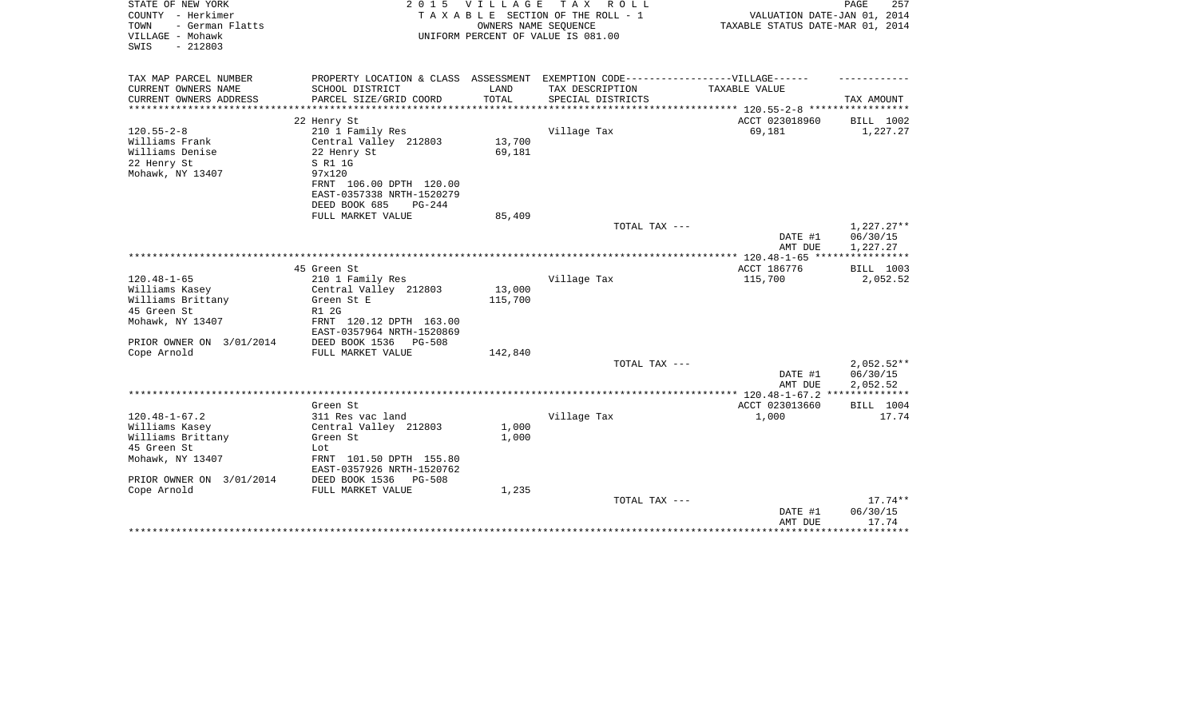| STATE OF NEW YORK<br>COUNTY - Herkimer                           | 2 0 1 5                                                | V I L L A G E | T A X<br>R O L L<br>TAXABLE SECTION OF THE ROLL - 1                               | VALUATION DATE-JAN 01, 2014         | PAGE<br>257             |
|------------------------------------------------------------------|--------------------------------------------------------|---------------|-----------------------------------------------------------------------------------|-------------------------------------|-------------------------|
| TOWN<br>- German Flatts<br>VILLAGE - Mohawk<br>$-212803$<br>SWIS |                                                        |               | OWNERS NAME SEOUENCE<br>UNIFORM PERCENT OF VALUE IS 081.00                        | TAXABLE STATUS DATE-MAR 01, 2014    |                         |
| TAX MAP PARCEL NUMBER                                            |                                                        |               | PROPERTY LOCATION & CLASS ASSESSMENT EXEMPTION CODE-----------------VILLAGE------ |                                     |                         |
| CURRENT OWNERS NAME                                              | SCHOOL DISTRICT                                        | LAND          | TAX DESCRIPTION                                                                   | TAXABLE VALUE                       |                         |
| CURRENT OWNERS ADDRESS                                           | PARCEL SIZE/GRID COORD                                 | TOTAL         | SPECIAL DISTRICTS                                                                 |                                     | TAX AMOUNT              |
|                                                                  |                                                        |               |                                                                                   |                                     |                         |
|                                                                  | 22 Henry St                                            |               |                                                                                   | ACCT 023018960                      | BILL 1002               |
| $120.55 - 2 - 8$                                                 | 210 1 Family Res                                       |               | Village Tax                                                                       | 69,181                              | 1,227.27                |
| Williams Frank                                                   | Central Valley 212803                                  | 13,700        |                                                                                   |                                     |                         |
| Williams Denise                                                  | 22 Henry St                                            | 69,181        |                                                                                   |                                     |                         |
| 22 Henry St                                                      | S R1 1G                                                |               |                                                                                   |                                     |                         |
| Mohawk, NY 13407                                                 | 97x120                                                 |               |                                                                                   |                                     |                         |
|                                                                  | FRNT 106.00 DPTH 120.00                                |               |                                                                                   |                                     |                         |
|                                                                  | EAST-0357338 NRTH-1520279<br>DEED BOOK 685<br>$PG-244$ |               |                                                                                   |                                     |                         |
|                                                                  | FULL MARKET VALUE                                      | 85,409        |                                                                                   |                                     |                         |
|                                                                  |                                                        |               | TOTAL TAX ---                                                                     |                                     | $1,227.27**$            |
|                                                                  |                                                        |               |                                                                                   | DATE #1                             | 06/30/15                |
|                                                                  |                                                        |               |                                                                                   | AMT DUE                             | 1,227.27                |
|                                                                  |                                                        |               |                                                                                   |                                     | * * * * * * * * * * * * |
|                                                                  | 45 Green St                                            |               |                                                                                   | ACCT 186776                         | BILL 1003               |
| $120.48 - 1 - 65$                                                | 210 1 Family Res                                       |               | Village Tax                                                                       | 115,700                             | 2,052.52                |
| Williams Kasey                                                   | Central Valley 212803                                  | 13,000        |                                                                                   |                                     |                         |
| Williams Brittany                                                | Green St E                                             | 115,700       |                                                                                   |                                     |                         |
| 45 Green St                                                      | R1 2G                                                  |               |                                                                                   |                                     |                         |
| Mohawk, NY 13407                                                 | FRNT 120.12 DPTH 163.00<br>EAST-0357964 NRTH-1520869   |               |                                                                                   |                                     |                         |
| PRIOR OWNER ON 3/01/2014                                         | DEED BOOK 1536<br>PG-508                               |               |                                                                                   |                                     |                         |
| Cope Arnold                                                      | FULL MARKET VALUE                                      | 142,840       |                                                                                   |                                     |                         |
|                                                                  |                                                        |               | TOTAL TAX ---                                                                     |                                     | $2,052.52**$            |
|                                                                  |                                                        |               |                                                                                   | DATE #1                             | 06/30/15                |
|                                                                  |                                                        |               |                                                                                   | AMT DUE                             | 2,052.52<br>*********** |
|                                                                  | Green St                                               |               |                                                                                   | *** 120.48-1-67.2<br>ACCT 023013660 | BILL 1004               |
| $120.48 - 1 - 67.2$                                              | 311 Res vac land                                       |               | Village Tax                                                                       | 1,000                               | 17.74                   |
| Williams Kasey                                                   | Central Valley 212803                                  | 1,000         |                                                                                   |                                     |                         |
| Williams Brittany                                                | Green St                                               | 1,000         |                                                                                   |                                     |                         |
| 45 Green St                                                      | Lot                                                    |               |                                                                                   |                                     |                         |
| Mohawk, NY 13407                                                 | FRNT 101.50 DPTH 155.80                                |               |                                                                                   |                                     |                         |
|                                                                  | EAST-0357926 NRTH-1520762                              |               |                                                                                   |                                     |                         |
| PRIOR OWNER ON 3/01/2014                                         | DEED BOOK 1536<br>PG-508                               |               |                                                                                   |                                     |                         |
| Cope Arnold                                                      | FULL MARKET VALUE                                      | 1,235         |                                                                                   |                                     |                         |
|                                                                  |                                                        |               | TOTAL TAX ---                                                                     |                                     | $17.74**$               |
|                                                                  |                                                        |               |                                                                                   | DATE #1                             | 06/30/15                |
|                                                                  |                                                        |               |                                                                                   | AMT DUE                             | 17.74                   |
|                                                                  |                                                        |               |                                                                                   |                                     | ********                |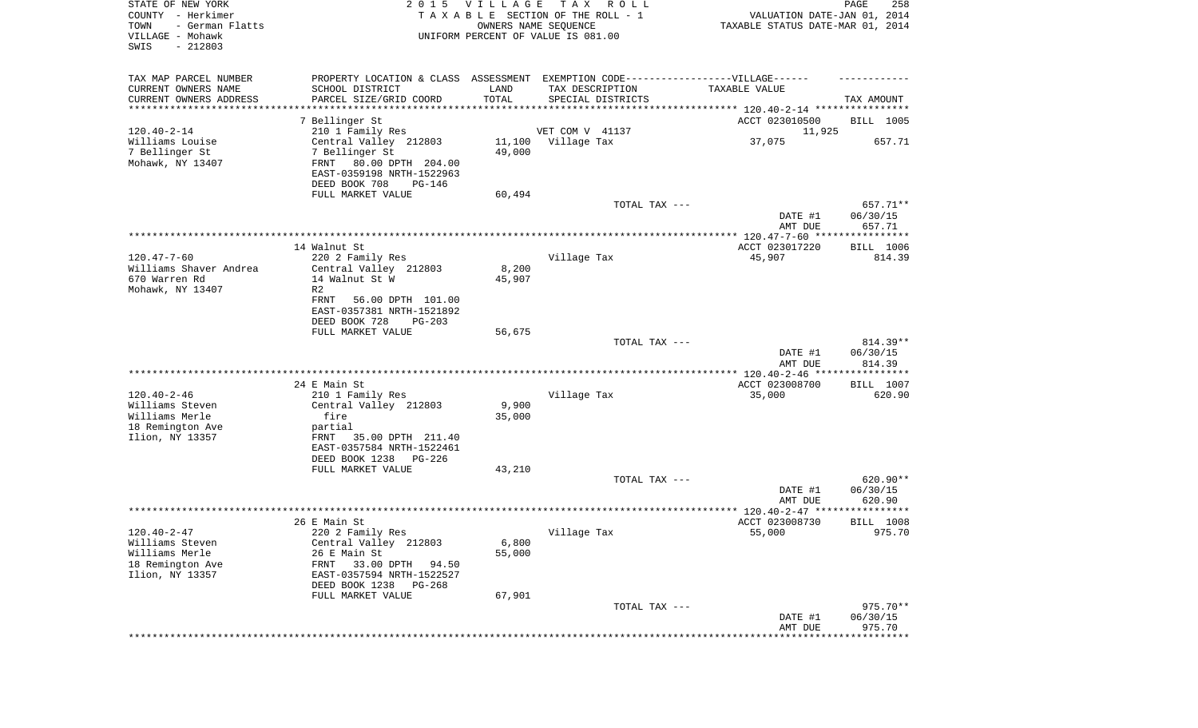| STATE OF NEW YORK<br>COUNTY - Herkimer<br>TOWN<br>- German Flatts<br>VILLAGE - Mohawk<br>SWIS<br>$-212803$ | 2 0 1 5                                                                           | <b>VILLAGE</b><br>OWNERS NAME SEQUENCE | T A X<br>R O L L<br>TAXABLE SECTION OF THE ROLL - 1<br>UNIFORM PERCENT OF VALUE IS 081.00 | VALUATION DATE-JAN 01, 2014<br>TAXABLE STATUS DATE-MAR 01, 2014 | PAGE<br>258            |
|------------------------------------------------------------------------------------------------------------|-----------------------------------------------------------------------------------|----------------------------------------|-------------------------------------------------------------------------------------------|-----------------------------------------------------------------|------------------------|
| TAX MAP PARCEL NUMBER                                                                                      | PROPERTY LOCATION & CLASS ASSESSMENT EXEMPTION CODE-----------------VILLAGE------ |                                        |                                                                                           |                                                                 |                        |
| CURRENT OWNERS NAME                                                                                        | SCHOOL DISTRICT                                                                   | LAND                                   | TAX DESCRIPTION                                                                           | TAXABLE VALUE                                                   |                        |
| CURRENT OWNERS ADDRESS<br>********************                                                             | PARCEL SIZE/GRID COORD                                                            | TOTAL                                  | SPECIAL DISTRICTS                                                                         |                                                                 | TAX AMOUNT             |
|                                                                                                            | 7 Bellinger St                                                                    |                                        |                                                                                           | ACCT 023010500                                                  | BILL 1005              |
| $120.40 - 2 - 14$                                                                                          | 210 1 Family Res                                                                  |                                        | VET COM V 41137                                                                           | 11,925                                                          |                        |
| Williams Louise                                                                                            | Central Valley 212803                                                             | 11,100                                 | Village Tax                                                                               | 37,075                                                          | 657.71                 |
| 7 Bellinger St                                                                                             | 7 Bellinger St                                                                    | 49,000                                 |                                                                                           |                                                                 |                        |
| Mohawk, NY 13407                                                                                           | FRNT<br>80.00 DPTH 204.00                                                         |                                        |                                                                                           |                                                                 |                        |
|                                                                                                            | EAST-0359198 NRTH-1522963                                                         |                                        |                                                                                           |                                                                 |                        |
|                                                                                                            | DEED BOOK 708<br>PG-146                                                           |                                        |                                                                                           |                                                                 |                        |
|                                                                                                            | FULL MARKET VALUE                                                                 | 60,494                                 | TOTAL TAX ---                                                                             |                                                                 | 657.71**               |
|                                                                                                            |                                                                                   |                                        |                                                                                           | DATE #1                                                         | 06/30/15               |
|                                                                                                            |                                                                                   |                                        |                                                                                           | AMT DUE                                                         | 657.71                 |
|                                                                                                            |                                                                                   |                                        |                                                                                           |                                                                 |                        |
|                                                                                                            | 14 Walnut St                                                                      |                                        |                                                                                           | ACCT 023017220                                                  | BILL 1006              |
| $120.47 - 7 - 60$                                                                                          | 220 2 Family Res                                                                  |                                        | Village Tax                                                                               | 45,907                                                          | 814.39                 |
| Williams Shaver Andrea<br>670 Warren Rd                                                                    | Central Valley 212803<br>14 Walnut St W                                           | 8,200<br>45,907                        |                                                                                           |                                                                 |                        |
| Mohawk, NY 13407                                                                                           | R <sub>2</sub>                                                                    |                                        |                                                                                           |                                                                 |                        |
|                                                                                                            | FRNT<br>56.00 DPTH 101.00                                                         |                                        |                                                                                           |                                                                 |                        |
|                                                                                                            | EAST-0357381 NRTH-1521892                                                         |                                        |                                                                                           |                                                                 |                        |
|                                                                                                            | DEED BOOK 728<br>$PG-203$                                                         |                                        |                                                                                           |                                                                 |                        |
|                                                                                                            | FULL MARKET VALUE                                                                 | 56,675                                 |                                                                                           |                                                                 |                        |
|                                                                                                            |                                                                                   |                                        | TOTAL TAX ---                                                                             | DATE #1                                                         | $814.39**$<br>06/30/15 |
|                                                                                                            |                                                                                   |                                        |                                                                                           | AMT DUE                                                         | 814.39                 |
|                                                                                                            |                                                                                   |                                        |                                                                                           | ************ 120.40-2-46 *****************                      |                        |
|                                                                                                            | 24 E Main St                                                                      |                                        |                                                                                           | ACCT 023008700                                                  | BILL 1007              |
| $120.40 - 2 - 46$                                                                                          | 210 1 Family Res                                                                  |                                        | Village Tax                                                                               | 35,000                                                          | 620.90                 |
| Williams Steven                                                                                            | Central Valley 212803                                                             | 9,900                                  |                                                                                           |                                                                 |                        |
| Williams Merle                                                                                             | fire                                                                              | 35,000                                 |                                                                                           |                                                                 |                        |
| 18 Remington Ave<br>Ilion, NY 13357                                                                        | partial<br>FRNT<br>35.00 DPTH 211.40                                              |                                        |                                                                                           |                                                                 |                        |
|                                                                                                            | EAST-0357584 NRTH-1522461                                                         |                                        |                                                                                           |                                                                 |                        |
|                                                                                                            | DEED BOOK 1238 PG-226                                                             |                                        |                                                                                           |                                                                 |                        |
|                                                                                                            | FULL MARKET VALUE                                                                 | 43,210                                 |                                                                                           |                                                                 |                        |
|                                                                                                            |                                                                                   |                                        | TOTAL TAX ---                                                                             |                                                                 | $620.90**$             |
|                                                                                                            |                                                                                   |                                        |                                                                                           | DATE #1                                                         | 06/30/15               |
|                                                                                                            |                                                                                   |                                        |                                                                                           | AMT DUE                                                         | 620.90                 |
|                                                                                                            | 26 E Main St                                                                      |                                        |                                                                                           | ACCT 023008730                                                  | BILL 1008              |
| $120.40 - 2 - 47$                                                                                          | 220 2 Family Res                                                                  |                                        | Village Tax                                                                               | 55,000                                                          | 975.70                 |
| Williams Steven                                                                                            | Central Valley 212803                                                             | 6,800                                  |                                                                                           |                                                                 |                        |
| Williams Merle                                                                                             | 26 E Main St                                                                      | 55,000                                 |                                                                                           |                                                                 |                        |
| 18 Remington Ave                                                                                           | 33.00 DPTH<br>FRNT<br>94.50                                                       |                                        |                                                                                           |                                                                 |                        |
| Ilion, NY 13357                                                                                            | EAST-0357594 NRTH-1522527                                                         |                                        |                                                                                           |                                                                 |                        |
|                                                                                                            | DEED BOOK 1238<br>PG-268<br>FULL MARKET VALUE                                     |                                        |                                                                                           |                                                                 |                        |
|                                                                                                            |                                                                                   | 67,901                                 | TOTAL TAX ---                                                                             |                                                                 | 975.70**               |
|                                                                                                            |                                                                                   |                                        |                                                                                           | DATE #1                                                         | 06/30/15               |
|                                                                                                            |                                                                                   |                                        |                                                                                           | AMT DUE                                                         | 975.70                 |
|                                                                                                            |                                                                                   |                                        |                                                                                           | **************************                                      |                        |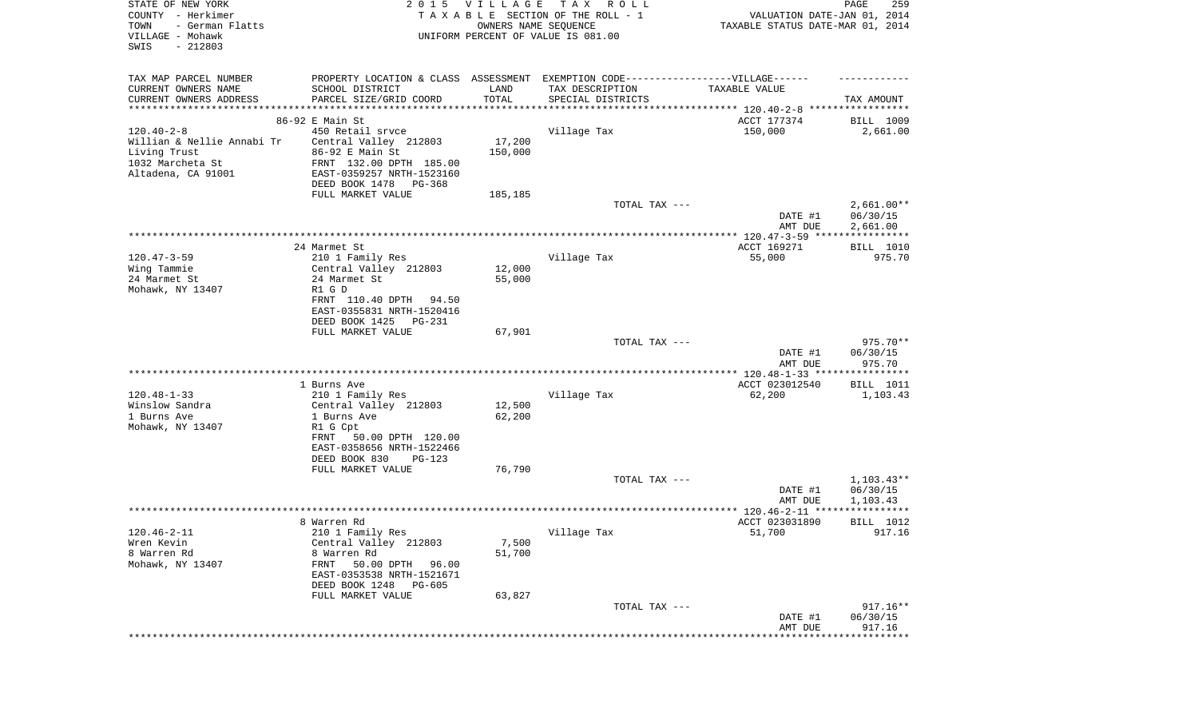| STATE OF NEW YORK<br>COUNTY - Herkimer<br>TOWN<br>- German Flatts<br>VILLAGE - Mohawk<br>SWIS<br>$-212803$ | 2 0 1 5                                                                           | <b>VILLAGE</b><br>OWNERS NAME SEQUENCE | T A X<br>ROLL ROLL<br>TAXABLE SECTION OF THE ROLL - 1<br>UNIFORM PERCENT OF VALUE IS 081.00 | VALUATION DATE-JAN 01, 2014<br>TAXABLE STATUS DATE-MAR 01, 2014      | PAGE<br>259                          |
|------------------------------------------------------------------------------------------------------------|-----------------------------------------------------------------------------------|----------------------------------------|---------------------------------------------------------------------------------------------|----------------------------------------------------------------------|--------------------------------------|
| TAX MAP PARCEL NUMBER                                                                                      | PROPERTY LOCATION & CLASS ASSESSMENT EXEMPTION CODE-----------------VILLAGE------ |                                        |                                                                                             |                                                                      |                                      |
| CURRENT OWNERS NAME                                                                                        | SCHOOL DISTRICT                                                                   | LAND                                   | TAX DESCRIPTION                                                                             | TAXABLE VALUE                                                        |                                      |
| CURRENT OWNERS ADDRESS<br>******************                                                               | PARCEL SIZE/GRID COORD<br>*************************                               | TOTAL                                  | SPECIAL DISTRICTS                                                                           | ************************************** 120.40-2-8 ****************** | TAX AMOUNT                           |
|                                                                                                            | 86-92 E Main St                                                                   |                                        |                                                                                             | ACCT 177374                                                          | BILL 1009                            |
| $120.40 - 2 - 8$                                                                                           | 450 Retail sryce                                                                  |                                        | Village Tax                                                                                 | 150,000                                                              | 2,661.00                             |
| Willian & Nellie Annabi Tr                                                                                 | Central Valley 212803                                                             | 17,200                                 |                                                                                             |                                                                      |                                      |
| Living Trust<br>1032 Marcheta St                                                                           | 86-92 E Main St<br>FRNT 132.00 DPTH 185.00                                        | 150,000                                |                                                                                             |                                                                      |                                      |
| Altadena, CA 91001                                                                                         | EAST-0359257 NRTH-1523160                                                         |                                        |                                                                                             |                                                                      |                                      |
|                                                                                                            | DEED BOOK 1478<br>PG-368                                                          |                                        |                                                                                             |                                                                      |                                      |
|                                                                                                            | FULL MARKET VALUE                                                                 | 185,185                                |                                                                                             |                                                                      |                                      |
|                                                                                                            |                                                                                   |                                        | TOTAL TAX ---                                                                               | DATE #1                                                              | $2,661.00**$<br>06/30/15             |
|                                                                                                            |                                                                                   |                                        |                                                                                             | AMT DUE                                                              | 2,661.00                             |
|                                                                                                            |                                                                                   |                                        |                                                                                             |                                                                      |                                      |
|                                                                                                            | 24 Marmet St                                                                      |                                        |                                                                                             | ACCT 169271                                                          | BILL 1010                            |
| $120.47 - 3 - 59$<br>Wing Tammie                                                                           | 210 1 Family Res<br>Central Valley 212803                                         | 12,000                                 | Village Tax                                                                                 | 55,000                                                               | 975.70                               |
| 24 Marmet St                                                                                               | 24 Marmet St                                                                      | 55,000                                 |                                                                                             |                                                                      |                                      |
| Mohawk, NY 13407                                                                                           | R1 G D                                                                            |                                        |                                                                                             |                                                                      |                                      |
|                                                                                                            | FRNT 110.40 DPTH<br>94.50                                                         |                                        |                                                                                             |                                                                      |                                      |
|                                                                                                            | EAST-0355831 NRTH-1520416<br>DEED BOOK 1425<br>PG-231                             |                                        |                                                                                             |                                                                      |                                      |
|                                                                                                            | FULL MARKET VALUE                                                                 | 67,901                                 |                                                                                             |                                                                      |                                      |
|                                                                                                            |                                                                                   |                                        | TOTAL TAX ---                                                                               |                                                                      | 975.70**                             |
|                                                                                                            |                                                                                   |                                        |                                                                                             | DATE #1<br>AMT DUE                                                   | 06/30/15<br>975.70                   |
|                                                                                                            |                                                                                   |                                        |                                                                                             | *********** 120.48-1-33 *****************                            |                                      |
|                                                                                                            | 1 Burns Ave                                                                       |                                        |                                                                                             | ACCT 023012540                                                       | BILL 1011                            |
| $120.48 - 1 - 33$                                                                                          | 210 1 Family Res                                                                  |                                        | Village Tax                                                                                 | 62,200                                                               | 1,103.43                             |
| Winslow Sandra<br>1 Burns Ave                                                                              | Central Valley 212803<br>1 Burns Ave                                              | 12,500<br>62,200                       |                                                                                             |                                                                      |                                      |
| Mohawk, NY 13407                                                                                           | R1 G Cpt                                                                          |                                        |                                                                                             |                                                                      |                                      |
|                                                                                                            | FRNT<br>50.00 DPTH 120.00                                                         |                                        |                                                                                             |                                                                      |                                      |
|                                                                                                            | EAST-0358656 NRTH-1522466                                                         |                                        |                                                                                             |                                                                      |                                      |
|                                                                                                            | DEED BOOK 830<br>PG-123<br>FULL MARKET VALUE                                      | 76,790                                 |                                                                                             |                                                                      |                                      |
|                                                                                                            |                                                                                   |                                        | TOTAL TAX ---                                                                               |                                                                      | $1,103.43**$                         |
|                                                                                                            |                                                                                   |                                        |                                                                                             | DATE #1                                                              | 06/30/15                             |
|                                                                                                            |                                                                                   |                                        |                                                                                             | AMT DUE                                                              | 1,103.43                             |
|                                                                                                            | 8 Warren Rd                                                                       |                                        |                                                                                             | ACCT 023031890                                                       | BILL 1012                            |
| $120.46 - 2 - 11$                                                                                          | 210 1 Family Res                                                                  |                                        | Village Tax                                                                                 | 51,700                                                               | 917.16                               |
| Wren Kevin                                                                                                 | Central Valley 212803                                                             | 7,500                                  |                                                                                             |                                                                      |                                      |
| 8 Warren Rd                                                                                                | 8 Warren Rd                                                                       | 51,700                                 |                                                                                             |                                                                      |                                      |
| Mohawk, NY 13407                                                                                           | 50.00 DPTH<br>96.00<br>FRNT                                                       |                                        |                                                                                             |                                                                      |                                      |
|                                                                                                            | EAST-0353538 NRTH-1521671<br>DEED BOOK 1248<br><b>PG-605</b>                      |                                        |                                                                                             |                                                                      |                                      |
|                                                                                                            | FULL MARKET VALUE                                                                 | 63,827                                 |                                                                                             |                                                                      |                                      |
|                                                                                                            |                                                                                   |                                        | TOTAL TAX ---                                                                               |                                                                      | $917.16**$                           |
|                                                                                                            |                                                                                   |                                        |                                                                                             | DATE #1                                                              | 06/30/15                             |
|                                                                                                            |                                                                                   |                                        |                                                                                             | AMT DUE                                                              | 917.16<br>************************** |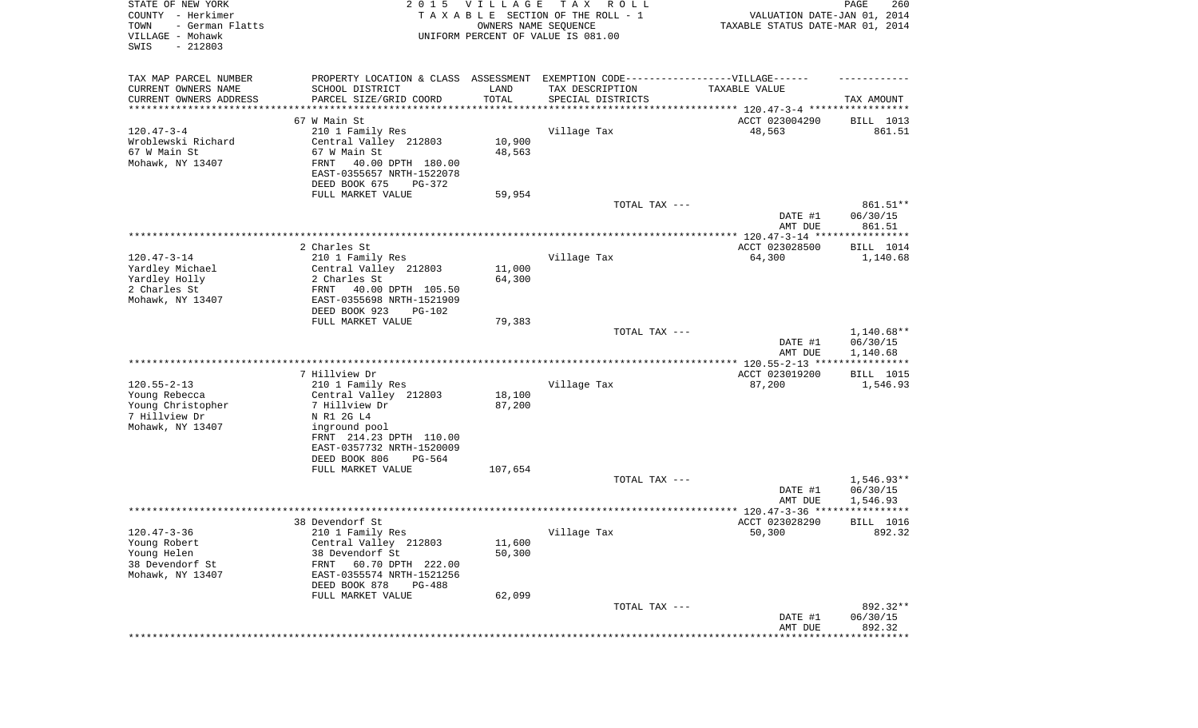| STATE OF NEW YORK<br>COUNTY - Herkimer<br>TOWN<br>- German Flatts<br>VILLAGE - Mohawk<br>SWIS<br>$-212803$ | 2 0 1 5                                                                           | VILLAGE<br>OWNERS NAME SEQUENCE | T A X<br>R O L L<br>TAXABLE SECTION OF THE ROLL - 1<br>UNIFORM PERCENT OF VALUE IS 081.00 | VALUATION DATE-JAN 01, 2014<br>TAXABLE STATUS DATE-MAR 01, 2014      | PAGE<br>260                        |
|------------------------------------------------------------------------------------------------------------|-----------------------------------------------------------------------------------|---------------------------------|-------------------------------------------------------------------------------------------|----------------------------------------------------------------------|------------------------------------|
| TAX MAP PARCEL NUMBER                                                                                      | PROPERTY LOCATION & CLASS ASSESSMENT EXEMPTION CODE-----------------VILLAGE------ |                                 |                                                                                           |                                                                      |                                    |
| CURRENT OWNERS NAME                                                                                        | SCHOOL DISTRICT                                                                   | LAND                            | TAX DESCRIPTION                                                                           | TAXABLE VALUE                                                        |                                    |
| CURRENT OWNERS ADDRESS<br>*********************                                                            | PARCEL SIZE/GRID COORD                                                            | TOTAL                           | SPECIAL DISTRICTS                                                                         | ************************************** 120.47-3-4 ****************** | TAX AMOUNT                         |
|                                                                                                            | 67 W Main St                                                                      |                                 |                                                                                           | ACCT 023004290                                                       | BILL 1013                          |
| $120.47 - 3 - 4$                                                                                           | 210 1 Family Res                                                                  |                                 | Village Tax                                                                               | 48,563                                                               | 861.51                             |
| Wroblewski Richard                                                                                         | Central Valley 212803                                                             | 10,900                          |                                                                                           |                                                                      |                                    |
| 67 W Main St                                                                                               | 67 W Main St                                                                      | 48,563                          |                                                                                           |                                                                      |                                    |
| Mohawk, NY 13407                                                                                           | FRNT<br>40.00 DPTH 180.00                                                         |                                 |                                                                                           |                                                                      |                                    |
|                                                                                                            | EAST-0355657 NRTH-1522078                                                         |                                 |                                                                                           |                                                                      |                                    |
|                                                                                                            | DEED BOOK 675<br>PG-372                                                           |                                 |                                                                                           |                                                                      |                                    |
|                                                                                                            | FULL MARKET VALUE                                                                 | 59,954                          | TOTAL TAX ---                                                                             |                                                                      | 861.51**                           |
|                                                                                                            |                                                                                   |                                 |                                                                                           | DATE #1<br>AMT DUE                                                   | 06/30/15<br>861.51                 |
|                                                                                                            |                                                                                   |                                 |                                                                                           |                                                                      |                                    |
|                                                                                                            | 2 Charles St                                                                      |                                 |                                                                                           | ACCT 023028500                                                       | BILL 1014                          |
| $120.47 - 3 - 14$                                                                                          | 210 1 Family Res                                                                  |                                 | Village Tax                                                                               | 64,300                                                               | 1,140.68                           |
| Yardley Michael                                                                                            | Central Valley 212803                                                             | 11,000                          |                                                                                           |                                                                      |                                    |
| Yardley Holly                                                                                              | 2 Charles St                                                                      | 64,300                          |                                                                                           |                                                                      |                                    |
| 2 Charles St<br>Mohawk, NY 13407                                                                           | FRNT<br>40.00 DPTH 105.50<br>EAST-0355698 NRTH-1521909                            |                                 |                                                                                           |                                                                      |                                    |
|                                                                                                            | DEED BOOK 923<br>PG-102                                                           |                                 |                                                                                           |                                                                      |                                    |
|                                                                                                            | FULL MARKET VALUE                                                                 | 79,383                          |                                                                                           |                                                                      |                                    |
|                                                                                                            |                                                                                   |                                 | TOTAL TAX ---                                                                             |                                                                      | $1,140.68**$                       |
|                                                                                                            |                                                                                   |                                 |                                                                                           | DATE #1                                                              | 06/30/15                           |
|                                                                                                            |                                                                                   |                                 |                                                                                           | AMT DUE                                                              | 1,140.68                           |
|                                                                                                            | 7 Hillview Dr                                                                     |                                 |                                                                                           | ACCT 023019200                                                       | BILL 1015                          |
| $120.55 - 2 - 13$                                                                                          | 210 1 Family Res                                                                  |                                 | Village Tax                                                                               | 87,200                                                               | 1,546.93                           |
| Young Rebecca                                                                                              | Central Valley 212803                                                             | 18,100                          |                                                                                           |                                                                      |                                    |
| Young Christopher                                                                                          | 7 Hillview Dr                                                                     | 87,200                          |                                                                                           |                                                                      |                                    |
| 7 Hillview Dr                                                                                              | N R1 2G L4                                                                        |                                 |                                                                                           |                                                                      |                                    |
| Mohawk, NY 13407                                                                                           | inground pool                                                                     |                                 |                                                                                           |                                                                      |                                    |
|                                                                                                            | FRNT 214.23 DPTH 110.00                                                           |                                 |                                                                                           |                                                                      |                                    |
|                                                                                                            | EAST-0357732 NRTH-1520009                                                         |                                 |                                                                                           |                                                                      |                                    |
|                                                                                                            | DEED BOOK 806<br>PG-564<br>FULL MARKET VALUE                                      | 107,654                         |                                                                                           |                                                                      |                                    |
|                                                                                                            |                                                                                   |                                 | TOTAL TAX ---                                                                             |                                                                      | $1,546.93**$                       |
|                                                                                                            |                                                                                   |                                 |                                                                                           | DATE #1                                                              | 06/30/15                           |
|                                                                                                            |                                                                                   |                                 |                                                                                           | AMT DUE                                                              | 1,546.93                           |
|                                                                                                            |                                                                                   |                                 |                                                                                           |                                                                      | ******                             |
|                                                                                                            | 38 Devendorf St                                                                   |                                 |                                                                                           | ACCT 023028290                                                       | BILL 1016                          |
| $120.47 - 3 - 36$                                                                                          | 210 1 Family Res                                                                  |                                 | Village Tax                                                                               | 50,300                                                               | 892.32                             |
| Young Robert<br>Young Helen                                                                                | Central Valley 212803<br>38 Devendorf St                                          | 11,600<br>50,300                |                                                                                           |                                                                      |                                    |
| 38 Devendorf St                                                                                            | 60.70 DPTH 222.00<br>FRNT                                                         |                                 |                                                                                           |                                                                      |                                    |
| Mohawk, NY 13407                                                                                           | EAST-0355574 NRTH-1521256                                                         |                                 |                                                                                           |                                                                      |                                    |
|                                                                                                            | DEED BOOK 878<br>PG-488                                                           |                                 |                                                                                           |                                                                      |                                    |
|                                                                                                            | FULL MARKET VALUE                                                                 | 62,099                          |                                                                                           |                                                                      |                                    |
|                                                                                                            |                                                                                   |                                 | TOTAL TAX ---                                                                             |                                                                      | 892.32**                           |
|                                                                                                            |                                                                                   |                                 |                                                                                           | DATE #1                                                              | 06/30/15                           |
|                                                                                                            |                                                                                   |                                 |                                                                                           | AMT DUE                                                              | 892.32<br>************************ |
|                                                                                                            |                                                                                   |                                 |                                                                                           |                                                                      |                                    |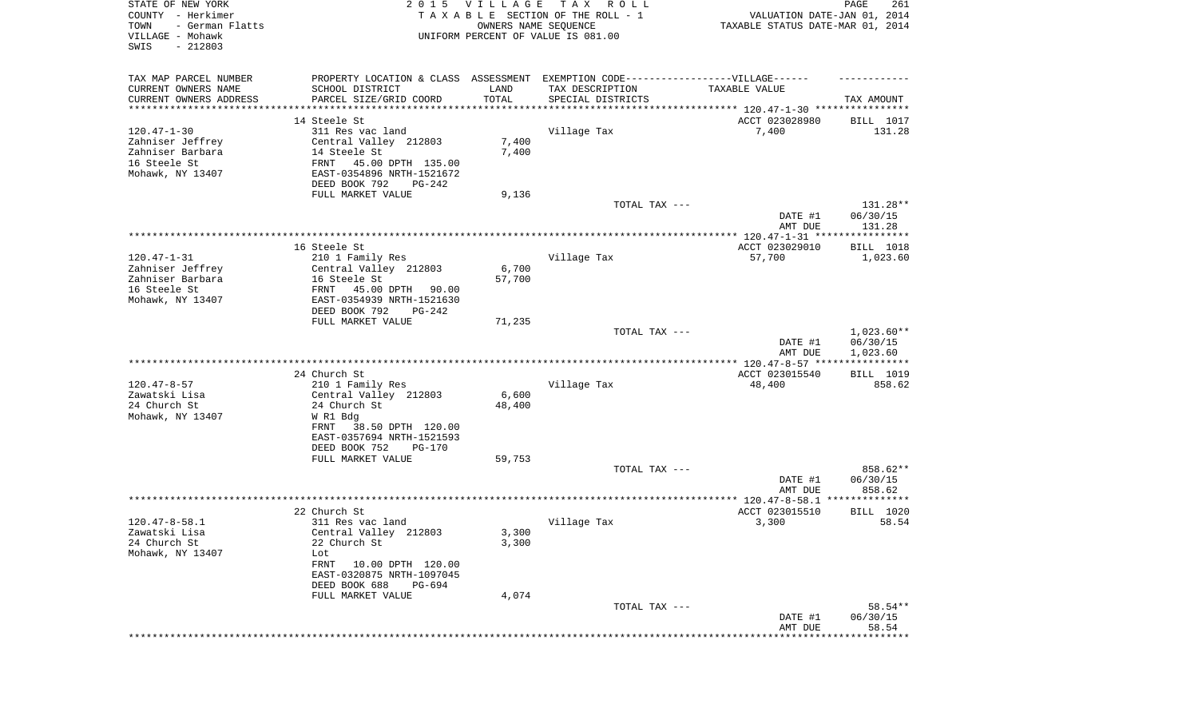| STATE OF NEW YORK<br>COUNTY - Herkimer<br>- German Flatts<br>TOWN<br>VILLAGE - Mohawk<br>SWIS<br>$-212803$ | 2 0 1 5                                                                           | <b>VILLAGE</b><br>OWNERS NAME SEQUENCE | T A X<br>R O L L<br>TAXABLE SECTION OF THE ROLL - 1<br>UNIFORM PERCENT OF VALUE IS 081.00 | VALUATION DATE-JAN 01, 2014<br>TAXABLE STATUS DATE-MAR 01, 2014 | 261<br>PAGE                    |
|------------------------------------------------------------------------------------------------------------|-----------------------------------------------------------------------------------|----------------------------------------|-------------------------------------------------------------------------------------------|-----------------------------------------------------------------|--------------------------------|
| TAX MAP PARCEL NUMBER                                                                                      | PROPERTY LOCATION & CLASS ASSESSMENT EXEMPTION CODE-----------------VILLAGE------ |                                        |                                                                                           |                                                                 |                                |
| CURRENT OWNERS NAME                                                                                        | SCHOOL DISTRICT                                                                   | LAND                                   | TAX DESCRIPTION                                                                           | TAXABLE VALUE                                                   |                                |
| CURRENT OWNERS ADDRESS<br>*********************                                                            | PARCEL SIZE/GRID COORD                                                            | TOTAL                                  | SPECIAL DISTRICTS                                                                         |                                                                 | TAX AMOUNT                     |
|                                                                                                            | 14 Steele St                                                                      |                                        |                                                                                           | ACCT 023028980                                                  | BILL 1017                      |
| $120.47 - 1 - 30$                                                                                          | 311 Res vac land                                                                  |                                        | Village Tax                                                                               | 7,400                                                           | 131.28                         |
| Zahniser Jeffrey                                                                                           | Central Valley 212803                                                             | 7,400                                  |                                                                                           |                                                                 |                                |
| Zahniser Barbara                                                                                           | 14 Steele St                                                                      | 7,400                                  |                                                                                           |                                                                 |                                |
| 16 Steele St                                                                                               | FRNT<br>45.00 DPTH 135.00                                                         |                                        |                                                                                           |                                                                 |                                |
| Mohawk, NY 13407                                                                                           | EAST-0354896 NRTH-1521672                                                         |                                        |                                                                                           |                                                                 |                                |
|                                                                                                            | DEED BOOK 792<br>PG-242                                                           |                                        |                                                                                           |                                                                 |                                |
|                                                                                                            | FULL MARKET VALUE                                                                 | 9,136                                  |                                                                                           |                                                                 |                                |
|                                                                                                            |                                                                                   |                                        | TOTAL TAX ---                                                                             | DATE #1<br>AMT DUE                                              | 131.28**<br>06/30/15<br>131.28 |
|                                                                                                            |                                                                                   |                                        |                                                                                           |                                                                 |                                |
|                                                                                                            | 16 Steele St                                                                      |                                        |                                                                                           | ACCT 023029010                                                  | BILL 1018                      |
| $120.47 - 1 - 31$                                                                                          | 210 1 Family Res                                                                  |                                        | Village Tax                                                                               | 57,700                                                          | 1,023.60                       |
| Zahniser Jeffrey                                                                                           | Central Valley 212803                                                             | 6,700                                  |                                                                                           |                                                                 |                                |
| Zahniser Barbara                                                                                           | 16 Steele St                                                                      | 57,700                                 |                                                                                           |                                                                 |                                |
| 16 Steele St                                                                                               | 45.00 DPTH<br>FRNT<br>90.00                                                       |                                        |                                                                                           |                                                                 |                                |
| Mohawk, NY 13407                                                                                           | EAST-0354939 NRTH-1521630<br>DEED BOOK 792<br>$PG-242$                            |                                        |                                                                                           |                                                                 |                                |
|                                                                                                            | FULL MARKET VALUE                                                                 | 71,235                                 |                                                                                           |                                                                 |                                |
|                                                                                                            |                                                                                   |                                        | TOTAL TAX ---                                                                             |                                                                 | $1,023.60**$                   |
|                                                                                                            |                                                                                   |                                        |                                                                                           | DATE #1                                                         | 06/30/15                       |
|                                                                                                            |                                                                                   |                                        |                                                                                           | AMT DUE                                                         | 1,023.60                       |
|                                                                                                            |                                                                                   |                                        |                                                                                           |                                                                 |                                |
| $120.47 - 8 - 57$                                                                                          | 24 Church St                                                                      |                                        |                                                                                           | ACCT 023015540                                                  | BILL 1019                      |
| Zawatski Lisa                                                                                              | 210 1 Family Res<br>Central Valley 212803                                         | 6,600                                  | Village Tax                                                                               | 48,400                                                          | 858.62                         |
| 24 Church St                                                                                               | 24 Church St                                                                      | 48,400                                 |                                                                                           |                                                                 |                                |
| Mohawk, NY 13407                                                                                           | W R1 Bdg                                                                          |                                        |                                                                                           |                                                                 |                                |
|                                                                                                            | 38.50 DPTH 120.00<br>FRNT                                                         |                                        |                                                                                           |                                                                 |                                |
|                                                                                                            | EAST-0357694 NRTH-1521593                                                         |                                        |                                                                                           |                                                                 |                                |
|                                                                                                            | DEED BOOK 752<br><b>PG-170</b>                                                    |                                        |                                                                                           |                                                                 |                                |
|                                                                                                            | FULL MARKET VALUE                                                                 | 59,753                                 |                                                                                           |                                                                 |                                |
|                                                                                                            |                                                                                   |                                        | TOTAL TAX ---                                                                             |                                                                 | 858.62**                       |
|                                                                                                            |                                                                                   |                                        |                                                                                           | DATE #1                                                         | 06/30/15                       |
|                                                                                                            |                                                                                   |                                        |                                                                                           | AMT DUE                                                         | 858.62<br>**************       |
|                                                                                                            | 22 Church St                                                                      |                                        |                                                                                           | ACCT 023015510                                                  | BILL 1020                      |
| $120.47 - 8 - 58.1$                                                                                        | 311 Res vac land                                                                  |                                        | Village Tax                                                                               | 3,300                                                           | 58.54                          |
| Zawatski Lisa                                                                                              | Central Valley 212803                                                             | 3,300                                  |                                                                                           |                                                                 |                                |
| 24 Church St                                                                                               | 22 Church St                                                                      | 3,300                                  |                                                                                           |                                                                 |                                |
| Mohawk, NY 13407                                                                                           | Lot                                                                               |                                        |                                                                                           |                                                                 |                                |
|                                                                                                            | FRNT<br>10.00 DPTH 120.00                                                         |                                        |                                                                                           |                                                                 |                                |
|                                                                                                            | EAST-0320875 NRTH-1097045                                                         |                                        |                                                                                           |                                                                 |                                |
|                                                                                                            | DEED BOOK 688<br>PG-694                                                           |                                        |                                                                                           |                                                                 |                                |
|                                                                                                            | FULL MARKET VALUE                                                                 | 4,074                                  | TOTAL TAX ---                                                                             |                                                                 | 58.54**                        |
|                                                                                                            |                                                                                   |                                        |                                                                                           | DATE #1                                                         | 06/30/15                       |
|                                                                                                            |                                                                                   |                                        |                                                                                           | AMT DUE                                                         | 58.54                          |
|                                                                                                            |                                                                                   |                                        |                                                                                           |                                                                 |                                |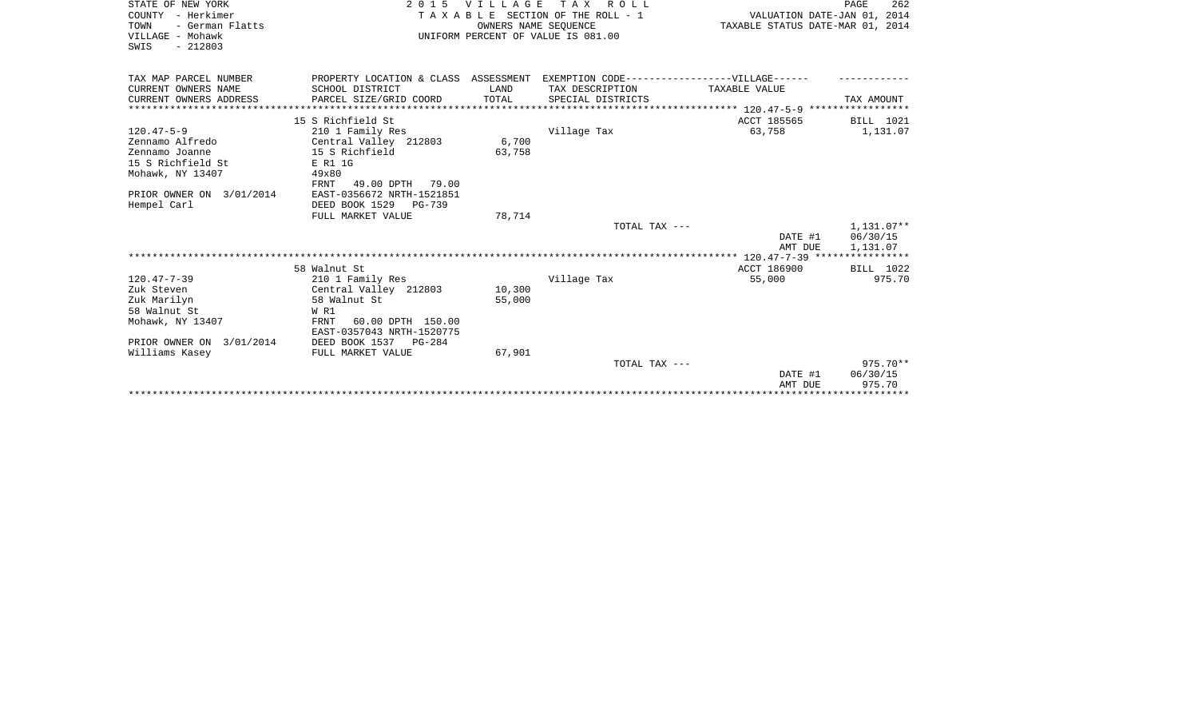| STATE OF NEW YORK        |                                                                                  | 2015 VILLAGE | TAX ROLL                              |                                       | 262<br>PAGE       |
|--------------------------|----------------------------------------------------------------------------------|--------------|---------------------------------------|---------------------------------------|-------------------|
| COUNTY - Herkimer        |                                                                                  |              | T A X A B L E SECTION OF THE ROLL - 1 | VALUATION DATE-JAN 01, 2014           |                   |
| TOWN<br>- German Flatts  |                                                                                  |              | OWNERS NAME SEQUENCE                  | TAXABLE STATUS DATE-MAR 01, 2014      |                   |
| VILLAGE - Mohawk         |                                                                                  |              | UNIFORM PERCENT OF VALUE IS 081.00    |                                       |                   |
| $-212803$<br>SWIS        |                                                                                  |              |                                       |                                       |                   |
|                          |                                                                                  |              |                                       |                                       |                   |
| TAX MAP PARCEL NUMBER    | PROPERTY LOCATION & CLASS ASSESSMENT EXEMPTION CODE----------------VILLAGE------ |              |                                       |                                       |                   |
| CURRENT OWNERS NAME      | SCHOOL DISTRICT                                                                  | LAND         | TAX DESCRIPTION                       | TAXABLE VALUE                         |                   |
| CURRENT OWNERS ADDRESS   | PARCEL SIZE/GRID COORD                                                           | TOTAL        | SPECIAL DISTRICTS                     |                                       | TAX AMOUNT        |
|                          |                                                                                  |              |                                       |                                       | ***************** |
|                          | 15 S Richfield St                                                                |              |                                       | ACCT 185565                           | BILL 1021         |
| $120.47 - 5 - 9$         | 210 1 Family Res                                                                 |              | Village Tax                           | 63,758                                | 1,131.07          |
| Zennamo Alfredo          | Central Valley 212803                                                            | 6,700        |                                       |                                       |                   |
| Zennamo Joanne           | 15 S Richfield                                                                   | 63,758       |                                       |                                       |                   |
| 15 S Richfield St        | E R1 1G                                                                          |              |                                       |                                       |                   |
| Mohawk, NY 13407         | 49x80                                                                            |              |                                       |                                       |                   |
|                          | 49.00 DPTH<br>FRNT<br>79.00                                                      |              |                                       |                                       |                   |
| PRIOR OWNER ON 3/01/2014 | EAST-0356672 NRTH-1521851                                                        |              |                                       |                                       |                   |
| Hempel Carl              | DEED BOOK 1529 PG-739                                                            |              |                                       |                                       |                   |
|                          | FULL MARKET VALUE                                                                | 78,714       |                                       |                                       |                   |
|                          |                                                                                  |              | TOTAL TAX ---                         |                                       | 1,131.07**        |
|                          |                                                                                  |              |                                       | DATE #1                               | 06/30/15          |
|                          |                                                                                  |              |                                       | AMT DUE                               | 1,131.07          |
|                          |                                                                                  |              |                                       |                                       |                   |
|                          | 58 Walnut St                                                                     |              |                                       | ACCT 186900                           | BILL 1022         |
| $120.47 - 7 - 39$        | 210 1 Family Res                                                                 |              | Village Tax                           | 55,000                                | 975.70            |
| Zuk Steven               | Central Valley 212803                                                            | 10,300       |                                       |                                       |                   |
| Zuk Marilyn              | 58 Walnut St                                                                     | 55,000       |                                       |                                       |                   |
| 58 Walnut St             | W R1                                                                             |              |                                       |                                       |                   |
| Mohawk, NY 13407         | 60.00 DPTH 150.00<br>FRNT                                                        |              |                                       |                                       |                   |
|                          | EAST-0357043 NRTH-1520775                                                        |              |                                       |                                       |                   |
| PRIOR OWNER ON 3/01/2014 | DEED BOOK 1537 PG-284                                                            |              |                                       |                                       |                   |
| Williams Kasey           | FULL MARKET VALUE                                                                | 67,901       |                                       |                                       |                   |
|                          |                                                                                  |              | TOTAL TAX ---                         |                                       | $975.70**$        |
|                          |                                                                                  |              |                                       | DATE #1                               | 06/30/15          |
|                          |                                                                                  |              |                                       | AMT DUE                               | 975.70            |
|                          |                                                                                  |              |                                       | ************************************* |                   |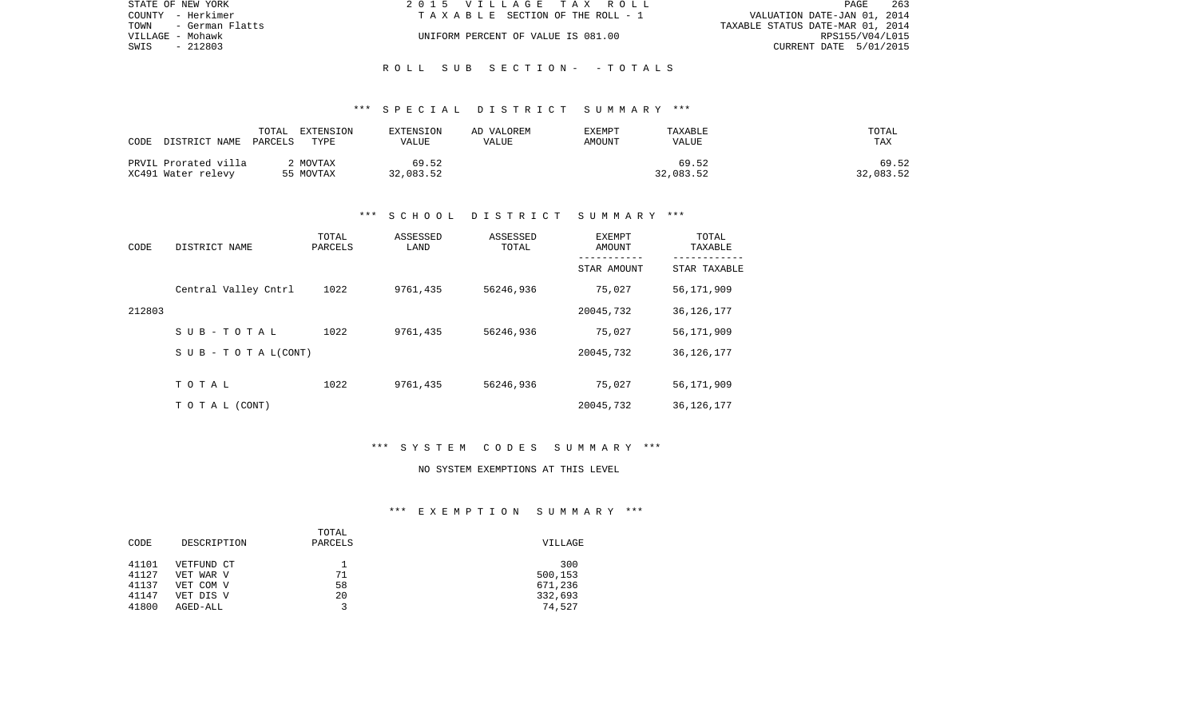| STATE OF NEW YORK    | 2015 VILLAGE TAX ROLL              | 263<br><b>PAGE</b>               |
|----------------------|------------------------------------|----------------------------------|
| COUNTY - Herkimer    | TAXABLE SECTION OF THE ROLL - 1    | VALUATION DATE-JAN 01, 2014      |
| TOWN - German Flatts |                                    | TAXABLE STATUS DATE-MAR 01, 2014 |
| VILLAGE - Mohawk     | UNIFORM PERCENT OF VALUE IS 081.00 | RPS155/V04/L015                  |
| SWIS<br>- 212803     |                                    | CURRENT DATE 5/01/2015           |
|                      |                                    |                                  |

R O L L S U B S E C T I O N - - T O T A L S

| CODE<br>DISTRICT NAME                      | TOTAL<br>EXTENSION<br>PARCELS<br>TYPE | EXTENSION<br>VALUE | AD VALOREM<br>VALUE | EXEMPT<br>AMOUNT | TAXABLE<br>VALUE   | TOTAL<br><b>TAX</b> |
|--------------------------------------------|---------------------------------------|--------------------|---------------------|------------------|--------------------|---------------------|
| PRVIL Prorated villa<br>XC491 Water relevy | MOVTAX<br>55 MOVTAX                   | 69.52<br>32,083.52 |                     |                  | 69.52<br>32,083.52 | 69.52<br>32,083.52  |

## \*\*\* S C H O O L D I S T R I C T S U M M A R Y \*\*\*

| CODE   | DISTRICT NAME             | TOTAL<br>PARCELS | ASSESSED<br>LAND | ASSESSED<br>TOTAL | EXEMPT<br>AMOUNT<br>---------- | TOTAL<br>TAXABLE<br>---------- |
|--------|---------------------------|------------------|------------------|-------------------|--------------------------------|--------------------------------|
|        |                           |                  |                  |                   | STAR AMOUNT                    | STAR TAXABLE                   |
|        | Central Valley Cntrl      | 1022             | 9761,435         | 56246,936         | 75,027                         | 56,171,909                     |
| 212803 |                           |                  |                  |                   | 20045,732                      | 36, 126, 177                   |
|        | $S$ U B - T O T A L       | 1022             | 9761,435         | 56246,936         | 75,027                         | 56,171,909                     |
|        | S U B - T O T A $L(CONT)$ |                  |                  |                   | 20045,732                      | 36, 126, 177                   |
|        |                           |                  |                  |                   |                                |                                |
|        | TOTAL                     | 1022             | 9761,435         | 56246,936         | 75,027                         | 56,171,909                     |
|        | TO TAL (CONT)             |                  |                  |                   | 20045,732                      | 36, 126, 177                   |

# \*\*\* S Y S T E M C O D E S S U M M A R Y \*\*\*

#### NO SYSTEM EXEMPTIONS AT THIS LEVEL

## \*\*\* E X E M P T I O N S U M M A R Y \*\*\*

|       |             | TOTAL   |         |
|-------|-------------|---------|---------|
| CODE  | DESCRIPTION | PARCELS | VILLAGE |
|       |             |         |         |
| 41101 | VETFUND CT  |         | 300     |
| 41127 | VET WAR V   | 71      | 500,153 |
| 41137 | VET COM V   | 58      | 671,236 |
| 41147 | VET DIS V   | 20      | 332,693 |
| 41800 | AGED-ALL    |         | 74,527  |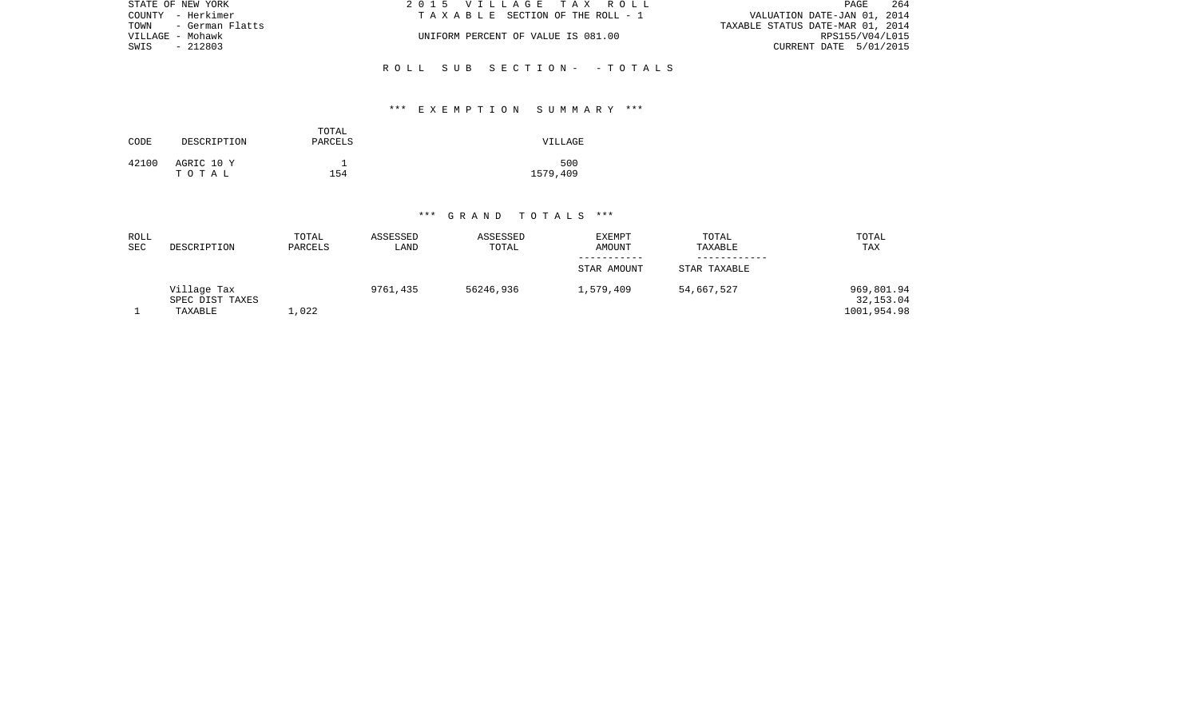| STATE OF NEW YORK    | 2015 VILLAGE TAX ROLL              | 264<br>PAGE                      |
|----------------------|------------------------------------|----------------------------------|
| COUNTY - Herkimer    | TAXABLE SECTION OF THE ROLL - 1    | VALUATION DATE-JAN 01, 2014      |
| TOWN - German Flatts |                                    | TAXABLE STATUS DATE-MAR 01, 2014 |
| VILLAGE - Mohawk     | UNIFORM PERCENT OF VALUE IS 081.00 | RPS155/V04/L015                  |
| SWIS<br>- 212803     |                                    | CURRENT DATE 5/01/2015           |
|                      |                                    |                                  |
|                      | ROLL SUB SECTION- - TOTALS         |                                  |

## \*\*\* E X E M P T I O N S U M M A R Y \*\*\*

| CODE  | DESCRIPTION         | TOTAL<br>PARCELS | VILLAGE         |
|-------|---------------------|------------------|-----------------|
| 42100 | AGRIC 10 Y<br>тотаь | 154              | 500<br>1579,409 |

| ROLL<br><b>SEC</b> | DESCRIPTION                               | TOTAL<br>PARCELS | ASSESSED<br>LAND | ASSESSED<br>TOTAL | <b>EXEMPT</b><br><b>AMOUNT</b> | TOTAL<br>TAXABLE | TOTAL<br>TAX                           |
|--------------------|-------------------------------------------|------------------|------------------|-------------------|--------------------------------|------------------|----------------------------------------|
|                    |                                           |                  |                  |                   |                                |                  |                                        |
|                    |                                           |                  |                  |                   | STAR AMOUNT                    | STAR TAXABLE     |                                        |
|                    | Village Tax<br>SPEC DIST TAXES<br>TAXABLE | L,022            | 9761,435         | 56246,936         | 1,579,409                      | 54,667,527       | 969,801.94<br>32,153.04<br>1001,954.98 |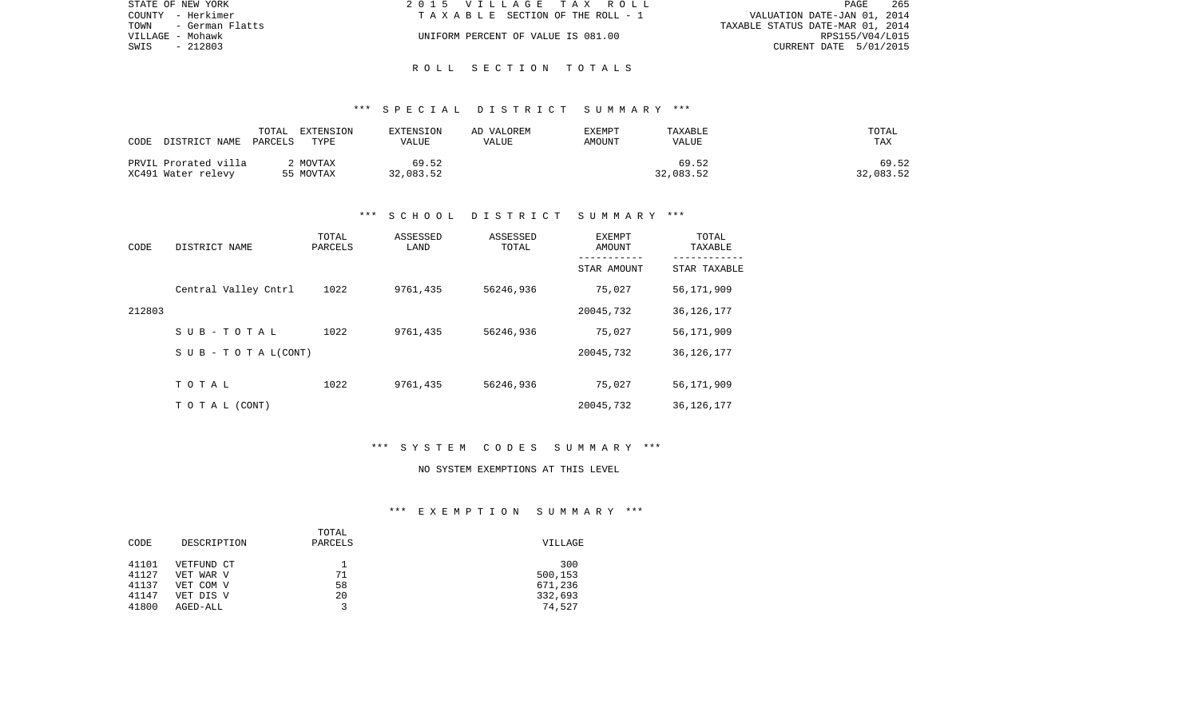| STATE OF NEW YORK       | 2015 VILLAGE TAX ROLL              | 265<br>PAGE                      |
|-------------------------|------------------------------------|----------------------------------|
| COUNTY - Herkimer       | TAXABLE SECTION OF THE ROLL - 1    | VALUATION DATE-JAN 01, 2014      |
| TOWN<br>- German Flatts |                                    | TAXABLE STATUS DATE-MAR 01, 2014 |
| VILLAGE - Mohawk        | UNIFORM PERCENT OF VALUE IS 081.00 | RPS155/V04/L015                  |
| $-212803$<br>SWIS       |                                    | CURRENT DATE 5/01/2015           |
|                         |                                    |                                  |

R O L L S E C T I O N T O T A L S

| CODE<br>DISTRICT NAME                      | TOTAL<br>EXTENSION<br>PARCELS<br>TYPE | EXTENSION<br>VALUE | AD VALOREM<br>VALUE | EXEMPT<br>AMOUNT | TAXABLE<br>VALUE   | TOTAL<br><b>TAX</b> |
|--------------------------------------------|---------------------------------------|--------------------|---------------------|------------------|--------------------|---------------------|
| PRVIL Prorated villa<br>XC491 Water relevy | MOVTAX<br>55 MOVTAX                   | 69.52<br>32,083.52 |                     |                  | 69.52<br>32,083.52 | 69.52<br>32,083.52  |

## \*\*\* S C H O O L D I S T R I C T S U M M A R Y \*\*\*

| CODE   | DISTRICT NAME             | TOTAL<br>PARCELS | ASSESSED<br>LAND | ASSESSED<br>TOTAL | <b>EXEMPT</b><br>AMOUNT<br>----------- | TOTAL<br>TAXABLE |
|--------|---------------------------|------------------|------------------|-------------------|----------------------------------------|------------------|
|        |                           |                  |                  |                   | STAR AMOUNT                            | STAR TAXABLE     |
|        | Central Valley Cntrl      | 1022             | 9761,435         | 56246,936         | 75,027                                 | 56,171,909       |
| 212803 |                           |                  |                  |                   | 20045,732                              | 36, 126, 177     |
|        | $S$ U B - T O T A L       | 1022             | 9761,435         | 56246,936         | 75,027                                 | 56,171,909       |
|        | S U B - T O T A $L(CONT)$ |                  |                  |                   | 20045,732                              | 36, 126, 177     |
|        |                           |                  |                  |                   |                                        |                  |
|        | TOTAL                     | 1022             | 9761,435         | 56246,936         | 75,027                                 | 56,171,909       |
|        | TO TAL (CONT)             |                  |                  |                   | 20045,732                              | 36, 126, 177     |

# \*\*\* S Y S T E M C O D E S S U M M A R Y \*\*\*

#### NO SYSTEM EXEMPTIONS AT THIS LEVEL

## \*\*\* E X E M P T I O N S U M M A R Y \*\*\*

| CODE           | DESCRIPTION            | TOTAL<br>PARCELS | VILLAGE            |
|----------------|------------------------|------------------|--------------------|
| 41101          | VETFUND CT             |                  | 300                |
| 41127<br>41137 | VET WAR V<br>VET COM V | 71<br>58         | 500,153<br>671,236 |
| 41147          | VET DIS V              | 20               | 332,693            |
| 41800          | AGED-ALL               | $\mathbf{z}$     | 74,527             |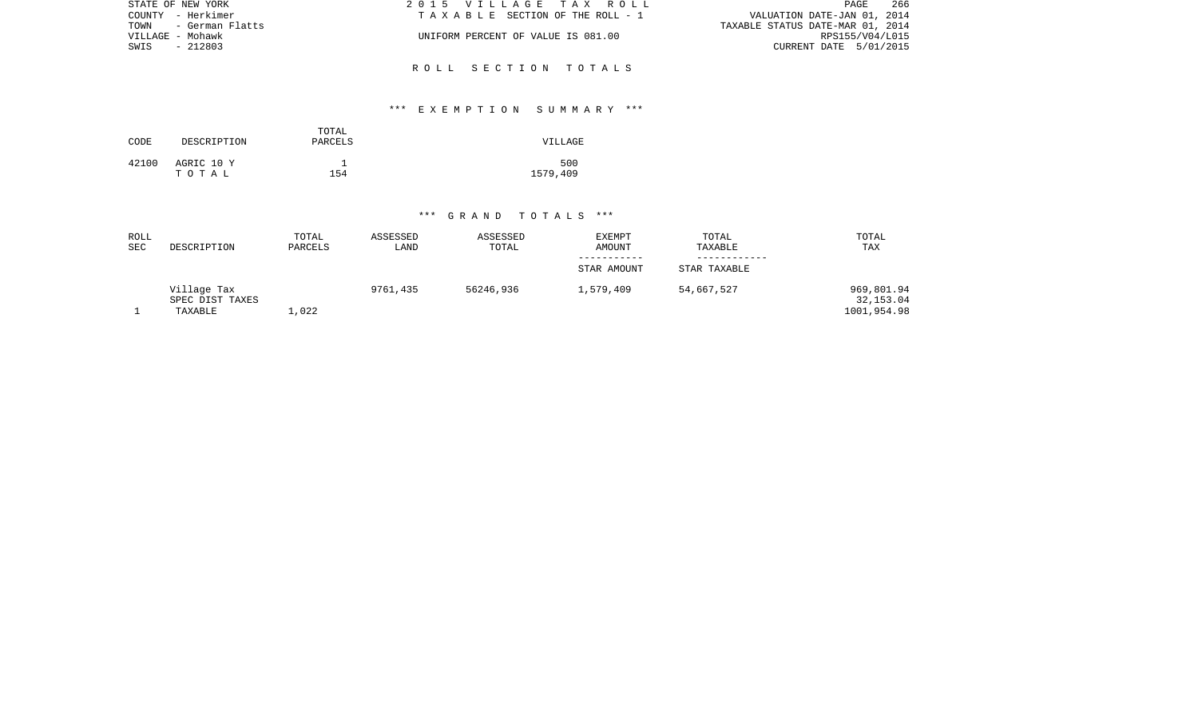| 266<br>2015 VILLAGE TAX ROLL<br>PAGE |                                                                                                                                                                                                              |
|--------------------------------------|--------------------------------------------------------------------------------------------------------------------------------------------------------------------------------------------------------------|
|                                      |                                                                                                                                                                                                              |
|                                      |                                                                                                                                                                                                              |
|                                      |                                                                                                                                                                                                              |
|                                      |                                                                                                                                                                                                              |
|                                      |                                                                                                                                                                                                              |
|                                      | VALUATION DATE-JAN 01, 2014<br>TAXABLE SECTION OF THE ROLL - 1<br>TAXABLE STATUS DATE-MAR 01, 2014<br>UNIFORM PERCENT OF VALUE IS 081.00<br>RPS155/V04/L015<br>CURRENT DATE 5/01/2015<br>ROLL SECTION TOTALS |

## \*\*\* E X E M P T I O N S U M M A R Y \*\*\*

| CODE  | DESCRIPTION         | TOTAL<br>PARCELS | VILLAGE         |
|-------|---------------------|------------------|-----------------|
| 42100 | AGRIC 10 Y<br>тотаь | 154              | 500<br>1579,409 |

| ROLL<br><b>SEC</b> | DESCRIPTION                               | TOTAL<br>PARCELS | ASSESSED<br>LAND | ASSESSED<br>TOTAL | <b>EXEMPT</b><br><b>AMOUNT</b> | TOTAL<br>TAXABLE | TOTAL<br>TAX                           |
|--------------------|-------------------------------------------|------------------|------------------|-------------------|--------------------------------|------------------|----------------------------------------|
|                    |                                           |                  |                  |                   |                                |                  |                                        |
|                    |                                           |                  |                  |                   | STAR AMOUNT                    | STAR TAXABLE     |                                        |
|                    | Village Tax<br>SPEC DIST TAXES<br>TAXABLE | .,022            | 9761,435         | 56246,936         | 1,579,409                      | 54,667,527       | 969,801.94<br>32,153.04<br>1001,954.98 |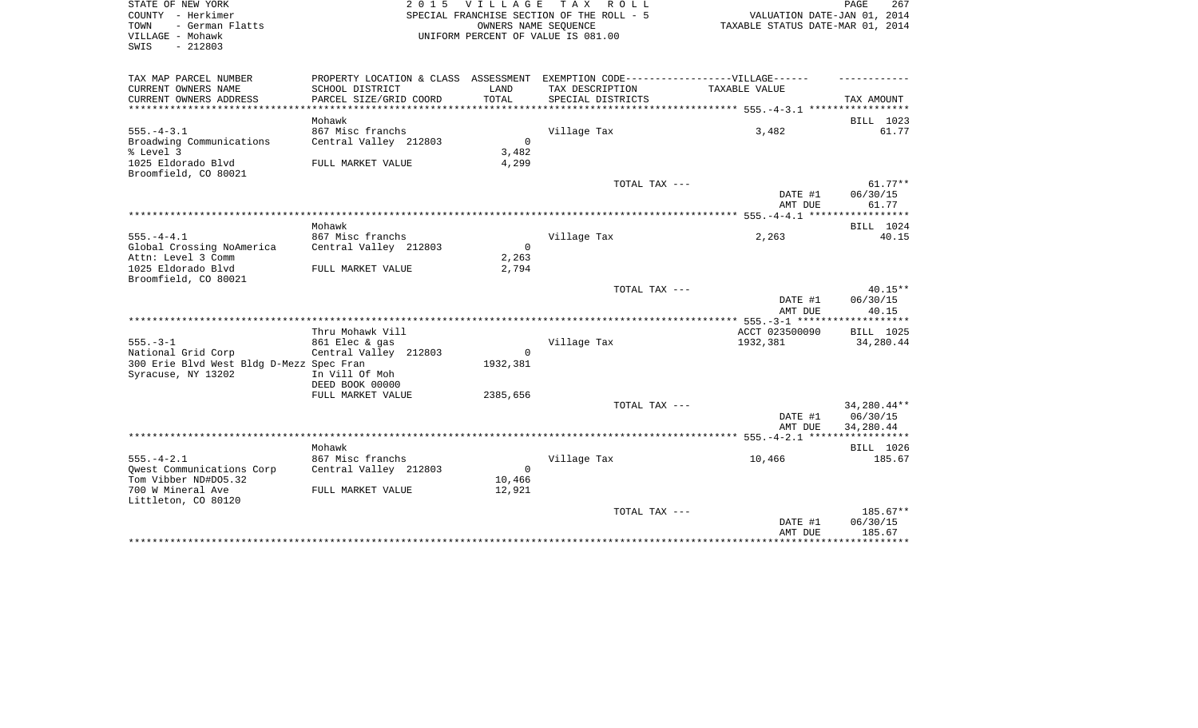| STATE OF NEW YORK<br>COUNTY - Herkimer<br>TOWN<br>- German Flatts |                                           | OWNERS NAME SEQUENCE     | 2015 VILLAGE TAX ROLL<br>SPECIAL FRANCHISE SECTION OF THE ROLL - 5               | VALUATION DATE-JAN 01, 2014<br>TAXABLE STATUS DATE-MAR 01, 2014 | PAGE<br>267           |
|-------------------------------------------------------------------|-------------------------------------------|--------------------------|----------------------------------------------------------------------------------|-----------------------------------------------------------------|-----------------------|
| VILLAGE - Mohawk<br>SWIS<br>$-212803$                             |                                           |                          | UNIFORM PERCENT OF VALUE IS 081.00                                               |                                                                 |                       |
| TAX MAP PARCEL NUMBER                                             |                                           |                          | PROPERTY LOCATION & CLASS ASSESSMENT EXEMPTION CODE----------------VILLAGE------ |                                                                 |                       |
| CURRENT OWNERS NAME<br>CURRENT OWNERS ADDRESS                     | SCHOOL DISTRICT<br>PARCEL SIZE/GRID COORD | LAND<br>TOTAL            | TAX DESCRIPTION<br>SPECIAL DISTRICTS                                             | TAXABLE VALUE                                                   | TAX AMOUNT            |
| *******************                                               |                                           |                          |                                                                                  |                                                                 |                       |
|                                                                   | Mohawk                                    |                          |                                                                                  |                                                                 | BILL 1023             |
| $555. - 4 - 3.1$<br>Broadwing Communications                      | 867 Misc franchs<br>Central Valley 212803 | $\overline{\phantom{0}}$ | Village Tax                                                                      | 3,482                                                           | 61.77                 |
| % Level 3                                                         |                                           | 3,482                    |                                                                                  |                                                                 |                       |
| 1025 Eldorado Blvd<br>Broomfield, CO 80021                        | FULL MARKET VALUE                         | 4,299                    |                                                                                  |                                                                 |                       |
|                                                                   |                                           |                          | TOTAL TAX ---                                                                    |                                                                 | $61.77**$             |
|                                                                   |                                           |                          |                                                                                  | DATE #1<br>AMT DUE                                              | 06/30/15<br>61.77     |
|                                                                   |                                           |                          |                                                                                  |                                                                 |                       |
|                                                                   | Mohawk                                    |                          |                                                                                  |                                                                 | BILL 1024             |
| $555. - 4 - 4.1$                                                  | 867 Misc franchs                          |                          | Village Tax                                                                      | 2,263                                                           | 40.15                 |
| Global Crossing NoAmerica                                         | Central Valley 212803                     | $\overline{0}$           |                                                                                  |                                                                 |                       |
| Attn: Level 3 Comm                                                |                                           | 2,263                    |                                                                                  |                                                                 |                       |
| 1025 Eldorado Blvd<br>Broomfield, CO 80021                        | FULL MARKET VALUE                         | 2,794                    |                                                                                  |                                                                 |                       |
|                                                                   |                                           |                          | TOTAL TAX ---                                                                    |                                                                 | $40.15**$             |
|                                                                   |                                           |                          |                                                                                  | DATE #1<br>AMT DUE                                              | 06/30/15<br>40.15     |
|                                                                   |                                           |                          |                                                                                  |                                                                 |                       |
|                                                                   | Thru Mohawk Vill                          |                          |                                                                                  | ACCT 023500090                                                  | BILL 1025             |
| $555. - 3 - 1$                                                    | 861 Elec & gas                            |                          | Village Tax                                                                      | 1932,381                                                        | 34,280.44             |
| National Grid Corp                                                | Central Valley 212803                     | $\mathbf 0$              |                                                                                  |                                                                 |                       |
| 300 Erie Blvd West Bldg D-Mezz Spec Fran                          | In Vill Of Moh                            | 1932,381                 |                                                                                  |                                                                 |                       |
| Syracuse, NY 13202                                                | DEED BOOK 00000                           |                          |                                                                                  |                                                                 |                       |
|                                                                   | FULL MARKET VALUE                         | 2385,656                 |                                                                                  |                                                                 |                       |
|                                                                   |                                           |                          | TOTAL TAX ---                                                                    |                                                                 | 34,280.44**           |
|                                                                   |                                           |                          |                                                                                  | DATE #1<br>AMT DUE                                              | 06/30/15<br>34,280.44 |
|                                                                   |                                           |                          |                                                                                  |                                                                 |                       |
|                                                                   | Mohawk                                    |                          |                                                                                  |                                                                 | BILL 1026             |
| $555. - 4 - 2.1$                                                  | 867 Misc franchs                          |                          | Village Tax                                                                      | 10,466                                                          | 185.67                |
| Qwest Communications Corp                                         | Central Valley 212803                     | $\Omega$                 |                                                                                  |                                                                 |                       |
| Tom Vibber ND#D05.32                                              |                                           | 10,466                   |                                                                                  |                                                                 |                       |
| 700 W Mineral Ave                                                 | FULL MARKET VALUE                         | 12,921                   |                                                                                  |                                                                 |                       |

| Littleton, CO 80120 |               |            |
|---------------------|---------------|------------|
|                     | TOTAL TAX --- | $185.67**$ |
|                     | DATE #1       | 06/30/15   |
|                     | AMT DUE       | 185.67     |
|                     |               |            |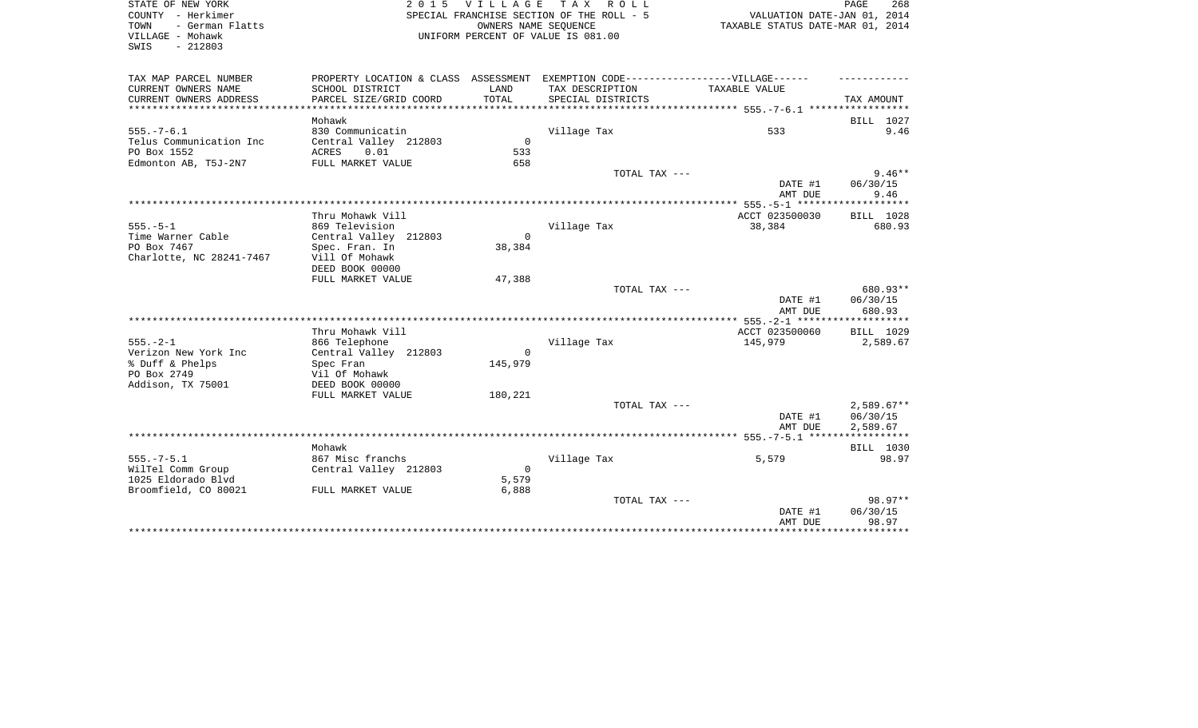| STATE OF NEW YORK                            |                                           | 2015 VILLAGE                              | T A X<br>R O L L                                                                  |                                  | PAGE<br>268           |
|----------------------------------------------|-------------------------------------------|-------------------------------------------|-----------------------------------------------------------------------------------|----------------------------------|-----------------------|
| COUNTY - Herkimer                            |                                           | SPECIAL FRANCHISE SECTION OF THE ROLL - 5 | VALUATION DATE-JAN 01, 2014                                                       |                                  |                       |
| - German Flatts<br>TOWN                      |                                           |                                           | OWNERS NAME SEOUENCE                                                              | TAXABLE STATUS DATE-MAR 01, 2014 |                       |
| VILLAGE - Mohawk                             |                                           |                                           | UNIFORM PERCENT OF VALUE IS 081.00                                                |                                  |                       |
| $-212803$<br>SWIS                            |                                           |                                           |                                                                                   |                                  |                       |
|                                              |                                           |                                           |                                                                                   |                                  |                       |
| TAX MAP PARCEL NUMBER<br>CURRENT OWNERS NAME |                                           | LAND                                      | PROPERTY LOCATION & CLASS ASSESSMENT EXEMPTION CODE-----------------VILLAGE------ | TAXABLE VALUE                    |                       |
| CURRENT OWNERS ADDRESS                       | SCHOOL DISTRICT<br>PARCEL SIZE/GRID COORD | TOTAL                                     | TAX DESCRIPTION<br>SPECIAL DISTRICTS                                              |                                  | TAX AMOUNT            |
| ***********************                      |                                           |                                           |                                                                                   |                                  |                       |
|                                              | Mohawk                                    |                                           |                                                                                   |                                  | BILL 1027             |
| $555. - 7 - 6.1$                             | 830 Communicatin                          |                                           | Village Tax                                                                       | 533                              | 9.46                  |
| Telus Communication Inc                      | Central Valley 212803                     | $\mathbf 0$                               |                                                                                   |                                  |                       |
| PO Box 1552                                  | ACRES<br>0.01                             | 533                                       |                                                                                   |                                  |                       |
| Edmonton AB, T5J-2N7                         | FULL MARKET VALUE                         | 658                                       |                                                                                   |                                  |                       |
|                                              |                                           |                                           | TOTAL TAX ---                                                                     |                                  | $9.46**$              |
|                                              |                                           |                                           |                                                                                   | DATE #1                          | 06/30/15              |
|                                              |                                           |                                           |                                                                                   | AMT DUE                          | 9.46                  |
|                                              | Thru Mohawk Vill                          |                                           |                                                                                   | ACCT 023500030                   | BILL 1028             |
| $555. - 5 - 1$                               | 869 Television                            |                                           | Village Tax                                                                       | 38,384                           | 680.93                |
| Time Warner Cable                            | Central Valley 212803                     | $\Omega$                                  |                                                                                   |                                  |                       |
| PO Box 7467                                  | Spec. Fran. In                            | 38,384                                    |                                                                                   |                                  |                       |
| Charlotte, NC 28241-7467                     | Vill Of Mohawk                            |                                           |                                                                                   |                                  |                       |
|                                              | DEED BOOK 00000                           |                                           |                                                                                   |                                  |                       |
|                                              | FULL MARKET VALUE                         | 47,388                                    |                                                                                   |                                  |                       |
|                                              |                                           |                                           | TOTAL TAX ---                                                                     |                                  | 680.93**              |
|                                              |                                           |                                           |                                                                                   | DATE #1                          | 06/30/15              |
|                                              |                                           |                                           |                                                                                   | AMT DUE                          | 680.93                |
|                                              |                                           |                                           |                                                                                   |                                  |                       |
| $555. - 2 - 1$                               | Thru Mohawk Vill<br>866 Telephone         |                                           | Village Tax                                                                       | ACCT 023500060<br>145,979        | BILL 1029<br>2,589.67 |
| Verizon New York Inc                         | Central Valley 212803                     | $\Omega$                                  |                                                                                   |                                  |                       |
| % Duff & Phelps                              | Spec Fran                                 | 145,979                                   |                                                                                   |                                  |                       |
| PO Box 2749                                  | Vil Of Mohawk                             |                                           |                                                                                   |                                  |                       |
| Addison, TX 75001                            | DEED BOOK 00000                           |                                           |                                                                                   |                                  |                       |
|                                              | FULL MARKET VALUE                         | 180,221                                   |                                                                                   |                                  |                       |
|                                              |                                           |                                           | TOTAL TAX ---                                                                     |                                  | $2,589.67**$          |
|                                              |                                           |                                           |                                                                                   | DATE #1                          | 06/30/15              |
|                                              |                                           |                                           |                                                                                   | AMT DUE                          | 2,589.67              |
|                                              |                                           |                                           |                                                                                   |                                  |                       |
|                                              | Mohawk                                    |                                           |                                                                                   |                                  | BILL 1030             |
| $555. - 7 - 5.1$                             | 867 Misc franchs                          |                                           | Village Tax                                                                       | 5,579                            | 98.97                 |
| WilTel Comm Group                            | Central Valley 212803                     | $\mathbf 0$                               |                                                                                   |                                  |                       |
| 1025 Eldorado Blvd<br>Broomfield, CO 80021   | FULL MARKET VALUE                         | 5,579<br>6,888                            |                                                                                   |                                  |                       |
|                                              |                                           |                                           | TOTAL TAX ---                                                                     |                                  | 98.97**               |
|                                              |                                           |                                           |                                                                                   | DATE #1                          | 06/30/15              |
|                                              |                                           |                                           |                                                                                   | AMT DUE                          | 98.97                 |

\*\*\*\*\*\*\*\*\*\*\*\*\*\*\*\*\*\*\*\*\*\*\*\*\*\*\*\*\*\*\*\*\*\*\*\*\*\*\*\*\*\*\*\*\*\*\*\*\*\*\*\*\*\*\*\*\*\*\*\*\*\*\*\*\*\*\*\*\*\*\*\*\*\*\*\*\*\*\*\*\*\*\*\*\*\*\*\*\*\*\*\*\*\*\*\*\*\*\*\*\*\*\*\*\*\*\*\*\*\*\*\*\*\*\*\*\*\*\*\*\*\*\*\*\*\*\*\*\*\*\*\*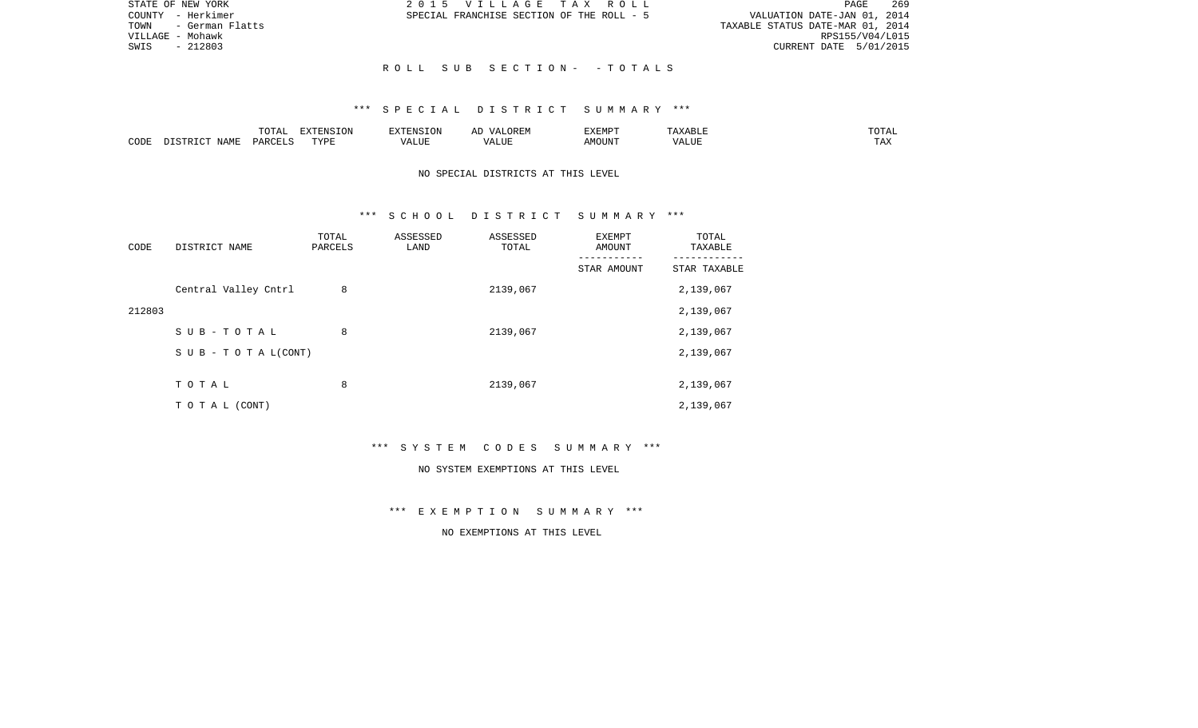| STATE OF NEW YORK       | 2015 VILLAGE TAX ROLL                     | 269<br>PAGE                      |
|-------------------------|-------------------------------------------|----------------------------------|
| COUNTY - Herkimer       | SPECIAL FRANCHISE SECTION OF THE ROLL - 5 | VALUATION DATE-JAN 01, 2014      |
| - German Flatts<br>TOWN |                                           | TAXABLE STATUS DATE-MAR 01, 2014 |
| VILLAGE - Mohawk        |                                           | RPS155/V04/L015                  |
| $-212803$<br>SWIS       |                                           | CURRENT DATE 5/01/2015           |
|                         |                                           |                                  |
|                         | ROLL SUB SECTION- -TOTALS                 |                                  |

|      | $m \wedge m \wedge n$<br>∸∪ ⊤™⊤⊤ | <b>DEAIGE ONT</b><br>LUIN |           | 51.CD5<br>ALMP |                     | ۰д<br>- - - - - |
|------|----------------------------------|---------------------------|-----------|----------------|---------------------|-----------------|
| CODE | D A RI                           | TVDI<br>. <u>. .</u>      | יים ∪ו∟ר. | 'OUN           | - - ---<br>$\cdots$ | ⊥ டு∡:          |

# NO SPECIAL DISTRICTS AT THIS LEVEL

### \*\*\* S C H O O L D I S T R I C T S U M M A R Y \*\*\*

| CODE   | DISTRICT NAME        | TOTAL<br>PARCELS | ASSESSED<br>LAND | ASSESSED<br>TOTAL | EXEMPT<br>AMOUNT | TOTAL<br>TAXABLE |
|--------|----------------------|------------------|------------------|-------------------|------------------|------------------|
|        |                      |                  |                  |                   | STAR AMOUNT      | STAR TAXABLE     |
|        | Central Valley Cntrl | 8                |                  | 2139,067          |                  | 2,139,067        |
| 212803 |                      |                  |                  |                   |                  | 2,139,067        |
|        | SUB-TOTAL            | 8                |                  | 2139,067          |                  | 2,139,067        |
|        | SUB - TO TAL(CONT)   |                  |                  |                   |                  | 2,139,067        |
|        |                      |                  |                  |                   |                  |                  |
|        | TOTAL                | 8                |                  | 2139,067          |                  | 2,139,067        |
|        | T O T A L (CONT)     |                  |                  |                   |                  | 2,139,067        |

\*\*\* S Y S T E M C O D E S S U M M A R Y \*\*\*

#### NO SYSTEM EXEMPTIONS AT THIS LEVEL

\*\*\* E X E M P T I O N S U M M A R Y \*\*\*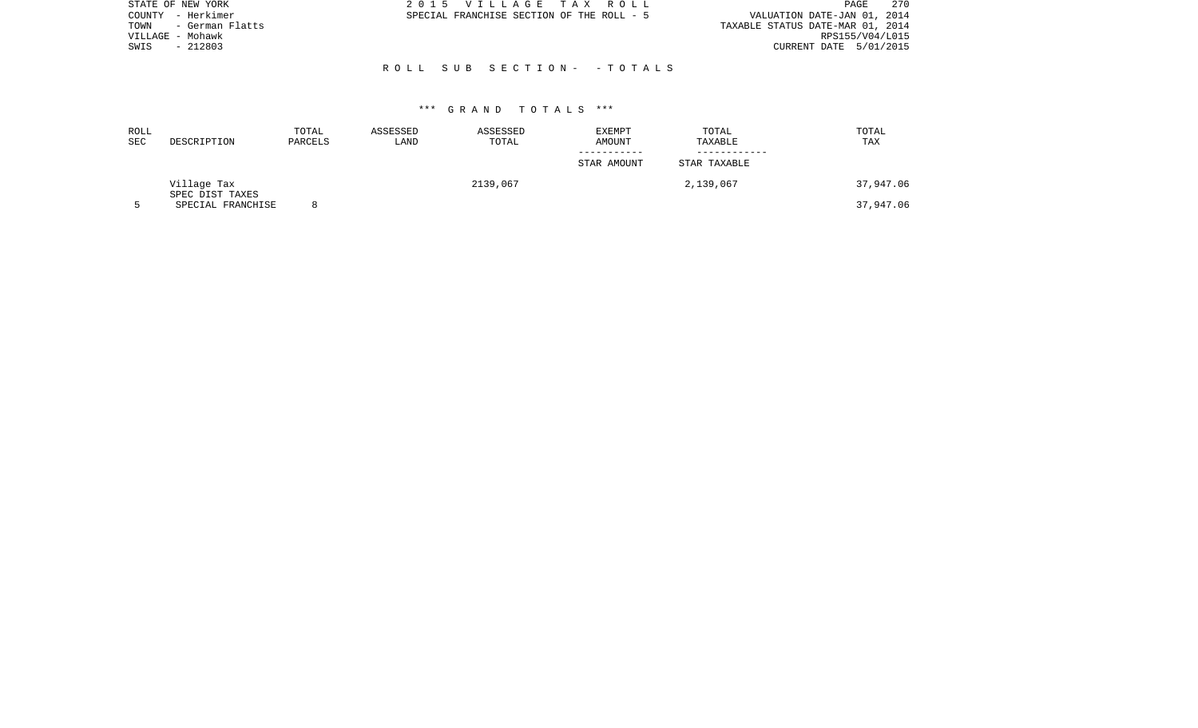| STATE OF NEW YORK       | 2015 VILLAGE TAX ROLL                     | 270<br>PAGE                      |
|-------------------------|-------------------------------------------|----------------------------------|
| – Herkimer<br>COUNTY    | SPECIAL FRANCHISE SECTION OF THE ROLL - 5 | VALUATION DATE-JAN 01, 2014      |
| - German Flatts<br>TOWN |                                           | TAXABLE STATUS DATE-MAR 01, 2014 |
| VILLAGE - Mohawk        |                                           | RPS155/V04/L015                  |
| $-212803$<br>SWIS       |                                           | CURRENT DATE 5/01/2015           |
|                         |                                           |                                  |
|                         | ROLL SUB SECTION- -TOTALS                 |                                  |
|                         |                                           |                                  |

| ROLL<br>SEC | DESCRIPTION                    | TOTAL<br>PARCELS | ASSESSED<br>LAND | ASSESSED<br>TOTAL | EXEMPT<br>AMOUNT | TOTAL<br>TAXABLE | TOTAL<br>TAX |
|-------------|--------------------------------|------------------|------------------|-------------------|------------------|------------------|--------------|
|             |                                |                  |                  |                   | STAR AMOUNT      | STAR TAXABLE     |              |
|             | Village Tax<br>SPEC DIST TAXES |                  |                  | 2139,067          |                  | 2,139,067        | 37,947.06    |
|             | SPECIAL FRANCHISE              | $\circ$          |                  |                   |                  |                  | 37,947.06    |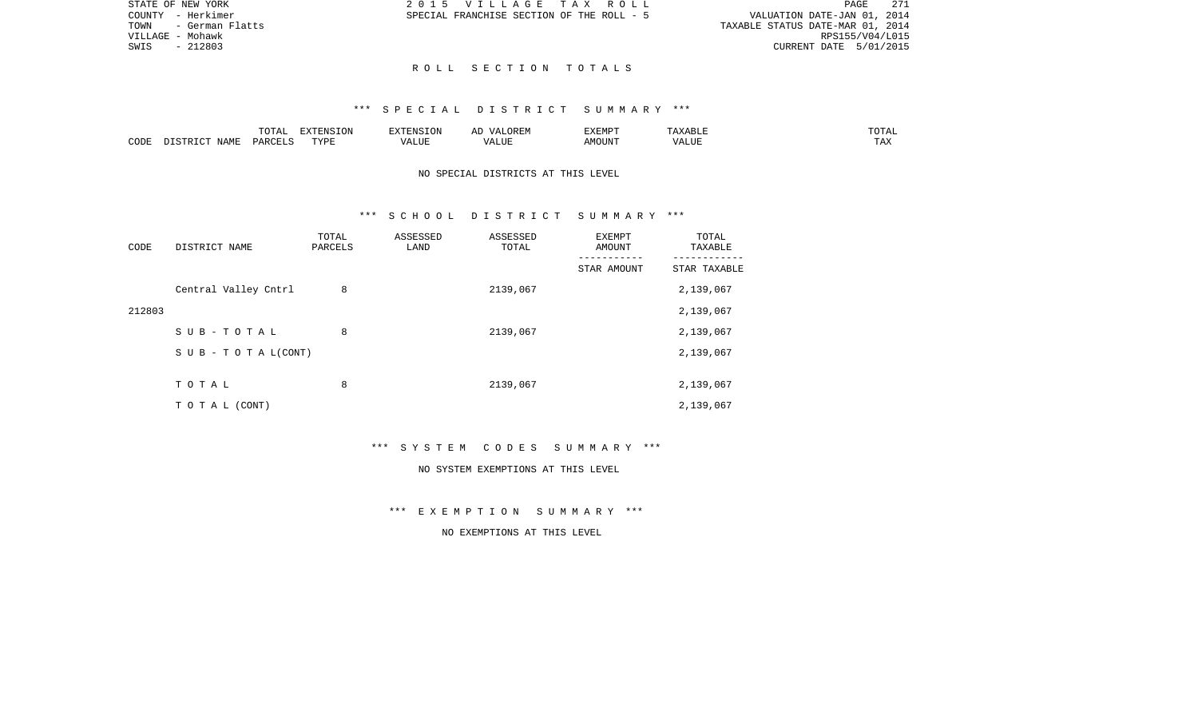|                                  |                             | PAGE 271 |
|----------------------------------|-----------------------------|----------|
|                                  | VALUATION DATE-JAN 01, 2014 |          |
| TAXABLE STATUS DATE-MAR 01, 2014 |                             |          |
|                                  | RPS155/V04/L015             |          |
|                                  | CURRENT DATE 5/01/2015      |          |

STATE OF NEW YORK **2015 VILLAGE TAX ROLL** COUNTY - Herkimer SPECIAL FRANCHISE SECTION OF THE ROLL - 5

TOWN - German Flatts VILLAGE - Mohawk SWIS - 212803

### R O L L S E C T I O N T O T A L S

### \*\*\* S P E C I A L D I S T R I C T S U M M A R Y \*\*\*

|      |             | $m \wedge m \wedge n$<br>◡∸ェ | $\Box$<br>LVIN | an Nisi                | . בג | <b>DIEDIS</b><br>r:MP | <b>BII</b> | $n \cap m \geq n$<br>∸∸ |
|------|-------------|------------------------------|----------------|------------------------|------|-----------------------|------------|-------------------------|
| CODE | <b>NAME</b> | D∆F                          | TVDI           | $- - - -$<br>. L I J F |      | MOUN.                 | 77T        | $m \times n$<br>⊥ A∡    |

# NO SPECIAL DISTRICTS AT THIS LEVEL

## \*\*\* S C H O O L D I S T R I C T S U M M A R Y \*\*\*

| CODE   | DISTRICT NAME                    | TOTAL<br>PARCELS | ASSESSED<br>LAND | ASSESSED<br>TOTAL | EXEMPT<br>AMOUNT | TOTAL<br>TAXABLE |
|--------|----------------------------------|------------------|------------------|-------------------|------------------|------------------|
|        |                                  |                  |                  |                   | STAR AMOUNT      | STAR TAXABLE     |
|        | Central Valley Cntrl             | 8                |                  | 2139,067          |                  | 2,139,067        |
| 212803 |                                  |                  |                  |                   |                  | 2,139,067        |
|        | SUB-TOTAL                        | 8                |                  | 2139,067          |                  | 2,139,067        |
|        | $S \cup B - T \cup T A L (CONT)$ |                  |                  |                   |                  | 2,139,067        |
|        |                                  |                  |                  |                   |                  |                  |
|        | TOTAL                            | 8                |                  | 2139,067          |                  | 2,139,067        |
|        | T O T A L (CONT)                 |                  |                  |                   |                  | 2,139,067        |

\*\*\* S Y S T E M C O D E S S U M M A R Y \*\*\*

#### NO SYSTEM EXEMPTIONS AT THIS LEVEL

\*\*\* E X E M P T I O N S U M M A R Y \*\*\*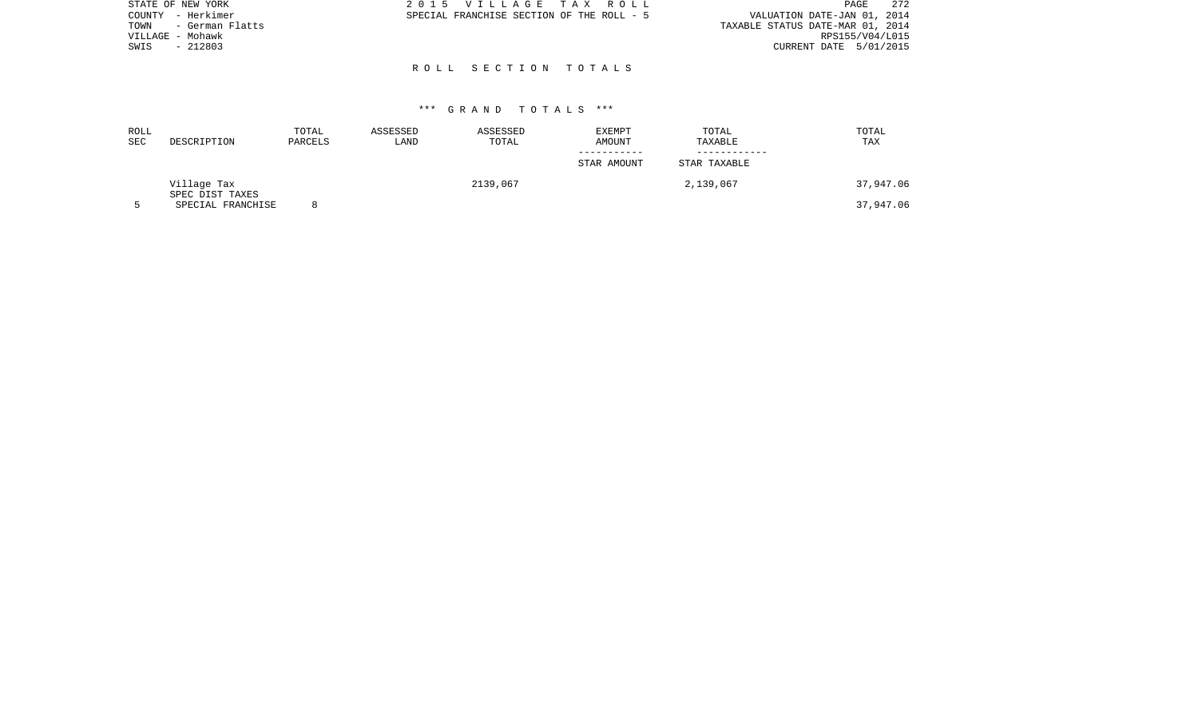| STATE OF NEW YORK       | 2015 VILLAGE TAX ROLL                     | 272<br>PAGE                      |
|-------------------------|-------------------------------------------|----------------------------------|
| - Herkimer<br>COUNTY    | SPECIAL FRANCHISE SECTION OF THE ROLL - 5 | VALUATION DATE-JAN 01, 2014      |
| - German Flatts<br>TOWN |                                           | TAXABLE STATUS DATE-MAR 01, 2014 |
| VILLAGE - Mohawk        |                                           | RPS155/V04/L015                  |
| $-212803$<br>SWIS       |                                           | CURRENT DATE 5/01/2015           |
|                         |                                           |                                  |
|                         | ROLL SECTION TOTALS                       |                                  |

| ROLL<br><b>SEC</b> | DESCRIPTION                    | TOTAL<br>PARCELS | ASSESSED<br>LAND | ASSESSED<br>TOTAL | EXEMPT<br>AMOUNT | TOTAL<br>TAXABLE | TOTAL<br>TAX |
|--------------------|--------------------------------|------------------|------------------|-------------------|------------------|------------------|--------------|
|                    |                                |                  |                  |                   | STAR AMOUNT      | STAR TAXABLE     |              |
|                    | Village Tax<br>SPEC DIST TAXES |                  |                  | 2139,067          |                  | 2,139,067        | 37,947.06    |
|                    | SPECIAL FRANCHISE              |                  |                  |                   |                  |                  | 37,947.06    |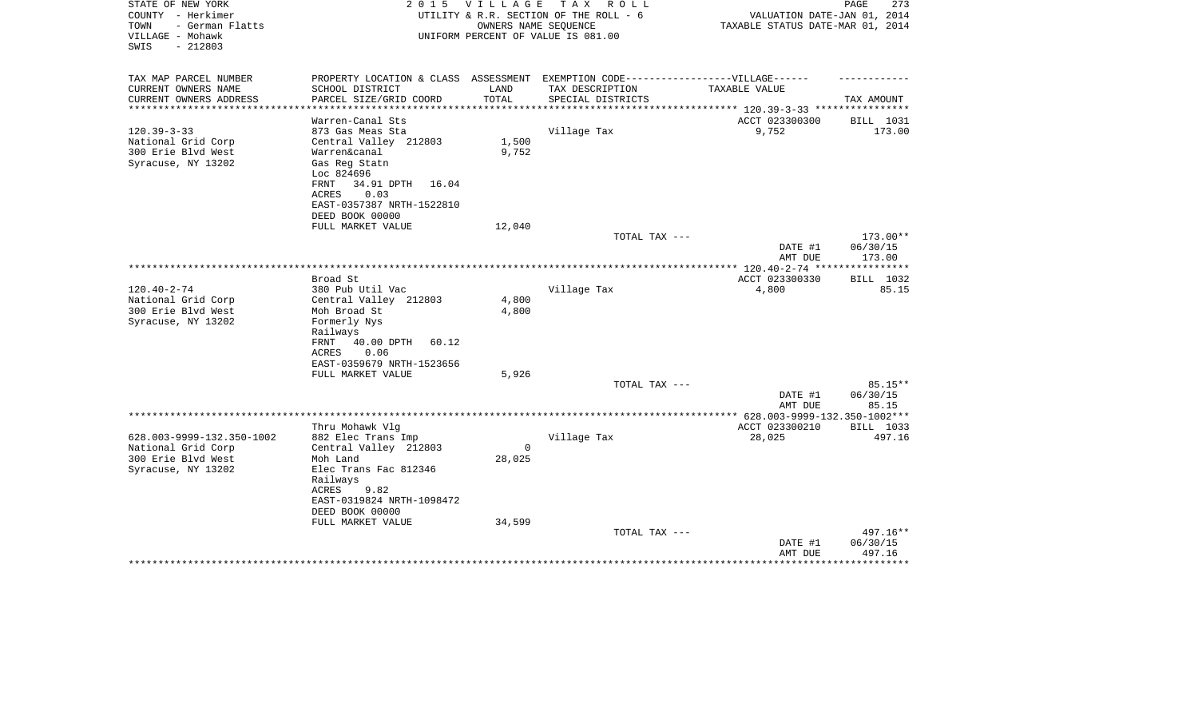| STATE OF NEW YORK<br>COUNTY - Herkimer<br>- German Flatts<br>TOWN<br>VILLAGE - Mohawk<br>$-212803$<br>SWIS | 2 0 1 5                                                                          |          | VILLAGE TAX ROLL<br>UTILITY & R.R. SECTION OF THE ROLL - 6<br>OWNERS NAME SEQUENCE<br>UNIFORM PERCENT OF VALUE IS 081.00 | VALUATION DATE-JAN 01, 2014<br>TAXABLE STATUS DATE-MAR 01, 2014 | $\mathop{\mathtt{PAGE}}$<br>273 |
|------------------------------------------------------------------------------------------------------------|----------------------------------------------------------------------------------|----------|--------------------------------------------------------------------------------------------------------------------------|-----------------------------------------------------------------|---------------------------------|
| TAX MAP PARCEL NUMBER                                                                                      | PROPERTY LOCATION & CLASS ASSESSMENT EXEMPTION CODE----------------VILLAGE------ |          |                                                                                                                          |                                                                 |                                 |
| CURRENT OWNERS NAME                                                                                        | SCHOOL DISTRICT                                                                  | LAND     | TAX DESCRIPTION                                                                                                          | TAXABLE VALUE                                                   |                                 |
| CURRENT OWNERS ADDRESS<br>**********************                                                           | PARCEL SIZE/GRID COORD                                                           | TOTAL    | SPECIAL DISTRICTS                                                                                                        |                                                                 | TAX AMOUNT                      |
|                                                                                                            | Warren-Canal Sts                                                                 |          |                                                                                                                          | ACCT 023300300                                                  | BILL 1031                       |
| $120.39 - 3 - 33$                                                                                          | 873 Gas Meas Sta                                                                 |          | Village Tax                                                                                                              | 9,752                                                           | 173.00                          |
| National Grid Corp                                                                                         | Central Valley 212803                                                            | 1,500    |                                                                                                                          |                                                                 |                                 |
| 300 Erie Blvd West                                                                                         | Warren&canal                                                                     | 9,752    |                                                                                                                          |                                                                 |                                 |
| Syracuse, NY 13202                                                                                         | Gas Reg Statn                                                                    |          |                                                                                                                          |                                                                 |                                 |
|                                                                                                            | Loc 824696                                                                       |          |                                                                                                                          |                                                                 |                                 |
|                                                                                                            | 34.91 DPTH<br>FRNT<br>16.04                                                      |          |                                                                                                                          |                                                                 |                                 |
|                                                                                                            | 0.03<br>ACRES                                                                    |          |                                                                                                                          |                                                                 |                                 |
|                                                                                                            | EAST-0357387 NRTH-1522810                                                        |          |                                                                                                                          |                                                                 |                                 |
|                                                                                                            | DEED BOOK 00000<br>FULL MARKET VALUE                                             | 12,040   |                                                                                                                          |                                                                 |                                 |
|                                                                                                            |                                                                                  |          | TOTAL TAX ---                                                                                                            |                                                                 | 173.00**                        |
|                                                                                                            |                                                                                  |          |                                                                                                                          | DATE #1<br>AMT DUE                                              | 06/30/15<br>173.00              |
|                                                                                                            |                                                                                  |          |                                                                                                                          |                                                                 |                                 |
|                                                                                                            | Broad St                                                                         |          |                                                                                                                          | ACCT 023300330                                                  | BILL 1032                       |
| $120.40 - 2 - 74$                                                                                          | 380 Pub Util Vac                                                                 |          | Village Tax                                                                                                              | 4,800                                                           | 85.15                           |
| National Grid Corp                                                                                         | Central Valley 212803                                                            | 4,800    |                                                                                                                          |                                                                 |                                 |
| 300 Erie Blvd West<br>Syracuse, NY 13202                                                                   | Moh Broad St                                                                     | 4,800    |                                                                                                                          |                                                                 |                                 |
|                                                                                                            | Formerly Nys<br>Railways                                                         |          |                                                                                                                          |                                                                 |                                 |
|                                                                                                            | 40.00 DPTH<br>60.12<br>FRNT                                                      |          |                                                                                                                          |                                                                 |                                 |
|                                                                                                            | 0.06<br>ACRES                                                                    |          |                                                                                                                          |                                                                 |                                 |
|                                                                                                            | EAST-0359679 NRTH-1523656                                                        |          |                                                                                                                          |                                                                 |                                 |
|                                                                                                            | FULL MARKET VALUE                                                                | 5,926    |                                                                                                                          |                                                                 |                                 |
|                                                                                                            |                                                                                  |          | TOTAL TAX ---                                                                                                            |                                                                 | $85.15**$                       |
|                                                                                                            |                                                                                  |          |                                                                                                                          | DATE #1                                                         | 06/30/15                        |
|                                                                                                            |                                                                                  |          |                                                                                                                          | AMT DUE                                                         | 85.15                           |
|                                                                                                            | Thru Mohawk Vlg                                                                  |          |                                                                                                                          | ACCT 023300210                                                  | BILL 1033                       |
| 628.003-9999-132.350-1002                                                                                  | 882 Elec Trans Imp                                                               |          | Village Tax                                                                                                              | 28,025                                                          | 497.16                          |
| National Grid Corp                                                                                         | Central Valley 212803                                                            | $\Omega$ |                                                                                                                          |                                                                 |                                 |
| 300 Erie Blvd West                                                                                         | Moh Land                                                                         | 28,025   |                                                                                                                          |                                                                 |                                 |
| Syracuse, NY 13202                                                                                         | Elec Trans Fac 812346                                                            |          |                                                                                                                          |                                                                 |                                 |
|                                                                                                            | Railways                                                                         |          |                                                                                                                          |                                                                 |                                 |
|                                                                                                            | ACRES<br>9.82                                                                    |          |                                                                                                                          |                                                                 |                                 |
|                                                                                                            | EAST-0319824 NRTH-1098472                                                        |          |                                                                                                                          |                                                                 |                                 |
|                                                                                                            | DEED BOOK 00000<br>FULL MARKET VALUE                                             | 34,599   |                                                                                                                          |                                                                 |                                 |
|                                                                                                            |                                                                                  |          | TOTAL TAX ---                                                                                                            |                                                                 | 497.16**                        |
|                                                                                                            |                                                                                  |          |                                                                                                                          | DATE #1                                                         | 06/30/15                        |
|                                                                                                            |                                                                                  |          |                                                                                                                          | AMT DUE                                                         | 497.16                          |
|                                                                                                            |                                                                                  |          |                                                                                                                          |                                                                 |                                 |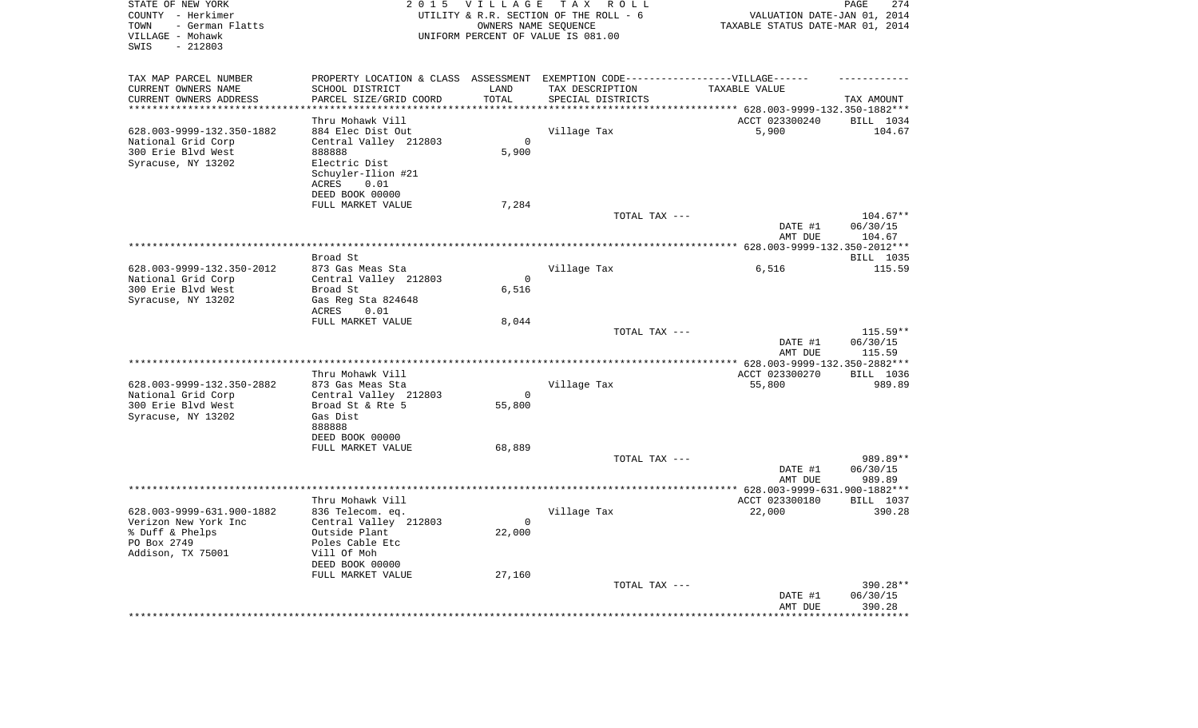| STATE OF NEW YORK<br>COUNTY - Herkimer<br>- German Flatts<br>TOWN<br>VILLAGE - Mohawk<br>$-212803$<br>SWIS |                                                                                   | 2015 VILLAGE       | TAX ROLL<br>UTILITY & R.R. SECTION OF THE ROLL - 6<br>OWNERS NAME SEQUENCE<br>UNIFORM PERCENT OF VALUE IS 081.00 | VALUATION DATE-JAN 01, 2014<br>TAXABLE STATUS DATE-MAR 01, 2014                       | 274<br>PAGE            |
|------------------------------------------------------------------------------------------------------------|-----------------------------------------------------------------------------------|--------------------|------------------------------------------------------------------------------------------------------------------|---------------------------------------------------------------------------------------|------------------------|
| TAX MAP PARCEL NUMBER                                                                                      | PROPERTY LOCATION & CLASS ASSESSMENT EXEMPTION CODE-----------------VILLAGE------ |                    |                                                                                                                  |                                                                                       |                        |
| CURRENT OWNERS NAME                                                                                        | SCHOOL DISTRICT                                                                   | LAND               | TAX DESCRIPTION                                                                                                  | TAXABLE VALUE                                                                         |                        |
| CURRENT OWNERS ADDRESS<br>**********************                                                           | PARCEL SIZE/GRID COORD<br>***********************                                 | TOTAL<br>********* | SPECIAL DISTRICTS                                                                                                |                                                                                       | TAX AMOUNT             |
|                                                                                                            | Thru Mohawk Vill                                                                  |                    |                                                                                                                  | ***********************************    628.003-9999-132.350-1882***<br>ACCT 023300240 | BILL 1034              |
| 628.003-9999-132.350-1882                                                                                  | 884 Elec Dist Out                                                                 |                    | Village Tax                                                                                                      | 5,900                                                                                 | 104.67                 |
| National Grid Corp                                                                                         | Central Valley 212803                                                             | $\Omega$           |                                                                                                                  |                                                                                       |                        |
| 300 Erie Blvd West                                                                                         | 888888                                                                            | 5,900              |                                                                                                                  |                                                                                       |                        |
| Syracuse, NY 13202                                                                                         | Electric Dist                                                                     |                    |                                                                                                                  |                                                                                       |                        |
|                                                                                                            | Schuyler-Ilion #21                                                                |                    |                                                                                                                  |                                                                                       |                        |
|                                                                                                            | ACRES<br>0.01                                                                     |                    |                                                                                                                  |                                                                                       |                        |
|                                                                                                            | DEED BOOK 00000                                                                   |                    |                                                                                                                  |                                                                                       |                        |
|                                                                                                            | FULL MARKET VALUE                                                                 | 7,284              |                                                                                                                  |                                                                                       |                        |
|                                                                                                            |                                                                                   |                    | TOTAL TAX ---                                                                                                    | DATE #1                                                                               | $104.67**$<br>06/30/15 |
|                                                                                                            |                                                                                   |                    |                                                                                                                  | AMT DUE                                                                               | 104.67                 |
|                                                                                                            |                                                                                   |                    |                                                                                                                  | ***************** 628.003-9999-132.350-2012***                                        |                        |
|                                                                                                            | Broad St                                                                          |                    |                                                                                                                  |                                                                                       | BILL 1035              |
| 628.003-9999-132.350-2012                                                                                  | 873 Gas Meas Sta                                                                  |                    | Village Tax                                                                                                      | 6,516                                                                                 | 115.59                 |
| National Grid Corp                                                                                         | Central Valley 212803                                                             | $\Omega$           |                                                                                                                  |                                                                                       |                        |
| 300 Erie Blvd West                                                                                         | Broad St                                                                          | 6,516              |                                                                                                                  |                                                                                       |                        |
| Syracuse, NY 13202                                                                                         | Gas Reg Sta 824648<br>ACRES<br>0.01                                               |                    |                                                                                                                  |                                                                                       |                        |
|                                                                                                            | FULL MARKET VALUE                                                                 | 8,044              |                                                                                                                  |                                                                                       |                        |
|                                                                                                            |                                                                                   |                    | TOTAL TAX ---                                                                                                    |                                                                                       | $115.59**$             |
|                                                                                                            |                                                                                   |                    |                                                                                                                  | DATE #1                                                                               | 06/30/15               |
|                                                                                                            |                                                                                   |                    |                                                                                                                  | AMT DUE                                                                               | 115.59                 |
|                                                                                                            |                                                                                   |                    | ******************                                                                                               | ** 628.003-9999-132.350-2882***                                                       |                        |
|                                                                                                            | Thru Mohawk Vill                                                                  |                    |                                                                                                                  | ACCT 023300270                                                                        | BILL 1036              |
| 628.003-9999-132.350-2882<br>National Grid Corp                                                            | 873 Gas Meas Sta<br>Central Valley 212803                                         | $\mathbf 0$        | Village Tax                                                                                                      | 55,800                                                                                | 989.89                 |
| 300 Erie Blvd West                                                                                         | Broad St & Rte 5                                                                  | 55,800             |                                                                                                                  |                                                                                       |                        |
| Syracuse, NY 13202                                                                                         | Gas Dist                                                                          |                    |                                                                                                                  |                                                                                       |                        |
|                                                                                                            | 888888                                                                            |                    |                                                                                                                  |                                                                                       |                        |
|                                                                                                            | DEED BOOK 00000                                                                   |                    |                                                                                                                  |                                                                                       |                        |
|                                                                                                            | FULL MARKET VALUE                                                                 | 68,889             |                                                                                                                  |                                                                                       |                        |
|                                                                                                            |                                                                                   |                    | TOTAL TAX ---                                                                                                    |                                                                                       | 989.89**               |
|                                                                                                            |                                                                                   |                    |                                                                                                                  | DATE #1<br>AMT DUE                                                                    | 06/30/15<br>989.89     |
| ******************************                                                                             |                                                                                   |                    |                                                                                                                  | ************ 628.003-9999-631.900-1882***                                             |                        |
|                                                                                                            | Thru Mohawk Vill                                                                  |                    |                                                                                                                  | ACCT 023300180                                                                        | BILL 1037              |
| 628.003-9999-631.900-1882                                                                                  | 836 Telecom. eq.                                                                  |                    | Village Tax                                                                                                      | 22,000                                                                                | 390.28                 |
| Verizon New York Inc                                                                                       | Central Valley 212803                                                             | $\mathbf 0$        |                                                                                                                  |                                                                                       |                        |
| % Duff & Phelps                                                                                            | Outside Plant                                                                     | 22,000             |                                                                                                                  |                                                                                       |                        |
| PO Box 2749                                                                                                | Poles Cable Etc                                                                   |                    |                                                                                                                  |                                                                                       |                        |
| Addison, TX 75001                                                                                          | Vill Of Moh<br>DEED BOOK 00000                                                    |                    |                                                                                                                  |                                                                                       |                        |
|                                                                                                            | FULL MARKET VALUE                                                                 | 27,160             |                                                                                                                  |                                                                                       |                        |
|                                                                                                            |                                                                                   |                    | TOTAL TAX ---                                                                                                    |                                                                                       | 390.28**               |
|                                                                                                            |                                                                                   |                    |                                                                                                                  | DATE #1                                                                               | 06/30/15               |
|                                                                                                            |                                                                                   |                    |                                                                                                                  | AMT DUE                                                                               | 390.28                 |
|                                                                                                            |                                                                                   |                    |                                                                                                                  |                                                                                       | *******                |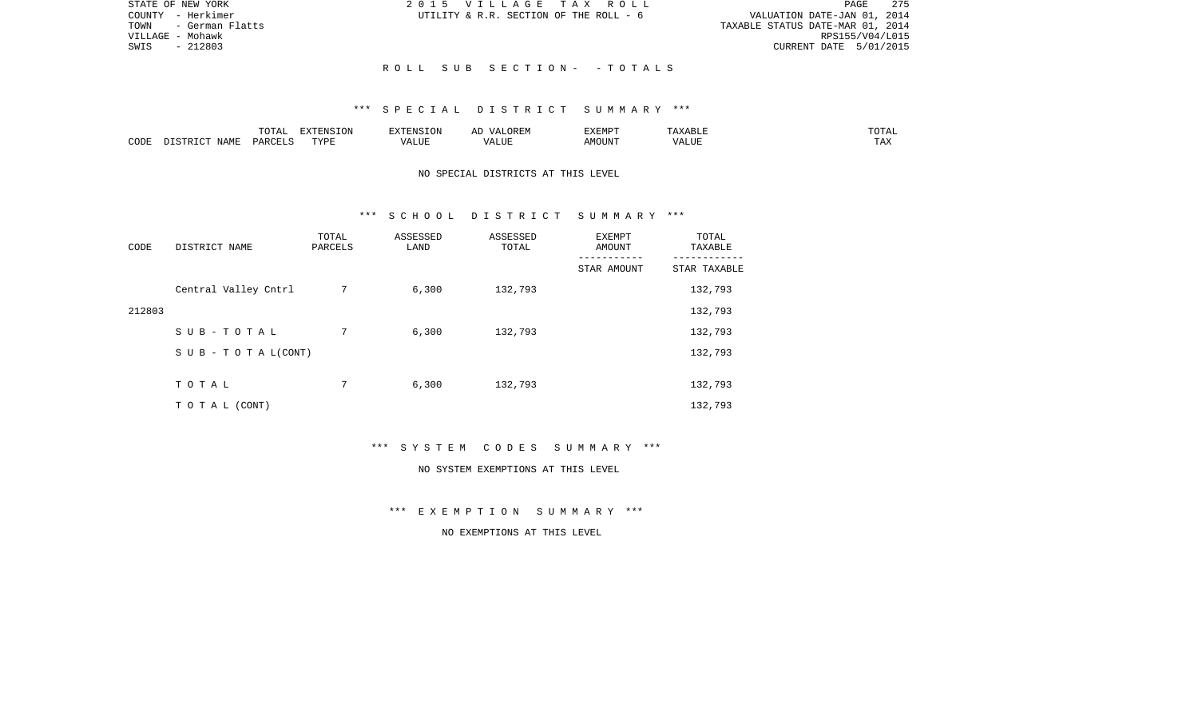| STATE OF NEW YORK      | 2015 VILLAGE TAX ROLL                  | 275<br>PAGE                      |
|------------------------|----------------------------------------|----------------------------------|
| COUNTY - Herkimer      | UTILITY & R.R. SECTION OF THE ROLL - 6 | VALUATION DATE-JAN 01, 2014      |
| TOWN   - German Flatts |                                        | TAXABLE STATUS DATE-MAR 01, 2014 |
| VILLAGE – Mohawk       |                                        | RPS155/V04/L015                  |
| SWIS - 212803          |                                        | CURRENT DATE 5/01/2015           |
|                        |                                        |                                  |
|                        | ROLL SUB SECTION- -TOTALS              |                                  |

|      |                            | .∪⊥⊓⊥         | $\blacksquare$<br>11 L<br>LUIN |               |            | EXEMPT       | ABL.                  | $m \wedge m$<br>. |
|------|----------------------------|---------------|--------------------------------|---------------|------------|--------------|-----------------------|-------------------|
| CODE | <b>ABST</b><br>. .<br>NAMP | <b>DARCFT</b> | TVDT                           | $\mathcal{L}$ | ,,,<br>שחד | OUN".<br>۱M۲ | $- - - - - -$<br>ALUI | $- - -$<br>. Ал   |

## NO SPECIAL DISTRICTS AT THIS LEVEL

### \*\*\* S C H O O L D I S T R I C T S U M M A R Y \*\*\*

| CODE   | DISTRICT NAME                    | TOTAL<br>PARCELS | ASSESSED<br>LAND | ASSESSED<br>TOTAL | EXEMPT<br>AMOUNT | TOTAL<br>TAXABLE |
|--------|----------------------------------|------------------|------------------|-------------------|------------------|------------------|
|        |                                  |                  |                  |                   | STAR AMOUNT      | STAR TAXABLE     |
|        | Central Valley Cntrl             | 7                | 6,300            | 132,793           |                  | 132,793          |
| 212803 |                                  |                  |                  |                   |                  | 132,793          |
|        | SUB-TOTAL                        | 7                | 6,300            | 132,793           |                  | 132,793          |
|        | $S \cup B - T \cup T A L (CONT)$ |                  |                  |                   |                  | 132,793          |
|        |                                  |                  |                  |                   |                  |                  |
|        | TOTAL                            | 7                | 6,300            | 132,793           |                  | 132,793          |
|        | T O T A L (CONT)                 |                  |                  |                   |                  | 132,793          |

\*\*\* S Y S T E M C O D E S S U M M A R Y \*\*\*

#### NO SYSTEM EXEMPTIONS AT THIS LEVEL

\*\*\* E X E M P T I O N S U M M A R Y \*\*\*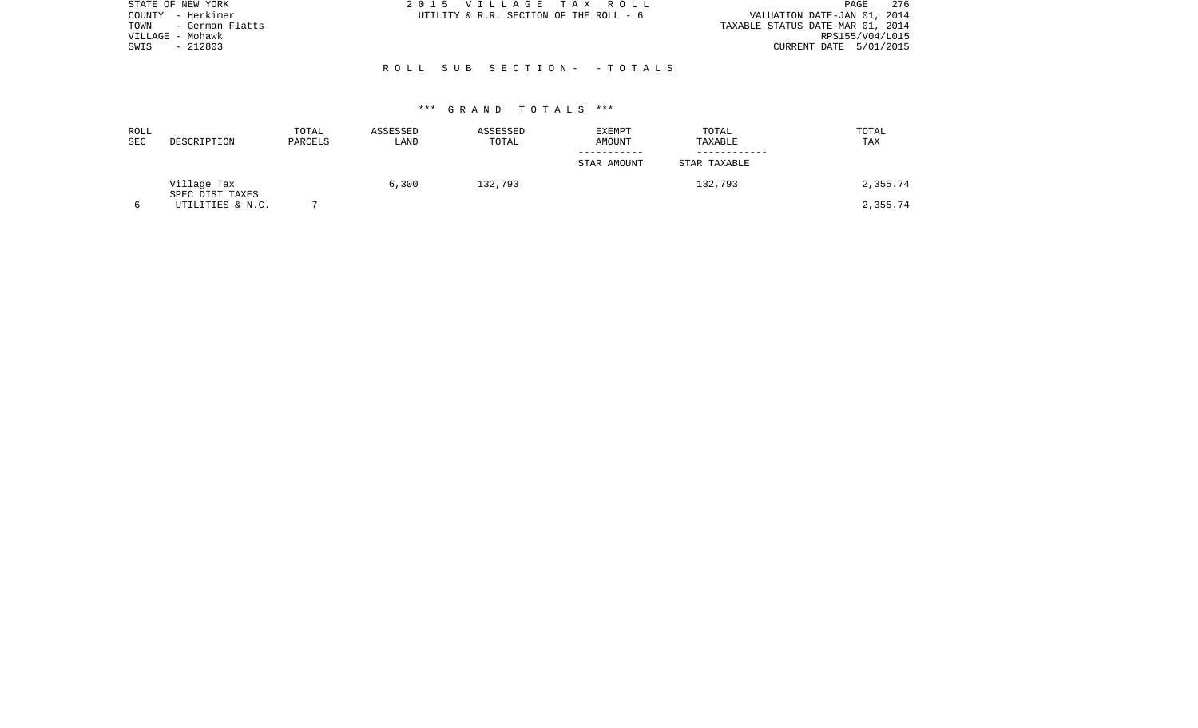| STATE OF NEW YORK    | 2015 VILLAGE TAX ROLL                  | 276<br>PAGE                      |
|----------------------|----------------------------------------|----------------------------------|
| COUNTY - Herkimer    | UTILITY & R.R. SECTION OF THE ROLL - 6 | VALUATION DATE-JAN 01, 2014      |
| TOWN - German Flatts |                                        | TAXABLE STATUS DATE-MAR 01, 2014 |
| VILLAGE - Mohawk     |                                        | RPS155/V04/L015                  |
| $-212803$<br>SWIS    |                                        | CURRENT DATE 5/01/2015           |
|                      |                                        |                                  |
|                      | ROLL SUB SECTION- - TOTALS             |                                  |
|                      |                                        |                                  |

| ROLL<br><b>SEC</b> | DESCRIPTION                    | TOTAL<br>PARCELS | ASSESSED<br>LAND | ASSESSED<br>TOTAL | <b>EXEMPT</b><br>AMOUNT | TOTAL<br>TAXABLE | TOTAL<br>TAX |
|--------------------|--------------------------------|------------------|------------------|-------------------|-------------------------|------------------|--------------|
|                    |                                |                  |                  |                   | STAR AMOUNT             | STAR TAXABLE     |              |
|                    | Village Tax<br>SPEC DIST TAXES |                  | 6,300            | 132,793           |                         | 132,793          | 2,355.74     |
|                    | UTILITIES & N.C.               |                  |                  |                   |                         |                  | 2,355.74     |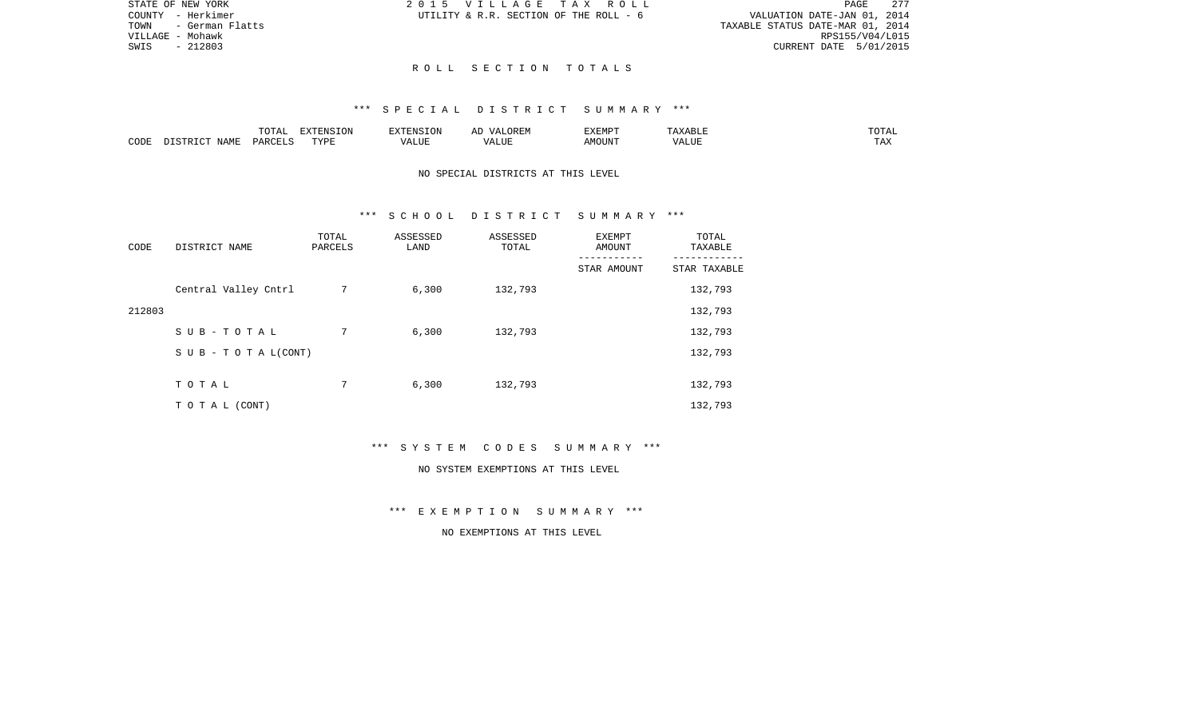|                                  |                        | PAGE 277 |
|----------------------------------|------------------------|----------|
| VALUATION DATE-JAN 01, 2014      |                        |          |
| TAXABLE STATUS DATE-MAR 01, 2014 |                        |          |
|                                  | RPS155/V04/L015        |          |
|                                  | CURRENT DATE 5/01/2015 |          |

STATE OF NEW YORK 2015 VILLAGE TAX ROLL COUNTY - Herkimer  $UTILLITY \& R.R.$  SECTION OF THE ROLL - 6

TOWN - German Flatts VILLAGE - Mohawk SWIS - 212803

### R O L L S E C T I O N T O T A L S

# \*\*\* S P E C I A L D I S T R I C T S U M M A R Y \*\*\*

|      |             | $m \wedge m \wedge n$<br>◡∸∸ | $\Box$<br>LVIN | an Nisi                | . בג | <b>DIEDIS</b><br>r:MP | <b>BII</b> | $n \cap m \geq n$<br>∸∸ |
|------|-------------|------------------------------|----------------|------------------------|------|-----------------------|------------|-------------------------|
| CODE | <b>NAME</b> | D∆F                          | TVDI           | $- - - -$<br>. L I J F |      | MOUN.                 | 77T        | $m \times n$<br>⊥ A∡    |

# NO SPECIAL DISTRICTS AT THIS LEVEL

## \*\*\* S C H O O L D I S T R I C T S U M M A R Y \*\*\*

| CODE   | DISTRICT NAME                    | TOTAL<br>PARCELS | ASSESSED<br>LAND | ASSESSED<br>TOTAL | EXEMPT<br>AMOUNT<br>---------- | TOTAL<br>TAXABLE<br>--------- |
|--------|----------------------------------|------------------|------------------|-------------------|--------------------------------|-------------------------------|
|        |                                  |                  |                  |                   | STAR AMOUNT                    | STAR TAXABLE                  |
|        | Central Valley Cntrl             | 7                | 6,300            | 132,793           |                                | 132,793                       |
| 212803 |                                  |                  |                  |                   |                                | 132,793                       |
|        | SUB-TOTAL                        | 7                | 6,300            | 132,793           |                                | 132,793                       |
|        | $S \cup B - T \cup T A L (CONT)$ |                  |                  |                   |                                | 132,793                       |
|        |                                  |                  |                  |                   |                                |                               |
|        | TOTAL                            | 7                | 6,300            | 132,793           |                                | 132,793                       |
|        | T O T A L (CONT)                 |                  |                  |                   |                                | 132,793                       |

\*\*\* S Y S T E M C O D E S S U M M A R Y \*\*\*

#### NO SYSTEM EXEMPTIONS AT THIS LEVEL

\*\*\* E X E M P T I O N S U M M A R Y \*\*\*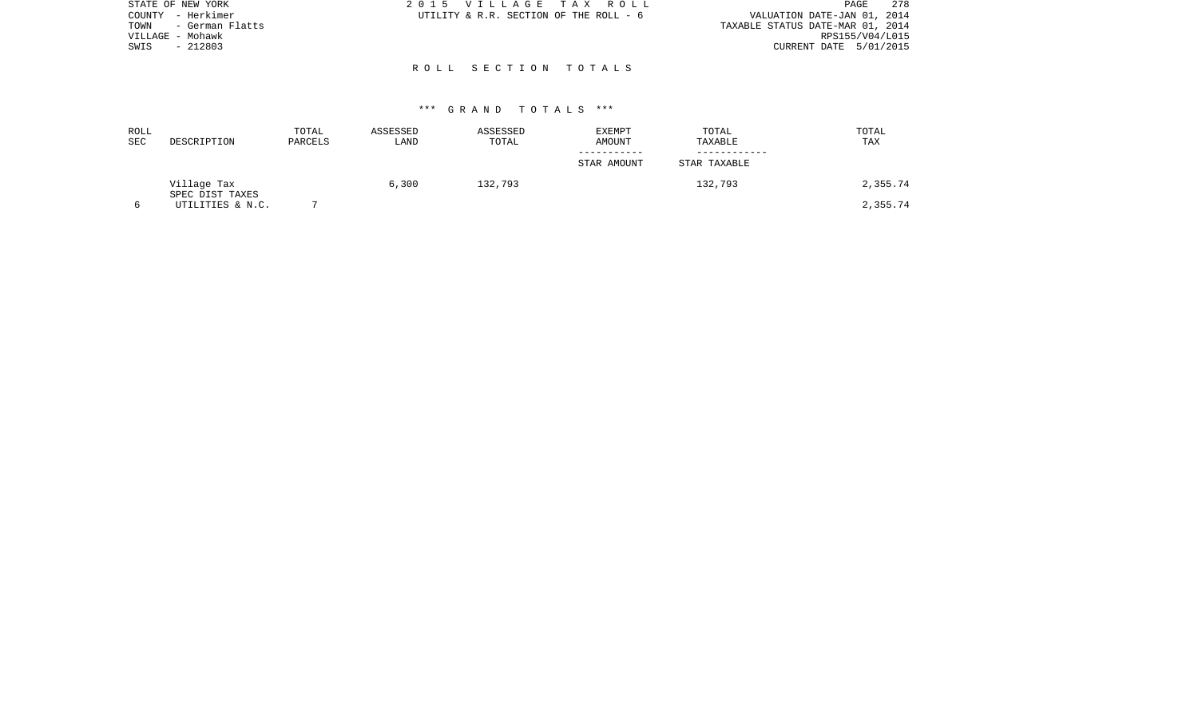| STATE OF NEW YORK       | 2015 VILLAGE TAX ROLL                  | 278<br>PAGE                      |
|-------------------------|----------------------------------------|----------------------------------|
| COUNTY - Herkimer       | UTILITY & R.R. SECTION OF THE ROLL - 6 | VALUATION DATE-JAN 01, 2014      |
| TOWN<br>- German Flatts |                                        | TAXABLE STATUS DATE-MAR 01, 2014 |
| VILLAGE - Mohawk        |                                        | RPS155/V04/L015                  |
| $-212803$<br>SWIS       |                                        | CURRENT DATE 5/01/2015           |
|                         |                                        |                                  |
|                         | ROLL SECTION TOTALS                    |                                  |

| ROLL<br><b>SEC</b> | DESCRIPTION                    | TOTAL<br>PARCELS | ASSESSED<br>LAND | ASSESSED<br>TOTAL | EXEMPT<br>AMOUNT | TOTAL<br>TAXABLE | TOTAL<br>TAX |
|--------------------|--------------------------------|------------------|------------------|-------------------|------------------|------------------|--------------|
|                    |                                |                  |                  |                   | STAR AMOUNT      | STAR TAXABLE     |              |
|                    | Village Tax<br>SPEC DIST TAXES |                  | 6,300            | 132,793           |                  | 132,793          | 2,355.74     |
|                    | UTILITIES & N.C.               |                  |                  |                   |                  |                  | 2,355.74     |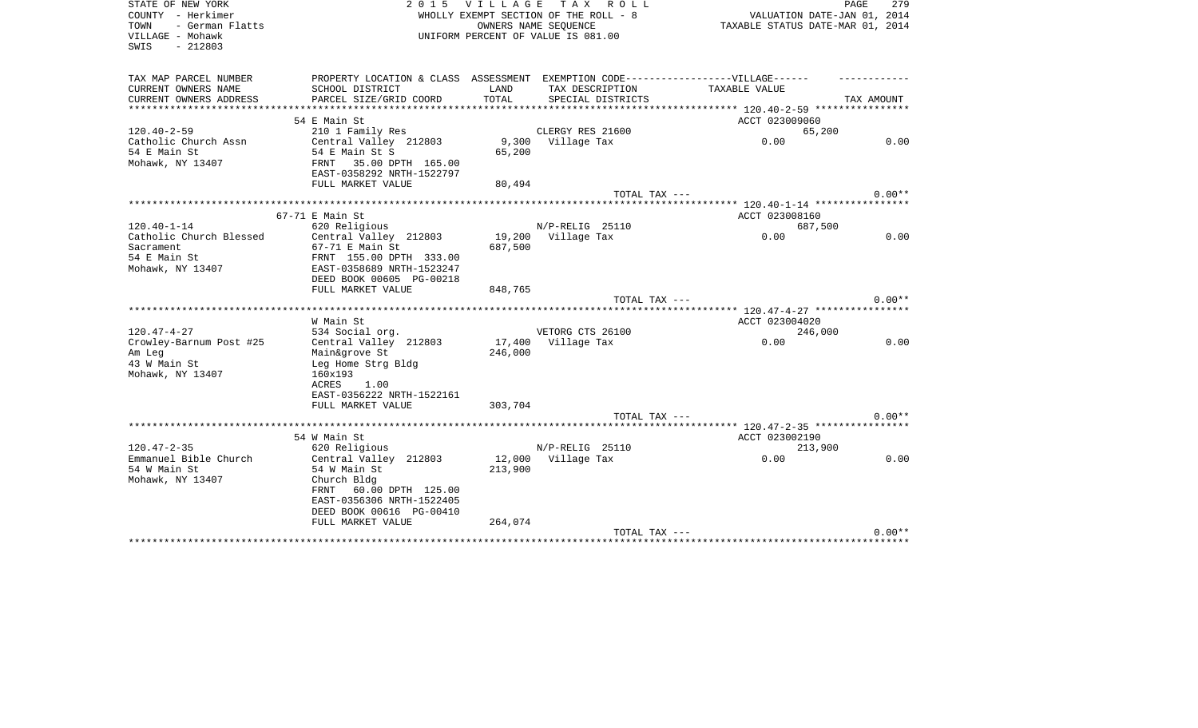| STATE OF NEW YORK<br>COUNTY - Herkimer<br>- German Flatts | <b>VILLAGE</b><br>T A X<br>2 0 1 5<br>R O L L<br>WHOLLY EXEMPT SECTION OF THE ROLL - 8 |                                                            |                   | PAGE<br>279<br>VALUATION DATE-JAN 01, 2014<br>TAXABLE STATUS DATE-MAR 01, 2014 |            |  |
|-----------------------------------------------------------|----------------------------------------------------------------------------------------|------------------------------------------------------------|-------------------|--------------------------------------------------------------------------------|------------|--|
| TOWN<br>VILLAGE - Mohawk<br>SWIS<br>$-212803$             |                                                                                        | OWNERS NAME SEOUENCE<br>UNIFORM PERCENT OF VALUE IS 081.00 |                   |                                                                                |            |  |
| TAX MAP PARCEL NUMBER                                     | PROPERTY LOCATION & CLASS ASSESSMENT EXEMPTION CODE----------------VILLAGE------       |                                                            |                   |                                                                                |            |  |
| CURRENT OWNERS NAME                                       | SCHOOL DISTRICT                                                                        | LAND                                                       | TAX DESCRIPTION   | TAXABLE VALUE                                                                  |            |  |
| CURRENT OWNERS ADDRESS                                    | PARCEL SIZE/GRID COORD                                                                 | TOTAL                                                      | SPECIAL DISTRICTS |                                                                                | TAX AMOUNT |  |
| **********************                                    |                                                                                        |                                                            |                   |                                                                                |            |  |
|                                                           | 54 E Main St                                                                           |                                                            |                   | ACCT 023009060                                                                 |            |  |
| $120.40 - 2 - 59$                                         | 210 1 Family Res                                                                       |                                                            | CLERGY RES 21600  | 65,200                                                                         |            |  |
| Catholic Church Assn                                      | Central Valley 212803                                                                  | 9,300                                                      | Village Tax       | 0.00                                                                           | 0.00       |  |
| 54 E Main St                                              | 54 E Main St S                                                                         | 65,200                                                     |                   |                                                                                |            |  |
| Mohawk, NY 13407                                          | 35.00 DPTH 165.00<br>FRNT                                                              |                                                            |                   |                                                                                |            |  |
|                                                           | EAST-0358292 NRTH-1522797                                                              |                                                            |                   |                                                                                |            |  |
|                                                           | FULL MARKET VALUE                                                                      | 80,494                                                     |                   |                                                                                |            |  |
|                                                           | **********************                                                                 |                                                            | TOTAL TAX ---     | ******* 120.40-1-14 *****************                                          | $0.00**$   |  |
|                                                           | 67-71 E Main St                                                                        |                                                            |                   | ACCT 023008160                                                                 |            |  |
| $120.40 - 1 - 14$                                         | 620 Religious                                                                          |                                                            | N/P-RELIG 25110   | 687,500                                                                        |            |  |
| Catholic Church Blessed                                   | Central Valley 212803                                                                  | 19,200                                                     | Village Tax       | 0.00                                                                           | 0.00       |  |
| Sacrament                                                 | 67-71 E Main St                                                                        | 687,500                                                    |                   |                                                                                |            |  |
| 54 E Main St                                              | FRNT 155.00 DPTH 333.00                                                                |                                                            |                   |                                                                                |            |  |
| Mohawk, NY 13407                                          | EAST-0358689 NRTH-1523247                                                              |                                                            |                   |                                                                                |            |  |
|                                                           | DEED BOOK 00605 PG-00218                                                               |                                                            |                   |                                                                                |            |  |
|                                                           | FULL MARKET VALUE                                                                      | 848,765                                                    |                   |                                                                                |            |  |
|                                                           |                                                                                        |                                                            | TOTAL TAX ---     |                                                                                | $0.00**$   |  |
|                                                           |                                                                                        |                                                            |                   | ***** 120.47-4-27 *****************                                            |            |  |
|                                                           | W Main St                                                                              |                                                            |                   | ACCT 023004020                                                                 |            |  |
| $120.47 - 4 - 27$                                         | 534 Social org.                                                                        |                                                            | VETORG CTS 26100  | 246,000                                                                        |            |  |
| Crowley-Barnum Post #25                                   | Central Valley 212803                                                                  | 17,400                                                     | Village Tax       | 0.00                                                                           | 0.00       |  |
| Am Leg                                                    | Main&grove St                                                                          | 246,000                                                    |                   |                                                                                |            |  |
| 43 W Main St                                              | Leg Home Strg Bldg                                                                     |                                                            |                   |                                                                                |            |  |
| Mohawk, NY 13407                                          | 160x193                                                                                |                                                            |                   |                                                                                |            |  |
|                                                           | ACRES<br>1.00                                                                          |                                                            |                   |                                                                                |            |  |
|                                                           | EAST-0356222 NRTH-1522161<br>FULL MARKET VALUE                                         | 303,704                                                    |                   |                                                                                |            |  |
|                                                           |                                                                                        |                                                            | TOTAL TAX ---     |                                                                                | $0.00**$   |  |
|                                                           | **************************************                                                 |                                                            |                   | ****** 120.47-2-35 *****************                                           |            |  |
|                                                           | 54 W Main St                                                                           |                                                            |                   | ACCT 023002190                                                                 |            |  |
| $120.47 - 2 - 35$                                         | 620 Religious                                                                          |                                                            | N/P-RELIG 25110   | 213,900                                                                        |            |  |
| Emmanuel Bible Church                                     | Central Valley 212803                                                                  | 12,000                                                     | Village Tax       | 0.00                                                                           | 0.00       |  |
| 54 W Main St                                              | 54 W Main St                                                                           | 213,900                                                    |                   |                                                                                |            |  |
| Mohawk, NY 13407                                          | Church Bldg                                                                            |                                                            |                   |                                                                                |            |  |
|                                                           | FRNT<br>60.00 DPTH 125.00                                                              |                                                            |                   |                                                                                |            |  |
|                                                           | EAST-0356306 NRTH-1522405                                                              |                                                            |                   |                                                                                |            |  |
|                                                           | DEED BOOK 00616 PG-00410                                                               |                                                            |                   |                                                                                |            |  |
|                                                           | FULL MARKET VALUE                                                                      | 264,074                                                    |                   |                                                                                |            |  |
|                                                           |                                                                                        |                                                            | TOTAL TAX ---     |                                                                                | $0.00**$   |  |
|                                                           |                                                                                        |                                                            |                   |                                                                                |            |  |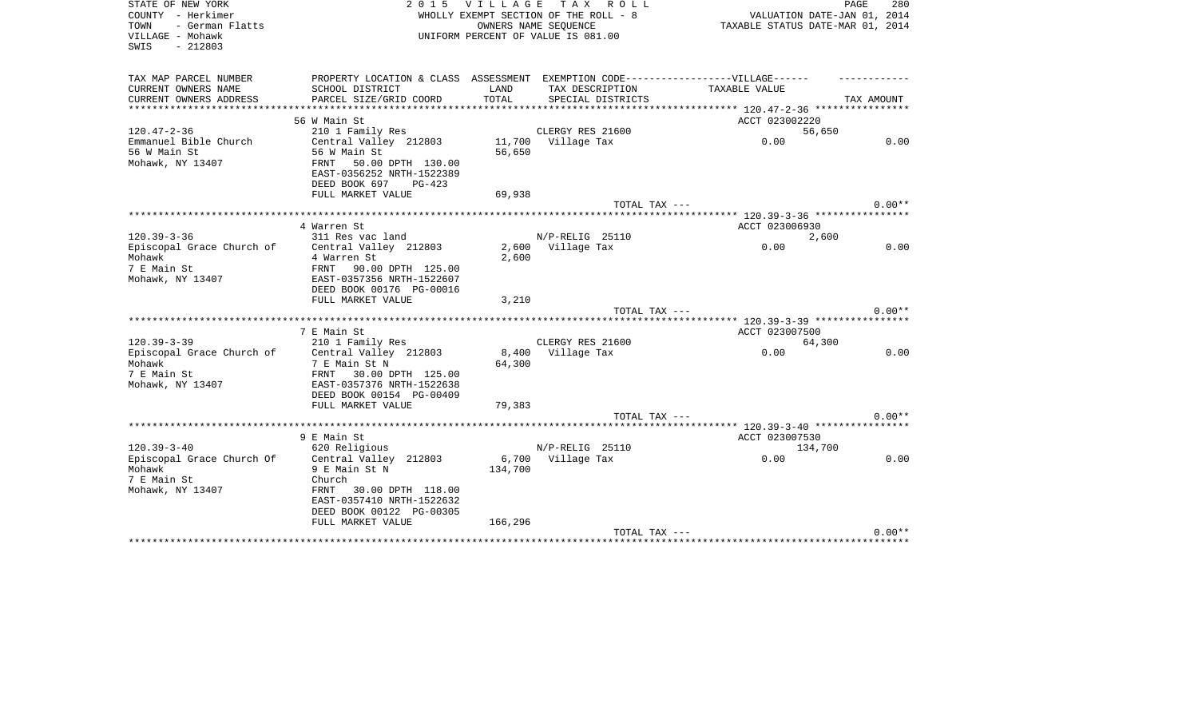| STATE OF NEW YORK<br>2 0 1 5<br><b>VILLAGE</b><br>COUNTY - Herkimer<br>WHOLLY EXEMPT SECTION OF THE ROLL - 8<br>- German Flatts<br>TOWN<br>OWNERS NAME SEQUENCE<br>VILLAGE - Mohawk<br>UNIFORM PERCENT OF VALUE IS 081.00<br>$-212803$<br>SWIS |                                                                                                                                     |         | TAX ROLL                    | PAGE<br>280<br>VALUATION DATE-JAN 01, 2014<br>TAXABLE STATUS DATE-MAR 01, 2014 |            |  |
|------------------------------------------------------------------------------------------------------------------------------------------------------------------------------------------------------------------------------------------------|-------------------------------------------------------------------------------------------------------------------------------------|---------|-----------------------------|--------------------------------------------------------------------------------|------------|--|
| TAX MAP PARCEL NUMBER<br>CURRENT OWNERS NAME                                                                                                                                                                                                   | PROPERTY LOCATION & CLASS ASSESSMENT EXEMPTION CODE-----------------VILLAGE------<br>SCHOOL DISTRICT                                | LAND    | TAX DESCRIPTION             | TAXABLE VALUE                                                                  |            |  |
| CURRENT OWNERS ADDRESS                                                                                                                                                                                                                         | PARCEL SIZE/GRID COORD                                                                                                              | TOTAL   | SPECIAL DISTRICTS           |                                                                                | TAX AMOUNT |  |
|                                                                                                                                                                                                                                                |                                                                                                                                     |         | *************************** | ****************** 120.47-2-36 *****************                               |            |  |
|                                                                                                                                                                                                                                                | 56 W Main St                                                                                                                        |         |                             | ACCT 023002220                                                                 |            |  |
| $120.47 - 2 - 36$                                                                                                                                                                                                                              | 210 1 Family Res                                                                                                                    |         | CLERGY RES 21600            | 56,650                                                                         |            |  |
| Emmanuel Bible Church<br>56 W Main St<br>Mohawk, NY 13407                                                                                                                                                                                      | Central Valley 212803<br>56 W Main St<br>FRNT<br>50.00 DPTH 130.00<br>EAST-0356252 NRTH-1522389<br>DEED BOOK 697<br>$PG-423$        | 56,650  | 11,700 Village Tax          | 0.00                                                                           | 0.00       |  |
|                                                                                                                                                                                                                                                | FULL MARKET VALUE                                                                                                                   | 69,938  |                             |                                                                                |            |  |
|                                                                                                                                                                                                                                                |                                                                                                                                     |         | TOTAL TAX ---               |                                                                                | $0.00**$   |  |
|                                                                                                                                                                                                                                                | 4 Warren St                                                                                                                         |         |                             |                                                                                |            |  |
| $120.39 - 3 - 36$                                                                                                                                                                                                                              | 311 Res vac land                                                                                                                    |         | N/P-RELIG 25110             | ACCT 023006930<br>2,600                                                        |            |  |
| Episcopal Grace Church of                                                                                                                                                                                                                      | Central Valley 212803                                                                                                               |         | 2,600 Village Tax           | 0.00                                                                           | 0.00       |  |
| Mohawk<br>7 E Main St<br>Mohawk, NY 13407                                                                                                                                                                                                      | 4 Warren St<br>FRNT<br>90.00 DPTH 125.00<br>EAST-0357356 NRTH-1522607<br>DEED BOOK 00176 PG-00016                                   | 2,600   |                             |                                                                                |            |  |
|                                                                                                                                                                                                                                                | FULL MARKET VALUE                                                                                                                   | 3,210   |                             |                                                                                |            |  |
|                                                                                                                                                                                                                                                |                                                                                                                                     |         | TOTAL TAX ---               |                                                                                | $0.00**$   |  |
|                                                                                                                                                                                                                                                | 7 E Main St                                                                                                                         |         |                             | ACCT 023007500                                                                 |            |  |
| $120.39 - 3 - 39$                                                                                                                                                                                                                              | 210 1 Family Res                                                                                                                    |         | CLERGY RES 21600            | 64,300                                                                         |            |  |
| Episcopal Grace Church of<br>Mohawk<br>7 E Main St<br>Mohawk, NY 13407                                                                                                                                                                         | Central Valley 212803<br>7 E Main St N<br>FRNT 30.00 DPTH 125.00<br>EAST-0357376 NRTH-1522638<br>DEED BOOK 00154 PG-00409           | 64,300  | 8,400 Village Tax           | 0.00                                                                           | 0.00       |  |
|                                                                                                                                                                                                                                                | FULL MARKET VALUE                                                                                                                   | 79,383  |                             |                                                                                |            |  |
|                                                                                                                                                                                                                                                |                                                                                                                                     |         | TOTAL TAX ---               |                                                                                | $0.00**$   |  |
|                                                                                                                                                                                                                                                |                                                                                                                                     |         |                             |                                                                                |            |  |
| $120.39 - 3 - 40$                                                                                                                                                                                                                              | 9 E Main St<br>620 Religious                                                                                                        |         | $N/P-RELIG$ 25110           | ACCT 023007530<br>134,700                                                      |            |  |
| Episcopal Grace Church Of<br>Mohawk<br>7 E Main St<br>Mohawk, NY 13407                                                                                                                                                                         | Central Valley 212803<br>9 E Main St N<br>Church<br>FRNT 30.00 DPTH 118.00<br>EAST-0357410 NRTH-1522632<br>DEED BOOK 00122 PG-00305 | 134,700 | 6,700 Village Tax           | 0.00                                                                           | 0.00       |  |
|                                                                                                                                                                                                                                                | FULL MARKET VALUE                                                                                                                   | 166,296 | TOTAL TAX ---               |                                                                                | $0.00**$   |  |
|                                                                                                                                                                                                                                                |                                                                                                                                     |         |                             |                                                                                |            |  |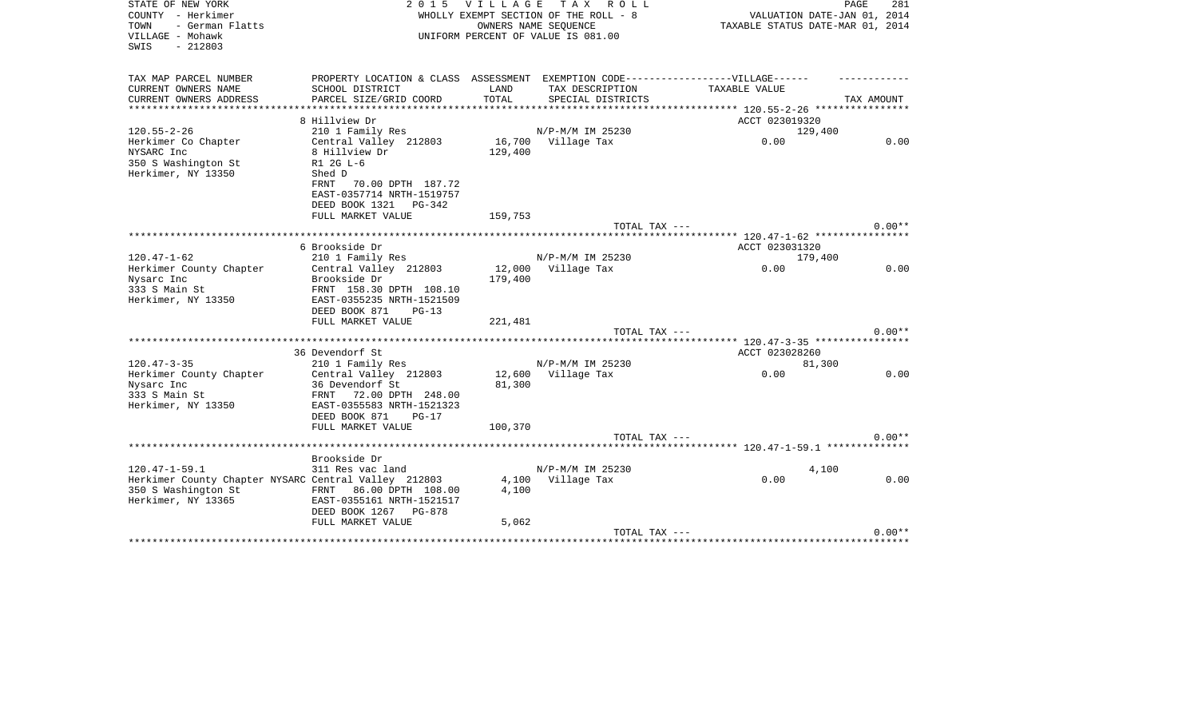| STATE OF NEW YORK<br>COUNTY - Herkimer<br>- German Flatts<br>TOWN<br>VILLAGE - Mohawk<br>$-212803$<br>SWIS | 2 0 1 5                                                                                                                     | V I L L A G E<br>WHOLLY EXEMPT SECTION OF THE ROLL - 8<br>OWNERS NAME SEQUENCE<br>UNIFORM PERCENT OF VALUE IS 081.00 |                    | 281<br>PAGE<br>VALUATION DATE-JAN 01, 2014<br>TAXABLE STATUS DATE-MAR 01, 2014 |            |  |
|------------------------------------------------------------------------------------------------------------|-----------------------------------------------------------------------------------------------------------------------------|----------------------------------------------------------------------------------------------------------------------|--------------------|--------------------------------------------------------------------------------|------------|--|
| TAX MAP PARCEL NUMBER<br>CURRENT OWNERS NAME                                                               | PROPERTY LOCATION & CLASS ASSESSMENT EXEMPTION CODE-----------------VILLAGE------<br>SCHOOL DISTRICT                        | LAND                                                                                                                 | TAX DESCRIPTION    | TAXABLE VALUE                                                                  |            |  |
| CURRENT OWNERS ADDRESS                                                                                     | PARCEL SIZE/GRID COORD                                                                                                      | TOTAL                                                                                                                | SPECIAL DISTRICTS  |                                                                                | TAX AMOUNT |  |
|                                                                                                            |                                                                                                                             |                                                                                                                      |                    |                                                                                |            |  |
| $120.55 - 2 - 26$                                                                                          | 8 Hillview Dr<br>210 1 Family Res                                                                                           |                                                                                                                      | N/P-M/M IM 25230   | ACCT 023019320                                                                 |            |  |
| Herkimer Co Chapter<br>NYSARC Inc<br>350 S Washington St<br>Herkimer, NY 13350                             | Central Valley 212803<br>8 Hillview Dr<br>R1 2G L-6<br>Shed D<br>FRNT<br>70.00 DPTH 187.72<br>EAST-0357714 NRTH-1519757     | 129,400                                                                                                              | 16,700 Village Tax | 129,400<br>0.00                                                                | 0.00       |  |
|                                                                                                            | DEED BOOK 1321 PG-342<br>FULL MARKET VALUE                                                                                  | 159,753                                                                                                              |                    |                                                                                |            |  |
|                                                                                                            |                                                                                                                             |                                                                                                                      | TOTAL TAX ---      |                                                                                | $0.00**$   |  |
|                                                                                                            |                                                                                                                             |                                                                                                                      |                    |                                                                                |            |  |
|                                                                                                            | 6 Brookside Dr                                                                                                              |                                                                                                                      |                    | ACCT 023031320                                                                 |            |  |
| $120.47 - 1 - 62$                                                                                          | 210 1 Family Res                                                                                                            |                                                                                                                      | N/P-M/M IM 25230   | 179,400                                                                        |            |  |
| Herkimer County Chapter<br>Nysarc Inc<br>333 S Main St<br>Herkimer, NY 13350                               | Central Valley 212803<br>Brookside Dr<br>FRNT 158.30 DPTH 108.10<br>EAST-0355235 NRTH-1521509<br>DEED BOOK 871<br>$PG-13$   | 179,400                                                                                                              | 12,000 Village Tax | 0.00                                                                           | 0.00       |  |
|                                                                                                            | FULL MARKET VALUE                                                                                                           | 221,481                                                                                                              | TOTAL TAX ---      |                                                                                | $0.00**$   |  |
|                                                                                                            |                                                                                                                             |                                                                                                                      |                    | ********** 120.47-3-35 *****************                                       |            |  |
|                                                                                                            | 36 Devendorf St                                                                                                             |                                                                                                                      |                    | ACCT 023028260                                                                 |            |  |
| $120.47 - 3 - 35$                                                                                          | 210 1 Family Res                                                                                                            |                                                                                                                      | N/P-M/M IM 25230   | 81,300                                                                         |            |  |
| Herkimer County Chapter<br>Nysarc Inc<br>333 S Main St<br>Herkimer, NY 13350                               | Central Valley 212803<br>36 Devendorf St<br>FRNT 72.00 DPTH 248.00<br>EAST-0355583 NRTH-1521323<br>DEED BOOK 871<br>$PG-17$ | 81,300                                                                                                               | 12,600 Village Tax | 0.00                                                                           | 0.00       |  |
|                                                                                                            | FULL MARKET VALUE                                                                                                           | 100,370                                                                                                              |                    |                                                                                |            |  |
|                                                                                                            |                                                                                                                             |                                                                                                                      | TOTAL TAX ---      |                                                                                | $0.00**$   |  |
|                                                                                                            | Brookside Dr                                                                                                                |                                                                                                                      |                    |                                                                                |            |  |
| $120.47 - 1 - 59.1$                                                                                        | 311 Res vac land                                                                                                            |                                                                                                                      | N/P-M/M IM 25230   |                                                                                | 4,100      |  |
| Herkimer County Chapter NYSARC Central Valley 212803<br>350 S Washington St<br>Herkimer, NY 13365          | FRNT 86.00 DPTH 108.00<br>EAST-0355161 NRTH-1521517<br>DEED BOOK 1267 PG-878                                                | 4,100                                                                                                                | 4,100 Village Tax  | 0.00                                                                           | 0.00       |  |
|                                                                                                            | FULL MARKET VALUE                                                                                                           | 5,062                                                                                                                |                    |                                                                                | $0.00**$   |  |
|                                                                                                            |                                                                                                                             |                                                                                                                      | TOTAL TAX ---      |                                                                                |            |  |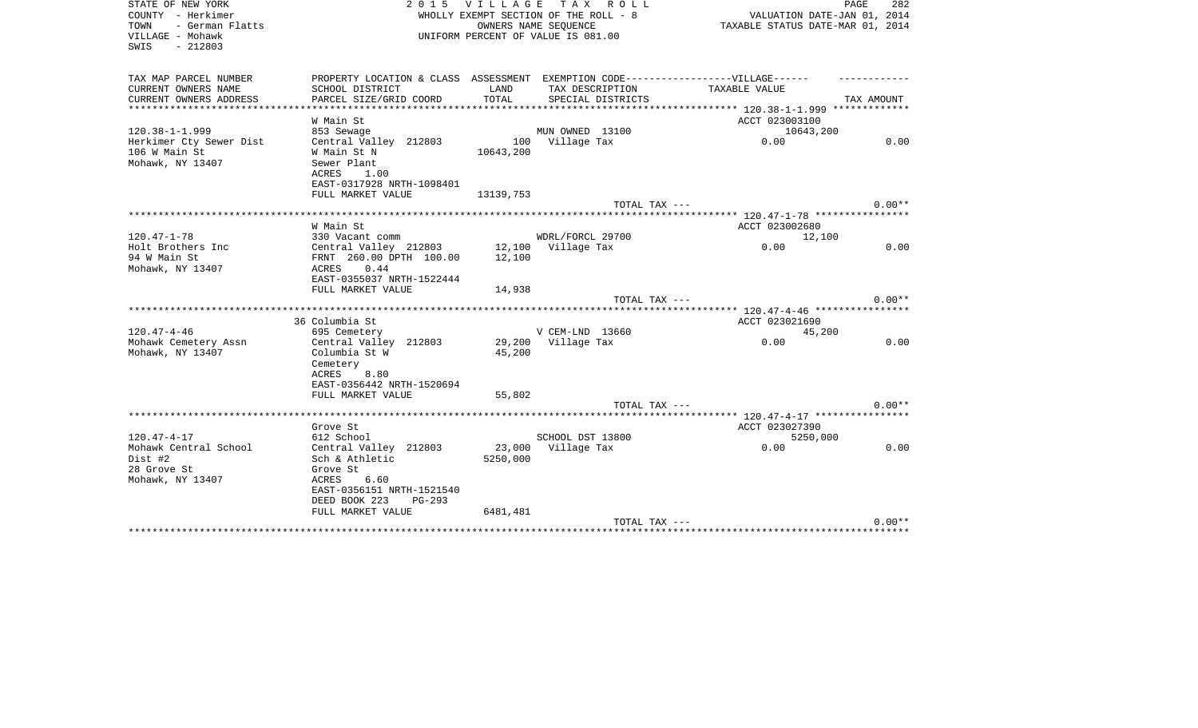| STATE OF NEW YORK<br>COUNTY - Herkimer<br>- German Flatts<br>TOWN<br>VILLAGE - Mohawk<br>$-212803$<br>SWIS | <b>VILLAGE</b><br>2 0 1 5<br>WHOLLY EXEMPT SECTION OF THE ROLL - 8<br>UNIFORM PERCENT OF VALUE IS 081.00 |                              | PAGE<br>282<br>VALUATION DATE-JAN 01, 2014<br>TAXABLE STATUS DATE-MAR 01, 2014 |                                          |            |
|------------------------------------------------------------------------------------------------------------|----------------------------------------------------------------------------------------------------------|------------------------------|--------------------------------------------------------------------------------|------------------------------------------|------------|
| TAX MAP PARCEL NUMBER                                                                                      | PROPERTY LOCATION & CLASS ASSESSMENT EXEMPTION CODE-----------------VILLAGE------                        |                              |                                                                                |                                          |            |
| CURRENT OWNERS NAME                                                                                        | SCHOOL DISTRICT                                                                                          | LAND                         | TAX DESCRIPTION                                                                | TAXABLE VALUE                            |            |
| CURRENT OWNERS ADDRESS                                                                                     | PARCEL SIZE/GRID COORD                                                                                   | TOTAL<br>* * * * * * * * * * | SPECIAL DISTRICTS                                                              |                                          | TAX AMOUNT |
| *********************                                                                                      |                                                                                                          |                              |                                                                                | *********** 120.38-1-1.999 ************* |            |
|                                                                                                            | W Main St                                                                                                |                              |                                                                                | ACCT 023003100                           |            |
| $120.38 - 1 - 1.999$                                                                                       | 853 Sewage                                                                                               |                              | MUN OWNED 13100                                                                | 10643,200                                |            |
| Herkimer Cty Sewer Dist<br>106 W Main St                                                                   | Central Valley 212803<br>W Main St N                                                                     | 10643,200                    | 100 Village Tax                                                                | 0.00                                     | 0.00       |
| Mohawk, NY 13407                                                                                           | Sewer Plant                                                                                              |                              |                                                                                |                                          |            |
|                                                                                                            | 1.00<br>ACRES                                                                                            |                              |                                                                                |                                          |            |
|                                                                                                            | EAST-0317928 NRTH-1098401                                                                                |                              |                                                                                |                                          |            |
|                                                                                                            | FULL MARKET VALUE                                                                                        | 13139,753                    |                                                                                |                                          |            |
|                                                                                                            |                                                                                                          |                              | TOTAL TAX ---                                                                  |                                          | $0.00**$   |
|                                                                                                            |                                                                                                          |                              |                                                                                |                                          |            |
|                                                                                                            | W Main St                                                                                                |                              |                                                                                | ACCT 023002680                           |            |
| $120.47 - 1 - 78$                                                                                          | 330 Vacant comm                                                                                          |                              | WDRL/FORCL 29700                                                               | 12,100                                   |            |
| Holt Brothers Inc                                                                                          | Central Valley 212803                                                                                    |                              | 12,100 Village Tax                                                             | 0.00                                     | 0.00       |
| 94 W Main St                                                                                               | FRNT 260.00 DPTH 100.00                                                                                  | 12,100                       |                                                                                |                                          |            |
| Mohawk, NY 13407                                                                                           | 0.44<br>ACRES                                                                                            |                              |                                                                                |                                          |            |
|                                                                                                            | EAST-0355037 NRTH-1522444                                                                                |                              |                                                                                |                                          |            |
|                                                                                                            | FULL MARKET VALUE                                                                                        | 14,938                       |                                                                                |                                          |            |
|                                                                                                            |                                                                                                          |                              | TOTAL TAX ---                                                                  |                                          | $0.00**$   |
|                                                                                                            | 36 Columbia St                                                                                           |                              |                                                                                | ACCT 023021690                           |            |
| $120.47 - 4 - 46$                                                                                          | 695 Cemetery                                                                                             |                              | V CEM-LND 13660                                                                | 45,200                                   |            |
| Mohawk Cemetery Assn                                                                                       | Central Valley 212803                                                                                    |                              | 29,200 Village Tax                                                             | 0.00                                     | 0.00       |
| Mohawk, NY 13407                                                                                           | Columbia St W                                                                                            | 45,200                       |                                                                                |                                          |            |
|                                                                                                            | Cemetery                                                                                                 |                              |                                                                                |                                          |            |
|                                                                                                            | ACRES<br>8.80                                                                                            |                              |                                                                                |                                          |            |
|                                                                                                            | EAST-0356442 NRTH-1520694                                                                                |                              |                                                                                |                                          |            |
|                                                                                                            | FULL MARKET VALUE                                                                                        | 55,802                       |                                                                                |                                          |            |
|                                                                                                            |                                                                                                          |                              | TOTAL TAX ---                                                                  |                                          | $0.00**$   |
|                                                                                                            |                                                                                                          |                              |                                                                                |                                          |            |
|                                                                                                            | Grove St                                                                                                 |                              |                                                                                | ACCT 023027390                           |            |
| $120.47 - 4 - 17$                                                                                          | 612 School                                                                                               |                              | SCHOOL DST 13800                                                               | 5250,000                                 |            |
| Mohawk Central School                                                                                      | Central Valley 212803                                                                                    | 23,000                       | Village Tax                                                                    | 0.00                                     | 0.00       |
| Dist #2                                                                                                    | Sch & Athletic                                                                                           | 5250,000                     |                                                                                |                                          |            |
| 28 Grove St                                                                                                | Grove St                                                                                                 |                              |                                                                                |                                          |            |
| Mohawk, NY 13407                                                                                           | ACRES<br>6.60                                                                                            |                              |                                                                                |                                          |            |
|                                                                                                            | EAST-0356151 NRTH-1521540<br>DEED BOOK 223<br>$PG-293$                                                   |                              |                                                                                |                                          |            |
|                                                                                                            | FULL MARKET VALUE                                                                                        | 6481,481                     |                                                                                |                                          |            |
|                                                                                                            |                                                                                                          |                              | TOTAL TAX ---                                                                  |                                          | $0.00**$   |
|                                                                                                            |                                                                                                          |                              |                                                                                |                                          |            |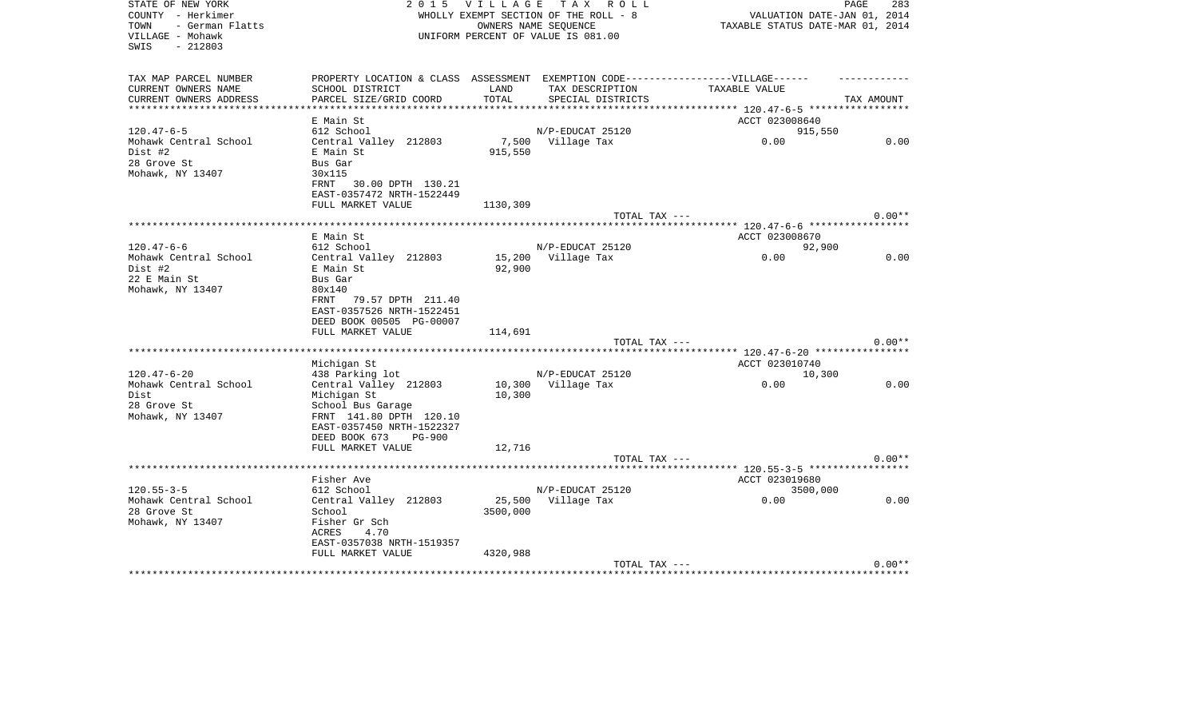| STATE OF NEW YORK                                | 2 0 1 5                                                                           |                  | VILLAGE TAX ROLL                      |                | PAGE<br>283                      |
|--------------------------------------------------|-----------------------------------------------------------------------------------|------------------|---------------------------------------|----------------|----------------------------------|
| COUNTY - Herkimer                                |                                                                                   |                  | WHOLLY EXEMPT SECTION OF THE ROLL - 8 |                | VALUATION DATE-JAN 01, 2014      |
| - German Flatts<br>TOWN                          | OWNERS NAME SEOUENCE                                                              |                  |                                       |                | TAXABLE STATUS DATE-MAR 01, 2014 |
| VILLAGE - Mohawk                                 |                                                                                   |                  | UNIFORM PERCENT OF VALUE IS 081.00    |                |                                  |
| SWIS<br>- 212803                                 |                                                                                   |                  |                                       |                |                                  |
|                                                  |                                                                                   |                  |                                       |                |                                  |
| TAX MAP PARCEL NUMBER                            | PROPERTY LOCATION & CLASS ASSESSMENT EXEMPTION CODE-----------------VILLAGE------ |                  |                                       |                |                                  |
| CURRENT OWNERS NAME                              | SCHOOL DISTRICT                                                                   | LAND             | TAX DESCRIPTION                       | TAXABLE VALUE  |                                  |
| CURRENT OWNERS ADDRESS<br>********************** | PARCEL SIZE/GRID COORD                                                            | TOTAL            | SPECIAL DISTRICTS                     |                | TAX AMOUNT                       |
|                                                  |                                                                                   |                  |                                       |                |                                  |
|                                                  | E Main St                                                                         |                  |                                       | ACCT 023008640 |                                  |
| $120.47 - 6 - 5$                                 | 612 School                                                                        |                  | N/P-EDUCAT 25120                      |                | 915,550                          |
| Mohawk Central School<br>Dist #2                 | Central Valley 212803                                                             | 7,500<br>915,550 | Village Tax                           | 0.00           | 0.00                             |
| 28 Grove St                                      | E Main St                                                                         |                  |                                       |                |                                  |
| Mohawk, NY 13407                                 | Bus Gar<br>30x115                                                                 |                  |                                       |                |                                  |
|                                                  | FRNT<br>30.00 DPTH 130.21                                                         |                  |                                       |                |                                  |
|                                                  | EAST-0357472 NRTH-1522449                                                         |                  |                                       |                |                                  |
|                                                  | FULL MARKET VALUE                                                                 | 1130,309         |                                       |                |                                  |
|                                                  |                                                                                   |                  | TOTAL TAX ---                         |                | $0.00**$                         |
|                                                  |                                                                                   |                  |                                       |                |                                  |
|                                                  | E Main St                                                                         |                  |                                       | ACCT 023008670 |                                  |
| $120.47 - 6 - 6$                                 | 612 School                                                                        |                  | N/P-EDUCAT 25120                      |                | 92,900                           |
| Mohawk Central School                            | Central Valley 212803                                                             | 15,200           | Village Tax                           | 0.00           | 0.00                             |
| Dist #2                                          | E Main St                                                                         | 92,900           |                                       |                |                                  |
| 22 E Main St                                     | Bus Gar                                                                           |                  |                                       |                |                                  |
| Mohawk, NY 13407                                 | 80x140                                                                            |                  |                                       |                |                                  |
|                                                  | 79.57 DPTH 211.40<br>FRNT                                                         |                  |                                       |                |                                  |
|                                                  | EAST-0357526 NRTH-1522451                                                         |                  |                                       |                |                                  |
|                                                  | DEED BOOK 00505 PG-00007                                                          |                  |                                       |                |                                  |
|                                                  | FULL MARKET VALUE                                                                 | 114,691          |                                       |                |                                  |
|                                                  |                                                                                   |                  | TOTAL TAX ---                         |                | $0.00**$                         |
|                                                  |                                                                                   |                  |                                       |                |                                  |
|                                                  | Michigan St                                                                       |                  |                                       | ACCT 023010740 |                                  |
| $120.47 - 6 - 20$                                | 438 Parking lot                                                                   |                  | N/P-EDUCAT 25120                      |                | 10,300                           |
| Mohawk Central School                            | Central Valley 212803                                                             | 10,300           | Village Tax                           | 0.00           | 0.00                             |
| Dist                                             | Michigan St                                                                       | 10,300           |                                       |                |                                  |
| 28 Grove St                                      | School Bus Garage                                                                 |                  |                                       |                |                                  |
| Mohawk, NY 13407                                 | FRNT 141.80 DPTH 120.10                                                           |                  |                                       |                |                                  |
|                                                  | EAST-0357450 NRTH-1522327                                                         |                  |                                       |                |                                  |
|                                                  | DEED BOOK 673<br><b>PG-900</b>                                                    |                  |                                       |                |                                  |
|                                                  | FULL MARKET VALUE                                                                 | 12,716           |                                       |                |                                  |
|                                                  |                                                                                   |                  | TOTAL TAX ---                         |                | $0.00**$                         |
|                                                  |                                                                                   |                  |                                       |                |                                  |
|                                                  | Fisher Ave                                                                        |                  |                                       | ACCT 023019680 |                                  |
| $120.55 - 3 - 5$                                 | 612 School                                                                        |                  | N/P-EDUCAT 25120                      |                | 3500,000                         |
| Mohawk Central School                            | Central Valley 212803                                                             | 25,500           | Village Tax                           | 0.00           | 0.00                             |
| 28 Grove St                                      | School                                                                            | 3500,000         |                                       |                |                                  |
| Mohawk, NY 13407                                 | Fisher Gr Sch                                                                     |                  |                                       |                |                                  |
|                                                  | 4.70<br>ACRES                                                                     |                  |                                       |                |                                  |
|                                                  | EAST-0357038 NRTH-1519357                                                         |                  |                                       |                |                                  |
|                                                  | FULL MARKET VALUE                                                                 | 4320,988         |                                       |                | $0.00**$                         |
|                                                  |                                                                                   |                  | TOTAL TAX ---                         |                |                                  |
|                                                  |                                                                                   |                  |                                       |                |                                  |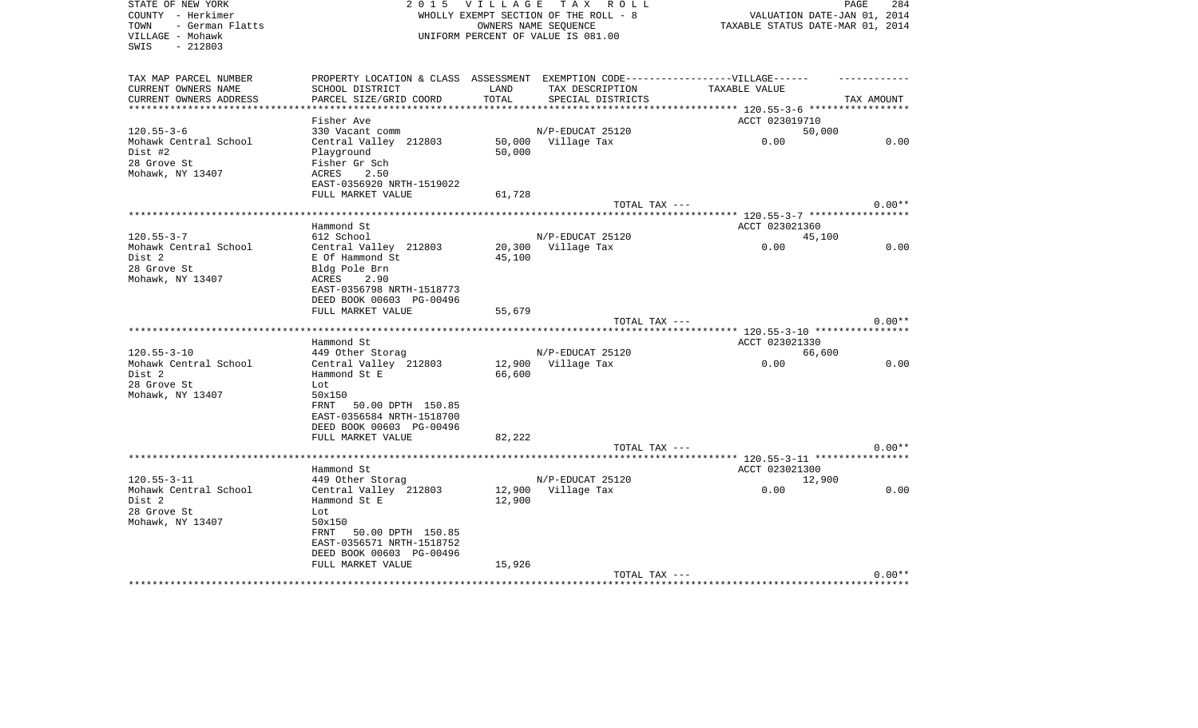| STATE OF NEW YORK       | 2 0 1 5<br>VILLAGE TAX ROLL                                                      | 284<br>PAGE                        |                             |                                                             |            |
|-------------------------|----------------------------------------------------------------------------------|------------------------------------|-----------------------------|-------------------------------------------------------------|------------|
| COUNTY - Herkimer       | WHOLLY EXEMPT SECTION OF THE ROLL - 8                                            |                                    | VALUATION DATE-JAN 01, 2014 |                                                             |            |
| TOWN<br>- German Flatts |                                                                                  | TAXABLE STATUS DATE-MAR 01, 2014   |                             |                                                             |            |
| VILLAGE - Mohawk        |                                                                                  | UNIFORM PERCENT OF VALUE IS 081.00 |                             |                                                             |            |
| SWIS<br>$-212803$       |                                                                                  |                                    |                             |                                                             |            |
|                         |                                                                                  |                                    |                             |                                                             |            |
| TAX MAP PARCEL NUMBER   | PROPERTY LOCATION & CLASS ASSESSMENT EXEMPTION CODE----------------VILLAGE------ |                                    |                             |                                                             |            |
| CURRENT OWNERS NAME     | SCHOOL DISTRICT                                                                  | LAND                               | TAX DESCRIPTION             | TAXABLE VALUE                                               |            |
| CURRENT OWNERS ADDRESS  | PARCEL SIZE/GRID COORD                                                           | TOTAL                              | SPECIAL DISTRICTS           |                                                             | TAX AMOUNT |
|                         | ******************                                                               |                                    |                             |                                                             |            |
|                         | Fisher Ave                                                                       |                                    |                             | ACCT 023019710                                              |            |
| $120.55 - 3 - 6$        | 330 Vacant comm                                                                  |                                    | N/P-EDUCAT 25120            | 50,000                                                      |            |
| Mohawk Central School   | Central Valley 212803                                                            |                                    | 50,000 Village Tax          | 0.00                                                        | 0.00       |
| Dist #2                 | Playground                                                                       | 50,000                             |                             |                                                             |            |
| 28 Grove St             | Fisher Gr Sch                                                                    |                                    |                             |                                                             |            |
| Mohawk, NY 13407        | 2.50<br>ACRES                                                                    |                                    |                             |                                                             |            |
|                         | EAST-0356920 NRTH-1519022                                                        |                                    |                             |                                                             |            |
|                         | FULL MARKET VALUE                                                                | 61,728                             |                             |                                                             |            |
|                         |                                                                                  |                                    | TOTAL TAX ---               |                                                             | $0.00**$   |
|                         |                                                                                  |                                    |                             | ****************************** 120.55-3-7 ***************** |            |
|                         | Hammond St                                                                       |                                    |                             | ACCT 023021360                                              |            |
| $120.55 - 3 - 7$        | 612 School                                                                       |                                    | N/P-EDUCAT 25120            | 45,100                                                      |            |
| Mohawk Central School   | Central Valley 212803                                                            | 20,300                             | Village Tax                 | 0.00                                                        | 0.00       |
| Dist 2                  | E Of Hammond St                                                                  | 45,100                             |                             |                                                             |            |
| 28 Grove St             |                                                                                  |                                    |                             |                                                             |            |
|                         | Bldg Pole Brn<br>ACRES<br>2.90                                                   |                                    |                             |                                                             |            |
| Mohawk, NY 13407        |                                                                                  |                                    |                             |                                                             |            |
|                         | EAST-0356798 NRTH-1518773                                                        |                                    |                             |                                                             |            |
|                         | DEED BOOK 00603 PG-00496                                                         |                                    |                             |                                                             |            |
|                         | FULL MARKET VALUE                                                                | 55,679                             |                             |                                                             |            |
|                         |                                                                                  |                                    | TOTAL TAX ---               |                                                             | $0.00**$   |
|                         |                                                                                  |                                    |                             |                                                             |            |
|                         | Hammond St                                                                       |                                    |                             | ACCT 023021330                                              |            |
| $120.55 - 3 - 10$       | 449 Other Storag                                                                 |                                    | N/P-EDUCAT 25120            | 66,600                                                      |            |
| Mohawk Central School   | Central Valley 212803                                                            | 12,900                             | Village Tax                 | 0.00                                                        | 0.00       |
| Dist 2                  | Hammond St E                                                                     | 66,600                             |                             |                                                             |            |
| 28 Grove St             | Lot                                                                              |                                    |                             |                                                             |            |
| Mohawk, NY 13407        | 50x150                                                                           |                                    |                             |                                                             |            |
|                         | 50.00 DPTH 150.85<br>FRNT                                                        |                                    |                             |                                                             |            |
|                         | EAST-0356584 NRTH-1518700                                                        |                                    |                             |                                                             |            |
|                         | DEED BOOK 00603 PG-00496                                                         |                                    |                             |                                                             |            |
|                         | FULL MARKET VALUE                                                                | 82,222                             |                             |                                                             |            |
|                         |                                                                                  |                                    | TOTAL TAX ---               |                                                             | $0.00**$   |
|                         |                                                                                  |                                    |                             |                                                             |            |
|                         | Hammond St                                                                       |                                    |                             | ACCT 023021300                                              |            |
| $120.55 - 3 - 11$       | 449 Other Storag                                                                 |                                    | N/P-EDUCAT 25120            | 12,900                                                      |            |
| Mohawk Central School   | Central Valley 212803                                                            | 12,900                             | Village Tax                 | 0.00                                                        | 0.00       |
| Dist 2                  | Hammond St E                                                                     | 12,900                             |                             |                                                             |            |
| 28 Grove St             | Lot                                                                              |                                    |                             |                                                             |            |
| Mohawk, NY 13407        | 50x150                                                                           |                                    |                             |                                                             |            |
|                         | 50.00 DPTH 150.85<br>FRNT                                                        |                                    |                             |                                                             |            |
|                         | EAST-0356571 NRTH-1518752                                                        |                                    |                             |                                                             |            |
|                         | DEED BOOK 00603 PG-00496                                                         |                                    |                             |                                                             |            |
|                         | FULL MARKET VALUE                                                                | 15,926                             |                             |                                                             |            |
|                         |                                                                                  |                                    | TOTAL TAX ---               |                                                             | $0.00**$   |
|                         |                                                                                  |                                    |                             |                                                             |            |
|                         |                                                                                  |                                    |                             |                                                             |            |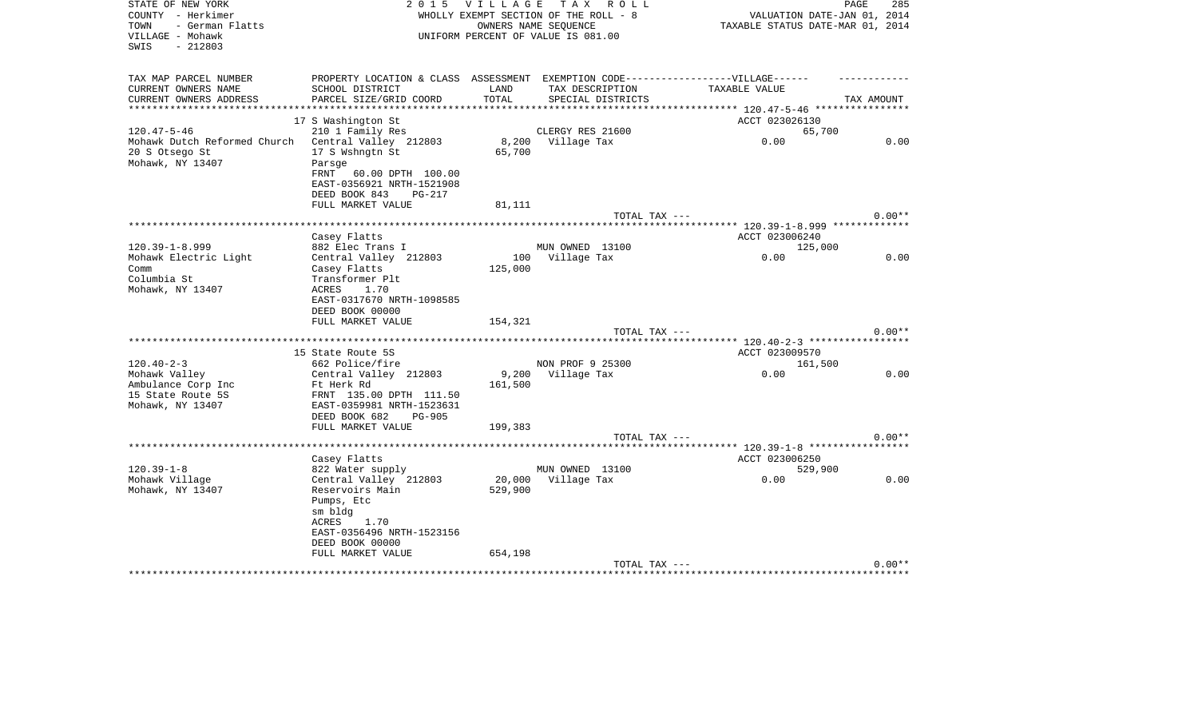| STATE OF NEW YORK            | 2 0 1 5<br>V I L L A G E                                                          | PAGE<br>285                      |                                    |                                     |            |
|------------------------------|-----------------------------------------------------------------------------------|----------------------------------|------------------------------------|-------------------------------------|------------|
| COUNTY - Herkimer            | TAX ROLL<br>WHOLLY EXEMPT SECTION OF THE ROLL - 8                                 |                                  |                                    | VALUATION DATE-JAN 01, 2014         |            |
| - German Flatts<br>TOWN      |                                                                                   | TAXABLE STATUS DATE-MAR 01, 2014 |                                    |                                     |            |
| VILLAGE - Mohawk             |                                                                                   |                                  | UNIFORM PERCENT OF VALUE IS 081.00 |                                     |            |
| $-212803$<br>SWIS            |                                                                                   |                                  |                                    |                                     |            |
|                              |                                                                                   |                                  |                                    |                                     |            |
|                              |                                                                                   |                                  |                                    |                                     |            |
| TAX MAP PARCEL NUMBER        | PROPERTY LOCATION & CLASS ASSESSMENT EXEMPTION CODE-----------------VILLAGE------ |                                  |                                    |                                     |            |
| CURRENT OWNERS NAME          | SCHOOL DISTRICT                                                                   | LAND                             | TAX DESCRIPTION                    | TAXABLE VALUE                       |            |
| CURRENT OWNERS ADDRESS       | PARCEL SIZE/GRID COORD                                                            | TOTAL                            | SPECIAL DISTRICTS                  |                                     | TAX AMOUNT |
| ***********************      |                                                                                   |                                  |                                    |                                     |            |
|                              | 17 S Washington St                                                                |                                  |                                    | ACCT 023026130                      |            |
| $120.47 - 5 - 46$            | 210 1 Family Res                                                                  |                                  | CLERGY RES 21600                   | 65,700                              |            |
| Mohawk Dutch Reformed Church | Central Valley 212803                                                             |                                  | 8,200 Village Tax                  | 0.00                                | 0.00       |
| 20 S Otsego St               | 17 S Wshngtn St                                                                   | 65,700                           |                                    |                                     |            |
|                              |                                                                                   |                                  |                                    |                                     |            |
| Mohawk, NY 13407             | Parsge                                                                            |                                  |                                    |                                     |            |
|                              | 60.00 DPTH 100.00<br>FRNT                                                         |                                  |                                    |                                     |            |
|                              | EAST-0356921 NRTH-1521908                                                         |                                  |                                    |                                     |            |
|                              | DEED BOOK 843<br><b>PG-217</b>                                                    |                                  |                                    |                                     |            |
|                              | FULL MARKET VALUE                                                                 | 81,111                           |                                    |                                     |            |
|                              |                                                                                   |                                  | TOTAL TAX ---                      |                                     | $0.00**$   |
|                              |                                                                                   |                                  |                                    |                                     |            |
|                              | Casey Flatts                                                                      |                                  |                                    | ACCT 023006240                      |            |
| $120.39 - 1 - 8.999$         | 882 Elec Trans I                                                                  |                                  | MUN OWNED 13100                    | 125,000                             |            |
| Mohawk Electric Light        | Central Valley 212803                                                             |                                  | 100 Village Tax                    | 0.00                                | 0.00       |
| Comm                         | Casey Flatts                                                                      | 125,000                          |                                    |                                     |            |
| Columbia St                  | Transformer Plt                                                                   |                                  |                                    |                                     |            |
|                              | 1.70<br>ACRES                                                                     |                                  |                                    |                                     |            |
| Mohawk, NY 13407             |                                                                                   |                                  |                                    |                                     |            |
|                              | EAST-0317670 NRTH-1098585                                                         |                                  |                                    |                                     |            |
|                              | DEED BOOK 00000                                                                   |                                  |                                    |                                     |            |
|                              | FULL MARKET VALUE                                                                 | 154,321                          |                                    |                                     |            |
|                              |                                                                                   |                                  | TOTAL TAX ---                      |                                     | $0.00**$   |
|                              |                                                                                   |                                  |                                    | ******** 120.40-2-3 *************** |            |
|                              | 15 State Route 5S                                                                 |                                  |                                    | ACCT 023009570                      |            |
| $120.40 - 2 - 3$             | 662 Police/fire                                                                   |                                  | NON PROF 9 25300                   | 161,500                             |            |
| Mohawk Valley                | Central Valley 212803                                                             |                                  | 9,200 Village Tax                  | 0.00                                | 0.00       |
| Ambulance Corp Inc           | Ft Herk Rd                                                                        | 161,500                          |                                    |                                     |            |
| 15 State Route 5S            | FRNT 135.00 DPTH 111.50                                                           |                                  |                                    |                                     |            |
| Mohawk, NY 13407             | EAST-0359981 NRTH-1523631                                                         |                                  |                                    |                                     |            |
|                              | DEED BOOK 682<br><b>PG-905</b>                                                    |                                  |                                    |                                     |            |
|                              | FULL MARKET VALUE                                                                 | 199,383                          |                                    |                                     |            |
|                              |                                                                                   |                                  | TOTAL TAX ---                      |                                     | $0.00**$   |
|                              |                                                                                   |                                  |                                    |                                     |            |
|                              |                                                                                   |                                  |                                    |                                     |            |
|                              | Casey Flatts                                                                      |                                  |                                    | ACCT 023006250                      |            |
| $120.39 - 1 - 8$             | 822 Water supply                                                                  |                                  | MUN OWNED 13100                    | 529,900                             |            |
| Mohawk Village               | Central Valley 212803                                                             |                                  | 20,000 Village Tax                 | 0.00                                | 0.00       |
| Mohawk, NY 13407             | Reservoirs Main                                                                   | 529,900                          |                                    |                                     |            |
|                              | Pumps, Etc                                                                        |                                  |                                    |                                     |            |
|                              | sm bldg                                                                           |                                  |                                    |                                     |            |
|                              | ACRES<br>1.70                                                                     |                                  |                                    |                                     |            |
|                              | EAST-0356496 NRTH-1523156                                                         |                                  |                                    |                                     |            |
|                              | DEED BOOK 00000                                                                   |                                  |                                    |                                     |            |
|                              | FULL MARKET VALUE                                                                 | 654,198                          |                                    |                                     |            |
|                              |                                                                                   |                                  | TOTAL TAX ---                      |                                     | $0.00**$   |
|                              |                                                                                   |                                  |                                    | ******************************      |            |
|                              |                                                                                   |                                  |                                    |                                     |            |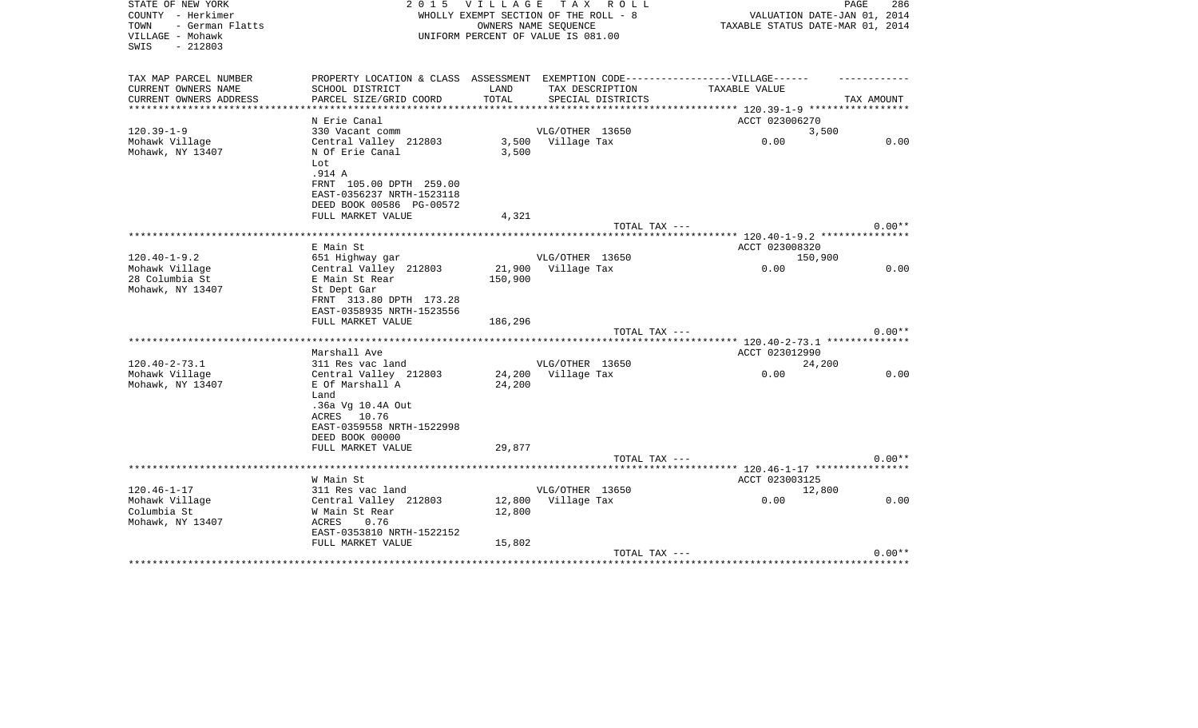| STATE OF NEW YORK<br>COUNTY - Herkimer<br>- German Flatts<br>TOWN<br>VILLAGE - Mohawk<br>SWIS<br>$-212803$ |                                                                                   | 2015 VILLAGE TAX ROLL<br>WHOLLY EXEMPT SECTION OF THE ROLL - 8<br>UNIFORM PERCENT OF VALUE IS 081.00 | OWNERS NAME SEOUENCE |                   | TAXABLE STATUS DATE-MAR 01, 2014 | PAGE<br>286<br>VALUATION DATE-JAN 01, 2014 |
|------------------------------------------------------------------------------------------------------------|-----------------------------------------------------------------------------------|------------------------------------------------------------------------------------------------------|----------------------|-------------------|----------------------------------|--------------------------------------------|
| TAX MAP PARCEL NUMBER                                                                                      | PROPERTY LOCATION & CLASS ASSESSMENT EXEMPTION CODE-----------------VILLAGE------ |                                                                                                      |                      |                   |                                  |                                            |
| CURRENT OWNERS NAME                                                                                        | SCHOOL DISTRICT                                                                   | LAND                                                                                                 |                      | TAX DESCRIPTION   | TAXABLE VALUE                    |                                            |
| CURRENT OWNERS ADDRESS                                                                                     | PARCEL SIZE/GRID COORD                                                            | TOTAL                                                                                                |                      | SPECIAL DISTRICTS |                                  | TAX AMOUNT                                 |
|                                                                                                            | N Erie Canal                                                                      |                                                                                                      |                      |                   | ACCT 023006270                   |                                            |
| $120.39 - 1 - 9$                                                                                           | 330 Vacant comm                                                                   |                                                                                                      | VLG/OTHER 13650      |                   |                                  | 3,500                                      |
| Mohawk Village                                                                                             | Central Valley 212803                                                             |                                                                                                      | 3,500 Village Tax    |                   | 0.00                             | 0.00                                       |
| Mohawk, NY 13407                                                                                           | N Of Erie Canal                                                                   | 3,500                                                                                                |                      |                   |                                  |                                            |
|                                                                                                            | Lot<br>.914 A                                                                     |                                                                                                      |                      |                   |                                  |                                            |
|                                                                                                            | FRNT 105.00 DPTH 259.00                                                           |                                                                                                      |                      |                   |                                  |                                            |
|                                                                                                            | EAST-0356237 NRTH-1523118                                                         |                                                                                                      |                      |                   |                                  |                                            |
|                                                                                                            | DEED BOOK 00586 PG-00572                                                          |                                                                                                      |                      |                   |                                  |                                            |
|                                                                                                            | FULL MARKET VALUE                                                                 | 4,321                                                                                                |                      |                   |                                  |                                            |
|                                                                                                            |                                                                                   |                                                                                                      |                      | TOTAL TAX ---     |                                  | $0.00**$                                   |
|                                                                                                            | E Main St                                                                         |                                                                                                      |                      |                   | ACCT 023008320                   |                                            |
| $120.40 - 1 - 9.2$                                                                                         | 651 Highway gar                                                                   |                                                                                                      | VLG/OTHER 13650      |                   |                                  | 150,900                                    |
| Mohawk Village                                                                                             | Central Valley 212803                                                             |                                                                                                      | 21,900 Village Tax   |                   | 0.00                             | 0.00                                       |
| 28 Columbia St                                                                                             | E Main St Rear                                                                    | 150,900                                                                                              |                      |                   |                                  |                                            |
| Mohawk, NY 13407                                                                                           | St Dept Gar<br>FRNT 313.80 DPTH 173.28                                            |                                                                                                      |                      |                   |                                  |                                            |
|                                                                                                            | EAST-0358935 NRTH-1523556                                                         |                                                                                                      |                      |                   |                                  |                                            |
|                                                                                                            | FULL MARKET VALUE                                                                 | 186,296                                                                                              |                      |                   |                                  |                                            |
|                                                                                                            |                                                                                   |                                                                                                      |                      | TOTAL TAX ---     |                                  | $0.00**$                                   |
|                                                                                                            | Marshall Ave                                                                      |                                                                                                      |                      |                   |                                  |                                            |
| $120.40 - 2 - 73.1$                                                                                        | 311 Res vac land                                                                  |                                                                                                      | VLG/OTHER 13650      |                   | ACCT 023012990                   | 24,200                                     |
| Mohawk Village                                                                                             | Central Valley 212803                                                             |                                                                                                      | 24,200 Village Tax   |                   | 0.00                             | 0.00                                       |
| Mohawk, NY 13407                                                                                           | E Of Marshall A                                                                   | 24,200                                                                                               |                      |                   |                                  |                                            |
|                                                                                                            | Land                                                                              |                                                                                                      |                      |                   |                                  |                                            |
|                                                                                                            | .36a Vg 10.4A Out                                                                 |                                                                                                      |                      |                   |                                  |                                            |
|                                                                                                            | ACRES 10.76<br>EAST-0359558 NRTH-1522998                                          |                                                                                                      |                      |                   |                                  |                                            |
|                                                                                                            | DEED BOOK 00000                                                                   |                                                                                                      |                      |                   |                                  |                                            |
|                                                                                                            | FULL MARKET VALUE                                                                 | 29,877                                                                                               |                      |                   |                                  |                                            |
|                                                                                                            |                                                                                   |                                                                                                      |                      | TOTAL TAX ---     |                                  | $0.00**$                                   |
|                                                                                                            |                                                                                   |                                                                                                      |                      |                   |                                  |                                            |
| $120.46 - 1 - 17$                                                                                          | W Main St<br>311 Res vac land                                                     |                                                                                                      | VLG/OTHER 13650      |                   | ACCT 023003125                   | 12,800                                     |
| Mohawk Village                                                                                             | Central Valley 212803                                                             |                                                                                                      | 12,800 Village Tax   |                   | 0.00                             | 0.00                                       |
| Columbia St                                                                                                | W Main St Rear                                                                    | 12,800                                                                                               |                      |                   |                                  |                                            |
| Mohawk, NY 13407                                                                                           | ACRES<br>0.76                                                                     |                                                                                                      |                      |                   |                                  |                                            |
|                                                                                                            | EAST-0353810 NRTH-1522152                                                         |                                                                                                      |                      |                   |                                  |                                            |
|                                                                                                            | FULL MARKET VALUE                                                                 | 15,802                                                                                               |                      | TOTAL TAX ---     |                                  | $0.00**$                                   |
|                                                                                                            |                                                                                   |                                                                                                      |                      |                   |                                  |                                            |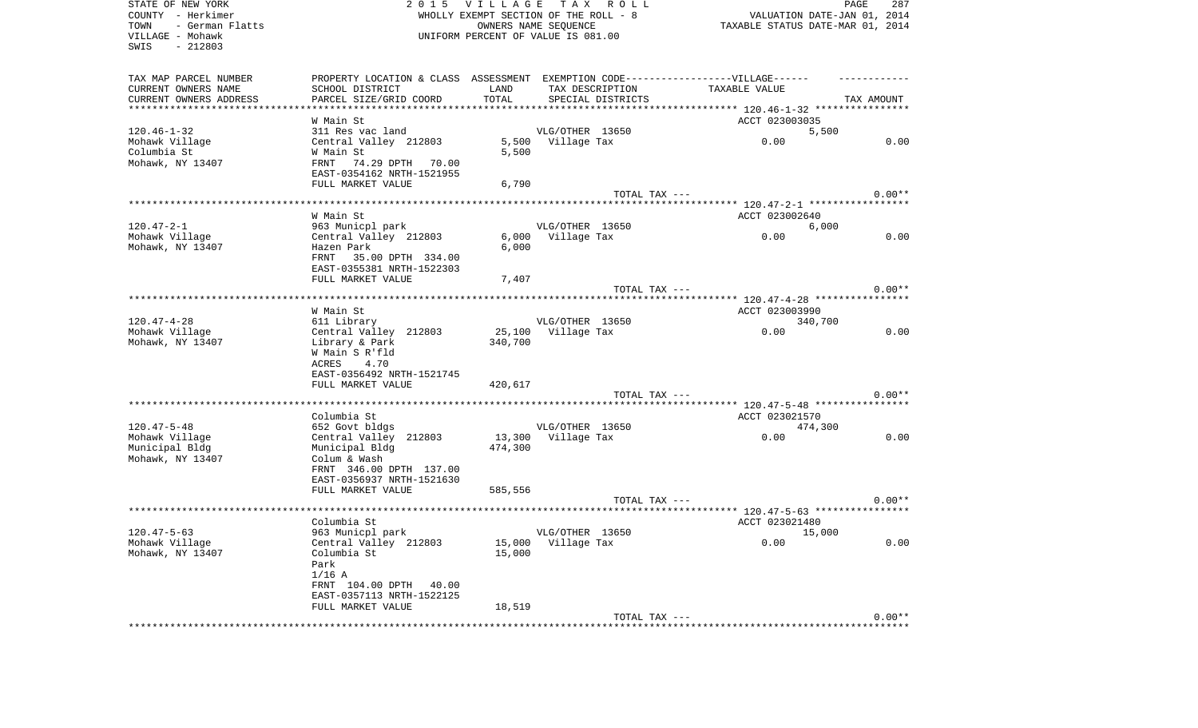| STATE OF NEW YORK<br>COUNTY - Herkimer<br>- German Flatts<br>TOWN<br>VILLAGE - Mohawk<br>$-212803$<br>SWIS |                                                                                   | 2015 VILLAGE<br>WHOLLY EXEMPT SECTION OF THE ROLL - 8<br>UNIFORM PERCENT OF VALUE IS 081.00 | OWNERS NAME SEQUENCE | TAX ROLL          |                                        | PAGE<br>287<br>VALUATION DATE-JAN 01, 2014<br>TAXABLE STATUS DATE-MAR 01, 2014 |
|------------------------------------------------------------------------------------------------------------|-----------------------------------------------------------------------------------|---------------------------------------------------------------------------------------------|----------------------|-------------------|----------------------------------------|--------------------------------------------------------------------------------|
| TAX MAP PARCEL NUMBER                                                                                      | PROPERTY LOCATION & CLASS ASSESSMENT EXEMPTION CODE-----------------VILLAGE------ |                                                                                             |                      |                   |                                        |                                                                                |
| CURRENT OWNERS NAME                                                                                        | SCHOOL DISTRICT                                                                   | LAND                                                                                        |                      | TAX DESCRIPTION   | TAXABLE VALUE                          |                                                                                |
| CURRENT OWNERS ADDRESS<br>***********************                                                          | PARCEL SIZE/GRID COORD<br>************************                                | TOTAL                                                                                       |                      | SPECIAL DISTRICTS |                                        | TAX AMOUNT                                                                     |
|                                                                                                            |                                                                                   |                                                                                             |                      |                   |                                        |                                                                                |
| $120.46 - 1 - 32$                                                                                          | W Main St<br>311 Res vac land                                                     |                                                                                             | VLG/OTHER 13650      |                   | ACCT 023003035                         | 5,500                                                                          |
| Mohawk Village                                                                                             | Central Valley 212803                                                             |                                                                                             | 5,500 Village Tax    |                   | 0.00                                   | 0.00                                                                           |
| Columbia St                                                                                                | W Main St                                                                         | 5,500                                                                                       |                      |                   |                                        |                                                                                |
| Mohawk, NY 13407                                                                                           | 74.29 DPTH 70.00<br>FRNT                                                          |                                                                                             |                      |                   |                                        |                                                                                |
|                                                                                                            | EAST-0354162 NRTH-1521955                                                         |                                                                                             |                      |                   |                                        |                                                                                |
|                                                                                                            | FULL MARKET VALUE                                                                 | 6,790                                                                                       |                      |                   |                                        |                                                                                |
|                                                                                                            |                                                                                   |                                                                                             |                      | TOTAL TAX ---     |                                        | $0.00**$                                                                       |
|                                                                                                            |                                                                                   |                                                                                             |                      |                   | ******** 120.47-2-1 ****************** |                                                                                |
|                                                                                                            | W Main St                                                                         |                                                                                             |                      |                   | ACCT 023002640                         |                                                                                |
| $120.47 - 2 - 1$                                                                                           | 963 Municpl park                                                                  |                                                                                             | VLG/OTHER 13650      |                   |                                        | 6,000                                                                          |
| Mohawk Village                                                                                             | Central Valley 212803                                                             | 6,000                                                                                       | Village Tax          |                   | 0.00                                   | 0.00                                                                           |
| Mohawk, NY 13407                                                                                           | Hazen Park                                                                        | 6,000                                                                                       |                      |                   |                                        |                                                                                |
|                                                                                                            | FRNT 35.00 DPTH 334.00<br>EAST-0355381 NRTH-1522303                               |                                                                                             |                      |                   |                                        |                                                                                |
|                                                                                                            | FULL MARKET VALUE                                                                 | 7,407                                                                                       |                      |                   |                                        |                                                                                |
|                                                                                                            |                                                                                   |                                                                                             |                      | TOTAL TAX ---     |                                        | $0.00**$                                                                       |
|                                                                                                            |                                                                                   |                                                                                             |                      |                   |                                        |                                                                                |
|                                                                                                            | W Main St                                                                         |                                                                                             |                      |                   | ACCT 023003990                         |                                                                                |
| $120.47 - 4 - 28$                                                                                          | 611 Library                                                                       |                                                                                             | VLG/OTHER 13650      |                   |                                        | 340,700                                                                        |
| Mohawk Village                                                                                             | Central Valley 212803                                                             | 25,100                                                                                      | Village Tax          |                   | 0.00                                   | 0.00                                                                           |
| Mohawk, NY 13407                                                                                           | Library & Park                                                                    | 340,700                                                                                     |                      |                   |                                        |                                                                                |
|                                                                                                            | W Main S R'fld                                                                    |                                                                                             |                      |                   |                                        |                                                                                |
|                                                                                                            | 4.70<br>ACRES<br>EAST-0356492 NRTH-1521745                                        |                                                                                             |                      |                   |                                        |                                                                                |
|                                                                                                            | FULL MARKET VALUE                                                                 | 420,617                                                                                     |                      |                   |                                        |                                                                                |
|                                                                                                            |                                                                                   |                                                                                             |                      | TOTAL TAX ---     |                                        | $0.00**$                                                                       |
|                                                                                                            |                                                                                   |                                                                                             |                      |                   | ******* 120.47-5-48 *****************  |                                                                                |
|                                                                                                            | Columbia St                                                                       |                                                                                             |                      |                   | ACCT 023021570                         |                                                                                |
| $120.47 - 5 - 48$                                                                                          | 652 Govt bldgs                                                                    |                                                                                             | VLG/OTHER 13650      |                   |                                        | 474,300                                                                        |
| Mohawk Village                                                                                             | Central Valley 212803                                                             | 13,300                                                                                      | Village Tax          |                   | 0.00                                   | 0.00                                                                           |
| Municipal Bldg                                                                                             | Municipal Bldg                                                                    | 474,300                                                                                     |                      |                   |                                        |                                                                                |
| Mohawk, NY 13407                                                                                           | Colum & Wash                                                                      |                                                                                             |                      |                   |                                        |                                                                                |
|                                                                                                            | FRNT 346.00 DPTH 137.00                                                           |                                                                                             |                      |                   |                                        |                                                                                |
|                                                                                                            | EAST-0356937 NRTH-1521630                                                         |                                                                                             |                      |                   |                                        |                                                                                |
|                                                                                                            | FULL MARKET VALUE                                                                 | 585,556                                                                                     |                      | TOTAL TAX ---     |                                        | $0.00**$                                                                       |
|                                                                                                            |                                                                                   |                                                                                             |                      |                   |                                        |                                                                                |
|                                                                                                            | Columbia St                                                                       |                                                                                             |                      |                   | ACCT 023021480                         |                                                                                |
| $120.47 - 5 - 63$                                                                                          | 963 Municpl park                                                                  |                                                                                             | VLG/OTHER 13650      |                   | 15,000                                 |                                                                                |
| Mohawk Village                                                                                             | Central Valley 212803                                                             | 15,000                                                                                      | Village Tax          |                   | 0.00                                   | 0.00                                                                           |
| Mohawk, NY 13407                                                                                           | Columbia St                                                                       | 15,000                                                                                      |                      |                   |                                        |                                                                                |
|                                                                                                            | Park                                                                              |                                                                                             |                      |                   |                                        |                                                                                |
|                                                                                                            | $1/16$ A                                                                          |                                                                                             |                      |                   |                                        |                                                                                |
|                                                                                                            | FRNT 104.00 DPTH 40.00                                                            |                                                                                             |                      |                   |                                        |                                                                                |
|                                                                                                            | EAST-0357113 NRTH-1522125<br>FULL MARKET VALUE                                    | 18,519                                                                                      |                      |                   |                                        |                                                                                |
|                                                                                                            |                                                                                   |                                                                                             |                      | TOTAL TAX ---     |                                        | $0.00**$                                                                       |
|                                                                                                            |                                                                                   |                                                                                             |                      |                   |                                        |                                                                                |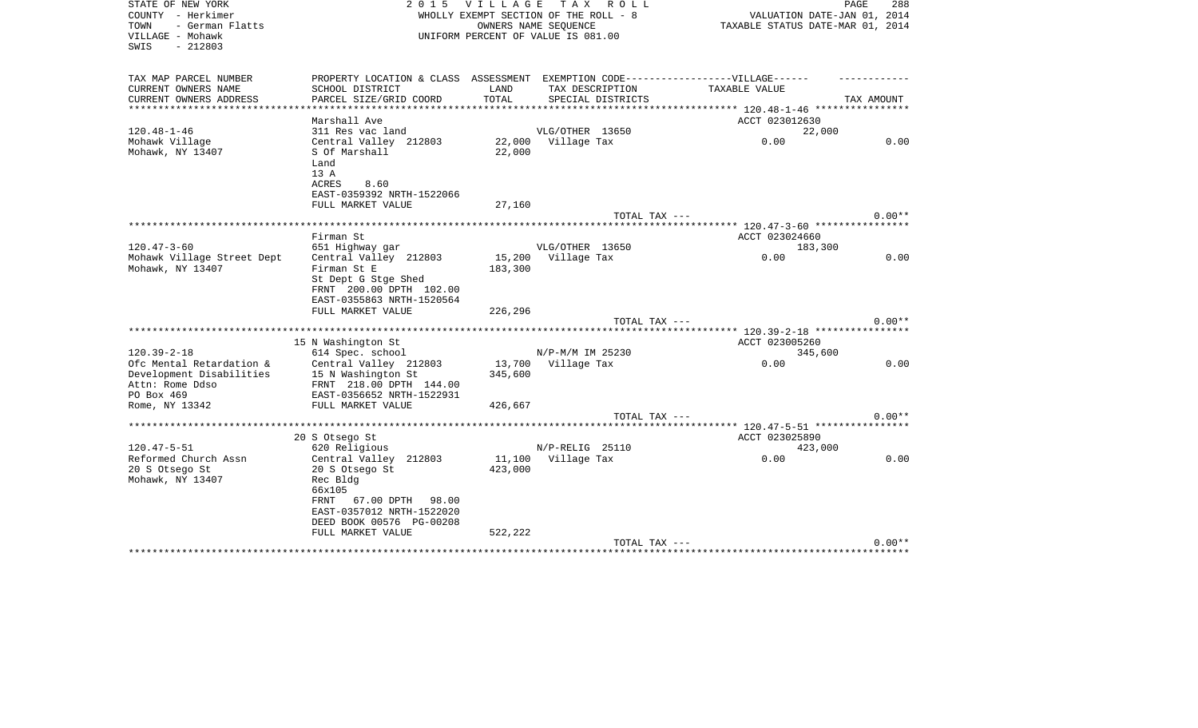| STATE OF NEW YORK<br>COUNTY - Herkimer | 2 0 1 5                                                                           | <b>VILLAGE</b>     | T A X<br>R O L L                                              |                                                                 | PAGE<br>288 |
|----------------------------------------|-----------------------------------------------------------------------------------|--------------------|---------------------------------------------------------------|-----------------------------------------------------------------|-------------|
| - German Flatts<br>TOWN                |                                                                                   |                    | WHOLLY EXEMPT SECTION OF THE ROLL - 8<br>OWNERS NAME SEQUENCE | VALUATION DATE-JAN 01, 2014<br>TAXABLE STATUS DATE-MAR 01, 2014 |             |
| VILLAGE - Mohawk<br>$-212803$<br>SWIS  |                                                                                   |                    | UNIFORM PERCENT OF VALUE IS 081.00                            |                                                                 |             |
| TAX MAP PARCEL NUMBER                  | PROPERTY LOCATION & CLASS ASSESSMENT EXEMPTION CODE-----------------VILLAGE------ |                    |                                                               |                                                                 |             |
| CURRENT OWNERS NAME                    | SCHOOL DISTRICT                                                                   | LAND               | TAX DESCRIPTION                                               | TAXABLE VALUE                                                   |             |
| CURRENT OWNERS ADDRESS                 | PARCEL SIZE/GRID COORD                                                            | TOTAL              | SPECIAL DISTRICTS                                             |                                                                 | TAX AMOUNT  |
| *************                          | **************************                                                        | ****************** |                                                               | **************** 120.48-1-46 *****************                  |             |
| $120.48 - 1 - 46$                      | Marshall Ave<br>311 Res vac land                                                  |                    | VLG/OTHER 13650                                               | ACCT 023012630                                                  |             |
| Mohawk Village                         | Central Valley 212803                                                             |                    | 22,000 Village Tax                                            | 22,000<br>0.00                                                  | 0.00        |
| Mohawk, NY 13407                       | S Of Marshall                                                                     | 22,000             |                                                               |                                                                 |             |
|                                        | Land                                                                              |                    |                                                               |                                                                 |             |
|                                        | 13 A                                                                              |                    |                                                               |                                                                 |             |
|                                        | <b>ACRES</b><br>8.60                                                              |                    |                                                               |                                                                 |             |
|                                        | EAST-0359392 NRTH-1522066                                                         |                    |                                                               |                                                                 |             |
|                                        | FULL MARKET VALUE                                                                 | 27,160             |                                                               |                                                                 |             |
|                                        |                                                                                   |                    | TOTAL TAX ---                                                 |                                                                 | $0.00**$    |
|                                        |                                                                                   |                    |                                                               |                                                                 |             |
|                                        | Firman St                                                                         |                    |                                                               | ACCT 023024660                                                  |             |
| $120.47 - 3 - 60$                      | 651 Highway gar                                                                   |                    | VLG/OTHER 13650                                               | 183,300                                                         |             |
| Mohawk Village Street Dept             | Central Valley 212803                                                             | 15,200             | Village Tax                                                   | 0.00                                                            | 0.00        |
| Mohawk, NY 13407                       | Firman St E                                                                       | 183,300            |                                                               |                                                                 |             |
|                                        | St Dept G Stge Shed<br>FRNT 200.00 DPTH 102.00                                    |                    |                                                               |                                                                 |             |
|                                        | EAST-0355863 NRTH-1520564                                                         |                    |                                                               |                                                                 |             |
|                                        | FULL MARKET VALUE                                                                 | 226,296            |                                                               |                                                                 |             |
|                                        |                                                                                   |                    | TOTAL TAX ---                                                 |                                                                 | $0.00**$    |
|                                        |                                                                                   |                    |                                                               |                                                                 |             |
|                                        | 15 N Washington St                                                                |                    |                                                               | ACCT 023005260                                                  |             |
| $120.39 - 2 - 18$                      | 614 Spec. school                                                                  |                    | N/P-M/M IM 25230                                              | 345,600                                                         |             |
| Ofc Mental Retardation &               | Central Valley 212803                                                             |                    | 13,700 Village Tax                                            | 0.00                                                            | 0.00        |
| Development Disabilities               | 15 N Washington St                                                                | 345,600            |                                                               |                                                                 |             |
| Attn: Rome Ddso                        | FRNT 218.00 DPTH 144.00                                                           |                    |                                                               |                                                                 |             |
| PO Box 469                             | EAST-0356652 NRTH-1522931                                                         |                    |                                                               |                                                                 |             |
| Rome, NY 13342                         | FULL MARKET VALUE                                                                 | 426,667            |                                                               |                                                                 |             |
|                                        |                                                                                   |                    | TOTAL TAX ---                                                 |                                                                 | $0.00**$    |
|                                        |                                                                                   |                    |                                                               |                                                                 |             |
| $120.47 - 5 - 51$                      | 20 S Otsego St<br>620 Religious                                                   |                    | N/P-RELIG 25110                                               | ACCT 023025890<br>423,000                                       |             |
| Reformed Church Assn                   | Central Valley 212803                                                             |                    | 11,100 Village Tax                                            | 0.00                                                            | 0.00        |
| 20 S Otsego St                         | 20 S Otsego St                                                                    | 423,000            |                                                               |                                                                 |             |
| Mohawk, NY 13407                       | Rec Bldg                                                                          |                    |                                                               |                                                                 |             |
|                                        | 66x105                                                                            |                    |                                                               |                                                                 |             |
|                                        | <b>FRNT</b><br>67.00 DPTH 98.00                                                   |                    |                                                               |                                                                 |             |
|                                        | EAST-0357012 NRTH-1522020                                                         |                    |                                                               |                                                                 |             |
|                                        | DEED BOOK 00576 PG-00208                                                          |                    |                                                               |                                                                 |             |
|                                        | FULL MARKET VALUE                                                                 | 522,222            |                                                               |                                                                 |             |
|                                        |                                                                                   |                    | TOTAL TAX ---                                                 |                                                                 | $0.00**$    |
|                                        |                                                                                   |                    |                                                               |                                                                 |             |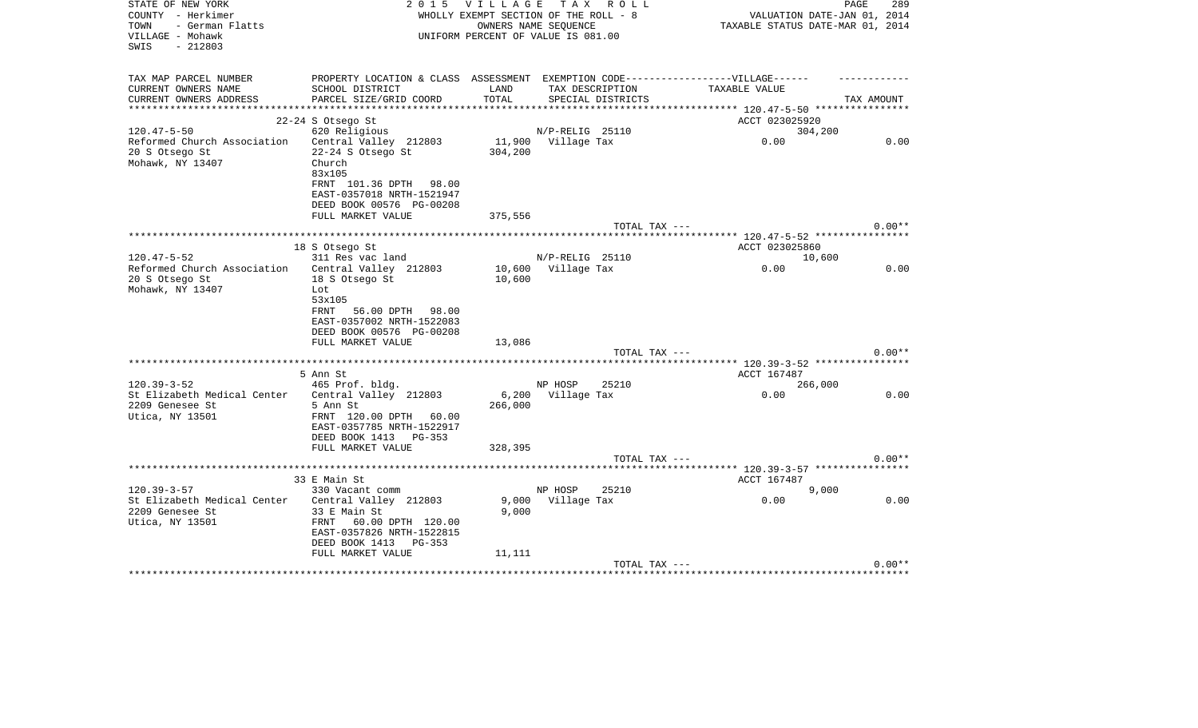| STATE OF NEW YORK<br>COUNTY - Herkimer<br>TOWN<br>- German Flatts<br>VILLAGE - Mohawk<br>$-212803$<br>SWIS | 2 0 1 5                                                                                                                                       |                  | VILLAGE TAX ROLL<br>WHOLLY EXEMPT SECTION OF THE ROLL - 8<br>OWNERS NAME SEQUENCE<br>UNIFORM PERCENT OF VALUE IS 081.00 | PAGE<br>VALUATION DATE-JAN 01, 2014<br>TAXABLE STATUS DATE-MAR 01, 2014 | 289        |
|------------------------------------------------------------------------------------------------------------|-----------------------------------------------------------------------------------------------------------------------------------------------|------------------|-------------------------------------------------------------------------------------------------------------------------|-------------------------------------------------------------------------|------------|
| TAX MAP PARCEL NUMBER<br>CURRENT OWNERS NAME<br>CURRENT OWNERS ADDRESS<br>***********************          | PROPERTY LOCATION & CLASS ASSESSMENT EXEMPTION CODE-----------------VILLAGE------<br>SCHOOL DISTRICT<br>PARCEL SIZE/GRID COORD                | LAND<br>TOTAL    | TAX DESCRIPTION<br>SPECIAL DISTRICTS                                                                                    | TAXABLE VALUE                                                           | TAX AMOUNT |
|                                                                                                            | 22-24 S Otsego St                                                                                                                             |                  |                                                                                                                         | ACCT 023025920                                                          |            |
| $120.47 - 5 - 50$                                                                                          | 620 Religious                                                                                                                                 |                  | N/P-RELIG 25110                                                                                                         | 304,200                                                                 |            |
| Reformed Church Association Central Valley 212803<br>20 S Otsego St<br>Mohawk, NY 13407                    | 22-24 S Otsego St<br>Church<br>83x105<br>FRNT 101.36 DPTH 98.00<br>EAST-0357018 NRTH-1521947                                                  | 304,200          | 11,900 Village Tax                                                                                                      | 0.00                                                                    | 0.00       |
|                                                                                                            | DEED BOOK 00576 PG-00208                                                                                                                      |                  |                                                                                                                         |                                                                         |            |
|                                                                                                            | FULL MARKET VALUE                                                                                                                             | 375,556          |                                                                                                                         |                                                                         |            |
|                                                                                                            |                                                                                                                                               |                  | TOTAL TAX ---                                                                                                           |                                                                         | $0.00**$   |
|                                                                                                            | 18 S Otsego St                                                                                                                                |                  |                                                                                                                         | ACCT 023025860                                                          |            |
| $120.47 - 5 - 52$                                                                                          | 311 Res vac land                                                                                                                              |                  | N/P-RELIG 25110                                                                                                         | 10,600                                                                  |            |
| Reformed Church Association<br>20 S Otsego St<br>Mohawk, NY 13407                                          | Central Valley 212803<br>18 S Otsego St<br>Lot<br>53x105<br>56.00 DPTH 98.00<br>FRNT<br>EAST-0357002 NRTH-1522083<br>DEED BOOK 00576 PG-00208 | 10,600           | 10,600 Village Tax                                                                                                      | 0.00                                                                    | 0.00       |
|                                                                                                            | FULL MARKET VALUE                                                                                                                             | 13,086           |                                                                                                                         |                                                                         |            |
|                                                                                                            |                                                                                                                                               |                  | TOTAL TAX ---                                                                                                           |                                                                         | $0.00**$   |
|                                                                                                            |                                                                                                                                               |                  |                                                                                                                         |                                                                         |            |
| $120.39 - 3 - 52$                                                                                          | 5 Ann St<br>465 Prof. bldg.                                                                                                                   |                  | NP HOSP<br>25210                                                                                                        | ACCT 167487<br>266,000                                                  |            |
| St Elizabeth Medical Center<br>2209 Genesee St<br>Utica, NY 13501                                          | Central Valley 212803<br>5 Ann St<br>FRNT 120.00 DPTH 60.00<br>EAST-0357785 NRTH-1522917<br>DEED BOOK 1413 PG-353                             | 6,200<br>266,000 | Village Tax                                                                                                             | 0.00                                                                    | 0.00       |
|                                                                                                            | FULL MARKET VALUE                                                                                                                             | 328,395          |                                                                                                                         |                                                                         |            |
|                                                                                                            |                                                                                                                                               |                  | TOTAL TAX ---                                                                                                           |                                                                         | $0.00**$   |
|                                                                                                            | 33 E Main St                                                                                                                                  |                  |                                                                                                                         | ***************** 120.39-3-57 *****************<br>ACCT 167487          |            |
| $120.39 - 3 - 57$                                                                                          | 330 Vacant comm                                                                                                                               |                  | NP HOSP<br>25210                                                                                                        | 9,000                                                                   |            |
| St Elizabeth Medical Center<br>2209 Genesee St<br>Utica, NY 13501                                          | Central Valley 212803<br>33 E Main St<br>FRNT 60.00 DPTH 120.00<br>EAST-0357826 NRTH-1522815<br>DEED BOOK 1413 PG-353                         | 9,000            | 9,000 Village Tax                                                                                                       | 0.00                                                                    | 0.00       |
|                                                                                                            | FULL MARKET VALUE                                                                                                                             | 11,111           | TOTAL TAX ---                                                                                                           |                                                                         | $0.00**$   |
|                                                                                                            |                                                                                                                                               |                  |                                                                                                                         | ************************************                                    |            |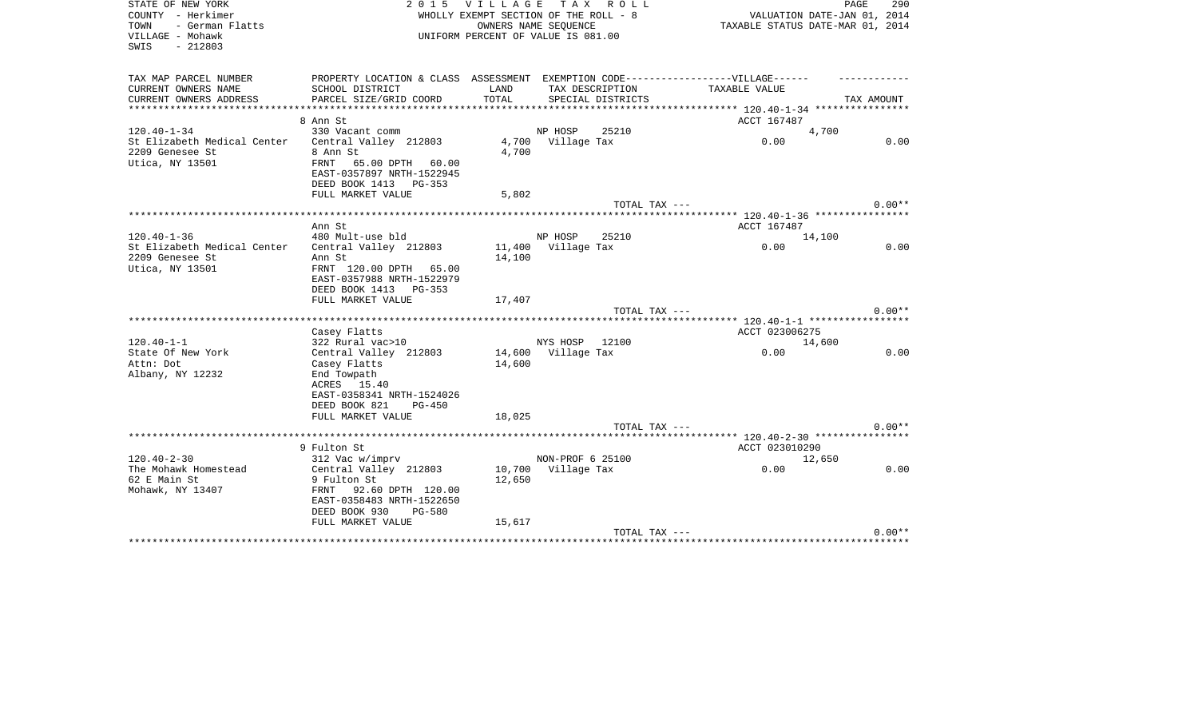| STATE OF NEW YORK<br>COUNTY - Herkimer<br>TOWN<br>- German Flatts<br>VILLAGE - Mohawk<br>$-212803$<br>SWIS | 2 0 1 5                                                                                                                          | V I L L A G E    | T A X<br>R O L L<br>WHOLLY EXEMPT SECTION OF THE ROLL - 8<br>OWNERS NAME SEQUENCE<br>UNIFORM PERCENT OF VALUE IS 081.00 | TAXABLE STATUS DATE-MAR 01, 2014                           | 290<br>PAGE<br>VALUATION DATE-JAN 01, 2014 |
|------------------------------------------------------------------------------------------------------------|----------------------------------------------------------------------------------------------------------------------------------|------------------|-------------------------------------------------------------------------------------------------------------------------|------------------------------------------------------------|--------------------------------------------|
| TAX MAP PARCEL NUMBER<br>CURRENT OWNERS NAME                                                               | PROPERTY LOCATION & CLASS ASSESSMENT EXEMPTION CODE-----------------VILLAGE------<br>SCHOOL DISTRICT                             | LAND             | TAX DESCRIPTION                                                                                                         | TAXABLE VALUE                                              |                                            |
| CURRENT OWNERS ADDRESS                                                                                     | PARCEL SIZE/GRID COORD                                                                                                           | TOTAL            | SPECIAL DISTRICTS                                                                                                       |                                                            | TAX AMOUNT                                 |
| **********************                                                                                     | *************************                                                                                                        |                  | *******************************                                                                                         | ************** 120.40-1-34 *****************               |                                            |
|                                                                                                            | 8 Ann St                                                                                                                         |                  |                                                                                                                         | ACCT 167487                                                |                                            |
| $120.40 - 1 - 34$                                                                                          | 330 Vacant comm                                                                                                                  |                  | NP HOSP<br>25210                                                                                                        |                                                            | 4,700                                      |
| St Elizabeth Medical Center<br>2209 Genesee St<br>Utica, NY 13501                                          | Central Valley 212803<br>8 Ann St<br>65.00 DPTH 60.00<br>FRNT<br>EAST-0357897 NRTH-1522945<br>DEED BOOK 1413 PG-353              | 4,700            | 4,700 Village Tax                                                                                                       | 0.00                                                       | 0.00                                       |
|                                                                                                            | FULL MARKET VALUE                                                                                                                | 5,802            |                                                                                                                         |                                                            |                                            |
|                                                                                                            | ****************************                                                                                                     |                  | TOTAL TAX ---                                                                                                           | ***************************** 120.40-1-36 **************** | $0.00**$                                   |
|                                                                                                            | Ann St                                                                                                                           |                  |                                                                                                                         | ACCT 167487                                                |                                            |
| $120.40 - 1 - 36$                                                                                          | 480 Mult-use bld                                                                                                                 |                  | NP HOSP<br>25210                                                                                                        |                                                            | 14,100                                     |
| St Elizabeth Medical Center                                                                                | Central Valley 212803                                                                                                            |                  | 11,400 Village Tax                                                                                                      | 0.00                                                       | 0.00                                       |
| 2209 Genesee St<br>Utica, NY 13501                                                                         | Ann St<br>FRNT 120.00 DPTH 65.00<br>EAST-0357988 NRTH-1522979<br>DEED BOOK 1413 PG-353<br>FULL MARKET VALUE                      | 14,100<br>17,407 |                                                                                                                         |                                                            |                                            |
|                                                                                                            |                                                                                                                                  |                  | TOTAL TAX ---                                                                                                           |                                                            | $0.00**$                                   |
|                                                                                                            |                                                                                                                                  |                  |                                                                                                                         |                                                            |                                            |
|                                                                                                            | Casey Flatts                                                                                                                     |                  |                                                                                                                         | ACCT 023006275                                             |                                            |
| $120.40 - 1 - 1$                                                                                           | 322 Rural vac>10                                                                                                                 |                  | NYS HOSP 12100                                                                                                          |                                                            | 14,600                                     |
| State Of New York                                                                                          | Central Valley 212803                                                                                                            |                  | 14,600 Village Tax                                                                                                      | 0.00                                                       | 0.00                                       |
| Attn: Dot<br>Albany, NY 12232                                                                              | Casey Flatts<br>End Towpath<br>ACRES 15.40<br>EAST-0358341 NRTH-1524026<br>DEED BOOK 821<br><b>PG-450</b><br>FULL MARKET VALUE   | 14,600<br>18,025 |                                                                                                                         |                                                            |                                            |
|                                                                                                            |                                                                                                                                  |                  | TOTAL TAX ---                                                                                                           |                                                            | $0.00**$                                   |
|                                                                                                            |                                                                                                                                  |                  |                                                                                                                         |                                                            |                                            |
|                                                                                                            | 9 Fulton St                                                                                                                      |                  |                                                                                                                         | ACCT 023010290                                             |                                            |
| $120.40 - 2 - 30$                                                                                          | 312 Vac w/imprv                                                                                                                  |                  | NON-PROF 6 25100                                                                                                        |                                                            | 12,650                                     |
| The Mohawk Homestead<br>62 E Main St<br>Mohawk, NY 13407                                                   | Central Valley 212803<br>9 Fulton St<br>FRNT<br>92.60 DPTH 120.00<br>EAST-0358483 NRTH-1522650<br>DEED BOOK 930<br><b>PG-580</b> | 10,700<br>12,650 | Village Tax                                                                                                             | 0.00                                                       | 0.00                                       |
|                                                                                                            | FULL MARKET VALUE                                                                                                                | 15,617           |                                                                                                                         |                                                            |                                            |
|                                                                                                            |                                                                                                                                  |                  | TOTAL TAX ---                                                                                                           | *************************************                      | $0.00**$                                   |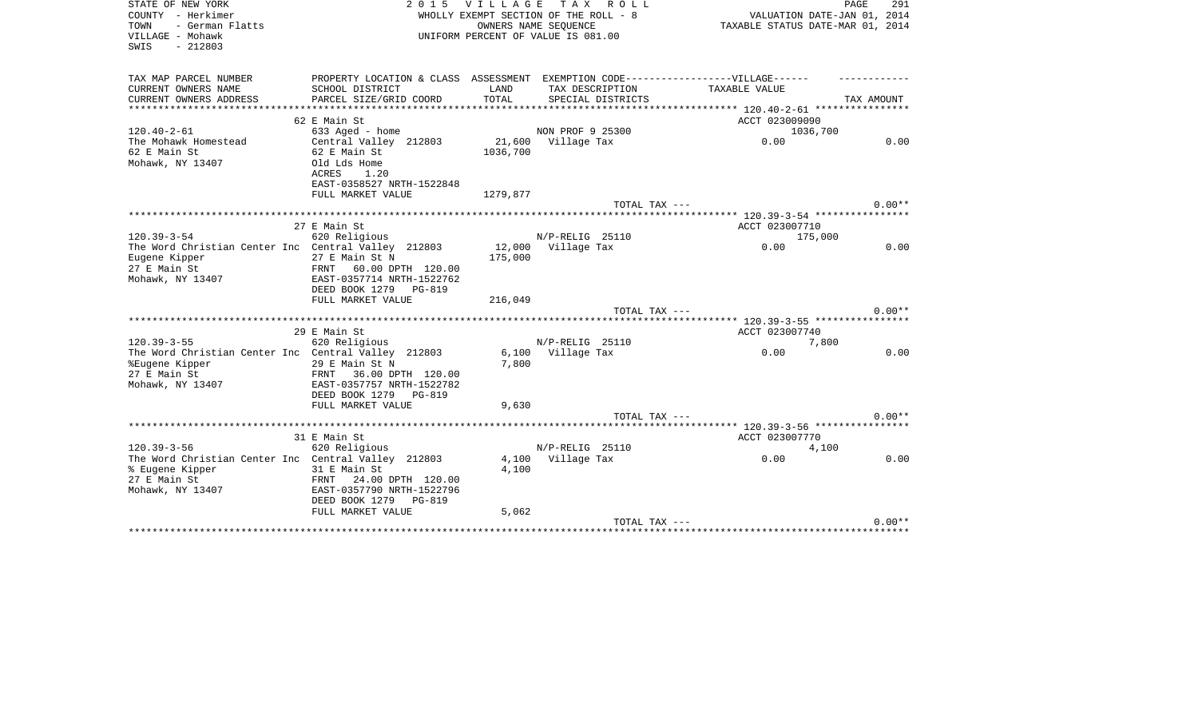| STATE OF NEW YORK                                   | 2 0 1 5                                                                           | VILLAGE  | T A X<br>R O L L                      | PAGE                               | 291        |
|-----------------------------------------------------|-----------------------------------------------------------------------------------|----------|---------------------------------------|------------------------------------|------------|
| COUNTY - Herkimer                                   |                                                                                   |          | WHOLLY EXEMPT SECTION OF THE ROLL - 8 | VALUATION DATE-JAN 01, 2014        |            |
| TOWN<br>- German Flatts                             |                                                                                   |          | OWNERS NAME SEOUENCE                  | TAXABLE STATUS DATE-MAR 01, 2014   |            |
| VILLAGE - Mohawk                                    |                                                                                   |          | UNIFORM PERCENT OF VALUE IS 081.00    |                                    |            |
| $-212803$<br>SWIS                                   |                                                                                   |          |                                       |                                    |            |
| TAX MAP PARCEL NUMBER                               | PROPERTY LOCATION & CLASS ASSESSMENT EXEMPTION CODE-----------------VILLAGE------ |          |                                       |                                    |            |
| CURRENT OWNERS NAME                                 | SCHOOL DISTRICT                                                                   | LAND     | TAX DESCRIPTION                       | TAXABLE VALUE                      |            |
| CURRENT OWNERS ADDRESS                              | PARCEL SIZE/GRID COORD                                                            | TOTAL    | SPECIAL DISTRICTS                     |                                    | TAX AMOUNT |
|                                                     |                                                                                   |          |                                       |                                    |            |
|                                                     | 62 E Main St                                                                      |          |                                       | ACCT 023009090                     |            |
| $120.40 - 2 - 61$                                   | 633 Aged - home                                                                   |          | NON PROF 9 25300                      | 1036,700                           |            |
| The Mohawk Homestead                                | Central Valley 212803                                                             | 21,600   | Village Tax                           | 0.00                               | 0.00       |
| 62 E Main St                                        | 62 E Main St                                                                      | 1036,700 |                                       |                                    |            |
| Mohawk, NY 13407                                    | Old Lds Home                                                                      |          |                                       |                                    |            |
|                                                     | ACRES<br>1.20                                                                     |          |                                       |                                    |            |
|                                                     | EAST-0358527 NRTH-1522848                                                         |          |                                       |                                    |            |
|                                                     | FULL MARKET VALUE                                                                 | 1279,877 |                                       |                                    |            |
|                                                     |                                                                                   |          | TOTAL TAX ---                         |                                    | $0.00**$   |
|                                                     |                                                                                   |          |                                       |                                    |            |
|                                                     | 27 E Main St                                                                      |          |                                       | ACCT 023007710                     |            |
| $120.39 - 3 - 54$                                   | 620 Religious                                                                     |          | N/P-RELIG 25110                       | 175,000                            |            |
| The Word Christian Center Inc Central Valley 212803 |                                                                                   | 12,000   | Village Tax                           | 0.00                               | 0.00       |
| Eugene Kipper                                       | 27 E Main St N                                                                    | 175,000  |                                       |                                    |            |
| 27 E Main St                                        | 60.00 DPTH 120.00<br>FRNT                                                         |          |                                       |                                    |            |
| Mohawk, NY 13407                                    | EAST-0357714 NRTH-1522762                                                         |          |                                       |                                    |            |
|                                                     | DEED BOOK 1279<br>PG-819                                                          |          |                                       |                                    |            |
|                                                     | FULL MARKET VALUE                                                                 | 216,049  |                                       |                                    | $0.00**$   |
|                                                     | *********************                                                             |          | TOTAL TAX ---                         | ****** 120.39-3-55 ************    |            |
|                                                     | 29 E Main St                                                                      |          |                                       | ACCT 023007740                     |            |
| $120.39 - 3 - 55$                                   | 620 Religious                                                                     |          | N/P-RELIG 25110                       | 7,800                              |            |
| The Word Christian Center Inc Central Valley 212803 |                                                                                   | 6,100    | Village Tax                           | 0.00                               | 0.00       |
| %Eugene Kipper                                      | 29 E Main St N                                                                    | 7,800    |                                       |                                    |            |
| 27 E Main St                                        | FRNT<br>36.00 DPTH 120.00                                                         |          |                                       |                                    |            |
| Mohawk, NY 13407                                    | EAST-0357757 NRTH-1522782                                                         |          |                                       |                                    |            |
|                                                     | DEED BOOK 1279<br><b>PG-819</b>                                                   |          |                                       |                                    |            |
|                                                     | FULL MARKET VALUE                                                                 | 9,630    |                                       |                                    |            |
|                                                     |                                                                                   |          | TOTAL TAX ---                         |                                    | $0.00**$   |
|                                                     |                                                                                   |          |                                       |                                    |            |
|                                                     | 31 E Main St                                                                      |          |                                       | ACCT 023007770                     |            |
| $120.39 - 3 - 56$                                   | 620 Religious                                                                     |          | N/P-RELIG 25110                       | 4,100                              |            |
| The Word Christian Center Inc Central Valley 212803 |                                                                                   |          | 4,100 Village Tax                     | 0.00                               | 0.00       |
| % Eugene Kipper                                     | 31 E Main St                                                                      | 4,100    |                                       |                                    |            |
| 27 E Main St                                        | FRNT<br>24.00 DPTH 120.00                                                         |          |                                       |                                    |            |
| Mohawk, NY 13407                                    | EAST-0357790 NRTH-1522796                                                         |          |                                       |                                    |            |
|                                                     | DEED BOOK 1279<br>PG-819                                                          |          |                                       |                                    |            |
|                                                     | FULL MARKET VALUE                                                                 | 5,062    |                                       |                                    |            |
|                                                     |                                                                                   |          | TOTAL TAX ---                         |                                    | $0.00**$   |
|                                                     |                                                                                   |          |                                       | ********************************** |            |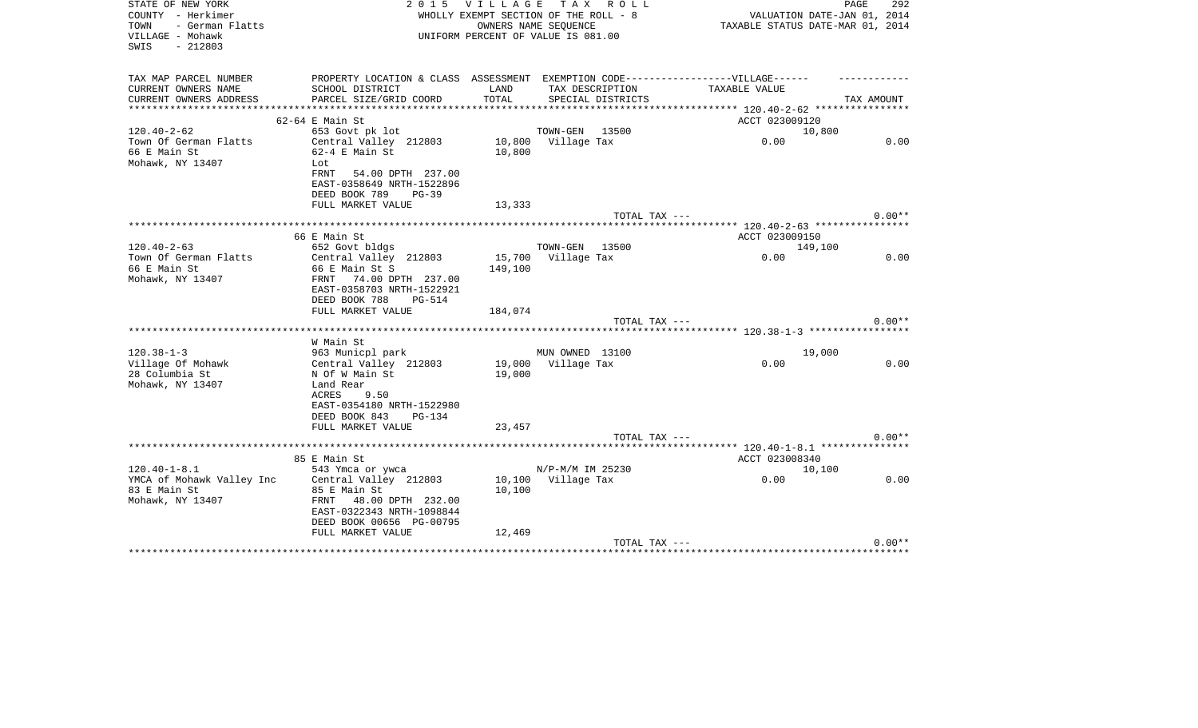| STATE OF NEW YORK<br>COUNTY - Herkimer<br>TOWN<br>- German Flatts<br>VILLAGE - Mohawk<br>$-212803$<br>SWIS | 2 0 1 5                                                                           | VILLAGE TAX | R O L L<br>WHOLLY EXEMPT SECTION OF THE ROLL - 8<br>OWNERS NAME SEQUENCE<br>UNIFORM PERCENT OF VALUE IS 081.00 | PAGE<br>VALUATION DATE-JAN 01, 2014<br>TAXABLE STATUS DATE-MAR 01, 2014 | 292        |
|------------------------------------------------------------------------------------------------------------|-----------------------------------------------------------------------------------|-------------|----------------------------------------------------------------------------------------------------------------|-------------------------------------------------------------------------|------------|
| TAX MAP PARCEL NUMBER                                                                                      | PROPERTY LOCATION & CLASS ASSESSMENT EXEMPTION CODE-----------------VILLAGE------ |             |                                                                                                                |                                                                         |            |
| CURRENT OWNERS NAME                                                                                        | SCHOOL DISTRICT                                                                   | LAND        | TAX DESCRIPTION                                                                                                | TAXABLE VALUE                                                           |            |
| CURRENT OWNERS ADDRESS<br>****************                                                                 | PARCEL SIZE/GRID COORD                                                            | TOTAL       | SPECIAL DISTRICTS                                                                                              | **************** 120.40-2-62 *****************                          | TAX AMOUNT |
|                                                                                                            | 62-64 E Main St                                                                   |             |                                                                                                                | ACCT 023009120                                                          |            |
| $120.40 - 2 - 62$                                                                                          | 653 Govt pk lot                                                                   |             | TOWN-GEN<br>13500                                                                                              | 10,800                                                                  |            |
| Town Of German Flatts                                                                                      | Central Valley 212803                                                             |             | 10,800 Village Tax                                                                                             | 0.00                                                                    | 0.00       |
| 66 E Main St                                                                                               | $62-4$ E Main St                                                                  | 10,800      |                                                                                                                |                                                                         |            |
| Mohawk, NY 13407                                                                                           | Lot                                                                               |             |                                                                                                                |                                                                         |            |
|                                                                                                            | FRNT<br>54.00 DPTH 237.00<br>EAST-0358649 NRTH-1522896                            |             |                                                                                                                |                                                                         |            |
|                                                                                                            | DEED BOOK 789<br>$PG-39$                                                          |             |                                                                                                                |                                                                         |            |
|                                                                                                            | FULL MARKET VALUE                                                                 | 13,333      |                                                                                                                |                                                                         |            |
|                                                                                                            |                                                                                   |             | TOTAL TAX ---                                                                                                  |                                                                         | $0.00**$   |
|                                                                                                            |                                                                                   |             |                                                                                                                |                                                                         |            |
|                                                                                                            | 66 E Main St                                                                      |             |                                                                                                                | ACCT 023009150                                                          |            |
| $120.40 - 2 - 63$<br>Town Of German Flatts                                                                 | 652 Govt bldgs<br>Central Valley 212803                                           |             | TOWN-GEN 13500<br>15,700 Village Tax                                                                           | 149,100<br>0.00                                                         | 0.00       |
| 66 E Main St                                                                                               | 66 E Main St S                                                                    | 149,100     |                                                                                                                |                                                                         |            |
| Mohawk, NY 13407                                                                                           | FRNT 74.00 DPTH 237.00                                                            |             |                                                                                                                |                                                                         |            |
|                                                                                                            | EAST-0358703 NRTH-1522921                                                         |             |                                                                                                                |                                                                         |            |
|                                                                                                            | DEED BOOK 788<br><b>PG-514</b>                                                    |             |                                                                                                                |                                                                         |            |
|                                                                                                            | FULL MARKET VALUE                                                                 | 184,074     |                                                                                                                |                                                                         | $0.00**$   |
|                                                                                                            | **********************                                                            |             | TOTAL TAX ---                                                                                                  | ************ 120.38-1-3 ******************                              |            |
|                                                                                                            | W Main St                                                                         |             |                                                                                                                |                                                                         |            |
| $120.38 - 1 - 3$                                                                                           | 963 Municpl park                                                                  |             | MUN OWNED 13100                                                                                                | 19,000                                                                  |            |
| Village Of Mohawk                                                                                          | Central Valley 212803                                                             |             | 19,000 Village Tax                                                                                             | 0.00                                                                    | 0.00       |
| 28 Columbia St                                                                                             | N Of W Main St                                                                    | 19,000      |                                                                                                                |                                                                         |            |
| Mohawk, NY 13407                                                                                           | Land Rear                                                                         |             |                                                                                                                |                                                                         |            |
|                                                                                                            | ACRES<br>9.50<br>EAST-0354180 NRTH-1522980                                        |             |                                                                                                                |                                                                         |            |
|                                                                                                            | DEED BOOK 843<br>PG-134                                                           |             |                                                                                                                |                                                                         |            |
|                                                                                                            | FULL MARKET VALUE                                                                 | 23,457      |                                                                                                                |                                                                         |            |
|                                                                                                            |                                                                                   |             | TOTAL TAX ---                                                                                                  |                                                                         | $0.00**$   |
|                                                                                                            |                                                                                   |             |                                                                                                                |                                                                         |            |
|                                                                                                            | 85 E Main St                                                                      |             |                                                                                                                | ACCT 023008340                                                          |            |
| $120.40 - 1 - 8.1$<br>YMCA of Mohawk Valley Inc                                                            | 543 Ymca or ywca<br>Central Valley 212803                                         |             | N/P-M/M IM 25230<br>10,100 Village Tax                                                                         | 10,100<br>0.00                                                          | 0.00       |
| 83 E Main St                                                                                               | 85 E Main St                                                                      | 10,100      |                                                                                                                |                                                                         |            |
| Mohawk, NY 13407                                                                                           | FRNT<br>48.00 DPTH 232.00                                                         |             |                                                                                                                |                                                                         |            |
|                                                                                                            | EAST-0322343 NRTH-1098844                                                         |             |                                                                                                                |                                                                         |            |
|                                                                                                            | DEED BOOK 00656 PG-00795                                                          |             |                                                                                                                |                                                                         |            |
|                                                                                                            | FULL MARKET VALUE                                                                 | 12,469      |                                                                                                                |                                                                         | $0.00**$   |
|                                                                                                            |                                                                                   |             | TOTAL TAX ---                                                                                                  |                                                                         |            |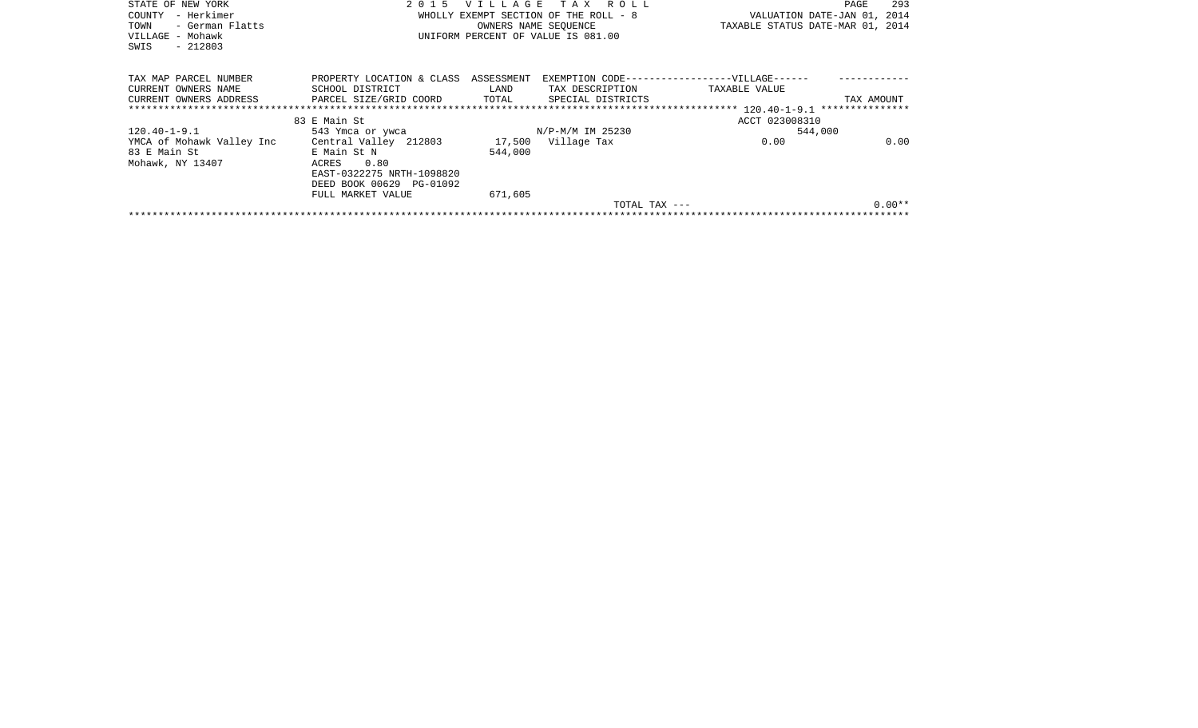| STATE OF NEW YORK         |                           |            | VILLAGE TAX ROLL                      |                                               | 293<br>PAGE |
|---------------------------|---------------------------|------------|---------------------------------------|-----------------------------------------------|-------------|
| - Herkimer<br>COUNTY      |                           |            | WHOLLY EXEMPT SECTION OF THE ROLL - 8 | VALUATION DATE-JAN 01, 2014                   |             |
| TOWN<br>- German Flatts   |                           |            | OWNERS NAME SEOUENCE                  | TAXABLE STATUS DATE-MAR 01, 2014              |             |
| VILLAGE - Mohawk          |                           |            | UNIFORM PERCENT OF VALUE IS 081.00    |                                               |             |
| $-212803$<br>SWIS         |                           |            |                                       |                                               |             |
|                           |                           |            |                                       |                                               |             |
| TAX MAP PARCEL NUMBER     | PROPERTY LOCATION & CLASS | ASSESSMENT |                                       | EXEMPTION CODE------------------VILLAGE------ |             |
| CURRENT OWNERS NAME       | SCHOOL DISTRICT           | LAND       | TAX DESCRIPTION                       | TAXABLE VALUE                                 |             |
| CURRENT OWNERS ADDRESS    | PARCEL SIZE/GRID COORD    | TOTAL      | SPECIAL DISTRICTS                     |                                               | TAX AMOUNT  |
|                           |                           |            |                                       |                                               |             |
|                           | 83 E Main St              |            |                                       | ACCT 023008310                                |             |
| $120.40 - 1 - 9.1$        | 543 Ymca or ywca          |            | N/P-M/M IM 25230                      | 544,000                                       |             |
| YMCA of Mohawk Valley Inc | Central Valley 212803     |            | 17,500 Village Tax                    | 0.00                                          | 0.00        |
| 83 E Main St              | E Main St N               | 544,000    |                                       |                                               |             |
| Mohawk, NY 13407          | 0.80<br>ACRES             |            |                                       |                                               |             |
|                           | EAST-0322275 NRTH-1098820 |            |                                       |                                               |             |
|                           | DEED BOOK 00629 PG-01092  |            |                                       |                                               |             |
|                           | FULL MARKET VALUE         | 671,605    |                                       |                                               |             |
|                           |                           |            | TOTAL TAX ---                         |                                               | $0.00**$    |
|                           |                           |            |                                       |                                               |             |
|                           |                           |            |                                       |                                               |             |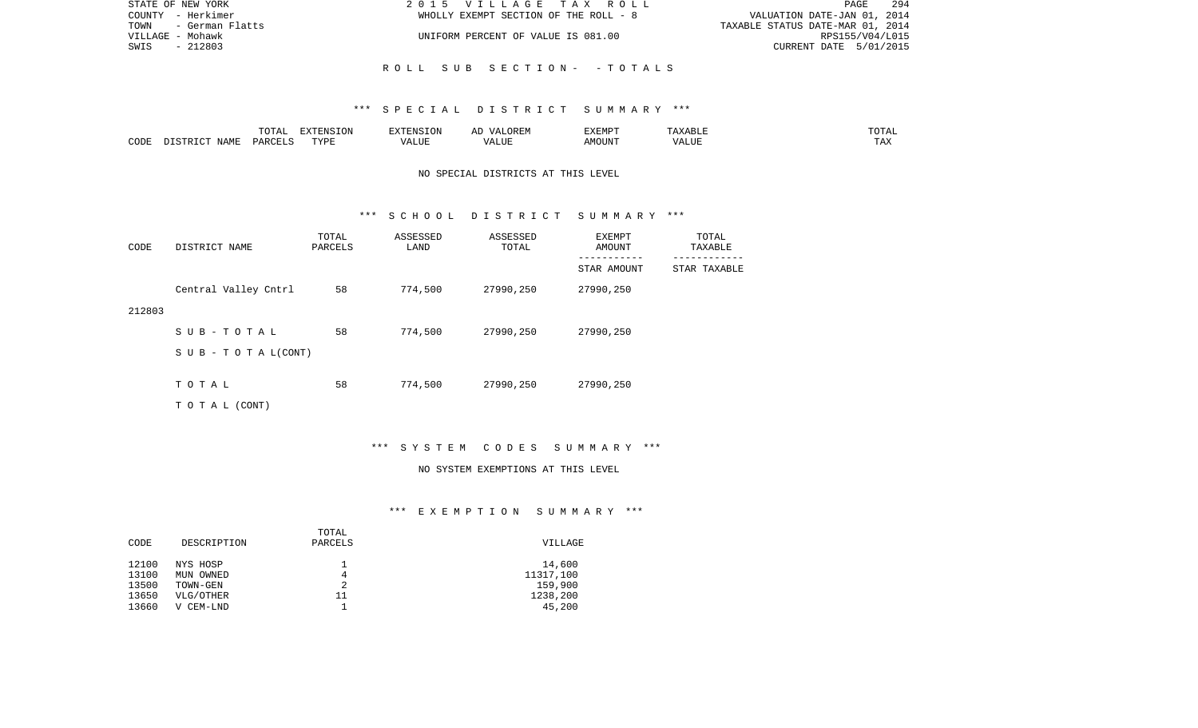| STATE OF NEW YORK    | 2015 VILLAGE TAX ROLL                 | PAGE 294                         |
|----------------------|---------------------------------------|----------------------------------|
| COUNTY - Herkimer    | WHOLLY EXEMPT SECTION OF THE ROLL - 8 | VALUATION DATE-JAN 01, 2014      |
| TOWN - German Flatts |                                       | TAXABLE STATUS DATE-MAR 01, 2014 |
| VILLAGE - Mohawk     | UNIFORM PERCENT OF VALUE IS 081.00    | RPS155/V04/L015                  |
| SWIS<br>- 212803     |                                       | CURRENT DATE 5/01/2015           |
|                      |                                       |                                  |
|                      | ROLL SUB SECTION- -TOTALS             |                                  |

# \*\*\* S P E C I A L D I S T R I C T S U M M A R Y \*\*\*

|      |                  | $m \wedge m \wedge$<br>$\cdots$<br>-777 | <b>EXTENSION</b> | $\sqrt{ }$ | 51.CD5<br>∴™ ⊢ |         |
|------|------------------|-----------------------------------------|------------------|------------|----------------|---------|
| CODE | NAM <sup>T</sup> |                                         | PVDI             |            | ЛU             | $- - -$ |

# NO SPECIAL DISTRICTS AT THIS LEVEL

#### \*\*\* S C H O O L D I S T R I C T S U M M A R Y \*\*\*

| CODE   | DISTRICT NAME             | TOTAL<br>PARCELS | ASSESSED<br>LAND | ASSESSED<br>TOTAL | EXEMPT<br>AMOUNT<br>. | TOTAL<br>TAXABLE |
|--------|---------------------------|------------------|------------------|-------------------|-----------------------|------------------|
|        |                           |                  |                  |                   | STAR AMOUNT           | STAR TAXABLE     |
|        | Central Valley Cntrl      | 58               | 774,500          | 27990,250         | 27990,250             |                  |
| 212803 |                           |                  |                  |                   |                       |                  |
|        | SUB-TOTAL                 | 58               | 774,500          | 27990,250         | 27990,250             |                  |
|        | S U B - T O T A $L(CONT)$ |                  |                  |                   |                       |                  |
|        |                           |                  |                  |                   |                       |                  |
|        | TOTAL                     | 58               | 774,500          | 27990,250         | 27990,250             |                  |
|        | T O T A L (CONT)          |                  |                  |                   |                       |                  |

# \*\*\* S Y S T E M C O D E S S U M M A R Y \*\*\*

#### NO SYSTEM EXEMPTIONS AT THIS LEVEL

# \*\*\* E X E M P T I O N S U M M A R Y \*\*\*

| CODE  | DESCRIPTION | TOTAL<br>PARCELS | VILLAGE   |
|-------|-------------|------------------|-----------|
| 12100 | NYS HOSP    | 4                | 14,600    |
| 13100 | MUN OWNED   |                  | 11317,100 |
| 13500 | TOWN-GEN    |                  | 159,900   |
| 13650 | VLG/OTHER   | 11               | 1238,200  |
| 13660 | V CEM-LND   |                  | 45,200    |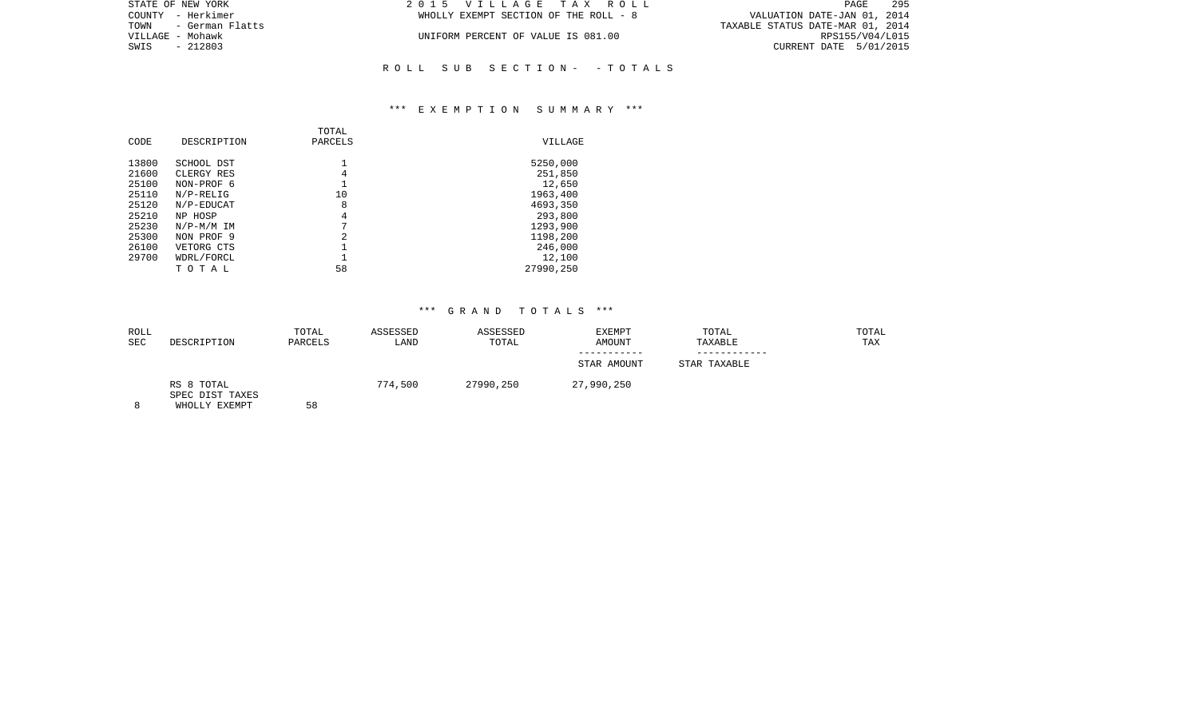| 2015 VILLAGE TAX ROLL                 | PAGE                             | 29! |
|---------------------------------------|----------------------------------|-----|
| WHOLLY EXEMPT SECTION OF THE ROLL - 8 | VALUATION DATE-JAN 01, 2014      |     |
|                                       | TAXABLE STATUS DATE-MAR 01, 2014 |     |
| UNIFORM PERCENT OF VALUE IS 081.00    | RPS155/V04/L01!                  |     |
|                                       | CURRENT DATE 5/01/2019           |     |
|                                       |                                  |     |

\*\*\* E X E M P T I O N S U M M A R Y \*\*\*

R O L L S U B S E C T I O N - - T O T A L S

|       |              | TOTAL   |           |
|-------|--------------|---------|-----------|
| CODE  | DESCRIPTION  | PARCELS | VILLAGE   |
| 13800 | SCHOOL DST   |         | 5250,000  |
| 21600 | CLERGY RES   | 4       | 251,850   |
| 25100 | NON-PROF 6   |         | 12,650    |
| 25110 | $N/P-RELIG$  | 10      | 1963,400  |
| 25120 | N/P-EDUCAT   | 8       | 4693,350  |
| 25210 | NP HOSP      | 4       | 293,800   |
| 25230 | $N/P-M/M$ IM | 7       | 1293,900  |
| 25300 | NON PROF 9   | 2       | 1198,200  |
| 26100 | VETORG CTS   |         | 246,000   |
| 29700 | WDRL/FORCL   |         | 12,100    |
|       | тотаь        | 58      | 27990,250 |
|       |              |         |           |

STATE OF NEW YORK COUNTY - Herkimer TOWN - German Flatts VILLAGE - Mohawk  $SWIS$  - 212803

| ROLL<br><b>SEC</b> | DESCRIPTION                                    | TOTAL<br>PARCELS | ASSESSED<br>LAND | ASSESSED<br>TOTAL | <b>EXEMPT</b><br><b>AMOUNT</b> | TOTAL<br>TAXABLE | TOTAL<br>TAX |
|--------------------|------------------------------------------------|------------------|------------------|-------------------|--------------------------------|------------------|--------------|
|                    |                                                |                  |                  |                   | STAR AMOUNT                    | STAR TAXABLE     |              |
|                    | RS 8 TOTAL<br>SPEC DIST TAXES<br>WHOLLY EXEMPT | 58               | 774,500          | 27990,250         | 27,990,250                     |                  |              |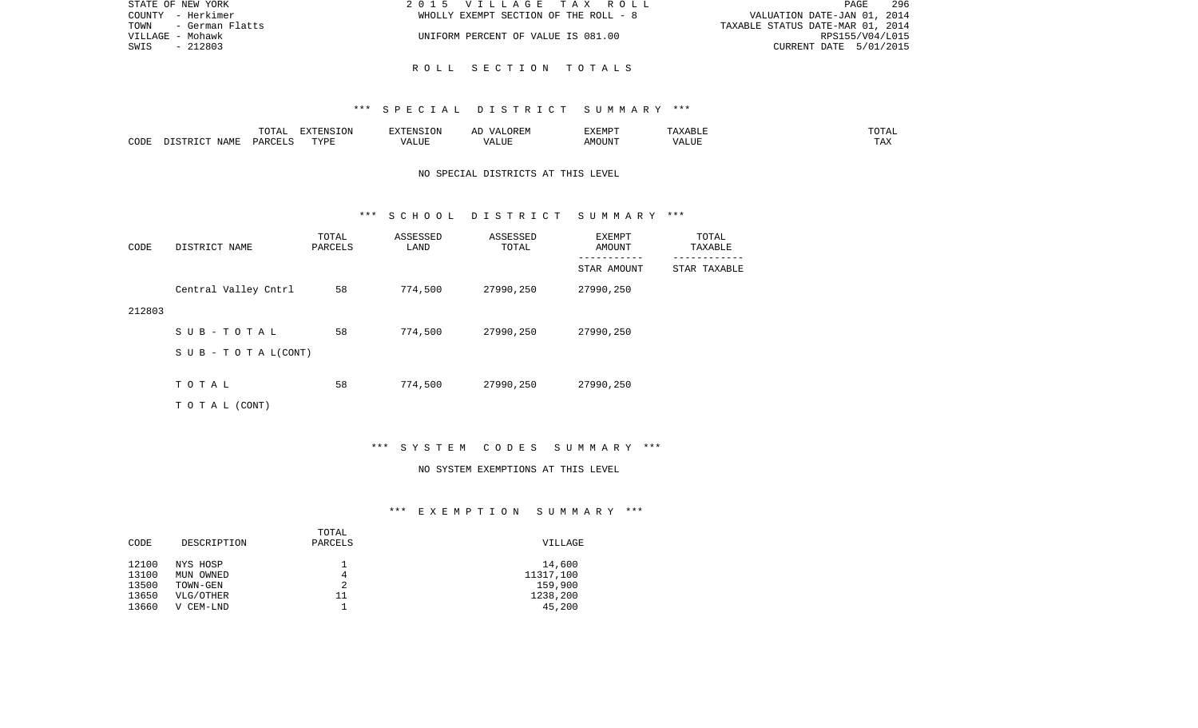| STATE OF NEW YORK       | 2015 VILLAGE TAX ROLL                 | - 296<br><b>PAGE</b>             |
|-------------------------|---------------------------------------|----------------------------------|
| COUNTY - Herkimer       | WHOLLY EXEMPT SECTION OF THE ROLL - 8 | VALUATION DATE-JAN 01, 2014      |
| TOWN<br>- German Flatts |                                       | TAXABLE STATUS DATE-MAR 01, 2014 |
| VILLAGE - Mohawk        | UNIFORM PERCENT OF VALUE IS 081.00    | RPS155/V04/L015                  |
| SWIS<br>- 212803        |                                       | CURRENT DATE 5/01/2015           |
|                         |                                       |                                  |

# R O L L S E C T I O N T O T A L S

### \*\*\* S P E C I A L D I S T R I C T S U M M A R Y \*\*\*

|      |                                 | $T$ $\cap$ $T$ $\cap$ $\cap$ $\cap$<br>$\cdot$<br>- ∪ + ⊥ + + | EXTENSION   |       | OREM<br>$\sqrt{4}$ | <b>EXEMPT</b> |                    | ------<br>"UTAL      |
|------|---------------------------------|---------------------------------------------------------------|-------------|-------|--------------------|---------------|--------------------|----------------------|
| CODE | $\Lambda \Delta M$ <sup>T</sup> | D A D C                                                       | TVDF<br>--- | т ттт | $\sqrt{ }$<br>பப   | MOUN'         | $\sqrt{ }$<br>ALUF | <b>TIA 32</b><br>IΑΛ |

# NO SPECIAL DISTRICTS AT THIS LEVEL

#### \*\*\* S C H O O L D I S T R I C T S U M M A R Y \*\*\*

| CODE   | DISTRICT NAME                    | TOTAL<br>PARCELS | ASSESSED<br>LAND | ASSESSED<br>TOTAL | EXEMPT<br><b>AMOUNT</b> | TOTAL<br>TAXABLE |
|--------|----------------------------------|------------------|------------------|-------------------|-------------------------|------------------|
|        |                                  |                  |                  |                   | STAR AMOUNT             | STAR TAXABLE     |
|        | Central Valley Cntrl             | 58               | 774,500          | 27990,250         | 27990,250               |                  |
| 212803 |                                  |                  |                  |                   |                         |                  |
|        | SUB-TOTAL                        | 58               | 774,500          | 27990,250         | 27990,250               |                  |
|        | $S \cup B - T \cup T A L (CONT)$ |                  |                  |                   |                         |                  |
|        |                                  |                  |                  |                   |                         |                  |
|        | TOTAL                            | 58               | 774,500          | 27990,250         | 27990,250               |                  |
|        | T O T A L (CONT)                 |                  |                  |                   |                         |                  |

# \*\*\* S Y S T E M C O D E S S U M M A R Y \*\*\*

#### NO SYSTEM EXEMPTIONS AT THIS LEVEL

# \*\*\* E X E M P T I O N S U M M A R Y \*\*\*

|       |              | TOTAL   |           |
|-------|--------------|---------|-----------|
| CODE  | DESCRIPTION  | PARCELS | VILLAGE   |
|       |              |         |           |
| 12100 | NYS HOSP     |         | 14,600    |
| 13100 | MUN OWNED    | 4       | 11317,100 |
| 13500 | TOWN-GEN     | 2       | 159,900   |
| 13650 | VLG/OTHER    | 11      | 1238,200  |
| 13660 | CEM-LND<br>V |         | 45,200    |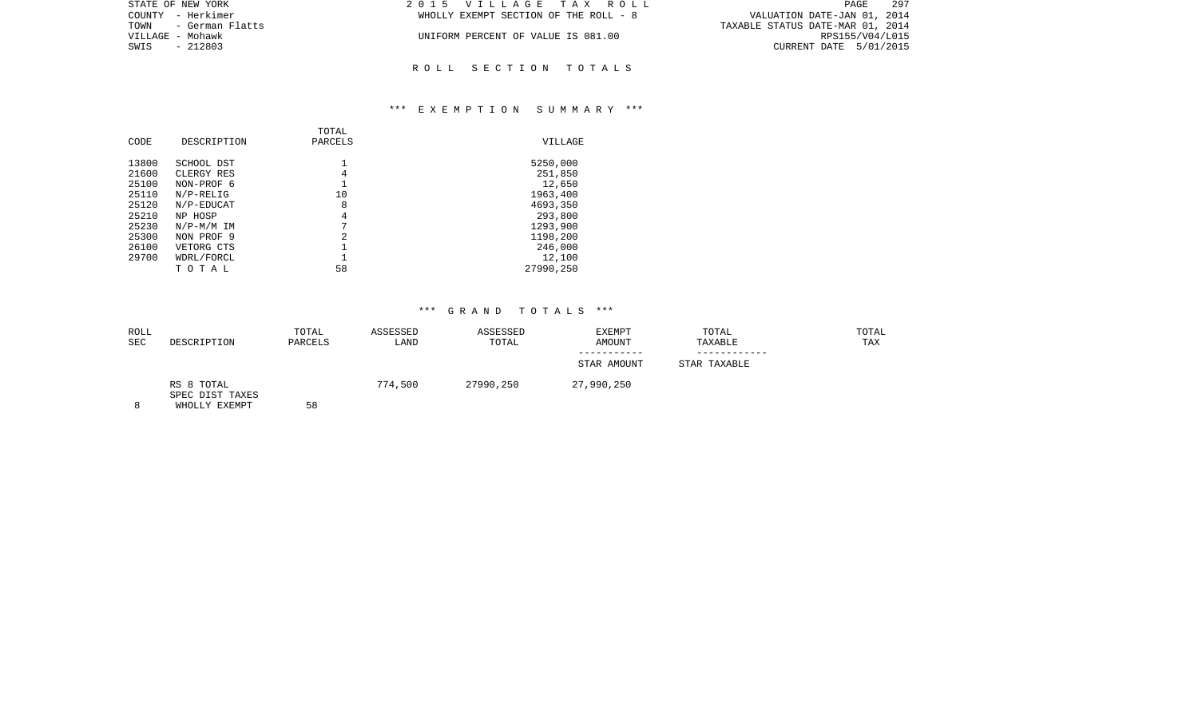| 2015 VILLAGE TAX ROLL                 | 297<br>PAGE                      |
|---------------------------------------|----------------------------------|
| WHOLLY EXEMPT SECTION OF THE ROLL - 8 | VALUATION DATE-JAN 01, 2014      |
|                                       | TAXABLE STATUS DATE-MAR 01, 2014 |
| UNIFORM PERCENT OF VALUE IS 081.00    | RPS155/V04/L015                  |
|                                       | CURRENT DATE 5/01/2015           |
|                                       |                                  |
|                                       |                                  |

R O L L S E C T I O N T O T A L S

## \*\*\* E X E M P T I O N S U M M A R Y \*\*\*

| CODE           | DESCRIPTION              | TOTAL<br>PARCELS | VILLAGE           |
|----------------|--------------------------|------------------|-------------------|
| 13800          | SCHOOL DST               |                  | 5250,000          |
| 21600<br>25100 | CLERGY RES<br>NON-PROF 6 | 4                | 251,850<br>12,650 |
| 25110          | $N/P-RELIG$              | 10               | 1963,400          |
| 25120          | N/P-EDUCAT               | 8                | 4693,350          |
| 25210          | NP HOSP                  | 4                | 293,800           |
| 25230          | $N/P-M/M$ IM             | 7                | 1293,900          |
| 25300          | NON PROF 9               | 2                | 1198,200          |
| 26100          | VETORG CTS               |                  | 246,000           |
| 29700          | WDRL/FORCL               |                  | 12,100            |
|                | тотаь                    | 58               | 27990,250         |

| ROLL<br><b>SEC</b> | DESCRIPTION                                    | TOTAL<br>PARCELS | ASSESSED<br>LAND | ASSESSED<br>TOTAL | <b>EXEMPT</b><br>AMOUNT | TOTAL<br>TAXABLE | TOTAL<br>TAX |
|--------------------|------------------------------------------------|------------------|------------------|-------------------|-------------------------|------------------|--------------|
|                    |                                                |                  |                  |                   |                         |                  |              |
|                    |                                                |                  |                  |                   | STAR AMOUNT             | STAR TAXABLE     |              |
| 8                  | RS 8 TOTAL<br>SPEC DIST TAXES<br>WHOLLY EXEMPT | 58               | 774,500          | 27990,250         | 27,990,250              |                  |              |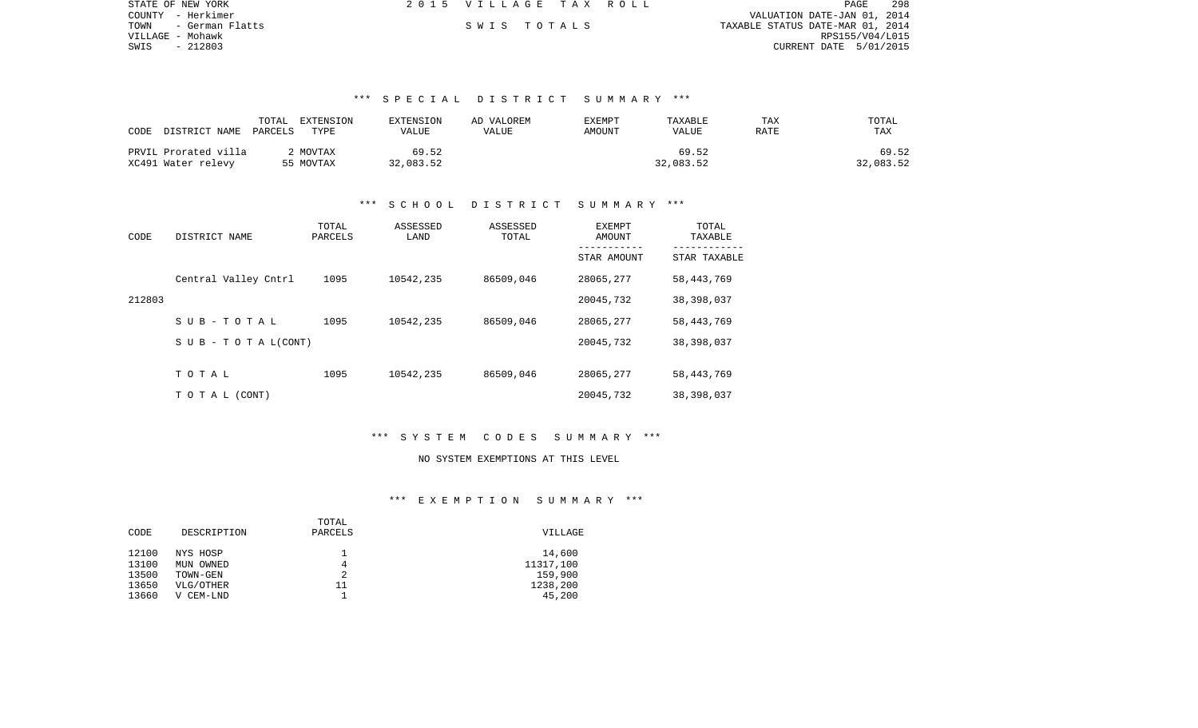| STATE OF NEW YORK       | 2015 VILLAGE TAX ROLL |  |                                  |                        | PAGE | 298 |
|-------------------------|-----------------------|--|----------------------------------|------------------------|------|-----|
| COUNTY - Herkimer       |                       |  | VALUATION DATE-JAN 01, 2014      |                        |      |     |
| TOWN<br>- German Flatts | SWIS TOTALS           |  | TAXABLE STATUS DATE-MAR 01, 2014 |                        |      |     |
| VILLAGE – Mohawk        |                       |  |                                  | RPS155/V04/L015        |      |     |
| - 212803<br>SWIS        |                       |  |                                  | CURRENT DATE 5/01/2015 |      |     |

# \*\*\* S P E C I A L D I S T R I C T S U M M A R Y \*\*\*

| CODE<br>DISTRICT NAME | TOTAL<br>EXTENSION<br>PARCELS<br>TYPE | EXTENSION<br>VALUE | AD VALOREM<br>VALUE | EXEMPT<br>AMOUNT | TAXABLE<br>VALUE | TAX<br>RATE | TOTAL<br><b>TAX</b> |
|-----------------------|---------------------------------------|--------------------|---------------------|------------------|------------------|-------------|---------------------|
| PRVIL Prorated villa  | MOVTAX                                | 69.52              |                     |                  | 69.52            |             | 69.52               |
| XC491 Water relevy    | 55 MOVTAX                             | 32,083.52          |                     |                  | 32,083.52        |             | 32,083.52           |

# \*\*\* S C H O O L D I S T R I C T S U M M A R Y \*\*\*

| CODE   | DISTRICT NAME        | TOTAL<br>PARCELS | ASSESSED<br>LAND | ASSESSED<br>TOTAL | EXEMPT<br>AMOUNT | TOTAL<br>TAXABLE |
|--------|----------------------|------------------|------------------|-------------------|------------------|------------------|
|        |                      |                  |                  |                   | STAR AMOUNT      | STAR TAXABLE     |
|        | Central Valley Cntrl | 1095             | 10542,235        | 86509,046         | 28065,277        | 58, 443, 769     |
| 212803 |                      |                  |                  |                   | 20045,732        | 38,398,037       |
|        | SUB-TOTAL            | 1095             | 10542,235        | 86509,046         | 28065,277        | 58, 443, 769     |
|        | SUB - TO TAL(CONT)   |                  |                  |                   | 20045,732        | 38,398,037       |
|        |                      |                  |                  |                   |                  |                  |
|        | TOTAL                | 1095             | 10542,235        | 86509,046         | 28065,277        | 58, 443, 769     |
|        | TO TAL (CONT)        |                  |                  |                   | 20045,732        | 38,398,037       |

# \*\*\* S Y S T E M C O D E S S U M M A R Y \*\*\*

#### NO SYSTEM EXEMPTIONS AT THIS LEVEL

## \*\*\* E X E M P T I O N S U M M A R Y \*\*\*

|       |               | TOTAL   |           |
|-------|---------------|---------|-----------|
| CODE  | DESCRIPTION   | PARCELS | VILLAGE   |
|       |               |         |           |
| 12100 | NYS HOSP      |         | 14,600    |
| 13100 | MUN OWNED     | 4       | 11317,100 |
| 13500 | TOWN-GEN      | 2       | 159,900   |
| 13650 | VLG/OTHER     | 11      | 1238,200  |
| 13660 | CEM-LND<br>٦T |         | 45,200    |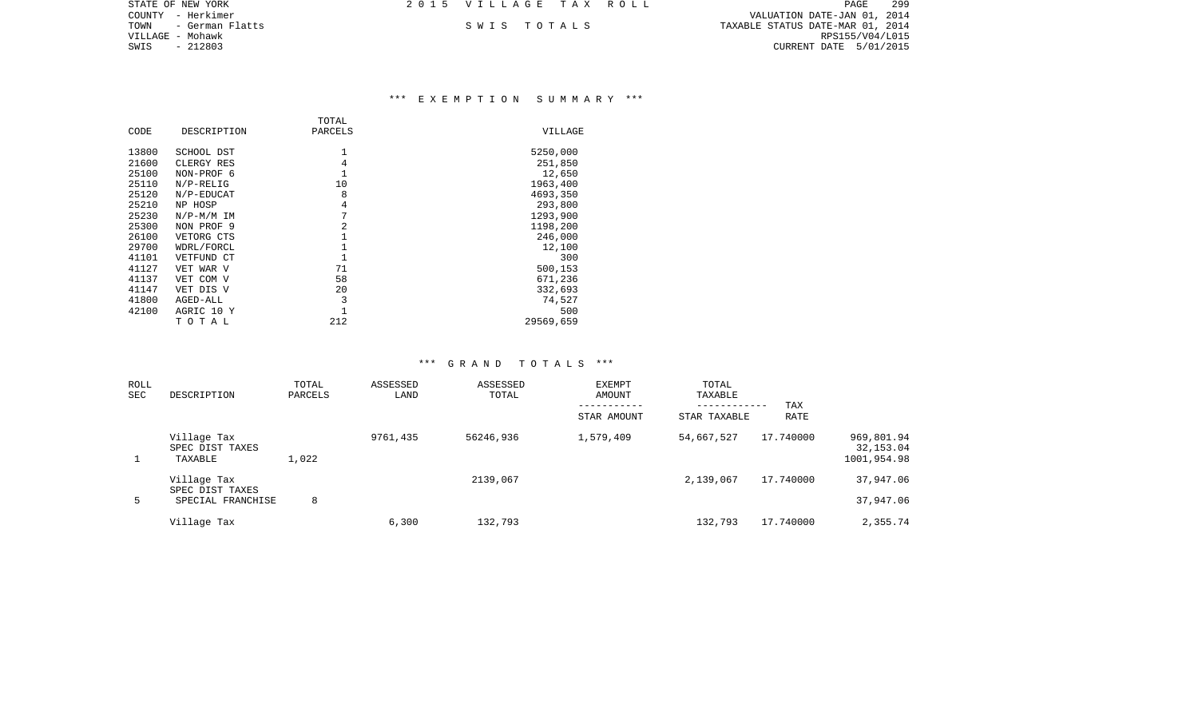| STATE OF NEW YORK       | 2015 VILLAGE TAX ROLL |  | - 299<br><b>PAGE</b>             |
|-------------------------|-----------------------|--|----------------------------------|
| COUNTY - Herkimer       |                       |  | VALUATION DATE-JAN 01, 2014      |
| TOWN<br>- German Flatts | SWIS TOTALS           |  | TAXABLE STATUS DATE-MAR 01, 2014 |
| VILLAGE – Mohawk        |                       |  | RPS155/V04/L015                  |
| SWIS<br>- 212803        |                       |  | CURRENT DATE 5/01/2015           |
|                         |                       |  |                                  |

# \*\*\* E X E M P T I O N S U M M A R Y \*\*\*

|       |              | TOTAL        |           |
|-------|--------------|--------------|-----------|
| CODE  | DESCRIPTION  | PARCELS      | VILLAGE   |
| 13800 | SCHOOL DST   | 1            | 5250,000  |
| 21600 | CLERGY RES   | 4            | 251,850   |
| 25100 | NON-PROF 6   | $\mathbf{1}$ | 12,650    |
| 25110 | $N/P-RELLIG$ | 10           | 1963,400  |
| 25120 | N/P-EDUCAT   | 8            | 4693,350  |
| 25210 | NP HOSP      | 4            | 293,800   |
| 25230 | $N/P-M/M$ IM | 7            | 1293,900  |
| 25300 | NON PROF 9   | 2            | 1198,200  |
| 26100 | VETORG CTS   |              | 246,000   |
| 29700 | WDRL/FORCL   |              | 12,100    |
| 41101 | VETFUND CT   | $\mathbf{1}$ | 300       |
| 41127 | VET WAR V    | 71           | 500,153   |
| 41137 | VET COM V    | 58           | 671,236   |
| 41147 | VET DIS V    | 20           | 332,693   |
| 41800 | AGED-ALL     | 3            | 74,527    |
| 42100 | AGRIC 10 Y   |              | 500       |
|       | тотаь        | 212          | 29569,659 |

| ROLL<br><b>SEC</b> | DESCRIPTION                                         | TOTAL<br>PARCELS | ASSESSED<br>LAND | ASSESSED<br>TOTAL | EXEMPT<br>AMOUNT<br>STAR AMOUNT | TOTAL<br>TAXABLE<br>-----------<br>STAR TAXABLE | TAX<br>RATE |                                        |
|--------------------|-----------------------------------------------------|------------------|------------------|-------------------|---------------------------------|-------------------------------------------------|-------------|----------------------------------------|
|                    | Village Tax<br>SPEC DIST TAXES<br>TAXABLE           | 1,022            | 9761,435         | 56246,936         | 1,579,409                       | 54,667,527                                      | 17.740000   | 969,801.94<br>32,153.04<br>1001,954.98 |
| 5                  | Village Tax<br>SPEC DIST TAXES<br>SPECIAL FRANCHISE | 8                |                  | 2139,067          |                                 | 2,139,067                                       | 17.740000   | 37,947.06<br>37,947.06                 |
|                    | Village Tax                                         |                  | 6,300            | 132,793           |                                 | 132,793                                         | 17.740000   | 2,355.74                               |